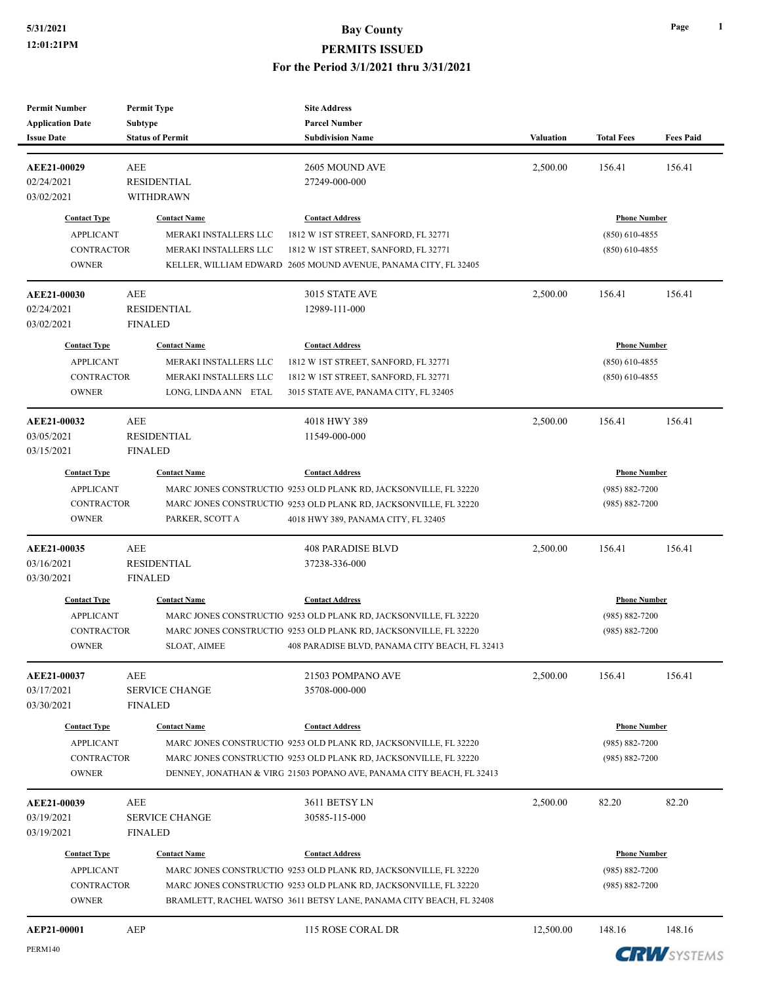| <b>Permit Number</b><br><b>Application Date</b><br><b>Issue Date</b>         | <b>Permit Type</b><br><b>Subtype</b><br><b>Status of Permit</b>                               | <b>Site Address</b><br><b>Parcel Number</b><br><b>Subdivision Name</b>                                                                                                                                                                  | <b>Valuation</b> | <b>Total Fees</b>                                               | <b>Fees Paid</b> |
|------------------------------------------------------------------------------|-----------------------------------------------------------------------------------------------|-----------------------------------------------------------------------------------------------------------------------------------------------------------------------------------------------------------------------------------------|------------------|-----------------------------------------------------------------|------------------|
| AEE21-00029<br>02/24/2021<br>03/02/2021                                      | AEE<br><b>RESIDENTIAL</b><br>WITHDRAWN                                                        | 2605 MOUND AVE<br>27249-000-000                                                                                                                                                                                                         | 2,500.00         | 156.41                                                          | 156.41           |
| <b>Contact Type</b><br><b>APPLICANT</b><br><b>CONTRACTOR</b><br><b>OWNER</b> | <b>Contact Name</b><br>MERAKI INSTALLERS LLC<br>MERAKI INSTALLERS LLC                         | <b>Contact Address</b><br>1812 W 1ST STREET, SANFORD, FL 32771<br>1812 W 1ST STREET, SANFORD, FL 32771<br>KELLER, WILLIAM EDWARD 2605 MOUND AVENUE, PANAMA CITY, FL 32405                                                               |                  | <b>Phone Number</b><br>$(850)$ 610-4855<br>$(850)$ 610-4855     |                  |
| AEE21-00030<br>02/24/2021<br>03/02/2021                                      | AEE<br><b>RESIDENTIAL</b><br><b>FINALED</b>                                                   | 3015 STATE AVE<br>12989-111-000                                                                                                                                                                                                         | 2,500.00         | 156.41                                                          | 156.41           |
| <b>Contact Type</b><br><b>APPLICANT</b><br><b>CONTRACTOR</b><br><b>OWNER</b> | <b>Contact Name</b><br>MERAKI INSTALLERS LLC<br>MERAKI INSTALLERS LLC<br>LONG, LINDA ANN ETAL | <b>Contact Address</b><br>1812 W 1ST STREET, SANFORD, FL 32771<br>1812 W 1ST STREET, SANFORD, FL 32771<br>3015 STATE AVE, PANAMA CITY, FL 32405                                                                                         |                  | <b>Phone Number</b><br>$(850)$ 610-4855<br>$(850)$ 610-4855     |                  |
| AEE21-00032<br>03/05/2021<br>03/15/2021                                      | <b>AEE</b><br><b>RESIDENTIAL</b><br><b>FINALED</b>                                            | 4018 HWY 389<br>11549-000-000                                                                                                                                                                                                           | 2,500.00         | 156.41                                                          | 156.41           |
| <b>Contact Type</b><br><b>APPLICANT</b><br><b>CONTRACTOR</b><br><b>OWNER</b> | <b>Contact Name</b><br>PARKER, SCOTT A                                                        | <b>Contact Address</b><br>MARC JONES CONSTRUCTIO 9253 OLD PLANK RD, JACKSONVILLE, FL 32220<br>MARC JONES CONSTRUCTIO 9253 OLD PLANK RD, JACKSONVILLE, FL 32220<br>4018 HWY 389, PANAMA CITY, FL 32405                                   |                  | <b>Phone Number</b><br>$(985) 882 - 7200$<br>(985) 882-7200     |                  |
| AEE21-00035<br>03/16/2021<br>03/30/2021                                      | AEE<br><b>RESIDENTIAL</b><br><b>FINALED</b>                                                   | <b>408 PARADISE BLVD</b><br>37238-336-000                                                                                                                                                                                               | 2,500.00         | 156.41                                                          | 156.41           |
| <b>Contact Type</b><br><b>APPLICANT</b><br><b>CONTRACTOR</b><br><b>OWNER</b> | <b>Contact Name</b><br>SLOAT, AIMEE                                                           | <b>Contact Address</b><br>MARC JONES CONSTRUCTIO 9253 OLD PLANK RD, JACKSONVILLE, FL 32220<br>MARC JONES CONSTRUCTIO 9253 OLD PLANK RD, JACKSONVILLE, FL 32220<br>408 PARADISE BLVD, PANAMA CITY BEACH, FL 32413                        |                  | <b>Phone Number</b><br>$(985) 882 - 7200$<br>$(985) 882 - 7200$ |                  |
| AEE21-00037<br>03/17/2021<br>03/30/2021                                      | AEE<br><b>SERVICE CHANGE</b><br><b>FINALED</b>                                                | 21503 POMPANO AVE<br>35708-000-000                                                                                                                                                                                                      | 2,500.00         | 156.41                                                          | 156.41           |
| <b>Contact Type</b><br><b>APPLICANT</b><br><b>CONTRACTOR</b><br><b>OWNER</b> | <b>Contact Name</b>                                                                           | <b>Contact Address</b><br>MARC JONES CONSTRUCTIO 9253 OLD PLANK RD, JACKSONVILLE, FL 32220<br>MARC JONES CONSTRUCTIO 9253 OLD PLANK RD, JACKSONVILLE, FL 32220<br>DENNEY, JONATHAN & VIRG 21503 POPANO AVE, PANAMA CITY BEACH, FL 32413 |                  | <b>Phone Number</b><br>$(985) 882 - 7200$<br>$(985) 882 - 7200$ |                  |
| AEE21-00039<br>03/19/2021<br>03/19/2021                                      | AEE<br><b>SERVICE CHANGE</b><br>FINALED                                                       | 3611 BETSY LN<br>30585-115-000                                                                                                                                                                                                          | 2,500.00         | 82.20                                                           | 82.20            |
| <b>Contact Type</b><br><b>APPLICANT</b><br><b>CONTRACTOR</b><br><b>OWNER</b> | <b>Contact Name</b>                                                                           | <b>Contact Address</b><br>MARC JONES CONSTRUCTIO 9253 OLD PLANK RD, JACKSONVILLE, FL 32220<br>MARC JONES CONSTRUCTIO 9253 OLD PLANK RD, JACKSONVILLE, FL 32220<br>BRAMLETT, RACHEL WATSO 3611 BETSY LANE, PANAMA CITY BEACH, FL 32408   |                  | <b>Phone Number</b><br>$(985) 882 - 7200$<br>$(985) 882 - 7200$ |                  |
| AEP21-00001                                                                  | AEP                                                                                           | 115 ROSE CORAL DR                                                                                                                                                                                                                       | 12,500.00        | 148.16                                                          | 148.16           |

**CRW**SYSTEMS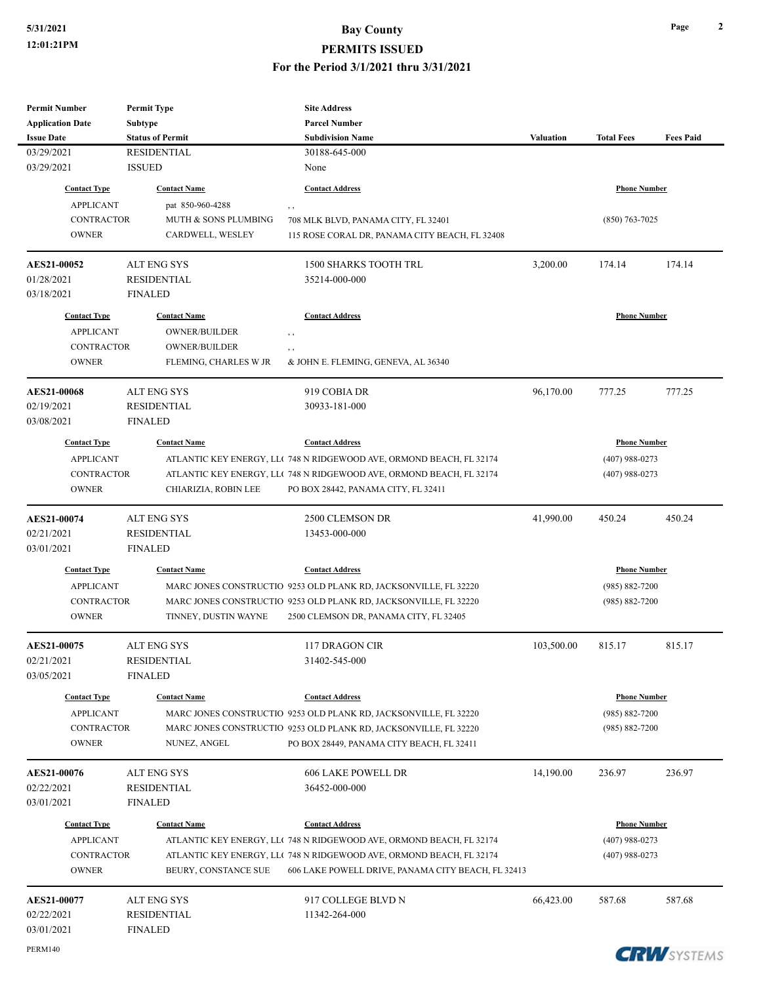| <b>Permit Number</b>      | <b>Permit Type</b>                | <b>Site Address</b>                                                  |                  |                     |                  |
|---------------------------|-----------------------------------|----------------------------------------------------------------------|------------------|---------------------|------------------|
| <b>Application Date</b>   | <b>Subtype</b>                    | <b>Parcel Number</b>                                                 |                  |                     |                  |
| <b>Issue Date</b>         | <b>Status of Permit</b>           | <b>Subdivision Name</b>                                              | <b>Valuation</b> | <b>Total Fees</b>   | <b>Fees Paid</b> |
| 03/29/2021                | <b>RESIDENTIAL</b>                | 30188-645-000                                                        |                  |                     |                  |
| 03/29/2021                | <b>ISSUED</b>                     | None                                                                 |                  |                     |                  |
|                           |                                   |                                                                      |                  |                     |                  |
| <b>Contact Type</b>       | <b>Contact Name</b>               | <b>Contact Address</b>                                               |                  | <b>Phone Number</b> |                  |
| <b>APPLICANT</b>          | pat 850-960-4288                  | , ,                                                                  |                  |                     |                  |
| <b>CONTRACTOR</b>         | <b>MUTH &amp; SONS PLUMBING</b>   | 708 MLK BLVD, PANAMA CITY, FL 32401                                  |                  | $(850)$ 763-7025    |                  |
| <b>OWNER</b>              | CARDWELL, WESLEY                  | 115 ROSE CORAL DR, PANAMA CITY BEACH, FL 32408                       |                  |                     |                  |
| <b>AES21-00052</b>        | <b>ALT ENG SYS</b>                | <b>1500 SHARKS TOOTH TRL</b>                                         | 3,200.00         | 174.14              | 174.14           |
| 01/28/2021                | <b>RESIDENTIAL</b>                | 35214-000-000                                                        |                  |                     |                  |
| 03/18/2021                | <b>FINALED</b>                    |                                                                      |                  |                     |                  |
| <b>Contact Type</b>       | <b>Contact Name</b>               | <b>Contact Address</b>                                               |                  | <b>Phone Number</b> |                  |
|                           |                                   |                                                                      |                  |                     |                  |
| <b>APPLICANT</b>          | <b>OWNER/BUILDER</b>              | , ,                                                                  |                  |                     |                  |
| <b>CONTRACTOR</b>         | <b>OWNER/BUILDER</b>              | , ,                                                                  |                  |                     |                  |
| <b>OWNER</b>              | FLEMING, CHARLES W JR             | & JOHN E. FLEMING, GENEVA, AL 36340                                  |                  |                     |                  |
| <b>AES21-00068</b>        | <b>ALT ENG SYS</b>                | 919 COBIA DR                                                         | 96,170.00        | 777.25              | 777.25           |
| 02/19/2021                | <b>RESIDENTIAL</b>                | 30933-181-000                                                        |                  |                     |                  |
| 03/08/2021                | <b>FINALED</b>                    |                                                                      |                  |                     |                  |
| <b>Contact Type</b>       | <b>Contact Name</b>               | <b>Contact Address</b>                                               |                  | <b>Phone Number</b> |                  |
|                           |                                   |                                                                      |                  |                     |                  |
| <b>APPLICANT</b>          |                                   | ATLANTIC KEY ENERGY, LL( 748 N RIDGEWOOD AVE, ORMOND BEACH, FL 32174 |                  | $(407)$ 988-0273    |                  |
| <b>CONTRACTOR</b>         |                                   | ATLANTIC KEY ENERGY, LLC 748 N RIDGEWOOD AVE, ORMOND BEACH, FL 32174 |                  | $(407)$ 988-0273    |                  |
| <b>OWNER</b>              | CHIARIZIA, ROBIN LEE              | PO BOX 28442, PANAMA CITY, FL 32411                                  |                  |                     |                  |
| AES21-00074               | ALT ENG SYS                       | 2500 CLEMSON DR                                                      | 41,990.00        | 450.24              | 450.24           |
| 02/21/2021                | <b>RESIDENTIAL</b>                | 13453-000-000                                                        |                  |                     |                  |
| 03/01/2021                | <b>FINALED</b>                    |                                                                      |                  |                     |                  |
| <b>Contact Type</b>       | <b>Contact Name</b>               | <b>Contact Address</b>                                               |                  | <b>Phone Number</b> |                  |
| <b>APPLICANT</b>          |                                   | MARC JONES CONSTRUCTIO 9253 OLD PLANK RD, JACKSONVILLE, FL 32220     |                  | $(985) 882 - 7200$  |                  |
| <b>CONTRACTOR</b>         |                                   | MARC JONES CONSTRUCTIO 9253 OLD PLANK RD, JACKSONVILLE, FL 32220     |                  | $(985) 882 - 7200$  |                  |
| <b>OWNER</b>              | TINNEY, DUSTIN WAYNE              | 2500 CLEMSON DR, PANAMA CITY, FL 32405                               |                  |                     |                  |
|                           |                                   |                                                                      |                  |                     |                  |
| AES21-00075<br>02/21/2021 | <b>ALT ENG SYS</b><br>RESIDENTIAL | 117 DRAGON CIR<br>31402-545-000                                      | 103,500.00       | 815.17              | 815.17           |
|                           |                                   |                                                                      |                  |                     |                  |
| 03/05/2021                | <b>FINALED</b>                    |                                                                      |                  |                     |                  |
| <b>Contact Type</b>       | <b>Contact Name</b>               | <b>Contact Address</b>                                               |                  | <b>Phone Number</b> |                  |
| <b>APPLICANT</b>          |                                   | MARC JONES CONSTRUCTIO 9253 OLD PLANK RD, JACKSONVILLE, FL 32220     |                  | $(985) 882 - 7200$  |                  |
| <b>CONTRACTOR</b>         |                                   | MARC JONES CONSTRUCTIO 9253 OLD PLANK RD, JACKSONVILLE, FL 32220     |                  | $(985) 882 - 7200$  |                  |
| <b>OWNER</b>              | NUNEZ, ANGEL                      | PO BOX 28449, PANAMA CITY BEACH, FL 32411                            |                  |                     |                  |
| AES21-00076               | ALT ENG SYS                       | <b>606 LAKE POWELL DR</b>                                            | 14,190.00        | 236.97              | 236.97           |
| 02/22/2021                | <b>RESIDENTIAL</b>                | 36452-000-000                                                        |                  |                     |                  |
| 03/01/2021                | <b>FINALED</b>                    |                                                                      |                  |                     |                  |
|                           |                                   |                                                                      |                  |                     |                  |
| <b>Contact Type</b>       | <b>Contact Name</b>               | <b>Contact Address</b>                                               |                  | <b>Phone Number</b> |                  |
| <b>APPLICANT</b>          |                                   | ATLANTIC KEY ENERGY, LLC 748 N RIDGEWOOD AVE, ORMOND BEACH, FL 32174 |                  | $(407)$ 988-0273    |                  |
| <b>CONTRACTOR</b>         |                                   | ATLANTIC KEY ENERGY, LLC 748 N RIDGEWOOD AVE, ORMOND BEACH, FL 32174 |                  | $(407)$ 988-0273    |                  |
| <b>OWNER</b>              | BEURY, CONSTANCE SUE              | 606 LAKE POWELL DRIVE, PANAMA CITY BEACH, FL 32413                   |                  |                     |                  |
| AES21-00077               | ALT ENG SYS                       | 917 COLLEGE BLVD N                                                   | 66,423.00        | 587.68              | 587.68           |
| 02/22/2021                | <b>RESIDENTIAL</b>                | 11342-264-000                                                        |                  |                     |                  |
| 03/01/2021                | <b>FINALED</b>                    |                                                                      |                  |                     |                  |
|                           |                                   |                                                                      |                  |                     |                  |

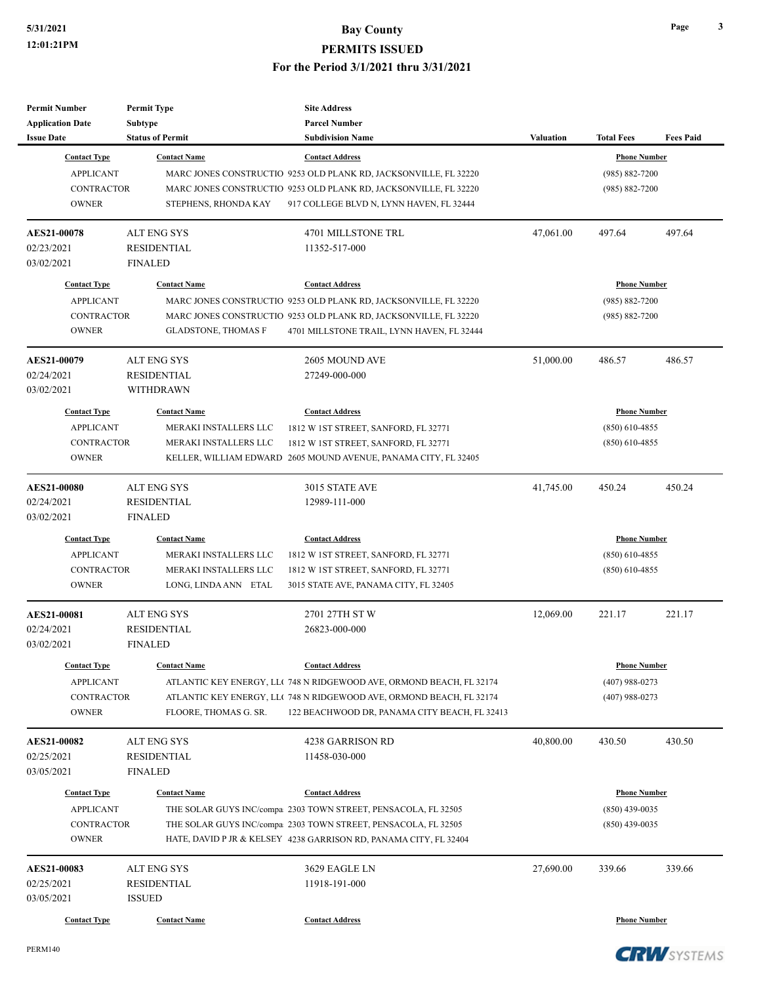# **5/31/2021 Bay County**

# **PERMITS ISSUED**

**For the Period 3/1/2021 thru 3/31/2021**

| <b>Permit Number</b>    | <b>Permit Type</b>         | <b>Site Address</b>                                                  |                  |                     |                  |
|-------------------------|----------------------------|----------------------------------------------------------------------|------------------|---------------------|------------------|
| <b>Application Date</b> | <b>Subtype</b>             | <b>Parcel Number</b>                                                 |                  |                     |                  |
| <b>Issue Date</b>       | <b>Status of Permit</b>    | <b>Subdivision Name</b>                                              | <b>Valuation</b> | <b>Total Fees</b>   | <b>Fees Paid</b> |
| <b>Contact Type</b>     | <b>Contact Name</b>        | <b>Contact Address</b>                                               |                  | <b>Phone Number</b> |                  |
| <b>APPLICANT</b>        |                            | MARC JONES CONSTRUCTIO 9253 OLD PLANK RD, JACKSONVILLE, FL 32220     |                  | $(985) 882 - 7200$  |                  |
| <b>CONTRACTOR</b>       |                            | MARC JONES CONSTRUCTIO 9253 OLD PLANK RD, JACKSONVILLE, FL 32220     |                  | $(985) 882 - 7200$  |                  |
| <b>OWNER</b>            | STEPHENS, RHONDA KAY       | 917 COLLEGE BLVD N, LYNN HAVEN, FL 32444                             |                  |                     |                  |
| <b>AES21-00078</b>      | <b>ALT ENG SYS</b>         | 4701 MILLSTONE TRL                                                   | 47,061.00        | 497.64              | 497.64           |
| 02/23/2021              | <b>RESIDENTIAL</b>         | 11352-517-000                                                        |                  |                     |                  |
| 03/02/2021              | <b>FINALED</b>             |                                                                      |                  |                     |                  |
| <b>Contact Type</b>     | <b>Contact Name</b>        | <b>Contact Address</b>                                               |                  | <b>Phone Number</b> |                  |
| <b>APPLICANT</b>        |                            | MARC JONES CONSTRUCTIO 9253 OLD PLANK RD, JACKSONVILLE, FL 32220     |                  | $(985) 882 - 7200$  |                  |
| <b>CONTRACTOR</b>       |                            | MARC JONES CONSTRUCTIO 9253 OLD PLANK RD, JACKSONVILLE, FL 32220     |                  | $(985) 882 - 7200$  |                  |
| <b>OWNER</b>            | <b>GLADSTONE, THOMAS F</b> | 4701 MILLSTONE TRAIL, LYNN HAVEN, FL 32444                           |                  |                     |                  |
| <b>AES21-00079</b>      | <b>ALT ENG SYS</b>         | 2605 MOUND AVE                                                       | 51,000.00        | 486.57              | 486.57           |
| 02/24/2021              | <b>RESIDENTIAL</b>         | 27249-000-000                                                        |                  |                     |                  |
| 03/02/2021              | <b>WITHDRAWN</b>           |                                                                      |                  |                     |                  |
| <b>Contact Type</b>     | <b>Contact Name</b>        | <b>Contact Address</b>                                               |                  | <b>Phone Number</b> |                  |
| <b>APPLICANT</b>        | MERAKI INSTALLERS LLC      | 1812 W 1ST STREET, SANFORD, FL 32771                                 |                  | $(850)$ 610-4855    |                  |
| <b>CONTRACTOR</b>       | MERAKI INSTALLERS LLC      | 1812 W 1ST STREET, SANFORD, FL 32771                                 |                  | $(850)$ 610-4855    |                  |
| <b>OWNER</b>            |                            | KELLER, WILLIAM EDWARD 2605 MOUND AVENUE, PANAMA CITY, FL 32405      |                  |                     |                  |
| <b>AES21-00080</b>      | <b>ALT ENG SYS</b>         | 3015 STATE AVE                                                       | 41,745.00        | 450.24              | 450.24           |
| 02/24/2021              | RESIDENTIAL                | 12989-111-000                                                        |                  |                     |                  |
| 03/02/2021              | <b>FINALED</b>             |                                                                      |                  |                     |                  |
| <b>Contact Type</b>     | <b>Contact Name</b>        | <b>Contact Address</b>                                               |                  | <b>Phone Number</b> |                  |
| <b>APPLICANT</b>        | MERAKI INSTALLERS LLC      | 1812 W 1ST STREET, SANFORD, FL 32771                                 |                  | $(850)$ 610-4855    |                  |
| <b>CONTRACTOR</b>       | MERAKI INSTALLERS LLC      | 1812 W 1ST STREET, SANFORD, FL 32771                                 |                  | $(850)$ 610-4855    |                  |
| <b>OWNER</b>            | LONG, LINDA ANN ETAL       | 3015 STATE AVE, PANAMA CITY, FL 32405                                |                  |                     |                  |
| AES21-00081             | <b>ALT ENG SYS</b>         | 2701 27TH ST W                                                       | 12,069.00        | 221.17              | 221.17           |
| 02/24/2021              | <b>RESIDENTIAL</b>         | 26823-000-000                                                        |                  |                     |                  |
| 03/02/2021              | <b>FINALED</b>             |                                                                      |                  |                     |                  |
| <b>Contact Type</b>     | <b>Contact Name</b>        | <b>Contact Address</b>                                               |                  | <b>Phone Number</b> |                  |
| <b>APPLICANT</b>        |                            | ATLANTIC KEY ENERGY, LLC 748 N RIDGEWOOD AVE, ORMOND BEACH, FL 32174 |                  | $(407)$ 988-0273    |                  |
| <b>CONTRACTOR</b>       |                            | ATLANTIC KEY ENERGY, LLC 748 N RIDGEWOOD AVE, ORMOND BEACH, FL 32174 |                  | $(407)$ 988-0273    |                  |
| <b>OWNER</b>            | FLOORE, THOMAS G. SR.      | 122 BEACHWOOD DR, PANAMA CITY BEACH, FL 32413                        |                  |                     |                  |
| <b>AES21-00082</b>      | <b>ALT ENG SYS</b>         | 4238 GARRISON RD                                                     | 40,800.00        | 430.50              | 430.50           |
| 02/25/2021              | <b>RESIDENTIAL</b>         | 11458-030-000                                                        |                  |                     |                  |
| 03/05/2021              | <b>FINALED</b>             |                                                                      |                  |                     |                  |
| <b>Contact Type</b>     | <b>Contact Name</b>        | <b>Contact Address</b>                                               |                  | <b>Phone Number</b> |                  |
| <b>APPLICANT</b>        |                            | THE SOLAR GUYS INC/compa 2303 TOWN STREET, PENSACOLA, FL 32505       |                  | $(850)$ 439-0035    |                  |
| <b>CONTRACTOR</b>       |                            | THE SOLAR GUYS INC/compa 2303 TOWN STREET, PENSACOLA, FL 32505       |                  | $(850)$ 439-0035    |                  |
| <b>OWNER</b>            |                            | HATE, DAVID P JR & KELSEY 4238 GARRISON RD, PANAMA CITY, FL 32404    |                  |                     |                  |
| <b>AES21-00083</b>      | <b>ALT ENG SYS</b>         | 3629 EAGLE LN                                                        | 27,690.00        | 339.66              | 339.66           |
| 02/25/2021              | <b>RESIDENTIAL</b>         | 11918-191-000                                                        |                  |                     |                  |
| 03/05/2021              | <b>ISSUED</b>              |                                                                      |                  |                     |                  |
| <b>Contact Type</b>     | <b>Contact Name</b>        | <b>Contact Address</b>                                               |                  | <b>Phone Number</b> |                  |
|                         |                            |                                                                      |                  |                     |                  |

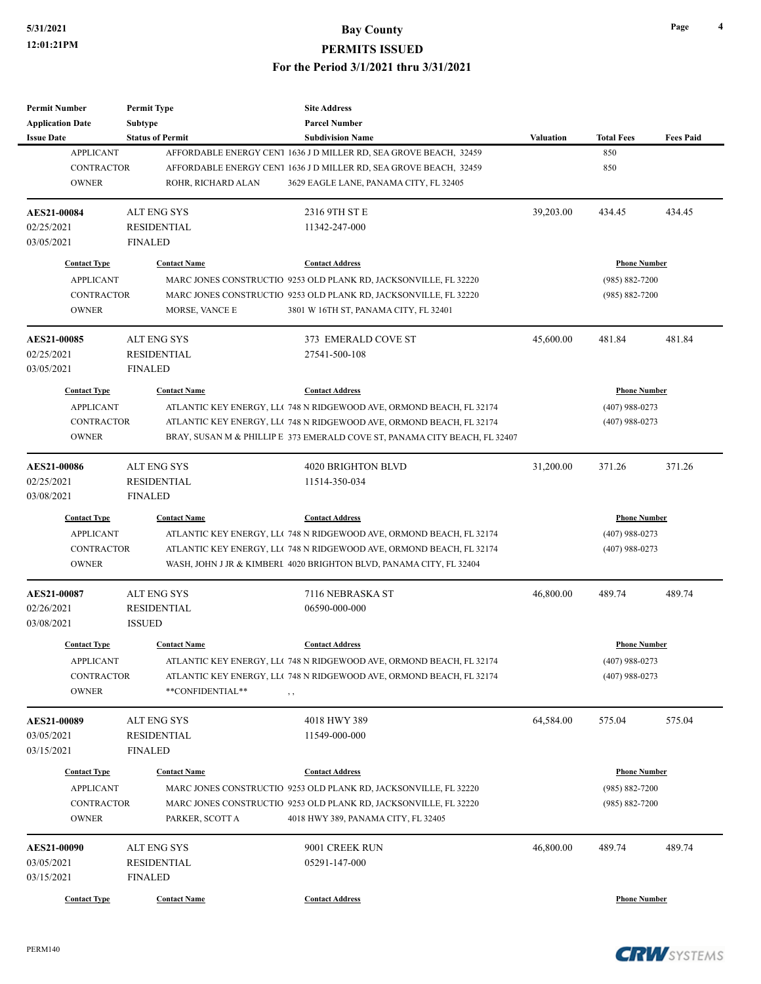| <b>Permit Number</b>    | <b>Permit Type</b>      | <b>Site Address</b>                                                        |                  |                     |                  |
|-------------------------|-------------------------|----------------------------------------------------------------------------|------------------|---------------------|------------------|
| <b>Application Date</b> | <b>Subtype</b>          | <b>Parcel Number</b>                                                       |                  |                     |                  |
| <b>Issue Date</b>       | <b>Status of Permit</b> | <b>Subdivision Name</b>                                                    | <b>Valuation</b> | <b>Total Fees</b>   | <b>Fees Paid</b> |
| <b>APPLICANT</b>        |                         | AFFORDABLE ENERGY CEN1 1636 J D MILLER RD, SEA GROVE BEACH, 32459          |                  | 850                 |                  |
| <b>CONTRACTOR</b>       |                         | AFFORDABLE ENERGY CEN1 1636 J D MILLER RD, SEA GROVE BEACH, 32459          |                  | 850                 |                  |
| <b>OWNER</b>            | ROHR, RICHARD ALAN      | 3629 EAGLE LANE, PANAMA CITY, FL 32405                                     |                  |                     |                  |
| <b>AES21-00084</b>      | <b>ALT ENG SYS</b>      | 2316 9TH ST E                                                              | 39,203.00        | 434.45              | 434.45           |
| 02/25/2021              | <b>RESIDENTIAL</b>      | 11342-247-000                                                              |                  |                     |                  |
| 03/05/2021              | <b>FINALED</b>          |                                                                            |                  |                     |                  |
| <b>Contact Type</b>     | <b>Contact Name</b>     | <b>Contact Address</b>                                                     |                  | <b>Phone Number</b> |                  |
| <b>APPLICANT</b>        |                         | MARC JONES CONSTRUCTIO 9253 OLD PLANK RD, JACKSONVILLE, FL 32220           |                  | (985) 882-7200      |                  |
| <b>CONTRACTOR</b>       |                         | MARC JONES CONSTRUCTIO 9253 OLD PLANK RD, JACKSONVILLE, FL 32220           |                  | (985) 882-7200      |                  |
| <b>OWNER</b>            | MORSE, VANCE E          | 3801 W 16TH ST, PANAMA CITY, FL 32401                                      |                  |                     |                  |
| <b>AES21-00085</b>      | ALT ENG SYS             | 373 EMERALD COVE ST                                                        | 45,600.00        | 481.84              | 481.84           |
| 02/25/2021              | <b>RESIDENTIAL</b>      | 27541-500-108                                                              |                  |                     |                  |
| 03/05/2021              | <b>FINALED</b>          |                                                                            |                  |                     |                  |
| <b>Contact Type</b>     | <b>Contact Name</b>     | <b>Contact Address</b>                                                     |                  | <b>Phone Number</b> |                  |
| <b>APPLICANT</b>        |                         | ATLANTIC KEY ENERGY, LLC 748 N RIDGEWOOD AVE, ORMOND BEACH, FL 32174       |                  | (407) 988-0273      |                  |
| <b>CONTRACTOR</b>       |                         | ATLANTIC KEY ENERGY, LLC 748 N RIDGEWOOD AVE, ORMOND BEACH, FL 32174       |                  | $(407)$ 988-0273    |                  |
| <b>OWNER</b>            |                         | BRAY, SUSAN M & PHILLIP E 373 EMERALD COVE ST, PANAMA CITY BEACH, FL 32407 |                  |                     |                  |
|                         |                         |                                                                            |                  |                     |                  |
| AES21-00086             | ALT ENG SYS             | <b>4020 BRIGHTON BLVD</b>                                                  | 31,200.00        | 371.26              | 371.26           |
| 02/25/2021              | <b>RESIDENTIAL</b>      | 11514-350-034                                                              |                  |                     |                  |
| 03/08/2021              | <b>FINALED</b>          |                                                                            |                  |                     |                  |
| <b>Contact Type</b>     | <b>Contact Name</b>     | <b>Contact Address</b>                                                     |                  | <b>Phone Number</b> |                  |
| <b>APPLICANT</b>        |                         | ATLANTIC KEY ENERGY, LLC 748 N RIDGEWOOD AVE, ORMOND BEACH, FL 32174       |                  | $(407)$ 988-0273    |                  |
| <b>CONTRACTOR</b>       |                         | ATLANTIC KEY ENERGY, LLC 748 N RIDGEWOOD AVE, ORMOND BEACH, FL 32174       |                  | (407) 988-0273      |                  |
| <b>OWNER</b>            |                         | WASH, JOHN J JR & KIMBERI 4020 BRIGHTON BLVD, PANAMA CITY, FL 32404        |                  |                     |                  |
| AES21-00087             | <b>ALT ENG SYS</b>      | 7116 NEBRASKA ST                                                           | 46,800.00        | 489.74              | 489.74           |
| 02/26/2021              | <b>RESIDENTIAL</b>      | 06590-000-000                                                              |                  |                     |                  |
| 03/08/2021              | <b>ISSUED</b>           |                                                                            |                  |                     |                  |
| <b>Contact Type</b>     | <b>Contact Name</b>     | <b>Contact Address</b>                                                     |                  | <b>Phone Number</b> |                  |
| <b>APPLICANT</b>        |                         | ATLANTIC KEY ENERGY, LLC 748 N RIDGEWOOD AVE, ORMOND BEACH, FL 32174       |                  | $(407)$ 988-0273    |                  |
| <b>CONTRACTOR</b>       |                         | ATLANTIC KEY ENERGY, LLC 748 N RIDGEWOOD AVE, ORMOND BEACH, FL 32174       |                  | $(407)$ 988-0273    |                  |
| <b>OWNER</b>            | **CONFIDENTIAL**        | , ,                                                                        |                  |                     |                  |
| <b>AES21-00089</b>      | ALT ENG SYS             | 4018 HWY 389                                                               | 64,584.00        | 575.04              | 575.04           |
| 03/05/2021              | <b>RESIDENTIAL</b>      | 11549-000-000                                                              |                  |                     |                  |
| 03/15/2021              | <b>FINALED</b>          |                                                                            |                  |                     |                  |
|                         |                         |                                                                            |                  |                     |                  |
| <b>Contact Type</b>     | <b>Contact Name</b>     | <b>Contact Address</b>                                                     |                  | <b>Phone Number</b> |                  |
| <b>APPLICANT</b>        |                         | MARC JONES CONSTRUCTIO 9253 OLD PLANK RD, JACKSONVILLE, FL 32220           |                  | (985) 882-7200      |                  |
| CONTRACTOR              |                         | MARC JONES CONSTRUCTIO 9253 OLD PLANK RD, JACKSONVILLE, FL 32220           |                  | (985) 882-7200      |                  |
| <b>OWNER</b>            | PARKER, SCOTT A         | 4018 HWY 389, PANAMA CITY, FL 32405                                        |                  |                     |                  |
| AES21-00090             | ALT ENG SYS             | 9001 CREEK RUN                                                             | 46,800.00        | 489.74              | 489.74           |
| 03/05/2021              | RESIDENTIAL             | 05291-147-000                                                              |                  |                     |                  |
| 03/15/2021              | <b>FINALED</b>          |                                                                            |                  |                     |                  |
| <b>Contact Type</b>     | <b>Contact Name</b>     | <b>Contact Address</b>                                                     |                  | <b>Phone Number</b> |                  |
|                         |                         |                                                                            |                  |                     |                  |

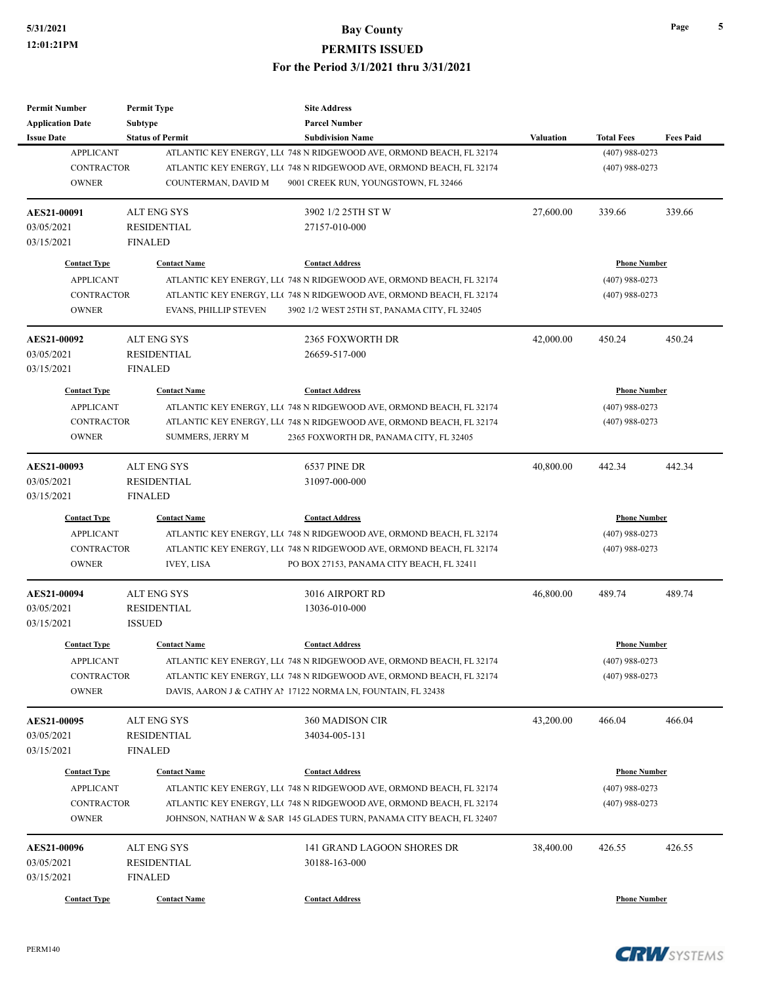| <b>Permit Number</b>                    | <b>Permit Type</b>           | <b>Site Address</b>                                                                            |                  |                                         |                  |
|-----------------------------------------|------------------------------|------------------------------------------------------------------------------------------------|------------------|-----------------------------------------|------------------|
| <b>Application Date</b>                 | Subtype                      | <b>Parcel Number</b>                                                                           |                  |                                         |                  |
| <b>Issue Date</b>                       | <b>Status of Permit</b>      | <b>Subdivision Name</b>                                                                        | <b>Valuation</b> | <b>Total Fees</b>                       | <b>Fees Paid</b> |
| <b>APPLICANT</b>                        |                              | ATLANTIC KEY ENERGY, LLC 748 N RIDGEWOOD AVE, ORMOND BEACH, FL 32174                           |                  | $(407)$ 988-0273                        |                  |
| <b>CONTRACTOR</b>                       |                              | ATLANTIC KEY ENERGY, LLC 748 N RIDGEWOOD AVE, ORMOND BEACH, FL 32174                           |                  | $(407)$ 988-0273                        |                  |
| <b>OWNER</b>                            | COUNTERMAN, DAVID M          | 9001 CREEK RUN, YOUNGSTOWN, FL 32466                                                           |                  |                                         |                  |
| AES21-00091                             | <b>ALT ENG SYS</b>           | 3902 1/2 25TH ST W                                                                             | 27,600.00        | 339.66                                  | 339.66           |
| 03/05/2021                              | <b>RESIDENTIAL</b>           | 27157-010-000                                                                                  |                  |                                         |                  |
| 03/15/2021                              | <b>FINALED</b>               |                                                                                                |                  |                                         |                  |
| <b>Contact Type</b>                     | <b>Contact Name</b>          | <b>Contact Address</b>                                                                         |                  | <b>Phone Number</b>                     |                  |
| <b>APPLICANT</b>                        |                              | ATLANTIC KEY ENERGY, LL( 748 N RIDGEWOOD AVE, ORMOND BEACH, FL 32174                           |                  | $(407)$ 988-0273                        |                  |
| <b>CONTRACTOR</b>                       |                              | ATLANTIC KEY ENERGY, LLC 748 N RIDGEWOOD AVE, ORMOND BEACH, FL 32174                           |                  | $(407)$ 988-0273                        |                  |
| <b>OWNER</b>                            | <b>EVANS, PHILLIP STEVEN</b> | 3902 1/2 WEST 25TH ST, PANAMA CITY, FL 32405                                                   |                  |                                         |                  |
| AES21-00092                             | <b>ALT ENG SYS</b>           | 2365 FOXWORTH DR                                                                               | 42,000.00        | 450.24                                  | 450.24           |
| 03/05/2021                              | <b>RESIDENTIAL</b>           | 26659-517-000                                                                                  |                  |                                         |                  |
| 03/15/2021                              | <b>FINALED</b>               |                                                                                                |                  |                                         |                  |
| <b>Contact Type</b>                     | <b>Contact Name</b>          | <b>Contact Address</b>                                                                         |                  | <b>Phone Number</b>                     |                  |
| <b>APPLICANT</b>                        |                              | ATLANTIC KEY ENERGY, LLC 748 N RIDGEWOOD AVE, ORMOND BEACH, FL 32174                           |                  | $(407)$ 988-0273                        |                  |
| <b>CONTRACTOR</b>                       |                              | ATLANTIC KEY ENERGY, LLC 748 N RIDGEWOOD AVE, ORMOND BEACH, FL 32174                           |                  | $(407)$ 988-0273                        |                  |
| <b>OWNER</b>                            | <b>SUMMERS, JERRY M</b>      | 2365 FOXWORTH DR, PANAMA CITY, FL 32405                                                        |                  |                                         |                  |
|                                         |                              |                                                                                                |                  |                                         |                  |
| AES21-00093                             | <b>ALT ENG SYS</b>           | 6537 PINE DR                                                                                   | 40,800.00        | 442.34                                  | 442.34           |
| 03/05/2021                              | <b>RESIDENTIAL</b>           | 31097-000-000                                                                                  |                  |                                         |                  |
| 03/15/2021                              | <b>FINALED</b>               |                                                                                                |                  |                                         |                  |
| <b>Contact Type</b>                     | <b>Contact Name</b>          | <b>Contact Address</b>                                                                         |                  | <b>Phone Number</b>                     |                  |
| <b>APPLICANT</b>                        |                              | ATLANTIC KEY ENERGY, LLC 748 N RIDGEWOOD AVE, ORMOND BEACH, FL 32174                           |                  | $(407)$ 988-0273                        |                  |
| <b>CONTRACTOR</b>                       |                              | ATLANTIC KEY ENERGY, LLC 748 N RIDGEWOOD AVE, ORMOND BEACH, FL 32174                           |                  | $(407)$ 988-0273                        |                  |
| <b>OWNER</b>                            | <b>IVEY, LISA</b>            | PO BOX 27153, PANAMA CITY BEACH, FL 32411                                                      |                  |                                         |                  |
| AES21-00094                             | <b>ALT ENG SYS</b>           | 3016 AIRPORT RD                                                                                | 46,800.00        | 489.74                                  | 489.74           |
| 03/05/2021                              | <b>RESIDENTIAL</b>           | 13036-010-000                                                                                  |                  |                                         |                  |
| 03/15/2021                              | <b>ISSUED</b>                |                                                                                                |                  |                                         |                  |
| <b>Contact Type</b>                     | <b>Contact Name</b>          | <b>Contact Address</b>                                                                         |                  | <b>Phone Number</b>                     |                  |
| <b>APPLICANT</b>                        |                              | ATLANTIC KEY ENERGY, LLC 748 N RIDGEWOOD AVE, ORMOND BEACH, FL 32174                           |                  | $(407)$ 988-0273                        |                  |
| CONTRACTOR                              |                              | ATLANTIC KEY ENERGY, LLC 748 N RIDGEWOOD AVE, ORMOND BEACH, FL 32174                           |                  | $(407)$ 988-0273                        |                  |
| <b>OWNER</b>                            |                              | DAVIS, AARON J & CATHY AP 17122 NORMA LN, FOUNTAIN, FL 32438                                   |                  |                                         |                  |
| AES21-00095                             | <b>ALT ENG SYS</b>           | 360 MADISON CIR                                                                                | 43,200.00        | 466.04                                  | 466.04           |
| 03/05/2021                              | <b>RESIDENTIAL</b>           | 34034-005-131                                                                                  |                  |                                         |                  |
| 03/15/2021                              | <b>FINALED</b>               |                                                                                                |                  |                                         |                  |
|                                         |                              |                                                                                                |                  |                                         |                  |
| <b>Contact Type</b><br><b>APPLICANT</b> | <b>Contact Name</b>          | <b>Contact Address</b><br>ATLANTIC KEY ENERGY, LLC 748 N RIDGEWOOD AVE, ORMOND BEACH, FL 32174 |                  | <b>Phone Number</b><br>$(407)$ 988-0273 |                  |
| CONTRACTOR                              |                              | ATLANTIC KEY ENERGY, LLC 748 N RIDGEWOOD AVE, ORMOND BEACH, FL 32174                           |                  |                                         |                  |
| <b>OWNER</b>                            |                              | JOHNSON, NATHAN W & SAR 145 GLADES TURN, PANAMA CITY BEACH, FL 32407                           |                  | $(407)$ 988-0273                        |                  |
|                                         |                              |                                                                                                |                  |                                         |                  |
| AES21-00096                             | <b>ALT ENG SYS</b>           | 141 GRAND LAGOON SHORES DR                                                                     | 38,400.00        | 426.55                                  | 426.55           |
| 03/05/2021                              | <b>RESIDENTIAL</b>           | 30188-163-000                                                                                  |                  |                                         |                  |
| 03/15/2021                              | <b>FINALED</b>               |                                                                                                |                  |                                         |                  |
| <b>Contact Type</b>                     | <b>Contact Name</b>          | <b>Contact Address</b>                                                                         |                  | <b>Phone Number</b>                     |                  |

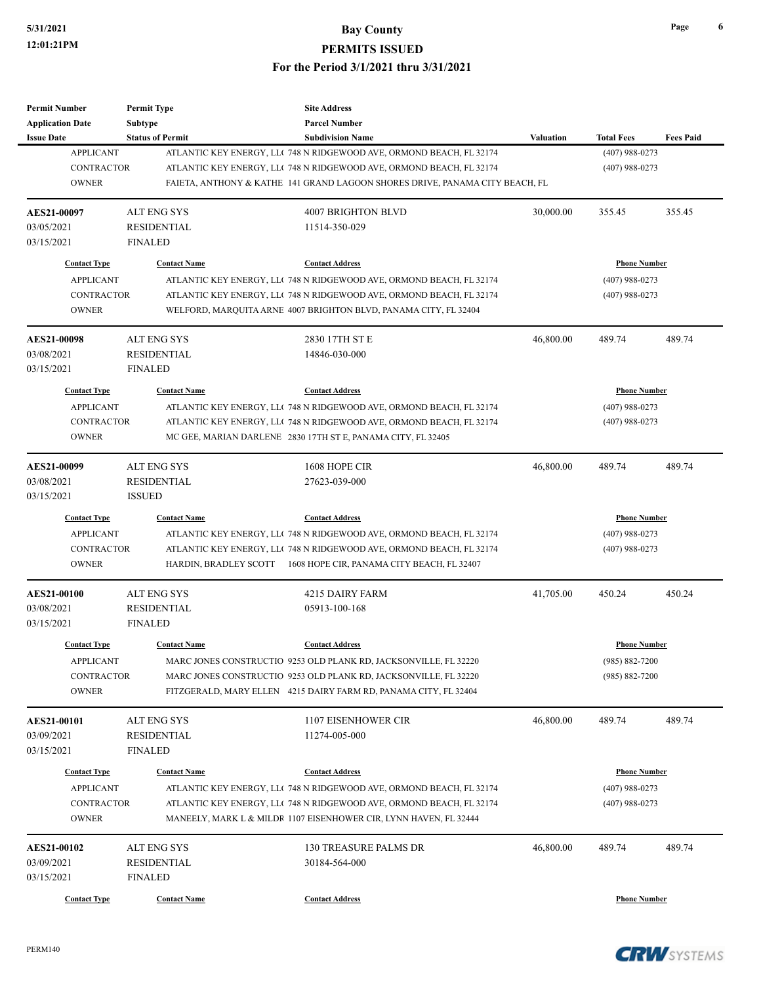| <b>Permit Number</b>    | <b>Permit Type</b>      | <b>Site Address</b>                                                          |           |                     |                  |
|-------------------------|-------------------------|------------------------------------------------------------------------------|-----------|---------------------|------------------|
| <b>Application Date</b> | <b>Subtype</b>          | <b>Parcel Number</b>                                                         |           |                     |                  |
| <b>Issue Date</b>       | <b>Status of Permit</b> | <b>Subdivision Name</b>                                                      | Valuation | <b>Total Fees</b>   | <b>Fees Paid</b> |
| <b>APPLICANT</b>        |                         | ATLANTIC KEY ENERGY, LLC 748 N RIDGEWOOD AVE, ORMOND BEACH, FL 32174         |           | $(407)$ 988-0273    |                  |
| <b>CONTRACTOR</b>       |                         | ATLANTIC KEY ENERGY, LLC 748 N RIDGEWOOD AVE, ORMOND BEACH, FL 32174         |           | $(407)$ 988-0273    |                  |
| <b>OWNER</b>            |                         | FAIETA, ANTHONY & KATHE 141 GRAND LAGOON SHORES DRIVE, PANAMA CITY BEACH, FL |           |                     |                  |
| AES21-00097             | <b>ALT ENG SYS</b>      | 4007 BRIGHTON BLVD                                                           | 30,000.00 | 355.45              | 355.45           |
| 03/05/2021              | <b>RESIDENTIAL</b>      | 11514-350-029                                                                |           |                     |                  |
| 03/15/2021              | <b>FINALED</b>          |                                                                              |           |                     |                  |
| <b>Contact Type</b>     | <b>Contact Name</b>     | <b>Contact Address</b>                                                       |           | <b>Phone Number</b> |                  |
| <b>APPLICANT</b>        |                         | ATLANTIC KEY ENERGY, LLC 748 N RIDGEWOOD AVE, ORMOND BEACH, FL 32174         |           | $(407)$ 988-0273    |                  |
| <b>CONTRACTOR</b>       |                         | ATLANTIC KEY ENERGY, LLC 748 N RIDGEWOOD AVE, ORMOND BEACH, FL 32174         |           | $(407)$ 988-0273    |                  |
| <b>OWNER</b>            |                         | WELFORD, MARQUITA ARNE 4007 BRIGHTON BLVD, PANAMA CITY, FL 32404             |           |                     |                  |
| <b>AES21-00098</b>      | <b>ALT ENG SYS</b>      | 2830 17TH ST E                                                               | 46,800.00 | 489.74              | 489.74           |
| 03/08/2021              | <b>RESIDENTIAL</b>      | 14846-030-000                                                                |           |                     |                  |
| 03/15/2021              | <b>FINALED</b>          |                                                                              |           |                     |                  |
| <b>Contact Type</b>     | <b>Contact Name</b>     | <b>Contact Address</b>                                                       |           | <b>Phone Number</b> |                  |
| <b>APPLICANT</b>        |                         | ATLANTIC KEY ENERGY, LL(748 N RIDGEWOOD AVE, ORMOND BEACH, FL 32174          |           | $(407)$ 988-0273    |                  |
| <b>CONTRACTOR</b>       |                         | ATLANTIC KEY ENERGY, LLC 748 N RIDGEWOOD AVE, ORMOND BEACH, FL 32174         |           | $(407)$ 988-0273    |                  |
| <b>OWNER</b>            |                         | MC GEE, MARIAN DARLENE 2830 17TH ST E, PANAMA CITY, FL 32405                 |           |                     |                  |
|                         |                         |                                                                              |           |                     |                  |
| AES21-00099             | <b>ALT ENG SYS</b>      | 1608 HOPE CIR                                                                | 46,800.00 | 489.74              | 489.74           |
| 03/08/2021              | <b>RESIDENTIAL</b>      | 27623-039-000                                                                |           |                     |                  |
| 03/15/2021              | <b>ISSUED</b>           |                                                                              |           |                     |                  |
| <b>Contact Type</b>     | <b>Contact Name</b>     | <b>Contact Address</b>                                                       |           | <b>Phone Number</b> |                  |
| <b>APPLICANT</b>        |                         | ATLANTIC KEY ENERGY, LLC 748 N RIDGEWOOD AVE, ORMOND BEACH, FL 32174         |           | $(407)$ 988-0273    |                  |
| <b>CONTRACTOR</b>       |                         | ATLANTIC KEY ENERGY, LLC 748 N RIDGEWOOD AVE, ORMOND BEACH, FL 32174         |           | $(407)$ 988-0273    |                  |
| <b>OWNER</b>            | HARDIN, BRADLEY SCOTT   | 1608 HOPE CIR, PANAMA CITY BEACH, FL 32407                                   |           |                     |                  |
| AES21-00100             | <b>ALT ENG SYS</b>      | 4215 DAIRY FARM                                                              | 41,705.00 | 450.24              | 450.24           |
| 03/08/2021              | <b>RESIDENTIAL</b>      | 05913-100-168                                                                |           |                     |                  |
| 03/15/2021              | <b>FINALED</b>          |                                                                              |           |                     |                  |
| <b>Contact Type</b>     | <b>Contact Name</b>     | <b>Contact Address</b>                                                       |           | <b>Phone Number</b> |                  |
| APPLICANT               |                         | MARC JONES CONSTRUCTIO 9253 OLD PLANK RD, JACKSONVILLE, FL 32220             |           | (985) 882-7200      |                  |
| CONTRACTOR              |                         | MARC JONES CONSTRUCTIO 9253 OLD PLANK RD, JACKSONVILLE, FL 32220             |           | $(985) 882 - 7200$  |                  |
| <b>OWNER</b>            |                         | FITZGERALD, MARY ELLEN 4215 DAIRY FARM RD, PANAMA CITY, FL 32404             |           |                     |                  |
| <b>AES21-00101</b>      | <b>ALT ENG SYS</b>      | 1107 EISENHOWER CIR                                                          | 46,800.00 | 489.74              | 489.74           |
| 03/09/2021              | <b>RESIDENTIAL</b>      | 11274-005-000                                                                |           |                     |                  |
| 03/15/2021              | <b>FINALED</b>          |                                                                              |           |                     |                  |
| <b>Contact Type</b>     | <b>Contact Name</b>     | <b>Contact Address</b>                                                       |           | <b>Phone Number</b> |                  |
| <b>APPLICANT</b>        |                         | ATLANTIC KEY ENERGY, LLC 748 N RIDGEWOOD AVE, ORMOND BEACH, FL 32174         |           | $(407)$ 988-0273    |                  |
| CONTRACTOR              |                         | ATLANTIC KEY ENERGY, LLC 748 N RIDGEWOOD AVE, ORMOND BEACH, FL 32174         |           | $(407)$ 988-0273    |                  |
| <b>OWNER</b>            |                         | MANEELY, MARK L & MILDR 1107 EISENHOWER CIR, LYNN HAVEN, FL 32444            |           |                     |                  |
|                         |                         |                                                                              |           |                     |                  |
| AES21-00102             | <b>ALT ENG SYS</b>      | <b>130 TREASURE PALMS DR</b>                                                 | 46,800.00 | 489.74              | 489.74           |
| 03/09/2021              | <b>RESIDENTIAL</b>      | 30184-564-000                                                                |           |                     |                  |
| 03/15/2021              | <b>FINALED</b>          |                                                                              |           |                     |                  |
| <b>Contact Type</b>     | <b>Contact Name</b>     | <b>Contact Address</b>                                                       |           | <b>Phone Number</b> |                  |



**Page 6**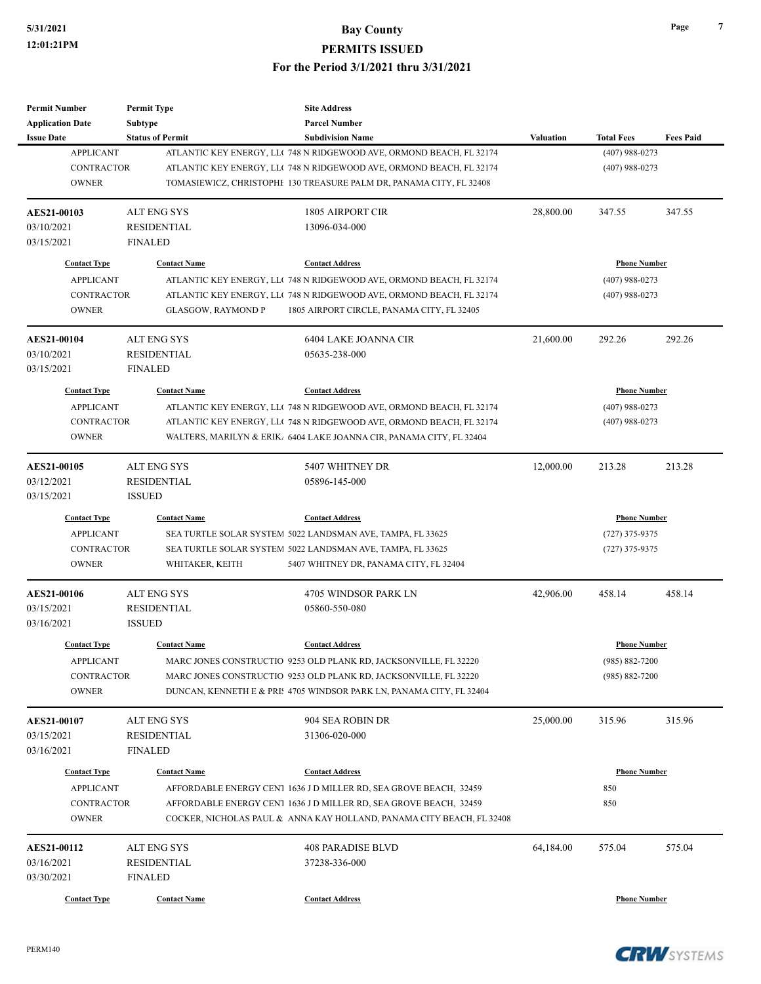| <b>Permit Number</b>                    | <b>Permit Type</b>        | <b>Site Address</b>                                                                                                                        |           |                            |                  |
|-----------------------------------------|---------------------------|--------------------------------------------------------------------------------------------------------------------------------------------|-----------|----------------------------|------------------|
| <b>Application Date</b>                 | Subtype                   | <b>Parcel Number</b>                                                                                                                       |           |                            |                  |
| <b>Issue Date</b>                       | <b>Status of Permit</b>   | <b>Subdivision Name</b>                                                                                                                    | Valuation | <b>Total Fees</b>          | <b>Fees Paid</b> |
| <b>APPLICANT</b>                        |                           | ATLANTIC KEY ENERGY, LLC 748 N RIDGEWOOD AVE, ORMOND BEACH, FL 32174                                                                       |           | $(407)$ 988-0273           |                  |
| <b>CONTRACTOR</b>                       |                           | ATLANTIC KEY ENERGY, LLC 748 N RIDGEWOOD AVE, ORMOND BEACH, FL 32174                                                                       |           | $(407)$ 988-0273           |                  |
| <b>OWNER</b>                            |                           | TOMASIEWICZ, CHRISTOPHE 130 TREASURE PALM DR, PANAMA CITY, FL 32408                                                                        |           |                            |                  |
| AES21-00103                             | <b>ALT ENG SYS</b>        | <b>1805 AIRPORT CIR</b>                                                                                                                    | 28,800.00 | 347.55                     | 347.55           |
| 03/10/2021                              | <b>RESIDENTIAL</b>        | 13096-034-000                                                                                                                              |           |                            |                  |
| 03/15/2021                              | <b>FINALED</b>            |                                                                                                                                            |           |                            |                  |
| <b>Contact Type</b>                     | <b>Contact Name</b>       | <b>Contact Address</b>                                                                                                                     |           | <b>Phone Number</b>        |                  |
| <b>APPLICANT</b>                        |                           | ATLANTIC KEY ENERGY, LLC 748 N RIDGEWOOD AVE, ORMOND BEACH, FL 32174                                                                       |           | $(407)$ 988-0273           |                  |
| <b>CONTRACTOR</b>                       |                           | ATLANTIC KEY ENERGY, LLC 748 N RIDGEWOOD AVE, ORMOND BEACH, FL 32174                                                                       |           | $(407)$ 988-0273           |                  |
| <b>OWNER</b>                            | <b>GLASGOW, RAYMOND P</b> | 1805 AIRPORT CIRCLE, PANAMA CITY, FL 32405                                                                                                 |           |                            |                  |
| AES21-00104                             | ALT ENG SYS               | 6404 LAKE JOANNA CIR                                                                                                                       | 21,600.00 | 292.26                     | 292.26           |
| 03/10/2021                              | <b>RESIDENTIAL</b>        | 05635-238-000                                                                                                                              |           |                            |                  |
| 03/15/2021                              | <b>FINALED</b>            |                                                                                                                                            |           |                            |                  |
| <b>Contact Type</b>                     | <b>Contact Name</b>       | <b>Contact Address</b>                                                                                                                     |           | <b>Phone Number</b>        |                  |
| <b>APPLICANT</b>                        |                           | ATLANTIC KEY ENERGY, LLC 748 N RIDGEWOOD AVE, ORMOND BEACH, FL 32174                                                                       |           | $(407)$ 988-0273           |                  |
| <b>CONTRACTOR</b>                       |                           | ATLANTIC KEY ENERGY, LLC 748 N RIDGEWOOD AVE, ORMOND BEACH, FL 32174                                                                       |           | $(407)$ 988-0273           |                  |
| <b>OWNER</b>                            |                           | WALTERS, MARILYN & ERIK. 6404 LAKE JOANNA CIR, PANAMA CITY, FL 32404                                                                       |           |                            |                  |
|                                         |                           |                                                                                                                                            |           |                            |                  |
| <b>AES21-00105</b>                      | <b>ALT ENG SYS</b>        | 5407 WHITNEY DR                                                                                                                            | 12,000.00 | 213.28                     | 213.28           |
| 03/12/2021                              | <b>RESIDENTIAL</b>        | 05896-145-000                                                                                                                              |           |                            |                  |
| 03/15/2021                              | <b>ISSUED</b>             |                                                                                                                                            |           |                            |                  |
| <b>Contact Type</b>                     | <b>Contact Name</b>       | <b>Contact Address</b>                                                                                                                     |           | <b>Phone Number</b>        |                  |
| <b>APPLICANT</b>                        |                           | SEA TURTLE SOLAR SYSTEM 5022 LANDSMAN AVE, TAMPA, FL 33625                                                                                 |           | $(727)$ 375-9375           |                  |
| <b>CONTRACTOR</b>                       |                           | SEA TURTLE SOLAR SYSTEM 5022 LANDSMAN AVE, TAMPA, FL 33625                                                                                 |           | $(727)$ 375-9375           |                  |
| <b>OWNER</b>                            | WHITAKER, KEITH           | 5407 WHITNEY DR, PANAMA CITY, FL 32404                                                                                                     |           |                            |                  |
| <b>AES21-00106</b>                      | <b>ALT ENG SYS</b>        | 4705 WINDSOR PARK LN                                                                                                                       | 42,906.00 | 458.14                     | 458.14           |
| 03/15/2021                              | <b>RESIDENTIAL</b>        | 05860-550-080                                                                                                                              |           |                            |                  |
| 03/16/2021                              | <b>ISSUED</b>             |                                                                                                                                            |           |                            |                  |
| <b>Contact Type</b>                     | <b>Contact Name</b>       | <b>Contact Address</b>                                                                                                                     |           | <b>Phone Number</b>        |                  |
| <b>APPLICANT</b>                        |                           | MARC JONES CONSTRUCTIO 9253 OLD PLANK RD, JACKSONVILLE, FL 32220                                                                           |           | $(985) 882 - 7200$         |                  |
| CONTRACTOR                              |                           | MARC JONES CONSTRUCTIO 9253 OLD PLANK RD, JACKSONVILLE, FL 32220                                                                           |           | $(985) 882 - 7200$         |                  |
| <b>OWNER</b>                            |                           | DUNCAN, KENNETH E & PRI: 4705 WINDSOR PARK LN, PANAMA CITY, FL 32404                                                                       |           |                            |                  |
| <b>AES21-00107</b>                      | ALT ENG SYS               | 904 SEA ROBIN DR                                                                                                                           | 25,000.00 | 315.96                     | 315.96           |
| 03/15/2021                              | <b>RESIDENTIAL</b>        | 31306-020-000                                                                                                                              |           |                            |                  |
| 03/16/2021                              | <b>FINALED</b>            |                                                                                                                                            |           |                            |                  |
|                                         |                           |                                                                                                                                            |           |                            |                  |
| <b>Contact Type</b><br><b>APPLICANT</b> | <b>Contact Name</b>       | <b>Contact Address</b><br>AFFORDABLE ENERGY CEN1 1636 J D MILLER RD, SEA GROVE BEACH, 32459                                                |           | <b>Phone Number</b><br>850 |                  |
|                                         |                           |                                                                                                                                            |           |                            |                  |
| CONTRACTOR<br><b>OWNER</b>              |                           | AFFORDABLE ENERGY CEN1 1636 J D MILLER RD, SEA GROVE BEACH, 32459<br>COCKER, NICHOLAS PAUL & ANNA KAY HOLLAND, PANAMA CITY BEACH, FL 32408 |           | 850                        |                  |
|                                         |                           |                                                                                                                                            |           |                            |                  |
| AES21-00112                             | <b>ALT ENG SYS</b>        | 408 PARADISE BLVD                                                                                                                          | 64,184.00 | 575.04                     | 575.04           |
| 03/16/2021                              | RESIDENTIAL               | 37238-336-000                                                                                                                              |           |                            |                  |
| 03/30/2021                              | <b>FINALED</b>            |                                                                                                                                            |           |                            |                  |
| <b>Contact Type</b>                     | <b>Contact Name</b>       | <b>Contact Address</b>                                                                                                                     |           | <b>Phone Number</b>        |                  |



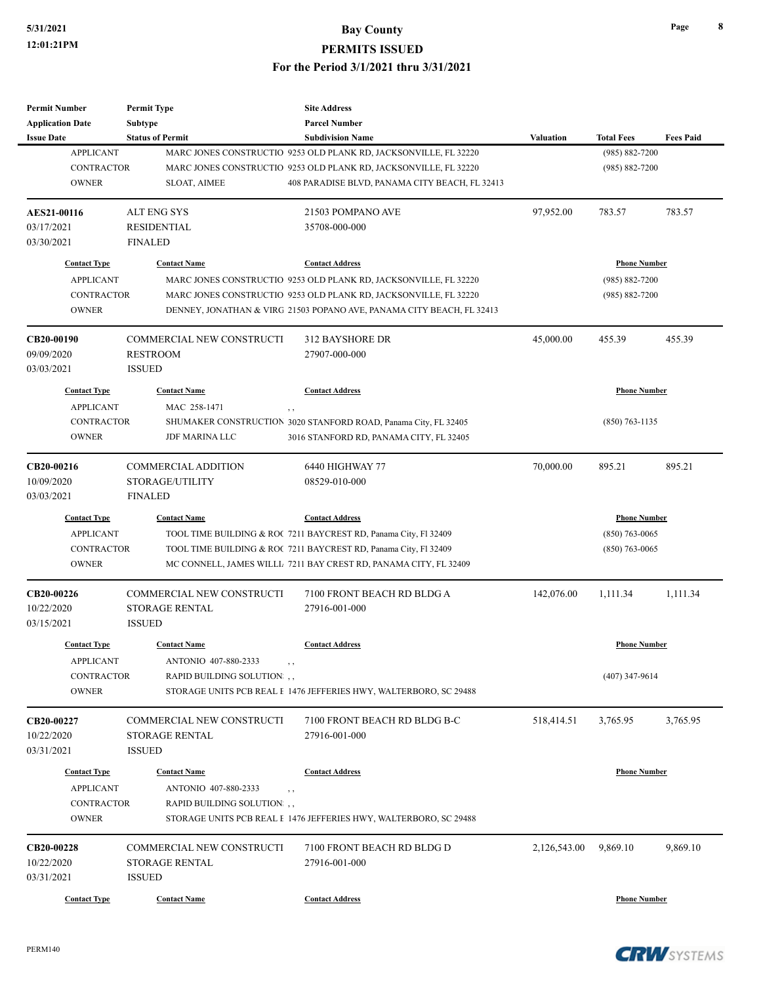| <b>Permit Number</b>     | <b>Permit Type</b>          | <b>Site Address</b>                                                   |              |                     |                  |
|--------------------------|-----------------------------|-----------------------------------------------------------------------|--------------|---------------------|------------------|
| <b>Application Date</b>  | <b>Subtype</b>              | <b>Parcel Number</b>                                                  |              |                     |                  |
| <b>Issue Date</b>        | <b>Status of Permit</b>     | <b>Subdivision Name</b>                                               | Valuation    | <b>Total Fees</b>   | <b>Fees Paid</b> |
| <b>APPLICANT</b>         |                             | MARC JONES CONSTRUCTIO 9253 OLD PLANK RD, JACKSONVILLE, FL 32220      |              | (985) 882-7200      |                  |
| <b>CONTRACTOR</b>        |                             | MARC JONES CONSTRUCTIO 9253 OLD PLANK RD, JACKSONVILLE, FL 32220      |              | $(985) 882 - 7200$  |                  |
| <b>OWNER</b>             | SLOAT, AIMEE                | 408 PARADISE BLVD, PANAMA CITY BEACH, FL 32413                        |              |                     |                  |
| AES21-00116              | ALT ENG SYS                 | 21503 POMPANO AVE                                                     | 97,952.00    | 783.57              | 783.57           |
| 03/17/2021               | <b>RESIDENTIAL</b>          | 35708-000-000                                                         |              |                     |                  |
|                          | <b>FINALED</b>              |                                                                       |              |                     |                  |
| 03/30/2021               |                             |                                                                       |              |                     |                  |
| <b>Contact Type</b>      | <b>Contact Name</b>         | <b>Contact Address</b>                                                |              | <b>Phone Number</b> |                  |
| <b>APPLICANT</b>         |                             | MARC JONES CONSTRUCTIO 9253 OLD PLANK RD, JACKSONVILLE, FL 32220      |              | (985) 882-7200      |                  |
| <b>CONTRACTOR</b>        |                             | MARC JONES CONSTRUCTIO 9253 OLD PLANK RD, JACKSONVILLE, FL 32220      |              | (985) 882-7200      |                  |
| <b>OWNER</b>             |                             | DENNEY, JONATHAN & VIRG 21503 POPANO AVE, PANAMA CITY BEACH, FL 32413 |              |                     |                  |
| CB20-00190               | COMMERCIAL NEW CONSTRUCTI   | 312 BAYSHORE DR                                                       | 45,000.00    | 455.39              | 455.39           |
| 09/09/2020               | <b>RESTROOM</b>             | 27907-000-000                                                         |              |                     |                  |
| 03/03/2021               | <b>ISSUED</b>               |                                                                       |              |                     |                  |
| <b>Contact Type</b>      | <b>Contact Name</b>         | <b>Contact Address</b>                                                |              | <b>Phone Number</b> |                  |
| <b>APPLICANT</b>         | MAC 258-1471                |                                                                       |              |                     |                  |
| <b>CONTRACTOR</b>        | $, \, ,$                    | SHUMAKER CONSTRUCTION 3020 STANFORD ROAD, Panama City, FL 32405       |              | $(850)$ 763-1135    |                  |
| <b>OWNER</b>             | <b>JDF MARINA LLC</b>       | 3016 STANFORD RD, PANAMA CITY, FL 32405                               |              |                     |                  |
|                          |                             |                                                                       |              |                     |                  |
| CB20-00216               | <b>COMMERCIAL ADDITION</b>  | 6440 HIGHWAY 77                                                       | 70,000.00    | 895.21              | 895.21           |
| 10/09/2020               | STORAGE/UTILITY             | 08529-010-000                                                         |              |                     |                  |
| 03/03/2021               | <b>FINALED</b>              |                                                                       |              |                     |                  |
| <b>Contact Type</b>      | <b>Contact Name</b>         | <b>Contact Address</b>                                                |              | <b>Phone Number</b> |                  |
| <b>APPLICANT</b>         |                             | TOOL TIME BUILDING & ROC 7211 BAYCREST RD, Panama City, Fl 32409      |              | $(850)$ 763-0065    |                  |
| <b>CONTRACTOR</b>        |                             | TOOL TIME BUILDING & ROC 7211 BAYCREST RD, Panama City, Fl 32409      |              | $(850)$ 763-0065    |                  |
| <b>OWNER</b>             |                             | MC CONNELL, JAMES WILLL 7211 BAY CREST RD, PANAMA CITY, FL 32409      |              |                     |                  |
|                          |                             |                                                                       |              |                     |                  |
| CB20-00226               | COMMERCIAL NEW CONSTRUCTI   | 7100 FRONT BEACH RD BLDG A                                            | 142,076.00   | 1,111.34            | 1,111.34         |
| 10/22/2020               | <b>STORAGE RENTAL</b>       | 27916-001-000                                                         |              |                     |                  |
| 03/15/2021               | <b>ISSUED</b>               |                                                                       |              |                     |                  |
| <b>Contact Type</b>      | <b>Contact Name</b>         | <b>Contact Address</b>                                                |              | <b>Phone Number</b> |                  |
| <b>APPLICANT</b>         | ANTONIO 407-880-2333        |                                                                       |              |                     |                  |
| CONTRACTOR               | RAPID BUILDING SOLUTION , , |                                                                       |              | $(407)$ 347-9614    |                  |
| <b>OWNER</b>             |                             | STORAGE UNITS PCB REAL E 1476 JEFFERIES HWY, WALTERBORO, SC 29488     |              |                     |                  |
|                          | COMMERCIAL NEW CONSTRUCTI   | 7100 FRONT BEACH RD BLDG B-C                                          | 518,414.51   | 3,765.95            | 3,765.95         |
| CB20-00227<br>10/22/2020 | STORAGE RENTAL              | 27916-001-000                                                         |              |                     |                  |
|                          |                             |                                                                       |              |                     |                  |
| 03/31/2021               | <b>ISSUED</b>               |                                                                       |              |                     |                  |
| <b>Contact Type</b>      | <b>Contact Name</b>         | <b>Contact Address</b>                                                |              | <b>Phone Number</b> |                  |
| <b>APPLICANT</b>         | ANTONIO 407-880-2333        | , ,                                                                   |              |                     |                  |
| <b>CONTRACTOR</b>        | RAPID BUILDING SOLUTION,    |                                                                       |              |                     |                  |
| <b>OWNER</b>             |                             | STORAGE UNITS PCB REAL E 1476 JEFFERIES HWY, WALTERBORO, SC 29488     |              |                     |                  |
| CB20-00228               | COMMERCIAL NEW CONSTRUCTI   | 7100 FRONT BEACH RD BLDG D                                            | 2,126,543.00 | 9,869.10            | 9,869.10         |
| 10/22/2020               | STORAGE RENTAL              | 27916-001-000                                                         |              |                     |                  |
| 03/31/2021               | <b>ISSUED</b>               |                                                                       |              |                     |                  |
|                          |                             |                                                                       |              |                     |                  |
| <b>Contact Type</b>      | <b>Contact Name</b>         | <b>Contact Address</b>                                                |              | <b>Phone Number</b> |                  |



**Page 8**

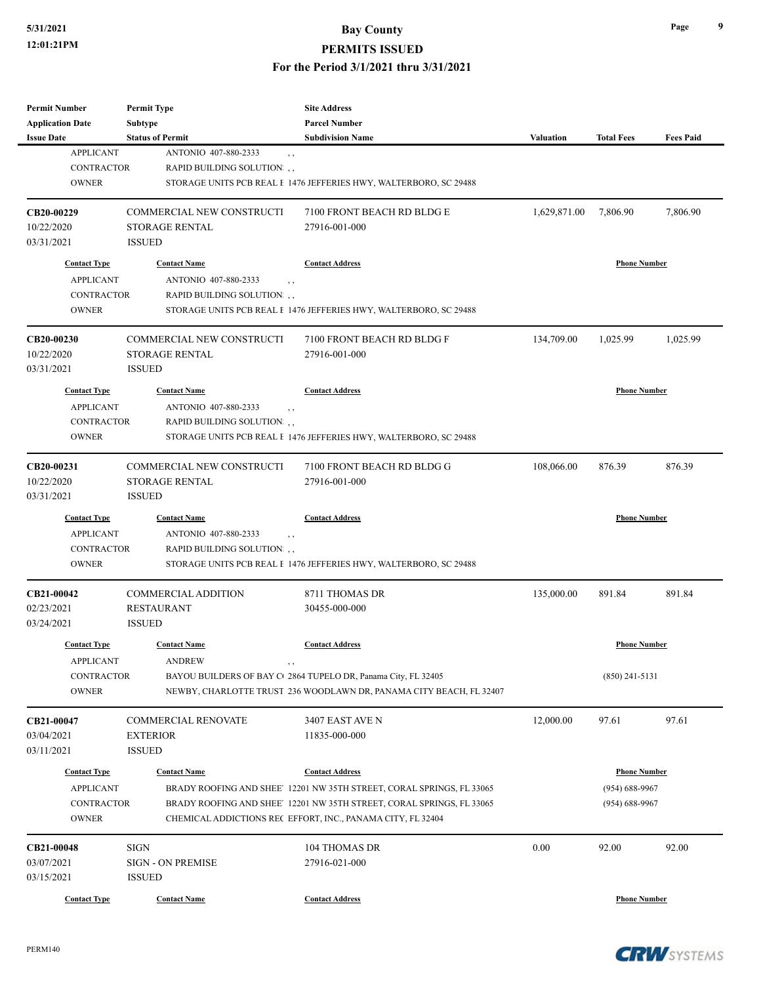#### **5/31/2021 Bay County**

#### **PERMITS ISSUED**

**For the Period 3/1/2021 thru 3/31/2021**

| <b>Permit Number</b>              | <b>Permit Type</b>           | <b>Site Address</b>                                                                                                                  |                  |                     |                  |
|-----------------------------------|------------------------------|--------------------------------------------------------------------------------------------------------------------------------------|------------------|---------------------|------------------|
| <b>Application Date</b>           | Subtype                      | <b>Parcel Number</b>                                                                                                                 |                  |                     |                  |
| <b>Issue Date</b>                 | <b>Status of Permit</b>      | <b>Subdivision Name</b>                                                                                                              | <b>Valuation</b> | <b>Total Fees</b>   | <b>Fees Paid</b> |
| <b>APPLICANT</b>                  | ANTONIO 407-880-2333         | , ,                                                                                                                                  |                  |                     |                  |
| <b>CONTRACTOR</b>                 | RAPID BUILDING SOLUTION.,    |                                                                                                                                      |                  |                     |                  |
| <b>OWNER</b>                      |                              | STORAGE UNITS PCB REAL E 1476 JEFFERIES HWY, WALTERBORO, SC 29488                                                                    |                  |                     |                  |
| CB20-00229                        | COMMERCIAL NEW CONSTRUCTI    | 7100 FRONT BEACH RD BLDG E                                                                                                           | 1,629,871.00     | 7,806.90            | 7,806.90         |
| 10/22/2020                        | <b>STORAGE RENTAL</b>        | 27916-001-000                                                                                                                        |                  |                     |                  |
| 03/31/2021                        | <b>ISSUED</b>                |                                                                                                                                      |                  |                     |                  |
| <b>Contact Type</b>               | <b>Contact Name</b>          | <b>Contact Address</b>                                                                                                               |                  | <b>Phone Number</b> |                  |
| <b>APPLICANT</b>                  | ANTONIO 407-880-2333         | , ,                                                                                                                                  |                  |                     |                  |
| <b>CONTRACTOR</b>                 | RAPID BUILDING SOLUTION,     |                                                                                                                                      |                  |                     |                  |
| <b>OWNER</b>                      |                              | STORAGE UNITS PCB REAL E 1476 JEFFERIES HWY, WALTERBORO, SC 29488                                                                    |                  |                     |                  |
| CB20-00230                        | COMMERCIAL NEW CONSTRUCTI    | 7100 FRONT BEACH RD BLDG F                                                                                                           | 134,709.00       | 1,025.99            | 1,025.99         |
| 10/22/2020                        | <b>STORAGE RENTAL</b>        | 27916-001-000                                                                                                                        |                  |                     |                  |
| 03/31/2021                        | <b>ISSUED</b>                |                                                                                                                                      |                  |                     |                  |
| <b>Contact Type</b>               | <b>Contact Name</b>          | <b>Contact Address</b>                                                                                                               |                  | <b>Phone Number</b> |                  |
| <b>APPLICANT</b>                  | ANTONIO 407-880-2333         |                                                                                                                                      |                  |                     |                  |
| <b>CONTRACTOR</b>                 | RAPID BUILDING SOLUTION: , , | $, \, , \,$                                                                                                                          |                  |                     |                  |
| <b>OWNER</b>                      |                              | STORAGE UNITS PCB REAL E 1476 JEFFERIES HWY, WALTERBORO, SC 29488                                                                    |                  |                     |                  |
|                                   |                              |                                                                                                                                      |                  |                     |                  |
| CB20-00231                        | COMMERCIAL NEW CONSTRUCTI    | 7100 FRONT BEACH RD BLDG G                                                                                                           | 108,066.00       | 876.39              | 876.39           |
| 10/22/2020                        | <b>STORAGE RENTAL</b>        | 27916-001-000                                                                                                                        |                  |                     |                  |
| 03/31/2021                        | <b>ISSUED</b>                |                                                                                                                                      |                  |                     |                  |
| <b>Contact Type</b>               | <b>Contact Name</b>          | <b>Contact Address</b>                                                                                                               |                  | <b>Phone Number</b> |                  |
| <b>APPLICANT</b>                  | ANTONIO 407-880-2333         | , ,                                                                                                                                  |                  |                     |                  |
| <b>CONTRACTOR</b>                 | RAPID BUILDING SOLUTION: ,,  |                                                                                                                                      |                  |                     |                  |
| <b>OWNER</b>                      |                              | STORAGE UNITS PCB REAL E 1476 JEFFERIES HWY, WALTERBORO, SC 29488                                                                    |                  |                     |                  |
| CB21-00042                        | <b>COMMERCIAL ADDITION</b>   | 8711 THOMAS DR                                                                                                                       | 135,000.00       | 891.84              | 891.84           |
| 02/23/2021                        | <b>RESTAURANT</b>            | 30455-000-000                                                                                                                        |                  |                     |                  |
| 03/24/2021                        | <b>ISSUED</b>                |                                                                                                                                      |                  |                     |                  |
| <b>Contact Type</b>               | <b>Contact Name</b>          | <b>Contact Address</b>                                                                                                               |                  | <b>Phone Number</b> |                  |
|                                   |                              |                                                                                                                                      |                  |                     |                  |
| <b>APPLICANT</b>                  | ANDREW                       | $, \, , \,$                                                                                                                          |                  |                     |                  |
| <b>CONTRACTOR</b><br><b>OWNER</b> |                              | BAYOU BUILDERS OF BAY C 2864 TUPELO DR, Panama City, FL 32405<br>NEWBY, CHARLOTTE TRUST 236 WOODLAWN DR, PANAMA CITY BEACH, FL 32407 |                  | $(850)$ 241-5131    |                  |
|                                   |                              |                                                                                                                                      | 12,000.00        | 97.61               | 97.61            |
| CB21-00047<br>03/04/2021          | <b>COMMERCIAL RENOVATE</b>   | 3407 EAST AVE N                                                                                                                      |                  |                     |                  |
|                                   | <b>EXTERIOR</b>              | 11835-000-000                                                                                                                        |                  |                     |                  |
| 03/11/2021                        | <b>ISSUED</b>                |                                                                                                                                      |                  |                     |                  |
| <b>Contact Type</b>               | <b>Contact Name</b>          | <b>Contact Address</b>                                                                                                               |                  | <b>Phone Number</b> |                  |
| <b>APPLICANT</b>                  |                              | BRADY ROOFING AND SHEE' 12201 NW 35TH STREET, CORAL SPRINGS, FL 33065                                                                |                  | $(954) 688 - 9967$  |                  |
| <b>CONTRACTOR</b>                 |                              | BRADY ROOFING AND SHEE' 12201 NW 35TH STREET, CORAL SPRINGS, FL 33065                                                                |                  | $(954) 688 - 9967$  |                  |
| <b>OWNER</b>                      |                              | CHEMICAL ADDICTIONS REC EFFORT, INC., PANAMA CITY, FL 32404                                                                          |                  |                     |                  |
| CB21-00048                        | <b>SIGN</b>                  | 104 THOMAS DR                                                                                                                        | 0.00             | 92.00               | 92.00            |
| 03/07/2021                        | <b>SIGN - ON PREMISE</b>     | 27916-021-000                                                                                                                        |                  |                     |                  |
| 03/15/2021                        | <b>ISSUED</b>                |                                                                                                                                      |                  |                     |                  |
| <b>Contact Type</b>               | <b>Contact Name</b>          | <b>Contact Address</b>                                                                                                               |                  | <b>Phone Number</b> |                  |
|                                   |                              |                                                                                                                                      |                  |                     |                  |

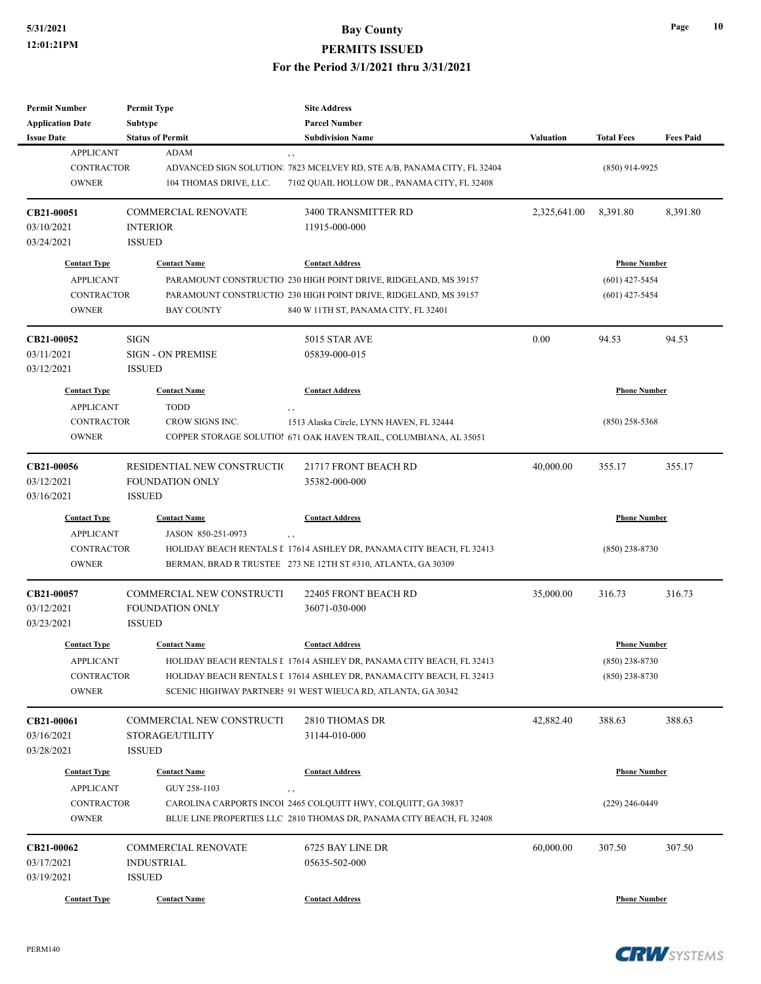| <b>Permit Number</b>    | <b>Permit Type</b>          | <b>Site Address</b>                                                     |                  |                     |                  |
|-------------------------|-----------------------------|-------------------------------------------------------------------------|------------------|---------------------|------------------|
| <b>Application Date</b> | Subtype                     | <b>Parcel Number</b>                                                    |                  |                     |                  |
| <b>Issue Date</b>       | <b>Status of Permit</b>     | <b>Subdivision Name</b>                                                 | <b>Valuation</b> | <b>Total Fees</b>   | <b>Fees Paid</b> |
| <b>APPLICANT</b>        | <b>ADAM</b>                 | , ,                                                                     |                  |                     |                  |
| <b>CONTRACTOR</b>       |                             | ADVANCED SIGN SOLUTION: 7823 MCELVEY RD, STE A/B, PANAMA CITY, FL 32404 |                  | $(850)$ 914-9925    |                  |
| <b>OWNER</b>            | 104 THOMAS DRIVE, LLC.      | 7102 QUAIL HOLLOW DR., PANAMA CITY, FL 32408                            |                  |                     |                  |
| CB21-00051              | <b>COMMERCIAL RENOVATE</b>  | 3400 TRANSMITTER RD                                                     | 2,325,641.00     | 8,391.80            | 8,391.80         |
| 03/10/2021              | <b>INTERIOR</b>             | 11915-000-000                                                           |                  |                     |                  |
| 03/24/2021              | <b>ISSUED</b>               |                                                                         |                  |                     |                  |
| <b>Contact Type</b>     | <b>Contact Name</b>         | <b>Contact Address</b>                                                  |                  | <b>Phone Number</b> |                  |
| <b>APPLICANT</b>        |                             | PARAMOUNT CONSTRUCTIO 230 HIGH POINT DRIVE, RIDGELAND, MS 39157         |                  | $(601)$ 427-5454    |                  |
| <b>CONTRACTOR</b>       |                             | PARAMOUNT CONSTRUCTIO 230 HIGH POINT DRIVE, RIDGELAND, MS 39157         |                  | $(601)$ 427-5454    |                  |
| <b>OWNER</b>            | <b>BAY COUNTY</b>           | 840 W 11TH ST, PANAMA CITY, FL 32401                                    |                  |                     |                  |
| CB21-00052              | <b>SIGN</b>                 | 5015 STAR AVE                                                           | 0.00             | 94.53               | 94.53            |
| 03/11/2021              | <b>SIGN - ON PREMISE</b>    | 05839-000-015                                                           |                  |                     |                  |
| 03/12/2021              | <b>ISSUED</b>               |                                                                         |                  |                     |                  |
| <b>Contact Type</b>     | <b>Contact Name</b>         | <b>Contact Address</b>                                                  |                  | <b>Phone Number</b> |                  |
| <b>APPLICANT</b>        | <b>TODD</b>                 |                                                                         |                  |                     |                  |
| <b>CONTRACTOR</b>       | CROW SIGNS INC.             | 1513 Alaska Circle, LYNN HAVEN, FL 32444                                |                  | $(850)$ 258-5368    |                  |
| <b>OWNER</b>            |                             | COPPER STORAGE SOLUTIO! 671 OAK HAVEN TRAIL, COLUMBIANA, AL 35051       |                  |                     |                  |
|                         |                             |                                                                         |                  |                     |                  |
| CB21-00056              | RESIDENTIAL NEW CONSTRUCTIO | 21717 FRONT BEACH RD                                                    | 40,000.00        | 355.17              | 355.17           |
| 03/12/2021              | <b>FOUNDATION ONLY</b>      | 35382-000-000                                                           |                  |                     |                  |
| 03/16/2021              | <b>ISSUED</b>               |                                                                         |                  |                     |                  |
| <b>Contact Type</b>     | <b>Contact Name</b>         | <b>Contact Address</b>                                                  |                  | <b>Phone Number</b> |                  |
| <b>APPLICANT</b>        | JASON 850-251-0973          | , ,                                                                     |                  |                     |                  |
| <b>CONTRACTOR</b>       |                             | HOLIDAY BEACH RENTALS I 17614 ASHLEY DR, PANAMA CITY BEACH, FL 32413    |                  | $(850)$ 238-8730    |                  |
| <b>OWNER</b>            |                             | BERMAN, BRAD R TRUSTEE 273 NE 12TH ST #310, ATLANTA, GA 30309           |                  |                     |                  |
| CB21-00057              | COMMERCIAL NEW CONSTRUCTI   | 22405 FRONT BEACH RD                                                    | 35,000.00        | 316.73              | 316.73           |
| 03/12/2021              | <b>FOUNDATION ONLY</b>      | 36071-030-000                                                           |                  |                     |                  |
| 03/23/2021              | <b>ISSUED</b>               |                                                                         |                  |                     |                  |
| <b>Contact Type</b>     | <b>Contact Name</b>         | <b>Contact Address</b>                                                  |                  | <b>Phone Number</b> |                  |
| APPLICANT               |                             | HOLIDAY BEACH RENTALS I 17614 ASHLEY DR, PANAMA CITY BEACH, FL 32413    |                  | $(850)$ 238-8730    |                  |
| CONTRACTOR              |                             | HOLIDAY BEACH RENTALS I 17614 ASHLEY DR, PANAMA CITY BEACH, FL 32413    |                  | $(850)$ 238-8730    |                  |
| <b>OWNER</b>            |                             | SCENIC HIGHWAY PARTNERS 91 WEST WIEUCA RD, ATLANTA, GA 30342            |                  |                     |                  |
| CB21-00061              | COMMERCIAL NEW CONSTRUCTI   | 2810 THOMAS DR                                                          | 42,882.40        | 388.63              | 388.63           |
| 03/16/2021              | STORAGE/UTILITY             | 31144-010-000                                                           |                  |                     |                  |
| 03/28/2021              | <b>ISSUED</b>               |                                                                         |                  |                     |                  |
| <b>Contact Type</b>     | <b>Contact Name</b>         | <b>Contact Address</b>                                                  |                  | <b>Phone Number</b> |                  |
| <b>APPLICANT</b>        | GUY 258-1103                |                                                                         |                  |                     |                  |
| <b>CONTRACTOR</b>       |                             | , ,<br>CAROLINA CARPORTS INCOI 2465 COLQUITT HWY, COLQUITT, GA 39837    |                  | $(229)$ 246-0449    |                  |
| <b>OWNER</b>            |                             | BLUE LINE PROPERTIES LLC 2810 THOMAS DR, PANAMA CITY BEACH, FL 32408    |                  |                     |                  |
|                         |                             |                                                                         |                  |                     |                  |
| CB21-00062              | <b>COMMERCIAL RENOVATE</b>  | 6725 BAY LINE DR                                                        | 60,000.00        | 307.50              | 307.50           |
| 03/17/2021              | <b>INDUSTRIAL</b>           | 05635-502-000                                                           |                  |                     |                  |
| 03/19/2021              | <b>ISSUED</b>               |                                                                         |                  |                     |                  |
| <b>Contact Type</b>     | <b>Contact Name</b>         | <b>Contact Address</b>                                                  |                  | <b>Phone Number</b> |                  |

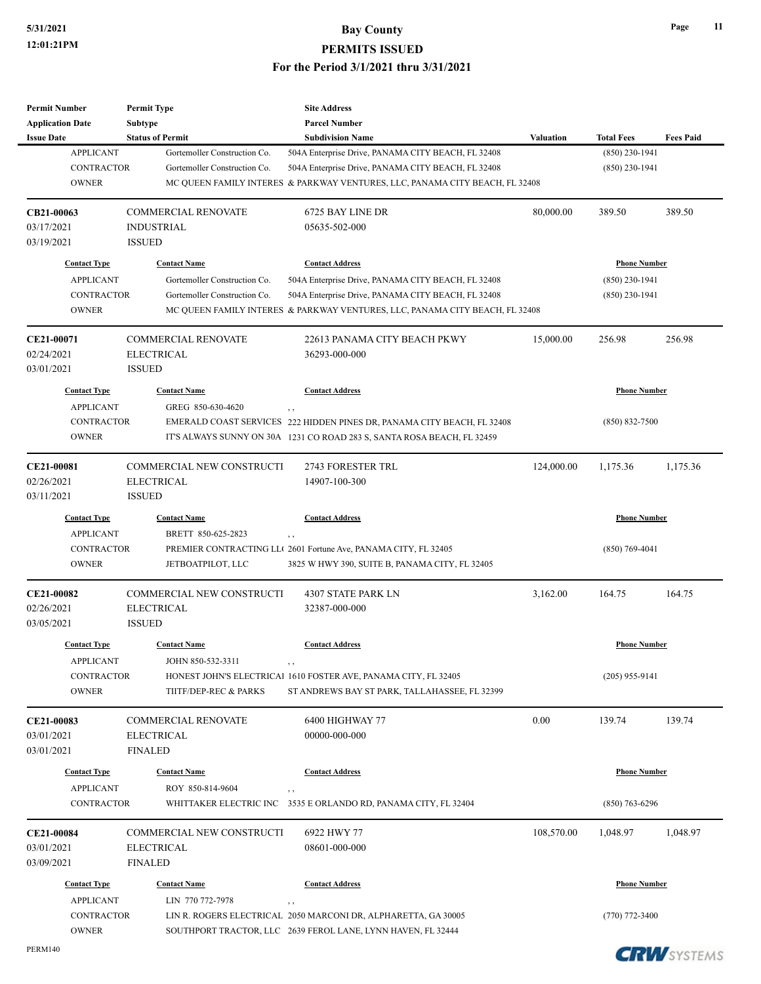| <b>Permit Number</b><br><b>Application Date</b> | <b>Permit Type</b><br>Subtype | <b>Site Address</b><br><b>Parcel Number</b>                                  |                  |                     |                  |
|-------------------------------------------------|-------------------------------|------------------------------------------------------------------------------|------------------|---------------------|------------------|
| <b>Issue Date</b>                               | <b>Status of Permit</b>       | <b>Subdivision Name</b>                                                      | <b>Valuation</b> | <b>Total Fees</b>   | <b>Fees Paid</b> |
| <b>APPLICANT</b>                                | Gortemoller Construction Co.  | 504A Enterprise Drive, PANAMA CITY BEACH, FL 32408                           |                  | $(850)$ 230-1941    |                  |
| <b>CONTRACTOR</b>                               | Gortemoller Construction Co.  | 504A Enterprise Drive, PANAMA CITY BEACH, FL 32408                           |                  | $(850)$ 230-1941    |                  |
| <b>OWNER</b>                                    |                               | MC QUEEN FAMILY INTERES & PARKWAY VENTURES, LLC, PANAMA CITY BEACH, FL 32408 |                  |                     |                  |
| CB21-00063                                      | <b>COMMERCIAL RENOVATE</b>    | 6725 BAY LINE DR                                                             | 80,000.00        | 389.50              | 389.50           |
| 03/17/2021                                      | <b>INDUSTRIAL</b>             | 05635-502-000                                                                |                  |                     |                  |
| 03/19/2021                                      | <b>ISSUED</b>                 |                                                                              |                  |                     |                  |
| <b>Contact Type</b>                             | <b>Contact Name</b>           | <b>Contact Address</b>                                                       |                  | <b>Phone Number</b> |                  |
| <b>APPLICANT</b>                                | Gortemoller Construction Co.  | 504A Enterprise Drive, PANAMA CITY BEACH, FL 32408                           |                  | $(850)$ 230-1941    |                  |
| <b>CONTRACTOR</b>                               | Gortemoller Construction Co.  | 504A Enterprise Drive, PANAMA CITY BEACH, FL 32408                           |                  | $(850)$ 230-1941    |                  |
| <b>OWNER</b>                                    |                               | MC QUEEN FAMILY INTERES & PARKWAY VENTURES, LLC, PANAMA CITY BEACH, FL 32408 |                  |                     |                  |
| CE21-00071                                      | <b>COMMERCIAL RENOVATE</b>    | 22613 PANAMA CITY BEACH PKWY                                                 | 15,000.00        | 256.98              | 256.98           |
| 02/24/2021                                      | <b>ELECTRICAL</b>             | 36293-000-000                                                                |                  |                     |                  |
| 03/01/2021                                      | <b>ISSUED</b>                 |                                                                              |                  |                     |                  |
| <b>Contact Type</b>                             | <b>Contact Name</b>           | <b>Contact Address</b>                                                       |                  | <b>Phone Number</b> |                  |
| <b>APPLICANT</b>                                | GREG 850-630-4620             | $, \, , \,$                                                                  |                  |                     |                  |
| <b>CONTRACTOR</b>                               |                               | EMERALD COAST SERVICES 222 HIDDEN PINES DR, PANAMA CITY BEACH, FL 32408      |                  | $(850) 832 - 7500$  |                  |
| <b>OWNER</b>                                    |                               | IT'S ALWAYS SUNNY ON 30A 1231 CO ROAD 283 S, SANTA ROSA BEACH, FL 32459      |                  |                     |                  |
| CE21-00081                                      | COMMERCIAL NEW CONSTRUCTI     | 2743 FORESTER TRL                                                            | 124,000.00       | 1,175.36            | 1,175.36         |
| 02/26/2021                                      | <b>ELECTRICAL</b>             | 14907-100-300                                                                |                  |                     |                  |
| 03/11/2021                                      | <b>ISSUED</b>                 |                                                                              |                  |                     |                  |
| <b>Contact Type</b>                             | <b>Contact Name</b>           | <b>Contact Address</b>                                                       |                  | <b>Phone Number</b> |                  |
| <b>APPLICANT</b>                                | BRETT 850-625-2823            | $, \, , \,$                                                                  |                  |                     |                  |
| CONTRACTOR                                      |                               | PREMIER CONTRACTING LL(2601 Fortune Ave, PANAMA CITY, FL 32405               |                  | $(850)$ 769-4041    |                  |
| <b>OWNER</b>                                    | JETBOATPILOT, LLC             | 3825 W HWY 390, SUITE B, PANAMA CITY, FL 32405                               |                  |                     |                  |
| CE21-00082                                      | COMMERCIAL NEW CONSTRUCTI     | 4307 STATE PARK LN                                                           | 3,162.00         | 164.75              | 164.75           |
| 02/26/2021                                      | <b>ELECTRICAL</b>             | 32387-000-000                                                                |                  |                     |                  |
| 03/05/2021                                      | <b>ISSUED</b>                 |                                                                              |                  |                     |                  |
| <b>Contact Type</b>                             | <b>Contact Name</b>           | <b>Contact Address</b>                                                       |                  | <b>Phone Number</b> |                  |
| <b>APPLICANT</b>                                | JOHN 850-532-3311             | , ,                                                                          |                  |                     |                  |
| <b>CONTRACTOR</b>                               |                               | HONEST JOHN'S ELECTRICAl 1610 FOSTER AVE, PANAMA CITY, FL 32405              |                  | $(205)$ 955-9141    |                  |
| <b>OWNER</b>                                    | TIITF/DEP-REC & PARKS         | ST ANDREWS BAY ST PARK, TALLAHASSEE, FL 32399                                |                  |                     |                  |
| CE21-00083                                      | <b>COMMERCIAL RENOVATE</b>    | 6400 HIGHWAY 77                                                              | 0.00             | 139.74              | 139.74           |
| 03/01/2021                                      | <b>ELECTRICAL</b>             | 00000-000-000                                                                |                  |                     |                  |
| 03/01/2021                                      | <b>FINALED</b>                |                                                                              |                  |                     |                  |
| <b>Contact Type</b>                             | <b>Contact Name</b>           | <b>Contact Address</b>                                                       |                  | <b>Phone Number</b> |                  |
| <b>APPLICANT</b>                                | ROY 850-814-9604              | , ,                                                                          |                  |                     |                  |
| CONTRACTOR                                      |                               | WHITTAKER ELECTRIC INC 3535 E ORLANDO RD, PANAMA CITY, FL 32404              |                  | $(850)$ 763-6296    |                  |
| CE21-00084                                      | COMMERCIAL NEW CONSTRUCTI     | 6922 HWY 77                                                                  | 108,570.00       | 1,048.97            | 1,048.97         |
| 03/01/2021                                      | <b>ELECTRICAL</b>             | 08601-000-000                                                                |                  |                     |                  |
| 03/09/2021                                      | <b>FINALED</b>                |                                                                              |                  |                     |                  |
| <b>Contact Type</b>                             | <b>Contact Name</b>           | <b>Contact Address</b>                                                       |                  | <b>Phone Number</b> |                  |
| <b>APPLICANT</b>                                | LIN 770 772-7978              | $, \, ,$                                                                     |                  |                     |                  |
| <b>CONTRACTOR</b>                               |                               | LIN R. ROGERS ELECTRICAL 2050 MARCONI DR, ALPHARETTA, GA 30005               |                  | $(770)$ 772-3400    |                  |
| <b>OWNER</b>                                    |                               | SOUTHPORT TRACTOR, LLC 2639 FEROL LANE, LYNN HAVEN, FL 32444                 |                  |                     |                  |



**CRW**SYSTEMS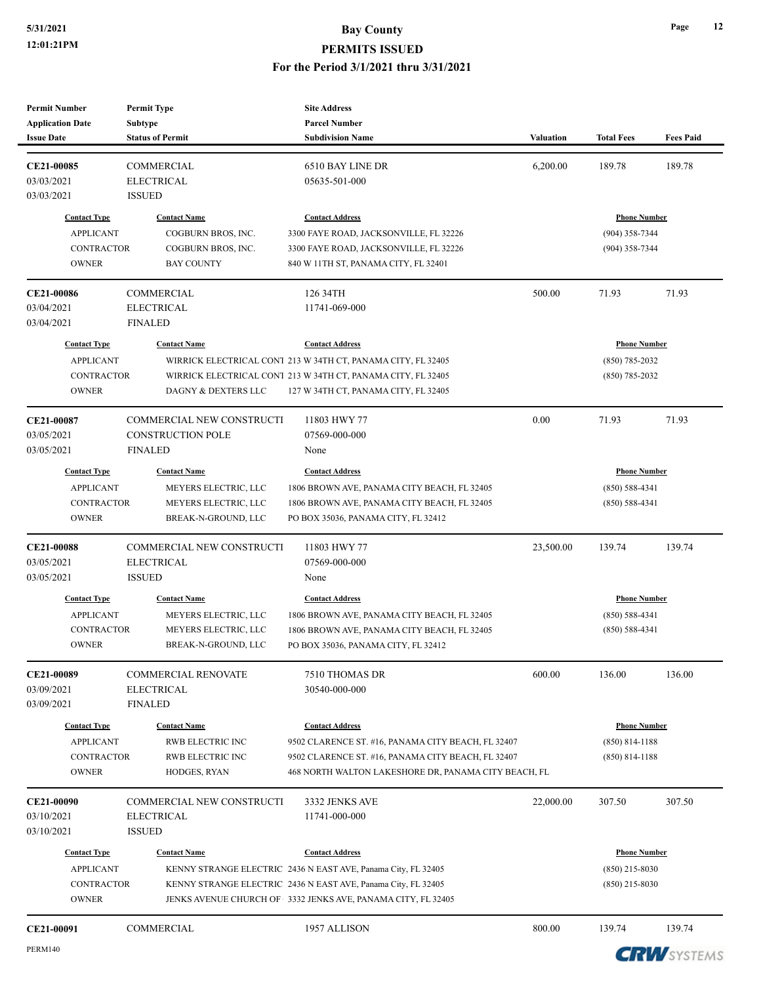| <b>Permit Number</b><br><b>Application Date</b><br><b>Issue Date</b>         | <b>Permit Type</b><br>Subtype<br><b>Status of Permit</b>                                   | <b>Site Address</b><br><b>Parcel Number</b><br><b>Subdivision Name</b>                                                                                                                                                   | <b>Valuation</b> | <b>Total Fees</b>                                               | <b>Fees Paid</b> |
|------------------------------------------------------------------------------|--------------------------------------------------------------------------------------------|--------------------------------------------------------------------------------------------------------------------------------------------------------------------------------------------------------------------------|------------------|-----------------------------------------------------------------|------------------|
| CE21-00085<br>03/03/2021<br>03/03/2021                                       | <b>COMMERCIAL</b><br><b>ELECTRICAL</b><br><b>ISSUED</b>                                    | 6510 BAY LINE DR<br>05635-501-000                                                                                                                                                                                        | 6,200.00         | 189.78                                                          | 189.78           |
| <b>Contact Type</b><br><b>APPLICANT</b><br><b>CONTRACTOR</b><br><b>OWNER</b> | <b>Contact Name</b><br>COGBURN BROS, INC.<br>COGBURN BROS, INC.<br><b>BAY COUNTY</b>       | <b>Contact Address</b><br>3300 FAYE ROAD, JACKSONVILLE, FL 32226<br>3300 FAYE ROAD, JACKSONVILLE, FL 32226<br>840 W 11TH ST, PANAMA CITY, FL 32401                                                                       |                  | <b>Phone Number</b><br>(904) 358-7344<br>$(904)$ 358-7344       |                  |
| CE21-00086<br>03/04/2021<br>03/04/2021                                       | <b>COMMERCIAL</b><br><b>ELECTRICAL</b><br><b>FINALED</b>                                   | 126 34TH<br>11741-069-000                                                                                                                                                                                                | 500.00           | 71.93                                                           | 71.93            |
| <b>Contact Type</b><br><b>APPLICANT</b><br><b>CONTRACTOR</b><br><b>OWNER</b> | <b>Contact Name</b><br>DAGNY & DEXTERS LLC                                                 | <b>Contact Address</b><br>WIRRICK ELECTRICAL CON1 213 W 34TH CT, PANAMA CITY, FL 32405<br>WIRRICK ELECTRICAL CONT 213 W 34TH CT, PANAMA CITY, FL 32405<br>127 W 34TH CT, PANAMA CITY, FL 32405                           |                  | <b>Phone Number</b><br>$(850)$ 785-2032<br>$(850)$ 785-2032     |                  |
| CE21-00087<br>03/05/2021<br>03/05/2021                                       | COMMERCIAL NEW CONSTRUCTI<br><b>CONSTRUCTION POLE</b><br><b>FINALED</b>                    | 11803 HWY 77<br>07569-000-000<br>None                                                                                                                                                                                    | 0.00             | 71.93                                                           | 71.93            |
| <b>Contact Type</b><br><b>APPLICANT</b><br><b>CONTRACTOR</b><br><b>OWNER</b> | <b>Contact Name</b><br>MEYERS ELECTRIC, LLC<br>MEYERS ELECTRIC, LLC<br>BREAK-N-GROUND, LLC | <b>Contact Address</b><br>1806 BROWN AVE, PANAMA CITY BEACH, FL 32405<br>1806 BROWN AVE, PANAMA CITY BEACH, FL 32405<br>PO BOX 35036, PANAMA CITY, FL 32412                                                              |                  | <b>Phone Number</b><br>$(850) 588 - 4341$<br>$(850) 588 - 4341$ |                  |
| <b>CE21-00088</b><br>03/05/2021<br>03/05/2021                                | COMMERCIAL NEW CONSTRUCTI<br><b>ELECTRICAL</b><br><b>ISSUED</b>                            | 11803 HWY 77<br>07569-000-000<br>None                                                                                                                                                                                    | 23,500.00        | 139.74                                                          | 139.74           |
| <b>Contact Type</b><br><b>APPLICANT</b><br><b>CONTRACTOR</b><br><b>OWNER</b> | <b>Contact Name</b><br>MEYERS ELECTRIC, LLC<br>MEYERS ELECTRIC, LLC<br>BREAK-N-GROUND, LLC | <b>Contact Address</b><br>1806 BROWN AVE, PANAMA CITY BEACH, FL 32405<br>1806 BROWN AVE, PANAMA CITY BEACH, FL 32405<br>PO BOX 35036, PANAMA CITY, FL 32412                                                              |                  | <b>Phone Number</b><br>$(850) 588 - 4341$<br>$(850) 588 - 4341$ |                  |
| CE21-00089<br>03/09/2021<br>03/09/2021                                       | <b>COMMERCIAL RENOVATE</b><br><b>ELECTRICAL</b><br><b>FINALED</b>                          | 7510 THOMAS DR<br>30540-000-000                                                                                                                                                                                          | 600.00           | 136.00                                                          | 136.00           |
| <b>Contact Type</b><br><b>APPLICANT</b><br><b>CONTRACTOR</b><br><b>OWNER</b> | <b>Contact Name</b><br>RWB ELECTRIC INC<br>RWB ELECTRIC INC<br>HODGES, RYAN                | <b>Contact Address</b><br>9502 CLARENCE ST. #16, PANAMA CITY BEACH, FL 32407<br>9502 CLARENCE ST. #16, PANAMA CITY BEACH, FL 32407<br>468 NORTH WALTON LAKESHORE DR, PANAMA CITY BEACH, FL                               |                  | <b>Phone Number</b><br>$(850) 814 - 1188$<br>$(850)$ 814-1188   |                  |
| CE21-00090<br>03/10/2021<br>03/10/2021                                       | COMMERCIAL NEW CONSTRUCTI<br><b>ELECTRICAL</b><br><b>ISSUED</b>                            | 3332 JENKS AVE<br>11741-000-000                                                                                                                                                                                          | 22,000.00        | 307.50                                                          | 307.50           |
| <b>Contact Type</b><br><b>APPLICANT</b><br>CONTRACTOR<br><b>OWNER</b>        | <b>Contact Name</b>                                                                        | <b>Contact Address</b><br>KENNY STRANGE ELECTRIC 2436 N EAST AVE, Panama City, FL 32405<br>KENNY STRANGE ELECTRIC 2436 N EAST AVE, Panama City, FL 32405<br>JENKS AVENUE CHURCH OF 3332 JENKS AVE, PANAMA CITY, FL 32405 |                  | <b>Phone Number</b><br>$(850)$ 215-8030<br>$(850)$ 215-8030     |                  |
| CE21-00091                                                                   | COMMERCIAL                                                                                 | 1957 ALLISON                                                                                                                                                                                                             | 800.00           | 139.74                                                          | 139.74           |

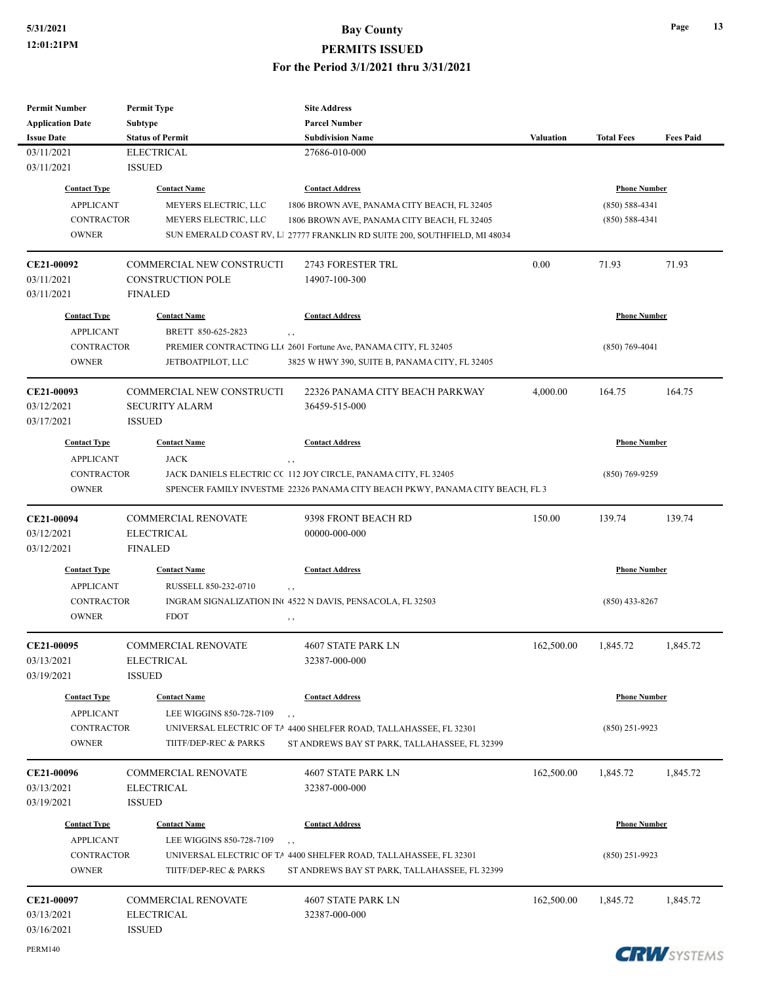# **5/31/2021 Bay County**

**PERMITS ISSUED**

**For the Period 3/1/2021 thru 3/31/2021**

| <b>Permit Number</b>     | <b>Permit Type</b>                              | <b>Site Address</b>                                                           |                  |                     |                  |
|--------------------------|-------------------------------------------------|-------------------------------------------------------------------------------|------------------|---------------------|------------------|
| <b>Application Date</b>  | <b>Subtype</b>                                  | <b>Parcel Number</b>                                                          |                  |                     |                  |
| <b>Issue Date</b>        | <b>Status of Permit</b>                         | <b>Subdivision Name</b>                                                       | <b>Valuation</b> | <b>Total Fees</b>   | <b>Fees Paid</b> |
| 03/11/2021               | <b>ELECTRICAL</b>                               | 27686-010-000                                                                 |                  |                     |                  |
| 03/11/2021               | <b>ISSUED</b>                                   |                                                                               |                  |                     |                  |
| <b>Contact Type</b>      | <b>Contact Name</b>                             | <b>Contact Address</b>                                                        |                  | <b>Phone Number</b> |                  |
| <b>APPLICANT</b>         | MEYERS ELECTRIC, LLC                            | 1806 BROWN AVE, PANAMA CITY BEACH, FL 32405                                   |                  | $(850) 588 - 4341$  |                  |
| <b>CONTRACTOR</b>        | MEYERS ELECTRIC, LLC                            | 1806 BROWN AVE, PANAMA CITY BEACH, FL 32405                                   |                  | $(850) 588 - 4341$  |                  |
| <b>OWNER</b>             |                                                 | SUN EMERALD COAST RV, L1 27777 FRANKLIN RD SUITE 200, SOUTHFIELD, MI 48034    |                  |                     |                  |
| CE21-00092               | COMMERCIAL NEW CONSTRUCTI                       | 2743 FORESTER TRL                                                             | 0.00             | 71.93               | 71.93            |
| 03/11/2021               | <b>CONSTRUCTION POLE</b>                        | 14907-100-300                                                                 |                  |                     |                  |
| 03/11/2021               | <b>FINALED</b>                                  |                                                                               |                  |                     |                  |
| <b>Contact Type</b>      | <b>Contact Name</b>                             | <b>Contact Address</b>                                                        |                  | <b>Phone Number</b> |                  |
| <b>APPLICANT</b>         | BRETT 850-625-2823                              |                                                                               |                  |                     |                  |
| <b>CONTRACTOR</b>        |                                                 | PREMIER CONTRACTING LLC 2601 Fortune Ave, PANAMA CITY, FL 32405               |                  | $(850)$ 769-4041    |                  |
| <b>OWNER</b>             | JETBOATPILOT, LLC                               | 3825 W HWY 390, SUITE B, PANAMA CITY, FL 32405                                |                  |                     |                  |
|                          |                                                 |                                                                               |                  |                     |                  |
| CE21-00093               | COMMERCIAL NEW CONSTRUCTI                       | 22326 PANAMA CITY BEACH PARKWAY                                               | 4,000.00         | 164.75              | 164.75           |
| 03/12/2021               | <b>SECURITY ALARM</b>                           | 36459-515-000                                                                 |                  |                     |                  |
| 03/17/2021               | <b>ISSUED</b>                                   |                                                                               |                  |                     |                  |
| <b>Contact Type</b>      | <b>Contact Name</b>                             | <b>Contact Address</b>                                                        |                  | <b>Phone Number</b> |                  |
| <b>APPLICANT</b>         | <b>JACK</b>                                     |                                                                               |                  |                     |                  |
| <b>CONTRACTOR</b>        |                                                 | , ,<br>JACK DANIELS ELECTRIC CC 112 JOY CIRCLE, PANAMA CITY, FL 32405         | $(850)$ 769-9259 |                     |                  |
| <b>OWNER</b>             |                                                 | SPENCER FAMILY INVESTME 22326 PANAMA CITY BEACH PKWY, PANAMA CITY BEACH, FL 3 |                  |                     |                  |
|                          |                                                 |                                                                               |                  |                     |                  |
| CE21-00094               | <b>COMMERCIAL RENOVATE</b>                      | 9398 FRONT BEACH RD                                                           | 150.00           | 139.74              | 139.74           |
| 03/12/2021               | <b>ELECTRICAL</b>                               | 00000-000-000                                                                 |                  |                     |                  |
| 03/12/2021               | <b>FINALED</b>                                  |                                                                               |                  |                     |                  |
| <b>Contact Type</b>      | <b>Contact Name</b>                             | <b>Contact Address</b>                                                        |                  | <b>Phone Number</b> |                  |
| <b>APPLICANT</b>         | RUSSELL 850-232-0710                            | , ,                                                                           |                  |                     |                  |
| <b>CONTRACTOR</b>        |                                                 | INGRAM SIGNALIZATION IN 4522 N DAVIS, PENSACOLA, FL 32503                     |                  | $(850)$ 433-8267    |                  |
| <b>OWNER</b>             | <b>FDOT</b>                                     | , ,                                                                           |                  |                     |                  |
|                          |                                                 |                                                                               |                  |                     |                  |
| CE21-00095<br>03/13/2021 | <b>COMMERCIAL RENOVATE</b><br><b>ELECTRICAL</b> | 4607 STATE PARK LN<br>32387-000-000                                           | 162,500.00       | 1,845.72            | 1,845.72         |
| 03/19/2021               | <b>ISSUED</b>                                   |                                                                               |                  |                     |                  |
|                          |                                                 |                                                                               |                  |                     |                  |
| <b>Contact Type</b>      | <b>Contact Name</b>                             | <b>Contact Address</b>                                                        |                  | <b>Phone Number</b> |                  |
| <b>APPLICANT</b>         | LEE WIGGINS 850-728-7109                        | , ,                                                                           |                  |                     |                  |
| <b>CONTRACTOR</b>        |                                                 | UNIVERSAL ELECTRIC OF TA 4400 SHELFER ROAD, TALLAHASSEE, FL 32301             |                  | $(850)$ 251-9923    |                  |
| <b>OWNER</b>             | TIITF/DEP-REC & PARKS                           | ST ANDREWS BAY ST PARK, TALLAHASSEE, FL 32399                                 |                  |                     |                  |
| CE21-00096               | <b>COMMERCIAL RENOVATE</b>                      | 4607 STATE PARK LN                                                            | 162,500.00       | 1,845.72            | 1,845.72         |
| 03/13/2021               | <b>ELECTRICAL</b>                               | 32387-000-000                                                                 |                  |                     |                  |
| 03/19/2021               | <b>ISSUED</b>                                   |                                                                               |                  |                     |                  |
| <b>Contact Type</b>      | <b>Contact Name</b>                             | <b>Contact Address</b>                                                        |                  | <b>Phone Number</b> |                  |
| <b>APPLICANT</b>         | LEE WIGGINS 850-728-7109                        |                                                                               |                  |                     |                  |
| <b>CONTRACTOR</b>        |                                                 | , ,<br>UNIVERSAL ELECTRIC OF TA 4400 SHELFER ROAD, TALLAHASSEE, FL 32301      |                  | $(850)$ 251-9923    |                  |
| <b>OWNER</b>             | TIITF/DEP-REC & PARKS                           | ST ANDREWS BAY ST PARK, TALLAHASSEE, FL 32399                                 |                  |                     |                  |
| CE21-00097               | <b>COMMERCIAL RENOVATE</b>                      | 4607 STATE PARK LN                                                            | 162,500.00       | 1,845.72            | 1,845.72         |
| 03/13/2021               | <b>ELECTRICAL</b>                               | 32387-000-000                                                                 |                  |                     |                  |
| 03/16/2021               | <b>ISSUED</b>                                   |                                                                               |                  |                     |                  |
|                          |                                                 |                                                                               |                  |                     |                  |

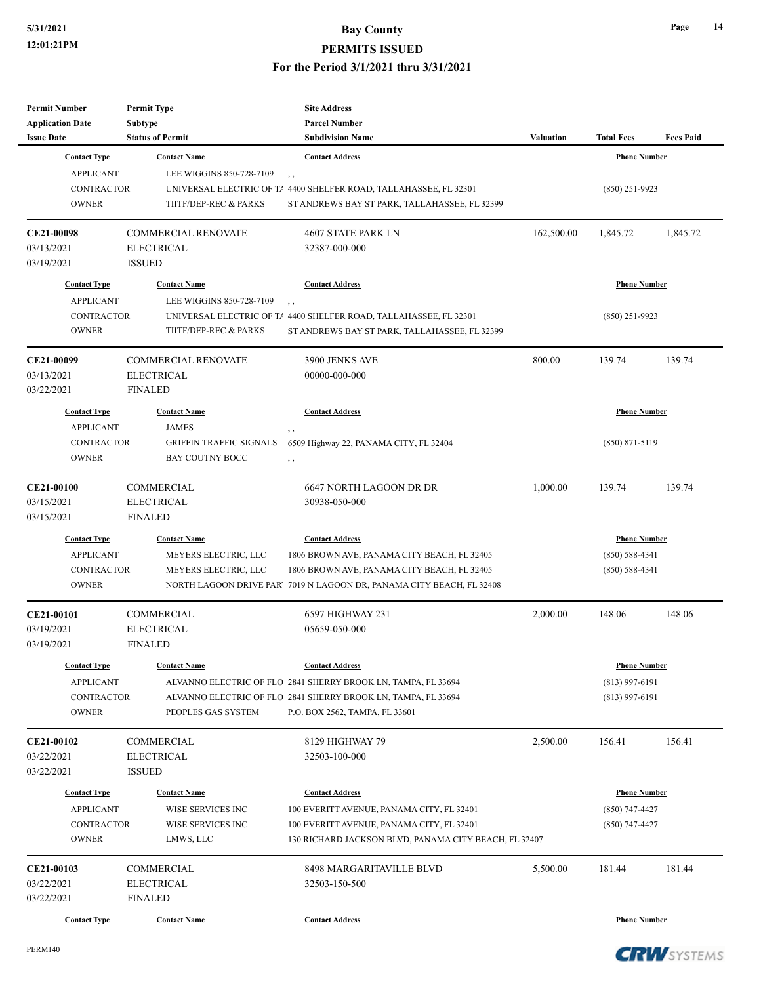| <b>Permit Number</b><br><b>Application Date</b> | <b>Permit Type</b><br>Subtype  | <b>Site Address</b><br><b>Parcel Number</b>                          |                  |                     |                  |
|-------------------------------------------------|--------------------------------|----------------------------------------------------------------------|------------------|---------------------|------------------|
| <b>Issue Date</b>                               | <b>Status of Permit</b>        | <b>Subdivision Name</b>                                              | <b>Valuation</b> | <b>Total Fees</b>   | <b>Fees Paid</b> |
| <b>Contact Type</b>                             | <b>Contact Name</b>            | <b>Contact Address</b>                                               |                  | <b>Phone Number</b> |                  |
| <b>APPLICANT</b>                                | LEE WIGGINS 850-728-7109       |                                                                      |                  |                     |                  |
| <b>CONTRACTOR</b>                               |                                | UNIVERSAL ELECTRIC OF TA 4400 SHELFER ROAD, TALLAHASSEE, FL 32301    |                  | $(850)$ 251-9923    |                  |
| <b>OWNER</b>                                    | TIITF/DEP-REC & PARKS          | ST ANDREWS BAY ST PARK, TALLAHASSEE, FL 32399                        |                  |                     |                  |
|                                                 |                                |                                                                      |                  |                     |                  |
| CE21-00098                                      | <b>COMMERCIAL RENOVATE</b>     | 4607 STATE PARK LN                                                   | 162,500.00       | 1,845.72            | 1,845.72         |
| 03/13/2021                                      | <b>ELECTRICAL</b>              | 32387-000-000                                                        |                  |                     |                  |
| 03/19/2021                                      | <b>ISSUED</b>                  |                                                                      |                  |                     |                  |
| <b>Contact Type</b>                             | <b>Contact Name</b>            | <b>Contact Address</b>                                               |                  | <b>Phone Number</b> |                  |
| <b>APPLICANT</b>                                | LEE WIGGINS 850-728-7109       |                                                                      |                  |                     |                  |
| CONTRACTOR                                      |                                | UNIVERSAL ELECTRIC OF TA 4400 SHELFER ROAD, TALLAHASSEE, FL 32301    |                  | $(850)$ 251-9923    |                  |
| <b>OWNER</b>                                    | TIITF/DEP-REC & PARKS          | ST ANDREWS BAY ST PARK, TALLAHASSEE, FL 32399                        |                  |                     |                  |
| CE21-00099                                      | <b>COMMERCIAL RENOVATE</b>     | 3900 JENKS AVE                                                       | 800.00           | 139.74              | 139.74           |
| 03/13/2021                                      | <b>ELECTRICAL</b>              | 00000-000-000                                                        |                  |                     |                  |
| 03/22/2021                                      | <b>FINALED</b>                 |                                                                      |                  |                     |                  |
| <b>Contact Type</b>                             | <b>Contact Name</b>            | <b>Contact Address</b>                                               |                  | <b>Phone Number</b> |                  |
| <b>APPLICANT</b>                                | <b>JAMES</b>                   | $, \, ,$                                                             |                  |                     |                  |
| <b>CONTRACTOR</b>                               | <b>GRIFFIN TRAFFIC SIGNALS</b> | 6509 Highway 22, PANAMA CITY, FL 32404                               |                  | $(850) 871 - 5119$  |                  |
| <b>OWNER</b>                                    | <b>BAY COUTNY BOCC</b>         | , ,                                                                  |                  |                     |                  |
|                                                 |                                |                                                                      |                  |                     |                  |
| CE21-00100                                      | COMMERCIAL                     | 6647 NORTH LAGOON DR DR                                              | 1,000.00         | 139.74              | 139.74           |
| 03/15/2021                                      | <b>ELECTRICAL</b>              | 30938-050-000                                                        |                  |                     |                  |
| 03/15/2021                                      | <b>FINALED</b>                 |                                                                      |                  |                     |                  |
| <b>Contact Type</b>                             | <b>Contact Name</b>            | <b>Contact Address</b>                                               |                  | <b>Phone Number</b> |                  |
| <b>APPLICANT</b>                                | MEYERS ELECTRIC, LLC           | 1806 BROWN AVE, PANAMA CITY BEACH, FL 32405                          |                  | $(850) 588 - 4341$  |                  |
| <b>CONTRACTOR</b>                               | MEYERS ELECTRIC, LLC           | 1806 BROWN AVE, PANAMA CITY BEACH, FL 32405                          |                  | $(850) 588 - 4341$  |                  |
| <b>OWNER</b>                                    |                                | NORTH LAGOON DRIVE PAR 7019 N LAGOON DR, PANAMA CITY BEACH, FL 32408 |                  |                     |                  |
| CE21-00101                                      | COMMERCIAL                     | 6597 HIGHWAY 231                                                     | 2,000.00         | 148.06              | 148.06           |
| 03/19/2021                                      | <b>ELECTRICAL</b>              | 05659-050-000                                                        |                  |                     |                  |
| 03/19/2021                                      | <b>FINALED</b>                 |                                                                      |                  |                     |                  |
| <b>Contact Type</b>                             | <b>Contact Name</b>            | <b>Contact Address</b>                                               |                  | <b>Phone Number</b> |                  |
| <b>APPLICANT</b>                                |                                | ALVANNO ELECTRIC OF FLO 2841 SHERRY BROOK LN, TAMPA, FL 33694        |                  | $(813)$ 997-6191    |                  |
| CONTRACTOR                                      |                                | ALVANNO ELECTRIC OF FLO 2841 SHERRY BROOK LN, TAMPA, FL 33694        |                  | $(813)$ 997-6191    |                  |
| <b>OWNER</b>                                    | PEOPLES GAS SYSTEM             | P.O. BOX 2562, TAMPA, FL 33601                                       |                  |                     |                  |
|                                                 | COMMERCIAL                     | 8129 HIGHWAY 79                                                      | 2,500.00         |                     | 156.41           |
| CE21-00102<br>03/22/2021                        | <b>ELECTRICAL</b>              | 32503-100-000                                                        |                  | 156.41              |                  |
| 03/22/2021                                      | <b>ISSUED</b>                  |                                                                      |                  |                     |                  |
|                                                 |                                |                                                                      |                  |                     |                  |
| <b>Contact Type</b>                             | <b>Contact Name</b>            | <b>Contact Address</b>                                               |                  | <b>Phone Number</b> |                  |
| <b>APPLICANT</b>                                | WISE SERVICES INC              | 100 EVERITT AVENUE, PANAMA CITY, FL 32401                            |                  | (850) 747-4427      |                  |
| CONTRACTOR                                      | WISE SERVICES INC              | 100 EVERITT AVENUE, PANAMA CITY, FL 32401                            |                  | $(850)$ 747-4427    |                  |
| <b>OWNER</b>                                    | LMWS, LLC                      | 130 RICHARD JACKSON BLVD, PANAMA CITY BEACH, FL 32407                |                  |                     |                  |
| CE21-00103                                      | COMMERCIAL                     | 8498 MARGARITAVILLE BLVD                                             | 5,500.00         | 181.44              | 181.44           |
| 03/22/2021                                      | <b>ELECTRICAL</b>              | 32503-150-500                                                        |                  |                     |                  |
| 03/22/2021                                      | <b>FINALED</b>                 |                                                                      |                  |                     |                  |
| <b>Contact Type</b>                             | <b>Contact Name</b>            | <b>Contact Address</b>                                               |                  | <b>Phone Number</b> |                  |

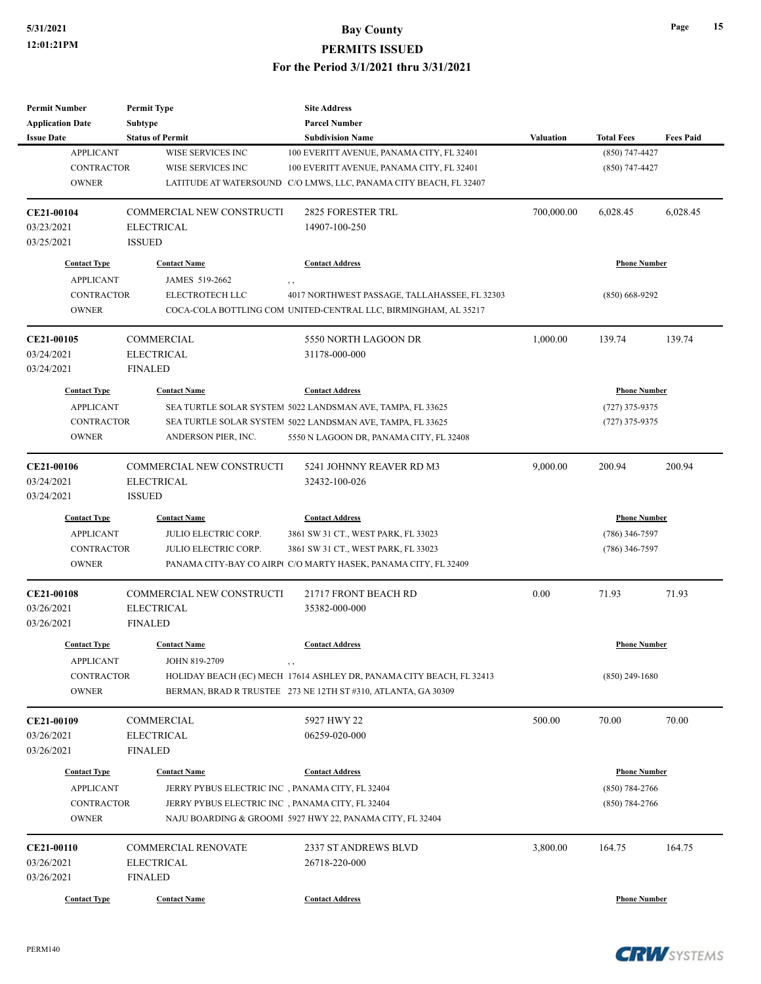| <b>Permit Number</b>    | <b>Permit Type</b>               | <b>Site Address</b>                                                  |                  |                     |                  |
|-------------------------|----------------------------------|----------------------------------------------------------------------|------------------|---------------------|------------------|
| <b>Application Date</b> | Subtype                          | <b>Parcel Number</b>                                                 |                  |                     |                  |
| <b>Issue Date</b>       | <b>Status of Permit</b>          | <b>Subdivision Name</b>                                              | <b>Valuation</b> | <b>Total Fees</b>   | <b>Fees Paid</b> |
| <b>APPLICANT</b>        | WISE SERVICES INC                | 100 EVERITT AVENUE, PANAMA CITY, FL 32401                            |                  | (850) 747-4427      |                  |
| <b>CONTRACTOR</b>       | WISE SERVICES INC                | 100 EVERITT AVENUE, PANAMA CITY, FL 32401                            |                  | $(850)$ 747-4427    |                  |
| <b>OWNER</b>            |                                  | LATITUDE AT WATERSOUND C/O LMWS, LLC, PANAMA CITY BEACH, FL 32407    |                  |                     |                  |
| CE21-00104              | <b>COMMERCIAL NEW CONSTRUCTI</b> | <b>2825 FORESTER TRL</b>                                             | 700,000.00       | 6,028.45            | 6,028.45         |
| 03/23/2021              | <b>ELECTRICAL</b>                | 14907-100-250                                                        |                  |                     |                  |
| 03/25/2021              | <b>ISSUED</b>                    |                                                                      |                  |                     |                  |
| <b>Contact Type</b>     | <b>Contact Name</b>              | <b>Contact Address</b>                                               |                  | <b>Phone Number</b> |                  |
| <b>APPLICANT</b>        | JAMES 519-2662                   | $, \, ,$                                                             |                  |                     |                  |
| <b>CONTRACTOR</b>       | ELECTROTECH LLC                  | 4017 NORTHWEST PASSAGE, TALLAHASSEE, FL 32303                        |                  | $(850) 668 - 9292$  |                  |
| <b>OWNER</b>            |                                  | COCA-COLA BOTTLING COM UNITED-CENTRAL LLC, BIRMINGHAM, AL 35217      |                  |                     |                  |
| CE21-00105              | <b>COMMERCIAL</b>                | 5550 NORTH LAGOON DR                                                 | 1,000.00         | 139.74              | 139.74           |
| 03/24/2021              | <b>ELECTRICAL</b>                | 31178-000-000                                                        |                  |                     |                  |
| 03/24/2021              | <b>FINALED</b>                   |                                                                      |                  |                     |                  |
| <b>Contact Type</b>     | <b>Contact Name</b>              | <b>Contact Address</b>                                               |                  | <b>Phone Number</b> |                  |
| <b>APPLICANT</b>        |                                  | SEA TURTLE SOLAR SYSTEM 5022 LANDSMAN AVE, TAMPA, FL 33625           |                  | $(727)$ 375-9375    |                  |
| <b>CONTRACTOR</b>       |                                  | SEA TURTLE SOLAR SYSTEM 5022 LANDSMAN AVE, TAMPA, FL 33625           |                  | $(727)$ 375-9375    |                  |
| <b>OWNER</b>            | ANDERSON PIER, INC.              | 5550 N LAGOON DR, PANAMA CITY, FL 32408                              |                  |                     |                  |
|                         |                                  |                                                                      |                  |                     |                  |
| CE21-00106              | COMMERCIAL NEW CONSTRUCTI        | 5241 JOHNNY REAVER RD M3                                             | 9,000.00         | 200.94              | 200.94           |
| 03/24/2021              | <b>ELECTRICAL</b>                | 32432-100-026                                                        |                  |                     |                  |
| 03/24/2021              | <b>ISSUED</b>                    |                                                                      |                  |                     |                  |
| <b>Contact Type</b>     | <b>Contact Name</b>              | <b>Contact Address</b>                                               |                  | <b>Phone Number</b> |                  |
| <b>APPLICANT</b>        | JULIO ELECTRIC CORP.             | 3861 SW 31 CT., WEST PARK, FL 33023                                  |                  | $(786)$ 346-7597    |                  |
| <b>CONTRACTOR</b>       | JULIO ELECTRIC CORP.             | 3861 SW 31 CT., WEST PARK, FL 33023                                  |                  | $(786)$ 346-7597    |                  |
| <b>OWNER</b>            |                                  | PANAMA CITY-BAY CO AIRP(C/O MARTY HASEK, PANAMA CITY, FL 32409       |                  |                     |                  |
| CE21-00108              | COMMERCIAL NEW CONSTRUCTI        | 21717 FRONT BEACH RD                                                 | 0.00             | 71.93               | 71.93            |
| 03/26/2021              | <b>ELECTRICAL</b>                | 35382-000-000                                                        |                  |                     |                  |
| 03/26/2021              | <b>FINALED</b>                   |                                                                      |                  |                     |                  |
| <b>Contact Type</b>     | <b>Contact Name</b>              | <b>Contact Address</b>                                               |                  | <b>Phone Number</b> |                  |
| <b>APPLICANT</b>        | JOHN 819-2709                    | $, \, ,$                                                             |                  |                     |                  |
| CONTRACTOR              |                                  | HOLIDAY BEACH (EC) MECH 17614 ASHLEY DR, PANAMA CITY BEACH, FL 32413 |                  | $(850)$ 249-1680    |                  |
| <b>OWNER</b>            |                                  | BERMAN, BRAD R TRUSTEE 273 NE 12TH ST #310, ATLANTA, GA 30309        |                  |                     |                  |
| CE21-00109              | COMMERCIAL                       | 5927 HWY 22                                                          | 500.00           | 70.00               | 70.00            |
| 03/26/2021              | <b>ELECTRICAL</b>                | 06259-020-000                                                        |                  |                     |                  |
| 03/26/2021              | <b>FINALED</b>                   |                                                                      |                  |                     |                  |
| <b>Contact Type</b>     | <b>Contact Name</b>              | <b>Contact Address</b>                                               |                  | <b>Phone Number</b> |                  |
| <b>APPLICANT</b>        |                                  | JERRY PYBUS ELECTRIC INC, PANAMA CITY, FL 32404                      |                  | $(850) 784 - 2766$  |                  |
| <b>CONTRACTOR</b>       |                                  | JERRY PYBUS ELECTRIC INC, PANAMA CITY, FL 32404                      |                  | $(850)$ 784-2766    |                  |
| <b>OWNER</b>            |                                  | NAJU BOARDING & GROOMI 5927 HWY 22, PANAMA CITY, FL 32404            |                  |                     |                  |
| CE21-00110              | <b>COMMERCIAL RENOVATE</b>       | 2337 ST ANDREWS BLVD                                                 | 3,800.00         | 164.75              | 164.75           |
| 03/26/2021              | <b>ELECTRICAL</b>                | 26718-220-000                                                        |                  |                     |                  |
| 03/26/2021              | <b>FINALED</b>                   |                                                                      |                  |                     |                  |
| <b>Contact Type</b>     | <b>Contact Name</b>              | <b>Contact Address</b>                                               |                  | <b>Phone Number</b> |                  |

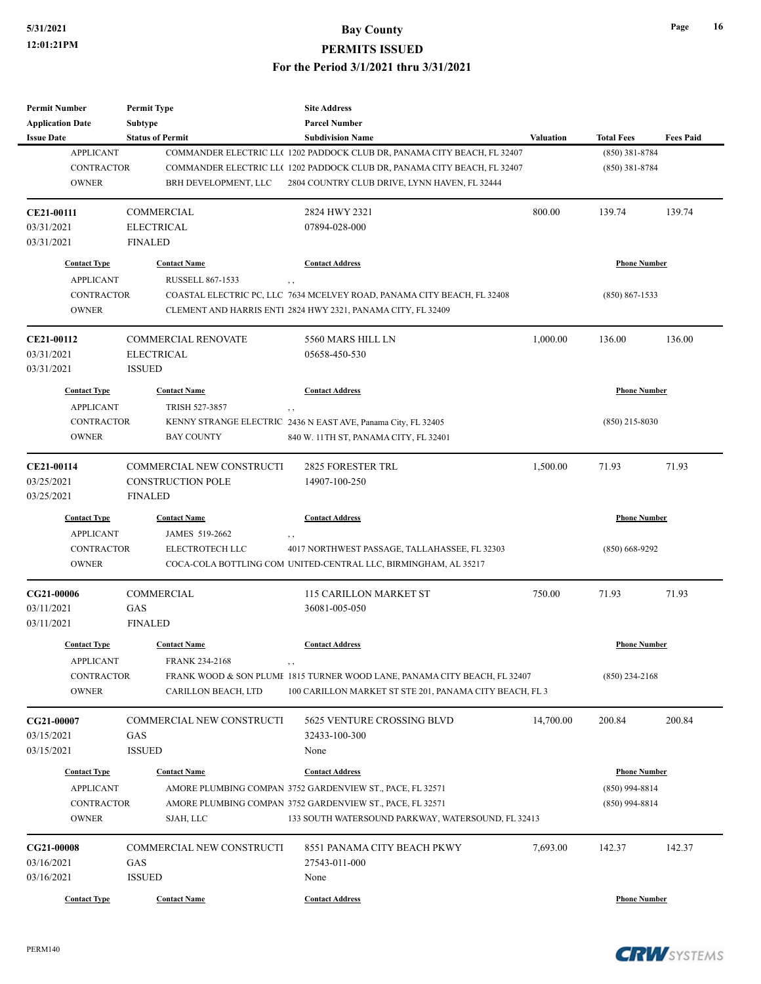| <b>Permit Number</b>    | <b>Permit Type</b>               | <b>Site Address</b>                                                       |                  |                     |                  |  |
|-------------------------|----------------------------------|---------------------------------------------------------------------------|------------------|---------------------|------------------|--|
| <b>Application Date</b> | Subtype                          | <b>Parcel Number</b>                                                      |                  |                     |                  |  |
| <b>Issue Date</b>       | <b>Status of Permit</b>          | <b>Subdivision Name</b>                                                   | <b>Valuation</b> | <b>Total Fees</b>   | <b>Fees Paid</b> |  |
| <b>APPLICANT</b>        |                                  | COMMANDER ELECTRIC LL( 1202 PADDOCK CLUB DR, PANAMA CITY BEACH, FL 32407  |                  | $(850)$ 381-8784    |                  |  |
| <b>CONTRACTOR</b>       |                                  | COMMANDER ELECTRIC LL(1202 PADDOCK CLUB DR, PANAMA CITY BEACH, FL 32407   |                  | $(850)$ 381-8784    |                  |  |
| <b>OWNER</b>            | BRH DEVELOPMENT, LLC             | 2804 COUNTRY CLUB DRIVE, LYNN HAVEN, FL 32444                             |                  |                     |                  |  |
| CE21-00111              | <b>COMMERCIAL</b>                | 2824 HWY 2321                                                             | 800.00           | 139.74              | 139.74           |  |
| 03/31/2021              | <b>ELECTRICAL</b>                | 07894-028-000                                                             |                  |                     |                  |  |
| 03/31/2021              | <b>FINALED</b>                   |                                                                           |                  |                     |                  |  |
| <b>Contact Type</b>     | <b>Contact Name</b>              | <b>Contact Address</b>                                                    |                  | <b>Phone Number</b> |                  |  |
| <b>APPLICANT</b>        | <b>RUSSELL 867-1533</b>          | $, \, ,$                                                                  |                  |                     |                  |  |
| <b>CONTRACTOR</b>       |                                  | COASTAL ELECTRIC PC, LLC 7634 MCELVEY ROAD, PANAMA CITY BEACH, FL 32408   |                  | $(850) 867 - 1533$  |                  |  |
| <b>OWNER</b>            |                                  | CLEMENT AND HARRIS ENTI 2824 HWY 2321, PANAMA CITY, FL 32409              |                  |                     |                  |  |
| CE21-00112              | <b>COMMERCIAL RENOVATE</b>       | 5560 MARS HILL LN                                                         | 1,000.00         | 136.00              | 136.00           |  |
| 03/31/2021              | <b>ELECTRICAL</b>                | 05658-450-530                                                             |                  |                     |                  |  |
| 03/31/2021              | <b>ISSUED</b>                    |                                                                           |                  |                     |                  |  |
| <b>Contact Type</b>     | <b>Contact Name</b>              | <b>Contact Address</b>                                                    |                  | <b>Phone Number</b> |                  |  |
| <b>APPLICANT</b>        | TRISH 527-3857                   |                                                                           |                  |                     |                  |  |
| <b>CONTRACTOR</b>       |                                  | KENNY STRANGE ELECTRIC 2436 N EAST AVE, Panama City, FL 32405             |                  | $(850)$ 215-8030    |                  |  |
| <b>OWNER</b>            | <b>BAY COUNTY</b>                | 840 W. 11TH ST, PANAMA CITY, FL 32401                                     |                  |                     |                  |  |
|                         |                                  |                                                                           |                  |                     |                  |  |
| CE21-00114              | COMMERCIAL NEW CONSTRUCTI        | <b>2825 FORESTER TRL</b>                                                  | 1,500.00         | 71.93               | 71.93            |  |
| 03/25/2021              | <b>CONSTRUCTION POLE</b>         | 14907-100-250                                                             |                  |                     |                  |  |
| 03/25/2021              | <b>FINALED</b>                   |                                                                           |                  |                     |                  |  |
| <b>Contact Type</b>     | <b>Contact Name</b>              | <b>Contact Address</b>                                                    |                  | <b>Phone Number</b> |                  |  |
| <b>APPLICANT</b>        | JAMES 519-2662                   | , ,                                                                       |                  |                     |                  |  |
| <b>CONTRACTOR</b>       | ELECTROTECH LLC                  | 4017 NORTHWEST PASSAGE, TALLAHASSEE, FL 32303                             |                  | $(850)$ 668-9292    |                  |  |
| <b>OWNER</b>            |                                  | COCA-COLA BOTTLING COM UNITED-CENTRAL LLC, BIRMINGHAM, AL 35217           |                  |                     |                  |  |
| CG21-00006              | COMMERCIAL                       | 115 CARILLON MARKET ST                                                    | 750.00           | 71.93               | 71.93            |  |
| 03/11/2021              | GAS                              | 36081-005-050                                                             |                  |                     |                  |  |
| 03/11/2021              | <b>FINALED</b>                   |                                                                           |                  |                     |                  |  |
| <b>Contact Type</b>     | <b>Contact Name</b>              | <b>Contact Address</b>                                                    |                  | <b>Phone Number</b> |                  |  |
| <b>APPLICANT</b>        | <b>FRANK 234-2168</b>            | , ,                                                                       |                  |                     |                  |  |
| <b>CONTRACTOR</b>       |                                  | FRANK WOOD & SON PLUME 1815 TURNER WOOD LANE, PANAMA CITY BEACH, FL 32407 |                  | $(850)$ 234-2168    |                  |  |
| <b>OWNER</b>            | CARILLON BEACH, LTD              | 100 CARILLON MARKET ST STE 201, PANAMA CITY BEACH, FL 3                   |                  |                     |                  |  |
| CG21-00007              | <b>COMMERCIAL NEW CONSTRUCTI</b> | 5625 VENTURE CROSSING BLVD                                                | 14,700.00        | 200.84              | 200.84           |  |
| 03/15/2021              | GAS                              | 32433-100-300                                                             |                  |                     |                  |  |
| 03/15/2021              | <b>ISSUED</b>                    | None                                                                      |                  |                     |                  |  |
| <b>Contact Type</b>     | <b>Contact Name</b>              | <b>Contact Address</b>                                                    |                  | <b>Phone Number</b> |                  |  |
| <b>APPLICANT</b>        |                                  | AMORE PLUMBING COMPAN 3752 GARDENVIEW ST., PACE, FL 32571                 |                  | $(850)$ 994-8814    |                  |  |
| CONTRACTOR              |                                  | AMORE PLUMBING COMPAN 3752 GARDENVIEW ST., PACE, FL 32571                 |                  | $(850)$ 994-8814    |                  |  |
| <b>OWNER</b>            | SJAH, LLC                        | 133 SOUTH WATERSOUND PARKWAY, WATERSOUND, FL 32413                        |                  |                     |                  |  |
|                         |                                  |                                                                           |                  |                     |                  |  |
| CG21-00008              | COMMERCIAL NEW CONSTRUCTI        | 8551 PANAMA CITY BEACH PKWY                                               | 7,693.00         | 142.37              | 142.37           |  |
| 03/16/2021              | GAS                              | 27543-011-000                                                             |                  |                     |                  |  |
| 03/16/2021              | <b>ISSUED</b>                    | None                                                                      |                  |                     |                  |  |
| <b>Contact Type</b>     | <b>Contact Name</b>              | <b>Contact Address</b>                                                    |                  | <b>Phone Number</b> |                  |  |

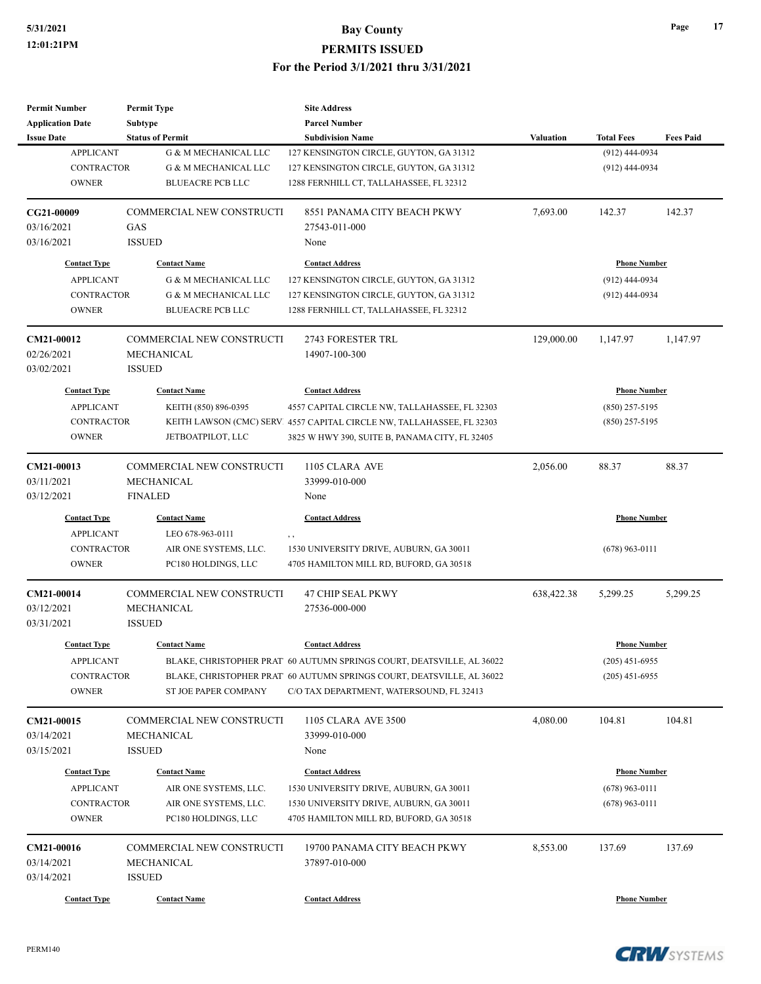| <b>Permit Number</b>    | <b>Permit Type</b><br><b>Site Address</b> |                                                                        |                  |                     |                  |  |
|-------------------------|-------------------------------------------|------------------------------------------------------------------------|------------------|---------------------|------------------|--|
| <b>Application Date</b> | Subtype                                   | <b>Parcel Number</b>                                                   |                  |                     |                  |  |
| <b>Issue Date</b>       | <b>Status of Permit</b>                   | <b>Subdivision Name</b>                                                | <b>Valuation</b> | <b>Total Fees</b>   | <b>Fees Paid</b> |  |
| <b>APPLICANT</b>        | <b>G &amp; M MECHANICAL LLC</b>           | 127 KENSINGTON CIRCLE, GUYTON, GA 31312                                |                  | $(912)$ 444-0934    |                  |  |
| <b>CONTRACTOR</b>       | <b>G &amp; M MECHANICAL LLC</b>           | 127 KENSINGTON CIRCLE, GUYTON, GA 31312                                |                  | $(912)$ 444-0934    |                  |  |
| <b>OWNER</b>            | <b>BLUEACRE PCB LLC</b>                   | 1288 FERNHILL CT, TALLAHASSEE, FL 32312                                |                  |                     |                  |  |
| CG21-00009              | COMMERCIAL NEW CONSTRUCTI                 | 8551 PANAMA CITY BEACH PKWY                                            | 7,693.00         | 142.37              | 142.37           |  |
| 03/16/2021              | GAS                                       | 27543-011-000                                                          |                  |                     |                  |  |
| 03/16/2021              | <b>ISSUED</b>                             | None                                                                   |                  |                     |                  |  |
| <b>Contact Type</b>     | <b>Contact Name</b>                       | <b>Contact Address</b>                                                 |                  | <b>Phone Number</b> |                  |  |
| <b>APPLICANT</b>        | <b>G &amp; M MECHANICAL LLC</b>           | 127 KENSINGTON CIRCLE, GUYTON, GA 31312                                |                  | $(912)$ 444-0934    |                  |  |
| <b>CONTRACTOR</b>       | G & M MECHANICAL LLC                      | 127 KENSINGTON CIRCLE, GUYTON, GA 31312                                |                  | $(912)$ 444-0934    |                  |  |
| <b>OWNER</b>            | <b>BLUEACRE PCB LLC</b>                   | 1288 FERNHILL CT, TALLAHASSEE, FL 32312                                |                  |                     |                  |  |
| CM21-00012              | COMMERCIAL NEW CONSTRUCTI                 | 2743 FORESTER TRL                                                      | 129,000.00       | 1,147.97            | 1,147.97         |  |
| 02/26/2021              | MECHANICAL                                | 14907-100-300                                                          |                  |                     |                  |  |
| 03/02/2021              | <b>ISSUED</b>                             |                                                                        |                  |                     |                  |  |
| <b>Contact Type</b>     | <b>Contact Name</b>                       | <b>Contact Address</b>                                                 |                  | <b>Phone Number</b> |                  |  |
| <b>APPLICANT</b>        | KEITH (850) 896-0395                      | 4557 CAPITAL CIRCLE NW, TALLAHASSEE, FL 32303                          | $(850)$ 257-5195 |                     |                  |  |
| <b>CONTRACTOR</b>       |                                           | KEITH LAWSON (CMC) SERV: 4557 CAPITAL CIRCLE NW, TALLAHASSEE, FL 32303 |                  | $(850)$ 257-5195    |                  |  |
| <b>OWNER</b>            | JETBOATPILOT, LLC                         | 3825 W HWY 390, SUITE B, PANAMA CITY, FL 32405                         |                  |                     |                  |  |
| CM21-00013              |                                           | 1105 CLARA AVE                                                         |                  | 88.37               | 88.37            |  |
|                         | COMMERCIAL NEW CONSTRUCTI                 |                                                                        | 2,056.00         |                     |                  |  |
| 03/11/2021              | MECHANICAL                                | 33999-010-000                                                          |                  |                     |                  |  |
| 03/12/2021              | <b>FINALED</b>                            | None                                                                   |                  |                     |                  |  |
| <b>Contact Type</b>     | <b>Contact Name</b>                       | <b>Contact Address</b>                                                 |                  | <b>Phone Number</b> |                  |  |
| <b>APPLICANT</b>        | LEO 678-963-0111                          | , ,                                                                    |                  |                     |                  |  |
| <b>CONTRACTOR</b>       | AIR ONE SYSTEMS, LLC.                     | 1530 UNIVERSITY DRIVE, AUBURN, GA 30011                                |                  | $(678)$ 963-0111    |                  |  |
| <b>OWNER</b>            | PC180 HOLDINGS, LLC                       | 4705 HAMILTON MILL RD, BUFORD, GA 30518                                |                  |                     |                  |  |
| CM21-00014              | <b>COMMERCIAL NEW CONSTRUCTI</b>          | <b>47 CHIP SEAL PKWY</b>                                               | 638,422.38       | 5,299.25            | 5,299.25         |  |
| 03/12/2021              | MECHANICAL                                | 27536-000-000                                                          |                  |                     |                  |  |
| 03/31/2021              | <b>ISSUED</b>                             |                                                                        |                  |                     |                  |  |
| <b>Contact Type</b>     | <b>Contact Name</b>                       | <b>Contact Address</b>                                                 |                  | <b>Phone Number</b> |                  |  |
| <b>APPLICANT</b>        |                                           | BLAKE, CHRISTOPHER PRAT 60 AUTUMN SPRINGS COURT, DEATSVILLE, AL 36022  |                  | $(205)$ 451-6955    |                  |  |
| CONTRACTOR              |                                           | BLAKE, CHRISTOPHER PRAT 60 AUTUMN SPRINGS COURT, DEATSVILLE, AL 36022  |                  | $(205)$ 451-6955    |                  |  |
| <b>OWNER</b>            | <b>ST JOE PAPER COMPANY</b>               | C/O TAX DEPARTMENT, WATERSOUND, FL 32413                               |                  |                     |                  |  |
| CM21-00015              | <b>COMMERCIAL NEW CONSTRUCTI</b>          | 1105 CLARA AVE 3500                                                    | 4,080.00         | 104.81              | 104.81           |  |
| 03/14/2021              | MECHANICAL                                | 33999-010-000                                                          |                  |                     |                  |  |
| 03/15/2021              | <b>ISSUED</b>                             | None                                                                   |                  |                     |                  |  |
|                         |                                           |                                                                        |                  |                     |                  |  |
| <b>Contact Type</b>     | <b>Contact Name</b>                       | <b>Contact Address</b>                                                 |                  | <b>Phone Number</b> |                  |  |
| <b>APPLICANT</b>        | AIR ONE SYSTEMS, LLC.                     | 1530 UNIVERSITY DRIVE, AUBURN, GA 30011                                |                  | $(678)$ 963-0111    |                  |  |
| <b>CONTRACTOR</b>       | AIR ONE SYSTEMS, LLC.                     | 1530 UNIVERSITY DRIVE, AUBURN, GA 30011                                |                  | $(678)$ 963-0111    |                  |  |
| <b>OWNER</b>            | PC180 HOLDINGS, LLC                       | 4705 HAMILTON MILL RD, BUFORD, GA 30518                                |                  |                     |                  |  |
| CM21-00016              | COMMERCIAL NEW CONSTRUCTI                 | 19700 PANAMA CITY BEACH PKWY                                           | 8,553.00         | 137.69              | 137.69           |  |
| 03/14/2021              | MECHANICAL                                | 37897-010-000                                                          |                  |                     |                  |  |
| 03/14/2021              | <b>ISSUED</b>                             |                                                                        |                  |                     |                  |  |
| <b>Contact Type</b>     | <b>Contact Name</b>                       | <b>Contact Address</b>                                                 |                  | <b>Phone Number</b> |                  |  |



**Page 17**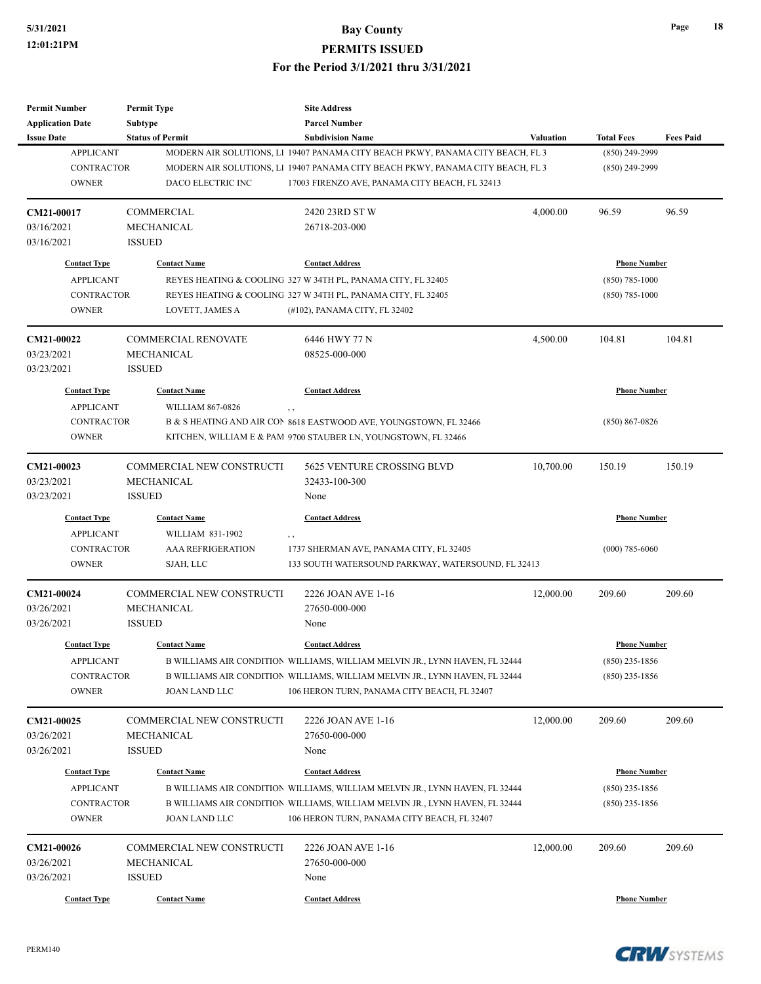| <b>Permit Number</b>       | <b>Permit Type</b>         | <b>Site Address</b>                                                                                                                                        |                  |                                      |                  |
|----------------------------|----------------------------|------------------------------------------------------------------------------------------------------------------------------------------------------------|------------------|--------------------------------------|------------------|
| <b>Application Date</b>    | <b>Subtype</b>             | <b>Parcel Number</b>                                                                                                                                       |                  |                                      |                  |
| <b>Issue Date</b>          | <b>Status of Permit</b>    | <b>Subdivision Name</b>                                                                                                                                    | <b>Valuation</b> | <b>Total Fees</b>                    | <b>Fees Paid</b> |
| <b>APPLICANT</b>           |                            | MODERN AIR SOLUTIONS, LI 19407 PANAMA CITY BEACH PKWY, PANAMA CITY BEACH, FL 3                                                                             |                  | (850) 249-2999                       |                  |
| <b>CONTRACTOR</b>          |                            | MODERN AIR SOLUTIONS, LI 19407 PANAMA CITY BEACH PKWY, PANAMA CITY BEACH, FL 3                                                                             |                  | (850) 249-2999                       |                  |
| <b>OWNER</b>               | DACO ELECTRIC INC          | 17003 FIRENZO AVE, PANAMA CITY BEACH, FL 32413                                                                                                             |                  |                                      |                  |
| CM21-00017                 | <b>COMMERCIAL</b>          | 2420 23RD ST W                                                                                                                                             | 4,000.00         | 96.59                                | 96.59            |
| 03/16/2021                 | <b>MECHANICAL</b>          | 26718-203-000                                                                                                                                              |                  |                                      |                  |
| 03/16/2021                 | <b>ISSUED</b>              |                                                                                                                                                            |                  |                                      |                  |
|                            |                            |                                                                                                                                                            |                  |                                      |                  |
| <b>Contact Type</b>        | <b>Contact Name</b>        | <b>Contact Address</b>                                                                                                                                     |                  | <b>Phone Number</b>                  |                  |
| <b>APPLICANT</b>           |                            | REYES HEATING & COOLING 327 W 34TH PL, PANAMA CITY, FL 32405                                                                                               |                  | $(850)$ 785-1000                     |                  |
| <b>CONTRACTOR</b>          |                            | REYES HEATING & COOLING 327 W 34TH PL, PANAMA CITY, FL 32405                                                                                               |                  | $(850)$ 785-1000                     |                  |
| <b>OWNER</b>               | LOVETT, JAMES A            | (#102), PANAMA CITY, FL 32402                                                                                                                              |                  |                                      |                  |
| <b>CM21-00022</b>          | <b>COMMERCIAL RENOVATE</b> | 6446 HWY 77 N                                                                                                                                              | 4,500.00         | 104.81                               | 104.81           |
| 03/23/2021                 | MECHANICAL                 | 08525-000-000                                                                                                                                              |                  |                                      |                  |
| 03/23/2021                 | <b>ISSUED</b>              |                                                                                                                                                            |                  |                                      |                  |
| <b>Contact Type</b>        | <b>Contact Name</b>        | <b>Contact Address</b>                                                                                                                                     |                  | <b>Phone Number</b>                  |                  |
| <b>APPLICANT</b>           | WILLIAM 867-0826           | $, \, , \,$                                                                                                                                                |                  |                                      |                  |
| <b>CONTRACTOR</b>          |                            | B & S HEATING AND AIR CON 8618 EASTWOOD AVE, YOUNGSTOWN, FL 32466                                                                                          |                  | $(850) 867 - 0826$                   |                  |
| <b>OWNER</b>               |                            | KITCHEN, WILLIAM E & PAM 9700 STAUBER LN, YOUNGSTOWN, FL 32466                                                                                             |                  |                                      |                  |
|                            |                            |                                                                                                                                                            |                  |                                      |                  |
| CM21-00023                 | COMMERCIAL NEW CONSTRUCTI  | 5625 VENTURE CROSSING BLVD                                                                                                                                 | 10,700.00        | 150.19                               | 150.19           |
| 03/23/2021                 | MECHANICAL                 | 32433-100-300                                                                                                                                              |                  |                                      |                  |
| 03/23/2021                 | <b>ISSUED</b>              | None                                                                                                                                                       |                  |                                      |                  |
| <b>Contact Type</b>        | <b>Contact Name</b>        | <b>Contact Address</b>                                                                                                                                     |                  | <b>Phone Number</b>                  |                  |
| <b>APPLICANT</b>           | WILLIAM 831-1902           | $, \, ,$                                                                                                                                                   |                  |                                      |                  |
| <b>CONTRACTOR</b>          | <b>AAA REFRIGERATION</b>   | 1737 SHERMAN AVE, PANAMA CITY, FL 32405                                                                                                                    |                  | $(000)$ 785-6060                     |                  |
| <b>OWNER</b>               | SJAH, LLC                  | 133 SOUTH WATERSOUND PARKWAY, WATERSOUND, FL 32413                                                                                                         |                  |                                      |                  |
| CM21-00024                 | COMMERCIAL NEW CONSTRUCTI  | 2226 JOAN AVE 1-16                                                                                                                                         | 12,000.00        | 209.60                               | 209.60           |
| 03/26/2021                 | <b>MECHANICAL</b>          | 27650-000-000                                                                                                                                              |                  |                                      |                  |
| 03/26/2021                 | <b>ISSUED</b>              | None                                                                                                                                                       |                  |                                      |                  |
| <b>Contact Type</b>        | <b>Contact Name</b>        | <b>Contact Address</b>                                                                                                                                     |                  | <b>Phone Number</b>                  |                  |
| <b>APPLICANT</b>           |                            |                                                                                                                                                            |                  |                                      |                  |
|                            |                            | B WILLIAMS AIR CONDITION WILLIAMS, WILLIAM MELVIN JR., LYNN HAVEN, FL 32444<br>B WILLIAMS AIR CONDITION WILLIAMS, WILLIAM MELVIN JR., LYNN HAVEN, FL 32444 |                  | $(850)$ 235-1856<br>$(850)$ 235-1856 |                  |
| CONTRACTOR<br><b>OWNER</b> | <b>JOAN LAND LLC</b>       | 106 HERON TURN, PANAMA CITY BEACH, FL 32407                                                                                                                |                  |                                      |                  |
|                            |                            |                                                                                                                                                            |                  |                                      |                  |
| CM21-00025                 | COMMERCIAL NEW CONSTRUCTI  | 2226 JOAN AVE 1-16                                                                                                                                         | 12,000.00        | 209.60                               | 209.60           |
| 03/26/2021                 | MECHANICAL                 | 27650-000-000                                                                                                                                              |                  |                                      |                  |
| 03/26/2021                 | <b>ISSUED</b>              | None                                                                                                                                                       |                  |                                      |                  |
| <b>Contact Type</b>        | <b>Contact Name</b>        | <b>Contact Address</b>                                                                                                                                     |                  | <b>Phone Number</b>                  |                  |
| <b>APPLICANT</b>           |                            | B WILLIAMS AIR CONDITION WILLIAMS, WILLIAM MELVIN JR., LYNN HAVEN, FL 32444                                                                                |                  | $(850)$ 235-1856                     |                  |
| CONTRACTOR                 |                            | B WILLIAMS AIR CONDITION WILLIAMS, WILLIAM MELVIN JR., LYNN HAVEN, FL 32444                                                                                |                  | $(850)$ 235-1856                     |                  |
| <b>OWNER</b>               | <b>JOAN LAND LLC</b>       | 106 HERON TURN, PANAMA CITY BEACH, FL 32407                                                                                                                |                  |                                      |                  |
|                            |                            |                                                                                                                                                            |                  |                                      |                  |
| CM21-00026                 | COMMERCIAL NEW CONSTRUCTI  | 2226 JOAN AVE 1-16                                                                                                                                         | 12,000.00        | 209.60                               | 209.60           |
| 03/26/2021                 | MECHANICAL                 | 27650-000-000                                                                                                                                              |                  |                                      |                  |
| 03/26/2021                 | <b>ISSUED</b>              | None                                                                                                                                                       |                  |                                      |                  |
| <b>Contact Type</b>        | <b>Contact Name</b>        | <b>Contact Address</b>                                                                                                                                     |                  | <b>Phone Number</b>                  |                  |

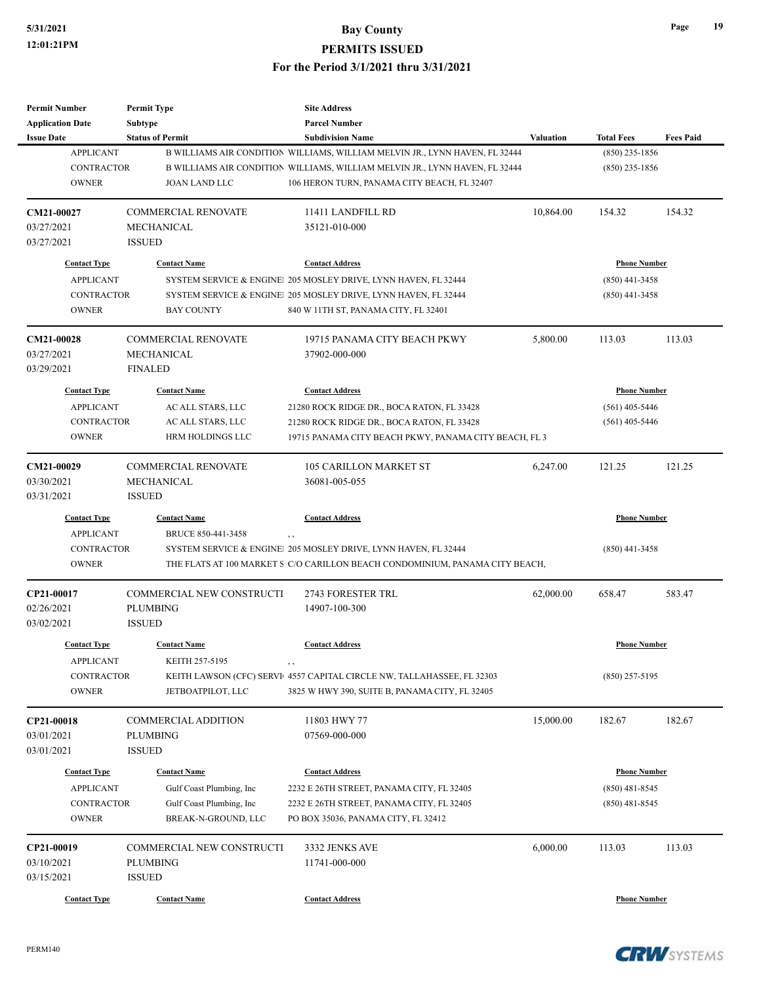| <b>Permit Number</b>    | <b>Permit Type</b>         | <b>Site Address</b>                                                               |                  |                     |                  |
|-------------------------|----------------------------|-----------------------------------------------------------------------------------|------------------|---------------------|------------------|
| <b>Application Date</b> | <b>Subtype</b>             | <b>Parcel Number</b>                                                              |                  |                     |                  |
| <b>Issue Date</b>       | <b>Status of Permit</b>    | <b>Subdivision Name</b>                                                           | <b>Valuation</b> | <b>Total Fees</b>   | <b>Fees Paid</b> |
| <b>APPLICANT</b>        |                            | B WILLIAMS AIR CONDITION WILLIAMS, WILLIAM MELVIN JR., LYNN HAVEN, FL 32444       |                  | $(850)$ 235-1856    |                  |
| CONTRACTOR              |                            | B WILLIAMS AIR CONDITION WILLIAMS, WILLIAM MELVIN JR., LYNN HAVEN, FL 32444       |                  | $(850)$ 235-1856    |                  |
| <b>OWNER</b>            | <b>JOAN LAND LLC</b>       | 106 HERON TURN, PANAMA CITY BEACH, FL 32407                                       |                  |                     |                  |
| CM21-00027              | <b>COMMERCIAL RENOVATE</b> | 11411 LANDFILL RD                                                                 | 10,864.00        | 154.32              | 154.32           |
| 03/27/2021              | <b>MECHANICAL</b>          | 35121-010-000                                                                     |                  |                     |                  |
| 03/27/2021              | <b>ISSUED</b>              |                                                                                   |                  |                     |                  |
| <b>Contact Type</b>     | <b>Contact Name</b>        | <b>Contact Address</b>                                                            |                  | <b>Phone Number</b> |                  |
| <b>APPLICANT</b>        |                            | SYSTEM SERVICE & ENGINE 205 MOSLEY DRIVE, LYNN HAVEN, FL 32444                    |                  | $(850)$ 441-3458    |                  |
| CONTRACTOR              |                            | SYSTEM SERVICE & ENGINE 205 MOSLEY DRIVE, LYNN HAVEN, FL 32444                    |                  | $(850)$ 441-3458    |                  |
| <b>OWNER</b>            | <b>BAY COUNTY</b>          | 840 W 11TH ST, PANAMA CITY, FL 32401                                              |                  |                     |                  |
| <b>CM21-00028</b>       | <b>COMMERCIAL RENOVATE</b> | 19715 PANAMA CITY BEACH PKWY                                                      | 5,800.00         | 113.03              | 113.03           |
| 03/27/2021              | MECHANICAL                 | 37902-000-000                                                                     |                  |                     |                  |
| 03/29/2021              | <b>FINALED</b>             |                                                                                   |                  |                     |                  |
| <b>Contact Type</b>     | <b>Contact Name</b>        | <b>Contact Address</b>                                                            |                  | <b>Phone Number</b> |                  |
| <b>APPLICANT</b>        | AC ALL STARS, LLC          | 21280 ROCK RIDGE DR., BOCA RATON, FL 33428                                        |                  | $(561)$ 405-5446    |                  |
| <b>CONTRACTOR</b>       | AC ALL STARS, LLC          | 21280 ROCK RIDGE DR., BOCA RATON, FL 33428                                        |                  | $(561)$ 405-5446    |                  |
| <b>OWNER</b>            | HRM HOLDINGS LLC           | 19715 PANAMA CITY BEACH PKWY, PANAMA CITY BEACH, FL 3                             |                  |                     |                  |
|                         |                            |                                                                                   |                  |                     |                  |
| CM21-00029              | <b>COMMERCIAL RENOVATE</b> | <b>105 CARILLON MARKET ST</b>                                                     | 6,247.00         | 121.25              | 121.25           |
| 03/30/2021              | MECHANICAL                 | 36081-005-055                                                                     |                  |                     |                  |
| 03/31/2021              | <b>ISSUED</b>              |                                                                                   |                  |                     |                  |
| <b>Contact Type</b>     | <b>Contact Name</b>        | <b>Contact Address</b>                                                            |                  | <b>Phone Number</b> |                  |
| <b>APPLICANT</b>        | BRUCE 850-441-3458         | $, \, ,$                                                                          |                  |                     |                  |
| <b>CONTRACTOR</b>       |                            | SYSTEM SERVICE & ENGINE 205 MOSLEY DRIVE, LYNN HAVEN, FL 32444                    |                  | $(850)$ 441-3458    |                  |
| <b>OWNER</b>            |                            | THE FLATS AT 100 MARKET S C/O CARILLON BEACH CONDOMINIUM, PANAMA CITY BEACH,      |                  |                     |                  |
| CP21-00017              | COMMERCIAL NEW CONSTRUCTI  | 2743 FORESTER TRL                                                                 | 62,000.00        | 658.47              | 583.47           |
| 02/26/2021              | <b>PLUMBING</b>            | 14907-100-300                                                                     |                  |                     |                  |
| 03/02/2021              | <b>ISSUED</b>              |                                                                                   |                  |                     |                  |
| <b>Contact Type</b>     | <b>Contact Name</b>        | <b>Contact Address</b>                                                            |                  | <b>Phone Number</b> |                  |
| <b>APPLICANT</b>        | KEITH 257-5195             | , ,                                                                               |                  |                     |                  |
| CONTRACTOR              |                            | KEITH LAWSON (CFC) SERVI <sup>4557</sup> CAPITAL CIRCLE NW, TALLAHASSEE, FL 32303 |                  | $(850)$ 257-5195    |                  |
| <b>OWNER</b>            | JETBOATPILOT, LLC          | 3825 W HWY 390, SUITE B, PANAMA CITY, FL 32405                                    |                  |                     |                  |
| CP21-00018              | COMMERCIAL ADDITION        | 11803 HWY 77                                                                      | 15,000.00        | 182.67              | 182.67           |
| 03/01/2021              | <b>PLUMBING</b>            | 07569-000-000                                                                     |                  |                     |                  |
| 03/01/2021              | <b>ISSUED</b>              |                                                                                   |                  |                     |                  |
|                         |                            |                                                                                   |                  |                     |                  |
| <b>Contact Type</b>     | <b>Contact Name</b>        | <b>Contact Address</b>                                                            |                  | <b>Phone Number</b> |                  |
| <b>APPLICANT</b>        | Gulf Coast Plumbing, Inc   | 2232 E 26TH STREET, PANAMA CITY, FL 32405                                         |                  | $(850)$ 481-8545    |                  |
| CONTRACTOR              | Gulf Coast Plumbing, Inc   | 2232 E 26TH STREET, PANAMA CITY, FL 32405                                         |                  | $(850)$ 481-8545    |                  |
| <b>OWNER</b>            | BREAK-N-GROUND, LLC        | PO BOX 35036, PANAMA CITY, FL 32412                                               |                  |                     |                  |
| CP21-00019              | COMMERCIAL NEW CONSTRUCTI  | 3332 JENKS AVE                                                                    | 6,000.00         | 113.03              | 113.03           |
| 03/10/2021              | PLUMBING                   | 11741-000-000                                                                     |                  |                     |                  |
| 03/15/2021              | <b>ISSUED</b>              |                                                                                   |                  |                     |                  |
| <b>Contact Type</b>     | <b>Contact Name</b>        | <b>Contact Address</b>                                                            |                  | <b>Phone Number</b> |                  |
|                         |                            |                                                                                   |                  |                     |                  |

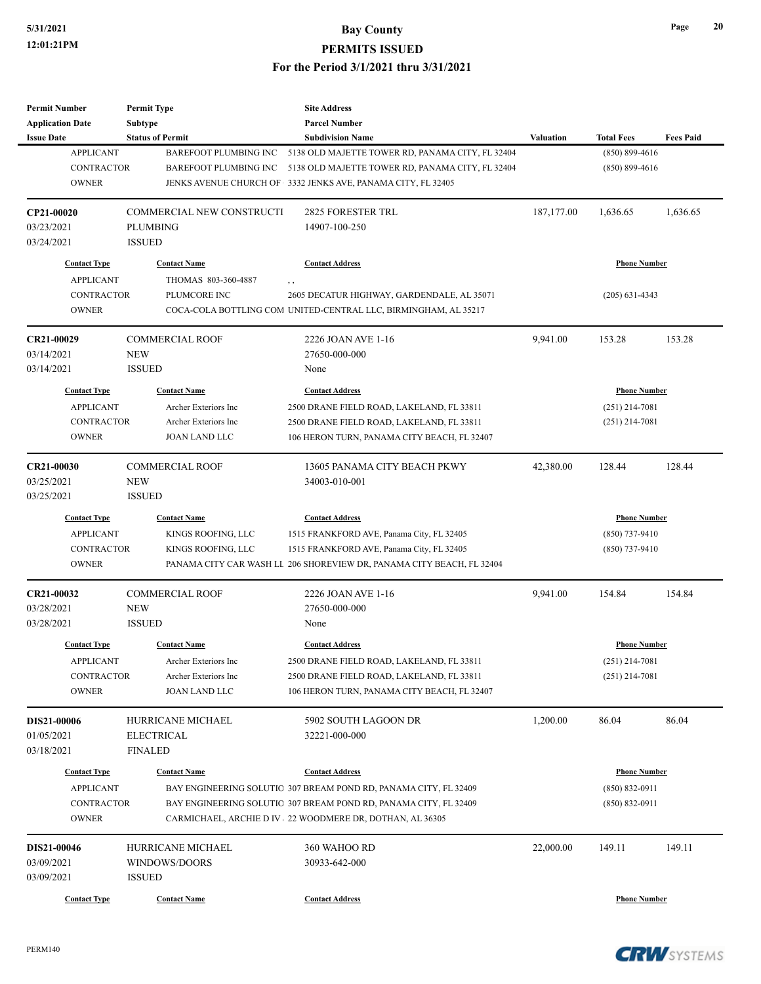| <b>Permit Number</b>    | <b>Permit Type</b>           | <b>Site Address</b>                                                   |                  |                     |                  |
|-------------------------|------------------------------|-----------------------------------------------------------------------|------------------|---------------------|------------------|
| <b>Application Date</b> | <b>Subtype</b>               | <b>Parcel Number</b>                                                  |                  |                     |                  |
| <b>Issue Date</b>       | <b>Status of Permit</b>      | <b>Subdivision Name</b>                                               | <b>Valuation</b> | <b>Total Fees</b>   | <b>Fees Paid</b> |
| <b>APPLICANT</b>        | <b>BAREFOOT PLUMBING INC</b> | 5138 OLD MAJETTE TOWER RD, PANAMA CITY, FL 32404                      |                  | $(850) 899 - 4616$  |                  |
| <b>CONTRACTOR</b>       | <b>BAREFOOT PLUMBING INC</b> | 5138 OLD MAJETTE TOWER RD, PANAMA CITY, FL 32404                      |                  | $(850) 899 - 4616$  |                  |
| <b>OWNER</b>            |                              | JENKS AVENUE CHURCH OF 3332 JENKS AVE, PANAMA CITY, FL 32405          |                  |                     |                  |
|                         |                              |                                                                       |                  |                     |                  |
| CP21-00020              | COMMERCIAL NEW CONSTRUCTI    | 2825 FORESTER TRL                                                     | 187, 177.00      | 1,636.65            | 1,636.65         |
| 03/23/2021              | <b>PLUMBING</b>              | 14907-100-250                                                         |                  |                     |                  |
| 03/24/2021              | <b>ISSUED</b>                |                                                                       |                  |                     |                  |
| <b>Contact Type</b>     | <b>Contact Name</b>          | <b>Contact Address</b>                                                |                  | <b>Phone Number</b> |                  |
| <b>APPLICANT</b>        | THOMAS 803-360-4887          |                                                                       |                  |                     |                  |
| <b>CONTRACTOR</b>       | PLUMCORE INC                 | , ,                                                                   |                  |                     |                  |
|                         |                              | 2605 DECATUR HIGHWAY, GARDENDALE, AL 35071                            |                  | $(205)$ 631-4343    |                  |
| <b>OWNER</b>            |                              | COCA-COLA BOTTLING COM UNITED-CENTRAL LLC, BIRMINGHAM, AL 35217       |                  |                     |                  |
| CR21-00029              | COMMERCIAL ROOF              | 2226 JOAN AVE 1-16                                                    | 9,941.00         | 153.28              | 153.28           |
| 03/14/2021              | <b>NEW</b>                   | 27650-000-000                                                         |                  |                     |                  |
| 03/14/2021              | <b>ISSUED</b>                |                                                                       |                  |                     |                  |
|                         |                              | None                                                                  |                  |                     |                  |
| <b>Contact Type</b>     | <b>Contact Name</b>          | <b>Contact Address</b>                                                |                  | <b>Phone Number</b> |                  |
| <b>APPLICANT</b>        | Archer Exteriors Inc         | 2500 DRANE FIELD ROAD, LAKELAND, FL 33811                             |                  | $(251)$ 214-7081    |                  |
| <b>CONTRACTOR</b>       | Archer Exteriors Inc         | 2500 DRANE FIELD ROAD, LAKELAND, FL 33811                             |                  | $(251)$ 214-7081    |                  |
| <b>OWNER</b>            | <b>JOAN LAND LLC</b>         | 106 HERON TURN, PANAMA CITY BEACH, FL 32407                           |                  |                     |                  |
|                         |                              |                                                                       |                  |                     |                  |
| CR21-00030              | <b>COMMERCIAL ROOF</b>       | 13605 PANAMA CITY BEACH PKWY                                          | 42,380.00        | 128.44              | 128.44           |
| 03/25/2021              | <b>NEW</b>                   | 34003-010-001                                                         |                  |                     |                  |
| 03/25/2021              | <b>ISSUED</b>                |                                                                       |                  |                     |                  |
| <b>Contact Type</b>     | <b>Contact Name</b>          | <b>Contact Address</b>                                                |                  | <b>Phone Number</b> |                  |
| <b>APPLICANT</b>        | KINGS ROOFING, LLC           | 1515 FRANKFORD AVE, Panama City, FL 32405                             |                  | $(850)$ 737-9410    |                  |
| <b>CONTRACTOR</b>       | KINGS ROOFING, LLC           | 1515 FRANKFORD AVE, Panama City, FL 32405                             |                  | $(850)$ 737-9410    |                  |
| <b>OWNER</b>            |                              | PANAMA CITY CAR WASH LL 206 SHOREVIEW DR, PANAMA CITY BEACH, FL 32404 |                  |                     |                  |
|                         |                              |                                                                       |                  |                     |                  |
| CR21-00032              | COMMERCIAL ROOF              | 2226 JOAN AVE 1-16                                                    | 9,941.00         | 154.84              | 154.84           |
| 03/28/2021              | <b>NEW</b>                   | 27650-000-000                                                         |                  |                     |                  |
| 03/28/2021              | <b>ISSUED</b>                | None                                                                  |                  |                     |                  |
|                         |                              |                                                                       |                  |                     |                  |
| <b>Contact Type</b>     | <b>Contact Name</b>          | <b>Contact Address</b>                                                |                  | <b>Phone Number</b> |                  |
| <b>APPLICANT</b>        | Archer Exteriors Inc         | 2500 DRANE FIELD ROAD, LAKELAND, FL 33811                             |                  | $(251)$ 214-7081    |                  |
| <b>CONTRACTOR</b>       | Archer Exteriors Inc         | 2500 DRANE FIELD ROAD, LAKELAND, FL 33811                             |                  | $(251)$ 214-7081    |                  |
| <b>OWNER</b>            | <b>JOAN LAND LLC</b>         | 106 HERON TURN, PANAMA CITY BEACH, FL 32407                           |                  |                     |                  |
|                         |                              |                                                                       |                  |                     |                  |
| DIS21-00006             | HURRICANE MICHAEL            | 5902 SOUTH LAGOON DR                                                  | 1,200.00         | 86.04               | 86.04            |
| 01/05/2021              | <b>ELECTRICAL</b>            | 32221-000-000                                                         |                  |                     |                  |
| 03/18/2021              | <b>FINALED</b>               |                                                                       |                  |                     |                  |
| <b>Contact Type</b>     | <b>Contact Name</b>          | <b>Contact Address</b>                                                |                  | <b>Phone Number</b> |                  |
| <b>APPLICANT</b>        |                              | BAY ENGINEERING SOLUTIO 307 BREAM POND RD, PANAMA CITY, FL 32409      |                  | $(850) 832 - 0911$  |                  |
| CONTRACTOR              |                              | BAY ENGINEERING SOLUTIO 307 BREAM POND RD, PANAMA CITY, FL 32409      |                  | $(850) 832 - 0911$  |                  |
| <b>OWNER</b>            |                              | CARMICHAEL, ARCHIE D IV 22 WOODMERE DR, DOTHAN, AL 36305              |                  |                     |                  |
|                         |                              |                                                                       |                  |                     |                  |
| DIS21-00046             | HURRICANE MICHAEL            | 360 WAHOO RD                                                          | 22,000.00        | 149.11              | 149.11           |
| 03/09/2021              | WINDOWS/DOORS                | 30933-642-000                                                         |                  |                     |                  |
| 03/09/2021              | <b>ISSUED</b>                |                                                                       |                  |                     |                  |
| <b>Contact Type</b>     | <b>Contact Name</b>          | <b>Contact Address</b>                                                |                  | <b>Phone Number</b> |                  |
|                         |                              |                                                                       |                  |                     |                  |



**Page 20**

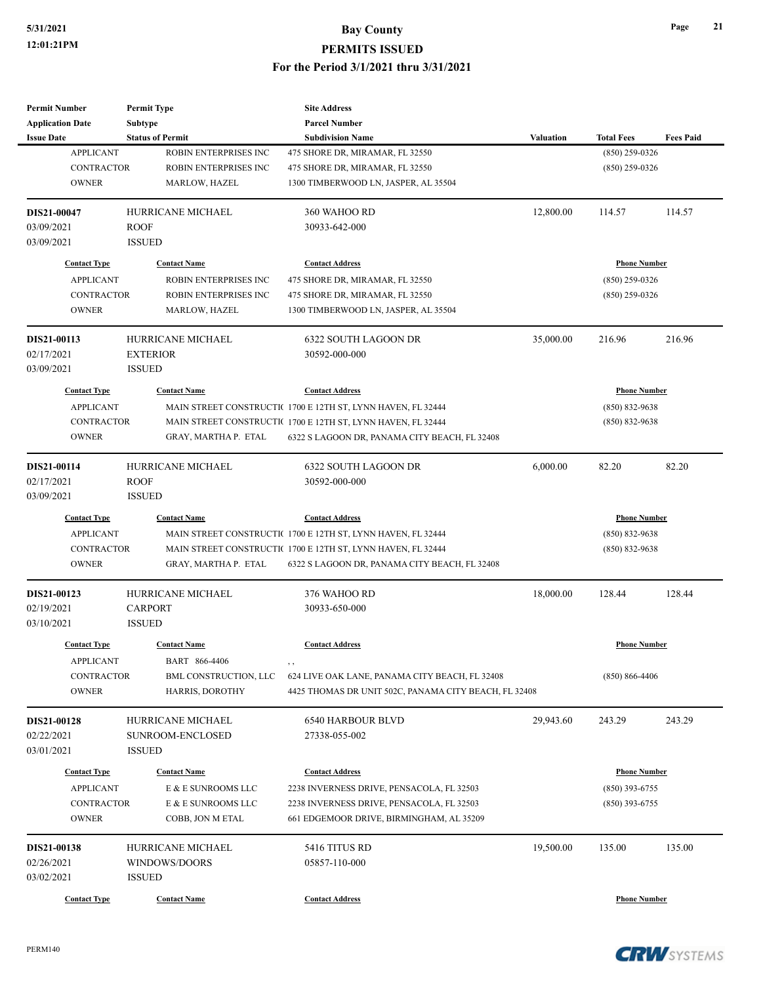| <b>Permit Number</b>    | <b>Permit Type</b>       | <b>Site Address</b>                                          |                    |                     |                  |
|-------------------------|--------------------------|--------------------------------------------------------------|--------------------|---------------------|------------------|
| <b>Application Date</b> | Subtype                  | <b>Parcel Number</b>                                         |                    |                     |                  |
| <b>Issue Date</b>       | <b>Status of Permit</b>  | <b>Subdivision Name</b>                                      | <b>Valuation</b>   | <b>Total Fees</b>   | <b>Fees Paid</b> |
| <b>APPLICANT</b>        | ROBIN ENTERPRISES INC    | 475 SHORE DR, MIRAMAR, FL 32550                              |                    | $(850)$ 259-0326    |                  |
| <b>CONTRACTOR</b>       | ROBIN ENTERPRISES INC    | 475 SHORE DR, MIRAMAR, FL 32550                              |                    | $(850)$ 259-0326    |                  |
| <b>OWNER</b>            | MARLOW, HAZEL            | 1300 TIMBERWOOD LN, JASPER, AL 35504                         |                    |                     |                  |
| DIS21-00047             | HURRICANE MICHAEL        | 360 WAHOO RD                                                 | 12,800.00          | 114.57              | 114.57           |
| 03/09/2021              | <b>ROOF</b>              | 30933-642-000                                                |                    |                     |                  |
| 03/09/2021              | <b>ISSUED</b>            |                                                              |                    |                     |                  |
| <b>Contact Type</b>     | <b>Contact Name</b>      | <b>Contact Address</b>                                       |                    | <b>Phone Number</b> |                  |
| <b>APPLICANT</b>        | ROBIN ENTERPRISES INC    | 475 SHORE DR, MIRAMAR, FL 32550                              |                    | $(850)$ 259-0326    |                  |
| <b>CONTRACTOR</b>       | ROBIN ENTERPRISES INC    | 475 SHORE DR, MIRAMAR, FL 32550                              |                    | $(850)$ 259-0326    |                  |
| <b>OWNER</b>            | MARLOW, HAZEL            | 1300 TIMBERWOOD LN, JASPER, AL 35504                         |                    |                     |                  |
| DIS21-00113             | HURRICANE MICHAEL        | 6322 SOUTH LAGOON DR                                         | 35,000.00          | 216.96              | 216.96           |
| 02/17/2021              | <b>EXTERIOR</b>          | 30592-000-000                                                |                    |                     |                  |
| 03/09/2021              | <b>ISSUED</b>            |                                                              |                    |                     |                  |
| <b>Contact Type</b>     | <b>Contact Name</b>      | <b>Contact Address</b>                                       |                    | <b>Phone Number</b> |                  |
| <b>APPLICANT</b>        |                          | MAIN STREET CONSTRUCTIC 1700 E 12TH ST, LYNN HAVEN, FL 32444 |                    | $(850) 832 - 9638$  |                  |
| <b>CONTRACTOR</b>       |                          | MAIN STREET CONSTRUCTIC 1700 E 12TH ST, LYNN HAVEN, FL 32444 |                    | $(850) 832 - 9638$  |                  |
| <b>OWNER</b>            | GRAY, MARTHA P. ETAL     | 6322 S LAGOON DR, PANAMA CITY BEACH, FL 32408                |                    |                     |                  |
|                         |                          |                                                              |                    |                     |                  |
| DIS21-00114             | HURRICANE MICHAEL        | 6322 SOUTH LAGOON DR                                         | 6,000.00           | 82.20               | 82.20            |
| 02/17/2021              | <b>ROOF</b>              | 30592-000-000                                                |                    |                     |                  |
| 03/09/2021              | <b>ISSUED</b>            |                                                              |                    |                     |                  |
| <b>Contact Type</b>     | <b>Contact Name</b>      | <b>Contact Address</b>                                       |                    | <b>Phone Number</b> |                  |
| <b>APPLICANT</b>        |                          | MAIN STREET CONSTRUCTIC 1700 E 12TH ST, LYNN HAVEN, FL 32444 | $(850) 832 - 9638$ |                     |                  |
| CONTRACTOR              |                          | MAIN STREET CONSTRUCTIC 1700 E 12TH ST, LYNN HAVEN, FL 32444 |                    | $(850) 832 - 9638$  |                  |
| <b>OWNER</b>            | GRAY, MARTHA P. ETAL     | 6322 S LAGOON DR, PANAMA CITY BEACH, FL 32408                |                    |                     |                  |
| DIS21-00123             | <b>HURRICANE MICHAEL</b> | 376 WAHOO RD                                                 | 18,000.00          | 128.44              | 128.44           |
| 02/19/2021              | <b>CARPORT</b>           | 30933-650-000                                                |                    |                     |                  |
| 03/10/2021              | <b>ISSUED</b>            |                                                              |                    |                     |                  |
| <b>Contact Type</b>     | <b>Contact Name</b>      | <b>Contact Address</b>                                       |                    | <b>Phone Number</b> |                  |
| <b>APPLICANT</b>        | BART 866-4406            | , ,                                                          |                    |                     |                  |
| CONTRACTOR              | BML CONSTRUCTION, LLC    | 624 LIVE OAK LANE, PANAMA CITY BEACH, FL 32408               |                    | $(850) 866 - 4406$  |                  |
| <b>OWNER</b>            | HARRIS, DOROTHY          | 4425 THOMAS DR UNIT 502C, PANAMA CITY BEACH, FL 32408        |                    |                     |                  |
| DIS21-00128             | HURRICANE MICHAEL        | 6540 HARBOUR BLVD                                            | 29,943.60          | 243.29              | 243.29           |
| 02/22/2021              | SUNROOM-ENCLOSED         | 27338-055-002                                                |                    |                     |                  |
| 03/01/2021              | <b>ISSUED</b>            |                                                              |                    |                     |                  |
| <b>Contact Type</b>     | <b>Contact Name</b>      | <b>Contact Address</b>                                       |                    | <b>Phone Number</b> |                  |
| <b>APPLICANT</b>        | E & E SUNROOMS LLC       | 2238 INVERNESS DRIVE, PENSACOLA, FL 32503                    | $(850)$ 393-6755   |                     |                  |
| CONTRACTOR              | E & E SUNROOMS LLC       | 2238 INVERNESS DRIVE, PENSACOLA, FL 32503                    |                    | $(850)$ 393-6755    |                  |
| <b>OWNER</b>            | COBB, JON M ETAL         | 661 EDGEMOOR DRIVE, BIRMINGHAM, AL 35209                     |                    |                     |                  |
| DIS21-00138             | HURRICANE MICHAEL        | 5416 TITUS RD                                                | 19,500.00          | 135.00              | 135.00           |
| 02/26/2021              | WINDOWS/DOORS            | 05857-110-000                                                |                    |                     |                  |
| 03/02/2021              | <b>ISSUED</b>            |                                                              |                    |                     |                  |
| <b>Contact Type</b>     | <b>Contact Name</b>      | <b>Contact Address</b>                                       |                    | <b>Phone Number</b> |                  |
|                         |                          |                                                              |                    |                     |                  |

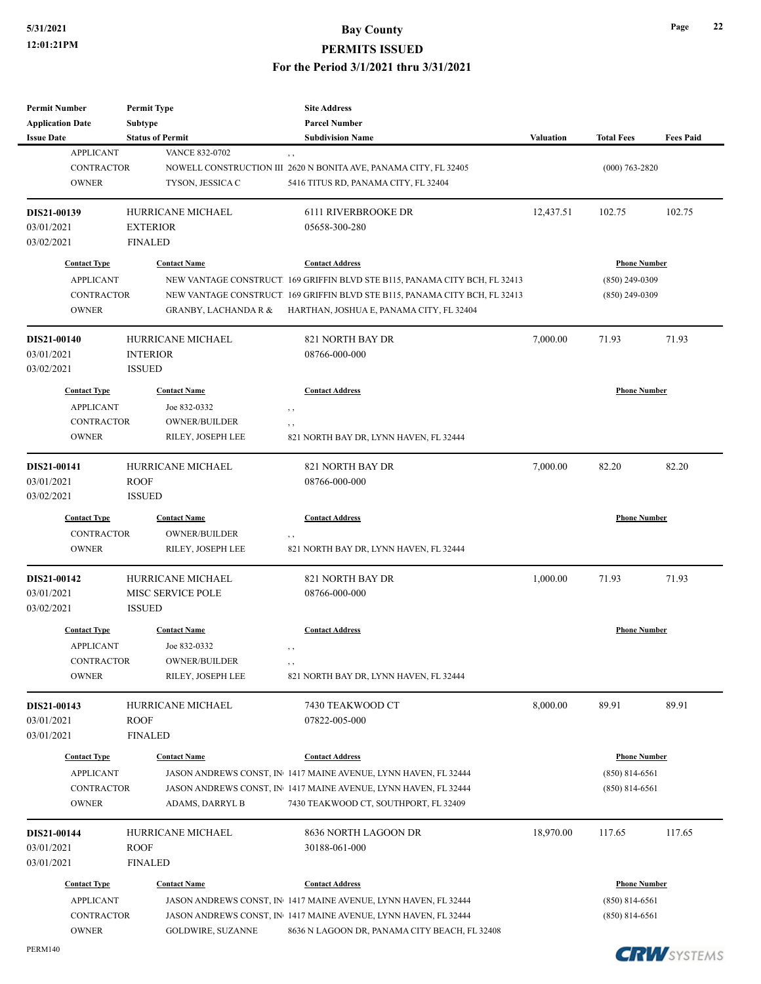| <b>Permit Number</b><br><b>Application Date</b> | <b>Permit Type</b><br>Subtype |                                 | <b>Site Address</b><br><b>Parcel Number</b>                                 |                  |                     |                  |
|-------------------------------------------------|-------------------------------|---------------------------------|-----------------------------------------------------------------------------|------------------|---------------------|------------------|
| <b>Issue Date</b>                               | <b>Status of Permit</b>       |                                 | <b>Subdivision Name</b>                                                     | <b>Valuation</b> | <b>Total Fees</b>   | <b>Fees Paid</b> |
| <b>APPLICANT</b>                                |                               | <b>VANCE 832-0702</b>           | $, \, ,$                                                                    |                  |                     |                  |
| CONTRACTOR                                      |                               |                                 | NOWELL CONSTRUCTION III 2620 N BONITA AVE, PANAMA CITY, FL 32405            |                  | $(000) 763 - 2820$  |                  |
| <b>OWNER</b>                                    |                               | TYSON, JESSICA C                | 5416 TITUS RD, PANAMA CITY, FL 32404                                        |                  |                     |                  |
| DIS21-00139                                     |                               | HURRICANE MICHAEL               | <b>6111 RIVERBROOKE DR</b>                                                  | 12,437.51        | 102.75              | 102.75           |
| 03/01/2021                                      | <b>EXTERIOR</b>               |                                 | 05658-300-280                                                               |                  |                     |                  |
| 03/02/2021                                      | <b>FINALED</b>                |                                 |                                                                             |                  |                     |                  |
| <b>Contact Type</b>                             | <b>Contact Name</b>           |                                 | <b>Contact Address</b>                                                      |                  | <b>Phone Number</b> |                  |
| <b>APPLICANT</b>                                |                               |                                 | NEW VANTAGE CONSTRUCT 169 GRIFFIN BLVD STE B115, PANAMA CITY BCH, FL 32413  |                  | $(850)$ 249-0309    |                  |
| <b>CONTRACTOR</b>                               |                               |                                 | NEW VANTAGE CONSTRUCT. 169 GRIFFIN BLVD STE B115, PANAMA CITY BCH, FL 32413 |                  | $(850)$ 249-0309    |                  |
| <b>OWNER</b>                                    |                               | <b>GRANBY, LACHANDA R &amp;</b> | HARTHAN, JOSHUA E, PANAMA CITY, FL 32404                                    |                  |                     |                  |
| DIS21-00140                                     |                               | HURRICANE MICHAEL               | 821 NORTH BAY DR                                                            | 7,000.00         | 71.93               | 71.93            |
| 03/01/2021                                      | <b>INTERIOR</b>               |                                 | 08766-000-000                                                               |                  |                     |                  |
| 03/02/2021                                      | <b>ISSUED</b>                 |                                 |                                                                             |                  |                     |                  |
| <b>Contact Type</b>                             |                               | <b>Contact Name</b>             | <b>Contact Address</b>                                                      |                  | <b>Phone Number</b> |                  |
| <b>APPLICANT</b>                                |                               | Joe 832-0332                    | , ,                                                                         |                  |                     |                  |
| <b>CONTRACTOR</b>                               |                               | <b>OWNER/BUILDER</b>            | , ,                                                                         |                  |                     |                  |
| <b>OWNER</b>                                    |                               | RILEY, JOSEPH LEE               | 821 NORTH BAY DR, LYNN HAVEN, FL 32444                                      |                  |                     |                  |
| DIS21-00141                                     |                               | <b>HURRICANE MICHAEL</b>        | 821 NORTH BAY DR                                                            | 7,000.00         | 82.20               | 82.20            |
| 03/01/2021                                      | <b>ROOF</b>                   |                                 | 08766-000-000                                                               |                  |                     |                  |
| 03/02/2021                                      | <b>ISSUED</b>                 |                                 |                                                                             |                  |                     |                  |
| <b>Contact Type</b>                             |                               | <b>Contact Name</b>             | <b>Contact Address</b>                                                      |                  | <b>Phone Number</b> |                  |
| <b>CONTRACTOR</b>                               |                               | <b>OWNER/BUILDER</b>            | $, \, ,$                                                                    |                  |                     |                  |
| <b>OWNER</b>                                    |                               | RILEY, JOSEPH LEE               | 821 NORTH BAY DR, LYNN HAVEN, FL 32444                                      |                  |                     |                  |
| DIS21-00142                                     |                               | HURRICANE MICHAEL               | 821 NORTH BAY DR                                                            | 1,000.00         | 71.93               | 71.93            |
| 03/01/2021                                      |                               | MISC SERVICE POLE               | 08766-000-000                                                               |                  |                     |                  |
| 03/02/2021                                      | <b>ISSUED</b>                 |                                 |                                                                             |                  |                     |                  |
| <b>Contact Type</b>                             |                               | <b>Contact Name</b>             | <b>Contact Address</b>                                                      |                  | <b>Phone Number</b> |                  |
| <b>APPLICANT</b>                                |                               | Joe 832-0332                    |                                                                             |                  |                     |                  |
| CONTRACTOR                                      |                               | OWNER/BUILDER                   | , ,                                                                         |                  |                     |                  |
| <b>OWNER</b>                                    |                               | RILEY, JOSEPH LEE               | , ,<br>821 NORTH BAY DR, LYNN HAVEN, FL 32444                               |                  |                     |                  |
|                                                 |                               |                                 |                                                                             |                  |                     |                  |
| DIS21-00143                                     |                               | <b>HURRICANE MICHAEL</b>        | 7430 TEAKWOOD CT                                                            | 8,000.00         | 89.91               | 89.91            |
| 03/01/2021                                      | <b>ROOF</b>                   |                                 | 07822-005-000                                                               |                  |                     |                  |
| 03/01/2021                                      | <b>FINALED</b>                |                                 |                                                                             |                  |                     |                  |
| <b>Contact Type</b>                             |                               | <b>Contact Name</b>             | <b>Contact Address</b>                                                      |                  | <b>Phone Number</b> |                  |
| <b>APPLICANT</b>                                |                               |                                 | JASON ANDREWS CONST, IN 1417 MAINE AVENUE, LYNN HAVEN, FL 32444             |                  | $(850) 814 - 6561$  |                  |
| <b>CONTRACTOR</b>                               |                               |                                 | JASON ANDREWS CONST, IN 1417 MAINE AVENUE, LYNN HAVEN, FL 32444             |                  | $(850) 814 - 6561$  |                  |
| <b>OWNER</b>                                    |                               | ADAMS, DARRYL B                 | 7430 TEAKWOOD CT, SOUTHPORT, FL 32409                                       |                  |                     |                  |
| DIS21-00144                                     |                               | HURRICANE MICHAEL               | 8636 NORTH LAGOON DR                                                        | 18,970.00        | 117.65              | 117.65           |
| 03/01/2021                                      | <b>ROOF</b>                   |                                 | 30188-061-000                                                               |                  |                     |                  |
| 03/01/2021                                      | <b>FINALED</b>                |                                 |                                                                             |                  |                     |                  |
| <b>Contact Type</b>                             |                               | <b>Contact Name</b>             | <b>Contact Address</b>                                                      |                  | <b>Phone Number</b> |                  |
| <b>APPLICANT</b>                                |                               |                                 | JASON ANDREWS CONST, IN 1417 MAINE AVENUE, LYNN HAVEN, FL 32444             |                  | $(850) 814 - 6561$  |                  |
| <b>CONTRACTOR</b>                               |                               |                                 | JASON ANDREWS CONST, IN 1417 MAINE AVENUE, LYNN HAVEN, FL 32444             |                  | $(850)$ 814-6561    |                  |
| <b>OWNER</b>                                    |                               | GOLDWIRE, SUZANNE               | 8636 N LAGOON DR, PANAMA CITY BEACH, FL 32408                               |                  |                     |                  |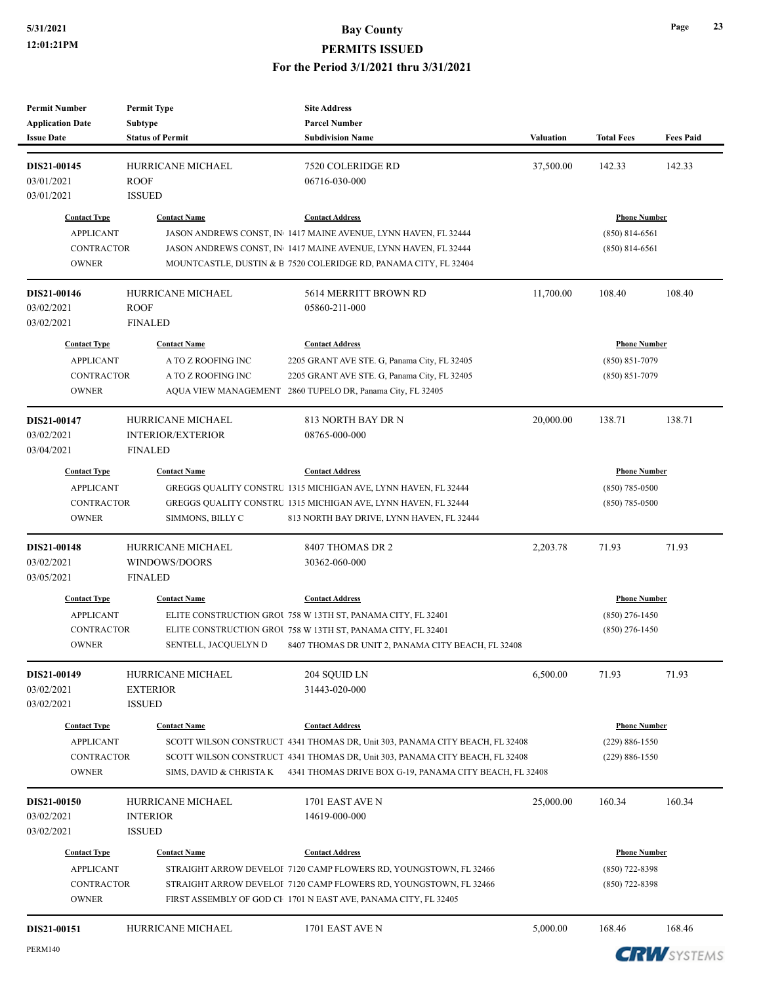| <b>Permit Number</b><br><b>Application Date</b><br><b>Issue Date</b>         | <b>Permit Type</b><br>Subtype<br><b>Status of Permit</b>        | <b>Site Address</b><br><b>Parcel Number</b><br><b>Subdivision Name</b>                                                                                                                                                                            | <b>Valuation</b> | <b>Total Fees</b>                                               | <b>Fees Paid</b> |
|------------------------------------------------------------------------------|-----------------------------------------------------------------|---------------------------------------------------------------------------------------------------------------------------------------------------------------------------------------------------------------------------------------------------|------------------|-----------------------------------------------------------------|------------------|
| DIS21-00145<br>03/01/2021<br>03/01/2021                                      | <b>HURRICANE MICHAEL</b><br><b>ROOF</b><br><b>ISSUED</b>        | 7520 COLERIDGE RD<br>06716-030-000                                                                                                                                                                                                                | 37,500.00        | 142.33                                                          | 142.33           |
| <b>Contact Type</b><br><b>APPLICANT</b><br><b>CONTRACTOR</b><br><b>OWNER</b> | <b>Contact Name</b>                                             | <b>Contact Address</b><br>JASON ANDREWS CONST, IN 1417 MAINE AVENUE, LYNN HAVEN, FL 32444<br>JASON ANDREWS CONST, IN 1417 MAINE AVENUE, LYNN HAVEN, FL 32444<br>MOUNTCASTLE, DUSTIN & B 7520 COLERIDGE RD, PANAMA CITY, FL 32404                  |                  | <b>Phone Number</b><br>$(850)$ 814-6561<br>$(850)$ 814-6561     |                  |
| DIS21-00146<br>03/02/2021<br>03/02/2021                                      | HURRICANE MICHAEL<br><b>ROOF</b><br><b>FINALED</b>              | 5614 MERRITT BROWN RD<br>05860-211-000                                                                                                                                                                                                            | 11,700.00        | 108.40                                                          | 108.40           |
| <b>Contact Type</b><br><b>APPLICANT</b><br><b>CONTRACTOR</b><br><b>OWNER</b> | <b>Contact Name</b><br>A TO Z ROOFING INC<br>A TO Z ROOFING INC | <b>Contact Address</b><br>2205 GRANT AVE STE. G, Panama City, FL 32405<br>2205 GRANT AVE STE. G, Panama City, FL 32405<br>AQUA VIEW MANAGEMENT<br>2860 TUPELO DR, Panama City, FL 32405                                                           |                  | <b>Phone Number</b><br>$(850) 851 - 7079$<br>$(850) 851 - 7079$ |                  |
| DIS21-00147<br>03/02/2021<br>03/04/2021                                      | HURRICANE MICHAEL<br><b>INTERIOR/EXTERIOR</b><br><b>FINALED</b> | 813 NORTH BAY DR N<br>08765-000-000                                                                                                                                                                                                               | 20,000.00        | 138.71                                                          | 138.71           |
| <b>Contact Type</b><br><b>APPLICANT</b><br><b>CONTRACTOR</b><br><b>OWNER</b> | <b>Contact Name</b><br>SIMMONS, BILLY C                         | <b>Contact Address</b><br>GREGGS QUALITY CONSTRU 1315 MICHIGAN AVE, LYNN HAVEN, FL 32444<br>GREGGS QUALITY CONSTRU 1315 MICHIGAN AVE, LYNN HAVEN, FL 32444<br>813 NORTH BAY DRIVE, LYNN HAVEN, FL 32444                                           |                  | <b>Phone Number</b><br>$(850)$ 785-0500<br>$(850)$ 785-0500     |                  |
| DIS21-00148<br>03/02/2021<br>03/05/2021                                      | HURRICANE MICHAEL<br>WINDOWS/DOORS<br><b>FINALED</b>            | 8407 THOMAS DR 2<br>30362-060-000                                                                                                                                                                                                                 | 2,203.78         | 71.93                                                           | 71.93            |
| <b>Contact Type</b><br><b>APPLICANT</b><br><b>CONTRACTOR</b><br><b>OWNER</b> | <b>Contact Name</b><br>SENTELL, JACQUELYN D                     | <b>Contact Address</b><br>ELITE CONSTRUCTION GROU 758 W 13TH ST, PANAMA CITY, FL 32401<br>ELITE CONSTRUCTION GROU 758 W 13TH ST, PANAMA CITY, FL 32401<br>8407 THOMAS DR UNIT 2, PANAMA CITY BEACH, FL 32408                                      |                  | <b>Phone Number</b><br>$(850)$ 276-1450<br>$(850)$ 276-1450     |                  |
| DIS21-00149<br>03/02/2021<br>03/02/2021                                      | HURRICANE MICHAEL<br><b>EXTERIOR</b><br><b>ISSUED</b>           | 204 SQUID LN<br>31443-020-000                                                                                                                                                                                                                     | 6,500.00         | 71.93                                                           | 71.93            |
| <b>Contact Type</b><br><b>APPLICANT</b><br>CONTRACTOR<br><b>OWNER</b>        | <b>Contact Name</b><br>SIMS, DAVID & CHRISTA K                  | <b>Contact Address</b><br>SCOTT WILSON CONSTRUCT 4341 THOMAS DR, Unit 303, PANAMA CITY BEACH, FL 32408<br>SCOTT WILSON CONSTRUCT 4341 THOMAS DR, Unit 303, PANAMA CITY BEACH, FL 32408<br>4341 THOMAS DRIVE BOX G-19, PANAMA CITY BEACH, FL 32408 |                  | <b>Phone Number</b><br>$(229) 886 - 1550$<br>(229) 886-1550     |                  |
| DIS21-00150<br>03/02/2021<br>03/02/2021                                      | <b>HURRICANE MICHAEL</b><br><b>INTERIOR</b><br><b>ISSUED</b>    | 1701 EAST AVE N<br>14619-000-000                                                                                                                                                                                                                  | 25,000.00        | 160.34                                                          | 160.34           |
| <b>Contact Type</b><br><b>APPLICANT</b><br>CONTRACTOR<br><b>OWNER</b>        | <b>Contact Name</b>                                             | <b>Contact Address</b><br>STRAIGHT ARROW DEVELOI 7120 CAMP FLOWERS RD, YOUNGSTOWN, FL 32466<br>STRAIGHT ARROW DEVELOF 7120 CAMP FLOWERS RD, YOUNGSTOWN, FL 32466<br>FIRST ASSEMBLY OF GOD CF 1701 N EAST AVE, PANAMA CITY, FL 32405               |                  | <b>Phone Number</b><br>(850) 722-8398<br>(850) 722-8398         |                  |
| DIS21-00151                                                                  | HURRICANE MICHAEL                                               | 1701 EAST AVE N                                                                                                                                                                                                                                   | 5,000.00         | 168.46                                                          | 168.46           |

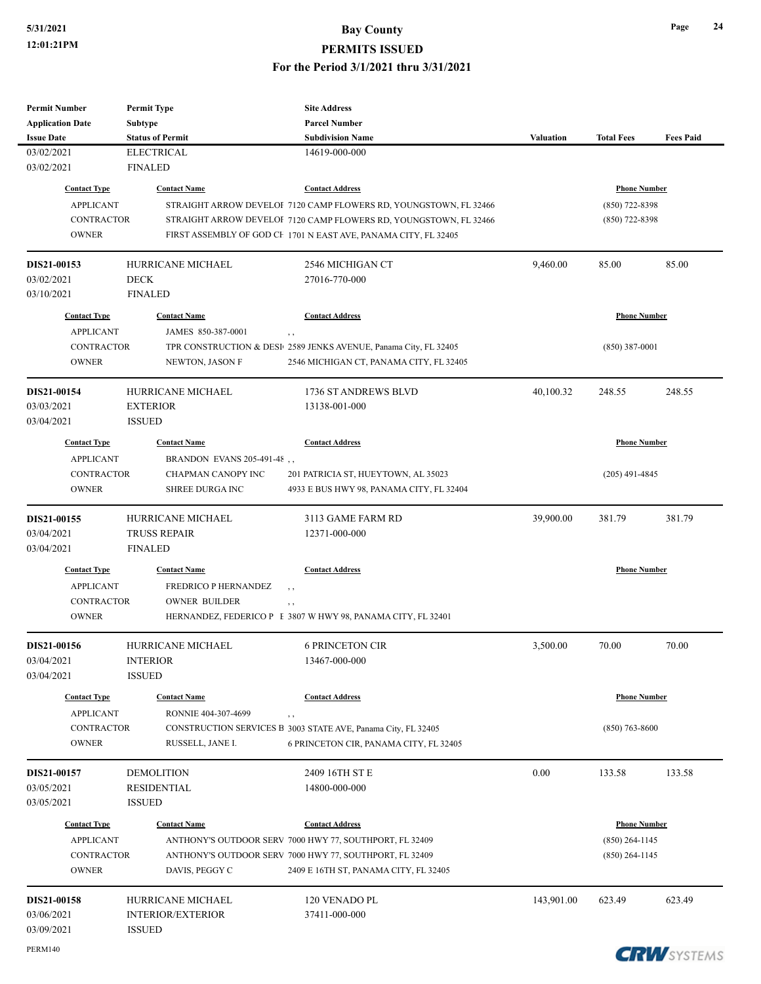## **5/31/2021 Bay County**

**PERMITS ISSUED**

**For the Period 3/1/2021 thru 3/31/2021**

| Permit Number           | <b>Permit Type</b>        |                                                                               |                  |                     |                  |  |
|-------------------------|---------------------------|-------------------------------------------------------------------------------|------------------|---------------------|------------------|--|
| <b>Application Date</b> | Subtype                   | <b>Parcel Number</b>                                                          |                  |                     |                  |  |
| <b>Issue Date</b>       | <b>Status of Permit</b>   | <b>Subdivision Name</b>                                                       | <b>Valuation</b> | <b>Total Fees</b>   | <b>Fees Paid</b> |  |
| 03/02/2021              | <b>ELECTRICAL</b>         | 14619-000-000                                                                 |                  |                     |                  |  |
| 03/02/2021              | <b>FINALED</b>            |                                                                               |                  |                     |                  |  |
| <b>Contact Type</b>     | <b>Contact Name</b>       | <b>Contact Address</b>                                                        |                  | <b>Phone Number</b> |                  |  |
| <b>APPLICANT</b>        |                           | STRAIGHT ARROW DEVELOF 7120 CAMP FLOWERS RD, YOUNGSTOWN, FL 32466             |                  | $(850)$ 722-8398    |                  |  |
| <b>CONTRACTOR</b>       |                           | STRAIGHT ARROW DEVELOF 7120 CAMP FLOWERS RD, YOUNGSTOWN, FL 32466             |                  | $(850)$ 722-8398    |                  |  |
| <b>OWNER</b>            |                           | FIRST ASSEMBLY OF GOD CF 1701 N EAST AVE, PANAMA CITY, FL 32405               |                  |                     |                  |  |
| DIS21-00153             | HURRICANE MICHAEL         | 2546 MICHIGAN CT                                                              | 9,460.00         | 85.00               | 85.00            |  |
| 03/02/2021              | <b>DECK</b>               | 27016-770-000                                                                 |                  |                     |                  |  |
| 03/10/2021              | <b>FINALED</b>            |                                                                               |                  |                     |                  |  |
| <b>Contact Type</b>     | <b>Contact Name</b>       | <b>Contact Address</b>                                                        |                  | <b>Phone Number</b> |                  |  |
| <b>APPLICANT</b>        | JAMES 850-387-0001        | $, \, , \,$                                                                   |                  |                     |                  |  |
| <b>CONTRACTOR</b>       |                           | TPR CONSTRUCTION & DESI <sup>1</sup> 2589 JENKS AVENUE, Panama City, FL 32405 |                  | $(850)$ 387-0001    |                  |  |
| <b>OWNER</b>            | NEWTON, JASON F           | 2546 MICHIGAN CT, PANAMA CITY, FL 32405                                       |                  |                     |                  |  |
|                         |                           |                                                                               |                  |                     |                  |  |
| DIS21-00154             | <b>HURRICANE MICHAEL</b>  | 1736 ST ANDREWS BLVD                                                          | 40,100.32        | 248.55              | 248.55           |  |
| 03/03/2021              | <b>EXTERIOR</b>           | 13138-001-000                                                                 |                  |                     |                  |  |
| 03/04/2021              | <b>ISSUED</b>             |                                                                               |                  |                     |                  |  |
| <b>Contact Type</b>     | <b>Contact Name</b>       | <b>Contact Address</b>                                                        |                  | <b>Phone Number</b> |                  |  |
| <b>APPLICANT</b>        | BRANDON EVANS 205-491-48, |                                                                               |                  |                     |                  |  |
| <b>CONTRACTOR</b>       | CHAPMAN CANOPY INC        | 201 PATRICIA ST, HUEYTOWN, AL 35023                                           | $(205)$ 491-4845 |                     |                  |  |
| <b>OWNER</b>            | <b>SHREE DURGA INC</b>    | 4933 E BUS HWY 98, PANAMA CITY, FL 32404                                      |                  |                     |                  |  |
|                         |                           |                                                                               |                  |                     |                  |  |
| DIS21-00155             | HURRICANE MICHAEL         | 3113 GAME FARM RD                                                             | 39,900.00        | 381.79              | 381.79           |  |
| 03/04/2021              | <b>TRUSS REPAIR</b>       | 12371-000-000                                                                 |                  |                     |                  |  |
| 03/04/2021              | <b>FINALED</b>            |                                                                               |                  |                     |                  |  |
| <b>Contact Type</b>     | <b>Contact Name</b>       | <b>Contact Address</b>                                                        |                  | <b>Phone Number</b> |                  |  |
| <b>APPLICANT</b>        | FREDRICO P HERNANDEZ      |                                                                               |                  |                     |                  |  |
| <b>CONTRACTOR</b>       | <b>OWNER BUILDER</b>      | , ,<br>, ,                                                                    |                  |                     |                  |  |
| <b>OWNER</b>            |                           | HERNANDEZ, FEDERICO P E 3807 W HWY 98, PANAMA CITY, FL 32401                  |                  |                     |                  |  |
| DIS21-00156             | HURRICANE MICHAEL         | <b>6 PRINCETON CIR</b>                                                        | 3,500.00         | 70.00               | 70.00            |  |
| 03/04/2021              | <b>INTERIOR</b>           | 13467-000-000                                                                 |                  |                     |                  |  |
| 03/04/2021              | <b>ISSUED</b>             |                                                                               |                  |                     |                  |  |
| <b>Contact Type</b>     | <b>Contact Name</b>       | <b>Contact Address</b>                                                        |                  | <b>Phone Number</b> |                  |  |
| <b>APPLICANT</b>        | RONNIE 404-307-4699       | $, \, , \,$                                                                   |                  |                     |                  |  |
| <b>CONTRACTOR</b>       |                           | CONSTRUCTION SERVICES B 3003 STATE AVE, Panama City, FL 32405                 |                  | $(850)$ 763-8600    |                  |  |
| <b>OWNER</b>            | RUSSELL, JANE I.          | 6 PRINCETON CIR, PANAMA CITY, FL 32405                                        |                  |                     |                  |  |
| DIS21-00157             | <b>DEMOLITION</b>         | 2409 16TH ST E                                                                | 0.00             | 133.58              | 133.58           |  |
| 03/05/2021              | <b>RESIDENTIAL</b>        | 14800-000-000                                                                 |                  |                     |                  |  |
| 03/05/2021              | <b>ISSUED</b>             |                                                                               |                  |                     |                  |  |
| <b>Contact Type</b>     | <b>Contact Name</b>       | <b>Contact Address</b>                                                        |                  | <b>Phone Number</b> |                  |  |
| <b>APPLICANT</b>        |                           | ANTHONY'S OUTDOOR SERV 7000 HWY 77, SOUTHPORT, FL 32409                       | $(850)$ 264-1145 |                     |                  |  |
| <b>CONTRACTOR</b>       |                           | ANTHONY'S OUTDOOR SERV 7000 HWY 77, SOUTHPORT, FL 32409                       |                  | $(850)$ 264-1145    |                  |  |
| <b>OWNER</b>            | DAVIS, PEGGY C            | 2409 E 16TH ST, PANAMA CITY, FL 32405                                         |                  |                     |                  |  |
| <b>DIS21-00158</b>      | HURRICANE MICHAEL         | 120 VENADO PL                                                                 | 143,901.00       | 623.49              | 623.49           |  |
| 03/06/2021              | <b>INTERIOR/EXTERIOR</b>  | 37411-000-000                                                                 |                  |                     |                  |  |
| 03/09/2021              | <b>ISSUED</b>             |                                                                               |                  |                     |                  |  |

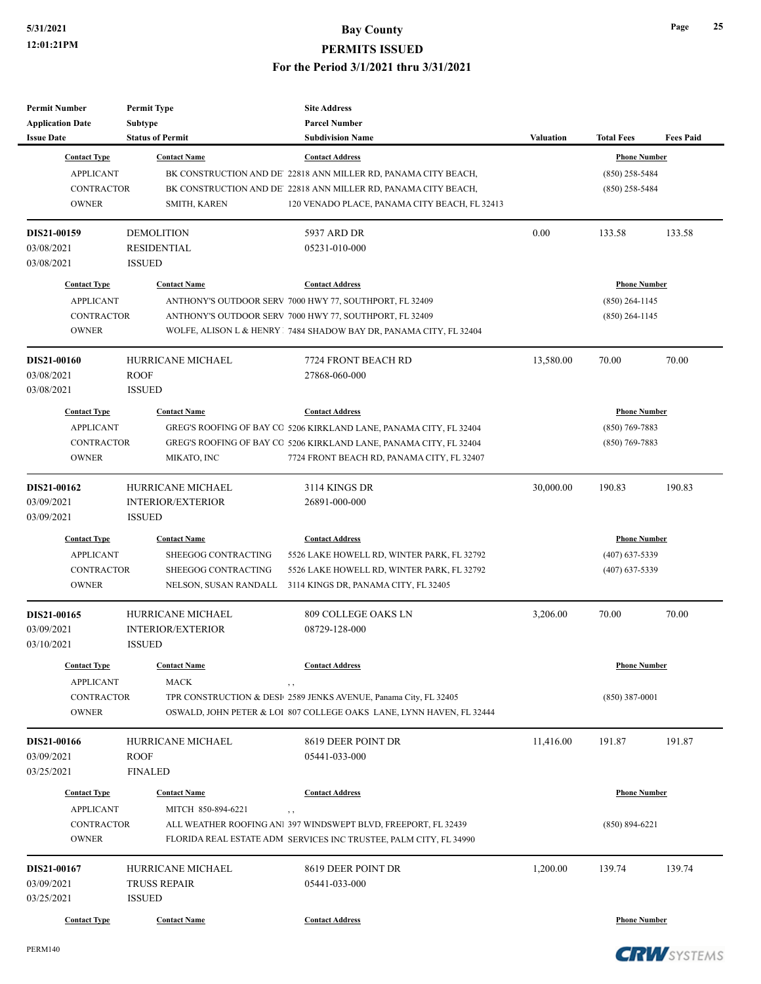## **5/31/2021 Bay County PERMITS ISSUED**

#### **For the Period 3/1/2021 thru 3/31/2021**

| <b>Permit Number</b>    | <b>Permit Type</b>       | <b>Site Address</b>                                                           |                  |                     |                  |
|-------------------------|--------------------------|-------------------------------------------------------------------------------|------------------|---------------------|------------------|
| <b>Application Date</b> | Subtype                  | <b>Parcel Number</b>                                                          |                  |                     |                  |
| <b>Issue Date</b>       | <b>Status of Permit</b>  | <b>Subdivision Name</b>                                                       | <b>Valuation</b> | <b>Total Fees</b>   | <b>Fees Paid</b> |
| <b>Contact Type</b>     | <b>Contact Name</b>      | <b>Contact Address</b>                                                        |                  | <b>Phone Number</b> |                  |
| <b>APPLICANT</b>        |                          | BK CONSTRUCTION AND DE 22818 ANN MILLER RD, PANAMA CITY BEACH,                |                  | $(850)$ 258-5484    |                  |
| <b>CONTRACTOR</b>       |                          | BK CONSTRUCTION AND DE 22818 ANN MILLER RD, PANAMA CITY BEACH,                |                  | $(850)$ 258-5484    |                  |
| <b>OWNER</b>            | SMITH, KAREN             | 120 VENADO PLACE, PANAMA CITY BEACH, FL 32413                                 |                  |                     |                  |
| DIS21-00159             | <b>DEMOLITION</b>        | 5937 ARD DR                                                                   | 0.00             | 133.58              | 133.58           |
| 03/08/2021              | RESIDENTIAL              | 05231-010-000                                                                 |                  |                     |                  |
| 03/08/2021              | <b>ISSUED</b>            |                                                                               |                  |                     |                  |
| <b>Contact Type</b>     | <b>Contact Name</b>      | <b>Contact Address</b>                                                        |                  | <b>Phone Number</b> |                  |
| <b>APPLICANT</b>        |                          | ANTHONY'S OUTDOOR SERV 7000 HWY 77, SOUTHPORT, FL 32409                       |                  | $(850)$ 264-1145    |                  |
| <b>CONTRACTOR</b>       |                          | ANTHONY'S OUTDOOR SERV 7000 HWY 77, SOUTHPORT, FL 32409                       |                  | $(850)$ 264-1145    |                  |
| <b>OWNER</b>            |                          | WOLFE, ALISON L & HENRY 7484 SHADOW BAY DR, PANAMA CITY, FL 32404             |                  |                     |                  |
| DIS21-00160             | HURRICANE MICHAEL        | 7724 FRONT BEACH RD                                                           | 13,580.00        | 70.00               | 70.00            |
| 03/08/2021              | <b>ROOF</b>              | 27868-060-000                                                                 |                  |                     |                  |
| 03/08/2021              | <b>ISSUED</b>            |                                                                               |                  |                     |                  |
| <b>Contact Type</b>     | <b>Contact Name</b>      | <b>Contact Address</b>                                                        |                  | <b>Phone Number</b> |                  |
| <b>APPLICANT</b>        |                          | GREG'S ROOFING OF BAY CO 5206 KIRKLAND LANE, PANAMA CITY, FL 32404            |                  | $(850)$ 769-7883    |                  |
| <b>CONTRACTOR</b>       |                          | GREG'S ROOFING OF BAY CO 5206 KIRKLAND LANE, PANAMA CITY, FL 32404            |                  | $(850)$ 769-7883    |                  |
| <b>OWNER</b>            | MIKATO, INC              | 7724 FRONT BEACH RD, PANAMA CITY, FL 32407                                    |                  |                     |                  |
| <b>DIS21-00162</b>      | HURRICANE MICHAEL        | 3114 KINGS DR                                                                 | 30,000.00        | 190.83              | 190.83           |
| 03/09/2021              | <b>INTERIOR/EXTERIOR</b> | 26891-000-000                                                                 |                  |                     |                  |
| 03/09/2021              | <b>ISSUED</b>            |                                                                               |                  |                     |                  |
| <b>Contact Type</b>     | <b>Contact Name</b>      | <b>Contact Address</b>                                                        |                  | <b>Phone Number</b> |                  |
| <b>APPLICANT</b>        | SHEEGOG CONTRACTING      | 5526 LAKE HOWELL RD, WINTER PARK, FL 32792                                    |                  | $(407)$ 637-5339    |                  |
| <b>CONTRACTOR</b>       | SHEEGOG CONTRACTING      | 5526 LAKE HOWELL RD, WINTER PARK, FL 32792                                    |                  | $(407)$ 637-5339    |                  |
| <b>OWNER</b>            | NELSON, SUSAN RANDALL    | 3114 KINGS DR, PANAMA CITY, FL 32405                                          |                  |                     |                  |
| DIS21-00165             | HURRICANE MICHAEL        | 809 COLLEGE OAKS LN                                                           | 3,206.00         | 70.00               | 70.00            |
| 03/09/2021              | <b>INTERIOR/EXTERIOR</b> | 08729-128-000                                                                 |                  |                     |                  |
| 03/10/2021              | <b>ISSUED</b>            |                                                                               |                  |                     |                  |
| <b>Contact Type</b>     | <b>Contact Name</b>      | <b>Contact Address</b>                                                        |                  | <b>Phone Number</b> |                  |
| <b>APPLICANT</b>        | MACK                     | $, \, ,$                                                                      |                  |                     |                  |
| <b>CONTRACTOR</b>       |                          | TPR CONSTRUCTION & DESI <sup>1</sup> 2589 JENKS AVENUE, Panama City, FL 32405 |                  | $(850)$ 387-0001    |                  |
| <b>OWNER</b>            |                          | OSWALD, JOHN PETER & LOI 807 COLLEGE OAKS LANE, LYNN HAVEN, FL 32444          |                  |                     |                  |
| DIS21-00166             | HURRICANE MICHAEL        | 8619 DEER POINT DR                                                            | 11,416.00        | 191.87              | 191.87           |
| 03/09/2021              | <b>ROOF</b>              | 05441-033-000                                                                 |                  |                     |                  |
| 03/25/2021              | <b>FINALED</b>           |                                                                               |                  |                     |                  |
| <b>Contact Type</b>     | <b>Contact Name</b>      | <b>Contact Address</b>                                                        |                  | <b>Phone Number</b> |                  |
| <b>APPLICANT</b>        | MITCH 850-894-6221       | , ,                                                                           |                  |                     |                  |
| <b>CONTRACTOR</b>       |                          | ALL WEATHER ROOFING ANI 397 WINDSWEPT BLVD, FREEPORT, FL 32439                |                  | $(850) 894 - 6221$  |                  |
| <b>OWNER</b>            |                          | FLORIDA REAL ESTATE ADM SERVICES INC TRUSTEE, PALM CITY, FL 34990             |                  |                     |                  |
| DIS21-00167             | HURRICANE MICHAEL        | 8619 DEER POINT DR                                                            | 1,200.00         | 139.74              | 139.74           |
| 03/09/2021              | TRUSS REPAIR             | 05441-033-000                                                                 |                  |                     |                  |
| 03/25/2021              | <b>ISSUED</b>            |                                                                               |                  |                     |                  |
| <b>Contact Type</b>     | <b>Contact Name</b>      | <b>Contact Address</b>                                                        |                  | <b>Phone Number</b> |                  |

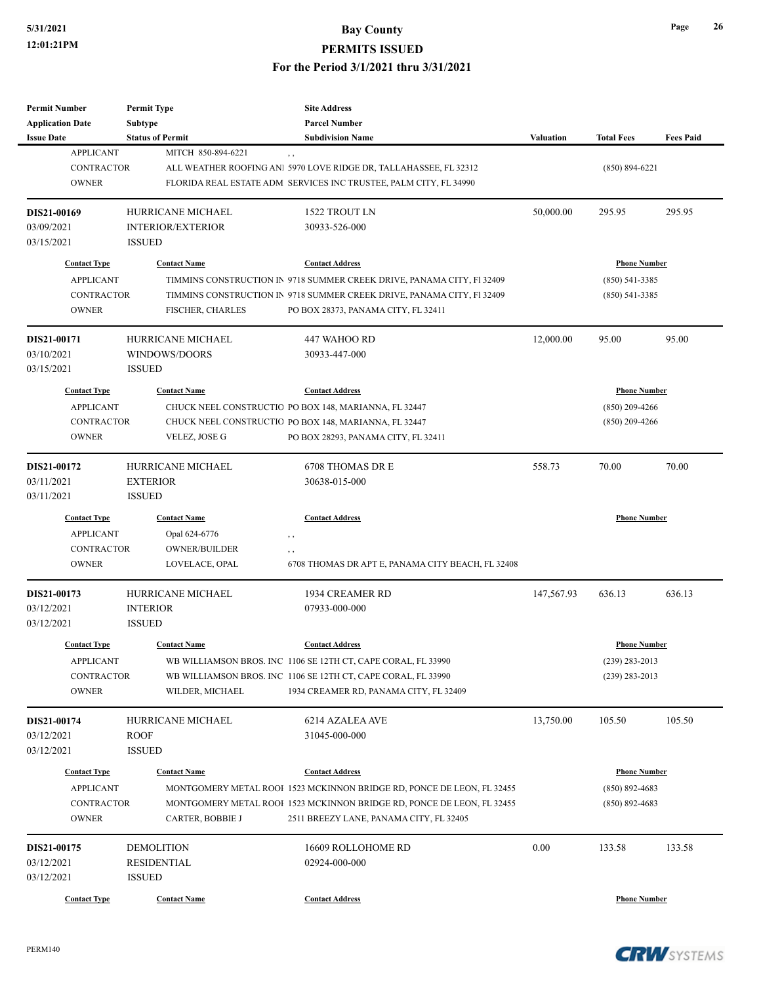| Permit Number                                | <b>Permit Type</b>                        | <b>Site Address</b>                                                              |            |                     |                  |
|----------------------------------------------|-------------------------------------------|----------------------------------------------------------------------------------|------------|---------------------|------------------|
| <b>Application Date</b><br><b>Issue Date</b> | <b>Subtype</b><br><b>Status of Permit</b> | <b>Parcel Number</b><br><b>Subdivision Name</b>                                  | Valuation  | <b>Total Fees</b>   | <b>Fees Paid</b> |
| <b>APPLICANT</b>                             | MITCH 850-894-6221                        |                                                                                  |            |                     |                  |
| <b>CONTRACTOR</b>                            |                                           | $, \, , \,$<br>ALL WEATHER ROOFING ANI 5970 LOVE RIDGE DR, TALLAHASSEE, FL 32312 |            | $(850) 894 - 6221$  |                  |
| <b>OWNER</b>                                 |                                           | FLORIDA REAL ESTATE ADM SERVICES INC TRUSTEE, PALM CITY, FL 34990                |            |                     |                  |
|                                              |                                           |                                                                                  |            |                     |                  |
| DIS21-00169                                  | HURRICANE MICHAEL                         | 1522 TROUT LN                                                                    | 50,000.00  | 295.95              | 295.95           |
| 03/09/2021                                   | <b>INTERIOR/EXTERIOR</b>                  | 30933-526-000                                                                    |            |                     |                  |
| 03/15/2021                                   | <b>ISSUED</b>                             |                                                                                  |            |                     |                  |
| <b>Contact Type</b>                          | <b>Contact Name</b>                       | <b>Contact Address</b>                                                           |            | <b>Phone Number</b> |                  |
| <b>APPLICANT</b>                             |                                           | TIMMINS CONSTRUCTION IN 9718 SUMMER CREEK DRIVE, PANAMA CITY, F1 32409           |            | $(850) 541 - 3385$  |                  |
| <b>CONTRACTOR</b>                            |                                           | TIMMINS CONSTRUCTION IN 9718 SUMMER CREEK DRIVE, PANAMA CITY, F1 32409           |            | $(850)$ 541-3385    |                  |
| <b>OWNER</b>                                 | FISCHER, CHARLES                          | PO BOX 28373, PANAMA CITY, FL 32411                                              |            |                     |                  |
| DIS21-00171                                  | HURRICANE MICHAEL                         | 447 WAHOO RD                                                                     | 12,000.00  | 95.00               | 95.00            |
| 03/10/2021                                   | WINDOWS/DOORS                             | 30933-447-000                                                                    |            |                     |                  |
| 03/15/2021                                   | <b>ISSUED</b>                             |                                                                                  |            |                     |                  |
| <b>Contact Type</b>                          | <b>Contact Name</b>                       | <b>Contact Address</b>                                                           |            | <b>Phone Number</b> |                  |
| <b>APPLICANT</b>                             |                                           | CHUCK NEEL CONSTRUCTIO PO BOX 148, MARIANNA, FL 32447                            |            | $(850)$ 209-4266    |                  |
| <b>CONTRACTOR</b>                            |                                           | CHUCK NEEL CONSTRUCTIO PO BOX 148, MARIANNA, FL 32447                            |            | $(850)$ 209-4266    |                  |
| <b>OWNER</b>                                 | VELEZ, JOSE G                             | PO BOX 28293, PANAMA CITY, FL 32411                                              |            |                     |                  |
|                                              |                                           |                                                                                  |            |                     |                  |
| DIS21-00172                                  | <b>HURRICANE MICHAEL</b>                  | 6708 THOMAS DR E                                                                 | 558.73     | 70.00               | 70.00            |
| 03/11/2021                                   | <b>EXTERIOR</b>                           | 30638-015-000                                                                    |            |                     |                  |
| 03/11/2021                                   | <b>ISSUED</b>                             |                                                                                  |            |                     |                  |
| <b>Contact Type</b>                          | <b>Contact Name</b>                       | <b>Contact Address</b>                                                           |            | <b>Phone Number</b> |                  |
| <b>APPLICANT</b>                             | Opal 624-6776                             | , ,                                                                              |            |                     |                  |
| <b>CONTRACTOR</b>                            | <b>OWNER/BUILDER</b>                      | , ,                                                                              |            |                     |                  |
| <b>OWNER</b>                                 | LOVELACE, OPAL                            | 6708 THOMAS DR APT E, PANAMA CITY BEACH, FL 32408                                |            |                     |                  |
| DIS21-00173                                  | <b>HURRICANE MICHAEL</b>                  | 1934 CREAMER RD                                                                  | 147,567.93 | 636.13              | 636.13           |
| 03/12/2021                                   | <b>INTERIOR</b>                           | 07933-000-000                                                                    |            |                     |                  |
| 03/12/2021                                   | <b>ISSUED</b>                             |                                                                                  |            |                     |                  |
| <b>Contact Type</b>                          | <b>Contact Name</b>                       | <b>Contact Address</b>                                                           |            | <b>Phone Number</b> |                  |
| APPLICANT                                    |                                           | WB WILLIAMSON BROS. INC 1106 SE 12TH CT, CAPE CORAL, FL 33990                    |            | $(239)$ 283-2013    |                  |
| CONTRACTOR                                   |                                           | WB WILLIAMSON BROS. INC 1106 SE 12TH CT, CAPE CORAL, FL 33990                    |            | $(239)$ 283-2013    |                  |
| <b>OWNER</b>                                 | WILDER, MICHAEL                           | 1934 CREAMER RD, PANAMA CITY, FL 32409                                           |            |                     |                  |
| DIS21-00174                                  | HURRICANE MICHAEL                         | 6214 AZALEA AVE                                                                  | 13,750.00  | 105.50              | 105.50           |
| 03/12/2021                                   | <b>ROOF</b>                               | 31045-000-000                                                                    |            |                     |                  |
| 03/12/2021                                   | <b>ISSUED</b>                             |                                                                                  |            |                     |                  |
| <b>Contact Type</b>                          | <b>Contact Name</b>                       | <b>Contact Address</b>                                                           |            | <b>Phone Number</b> |                  |
| <b>APPLICANT</b>                             |                                           | MONTGOMERY METAL ROOI 1523 MCKINNON BRIDGE RD, PONCE DE LEON, FL 32455           |            | $(850) 892 - 4683$  |                  |
| <b>CONTRACTOR</b>                            |                                           | MONTGOMERY METAL ROOI 1523 MCKINNON BRIDGE RD, PONCE DE LEON, FL 32455           |            | $(850) 892 - 4683$  |                  |
| <b>OWNER</b>                                 | CARTER, BOBBIE J                          | 2511 BREEZY LANE, PANAMA CITY, FL 32405                                          |            |                     |                  |
| DIS21-00175                                  | <b>DEMOLITION</b>                         | 16609 ROLLOHOME RD                                                               | 0.00       | 133.58              | 133.58           |
| 03/12/2021                                   | <b>RESIDENTIAL</b>                        | 02924-000-000                                                                    |            |                     |                  |
| 03/12/2021                                   | <b>ISSUED</b>                             |                                                                                  |            |                     |                  |
|                                              |                                           |                                                                                  |            |                     |                  |
| <b>Contact Type</b>                          | <b>Contact Name</b>                       | <b>Contact Address</b>                                                           |            | <b>Phone Number</b> |                  |

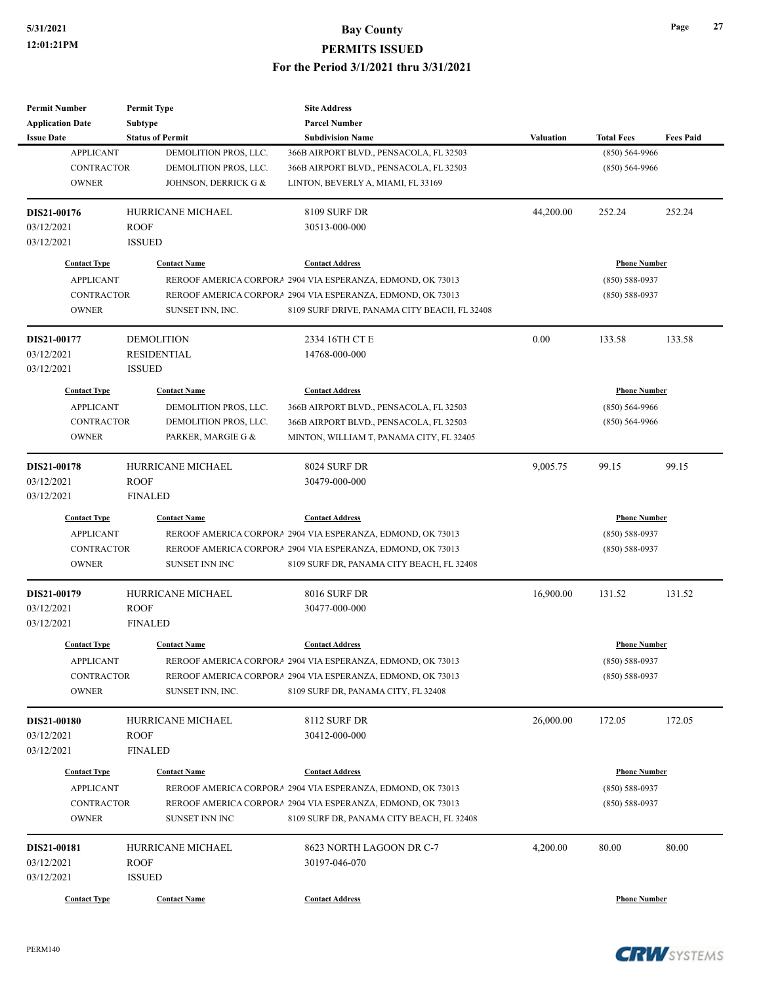| <b>Permit Number</b>    | <b>Permit Type</b>       | <b>Site Address</b>                                         |                  |                     |                  |
|-------------------------|--------------------------|-------------------------------------------------------------|------------------|---------------------|------------------|
| <b>Application Date</b> | Subtype                  | <b>Parcel Number</b>                                        |                  |                     |                  |
| <b>Issue Date</b>       | <b>Status of Permit</b>  | <b>Subdivision Name</b>                                     | <b>Valuation</b> | <b>Total Fees</b>   | <b>Fees Paid</b> |
| <b>APPLICANT</b>        | DEMOLITION PROS, LLC.    | 366B AIRPORT BLVD., PENSACOLA, FL 32503                     |                  | $(850) 564-9966$    |                  |
| <b>CONTRACTOR</b>       | DEMOLITION PROS, LLC.    | 366B AIRPORT BLVD., PENSACOLA, FL 32503                     |                  | $(850) 564-9966$    |                  |
| <b>OWNER</b>            | JOHNSON, DERRICK G &     | LINTON, BEVERLY A, MIAMI, FL 33169                          |                  |                     |                  |
| DIS21-00176             | HURRICANE MICHAEL        | <b>8109 SURF DR</b>                                         | 44,200.00        | 252.24              | 252.24           |
| 03/12/2021              | <b>ROOF</b>              | 30513-000-000                                               |                  |                     |                  |
| 03/12/2021              | <b>ISSUED</b>            |                                                             |                  |                     |                  |
| <b>Contact Type</b>     | <b>Contact Name</b>      | <b>Contact Address</b>                                      |                  | <b>Phone Number</b> |                  |
| <b>APPLICANT</b>        |                          | REROOF AMERICA CORPORA 2904 VIA ESPERANZA, EDMOND, OK 73013 |                  | $(850) 588 - 0937$  |                  |
| <b>CONTRACTOR</b>       |                          | REROOF AMERICA CORPORA 2904 VIA ESPERANZA, EDMOND, OK 73013 |                  | $(850) 588 - 0937$  |                  |
| <b>OWNER</b>            | SUNSET INN, INC.         | 8109 SURF DRIVE, PANAMA CITY BEACH, FL 32408                |                  |                     |                  |
| DIS21-00177             | <b>DEMOLITION</b>        | 2334 16TH CT E                                              | 0.00             | 133.58              | 133.58           |
| 03/12/2021              | <b>RESIDENTIAL</b>       | 14768-000-000                                               |                  |                     |                  |
| 03/12/2021              | <b>ISSUED</b>            |                                                             |                  |                     |                  |
| <b>Contact Type</b>     | <b>Contact Name</b>      | <b>Contact Address</b>                                      |                  | <b>Phone Number</b> |                  |
| <b>APPLICANT</b>        | DEMOLITION PROS, LLC.    | 366B AIRPORT BLVD., PENSACOLA, FL 32503                     |                  | $(850) 564-9966$    |                  |
| <b>CONTRACTOR</b>       | DEMOLITION PROS, LLC.    | 366B AIRPORT BLVD., PENSACOLA, FL 32503                     |                  | $(850) 564-9966$    |                  |
| <b>OWNER</b>            | PARKER, MARGIE G &       | MINTON, WILLIAM T, PANAMA CITY, FL 32405                    |                  |                     |                  |
|                         |                          |                                                             |                  |                     |                  |
| DIS21-00178             | HURRICANE MICHAEL        | 8024 SURF DR                                                | 9,005.75         | 99.15               | 99.15            |
| 03/12/2021              | <b>ROOF</b>              | 30479-000-000                                               |                  |                     |                  |
| 03/12/2021              | <b>FINALED</b>           |                                                             |                  |                     |                  |
| <b>Contact Type</b>     | <b>Contact Name</b>      | <b>Contact Address</b>                                      |                  | <b>Phone Number</b> |                  |
| <b>APPLICANT</b>        |                          | REROOF AMERICA CORPORA 2904 VIA ESPERANZA, EDMOND, OK 73013 |                  | $(850) 588 - 0937$  |                  |
| CONTRACTOR              |                          | REROOF AMERICA CORPORA 2904 VIA ESPERANZA, EDMOND, OK 73013 |                  | $(850) 588 - 0937$  |                  |
| <b>OWNER</b>            | SUNSET INN INC           | 8109 SURF DR, PANAMA CITY BEACH, FL 32408                   |                  |                     |                  |
| DIS21-00179             | <b>HURRICANE MICHAEL</b> | <b>8016 SURF DR</b>                                         | 16,900.00        | 131.52              | 131.52           |
| 03/12/2021              | <b>ROOF</b>              | 30477-000-000                                               |                  |                     |                  |
| 03/12/2021              | <b>FINALED</b>           |                                                             |                  |                     |                  |
| <b>Contact Type</b>     | <b>Contact Name</b>      | <b>Contact Address</b>                                      |                  | <b>Phone Number</b> |                  |
| <b>APPLICANT</b>        |                          | REROOF AMERICA CORPORA 2904 VIA ESPERANZA, EDMOND, OK 73013 |                  | $(850) 588 - 0937$  |                  |
| CONTRACTOR              |                          | REROOF AMERICA CORPORA 2904 VIA ESPERANZA, EDMOND, OK 73013 |                  | $(850) 588 - 0937$  |                  |
| <b>OWNER</b>            | SUNSET INN, INC.         | 8109 SURF DR, PANAMA CITY, FL 32408                         |                  |                     |                  |
| DIS21-00180             | HURRICANE MICHAEL        | 8112 SURF DR                                                | 26,000.00        | 172.05              | 172.05           |
| 03/12/2021              | <b>ROOF</b>              | 30412-000-000                                               |                  |                     |                  |
| 03/12/2021              | <b>FINALED</b>           |                                                             |                  |                     |                  |
| <b>Contact Type</b>     | <b>Contact Name</b>      | <b>Contact Address</b>                                      |                  | <b>Phone Number</b> |                  |
| <b>APPLICANT</b>        |                          | REROOF AMERICA CORPORA 2904 VIA ESPERANZA, EDMOND, OK 73013 |                  | $(850) 588 - 0937$  |                  |
| CONTRACTOR              |                          | REROOF AMERICA CORPORA 2904 VIA ESPERANZA, EDMOND, OK 73013 |                  | $(850) 588 - 0937$  |                  |
| <b>OWNER</b>            | SUNSET INN INC           | 8109 SURF DR, PANAMA CITY BEACH, FL 32408                   |                  |                     |                  |
| DIS21-00181             | HURRICANE MICHAEL        | 8623 NORTH LAGOON DR C-7                                    | 4,200.00         | 80.00               | 80.00            |
| 03/12/2021              | <b>ROOF</b>              | 30197-046-070                                               |                  |                     |                  |
| 03/12/2021              | <b>ISSUED</b>            |                                                             |                  |                     |                  |
| <b>Contact Type</b>     | <b>Contact Name</b>      | <b>Contact Address</b>                                      |                  | <b>Phone Number</b> |                  |
|                         |                          |                                                             |                  |                     |                  |

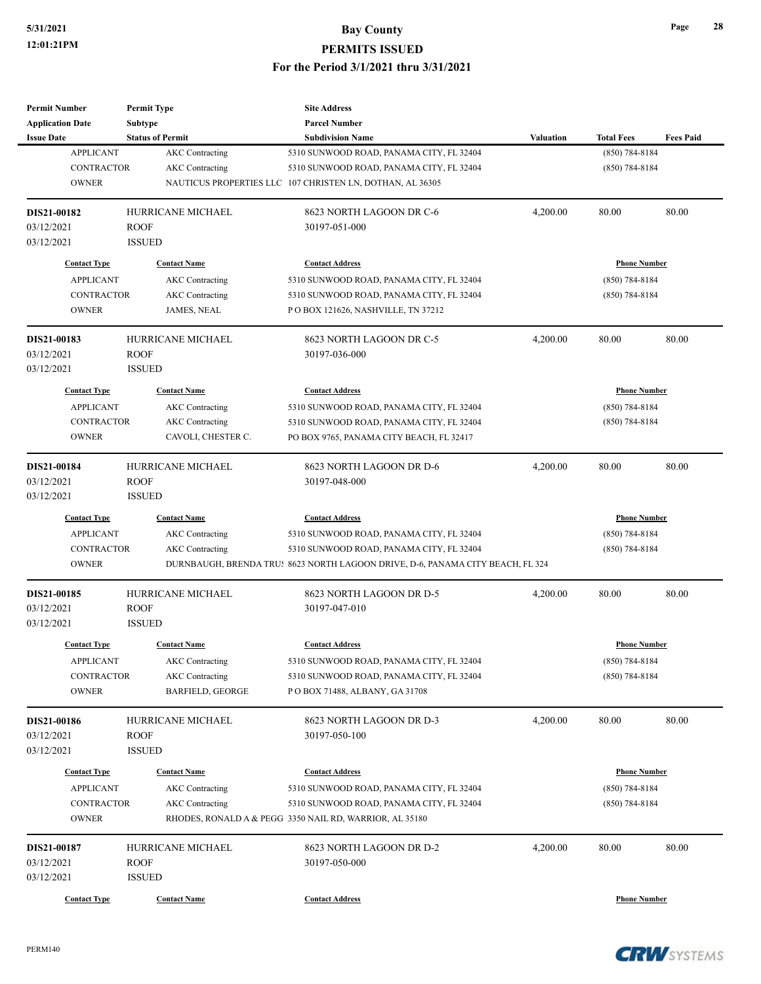| <b>Permit Number</b>    | <b>Permit Type</b>       | <b>Site Address</b>                                                            |                  |                     |                  |
|-------------------------|--------------------------|--------------------------------------------------------------------------------|------------------|---------------------|------------------|
| <b>Application Date</b> | <b>Subtype</b>           | <b>Parcel Number</b>                                                           |                  |                     |                  |
| <b>Issue Date</b>       | <b>Status of Permit</b>  | <b>Subdivision Name</b>                                                        | <b>Valuation</b> | <b>Total Fees</b>   | <b>Fees Paid</b> |
| <b>APPLICANT</b>        | <b>AKC</b> Contracting   | 5310 SUNWOOD ROAD, PANAMA CITY, FL 32404                                       |                  | $(850) 784 - 8184$  |                  |
| <b>CONTRACTOR</b>       | <b>AKC</b> Contracting   | 5310 SUNWOOD ROAD, PANAMA CITY, FL 32404                                       |                  | $(850) 784 - 8184$  |                  |
| <b>OWNER</b>            |                          | NAUTICUS PROPERTIES LLC 107 CHRISTEN LN, DOTHAN, AL 36305                      |                  |                     |                  |
| DIS21-00182             | HURRICANE MICHAEL        | 8623 NORTH LAGOON DR C-6                                                       | 4,200.00         | 80.00               | 80.00            |
| 03/12/2021              | <b>ROOF</b>              | 30197-051-000                                                                  |                  |                     |                  |
| 03/12/2021              | <b>ISSUED</b>            |                                                                                |                  |                     |                  |
| <b>Contact Type</b>     | <b>Contact Name</b>      | <b>Contact Address</b>                                                         |                  | <b>Phone Number</b> |                  |
| <b>APPLICANT</b>        | <b>AKC</b> Contracting   | 5310 SUNWOOD ROAD, PANAMA CITY, FL 32404                                       |                  | $(850) 784 - 8184$  |                  |
| <b>CONTRACTOR</b>       | <b>AKC</b> Contracting   | 5310 SUNWOOD ROAD, PANAMA CITY, FL 32404                                       |                  | $(850) 784 - 8184$  |                  |
| <b>OWNER</b>            | <b>JAMES, NEAL</b>       | PO BOX 121626, NASHVILLE, TN 37212                                             |                  |                     |                  |
| DIS21-00183             | HURRICANE MICHAEL        | 8623 NORTH LAGOON DR C-5                                                       | 4,200.00         | 80.00               | 80.00            |
| 03/12/2021              | <b>ROOF</b>              | 30197-036-000                                                                  |                  |                     |                  |
| 03/12/2021              | <b>ISSUED</b>            |                                                                                |                  |                     |                  |
| <b>Contact Type</b>     | <b>Contact Name</b>      | <b>Contact Address</b>                                                         |                  | <b>Phone Number</b> |                  |
| <b>APPLICANT</b>        | <b>AKC</b> Contracting   | 5310 SUNWOOD ROAD, PANAMA CITY, FL 32404                                       |                  | $(850) 784 - 8184$  |                  |
| <b>CONTRACTOR</b>       | <b>AKC</b> Contracting   | 5310 SUNWOOD ROAD, PANAMA CITY, FL 32404                                       |                  | $(850) 784 - 8184$  |                  |
| <b>OWNER</b>            | CAVOLI, CHESTER C.       | PO BOX 9765, PANAMA CITY BEACH, FL 32417                                       |                  |                     |                  |
|                         |                          |                                                                                |                  |                     |                  |
| DIS21-00184             | HURRICANE MICHAEL        | 8623 NORTH LAGOON DR D-6                                                       | 4,200.00         | 80.00               | 80.00            |
| 03/12/2021              | <b>ROOF</b>              | 30197-048-000                                                                  |                  |                     |                  |
| 03/12/2021              | <b>ISSUED</b>            |                                                                                |                  |                     |                  |
| <b>Contact Type</b>     | <b>Contact Name</b>      | <b>Contact Address</b>                                                         |                  | <b>Phone Number</b> |                  |
| <b>APPLICANT</b>        | <b>AKC</b> Contracting   | 5310 SUNWOOD ROAD, PANAMA CITY, FL 32404                                       |                  | $(850) 784 - 8184$  |                  |
| <b>CONTRACTOR</b>       | <b>AKC</b> Contracting   | 5310 SUNWOOD ROAD, PANAMA CITY, FL 32404                                       |                  | $(850)$ 784-8184    |                  |
| <b>OWNER</b>            |                          | DURNBAUGH, BRENDA TRU! 8623 NORTH LAGOON DRIVE, D-6, PANAMA CITY BEACH, FL 324 |                  |                     |                  |
| DIS21-00185             | <b>HURRICANE MICHAEL</b> | 8623 NORTH LAGOON DR D-5                                                       | 4,200.00         | 80.00               | 80.00            |
| 03/12/2021              | <b>ROOF</b>              | 30197-047-010                                                                  |                  |                     |                  |
| 03/12/2021              | <b>ISSUED</b>            |                                                                                |                  |                     |                  |
| <b>Contact Type</b>     | <b>Contact Name</b>      | <b>Contact Address</b>                                                         |                  | <b>Phone Number</b> |                  |
| <b>APPLICANT</b>        | <b>AKC</b> Contracting   | 5310 SUNWOOD ROAD, PANAMA CITY, FL 32404                                       |                  | $(850) 784 - 8184$  |                  |
| <b>CONTRACTOR</b>       | <b>AKC</b> Contracting   | 5310 SUNWOOD ROAD, PANAMA CITY, FL 32404                                       |                  | $(850) 784 - 8184$  |                  |
| <b>OWNER</b>            | <b>BARFIELD, GEORGE</b>  | PO BOX 71488, ALBANY, GA 31708                                                 |                  |                     |                  |
| DIS21-00186             | HURRICANE MICHAEL        | 8623 NORTH LAGOON DR D-3                                                       | 4,200.00         | 80.00               | 80.00            |
| 03/12/2021              | ROOF                     | 30197-050-100                                                                  |                  |                     |                  |
| 03/12/2021              | <b>ISSUED</b>            |                                                                                |                  |                     |                  |
| <b>Contact Type</b>     | <b>Contact Name</b>      | <b>Contact Address</b>                                                         |                  | <b>Phone Number</b> |                  |
| <b>APPLICANT</b>        | <b>AKC</b> Contracting   | 5310 SUNWOOD ROAD, PANAMA CITY, FL 32404                                       |                  | $(850) 784 - 8184$  |                  |
| <b>CONTRACTOR</b>       | <b>AKC</b> Contracting   | 5310 SUNWOOD ROAD, PANAMA CITY, FL 32404                                       |                  | $(850) 784 - 8184$  |                  |
| <b>OWNER</b>            |                          | RHODES, RONALD A & PEGG 3350 NAIL RD, WARRIOR, AL 35180                        |                  |                     |                  |
| DIS21-00187             | HURRICANE MICHAEL        | 8623 NORTH LAGOON DR D-2                                                       | 4,200.00         | 80.00               | 80.00            |
| 03/12/2021              | ROOF                     | 30197-050-000                                                                  |                  |                     |                  |
| 03/12/2021              | <b>ISSUED</b>            |                                                                                |                  |                     |                  |
|                         |                          |                                                                                |                  |                     |                  |
| <b>Contact Type</b>     | <b>Contact Name</b>      | <b>Contact Address</b>                                                         |                  | <b>Phone Number</b> |                  |

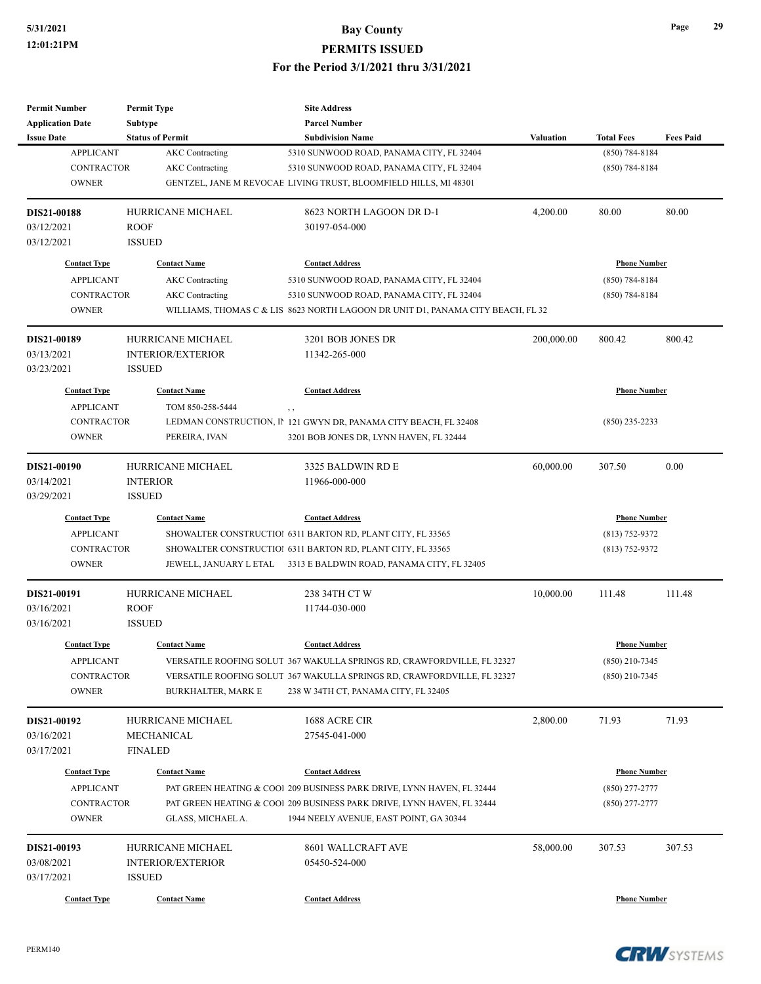| <b>Permit Number</b>                    | <b>Permit Type</b>        | <b>Site Address</b>                                                             |            |                     |                  |
|-----------------------------------------|---------------------------|---------------------------------------------------------------------------------|------------|---------------------|------------------|
| <b>Application Date</b>                 | <b>Subtype</b>            | <b>Parcel Number</b>                                                            |            |                     |                  |
| <b>Issue Date</b>                       | <b>Status of Permit</b>   | <b>Subdivision Name</b>                                                         | Valuation  | <b>Total Fees</b>   | <b>Fees Paid</b> |
| <b>APPLICANT</b>                        | <b>AKC</b> Contracting    | 5310 SUNWOOD ROAD, PANAMA CITY, FL 32404                                        |            | $(850) 784 - 8184$  |                  |
| <b>CONTRACTOR</b>                       | <b>AKC</b> Contracting    | 5310 SUNWOOD ROAD, PANAMA CITY, FL 32404                                        |            | $(850) 784 - 8184$  |                  |
| <b>OWNER</b>                            |                           | GENTZEL, JANE M REVOCAE LIVING TRUST, BLOOMFIELD HILLS, MI 48301                |            |                     |                  |
| <b>DIS21-00188</b>                      | HURRICANE MICHAEL         | 8623 NORTH LAGOON DR D-1                                                        | 4,200.00   | 80.00               | 80.00            |
| 03/12/2021                              | <b>ROOF</b>               | 30197-054-000                                                                   |            |                     |                  |
| 03/12/2021                              | <b>ISSUED</b>             |                                                                                 |            |                     |                  |
| <b>Contact Type</b>                     | <b>Contact Name</b>       | <b>Contact Address</b>                                                          |            | <b>Phone Number</b> |                  |
| <b>APPLICANT</b>                        | <b>AKC</b> Contracting    | 5310 SUNWOOD ROAD, PANAMA CITY, FL 32404                                        |            | $(850)$ 784-8184    |                  |
| <b>CONTRACTOR</b>                       | <b>AKC</b> Contracting    | 5310 SUNWOOD ROAD, PANAMA CITY, FL 32404                                        |            | (850) 784-8184      |                  |
| <b>OWNER</b>                            |                           | WILLIAMS, THOMAS C & LIS 8623 NORTH LAGOON DR UNIT D1, PANAMA CITY BEACH, FL 32 |            |                     |                  |
| DIS21-00189                             | HURRICANE MICHAEL         | 3201 BOB JONES DR                                                               | 200,000.00 | 800.42              | 800.42           |
| 03/13/2021                              | <b>INTERIOR/EXTERIOR</b>  | 11342-265-000                                                                   |            |                     |                  |
| 03/23/2021                              | <b>ISSUED</b>             |                                                                                 |            |                     |                  |
| <b>Contact Type</b>                     | <b>Contact Name</b>       | <b>Contact Address</b>                                                          |            | <b>Phone Number</b> |                  |
| <b>APPLICANT</b>                        | TOM 850-258-5444          | , ,                                                                             |            |                     |                  |
| <b>CONTRACTOR</b>                       |                           | LEDMAN CONSTRUCTION, IP 121 GWYN DR, PANAMA CITY BEACH, FL 32408                |            | $(850)$ 235-2233    |                  |
| <b>OWNER</b>                            | PEREIRA, IVAN             | 3201 BOB JONES DR, LYNN HAVEN, FL 32444                                         |            |                     |                  |
|                                         |                           |                                                                                 |            |                     |                  |
| DIS21-00190                             | HURRICANE MICHAEL         | 3325 BALDWIN RD E                                                               | 60,000.00  | 307.50              | 0.00             |
| 03/14/2021                              | <b>INTERIOR</b>           | 11966-000-000                                                                   |            |                     |                  |
| 03/29/2021                              | <b>ISSUED</b>             |                                                                                 |            |                     |                  |
| <b>Contact Type</b>                     | <b>Contact Name</b>       | <b>Contact Address</b>                                                          |            | <b>Phone Number</b> |                  |
| <b>APPLICANT</b>                        |                           | SHOWALTER CONSTRUCTIOI 6311 BARTON RD, PLANT CITY, FL 33565                     |            | (813) 752-9372      |                  |
| <b>CONTRACTOR</b>                       |                           | SHOWALTER CONSTRUCTIOI 6311 BARTON RD, PLANT CITY, FL 33565                     |            | $(813)$ 752-9372    |                  |
| <b>OWNER</b>                            |                           | JEWELL, JANUARY L ETAL 3313 E BALDWIN ROAD, PANAMA CITY, FL 32405               |            |                     |                  |
| DIS21-00191                             | HURRICANE MICHAEL         | 238 34TH CT W                                                                   | 10,000.00  | 111.48              | 111.48           |
| 03/16/2021                              | <b>ROOF</b>               | 11744-030-000                                                                   |            |                     |                  |
| 03/16/2021                              | <b>ISSUED</b>             |                                                                                 |            |                     |                  |
| <b>Contact Type</b>                     | <b>Contact Name</b>       | <b>Contact Address</b>                                                          |            | <b>Phone Number</b> |                  |
| <b>APPLICANT</b>                        |                           | VERSATILE ROOFING SOLUT 367 WAKULLA SPRINGS RD, CRAWFORDVILLE, FL 32327         |            | (850) 210-7345      |                  |
| CONTRACTOR                              |                           | VERSATILE ROOFING SOLUT 367 WAKULLA SPRINGS RD, CRAWFORDVILLE, FL 32327         |            | $(850)$ 210-7345    |                  |
| <b>OWNER</b>                            | <b>BURKHALTER, MARK E</b> | 238 W 34TH CT, PANAMA CITY, FL 32405                                            |            |                     |                  |
| DIS21-00192                             | HURRICANE MICHAEL         | 1688 ACRE CIR                                                                   | 2,800.00   | 71.93               | 71.93            |
| 03/16/2021                              | MECHANICAL                | 27545-041-000                                                                   |            |                     |                  |
| 03/17/2021                              | <b>FINALED</b>            |                                                                                 |            |                     |                  |
|                                         |                           |                                                                                 |            |                     |                  |
| <b>Contact Type</b><br><b>APPLICANT</b> | <b>Contact Name</b>       | <b>Contact Address</b>                                                          |            | <b>Phone Number</b> |                  |
|                                         |                           | PAT GREEN HEATING & COOl 209 BUSINESS PARK DRIVE, LYNN HAVEN, FL 32444          |            | $(850)$ 277-2777    |                  |
| CONTRACTOR                              |                           | PAT GREEN HEATING & COOl 209 BUSINESS PARK DRIVE, LYNN HAVEN, FL 32444          |            | $(850)$ 277-2777    |                  |
| <b>OWNER</b>                            | GLASS, MICHAEL A.         | 1944 NEELY AVENUE, EAST POINT, GA 30344                                         |            |                     |                  |
| DIS21-00193                             | HURRICANE MICHAEL         | 8601 WALLCRAFT AVE                                                              | 58,000.00  | 307.53              | 307.53           |
| 03/08/2021                              | <b>INTERIOR/EXTERIOR</b>  | 05450-524-000                                                                   |            |                     |                  |
| 03/17/2021                              | <b>ISSUED</b>             |                                                                                 |            |                     |                  |
| <b>Contact Type</b>                     | <b>Contact Name</b>       | <b>Contact Address</b>                                                          |            | <b>Phone Number</b> |                  |
|                                         |                           |                                                                                 |            |                     |                  |

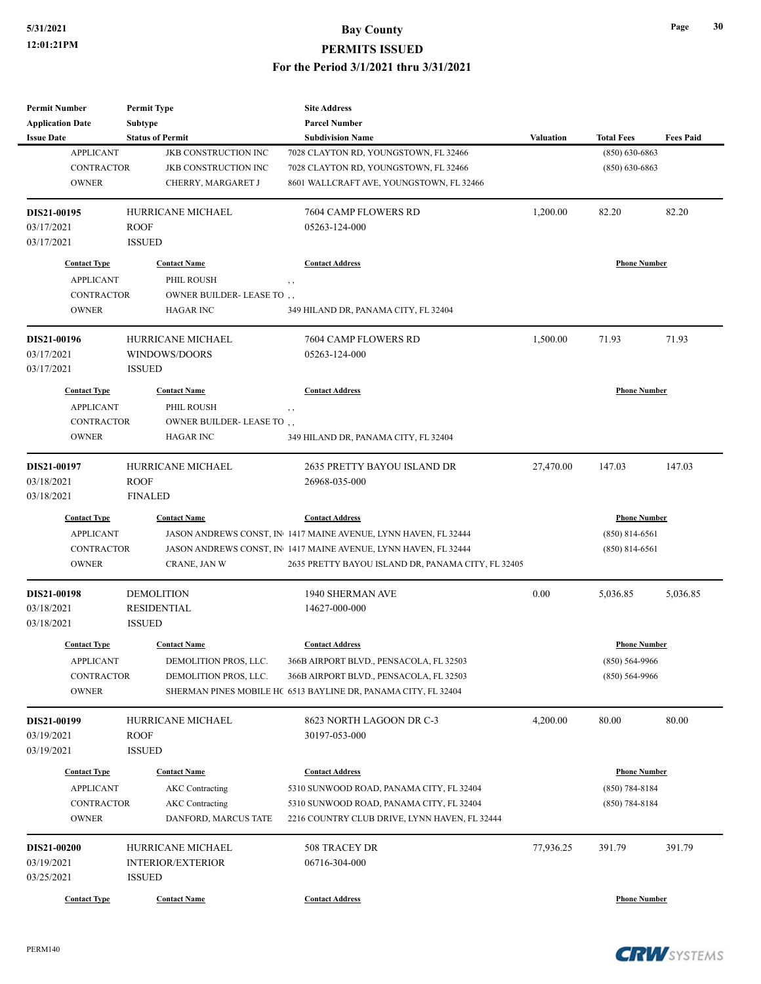| <b>Permit Number</b>    | <b>Permit Type</b>          | <b>Site Address</b>                                             |                  |                     |                  |
|-------------------------|-----------------------------|-----------------------------------------------------------------|------------------|---------------------|------------------|
| <b>Application Date</b> | Subtype                     | <b>Parcel Number</b>                                            |                  |                     |                  |
| <b>Issue Date</b>       | <b>Status of Permit</b>     | <b>Subdivision Name</b>                                         | <b>Valuation</b> | <b>Total Fees</b>   | <b>Fees Paid</b> |
| <b>APPLICANT</b>        | <b>JKB CONSTRUCTION INC</b> | 7028 CLAYTON RD, YOUNGSTOWN, FL 32466                           |                  | $(850) 630 - 6863$  |                  |
| <b>CONTRACTOR</b>       | JKB CONSTRUCTION INC        | 7028 CLAYTON RD, YOUNGSTOWN, FL 32466                           |                  | $(850)$ 630-6863    |                  |
| <b>OWNER</b>            | CHERRY, MARGARET J          | 8601 WALLCRAFT AVE, YOUNGSTOWN, FL 32466                        |                  |                     |                  |
| DIS21-00195             | HURRICANE MICHAEL           | 7604 CAMP FLOWERS RD                                            | 1,200.00         | 82.20               | 82.20            |
| 03/17/2021              | <b>ROOF</b>                 | 05263-124-000                                                   |                  |                     |                  |
| 03/17/2021              | <b>ISSUED</b>               |                                                                 |                  |                     |                  |
| <b>Contact Type</b>     | <b>Contact Name</b>         | <b>Contact Address</b>                                          |                  | <b>Phone Number</b> |                  |
| <b>APPLICANT</b>        | PHIL ROUSH                  | , ,                                                             |                  |                     |                  |
| CONTRACTOR              | OWNER BUILDER-LEASE TO,     |                                                                 |                  |                     |                  |
| <b>OWNER</b>            | <b>HAGAR INC</b>            | 349 HILAND DR, PANAMA CITY, FL 32404                            |                  |                     |                  |
| DIS21-00196             | HURRICANE MICHAEL           | 7604 CAMP FLOWERS RD                                            | 1,500.00         | 71.93               | 71.93            |
| 03/17/2021              | WINDOWS/DOORS               | 05263-124-000                                                   |                  |                     |                  |
| 03/17/2021              | <b>ISSUED</b>               |                                                                 |                  |                     |                  |
| <b>Contact Type</b>     | <b>Contact Name</b>         | <b>Contact Address</b>                                          |                  | <b>Phone Number</b> |                  |
| <b>APPLICANT</b>        | PHIL ROUSH                  | , ,                                                             |                  |                     |                  |
| <b>CONTRACTOR</b>       | OWNER BUILDER-LEASE TO,     |                                                                 |                  |                     |                  |
| <b>OWNER</b>            | <b>HAGAR INC</b>            | 349 HILAND DR, PANAMA CITY, FL 32404                            |                  |                     |                  |
| DIS21-00197             | HURRICANE MICHAEL           | 2635 PRETTY BAYOU ISLAND DR                                     | 27,470.00        | 147.03              | 147.03           |
| 03/18/2021              | <b>ROOF</b>                 | 26968-035-000                                                   |                  |                     |                  |
| 03/18/2021              | <b>FINALED</b>              |                                                                 |                  |                     |                  |
| <b>Contact Type</b>     | <b>Contact Name</b>         | <b>Contact Address</b>                                          |                  | <b>Phone Number</b> |                  |
| <b>APPLICANT</b>        |                             | JASON ANDREWS CONST, IN 1417 MAINE AVENUE, LYNN HAVEN, FL 32444 |                  | $(850) 814-6561$    |                  |
| <b>CONTRACTOR</b>       |                             | JASON ANDREWS CONST, IN 1417 MAINE AVENUE, LYNN HAVEN, FL 32444 |                  | $(850)$ 814-6561    |                  |
| <b>OWNER</b>            | CRANE, JAN W                | 2635 PRETTY BAYOU ISLAND DR, PANAMA CITY, FL 32405              |                  |                     |                  |
| DIS21-00198             | <b>DEMOLITION</b>           | 1940 SHERMAN AVE                                                | 0.00             | 5,036.85            | 5,036.85         |
| 03/18/2021              | RESIDENTIAL                 | 14627-000-000                                                   |                  |                     |                  |
| 03/18/2021              | <b>ISSUED</b>               |                                                                 |                  |                     |                  |
| <b>Contact Type</b>     | <b>Contact Name</b>         | <b>Contact Address</b>                                          |                  | <b>Phone Number</b> |                  |
| APPLICANT               | DEMOLITION PROS, LLC.       | 366B AIRPORT BLVD., PENSACOLA, FL 32503                         |                  | $(850) 564-9966$    |                  |
| <b>CONTRACTOR</b>       | DEMOLITION PROS, LLC.       | 366B AIRPORT BLVD., PENSACOLA, FL 32503                         |                  | $(850) 564-9966$    |                  |
| <b>OWNER</b>            |                             | SHERMAN PINES MOBILE HC 6513 BAYLINE DR, PANAMA CITY, FL 32404  |                  |                     |                  |
| DIS21-00199             | HURRICANE MICHAEL           | 8623 NORTH LAGOON DR C-3                                        | 4,200.00         | 80.00               | 80.00            |
| 03/19/2021              | ROOF                        | 30197-053-000                                                   |                  |                     |                  |
| 03/19/2021              | <b>ISSUED</b>               |                                                                 |                  |                     |                  |
| <b>Contact Type</b>     | <b>Contact Name</b>         | <b>Contact Address</b>                                          |                  | <b>Phone Number</b> |                  |
| <b>APPLICANT</b>        | <b>AKC</b> Contracting      | 5310 SUNWOOD ROAD, PANAMA CITY, FL 32404                        |                  | $(850) 784 - 8184$  |                  |
| CONTRACTOR              | <b>AKC</b> Contracting      | 5310 SUNWOOD ROAD, PANAMA CITY, FL 32404                        |                  | $(850)$ 784-8184    |                  |
| <b>OWNER</b>            | DANFORD, MARCUS TATE        | 2216 COUNTRY CLUB DRIVE, LYNN HAVEN, FL 32444                   |                  |                     |                  |
| DIS21-00200             | HURRICANE MICHAEL           | 508 TRACEY DR                                                   | 77,936.25        | 391.79              | 391.79           |
| 03/19/2021              | <b>INTERIOR/EXTERIOR</b>    | 06716-304-000                                                   |                  |                     |                  |
| 03/25/2021              | <b>ISSUED</b>               |                                                                 |                  |                     |                  |
| <b>Contact Type</b>     | <b>Contact Name</b>         | <b>Contact Address</b>                                          |                  | <b>Phone Number</b> |                  |

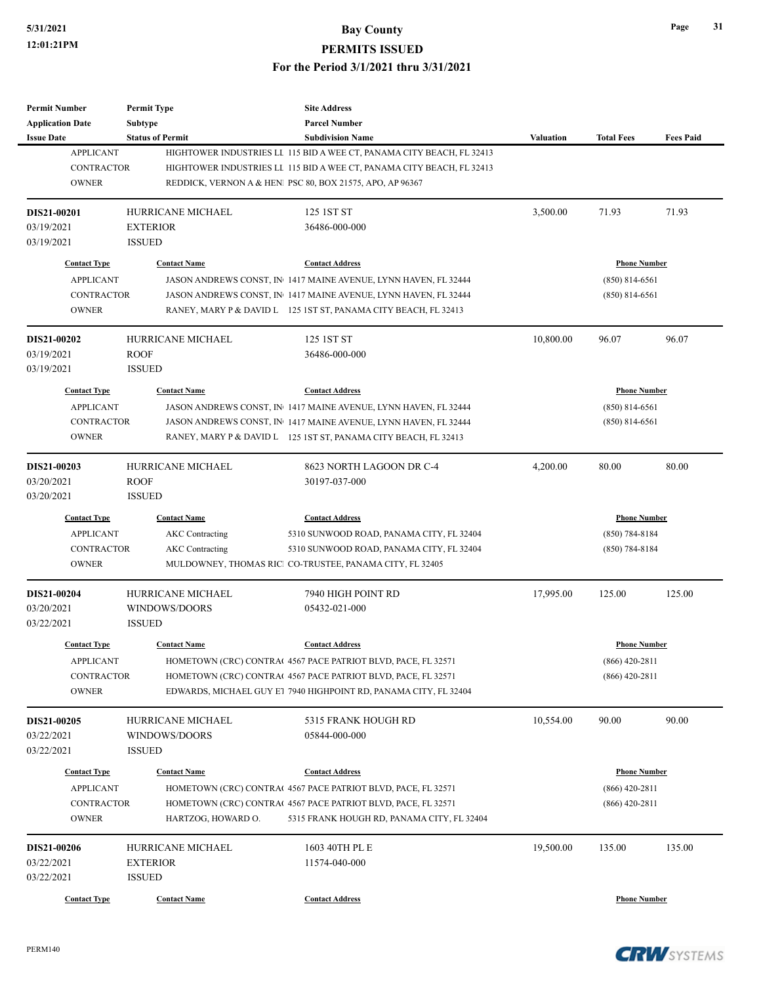# **5/31/2021 Bay County**

**PERMITS ISSUED**

**For the Period 3/1/2021 thru 3/31/2021**

| Subtype<br><b>Application Date</b><br><b>Issue Date</b><br><b>Status of Permit</b><br><b>Subdivision Name</b><br>Valuation<br><b>Total Fees</b><br><b>Fees Paid</b><br><b>APPLICANT</b><br>HIGHTOWER INDUSTRIES LL 115 BID A WEE CT, PANAMA CITY BEACH, FL 32413<br><b>CONTRACTOR</b><br>HIGHTOWER INDUSTRIES LI 115 BID A WEE CT, PANAMA CITY BEACH, FL 32413<br><b>OWNER</b><br>REDDICK, VERNON A & HEN: PSC 80, BOX 21575, APO, AP 96367<br>71.93<br>DIS21-00201<br><b>HURRICANE MICHAEL</b><br>125 1ST ST<br>3,500.00<br>71.93<br><b>EXTERIOR</b><br>36486-000-000<br><b>ISSUED</b><br><b>Contact Type</b><br><b>Contact Name</b><br><b>Contact Address</b><br><b>Phone Number</b><br><b>APPLICANT</b><br>$(850) 814-6561$<br>JASON ANDREWS CONST, IN 1417 MAINE AVENUE, LYNN HAVEN, FL 32444<br><b>CONTRACTOR</b><br>JASON ANDREWS CONST, IN 1417 MAINE AVENUE, LYNN HAVEN, FL 32444<br>$(850)$ 814-6561<br><b>OWNER</b><br>RANEY, MARY P & DAVID L 125 1ST ST, PANAMA CITY BEACH, FL 32413<br>10,800.00<br>96.07<br><b>HURRICANE MICHAEL</b><br>125 1ST ST<br>96.07<br><b>ROOF</b><br>36486-000-000<br><b>ISSUED</b><br><b>Contact Type</b><br><b>Contact Name</b><br><b>Contact Address</b><br><b>Phone Number</b><br><b>APPLICANT</b><br>JASON ANDREWS CONST, IN 1417 MAINE AVENUE, LYNN HAVEN, FL 32444<br>$(850) 814-6561$<br><b>CONTRACTOR</b><br>JASON ANDREWS CONST, IN 1417 MAINE AVENUE, LYNN HAVEN, FL 32444<br>$(850)$ 814-6561<br><b>OWNER</b><br>RANEY, MARY P & DAVID L 125 1ST ST, PANAMA CITY BEACH, FL 32413<br><b>HURRICANE MICHAEL</b><br>8623 NORTH LAGOON DR C-4<br>4,200.00<br>80.00<br>80.00<br><b>ROOF</b><br>30197-037-000<br><b>ISSUED</b><br><b>Phone Number</b><br><b>Contact Type</b><br><b>Contact Name</b><br><b>Contact Address</b><br><b>APPLICANT</b><br><b>AKC</b> Contracting<br>$(850) 784 - 8184$<br>5310 SUNWOOD ROAD, PANAMA CITY, FL 32404<br><b>CONTRACTOR</b><br><b>AKC</b> Contracting<br>$(850) 784 - 8184$<br>5310 SUNWOOD ROAD, PANAMA CITY, FL 32404<br><b>OWNER</b><br>MULDOWNEY, THOMAS RIC CO-TRUSTEE, PANAMA CITY, FL 32405<br>17,995.00<br>125.00<br><b>HURRICANE MICHAEL</b><br>7940 HIGH POINT RD<br>125.00<br>WINDOWS/DOORS<br>05432-021-000<br><b>ISSUED</b><br><b>Contact Type</b><br><b>Contact Name</b><br><b>Contact Address</b><br><b>Phone Number</b><br>HOMETOWN (CRC) CONTRA(4567 PACE PATRIOT BLVD, PACE, FL 32571<br>$(866)$ 420-2811<br><b>APPLICANT</b><br><b>CONTRACTOR</b><br>HOMETOWN (CRC) CONTRA(4567 PACE PATRIOT BLVD, PACE, FL 32571<br>$(866)$ 420-2811<br><b>OWNER</b><br>EDWARDS, MICHAEL GUY E1 7940 HIGHPOINT RD, PANAMA CITY, FL 32404<br>90.00<br>90.00<br>HURRICANE MICHAEL<br>5315 FRANK HOUGH RD<br>10,554.00<br>WINDOWS/DOORS<br>05844-000-000<br><b>ISSUED</b><br><b>Contact Type</b><br><b>Contact Name</b><br><b>Contact Address</b><br><b>Phone Number</b><br><b>APPLICANT</b><br>HOMETOWN (CRC) CONTRA(4567 PACE PATRIOT BLVD, PACE, FL 32571<br>$(866)$ 420-2811<br><b>CONTRACTOR</b><br>HOMETOWN (CRC) CONTRA(4567 PACE PATRIOT BLVD, PACE, FL 32571<br>$(866)$ 420-2811<br><b>OWNER</b><br>HARTZOG, HOWARD O.<br>5315 FRANK HOUGH RD, PANAMA CITY, FL 32404<br>HURRICANE MICHAEL<br>1603 40TH PL E<br>19,500.00<br>135.00<br>135.00<br><b>EXTERIOR</b><br>11574-040-000<br><b>ISSUED</b><br><b>Phone Number</b> | Permit Number       | <b>Permit Type</b>  | <b>Site Address</b><br><b>Parcel Number</b> |  |  |
|-----------------------------------------------------------------------------------------------------------------------------------------------------------------------------------------------------------------------------------------------------------------------------------------------------------------------------------------------------------------------------------------------------------------------------------------------------------------------------------------------------------------------------------------------------------------------------------------------------------------------------------------------------------------------------------------------------------------------------------------------------------------------------------------------------------------------------------------------------------------------------------------------------------------------------------------------------------------------------------------------------------------------------------------------------------------------------------------------------------------------------------------------------------------------------------------------------------------------------------------------------------------------------------------------------------------------------------------------------------------------------------------------------------------------------------------------------------------------------------------------------------------------------------------------------------------------------------------------------------------------------------------------------------------------------------------------------------------------------------------------------------------------------------------------------------------------------------------------------------------------------------------------------------------------------------------------------------------------------------------------------------------------------------------------------------------------------------------------------------------------------------------------------------------------------------------------------------------------------------------------------------------------------------------------------------------------------------------------------------------------------------------------------------------------------------------------------------------------------------------------------------------------------------------------------------------------------------------------------------------------------------------------------------------------------------------------------------------------------------------------------------------------------------------------------------------------------------------------------------------------------------------------------------------------------------------------------------------------------------------------------------------------------------------------------------------------------------------------------------------------------------------------------------------------------------------------------------------------------------------------------------------------------------------------------------------------|---------------------|---------------------|---------------------------------------------|--|--|
|                                                                                                                                                                                                                                                                                                                                                                                                                                                                                                                                                                                                                                                                                                                                                                                                                                                                                                                                                                                                                                                                                                                                                                                                                                                                                                                                                                                                                                                                                                                                                                                                                                                                                                                                                                                                                                                                                                                                                                                                                                                                                                                                                                                                                                                                                                                                                                                                                                                                                                                                                                                                                                                                                                                                                                                                                                                                                                                                                                                                                                                                                                                                                                                                                                                                                                                       |                     |                     |                                             |  |  |
|                                                                                                                                                                                                                                                                                                                                                                                                                                                                                                                                                                                                                                                                                                                                                                                                                                                                                                                                                                                                                                                                                                                                                                                                                                                                                                                                                                                                                                                                                                                                                                                                                                                                                                                                                                                                                                                                                                                                                                                                                                                                                                                                                                                                                                                                                                                                                                                                                                                                                                                                                                                                                                                                                                                                                                                                                                                                                                                                                                                                                                                                                                                                                                                                                                                                                                                       |                     |                     |                                             |  |  |
|                                                                                                                                                                                                                                                                                                                                                                                                                                                                                                                                                                                                                                                                                                                                                                                                                                                                                                                                                                                                                                                                                                                                                                                                                                                                                                                                                                                                                                                                                                                                                                                                                                                                                                                                                                                                                                                                                                                                                                                                                                                                                                                                                                                                                                                                                                                                                                                                                                                                                                                                                                                                                                                                                                                                                                                                                                                                                                                                                                                                                                                                                                                                                                                                                                                                                                                       |                     |                     |                                             |  |  |
|                                                                                                                                                                                                                                                                                                                                                                                                                                                                                                                                                                                                                                                                                                                                                                                                                                                                                                                                                                                                                                                                                                                                                                                                                                                                                                                                                                                                                                                                                                                                                                                                                                                                                                                                                                                                                                                                                                                                                                                                                                                                                                                                                                                                                                                                                                                                                                                                                                                                                                                                                                                                                                                                                                                                                                                                                                                                                                                                                                                                                                                                                                                                                                                                                                                                                                                       |                     |                     |                                             |  |  |
|                                                                                                                                                                                                                                                                                                                                                                                                                                                                                                                                                                                                                                                                                                                                                                                                                                                                                                                                                                                                                                                                                                                                                                                                                                                                                                                                                                                                                                                                                                                                                                                                                                                                                                                                                                                                                                                                                                                                                                                                                                                                                                                                                                                                                                                                                                                                                                                                                                                                                                                                                                                                                                                                                                                                                                                                                                                                                                                                                                                                                                                                                                                                                                                                                                                                                                                       |                     |                     |                                             |  |  |
|                                                                                                                                                                                                                                                                                                                                                                                                                                                                                                                                                                                                                                                                                                                                                                                                                                                                                                                                                                                                                                                                                                                                                                                                                                                                                                                                                                                                                                                                                                                                                                                                                                                                                                                                                                                                                                                                                                                                                                                                                                                                                                                                                                                                                                                                                                                                                                                                                                                                                                                                                                                                                                                                                                                                                                                                                                                                                                                                                                                                                                                                                                                                                                                                                                                                                                                       |                     |                     |                                             |  |  |
| 03/19/2021<br>DIS21-00202<br>03/19/2021<br>03/19/2021<br>DIS21-00203<br>03/20/2021<br>03/20/2021<br>DIS21-00204<br>03/20/2021<br>03/22/2021<br>DIS21-00205<br>03/22/2021<br>03/22/2021<br>DIS21-00206<br>03/22/2021<br>03/22/2021                                                                                                                                                                                                                                                                                                                                                                                                                                                                                                                                                                                                                                                                                                                                                                                                                                                                                                                                                                                                                                                                                                                                                                                                                                                                                                                                                                                                                                                                                                                                                                                                                                                                                                                                                                                                                                                                                                                                                                                                                                                                                                                                                                                                                                                                                                                                                                                                                                                                                                                                                                                                                                                                                                                                                                                                                                                                                                                                                                                                                                                                                     | 03/19/2021          |                     |                                             |  |  |
|                                                                                                                                                                                                                                                                                                                                                                                                                                                                                                                                                                                                                                                                                                                                                                                                                                                                                                                                                                                                                                                                                                                                                                                                                                                                                                                                                                                                                                                                                                                                                                                                                                                                                                                                                                                                                                                                                                                                                                                                                                                                                                                                                                                                                                                                                                                                                                                                                                                                                                                                                                                                                                                                                                                                                                                                                                                                                                                                                                                                                                                                                                                                                                                                                                                                                                                       |                     |                     |                                             |  |  |
|                                                                                                                                                                                                                                                                                                                                                                                                                                                                                                                                                                                                                                                                                                                                                                                                                                                                                                                                                                                                                                                                                                                                                                                                                                                                                                                                                                                                                                                                                                                                                                                                                                                                                                                                                                                                                                                                                                                                                                                                                                                                                                                                                                                                                                                                                                                                                                                                                                                                                                                                                                                                                                                                                                                                                                                                                                                                                                                                                                                                                                                                                                                                                                                                                                                                                                                       |                     |                     |                                             |  |  |
|                                                                                                                                                                                                                                                                                                                                                                                                                                                                                                                                                                                                                                                                                                                                                                                                                                                                                                                                                                                                                                                                                                                                                                                                                                                                                                                                                                                                                                                                                                                                                                                                                                                                                                                                                                                                                                                                                                                                                                                                                                                                                                                                                                                                                                                                                                                                                                                                                                                                                                                                                                                                                                                                                                                                                                                                                                                                                                                                                                                                                                                                                                                                                                                                                                                                                                                       |                     |                     |                                             |  |  |
|                                                                                                                                                                                                                                                                                                                                                                                                                                                                                                                                                                                                                                                                                                                                                                                                                                                                                                                                                                                                                                                                                                                                                                                                                                                                                                                                                                                                                                                                                                                                                                                                                                                                                                                                                                                                                                                                                                                                                                                                                                                                                                                                                                                                                                                                                                                                                                                                                                                                                                                                                                                                                                                                                                                                                                                                                                                                                                                                                                                                                                                                                                                                                                                                                                                                                                                       |                     |                     |                                             |  |  |
|                                                                                                                                                                                                                                                                                                                                                                                                                                                                                                                                                                                                                                                                                                                                                                                                                                                                                                                                                                                                                                                                                                                                                                                                                                                                                                                                                                                                                                                                                                                                                                                                                                                                                                                                                                                                                                                                                                                                                                                                                                                                                                                                                                                                                                                                                                                                                                                                                                                                                                                                                                                                                                                                                                                                                                                                                                                                                                                                                                                                                                                                                                                                                                                                                                                                                                                       |                     |                     |                                             |  |  |
|                                                                                                                                                                                                                                                                                                                                                                                                                                                                                                                                                                                                                                                                                                                                                                                                                                                                                                                                                                                                                                                                                                                                                                                                                                                                                                                                                                                                                                                                                                                                                                                                                                                                                                                                                                                                                                                                                                                                                                                                                                                                                                                                                                                                                                                                                                                                                                                                                                                                                                                                                                                                                                                                                                                                                                                                                                                                                                                                                                                                                                                                                                                                                                                                                                                                                                                       |                     |                     |                                             |  |  |
|                                                                                                                                                                                                                                                                                                                                                                                                                                                                                                                                                                                                                                                                                                                                                                                                                                                                                                                                                                                                                                                                                                                                                                                                                                                                                                                                                                                                                                                                                                                                                                                                                                                                                                                                                                                                                                                                                                                                                                                                                                                                                                                                                                                                                                                                                                                                                                                                                                                                                                                                                                                                                                                                                                                                                                                                                                                                                                                                                                                                                                                                                                                                                                                                                                                                                                                       |                     |                     |                                             |  |  |
|                                                                                                                                                                                                                                                                                                                                                                                                                                                                                                                                                                                                                                                                                                                                                                                                                                                                                                                                                                                                                                                                                                                                                                                                                                                                                                                                                                                                                                                                                                                                                                                                                                                                                                                                                                                                                                                                                                                                                                                                                                                                                                                                                                                                                                                                                                                                                                                                                                                                                                                                                                                                                                                                                                                                                                                                                                                                                                                                                                                                                                                                                                                                                                                                                                                                                                                       |                     |                     |                                             |  |  |
|                                                                                                                                                                                                                                                                                                                                                                                                                                                                                                                                                                                                                                                                                                                                                                                                                                                                                                                                                                                                                                                                                                                                                                                                                                                                                                                                                                                                                                                                                                                                                                                                                                                                                                                                                                                                                                                                                                                                                                                                                                                                                                                                                                                                                                                                                                                                                                                                                                                                                                                                                                                                                                                                                                                                                                                                                                                                                                                                                                                                                                                                                                                                                                                                                                                                                                                       |                     |                     |                                             |  |  |
|                                                                                                                                                                                                                                                                                                                                                                                                                                                                                                                                                                                                                                                                                                                                                                                                                                                                                                                                                                                                                                                                                                                                                                                                                                                                                                                                                                                                                                                                                                                                                                                                                                                                                                                                                                                                                                                                                                                                                                                                                                                                                                                                                                                                                                                                                                                                                                                                                                                                                                                                                                                                                                                                                                                                                                                                                                                                                                                                                                                                                                                                                                                                                                                                                                                                                                                       |                     |                     |                                             |  |  |
|                                                                                                                                                                                                                                                                                                                                                                                                                                                                                                                                                                                                                                                                                                                                                                                                                                                                                                                                                                                                                                                                                                                                                                                                                                                                                                                                                                                                                                                                                                                                                                                                                                                                                                                                                                                                                                                                                                                                                                                                                                                                                                                                                                                                                                                                                                                                                                                                                                                                                                                                                                                                                                                                                                                                                                                                                                                                                                                                                                                                                                                                                                                                                                                                                                                                                                                       |                     |                     |                                             |  |  |
|                                                                                                                                                                                                                                                                                                                                                                                                                                                                                                                                                                                                                                                                                                                                                                                                                                                                                                                                                                                                                                                                                                                                                                                                                                                                                                                                                                                                                                                                                                                                                                                                                                                                                                                                                                                                                                                                                                                                                                                                                                                                                                                                                                                                                                                                                                                                                                                                                                                                                                                                                                                                                                                                                                                                                                                                                                                                                                                                                                                                                                                                                                                                                                                                                                                                                                                       |                     |                     |                                             |  |  |
|                                                                                                                                                                                                                                                                                                                                                                                                                                                                                                                                                                                                                                                                                                                                                                                                                                                                                                                                                                                                                                                                                                                                                                                                                                                                                                                                                                                                                                                                                                                                                                                                                                                                                                                                                                                                                                                                                                                                                                                                                                                                                                                                                                                                                                                                                                                                                                                                                                                                                                                                                                                                                                                                                                                                                                                                                                                                                                                                                                                                                                                                                                                                                                                                                                                                                                                       |                     |                     |                                             |  |  |
|                                                                                                                                                                                                                                                                                                                                                                                                                                                                                                                                                                                                                                                                                                                                                                                                                                                                                                                                                                                                                                                                                                                                                                                                                                                                                                                                                                                                                                                                                                                                                                                                                                                                                                                                                                                                                                                                                                                                                                                                                                                                                                                                                                                                                                                                                                                                                                                                                                                                                                                                                                                                                                                                                                                                                                                                                                                                                                                                                                                                                                                                                                                                                                                                                                                                                                                       |                     |                     |                                             |  |  |
|                                                                                                                                                                                                                                                                                                                                                                                                                                                                                                                                                                                                                                                                                                                                                                                                                                                                                                                                                                                                                                                                                                                                                                                                                                                                                                                                                                                                                                                                                                                                                                                                                                                                                                                                                                                                                                                                                                                                                                                                                                                                                                                                                                                                                                                                                                                                                                                                                                                                                                                                                                                                                                                                                                                                                                                                                                                                                                                                                                                                                                                                                                                                                                                                                                                                                                                       |                     |                     |                                             |  |  |
|                                                                                                                                                                                                                                                                                                                                                                                                                                                                                                                                                                                                                                                                                                                                                                                                                                                                                                                                                                                                                                                                                                                                                                                                                                                                                                                                                                                                                                                                                                                                                                                                                                                                                                                                                                                                                                                                                                                                                                                                                                                                                                                                                                                                                                                                                                                                                                                                                                                                                                                                                                                                                                                                                                                                                                                                                                                                                                                                                                                                                                                                                                                                                                                                                                                                                                                       |                     |                     |                                             |  |  |
|                                                                                                                                                                                                                                                                                                                                                                                                                                                                                                                                                                                                                                                                                                                                                                                                                                                                                                                                                                                                                                                                                                                                                                                                                                                                                                                                                                                                                                                                                                                                                                                                                                                                                                                                                                                                                                                                                                                                                                                                                                                                                                                                                                                                                                                                                                                                                                                                                                                                                                                                                                                                                                                                                                                                                                                                                                                                                                                                                                                                                                                                                                                                                                                                                                                                                                                       |                     |                     |                                             |  |  |
|                                                                                                                                                                                                                                                                                                                                                                                                                                                                                                                                                                                                                                                                                                                                                                                                                                                                                                                                                                                                                                                                                                                                                                                                                                                                                                                                                                                                                                                                                                                                                                                                                                                                                                                                                                                                                                                                                                                                                                                                                                                                                                                                                                                                                                                                                                                                                                                                                                                                                                                                                                                                                                                                                                                                                                                                                                                                                                                                                                                                                                                                                                                                                                                                                                                                                                                       |                     |                     |                                             |  |  |
|                                                                                                                                                                                                                                                                                                                                                                                                                                                                                                                                                                                                                                                                                                                                                                                                                                                                                                                                                                                                                                                                                                                                                                                                                                                                                                                                                                                                                                                                                                                                                                                                                                                                                                                                                                                                                                                                                                                                                                                                                                                                                                                                                                                                                                                                                                                                                                                                                                                                                                                                                                                                                                                                                                                                                                                                                                                                                                                                                                                                                                                                                                                                                                                                                                                                                                                       |                     |                     |                                             |  |  |
|                                                                                                                                                                                                                                                                                                                                                                                                                                                                                                                                                                                                                                                                                                                                                                                                                                                                                                                                                                                                                                                                                                                                                                                                                                                                                                                                                                                                                                                                                                                                                                                                                                                                                                                                                                                                                                                                                                                                                                                                                                                                                                                                                                                                                                                                                                                                                                                                                                                                                                                                                                                                                                                                                                                                                                                                                                                                                                                                                                                                                                                                                                                                                                                                                                                                                                                       |                     |                     |                                             |  |  |
|                                                                                                                                                                                                                                                                                                                                                                                                                                                                                                                                                                                                                                                                                                                                                                                                                                                                                                                                                                                                                                                                                                                                                                                                                                                                                                                                                                                                                                                                                                                                                                                                                                                                                                                                                                                                                                                                                                                                                                                                                                                                                                                                                                                                                                                                                                                                                                                                                                                                                                                                                                                                                                                                                                                                                                                                                                                                                                                                                                                                                                                                                                                                                                                                                                                                                                                       |                     |                     |                                             |  |  |
|                                                                                                                                                                                                                                                                                                                                                                                                                                                                                                                                                                                                                                                                                                                                                                                                                                                                                                                                                                                                                                                                                                                                                                                                                                                                                                                                                                                                                                                                                                                                                                                                                                                                                                                                                                                                                                                                                                                                                                                                                                                                                                                                                                                                                                                                                                                                                                                                                                                                                                                                                                                                                                                                                                                                                                                                                                                                                                                                                                                                                                                                                                                                                                                                                                                                                                                       |                     |                     |                                             |  |  |
|                                                                                                                                                                                                                                                                                                                                                                                                                                                                                                                                                                                                                                                                                                                                                                                                                                                                                                                                                                                                                                                                                                                                                                                                                                                                                                                                                                                                                                                                                                                                                                                                                                                                                                                                                                                                                                                                                                                                                                                                                                                                                                                                                                                                                                                                                                                                                                                                                                                                                                                                                                                                                                                                                                                                                                                                                                                                                                                                                                                                                                                                                                                                                                                                                                                                                                                       |                     |                     |                                             |  |  |
|                                                                                                                                                                                                                                                                                                                                                                                                                                                                                                                                                                                                                                                                                                                                                                                                                                                                                                                                                                                                                                                                                                                                                                                                                                                                                                                                                                                                                                                                                                                                                                                                                                                                                                                                                                                                                                                                                                                                                                                                                                                                                                                                                                                                                                                                                                                                                                                                                                                                                                                                                                                                                                                                                                                                                                                                                                                                                                                                                                                                                                                                                                                                                                                                                                                                                                                       |                     |                     |                                             |  |  |
|                                                                                                                                                                                                                                                                                                                                                                                                                                                                                                                                                                                                                                                                                                                                                                                                                                                                                                                                                                                                                                                                                                                                                                                                                                                                                                                                                                                                                                                                                                                                                                                                                                                                                                                                                                                                                                                                                                                                                                                                                                                                                                                                                                                                                                                                                                                                                                                                                                                                                                                                                                                                                                                                                                                                                                                                                                                                                                                                                                                                                                                                                                                                                                                                                                                                                                                       |                     |                     |                                             |  |  |
|                                                                                                                                                                                                                                                                                                                                                                                                                                                                                                                                                                                                                                                                                                                                                                                                                                                                                                                                                                                                                                                                                                                                                                                                                                                                                                                                                                                                                                                                                                                                                                                                                                                                                                                                                                                                                                                                                                                                                                                                                                                                                                                                                                                                                                                                                                                                                                                                                                                                                                                                                                                                                                                                                                                                                                                                                                                                                                                                                                                                                                                                                                                                                                                                                                                                                                                       |                     |                     |                                             |  |  |
|                                                                                                                                                                                                                                                                                                                                                                                                                                                                                                                                                                                                                                                                                                                                                                                                                                                                                                                                                                                                                                                                                                                                                                                                                                                                                                                                                                                                                                                                                                                                                                                                                                                                                                                                                                                                                                                                                                                                                                                                                                                                                                                                                                                                                                                                                                                                                                                                                                                                                                                                                                                                                                                                                                                                                                                                                                                                                                                                                                                                                                                                                                                                                                                                                                                                                                                       |                     |                     |                                             |  |  |
|                                                                                                                                                                                                                                                                                                                                                                                                                                                                                                                                                                                                                                                                                                                                                                                                                                                                                                                                                                                                                                                                                                                                                                                                                                                                                                                                                                                                                                                                                                                                                                                                                                                                                                                                                                                                                                                                                                                                                                                                                                                                                                                                                                                                                                                                                                                                                                                                                                                                                                                                                                                                                                                                                                                                                                                                                                                                                                                                                                                                                                                                                                                                                                                                                                                                                                                       |                     |                     |                                             |  |  |
|                                                                                                                                                                                                                                                                                                                                                                                                                                                                                                                                                                                                                                                                                                                                                                                                                                                                                                                                                                                                                                                                                                                                                                                                                                                                                                                                                                                                                                                                                                                                                                                                                                                                                                                                                                                                                                                                                                                                                                                                                                                                                                                                                                                                                                                                                                                                                                                                                                                                                                                                                                                                                                                                                                                                                                                                                                                                                                                                                                                                                                                                                                                                                                                                                                                                                                                       |                     |                     |                                             |  |  |
|                                                                                                                                                                                                                                                                                                                                                                                                                                                                                                                                                                                                                                                                                                                                                                                                                                                                                                                                                                                                                                                                                                                                                                                                                                                                                                                                                                                                                                                                                                                                                                                                                                                                                                                                                                                                                                                                                                                                                                                                                                                                                                                                                                                                                                                                                                                                                                                                                                                                                                                                                                                                                                                                                                                                                                                                                                                                                                                                                                                                                                                                                                                                                                                                                                                                                                                       |                     |                     |                                             |  |  |
|                                                                                                                                                                                                                                                                                                                                                                                                                                                                                                                                                                                                                                                                                                                                                                                                                                                                                                                                                                                                                                                                                                                                                                                                                                                                                                                                                                                                                                                                                                                                                                                                                                                                                                                                                                                                                                                                                                                                                                                                                                                                                                                                                                                                                                                                                                                                                                                                                                                                                                                                                                                                                                                                                                                                                                                                                                                                                                                                                                                                                                                                                                                                                                                                                                                                                                                       |                     |                     |                                             |  |  |
|                                                                                                                                                                                                                                                                                                                                                                                                                                                                                                                                                                                                                                                                                                                                                                                                                                                                                                                                                                                                                                                                                                                                                                                                                                                                                                                                                                                                                                                                                                                                                                                                                                                                                                                                                                                                                                                                                                                                                                                                                                                                                                                                                                                                                                                                                                                                                                                                                                                                                                                                                                                                                                                                                                                                                                                                                                                                                                                                                                                                                                                                                                                                                                                                                                                                                                                       |                     |                     |                                             |  |  |
|                                                                                                                                                                                                                                                                                                                                                                                                                                                                                                                                                                                                                                                                                                                                                                                                                                                                                                                                                                                                                                                                                                                                                                                                                                                                                                                                                                                                                                                                                                                                                                                                                                                                                                                                                                                                                                                                                                                                                                                                                                                                                                                                                                                                                                                                                                                                                                                                                                                                                                                                                                                                                                                                                                                                                                                                                                                                                                                                                                                                                                                                                                                                                                                                                                                                                                                       |                     |                     |                                             |  |  |
|                                                                                                                                                                                                                                                                                                                                                                                                                                                                                                                                                                                                                                                                                                                                                                                                                                                                                                                                                                                                                                                                                                                                                                                                                                                                                                                                                                                                                                                                                                                                                                                                                                                                                                                                                                                                                                                                                                                                                                                                                                                                                                                                                                                                                                                                                                                                                                                                                                                                                                                                                                                                                                                                                                                                                                                                                                                                                                                                                                                                                                                                                                                                                                                                                                                                                                                       |                     |                     |                                             |  |  |
|                                                                                                                                                                                                                                                                                                                                                                                                                                                                                                                                                                                                                                                                                                                                                                                                                                                                                                                                                                                                                                                                                                                                                                                                                                                                                                                                                                                                                                                                                                                                                                                                                                                                                                                                                                                                                                                                                                                                                                                                                                                                                                                                                                                                                                                                                                                                                                                                                                                                                                                                                                                                                                                                                                                                                                                                                                                                                                                                                                                                                                                                                                                                                                                                                                                                                                                       |                     |                     |                                             |  |  |
|                                                                                                                                                                                                                                                                                                                                                                                                                                                                                                                                                                                                                                                                                                                                                                                                                                                                                                                                                                                                                                                                                                                                                                                                                                                                                                                                                                                                                                                                                                                                                                                                                                                                                                                                                                                                                                                                                                                                                                                                                                                                                                                                                                                                                                                                                                                                                                                                                                                                                                                                                                                                                                                                                                                                                                                                                                                                                                                                                                                                                                                                                                                                                                                                                                                                                                                       |                     |                     |                                             |  |  |
|                                                                                                                                                                                                                                                                                                                                                                                                                                                                                                                                                                                                                                                                                                                                                                                                                                                                                                                                                                                                                                                                                                                                                                                                                                                                                                                                                                                                                                                                                                                                                                                                                                                                                                                                                                                                                                                                                                                                                                                                                                                                                                                                                                                                                                                                                                                                                                                                                                                                                                                                                                                                                                                                                                                                                                                                                                                                                                                                                                                                                                                                                                                                                                                                                                                                                                                       |                     |                     |                                             |  |  |
|                                                                                                                                                                                                                                                                                                                                                                                                                                                                                                                                                                                                                                                                                                                                                                                                                                                                                                                                                                                                                                                                                                                                                                                                                                                                                                                                                                                                                                                                                                                                                                                                                                                                                                                                                                                                                                                                                                                                                                                                                                                                                                                                                                                                                                                                                                                                                                                                                                                                                                                                                                                                                                                                                                                                                                                                                                                                                                                                                                                                                                                                                                                                                                                                                                                                                                                       |                     |                     |                                             |  |  |
|                                                                                                                                                                                                                                                                                                                                                                                                                                                                                                                                                                                                                                                                                                                                                                                                                                                                                                                                                                                                                                                                                                                                                                                                                                                                                                                                                                                                                                                                                                                                                                                                                                                                                                                                                                                                                                                                                                                                                                                                                                                                                                                                                                                                                                                                                                                                                                                                                                                                                                                                                                                                                                                                                                                                                                                                                                                                                                                                                                                                                                                                                                                                                                                                                                                                                                                       | <b>Contact Type</b> | <b>Contact Name</b> | <b>Contact Address</b>                      |  |  |

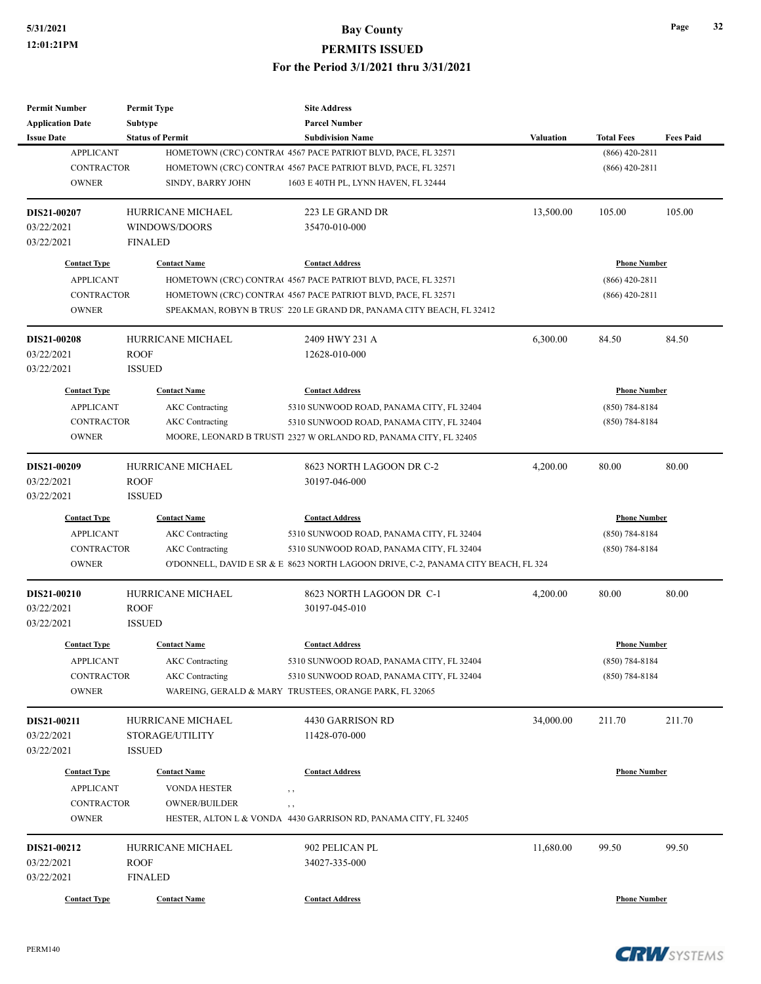| <b>Permit Number</b>      | <b>Permit Type</b>      | <b>Site Address</b>                                                               |           |                     |                  |
|---------------------------|-------------------------|-----------------------------------------------------------------------------------|-----------|---------------------|------------------|
| <b>Application Date</b>   | <b>Subtype</b>          | <b>Parcel Number</b>                                                              |           |                     |                  |
| <b>Issue Date</b>         | <b>Status of Permit</b> | <b>Subdivision Name</b>                                                           | Valuation | <b>Total Fees</b>   | <b>Fees Paid</b> |
| <b>APPLICANT</b>          |                         | HOMETOWN (CRC) CONTRA(4567 PACE PATRIOT BLVD, PACE, FL 32571                      |           | $(866)$ 420-2811    |                  |
| <b>CONTRACTOR</b>         |                         | HOMETOWN (CRC) CONTRA(4567 PACE PATRIOT BLVD, PACE, FL 32571                      |           | $(866)$ 420-2811    |                  |
| <b>OWNER</b>              | SINDY, BARRY JOHN       | 1603 E 40TH PL, LYNN HAVEN, FL 32444                                              |           |                     |                  |
|                           |                         |                                                                                   |           |                     |                  |
| DIS21-00207               | HURRICANE MICHAEL       | 223 LE GRAND DR                                                                   | 13,500.00 | 105.00              | 105.00           |
| 03/22/2021                | WINDOWS/DOORS           | 35470-010-000                                                                     |           |                     |                  |
| 03/22/2021                | <b>FINALED</b>          |                                                                                   |           |                     |                  |
| <b>Contact Type</b>       | <b>Contact Name</b>     | <b>Contact Address</b>                                                            |           | <b>Phone Number</b> |                  |
| <b>APPLICANT</b>          |                         | HOMETOWN (CRC) CONTRA(4567 PACE PATRIOT BLVD, PACE, FL 32571                      |           | $(866)$ 420-2811    |                  |
| <b>CONTRACTOR</b>         |                         | HOMETOWN (CRC) CONTRAC 4567 PACE PATRIOT BLVD, PACE, FL 32571                     |           | $(866)$ 420-2811    |                  |
| <b>OWNER</b>              |                         | SPEAKMAN, ROBYN B TRUS' 220 LE GRAND DR, PANAMA CITY BEACH, FL 32412              |           |                     |                  |
| <b>DIS21-00208</b>        | HURRICANE MICHAEL       | 2409 HWY 231 A                                                                    | 6,300.00  | 84.50               | 84.50            |
| 03/22/2021                | <b>ROOF</b>             | 12628-010-000                                                                     |           |                     |                  |
| 03/22/2021                | <b>ISSUED</b>           |                                                                                   |           |                     |                  |
| <b>Contact Type</b>       | <b>Contact Name</b>     | <b>Contact Address</b>                                                            |           | <b>Phone Number</b> |                  |
|                           |                         |                                                                                   |           |                     |                  |
| <b>APPLICANT</b>          | <b>AKC</b> Contracting  | 5310 SUNWOOD ROAD, PANAMA CITY, FL 32404                                          |           | $(850)$ 784-8184    |                  |
| <b>CONTRACTOR</b>         | <b>AKC</b> Contracting  | 5310 SUNWOOD ROAD, PANAMA CITY, FL 32404                                          |           | $(850)$ 784-8184    |                  |
| <b>OWNER</b>              |                         | MOORE, LEONARD B TRUSTI 2327 W ORLANDO RD, PANAMA CITY, FL 32405                  |           |                     |                  |
| DIS21-00209               | HURRICANE MICHAEL       | 8623 NORTH LAGOON DR C-2                                                          | 4,200.00  | 80.00               | 80.00            |
| 03/22/2021                | <b>ROOF</b>             | 30197-046-000                                                                     |           |                     |                  |
| 03/22/2021                | <b>ISSUED</b>           |                                                                                   |           |                     |                  |
| <b>Contact Type</b>       | <b>Contact Name</b>     | <b>Contact Address</b>                                                            |           | <b>Phone Number</b> |                  |
| <b>APPLICANT</b>          | <b>AKC</b> Contracting  | 5310 SUNWOOD ROAD, PANAMA CITY, FL 32404                                          |           | $(850) 784 - 8184$  |                  |
| <b>CONTRACTOR</b>         | <b>AKC</b> Contracting  | 5310 SUNWOOD ROAD, PANAMA CITY, FL 32404                                          |           | (850) 784-8184      |                  |
| <b>OWNER</b>              |                         | O'DONNELL, DAVID E SR & E 8623 NORTH LAGOON DRIVE, C-2, PANAMA CITY BEACH, FL 324 |           |                     |                  |
| DIS21-00210               | HURRICANE MICHAEL       | 8623 NORTH LAGOON DR C-1                                                          | 4,200.00  | 80.00               | 80.00            |
| 03/22/2021                | <b>ROOF</b>             | 30197-045-010                                                                     |           |                     |                  |
| 03/22/2021                | <b>ISSUED</b>           |                                                                                   |           |                     |                  |
| <b>Contact Type</b>       | <b>Contact Name</b>     | <b>Contact Address</b>                                                            |           | <b>Phone Number</b> |                  |
| <b>APPLICANT</b>          | <b>AKC</b> Contracting  | 5310 SUNWOOD ROAD, PANAMA CITY, FL 32404                                          |           | $(850) 784 - 8184$  |                  |
| CONTRACTOR                | <b>AKC</b> Contracting  | 5310 SUNWOOD ROAD, PANAMA CITY, FL 32404                                          |           | $(850) 784 - 8184$  |                  |
| <b>OWNER</b>              |                         | WAREING, GERALD & MARY TRUSTEES, ORANGE PARK, FL 32065                            |           |                     |                  |
|                           | HURRICANE MICHAEL       | 4430 GARRISON RD                                                                  | 34,000.00 |                     | 211.70           |
| DIS21-00211<br>03/22/2021 | STORAGE/UTILITY         | 11428-070-000                                                                     |           | 211.70              |                  |
|                           |                         |                                                                                   |           |                     |                  |
| 03/22/2021                | <b>ISSUED</b>           |                                                                                   |           |                     |                  |
| <b>Contact Type</b>       | <b>Contact Name</b>     | <b>Contact Address</b>                                                            |           | <b>Phone Number</b> |                  |
| <b>APPLICANT</b>          | <b>VONDA HESTER</b>     | $, \, ,$                                                                          |           |                     |                  |
| <b>CONTRACTOR</b>         | <b>OWNER/BUILDER</b>    | , ,                                                                               |           |                     |                  |
| <b>OWNER</b>              |                         | HESTER, ALTON L & VONDA 4430 GARRISON RD, PANAMA CITY, FL 32405                   |           |                     |                  |
| DIS21-00212               | HURRICANE MICHAEL       | 902 PELICAN PL                                                                    | 11,680.00 | 99.50               | 99.50            |
| 03/22/2021                | <b>ROOF</b>             | 34027-335-000                                                                     |           |                     |                  |
| 03/22/2021                | <b>FINALED</b>          |                                                                                   |           |                     |                  |
| <b>Contact Type</b>       | <b>Contact Name</b>     | <b>Contact Address</b>                                                            |           | <b>Phone Number</b> |                  |
|                           |                         |                                                                                   |           |                     |                  |

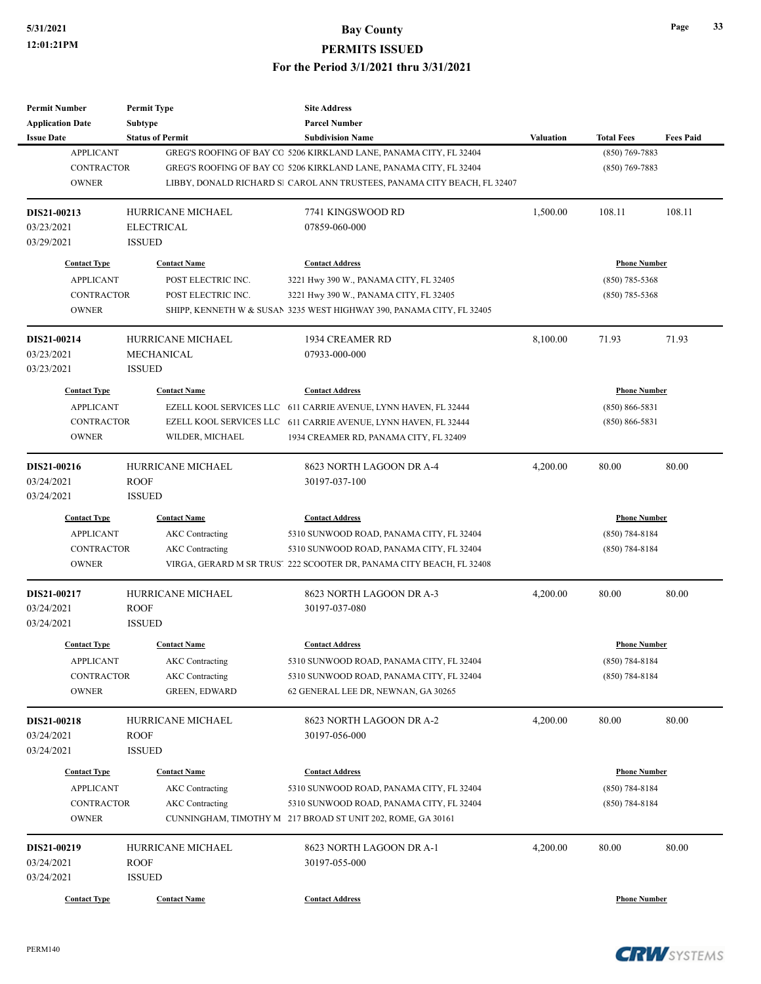| <b>Permit Number</b>    | <b>Permit Type</b>       | <b>Site Address</b>                                                      |                  |                     |                  |
|-------------------------|--------------------------|--------------------------------------------------------------------------|------------------|---------------------|------------------|
| <b>Application Date</b> | Subtype                  | <b>Parcel Number</b>                                                     |                  |                     |                  |
| <b>Issue Date</b>       | <b>Status of Permit</b>  | <b>Subdivision Name</b>                                                  | <b>Valuation</b> | <b>Total Fees</b>   | <b>Fees Paid</b> |
| <b>APPLICANT</b>        |                          | GREG'S ROOFING OF BAY CO 5206 KIRKLAND LANE, PANAMA CITY, FL 32404       |                  | $(850)$ 769-7883    |                  |
| <b>CONTRACTOR</b>       |                          | GREG'S ROOFING OF BAY CO 5206 KIRKLAND LANE, PANAMA CITY, FL 32404       |                  | $(850)$ 769-7883    |                  |
| <b>OWNER</b>            |                          | LIBBY, DONALD RICHARD SI CAROL ANN TRUSTEES, PANAMA CITY BEACH, FL 32407 |                  |                     |                  |
| DIS21-00213             | HURRICANE MICHAEL        | 7741 KINGSWOOD RD                                                        | 1,500.00         | 108.11              | 108.11           |
| 03/23/2021              | <b>ELECTRICAL</b>        | 07859-060-000                                                            |                  |                     |                  |
| 03/29/2021              | <b>ISSUED</b>            |                                                                          |                  |                     |                  |
| <b>Contact Type</b>     | <b>Contact Name</b>      | <b>Contact Address</b>                                                   |                  | <b>Phone Number</b> |                  |
| <b>APPLICANT</b>        | POST ELECTRIC INC.       | 3221 Hwy 390 W., PANAMA CITY, FL 32405                                   |                  | $(850)$ 785-5368    |                  |
| <b>CONTRACTOR</b>       | POST ELECTRIC INC.       | 3221 Hwy 390 W., PANAMA CITY, FL 32405                                   |                  | $(850)$ 785-5368    |                  |
| <b>OWNER</b>            |                          | SHIPP, KENNETH W & SUSAN 3235 WEST HIGHWAY 390, PANAMA CITY, FL 32405    |                  |                     |                  |
| DIS21-00214             | HURRICANE MICHAEL        | 1934 CREAMER RD                                                          | 8,100.00         | 71.93               | 71.93            |
| 03/23/2021              | MECHANICAL               | 07933-000-000                                                            |                  |                     |                  |
| 03/23/2021              | <b>ISSUED</b>            |                                                                          |                  |                     |                  |
| <b>Contact Type</b>     | <b>Contact Name</b>      | <b>Contact Address</b>                                                   |                  | <b>Phone Number</b> |                  |
| <b>APPLICANT</b>        |                          | EZELL KOOL SERVICES LLC 611 CARRIE AVENUE, LYNN HAVEN, FL 32444          |                  | $(850) 866 - 5831$  |                  |
| <b>CONTRACTOR</b>       |                          | EZELL KOOL SERVICES LLC 611 CARRIE AVENUE, LYNN HAVEN, FL 32444          |                  | $(850) 866 - 5831$  |                  |
| <b>OWNER</b>            | WILDER, MICHAEL          | 1934 CREAMER RD, PANAMA CITY, FL 32409                                   |                  |                     |                  |
| DIS21-00216             | HURRICANE MICHAEL        | 8623 NORTH LAGOON DR A-4                                                 | 4,200.00         | 80.00               | 80.00            |
| 03/24/2021              | <b>ROOF</b>              | 30197-037-100                                                            |                  |                     |                  |
| 03/24/2021              | <b>ISSUED</b>            |                                                                          |                  |                     |                  |
| <b>Contact Type</b>     | <b>Contact Name</b>      | <b>Contact Address</b>                                                   |                  | <b>Phone Number</b> |                  |
| <b>APPLICANT</b>        | <b>AKC</b> Contracting   | 5310 SUNWOOD ROAD, PANAMA CITY, FL 32404                                 |                  | $(850) 784 - 8184$  |                  |
| <b>CONTRACTOR</b>       | <b>AKC</b> Contracting   | 5310 SUNWOOD ROAD, PANAMA CITY, FL 32404                                 |                  | $(850) 784 - 8184$  |                  |
| <b>OWNER</b>            |                          | VIRGA, GERARD M SR TRUS. 222 SCOOTER DR, PANAMA CITY BEACH, FL 32408     |                  |                     |                  |
| DIS21-00217             | HURRICANE MICHAEL        | 8623 NORTH LAGOON DR A-3                                                 | 4,200.00         | 80.00               | 80.00            |
| 03/24/2021              | <b>ROOF</b>              | 30197-037-080                                                            |                  |                     |                  |
| 03/24/2021              | <b>ISSUED</b>            |                                                                          |                  |                     |                  |
| <b>Contact Type</b>     | <b>Contact Name</b>      | <b>Contact Address</b>                                                   |                  | <b>Phone Number</b> |                  |
| <b>APPLICANT</b>        | <b>AKC</b> Contracting   | 5310 SUNWOOD ROAD, PANAMA CITY, FL 32404                                 |                  | $(850) 784 - 8184$  |                  |
| CONTRACTOR              | <b>AKC</b> Contracting   | 5310 SUNWOOD ROAD, PANAMA CITY, FL 32404                                 |                  | $(850)$ 784-8184    |                  |
| <b>OWNER</b>            | <b>GREEN, EDWARD</b>     | 62 GENERAL LEE DR, NEWNAN, GA 30265                                      |                  |                     |                  |
| DIS21-00218             | <b>HURRICANE MICHAEL</b> | 8623 NORTH LAGOON DR A-2                                                 | 4,200.00         | 80.00               | 80.00            |
| 03/24/2021              | ROOF                     | 30197-056-000                                                            |                  |                     |                  |
| 03/24/2021              | <b>ISSUED</b>            |                                                                          |                  |                     |                  |
| <b>Contact Type</b>     | <b>Contact Name</b>      | <b>Contact Address</b>                                                   |                  | <b>Phone Number</b> |                  |
| <b>APPLICANT</b>        | <b>AKC</b> Contracting   | 5310 SUNWOOD ROAD, PANAMA CITY, FL 32404                                 |                  | $(850) 784 - 8184$  |                  |
| CONTRACTOR              | <b>AKC</b> Contracting   | 5310 SUNWOOD ROAD, PANAMA CITY, FL 32404                                 |                  | $(850)$ 784-8184    |                  |
| <b>OWNER</b>            |                          | CUNNINGHAM, TIMOTHY M 217 BROAD ST UNIT 202, ROME, GA 30161              |                  |                     |                  |
| DIS21-00219             | HURRICANE MICHAEL        | 8623 NORTH LAGOON DR A-1                                                 | 4,200.00         | 80.00               | 80.00            |
| 03/24/2021              | ROOF                     | 30197-055-000                                                            |                  |                     |                  |
| 03/24/2021              | <b>ISSUED</b>            |                                                                          |                  |                     |                  |
| <b>Contact Type</b>     | <b>Contact Name</b>      | <b>Contact Address</b>                                                   |                  | <b>Phone Number</b> |                  |

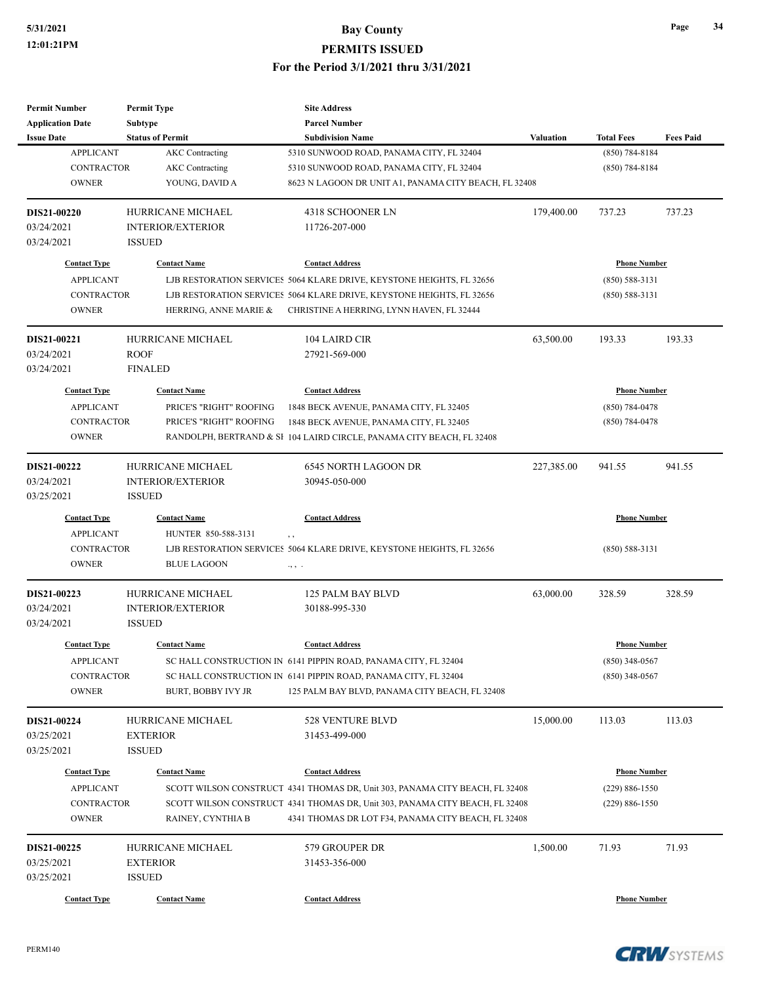| <b>Permit Number</b>    | <b>Permit Type</b>       | <b>Site Address</b>                                                          |                  |                     |                  |
|-------------------------|--------------------------|------------------------------------------------------------------------------|------------------|---------------------|------------------|
| <b>Application Date</b> | Subtype                  | <b>Parcel Number</b>                                                         |                  |                     |                  |
| <b>Issue Date</b>       | <b>Status of Permit</b>  | <b>Subdivision Name</b>                                                      | <b>Valuation</b> | <b>Total Fees</b>   | <b>Fees Paid</b> |
| <b>APPLICANT</b>        | <b>AKC</b> Contracting   | 5310 SUNWOOD ROAD, PANAMA CITY, FL 32404                                     |                  | $(850) 784 - 8184$  |                  |
| <b>CONTRACTOR</b>       | <b>AKC</b> Contracting   | 5310 SUNWOOD ROAD, PANAMA CITY, FL 32404                                     |                  | $(850) 784 - 8184$  |                  |
| <b>OWNER</b>            | YOUNG, DAVID A           | 8623 N LAGOON DR UNIT A1, PANAMA CITY BEACH, FL 32408                        |                  |                     |                  |
| DIS21-00220             | <b>HURRICANE MICHAEL</b> | 4318 SCHOONER LN                                                             | 179,400.00       | 737.23              | 737.23           |
| 03/24/2021              | <b>INTERIOR/EXTERIOR</b> | 11726-207-000                                                                |                  |                     |                  |
| 03/24/2021              | <b>ISSUED</b>            |                                                                              |                  |                     |                  |
| <b>Contact Type</b>     | <b>Contact Name</b>      | <b>Contact Address</b>                                                       |                  | <b>Phone Number</b> |                  |
| <b>APPLICANT</b>        |                          | LJB RESTORATION SERVICES 5064 KLARE DRIVE, KEYSTONE HEIGHTS, FL 32656        |                  | $(850) 588 - 3131$  |                  |
| <b>CONTRACTOR</b>       |                          | LJB RESTORATION SERVICES 5064 KLARE DRIVE, KEYSTONE HEIGHTS, FL 32656        |                  | $(850) 588 - 3131$  |                  |
| <b>OWNER</b>            | HERRING, ANNE MARIE &    | CHRISTINE A HERRING, LYNN HAVEN, FL 32444                                    |                  |                     |                  |
| DIS21-00221             | HURRICANE MICHAEL        | 104 LAIRD CIR                                                                | 63,500.00        | 193.33              | 193.33           |
| 03/24/2021              | <b>ROOF</b>              | 27921-569-000                                                                |                  |                     |                  |
| 03/24/2021              | <b>FINALED</b>           |                                                                              |                  |                     |                  |
| <b>Contact Type</b>     | <b>Contact Name</b>      | <b>Contact Address</b>                                                       |                  | <b>Phone Number</b> |                  |
| <b>APPLICANT</b>        | PRICE'S "RIGHT" ROOFING  | 1848 BECK AVENUE, PANAMA CITY, FL 32405                                      |                  | $(850) 784 - 0478$  |                  |
| <b>CONTRACTOR</b>       | PRICE'S "RIGHT" ROOFING  | 1848 BECK AVENUE, PANAMA CITY, FL 32405                                      |                  | $(850) 784 - 0478$  |                  |
| <b>OWNER</b>            |                          | RANDOLPH, BERTRAND & SI 104 LAIRD CIRCLE, PANAMA CITY BEACH, FL 32408        |                  |                     |                  |
|                         |                          |                                                                              |                  |                     |                  |
| DIS21-00222             | HURRICANE MICHAEL        | 6545 NORTH LAGOON DR                                                         | 227,385.00       | 941.55              | 941.55           |
| 03/24/2021              | <b>INTERIOR/EXTERIOR</b> | 30945-050-000                                                                |                  |                     |                  |
| 03/25/2021              | <b>ISSUED</b>            |                                                                              |                  |                     |                  |
| <b>Contact Type</b>     | <b>Contact Name</b>      | <b>Contact Address</b>                                                       |                  | <b>Phone Number</b> |                  |
| <b>APPLICANT</b>        | HUNTER 850-588-3131      | $, \, ,$                                                                     |                  |                     |                  |
| <b>CONTRACTOR</b>       |                          | LJB RESTORATION SERVICES 5064 KLARE DRIVE, KEYSTONE HEIGHTS, FL 32656        |                  | $(850) 588 - 3131$  |                  |
| <b>OWNER</b>            | <b>BLUE LAGOON</b>       | $\cdot$ , , .                                                                |                  |                     |                  |
| DIS21-00223             | <b>HURRICANE MICHAEL</b> | 125 PALM BAY BLVD                                                            | 63,000.00        | 328.59              | 328.59           |
| 03/24/2021              | <b>INTERIOR/EXTERIOR</b> | 30188-995-330                                                                |                  |                     |                  |
| 03/24/2021              | <b>ISSUED</b>            |                                                                              |                  |                     |                  |
| <b>Contact Type</b>     | <b>Contact Name</b>      | <b>Contact Address</b>                                                       |                  | <b>Phone Number</b> |                  |
| <b>APPLICANT</b>        |                          | SC HALL CONSTRUCTION IN 6141 PIPPIN ROAD, PANAMA CITY, FL 32404              |                  | $(850)$ 348-0567    |                  |
| CONTRACTOR              |                          | SC HALL CONSTRUCTION IN 6141 PIPPIN ROAD, PANAMA CITY, FL 32404              |                  | $(850)$ 348-0567    |                  |
| <b>OWNER</b>            | BURT, BOBBY IVY JR       | 125 PALM BAY BLVD, PANAMA CITY BEACH, FL 32408                               |                  |                     |                  |
| DIS21-00224             | HURRICANE MICHAEL        | 528 VENTURE BLVD                                                             | 15,000.00        | 113.03              | 113.03           |
| 03/25/2021              | <b>EXTERIOR</b>          | 31453-499-000                                                                |                  |                     |                  |
| 03/25/2021              | <b>ISSUED</b>            |                                                                              |                  |                     |                  |
| <b>Contact Type</b>     | <b>Contact Name</b>      | <b>Contact Address</b>                                                       |                  | <b>Phone Number</b> |                  |
| <b>APPLICANT</b>        |                          |                                                                              |                  | $(229) 886 - 1550$  |                  |
|                         |                          | SCOTT WILSON CONSTRUCT 4341 THOMAS DR, Unit 303, PANAMA CITY BEACH, FL 32408 |                  |                     |                  |
| CONTRACTOR              |                          | SCOTT WILSON CONSTRUCT 4341 THOMAS DR, Unit 303, PANAMA CITY BEACH, FL 32408 |                  | $(229) 886 - 1550$  |                  |
| <b>OWNER</b>            | RAINEY, CYNTHIA B        | 4341 THOMAS DR LOT F34, PANAMA CITY BEACH, FL 32408                          |                  |                     |                  |
| DIS21-00225             | HURRICANE MICHAEL        | 579 GROUPER DR                                                               | 1,500.00         | 71.93               | 71.93            |
| 03/25/2021              | <b>EXTERIOR</b>          | 31453-356-000                                                                |                  |                     |                  |
| 03/25/2021              | <b>ISSUED</b>            |                                                                              |                  |                     |                  |
| <b>Contact Type</b>     | <b>Contact Name</b>      | <b>Contact Address</b>                                                       |                  | <b>Phone Number</b> |                  |
|                         |                          |                                                                              |                  |                     |                  |

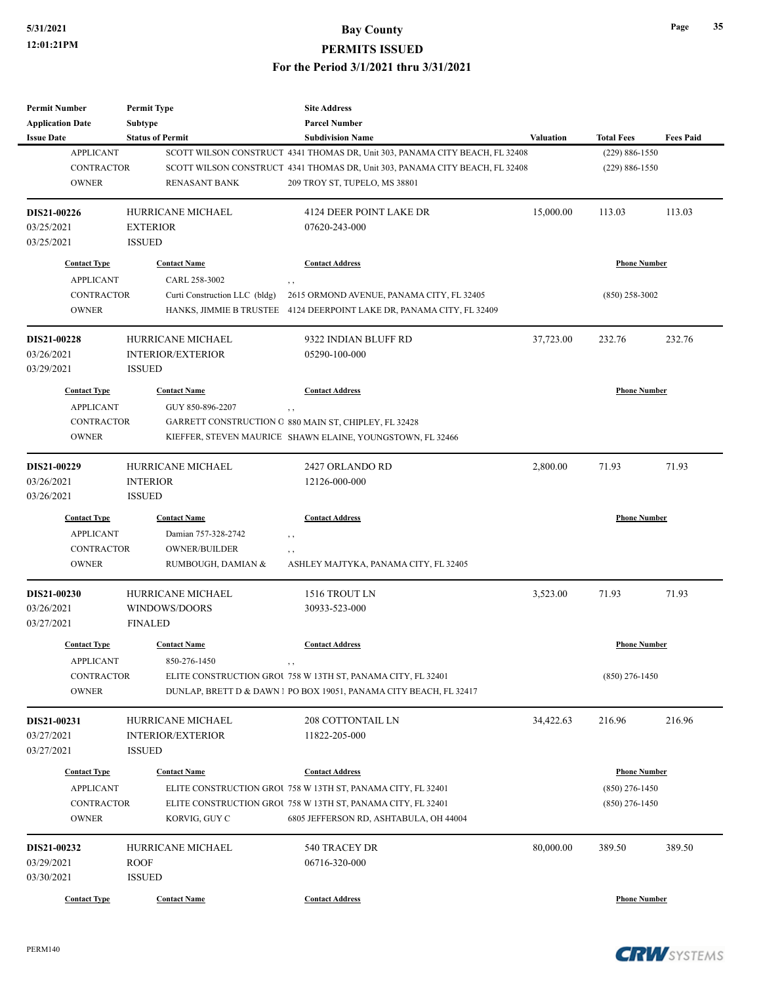| <b>Permit Number</b>    | <b>Permit Type</b>            | <b>Site Address</b>                                                          |           |                     |                  |
|-------------------------|-------------------------------|------------------------------------------------------------------------------|-----------|---------------------|------------------|
| <b>Application Date</b> | <b>Subtype</b>                | <b>Parcel Number</b>                                                         |           |                     |                  |
| <b>Issue Date</b>       | <b>Status of Permit</b>       | <b>Subdivision Name</b>                                                      | Valuation | <b>Total Fees</b>   | <b>Fees Paid</b> |
| <b>APPLICANT</b>        |                               | SCOTT WILSON CONSTRUCT 4341 THOMAS DR, Unit 303, PANAMA CITY BEACH, FL 32408 |           | $(229) 886 - 1550$  |                  |
| <b>CONTRACTOR</b>       |                               | SCOTT WILSON CONSTRUCT 4341 THOMAS DR, Unit 303, PANAMA CITY BEACH, FL 32408 |           | $(229) 886 - 1550$  |                  |
| <b>OWNER</b>            | RENASANT BANK                 | 209 TROY ST, TUPELO, MS 38801                                                |           |                     |                  |
| DIS21-00226             | HURRICANE MICHAEL             | 4124 DEER POINT LAKE DR                                                      | 15,000.00 | 113.03              | 113.03           |
| 03/25/2021              | <b>EXTERIOR</b>               | 07620-243-000                                                                |           |                     |                  |
| 03/25/2021              | <b>ISSUED</b>                 |                                                                              |           |                     |                  |
| <b>Contact Type</b>     | <b>Contact Name</b>           | <b>Contact Address</b>                                                       |           | <b>Phone Number</b> |                  |
| <b>APPLICANT</b>        | CARL 258-3002                 | , ,                                                                          |           |                     |                  |
| <b>CONTRACTOR</b>       | Curti Construction LLC (bldg) | 2615 ORMOND AVENUE, PANAMA CITY, FL 32405                                    |           | $(850)$ 258-3002    |                  |
| <b>OWNER</b>            | HANKS, JIMMIE B TRUSTEE       | 4124 DEERPOINT LAKE DR, PANAMA CITY, FL 32409                                |           |                     |                  |
| DIS21-00228             | HURRICANE MICHAEL             | 9322 INDIAN BLUFF RD                                                         | 37,723.00 | 232.76              | 232.76           |
| 03/26/2021              | <b>INTERIOR/EXTERIOR</b>      | 05290-100-000                                                                |           |                     |                  |
| 03/29/2021              | <b>ISSUED</b>                 |                                                                              |           |                     |                  |
| <b>Contact Type</b>     | <b>Contact Name</b>           | <b>Contact Address</b>                                                       |           | <b>Phone Number</b> |                  |
| <b>APPLICANT</b>        | GUY 850-896-2207              | , ,                                                                          |           |                     |                  |
| <b>CONTRACTOR</b>       |                               | GARRETT CONSTRUCTION O 880 MAIN ST, CHIPLEY, FL 32428                        |           |                     |                  |
| <b>OWNER</b>            |                               | KIEFFER, STEVEN MAURICE SHAWN ELAINE, YOUNGSTOWN, FL 32466                   |           |                     |                  |
|                         |                               |                                                                              |           |                     |                  |
| DIS21-00229             | HURRICANE MICHAEL             | 2427 ORLANDO RD                                                              | 2,800.00  | 71.93               | 71.93            |
| 03/26/2021              | <b>INTERIOR</b>               | 12126-000-000                                                                |           |                     |                  |
| 03/26/2021              | <b>ISSUED</b>                 |                                                                              |           |                     |                  |
| <b>Contact Type</b>     | <b>Contact Name</b>           | <b>Contact Address</b>                                                       |           | <b>Phone Number</b> |                  |
| <b>APPLICANT</b>        | Damian 757-328-2742           | $, \, ,$                                                                     |           |                     |                  |
| <b>CONTRACTOR</b>       | <b>OWNER/BUILDER</b>          | , ,                                                                          |           |                     |                  |
| <b>OWNER</b>            | RUMBOUGH, DAMIAN &            | ASHLEY MAJTYKA, PANAMA CITY, FL 32405                                        |           |                     |                  |
| DIS21-00230             | HURRICANE MICHAEL             | 1516 TROUT LN                                                                | 3,523.00  | 71.93               | 71.93            |
| 03/26/2021              | WINDOWS/DOORS                 | 30933-523-000                                                                |           |                     |                  |
| 03/27/2021              | <b>FINALED</b>                |                                                                              |           |                     |                  |
| <b>Contact Type</b>     | <b>Contact Name</b>           | <b>Contact Address</b>                                                       |           | <b>Phone Number</b> |                  |
| <b>APPLICANT</b>        | 850-276-1450                  | , ,                                                                          |           |                     |                  |
| CONTRACTOR              |                               | ELITE CONSTRUCTION GROU 758 W 13TH ST, PANAMA CITY, FL 32401                 |           | $(850)$ 276-1450    |                  |
| <b>OWNER</b>            |                               | DUNLAP, BRETT D & DAWN   PO BOX 19051, PANAMA CITY BEACH, FL 32417           |           |                     |                  |
| DIS21-00231             | HURRICANE MICHAEL             | <b>208 COTTONTAIL LN</b>                                                     | 34,422.63 | 216.96              | 216.96           |
| 03/27/2021              | <b>INTERIOR/EXTERIOR</b>      | 11822-205-000                                                                |           |                     |                  |
| 03/27/2021              | <b>ISSUED</b>                 |                                                                              |           |                     |                  |
| <b>Contact Type</b>     | <b>Contact Name</b>           | <b>Contact Address</b>                                                       |           | <b>Phone Number</b> |                  |
| <b>APPLICANT</b>        |                               | ELITE CONSTRUCTION GROU 758 W 13TH ST, PANAMA CITY, FL 32401                 |           | $(850)$ 276-1450    |                  |
| <b>CONTRACTOR</b>       |                               | ELITE CONSTRUCTION GROU 758 W 13TH ST, PANAMA CITY, FL 32401                 |           | $(850)$ 276-1450    |                  |
| <b>OWNER</b>            | KORVIG, GUY C                 | 6805 JEFFERSON RD, ASHTABULA, OH 44004                                       |           |                     |                  |
|                         |                               |                                                                              |           |                     |                  |
| DIS21-00232             | HURRICANE MICHAEL             | 540 TRACEY DR                                                                | 80,000.00 | 389.50              | 389.50           |
| 03/29/2021              | <b>ROOF</b>                   | 06716-320-000                                                                |           |                     |                  |
| 03/30/2021              | <b>ISSUED</b>                 |                                                                              |           |                     |                  |
| <b>Contact Type</b>     | <b>Contact Name</b>           | <b>Contact Address</b>                                                       |           | <b>Phone Number</b> |                  |

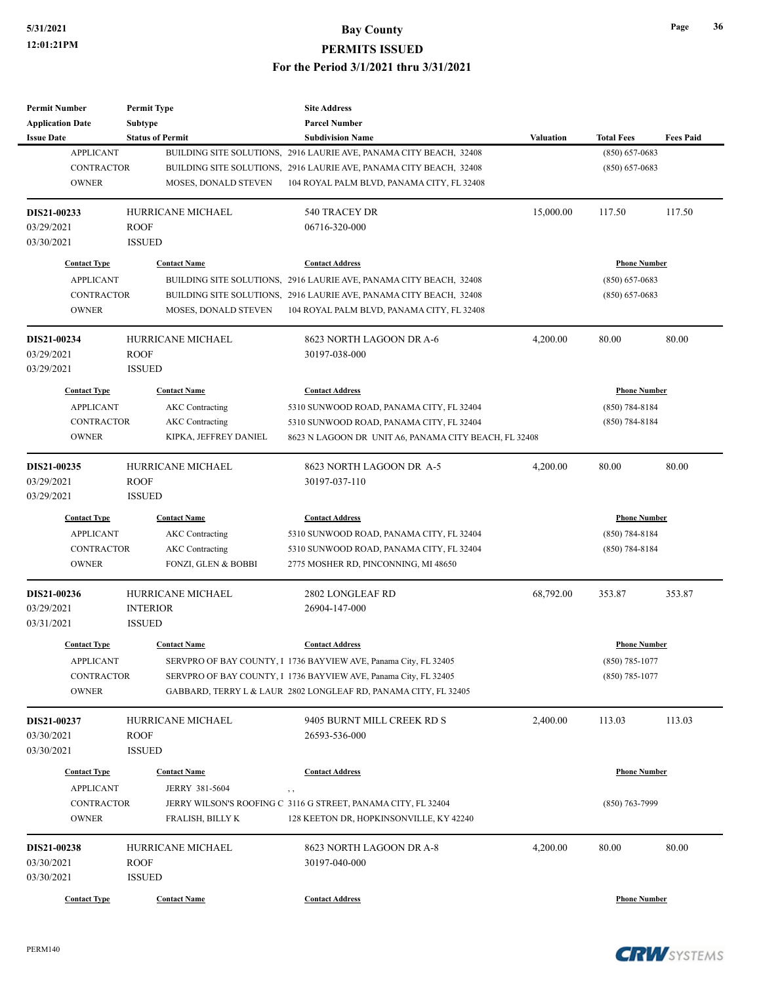| <b>Permit Number</b>    | <b>Permit Type</b>       | <b>Site Address</b>                                                |           |                     |                  |
|-------------------------|--------------------------|--------------------------------------------------------------------|-----------|---------------------|------------------|
| <b>Application Date</b> | Subtype                  | <b>Parcel Number</b>                                               |           |                     |                  |
| <b>Issue Date</b>       | <b>Status of Permit</b>  | <b>Subdivision Name</b>                                            | Valuation | <b>Total Fees</b>   | <b>Fees Paid</b> |
| <b>APPLICANT</b>        |                          | BUILDING SITE SOLUTIONS, 2916 LAURIE AVE, PANAMA CITY BEACH, 32408 |           | $(850) 657 - 0683$  |                  |
| <b>CONTRACTOR</b>       |                          | BUILDING SITE SOLUTIONS, 2916 LAURIE AVE, PANAMA CITY BEACH, 32408 |           | $(850) 657 - 0683$  |                  |
| <b>OWNER</b>            | MOSES, DONALD STEVEN     | 104 ROYAL PALM BLVD, PANAMA CITY, FL 32408                         |           |                     |                  |
| DIS21-00233             | <b>HURRICANE MICHAEL</b> | 540 TRACEY DR                                                      | 15,000.00 | 117.50              | 117.50           |
| 03/29/2021              | <b>ROOF</b>              | 06716-320-000                                                      |           |                     |                  |
| 03/30/2021              | <b>ISSUED</b>            |                                                                    |           |                     |                  |
| <b>Contact Type</b>     | <b>Contact Name</b>      | <b>Contact Address</b>                                             |           | <b>Phone Number</b> |                  |
| <b>APPLICANT</b>        |                          | BUILDING SITE SOLUTIONS, 2916 LAURIE AVE, PANAMA CITY BEACH, 32408 |           | $(850) 657 - 0683$  |                  |
| CONTRACTOR              |                          | BUILDING SITE SOLUTIONS, 2916 LAURIE AVE, PANAMA CITY BEACH, 32408 |           | $(850) 657 - 0683$  |                  |
| <b>OWNER</b>            | MOSES, DONALD STEVEN     | 104 ROYAL PALM BLVD, PANAMA CITY, FL 32408                         |           |                     |                  |
| DIS21-00234             | HURRICANE MICHAEL        | 8623 NORTH LAGOON DR A-6                                           | 4,200.00  | 80.00               | 80.00            |
| 03/29/2021              | <b>ROOF</b>              | 30197-038-000                                                      |           |                     |                  |
| 03/29/2021              | <b>ISSUED</b>            |                                                                    |           |                     |                  |
| <b>Contact Type</b>     | <b>Contact Name</b>      | <b>Contact Address</b>                                             |           | <b>Phone Number</b> |                  |
| <b>APPLICANT</b>        | <b>AKC</b> Contracting   | 5310 SUNWOOD ROAD, PANAMA CITY, FL 32404                           |           | $(850) 784 - 8184$  |                  |
| <b>CONTRACTOR</b>       | <b>AKC</b> Contracting   | 5310 SUNWOOD ROAD, PANAMA CITY, FL 32404                           |           | $(850) 784 - 8184$  |                  |
| <b>OWNER</b>            | KIPKA, JEFFREY DANIEL    | 8623 N LAGOON DR UNIT A6, PANAMA CITY BEACH, FL 32408              |           |                     |                  |
| DIS21-00235             | HURRICANE MICHAEL        | 8623 NORTH LAGOON DR A-5                                           | 4,200.00  | 80.00               | 80.00            |
| 03/29/2021              | <b>ROOF</b>              | 30197-037-110                                                      |           |                     |                  |
| 03/29/2021              | <b>ISSUED</b>            |                                                                    |           |                     |                  |
| <b>Contact Type</b>     | <b>Contact Name</b>      | <b>Contact Address</b>                                             |           | <b>Phone Number</b> |                  |
| <b>APPLICANT</b>        | <b>AKC</b> Contracting   | 5310 SUNWOOD ROAD, PANAMA CITY, FL 32404                           |           | $(850) 784 - 8184$  |                  |
| <b>CONTRACTOR</b>       | <b>AKC</b> Contracting   | 5310 SUNWOOD ROAD, PANAMA CITY, FL 32404                           |           | (850) 784-8184      |                  |
| <b>OWNER</b>            | FONZI, GLEN & BOBBI      | 2775 MOSHER RD, PINCONNING, MI 48650                               |           |                     |                  |
| DIS21-00236             | <b>HURRICANE MICHAEL</b> | 2802 LONGLEAF RD                                                   | 68,792.00 | 353.87              | 353.87           |
| 03/29/2021              | <b>INTERIOR</b>          | 26904-147-000                                                      |           |                     |                  |
| 03/31/2021              | <b>ISSUED</b>            |                                                                    |           |                     |                  |
| <b>Contact Type</b>     | <b>Contact Name</b>      | <b>Contact Address</b>                                             |           | <b>Phone Number</b> |                  |
| <b>APPLICANT</b>        |                          | SERVPRO OF BAY COUNTY, I 1736 BAYVIEW AVE, Panama City, FL 32405   |           | (850) 785-1077      |                  |
| <b>CONTRACTOR</b>       |                          | SERVPRO OF BAY COUNTY, I 1736 BAYVIEW AVE, Panama City, FL 32405   |           | $(850)$ 785-1077    |                  |
| <b>OWNER</b>            |                          | GABBARD, TERRY L & LAUR 2802 LONGLEAF RD, PANAMA CITY, FL 32405    |           |                     |                  |
| DIS21-00237             | <b>HURRICANE MICHAEL</b> | 9405 BURNT MILL CREEK RD S                                         | 2,400.00  | 113.03              | 113.03           |
| 03/30/2021              | ROOF                     | 26593-536-000                                                      |           |                     |                  |
| 03/30/2021              | <b>ISSUED</b>            |                                                                    |           |                     |                  |
| <b>Contact Type</b>     | <b>Contact Name</b>      | <b>Contact Address</b>                                             |           | <b>Phone Number</b> |                  |
| <b>APPLICANT</b>        | JERRY 381-5604           | , ,                                                                |           |                     |                  |
| <b>CONTRACTOR</b>       |                          | JERRY WILSON'S ROOFING C 3116 G STREET, PANAMA CITY, FL 32404      |           | (850) 763-7999      |                  |
| <b>OWNER</b>            | FRALISH, BILLY K         | 128 KEETON DR, HOPKINSONVILLE, KY 42240                            |           |                     |                  |
| DIS21-00238             | HURRICANE MICHAEL        | 8623 NORTH LAGOON DR A-8                                           | 4,200.00  | 80.00               | 80.00            |
| 03/30/2021              | <b>ROOF</b>              | 30197-040-000                                                      |           |                     |                  |
| 03/30/2021              | <b>ISSUED</b>            |                                                                    |           |                     |                  |
| <b>Contact Type</b>     | <b>Contact Name</b>      | <b>Contact Address</b>                                             |           | <b>Phone Number</b> |                  |

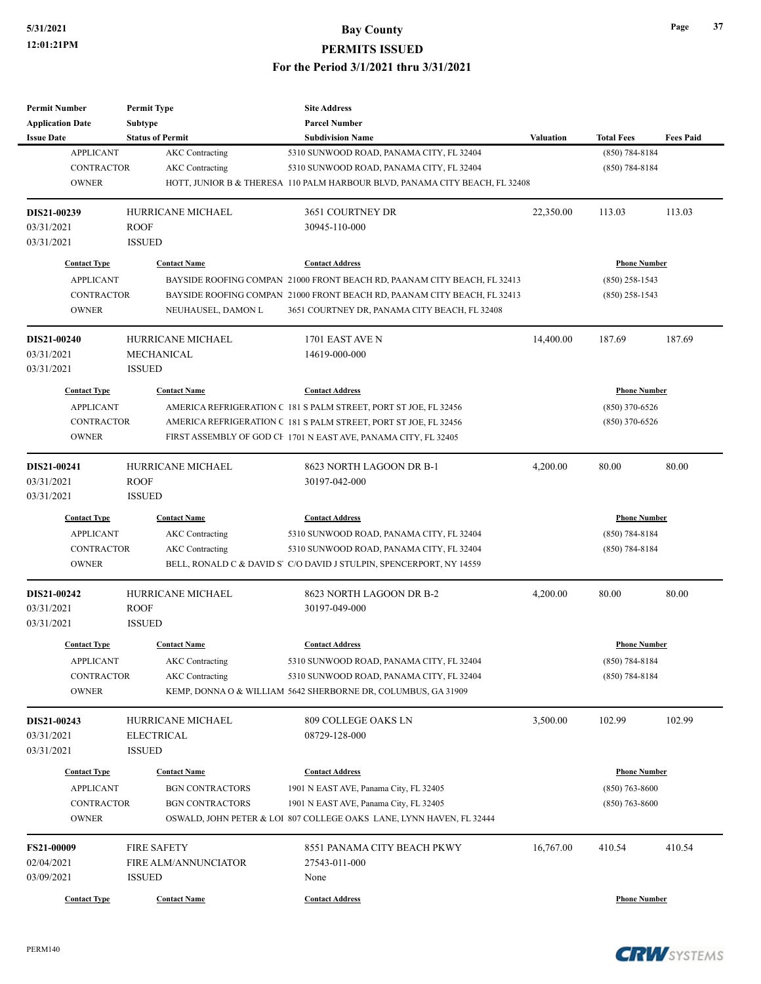| <b>Permit Number</b>    | <b>Permit Type</b>          | <b>Site Address</b>                                                         |                  |                     |                     |  |
|-------------------------|-----------------------------|-----------------------------------------------------------------------------|------------------|---------------------|---------------------|--|
| <b>Application Date</b> | Subtype                     | <b>Parcel Number</b>                                                        |                  |                     |                     |  |
| <b>Issue Date</b>       | <b>Status of Permit</b>     | <b>Subdivision Name</b>                                                     | <b>Valuation</b> | <b>Total Fees</b>   | <b>Fees Paid</b>    |  |
| <b>APPLICANT</b>        | <b>AKC</b> Contracting      | 5310 SUNWOOD ROAD, PANAMA CITY, FL 32404                                    |                  | $(850) 784 - 8184$  |                     |  |
| <b>CONTRACTOR</b>       | <b>AKC</b> Contracting      | 5310 SUNWOOD ROAD, PANAMA CITY, FL 32404                                    |                  | $(850) 784 - 8184$  |                     |  |
| <b>OWNER</b>            |                             | HOTT, JUNIOR B & THERESA 110 PALM HARBOUR BLVD, PANAMA CITY BEACH, FL 32408 |                  |                     |                     |  |
| DIS21-00239             | <b>HURRICANE MICHAEL</b>    | 3651 COURTNEY DR                                                            | 22,350.00        | 113.03              | 113.03              |  |
| 03/31/2021              | <b>ROOF</b>                 | 30945-110-000                                                               |                  |                     |                     |  |
| 03/31/2021              | <b>ISSUED</b>               |                                                                             |                  |                     |                     |  |
| <b>Contact Type</b>     | <b>Contact Name</b>         | <b>Contact Address</b>                                                      |                  | <b>Phone Number</b> |                     |  |
| <b>APPLICANT</b>        |                             | BAYSIDE ROOFING COMPAN 21000 FRONT BEACH RD, PAANAM CITY BEACH, FL 32413    |                  | $(850)$ 258-1543    |                     |  |
| <b>CONTRACTOR</b>       |                             | BAYSIDE ROOFING COMPAN 21000 FRONT BEACH RD, PAANAM CITY BEACH, FL 32413    |                  | (850) 258-1543      |                     |  |
| <b>OWNER</b>            | NEUHAUSEL, DAMON L          | 3651 COURTNEY DR, PANAMA CITY BEACH, FL 32408                               |                  |                     |                     |  |
| DIS21-00240             | <b>HURRICANE MICHAEL</b>    | 1701 EAST AVE N                                                             | 14,400.00        | 187.69              | 187.69              |  |
| 03/31/2021              | MECHANICAL                  | 14619-000-000                                                               |                  |                     |                     |  |
| 03/31/2021              | <b>ISSUED</b>               |                                                                             |                  |                     |                     |  |
| <b>Contact Type</b>     | <b>Contact Name</b>         | <b>Contact Address</b>                                                      |                  | <b>Phone Number</b> |                     |  |
| <b>APPLICANT</b>        |                             | AMERICA REFRIGERATION C 181 S PALM STREET, PORT ST JOE, FL 32456            |                  | (850) 370-6526      |                     |  |
| <b>CONTRACTOR</b>       |                             | AMERICA REFRIGERATION C 181 S PALM STREET, PORT ST JOE, FL 32456            |                  | (850) 370-6526      |                     |  |
| <b>OWNER</b>            |                             | FIRST ASSEMBLY OF GOD CF 1701 N EAST AVE, PANAMA CITY, FL 32405             |                  |                     |                     |  |
| DIS21-00241             | HURRICANE MICHAEL           | 8623 NORTH LAGOON DR B-1                                                    | 4,200.00         | 80.00               | 80.00               |  |
| 03/31/2021              | <b>ROOF</b>                 | 30197-042-000                                                               |                  |                     |                     |  |
| 03/31/2021              | <b>ISSUED</b>               |                                                                             |                  |                     |                     |  |
| <b>Contact Type</b>     | <b>Contact Name</b>         | <b>Contact Address</b>                                                      |                  |                     | <b>Phone Number</b> |  |
| <b>APPLICANT</b>        | <b>AKC</b> Contracting      | 5310 SUNWOOD ROAD, PANAMA CITY, FL 32404                                    |                  | $(850) 784 - 8184$  |                     |  |
| <b>CONTRACTOR</b>       | <b>AKC</b> Contracting      | 5310 SUNWOOD ROAD, PANAMA CITY, FL 32404                                    |                  | (850) 784-8184      |                     |  |
| <b>OWNER</b>            |                             | BELL, RONALD C & DAVID S' C/O DAVID J STULPIN, SPENCERPORT, NY 14559        |                  |                     |                     |  |
| DIS21-00242             | HURRICANE MICHAEL           | 8623 NORTH LAGOON DR B-2                                                    | 4,200.00         | 80.00               | 80.00               |  |
| 03/31/2021              | <b>ROOF</b>                 | 30197-049-000                                                               |                  |                     |                     |  |
| 03/31/2021              | <b>ISSUED</b>               |                                                                             |                  |                     |                     |  |
| <b>Contact Type</b>     | <b>Contact Name</b>         | <b>Contact Address</b>                                                      |                  | <b>Phone Number</b> |                     |  |
| <b>APPLICANT</b>        | <b>AKC</b> Contracting      | 5310 SUNWOOD ROAD, PANAMA CITY, FL 32404                                    |                  | $(850) 784 - 8184$  |                     |  |
| CONTRACTOR              | <b>AKC</b> Contracting      | 5310 SUNWOOD ROAD, PANAMA CITY, FL 32404                                    |                  | $(850)$ 784-8184    |                     |  |
| <b>OWNER</b>            |                             | KEMP, DONNA O & WILLIAM 5642 SHERBORNE DR, COLUMBUS, GA 31909               |                  |                     |                     |  |
| DIS21-00243             | <b>HURRICANE MICHAEL</b>    | 809 COLLEGE OAKS LN                                                         | 3,500.00         | 102.99              | 102.99              |  |
| 03/31/2021              | ELECTRICAL                  | 08729-128-000                                                               |                  |                     |                     |  |
| 03/31/2021              | <b>ISSUED</b>               |                                                                             |                  |                     |                     |  |
| <b>Contact Type</b>     | <b>Contact Name</b>         | <b>Contact Address</b>                                                      |                  | <b>Phone Number</b> |                     |  |
| <b>APPLICANT</b>        | <b>BGN CONTRACTORS</b>      | 1901 N EAST AVE, Panama City, FL 32405                                      |                  | $(850) 763 - 8600$  |                     |  |
| <b>CONTRACTOR</b>       | <b>BGN CONTRACTORS</b>      | 1901 N EAST AVE, Panama City, FL 32405                                      |                  | (850) 763-8600      |                     |  |
| <b>OWNER</b>            |                             | OSWALD, JOHN PETER & LOI 807 COLLEGE OAKS LANE, LYNN HAVEN, FL 32444        |                  |                     |                     |  |
| FS21-00009              | <b>FIRE SAFETY</b>          | 8551 PANAMA CITY BEACH PKWY                                                 | 16,767.00        | 410.54              | 410.54              |  |
| 02/04/2021              | <b>FIRE ALM/ANNUNCIATOR</b> | 27543-011-000                                                               |                  |                     |                     |  |
| 03/09/2021              | <b>ISSUED</b>               | None                                                                        |                  |                     |                     |  |
|                         |                             |                                                                             |                  |                     |                     |  |
| <b>Contact Type</b>     | <b>Contact Name</b>         | <b>Contact Address</b>                                                      |                  | <b>Phone Number</b> |                     |  |

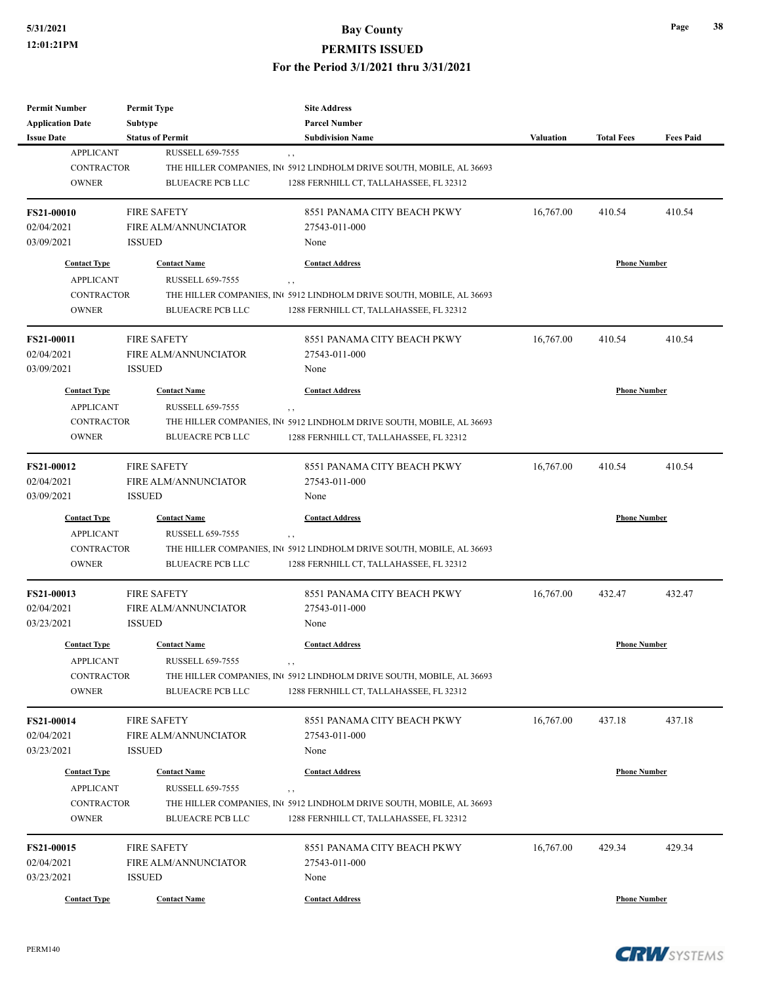#### **PERMITS ISSUED**

| <b>Permit Number</b>    | <b>Permit Type</b>          | <b>Site Address</b>                                                               |                  |                     |                  |
|-------------------------|-----------------------------|-----------------------------------------------------------------------------------|------------------|---------------------|------------------|
| <b>Application Date</b> | Subtype                     | <b>Parcel Number</b>                                                              |                  |                     |                  |
| <b>Issue Date</b>       | <b>Status of Permit</b>     | <b>Subdivision Name</b>                                                           | <b>Valuation</b> | <b>Total Fees</b>   | <b>Fees Paid</b> |
| <b>APPLICANT</b>        | <b>RUSSELL 659-7555</b>     | , ,                                                                               |                  |                     |                  |
| <b>CONTRACTOR</b>       |                             | THE HILLER COMPANIES, INC 5912 LINDHOLM DRIVE SOUTH, MOBILE, AL 36693             |                  |                     |                  |
| <b>OWNER</b>            | <b>BLUEACRE PCB LLC</b>     | 1288 FERNHILL CT, TALLAHASSEE, FL 32312                                           |                  |                     |                  |
| <b>FS21-00010</b>       | <b>FIRE SAFETY</b>          | 8551 PANAMA CITY BEACH PKWY                                                       | 16,767.00        | 410.54              | 410.54           |
| 02/04/2021              | <b>FIRE ALM/ANNUNCIATOR</b> | 27543-011-000                                                                     |                  |                     |                  |
| 03/09/2021              | <b>ISSUED</b>               | None                                                                              |                  |                     |                  |
| <b>Contact Type</b>     | <b>Contact Name</b>         | <b>Contact Address</b>                                                            |                  | <b>Phone Number</b> |                  |
| <b>APPLICANT</b>        | <b>RUSSELL 659-7555</b>     | , ,                                                                               |                  |                     |                  |
| <b>CONTRACTOR</b>       |                             | THE HILLER COMPANIES, IN 5912 LINDHOLM DRIVE SOUTH, MOBILE, AL 36693              |                  |                     |                  |
| <b>OWNER</b>            | <b>BLUEACRE PCB LLC</b>     | 1288 FERNHILL CT, TALLAHASSEE, FL 32312                                           |                  |                     |                  |
| <b>FS21-00011</b>       | <b>FIRE SAFETY</b>          | 8551 PANAMA CITY BEACH PKWY                                                       | 16,767.00        | 410.54              | 410.54           |
| 02/04/2021              | <b>FIRE ALM/ANNUNCIATOR</b> | 27543-011-000                                                                     |                  |                     |                  |
| 03/09/2021              | <b>ISSUED</b>               | None                                                                              |                  |                     |                  |
| <b>Contact Type</b>     | <b>Contact Name</b>         | <b>Contact Address</b>                                                            |                  | <b>Phone Number</b> |                  |
| <b>APPLICANT</b>        | <b>RUSSELL 659-7555</b>     | , ,                                                                               |                  |                     |                  |
| <b>CONTRACTOR</b>       |                             | THE HILLER COMPANIES, IN <sup>(5912</sup> LINDHOLM DRIVE SOUTH, MOBILE, AL 36693) |                  |                     |                  |
| <b>OWNER</b>            | <b>BLUEACRE PCB LLC</b>     | 1288 FERNHILL CT, TALLAHASSEE, FL 32312                                           |                  |                     |                  |
| <b>FS21-00012</b>       | <b>FIRE SAFETY</b>          | 8551 PANAMA CITY BEACH PKWY                                                       | 16,767.00        | 410.54              | 410.54           |
| 02/04/2021              | <b>FIRE ALM/ANNUNCIATOR</b> | 27543-011-000                                                                     |                  |                     |                  |
| 03/09/2021              | <b>ISSUED</b>               | None                                                                              |                  |                     |                  |
| <b>Contact Type</b>     | <b>Contact Name</b>         | <b>Contact Address</b>                                                            |                  | <b>Phone Number</b> |                  |
| <b>APPLICANT</b>        | <b>RUSSELL 659-7555</b>     | , ,                                                                               |                  |                     |                  |
| <b>CONTRACTOR</b>       |                             | THE HILLER COMPANIES, IN <sup>6</sup> 5912 LINDHOLM DRIVE SOUTH, MOBILE, AL 36693 |                  |                     |                  |
| <b>OWNER</b>            | <b>BLUEACRE PCB LLC</b>     | 1288 FERNHILL CT, TALLAHASSEE, FL 32312                                           |                  |                     |                  |
| <b>FS21-00013</b>       | <b>FIRE SAFETY</b>          | 8551 PANAMA CITY BEACH PKWY                                                       | 16,767.00        | 432.47              | 432.47           |
| 02/04/2021              | FIRE ALM/ANNUNCIATOR        | 27543-011-000                                                                     |                  |                     |                  |
| 03/23/2021              | <b>ISSUED</b>               | None                                                                              |                  |                     |                  |
| <b>Contact Type</b>     | <b>Contact Name</b>         | <b>Contact Address</b>                                                            |                  | <b>Phone Number</b> |                  |
| <b>APPLICANT</b>        | RUSSELL 659-7555            |                                                                                   |                  |                     |                  |
| CONTRACTOR              |                             | THE HILLER COMPANIES, IN <sup>6</sup> 5912 LINDHOLM DRIVE SOUTH, MOBILE, AL 36693 |                  |                     |                  |
| <b>OWNER</b>            | <b>BLUEACRE PCB LLC</b>     | 1288 FERNHILL CT, TALLAHASSEE, FL 32312                                           |                  |                     |                  |
| <b>FS21-00014</b>       | <b>FIRE SAFETY</b>          | 8551 PANAMA CITY BEACH PKWY                                                       | 16,767.00        | 437.18              | 437.18           |
| 02/04/2021              | FIRE ALM/ANNUNCIATOR        | 27543-011-000                                                                     |                  |                     |                  |
| 03/23/2021              | <b>ISSUED</b>               | None                                                                              |                  |                     |                  |
| <b>Contact Type</b>     | <b>Contact Name</b>         | <b>Contact Address</b>                                                            |                  | <b>Phone Number</b> |                  |
| <b>APPLICANT</b>        | <b>RUSSELL 659-7555</b>     | , ,                                                                               |                  |                     |                  |
| CONTRACTOR              |                             | THE HILLER COMPANIES, IN( 5912 LINDHOLM DRIVE SOUTH, MOBILE, AL 36693             |                  |                     |                  |
| <b>OWNER</b>            | <b>BLUEACRE PCB LLC</b>     | 1288 FERNHILL CT, TALLAHASSEE, FL 32312                                           |                  |                     |                  |
| FS21-00015              | <b>FIRE SAFETY</b>          | 8551 PANAMA CITY BEACH PKWY                                                       | 16,767.00        | 429.34              | 429.34           |
| 02/04/2021              | <b>FIRE ALM/ANNUNCIATOR</b> | 27543-011-000                                                                     |                  |                     |                  |
| 03/23/2021              | <b>ISSUED</b>               | None                                                                              |                  |                     |                  |
| <b>Contact Type</b>     | <b>Contact Name</b>         | <b>Contact Address</b>                                                            |                  | <b>Phone Number</b> |                  |

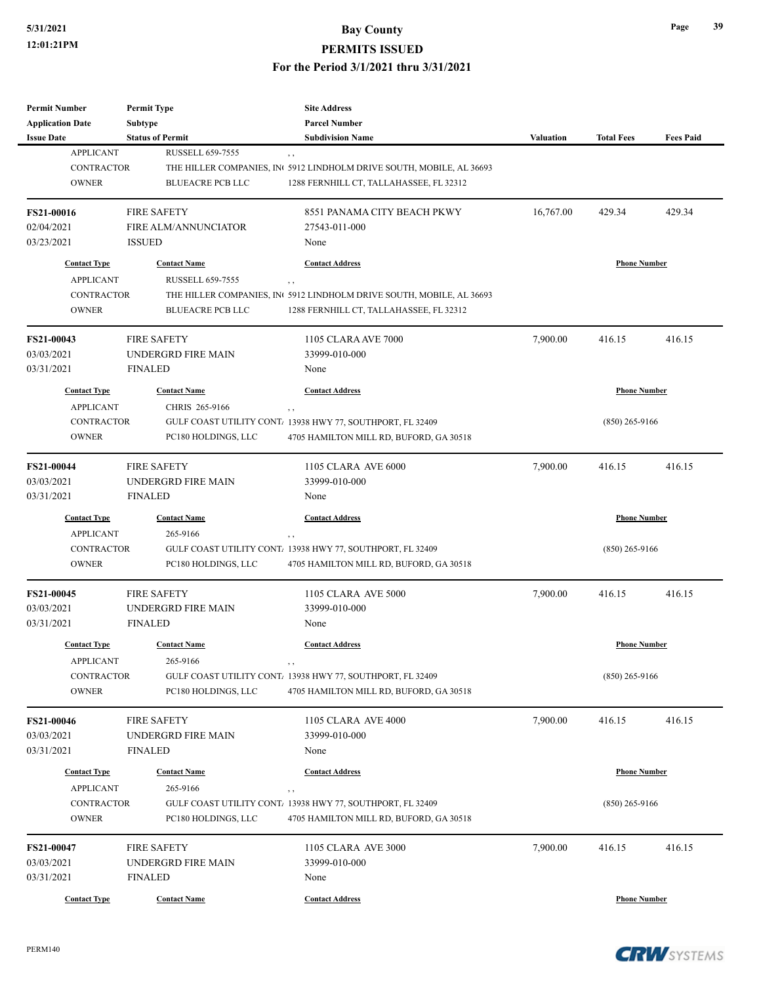#### **PERMITS ISSUED**

#### **For the Period 3/1/2021 thru 3/31/2021**

| <b>Permit Number</b>    | <b>Permit Type</b>          | <b>Site Address</b>                                                   |                  |                     |                  |
|-------------------------|-----------------------------|-----------------------------------------------------------------------|------------------|---------------------|------------------|
| <b>Application Date</b> | <b>Subtype</b>              | <b>Parcel Number</b>                                                  |                  |                     |                  |
| <b>Issue Date</b>       | <b>Status of Permit</b>     | <b>Subdivision Name</b>                                               | <b>Valuation</b> | <b>Total Fees</b>   | <b>Fees Paid</b> |
| <b>APPLICANT</b>        | <b>RUSSELL 659-7555</b>     | , ,                                                                   |                  |                     |                  |
| <b>CONTRACTOR</b>       |                             | THE HILLER COMPANIES, INC 5912 LINDHOLM DRIVE SOUTH, MOBILE, AL 36693 |                  |                     |                  |
| <b>OWNER</b>            | <b>BLUEACRE PCB LLC</b>     | 1288 FERNHILL CT, TALLAHASSEE, FL 32312                               |                  |                     |                  |
| <b>FS21-00016</b>       | <b>FIRE SAFETY</b>          | 8551 PANAMA CITY BEACH PKWY                                           | 16,767.00        | 429.34              | 429.34           |
| 02/04/2021              | <b>FIRE ALM/ANNUNCIATOR</b> | 27543-011-000                                                         |                  |                     |                  |
| 03/23/2021              | <b>ISSUED</b>               | None                                                                  |                  |                     |                  |
| <b>Contact Type</b>     | <b>Contact Name</b>         | <b>Contact Address</b>                                                |                  | <b>Phone Number</b> |                  |
| <b>APPLICANT</b>        | <b>RUSSELL 659-7555</b>     | , ,                                                                   |                  |                     |                  |
| <b>CONTRACTOR</b>       |                             | THE HILLER COMPANIES, IN 5912 LINDHOLM DRIVE SOUTH, MOBILE, AL 36693  |                  |                     |                  |
| <b>OWNER</b>            | <b>BLUEACRE PCB LLC</b>     | 1288 FERNHILL CT, TALLAHASSEE, FL 32312                               |                  |                     |                  |
| FS21-00043              | <b>FIRE SAFETY</b>          | 1105 CLARA AVE 7000                                                   | 7,900.00         | 416.15              | 416.15           |
| 03/03/2021              | UNDERGRD FIRE MAIN          | 33999-010-000                                                         |                  |                     |                  |
| 03/31/2021              | <b>FINALED</b>              | None                                                                  |                  |                     |                  |
| <b>Contact Type</b>     | <b>Contact Name</b>         | <b>Contact Address</b>                                                |                  | <b>Phone Number</b> |                  |
| <b>APPLICANT</b>        | CHRIS 265-9166              | , ,                                                                   |                  |                     |                  |
| <b>CONTRACTOR</b>       |                             | GULF COAST UTILITY CONT. 13938 HWY 77, SOUTHPORT, FL 32409            |                  | $(850)$ 265-9166    |                  |
| <b>OWNER</b>            | PC180 HOLDINGS, LLC         | 4705 HAMILTON MILL RD, BUFORD, GA 30518                               |                  |                     |                  |
|                         |                             |                                                                       |                  |                     |                  |
| <b>FS21-00044</b>       | <b>FIRE SAFETY</b>          | 1105 CLARA AVE 6000                                                   | 7,900.00         | 416.15              | 416.15           |
| 03/03/2021              | UNDERGRD FIRE MAIN          | 33999-010-000                                                         |                  |                     |                  |
| 03/31/2021              | <b>FINALED</b>              | None                                                                  |                  |                     |                  |
| <b>Contact Type</b>     | <b>Contact Name</b>         | <b>Contact Address</b>                                                |                  | <b>Phone Number</b> |                  |
| <b>APPLICANT</b>        | 265-9166                    | , ,                                                                   |                  |                     |                  |
| <b>CONTRACTOR</b>       |                             | GULF COAST UTILITY CONT. 13938 HWY 77, SOUTHPORT, FL 32409            |                  | $(850)$ 265-9166    |                  |
| <b>OWNER</b>            | PC180 HOLDINGS, LLC         | 4705 HAMILTON MILL RD, BUFORD, GA 30518                               |                  |                     |                  |
| <b>FS21-00045</b>       | <b>FIRE SAFETY</b>          | 1105 CLARA AVE 5000                                                   | 7,900.00         | 416.15              | 416.15           |
| 03/03/2021              | UNDERGRD FIRE MAIN          | 33999-010-000                                                         |                  |                     |                  |
| 03/31/2021              | <b>FINALED</b>              | None                                                                  |                  |                     |                  |
| <b>Contact Type</b>     | <b>Contact Name</b>         | <b>Contact Address</b>                                                |                  | <b>Phone Number</b> |                  |
| <b>APPLICANT</b>        | 265-9166                    |                                                                       |                  |                     |                  |
| <b>CONTRACTOR</b>       |                             | GULF COAST UTILITY CONT. 13938 HWY 77, SOUTHPORT, FL 32409            |                  | $(850)$ 265-9166    |                  |
| <b>OWNER</b>            | PC180 HOLDINGS, LLC         | 4705 HAMILTON MILL RD, BUFORD, GA 30518                               |                  |                     |                  |
| <b>FS21-00046</b>       | <b>FIRE SAFETY</b>          | 1105 CLARA AVE 4000                                                   | 7,900.00         | 416.15              | 416.15           |
| 03/03/2021              | UNDERGRD FIRE MAIN          | 33999-010-000                                                         |                  |                     |                  |
| 03/31/2021              | <b>FINALED</b>              | None                                                                  |                  |                     |                  |
| <b>Contact Type</b>     | <b>Contact Name</b>         | <b>Contact Address</b>                                                |                  | <b>Phone Number</b> |                  |
| <b>APPLICANT</b>        | 265-9166                    | , ,                                                                   |                  |                     |                  |
| <b>CONTRACTOR</b>       |                             | GULF COAST UTILITY CONT. 13938 HWY 77, SOUTHPORT, FL 32409            |                  | $(850)$ 265-9166    |                  |
| <b>OWNER</b>            | PC180 HOLDINGS, LLC         | 4705 HAMILTON MILL RD, BUFORD, GA 30518                               |                  |                     |                  |
| <b>FS21-00047</b>       | <b>FIRE SAFETY</b>          | 1105 CLARA AVE 3000                                                   | 7,900.00         | 416.15              | 416.15           |
| 03/03/2021              | UNDERGRD FIRE MAIN          | 33999-010-000                                                         |                  |                     |                  |
| 03/31/2021              | <b>FINALED</b>              | None                                                                  |                  |                     |                  |
| <b>Contact Type</b>     | <b>Contact Name</b>         | <b>Contact Address</b>                                                |                  | <b>Phone Number</b> |                  |

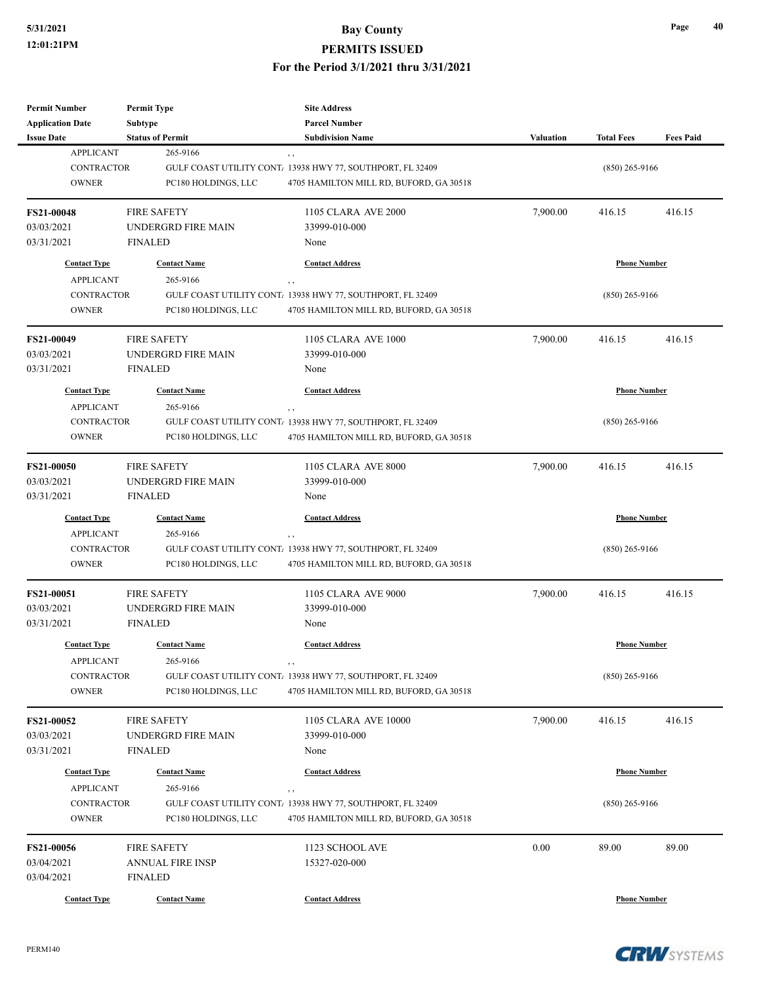| <b>Permit Number</b>           | <b>Permit Type</b>      | <b>Site Address</b>                                               |                  |                     |                  |
|--------------------------------|-------------------------|-------------------------------------------------------------------|------------------|---------------------|------------------|
| <b>Application Date</b>        | Subtype                 | <b>Parcel Number</b>                                              |                  |                     |                  |
| <b>Issue Date</b>              | <b>Status of Permit</b> | <b>Subdivision Name</b>                                           | <b>Valuation</b> | <b>Total Fees</b>   | <b>Fees Paid</b> |
| <b>APPLICANT</b>               | 265-9166                | $, \, , \,$                                                       |                  |                     |                  |
| <b>CONTRACTOR</b>              |                         | GULF COAST UTILITY CONT. 13938 HWY 77, SOUTHPORT, FL 32409        |                  | $(850)$ 265-9166    |                  |
| <b>OWNER</b>                   | PC180 HOLDINGS, LLC     | 4705 HAMILTON MILL RD, BUFORD, GA 30518                           |                  |                     |                  |
| <b>FS21-00048</b>              | <b>FIRE SAFETY</b>      | 1105 CLARA AVE 2000                                               | 7,900.00         | 416.15              | 416.15           |
| 03/03/2021                     | UNDERGRD FIRE MAIN      | 33999-010-000                                                     |                  |                     |                  |
| 03/31/2021                     | <b>FINALED</b>          | None                                                              |                  |                     |                  |
| <b>Contact Type</b>            | <b>Contact Name</b>     | <b>Contact Address</b>                                            |                  | <b>Phone Number</b> |                  |
| <b>APPLICANT</b>               | 265-9166                | , ,                                                               |                  |                     |                  |
| <b>CONTRACTOR</b>              |                         | GULF COAST UTILITY CONT. 13938 HWY 77, SOUTHPORT, FL 32409        |                  | $(850)$ 265-9166    |                  |
| <b>OWNER</b>                   | PC180 HOLDINGS, LLC     | 4705 HAMILTON MILL RD, BUFORD, GA 30518                           |                  |                     |                  |
| <b>FS21-00049</b>              | <b>FIRE SAFETY</b>      | 1105 CLARA AVE 1000                                               | 7,900.00         | 416.15              | 416.15           |
| 03/03/2021                     | UNDERGRD FIRE MAIN      | 33999-010-000                                                     |                  |                     |                  |
| 03/31/2021                     | <b>FINALED</b>          | None                                                              |                  |                     |                  |
| <b>Contact Type</b>            | <b>Contact Name</b>     | <b>Contact Address</b>                                            |                  | <b>Phone Number</b> |                  |
| <b>APPLICANT</b>               | 265-9166                |                                                                   |                  |                     |                  |
| <b>CONTRACTOR</b>              |                         | , ,<br>GULF COAST UTILITY CONT. 13938 HWY 77, SOUTHPORT, FL 32409 |                  | $(850)$ 265-9166    |                  |
| <b>OWNER</b>                   | PC180 HOLDINGS, LLC     | 4705 HAMILTON MILL RD, BUFORD, GA 30518                           |                  |                     |                  |
|                                |                         |                                                                   |                  |                     |                  |
| <b>FS21-00050</b>              | <b>FIRE SAFETY</b>      | 1105 CLARA AVE 8000                                               | 7,900.00         | 416.15              | 416.15           |
| 03/03/2021                     | UNDERGRD FIRE MAIN      | 33999-010-000                                                     |                  |                     |                  |
| 03/31/2021                     | <b>FINALED</b>          | None                                                              |                  |                     |                  |
| <b>Contact Type</b>            | <b>Contact Name</b>     | <b>Contact Address</b>                                            |                  | <b>Phone Number</b> |                  |
| <b>APPLICANT</b>               | 265-9166                | $, \, ,$                                                          |                  |                     |                  |
| <b>CONTRACTOR</b>              |                         | GULF COAST UTILITY CONT. 13938 HWY 77, SOUTHPORT, FL 32409        |                  | $(850)$ 265-9166    |                  |
| <b>OWNER</b>                   | PC180 HOLDINGS, LLC     | 4705 HAMILTON MILL RD, BUFORD, GA 30518                           |                  |                     |                  |
| <b>FS21-00051</b>              | <b>FIRE SAFETY</b>      | 1105 CLARA AVE 9000                                               | 7,900.00         | 416.15              | 416.15           |
| 03/03/2021                     | UNDERGRD FIRE MAIN      | 33999-010-000                                                     |                  |                     |                  |
| 03/31/2021                     | <b>FINALED</b>          | None                                                              |                  |                     |                  |
| <b>Contact Type</b>            | <b>Contact Name</b>     | <b>Contact Address</b>                                            |                  | <b>Phone Number</b> |                  |
|                                |                         |                                                                   |                  |                     |                  |
| <b>APPLICANT</b><br>CONTRACTOR | 265-9166                | GULF COAST UTILITY CONT. 13938 HWY 77, SOUTHPORT, FL 32409        |                  | $(850)$ 265-9166    |                  |
| <b>OWNER</b>                   | PC180 HOLDINGS, LLC     | 4705 HAMILTON MILL RD, BUFORD, GA 30518                           |                  |                     |                  |
|                                |                         |                                                                   |                  |                     |                  |
| <b>FS21-00052</b>              | <b>FIRE SAFETY</b>      | 1105 CLARA AVE 10000                                              | 7,900.00         | 416.15              | 416.15           |
| 03/03/2021                     | UNDERGRD FIRE MAIN      | 33999-010-000                                                     |                  |                     |                  |
| 03/31/2021                     | FINALED                 | None                                                              |                  |                     |                  |
| <b>Contact Type</b>            | <b>Contact Name</b>     | <b>Contact Address</b>                                            |                  | <b>Phone Number</b> |                  |
| <b>APPLICANT</b>               | 265-9166                | $, \, , \,$                                                       |                  |                     |                  |
| <b>CONTRACTOR</b>              |                         | GULF COAST UTILITY CONT. 13938 HWY 77, SOUTHPORT, FL 32409        |                  | $(850)$ 265-9166    |                  |
| <b>OWNER</b>                   | PC180 HOLDINGS, LLC     | 4705 HAMILTON MILL RD, BUFORD, GA 30518                           |                  |                     |                  |
|                                |                         |                                                                   |                  |                     |                  |
| FS21-00056                     | <b>FIRE SAFETY</b>      | 1123 SCHOOL AVE                                                   | 0.00             | 89.00               | 89.00            |
| 03/04/2021<br>03/04/2021       | <b>ANNUAL FIRE INSP</b> | 15327-020-000                                                     |                  |                     |                  |
|                                | <b>FINALED</b>          |                                                                   |                  |                     |                  |
| <b>Contact Type</b>            | <b>Contact Name</b>     | <b>Contact Address</b>                                            |                  | <b>Phone Number</b> |                  |



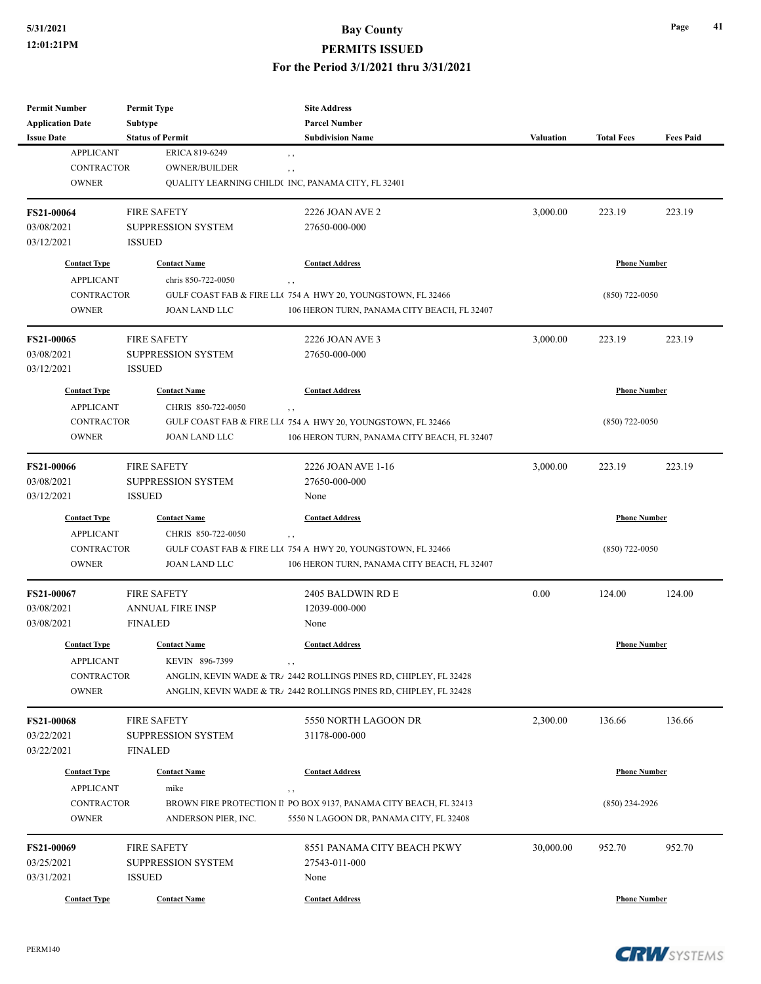#### **PERMITS ISSUED**

| <b>Permit Number</b>     | <b>Permit Type</b>                       | <b>Site Address</b>                                                      |           |                     |                  |
|--------------------------|------------------------------------------|--------------------------------------------------------------------------|-----------|---------------------|------------------|
| <b>Application Date</b>  | Subtype                                  | <b>Parcel Number</b>                                                     |           |                     |                  |
| <b>Issue Date</b>        | <b>Status of Permit</b>                  | <b>Subdivision Name</b>                                                  | Valuation | <b>Total Fees</b>   | <b>Fees Paid</b> |
| <b>APPLICANT</b>         | ERICA 819-6249                           | $, \, \cdot$                                                             |           |                     |                  |
| <b>CONTRACTOR</b>        | <b>OWNER/BUILDER</b>                     | $, \, , \,$                                                              |           |                     |                  |
| <b>OWNER</b>             |                                          | QUALITY LEARNING CHILD( INC, PANAMA CITY, FL 32401                       |           |                     |                  |
| FS21-00064               | <b>FIRE SAFETY</b>                       | 2226 JOAN AVE 2                                                          | 3,000.00  | 223.19              | 223.19           |
| 03/08/2021               | <b>SUPPRESSION SYSTEM</b>                | 27650-000-000                                                            |           |                     |                  |
| 03/12/2021               | <b>ISSUED</b>                            |                                                                          |           |                     |                  |
| <b>Contact Type</b>      | <b>Contact Name</b>                      | <b>Contact Address</b>                                                   |           | <b>Phone Number</b> |                  |
| <b>APPLICANT</b>         | chris 850-722-0050                       | $, \, ,$                                                                 |           |                     |                  |
| <b>CONTRACTOR</b>        |                                          | GULF COAST FAB & FIRE LL(754 A HWY 20, YOUNGSTOWN, FL 32466              |           | $(850)$ 722-0050    |                  |
| <b>OWNER</b>             | <b>JOAN LAND LLC</b>                     | 106 HERON TURN, PANAMA CITY BEACH, FL 32407                              |           |                     |                  |
| <b>FS21-00065</b>        | <b>FIRE SAFETY</b>                       | 2226 JOAN AVE 3                                                          | 3,000.00  | 223.19              | 223.19           |
| 03/08/2021               | <b>SUPPRESSION SYSTEM</b>                | 27650-000-000                                                            |           |                     |                  |
| 03/12/2021               | <b>ISSUED</b>                            |                                                                          |           |                     |                  |
| <b>Contact Type</b>      | <b>Contact Name</b>                      | <b>Contact Address</b>                                                   |           | <b>Phone Number</b> |                  |
| <b>APPLICANT</b>         | CHRIS 850-722-0050                       | , ,                                                                      |           |                     |                  |
| <b>CONTRACTOR</b>        |                                          | GULF COAST FAB & FIRE LL(754 A HWY 20, YOUNGSTOWN, FL 32466              |           | $(850)$ 722-0050    |                  |
| <b>OWNER</b>             | <b>JOAN LAND LLC</b>                     | 106 HERON TURN, PANAMA CITY BEACH, FL 32407                              |           |                     |                  |
| <b>FS21-00066</b>        | <b>FIRE SAFETY</b>                       | 2226 JOAN AVE 1-16                                                       | 3,000.00  | 223.19              | 223.19           |
| 03/08/2021               | <b>SUPPRESSION SYSTEM</b>                | 27650-000-000                                                            |           |                     |                  |
| 03/12/2021               | <b>ISSUED</b>                            | None                                                                     |           |                     |                  |
| <b>Contact Type</b>      | <b>Contact Name</b>                      | <b>Contact Address</b>                                                   |           | <b>Phone Number</b> |                  |
| <b>APPLICANT</b>         | CHRIS 850-722-0050                       | , ,                                                                      |           |                     |                  |
| <b>CONTRACTOR</b>        |                                          | GULF COAST FAB & FIRE LL( 754 A HWY 20, YOUNGSTOWN, FL 32466             |           | $(850)$ 722-0050    |                  |
| <b>OWNER</b>             | <b>JOAN LAND LLC</b>                     | 106 HERON TURN, PANAMA CITY BEACH, FL 32407                              |           |                     |                  |
| <b>FS21-00067</b>        | <b>FIRE SAFETY</b>                       | 2405 BALDWIN RD E                                                        | 0.00      | 124.00              | 124.00           |
| 03/08/2021               | <b>ANNUAL FIRE INSP</b>                  | 12039-000-000                                                            |           |                     |                  |
| 03/08/2021               | <b>FINALED</b>                           | None                                                                     |           |                     |                  |
| <b>Contact Type</b>      | <b>Contact Name</b>                      | <b>Contact Address</b>                                                   |           | <b>Phone Number</b> |                  |
| <b>APPLICANT</b>         | KEVIN 896-7399                           | , ,                                                                      |           |                     |                  |
| <b>CONTRACTOR</b>        |                                          | ANGLIN, KEVIN WADE & TRA 2442 ROLLINGS PINES RD, CHIPLEY, FL 32428       |           |                     |                  |
| <b>OWNER</b>             |                                          | ANGLIN, KEVIN WADE & TR/ 2442 ROLLINGS PINES RD, CHIPLEY, FL 32428       |           |                     |                  |
| <b>FS21-00068</b>        | <b>FIRE SAFETY</b>                       | 5550 NORTH LAGOON DR                                                     | 2,300.00  | 136.66              | 136.66           |
| 03/22/2021               | <b>SUPPRESSION SYSTEM</b>                | 31178-000-000                                                            |           |                     |                  |
| 03/22/2021               | FINALED                                  |                                                                          |           |                     |                  |
| <b>Contact Type</b>      | <b>Contact Name</b>                      | <b>Contact Address</b>                                                   |           | <b>Phone Number</b> |                  |
| <b>APPLICANT</b>         | mike                                     |                                                                          |           |                     |                  |
| CONTRACTOR               |                                          | , ,<br>BROWN FIRE PROTECTION II PO BOX 9137, PANAMA CITY BEACH, FL 32413 |           | $(850)$ 234-2926    |                  |
| <b>OWNER</b>             | ANDERSON PIER, INC.                      | 5550 N LAGOON DR, PANAMA CITY, FL 32408                                  |           |                     |                  |
|                          |                                          |                                                                          |           |                     |                  |
| FS21-00069               | <b>FIRE SAFETY</b><br>SUPPRESSION SYSTEM | 8551 PANAMA CITY BEACH PKWY                                              | 30,000.00 | 952.70              | 952.70           |
| 03/25/2021<br>03/31/2021 | <b>ISSUED</b>                            | 27543-011-000<br>None                                                    |           |                     |                  |
|                          |                                          |                                                                          |           |                     |                  |
| <b>Contact Type</b>      | <b>Contact Name</b>                      | <b>Contact Address</b>                                                   |           | <b>Phone Number</b> |                  |

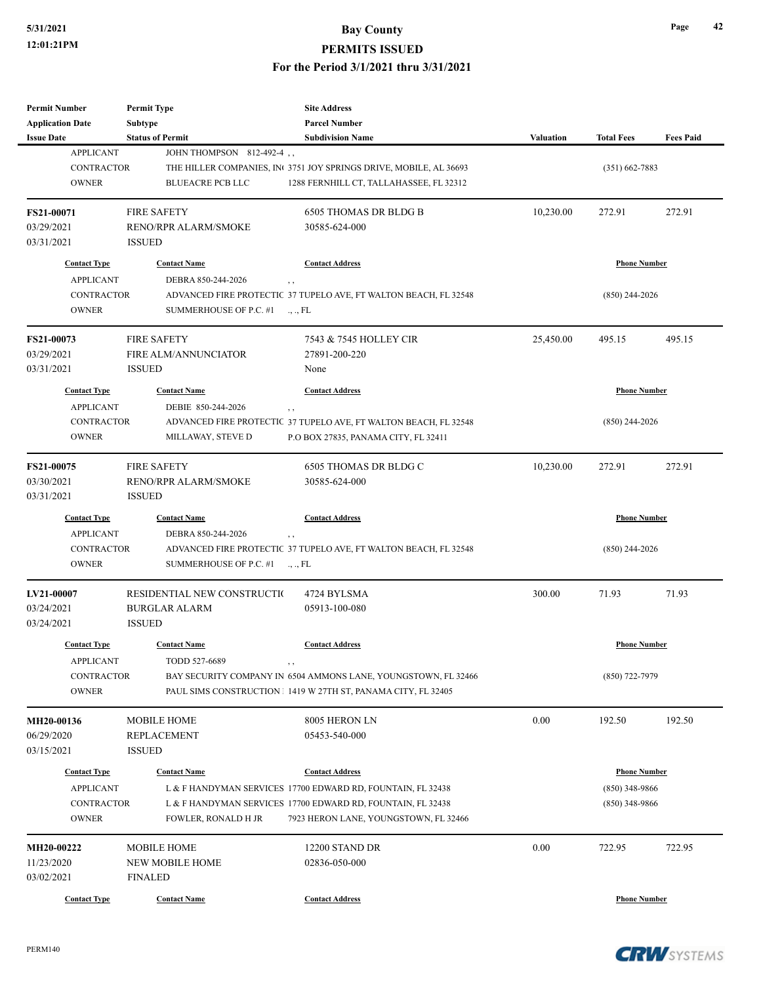# **5/31/2021 Bay County PERMITS ISSUED**

| Permit Number<br><b>Application Date</b> | <b>Permit Type</b><br>Subtype | <b>Site Address</b><br><b>Parcel Number</b>                        |           |                     |                  |
|------------------------------------------|-------------------------------|--------------------------------------------------------------------|-----------|---------------------|------------------|
| <b>Issue Date</b>                        | <b>Status of Permit</b>       | <b>Subdivision Name</b>                                            | Valuation | <b>Total Fees</b>   | <b>Fees Paid</b> |
| <b>APPLICANT</b>                         | JOHN THOMPSON 812-492-4,      |                                                                    |           |                     |                  |
| <b>CONTRACTOR</b>                        |                               | THE HILLER COMPANIES, IN: 3751 JOY SPRINGS DRIVE, MOBILE, AL 36693 |           | $(351) 662 - 7883$  |                  |
| <b>OWNER</b>                             | <b>BLUEACRE PCB LLC</b>       | 1288 FERNHILL CT, TALLAHASSEE, FL 32312                            |           |                     |                  |
|                                          |                               |                                                                    |           |                     |                  |
| <b>FS21-00071</b>                        | <b>FIRE SAFETY</b>            | 6505 THOMAS DR BLDG B                                              | 10,230.00 | 272.91              | 272.91           |
| 03/29/2021                               | RENO/RPR ALARM/SMOKE          | 30585-624-000                                                      |           |                     |                  |
| 03/31/2021                               | <b>ISSUED</b>                 |                                                                    |           |                     |                  |
| <b>Contact Type</b>                      | <b>Contact Name</b>           | <b>Contact Address</b>                                             |           | <b>Phone Number</b> |                  |
| <b>APPLICANT</b>                         | DEBRA 850-244-2026            |                                                                    |           |                     |                  |
| <b>CONTRACTOR</b>                        |                               | ADVANCED FIRE PROTECTIC 37 TUPELO AVE, FT WALTON BEACH, FL 32548   |           | $(850)$ 244-2026    |                  |
| <b>OWNER</b>                             | SUMMERHOUSE OF P.C. #1        | $\cdot$ , $\cdot$ , FL                                             |           |                     |                  |
|                                          |                               |                                                                    |           |                     |                  |
| FS21-00073                               | <b>FIRE SAFETY</b>            | 7543 & 7545 HOLLEY CIR                                             | 25,450.00 | 495.15              | 495.15           |
| 03/29/2021                               | <b>FIRE ALM/ANNUNCIATOR</b>   | 27891-200-220                                                      |           |                     |                  |
| 03/31/2021                               | <b>ISSUED</b>                 | None                                                               |           |                     |                  |
| <b>Contact Type</b>                      | <b>Contact Name</b>           | <b>Contact Address</b>                                             |           | <b>Phone Number</b> |                  |
| <b>APPLICANT</b>                         | DEBIE 850-244-2026            | , ,                                                                |           |                     |                  |
| <b>CONTRACTOR</b>                        |                               | ADVANCED FIRE PROTECTIC 37 TUPELO AVE, FT WALTON BEACH, FL 32548   |           | $(850)$ 244-2026    |                  |
| <b>OWNER</b>                             | MILLAWAY, STEVE D             | P.O BOX 27835, PANAMA CITY, FL 32411                               |           |                     |                  |
|                                          |                               |                                                                    |           |                     |                  |
| FS21-00075                               | <b>FIRE SAFETY</b>            | 6505 THOMAS DR BLDG C                                              | 10,230.00 | 272.91              | 272.91           |
| 03/30/2021                               | RENO/RPR ALARM/SMOKE          | 30585-624-000                                                      |           |                     |                  |
| 03/31/2021                               | <b>ISSUED</b>                 |                                                                    |           |                     |                  |
| <b>Contact Type</b>                      | <b>Contact Name</b>           | <b>Contact Address</b>                                             |           | <b>Phone Number</b> |                  |
| <b>APPLICANT</b>                         | DEBRA 850-244-2026            | , ,                                                                |           |                     |                  |
| <b>CONTRACTOR</b>                        |                               | ADVANCED FIRE PROTECTIC 37 TUPELO AVE, FT WALTON BEACH, FL 32548   |           | $(850)$ 244-2026    |                  |
| <b>OWNER</b>                             | SUMMERHOUSE OF P.C. #1        | $\ldots$ , FL                                                      |           |                     |                  |
|                                          |                               |                                                                    |           |                     |                  |
| LV21-00007                               | RESIDENTIAL NEW CONSTRUCTIO   | 4724 BYLSMA                                                        | 300.00    | 71.93               | 71.93            |
| 03/24/2021                               | <b>BURGLAR ALARM</b>          | 05913-100-080                                                      |           |                     |                  |
| 03/24/2021                               | <b>ISSUED</b>                 |                                                                    |           |                     |                  |
| <b>Contact Type</b>                      | <b>Contact Name</b>           | <b>Contact Address</b>                                             |           | <b>Phone Number</b> |                  |
| APPLICANT                                | TODD 527-6689                 |                                                                    |           |                     |                  |
| CONTRACTOR                               |                               | BAY SECURITY COMPANY IN 6504 AMMONS LANE, YOUNGSTOWN, FL 32466     |           | $(850)$ 722-7979    |                  |
| <b>OWNER</b>                             |                               | PAUL SIMS CONSTRUCTION 1 1419 W 27TH ST, PANAMA CITY, FL 32405     |           |                     |                  |
|                                          |                               |                                                                    |           |                     |                  |
| MH20-00136                               | MOBILE HOME                   | 8005 HERON LN                                                      | 0.00      | 192.50              | 192.50           |
| 06/29/2020                               | <b>REPLACEMENT</b>            | 05453-540-000                                                      |           |                     |                  |
| 03/15/2021                               | <b>ISSUED</b>                 |                                                                    |           |                     |                  |
| <b>Contact Type</b>                      | <b>Contact Name</b>           | <b>Contact Address</b>                                             |           | <b>Phone Number</b> |                  |
| <b>APPLICANT</b>                         |                               | L & F HANDYMAN SERVICES 17700 EDWARD RD, FOUNTAIN, FL 32438        |           | $(850)$ 348-9866    |                  |
| <b>CONTRACTOR</b>                        |                               | L & F HANDYMAN SERVICES 17700 EDWARD RD, FOUNTAIN, FL 32438        |           | $(850)$ 348-9866    |                  |
| <b>OWNER</b>                             | <b>FOWLER, RONALD H JR</b>    | 7923 HERON LANE, YOUNGSTOWN, FL 32466                              |           |                     |                  |
|                                          |                               |                                                                    |           |                     |                  |
| MH20-00222                               | <b>MOBILE HOME</b>            | 12200 STAND DR                                                     | 0.00      | 722.95              | 722.95           |
| 11/23/2020                               | NEW MOBILE HOME               | 02836-050-000                                                      |           |                     |                  |
| 03/02/2021                               | <b>FINALED</b>                |                                                                    |           |                     |                  |
| <b>Contact Type</b>                      | <b>Contact Name</b>           | <b>Contact Address</b>                                             |           | <b>Phone Number</b> |                  |



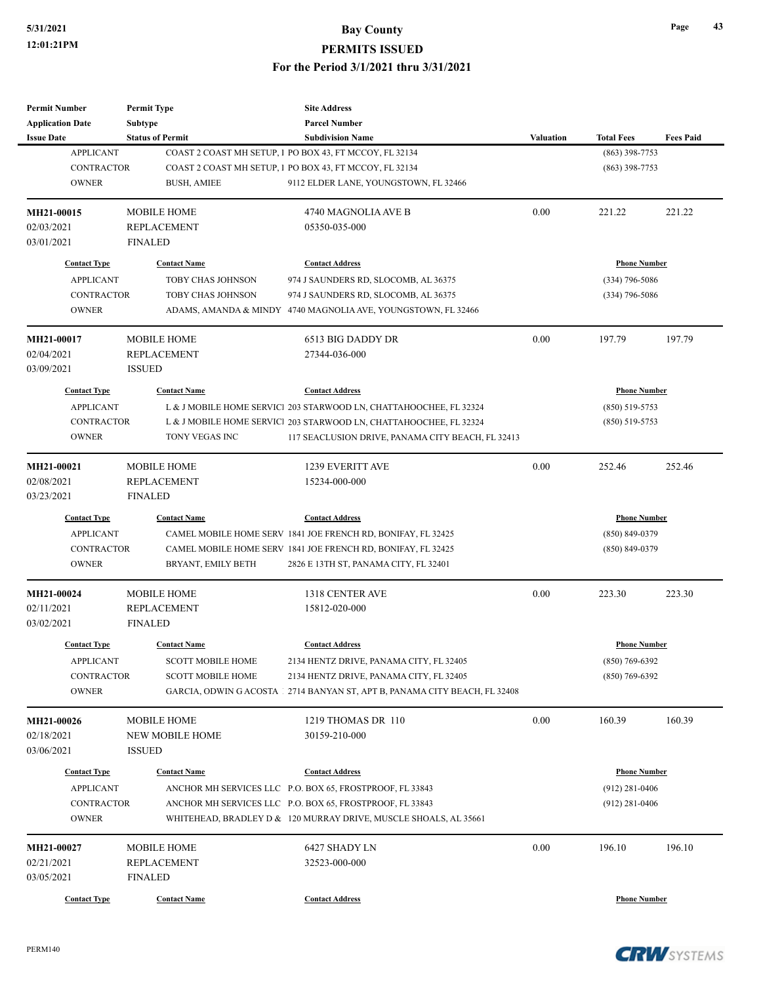| <b>Permit Number</b>                    | <b>Permit Type</b>       | <b>Site Address</b>                                                                |                  |                                         |                  |
|-----------------------------------------|--------------------------|------------------------------------------------------------------------------------|------------------|-----------------------------------------|------------------|
| <b>Application Date</b>                 | <b>Subtype</b>           | <b>Parcel Number</b>                                                               |                  |                                         |                  |
| <b>Issue Date</b>                       | <b>Status of Permit</b>  | <b>Subdivision Name</b>                                                            | <b>Valuation</b> | <b>Total Fees</b>                       | <b>Fees Paid</b> |
| <b>APPLICANT</b>                        |                          | COAST 2 COAST MH SETUP, 1 PO BOX 43, FT MCCOY, FL 32134                            |                  | $(863)$ 398-7753                        |                  |
| <b>CONTRACTOR</b>                       |                          | COAST 2 COAST MH SETUP, 1 PO BOX 43, FT MCCOY, FL 32134                            |                  | $(863)$ 398-7753                        |                  |
| <b>OWNER</b>                            | <b>BUSH, AMIEE</b>       | 9112 ELDER LANE, YOUNGSTOWN, FL 32466                                              |                  |                                         |                  |
| MH21-00015                              | <b>MOBILE HOME</b>       | 4740 MAGNOLIA AVE B                                                                | 0.00             | 221.22                                  | 221.22           |
| 02/03/2021                              | <b>REPLACEMENT</b>       | 05350-035-000                                                                      |                  |                                         |                  |
| 03/01/2021                              | <b>FINALED</b>           |                                                                                    |                  |                                         |                  |
| <b>Contact Type</b>                     | <b>Contact Name</b>      | <b>Contact Address</b>                                                             |                  | <b>Phone Number</b>                     |                  |
| <b>APPLICANT</b>                        | TOBY CHAS JOHNSON        | 974 J SAUNDERS RD, SLOCOMB, AL 36375                                               |                  | $(334)$ 796-5086                        |                  |
| <b>CONTRACTOR</b>                       | TOBY CHAS JOHNSON        | 974 J SAUNDERS RD, SLOCOMB, AL 36375                                               |                  | $(334)$ 796-5086                        |                  |
| <b>OWNER</b>                            |                          | ADAMS, AMANDA & MINDY 4740 MAGNOLIA AVE, YOUNGSTOWN, FL 32466                      |                  |                                         |                  |
| MH21-00017                              | <b>MOBILE HOME</b>       | 6513 BIG DADDY DR                                                                  | 0.00             | 197.79                                  | 197.79           |
| 02/04/2021                              | <b>REPLACEMENT</b>       | 27344-036-000                                                                      |                  |                                         |                  |
| 03/09/2021                              | <b>ISSUED</b>            |                                                                                    |                  |                                         |                  |
| <b>Contact Type</b>                     | <b>Contact Name</b>      | <b>Contact Address</b>                                                             |                  | <b>Phone Number</b>                     |                  |
| <b>APPLICANT</b>                        |                          | L & J MOBILE HOME SERVICI 203 STARWOOD LN, CHATTAHOOCHEE, FL 32324                 |                  | $(850) 519 - 5753$                      |                  |
| <b>CONTRACTOR</b>                       |                          | L & J MOBILE HOME SERVICI 203 STARWOOD LN, CHATTAHOOCHEE, FL 32324                 |                  | $(850) 519 - 5753$                      |                  |
| <b>OWNER</b>                            | TONY VEGAS INC           | 117 SEACLUSION DRIVE, PANAMA CITY BEACH, FL 32413                                  |                  |                                         |                  |
|                                         |                          |                                                                                    |                  |                                         |                  |
| MH21-00021                              | <b>MOBILE HOME</b>       | 1239 EVERITT AVE                                                                   | 0.00             | 252.46                                  | 252.46           |
| 02/08/2021                              | <b>REPLACEMENT</b>       | 15234-000-000                                                                      |                  |                                         |                  |
| 03/23/2021                              | <b>FINALED</b>           |                                                                                    |                  |                                         |                  |
| <b>Contact Type</b>                     | <b>Contact Name</b>      | <b>Contact Address</b>                                                             |                  | <b>Phone Number</b>                     |                  |
| <b>APPLICANT</b>                        |                          | CAMEL MOBILE HOME SERV 1841 JOE FRENCH RD, BONIFAY, FL 32425                       |                  | $(850) 849 - 0379$                      |                  |
| <b>CONTRACTOR</b>                       |                          | CAMEL MOBILE HOME SERV 1841 JOE FRENCH RD, BONIFAY, FL 32425                       |                  | (850) 849-0379                          |                  |
| <b>OWNER</b>                            | BRYANT, EMILY BETH       | 2826 E 13TH ST, PANAMA CITY, FL 32401                                              |                  |                                         |                  |
| <b>MH21-00024</b>                       | <b>MOBILE HOME</b>       | 1318 CENTER AVE                                                                    | 0.00             | 223.30                                  | 223.30           |
| 02/11/2021                              | <b>REPLACEMENT</b>       | 15812-020-000                                                                      |                  |                                         |                  |
| 03/02/2021                              | <b>FINALED</b>           |                                                                                    |                  |                                         |                  |
| <b>Contact Type</b>                     | <b>Contact Name</b>      | <b>Contact Address</b>                                                             |                  | <b>Phone Number</b>                     |                  |
| <b>APPLICANT</b>                        | <b>SCOTT MOBILE HOME</b> | 2134 HENTZ DRIVE, PANAMA CITY, FL 32405                                            |                  | $(850) 769 - 6392$                      |                  |
| CONTRACTOR                              | <b>SCOTT MOBILE HOME</b> | 2134 HENTZ DRIVE, PANAMA CITY, FL 32405                                            |                  | $(850)$ 769-6392                        |                  |
| <b>OWNER</b>                            |                          | GARCIA, ODWIN G ACOSTA 1 2714 BANYAN ST, APT B, PANAMA CITY BEACH, FL 32408        |                  |                                         |                  |
| MH21-00026                              | <b>MOBILE HOME</b>       | 1219 THOMAS DR 110                                                                 | 0.00             | 160.39                                  | 160.39           |
| 02/18/2021                              | <b>NEW MOBILE HOME</b>   | 30159-210-000                                                                      |                  |                                         |                  |
| 03/06/2021                              | <b>ISSUED</b>            |                                                                                    |                  |                                         |                  |
|                                         |                          |                                                                                    |                  |                                         |                  |
| <b>Contact Type</b><br><b>APPLICANT</b> | <b>Contact Name</b>      | <b>Contact Address</b><br>ANCHOR MH SERVICES LLC P.O. BOX 65, FROSTPROOF, FL 33843 |                  | <b>Phone Number</b><br>$(912)$ 281-0406 |                  |
| <b>CONTRACTOR</b>                       |                          | ANCHOR MH SERVICES LLC P.O. BOX 65, FROSTPROOF, FL 33843                           |                  |                                         |                  |
| <b>OWNER</b>                            |                          | WHITEHEAD, BRADLEY D & 120 MURRAY DRIVE, MUSCLE SHOALS, AL 35661                   |                  | $(912)$ 281-0406                        |                  |
|                                         |                          |                                                                                    |                  |                                         |                  |
| MH21-00027                              | MOBILE HOME              | 6427 SHADY LN                                                                      | 0.00             | 196.10                                  | 196.10           |
| 02/21/2021                              | <b>REPLACEMENT</b>       | 32523-000-000                                                                      |                  |                                         |                  |
| 03/05/2021                              | <b>FINALED</b>           |                                                                                    |                  |                                         |                  |
| <b>Contact Type</b>                     | <b>Contact Name</b>      | <b>Contact Address</b>                                                             |                  | <b>Phone Number</b>                     |                  |
|                                         |                          |                                                                                    |                  |                                         |                  |



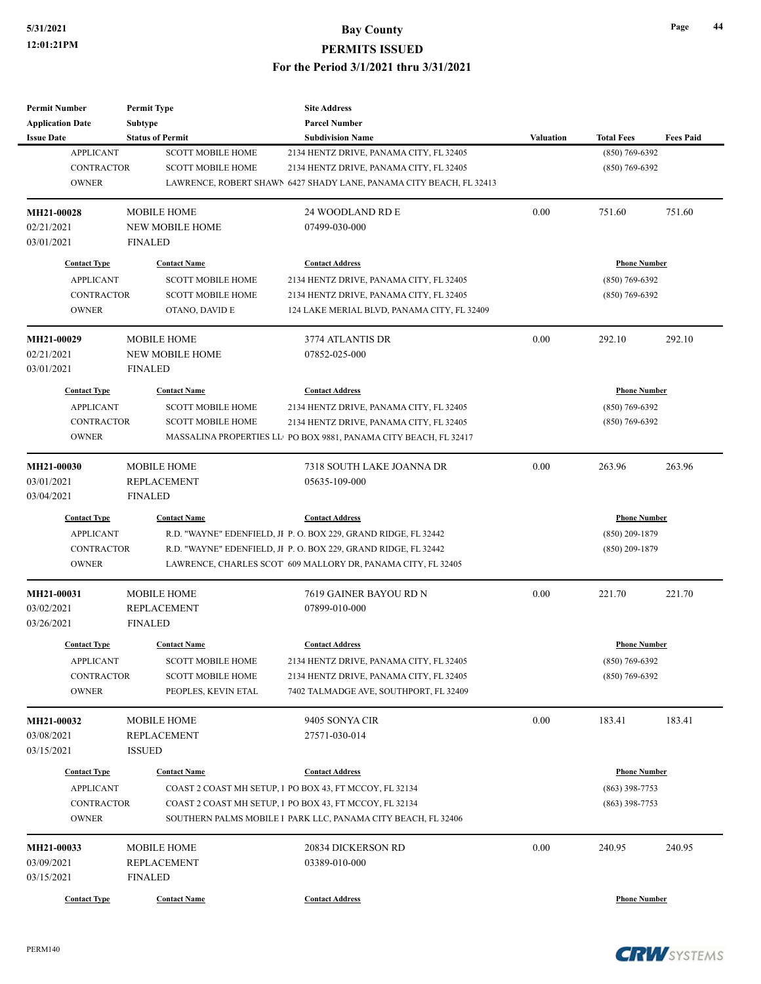| <b>Permit Number</b>                    | <b>Permit Type</b>                       | <b>Site Address</b>                                                               |                     |                                         |                  |
|-----------------------------------------|------------------------------------------|-----------------------------------------------------------------------------------|---------------------|-----------------------------------------|------------------|
| <b>Application Date</b>                 | <b>Subtype</b>                           | <b>Parcel Number</b>                                                              |                     |                                         |                  |
| <b>Issue Date</b>                       | <b>Status of Permit</b>                  | <b>Subdivision Name</b>                                                           | <b>Valuation</b>    | <b>Total Fees</b>                       | <b>Fees Paid</b> |
| <b>APPLICANT</b>                        | <b>SCOTT MOBILE HOME</b>                 | 2134 HENTZ DRIVE, PANAMA CITY, FL 32405                                           |                     | $(850)$ 769-6392                        |                  |
| <b>CONTRACTOR</b>                       | <b>SCOTT MOBILE HOME</b>                 | 2134 HENTZ DRIVE, PANAMA CITY, FL 32405                                           |                     | $(850)$ 769-6392                        |                  |
| <b>OWNER</b>                            |                                          | LAWRENCE, ROBERT SHAWN 6427 SHADY LANE, PANAMA CITY BEACH, FL 32413               |                     |                                         |                  |
| MH21-00028                              | <b>MOBILE HOME</b>                       | 24 WOODLAND RD E                                                                  | 0.00                | 751.60                                  | 751.60           |
| 02/21/2021                              | <b>NEW MOBILE HOME</b>                   | 07499-030-000                                                                     |                     |                                         |                  |
| 03/01/2021                              | <b>FINALED</b>                           |                                                                                   |                     |                                         |                  |
| <b>Contact Type</b>                     | <b>Contact Name</b>                      | <b>Contact Address</b>                                                            |                     | <b>Phone Number</b>                     |                  |
| <b>APPLICANT</b>                        | <b>SCOTT MOBILE HOME</b>                 | 2134 HENTZ DRIVE, PANAMA CITY, FL 32405                                           |                     | $(850) 769 - 6392$                      |                  |
| <b>CONTRACTOR</b>                       | <b>SCOTT MOBILE HOME</b>                 | 2134 HENTZ DRIVE, PANAMA CITY, FL 32405                                           |                     | $(850)$ 769-6392                        |                  |
| <b>OWNER</b>                            | OTANO, DAVID E                           | 124 LAKE MERIAL BLVD, PANAMA CITY, FL 32409                                       |                     |                                         |                  |
|                                         |                                          |                                                                                   | 0.00                | 292.10                                  | 292.10           |
| MH21-00029                              | <b>MOBILE HOME</b>                       | 3774 ATLANTIS DR                                                                  |                     |                                         |                  |
| 02/21/2021<br>03/01/2021                | <b>NEW MOBILE HOME</b><br><b>FINALED</b> | 07852-025-000                                                                     |                     |                                         |                  |
| <b>Contact Type</b>                     | <b>Contact Name</b>                      | <b>Contact Address</b>                                                            |                     | <b>Phone Number</b>                     |                  |
| <b>APPLICANT</b>                        | <b>SCOTT MOBILE HOME</b>                 | 2134 HENTZ DRIVE, PANAMA CITY, FL 32405                                           |                     | $(850)$ 769-6392                        |                  |
| <b>CONTRACTOR</b>                       | <b>SCOTT MOBILE HOME</b>                 | 2134 HENTZ DRIVE, PANAMA CITY, FL 32405                                           |                     | $(850)$ 769-6392                        |                  |
| <b>OWNER</b>                            |                                          |                                                                                   |                     |                                         |                  |
|                                         |                                          | MASSALINA PROPERTIES LL PO BOX 9881, PANAMA CITY BEACH, FL 32417                  |                     |                                         |                  |
| MH21-00030                              | <b>MOBILE HOME</b>                       | 7318 SOUTH LAKE JOANNA DR                                                         | 0.00                | 263.96                                  | 263.96           |
| 03/01/2021                              | <b>REPLACEMENT</b>                       | 05635-109-000                                                                     |                     |                                         |                  |
| 03/04/2021                              | <b>FINALED</b>                           |                                                                                   |                     |                                         |                  |
| <b>Contact Type</b>                     | <b>Contact Name</b>                      | <b>Contact Address</b>                                                            | <b>Phone Number</b> |                                         |                  |
| <b>APPLICANT</b>                        |                                          | R.D. "WAYNE" EDENFIELD, JI P. O. BOX 229, GRAND RIDGE, FL 32442                   |                     | $(850)$ 209-1879                        |                  |
| <b>CONTRACTOR</b>                       |                                          | R.D. "WAYNE" EDENFIELD, JI P. O. BOX 229, GRAND RIDGE, FL 32442                   |                     | $(850)$ 209-1879                        |                  |
| <b>OWNER</b>                            |                                          | LAWRENCE, CHARLES SCOT 609 MALLORY DR, PANAMA CITY, FL 32405                      |                     |                                         |                  |
| <b>MH21-00031</b>                       | <b>MOBILE HOME</b>                       | 7619 GAINER BAYOU RD N                                                            | 0.00                | 221.70                                  | 221.70           |
| 03/02/2021                              | <b>REPLACEMENT</b>                       | 07899-010-000                                                                     |                     |                                         |                  |
| 03/26/2021                              | <b>FINALED</b>                           |                                                                                   |                     |                                         |                  |
| <b>Contact Type</b>                     | <b>Contact Name</b>                      | <b>Contact Address</b>                                                            |                     | <b>Phone Number</b>                     |                  |
| <b>APPLICANT</b>                        | <b>SCOTT MOBILE HOME</b>                 | 2134 HENTZ DRIVE, PANAMA CITY, FL 32405                                           |                     | $(850) 769 - 6392$                      |                  |
| CONTRACTOR                              | <b>SCOTT MOBILE HOME</b>                 | 2134 HENTZ DRIVE, PANAMA CITY, FL 32405                                           |                     | $(850)$ 769-6392                        |                  |
| <b>OWNER</b>                            | PEOPLES, KEVIN ETAL                      | 7402 TALMADGE AVE, SOUTHPORT, FL 32409                                            |                     |                                         |                  |
| MH21-00032                              | <b>MOBILE HOME</b>                       | 9405 SONYA CIR                                                                    | 0.00                | 183.41                                  | 183.41           |
| 03/08/2021                              | <b>REPLACEMENT</b>                       | 27571-030-014                                                                     |                     |                                         |                  |
| 03/15/2021                              | <b>ISSUED</b>                            |                                                                                   |                     |                                         |                  |
|                                         |                                          |                                                                                   |                     |                                         |                  |
| <b>Contact Type</b><br><b>APPLICANT</b> | <b>Contact Name</b>                      | <b>Contact Address</b><br>COAST 2 COAST MH SETUP, 1 PO BOX 43, FT MCCOY, FL 32134 |                     | <b>Phone Number</b><br>$(863)$ 398-7753 |                  |
|                                         |                                          |                                                                                   |                     |                                         |                  |
| <b>CONTRACTOR</b>                       |                                          | COAST 2 COAST MH SETUP, 1 PO BOX 43, FT MCCOY, FL 32134                           |                     | $(863)$ 398-7753                        |                  |
| <b>OWNER</b>                            |                                          | SOUTHERN PALMS MOBILE I PARK LLC, PANAMA CITY BEACH, FL 32406                     |                     |                                         |                  |
| MH21-00033                              | <b>MOBILE HOME</b>                       | 20834 DICKERSON RD                                                                | 0.00                | 240.95                                  | 240.95           |
| 03/09/2021                              | <b>REPLACEMENT</b>                       | 03389-010-000                                                                     |                     |                                         |                  |
| 03/15/2021                              | <b>FINALED</b>                           |                                                                                   |                     |                                         |                  |
| <b>Contact Type</b>                     | <b>Contact Name</b>                      | <b>Contact Address</b>                                                            |                     | <b>Phone Number</b>                     |                  |
|                                         |                                          |                                                                                   |                     |                                         |                  |



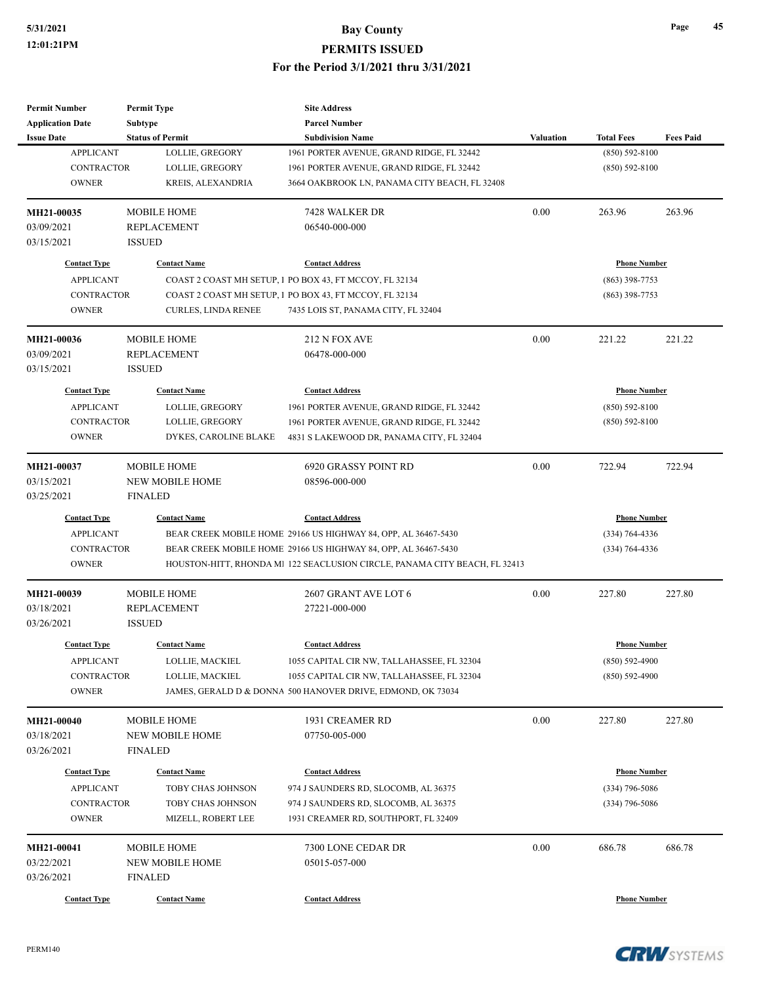| <b>Permit Number</b>    | <b>Permit Type</b>         | <b>Site Address</b>                                                        |           |                     |                  |
|-------------------------|----------------------------|----------------------------------------------------------------------------|-----------|---------------------|------------------|
| <b>Application Date</b> | Subtype                    | <b>Parcel Number</b>                                                       |           |                     |                  |
| <b>Issue Date</b>       | <b>Status of Permit</b>    | <b>Subdivision Name</b>                                                    | Valuation | <b>Total Fees</b>   | <b>Fees Paid</b> |
| <b>APPLICANT</b>        | LOLLIE, GREGORY            | 1961 PORTER AVENUE, GRAND RIDGE, FL 32442                                  |           | $(850) 592 - 8100$  |                  |
| <b>CONTRACTOR</b>       | LOLLIE, GREGORY            | 1961 PORTER AVENUE, GRAND RIDGE, FL 32442                                  |           | $(850) 592 - 8100$  |                  |
| <b>OWNER</b>            | KREIS, ALEXANDRIA          | 3664 OAKBROOK LN, PANAMA CITY BEACH, FL 32408                              |           |                     |                  |
| MH21-00035              | <b>MOBILE HOME</b>         | 7428 WALKER DR                                                             | 0.00      | 263.96              | 263.96           |
| 03/09/2021              | <b>REPLACEMENT</b>         | 06540-000-000                                                              |           |                     |                  |
| 03/15/2021              | <b>ISSUED</b>              |                                                                            |           |                     |                  |
| <b>Contact Type</b>     | <b>Contact Name</b>        | <b>Contact Address</b>                                                     |           | <b>Phone Number</b> |                  |
| <b>APPLICANT</b>        |                            | COAST 2 COAST MH SETUP, 1 PO BOX 43, FT MCCOY, FL 32134                    |           | $(863)$ 398-7753    |                  |
| CONTRACTOR              |                            | COAST 2 COAST MH SETUP, 1 PO BOX 43, FT MCCOY, FL 32134                    |           | $(863)$ 398-7753    |                  |
| <b>OWNER</b>            | <b>CURLES, LINDA RENEE</b> | 7435 LOIS ST, PANAMA CITY, FL 32404                                        |           |                     |                  |
| MH21-00036              | <b>MOBILE HOME</b>         | 212 N FOX AVE                                                              | 0.00      | 221.22              | 221.22           |
| 03/09/2021              | <b>REPLACEMENT</b>         | 06478-000-000                                                              |           |                     |                  |
| 03/15/2021              | <b>ISSUED</b>              |                                                                            |           |                     |                  |
| <b>Contact Type</b>     | <b>Contact Name</b>        | <b>Contact Address</b>                                                     |           | <b>Phone Number</b> |                  |
| <b>APPLICANT</b>        | LOLLIE, GREGORY            | 1961 PORTER AVENUE, GRAND RIDGE, FL 32442                                  |           | $(850) 592 - 8100$  |                  |
| <b>CONTRACTOR</b>       | LOLLIE, GREGORY            | 1961 PORTER AVENUE, GRAND RIDGE, FL 32442                                  |           | $(850) 592 - 8100$  |                  |
| <b>OWNER</b>            | DYKES, CAROLINE BLAKE      | 4831 S LAKEWOOD DR, PANAMA CITY, FL 32404                                  |           |                     |                  |
| MH21-00037              | <b>MOBILE HOME</b>         | 6920 GRASSY POINT RD                                                       | 0.00      | 722.94              | 722.94           |
| 03/15/2021              | <b>NEW MOBILE HOME</b>     | 08596-000-000                                                              |           |                     |                  |
| 03/25/2021              | <b>FINALED</b>             |                                                                            |           |                     |                  |
| <b>Contact Type</b>     | <b>Contact Name</b>        | <b>Contact Address</b>                                                     |           | <b>Phone Number</b> |                  |
| <b>APPLICANT</b>        |                            | BEAR CREEK MOBILE HOME 29166 US HIGHWAY 84, OPP, AL 36467-5430             |           | $(334) 764 - 4336$  |                  |
| <b>CONTRACTOR</b>       |                            | BEAR CREEK MOBILE HOME 29166 US HIGHWAY 84, OPP, AL 36467-5430             |           | $(334) 764 - 4336$  |                  |
| <b>OWNER</b>            |                            | HOUSTON-HITT, RHONDA MI 122 SEACLUSION CIRCLE, PANAMA CITY BEACH, FL 32413 |           |                     |                  |
| MH21-00039              | <b>MOBILE HOME</b>         | 2607 GRANT AVE LOT 6                                                       | 0.00      | 227.80              | 227.80           |
| 03/18/2021              | <b>REPLACEMENT</b>         | 27221-000-000                                                              |           |                     |                  |
| 03/26/2021              | <b>ISSUED</b>              |                                                                            |           |                     |                  |
| <b>Contact Type</b>     | <b>Contact Name</b>        | <b>Contact Address</b>                                                     |           | <b>Phone Number</b> |                  |
| APPLICANT               | LOLLIE, MACKIEL            | 1055 CAPITAL CIR NW, TALLAHASSEE, FL 32304                                 |           | $(850) 592 - 4900$  |                  |
| CONTRACTOR              | LOLLIE, MACKIEL            | 1055 CAPITAL CIR NW, TALLAHASSEE, FL 32304                                 |           | $(850) 592 - 4900$  |                  |
| <b>OWNER</b>            |                            | JAMES, GERALD D & DONNA 500 HANOVER DRIVE, EDMOND, OK 73034                |           |                     |                  |
| MH21-00040              | <b>MOBILE HOME</b>         | 1931 CREAMER RD                                                            | 0.00      | 227.80              | 227.80           |
| 03/18/2021              | <b>NEW MOBILE HOME</b>     | 07750-005-000                                                              |           |                     |                  |
| 03/26/2021              | <b>FINALED</b>             |                                                                            |           |                     |                  |
| <b>Contact Type</b>     | <b>Contact Name</b>        | <b>Contact Address</b>                                                     |           | <b>Phone Number</b> |                  |
| <b>APPLICANT</b>        | TOBY CHAS JOHNSON          | 974 J SAUNDERS RD, SLOCOMB, AL 36375                                       |           | $(334)$ 796-5086    |                  |
| CONTRACTOR              | TOBY CHAS JOHNSON          | 974 J SAUNDERS RD, SLOCOMB, AL 36375                                       |           | $(334)$ 796-5086    |                  |
| <b>OWNER</b>            | MIZELL, ROBERT LEE         | 1931 CREAMER RD, SOUTHPORT, FL 32409                                       |           |                     |                  |
| MH21-00041              | <b>MOBILE HOME</b>         | 7300 LONE CEDAR DR                                                         | 0.00      | 686.78              | 686.78           |
| 03/22/2021              | <b>NEW MOBILE HOME</b>     | 05015-057-000                                                              |           |                     |                  |
| 03/26/2021              | <b>FINALED</b>             |                                                                            |           |                     |                  |
| <b>Contact Type</b>     | <b>Contact Name</b>        | <b>Contact Address</b>                                                     |           | <b>Phone Number</b> |                  |
|                         |                            |                                                                            |           |                     |                  |

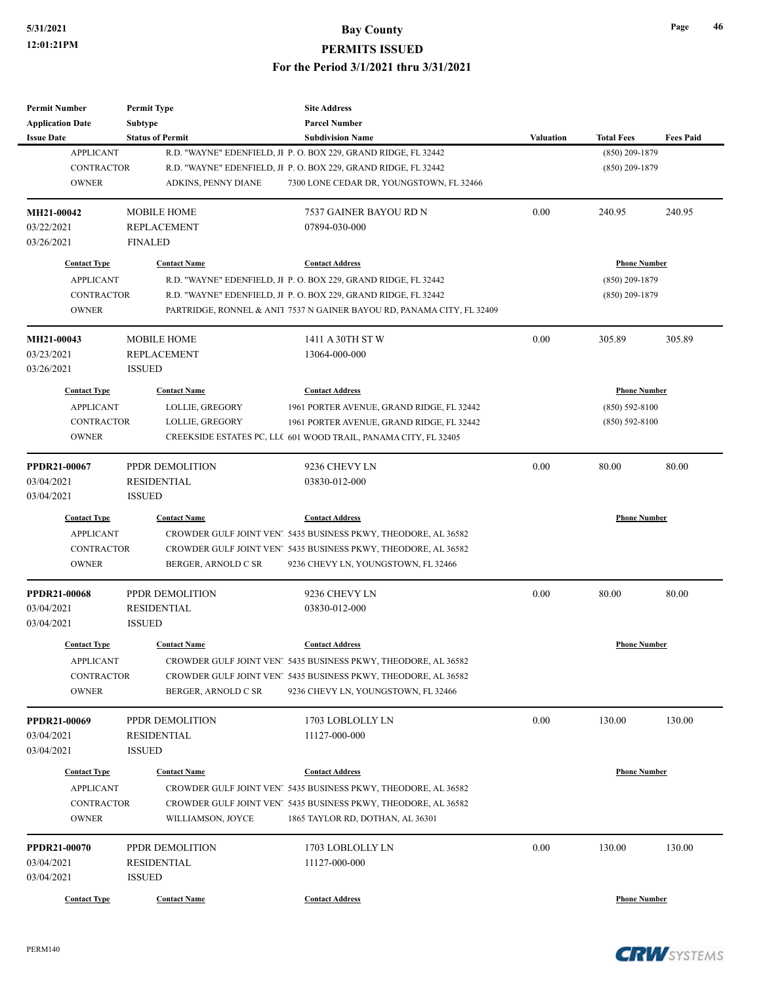| <b>Permit Number</b>    | <b>Permit Type</b>      | <b>Site Address</b>                                                    |                  |                     |                  |
|-------------------------|-------------------------|------------------------------------------------------------------------|------------------|---------------------|------------------|
| <b>Application Date</b> | Subtype                 | <b>Parcel Number</b>                                                   |                  |                     |                  |
| <b>Issue Date</b>       | <b>Status of Permit</b> | <b>Subdivision Name</b>                                                | <b>Valuation</b> | <b>Total Fees</b>   | <b>Fees Paid</b> |
| <b>APPLICANT</b>        |                         | R.D. "WAYNE" EDENFIELD, JI P. O. BOX 229, GRAND RIDGE, FL 32442        |                  | $(850)$ 209-1879    |                  |
| <b>CONTRACTOR</b>       |                         | R.D. "WAYNE" EDENFIELD, JI P. O. BOX 229, GRAND RIDGE, FL 32442        |                  | $(850)$ 209-1879    |                  |
| <b>OWNER</b>            | ADKINS, PENNY DIANE     | 7300 LONE CEDAR DR, YOUNGSTOWN, FL 32466                               |                  |                     |                  |
| MH21-00042              | <b>MOBILE HOME</b>      | 7537 GAINER BAYOU RD N                                                 | 0.00             | 240.95              | 240.95           |
| 03/22/2021              | <b>REPLACEMENT</b>      | 07894-030-000                                                          |                  |                     |                  |
| 03/26/2021              | <b>FINALED</b>          |                                                                        |                  |                     |                  |
| <b>Contact Type</b>     | <b>Contact Name</b>     | <b>Contact Address</b>                                                 |                  | <b>Phone Number</b> |                  |
| <b>APPLICANT</b>        |                         | R.D. "WAYNE" EDENFIELD, JI P. O. BOX 229, GRAND RIDGE, FL 32442        |                  | $(850)$ 209-1879    |                  |
| <b>CONTRACTOR</b>       |                         | R.D. "WAYNE" EDENFIELD, JI P. O. BOX 229, GRAND RIDGE, FL 32442        |                  | $(850)$ 209-1879    |                  |
| <b>OWNER</b>            |                         | PARTRIDGE, RONNEL & ANI1 7537 N GAINER BAYOU RD, PANAMA CITY, FL 32409 |                  |                     |                  |
| MH21-00043              | <b>MOBILE HOME</b>      | 1411 A 30TH ST W                                                       | 0.00             | 305.89              | 305.89           |
| 03/23/2021              | <b>REPLACEMENT</b>      | 13064-000-000                                                          |                  |                     |                  |
| 03/26/2021              | <b>ISSUED</b>           |                                                                        |                  |                     |                  |
| <b>Contact Type</b>     | <b>Contact Name</b>     | <b>Contact Address</b>                                                 |                  | <b>Phone Number</b> |                  |
| <b>APPLICANT</b>        | LOLLIE, GREGORY         | 1961 PORTER AVENUE, GRAND RIDGE, FL 32442                              |                  | $(850) 592 - 8100$  |                  |
| <b>CONTRACTOR</b>       | LOLLIE, GREGORY         | 1961 PORTER AVENUE, GRAND RIDGE, FL 32442                              |                  | $(850) 592 - 8100$  |                  |
| <b>OWNER</b>            |                         | CREEKSIDE ESTATES PC, LLC 601 WOOD TRAIL, PANAMA CITY, FL 32405        |                  |                     |                  |
| <b>PPDR21-00067</b>     | PPDR DEMOLITION         | 9236 CHEVY LN                                                          | 0.00             | 80.00               | 80.00            |
| 03/04/2021              | <b>RESIDENTIAL</b>      | 03830-012-000                                                          |                  |                     |                  |
| 03/04/2021              | <b>ISSUED</b>           |                                                                        |                  |                     |                  |
| <b>Contact Type</b>     | <b>Contact Name</b>     | <b>Contact Address</b>                                                 |                  | <b>Phone Number</b> |                  |
| <b>APPLICANT</b>        |                         | CROWDER GULF JOINT VEN! 5435 BUSINESS PKWY, THEODORE, AL 36582         |                  |                     |                  |
| <b>CONTRACTOR</b>       |                         | CROWDER GULF JOINT VEN! 5435 BUSINESS PKWY, THEODORE, AL 36582         |                  |                     |                  |
| <b>OWNER</b>            | BERGER, ARNOLD C SR     | 9236 CHEVY LN, YOUNGSTOWN, FL 32466                                    |                  |                     |                  |
| <b>PPDR21-00068</b>     | PPDR DEMOLITION         | 9236 CHEVY LN                                                          | 0.00             | 80.00               | 80.00            |
| 03/04/2021              | <b>RESIDENTIAL</b>      | 03830-012-000                                                          |                  |                     |                  |
| 03/04/2021              | <b>ISSUED</b>           |                                                                        |                  |                     |                  |
| <b>Contact Type</b>     | <b>Contact Name</b>     | <b>Contact Address</b>                                                 |                  | <b>Phone Number</b> |                  |
| <b>APPLICANT</b>        |                         | CROWDER GULF JOINT VEN! 5435 BUSINESS PKWY, THEODORE, AL 36582         |                  |                     |                  |
| <b>CONTRACTOR</b>       |                         | CROWDER GULF JOINT VEN! 5435 BUSINESS PKWY, THEODORE, AL 36582         |                  |                     |                  |
| <b>OWNER</b>            | BERGER, ARNOLD C SR     | 9236 CHEVY LN, YOUNGSTOWN, FL 32466                                    |                  |                     |                  |
| PPDR21-00069            | PPDR DEMOLITION         | 1703 LOBLOLLY LN                                                       | 0.00             | 130.00              | 130.00           |
| 03/04/2021              | RESIDENTIAL             | 11127-000-000                                                          |                  |                     |                  |
| 03/04/2021              | <b>ISSUED</b>           |                                                                        |                  |                     |                  |
| <b>Contact Type</b>     | <b>Contact Name</b>     | <b>Contact Address</b>                                                 |                  | <b>Phone Number</b> |                  |
| <b>APPLICANT</b>        |                         | CROWDER GULF JOINT VEN! 5435 BUSINESS PKWY, THEODORE, AL 36582         |                  |                     |                  |
| CONTRACTOR              |                         | CROWDER GULF JOINT VEN! 5435 BUSINESS PKWY, THEODORE, AL 36582         |                  |                     |                  |
| <b>OWNER</b>            | WILLIAMSON, JOYCE       | 1865 TAYLOR RD, DOTHAN, AL 36301                                       |                  |                     |                  |
| PPDR21-00070            | PPDR DEMOLITION         | 1703 LOBLOLLY LN                                                       | 0.00             | 130.00              | 130.00           |
| 03/04/2021              | RESIDENTIAL             | 11127-000-000                                                          |                  |                     |                  |
| 03/04/2021              | <b>ISSUED</b>           |                                                                        |                  |                     |                  |
| <b>Contact Type</b>     | <b>Contact Name</b>     | <b>Contact Address</b>                                                 |                  | <b>Phone Number</b> |                  |
|                         |                         |                                                                        |                  |                     |                  |

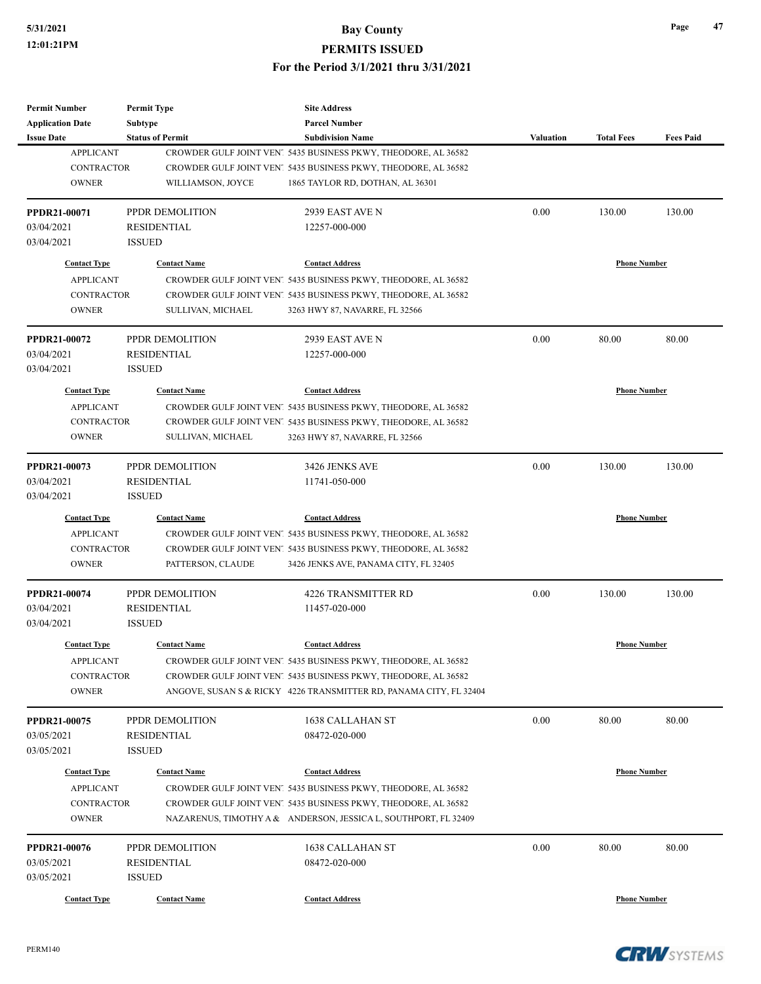#### **5/31/2021 Bay County PERMITS ISSUED**

#### **For the Period 3/1/2021 thru 3/31/2021**

| <b>Permit Number</b>     | <b>Permit Type</b>                  | <b>Site Address</b>                                                |                  |                     |                  |
|--------------------------|-------------------------------------|--------------------------------------------------------------------|------------------|---------------------|------------------|
| <b>Application Date</b>  | Subtype                             | <b>Parcel Number</b>                                               |                  |                     |                  |
| <b>Issue Date</b>        | <b>Status of Permit</b>             | <b>Subdivision Name</b>                                            | <b>Valuation</b> | <b>Total Fees</b>   | <b>Fees Paid</b> |
| <b>APPLICANT</b>         |                                     | CROWDER GULF JOINT VEN! 5435 BUSINESS PKWY, THEODORE, AL 36582     |                  |                     |                  |
| <b>CONTRACTOR</b>        |                                     | CROWDER GULF JOINT VEN! 5435 BUSINESS PKWY, THEODORE, AL 36582     |                  |                     |                  |
| <b>OWNER</b>             | WILLIAMSON, JOYCE                   | 1865 TAYLOR RD, DOTHAN, AL 36301                                   |                  |                     |                  |
|                          |                                     |                                                                    |                  |                     |                  |
| PPDR21-00071             | PPDR DEMOLITION                     | 2939 EAST AVE N                                                    | 0.00             | 130.00              | 130.00           |
| 03/04/2021               | <b>RESIDENTIAL</b>                  | 12257-000-000                                                      |                  |                     |                  |
| 03/04/2021               | <b>ISSUED</b>                       |                                                                    |                  |                     |                  |
| <b>Contact Type</b>      | <b>Contact Name</b>                 | <b>Contact Address</b>                                             |                  | <b>Phone Number</b> |                  |
| <b>APPLICANT</b>         |                                     | CROWDER GULF JOINT VEN! 5435 BUSINESS PKWY, THEODORE, AL 36582     |                  |                     |                  |
| <b>CONTRACTOR</b>        |                                     | CROWDER GULF JOINT VEN! 5435 BUSINESS PKWY, THEODORE, AL 36582     |                  |                     |                  |
| <b>OWNER</b>             | SULLIVAN, MICHAEL                   | 3263 HWY 87, NAVARRE, FL 32566                                     |                  |                     |                  |
|                          |                                     |                                                                    |                  |                     |                  |
| <b>PPDR21-00072</b>      | PPDR DEMOLITION                     | 2939 EAST AVE N                                                    | 0.00             | 80.00               | 80.00            |
| 03/04/2021<br>03/04/2021 | <b>RESIDENTIAL</b><br><b>ISSUED</b> | 12257-000-000                                                      |                  |                     |                  |
| <b>Contact Type</b>      | <b>Contact Name</b>                 | <b>Contact Address</b>                                             |                  | <b>Phone Number</b> |                  |
| <b>APPLICANT</b>         |                                     | CROWDER GULF JOINT VEN! 5435 BUSINESS PKWY, THEODORE, AL 36582     |                  |                     |                  |
| <b>CONTRACTOR</b>        |                                     |                                                                    |                  |                     |                  |
|                          |                                     | CROWDER GULF JOINT VEN! 5435 BUSINESS PKWY, THEODORE, AL 36582     |                  |                     |                  |
| <b>OWNER</b>             | SULLIVAN, MICHAEL                   | 3263 HWY 87, NAVARRE, FL 32566                                     |                  |                     |                  |
| PPDR21-00073             | PPDR DEMOLITION                     | 3426 JENKS AVE                                                     | 0.00             | 130.00              | 130.00           |
| 03/04/2021               | <b>RESIDENTIAL</b>                  | 11741-050-000                                                      |                  |                     |                  |
| 03/04/2021               | <b>ISSUED</b>                       |                                                                    |                  |                     |                  |
| <b>Contact Type</b>      | <b>Contact Name</b>                 | <b>Contact Address</b>                                             |                  | <b>Phone Number</b> |                  |
| <b>APPLICANT</b>         |                                     | CROWDER GULF JOINT VEN! 5435 BUSINESS PKWY, THEODORE, AL 36582     |                  |                     |                  |
| <b>CONTRACTOR</b>        |                                     | CROWDER GULF JOINT VEN! 5435 BUSINESS PKWY, THEODORE, AL 36582     |                  |                     |                  |
| <b>OWNER</b>             | PATTERSON, CLAUDE                   | 3426 JENKS AVE, PANAMA CITY, FL 32405                              |                  |                     |                  |
|                          |                                     |                                                                    |                  |                     |                  |
| PPDR21-00074             | PPDR DEMOLITION                     | 4226 TRANSMITTER RD                                                | 0.00             | 130.00              | 130.00           |
| 03/04/2021               | <b>RESIDENTIAL</b>                  | 11457-020-000                                                      |                  |                     |                  |
| 03/04/2021               | <b>ISSUED</b>                       |                                                                    |                  |                     |                  |
| <b>Contact Type</b>      | <b>Contact Name</b>                 | <b>Contact Address</b>                                             |                  | <b>Phone Number</b> |                  |
| <b>APPLICANT</b>         |                                     | CROWDER GULF JOINT VEN! 5435 BUSINESS PKWY, THEODORE, AL 36582     |                  |                     |                  |
| <b>CONTRACTOR</b>        |                                     | CROWDER GULF JOINT VEN! 5435 BUSINESS PKWY, THEODORE, AL 36582     |                  |                     |                  |
| <b>OWNER</b>             |                                     | ANGOVE, SUSAN S & RICKY 4226 TRANSMITTER RD, PANAMA CITY, FL 32404 |                  |                     |                  |
|                          |                                     |                                                                    |                  |                     |                  |
| PPDR21-00075             | PPDR DEMOLITION                     | 1638 CALLAHAN ST                                                   | 0.00             | 80.00               | 80.00            |
| 03/05/2021               | RESIDENTIAL                         | 08472-020-000                                                      |                  |                     |                  |
| 03/05/2021               | <b>ISSUED</b>                       |                                                                    |                  |                     |                  |
| <b>Contact Type</b>      | <b>Contact Name</b>                 | <b>Contact Address</b>                                             |                  | <b>Phone Number</b> |                  |
| <b>APPLICANT</b>         |                                     | CROWDER GULF JOINT VEN! 5435 BUSINESS PKWY, THEODORE, AL 36582     |                  |                     |                  |
| <b>CONTRACTOR</b>        |                                     | CROWDER GULF JOINT VEN! 5435 BUSINESS PKWY, THEODORE, AL 36582     |                  |                     |                  |
| <b>OWNER</b>             |                                     | NAZARENUS, TIMOTHY A & ANDERSON, JESSICA L, SOUTHPORT, FL 32409    |                  |                     |                  |
| <b>PPDR21-00076</b>      | PPDR DEMOLITION                     | 1638 CALLAHAN ST                                                   | 0.00             | 80.00               | 80.00            |
| 03/05/2021               | RESIDENTIAL                         | 08472-020-000                                                      |                  |                     |                  |
| 03/05/2021               | <b>ISSUED</b>                       |                                                                    |                  |                     |                  |
|                          |                                     |                                                                    |                  |                     |                  |
| <b>Contact Type</b>      | <b>Contact Name</b>                 | <b>Contact Address</b>                                             |                  | <b>Phone Number</b> |                  |

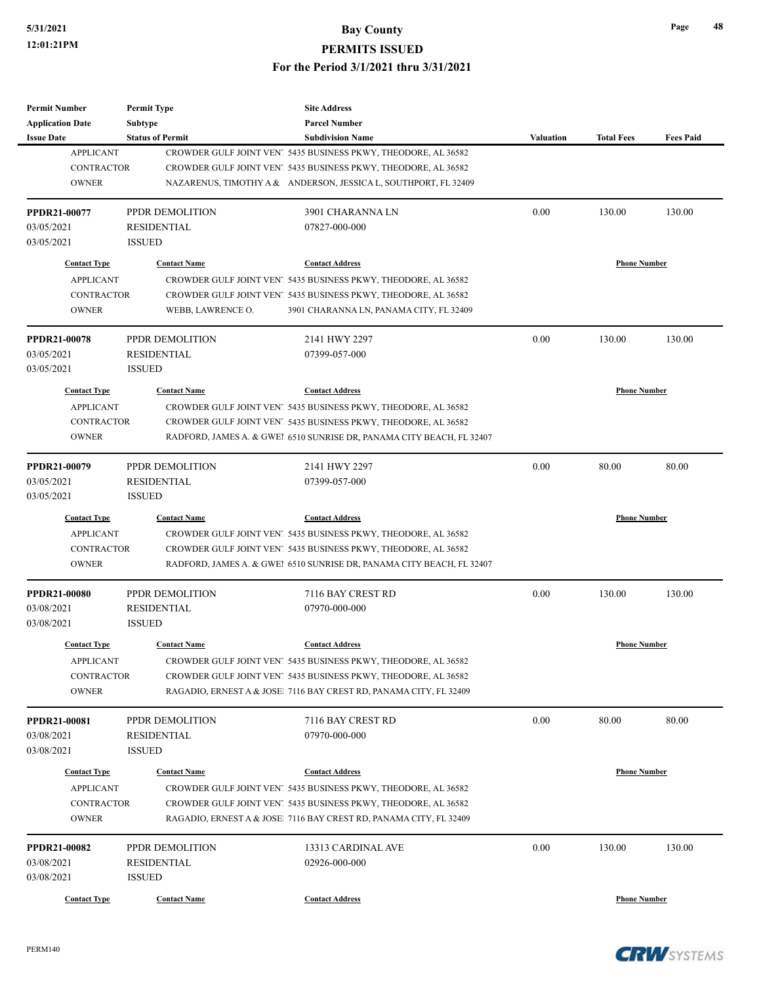#### **PERMITS ISSUED**

**For the Period 3/1/2021 thru 3/31/2021**

| <b>Permit Number</b>    | <b>Permit Type</b>      | <b>Site Address</b>                                                   |                  |                     |                  |
|-------------------------|-------------------------|-----------------------------------------------------------------------|------------------|---------------------|------------------|
| <b>Application Date</b> | Subtype                 | <b>Parcel Number</b>                                                  |                  |                     |                  |
| <b>Issue Date</b>       | <b>Status of Permit</b> | <b>Subdivision Name</b>                                               | <b>Valuation</b> | <b>Total Fees</b>   | <b>Fees Paid</b> |
| <b>APPLICANT</b>        |                         | CROWDER GULF JOINT VEN! 5435 BUSINESS PKWY, THEODORE, AL 36582        |                  |                     |                  |
| <b>CONTRACTOR</b>       |                         | CROWDER GULF JOINT VEN! 5435 BUSINESS PKWY, THEODORE, AL 36582        |                  |                     |                  |
| <b>OWNER</b>            |                         | NAZARENUS, TIMOTHY A & ANDERSON, JESSICA L, SOUTHPORT, FL 32409       |                  |                     |                  |
| PPDR21-00077            | PPDR DEMOLITION         | 3901 CHARANNA LN                                                      | 0.00             | 130.00              | 130.00           |
| 03/05/2021              | <b>RESIDENTIAL</b>      | 07827-000-000                                                         |                  |                     |                  |
| 03/05/2021              | <b>ISSUED</b>           |                                                                       |                  |                     |                  |
| <b>Contact Type</b>     | <b>Contact Name</b>     | <b>Contact Address</b>                                                |                  | <b>Phone Number</b> |                  |
| <b>APPLICANT</b>        |                         | CROWDER GULF JOINT VEN! 5435 BUSINESS PKWY, THEODORE, AL 36582        |                  |                     |                  |
| <b>CONTRACTOR</b>       |                         | CROWDER GULF JOINT VEN! 5435 BUSINESS PKWY, THEODORE, AL 36582        |                  |                     |                  |
| <b>OWNER</b>            | WEBB, LAWRENCE O.       | 3901 CHARANNA LN, PANAMA CITY, FL 32409                               |                  |                     |                  |
| <b>PPDR21-00078</b>     | PPDR DEMOLITION         | 2141 HWY 2297                                                         | 0.00             | 130.00              | 130.00           |
| 03/05/2021              | <b>RESIDENTIAL</b>      | 07399-057-000                                                         |                  |                     |                  |
| 03/05/2021              | <b>ISSUED</b>           |                                                                       |                  |                     |                  |
| <b>Contact Type</b>     | <b>Contact Name</b>     | <b>Contact Address</b>                                                |                  | <b>Phone Number</b> |                  |
| <b>APPLICANT</b>        |                         | CROWDER GULF JOINT VEN! 5435 BUSINESS PKWY, THEODORE, AL 36582        |                  |                     |                  |
| <b>CONTRACTOR</b>       |                         | CROWDER GULF JOINT VEN! 5435 BUSINESS PKWY, THEODORE, AL 36582        |                  |                     |                  |
| <b>OWNER</b>            |                         | RADFORD, JAMES A. & GWEI 6510 SUNRISE DR, PANAMA CITY BEACH, FL 32407 |                  |                     |                  |
|                         |                         |                                                                       |                  |                     |                  |
| PPDR21-00079            | PPDR DEMOLITION         | 2141 HWY 2297                                                         | 0.00             | 80.00               | 80.00            |
| 03/05/2021              | <b>RESIDENTIAL</b>      | 07399-057-000                                                         |                  |                     |                  |
| 03/05/2021              | <b>ISSUED</b>           |                                                                       |                  |                     |                  |
| <b>Contact Type</b>     | <b>Contact Name</b>     | <b>Contact Address</b>                                                |                  | <b>Phone Number</b> |                  |
| <b>APPLICANT</b>        |                         | CROWDER GULF JOINT VEN! 5435 BUSINESS PKWY, THEODORE, AL 36582        |                  |                     |                  |
| <b>CONTRACTOR</b>       |                         | CROWDER GULF JOINT VEN! 5435 BUSINESS PKWY, THEODORE, AL 36582        |                  |                     |                  |
| <b>OWNER</b>            |                         | RADFORD, JAMES A. & GWEI 6510 SUNRISE DR, PANAMA CITY BEACH, FL 32407 |                  |                     |                  |
| <b>PPDR21-00080</b>     | PPDR DEMOLITION         | 7116 BAY CREST RD                                                     | 0.00             | 130.00              | 130.00           |
| 03/08/2021              | <b>RESIDENTIAL</b>      | 07970-000-000                                                         |                  |                     |                  |
| 03/08/2021              | <b>ISSUED</b>           |                                                                       |                  |                     |                  |
| <b>Contact Type</b>     | <b>Contact Name</b>     | <b>Contact Address</b>                                                |                  | <b>Phone Number</b> |                  |
| <b>APPLICANT</b>        |                         | CROWDER GULF JOINT VEN! 5435 BUSINESS PKWY, THEODORE, AL 36582        |                  |                     |                  |
| <b>CONTRACTOR</b>       |                         | CROWDER GULF JOINT VEN! 5435 BUSINESS PKWY, THEODORE, AL 36582        |                  |                     |                  |
| <b>OWNER</b>            |                         | RAGADIO, ERNEST A & JOSE 7116 BAY CREST RD, PANAMA CITY, FL 32409     |                  |                     |                  |
| <b>PPDR21-00081</b>     | PPDR DEMOLITION         | 7116 BAY CREST RD                                                     | 0.00             | 80.00               | 80.00            |
| 03/08/2021              | <b>RESIDENTIAL</b>      | 07970-000-000                                                         |                  |                     |                  |
| 03/08/2021              | <b>ISSUED</b>           |                                                                       |                  |                     |                  |
| <b>Contact Type</b>     | <b>Contact Name</b>     | <b>Contact Address</b>                                                |                  | <b>Phone Number</b> |                  |
| <b>APPLICANT</b>        |                         | CROWDER GULF JOINT VEN! 5435 BUSINESS PKWY, THEODORE, AL 36582        |                  |                     |                  |
| <b>CONTRACTOR</b>       |                         | CROWDER GULF JOINT VEN! 5435 BUSINESS PKWY, THEODORE, AL 36582        |                  |                     |                  |
| <b>OWNER</b>            |                         | RAGADIO, ERNEST A & JOSE 7116 BAY CREST RD, PANAMA CITY, FL 32409     |                  |                     |                  |
| PPDR21-00082            | PPDR DEMOLITION         | 13313 CARDINAL AVE                                                    | 0.00             | 130.00              | 130.00           |
| 03/08/2021              | <b>RESIDENTIAL</b>      | 02926-000-000                                                         |                  |                     |                  |
| 03/08/2021              | <b>ISSUED</b>           |                                                                       |                  |                     |                  |
| <b>Contact Type</b>     | <b>Contact Name</b>     | <b>Contact Address</b>                                                |                  | <b>Phone Number</b> |                  |
|                         |                         |                                                                       |                  |                     |                  |

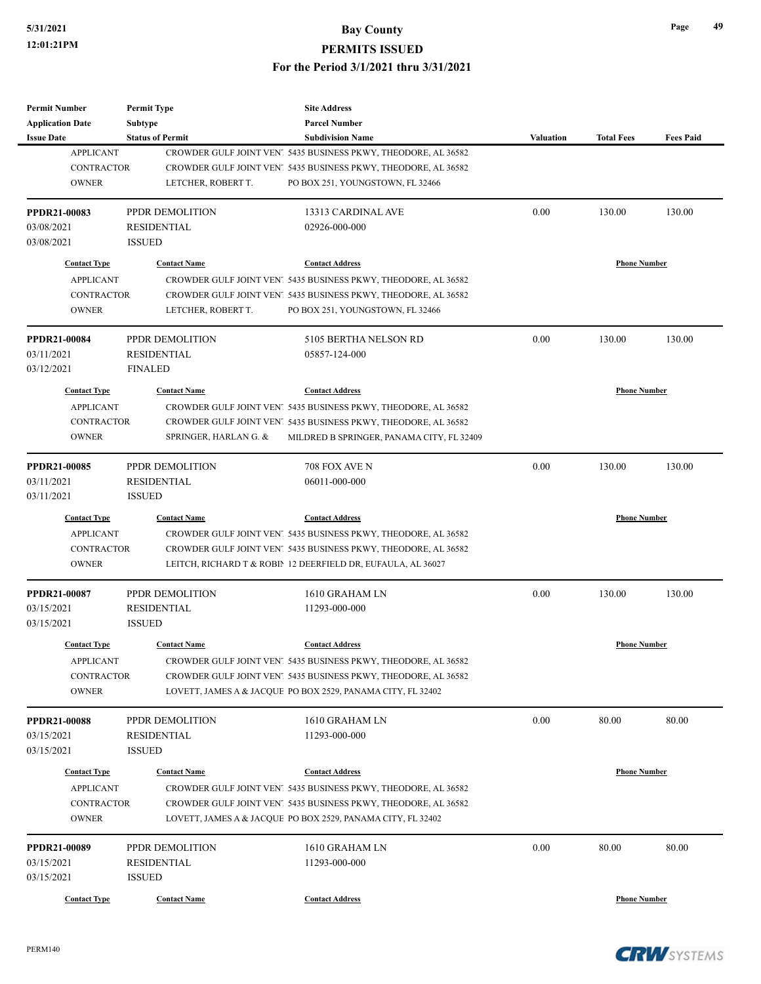#### **5/31/2021 Bay County PERMITS ISSUED**

| <b>Permit Number</b>    | <b>Permit Type</b>      | <b>Site Address</b>                                            |                  |                     |                  |
|-------------------------|-------------------------|----------------------------------------------------------------|------------------|---------------------|------------------|
| <b>Application Date</b> | Subtype                 | <b>Parcel Number</b>                                           |                  |                     |                  |
| <b>Issue Date</b>       | <b>Status of Permit</b> | <b>Subdivision Name</b>                                        | <b>Valuation</b> | <b>Total Fees</b>   | <b>Fees Paid</b> |
| <b>APPLICANT</b>        |                         | CROWDER GULF JOINT VEN! 5435 BUSINESS PKWY, THEODORE, AL 36582 |                  |                     |                  |
| <b>CONTRACTOR</b>       |                         | CROWDER GULF JOINT VEN! 5435 BUSINESS PKWY, THEODORE, AL 36582 |                  |                     |                  |
| <b>OWNER</b>            | LETCHER, ROBERT T.      | PO BOX 251, YOUNGSTOWN, FL 32466                               |                  |                     |                  |
| <b>PPDR21-00083</b>     | PPDR DEMOLITION         | 13313 CARDINAL AVE                                             | 0.00             | 130.00              | 130.00           |
| 03/08/2021              | <b>RESIDENTIAL</b>      | 02926-000-000                                                  |                  |                     |                  |
| 03/08/2021              | <b>ISSUED</b>           |                                                                |                  |                     |                  |
| <b>Contact Type</b>     | <b>Contact Name</b>     | <b>Contact Address</b>                                         |                  | <b>Phone Number</b> |                  |
| <b>APPLICANT</b>        |                         | CROWDER GULF JOINT VEN! 5435 BUSINESS PKWY, THEODORE, AL 36582 |                  |                     |                  |
| <b>CONTRACTOR</b>       |                         | CROWDER GULF JOINT VEN! 5435 BUSINESS PKWY, THEODORE, AL 36582 |                  |                     |                  |
| <b>OWNER</b>            | LETCHER, ROBERT T.      | PO BOX 251, YOUNGSTOWN, FL 32466                               |                  |                     |                  |
| <b>PPDR21-00084</b>     | PPDR DEMOLITION         | 5105 BERTHA NELSON RD                                          | 0.00             | 130.00              | 130.00           |
| 03/11/2021              | <b>RESIDENTIAL</b>      | 05857-124-000                                                  |                  |                     |                  |
| 03/12/2021              | <b>FINALED</b>          |                                                                |                  |                     |                  |
| <b>Contact Type</b>     | <b>Contact Name</b>     | <b>Contact Address</b>                                         |                  | <b>Phone Number</b> |                  |
| <b>APPLICANT</b>        |                         | CROWDER GULF JOINT VEN! 5435 BUSINESS PKWY, THEODORE, AL 36582 |                  |                     |                  |
| <b>CONTRACTOR</b>       |                         | CROWDER GULF JOINT VEN! 5435 BUSINESS PKWY, THEODORE, AL 36582 |                  |                     |                  |
| <b>OWNER</b>            | SPRINGER, HARLAN G. &   | MILDRED B SPRINGER, PANAMA CITY, FL 32409                      |                  |                     |                  |
|                         |                         |                                                                |                  |                     |                  |
| <b>PPDR21-00085</b>     | PPDR DEMOLITION         | 708 FOX AVE N                                                  | 0.00             | 130.00              | 130.00           |
| 03/11/2021              | <b>RESIDENTIAL</b>      | 06011-000-000                                                  |                  |                     |                  |
| 03/11/2021              | <b>ISSUED</b>           |                                                                |                  |                     |                  |
| <b>Contact Type</b>     | <b>Contact Name</b>     | <b>Contact Address</b>                                         |                  | <b>Phone Number</b> |                  |
| <b>APPLICANT</b>        |                         | CROWDER GULF JOINT VEN! 5435 BUSINESS PKWY, THEODORE, AL 36582 |                  |                     |                  |
| CONTRACTOR              |                         | CROWDER GULF JOINT VEN! 5435 BUSINESS PKWY, THEODORE, AL 36582 |                  |                     |                  |
| <b>OWNER</b>            |                         | LEITCH, RICHARD T & ROBIN 12 DEERFIELD DR, EUFAULA, AL 36027   |                  |                     |                  |
| <b>PPDR21-00087</b>     | PPDR DEMOLITION         | 1610 GRAHAM LN                                                 | 0.00             | 130.00              | 130.00           |
| 03/15/2021              | <b>RESIDENTIAL</b>      | 11293-000-000                                                  |                  |                     |                  |
| 03/15/2021              | <b>ISSUED</b>           |                                                                |                  |                     |                  |
| <b>Contact Type</b>     | <b>Contact Name</b>     | <b>Contact Address</b>                                         |                  | <b>Phone Number</b> |                  |
| <b>APPLICANT</b>        |                         | CROWDER GULF JOINT VEN! 5435 BUSINESS PKWY, THEODORE, AL 36582 |                  |                     |                  |
| <b>CONTRACTOR</b>       |                         | CROWDER GULF JOINT VEN! 5435 BUSINESS PKWY, THEODORE, AL 36582 |                  |                     |                  |
| <b>OWNER</b>            |                         | LOVETT, JAMES A & JACQUE PO BOX 2529, PANAMA CITY, FL 32402    |                  |                     |                  |
| <b>PPDR21-00088</b>     | PPDR DEMOLITION         | 1610 GRAHAM LN                                                 | 0.00             | 80.00               | 80.00            |
| 03/15/2021              | RESIDENTIAL             | 11293-000-000                                                  |                  |                     |                  |
| 03/15/2021              | <b>ISSUED</b>           |                                                                |                  |                     |                  |
| <b>Contact Type</b>     | <b>Contact Name</b>     | <b>Contact Address</b>                                         |                  | <b>Phone Number</b> |                  |
| <b>APPLICANT</b>        |                         | CROWDER GULF JOINT VEN! 5435 BUSINESS PKWY, THEODORE, AL 36582 |                  |                     |                  |
| <b>CONTRACTOR</b>       |                         | CROWDER GULF JOINT VEN! 5435 BUSINESS PKWY, THEODORE, AL 36582 |                  |                     |                  |
| <b>OWNER</b>            |                         | LOVETT, JAMES A & JACQUE PO BOX 2529, PANAMA CITY, FL 32402    |                  |                     |                  |
| <b>PPDR21-00089</b>     | PPDR DEMOLITION         | 1610 GRAHAM LN                                                 | 0.00             | 80.00               | 80.00            |
| 03/15/2021              | RESIDENTIAL             | 11293-000-000                                                  |                  |                     |                  |
| 03/15/2021              | <b>ISSUED</b>           |                                                                |                  |                     |                  |
| <b>Contact Type</b>     | <b>Contact Name</b>     | <b>Contact Address</b>                                         |                  | <b>Phone Number</b> |                  |



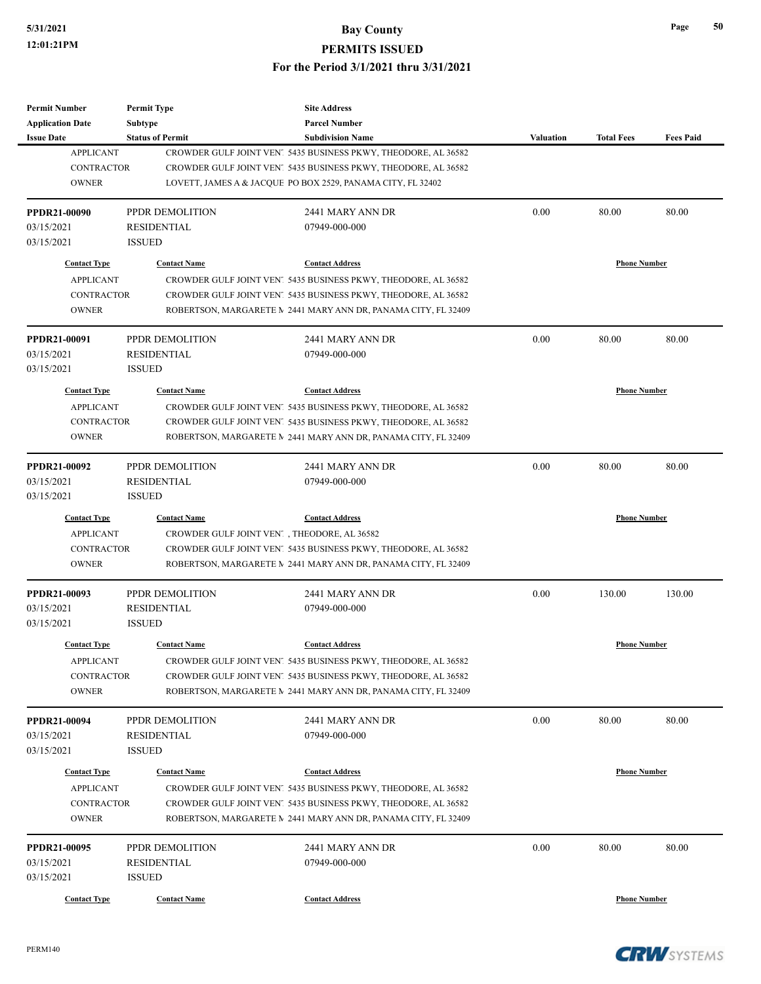**PERMITS ISSUED**

| Permit Number                         | <b>Permit Type</b>      | <b>Site Address</b>                                                                       |           |                     |                  |
|---------------------------------------|-------------------------|-------------------------------------------------------------------------------------------|-----------|---------------------|------------------|
| <b>Application Date</b>               | Subtype                 | <b>Parcel Number</b>                                                                      |           |                     |                  |
| <b>Issue Date</b><br><b>APPLICANT</b> | <b>Status of Permit</b> | <b>Subdivision Name</b><br>CROWDER GULF JOINT VEN! 5435 BUSINESS PKWY, THEODORE, AL 36582 | Valuation | <b>Total Fees</b>   | <b>Fees Paid</b> |
| <b>CONTRACTOR</b>                     |                         | CROWDER GULF JOINT VEN! 5435 BUSINESS PKWY, THEODORE, AL 36582                            |           |                     |                  |
| <b>OWNER</b>                          |                         | LOVETT, JAMES A & JACQUE PO BOX 2529, PANAMA CITY, FL 32402                               |           |                     |                  |
|                                       |                         |                                                                                           |           |                     |                  |
| <b>PPDR21-00090</b>                   | PPDR DEMOLITION         | 2441 MARY ANN DR                                                                          | 0.00      | 80.00               | 80.00            |
| 03/15/2021                            | RESIDENTIAL             | 07949-000-000                                                                             |           |                     |                  |
| 03/15/2021                            | <b>ISSUED</b>           |                                                                                           |           |                     |                  |
| <b>Contact Type</b>                   | <b>Contact Name</b>     | <b>Contact Address</b>                                                                    |           | <b>Phone Number</b> |                  |
| <b>APPLICANT</b>                      |                         | CROWDER GULF JOINT VEN! 5435 BUSINESS PKWY, THEODORE, AL 36582                            |           |                     |                  |
| <b>CONTRACTOR</b>                     |                         | CROWDER GULF JOINT VEN! 5435 BUSINESS PKWY, THEODORE, AL 36582                            |           |                     |                  |
| <b>OWNER</b>                          |                         | ROBERTSON, MARGARETE N 2441 MARY ANN DR, PANAMA CITY, FL 32409                            |           |                     |                  |
| PPDR21-00091                          | PPDR DEMOLITION         | 2441 MARY ANN DR                                                                          | 0.00      | 80.00               | 80.00            |
| 03/15/2021                            | RESIDENTIAL             | 07949-000-000                                                                             |           |                     |                  |
| 03/15/2021                            | <b>ISSUED</b>           |                                                                                           |           |                     |                  |
| <b>Contact Type</b>                   | <b>Contact Name</b>     | <b>Contact Address</b>                                                                    |           | <b>Phone Number</b> |                  |
| <b>APPLICANT</b>                      |                         | CROWDER GULF JOINT VEN! 5435 BUSINESS PKWY, THEODORE, AL 36582                            |           |                     |                  |
| <b>CONTRACTOR</b>                     |                         | CROWDER GULF JOINT VEN! 5435 BUSINESS PKWY, THEODORE, AL 36582                            |           |                     |                  |
| <b>OWNER</b>                          |                         | ROBERTSON, MARGARETE N 2441 MARY ANN DR, PANAMA CITY, FL 32409                            |           |                     |                  |
|                                       |                         |                                                                                           |           |                     |                  |
| PPDR21-00092                          | PPDR DEMOLITION         | 2441 MARY ANN DR                                                                          | 0.00      | 80.00               | 80.00            |
| 03/15/2021                            | <b>RESIDENTIAL</b>      | 07949-000-000                                                                             |           |                     |                  |
| 03/15/2021                            | <b>ISSUED</b>           |                                                                                           |           |                     |                  |
| <b>Contact Type</b>                   | <b>Contact Name</b>     | <b>Contact Address</b>                                                                    |           | <b>Phone Number</b> |                  |
| <b>APPLICANT</b>                      |                         | CROWDER GULF JOINT VEN!, THEODORE, AL 36582                                               |           |                     |                  |
| <b>CONTRACTOR</b>                     |                         | CROWDER GULF JOINT VEN! 5435 BUSINESS PKWY, THEODORE, AL 36582                            |           |                     |                  |
| <b>OWNER</b>                          |                         | ROBERTSON, MARGARETE N 2441 MARY ANN DR, PANAMA CITY, FL 32409                            |           |                     |                  |
| PPDR21-00093                          | PPDR DEMOLITION         | 2441 MARY ANN DR                                                                          | 0.00      | 130.00              | 130.00           |
| 03/15/2021                            | RESIDENTIAL             | 07949-000-000                                                                             |           |                     |                  |
| 03/15/2021                            | <b>ISSUED</b>           |                                                                                           |           |                     |                  |
| <b>Contact Type</b>                   | <b>Contact Name</b>     | <b>Contact Address</b>                                                                    |           | <b>Phone Number</b> |                  |
| <b>APPLICANT</b>                      |                         | CROWDER GULF JOINT VEN! 5435 BUSINESS PKWY, THEODORE, AL 36582                            |           |                     |                  |
| CONTRACTOR                            |                         | CROWDER GULF JOINT VEN! 5435 BUSINESS PKWY, THEODORE, AL 36582                            |           |                     |                  |
| <b>OWNER</b>                          |                         | ROBERTSON, MARGARETE N 2441 MARY ANN DR, PANAMA CITY, FL 32409                            |           |                     |                  |
| PPDR21-00094                          | PPDR DEMOLITION         | 2441 MARY ANN DR                                                                          | 0.00      | 80.00               | 80.00            |
| 03/15/2021                            | <b>RESIDENTIAL</b>      | 07949-000-000                                                                             |           |                     |                  |
| 03/15/2021                            | <b>ISSUED</b>           |                                                                                           |           |                     |                  |
| <b>Contact Type</b>                   | <b>Contact Name</b>     | <b>Contact Address</b>                                                                    |           | <b>Phone Number</b> |                  |
| <b>APPLICANT</b>                      |                         | CROWDER GULF JOINT VEN! 5435 BUSINESS PKWY, THEODORE, AL 36582                            |           |                     |                  |
| <b>CONTRACTOR</b>                     |                         | CROWDER GULF JOINT VEN! 5435 BUSINESS PKWY, THEODORE, AL 36582                            |           |                     |                  |
| <b>OWNER</b>                          |                         | ROBERTSON, MARGARETE N 2441 MARY ANN DR, PANAMA CITY, FL 32409                            |           |                     |                  |
|                                       |                         |                                                                                           |           |                     |                  |
| PPDR21-00095                          | PPDR DEMOLITION         | 2441 MARY ANN DR                                                                          | 0.00      | 80.00               | 80.00            |
| 03/15/2021                            | <b>RESIDENTIAL</b>      | 07949-000-000                                                                             |           |                     |                  |
| 03/15/2021                            | <b>ISSUED</b>           |                                                                                           |           |                     |                  |
| <b>Contact Type</b>                   | <b>Contact Name</b>     | <b>Contact Address</b>                                                                    |           | <b>Phone Number</b> |                  |

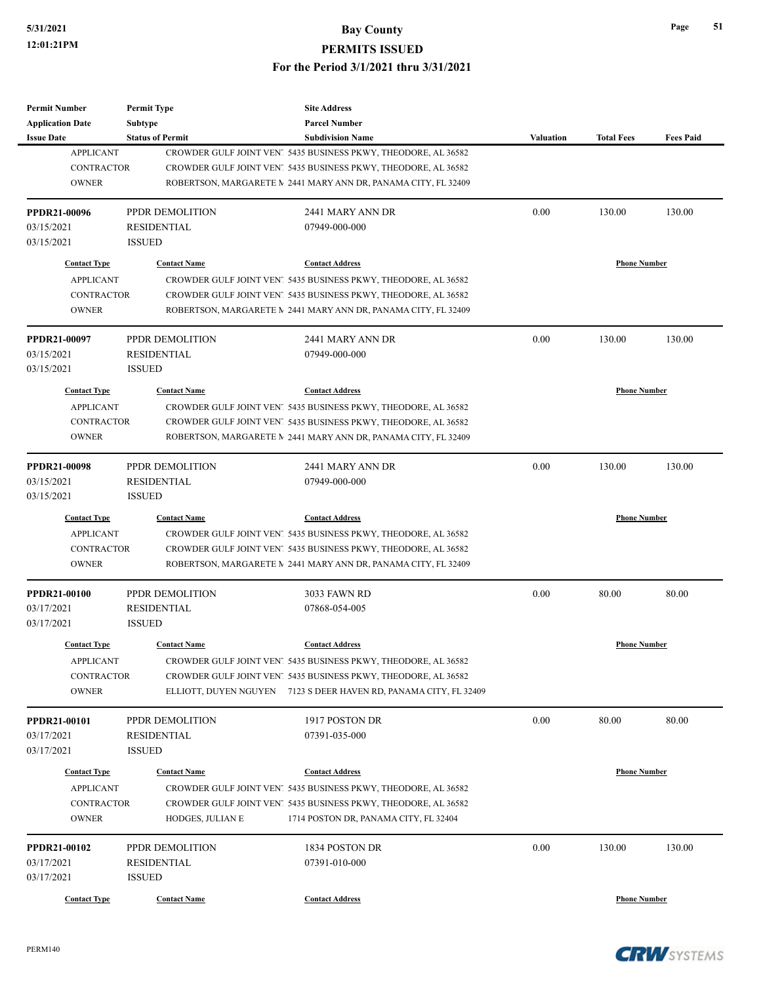#### **PERMITS ISSUED**

#### **For the Period 3/1/2021 thru 3/31/2021**

| <b>Permit Number</b>    | <b>Permit Type</b>      | <b>Site Address</b>                                               |                  |                     |                  |
|-------------------------|-------------------------|-------------------------------------------------------------------|------------------|---------------------|------------------|
| <b>Application Date</b> | Subtype                 | <b>Parcel Number</b>                                              |                  |                     |                  |
| <b>Issue Date</b>       | <b>Status of Permit</b> | <b>Subdivision Name</b>                                           | <b>Valuation</b> | <b>Total Fees</b>   | <b>Fees Paid</b> |
| <b>APPLICANT</b>        |                         | CROWDER GULF JOINT VEN! 5435 BUSINESS PKWY, THEODORE, AL 36582    |                  |                     |                  |
| <b>CONTRACTOR</b>       |                         | CROWDER GULF JOINT VEN! 5435 BUSINESS PKWY, THEODORE, AL 36582    |                  |                     |                  |
| <b>OWNER</b>            |                         | ROBERTSON, MARGARETE N 2441 MARY ANN DR, PANAMA CITY, FL 32409    |                  |                     |                  |
| <b>PPDR21-00096</b>     | PPDR DEMOLITION         | 2441 MARY ANN DR                                                  | 0.00             | 130.00              | 130.00           |
| 03/15/2021              | <b>RESIDENTIAL</b>      | 07949-000-000                                                     |                  |                     |                  |
| 03/15/2021              | <b>ISSUED</b>           |                                                                   |                  |                     |                  |
| <b>Contact Type</b>     | <b>Contact Name</b>     | <b>Contact Address</b>                                            |                  | <b>Phone Number</b> |                  |
| <b>APPLICANT</b>        |                         | CROWDER GULF JOINT VEN! 5435 BUSINESS PKWY, THEODORE, AL 36582    |                  |                     |                  |
| <b>CONTRACTOR</b>       |                         | CROWDER GULF JOINT VEN! 5435 BUSINESS PKWY, THEODORE, AL 36582    |                  |                     |                  |
| <b>OWNER</b>            |                         | ROBERTSON, MARGARETE N 2441 MARY ANN DR, PANAMA CITY, FL 32409    |                  |                     |                  |
| <b>PPDR21-00097</b>     | PPDR DEMOLITION         | 2441 MARY ANN DR                                                  | 0.00             | 130.00              | 130.00           |
| 03/15/2021              | <b>RESIDENTIAL</b>      | 07949-000-000                                                     |                  |                     |                  |
| 03/15/2021              | <b>ISSUED</b>           |                                                                   |                  |                     |                  |
| <b>Contact Type</b>     | <b>Contact Name</b>     | <b>Contact Address</b>                                            |                  | <b>Phone Number</b> |                  |
| <b>APPLICANT</b>        |                         | CROWDER GULF JOINT VEN! 5435 BUSINESS PKWY, THEODORE, AL 36582    |                  |                     |                  |
| <b>CONTRACTOR</b>       |                         | CROWDER GULF JOINT VEN! 5435 BUSINESS PKWY, THEODORE, AL 36582    |                  |                     |                  |
| <b>OWNER</b>            |                         | ROBERTSON, MARGARETE N 2441 MARY ANN DR, PANAMA CITY, FL 32409    |                  |                     |                  |
|                         |                         |                                                                   |                  |                     |                  |
| <b>PPDR21-00098</b>     | PPDR DEMOLITION         | 2441 MARY ANN DR                                                  | 0.00             | 130.00              | 130.00           |
| 03/15/2021              | <b>RESIDENTIAL</b>      | 07949-000-000                                                     |                  |                     |                  |
| 03/15/2021              | <b>ISSUED</b>           |                                                                   |                  |                     |                  |
| <b>Contact Type</b>     | <b>Contact Name</b>     | <b>Contact Address</b>                                            |                  | <b>Phone Number</b> |                  |
| <b>APPLICANT</b>        |                         | CROWDER GULF JOINT VEN! 5435 BUSINESS PKWY, THEODORE, AL 36582    |                  |                     |                  |
| <b>CONTRACTOR</b>       |                         | CROWDER GULF JOINT VEN! 5435 BUSINESS PKWY, THEODORE, AL 36582    |                  |                     |                  |
| <b>OWNER</b>            |                         | ROBERTSON, MARGARETE N 2441 MARY ANN DR, PANAMA CITY, FL 32409    |                  |                     |                  |
| <b>PPDR21-00100</b>     | PPDR DEMOLITION         | 3033 FAWN RD                                                      | 0.00             | 80.00               | 80.00            |
| 03/17/2021              | <b>RESIDENTIAL</b>      | 07868-054-005                                                     |                  |                     |                  |
| 03/17/2021              | <b>ISSUED</b>           |                                                                   |                  |                     |                  |
| <b>Contact Type</b>     | <b>Contact Name</b>     | <b>Contact Address</b>                                            |                  | <b>Phone Number</b> |                  |
| <b>APPLICANT</b>        |                         | CROWDER GULF JOINT VEN! 5435 BUSINESS PKWY, THEODORE, AL 36582    |                  |                     |                  |
| <b>CONTRACTOR</b>       |                         | CROWDER GULF JOINT VEN! 5435 BUSINESS PKWY, THEODORE, AL 36582    |                  |                     |                  |
| <b>OWNER</b>            |                         | ELLIOTT, DUYEN NGUYEN 7123 S DEER HAVEN RD, PANAMA CITY, FL 32409 |                  |                     |                  |
| PPDR21-00101            | PPDR DEMOLITION         | 1917 POSTON DR                                                    | 0.00             | 80.00               | 80.00            |
| 03/17/2021              | <b>RESIDENTIAL</b>      | 07391-035-000                                                     |                  |                     |                  |
| 03/17/2021              | <b>ISSUED</b>           |                                                                   |                  |                     |                  |
| <b>Contact Type</b>     | <b>Contact Name</b>     | <b>Contact Address</b>                                            |                  | <b>Phone Number</b> |                  |
| <b>APPLICANT</b>        |                         | CROWDER GULF JOINT VEN! 5435 BUSINESS PKWY, THEODORE, AL 36582    |                  |                     |                  |
| <b>CONTRACTOR</b>       |                         | CROWDER GULF JOINT VEN! 5435 BUSINESS PKWY, THEODORE, AL 36582    |                  |                     |                  |
| <b>OWNER</b>            | HODGES, JULIAN E        | 1714 POSTON DR, PANAMA CITY, FL 32404                             |                  |                     |                  |
| PPDR21-00102            | PPDR DEMOLITION         | 1834 POSTON DR                                                    | 0.00             | 130.00              | 130.00           |
| 03/17/2021              | <b>RESIDENTIAL</b>      | 07391-010-000                                                     |                  |                     |                  |
| 03/17/2021              | <b>ISSUED</b>           |                                                                   |                  |                     |                  |
|                         | <b>Contact Name</b>     | <b>Contact Address</b>                                            |                  | <b>Phone Number</b> |                  |
| <b>Contact Type</b>     |                         |                                                                   |                  |                     |                  |

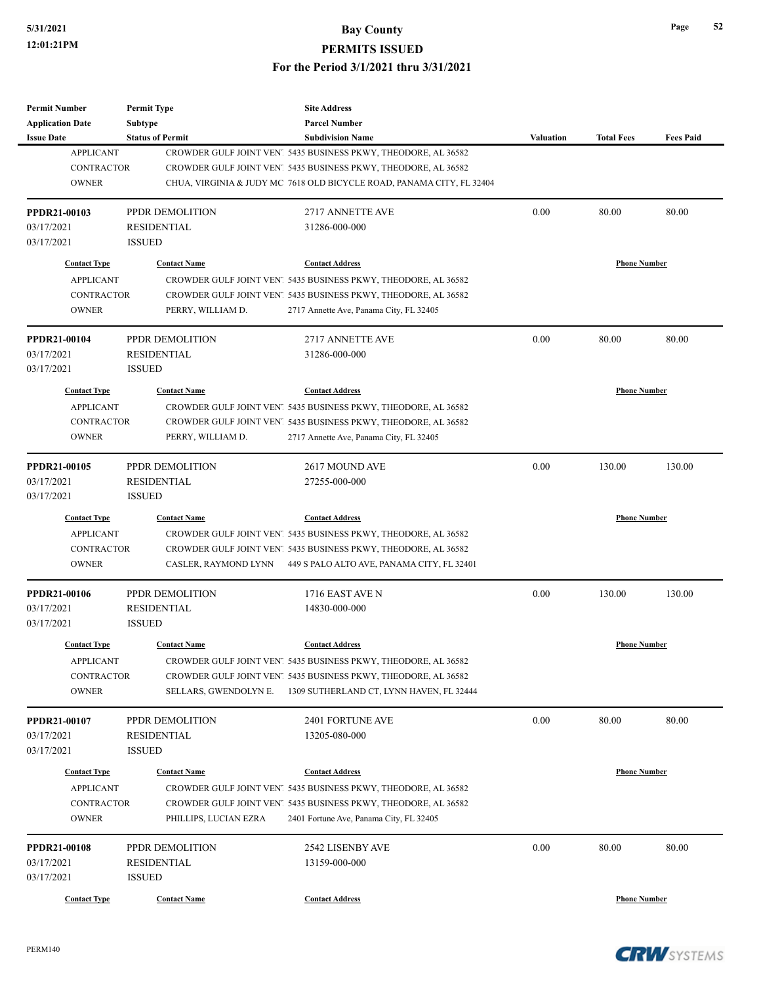**PERMITS ISSUED**

**For the Period 3/1/2021 thru 3/31/2021**

| Permit Number                         | <b>Permit Type</b>      | <b>Site Address</b>                                                   |                     |                     |                  |
|---------------------------------------|-------------------------|-----------------------------------------------------------------------|---------------------|---------------------|------------------|
| <b>Application Date</b>               | Subtype                 | <b>Parcel Number</b><br><b>Subdivision Name</b>                       |                     |                     | <b>Fees Paid</b> |
| <b>Issue Date</b><br><b>APPLICANT</b> | <b>Status of Permit</b> | CROWDER GULF JOINT VEN! 5435 BUSINESS PKWY, THEODORE, AL 36582        | <b>Valuation</b>    | <b>Total Fees</b>   |                  |
| <b>CONTRACTOR</b>                     |                         | CROWDER GULF JOINT VEN! 5435 BUSINESS PKWY, THEODORE, AL 36582        |                     |                     |                  |
| <b>OWNER</b>                          |                         | CHUA, VIRGINIA & JUDY MC 7618 OLD BICYCLE ROAD, PANAMA CITY, FL 32404 |                     |                     |                  |
|                                       |                         |                                                                       |                     |                     |                  |
| PPDR21-00103                          | PPDR DEMOLITION         | 2717 ANNETTE AVE                                                      | 0.00                | 80.00               | 80.00            |
| 03/17/2021                            | <b>RESIDENTIAL</b>      | 31286-000-000                                                         |                     |                     |                  |
| 03/17/2021                            | <b>ISSUED</b>           |                                                                       |                     |                     |                  |
| <b>Contact Type</b>                   | <b>Contact Name</b>     | <b>Contact Address</b>                                                |                     | <b>Phone Number</b> |                  |
| <b>APPLICANT</b>                      |                         | CROWDER GULF JOINT VEN! 5435 BUSINESS PKWY, THEODORE, AL 36582        |                     |                     |                  |
| <b>CONTRACTOR</b>                     |                         | CROWDER GULF JOINT VEN! 5435 BUSINESS PKWY, THEODORE, AL 36582        |                     |                     |                  |
| <b>OWNER</b>                          | PERRY, WILLIAM D.       | 2717 Annette Ave, Panama City, FL 32405                               |                     |                     |                  |
| PPDR21-00104                          | PPDR DEMOLITION         | 2717 ANNETTE AVE                                                      | 0.00                | 80.00               | 80.00            |
| 03/17/2021                            | RESIDENTIAL             | 31286-000-000                                                         |                     |                     |                  |
| 03/17/2021                            | <b>ISSUED</b>           |                                                                       |                     |                     |                  |
| <b>Contact Type</b>                   | <b>Contact Name</b>     | <b>Contact Address</b>                                                |                     | <b>Phone Number</b> |                  |
| <b>APPLICANT</b>                      |                         | CROWDER GULF JOINT VEN! 5435 BUSINESS PKWY, THEODORE, AL 36582        |                     |                     |                  |
| <b>CONTRACTOR</b>                     |                         | CROWDER GULF JOINT VEN! 5435 BUSINESS PKWY, THEODORE, AL 36582        |                     |                     |                  |
| <b>OWNER</b>                          | PERRY, WILLIAM D.       | 2717 Annette Ave, Panama City, FL 32405                               |                     |                     |                  |
|                                       |                         |                                                                       |                     |                     |                  |
| PPDR21-00105                          | PPDR DEMOLITION         | 2617 MOUND AVE                                                        | 0.00                | 130.00              | 130.00           |
| 03/17/2021                            | <b>RESIDENTIAL</b>      | 27255-000-000                                                         |                     |                     |                  |
| 03/17/2021                            | <b>ISSUED</b>           |                                                                       |                     |                     |                  |
| <b>Contact Type</b>                   | <b>Contact Name</b>     | <b>Contact Address</b>                                                | <b>Phone Number</b> |                     |                  |
| <b>APPLICANT</b>                      |                         | CROWDER GULF JOINT VEN! 5435 BUSINESS PKWY, THEODORE, AL 36582        |                     |                     |                  |
| <b>CONTRACTOR</b>                     |                         | CROWDER GULF JOINT VEN! 5435 BUSINESS PKWY, THEODORE, AL 36582        |                     |                     |                  |
| <b>OWNER</b>                          | CASLER, RAYMOND LYNN    | 449 S PALO ALTO AVE, PANAMA CITY, FL 32401                            |                     |                     |                  |
| PPDR21-00106                          | PPDR DEMOLITION         | 1716 EAST AVE N                                                       | 0.00                | 130.00              | 130.00           |
| 03/17/2021                            | <b>RESIDENTIAL</b>      | 14830-000-000                                                         |                     |                     |                  |
| 03/17/2021                            | <b>ISSUED</b>           |                                                                       |                     |                     |                  |
| <b>Contact Type</b>                   | <b>Contact Name</b>     | <b>Contact Address</b>                                                |                     | <b>Phone Number</b> |                  |
| <b>APPLICANT</b>                      |                         | CROWDER GULF JOINT VEN! 5435 BUSINESS PKWY, THEODORE, AL 36582        |                     |                     |                  |
| <b>CONTRACTOR</b>                     |                         | CROWDER GULF JOINT VEN! 5435 BUSINESS PKWY, THEODORE, AL 36582        |                     |                     |                  |
| <b>OWNER</b>                          | SELLARS, GWENDOLYN E.   | 1309 SUTHERLAND CT, LYNN HAVEN, FL 32444                              |                     |                     |                  |
| PPDR21-00107                          | PPDR DEMOLITION         | 2401 FORTUNE AVE                                                      | 0.00                | 80.00               | 80.00            |
| 03/17/2021                            | <b>RESIDENTIAL</b>      | 13205-080-000                                                         |                     |                     |                  |
| 03/17/2021                            | <b>ISSUED</b>           |                                                                       |                     |                     |                  |
|                                       |                         |                                                                       |                     |                     |                  |
| <b>Contact Type</b>                   | <b>Contact Name</b>     | <b>Contact Address</b>                                                |                     | <b>Phone Number</b> |                  |
| <b>APPLICANT</b>                      |                         | CROWDER GULF JOINT VEN! 5435 BUSINESS PKWY, THEODORE, AL 36582        |                     |                     |                  |
| <b>CONTRACTOR</b>                     |                         | CROWDER GULF JOINT VEN! 5435 BUSINESS PKWY, THEODORE, AL 36582        |                     |                     |                  |
| <b>OWNER</b>                          | PHILLIPS, LUCIAN EZRA   | 2401 Fortune Ave, Panama City, FL 32405                               |                     |                     |                  |
| <b>PPDR21-00108</b>                   | PPDR DEMOLITION         | 2542 LISENBY AVE                                                      | 0.00                | 80.00               | 80.00            |
| 03/17/2021                            | <b>RESIDENTIAL</b>      | 13159-000-000                                                         |                     |                     |                  |
| 03/17/2021                            | <b>ISSUED</b>           |                                                                       |                     |                     |                  |
| <b>Contact Type</b>                   | <b>Contact Name</b>     | <b>Contact Address</b>                                                |                     | <b>Phone Number</b> |                  |
|                                       |                         |                                                                       |                     |                     |                  |

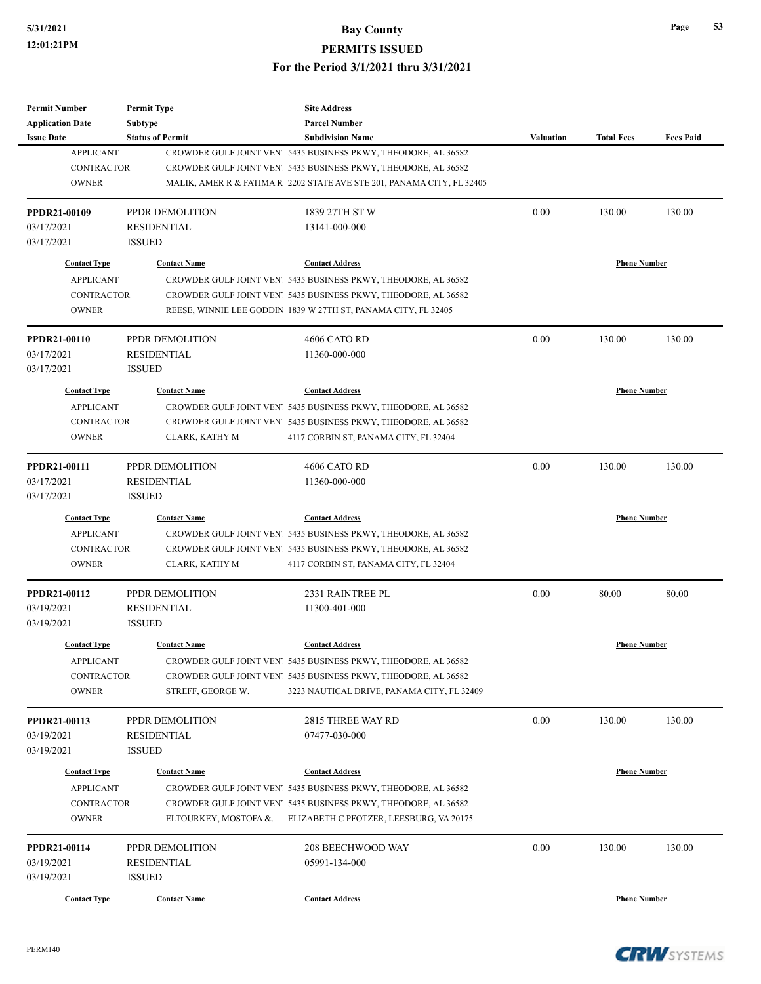**PERMITS ISSUED**

| <b>Permit Number</b>                  | <b>Permit Type</b>      | <b>Site Address</b>                                                                                                                      |           |                     |                  |
|---------------------------------------|-------------------------|------------------------------------------------------------------------------------------------------------------------------------------|-----------|---------------------|------------------|
| <b>Application Date</b>               | Subtype                 | <b>Parcel Number</b>                                                                                                                     |           |                     |                  |
| <b>Issue Date</b><br><b>APPLICANT</b> | <b>Status of Permit</b> | <b>Subdivision Name</b>                                                                                                                  | Valuation | <b>Total Fees</b>   | <b>Fees Paid</b> |
| <b>CONTRACTOR</b>                     |                         | CROWDER GULF JOINT VEN! 5435 BUSINESS PKWY, THEODORE, AL 36582                                                                           |           |                     |                  |
| <b>OWNER</b>                          |                         | CROWDER GULF JOINT VEN! 5435 BUSINESS PKWY, THEODORE, AL 36582<br>MALIK, AMER R & FATIMA R 2202 STATE AVE STE 201, PANAMA CITY, FL 32405 |           |                     |                  |
|                                       |                         |                                                                                                                                          |           |                     |                  |
| PPDR21-00109                          | PPDR DEMOLITION         | 1839 27TH ST W                                                                                                                           | 0.00      | 130.00              | 130.00           |
| 03/17/2021                            | <b>RESIDENTIAL</b>      | 13141-000-000                                                                                                                            |           |                     |                  |
| 03/17/2021                            | <b>ISSUED</b>           |                                                                                                                                          |           |                     |                  |
| <b>Contact Type</b>                   | <b>Contact Name</b>     | <b>Contact Address</b>                                                                                                                   |           | <b>Phone Number</b> |                  |
| <b>APPLICANT</b>                      |                         | CROWDER GULF JOINT VEN! 5435 BUSINESS PKWY, THEODORE, AL 36582                                                                           |           |                     |                  |
| <b>CONTRACTOR</b>                     |                         | CROWDER GULF JOINT VEN! 5435 BUSINESS PKWY, THEODORE, AL 36582                                                                           |           |                     |                  |
| <b>OWNER</b>                          |                         | REESE, WINNIE LEE GODDIN 1839 W 27TH ST, PANAMA CITY, FL 32405                                                                           |           |                     |                  |
| PPDR21-00110                          | PPDR DEMOLITION         | 4606 CATO RD                                                                                                                             | 0.00      | 130.00              | 130.00           |
| 03/17/2021                            | RESIDENTIAL             | 11360-000-000                                                                                                                            |           |                     |                  |
| 03/17/2021                            | <b>ISSUED</b>           |                                                                                                                                          |           |                     |                  |
| <b>Contact Type</b>                   | <b>Contact Name</b>     | <b>Contact Address</b>                                                                                                                   |           | <b>Phone Number</b> |                  |
| <b>APPLICANT</b>                      |                         | CROWDER GULF JOINT VEN! 5435 BUSINESS PKWY, THEODORE, AL 36582                                                                           |           |                     |                  |
| <b>CONTRACTOR</b>                     |                         | CROWDER GULF JOINT VEN! 5435 BUSINESS PKWY, THEODORE, AL 36582                                                                           |           |                     |                  |
| <b>OWNER</b>                          | CLARK, KATHY M          | 4117 CORBIN ST, PANAMA CITY, FL 32404                                                                                                    |           |                     |                  |
|                                       |                         |                                                                                                                                          |           |                     |                  |
| PPDR21-00111                          | PPDR DEMOLITION         | 4606 CATO RD                                                                                                                             | 0.00      | 130.00              | 130.00           |
| 03/17/2021                            | RESIDENTIAL             | 11360-000-000                                                                                                                            |           |                     |                  |
| 03/17/2021                            | <b>ISSUED</b>           |                                                                                                                                          |           |                     |                  |
| <b>Contact Type</b>                   | <b>Contact Name</b>     | <b>Contact Address</b>                                                                                                                   |           | <b>Phone Number</b> |                  |
| <b>APPLICANT</b>                      |                         | CROWDER GULF JOINT VEN! 5435 BUSINESS PKWY, THEODORE, AL 36582                                                                           |           |                     |                  |
| <b>CONTRACTOR</b>                     |                         | CROWDER GULF JOINT VEN! 5435 BUSINESS PKWY, THEODORE, AL 36582                                                                           |           |                     |                  |
| <b>OWNER</b>                          | CLARK, KATHY M          | 4117 CORBIN ST, PANAMA CITY, FL 32404                                                                                                    |           |                     |                  |
| PPDR21-00112                          | PPDR DEMOLITION         | 2331 RAINTREE PL                                                                                                                         | 0.00      | 80.00               | 80.00            |
| 03/19/2021                            | RESIDENTIAL             | 11300-401-000                                                                                                                            |           |                     |                  |
| 03/19/2021                            | <b>ISSUED</b>           |                                                                                                                                          |           |                     |                  |
| <b>Contact Type</b>                   | <b>Contact Name</b>     | <b>Contact Address</b>                                                                                                                   |           | <b>Phone Number</b> |                  |
| <b>APPLICANT</b>                      |                         | CROWDER GULF JOINT VEN! 5435 BUSINESS PKWY, THEODORE, AL 36582                                                                           |           |                     |                  |
| <b>CONTRACTOR</b>                     |                         | CROWDER GULF JOINT VEN! 5435 BUSINESS PKWY, THEODORE, AL 36582                                                                           |           |                     |                  |
| <b>OWNER</b>                          | STREFF, GEORGE W.       | 3223 NAUTICAL DRIVE, PANAMA CITY, FL 32409                                                                                               |           |                     |                  |
| PPDR21-00113                          | PPDR DEMOLITION         | 2815 THREE WAY RD                                                                                                                        | 0.00      | 130.00              | 130.00           |
| 03/19/2021                            | <b>RESIDENTIAL</b>      | 07477-030-000                                                                                                                            |           |                     |                  |
| 03/19/2021                            | <b>ISSUED</b>           |                                                                                                                                          |           |                     |                  |
| <b>Contact Type</b>                   | <b>Contact Name</b>     | <b>Contact Address</b>                                                                                                                   |           | <b>Phone Number</b> |                  |
| <b>APPLICANT</b>                      |                         | CROWDER GULF JOINT VEN! 5435 BUSINESS PKWY, THEODORE, AL 36582                                                                           |           |                     |                  |
| <b>CONTRACTOR</b>                     |                         | CROWDER GULF JOINT VEN! 5435 BUSINESS PKWY, THEODORE, AL 36582                                                                           |           |                     |                  |
| <b>OWNER</b>                          | ELTOURKEY, MOSTOFA &.   | ELIZABETH C PFOTZER, LEESBURG, VA 20175                                                                                                  |           |                     |                  |
| PPDR21-00114                          | PPDR DEMOLITION         | 208 BEECHWOOD WAY                                                                                                                        | 0.00      | 130.00              | 130.00           |
| 03/19/2021                            | <b>RESIDENTIAL</b>      | 05991-134-000                                                                                                                            |           |                     |                  |
| 03/19/2021                            | <b>ISSUED</b>           |                                                                                                                                          |           |                     |                  |
|                                       |                         |                                                                                                                                          |           |                     |                  |
| <b>Contact Type</b>                   | <b>Contact Name</b>     | <b>Contact Address</b>                                                                                                                   |           | <b>Phone Number</b> |                  |

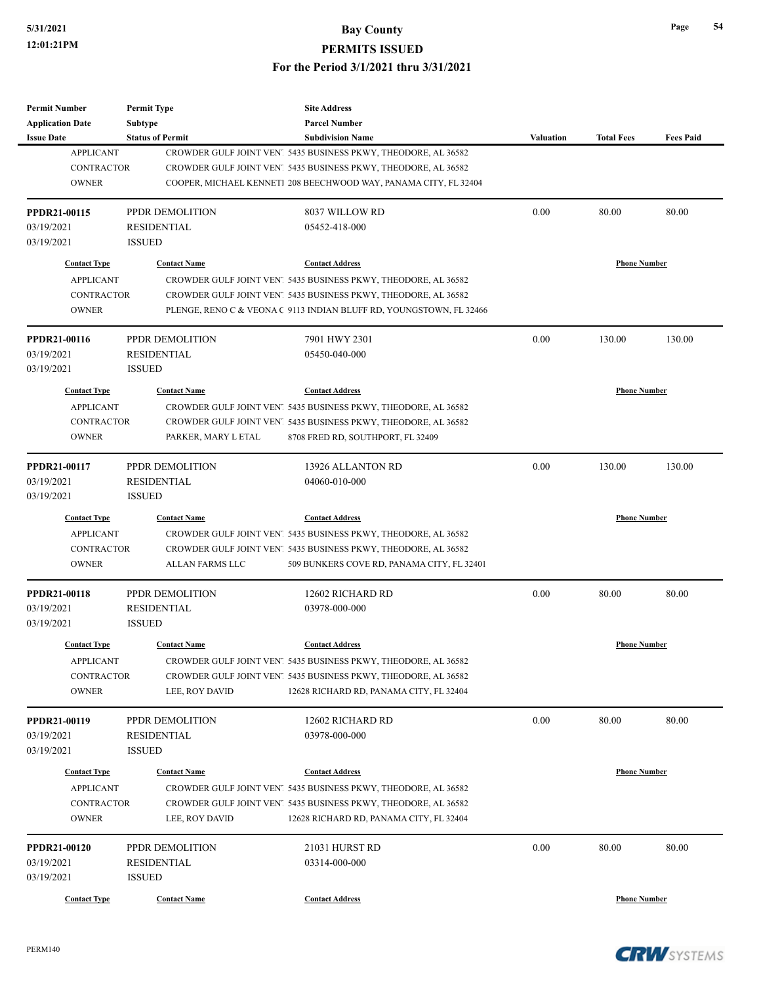**PERMITS ISSUED**

**For the Period 3/1/2021 thru 3/31/2021**

| <b>Permit Number</b>    | <b>Permit Type</b>      | <b>Site Address</b>                                                 |           |                     |                  |
|-------------------------|-------------------------|---------------------------------------------------------------------|-----------|---------------------|------------------|
| <b>Application Date</b> | <b>Subtype</b>          | <b>Parcel Number</b>                                                |           |                     |                  |
| <b>Issue Date</b>       | <b>Status of Permit</b> | <b>Subdivision Name</b>                                             | Valuation | <b>Total Fees</b>   | <b>Fees Paid</b> |
| <b>APPLICANT</b>        |                         | CROWDER GULF JOINT VEN! 5435 BUSINESS PKWY, THEODORE, AL 36582      |           |                     |                  |
| <b>CONTRACTOR</b>       |                         | CROWDER GULF JOINT VEN! 5435 BUSINESS PKWY, THEODORE, AL 36582      |           |                     |                  |
| <b>OWNER</b>            |                         | COOPER, MICHAEL KENNETI 208 BEECHWOOD WAY, PANAMA CITY, FL 32404    |           |                     |                  |
| PPDR21-00115            | PPDR DEMOLITION         | 8037 WILLOW RD                                                      | 0.00      | 80.00               | 80.00            |
| 03/19/2021              | <b>RESIDENTIAL</b>      | 05452-418-000                                                       |           |                     |                  |
| 03/19/2021              | <b>ISSUED</b>           |                                                                     |           |                     |                  |
| <b>Contact Type</b>     | <b>Contact Name</b>     | <b>Contact Address</b>                                              |           | <b>Phone Number</b> |                  |
| <b>APPLICANT</b>        |                         | CROWDER GULF JOINT VEN! 5435 BUSINESS PKWY, THEODORE, AL 36582      |           |                     |                  |
| <b>CONTRACTOR</b>       |                         | CROWDER GULF JOINT VEN! 5435 BUSINESS PKWY, THEODORE, AL 36582      |           |                     |                  |
| <b>OWNER</b>            |                         | PLENGE, RENO C & VEONA C 9113 INDIAN BLUFF RD, YOUNGSTOWN, FL 32466 |           |                     |                  |
| PPDR21-00116            | PPDR DEMOLITION         | 7901 HWY 2301                                                       | 0.00      | 130.00              | 130.00           |
| 03/19/2021              | RESIDENTIAL             | 05450-040-000                                                       |           |                     |                  |
| 03/19/2021              | <b>ISSUED</b>           |                                                                     |           |                     |                  |
| <b>Contact Type</b>     | <b>Contact Name</b>     | <b>Contact Address</b>                                              |           | <b>Phone Number</b> |                  |
| <b>APPLICANT</b>        |                         | CROWDER GULF JOINT VEN! 5435 BUSINESS PKWY, THEODORE, AL 36582      |           |                     |                  |
| <b>CONTRACTOR</b>       |                         | CROWDER GULF JOINT VEN! 5435 BUSINESS PKWY, THEODORE, AL 36582      |           |                     |                  |
| <b>OWNER</b>            | PARKER, MARY L ETAL     | 8708 FRED RD, SOUTHPORT, FL 32409                                   |           |                     |                  |
|                         |                         |                                                                     |           |                     |                  |
| PPDR21-00117            | PPDR DEMOLITION         | 13926 ALLANTON RD                                                   | 0.00      | 130.00              | 130.00           |
| 03/19/2021              | <b>RESIDENTIAL</b>      | 04060-010-000                                                       |           |                     |                  |
| 03/19/2021              | <b>ISSUED</b>           |                                                                     |           |                     |                  |
| <b>Contact Type</b>     | <b>Contact Name</b>     | <b>Contact Address</b>                                              |           | <b>Phone Number</b> |                  |
| <b>APPLICANT</b>        |                         | CROWDER GULF JOINT VEN! 5435 BUSINESS PKWY, THEODORE, AL 36582      |           |                     |                  |
| <b>CONTRACTOR</b>       |                         | CROWDER GULF JOINT VEN! 5435 BUSINESS PKWY, THEODORE, AL 36582      |           |                     |                  |
| <b>OWNER</b>            | ALLAN FARMS LLC         | 509 BUNKERS COVE RD, PANAMA CITY, FL 32401                          |           |                     |                  |
| PPDR21-00118            | PPDR DEMOLITION         | 12602 RICHARD RD                                                    | 0.00      | 80.00               | 80.00            |
| 03/19/2021              | <b>RESIDENTIAL</b>      | 03978-000-000                                                       |           |                     |                  |
| 03/19/2021              | <b>ISSUED</b>           |                                                                     |           |                     |                  |
| <b>Contact Type</b>     | <b>Contact Name</b>     | <b>Contact Address</b>                                              |           | <b>Phone Number</b> |                  |
| APPLICANT               |                         | CROWDER GULF JOINT VEN! 5435 BUSINESS PKWY, THEODORE, AL 36582      |           |                     |                  |
| <b>CONTRACTOR</b>       |                         | CROWDER GULF JOINT VEN! 5435 BUSINESS PKWY, THEODORE, AL 36582      |           |                     |                  |
| <b>OWNER</b>            | LEE, ROY DAVID          | 12628 RICHARD RD, PANAMA CITY, FL 32404                             |           |                     |                  |
| PPDR21-00119            | PPDR DEMOLITION         | 12602 RICHARD RD                                                    | 0.00      | 80.00               | 80.00            |
| 03/19/2021              | <b>RESIDENTIAL</b>      | 03978-000-000                                                       |           |                     |                  |
| 03/19/2021              | <b>ISSUED</b>           |                                                                     |           |                     |                  |
| <b>Contact Type</b>     | <b>Contact Name</b>     | <b>Contact Address</b>                                              |           | <b>Phone Number</b> |                  |
| <b>APPLICANT</b>        |                         | CROWDER GULF JOINT VEN! 5435 BUSINESS PKWY, THEODORE, AL 36582      |           |                     |                  |
| <b>CONTRACTOR</b>       |                         | CROWDER GULF JOINT VEN! 5435 BUSINESS PKWY, THEODORE, AL 36582      |           |                     |                  |
| <b>OWNER</b>            | LEE, ROY DAVID          | 12628 RICHARD RD, PANAMA CITY, FL 32404                             |           |                     |                  |
|                         |                         |                                                                     |           |                     |                  |
| <b>PPDR21-00120</b>     | PPDR DEMOLITION         | 21031 HURST RD                                                      | 0.00      | 80.00               | 80.00            |
| 03/19/2021              | <b>RESIDENTIAL</b>      | 03314-000-000                                                       |           |                     |                  |
| 03/19/2021              | <b>ISSUED</b>           |                                                                     |           |                     |                  |
| <b>Contact Type</b>     | <b>Contact Name</b>     | <b>Contact Address</b>                                              |           | <b>Phone Number</b> |                  |

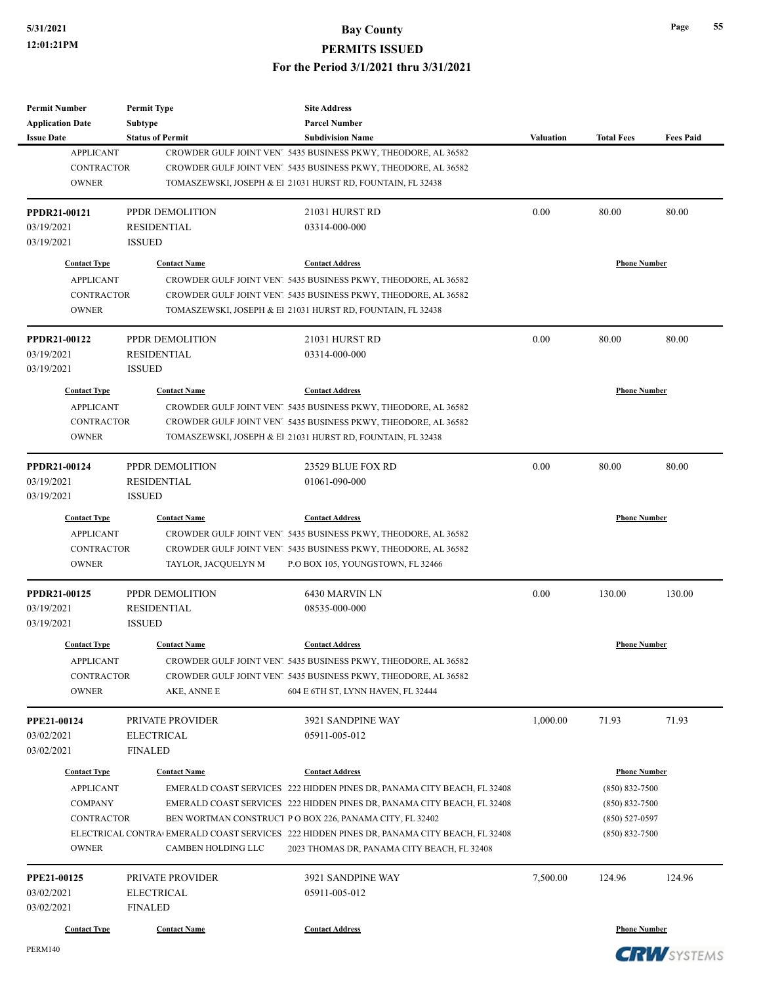**PERMITS ISSUED**

| <b>Permit Number</b>    | <b>Permit Type</b>      | <b>Site Address</b>                                                                        |           |                     |                  |
|-------------------------|-------------------------|--------------------------------------------------------------------------------------------|-----------|---------------------|------------------|
| <b>Application Date</b> | Subtype                 | <b>Parcel Number</b>                                                                       |           |                     |                  |
| <b>Issue Date</b>       | <b>Status of Permit</b> | <b>Subdivision Name</b>                                                                    | Valuation | <b>Total Fees</b>   | <b>Fees Paid</b> |
| <b>APPLICANT</b>        |                         | CROWDER GULF JOINT VEN! 5435 BUSINESS PKWY, THEODORE, AL 36582                             |           |                     |                  |
| <b>CONTRACTOR</b>       |                         | CROWDER GULF JOINT VEN! 5435 BUSINESS PKWY, THEODORE, AL 36582                             |           |                     |                  |
| <b>OWNER</b>            |                         | TOMASZEWSKI, JOSEPH & El 21031 HURST RD, FOUNTAIN, FL 32438                                |           |                     |                  |
| PPDR21-00121            | PPDR DEMOLITION         | 21031 HURST RD                                                                             | 0.00      | 80.00               | 80.00            |
| 03/19/2021              | <b>RESIDENTIAL</b>      | 03314-000-000                                                                              |           |                     |                  |
| 03/19/2021              | <b>ISSUED</b>           |                                                                                            |           |                     |                  |
| <b>Contact Type</b>     | <b>Contact Name</b>     | <b>Contact Address</b>                                                                     |           | <b>Phone Number</b> |                  |
| <b>APPLICANT</b>        |                         | CROWDER GULF JOINT VEN! 5435 BUSINESS PKWY, THEODORE, AL 36582                             |           |                     |                  |
| <b>CONTRACTOR</b>       |                         | CROWDER GULF JOINT VEN! 5435 BUSINESS PKWY, THEODORE, AL 36582                             |           |                     |                  |
| <b>OWNER</b>            |                         | TOMASZEWSKI, JOSEPH & El 21031 HURST RD, FOUNTAIN, FL 32438                                |           |                     |                  |
| PPDR21-00122            | PPDR DEMOLITION         | 21031 HURST RD                                                                             | 0.00      | 80.00               | 80.00            |
| 03/19/2021              | <b>RESIDENTIAL</b>      | 03314-000-000                                                                              |           |                     |                  |
| 03/19/2021              | <b>ISSUED</b>           |                                                                                            |           |                     |                  |
| <b>Contact Type</b>     | <b>Contact Name</b>     | <b>Contact Address</b>                                                                     |           | <b>Phone Number</b> |                  |
| <b>APPLICANT</b>        |                         | CROWDER GULF JOINT VEN! 5435 BUSINESS PKWY, THEODORE, AL 36582                             |           |                     |                  |
| <b>CONTRACTOR</b>       |                         | CROWDER GULF JOINT VEN! 5435 BUSINESS PKWY, THEODORE, AL 36582                             |           |                     |                  |
| <b>OWNER</b>            |                         | TOMASZEWSKI, JOSEPH & El 21031 HURST RD, FOUNTAIN, FL 32438                                |           |                     |                  |
|                         |                         |                                                                                            |           |                     |                  |
| PPDR21-00124            | PPDR DEMOLITION         | 23529 BLUE FOX RD                                                                          | 0.00      | 80.00               | 80.00            |
| 03/19/2021              | <b>RESIDENTIAL</b>      | 01061-090-000                                                                              |           |                     |                  |
| 03/19/2021              | <b>ISSUED</b>           |                                                                                            |           |                     |                  |
| <b>Contact Type</b>     | <b>Contact Name</b>     | <b>Contact Address</b>                                                                     |           | <b>Phone Number</b> |                  |
| <b>APPLICANT</b>        |                         | CROWDER GULF JOINT VEN! 5435 BUSINESS PKWY, THEODORE, AL 36582                             |           |                     |                  |
| <b>CONTRACTOR</b>       |                         | CROWDER GULF JOINT VEN! 5435 BUSINESS PKWY, THEODORE, AL 36582                             |           |                     |                  |
| <b>OWNER</b>            | TAYLOR, JACQUELYN M     | P.O BOX 105, YOUNGSTOWN, FL 32466                                                          |           |                     |                  |
| PPDR21-00125            | PPDR DEMOLITION         | 6430 MARVIN LN                                                                             | 0.00      | 130.00              | 130.00           |
| 03/19/2021              | <b>RESIDENTIAL</b>      | 08535-000-000                                                                              |           |                     |                  |
| 03/19/2021              | <b>ISSUED</b>           |                                                                                            |           |                     |                  |
| <b>Contact Type</b>     | <b>Contact Name</b>     | <b>Contact Address</b>                                                                     |           | <b>Phone Number</b> |                  |
| <b>APPLICANT</b>        |                         | CROWDER GULF JOINT VEN! 5435 BUSINESS PKWY, THEODORE, AL 36582                             |           |                     |                  |
| CONTRACTOR              |                         | CROWDER GULF JOINT VEN! 5435 BUSINESS PKWY, THEODORE, AL 36582                             |           |                     |                  |
| <b>OWNER</b>            | AKE, ANNE E             | 604 E 6TH ST, LYNN HAVEN, FL 32444                                                         |           |                     |                  |
| PPE21-00124             | PRIVATE PROVIDER        | 3921 SANDPINE WAY                                                                          | 1,000.00  | 71.93               | 71.93            |
| 03/02/2021              | <b>ELECTRICAL</b>       | 05911-005-012                                                                              |           |                     |                  |
| 03/02/2021              | <b>FINALED</b>          |                                                                                            |           |                     |                  |
| <b>Contact Type</b>     | <b>Contact Name</b>     | <b>Contact Address</b>                                                                     |           | <b>Phone Number</b> |                  |
| <b>APPLICANT</b>        |                         | EMERALD COAST SERVICES 222 HIDDEN PINES DR, PANAMA CITY BEACH, FL 32408                    |           | $(850) 832 - 7500$  |                  |
| <b>COMPANY</b>          |                         | EMERALD COAST SERVICES 222 HIDDEN PINES DR, PANAMA CITY BEACH, FL 32408                    |           | $(850) 832 - 7500$  |                  |
| <b>CONTRACTOR</b>       |                         | BEN WORTMAN CONSTRUCT P O BOX 226, PANAMA CITY, FL 32402                                   |           | $(850)$ 527-0597    |                  |
|                         |                         | ELECTRICAL CONTRA! EMERALD COAST SERVICES 222 HIDDEN PINES DR, PANAMA CITY BEACH, FL 32408 |           | $(850) 832 - 7500$  |                  |
| <b>OWNER</b>            | CAMBEN HOLDING LLC      | 2023 THOMAS DR, PANAMA CITY BEACH, FL 32408                                                |           |                     |                  |
| <b>PPE21-00125</b>      | PRIVATE PROVIDER        | 3921 SANDPINE WAY                                                                          | 7,500.00  | 124.96              | 124.96           |
| 03/02/2021              | <b>ELECTRICAL</b>       | 05911-005-012                                                                              |           |                     |                  |
| 03/02/2021              | <b>FINALED</b>          |                                                                                            |           |                     |                  |
| <b>Contact Type</b>     | <b>Contact Name</b>     | <b>Contact Address</b>                                                                     |           | <b>Phone Number</b> |                  |
|                         |                         |                                                                                            |           |                     |                  |

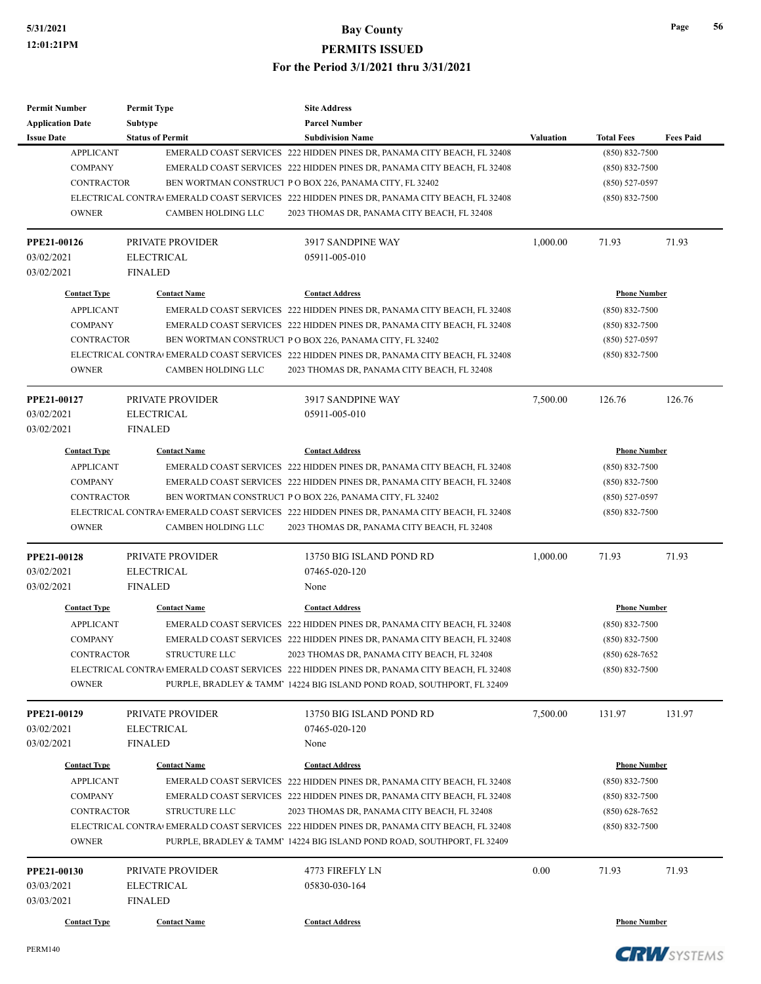| <b>Permit Number</b>    | <b>Permit Type</b>      | <b>Site Address</b>                                                                                    |                  |                     |                  |
|-------------------------|-------------------------|--------------------------------------------------------------------------------------------------------|------------------|---------------------|------------------|
| <b>Application Date</b> | Subtype                 | <b>Parcel Number</b>                                                                                   |                  |                     |                  |
| <b>Issue Date</b>       | <b>Status of Permit</b> | <b>Subdivision Name</b>                                                                                | <b>Valuation</b> | <b>Total Fees</b>   | <b>Fees Paid</b> |
| <b>APPLICANT</b>        |                         | EMERALD COAST SERVICES 222 HIDDEN PINES DR, PANAMA CITY BEACH, FL 32408                                |                  | $(850) 832 - 7500$  |                  |
| <b>COMPANY</b>          |                         | EMERALD COAST SERVICES 222 HIDDEN PINES DR, PANAMA CITY BEACH, FL 32408                                |                  | $(850) 832 - 7500$  |                  |
| <b>CONTRACTOR</b>       |                         | BEN WORTMAN CONSTRUCT PO BOX 226, PANAMA CITY, FL 32402                                                |                  | $(850) 527 - 0597$  |                  |
|                         |                         | ELECTRICAL CONTRA EMERALD COAST SERVICES 222 HIDDEN PINES DR, PANAMA CITY BEACH, FL 32408              |                  | $(850) 832 - 7500$  |                  |
| <b>OWNER</b>            | CAMBEN HOLDING LLC      | 2023 THOMAS DR, PANAMA CITY BEACH, FL 32408                                                            |                  |                     |                  |
| PPE21-00126             | PRIVATE PROVIDER        | 3917 SANDPINE WAY                                                                                      | 1,000.00         | 71.93               | 71.93            |
| 03/02/2021              | <b>ELECTRICAL</b>       | 05911-005-010                                                                                          |                  |                     |                  |
| 03/02/2021              | <b>FINALED</b>          |                                                                                                        |                  |                     |                  |
| <b>Contact Type</b>     | <b>Contact Name</b>     | <b>Contact Address</b>                                                                                 |                  | <b>Phone Number</b> |                  |
| <b>APPLICANT</b>        |                         | EMERALD COAST SERVICES 222 HIDDEN PINES DR, PANAMA CITY BEACH, FL 32408                                |                  | $(850) 832 - 7500$  |                  |
| <b>COMPANY</b>          |                         | EMERALD COAST SERVICES 222 HIDDEN PINES DR, PANAMA CITY BEACH, FL 32408                                |                  | $(850) 832 - 7500$  |                  |
| <b>CONTRACTOR</b>       |                         | BEN WORTMAN CONSTRUCT PO BOX 226, PANAMA CITY, FL 32402                                                |                  | $(850)$ 527-0597    |                  |
|                         |                         | ELECTRICAL CONTRA <sup>I</sup> EMERALD COAST SERVICES 222 HIDDEN PINES DR, PANAMA CITY BEACH, FL 32408 |                  | $(850) 832 - 7500$  |                  |
| <b>OWNER</b>            | CAMBEN HOLDING LLC      | 2023 THOMAS DR, PANAMA CITY BEACH, FL 32408                                                            |                  |                     |                  |
| PPE21-00127             | PRIVATE PROVIDER        | 3917 SANDPINE WAY                                                                                      | 7,500.00         | 126.76              | 126.76           |
| 03/02/2021              | <b>ELECTRICAL</b>       | 05911-005-010                                                                                          |                  |                     |                  |
| 03/02/2021              | <b>FINALED</b>          |                                                                                                        |                  |                     |                  |
|                         |                         |                                                                                                        |                  |                     |                  |
| <b>Contact Type</b>     | <b>Contact Name</b>     | <b>Contact Address</b>                                                                                 |                  | <b>Phone Number</b> |                  |
| <b>APPLICANT</b>        |                         | EMERALD COAST SERVICES 222 HIDDEN PINES DR, PANAMA CITY BEACH, FL 32408                                |                  | $(850) 832 - 7500$  |                  |
| <b>COMPANY</b>          |                         | EMERALD COAST SERVICES 222 HIDDEN PINES DR, PANAMA CITY BEACH, FL 32408                                |                  | $(850) 832 - 7500$  |                  |
| <b>CONTRACTOR</b>       |                         | BEN WORTMAN CONSTRUCT P O BOX 226, PANAMA CITY, FL 32402                                               |                  | $(850)$ 527-0597    |                  |
|                         |                         | ELECTRICAL CONTRA EMERALD COAST SERVICES 222 HIDDEN PINES DR, PANAMA CITY BEACH, FL 32408              |                  | $(850) 832 - 7500$  |                  |
| <b>OWNER</b>            | CAMBEN HOLDING LLC      | 2023 THOMAS DR, PANAMA CITY BEACH, FL 32408                                                            |                  |                     |                  |
| <b>PPE21-00128</b>      | PRIVATE PROVIDER        | 13750 BIG ISLAND POND RD                                                                               | 1,000.00         | 71.93               | 71.93            |
| 03/02/2021              | <b>ELECTRICAL</b>       | 07465-020-120                                                                                          |                  |                     |                  |
| 03/02/2021              | <b>FINALED</b>          | None                                                                                                   |                  |                     |                  |
| <b>Contact Type</b>     | <b>Contact Name</b>     | <b>Contact Address</b>                                                                                 |                  | <b>Phone Number</b> |                  |
| <b>APPLICANT</b>        |                         | EMERALD COAST SERVICES 222 HIDDEN PINES DR, PANAMA CITY BEACH, FL 32408                                |                  | $(850) 832 - 7500$  |                  |
| <b>COMPANY</b>          |                         | EMERALD COAST SERVICES 222 HIDDEN PINES DR, PANAMA CITY BEACH, FL 32408                                |                  | $(850) 832 - 7500$  |                  |
| CONTRACTOR              | STRUCTURE LLC           | 2023 THOMAS DR, PANAMA CITY BEACH, FL 32408                                                            |                  | $(850)$ 628-7652    |                  |
|                         |                         | ELECTRICAL CONTRA EMERALD COAST SERVICES 222 HIDDEN PINES DR, PANAMA CITY BEACH, FL 32408              |                  | $(850) 832 - 7500$  |                  |
| <b>OWNER</b>            |                         | PURPLE, BRADLEY & TAMM' 14224 BIG ISLAND POND ROAD, SOUTHPORT, FL 32409                                |                  |                     |                  |
| PPE21-00129             | PRIVATE PROVIDER        | 13750 BIG ISLAND POND RD                                                                               | 7,500.00         | 131.97              | 131.97           |
| 03/02/2021              | <b>ELECTRICAL</b>       | 07465-020-120                                                                                          |                  |                     |                  |
| 03/02/2021              | <b>FINALED</b>          | None                                                                                                   |                  |                     |                  |
| <b>Contact Type</b>     | <b>Contact Name</b>     | <b>Contact Address</b>                                                                                 |                  | <b>Phone Number</b> |                  |
| <b>APPLICANT</b>        |                         | EMERALD COAST SERVICES 222 HIDDEN PINES DR, PANAMA CITY BEACH, FL 32408                                |                  | $(850) 832 - 7500$  |                  |
| <b>COMPANY</b>          |                         | EMERALD COAST SERVICES 222 HIDDEN PINES DR, PANAMA CITY BEACH, FL 32408                                |                  | $(850) 832 - 7500$  |                  |
| <b>CONTRACTOR</b>       | <b>STRUCTURE LLC</b>    | 2023 THOMAS DR, PANAMA CITY BEACH, FL 32408                                                            |                  | $(850)$ 628-7652    |                  |
|                         |                         | ELECTRICAL CONTRA EMERALD COAST SERVICES 222 HIDDEN PINES DR, PANAMA CITY BEACH, FL 32408              |                  | $(850) 832 - 7500$  |                  |
| <b>OWNER</b>            |                         | PURPLE, BRADLEY & TAMM' 14224 BIG ISLAND POND ROAD, SOUTHPORT, FL 32409                                |                  |                     |                  |
| PPE21-00130             | PRIVATE PROVIDER        | 4773 FIREFLY LN                                                                                        | 0.00             | 71.93               | 71.93            |
|                         |                         |                                                                                                        |                  |                     |                  |
| 03/03/2021              | <b>ELECTRICAL</b>       | 05830-030-164                                                                                          |                  |                     |                  |
| 03/03/2021              | <b>FINALED</b>          |                                                                                                        |                  |                     |                  |
| <b>Contact Type</b>     | <b>Contact Name</b>     | <b>Contact Address</b>                                                                                 |                  | <b>Phone Number</b> |                  |

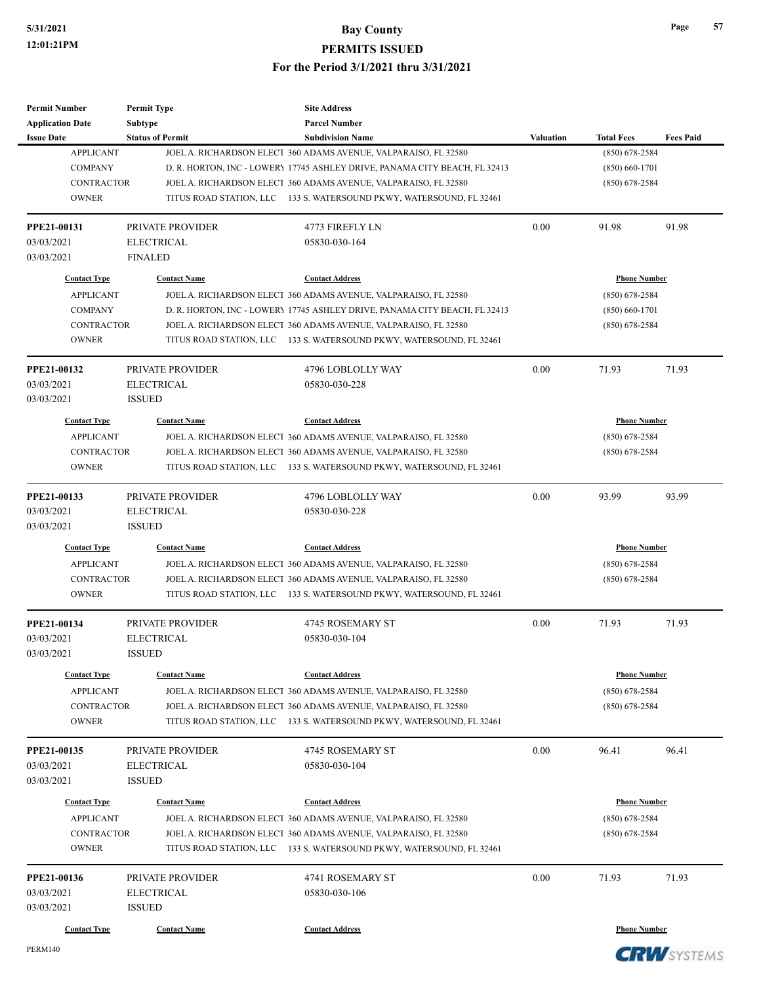| <b>Permit Number</b>    | <b>Permit Type</b>      | <b>Site Address</b>                                                        |           |                     |                       |
|-------------------------|-------------------------|----------------------------------------------------------------------------|-----------|---------------------|-----------------------|
| <b>Application Date</b> | Subtype                 | <b>Parcel Number</b>                                                       |           |                     |                       |
| <b>Issue Date</b>       | <b>Status of Permit</b> | <b>Subdivision Name</b>                                                    | Valuation | <b>Total Fees</b>   | <b>Fees Paid</b>      |
| <b>APPLICANT</b>        |                         | JOEL A. RICHARDSON ELECT 360 ADAMS AVENUE, VALPARAISO, FL 32580            |           | $(850)$ 678-2584    |                       |
| <b>COMPANY</b>          |                         | D. R. HORTON, INC - LOWERY 17745 ASHLEY DRIVE, PANAMA CITY BEACH, FL 32413 |           | $(850) 660 - 1701$  |                       |
| <b>CONTRACTOR</b>       |                         | JOEL A. RICHARDSON ELECT 360 ADAMS AVENUE, VALPARAISO, FL 32580            |           | $(850)$ 678-2584    |                       |
| <b>OWNER</b>            |                         | TITUS ROAD STATION, LLC 133 S. WATERSOUND PKWY, WATERSOUND, FL 32461       |           |                     |                       |
| PPE21-00131             | PRIVATE PROVIDER        | 4773 FIREFLY LN                                                            | 0.00      | 91.98               | 91.98                 |
| 03/03/2021              | <b>ELECTRICAL</b>       | 05830-030-164                                                              |           |                     |                       |
| 03/03/2021              | <b>FINALED</b>          |                                                                            |           |                     |                       |
| <b>Contact Type</b>     | <b>Contact Name</b>     | <b>Contact Address</b>                                                     |           | <b>Phone Number</b> |                       |
| <b>APPLICANT</b>        |                         | JOEL A. RICHARDSON ELECT 360 ADAMS AVENUE, VALPARAISO, FL 32580            |           | $(850)$ 678-2584    |                       |
| <b>COMPANY</b>          |                         | D. R. HORTON, INC - LOWERY 17745 ASHLEY DRIVE, PANAMA CITY BEACH, FL 32413 |           | $(850) 660 - 1701$  |                       |
| <b>CONTRACTOR</b>       |                         | JOEL A. RICHARDSON ELECT 360 ADAMS AVENUE, VALPARAISO, FL 32580            |           | $(850)$ 678-2584    |                       |
| <b>OWNER</b>            |                         | TITUS ROAD STATION, LLC 133 S. WATERSOUND PKWY, WATERSOUND, FL 32461       |           |                     |                       |
| PPE21-00132             | PRIVATE PROVIDER        | 4796 LOBLOLLY WAY                                                          | 0.00      | 71.93               | 71.93                 |
| 03/03/2021              | <b>ELECTRICAL</b>       | 05830-030-228                                                              |           |                     |                       |
| 03/03/2021              | <b>ISSUED</b>           |                                                                            |           |                     |                       |
| <b>Contact Type</b>     | <b>Contact Name</b>     | <b>Contact Address</b>                                                     |           | <b>Phone Number</b> |                       |
| <b>APPLICANT</b>        |                         | JOEL A. RICHARDSON ELECT 360 ADAMS AVENUE, VALPARAISO, FL 32580            |           | $(850)$ 678-2584    |                       |
| <b>CONTRACTOR</b>       |                         | JOEL A. RICHARDSON ELECT 360 ADAMS AVENUE, VALPARAISO, FL 32580            |           | $(850)$ 678-2584    |                       |
| <b>OWNER</b>            |                         | TITUS ROAD STATION, LLC 133 S. WATERSOUND PKWY, WATERSOUND, FL 32461       |           |                     |                       |
| PPE21-00133             | PRIVATE PROVIDER        | 4796 LOBLOLLY WAY                                                          | 0.00      | 93.99               | 93.99                 |
| 03/03/2021              | <b>ELECTRICAL</b>       | 05830-030-228                                                              |           |                     |                       |
| 03/03/2021              | <b>ISSUED</b>           |                                                                            |           |                     |                       |
| <b>Contact Type</b>     | <b>Contact Name</b>     | <b>Contact Address</b>                                                     |           | <b>Phone Number</b> |                       |
| <b>APPLICANT</b>        |                         | JOEL A. RICHARDSON ELECT 360 ADAMS AVENUE, VALPARAISO, FL 32580            |           | $(850)$ 678-2584    |                       |
| <b>CONTRACTOR</b>       |                         | JOEL A. RICHARDSON ELECT 360 ADAMS AVENUE, VALPARAISO, FL 32580            |           | $(850)$ 678-2584    |                       |
| <b>OWNER</b>            |                         | TITUS ROAD STATION, LLC 133 S. WATERSOUND PKWY, WATERSOUND, FL 32461       |           |                     |                       |
| PPE21-00134             | PRIVATE PROVIDER        | 4745 ROSEMARY ST                                                           | 0.00      | 71.93               | 71.93                 |
| 03/03/2021              | <b>ELECTRICAL</b>       | 05830-030-104                                                              |           |                     |                       |
| 03/03/2021              | <b>ISSUED</b>           |                                                                            |           |                     |                       |
| <b>Contact Type</b>     | <b>Contact Name</b>     | <b>Contact Address</b>                                                     |           | <b>Phone Number</b> |                       |
| <b>APPLICANT</b>        |                         | JOEL A. RICHARDSON ELECT 360 ADAMS AVENUE, VALPARAISO, FL 32580            |           | $(850)$ 678-2584    |                       |
| <b>CONTRACTOR</b>       |                         | JOEL A. RICHARDSON ELECT 360 ADAMS AVENUE, VALPARAISO, FL 32580            |           | $(850)$ 678-2584    |                       |
| <b>OWNER</b>            |                         | TITUS ROAD STATION, LLC 133 S. WATERSOUND PKWY, WATERSOUND, FL 32461       |           |                     |                       |
| PPE21-00135             | PRIVATE PROVIDER        | 4745 ROSEMARY ST                                                           | 0.00      | 96.41               | 96.41                 |
| 03/03/2021              | <b>ELECTRICAL</b>       | 05830-030-104                                                              |           |                     |                       |
| 03/03/2021              | <b>ISSUED</b>           |                                                                            |           |                     |                       |
| <b>Contact Type</b>     | <b>Contact Name</b>     | <b>Contact Address</b>                                                     |           | <b>Phone Number</b> |                       |
| <b>APPLICANT</b>        |                         | JOEL A. RICHARDSON ELECT 360 ADAMS AVENUE, VALPARAISO, FL 32580            |           | $(850)$ 678-2584    |                       |
| <b>CONTRACTOR</b>       |                         | JOEL A. RICHARDSON ELECT 360 ADAMS AVENUE, VALPARAISO, FL 32580            |           | $(850)$ 678-2584    |                       |
| <b>OWNER</b>            |                         | TITUS ROAD STATION, LLC 133 S. WATERSOUND PKWY, WATERSOUND, FL 32461       |           |                     |                       |
| PPE21-00136             | PRIVATE PROVIDER        | 4741 ROSEMARY ST                                                           | 0.00      | 71.93               | 71.93                 |
| 03/03/2021              | <b>ELECTRICAL</b>       | 05830-030-106                                                              |           |                     |                       |
| 03/03/2021              | <b>ISSUED</b>           |                                                                            |           |                     |                       |
| <b>Contact Type</b>     | <b>Contact Name</b>     | <b>Contact Address</b>                                                     |           | <b>Phone Number</b> |                       |
| PERM140                 |                         |                                                                            |           |                     | <b>CDIAL</b> AVANTULA |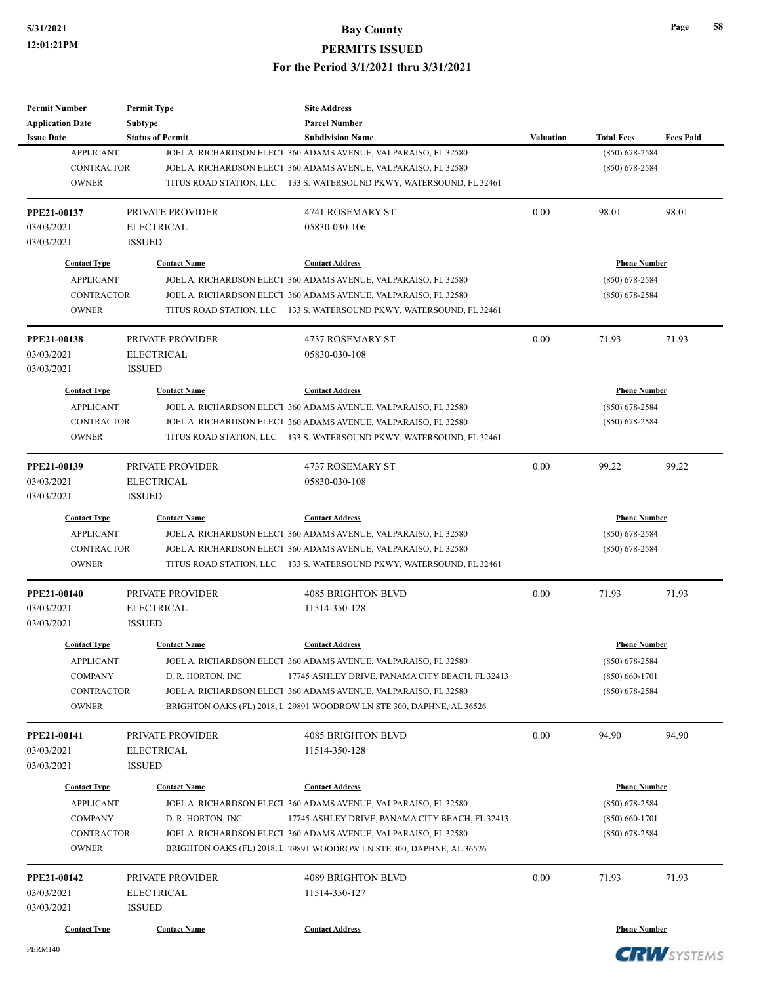| <b>Permit Number</b>              | <b>Permit Type</b>                 | <b>Site Address</b>                                                                                                                      |                  |                     |                  |
|-----------------------------------|------------------------------------|------------------------------------------------------------------------------------------------------------------------------------------|------------------|---------------------|------------------|
| <b>Application Date</b>           | <b>Subtype</b>                     | <b>Parcel Number</b>                                                                                                                     |                  |                     |                  |
| <b>Issue Date</b>                 | <b>Status of Permit</b>            | <b>Subdivision Name</b>                                                                                                                  | <b>Valuation</b> | <b>Total Fees</b>   | <b>Fees Paid</b> |
| <b>APPLICANT</b>                  |                                    | JOEL A. RICHARDSON ELECT 360 ADAMS AVENUE, VALPARAISO, FL 32580                                                                          |                  | $(850) 678 - 2584$  |                  |
| <b>CONTRACTOR</b>                 |                                    | JOEL A. RICHARDSON ELECT 360 ADAMS AVENUE, VALPARAISO, FL 32580                                                                          |                  | $(850)$ 678-2584    |                  |
| <b>OWNER</b>                      |                                    | TITUS ROAD STATION, LLC 133 S. WATERSOUND PKWY, WATERSOUND, FL 32461                                                                     |                  |                     |                  |
| PPE21-00137                       | PRIVATE PROVIDER                   | 4741 ROSEMARY ST                                                                                                                         | 0.00             | 98.01               | 98.01            |
| 03/03/2021                        | <b>ELECTRICAL</b>                  | 05830-030-106                                                                                                                            |                  |                     |                  |
| 03/03/2021                        | <b>ISSUED</b>                      |                                                                                                                                          |                  |                     |                  |
| <b>Contact Type</b>               | <b>Contact Name</b>                | <b>Contact Address</b>                                                                                                                   |                  | <b>Phone Number</b> |                  |
| <b>APPLICANT</b>                  |                                    | JOEL A. RICHARDSON ELECT 360 ADAMS AVENUE, VALPARAISO, FL 32580                                                                          |                  | $(850)$ 678-2584    |                  |
| <b>CONTRACTOR</b>                 |                                    | JOEL A. RICHARDSON ELECT 360 ADAMS AVENUE, VALPARAISO, FL 32580                                                                          |                  | $(850)$ 678-2584    |                  |
| <b>OWNER</b>                      |                                    | TITUS ROAD STATION, LLC 133 S. WATERSOUND PKWY, WATERSOUND, FL 32461                                                                     |                  |                     |                  |
| PPE21-00138                       | PRIVATE PROVIDER                   | 4737 ROSEMARY ST                                                                                                                         | 0.00             | 71.93               | 71.93            |
| 03/03/2021                        | <b>ELECTRICAL</b>                  | 05830-030-108                                                                                                                            |                  |                     |                  |
| 03/03/2021                        | <b>ISSUED</b>                      |                                                                                                                                          |                  |                     |                  |
| <b>Contact Type</b>               | <b>Contact Name</b>                | <b>Contact Address</b>                                                                                                                   |                  | <b>Phone Number</b> |                  |
| <b>APPLICANT</b>                  |                                    | JOEL A. RICHARDSON ELECT 360 ADAMS AVENUE, VALPARAISO, FL 32580                                                                          |                  | $(850)$ 678-2584    |                  |
| <b>CONTRACTOR</b>                 |                                    | JOEL A. RICHARDSON ELECT 360 ADAMS AVENUE, VALPARAISO, FL 32580                                                                          |                  | $(850)$ 678-2584    |                  |
| <b>OWNER</b>                      |                                    | TITUS ROAD STATION, LLC 133 S. WATERSOUND PKWY, WATERSOUND, FL 32461                                                                     |                  |                     |                  |
|                                   |                                    |                                                                                                                                          |                  |                     |                  |
| PPE21-00139                       | PRIVATE PROVIDER                   | 4737 ROSEMARY ST                                                                                                                         | 0.00             | 99.22               | 99.22            |
| 03/03/2021                        | <b>ELECTRICAL</b>                  | 05830-030-108                                                                                                                            |                  |                     |                  |
| 03/03/2021                        | <b>ISSUED</b>                      |                                                                                                                                          |                  |                     |                  |
| <b>Contact Type</b>               | <b>Contact Name</b>                | <b>Contact Address</b>                                                                                                                   |                  | <b>Phone Number</b> |                  |
| <b>APPLICANT</b>                  |                                    | JOEL A. RICHARDSON ELECT 360 ADAMS AVENUE, VALPARAISO, FL 32580                                                                          |                  | $(850)$ 678-2584    |                  |
| <b>CONTRACTOR</b>                 |                                    | JOEL A. RICHARDSON ELECT 360 ADAMS AVENUE, VALPARAISO, FL 32580                                                                          |                  | $(850)$ 678-2584    |                  |
| <b>OWNER</b>                      |                                    | TITUS ROAD STATION, LLC 133 S. WATERSOUND PKWY, WATERSOUND, FL 32461                                                                     |                  |                     |                  |
|                                   |                                    |                                                                                                                                          |                  |                     |                  |
| PPE21-00140                       | PRIVATE PROVIDER                   | <b>4085 BRIGHTON BLVD</b>                                                                                                                | 0.00             | 71.93               | 71.93            |
| 03/03/2021<br>03/03/2021          | <b>ELECTRICAL</b><br><b>ISSUED</b> | 11514-350-128                                                                                                                            |                  |                     |                  |
| <b>Contact Type</b>               | <b>Contact Name</b>                | <b>Contact Address</b>                                                                                                                   |                  | <b>Phone Number</b> |                  |
| <b>APPLICANT</b>                  |                                    | JOEL A. RICHARDSON ELECT 360 ADAMS AVENUE, VALPARAISO, FL 32580                                                                          |                  | $(850) 678 - 2584$  |                  |
| <b>COMPANY</b>                    | D. R. HORTON, INC                  | 17745 ASHLEY DRIVE, PANAMA CITY BEACH, FL 32413                                                                                          |                  | $(850) 660 - 1701$  |                  |
| <b>CONTRACTOR</b>                 |                                    | JOEL A. RICHARDSON ELECT 360 ADAMS AVENUE, VALPARAISO, FL 32580                                                                          |                  | $(850)$ 678-2584    |                  |
| <b>OWNER</b>                      |                                    | BRIGHTON OAKS (FL) 2018, L 29891 WOODROW LN STE 300, DAPHNE, AL 36526                                                                    |                  |                     |                  |
| PPE21-00141                       | PRIVATE PROVIDER                   | <b>4085 BRIGHTON BLVD</b>                                                                                                                | 0.00             | 94.90               | 94.90            |
| 03/03/2021                        | <b>ELECTRICAL</b>                  | 11514-350-128                                                                                                                            |                  |                     |                  |
| 03/03/2021                        | <b>ISSUED</b>                      |                                                                                                                                          |                  |                     |                  |
| <b>Contact Type</b>               | <b>Contact Name</b>                | <b>Contact Address</b>                                                                                                                   |                  | <b>Phone Number</b> |                  |
| <b>APPLICANT</b>                  |                                    | JOEL A. RICHARDSON ELECT 360 ADAMS AVENUE, VALPARAISO, FL 32580                                                                          |                  | $(850)$ 678-2584    |                  |
|                                   |                                    |                                                                                                                                          |                  |                     |                  |
| <b>COMPANY</b>                    | D. R. HORTON, INC                  | 17745 ASHLEY DRIVE, PANAMA CITY BEACH, FL 32413                                                                                          |                  | $(850) 660 - 1701$  |                  |
| <b>CONTRACTOR</b><br><b>OWNER</b> |                                    | JOEL A. RICHARDSON ELECT 360 ADAMS AVENUE, VALPARAISO, FL 32580<br>BRIGHTON OAKS (FL) 2018, L 29891 WOODROW LN STE 300, DAPHNE, AL 36526 |                  | $(850)$ 678-2584    |                  |
|                                   |                                    |                                                                                                                                          |                  |                     |                  |
| PPE21-00142                       | PRIVATE PROVIDER                   | 4089 BRIGHTON BLVD                                                                                                                       | 0.00             | 71.93               | 71.93            |
| 03/03/2021                        | <b>ELECTRICAL</b>                  | 11514-350-127                                                                                                                            |                  |                     |                  |
| 03/03/2021                        | <b>ISSUED</b>                      |                                                                                                                                          |                  |                     |                  |
| <b>Contact Type</b>               | <b>Contact Name</b>                | <b>Contact Address</b>                                                                                                                   |                  | <b>Phone Number</b> |                  |
|                                   |                                    |                                                                                                                                          |                  |                     |                  |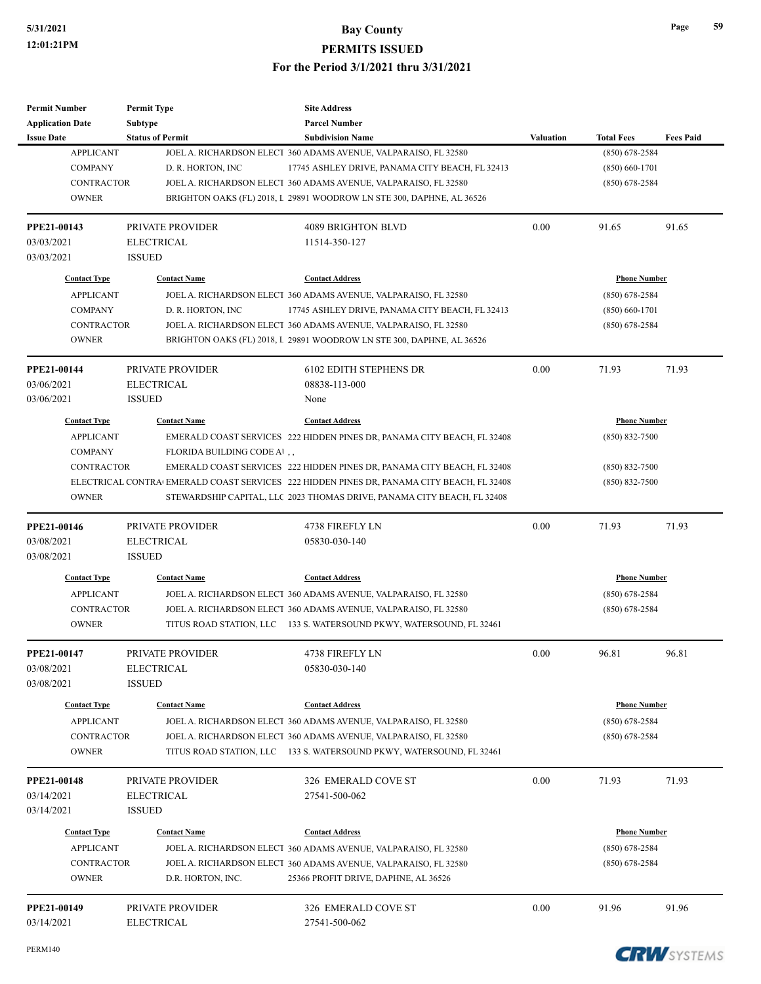| <b>Permit Number</b>    | <b>Permit Type</b>               | <b>Site Address</b>                                                                       |                  |                                          |                  |
|-------------------------|----------------------------------|-------------------------------------------------------------------------------------------|------------------|------------------------------------------|------------------|
| <b>Application Date</b> | Subtype                          | <b>Parcel Number</b>                                                                      |                  |                                          |                  |
| <b>Issue Date</b>       | <b>Status of Permit</b>          | <b>Subdivision Name</b>                                                                   | <b>Valuation</b> | <b>Total Fees</b>                        | <b>Fees Paid</b> |
| <b>APPLICANT</b>        |                                  | JOEL A. RICHARDSON ELECT 360 ADAMS AVENUE, VALPARAISO, FL 32580                           |                  | $(850)$ 678-2584                         |                  |
| <b>COMPANY</b>          | D. R. HORTON, INC                | 17745 ASHLEY DRIVE, PANAMA CITY BEACH, FL 32413                                           |                  | $(850) 660 - 1701$                       |                  |
| <b>CONTRACTOR</b>       |                                  | JOEL A. RICHARDSON ELECT 360 ADAMS AVENUE, VALPARAISO, FL 32580                           |                  | $(850)$ 678-2584                         |                  |
| <b>OWNER</b>            |                                  | BRIGHTON OAKS (FL) 2018, L 29891 WOODROW LN STE 300, DAPHNE, AL 36526                     |                  |                                          |                  |
| PPE21-00143             | PRIVATE PROVIDER                 | <b>4089 BRIGHTON BLVD</b>                                                                 | 0.00             | 91.65                                    | 91.65            |
| 03/03/2021              | <b>ELECTRICAL</b>                | 11514-350-127                                                                             |                  |                                          |                  |
| 03/03/2021              | <b>ISSUED</b>                    |                                                                                           |                  |                                          |                  |
| <b>Contact Type</b>     | <b>Contact Name</b>              | <b>Contact Address</b>                                                                    |                  | <b>Phone Number</b>                      |                  |
| <b>APPLICANT</b>        |                                  | JOEL A. RICHARDSON ELECT 360 ADAMS AVENUE, VALPARAISO, FL 32580                           |                  | $(850)$ 678-2584                         |                  |
| <b>COMPANY</b>          | D. R. HORTON, INC                | 17745 ASHLEY DRIVE, PANAMA CITY BEACH, FL 32413                                           |                  | $(850) 660 - 1701$                       |                  |
| <b>CONTRACTOR</b>       |                                  | JOEL A. RICHARDSON ELECT 360 ADAMS AVENUE, VALPARAISO, FL 32580                           |                  | $(850)$ 678-2584                         |                  |
| <b>OWNER</b>            |                                  | BRIGHTON OAKS (FL) 2018, L 29891 WOODROW LN STE 300, DAPHNE, AL 36526                     |                  |                                          |                  |
| PPE21-00144             | PRIVATE PROVIDER                 | 6102 EDITH STEPHENS DR                                                                    | 0.00             | 71.93                                    | 71.93            |
| 03/06/2021              | <b>ELECTRICAL</b>                | 08838-113-000                                                                             |                  |                                          |                  |
| 03/06/2021              | <b>ISSUED</b>                    | None                                                                                      |                  |                                          |                  |
| <b>Contact Type</b>     | <b>Contact Name</b>              | <b>Contact Address</b>                                                                    |                  | <b>Phone Number</b>                      |                  |
| <b>APPLICANT</b>        |                                  | EMERALD COAST SERVICES 222 HIDDEN PINES DR, PANAMA CITY BEACH, FL 32408                   |                  |                                          |                  |
| <b>COMPANY</b>          |                                  |                                                                                           |                  | $(850) 832 - 7500$                       |                  |
| <b>CONTRACTOR</b>       | FLORIDA BUILDING CODE A $\,$ , , | EMERALD COAST SERVICES 222 HIDDEN PINES DR, PANAMA CITY BEACH, FL 32408                   |                  |                                          |                  |
|                         |                                  |                                                                                           |                  | $(850) 832 - 7500$<br>$(850) 832 - 7500$ |                  |
| <b>OWNER</b>            |                                  | ELECTRICAL CONTRA EMERALD COAST SERVICES 222 HIDDEN PINES DR, PANAMA CITY BEACH, FL 32408 |                  |                                          |                  |
|                         |                                  | STEWARDSHIP CAPITAL, LLC 2023 THOMAS DRIVE, PANAMA CITY BEACH, FL 32408                   |                  |                                          |                  |
| PPE21-00146             | PRIVATE PROVIDER                 | 4738 FIREFLY LN                                                                           | 0.00             | 71.93                                    | 71.93            |
| 03/08/2021              | <b>ELECTRICAL</b>                | 05830-030-140                                                                             |                  |                                          |                  |
| 03/08/2021              | <b>ISSUED</b>                    |                                                                                           |                  |                                          |                  |
| <b>Contact Type</b>     | <b>Contact Name</b>              | <b>Contact Address</b>                                                                    |                  | <b>Phone Number</b>                      |                  |
| <b>APPLICANT</b>        |                                  | JOEL A. RICHARDSON ELECT 360 ADAMS AVENUE, VALPARAISO, FL 32580                           |                  | $(850)$ 678-2584                         |                  |
| <b>CONTRACTOR</b>       |                                  | JOEL A. RICHARDSON ELECT 360 ADAMS AVENUE, VALPARAISO, FL 32580                           | $(850)$ 678-2584 |                                          |                  |
| <b>OWNER</b>            |                                  | TITUS ROAD STATION, LLC 133 S. WATERSOUND PKWY, WATERSOUND, FL 32461                      |                  |                                          |                  |
| PPE21-00147             | PRIVATE PROVIDER                 | 4738 FIREFLY LN                                                                           | 0.00             | 96.81                                    | 96.81            |
| 03/08/2021              | <b>ELECTRICAL</b>                | 05830-030-140                                                                             |                  |                                          |                  |
| 03/08/2021              | <b>ISSUED</b>                    |                                                                                           |                  |                                          |                  |
| <b>Contact Type</b>     | <b>Contact Name</b>              | <b>Contact Address</b>                                                                    |                  | <b>Phone Number</b>                      |                  |
| <b>APPLICANT</b>        |                                  | JOEL A. RICHARDSON ELECT 360 ADAMS AVENUE, VALPARAISO, FL 32580                           |                  | $(850)$ 678-2584                         |                  |
| <b>CONTRACTOR</b>       |                                  | JOEL A. RICHARDSON ELECT 360 ADAMS AVENUE, VALPARAISO, FL 32580                           |                  | $(850)$ 678-2584                         |                  |
| <b>OWNER</b>            |                                  | TITUS ROAD STATION, LLC 133 S. WATERSOUND PKWY, WATERSOUND, FL 32461                      |                  |                                          |                  |
| PPE21-00148             | PRIVATE PROVIDER                 | 326 EMERALD COVE ST                                                                       | 0.00             | 71.93                                    | 71.93            |
| 03/14/2021              | <b>ELECTRICAL</b>                | 27541-500-062                                                                             |                  |                                          |                  |
| 03/14/2021              | <b>ISSUED</b>                    |                                                                                           |                  |                                          |                  |
| <b>Contact Type</b>     | <b>Contact Name</b>              | <b>Contact Address</b>                                                                    |                  | <b>Phone Number</b>                      |                  |
| <b>APPLICANT</b>        |                                  | JOEL A. RICHARDSON ELECT 360 ADAMS AVENUE, VALPARAISO, FL 32580                           |                  | $(850)$ 678-2584                         |                  |
| <b>CONTRACTOR</b>       |                                  | JOEL A. RICHARDSON ELECT 360 ADAMS AVENUE, VALPARAISO, FL 32580                           |                  | $(850)$ 678-2584                         |                  |
| <b>OWNER</b>            | D.R. HORTON, INC.                | 25366 PROFIT DRIVE, DAPHNE, AL 36526                                                      |                  |                                          |                  |
| PPE21-00149             | PRIVATE PROVIDER                 | 326 EMERALD COVE ST                                                                       | 0.00             | 91.96                                    | 91.96            |
| 03/14/2021              | <b>ELECTRICAL</b>                | 27541-500-062                                                                             |                  |                                          |                  |
|                         |                                  |                                                                                           |                  |                                          |                  |

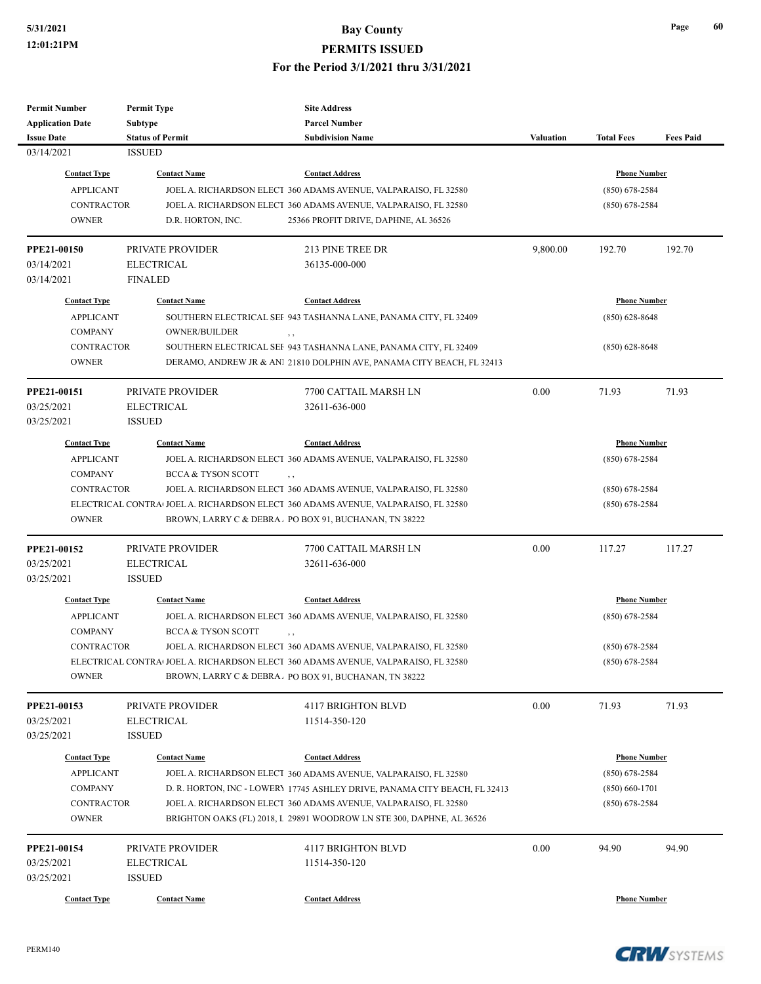| <b>Permit Number</b>    | <b>Permit Type</b>            | <b>Site Address</b>                                                                            |                  |                     |                  |  |
|-------------------------|-------------------------------|------------------------------------------------------------------------------------------------|------------------|---------------------|------------------|--|
| <b>Application Date</b> | <b>Subtype</b>                | <b>Parcel Number</b>                                                                           |                  |                     |                  |  |
| <b>Issue Date</b>       | <b>Status of Permit</b>       | <b>Subdivision Name</b>                                                                        | <b>Valuation</b> | <b>Total Fees</b>   | <b>Fees Paid</b> |  |
| 03/14/2021              | <b>ISSUED</b>                 |                                                                                                |                  |                     |                  |  |
| <b>Contact Type</b>     | <b>Contact Name</b>           | <b>Contact Address</b>                                                                         |                  | <b>Phone Number</b> |                  |  |
| <b>APPLICANT</b>        |                               | JOEL A. RICHARDSON ELECT 360 ADAMS AVENUE, VALPARAISO, FL 32580                                |                  | $(850) 678 - 2584$  |                  |  |
| <b>CONTRACTOR</b>       |                               | JOEL A. RICHARDSON ELECT 360 ADAMS AVENUE, VALPARAISO, FL 32580                                |                  | $(850) 678 - 2584$  |                  |  |
| <b>OWNER</b>            | D.R. HORTON, INC.             | 25366 PROFIT DRIVE, DAPHNE, AL 36526                                                           |                  |                     |                  |  |
| PPE21-00150             | PRIVATE PROVIDER              | 213 PINE TREE DR                                                                               | 9,800.00         | 192.70              | 192.70           |  |
| 03/14/2021              | <b>ELECTRICAL</b>             | 36135-000-000                                                                                  |                  |                     |                  |  |
| 03/14/2021              | <b>FINALED</b>                |                                                                                                |                  |                     |                  |  |
| <b>Contact Type</b>     | <b>Contact Name</b>           | <b>Contact Address</b>                                                                         |                  | <b>Phone Number</b> |                  |  |
| <b>APPLICANT</b>        |                               | SOUTHERN ELECTRICAL SEF 943 TASHANNA LANE, PANAMA CITY, FL 32409                               |                  | $(850) 628 - 8648$  |                  |  |
| <b>COMPANY</b>          | <b>OWNER/BUILDER</b>          | $, \, ,$                                                                                       |                  |                     |                  |  |
| <b>CONTRACTOR</b>       |                               | SOUTHERN ELECTRICAL SEF 943 TASHANNA LANE, PANAMA CITY, FL 32409                               |                  | $(850) 628 - 8648$  |                  |  |
| <b>OWNER</b>            |                               | DERAMO, ANDREW JR & ANI 21810 DOLPHIN AVE, PANAMA CITY BEACH, FL 32413                         |                  |                     |                  |  |
| PPE21-00151             | PRIVATE PROVIDER              | 7700 CATTAIL MARSH LN                                                                          | 0.00             | 71.93               | 71.93            |  |
| 03/25/2021              | <b>ELECTRICAL</b>             | 32611-636-000                                                                                  |                  |                     |                  |  |
| 03/25/2021              | <b>ISSUED</b>                 |                                                                                                |                  |                     |                  |  |
| <b>Contact Type</b>     | <b>Contact Name</b>           | <b>Contact Address</b>                                                                         |                  | <b>Phone Number</b> |                  |  |
| <b>APPLICANT</b>        |                               | JOEL A. RICHARDSON ELECT 360 ADAMS AVENUE, VALPARAISO, FL 32580                                |                  | $(850) 678 - 2584$  |                  |  |
| <b>COMPANY</b>          | <b>BCCA &amp; TYSON SCOTT</b> | $, \, , \,$                                                                                    |                  |                     |                  |  |
| <b>CONTRACTOR</b>       |                               | JOEL A. RICHARDSON ELECT 360 ADAMS AVENUE, VALPARAISO, FL 32580                                |                  | (850) 678-2584      |                  |  |
|                         |                               | ELECTRICAL CONTRA <sup>J</sup> JOEL A. RICHARDSON ELECT 360 ADAMS AVENUE, VALPARAISO, FL 32580 |                  | $(850) 678 - 2584$  |                  |  |
| <b>OWNER</b>            |                               | BROWN, LARRY C & DEBRA. PO BOX 91, BUCHANAN, TN 38222                                          |                  |                     |                  |  |
| PPE21-00152             | <b>PRIVATE PROVIDER</b>       | 7700 CATTAIL MARSH LN                                                                          | 0.00             | 117.27              | 117.27           |  |
| 03/25/2021              | <b>ELECTRICAL</b>             | 32611-636-000                                                                                  |                  |                     |                  |  |
| 03/25/2021              | <b>ISSUED</b>                 |                                                                                                |                  |                     |                  |  |
| <b>Contact Type</b>     | <b>Contact Name</b>           | <b>Contact Address</b>                                                                         |                  | <b>Phone Number</b> |                  |  |
| <b>APPLICANT</b>        |                               | JOEL A. RICHARDSON ELECT 360 ADAMS AVENUE, VALPARAISO, FL 32580                                |                  | $(850) 678 - 2584$  |                  |  |
| <b>COMPANY</b>          | <b>BCCA &amp; TYSON SCOTT</b> |                                                                                                |                  |                     |                  |  |
| <b>CONTRACTOR</b>       |                               | JOEL A. RICHARDSON ELECT 360 ADAMS AVENUE, VALPARAISO, FL 32580                                |                  | $(850)$ 678-2584    |                  |  |
|                         |                               | ELECTRICAL CONTRA JOEL A. RICHARDSON ELECT 360 ADAMS AVENUE, VALPARAISO, FL 32580              |                  | $(850) 678 - 2584$  |                  |  |
| <b>OWNER</b>            |                               | BROWN, LARRY C & DEBRA. PO BOX 91, BUCHANAN, TN 38222                                          |                  |                     |                  |  |
| PPE21-00153             | PRIVATE PROVIDER              | 4117 BRIGHTON BLVD                                                                             | 0.00             | 71.93               | 71.93            |  |
| 03/25/2021              | <b>ELECTRICAL</b>             | 11514-350-120                                                                                  |                  |                     |                  |  |
| 03/25/2021              | <b>ISSUED</b>                 |                                                                                                |                  |                     |                  |  |
| <b>Contact Type</b>     | <b>Contact Name</b>           | <b>Contact Address</b>                                                                         |                  | <b>Phone Number</b> |                  |  |
| <b>APPLICANT</b>        |                               | JOEL A. RICHARDSON ELECT 360 ADAMS AVENUE, VALPARAISO, FL 32580                                |                  | $(850) 678 - 2584$  |                  |  |
| <b>COMPANY</b>          |                               | D. R. HORTON, INC - LOWERY 17745 ASHLEY DRIVE, PANAMA CITY BEACH, FL 32413                     |                  | $(850) 660 - 1701$  |                  |  |
| CONTRACTOR              |                               | JOEL A. RICHARDSON ELECT 360 ADAMS AVENUE, VALPARAISO, FL 32580                                |                  | $(850)$ 678-2584    |                  |  |
| <b>OWNER</b>            |                               | BRIGHTON OAKS (FL) 2018, L 29891 WOODROW LN STE 300, DAPHNE, AL 36526                          |                  |                     |                  |  |
| PPE21-00154             | PRIVATE PROVIDER              | 4117 BRIGHTON BLVD                                                                             | 0.00             | 94.90               | 94.90            |  |
| 03/25/2021              | <b>ELECTRICAL</b>             | 11514-350-120                                                                                  |                  |                     |                  |  |
| 03/25/2021              | <b>ISSUED</b>                 |                                                                                                |                  |                     |                  |  |
|                         |                               |                                                                                                |                  |                     |                  |  |
| <b>Contact Type</b>     | <b>Contact Name</b>           | <b>Contact Address</b>                                                                         |                  | <b>Phone Number</b> |                  |  |

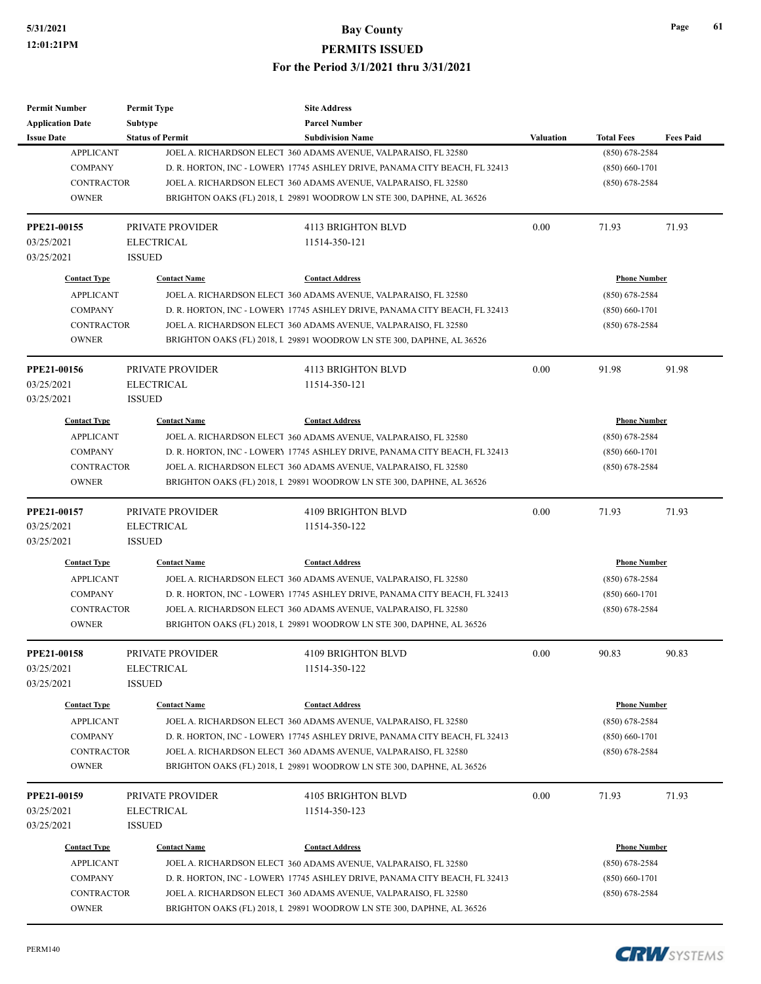| <b>Permit Number</b>     | <b>Permit Type</b>                 | <b>Site Address</b>                                                        |                  |                     |                  |
|--------------------------|------------------------------------|----------------------------------------------------------------------------|------------------|---------------------|------------------|
| <b>Application Date</b>  | Subtype                            | <b>Parcel Number</b>                                                       |                  |                     |                  |
| <b>Issue Date</b>        | <b>Status of Permit</b>            | <b>Subdivision Name</b>                                                    | <b>Valuation</b> | <b>Total Fees</b>   | <b>Fees Paid</b> |
| <b>APPLICANT</b>         |                                    | JOEL A. RICHARDSON ELECT 360 ADAMS AVENUE, VALPARAISO, FL 32580            |                  | $(850) 678 - 2584$  |                  |
| <b>COMPANY</b>           |                                    | D. R. HORTON, INC - LOWERY 17745 ASHLEY DRIVE, PANAMA CITY BEACH, FL 32413 |                  | $(850) 660 - 1701$  |                  |
| <b>CONTRACTOR</b>        |                                    | JOEL A. RICHARDSON ELECT 360 ADAMS AVENUE, VALPARAISO, FL 32580            |                  | $(850)$ 678-2584    |                  |
| <b>OWNER</b>             |                                    | BRIGHTON OAKS (FL) 2018, L 29891 WOODROW LN STE 300, DAPHNE, AL 36526      |                  |                     |                  |
| PPE21-00155              | PRIVATE PROVIDER                   | <b>4113 BRIGHTON BLVD</b>                                                  | 0.00             | 71.93               | 71.93            |
| 03/25/2021               | <b>ELECTRICAL</b>                  | 11514-350-121                                                              |                  |                     |                  |
| 03/25/2021               | <b>ISSUED</b>                      |                                                                            |                  |                     |                  |
| <b>Contact Type</b>      | <b>Contact Name</b>                | <b>Contact Address</b>                                                     |                  | <b>Phone Number</b> |                  |
| <b>APPLICANT</b>         |                                    | JOEL A. RICHARDSON ELECT 360 ADAMS AVENUE, VALPARAISO, FL 32580            |                  | $(850)$ 678-2584    |                  |
| <b>COMPANY</b>           |                                    | D. R. HORTON, INC - LOWERY 17745 ASHLEY DRIVE, PANAMA CITY BEACH, FL 32413 |                  | $(850) 660 - 1701$  |                  |
| <b>CONTRACTOR</b>        |                                    | JOEL A. RICHARDSON ELECT 360 ADAMS AVENUE, VALPARAISO, FL 32580            |                  | $(850)$ 678-2584    |                  |
| <b>OWNER</b>             |                                    | BRIGHTON OAKS (FL) 2018, L 29891 WOODROW LN STE 300, DAPHNE, AL 36526      |                  |                     |                  |
| PPE21-00156              | PRIVATE PROVIDER                   | 4113 BRIGHTON BLVD                                                         | 0.00             | 91.98               | 91.98            |
| 03/25/2021               | <b>ELECTRICAL</b>                  | 11514-350-121                                                              |                  |                     |                  |
| 03/25/2021               | <b>ISSUED</b>                      |                                                                            |                  |                     |                  |
| <b>Contact Type</b>      | <b>Contact Name</b>                | <b>Contact Address</b>                                                     |                  | <b>Phone Number</b> |                  |
| <b>APPLICANT</b>         |                                    | JOEL A. RICHARDSON ELECT 360 ADAMS AVENUE, VALPARAISO, FL 32580            |                  | $(850)$ 678-2584    |                  |
| <b>COMPANY</b>           |                                    | D. R. HORTON, INC - LOWERY 17745 ASHLEY DRIVE, PANAMA CITY BEACH, FL 32413 |                  | $(850) 660 - 1701$  |                  |
| <b>CONTRACTOR</b>        |                                    | JOEL A. RICHARDSON ELECT 360 ADAMS AVENUE, VALPARAISO, FL 32580            |                  | $(850)$ 678-2584    |                  |
| <b>OWNER</b>             |                                    | BRIGHTON OAKS (FL) 2018, L 29891 WOODROW LN STE 300, DAPHNE, AL 36526      |                  |                     |                  |
|                          |                                    |                                                                            |                  |                     |                  |
| PPE21-00157              | PRIVATE PROVIDER                   | 4109 BRIGHTON BLVD                                                         | 0.00             | 71.93               | 71.93            |
| 03/25/2021<br>03/25/2021 | <b>ELECTRICAL</b><br><b>ISSUED</b> | 11514-350-122                                                              |                  |                     |                  |
|                          |                                    |                                                                            |                  |                     |                  |
| <b>Contact Type</b>      | <b>Contact Name</b>                | <b>Contact Address</b>                                                     |                  | <b>Phone Number</b> |                  |
| <b>APPLICANT</b>         |                                    | JOEL A. RICHARDSON ELECT 360 ADAMS AVENUE, VALPARAISO, FL 32580            |                  | $(850)$ 678-2584    |                  |
| <b>COMPANY</b>           |                                    | D. R. HORTON, INC - LOWERY 17745 ASHLEY DRIVE, PANAMA CITY BEACH, FL 32413 |                  | $(850) 660 - 1701$  |                  |
| <b>CONTRACTOR</b>        |                                    | JOEL A. RICHARDSON ELECT 360 ADAMS AVENUE, VALPARAISO, FL 32580            |                  | $(850)$ 678-2584    |                  |
| <b>OWNER</b>             |                                    | BRIGHTON OAKS (FL) 2018, L 29891 WOODROW LN STE 300, DAPHNE, AL 36526      |                  |                     |                  |
| PPE21-00158              | PRIVATE PROVIDER                   | 4109 BRIGHTON BLVD                                                         | 0.00             | 90.83               | 90.83            |
| 03/25/2021               | <b>ELECTRICAL</b>                  | 11514-350-122                                                              |                  |                     |                  |
| 03/25/2021               | <b>ISSUED</b>                      |                                                                            |                  |                     |                  |
| <b>Contact Type</b>      | <b>Contact Name</b>                | <b>Contact Address</b>                                                     |                  | <b>Phone Number</b> |                  |
| <b>APPLICANT</b>         |                                    | JOEL A. RICHARDSON ELECT 360 ADAMS AVENUE, VALPARAISO, FL 32580            |                  | $(850)$ 678-2584    |                  |
| <b>COMPANY</b>           |                                    | D. R. HORTON, INC - LOWERY 17745 ASHLEY DRIVE, PANAMA CITY BEACH, FL 32413 |                  | $(850) 660 - 1701$  |                  |
| <b>CONTRACTOR</b>        |                                    | JOEL A. RICHARDSON ELECT 360 ADAMS AVENUE, VALPARAISO, FL 32580            |                  | $(850)$ 678-2584    |                  |
| <b>OWNER</b>             |                                    | BRIGHTON OAKS (FL) 2018, L 29891 WOODROW LN STE 300, DAPHNE, AL 36526      |                  |                     |                  |
| PPE21-00159              | PRIVATE PROVIDER                   | 4105 BRIGHTON BLVD                                                         | 0.00             | 71.93               | 71.93            |
| 03/25/2021               | <b>ELECTRICAL</b>                  | 11514-350-123                                                              |                  |                     |                  |
| 03/25/2021               | <b>ISSUED</b>                      |                                                                            |                  |                     |                  |
| <b>Contact Type</b>      | <b>Contact Name</b>                | <b>Contact Address</b>                                                     |                  | <b>Phone Number</b> |                  |
| <b>APPLICANT</b>         |                                    | JOEL A. RICHARDSON ELECT 360 ADAMS AVENUE, VALPARAISO, FL 32580            |                  | $(850)$ 678-2584    |                  |
| <b>COMPANY</b>           |                                    | D. R. HORTON, INC - LOWERY 17745 ASHLEY DRIVE, PANAMA CITY BEACH, FL 32413 |                  | $(850) 660 - 1701$  |                  |
| <b>CONTRACTOR</b>        |                                    | JOEL A. RICHARDSON ELECT 360 ADAMS AVENUE, VALPARAISO, FL 32580            |                  | $(850)$ 678-2584    |                  |
| <b>OWNER</b>             |                                    | BRIGHTON OAKS (FL) 2018, L 29891 WOODROW LN STE 300, DAPHNE, AL 36526      |                  |                     |                  |

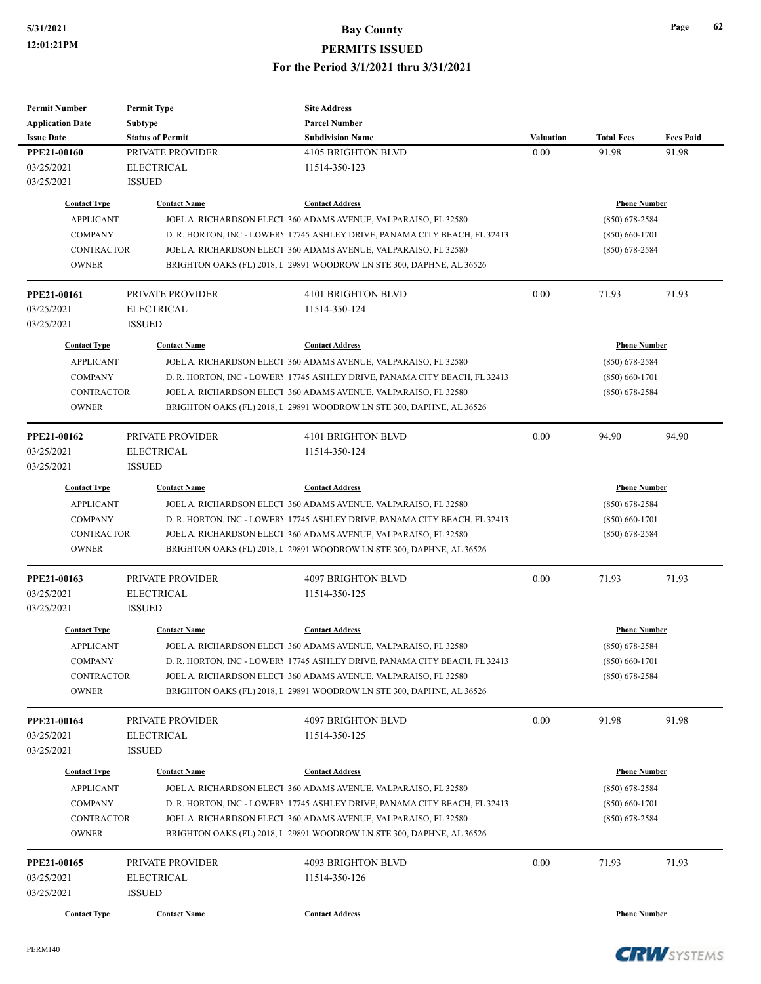**PERMITS ISSUED**

| <b>Permit Number</b>    | <b>Permit Type</b><br><b>Site Address</b> |                                                                            |           |                     |                  |  |
|-------------------------|-------------------------------------------|----------------------------------------------------------------------------|-----------|---------------------|------------------|--|
| <b>Application Date</b> | <b>Subtype</b>                            | <b>Parcel Number</b>                                                       |           |                     |                  |  |
| <b>Issue Date</b>       | <b>Status of Permit</b>                   | <b>Subdivision Name</b>                                                    | Valuation | <b>Total Fees</b>   | <b>Fees Paid</b> |  |
| PPE21-00160             | PRIVATE PROVIDER                          | <b>4105 BRIGHTON BLVD</b>                                                  | 0.00      | 91.98               | 91.98            |  |
| 03/25/2021              | <b>ELECTRICAL</b>                         | 11514-350-123                                                              |           |                     |                  |  |
| 03/25/2021              | <b>ISSUED</b>                             |                                                                            |           |                     |                  |  |
| <b>Contact Type</b>     | <b>Contact Name</b>                       | <b>Contact Address</b>                                                     |           | <b>Phone Number</b> |                  |  |
| <b>APPLICANT</b>        |                                           | JOEL A. RICHARDSON ELECT 360 ADAMS AVENUE, VALPARAISO, FL 32580            |           | $(850)$ 678-2584    |                  |  |
| <b>COMPANY</b>          |                                           | D. R. HORTON, INC - LOWERY 17745 ASHLEY DRIVE, PANAMA CITY BEACH, FL 32413 |           | $(850) 660 - 1701$  |                  |  |
| <b>CONTRACTOR</b>       |                                           | JOEL A. RICHARDSON ELECT 360 ADAMS AVENUE, VALPARAISO, FL 32580            |           | $(850)$ 678-2584    |                  |  |
| <b>OWNER</b>            |                                           | BRIGHTON OAKS (FL) 2018, L 29891 WOODROW LN STE 300, DAPHNE, AL 36526      |           |                     |                  |  |
| PPE21-00161             | PRIVATE PROVIDER                          | 4101 BRIGHTON BLVD                                                         | 0.00      | 71.93               | 71.93            |  |
| 03/25/2021              | <b>ELECTRICAL</b>                         | 11514-350-124                                                              |           |                     |                  |  |
| 03/25/2021              | <b>ISSUED</b>                             |                                                                            |           |                     |                  |  |
| <b>Contact Type</b>     | <b>Contact Name</b>                       | <b>Contact Address</b>                                                     |           | <b>Phone Number</b> |                  |  |
| <b>APPLICANT</b>        |                                           | JOEL A. RICHARDSON ELECT 360 ADAMS AVENUE, VALPARAISO, FL 32580            |           | $(850)$ 678-2584    |                  |  |
| <b>COMPANY</b>          |                                           | D. R. HORTON, INC - LOWERY 17745 ASHLEY DRIVE, PANAMA CITY BEACH, FL 32413 |           | $(850) 660 - 1701$  |                  |  |
| <b>CONTRACTOR</b>       |                                           | JOEL A. RICHARDSON ELECT 360 ADAMS AVENUE, VALPARAISO, FL 32580            |           | $(850)$ 678-2584    |                  |  |
| <b>OWNER</b>            |                                           | BRIGHTON OAKS (FL) 2018, L 29891 WOODROW LN STE 300, DAPHNE, AL 36526      |           |                     |                  |  |
| PPE21-00162             | PRIVATE PROVIDER                          | 4101 BRIGHTON BLVD                                                         | 0.00      | 94.90               | 94.90            |  |
| 03/25/2021              | <b>ELECTRICAL</b>                         | 11514-350-124                                                              |           |                     |                  |  |
| 03/25/2021              | <b>ISSUED</b>                             |                                                                            |           |                     |                  |  |
| <b>Contact Type</b>     | <b>Contact Name</b>                       | <b>Contact Address</b>                                                     |           | <b>Phone Number</b> |                  |  |
| <b>APPLICANT</b>        |                                           | JOEL A. RICHARDSON ELECT 360 ADAMS AVENUE, VALPARAISO, FL 32580            |           | $(850)$ 678-2584    |                  |  |
| <b>COMPANY</b>          |                                           | D. R. HORTON, INC - LOWERY 17745 ASHLEY DRIVE, PANAMA CITY BEACH, FL 32413 |           | $(850)$ 660-1701    |                  |  |
| <b>CONTRACTOR</b>       |                                           | JOEL A. RICHARDSON ELECT 360 ADAMS AVENUE, VALPARAISO, FL 32580            |           | $(850)$ 678-2584    |                  |  |
| <b>OWNER</b>            |                                           | BRIGHTON OAKS (FL) 2018, L 29891 WOODROW LN STE 300, DAPHNE, AL 36526      |           |                     |                  |  |
| PPE21-00163             | PRIVATE PROVIDER                          | <b>4097 BRIGHTON BLVD</b>                                                  | 0.00      | 71.93               | 71.93            |  |
| 03/25/2021              | <b>ELECTRICAL</b>                         | 11514-350-125                                                              |           |                     |                  |  |
| 03/25/2021              | <b>ISSUED</b>                             |                                                                            |           |                     |                  |  |
| <b>Contact Type</b>     | <b>Contact Name</b>                       | <b>Contact Address</b>                                                     |           | <b>Phone Number</b> |                  |  |
| <b>APPLICANT</b>        |                                           | JOEL A. RICHARDSON ELECT 360 ADAMS AVENUE, VALPARAISO, FL 32580            |           | $(850)$ 678-2584    |                  |  |
| <b>COMPANY</b>          |                                           | D. R. HORTON, INC - LOWERY 17745 ASHLEY DRIVE, PANAMA CITY BEACH, FL 32413 |           | $(850) 660 - 1701$  |                  |  |
| CONTRACTOR              |                                           | JOEL A. RICHARDSON ELECT 360 ADAMS AVENUE, VALPARAISO, FL 32580            |           | $(850)$ 678-2584    |                  |  |
| <b>OWNER</b>            |                                           | BRIGHTON OAKS (FL) 2018, L 29891 WOODROW LN STE 300, DAPHNE, AL 36526      |           |                     |                  |  |
| PPE21-00164             | PRIVATE PROVIDER                          | 4097 BRIGHTON BLVD                                                         | 0.00      | 91.98               | 91.98            |  |
| 03/25/2021              | <b>ELECTRICAL</b>                         | 11514-350-125                                                              |           |                     |                  |  |
| 03/25/2021              | <b>ISSUED</b>                             |                                                                            |           |                     |                  |  |
| <b>Contact Type</b>     | <b>Contact Name</b>                       | <b>Contact Address</b>                                                     |           | <b>Phone Number</b> |                  |  |
| <b>APPLICANT</b>        |                                           | JOEL A. RICHARDSON ELECT 360 ADAMS AVENUE, VALPARAISO, FL 32580            |           | $(850)$ 678-2584    |                  |  |
| <b>COMPANY</b>          |                                           | D. R. HORTON, INC - LOWERY 17745 ASHLEY DRIVE, PANAMA CITY BEACH, FL 32413 |           | $(850) 660 - 1701$  |                  |  |
| <b>CONTRACTOR</b>       |                                           | JOEL A. RICHARDSON ELECT 360 ADAMS AVENUE, VALPARAISO, FL 32580            |           | $(850)$ 678-2584    |                  |  |
| <b>OWNER</b>            |                                           | BRIGHTON OAKS (FL) 2018, L 29891 WOODROW LN STE 300, DAPHNE, AL 36526      |           |                     |                  |  |
| <b>PPE21-00165</b>      | PRIVATE PROVIDER                          | 4093 BRIGHTON BLVD                                                         | 0.00      | 71.93               | 71.93            |  |
| 03/25/2021              | <b>ELECTRICAL</b>                         | 11514-350-126                                                              |           |                     |                  |  |
| 03/25/2021              | <b>ISSUED</b>                             |                                                                            |           |                     |                  |  |
|                         |                                           |                                                                            |           | <b>Phone Number</b> |                  |  |
| <b>Contact Type</b>     | <b>Contact Name</b>                       | <b>Contact Address</b>                                                     |           |                     |                  |  |

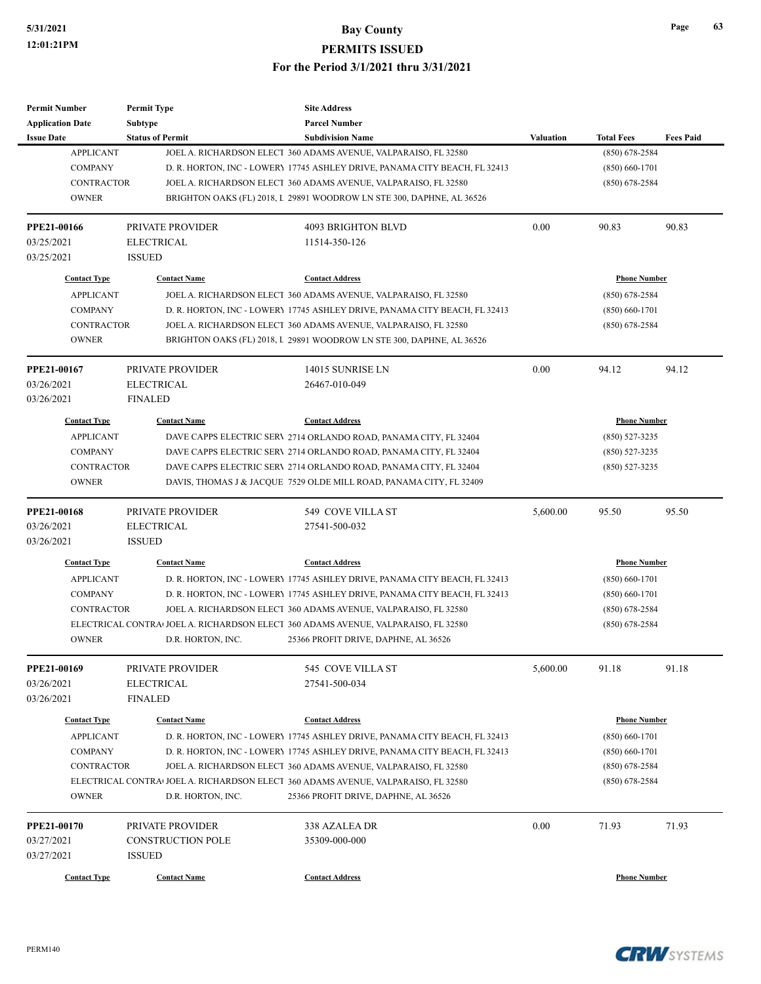| <b>Permit Number</b>    | <b>Permit Type</b>       | <b>Site Address</b>                                                                            |                  |                     |                  |
|-------------------------|--------------------------|------------------------------------------------------------------------------------------------|------------------|---------------------|------------------|
| <b>Application Date</b> | Subtype                  | <b>Parcel Number</b>                                                                           |                  |                     |                  |
| <b>Issue Date</b>       | <b>Status of Permit</b>  | <b>Subdivision Name</b>                                                                        | <b>Valuation</b> | <b>Total Fees</b>   | <b>Fees Paid</b> |
| <b>APPLICANT</b>        |                          | JOEL A. RICHARDSON ELECT 360 ADAMS AVENUE, VALPARAISO, FL 32580                                |                  | $(850)$ 678-2584    |                  |
| <b>COMPANY</b>          |                          | D. R. HORTON, INC - LOWERY 17745 ASHLEY DRIVE, PANAMA CITY BEACH, FL 32413                     |                  | $(850)$ 660-1701    |                  |
| <b>CONTRACTOR</b>       |                          | JOEL A. RICHARDSON ELECT 360 ADAMS AVENUE, VALPARAISO, FL 32580                                |                  | $(850)$ 678-2584    |                  |
| <b>OWNER</b>            |                          | BRIGHTON OAKS (FL) 2018, L 29891 WOODROW LN STE 300, DAPHNE, AL 36526                          |                  |                     |                  |
| PPE21-00166             | PRIVATE PROVIDER         | <b>4093 BRIGHTON BLVD</b>                                                                      | 0.00             | 90.83               | 90.83            |
| 03/25/2021              | <b>ELECTRICAL</b>        | 11514-350-126                                                                                  |                  |                     |                  |
| 03/25/2021              | <b>ISSUED</b>            |                                                                                                |                  |                     |                  |
| <b>Contact Type</b>     | <b>Contact Name</b>      | <b>Contact Address</b>                                                                         |                  | <b>Phone Number</b> |                  |
| <b>APPLICANT</b>        |                          | JOEL A. RICHARDSON ELECT 360 ADAMS AVENUE, VALPARAISO, FL 32580                                |                  | $(850)$ 678-2584    |                  |
| <b>COMPANY</b>          |                          | D. R. HORTON, INC - LOWERY 17745 ASHLEY DRIVE, PANAMA CITY BEACH, FL 32413                     |                  | $(850)$ 660-1701    |                  |
| <b>CONTRACTOR</b>       |                          | JOEL A. RICHARDSON ELECT 360 ADAMS AVENUE, VALPARAISO, FL 32580                                |                  | $(850)$ 678-2584    |                  |
| <b>OWNER</b>            |                          | BRIGHTON OAKS (FL) 2018, L 29891 WOODROW LN STE 300, DAPHNE, AL 36526                          |                  |                     |                  |
| PPE21-00167             | PRIVATE PROVIDER         | 14015 SUNRISE LN                                                                               | 0.00             | 94.12               | 94.12            |
| 03/26/2021              | <b>ELECTRICAL</b>        | 26467-010-049                                                                                  |                  |                     |                  |
| 03/26/2021              | <b>FINALED</b>           |                                                                                                |                  |                     |                  |
| <b>Contact Type</b>     | <b>Contact Name</b>      | <b>Contact Address</b>                                                                         |                  | <b>Phone Number</b> |                  |
| <b>APPLICANT</b>        |                          | DAVE CAPPS ELECTRIC SERV 2714 ORLANDO ROAD, PANAMA CITY, FL 32404                              |                  | $(850)$ 527-3235    |                  |
| <b>COMPANY</b>          |                          | DAVE CAPPS ELECTRIC SERV 2714 ORLANDO ROAD, PANAMA CITY, FL 32404                              |                  | $(850)$ 527-3235    |                  |
| <b>CONTRACTOR</b>       |                          | DAVE CAPPS ELECTRIC SERV 2714 ORLANDO ROAD, PANAMA CITY, FL 32404                              |                  | $(850)$ 527-3235    |                  |
| <b>OWNER</b>            |                          | DAVIS, THOMAS J & JACQUE 7529 OLDE MILL ROAD, PANAMA CITY, FL 32409                            |                  |                     |                  |
| <b>PPE21-00168</b>      | PRIVATE PROVIDER         | 549 COVE VILLA ST                                                                              | 5,600.00         | 95.50               | 95.50            |
| 03/26/2021              | <b>ELECTRICAL</b>        | 27541-500-032                                                                                  |                  |                     |                  |
| 03/26/2021              | <b>ISSUED</b>            |                                                                                                |                  |                     |                  |
| <b>Contact Type</b>     | <b>Contact Name</b>      | <b>Contact Address</b>                                                                         |                  | <b>Phone Number</b> |                  |
| <b>APPLICANT</b>        |                          | D. R. HORTON, INC - LOWER 17745 ASHLEY DRIVE, PANAMA CITY BEACH, FL 32413                      |                  | $(850) 660 - 1701$  |                  |
| <b>COMPANY</b>          |                          | D. R. HORTON, INC - LOWERY 17745 ASHLEY DRIVE, PANAMA CITY BEACH, FL 32413                     |                  | $(850)$ 660-1701    |                  |
| <b>CONTRACTOR</b>       |                          | JOEL A. RICHARDSON ELECT 360 ADAMS AVENUE, VALPARAISO, FL 32580                                |                  | (850) 678-2584      |                  |
|                         |                          | ELECTRICAL CONTRA <sup>1</sup> JOEL A. RICHARDSON ELECT 360 ADAMS AVENUE, VALPARAISO, FL 32580 |                  | (850) 678-2584      |                  |
| <b>OWNER</b>            | D.R. HORTON, INC.        | 25366 PROFIT DRIVE, DAPHNE, AL 36526                                                           |                  |                     |                  |
| PPE21-00169             | PRIVATE PROVIDER         | 545 COVE VILLA ST                                                                              | 5,600.00         | 91.18               | 91.18            |
| 03/26/2021              | <b>ELECTRICAL</b>        | 27541-500-034                                                                                  |                  |                     |                  |
| 03/26/2021              | <b>FINALED</b>           |                                                                                                |                  |                     |                  |
| <b>Contact Type</b>     | <b>Contact Name</b>      | <b>Contact Address</b>                                                                         |                  | <b>Phone Number</b> |                  |
| <b>APPLICANT</b>        |                          | D. R. HORTON, INC - LOWERY 17745 ASHLEY DRIVE, PANAMA CITY BEACH, FL 32413                     |                  | $(850) 660 - 1701$  |                  |
| <b>COMPANY</b>          |                          | D. R. HORTON, INC - LOWERY 17745 ASHLEY DRIVE, PANAMA CITY BEACH, FL 32413                     |                  | $(850)$ 660-1701    |                  |
| CONTRACTOR              |                          | JOEL A. RICHARDSON ELECT 360 ADAMS AVENUE, VALPARAISO, FL 32580                                |                  | $(850)$ 678-2584    |                  |
|                         |                          | ELECTRICAL CONTRA <sup>J</sup> JOEL A. RICHARDSON ELECT 360 ADAMS AVENUE, VALPARAISO, FL 32580 |                  | $(850)$ 678-2584    |                  |
| <b>OWNER</b>            | D.R. HORTON, INC.        | 25366 PROFIT DRIVE, DAPHNE, AL 36526                                                           |                  |                     |                  |
| <b>PPE21-00170</b>      | PRIVATE PROVIDER         | 338 AZALEA DR                                                                                  | 0.00             | 71.93               | 71.93            |
| 03/27/2021              | <b>CONSTRUCTION POLE</b> | 35309-000-000                                                                                  |                  |                     |                  |
| 03/27/2021              | <b>ISSUED</b>            |                                                                                                |                  |                     |                  |
| <b>Contact Type</b>     | <b>Contact Name</b>      | <b>Contact Address</b>                                                                         |                  | <b>Phone Number</b> |                  |
|                         |                          |                                                                                                |                  |                     |                  |

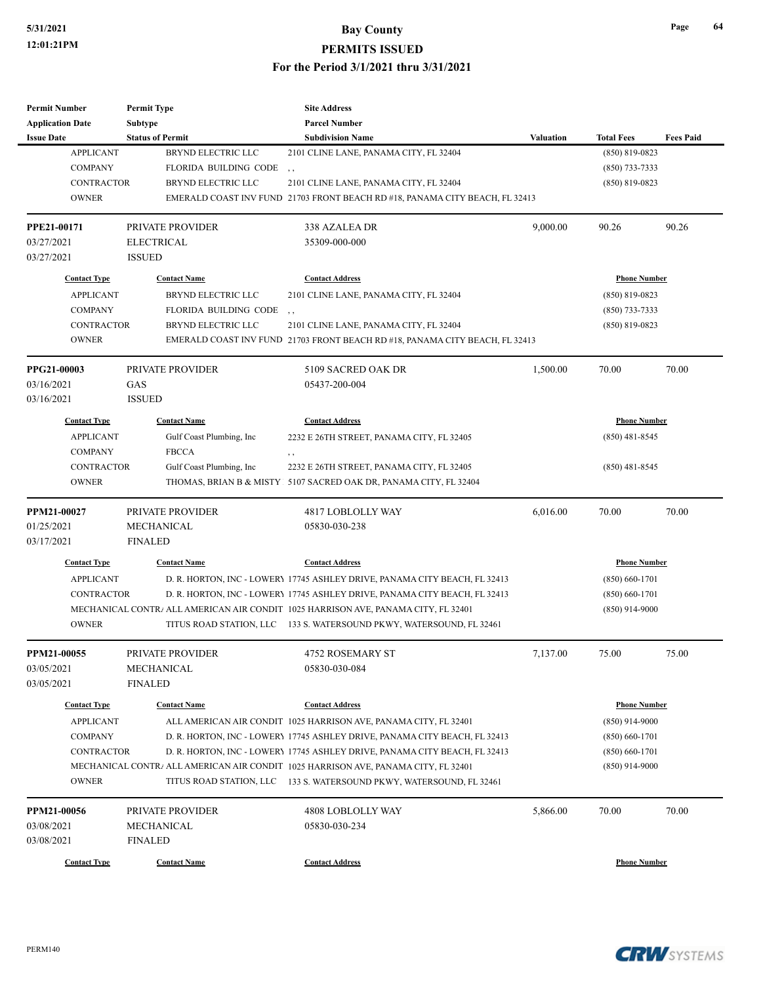#### **PERMITS ISSUED**

| <b>Parcel Number</b><br>Subtype<br><b>Status of Permit</b><br><b>Subdivision Name</b><br><b>Valuation</b><br><b>Total Fees</b><br><b>Fees Paid</b><br><b>APPLICANT</b><br><b>BRYND ELECTRIC LLC</b><br>$(850) 819 - 0823$<br>2101 CLINE LANE, PANAMA CITY, FL 32404<br><b>COMPANY</b><br>FLORIDA BUILDING CODE<br>$(850)$ 733-7333<br>$\cdot$ , ,<br><b>CONTRACTOR</b><br><b>BRYND ELECTRIC LLC</b><br>2101 CLINE LANE, PANAMA CITY, FL 32404<br>$(850)$ 819-0823<br><b>OWNER</b><br>EMERALD COAST INV FUND 21703 FRONT BEACH RD #18, PANAMA CITY BEACH, FL 32413<br>PRIVATE PROVIDER<br>338 AZALEA DR<br>9,000.00<br>90.26<br>90.26<br><b>ELECTRICAL</b><br>35309-000-000<br><b>ISSUED</b><br><b>Contact Type</b><br><b>Contact Name</b><br><b>Contact Address</b><br><b>Phone Number</b><br><b>APPLICANT</b><br><b>BRYND ELECTRIC LLC</b><br>$(850) 819 - 0823$<br>2101 CLINE LANE, PANAMA CITY, FL 32404<br><b>COMPANY</b><br>FLORIDA BUILDING CODE<br>$(850)$ 733-7333<br>, ,<br><b>CONTRACTOR</b><br>BRYND ELECTRIC LLC<br>2101 CLINE LANE, PANAMA CITY, FL 32404<br>$(850)$ 819-0823<br><b>OWNER</b><br>EMERALD COAST INV FUND 21703 FRONT BEACH RD #18, PANAMA CITY BEACH, FL 32413<br>1,500.00<br>70.00<br>70.00<br>PRIVATE PROVIDER<br>5109 SACRED OAK DR<br>GAS<br>05437-200-004<br><b>ISSUED</b><br><b>Contact Type</b><br><b>Contact Name</b><br><b>Contact Address</b><br><b>Phone Number</b><br><b>APPLICANT</b><br>Gulf Coast Plumbing, Inc<br>2232 E 26TH STREET, PANAMA CITY, FL 32405<br>$(850)$ 481-8545<br><b>FBCCA</b><br><b>COMPANY</b><br>, ,<br>Gulf Coast Plumbing, Inc<br><b>CONTRACTOR</b><br>2232 E 26TH STREET, PANAMA CITY, FL 32405<br>$(850)$ 481-8545<br><b>OWNER</b><br>THOMAS, BRIAN B & MISTY 5107 SACRED OAK DR, PANAMA CITY, FL 32404<br>6,016.00<br>70.00<br>70.00<br>PRIVATE PROVIDER<br>4817 LOBLOLLY WAY<br>MECHANICAL<br>05830-030-238<br><b>FINALED</b><br><b>Contact Type</b><br><b>Contact Name</b><br><b>Contact Address</b><br><b>Phone Number</b><br><b>APPLICANT</b><br>D. R. HORTON, INC - LOWERY 17745 ASHLEY DRIVE, PANAMA CITY BEACH, FL 32413<br>$(850) 660 - 1701$<br><b>CONTRACTOR</b><br>D. R. HORTON, INC - LOWERY 17745 ASHLEY DRIVE, PANAMA CITY BEACH, FL 32413<br>$(850) 660 - 1701$<br>MECHANICAL CONTRA ALL AMERICAN AIR CONDIT 1025 HARRISON AVE, PANAMA CITY, FL 32401<br>$(850)$ 914-9000<br><b>OWNER</b><br>TITUS ROAD STATION, LLC 133 S. WATERSOUND PKWY, WATERSOUND, FL 32461<br>PRIVATE PROVIDER<br>4752 ROSEMARY ST<br>7,137.00<br>75.00<br>75.00<br>PPM21-00055<br>MECHANICAL<br>05830-030-084<br><b>FINALED</b><br><b>Contact Type</b><br><b>Contact Name</b><br><b>Phone Number</b><br><b>Contact Address</b><br><b>APPLICANT</b><br>ALL AMERICAN AIR CONDIT 1025 HARRISON AVE, PANAMA CITY, FL 32401<br>$(850)$ 914-9000<br><b>COMPANY</b><br>D. R. HORTON, INC - LOWERY 17745 ASHLEY DRIVE, PANAMA CITY BEACH, FL 32413<br>$(850) 660 - 1701$<br><b>CONTRACTOR</b><br>D. R. HORTON, INC - LOWERY 17745 ASHLEY DRIVE, PANAMA CITY BEACH, FL 32413<br>$(850) 660 - 1701$<br>MECHANICAL CONTRA ALL AMERICAN AIR CONDIT 1025 HARRISON AVE, PANAMA CITY, FL 32401<br>$(850)$ 914-9000<br><b>OWNER</b><br>TITUS ROAD STATION, LLC 133 S. WATERSOUND PKWY, WATERSOUND, FL 32461<br>70.00<br>PRIVATE PROVIDER<br><b>4808 LOBLOLLY WAY</b><br>5,866.00<br>70.00<br>MECHANICAL<br>05830-030-234<br><b>FINALED</b><br><b>Contact Type</b><br><b>Contact Name</b><br><b>Contact Address</b><br><b>Phone Number</b> | <b>Permit Number</b>    | <b>Permit Type</b> | <b>Site Address</b> |  |  |
|---------------------------------------------------------------------------------------------------------------------------------------------------------------------------------------------------------------------------------------------------------------------------------------------------------------------------------------------------------------------------------------------------------------------------------------------------------------------------------------------------------------------------------------------------------------------------------------------------------------------------------------------------------------------------------------------------------------------------------------------------------------------------------------------------------------------------------------------------------------------------------------------------------------------------------------------------------------------------------------------------------------------------------------------------------------------------------------------------------------------------------------------------------------------------------------------------------------------------------------------------------------------------------------------------------------------------------------------------------------------------------------------------------------------------------------------------------------------------------------------------------------------------------------------------------------------------------------------------------------------------------------------------------------------------------------------------------------------------------------------------------------------------------------------------------------------------------------------------------------------------------------------------------------------------------------------------------------------------------------------------------------------------------------------------------------------------------------------------------------------------------------------------------------------------------------------------------------------------------------------------------------------------------------------------------------------------------------------------------------------------------------------------------------------------------------------------------------------------------------------------------------------------------------------------------------------------------------------------------------------------------------------------------------------------------------------------------------------------------------------------------------------------------------------------------------------------------------------------------------------------------------------------------------------------------------------------------------------------------------------------------------------------------------------------------------------------------------------------------------------------------------------------------------------------------------------------------------------------------------------------------------------------------------------------------------------------------------------------------------------------------------------------------------------------------------------------------------------------------------|-------------------------|--------------------|---------------------|--|--|
|                                                                                                                                                                                                                                                                                                                                                                                                                                                                                                                                                                                                                                                                                                                                                                                                                                                                                                                                                                                                                                                                                                                                                                                                                                                                                                                                                                                                                                                                                                                                                                                                                                                                                                                                                                                                                                                                                                                                                                                                                                                                                                                                                                                                                                                                                                                                                                                                                                                                                                                                                                                                                                                                                                                                                                                                                                                                                                                                                                                                                                                                                                                                                                                                                                                                                                                                                                                                                                                                                       | <b>Application Date</b> |                    |                     |  |  |
|                                                                                                                                                                                                                                                                                                                                                                                                                                                                                                                                                                                                                                                                                                                                                                                                                                                                                                                                                                                                                                                                                                                                                                                                                                                                                                                                                                                                                                                                                                                                                                                                                                                                                                                                                                                                                                                                                                                                                                                                                                                                                                                                                                                                                                                                                                                                                                                                                                                                                                                                                                                                                                                                                                                                                                                                                                                                                                                                                                                                                                                                                                                                                                                                                                                                                                                                                                                                                                                                                       | <b>Issue Date</b>       |                    |                     |  |  |
|                                                                                                                                                                                                                                                                                                                                                                                                                                                                                                                                                                                                                                                                                                                                                                                                                                                                                                                                                                                                                                                                                                                                                                                                                                                                                                                                                                                                                                                                                                                                                                                                                                                                                                                                                                                                                                                                                                                                                                                                                                                                                                                                                                                                                                                                                                                                                                                                                                                                                                                                                                                                                                                                                                                                                                                                                                                                                                                                                                                                                                                                                                                                                                                                                                                                                                                                                                                                                                                                                       |                         |                    |                     |  |  |
|                                                                                                                                                                                                                                                                                                                                                                                                                                                                                                                                                                                                                                                                                                                                                                                                                                                                                                                                                                                                                                                                                                                                                                                                                                                                                                                                                                                                                                                                                                                                                                                                                                                                                                                                                                                                                                                                                                                                                                                                                                                                                                                                                                                                                                                                                                                                                                                                                                                                                                                                                                                                                                                                                                                                                                                                                                                                                                                                                                                                                                                                                                                                                                                                                                                                                                                                                                                                                                                                                       |                         |                    |                     |  |  |
|                                                                                                                                                                                                                                                                                                                                                                                                                                                                                                                                                                                                                                                                                                                                                                                                                                                                                                                                                                                                                                                                                                                                                                                                                                                                                                                                                                                                                                                                                                                                                                                                                                                                                                                                                                                                                                                                                                                                                                                                                                                                                                                                                                                                                                                                                                                                                                                                                                                                                                                                                                                                                                                                                                                                                                                                                                                                                                                                                                                                                                                                                                                                                                                                                                                                                                                                                                                                                                                                                       |                         |                    |                     |  |  |
|                                                                                                                                                                                                                                                                                                                                                                                                                                                                                                                                                                                                                                                                                                                                                                                                                                                                                                                                                                                                                                                                                                                                                                                                                                                                                                                                                                                                                                                                                                                                                                                                                                                                                                                                                                                                                                                                                                                                                                                                                                                                                                                                                                                                                                                                                                                                                                                                                                                                                                                                                                                                                                                                                                                                                                                                                                                                                                                                                                                                                                                                                                                                                                                                                                                                                                                                                                                                                                                                                       |                         |                    |                     |  |  |
|                                                                                                                                                                                                                                                                                                                                                                                                                                                                                                                                                                                                                                                                                                                                                                                                                                                                                                                                                                                                                                                                                                                                                                                                                                                                                                                                                                                                                                                                                                                                                                                                                                                                                                                                                                                                                                                                                                                                                                                                                                                                                                                                                                                                                                                                                                                                                                                                                                                                                                                                                                                                                                                                                                                                                                                                                                                                                                                                                                                                                                                                                                                                                                                                                                                                                                                                                                                                                                                                                       | PPE21-00171             |                    |                     |  |  |
|                                                                                                                                                                                                                                                                                                                                                                                                                                                                                                                                                                                                                                                                                                                                                                                                                                                                                                                                                                                                                                                                                                                                                                                                                                                                                                                                                                                                                                                                                                                                                                                                                                                                                                                                                                                                                                                                                                                                                                                                                                                                                                                                                                                                                                                                                                                                                                                                                                                                                                                                                                                                                                                                                                                                                                                                                                                                                                                                                                                                                                                                                                                                                                                                                                                                                                                                                                                                                                                                                       | 03/27/2021              |                    |                     |  |  |
|                                                                                                                                                                                                                                                                                                                                                                                                                                                                                                                                                                                                                                                                                                                                                                                                                                                                                                                                                                                                                                                                                                                                                                                                                                                                                                                                                                                                                                                                                                                                                                                                                                                                                                                                                                                                                                                                                                                                                                                                                                                                                                                                                                                                                                                                                                                                                                                                                                                                                                                                                                                                                                                                                                                                                                                                                                                                                                                                                                                                                                                                                                                                                                                                                                                                                                                                                                                                                                                                                       | 03/27/2021              |                    |                     |  |  |
|                                                                                                                                                                                                                                                                                                                                                                                                                                                                                                                                                                                                                                                                                                                                                                                                                                                                                                                                                                                                                                                                                                                                                                                                                                                                                                                                                                                                                                                                                                                                                                                                                                                                                                                                                                                                                                                                                                                                                                                                                                                                                                                                                                                                                                                                                                                                                                                                                                                                                                                                                                                                                                                                                                                                                                                                                                                                                                                                                                                                                                                                                                                                                                                                                                                                                                                                                                                                                                                                                       |                         |                    |                     |  |  |
|                                                                                                                                                                                                                                                                                                                                                                                                                                                                                                                                                                                                                                                                                                                                                                                                                                                                                                                                                                                                                                                                                                                                                                                                                                                                                                                                                                                                                                                                                                                                                                                                                                                                                                                                                                                                                                                                                                                                                                                                                                                                                                                                                                                                                                                                                                                                                                                                                                                                                                                                                                                                                                                                                                                                                                                                                                                                                                                                                                                                                                                                                                                                                                                                                                                                                                                                                                                                                                                                                       |                         |                    |                     |  |  |
|                                                                                                                                                                                                                                                                                                                                                                                                                                                                                                                                                                                                                                                                                                                                                                                                                                                                                                                                                                                                                                                                                                                                                                                                                                                                                                                                                                                                                                                                                                                                                                                                                                                                                                                                                                                                                                                                                                                                                                                                                                                                                                                                                                                                                                                                                                                                                                                                                                                                                                                                                                                                                                                                                                                                                                                                                                                                                                                                                                                                                                                                                                                                                                                                                                                                                                                                                                                                                                                                                       |                         |                    |                     |  |  |
|                                                                                                                                                                                                                                                                                                                                                                                                                                                                                                                                                                                                                                                                                                                                                                                                                                                                                                                                                                                                                                                                                                                                                                                                                                                                                                                                                                                                                                                                                                                                                                                                                                                                                                                                                                                                                                                                                                                                                                                                                                                                                                                                                                                                                                                                                                                                                                                                                                                                                                                                                                                                                                                                                                                                                                                                                                                                                                                                                                                                                                                                                                                                                                                                                                                                                                                                                                                                                                                                                       |                         |                    |                     |  |  |
|                                                                                                                                                                                                                                                                                                                                                                                                                                                                                                                                                                                                                                                                                                                                                                                                                                                                                                                                                                                                                                                                                                                                                                                                                                                                                                                                                                                                                                                                                                                                                                                                                                                                                                                                                                                                                                                                                                                                                                                                                                                                                                                                                                                                                                                                                                                                                                                                                                                                                                                                                                                                                                                                                                                                                                                                                                                                                                                                                                                                                                                                                                                                                                                                                                                                                                                                                                                                                                                                                       |                         |                    |                     |  |  |
|                                                                                                                                                                                                                                                                                                                                                                                                                                                                                                                                                                                                                                                                                                                                                                                                                                                                                                                                                                                                                                                                                                                                                                                                                                                                                                                                                                                                                                                                                                                                                                                                                                                                                                                                                                                                                                                                                                                                                                                                                                                                                                                                                                                                                                                                                                                                                                                                                                                                                                                                                                                                                                                                                                                                                                                                                                                                                                                                                                                                                                                                                                                                                                                                                                                                                                                                                                                                                                                                                       | PPG21-00003             |                    |                     |  |  |
|                                                                                                                                                                                                                                                                                                                                                                                                                                                                                                                                                                                                                                                                                                                                                                                                                                                                                                                                                                                                                                                                                                                                                                                                                                                                                                                                                                                                                                                                                                                                                                                                                                                                                                                                                                                                                                                                                                                                                                                                                                                                                                                                                                                                                                                                                                                                                                                                                                                                                                                                                                                                                                                                                                                                                                                                                                                                                                                                                                                                                                                                                                                                                                                                                                                                                                                                                                                                                                                                                       | 03/16/2021              |                    |                     |  |  |
|                                                                                                                                                                                                                                                                                                                                                                                                                                                                                                                                                                                                                                                                                                                                                                                                                                                                                                                                                                                                                                                                                                                                                                                                                                                                                                                                                                                                                                                                                                                                                                                                                                                                                                                                                                                                                                                                                                                                                                                                                                                                                                                                                                                                                                                                                                                                                                                                                                                                                                                                                                                                                                                                                                                                                                                                                                                                                                                                                                                                                                                                                                                                                                                                                                                                                                                                                                                                                                                                                       | 03/16/2021              |                    |                     |  |  |
|                                                                                                                                                                                                                                                                                                                                                                                                                                                                                                                                                                                                                                                                                                                                                                                                                                                                                                                                                                                                                                                                                                                                                                                                                                                                                                                                                                                                                                                                                                                                                                                                                                                                                                                                                                                                                                                                                                                                                                                                                                                                                                                                                                                                                                                                                                                                                                                                                                                                                                                                                                                                                                                                                                                                                                                                                                                                                                                                                                                                                                                                                                                                                                                                                                                                                                                                                                                                                                                                                       |                         |                    |                     |  |  |
|                                                                                                                                                                                                                                                                                                                                                                                                                                                                                                                                                                                                                                                                                                                                                                                                                                                                                                                                                                                                                                                                                                                                                                                                                                                                                                                                                                                                                                                                                                                                                                                                                                                                                                                                                                                                                                                                                                                                                                                                                                                                                                                                                                                                                                                                                                                                                                                                                                                                                                                                                                                                                                                                                                                                                                                                                                                                                                                                                                                                                                                                                                                                                                                                                                                                                                                                                                                                                                                                                       |                         |                    |                     |  |  |
|                                                                                                                                                                                                                                                                                                                                                                                                                                                                                                                                                                                                                                                                                                                                                                                                                                                                                                                                                                                                                                                                                                                                                                                                                                                                                                                                                                                                                                                                                                                                                                                                                                                                                                                                                                                                                                                                                                                                                                                                                                                                                                                                                                                                                                                                                                                                                                                                                                                                                                                                                                                                                                                                                                                                                                                                                                                                                                                                                                                                                                                                                                                                                                                                                                                                                                                                                                                                                                                                                       |                         |                    |                     |  |  |
|                                                                                                                                                                                                                                                                                                                                                                                                                                                                                                                                                                                                                                                                                                                                                                                                                                                                                                                                                                                                                                                                                                                                                                                                                                                                                                                                                                                                                                                                                                                                                                                                                                                                                                                                                                                                                                                                                                                                                                                                                                                                                                                                                                                                                                                                                                                                                                                                                                                                                                                                                                                                                                                                                                                                                                                                                                                                                                                                                                                                                                                                                                                                                                                                                                                                                                                                                                                                                                                                                       |                         |                    |                     |  |  |
|                                                                                                                                                                                                                                                                                                                                                                                                                                                                                                                                                                                                                                                                                                                                                                                                                                                                                                                                                                                                                                                                                                                                                                                                                                                                                                                                                                                                                                                                                                                                                                                                                                                                                                                                                                                                                                                                                                                                                                                                                                                                                                                                                                                                                                                                                                                                                                                                                                                                                                                                                                                                                                                                                                                                                                                                                                                                                                                                                                                                                                                                                                                                                                                                                                                                                                                                                                                                                                                                                       |                         |                    |                     |  |  |
|                                                                                                                                                                                                                                                                                                                                                                                                                                                                                                                                                                                                                                                                                                                                                                                                                                                                                                                                                                                                                                                                                                                                                                                                                                                                                                                                                                                                                                                                                                                                                                                                                                                                                                                                                                                                                                                                                                                                                                                                                                                                                                                                                                                                                                                                                                                                                                                                                                                                                                                                                                                                                                                                                                                                                                                                                                                                                                                                                                                                                                                                                                                                                                                                                                                                                                                                                                                                                                                                                       | PPM21-00027             |                    |                     |  |  |
|                                                                                                                                                                                                                                                                                                                                                                                                                                                                                                                                                                                                                                                                                                                                                                                                                                                                                                                                                                                                                                                                                                                                                                                                                                                                                                                                                                                                                                                                                                                                                                                                                                                                                                                                                                                                                                                                                                                                                                                                                                                                                                                                                                                                                                                                                                                                                                                                                                                                                                                                                                                                                                                                                                                                                                                                                                                                                                                                                                                                                                                                                                                                                                                                                                                                                                                                                                                                                                                                                       | 01/25/2021              |                    |                     |  |  |
|                                                                                                                                                                                                                                                                                                                                                                                                                                                                                                                                                                                                                                                                                                                                                                                                                                                                                                                                                                                                                                                                                                                                                                                                                                                                                                                                                                                                                                                                                                                                                                                                                                                                                                                                                                                                                                                                                                                                                                                                                                                                                                                                                                                                                                                                                                                                                                                                                                                                                                                                                                                                                                                                                                                                                                                                                                                                                                                                                                                                                                                                                                                                                                                                                                                                                                                                                                                                                                                                                       | 03/17/2021              |                    |                     |  |  |
|                                                                                                                                                                                                                                                                                                                                                                                                                                                                                                                                                                                                                                                                                                                                                                                                                                                                                                                                                                                                                                                                                                                                                                                                                                                                                                                                                                                                                                                                                                                                                                                                                                                                                                                                                                                                                                                                                                                                                                                                                                                                                                                                                                                                                                                                                                                                                                                                                                                                                                                                                                                                                                                                                                                                                                                                                                                                                                                                                                                                                                                                                                                                                                                                                                                                                                                                                                                                                                                                                       |                         |                    |                     |  |  |
|                                                                                                                                                                                                                                                                                                                                                                                                                                                                                                                                                                                                                                                                                                                                                                                                                                                                                                                                                                                                                                                                                                                                                                                                                                                                                                                                                                                                                                                                                                                                                                                                                                                                                                                                                                                                                                                                                                                                                                                                                                                                                                                                                                                                                                                                                                                                                                                                                                                                                                                                                                                                                                                                                                                                                                                                                                                                                                                                                                                                                                                                                                                                                                                                                                                                                                                                                                                                                                                                                       |                         |                    |                     |  |  |
|                                                                                                                                                                                                                                                                                                                                                                                                                                                                                                                                                                                                                                                                                                                                                                                                                                                                                                                                                                                                                                                                                                                                                                                                                                                                                                                                                                                                                                                                                                                                                                                                                                                                                                                                                                                                                                                                                                                                                                                                                                                                                                                                                                                                                                                                                                                                                                                                                                                                                                                                                                                                                                                                                                                                                                                                                                                                                                                                                                                                                                                                                                                                                                                                                                                                                                                                                                                                                                                                                       |                         |                    |                     |  |  |
|                                                                                                                                                                                                                                                                                                                                                                                                                                                                                                                                                                                                                                                                                                                                                                                                                                                                                                                                                                                                                                                                                                                                                                                                                                                                                                                                                                                                                                                                                                                                                                                                                                                                                                                                                                                                                                                                                                                                                                                                                                                                                                                                                                                                                                                                                                                                                                                                                                                                                                                                                                                                                                                                                                                                                                                                                                                                                                                                                                                                                                                                                                                                                                                                                                                                                                                                                                                                                                                                                       |                         |                    |                     |  |  |
|                                                                                                                                                                                                                                                                                                                                                                                                                                                                                                                                                                                                                                                                                                                                                                                                                                                                                                                                                                                                                                                                                                                                                                                                                                                                                                                                                                                                                                                                                                                                                                                                                                                                                                                                                                                                                                                                                                                                                                                                                                                                                                                                                                                                                                                                                                                                                                                                                                                                                                                                                                                                                                                                                                                                                                                                                                                                                                                                                                                                                                                                                                                                                                                                                                                                                                                                                                                                                                                                                       |                         |                    |                     |  |  |
|                                                                                                                                                                                                                                                                                                                                                                                                                                                                                                                                                                                                                                                                                                                                                                                                                                                                                                                                                                                                                                                                                                                                                                                                                                                                                                                                                                                                                                                                                                                                                                                                                                                                                                                                                                                                                                                                                                                                                                                                                                                                                                                                                                                                                                                                                                                                                                                                                                                                                                                                                                                                                                                                                                                                                                                                                                                                                                                                                                                                                                                                                                                                                                                                                                                                                                                                                                                                                                                                                       |                         |                    |                     |  |  |
|                                                                                                                                                                                                                                                                                                                                                                                                                                                                                                                                                                                                                                                                                                                                                                                                                                                                                                                                                                                                                                                                                                                                                                                                                                                                                                                                                                                                                                                                                                                                                                                                                                                                                                                                                                                                                                                                                                                                                                                                                                                                                                                                                                                                                                                                                                                                                                                                                                                                                                                                                                                                                                                                                                                                                                                                                                                                                                                                                                                                                                                                                                                                                                                                                                                                                                                                                                                                                                                                                       | 03/05/2021              |                    |                     |  |  |
|                                                                                                                                                                                                                                                                                                                                                                                                                                                                                                                                                                                                                                                                                                                                                                                                                                                                                                                                                                                                                                                                                                                                                                                                                                                                                                                                                                                                                                                                                                                                                                                                                                                                                                                                                                                                                                                                                                                                                                                                                                                                                                                                                                                                                                                                                                                                                                                                                                                                                                                                                                                                                                                                                                                                                                                                                                                                                                                                                                                                                                                                                                                                                                                                                                                                                                                                                                                                                                                                                       | 03/05/2021              |                    |                     |  |  |
|                                                                                                                                                                                                                                                                                                                                                                                                                                                                                                                                                                                                                                                                                                                                                                                                                                                                                                                                                                                                                                                                                                                                                                                                                                                                                                                                                                                                                                                                                                                                                                                                                                                                                                                                                                                                                                                                                                                                                                                                                                                                                                                                                                                                                                                                                                                                                                                                                                                                                                                                                                                                                                                                                                                                                                                                                                                                                                                                                                                                                                                                                                                                                                                                                                                                                                                                                                                                                                                                                       |                         |                    |                     |  |  |
|                                                                                                                                                                                                                                                                                                                                                                                                                                                                                                                                                                                                                                                                                                                                                                                                                                                                                                                                                                                                                                                                                                                                                                                                                                                                                                                                                                                                                                                                                                                                                                                                                                                                                                                                                                                                                                                                                                                                                                                                                                                                                                                                                                                                                                                                                                                                                                                                                                                                                                                                                                                                                                                                                                                                                                                                                                                                                                                                                                                                                                                                                                                                                                                                                                                                                                                                                                                                                                                                                       |                         |                    |                     |  |  |
|                                                                                                                                                                                                                                                                                                                                                                                                                                                                                                                                                                                                                                                                                                                                                                                                                                                                                                                                                                                                                                                                                                                                                                                                                                                                                                                                                                                                                                                                                                                                                                                                                                                                                                                                                                                                                                                                                                                                                                                                                                                                                                                                                                                                                                                                                                                                                                                                                                                                                                                                                                                                                                                                                                                                                                                                                                                                                                                                                                                                                                                                                                                                                                                                                                                                                                                                                                                                                                                                                       |                         |                    |                     |  |  |
|                                                                                                                                                                                                                                                                                                                                                                                                                                                                                                                                                                                                                                                                                                                                                                                                                                                                                                                                                                                                                                                                                                                                                                                                                                                                                                                                                                                                                                                                                                                                                                                                                                                                                                                                                                                                                                                                                                                                                                                                                                                                                                                                                                                                                                                                                                                                                                                                                                                                                                                                                                                                                                                                                                                                                                                                                                                                                                                                                                                                                                                                                                                                                                                                                                                                                                                                                                                                                                                                                       |                         |                    |                     |  |  |
|                                                                                                                                                                                                                                                                                                                                                                                                                                                                                                                                                                                                                                                                                                                                                                                                                                                                                                                                                                                                                                                                                                                                                                                                                                                                                                                                                                                                                                                                                                                                                                                                                                                                                                                                                                                                                                                                                                                                                                                                                                                                                                                                                                                                                                                                                                                                                                                                                                                                                                                                                                                                                                                                                                                                                                                                                                                                                                                                                                                                                                                                                                                                                                                                                                                                                                                                                                                                                                                                                       |                         |                    |                     |  |  |
|                                                                                                                                                                                                                                                                                                                                                                                                                                                                                                                                                                                                                                                                                                                                                                                                                                                                                                                                                                                                                                                                                                                                                                                                                                                                                                                                                                                                                                                                                                                                                                                                                                                                                                                                                                                                                                                                                                                                                                                                                                                                                                                                                                                                                                                                                                                                                                                                                                                                                                                                                                                                                                                                                                                                                                                                                                                                                                                                                                                                                                                                                                                                                                                                                                                                                                                                                                                                                                                                                       |                         |                    |                     |  |  |
|                                                                                                                                                                                                                                                                                                                                                                                                                                                                                                                                                                                                                                                                                                                                                                                                                                                                                                                                                                                                                                                                                                                                                                                                                                                                                                                                                                                                                                                                                                                                                                                                                                                                                                                                                                                                                                                                                                                                                                                                                                                                                                                                                                                                                                                                                                                                                                                                                                                                                                                                                                                                                                                                                                                                                                                                                                                                                                                                                                                                                                                                                                                                                                                                                                                                                                                                                                                                                                                                                       | PPM21-00056             |                    |                     |  |  |
|                                                                                                                                                                                                                                                                                                                                                                                                                                                                                                                                                                                                                                                                                                                                                                                                                                                                                                                                                                                                                                                                                                                                                                                                                                                                                                                                                                                                                                                                                                                                                                                                                                                                                                                                                                                                                                                                                                                                                                                                                                                                                                                                                                                                                                                                                                                                                                                                                                                                                                                                                                                                                                                                                                                                                                                                                                                                                                                                                                                                                                                                                                                                                                                                                                                                                                                                                                                                                                                                                       | 03/08/2021              |                    |                     |  |  |
|                                                                                                                                                                                                                                                                                                                                                                                                                                                                                                                                                                                                                                                                                                                                                                                                                                                                                                                                                                                                                                                                                                                                                                                                                                                                                                                                                                                                                                                                                                                                                                                                                                                                                                                                                                                                                                                                                                                                                                                                                                                                                                                                                                                                                                                                                                                                                                                                                                                                                                                                                                                                                                                                                                                                                                                                                                                                                                                                                                                                                                                                                                                                                                                                                                                                                                                                                                                                                                                                                       | 03/08/2021              |                    |                     |  |  |
|                                                                                                                                                                                                                                                                                                                                                                                                                                                                                                                                                                                                                                                                                                                                                                                                                                                                                                                                                                                                                                                                                                                                                                                                                                                                                                                                                                                                                                                                                                                                                                                                                                                                                                                                                                                                                                                                                                                                                                                                                                                                                                                                                                                                                                                                                                                                                                                                                                                                                                                                                                                                                                                                                                                                                                                                                                                                                                                                                                                                                                                                                                                                                                                                                                                                                                                                                                                                                                                                                       |                         |                    |                     |  |  |

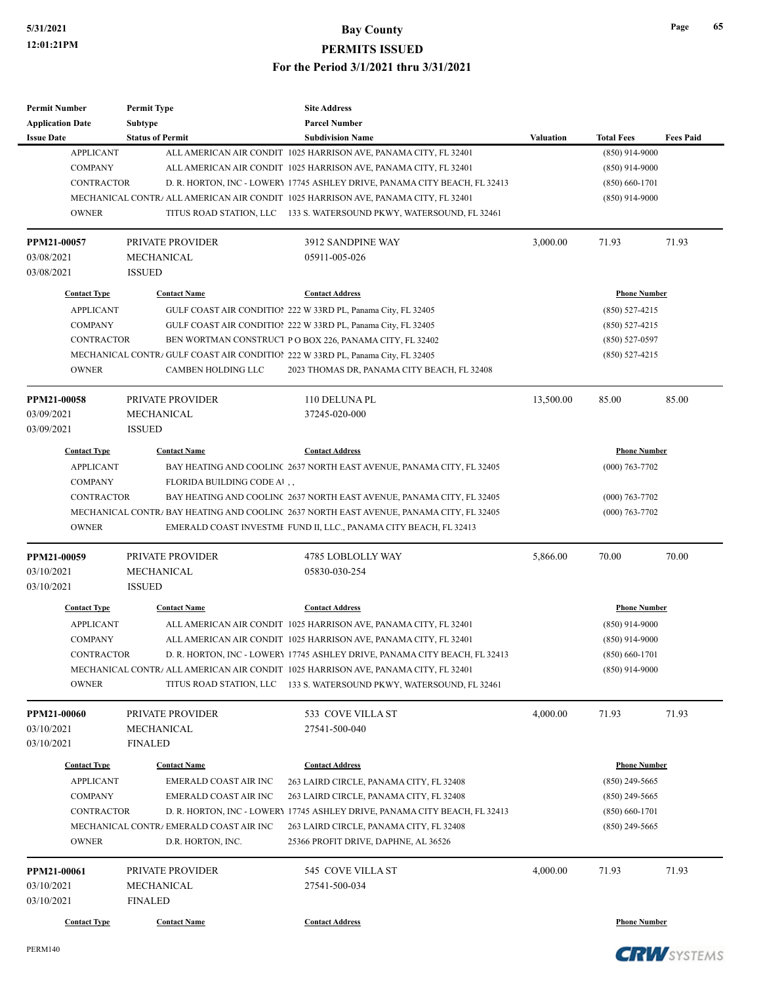| <b>Permit Number</b>    | <b>Permit Type</b>                                                              | <b>Site Address</b>                                                                     |                  |                     |                  |
|-------------------------|---------------------------------------------------------------------------------|-----------------------------------------------------------------------------------------|------------------|---------------------|------------------|
| <b>Application Date</b> | <b>Subtype</b>                                                                  | <b>Parcel Number</b>                                                                    |                  |                     |                  |
| <b>Issue Date</b>       | <b>Status of Permit</b>                                                         | <b>Subdivision Name</b>                                                                 | <b>Valuation</b> | <b>Total Fees</b>   | <b>Fees Paid</b> |
| <b>APPLICANT</b>        |                                                                                 | ALL AMERICAN AIR CONDIT 1025 HARRISON AVE, PANAMA CITY, FL 32401                        |                  | $(850)$ 914-9000    |                  |
| <b>COMPANY</b>          |                                                                                 | ALL AMERICAN AIR CONDIT 1025 HARRISON AVE, PANAMA CITY, FL 32401                        |                  | $(850)$ 914-9000    |                  |
| <b>CONTRACTOR</b>       |                                                                                 | D. R. HORTON, INC - LOWERY 17745 ASHLEY DRIVE, PANAMA CITY BEACH, FL 32413              |                  | $(850) 660 - 1701$  |                  |
|                         |                                                                                 | MECHANICAL CONTRA ALL AMERICAN AIR CONDIT 1025 HARRISON AVE, PANAMA CITY, FL 32401      |                  | $(850)$ 914-9000    |                  |
| <b>OWNER</b>            |                                                                                 | TITUS ROAD STATION, LLC 133 S. WATERSOUND PKWY, WATERSOUND, FL 32461                    |                  |                     |                  |
| PPM21-00057             | PRIVATE PROVIDER                                                                | 3912 SANDPINE WAY                                                                       | 3,000.00         | 71.93               | 71.93            |
| 03/08/2021              | <b>MECHANICAL</b>                                                               | 05911-005-026                                                                           |                  |                     |                  |
| 03/08/2021              | <b>ISSUED</b>                                                                   |                                                                                         |                  |                     |                  |
| <b>Contact Type</b>     | <b>Contact Name</b>                                                             | <b>Contact Address</b>                                                                  |                  | <b>Phone Number</b> |                  |
| <b>APPLICANT</b>        |                                                                                 | GULF COAST AIR CONDITION 222 W 33RD PL, Panama City, FL 32405                           |                  | $(850) 527 - 4215$  |                  |
| <b>COMPANY</b>          |                                                                                 | GULF COAST AIR CONDITION 222 W 33RD PL, Panama City, FL 32405                           |                  | $(850)$ 527-4215    |                  |
| <b>CONTRACTOR</b>       |                                                                                 | BEN WORTMAN CONSTRUCT PO BOX 226, PANAMA CITY, FL 32402                                 |                  | $(850) 527 - 0597$  |                  |
|                         | MECHANICAL CONTR. GULF COAST AIR CONDITION 222 W 33RD PL, Panama City, FL 32405 |                                                                                         |                  | $(850)$ 527-4215    |                  |
| <b>OWNER</b>            | <b>CAMBEN HOLDING LLC</b>                                                       | 2023 THOMAS DR, PANAMA CITY BEACH, FL 32408                                             |                  |                     |                  |
| PPM21-00058             | PRIVATE PROVIDER                                                                | 110 DELUNA PL                                                                           | 13,500.00        | 85.00               | 85.00            |
| 03/09/2021              | MECHANICAL                                                                      | 37245-020-000                                                                           |                  |                     |                  |
| 03/09/2021              | <b>ISSUED</b>                                                                   |                                                                                         |                  |                     |                  |
| <b>Contact Type</b>     | <b>Contact Name</b>                                                             | <b>Contact Address</b>                                                                  |                  | <b>Phone Number</b> |                  |
| <b>APPLICANT</b>        |                                                                                 | BAY HEATING AND COOLINC 2637 NORTH EAST AVENUE, PANAMA CITY, FL 32405                   |                  | $(000)$ 763-7702    |                  |
| <b>COMPANY</b>          | FLORIDA BUILDING CODE A \,                                                      |                                                                                         |                  |                     |                  |
| <b>CONTRACTOR</b>       |                                                                                 | BAY HEATING AND COOLINC 2637 NORTH EAST AVENUE, PANAMA CITY, FL 32405                   |                  | $(000)$ 763-7702    |                  |
|                         |                                                                                 | MECHANICAL CONTR. BAY HEATING AND COOLINC 2637 NORTH EAST AVENUE, PANAMA CITY, FL 32405 |                  | $(000)$ 763-7702    |                  |
| <b>OWNER</b>            |                                                                                 | EMERALD COAST INVESTME FUND II, LLC., PANAMA CITY BEACH, FL 32413                       |                  |                     |                  |
| PPM21-00059             | PRIVATE PROVIDER                                                                | 4785 LOBLOLLY WAY                                                                       | 5,866.00         | 70.00               | 70.00            |
| 03/10/2021              | MECHANICAL                                                                      | 05830-030-254                                                                           |                  |                     |                  |
| 03/10/2021              | <b>ISSUED</b>                                                                   |                                                                                         |                  |                     |                  |
| <b>Contact Type</b>     | <b>Contact Name</b>                                                             | <b>Contact Address</b>                                                                  |                  | <b>Phone Number</b> |                  |
| <b>APPLICANT</b>        |                                                                                 | ALL AMERICAN AIR CONDIT 1025 HARRISON AVE, PANAMA CITY, FL 32401                        |                  | $(850)$ 914-9000    |                  |
| <b>COMPANY</b>          |                                                                                 | ALL AMERICAN AIR CONDIT 1025 HARRISON AVE, PANAMA CITY, FL 32401                        |                  | $(850)$ 914-9000    |                  |
| CONTRACTOR              |                                                                                 | D. R. HORTON, INC - LOWERY 17745 ASHLEY DRIVE, PANAMA CITY BEACH, FL 32413              |                  | $(850) 660 - 1701$  |                  |
|                         |                                                                                 | MECHANICAL CONTRA ALL AMERICAN AIR CONDIT 1025 HARRISON AVE, PANAMA CITY, FL 32401      |                  | $(850)$ 914-9000    |                  |
| <b>OWNER</b>            |                                                                                 | TITUS ROAD STATION, LLC 133 S. WATERSOUND PKWY, WATERSOUND, FL 32461                    |                  |                     |                  |
| PPM21-00060             | PRIVATE PROVIDER                                                                | 533 COVE VILLA ST                                                                       | 4,000.00         | 71.93               | 71.93            |
| 03/10/2021              | MECHANICAL                                                                      | 27541-500-040                                                                           |                  |                     |                  |
| 03/10/2021              | <b>FINALED</b>                                                                  |                                                                                         |                  |                     |                  |
| <b>Contact Type</b>     | <b>Contact Name</b>                                                             | <b>Contact Address</b>                                                                  |                  | <b>Phone Number</b> |                  |
| <b>APPLICANT</b>        | <b>EMERALD COAST AIR INC</b>                                                    | 263 LAIRD CIRCLE, PANAMA CITY, FL 32408                                                 |                  | $(850)$ 249-5665    |                  |
| <b>COMPANY</b>          | <b>EMERALD COAST AIR INC</b>                                                    | 263 LAIRD CIRCLE, PANAMA CITY, FL 32408                                                 |                  | $(850)$ 249-5665    |                  |
| CONTRACTOR              |                                                                                 | D. R. HORTON, INC - LOWERY 17745 ASHLEY DRIVE, PANAMA CITY BEACH, FL 32413              |                  | $(850) 660 - 1701$  |                  |
|                         | MECHANICAL CONTR. EMERALD COAST AIR INC                                         | 263 LAIRD CIRCLE, PANAMA CITY, FL 32408                                                 |                  | $(850)$ 249-5665    |                  |
| <b>OWNER</b>            | D.R. HORTON, INC.                                                               | 25366 PROFIT DRIVE, DAPHNE, AL 36526                                                    |                  |                     |                  |
| PPM21-00061             | PRIVATE PROVIDER                                                                | 545 COVE VILLA ST                                                                       | 4,000.00         | 71.93               | 71.93            |
| 03/10/2021              | MECHANICAL                                                                      | 27541-500-034                                                                           |                  |                     |                  |
| 03/10/2021              | <b>FINALED</b>                                                                  |                                                                                         |                  |                     |                  |
|                         |                                                                                 |                                                                                         |                  |                     |                  |
| <b>Contact Type</b>     | <b>Contact Name</b>                                                             | <b>Contact Address</b>                                                                  |                  | <b>Phone Number</b> |                  |

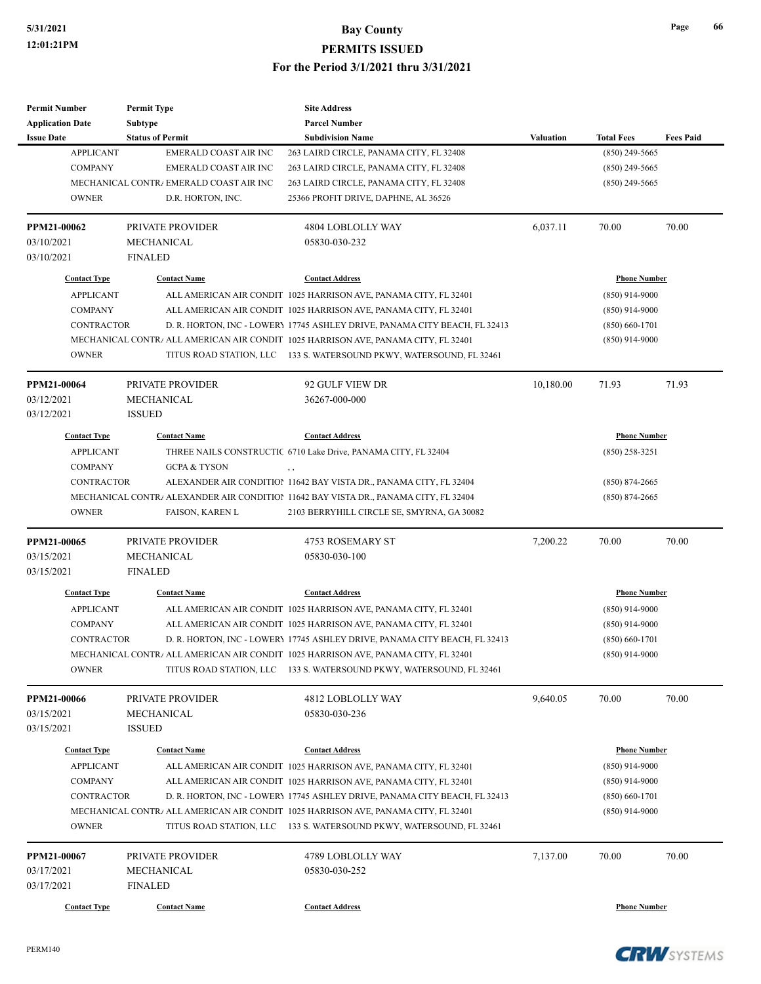| Subtype<br><b>Parcel Number</b><br><b>Status of Permit</b><br><b>Subdivision Name</b><br><b>Valuation</b><br><b>Total Fees</b><br><b>Fees Paid</b><br><b>EMERALD COAST AIR INC</b><br><b>APPLICANT</b><br>$(850)$ 249-5665<br>263 LAIRD CIRCLE, PANAMA CITY, FL 32408<br><b>COMPANY</b><br><b>EMERALD COAST AIR INC</b><br>263 LAIRD CIRCLE, PANAMA CITY, FL 32408<br>(850) 249-5665<br>MECHANICAL CONTR/ EMERALD COAST AIR INC<br>263 LAIRD CIRCLE, PANAMA CITY, FL 32408<br>$(850)$ 249-5665<br><b>OWNER</b><br>D.R. HORTON, INC.<br>25366 PROFIT DRIVE, DAPHNE, AL 36526<br>6,037.11<br>70.00<br>70.00<br><b>PRIVATE PROVIDER</b><br>4804 LOBLOLLY WAY<br>MECHANICAL<br>05830-030-232<br><b>FINALED</b><br><b>Contact Type</b><br><b>Contact Name</b><br><b>Contact Address</b><br><b>Phone Number</b><br><b>APPLICANT</b><br>$(850)$ 914-9000<br>ALL AMERICAN AIR CONDIT 1025 HARRISON AVE, PANAMA CITY, FL 32401<br><b>COMPANY</b><br>ALL AMERICAN AIR CONDIT 1025 HARRISON AVE, PANAMA CITY, FL 32401<br>(850) 914-9000<br><b>CONTRACTOR</b><br>D. R. HORTON, INC - LOWERY 17745 ASHLEY DRIVE, PANAMA CITY BEACH, FL 32413<br>$(850) 660 - 1701$<br>MECHANICAL CONTRA ALL AMERICAN AIR CONDIT 1025 HARRISON AVE, PANAMA CITY, FL 32401<br>$(850)$ 914-9000<br><b>OWNER</b><br>TITUS ROAD STATION, LLC 133 S. WATERSOUND PKWY, WATERSOUND, FL 32461<br>10,180.00<br>71.93<br>71.93<br>PRIVATE PROVIDER<br>92 GULF VIEW DR<br><b>MECHANICAL</b><br>36267-000-000<br><b>ISSUED</b><br><b>Contact Type</b><br><b>Contact Name</b><br><b>Contact Address</b><br><b>Phone Number</b><br><b>APPLICANT</b><br>THREE NAILS CONSTRUCTIC 6710 Lake Drive, PANAMA CITY, FL 32404<br>$(850)$ 258-3251<br><b>COMPANY</b><br><b>GCPA &amp; TYSON</b><br>, ,<br><b>CONTRACTOR</b><br>ALEXANDER AIR CONDITION 11642 BAY VISTA DR., PANAMA CITY, FL 32404<br>(850) 874-2665<br>MECHANICAL CONTRA ALEXANDER AIR CONDITION 11642 BAY VISTA DR., PANAMA CITY, FL 32404<br>$(850) 874 - 2665$<br><b>OWNER</b><br><b>FAISON, KAREN L</b><br>2103 BERRYHILL CIRCLE SE, SMYRNA, GA 30082<br>PRIVATE PROVIDER<br>70.00<br>4753 ROSEMARY ST<br>7,200.22<br>70.00<br>MECHANICAL<br>05830-030-100<br><b>FINALED</b><br><b>Contact Type</b><br><b>Contact Name</b><br><b>Phone Number</b><br><b>Contact Address</b><br><b>APPLICANT</b><br>ALL AMERICAN AIR CONDIT 1025 HARRISON AVE, PANAMA CITY, FL 32401<br>$(850)$ 914-9000<br><b>COMPANY</b><br>ALL AMERICAN AIR CONDIT 1025 HARRISON AVE, PANAMA CITY, FL 32401<br>(850) 914-9000<br><b>CONTRACTOR</b><br>D. R. HORTON, INC - LOWERY 17745 ASHLEY DRIVE, PANAMA CITY BEACH, FL 32413<br>$(850) 660 - 1701$<br>MECHANICAL CONTRA ALL AMERICAN AIR CONDIT 1025 HARRISON AVE, PANAMA CITY, FL 32401<br>(850) 914-9000<br><b>OWNER</b><br>TITUS ROAD STATION, LLC 133 S. WATERSOUND PKWY, WATERSOUND, FL 32461<br>70.00<br>70.00<br>PRIVATE PROVIDER<br>4812 LOBLOLLY WAY<br>9,640.05<br>MECHANICAL<br>05830-030-236<br><b>ISSUED</b><br><b>Phone Number</b><br><b>Contact Type</b><br><b>Contact Name</b><br><b>Contact Address</b><br><b>APPLICANT</b><br>ALL AMERICAN AIR CONDIT 1025 HARRISON AVE, PANAMA CITY, FL 32401<br>$(850)$ 914-9000<br><b>COMPANY</b><br>ALL AMERICAN AIR CONDIT 1025 HARRISON AVE, PANAMA CITY, FL 32401<br>(850) 914-9000<br><b>CONTRACTOR</b><br>D. R. HORTON, INC - LOWERY 17745 ASHLEY DRIVE, PANAMA CITY BEACH, FL 32413<br>$(850) 660 - 1701$<br>$(850)$ 914-9000<br>MECHANICAL CONTRA ALL AMERICAN AIR CONDIT 1025 HARRISON AVE, PANAMA CITY, FL 32401<br><b>OWNER</b><br>TITUS ROAD STATION, LLC 133 S. WATERSOUND PKWY, WATERSOUND, FL 32461<br>70.00<br>PRIVATE PROVIDER<br>4789 LOBLOLLY WAY<br>7,137.00<br>70.00<br>MECHANICAL<br>05830-030-252<br><b>FINALED</b><br><b>Contact Type</b><br><b>Contact Name</b><br><b>Contact Address</b><br><b>Phone Number</b> | <b>Permit Number</b>    | <b>Permit Type</b> | <b>Site Address</b> |  |  |  |
|--------------------------------------------------------------------------------------------------------------------------------------------------------------------------------------------------------------------------------------------------------------------------------------------------------------------------------------------------------------------------------------------------------------------------------------------------------------------------------------------------------------------------------------------------------------------------------------------------------------------------------------------------------------------------------------------------------------------------------------------------------------------------------------------------------------------------------------------------------------------------------------------------------------------------------------------------------------------------------------------------------------------------------------------------------------------------------------------------------------------------------------------------------------------------------------------------------------------------------------------------------------------------------------------------------------------------------------------------------------------------------------------------------------------------------------------------------------------------------------------------------------------------------------------------------------------------------------------------------------------------------------------------------------------------------------------------------------------------------------------------------------------------------------------------------------------------------------------------------------------------------------------------------------------------------------------------------------------------------------------------------------------------------------------------------------------------------------------------------------------------------------------------------------------------------------------------------------------------------------------------------------------------------------------------------------------------------------------------------------------------------------------------------------------------------------------------------------------------------------------------------------------------------------------------------------------------------------------------------------------------------------------------------------------------------------------------------------------------------------------------------------------------------------------------------------------------------------------------------------------------------------------------------------------------------------------------------------------------------------------------------------------------------------------------------------------------------------------------------------------------------------------------------------------------------------------------------------------------------------------------------------------------------------------------------------------------------------------------------------------------------------------------------------------------------------------------------------------------------------------------------------------------------------------------------------------------------------------------------------------------------------------------------------------------------------------------------------------------------------------------------------------------------------------------------------------------------------|-------------------------|--------------------|---------------------|--|--|--|
|                                                                                                                                                                                                                                                                                                                                                                                                                                                                                                                                                                                                                                                                                                                                                                                                                                                                                                                                                                                                                                                                                                                                                                                                                                                                                                                                                                                                                                                                                                                                                                                                                                                                                                                                                                                                                                                                                                                                                                                                                                                                                                                                                                                                                                                                                                                                                                                                                                                                                                                                                                                                                                                                                                                                                                                                                                                                                                                                                                                                                                                                                                                                                                                                                                                                                                                                                                                                                                                                                                                                                                                                                                                                                                                                                                                                                                      | <b>Application Date</b> |                    |                     |  |  |  |
|                                                                                                                                                                                                                                                                                                                                                                                                                                                                                                                                                                                                                                                                                                                                                                                                                                                                                                                                                                                                                                                                                                                                                                                                                                                                                                                                                                                                                                                                                                                                                                                                                                                                                                                                                                                                                                                                                                                                                                                                                                                                                                                                                                                                                                                                                                                                                                                                                                                                                                                                                                                                                                                                                                                                                                                                                                                                                                                                                                                                                                                                                                                                                                                                                                                                                                                                                                                                                                                                                                                                                                                                                                                                                                                                                                                                                                      | <b>Issue Date</b>       |                    |                     |  |  |  |
|                                                                                                                                                                                                                                                                                                                                                                                                                                                                                                                                                                                                                                                                                                                                                                                                                                                                                                                                                                                                                                                                                                                                                                                                                                                                                                                                                                                                                                                                                                                                                                                                                                                                                                                                                                                                                                                                                                                                                                                                                                                                                                                                                                                                                                                                                                                                                                                                                                                                                                                                                                                                                                                                                                                                                                                                                                                                                                                                                                                                                                                                                                                                                                                                                                                                                                                                                                                                                                                                                                                                                                                                                                                                                                                                                                                                                                      |                         |                    |                     |  |  |  |
|                                                                                                                                                                                                                                                                                                                                                                                                                                                                                                                                                                                                                                                                                                                                                                                                                                                                                                                                                                                                                                                                                                                                                                                                                                                                                                                                                                                                                                                                                                                                                                                                                                                                                                                                                                                                                                                                                                                                                                                                                                                                                                                                                                                                                                                                                                                                                                                                                                                                                                                                                                                                                                                                                                                                                                                                                                                                                                                                                                                                                                                                                                                                                                                                                                                                                                                                                                                                                                                                                                                                                                                                                                                                                                                                                                                                                                      |                         |                    |                     |  |  |  |
|                                                                                                                                                                                                                                                                                                                                                                                                                                                                                                                                                                                                                                                                                                                                                                                                                                                                                                                                                                                                                                                                                                                                                                                                                                                                                                                                                                                                                                                                                                                                                                                                                                                                                                                                                                                                                                                                                                                                                                                                                                                                                                                                                                                                                                                                                                                                                                                                                                                                                                                                                                                                                                                                                                                                                                                                                                                                                                                                                                                                                                                                                                                                                                                                                                                                                                                                                                                                                                                                                                                                                                                                                                                                                                                                                                                                                                      |                         |                    |                     |  |  |  |
|                                                                                                                                                                                                                                                                                                                                                                                                                                                                                                                                                                                                                                                                                                                                                                                                                                                                                                                                                                                                                                                                                                                                                                                                                                                                                                                                                                                                                                                                                                                                                                                                                                                                                                                                                                                                                                                                                                                                                                                                                                                                                                                                                                                                                                                                                                                                                                                                                                                                                                                                                                                                                                                                                                                                                                                                                                                                                                                                                                                                                                                                                                                                                                                                                                                                                                                                                                                                                                                                                                                                                                                                                                                                                                                                                                                                                                      |                         |                    |                     |  |  |  |
|                                                                                                                                                                                                                                                                                                                                                                                                                                                                                                                                                                                                                                                                                                                                                                                                                                                                                                                                                                                                                                                                                                                                                                                                                                                                                                                                                                                                                                                                                                                                                                                                                                                                                                                                                                                                                                                                                                                                                                                                                                                                                                                                                                                                                                                                                                                                                                                                                                                                                                                                                                                                                                                                                                                                                                                                                                                                                                                                                                                                                                                                                                                                                                                                                                                                                                                                                                                                                                                                                                                                                                                                                                                                                                                                                                                                                                      | PPM21-00062             |                    |                     |  |  |  |
|                                                                                                                                                                                                                                                                                                                                                                                                                                                                                                                                                                                                                                                                                                                                                                                                                                                                                                                                                                                                                                                                                                                                                                                                                                                                                                                                                                                                                                                                                                                                                                                                                                                                                                                                                                                                                                                                                                                                                                                                                                                                                                                                                                                                                                                                                                                                                                                                                                                                                                                                                                                                                                                                                                                                                                                                                                                                                                                                                                                                                                                                                                                                                                                                                                                                                                                                                                                                                                                                                                                                                                                                                                                                                                                                                                                                                                      | 03/10/2021              |                    |                     |  |  |  |
|                                                                                                                                                                                                                                                                                                                                                                                                                                                                                                                                                                                                                                                                                                                                                                                                                                                                                                                                                                                                                                                                                                                                                                                                                                                                                                                                                                                                                                                                                                                                                                                                                                                                                                                                                                                                                                                                                                                                                                                                                                                                                                                                                                                                                                                                                                                                                                                                                                                                                                                                                                                                                                                                                                                                                                                                                                                                                                                                                                                                                                                                                                                                                                                                                                                                                                                                                                                                                                                                                                                                                                                                                                                                                                                                                                                                                                      | 03/10/2021              |                    |                     |  |  |  |
|                                                                                                                                                                                                                                                                                                                                                                                                                                                                                                                                                                                                                                                                                                                                                                                                                                                                                                                                                                                                                                                                                                                                                                                                                                                                                                                                                                                                                                                                                                                                                                                                                                                                                                                                                                                                                                                                                                                                                                                                                                                                                                                                                                                                                                                                                                                                                                                                                                                                                                                                                                                                                                                                                                                                                                                                                                                                                                                                                                                                                                                                                                                                                                                                                                                                                                                                                                                                                                                                                                                                                                                                                                                                                                                                                                                                                                      |                         |                    |                     |  |  |  |
|                                                                                                                                                                                                                                                                                                                                                                                                                                                                                                                                                                                                                                                                                                                                                                                                                                                                                                                                                                                                                                                                                                                                                                                                                                                                                                                                                                                                                                                                                                                                                                                                                                                                                                                                                                                                                                                                                                                                                                                                                                                                                                                                                                                                                                                                                                                                                                                                                                                                                                                                                                                                                                                                                                                                                                                                                                                                                                                                                                                                                                                                                                                                                                                                                                                                                                                                                                                                                                                                                                                                                                                                                                                                                                                                                                                                                                      |                         |                    |                     |  |  |  |
|                                                                                                                                                                                                                                                                                                                                                                                                                                                                                                                                                                                                                                                                                                                                                                                                                                                                                                                                                                                                                                                                                                                                                                                                                                                                                                                                                                                                                                                                                                                                                                                                                                                                                                                                                                                                                                                                                                                                                                                                                                                                                                                                                                                                                                                                                                                                                                                                                                                                                                                                                                                                                                                                                                                                                                                                                                                                                                                                                                                                                                                                                                                                                                                                                                                                                                                                                                                                                                                                                                                                                                                                                                                                                                                                                                                                                                      |                         |                    |                     |  |  |  |
|                                                                                                                                                                                                                                                                                                                                                                                                                                                                                                                                                                                                                                                                                                                                                                                                                                                                                                                                                                                                                                                                                                                                                                                                                                                                                                                                                                                                                                                                                                                                                                                                                                                                                                                                                                                                                                                                                                                                                                                                                                                                                                                                                                                                                                                                                                                                                                                                                                                                                                                                                                                                                                                                                                                                                                                                                                                                                                                                                                                                                                                                                                                                                                                                                                                                                                                                                                                                                                                                                                                                                                                                                                                                                                                                                                                                                                      |                         |                    |                     |  |  |  |
|                                                                                                                                                                                                                                                                                                                                                                                                                                                                                                                                                                                                                                                                                                                                                                                                                                                                                                                                                                                                                                                                                                                                                                                                                                                                                                                                                                                                                                                                                                                                                                                                                                                                                                                                                                                                                                                                                                                                                                                                                                                                                                                                                                                                                                                                                                                                                                                                                                                                                                                                                                                                                                                                                                                                                                                                                                                                                                                                                                                                                                                                                                                                                                                                                                                                                                                                                                                                                                                                                                                                                                                                                                                                                                                                                                                                                                      |                         |                    |                     |  |  |  |
|                                                                                                                                                                                                                                                                                                                                                                                                                                                                                                                                                                                                                                                                                                                                                                                                                                                                                                                                                                                                                                                                                                                                                                                                                                                                                                                                                                                                                                                                                                                                                                                                                                                                                                                                                                                                                                                                                                                                                                                                                                                                                                                                                                                                                                                                                                                                                                                                                                                                                                                                                                                                                                                                                                                                                                                                                                                                                                                                                                                                                                                                                                                                                                                                                                                                                                                                                                                                                                                                                                                                                                                                                                                                                                                                                                                                                                      |                         |                    |                     |  |  |  |
|                                                                                                                                                                                                                                                                                                                                                                                                                                                                                                                                                                                                                                                                                                                                                                                                                                                                                                                                                                                                                                                                                                                                                                                                                                                                                                                                                                                                                                                                                                                                                                                                                                                                                                                                                                                                                                                                                                                                                                                                                                                                                                                                                                                                                                                                                                                                                                                                                                                                                                                                                                                                                                                                                                                                                                                                                                                                                                                                                                                                                                                                                                                                                                                                                                                                                                                                                                                                                                                                                                                                                                                                                                                                                                                                                                                                                                      | PPM21-00064             |                    |                     |  |  |  |
|                                                                                                                                                                                                                                                                                                                                                                                                                                                                                                                                                                                                                                                                                                                                                                                                                                                                                                                                                                                                                                                                                                                                                                                                                                                                                                                                                                                                                                                                                                                                                                                                                                                                                                                                                                                                                                                                                                                                                                                                                                                                                                                                                                                                                                                                                                                                                                                                                                                                                                                                                                                                                                                                                                                                                                                                                                                                                                                                                                                                                                                                                                                                                                                                                                                                                                                                                                                                                                                                                                                                                                                                                                                                                                                                                                                                                                      | 03/12/2021              |                    |                     |  |  |  |
|                                                                                                                                                                                                                                                                                                                                                                                                                                                                                                                                                                                                                                                                                                                                                                                                                                                                                                                                                                                                                                                                                                                                                                                                                                                                                                                                                                                                                                                                                                                                                                                                                                                                                                                                                                                                                                                                                                                                                                                                                                                                                                                                                                                                                                                                                                                                                                                                                                                                                                                                                                                                                                                                                                                                                                                                                                                                                                                                                                                                                                                                                                                                                                                                                                                                                                                                                                                                                                                                                                                                                                                                                                                                                                                                                                                                                                      | 03/12/2021              |                    |                     |  |  |  |
|                                                                                                                                                                                                                                                                                                                                                                                                                                                                                                                                                                                                                                                                                                                                                                                                                                                                                                                                                                                                                                                                                                                                                                                                                                                                                                                                                                                                                                                                                                                                                                                                                                                                                                                                                                                                                                                                                                                                                                                                                                                                                                                                                                                                                                                                                                                                                                                                                                                                                                                                                                                                                                                                                                                                                                                                                                                                                                                                                                                                                                                                                                                                                                                                                                                                                                                                                                                                                                                                                                                                                                                                                                                                                                                                                                                                                                      |                         |                    |                     |  |  |  |
|                                                                                                                                                                                                                                                                                                                                                                                                                                                                                                                                                                                                                                                                                                                                                                                                                                                                                                                                                                                                                                                                                                                                                                                                                                                                                                                                                                                                                                                                                                                                                                                                                                                                                                                                                                                                                                                                                                                                                                                                                                                                                                                                                                                                                                                                                                                                                                                                                                                                                                                                                                                                                                                                                                                                                                                                                                                                                                                                                                                                                                                                                                                                                                                                                                                                                                                                                                                                                                                                                                                                                                                                                                                                                                                                                                                                                                      |                         |                    |                     |  |  |  |
|                                                                                                                                                                                                                                                                                                                                                                                                                                                                                                                                                                                                                                                                                                                                                                                                                                                                                                                                                                                                                                                                                                                                                                                                                                                                                                                                                                                                                                                                                                                                                                                                                                                                                                                                                                                                                                                                                                                                                                                                                                                                                                                                                                                                                                                                                                                                                                                                                                                                                                                                                                                                                                                                                                                                                                                                                                                                                                                                                                                                                                                                                                                                                                                                                                                                                                                                                                                                                                                                                                                                                                                                                                                                                                                                                                                                                                      |                         |                    |                     |  |  |  |
|                                                                                                                                                                                                                                                                                                                                                                                                                                                                                                                                                                                                                                                                                                                                                                                                                                                                                                                                                                                                                                                                                                                                                                                                                                                                                                                                                                                                                                                                                                                                                                                                                                                                                                                                                                                                                                                                                                                                                                                                                                                                                                                                                                                                                                                                                                                                                                                                                                                                                                                                                                                                                                                                                                                                                                                                                                                                                                                                                                                                                                                                                                                                                                                                                                                                                                                                                                                                                                                                                                                                                                                                                                                                                                                                                                                                                                      |                         |                    |                     |  |  |  |
|                                                                                                                                                                                                                                                                                                                                                                                                                                                                                                                                                                                                                                                                                                                                                                                                                                                                                                                                                                                                                                                                                                                                                                                                                                                                                                                                                                                                                                                                                                                                                                                                                                                                                                                                                                                                                                                                                                                                                                                                                                                                                                                                                                                                                                                                                                                                                                                                                                                                                                                                                                                                                                                                                                                                                                                                                                                                                                                                                                                                                                                                                                                                                                                                                                                                                                                                                                                                                                                                                                                                                                                                                                                                                                                                                                                                                                      |                         |                    |                     |  |  |  |
|                                                                                                                                                                                                                                                                                                                                                                                                                                                                                                                                                                                                                                                                                                                                                                                                                                                                                                                                                                                                                                                                                                                                                                                                                                                                                                                                                                                                                                                                                                                                                                                                                                                                                                                                                                                                                                                                                                                                                                                                                                                                                                                                                                                                                                                                                                                                                                                                                                                                                                                                                                                                                                                                                                                                                                                                                                                                                                                                                                                                                                                                                                                                                                                                                                                                                                                                                                                                                                                                                                                                                                                                                                                                                                                                                                                                                                      |                         |                    |                     |  |  |  |
|                                                                                                                                                                                                                                                                                                                                                                                                                                                                                                                                                                                                                                                                                                                                                                                                                                                                                                                                                                                                                                                                                                                                                                                                                                                                                                                                                                                                                                                                                                                                                                                                                                                                                                                                                                                                                                                                                                                                                                                                                                                                                                                                                                                                                                                                                                                                                                                                                                                                                                                                                                                                                                                                                                                                                                                                                                                                                                                                                                                                                                                                                                                                                                                                                                                                                                                                                                                                                                                                                                                                                                                                                                                                                                                                                                                                                                      | PPM21-00065             |                    |                     |  |  |  |
|                                                                                                                                                                                                                                                                                                                                                                                                                                                                                                                                                                                                                                                                                                                                                                                                                                                                                                                                                                                                                                                                                                                                                                                                                                                                                                                                                                                                                                                                                                                                                                                                                                                                                                                                                                                                                                                                                                                                                                                                                                                                                                                                                                                                                                                                                                                                                                                                                                                                                                                                                                                                                                                                                                                                                                                                                                                                                                                                                                                                                                                                                                                                                                                                                                                                                                                                                                                                                                                                                                                                                                                                                                                                                                                                                                                                                                      | 03/15/2021              |                    |                     |  |  |  |
|                                                                                                                                                                                                                                                                                                                                                                                                                                                                                                                                                                                                                                                                                                                                                                                                                                                                                                                                                                                                                                                                                                                                                                                                                                                                                                                                                                                                                                                                                                                                                                                                                                                                                                                                                                                                                                                                                                                                                                                                                                                                                                                                                                                                                                                                                                                                                                                                                                                                                                                                                                                                                                                                                                                                                                                                                                                                                                                                                                                                                                                                                                                                                                                                                                                                                                                                                                                                                                                                                                                                                                                                                                                                                                                                                                                                                                      | 03/15/2021              |                    |                     |  |  |  |
|                                                                                                                                                                                                                                                                                                                                                                                                                                                                                                                                                                                                                                                                                                                                                                                                                                                                                                                                                                                                                                                                                                                                                                                                                                                                                                                                                                                                                                                                                                                                                                                                                                                                                                                                                                                                                                                                                                                                                                                                                                                                                                                                                                                                                                                                                                                                                                                                                                                                                                                                                                                                                                                                                                                                                                                                                                                                                                                                                                                                                                                                                                                                                                                                                                                                                                                                                                                                                                                                                                                                                                                                                                                                                                                                                                                                                                      |                         |                    |                     |  |  |  |
|                                                                                                                                                                                                                                                                                                                                                                                                                                                                                                                                                                                                                                                                                                                                                                                                                                                                                                                                                                                                                                                                                                                                                                                                                                                                                                                                                                                                                                                                                                                                                                                                                                                                                                                                                                                                                                                                                                                                                                                                                                                                                                                                                                                                                                                                                                                                                                                                                                                                                                                                                                                                                                                                                                                                                                                                                                                                                                                                                                                                                                                                                                                                                                                                                                                                                                                                                                                                                                                                                                                                                                                                                                                                                                                                                                                                                                      |                         |                    |                     |  |  |  |
|                                                                                                                                                                                                                                                                                                                                                                                                                                                                                                                                                                                                                                                                                                                                                                                                                                                                                                                                                                                                                                                                                                                                                                                                                                                                                                                                                                                                                                                                                                                                                                                                                                                                                                                                                                                                                                                                                                                                                                                                                                                                                                                                                                                                                                                                                                                                                                                                                                                                                                                                                                                                                                                                                                                                                                                                                                                                                                                                                                                                                                                                                                                                                                                                                                                                                                                                                                                                                                                                                                                                                                                                                                                                                                                                                                                                                                      |                         |                    |                     |  |  |  |
|                                                                                                                                                                                                                                                                                                                                                                                                                                                                                                                                                                                                                                                                                                                                                                                                                                                                                                                                                                                                                                                                                                                                                                                                                                                                                                                                                                                                                                                                                                                                                                                                                                                                                                                                                                                                                                                                                                                                                                                                                                                                                                                                                                                                                                                                                                                                                                                                                                                                                                                                                                                                                                                                                                                                                                                                                                                                                                                                                                                                                                                                                                                                                                                                                                                                                                                                                                                                                                                                                                                                                                                                                                                                                                                                                                                                                                      |                         |                    |                     |  |  |  |
|                                                                                                                                                                                                                                                                                                                                                                                                                                                                                                                                                                                                                                                                                                                                                                                                                                                                                                                                                                                                                                                                                                                                                                                                                                                                                                                                                                                                                                                                                                                                                                                                                                                                                                                                                                                                                                                                                                                                                                                                                                                                                                                                                                                                                                                                                                                                                                                                                                                                                                                                                                                                                                                                                                                                                                                                                                                                                                                                                                                                                                                                                                                                                                                                                                                                                                                                                                                                                                                                                                                                                                                                                                                                                                                                                                                                                                      |                         |                    |                     |  |  |  |
|                                                                                                                                                                                                                                                                                                                                                                                                                                                                                                                                                                                                                                                                                                                                                                                                                                                                                                                                                                                                                                                                                                                                                                                                                                                                                                                                                                                                                                                                                                                                                                                                                                                                                                                                                                                                                                                                                                                                                                                                                                                                                                                                                                                                                                                                                                                                                                                                                                                                                                                                                                                                                                                                                                                                                                                                                                                                                                                                                                                                                                                                                                                                                                                                                                                                                                                                                                                                                                                                                                                                                                                                                                                                                                                                                                                                                                      |                         |                    |                     |  |  |  |
|                                                                                                                                                                                                                                                                                                                                                                                                                                                                                                                                                                                                                                                                                                                                                                                                                                                                                                                                                                                                                                                                                                                                                                                                                                                                                                                                                                                                                                                                                                                                                                                                                                                                                                                                                                                                                                                                                                                                                                                                                                                                                                                                                                                                                                                                                                                                                                                                                                                                                                                                                                                                                                                                                                                                                                                                                                                                                                                                                                                                                                                                                                                                                                                                                                                                                                                                                                                                                                                                                                                                                                                                                                                                                                                                                                                                                                      | PPM21-00066             |                    |                     |  |  |  |
|                                                                                                                                                                                                                                                                                                                                                                                                                                                                                                                                                                                                                                                                                                                                                                                                                                                                                                                                                                                                                                                                                                                                                                                                                                                                                                                                                                                                                                                                                                                                                                                                                                                                                                                                                                                                                                                                                                                                                                                                                                                                                                                                                                                                                                                                                                                                                                                                                                                                                                                                                                                                                                                                                                                                                                                                                                                                                                                                                                                                                                                                                                                                                                                                                                                                                                                                                                                                                                                                                                                                                                                                                                                                                                                                                                                                                                      | 03/15/2021              |                    |                     |  |  |  |
|                                                                                                                                                                                                                                                                                                                                                                                                                                                                                                                                                                                                                                                                                                                                                                                                                                                                                                                                                                                                                                                                                                                                                                                                                                                                                                                                                                                                                                                                                                                                                                                                                                                                                                                                                                                                                                                                                                                                                                                                                                                                                                                                                                                                                                                                                                                                                                                                                                                                                                                                                                                                                                                                                                                                                                                                                                                                                                                                                                                                                                                                                                                                                                                                                                                                                                                                                                                                                                                                                                                                                                                                                                                                                                                                                                                                                                      | 03/15/2021              |                    |                     |  |  |  |
|                                                                                                                                                                                                                                                                                                                                                                                                                                                                                                                                                                                                                                                                                                                                                                                                                                                                                                                                                                                                                                                                                                                                                                                                                                                                                                                                                                                                                                                                                                                                                                                                                                                                                                                                                                                                                                                                                                                                                                                                                                                                                                                                                                                                                                                                                                                                                                                                                                                                                                                                                                                                                                                                                                                                                                                                                                                                                                                                                                                                                                                                                                                                                                                                                                                                                                                                                                                                                                                                                                                                                                                                                                                                                                                                                                                                                                      |                         |                    |                     |  |  |  |
|                                                                                                                                                                                                                                                                                                                                                                                                                                                                                                                                                                                                                                                                                                                                                                                                                                                                                                                                                                                                                                                                                                                                                                                                                                                                                                                                                                                                                                                                                                                                                                                                                                                                                                                                                                                                                                                                                                                                                                                                                                                                                                                                                                                                                                                                                                                                                                                                                                                                                                                                                                                                                                                                                                                                                                                                                                                                                                                                                                                                                                                                                                                                                                                                                                                                                                                                                                                                                                                                                                                                                                                                                                                                                                                                                                                                                                      |                         |                    |                     |  |  |  |
|                                                                                                                                                                                                                                                                                                                                                                                                                                                                                                                                                                                                                                                                                                                                                                                                                                                                                                                                                                                                                                                                                                                                                                                                                                                                                                                                                                                                                                                                                                                                                                                                                                                                                                                                                                                                                                                                                                                                                                                                                                                                                                                                                                                                                                                                                                                                                                                                                                                                                                                                                                                                                                                                                                                                                                                                                                                                                                                                                                                                                                                                                                                                                                                                                                                                                                                                                                                                                                                                                                                                                                                                                                                                                                                                                                                                                                      |                         |                    |                     |  |  |  |
|                                                                                                                                                                                                                                                                                                                                                                                                                                                                                                                                                                                                                                                                                                                                                                                                                                                                                                                                                                                                                                                                                                                                                                                                                                                                                                                                                                                                                                                                                                                                                                                                                                                                                                                                                                                                                                                                                                                                                                                                                                                                                                                                                                                                                                                                                                                                                                                                                                                                                                                                                                                                                                                                                                                                                                                                                                                                                                                                                                                                                                                                                                                                                                                                                                                                                                                                                                                                                                                                                                                                                                                                                                                                                                                                                                                                                                      |                         |                    |                     |  |  |  |
|                                                                                                                                                                                                                                                                                                                                                                                                                                                                                                                                                                                                                                                                                                                                                                                                                                                                                                                                                                                                                                                                                                                                                                                                                                                                                                                                                                                                                                                                                                                                                                                                                                                                                                                                                                                                                                                                                                                                                                                                                                                                                                                                                                                                                                                                                                                                                                                                                                                                                                                                                                                                                                                                                                                                                                                                                                                                                                                                                                                                                                                                                                                                                                                                                                                                                                                                                                                                                                                                                                                                                                                                                                                                                                                                                                                                                                      |                         |                    |                     |  |  |  |
|                                                                                                                                                                                                                                                                                                                                                                                                                                                                                                                                                                                                                                                                                                                                                                                                                                                                                                                                                                                                                                                                                                                                                                                                                                                                                                                                                                                                                                                                                                                                                                                                                                                                                                                                                                                                                                                                                                                                                                                                                                                                                                                                                                                                                                                                                                                                                                                                                                                                                                                                                                                                                                                                                                                                                                                                                                                                                                                                                                                                                                                                                                                                                                                                                                                                                                                                                                                                                                                                                                                                                                                                                                                                                                                                                                                                                                      |                         |                    |                     |  |  |  |
|                                                                                                                                                                                                                                                                                                                                                                                                                                                                                                                                                                                                                                                                                                                                                                                                                                                                                                                                                                                                                                                                                                                                                                                                                                                                                                                                                                                                                                                                                                                                                                                                                                                                                                                                                                                                                                                                                                                                                                                                                                                                                                                                                                                                                                                                                                                                                                                                                                                                                                                                                                                                                                                                                                                                                                                                                                                                                                                                                                                                                                                                                                                                                                                                                                                                                                                                                                                                                                                                                                                                                                                                                                                                                                                                                                                                                                      | PPM21-00067             |                    |                     |  |  |  |
|                                                                                                                                                                                                                                                                                                                                                                                                                                                                                                                                                                                                                                                                                                                                                                                                                                                                                                                                                                                                                                                                                                                                                                                                                                                                                                                                                                                                                                                                                                                                                                                                                                                                                                                                                                                                                                                                                                                                                                                                                                                                                                                                                                                                                                                                                                                                                                                                                                                                                                                                                                                                                                                                                                                                                                                                                                                                                                                                                                                                                                                                                                                                                                                                                                                                                                                                                                                                                                                                                                                                                                                                                                                                                                                                                                                                                                      | 03/17/2021              |                    |                     |  |  |  |
|                                                                                                                                                                                                                                                                                                                                                                                                                                                                                                                                                                                                                                                                                                                                                                                                                                                                                                                                                                                                                                                                                                                                                                                                                                                                                                                                                                                                                                                                                                                                                                                                                                                                                                                                                                                                                                                                                                                                                                                                                                                                                                                                                                                                                                                                                                                                                                                                                                                                                                                                                                                                                                                                                                                                                                                                                                                                                                                                                                                                                                                                                                                                                                                                                                                                                                                                                                                                                                                                                                                                                                                                                                                                                                                                                                                                                                      | 03/17/2021              |                    |                     |  |  |  |
|                                                                                                                                                                                                                                                                                                                                                                                                                                                                                                                                                                                                                                                                                                                                                                                                                                                                                                                                                                                                                                                                                                                                                                                                                                                                                                                                                                                                                                                                                                                                                                                                                                                                                                                                                                                                                                                                                                                                                                                                                                                                                                                                                                                                                                                                                                                                                                                                                                                                                                                                                                                                                                                                                                                                                                                                                                                                                                                                                                                                                                                                                                                                                                                                                                                                                                                                                                                                                                                                                                                                                                                                                                                                                                                                                                                                                                      |                         |                    |                     |  |  |  |

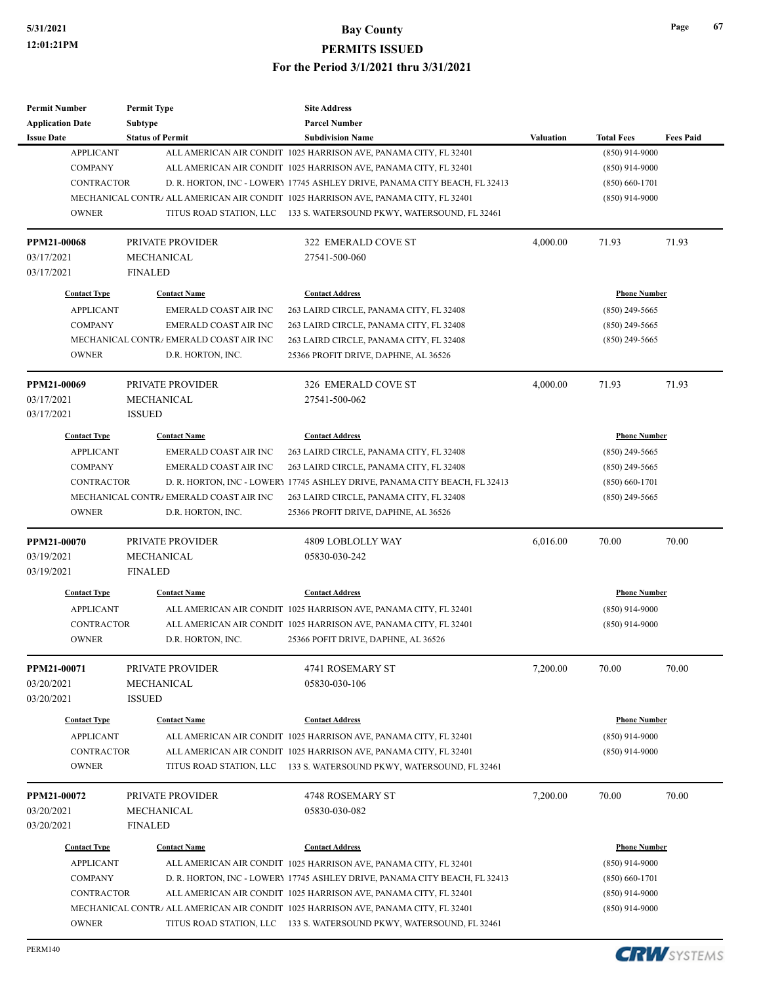| <b>Subtype</b><br><b>Parcel Number</b><br><b>Application Date</b><br><b>Issue Date</b><br><b>Status of Permit</b><br><b>Subdivision Name</b><br><b>Valuation</b><br><b>Total Fees</b><br><b>Fees Paid</b><br><b>APPLICANT</b><br>ALL AMERICAN AIR CONDIT 1025 HARRISON AVE, PANAMA CITY, FL 32401<br>$(850)$ 914-9000<br><b>COMPANY</b><br>ALL AMERICAN AIR CONDIT 1025 HARRISON AVE, PANAMA CITY, FL 32401<br>$(850)$ 914-9000<br><b>CONTRACTOR</b><br>D. R. HORTON, INC - LOWERY 17745 ASHLEY DRIVE, PANAMA CITY BEACH, FL 32413<br>$(850) 660 - 1701$<br>MECHANICAL CONTRA ALL AMERICAN AIR CONDIT 1025 HARRISON AVE, PANAMA CITY, FL 32401<br>$(850)$ 914-9000<br><b>OWNER</b><br>TITUS ROAD STATION, LLC 133 S. WATERSOUND PKWY, WATERSOUND, FL 32461<br>71.93<br>71.93<br>PPM21-00068<br>PRIVATE PROVIDER<br>322 EMERALD COVE ST<br>4,000.00<br>03/17/2021<br>MECHANICAL<br>27541-500-060<br><b>FINALED</b><br>03/17/2021<br><b>Contact Type</b><br><b>Contact Name</b><br><b>Contact Address</b><br><b>Phone Number</b><br><b>APPLICANT</b><br><b>EMERALD COAST AIR INC</b><br>263 LAIRD CIRCLE, PANAMA CITY, FL 32408<br>$(850)$ 249-5665<br><b>COMPANY</b><br><b>EMERALD COAST AIR INC</b><br>263 LAIRD CIRCLE, PANAMA CITY, FL 32408<br>$(850)$ 249-5665<br>MECHANICAL CONTR. EMERALD COAST AIR INC<br>263 LAIRD CIRCLE, PANAMA CITY, FL 32408<br>$(850)$ 249-5665<br><b>OWNER</b><br>D.R. HORTON, INC.<br>25366 PROFIT DRIVE, DAPHNE, AL 36526<br>PPM21-00069<br>PRIVATE PROVIDER<br>4,000.00<br>71.93<br>71.93<br>326 EMERALD COVE ST<br>03/17/2021<br>27541-500-062<br>MECHANICAL<br>03/17/2021<br><b>ISSUED</b><br><b>Contact Type</b><br><b>Contact Name</b><br><b>Contact Address</b><br><b>Phone Number</b><br><b>APPLICANT</b><br><b>EMERALD COAST AIR INC</b><br>263 LAIRD CIRCLE, PANAMA CITY, FL 32408<br>$(850)$ 249-5665<br><b>COMPANY</b><br>EMERALD COAST AIR INC<br>263 LAIRD CIRCLE, PANAMA CITY, FL 32408<br>$(850)$ 249-5665<br><b>CONTRACTOR</b><br>D. R. HORTON, INC - LOWERY 17745 ASHLEY DRIVE, PANAMA CITY BEACH, FL 32413<br>$(850) 660 - 1701$<br>MECHANICAL CONTR/ EMERALD COAST AIR INC<br>263 LAIRD CIRCLE, PANAMA CITY, FL 32408<br>$(850)$ 249-5665<br><b>OWNER</b><br>D.R. HORTON, INC.<br>25366 PROFIT DRIVE, DAPHNE, AL 36526<br>PPM21-00070<br>PRIVATE PROVIDER<br>4809 LOBLOLLY WAY<br>6,016.00<br>70.00<br>70.00<br>03/19/2021<br>MECHANICAL<br>05830-030-242<br>03/19/2021<br><b>FINALED</b><br><b>Contact Type</b><br><b>Contact Name</b><br><b>Phone Number</b><br><b>Contact Address</b><br><b>APPLICANT</b><br>ALL AMERICAN AIR CONDIT 1025 HARRISON AVE, PANAMA CITY, FL 32401<br>$(850)$ 914-9000<br><b>CONTRACTOR</b><br>ALL AMERICAN AIR CONDIT 1025 HARRISON AVE, PANAMA CITY, FL 32401<br>$(850)$ 914-9000<br><b>OWNER</b><br>D.R. HORTON, INC.<br>25366 POFIT DRIVE, DAPHNE, AL 36526<br>PPM21-00071<br>PRIVATE PROVIDER<br>4741 ROSEMARY ST<br>7,200.00<br>70.00<br>70.00<br>03/20/2021<br><b>MECHANICAL</b><br>05830-030-106<br>03/20/2021<br><b>ISSUED</b><br><b>Contact Type</b><br><b>Contact Name</b><br><b>Contact Address</b><br><b>Phone Number</b><br><b>APPLICANT</b><br>ALL AMERICAN AIR CONDIT 1025 HARRISON AVE, PANAMA CITY, FL 32401<br>$(850)$ 914-9000<br><b>CONTRACTOR</b><br>ALL AMERICAN AIR CONDIT 1025 HARRISON AVE, PANAMA CITY, FL 32401<br>$(850)$ 914-9000<br><b>OWNER</b><br>TITUS ROAD STATION, LLC 133 S. WATERSOUND PKWY, WATERSOUND, FL 32461<br>70.00<br>PRIVATE PROVIDER<br>4748 ROSEMARY ST<br>7,200.00<br>70.00<br>PPM21-00072<br>03/20/2021<br>MECHANICAL<br>05830-030-082<br>03/20/2021<br><b>FINALED</b><br><b>Contact Name</b><br><b>Contact Type</b><br><b>Contact Address</b><br><b>Phone Number</b><br><b>APPLICANT</b><br>ALL AMERICAN AIR CONDIT 1025 HARRISON AVE, PANAMA CITY, FL 32401<br>$(850)$ 914-9000<br><b>COMPANY</b><br>D. R. HORTON, INC - LOWERY 17745 ASHLEY DRIVE, PANAMA CITY BEACH, FL 32413<br>$(850) 660 - 1701$<br>CONTRACTOR<br>ALL AMERICAN AIR CONDIT 1025 HARRISON AVE, PANAMA CITY, FL 32401<br>$(850)$ 914-9000<br>MECHANICAL CONTRA ALL AMERICAN AIR CONDIT 1025 HARRISON AVE, PANAMA CITY, FL 32401<br>$(850)$ 914-9000<br><b>OWNER</b><br>TITUS ROAD STATION, LLC 133 S. WATERSOUND PKWY, WATERSOUND, FL 32461 | <b>Permit Number</b> | <b>Permit Type</b> | <b>Site Address</b> |  |  |  |
|-----------------------------------------------------------------------------------------------------------------------------------------------------------------------------------------------------------------------------------------------------------------------------------------------------------------------------------------------------------------------------------------------------------------------------------------------------------------------------------------------------------------------------------------------------------------------------------------------------------------------------------------------------------------------------------------------------------------------------------------------------------------------------------------------------------------------------------------------------------------------------------------------------------------------------------------------------------------------------------------------------------------------------------------------------------------------------------------------------------------------------------------------------------------------------------------------------------------------------------------------------------------------------------------------------------------------------------------------------------------------------------------------------------------------------------------------------------------------------------------------------------------------------------------------------------------------------------------------------------------------------------------------------------------------------------------------------------------------------------------------------------------------------------------------------------------------------------------------------------------------------------------------------------------------------------------------------------------------------------------------------------------------------------------------------------------------------------------------------------------------------------------------------------------------------------------------------------------------------------------------------------------------------------------------------------------------------------------------------------------------------------------------------------------------------------------------------------------------------------------------------------------------------------------------------------------------------------------------------------------------------------------------------------------------------------------------------------------------------------------------------------------------------------------------------------------------------------------------------------------------------------------------------------------------------------------------------------------------------------------------------------------------------------------------------------------------------------------------------------------------------------------------------------------------------------------------------------------------------------------------------------------------------------------------------------------------------------------------------------------------------------------------------------------------------------------------------------------------------------------------------------------------------------------------------------------------------------------------------------------------------------------------------------------------------------------------------------------------------------------------------------------------------------------------------------------------------------------------------------------------------------------------------------------------------------------------------------------------------------------------------------------------------------------------------------------------------------------------------------------------------------------------------------------------------------------------------------------------------------------------------|----------------------|--------------------|---------------------|--|--|--|
|                                                                                                                                                                                                                                                                                                                                                                                                                                                                                                                                                                                                                                                                                                                                                                                                                                                                                                                                                                                                                                                                                                                                                                                                                                                                                                                                                                                                                                                                                                                                                                                                                                                                                                                                                                                                                                                                                                                                                                                                                                                                                                                                                                                                                                                                                                                                                                                                                                                                                                                                                                                                                                                                                                                                                                                                                                                                                                                                                                                                                                                                                                                                                                                                                                                                                                                                                                                                                                                                                                                                                                                                                                                                                                                                                                                                                                                                                                                                                                                                                                                                                                                                                                                                                                                     |                      |                    |                     |  |  |  |
|                                                                                                                                                                                                                                                                                                                                                                                                                                                                                                                                                                                                                                                                                                                                                                                                                                                                                                                                                                                                                                                                                                                                                                                                                                                                                                                                                                                                                                                                                                                                                                                                                                                                                                                                                                                                                                                                                                                                                                                                                                                                                                                                                                                                                                                                                                                                                                                                                                                                                                                                                                                                                                                                                                                                                                                                                                                                                                                                                                                                                                                                                                                                                                                                                                                                                                                                                                                                                                                                                                                                                                                                                                                                                                                                                                                                                                                                                                                                                                                                                                                                                                                                                                                                                                                     |                      |                    |                     |  |  |  |
|                                                                                                                                                                                                                                                                                                                                                                                                                                                                                                                                                                                                                                                                                                                                                                                                                                                                                                                                                                                                                                                                                                                                                                                                                                                                                                                                                                                                                                                                                                                                                                                                                                                                                                                                                                                                                                                                                                                                                                                                                                                                                                                                                                                                                                                                                                                                                                                                                                                                                                                                                                                                                                                                                                                                                                                                                                                                                                                                                                                                                                                                                                                                                                                                                                                                                                                                                                                                                                                                                                                                                                                                                                                                                                                                                                                                                                                                                                                                                                                                                                                                                                                                                                                                                                                     |                      |                    |                     |  |  |  |
|                                                                                                                                                                                                                                                                                                                                                                                                                                                                                                                                                                                                                                                                                                                                                                                                                                                                                                                                                                                                                                                                                                                                                                                                                                                                                                                                                                                                                                                                                                                                                                                                                                                                                                                                                                                                                                                                                                                                                                                                                                                                                                                                                                                                                                                                                                                                                                                                                                                                                                                                                                                                                                                                                                                                                                                                                                                                                                                                                                                                                                                                                                                                                                                                                                                                                                                                                                                                                                                                                                                                                                                                                                                                                                                                                                                                                                                                                                                                                                                                                                                                                                                                                                                                                                                     |                      |                    |                     |  |  |  |
|                                                                                                                                                                                                                                                                                                                                                                                                                                                                                                                                                                                                                                                                                                                                                                                                                                                                                                                                                                                                                                                                                                                                                                                                                                                                                                                                                                                                                                                                                                                                                                                                                                                                                                                                                                                                                                                                                                                                                                                                                                                                                                                                                                                                                                                                                                                                                                                                                                                                                                                                                                                                                                                                                                                                                                                                                                                                                                                                                                                                                                                                                                                                                                                                                                                                                                                                                                                                                                                                                                                                                                                                                                                                                                                                                                                                                                                                                                                                                                                                                                                                                                                                                                                                                                                     |                      |                    |                     |  |  |  |
|                                                                                                                                                                                                                                                                                                                                                                                                                                                                                                                                                                                                                                                                                                                                                                                                                                                                                                                                                                                                                                                                                                                                                                                                                                                                                                                                                                                                                                                                                                                                                                                                                                                                                                                                                                                                                                                                                                                                                                                                                                                                                                                                                                                                                                                                                                                                                                                                                                                                                                                                                                                                                                                                                                                                                                                                                                                                                                                                                                                                                                                                                                                                                                                                                                                                                                                                                                                                                                                                                                                                                                                                                                                                                                                                                                                                                                                                                                                                                                                                                                                                                                                                                                                                                                                     |                      |                    |                     |  |  |  |
|                                                                                                                                                                                                                                                                                                                                                                                                                                                                                                                                                                                                                                                                                                                                                                                                                                                                                                                                                                                                                                                                                                                                                                                                                                                                                                                                                                                                                                                                                                                                                                                                                                                                                                                                                                                                                                                                                                                                                                                                                                                                                                                                                                                                                                                                                                                                                                                                                                                                                                                                                                                                                                                                                                                                                                                                                                                                                                                                                                                                                                                                                                                                                                                                                                                                                                                                                                                                                                                                                                                                                                                                                                                                                                                                                                                                                                                                                                                                                                                                                                                                                                                                                                                                                                                     |                      |                    |                     |  |  |  |
|                                                                                                                                                                                                                                                                                                                                                                                                                                                                                                                                                                                                                                                                                                                                                                                                                                                                                                                                                                                                                                                                                                                                                                                                                                                                                                                                                                                                                                                                                                                                                                                                                                                                                                                                                                                                                                                                                                                                                                                                                                                                                                                                                                                                                                                                                                                                                                                                                                                                                                                                                                                                                                                                                                                                                                                                                                                                                                                                                                                                                                                                                                                                                                                                                                                                                                                                                                                                                                                                                                                                                                                                                                                                                                                                                                                                                                                                                                                                                                                                                                                                                                                                                                                                                                                     |                      |                    |                     |  |  |  |
|                                                                                                                                                                                                                                                                                                                                                                                                                                                                                                                                                                                                                                                                                                                                                                                                                                                                                                                                                                                                                                                                                                                                                                                                                                                                                                                                                                                                                                                                                                                                                                                                                                                                                                                                                                                                                                                                                                                                                                                                                                                                                                                                                                                                                                                                                                                                                                                                                                                                                                                                                                                                                                                                                                                                                                                                                                                                                                                                                                                                                                                                                                                                                                                                                                                                                                                                                                                                                                                                                                                                                                                                                                                                                                                                                                                                                                                                                                                                                                                                                                                                                                                                                                                                                                                     |                      |                    |                     |  |  |  |
|                                                                                                                                                                                                                                                                                                                                                                                                                                                                                                                                                                                                                                                                                                                                                                                                                                                                                                                                                                                                                                                                                                                                                                                                                                                                                                                                                                                                                                                                                                                                                                                                                                                                                                                                                                                                                                                                                                                                                                                                                                                                                                                                                                                                                                                                                                                                                                                                                                                                                                                                                                                                                                                                                                                                                                                                                                                                                                                                                                                                                                                                                                                                                                                                                                                                                                                                                                                                                                                                                                                                                                                                                                                                                                                                                                                                                                                                                                                                                                                                                                                                                                                                                                                                                                                     |                      |                    |                     |  |  |  |
|                                                                                                                                                                                                                                                                                                                                                                                                                                                                                                                                                                                                                                                                                                                                                                                                                                                                                                                                                                                                                                                                                                                                                                                                                                                                                                                                                                                                                                                                                                                                                                                                                                                                                                                                                                                                                                                                                                                                                                                                                                                                                                                                                                                                                                                                                                                                                                                                                                                                                                                                                                                                                                                                                                                                                                                                                                                                                                                                                                                                                                                                                                                                                                                                                                                                                                                                                                                                                                                                                                                                                                                                                                                                                                                                                                                                                                                                                                                                                                                                                                                                                                                                                                                                                                                     |                      |                    |                     |  |  |  |
|                                                                                                                                                                                                                                                                                                                                                                                                                                                                                                                                                                                                                                                                                                                                                                                                                                                                                                                                                                                                                                                                                                                                                                                                                                                                                                                                                                                                                                                                                                                                                                                                                                                                                                                                                                                                                                                                                                                                                                                                                                                                                                                                                                                                                                                                                                                                                                                                                                                                                                                                                                                                                                                                                                                                                                                                                                                                                                                                                                                                                                                                                                                                                                                                                                                                                                                                                                                                                                                                                                                                                                                                                                                                                                                                                                                                                                                                                                                                                                                                                                                                                                                                                                                                                                                     |                      |                    |                     |  |  |  |
|                                                                                                                                                                                                                                                                                                                                                                                                                                                                                                                                                                                                                                                                                                                                                                                                                                                                                                                                                                                                                                                                                                                                                                                                                                                                                                                                                                                                                                                                                                                                                                                                                                                                                                                                                                                                                                                                                                                                                                                                                                                                                                                                                                                                                                                                                                                                                                                                                                                                                                                                                                                                                                                                                                                                                                                                                                                                                                                                                                                                                                                                                                                                                                                                                                                                                                                                                                                                                                                                                                                                                                                                                                                                                                                                                                                                                                                                                                                                                                                                                                                                                                                                                                                                                                                     |                      |                    |                     |  |  |  |
|                                                                                                                                                                                                                                                                                                                                                                                                                                                                                                                                                                                                                                                                                                                                                                                                                                                                                                                                                                                                                                                                                                                                                                                                                                                                                                                                                                                                                                                                                                                                                                                                                                                                                                                                                                                                                                                                                                                                                                                                                                                                                                                                                                                                                                                                                                                                                                                                                                                                                                                                                                                                                                                                                                                                                                                                                                                                                                                                                                                                                                                                                                                                                                                                                                                                                                                                                                                                                                                                                                                                                                                                                                                                                                                                                                                                                                                                                                                                                                                                                                                                                                                                                                                                                                                     |                      |                    |                     |  |  |  |
|                                                                                                                                                                                                                                                                                                                                                                                                                                                                                                                                                                                                                                                                                                                                                                                                                                                                                                                                                                                                                                                                                                                                                                                                                                                                                                                                                                                                                                                                                                                                                                                                                                                                                                                                                                                                                                                                                                                                                                                                                                                                                                                                                                                                                                                                                                                                                                                                                                                                                                                                                                                                                                                                                                                                                                                                                                                                                                                                                                                                                                                                                                                                                                                                                                                                                                                                                                                                                                                                                                                                                                                                                                                                                                                                                                                                                                                                                                                                                                                                                                                                                                                                                                                                                                                     |                      |                    |                     |  |  |  |
|                                                                                                                                                                                                                                                                                                                                                                                                                                                                                                                                                                                                                                                                                                                                                                                                                                                                                                                                                                                                                                                                                                                                                                                                                                                                                                                                                                                                                                                                                                                                                                                                                                                                                                                                                                                                                                                                                                                                                                                                                                                                                                                                                                                                                                                                                                                                                                                                                                                                                                                                                                                                                                                                                                                                                                                                                                                                                                                                                                                                                                                                                                                                                                                                                                                                                                                                                                                                                                                                                                                                                                                                                                                                                                                                                                                                                                                                                                                                                                                                                                                                                                                                                                                                                                                     |                      |                    |                     |  |  |  |
|                                                                                                                                                                                                                                                                                                                                                                                                                                                                                                                                                                                                                                                                                                                                                                                                                                                                                                                                                                                                                                                                                                                                                                                                                                                                                                                                                                                                                                                                                                                                                                                                                                                                                                                                                                                                                                                                                                                                                                                                                                                                                                                                                                                                                                                                                                                                                                                                                                                                                                                                                                                                                                                                                                                                                                                                                                                                                                                                                                                                                                                                                                                                                                                                                                                                                                                                                                                                                                                                                                                                                                                                                                                                                                                                                                                                                                                                                                                                                                                                                                                                                                                                                                                                                                                     |                      |                    |                     |  |  |  |
|                                                                                                                                                                                                                                                                                                                                                                                                                                                                                                                                                                                                                                                                                                                                                                                                                                                                                                                                                                                                                                                                                                                                                                                                                                                                                                                                                                                                                                                                                                                                                                                                                                                                                                                                                                                                                                                                                                                                                                                                                                                                                                                                                                                                                                                                                                                                                                                                                                                                                                                                                                                                                                                                                                                                                                                                                                                                                                                                                                                                                                                                                                                                                                                                                                                                                                                                                                                                                                                                                                                                                                                                                                                                                                                                                                                                                                                                                                                                                                                                                                                                                                                                                                                                                                                     |                      |                    |                     |  |  |  |
|                                                                                                                                                                                                                                                                                                                                                                                                                                                                                                                                                                                                                                                                                                                                                                                                                                                                                                                                                                                                                                                                                                                                                                                                                                                                                                                                                                                                                                                                                                                                                                                                                                                                                                                                                                                                                                                                                                                                                                                                                                                                                                                                                                                                                                                                                                                                                                                                                                                                                                                                                                                                                                                                                                                                                                                                                                                                                                                                                                                                                                                                                                                                                                                                                                                                                                                                                                                                                                                                                                                                                                                                                                                                                                                                                                                                                                                                                                                                                                                                                                                                                                                                                                                                                                                     |                      |                    |                     |  |  |  |
|                                                                                                                                                                                                                                                                                                                                                                                                                                                                                                                                                                                                                                                                                                                                                                                                                                                                                                                                                                                                                                                                                                                                                                                                                                                                                                                                                                                                                                                                                                                                                                                                                                                                                                                                                                                                                                                                                                                                                                                                                                                                                                                                                                                                                                                                                                                                                                                                                                                                                                                                                                                                                                                                                                                                                                                                                                                                                                                                                                                                                                                                                                                                                                                                                                                                                                                                                                                                                                                                                                                                                                                                                                                                                                                                                                                                                                                                                                                                                                                                                                                                                                                                                                                                                                                     |                      |                    |                     |  |  |  |
|                                                                                                                                                                                                                                                                                                                                                                                                                                                                                                                                                                                                                                                                                                                                                                                                                                                                                                                                                                                                                                                                                                                                                                                                                                                                                                                                                                                                                                                                                                                                                                                                                                                                                                                                                                                                                                                                                                                                                                                                                                                                                                                                                                                                                                                                                                                                                                                                                                                                                                                                                                                                                                                                                                                                                                                                                                                                                                                                                                                                                                                                                                                                                                                                                                                                                                                                                                                                                                                                                                                                                                                                                                                                                                                                                                                                                                                                                                                                                                                                                                                                                                                                                                                                                                                     |                      |                    |                     |  |  |  |
|                                                                                                                                                                                                                                                                                                                                                                                                                                                                                                                                                                                                                                                                                                                                                                                                                                                                                                                                                                                                                                                                                                                                                                                                                                                                                                                                                                                                                                                                                                                                                                                                                                                                                                                                                                                                                                                                                                                                                                                                                                                                                                                                                                                                                                                                                                                                                                                                                                                                                                                                                                                                                                                                                                                                                                                                                                                                                                                                                                                                                                                                                                                                                                                                                                                                                                                                                                                                                                                                                                                                                                                                                                                                                                                                                                                                                                                                                                                                                                                                                                                                                                                                                                                                                                                     |                      |                    |                     |  |  |  |
|                                                                                                                                                                                                                                                                                                                                                                                                                                                                                                                                                                                                                                                                                                                                                                                                                                                                                                                                                                                                                                                                                                                                                                                                                                                                                                                                                                                                                                                                                                                                                                                                                                                                                                                                                                                                                                                                                                                                                                                                                                                                                                                                                                                                                                                                                                                                                                                                                                                                                                                                                                                                                                                                                                                                                                                                                                                                                                                                                                                                                                                                                                                                                                                                                                                                                                                                                                                                                                                                                                                                                                                                                                                                                                                                                                                                                                                                                                                                                                                                                                                                                                                                                                                                                                                     |                      |                    |                     |  |  |  |
|                                                                                                                                                                                                                                                                                                                                                                                                                                                                                                                                                                                                                                                                                                                                                                                                                                                                                                                                                                                                                                                                                                                                                                                                                                                                                                                                                                                                                                                                                                                                                                                                                                                                                                                                                                                                                                                                                                                                                                                                                                                                                                                                                                                                                                                                                                                                                                                                                                                                                                                                                                                                                                                                                                                                                                                                                                                                                                                                                                                                                                                                                                                                                                                                                                                                                                                                                                                                                                                                                                                                                                                                                                                                                                                                                                                                                                                                                                                                                                                                                                                                                                                                                                                                                                                     |                      |                    |                     |  |  |  |
|                                                                                                                                                                                                                                                                                                                                                                                                                                                                                                                                                                                                                                                                                                                                                                                                                                                                                                                                                                                                                                                                                                                                                                                                                                                                                                                                                                                                                                                                                                                                                                                                                                                                                                                                                                                                                                                                                                                                                                                                                                                                                                                                                                                                                                                                                                                                                                                                                                                                                                                                                                                                                                                                                                                                                                                                                                                                                                                                                                                                                                                                                                                                                                                                                                                                                                                                                                                                                                                                                                                                                                                                                                                                                                                                                                                                                                                                                                                                                                                                                                                                                                                                                                                                                                                     |                      |                    |                     |  |  |  |
|                                                                                                                                                                                                                                                                                                                                                                                                                                                                                                                                                                                                                                                                                                                                                                                                                                                                                                                                                                                                                                                                                                                                                                                                                                                                                                                                                                                                                                                                                                                                                                                                                                                                                                                                                                                                                                                                                                                                                                                                                                                                                                                                                                                                                                                                                                                                                                                                                                                                                                                                                                                                                                                                                                                                                                                                                                                                                                                                                                                                                                                                                                                                                                                                                                                                                                                                                                                                                                                                                                                                                                                                                                                                                                                                                                                                                                                                                                                                                                                                                                                                                                                                                                                                                                                     |                      |                    |                     |  |  |  |
|                                                                                                                                                                                                                                                                                                                                                                                                                                                                                                                                                                                                                                                                                                                                                                                                                                                                                                                                                                                                                                                                                                                                                                                                                                                                                                                                                                                                                                                                                                                                                                                                                                                                                                                                                                                                                                                                                                                                                                                                                                                                                                                                                                                                                                                                                                                                                                                                                                                                                                                                                                                                                                                                                                                                                                                                                                                                                                                                                                                                                                                                                                                                                                                                                                                                                                                                                                                                                                                                                                                                                                                                                                                                                                                                                                                                                                                                                                                                                                                                                                                                                                                                                                                                                                                     |                      |                    |                     |  |  |  |
|                                                                                                                                                                                                                                                                                                                                                                                                                                                                                                                                                                                                                                                                                                                                                                                                                                                                                                                                                                                                                                                                                                                                                                                                                                                                                                                                                                                                                                                                                                                                                                                                                                                                                                                                                                                                                                                                                                                                                                                                                                                                                                                                                                                                                                                                                                                                                                                                                                                                                                                                                                                                                                                                                                                                                                                                                                                                                                                                                                                                                                                                                                                                                                                                                                                                                                                                                                                                                                                                                                                                                                                                                                                                                                                                                                                                                                                                                                                                                                                                                                                                                                                                                                                                                                                     |                      |                    |                     |  |  |  |
|                                                                                                                                                                                                                                                                                                                                                                                                                                                                                                                                                                                                                                                                                                                                                                                                                                                                                                                                                                                                                                                                                                                                                                                                                                                                                                                                                                                                                                                                                                                                                                                                                                                                                                                                                                                                                                                                                                                                                                                                                                                                                                                                                                                                                                                                                                                                                                                                                                                                                                                                                                                                                                                                                                                                                                                                                                                                                                                                                                                                                                                                                                                                                                                                                                                                                                                                                                                                                                                                                                                                                                                                                                                                                                                                                                                                                                                                                                                                                                                                                                                                                                                                                                                                                                                     |                      |                    |                     |  |  |  |
|                                                                                                                                                                                                                                                                                                                                                                                                                                                                                                                                                                                                                                                                                                                                                                                                                                                                                                                                                                                                                                                                                                                                                                                                                                                                                                                                                                                                                                                                                                                                                                                                                                                                                                                                                                                                                                                                                                                                                                                                                                                                                                                                                                                                                                                                                                                                                                                                                                                                                                                                                                                                                                                                                                                                                                                                                                                                                                                                                                                                                                                                                                                                                                                                                                                                                                                                                                                                                                                                                                                                                                                                                                                                                                                                                                                                                                                                                                                                                                                                                                                                                                                                                                                                                                                     |                      |                    |                     |  |  |  |
|                                                                                                                                                                                                                                                                                                                                                                                                                                                                                                                                                                                                                                                                                                                                                                                                                                                                                                                                                                                                                                                                                                                                                                                                                                                                                                                                                                                                                                                                                                                                                                                                                                                                                                                                                                                                                                                                                                                                                                                                                                                                                                                                                                                                                                                                                                                                                                                                                                                                                                                                                                                                                                                                                                                                                                                                                                                                                                                                                                                                                                                                                                                                                                                                                                                                                                                                                                                                                                                                                                                                                                                                                                                                                                                                                                                                                                                                                                                                                                                                                                                                                                                                                                                                                                                     |                      |                    |                     |  |  |  |
|                                                                                                                                                                                                                                                                                                                                                                                                                                                                                                                                                                                                                                                                                                                                                                                                                                                                                                                                                                                                                                                                                                                                                                                                                                                                                                                                                                                                                                                                                                                                                                                                                                                                                                                                                                                                                                                                                                                                                                                                                                                                                                                                                                                                                                                                                                                                                                                                                                                                                                                                                                                                                                                                                                                                                                                                                                                                                                                                                                                                                                                                                                                                                                                                                                                                                                                                                                                                                                                                                                                                                                                                                                                                                                                                                                                                                                                                                                                                                                                                                                                                                                                                                                                                                                                     |                      |                    |                     |  |  |  |
|                                                                                                                                                                                                                                                                                                                                                                                                                                                                                                                                                                                                                                                                                                                                                                                                                                                                                                                                                                                                                                                                                                                                                                                                                                                                                                                                                                                                                                                                                                                                                                                                                                                                                                                                                                                                                                                                                                                                                                                                                                                                                                                                                                                                                                                                                                                                                                                                                                                                                                                                                                                                                                                                                                                                                                                                                                                                                                                                                                                                                                                                                                                                                                                                                                                                                                                                                                                                                                                                                                                                                                                                                                                                                                                                                                                                                                                                                                                                                                                                                                                                                                                                                                                                                                                     |                      |                    |                     |  |  |  |
|                                                                                                                                                                                                                                                                                                                                                                                                                                                                                                                                                                                                                                                                                                                                                                                                                                                                                                                                                                                                                                                                                                                                                                                                                                                                                                                                                                                                                                                                                                                                                                                                                                                                                                                                                                                                                                                                                                                                                                                                                                                                                                                                                                                                                                                                                                                                                                                                                                                                                                                                                                                                                                                                                                                                                                                                                                                                                                                                                                                                                                                                                                                                                                                                                                                                                                                                                                                                                                                                                                                                                                                                                                                                                                                                                                                                                                                                                                                                                                                                                                                                                                                                                                                                                                                     |                      |                    |                     |  |  |  |
|                                                                                                                                                                                                                                                                                                                                                                                                                                                                                                                                                                                                                                                                                                                                                                                                                                                                                                                                                                                                                                                                                                                                                                                                                                                                                                                                                                                                                                                                                                                                                                                                                                                                                                                                                                                                                                                                                                                                                                                                                                                                                                                                                                                                                                                                                                                                                                                                                                                                                                                                                                                                                                                                                                                                                                                                                                                                                                                                                                                                                                                                                                                                                                                                                                                                                                                                                                                                                                                                                                                                                                                                                                                                                                                                                                                                                                                                                                                                                                                                                                                                                                                                                                                                                                                     |                      |                    |                     |  |  |  |
|                                                                                                                                                                                                                                                                                                                                                                                                                                                                                                                                                                                                                                                                                                                                                                                                                                                                                                                                                                                                                                                                                                                                                                                                                                                                                                                                                                                                                                                                                                                                                                                                                                                                                                                                                                                                                                                                                                                                                                                                                                                                                                                                                                                                                                                                                                                                                                                                                                                                                                                                                                                                                                                                                                                                                                                                                                                                                                                                                                                                                                                                                                                                                                                                                                                                                                                                                                                                                                                                                                                                                                                                                                                                                                                                                                                                                                                                                                                                                                                                                                                                                                                                                                                                                                                     |                      |                    |                     |  |  |  |
|                                                                                                                                                                                                                                                                                                                                                                                                                                                                                                                                                                                                                                                                                                                                                                                                                                                                                                                                                                                                                                                                                                                                                                                                                                                                                                                                                                                                                                                                                                                                                                                                                                                                                                                                                                                                                                                                                                                                                                                                                                                                                                                                                                                                                                                                                                                                                                                                                                                                                                                                                                                                                                                                                                                                                                                                                                                                                                                                                                                                                                                                                                                                                                                                                                                                                                                                                                                                                                                                                                                                                                                                                                                                                                                                                                                                                                                                                                                                                                                                                                                                                                                                                                                                                                                     |                      |                    |                     |  |  |  |
|                                                                                                                                                                                                                                                                                                                                                                                                                                                                                                                                                                                                                                                                                                                                                                                                                                                                                                                                                                                                                                                                                                                                                                                                                                                                                                                                                                                                                                                                                                                                                                                                                                                                                                                                                                                                                                                                                                                                                                                                                                                                                                                                                                                                                                                                                                                                                                                                                                                                                                                                                                                                                                                                                                                                                                                                                                                                                                                                                                                                                                                                                                                                                                                                                                                                                                                                                                                                                                                                                                                                                                                                                                                                                                                                                                                                                                                                                                                                                                                                                                                                                                                                                                                                                                                     |                      |                    |                     |  |  |  |
|                                                                                                                                                                                                                                                                                                                                                                                                                                                                                                                                                                                                                                                                                                                                                                                                                                                                                                                                                                                                                                                                                                                                                                                                                                                                                                                                                                                                                                                                                                                                                                                                                                                                                                                                                                                                                                                                                                                                                                                                                                                                                                                                                                                                                                                                                                                                                                                                                                                                                                                                                                                                                                                                                                                                                                                                                                                                                                                                                                                                                                                                                                                                                                                                                                                                                                                                                                                                                                                                                                                                                                                                                                                                                                                                                                                                                                                                                                                                                                                                                                                                                                                                                                                                                                                     |                      |                    |                     |  |  |  |
|                                                                                                                                                                                                                                                                                                                                                                                                                                                                                                                                                                                                                                                                                                                                                                                                                                                                                                                                                                                                                                                                                                                                                                                                                                                                                                                                                                                                                                                                                                                                                                                                                                                                                                                                                                                                                                                                                                                                                                                                                                                                                                                                                                                                                                                                                                                                                                                                                                                                                                                                                                                                                                                                                                                                                                                                                                                                                                                                                                                                                                                                                                                                                                                                                                                                                                                                                                                                                                                                                                                                                                                                                                                                                                                                                                                                                                                                                                                                                                                                                                                                                                                                                                                                                                                     |                      |                    |                     |  |  |  |
|                                                                                                                                                                                                                                                                                                                                                                                                                                                                                                                                                                                                                                                                                                                                                                                                                                                                                                                                                                                                                                                                                                                                                                                                                                                                                                                                                                                                                                                                                                                                                                                                                                                                                                                                                                                                                                                                                                                                                                                                                                                                                                                                                                                                                                                                                                                                                                                                                                                                                                                                                                                                                                                                                                                                                                                                                                                                                                                                                                                                                                                                                                                                                                                                                                                                                                                                                                                                                                                                                                                                                                                                                                                                                                                                                                                                                                                                                                                                                                                                                                                                                                                                                                                                                                                     |                      |                    |                     |  |  |  |
|                                                                                                                                                                                                                                                                                                                                                                                                                                                                                                                                                                                                                                                                                                                                                                                                                                                                                                                                                                                                                                                                                                                                                                                                                                                                                                                                                                                                                                                                                                                                                                                                                                                                                                                                                                                                                                                                                                                                                                                                                                                                                                                                                                                                                                                                                                                                                                                                                                                                                                                                                                                                                                                                                                                                                                                                                                                                                                                                                                                                                                                                                                                                                                                                                                                                                                                                                                                                                                                                                                                                                                                                                                                                                                                                                                                                                                                                                                                                                                                                                                                                                                                                                                                                                                                     |                      |                    |                     |  |  |  |
|                                                                                                                                                                                                                                                                                                                                                                                                                                                                                                                                                                                                                                                                                                                                                                                                                                                                                                                                                                                                                                                                                                                                                                                                                                                                                                                                                                                                                                                                                                                                                                                                                                                                                                                                                                                                                                                                                                                                                                                                                                                                                                                                                                                                                                                                                                                                                                                                                                                                                                                                                                                                                                                                                                                                                                                                                                                                                                                                                                                                                                                                                                                                                                                                                                                                                                                                                                                                                                                                                                                                                                                                                                                                                                                                                                                                                                                                                                                                                                                                                                                                                                                                                                                                                                                     |                      |                    |                     |  |  |  |
|                                                                                                                                                                                                                                                                                                                                                                                                                                                                                                                                                                                                                                                                                                                                                                                                                                                                                                                                                                                                                                                                                                                                                                                                                                                                                                                                                                                                                                                                                                                                                                                                                                                                                                                                                                                                                                                                                                                                                                                                                                                                                                                                                                                                                                                                                                                                                                                                                                                                                                                                                                                                                                                                                                                                                                                                                                                                                                                                                                                                                                                                                                                                                                                                                                                                                                                                                                                                                                                                                                                                                                                                                                                                                                                                                                                                                                                                                                                                                                                                                                                                                                                                                                                                                                                     |                      |                    |                     |  |  |  |
|                                                                                                                                                                                                                                                                                                                                                                                                                                                                                                                                                                                                                                                                                                                                                                                                                                                                                                                                                                                                                                                                                                                                                                                                                                                                                                                                                                                                                                                                                                                                                                                                                                                                                                                                                                                                                                                                                                                                                                                                                                                                                                                                                                                                                                                                                                                                                                                                                                                                                                                                                                                                                                                                                                                                                                                                                                                                                                                                                                                                                                                                                                                                                                                                                                                                                                                                                                                                                                                                                                                                                                                                                                                                                                                                                                                                                                                                                                                                                                                                                                                                                                                                                                                                                                                     |                      |                    |                     |  |  |  |
|                                                                                                                                                                                                                                                                                                                                                                                                                                                                                                                                                                                                                                                                                                                                                                                                                                                                                                                                                                                                                                                                                                                                                                                                                                                                                                                                                                                                                                                                                                                                                                                                                                                                                                                                                                                                                                                                                                                                                                                                                                                                                                                                                                                                                                                                                                                                                                                                                                                                                                                                                                                                                                                                                                                                                                                                                                                                                                                                                                                                                                                                                                                                                                                                                                                                                                                                                                                                                                                                                                                                                                                                                                                                                                                                                                                                                                                                                                                                                                                                                                                                                                                                                                                                                                                     |                      |                    |                     |  |  |  |
|                                                                                                                                                                                                                                                                                                                                                                                                                                                                                                                                                                                                                                                                                                                                                                                                                                                                                                                                                                                                                                                                                                                                                                                                                                                                                                                                                                                                                                                                                                                                                                                                                                                                                                                                                                                                                                                                                                                                                                                                                                                                                                                                                                                                                                                                                                                                                                                                                                                                                                                                                                                                                                                                                                                                                                                                                                                                                                                                                                                                                                                                                                                                                                                                                                                                                                                                                                                                                                                                                                                                                                                                                                                                                                                                                                                                                                                                                                                                                                                                                                                                                                                                                                                                                                                     |                      |                    |                     |  |  |  |
|                                                                                                                                                                                                                                                                                                                                                                                                                                                                                                                                                                                                                                                                                                                                                                                                                                                                                                                                                                                                                                                                                                                                                                                                                                                                                                                                                                                                                                                                                                                                                                                                                                                                                                                                                                                                                                                                                                                                                                                                                                                                                                                                                                                                                                                                                                                                                                                                                                                                                                                                                                                                                                                                                                                                                                                                                                                                                                                                                                                                                                                                                                                                                                                                                                                                                                                                                                                                                                                                                                                                                                                                                                                                                                                                                                                                                                                                                                                                                                                                                                                                                                                                                                                                                                                     |                      |                    |                     |  |  |  |
|                                                                                                                                                                                                                                                                                                                                                                                                                                                                                                                                                                                                                                                                                                                                                                                                                                                                                                                                                                                                                                                                                                                                                                                                                                                                                                                                                                                                                                                                                                                                                                                                                                                                                                                                                                                                                                                                                                                                                                                                                                                                                                                                                                                                                                                                                                                                                                                                                                                                                                                                                                                                                                                                                                                                                                                                                                                                                                                                                                                                                                                                                                                                                                                                                                                                                                                                                                                                                                                                                                                                                                                                                                                                                                                                                                                                                                                                                                                                                                                                                                                                                                                                                                                                                                                     |                      |                    |                     |  |  |  |

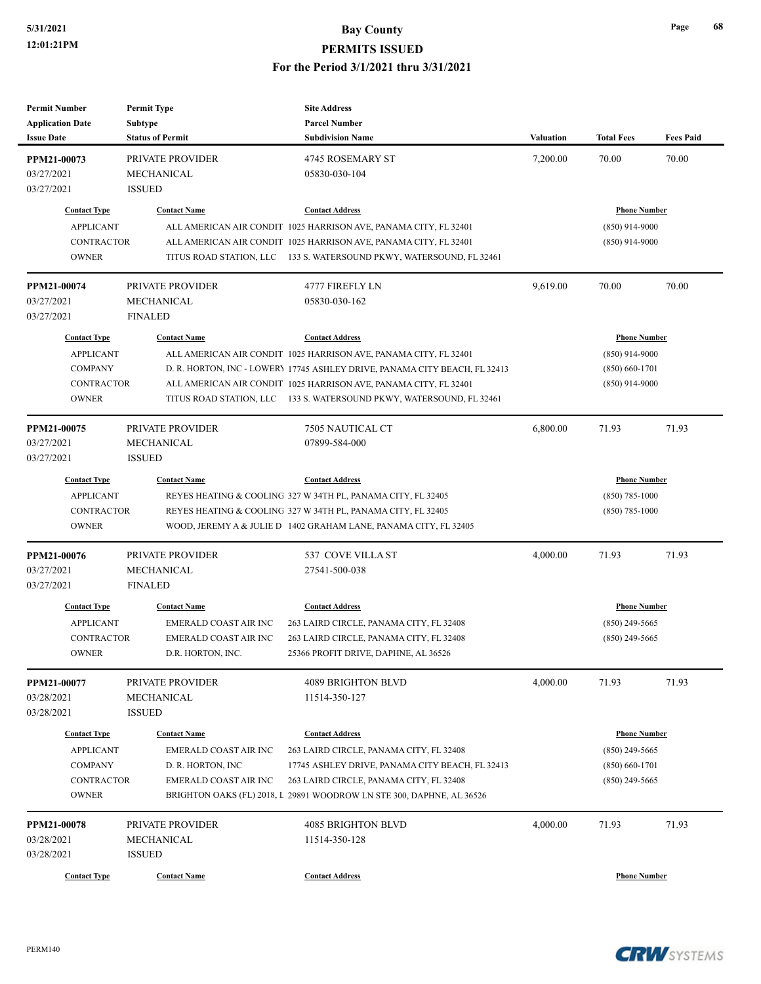| <b>Permit Number</b>    | <b>Permit Type</b><br><b>Site Address</b> |                                                                            |                  |                     |                  |
|-------------------------|-------------------------------------------|----------------------------------------------------------------------------|------------------|---------------------|------------------|
| <b>Application Date</b> | <b>Subtype</b>                            | <b>Parcel Number</b>                                                       |                  |                     |                  |
| <b>Issue Date</b>       | <b>Status of Permit</b>                   | <b>Subdivision Name</b>                                                    | <b>Valuation</b> | <b>Total Fees</b>   | <b>Fees Paid</b> |
| PPM21-00073             | <b>PRIVATE PROVIDER</b>                   | 4745 ROSEMARY ST                                                           | 7,200.00         | 70.00               | 70.00            |
| 03/27/2021              | MECHANICAL                                | 05830-030-104                                                              |                  |                     |                  |
| 03/27/2021              | <b>ISSUED</b>                             |                                                                            |                  |                     |                  |
|                         |                                           |                                                                            |                  |                     |                  |
| <b>Contact Type</b>     | <b>Contact Name</b>                       | <b>Contact Address</b>                                                     |                  | <b>Phone Number</b> |                  |
| <b>APPLICANT</b>        |                                           | ALL AMERICAN AIR CONDIT 1025 HARRISON AVE, PANAMA CITY, FL 32401           |                  | $(850)$ 914-9000    |                  |
| <b>CONTRACTOR</b>       |                                           | ALL AMERICAN AIR CONDIT 1025 HARRISON AVE, PANAMA CITY, FL 32401           |                  | $(850)$ 914-9000    |                  |
| <b>OWNER</b>            |                                           | TITUS ROAD STATION, LLC 133 S. WATERSOUND PKWY, WATERSOUND, FL 32461       |                  |                     |                  |
| PPM21-00074             | PRIVATE PROVIDER                          | 4777 FIREFLY LN                                                            | 9,619.00         | 70.00               | 70.00            |
| 03/27/2021              | MECHANICAL                                | 05830-030-162                                                              |                  |                     |                  |
| 03/27/2021              | <b>FINALED</b>                            |                                                                            |                  |                     |                  |
| <b>Contact Type</b>     | <b>Contact Name</b>                       | <b>Contact Address</b>                                                     |                  | <b>Phone Number</b> |                  |
| <b>APPLICANT</b>        |                                           | ALL AMERICAN AIR CONDIT 1025 HARRISON AVE, PANAMA CITY, FL 32401           |                  | $(850)$ 914-9000    |                  |
| <b>COMPANY</b>          |                                           | D. R. HORTON, INC - LOWER\ 17745 ASHLEY DRIVE, PANAMA CITY BEACH, FL 32413 |                  | $(850) 660 - 1701$  |                  |
| <b>CONTRACTOR</b>       |                                           | ALL AMERICAN AIR CONDIT 1025 HARRISON AVE, PANAMA CITY, FL 32401           |                  | $(850)$ 914-9000    |                  |
| <b>OWNER</b>            |                                           | TITUS ROAD STATION, LLC 133 S. WATERSOUND PKWY, WATERSOUND, FL 32461       |                  |                     |                  |
| PPM21-00075             | PRIVATE PROVIDER                          | 7505 NAUTICAL CT                                                           | 6,800.00         | 71.93               | 71.93            |
| 03/27/2021              | MECHANICAL                                | 07899-584-000                                                              |                  |                     |                  |
| 03/27/2021              | <b>ISSUED</b>                             |                                                                            |                  |                     |                  |
| <b>Contact Type</b>     | <b>Contact Name</b>                       | <b>Contact Address</b>                                                     |                  | <b>Phone Number</b> |                  |
| <b>APPLICANT</b>        |                                           | REYES HEATING & COOLING 327 W 34TH PL, PANAMA CITY, FL 32405               |                  | $(850)$ 785-1000    |                  |
| <b>CONTRACTOR</b>       |                                           | REYES HEATING & COOLING 327 W 34TH PL, PANAMA CITY, FL 32405               |                  | $(850)$ 785-1000    |                  |
| <b>OWNER</b>            |                                           | WOOD, JEREMY A & JULIE D 1402 GRAHAM LANE, PANAMA CITY, FL 32405           |                  |                     |                  |
| PPM21-00076             | PRIVATE PROVIDER                          | 537 COVE VILLA ST                                                          | 4,000.00         | 71.93               | 71.93            |
| 03/27/2021              | MECHANICAL                                | 27541-500-038                                                              |                  |                     |                  |
| 03/27/2021              | <b>FINALED</b>                            |                                                                            |                  |                     |                  |
| <b>Contact Type</b>     | <b>Contact Name</b>                       | <b>Contact Address</b>                                                     |                  | <b>Phone Number</b> |                  |
| <b>APPLICANT</b>        | EMERALD COAST AIR INC                     | 263 LAIRD CIRCLE, PANAMA CITY, FL 32408                                    |                  | $(850)$ 249-5665    |                  |
| <b>CONTRACTOR</b>       | EMERALD COAST AIR INC                     | 263 LAIRD CIRCLE, PANAMA CITY, FL 32408                                    |                  | $(850)$ 249-5665    |                  |
| <b>OWNER</b>            | D.R. HORTON, INC.                         | 25366 PROFIT DRIVE, DAPHNE, AL 36526                                       |                  |                     |                  |
| PPM21-00077             | PRIVATE PROVIDER                          | 4089 BRIGHTON BLVD                                                         | 4,000.00         | 71.93               | 71.93            |
| 03/28/2021              | MECHANICAL                                | 11514-350-127                                                              |                  |                     |                  |
| 03/28/2021              | <b>ISSUED</b>                             |                                                                            |                  |                     |                  |
| <b>Contact Type</b>     | <b>Contact Name</b>                       | <b>Contact Address</b>                                                     |                  | <b>Phone Number</b> |                  |
| <b>APPLICANT</b>        | EMERALD COAST AIR INC                     | 263 LAIRD CIRCLE, PANAMA CITY, FL 32408                                    |                  | $(850)$ 249-5665    |                  |
| <b>COMPANY</b>          | D. R. HORTON, INC                         | 17745 ASHLEY DRIVE, PANAMA CITY BEACH, FL 32413                            |                  | $(850)$ 660-1701    |                  |
| <b>CONTRACTOR</b>       | <b>EMERALD COAST AIR INC</b>              | 263 LAIRD CIRCLE, PANAMA CITY, FL 32408                                    |                  | $(850)$ 249-5665    |                  |
| <b>OWNER</b>            |                                           | BRIGHTON OAKS (FL) 2018, I 29891 WOODROW LN STE 300, DAPHNE, AL 36526      |                  |                     |                  |
| PPM21-00078             | <b>PRIVATE PROVIDER</b>                   | <b>4085 BRIGHTON BLVD</b>                                                  | 4,000.00         | 71.93               | 71.93            |
| 03/28/2021              | MECHANICAL                                | 11514-350-128                                                              |                  |                     |                  |
| 03/28/2021              | <b>ISSUED</b>                             |                                                                            |                  |                     |                  |
| <b>Contact Type</b>     | <b>Contact Name</b>                       | <b>Contact Address</b>                                                     |                  | <b>Phone Number</b> |                  |
|                         |                                           |                                                                            |                  |                     |                  |

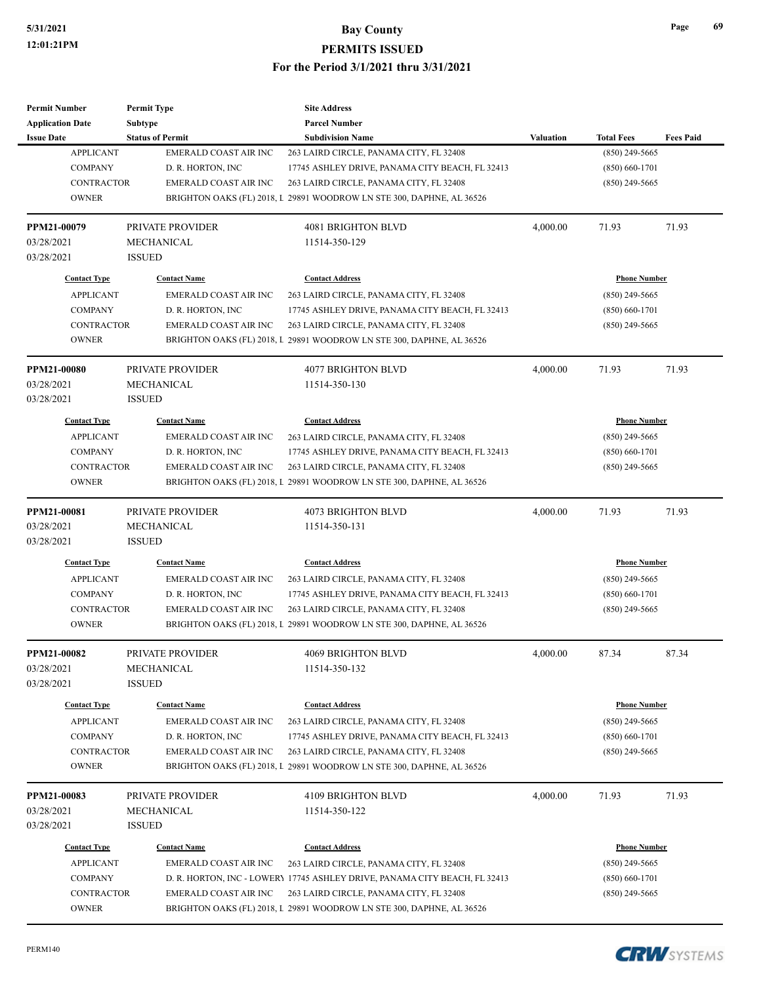| <b>Permit Number</b>    | <b>Permit Type</b>           | <b>Site Address</b>                                                        |                  |                     |                  |
|-------------------------|------------------------------|----------------------------------------------------------------------------|------------------|---------------------|------------------|
| <b>Application Date</b> | Subtype                      | <b>Parcel Number</b>                                                       |                  |                     |                  |
| <b>Issue Date</b>       | <b>Status of Permit</b>      | <b>Subdivision Name</b>                                                    | <b>Valuation</b> | <b>Total Fees</b>   | <b>Fees Paid</b> |
| <b>APPLICANT</b>        | <b>EMERALD COAST AIR INC</b> | 263 LAIRD CIRCLE, PANAMA CITY, FL 32408                                    |                  | $(850)$ 249-5665    |                  |
| <b>COMPANY</b>          | D. R. HORTON, INC            | 17745 ASHLEY DRIVE, PANAMA CITY BEACH, FL 32413                            |                  | $(850) 660 - 1701$  |                  |
| <b>CONTRACTOR</b>       | EMERALD COAST AIR INC        | 263 LAIRD CIRCLE, PANAMA CITY, FL 32408                                    |                  | $(850)$ 249-5665    |                  |
| <b>OWNER</b>            |                              | BRIGHTON OAKS (FL) 2018, L 29891 WOODROW LN STE 300, DAPHNE, AL 36526      |                  |                     |                  |
| PPM21-00079             | PRIVATE PROVIDER             | <b>4081 BRIGHTON BLVD</b>                                                  | 4,000.00         | 71.93               | 71.93            |
| 03/28/2021              | MECHANICAL                   | 11514-350-129                                                              |                  |                     |                  |
| 03/28/2021              | <b>ISSUED</b>                |                                                                            |                  |                     |                  |
| <b>Contact Type</b>     | <b>Contact Name</b>          | <b>Contact Address</b>                                                     |                  | <b>Phone Number</b> |                  |
| <b>APPLICANT</b>        | EMERALD COAST AIR INC        | 263 LAIRD CIRCLE, PANAMA CITY, FL 32408                                    |                  | $(850)$ 249-5665    |                  |
| <b>COMPANY</b>          | D. R. HORTON, INC            | 17745 ASHLEY DRIVE, PANAMA CITY BEACH, FL 32413                            |                  | $(850) 660 - 1701$  |                  |
| <b>CONTRACTOR</b>       | <b>EMERALD COAST AIR INC</b> | 263 LAIRD CIRCLE, PANAMA CITY, FL 32408                                    |                  | $(850)$ 249-5665    |                  |
| <b>OWNER</b>            |                              | BRIGHTON OAKS (FL) 2018, L 29891 WOODROW LN STE 300, DAPHNE, AL 36526      |                  |                     |                  |
| PPM21-00080             | PRIVATE PROVIDER             | <b>4077 BRIGHTON BLVD</b>                                                  | 4,000.00         | 71.93               | 71.93            |
| 03/28/2021              | <b>MECHANICAL</b>            | 11514-350-130                                                              |                  |                     |                  |
| 03/28/2021              | <b>ISSUED</b>                |                                                                            |                  |                     |                  |
| <b>Contact Type</b>     | <b>Contact Name</b>          | <b>Contact Address</b>                                                     |                  | <b>Phone Number</b> |                  |
| <b>APPLICANT</b>        | EMERALD COAST AIR INC        | 263 LAIRD CIRCLE, PANAMA CITY, FL 32408                                    |                  | $(850)$ 249-5665    |                  |
| <b>COMPANY</b>          | D. R. HORTON, INC            | 17745 ASHLEY DRIVE, PANAMA CITY BEACH, FL 32413                            |                  | $(850) 660 - 1701$  |                  |
| <b>CONTRACTOR</b>       | EMERALD COAST AIR INC        | 263 LAIRD CIRCLE, PANAMA CITY, FL 32408                                    | $(850)$ 249-5665 |                     |                  |
| <b>OWNER</b>            |                              | BRIGHTON OAKS (FL) 2018, L 29891 WOODROW LN STE 300, DAPHNE, AL 36526      |                  |                     |                  |
| PPM21-00081             | PRIVATE PROVIDER             | <b>4073 BRIGHTON BLVD</b>                                                  | 4,000.00         | 71.93               | 71.93            |
| 03/28/2021              | MECHANICAL                   | 11514-350-131                                                              |                  |                     |                  |
| 03/28/2021              | <b>ISSUED</b>                |                                                                            |                  |                     |                  |
| <b>Contact Type</b>     | <b>Contact Name</b>          | <b>Contact Address</b>                                                     |                  | <b>Phone Number</b> |                  |
| <b>APPLICANT</b>        | <b>EMERALD COAST AIR INC</b> | 263 LAIRD CIRCLE, PANAMA CITY, FL 32408                                    |                  | $(850)$ 249-5665    |                  |
| <b>COMPANY</b>          | D. R. HORTON, INC            | 17745 ASHLEY DRIVE, PANAMA CITY BEACH, FL 32413                            |                  | $(850) 660 - 1701$  |                  |
| <b>CONTRACTOR</b>       | <b>EMERALD COAST AIR INC</b> | 263 LAIRD CIRCLE, PANAMA CITY, FL 32408                                    |                  | $(850)$ 249-5665    |                  |
| <b>OWNER</b>            |                              | BRIGHTON OAKS (FL) 2018, L 29891 WOODROW LN STE 300, DAPHNE, AL 36526      |                  |                     |                  |
| PPM21-00082             | PRIVATE PROVIDER             | 4069 BRIGHTON BLVD                                                         | 4,000.00         | 87.34               | 87.34            |
| 03/28/2021              | MECHANICAL                   | 11514-350-132                                                              |                  |                     |                  |
| 03/28/2021              | <b>ISSUED</b>                |                                                                            |                  |                     |                  |
| <b>Contact Type</b>     | <b>Contact Name</b>          | <b>Contact Address</b>                                                     |                  | <b>Phone Number</b> |                  |
| <b>APPLICANT</b>        | EMERALD COAST AIR INC        | 263 LAIRD CIRCLE, PANAMA CITY, FL 32408                                    |                  | $(850)$ 249-5665    |                  |
| <b>COMPANY</b>          | D. R. HORTON, INC            | 17745 ASHLEY DRIVE, PANAMA CITY BEACH, FL 32413                            |                  | $(850) 660 - 1701$  |                  |
| <b>CONTRACTOR</b>       | EMERALD COAST AIR INC        | 263 LAIRD CIRCLE, PANAMA CITY, FL 32408                                    |                  | $(850)$ 249-5665    |                  |
| <b>OWNER</b>            |                              | BRIGHTON OAKS (FL) 2018, L 29891 WOODROW LN STE 300, DAPHNE, AL 36526      |                  |                     |                  |
| PPM21-00083             | PRIVATE PROVIDER             | 4109 BRIGHTON BLVD                                                         | 4,000.00         | 71.93               | 71.93            |
| 03/28/2021              | MECHANICAL                   | 11514-350-122                                                              |                  |                     |                  |
| 03/28/2021              | <b>ISSUED</b>                |                                                                            |                  |                     |                  |
| <b>Contact Type</b>     | <b>Contact Name</b>          | <b>Contact Address</b>                                                     |                  | <b>Phone Number</b> |                  |
| <b>APPLICANT</b>        | EMERALD COAST AIR INC        | 263 LAIRD CIRCLE, PANAMA CITY, FL 32408                                    |                  | $(850)$ 249-5665    |                  |
| <b>COMPANY</b>          |                              | D. R. HORTON, INC - LOWERY 17745 ASHLEY DRIVE, PANAMA CITY BEACH, FL 32413 |                  | $(850) 660 - 1701$  |                  |
| CONTRACTOR              | EMERALD COAST AIR INC        | 263 LAIRD CIRCLE, PANAMA CITY, FL 32408                                    |                  | $(850)$ 249-5665    |                  |
| <b>OWNER</b>            |                              | BRIGHTON OAKS (FL) 2018, L 29891 WOODROW LN STE 300, DAPHNE, AL 36526      |                  |                     |                  |

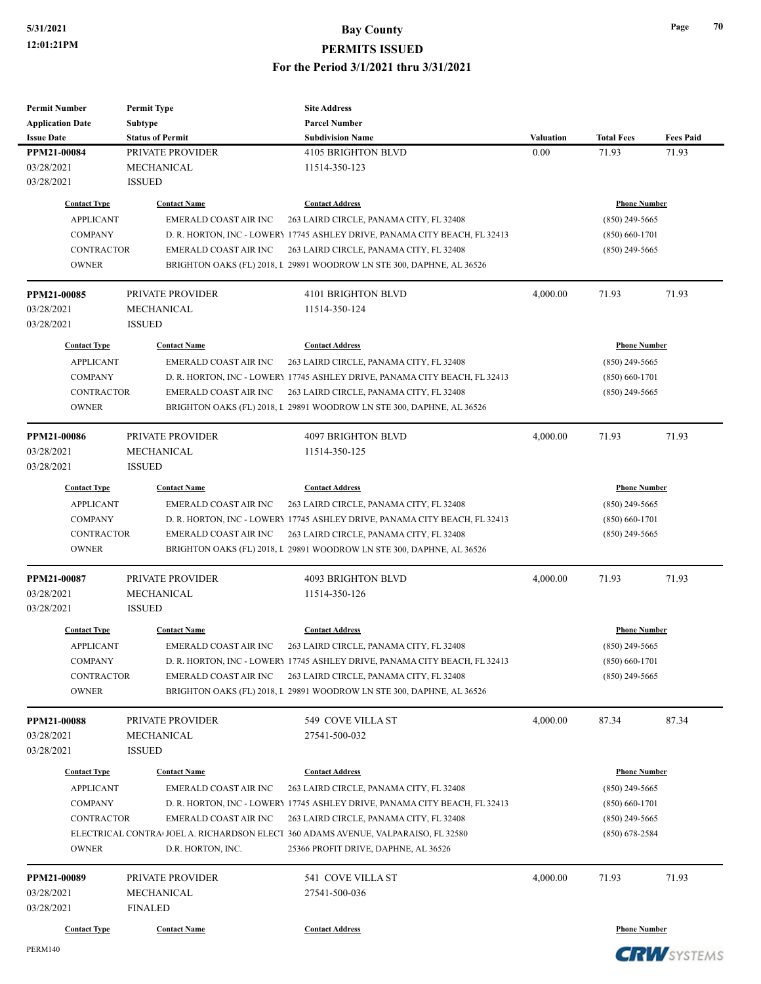**PERMITS ISSUED**

| <b>Permit Number</b>      | <b>Permit Type</b>           | <b>Site Address</b>                                                               |                  |                     |                  |
|---------------------------|------------------------------|-----------------------------------------------------------------------------------|------------------|---------------------|------------------|
| <b>Application Date</b>   | <b>Subtype</b>               | <b>Parcel Number</b>                                                              |                  |                     |                  |
| <b>Issue Date</b>         | <b>Status of Permit</b>      | <b>Subdivision Name</b>                                                           | <b>Valuation</b> | <b>Total Fees</b>   | <b>Fees Paid</b> |
| PPM21-00084               | PRIVATE PROVIDER             | <b>4105 BRIGHTON BLVD</b>                                                         | 0.00             | 71.93               | 71.93            |
| 03/28/2021                | MECHANICAL                   | 11514-350-123                                                                     |                  |                     |                  |
| 03/28/2021                | <b>ISSUED</b>                |                                                                                   |                  |                     |                  |
| <b>Contact Type</b>       | <b>Contact Name</b>          | <b>Contact Address</b>                                                            |                  | <b>Phone Number</b> |                  |
| <b>APPLICANT</b>          | <b>EMERALD COAST AIR INC</b> | 263 LAIRD CIRCLE, PANAMA CITY, FL 32408                                           |                  | $(850)$ 249-5665    |                  |
| <b>COMPANY</b>            |                              | D. R. HORTON, INC - LOWERY 17745 ASHLEY DRIVE, PANAMA CITY BEACH, FL 32413        |                  | $(850) 660 - 1701$  |                  |
| <b>CONTRACTOR</b>         | EMERALD COAST AIR INC        | 263 LAIRD CIRCLE, PANAMA CITY, FL 32408                                           |                  | $(850)$ 249-5665    |                  |
| <b>OWNER</b>              |                              | BRIGHTON OAKS (FL) 2018, L 29891 WOODROW LN STE 300, DAPHNE, AL 36526             |                  |                     |                  |
| PPM21-00085               | <b>PRIVATE PROVIDER</b>      | 4101 BRIGHTON BLVD                                                                | 4,000.00         | 71.93               | 71.93            |
| 03/28/2021                | MECHANICAL                   | 11514-350-124                                                                     |                  |                     |                  |
| 03/28/2021                | <b>ISSUED</b>                |                                                                                   |                  |                     |                  |
| <b>Contact Type</b>       | <b>Contact Name</b>          | <b>Contact Address</b>                                                            |                  | <b>Phone Number</b> |                  |
| <b>APPLICANT</b>          | <b>EMERALD COAST AIR INC</b> | 263 LAIRD CIRCLE, PANAMA CITY, FL 32408                                           |                  | $(850)$ 249-5665    |                  |
| <b>COMPANY</b>            |                              | D. R. HORTON, INC - LOWERY 17745 ASHLEY DRIVE, PANAMA CITY BEACH, FL 32413        |                  | $(850) 660 - 1701$  |                  |
| <b>CONTRACTOR</b>         | <b>EMERALD COAST AIR INC</b> | 263 LAIRD CIRCLE, PANAMA CITY, FL 32408                                           |                  | $(850)$ 249-5665    |                  |
| <b>OWNER</b>              |                              | BRIGHTON OAKS (FL) 2018, L 29891 WOODROW LN STE 300, DAPHNE, AL 36526             |                  |                     |                  |
| PPM21-00086               | PRIVATE PROVIDER             | <b>4097 BRIGHTON BLVD</b>                                                         | 4,000.00         | 71.93               | 71.93            |
| 03/28/2021                | MECHANICAL                   | 11514-350-125                                                                     |                  |                     |                  |
| 03/28/2021                | <b>ISSUED</b>                |                                                                                   |                  |                     |                  |
| <b>Contact Type</b>       | <b>Contact Name</b>          | <b>Contact Address</b>                                                            |                  | <b>Phone Number</b> |                  |
| <b>APPLICANT</b>          | EMERALD COAST AIR INC        | 263 LAIRD CIRCLE, PANAMA CITY, FL 32408                                           |                  | $(850)$ 249-5665    |                  |
| <b>COMPANY</b>            |                              | D. R. HORTON, INC - LOWERY 17745 ASHLEY DRIVE, PANAMA CITY BEACH, FL 32413        |                  | $(850) 660 - 1701$  |                  |
| <b>CONTRACTOR</b>         | <b>EMERALD COAST AIR INC</b> | 263 LAIRD CIRCLE, PANAMA CITY, FL 32408                                           |                  | $(850)$ 249-5665    |                  |
| <b>OWNER</b>              |                              | BRIGHTON OAKS (FL) 2018, L 29891 WOODROW LN STE 300, DAPHNE, AL 36526             |                  |                     |                  |
|                           | PRIVATE PROVIDER             | <b>4093 BRIGHTON BLVD</b>                                                         | 4,000.00         | 71.93               | 71.93            |
| PPM21-00087<br>03/28/2021 | MECHANICAL                   | 11514-350-126                                                                     |                  |                     |                  |
| 03/28/2021                | <b>ISSUED</b>                |                                                                                   |                  |                     |                  |
|                           |                              |                                                                                   |                  |                     |                  |
| <b>Contact Type</b>       | <b>Contact Name</b>          | <b>Contact Address</b>                                                            |                  | <b>Phone Number</b> |                  |
| <b>APPLICANT</b>          | EMERALD COAST AIR INC        | 263 LAIRD CIRCLE, PANAMA CITY, FL 32408                                           |                  | $(850)$ 249-5665    |                  |
| <b>COMPANY</b>            |                              | D. R. HORTON, INC - LOWER 17745 ASHLEY DRIVE, PANAMA CITY BEACH, FL 32413         |                  | $(850) 660 - 1701$  |                  |
| <b>CONTRACTOR</b>         | EMERALD COAST AIR INC        | 263 LAIRD CIRCLE, PANAMA CITY, FL 32408                                           |                  | $(850)$ 249-5665    |                  |
| <b>OWNER</b>              |                              | BRIGHTON OAKS (FL) 2018, L 29891 WOODROW LN STE 300, DAPHNE, AL 36526             |                  |                     |                  |
| PPM21-00088               | PRIVATE PROVIDER             | 549 COVE VILLA ST                                                                 | 4,000.00         | 87.34               | 87.34            |
| 03/28/2021                | MECHANICAL                   | 27541-500-032                                                                     |                  |                     |                  |
| 03/28/2021                | <b>ISSUED</b>                |                                                                                   |                  |                     |                  |
| <b>Contact Type</b>       | <b>Contact Name</b>          | <b>Contact Address</b>                                                            |                  | <b>Phone Number</b> |                  |
| <b>APPLICANT</b>          | EMERALD COAST AIR INC        | 263 LAIRD CIRCLE, PANAMA CITY, FL 32408                                           |                  | $(850)$ 249-5665    |                  |
| <b>COMPANY</b>            |                              | D. R. HORTON, INC - LOWERY 17745 ASHLEY DRIVE, PANAMA CITY BEACH, FL 32413        |                  | $(850) 660 - 1701$  |                  |
| <b>CONTRACTOR</b>         | EMERALD COAST AIR INC        | 263 LAIRD CIRCLE, PANAMA CITY, FL 32408                                           |                  | $(850)$ 249-5665    |                  |
|                           |                              | ELECTRICAL CONTRA JOEL A. RICHARDSON ELECT 360 ADAMS AVENUE, VALPARAISO, FL 32580 |                  | $(850)$ 678-2584    |                  |
| <b>OWNER</b>              | D.R. HORTON, INC.            | 25366 PROFIT DRIVE, DAPHNE, AL 36526                                              |                  |                     |                  |
| PPM21-00089               | PRIVATE PROVIDER             | 541 COVE VILLA ST                                                                 | 4,000.00         | 71.93               | 71.93            |
| 03/28/2021                | MECHANICAL                   | 27541-500-036                                                                     |                  |                     |                  |
| 03/28/2021                | <b>FINALED</b>               |                                                                                   |                  |                     |                  |
|                           |                              |                                                                                   |                  |                     |                  |
| <b>Contact Type</b>       | <b>Contact Name</b>          | <b>Contact Address</b>                                                            |                  | <b>Phone Number</b> |                  |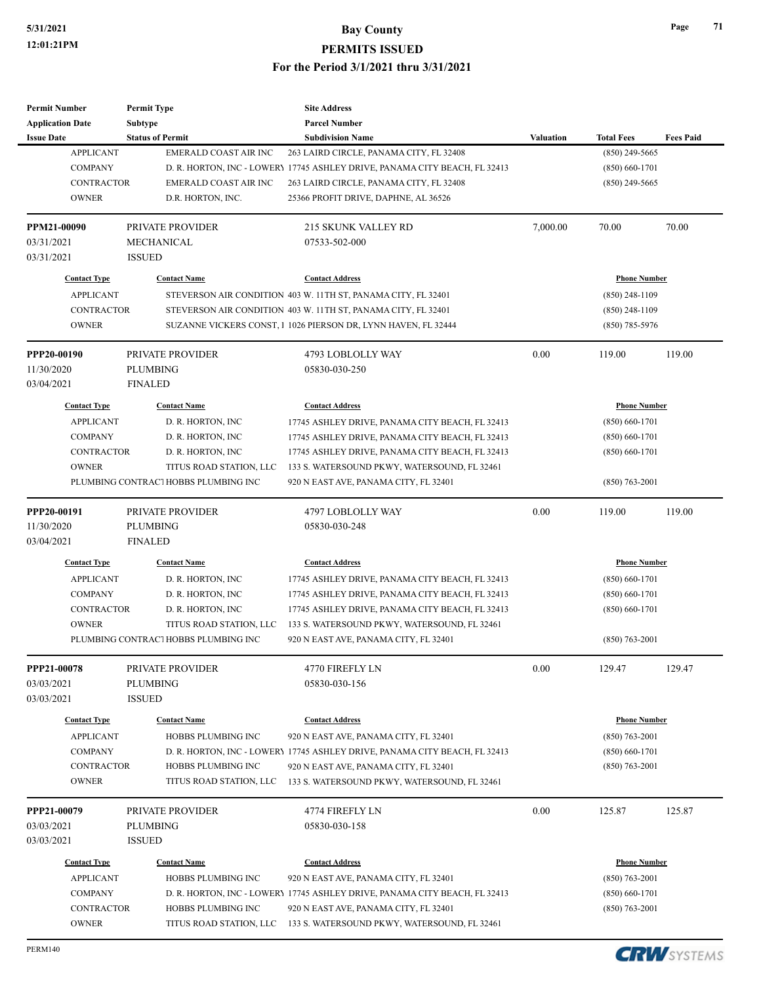| <b>Permit Number</b><br><b>Application Date</b>                         | <b>Permit Type</b><br>Subtype                                                     | <b>Site Address</b><br><b>Parcel Number</b>                                                                                                                                                              |                  |                                                            |                  |
|-------------------------------------------------------------------------|-----------------------------------------------------------------------------------|----------------------------------------------------------------------------------------------------------------------------------------------------------------------------------------------------------|------------------|------------------------------------------------------------|------------------|
| <b>Issue Date</b>                                                       | <b>Status of Permit</b>                                                           | <b>Subdivision Name</b>                                                                                                                                                                                  | <b>Valuation</b> | <b>Total Fees</b>                                          | <b>Fees Paid</b> |
| <b>APPLICANT</b><br><b>COMPANY</b><br><b>CONTRACTOR</b><br><b>OWNER</b> | <b>EMERALD COAST AIR INC</b><br><b>EMERALD COAST AIR INC</b><br>D.R. HORTON, INC. | 263 LAIRD CIRCLE, PANAMA CITY, FL 32408<br>D. R. HORTON, INC - LOWERY 17745 ASHLEY DRIVE, PANAMA CITY BEACH, FL 32413<br>263 LAIRD CIRCLE, PANAMA CITY, FL 32408<br>25366 PROFIT DRIVE, DAPHNE, AL 36526 |                  | $(850)$ 249-5665<br>$(850) 660 - 1701$<br>$(850)$ 249-5665 |                  |
| PPM21-00090<br>03/31/2021<br>03/31/2021                                 | PRIVATE PROVIDER<br>MECHANICAL<br><b>ISSUED</b>                                   | 215 SKUNK VALLEY RD<br>07533-502-000                                                                                                                                                                     | 7,000.00         | 70.00                                                      | 70.00            |
| <b>Contact Type</b>                                                     | <b>Contact Name</b>                                                               | <b>Contact Address</b>                                                                                                                                                                                   |                  | <b>Phone Number</b>                                        |                  |
| <b>APPLICANT</b>                                                        |                                                                                   | STEVERSON AIR CONDITION 403 W. 11TH ST, PANAMA CITY, FL 32401                                                                                                                                            |                  | $(850)$ 248-1109                                           |                  |
| <b>CONTRACTOR</b>                                                       |                                                                                   | STEVERSON AIR CONDITION 403 W. 11TH ST, PANAMA CITY, FL 32401                                                                                                                                            |                  | $(850)$ 248-1109                                           |                  |
| <b>OWNER</b>                                                            |                                                                                   | SUZANNE VICKERS CONST, 1 1026 PIERSON DR, LYNN HAVEN, FL 32444                                                                                                                                           |                  | $(850)$ 785-5976                                           |                  |
| PPP20-00190                                                             | PRIVATE PROVIDER                                                                  | 4793 LOBLOLLY WAY                                                                                                                                                                                        | 0.00             | 119.00                                                     | 119.00           |
| 11/30/2020<br>03/04/2021                                                | <b>PLUMBING</b><br><b>FINALED</b>                                                 | 05830-030-250                                                                                                                                                                                            |                  |                                                            |                  |
|                                                                         |                                                                                   |                                                                                                                                                                                                          |                  |                                                            |                  |
| <b>Contact Type</b>                                                     | <b>Contact Name</b>                                                               | <b>Contact Address</b>                                                                                                                                                                                   |                  | <b>Phone Number</b>                                        |                  |
| <b>APPLICANT</b>                                                        | D. R. HORTON, INC                                                                 | 17745 ASHLEY DRIVE, PANAMA CITY BEACH, FL 32413                                                                                                                                                          |                  | $(850) 660 - 1701$                                         |                  |
| <b>COMPANY</b>                                                          | D. R. HORTON, INC                                                                 | 17745 ASHLEY DRIVE, PANAMA CITY BEACH, FL 32413                                                                                                                                                          |                  | $(850) 660 - 1701$                                         |                  |
| <b>CONTRACTOR</b>                                                       | D. R. HORTON, INC                                                                 | 17745 ASHLEY DRIVE, PANAMA CITY BEACH, FL 32413                                                                                                                                                          |                  | $(850) 660 - 1701$                                         |                  |
| <b>OWNER</b>                                                            | TITUS ROAD STATION, LLC<br>PLUMBING CONTRACT HOBBS PLUMBING INC                   | 133 S. WATERSOUND PKWY, WATERSOUND, FL 32461<br>920 N EAST AVE, PANAMA CITY, FL 32401                                                                                                                    |                  | $(850) 763 - 2001$                                         |                  |
| PPP20-00191                                                             | <b>PRIVATE PROVIDER</b>                                                           | 4797 LOBLOLLY WAY                                                                                                                                                                                        | 0.00             | 119.00                                                     | 119.00           |
| 11/30/2020                                                              | <b>PLUMBING</b>                                                                   | 05830-030-248                                                                                                                                                                                            |                  |                                                            |                  |
| 03/04/2021                                                              | <b>FINALED</b>                                                                    |                                                                                                                                                                                                          |                  |                                                            |                  |
| <b>Contact Type</b>                                                     | <b>Contact Name</b>                                                               | <b>Contact Address</b>                                                                                                                                                                                   |                  | <b>Phone Number</b>                                        |                  |
| <b>APPLICANT</b>                                                        | D. R. HORTON, INC                                                                 | 17745 ASHLEY DRIVE, PANAMA CITY BEACH, FL 32413                                                                                                                                                          |                  | $(850) 660 - 1701$                                         |                  |
| <b>COMPANY</b>                                                          | D. R. HORTON, INC                                                                 | 17745 ASHLEY DRIVE, PANAMA CITY BEACH, FL 32413                                                                                                                                                          |                  | $(850) 660 - 1701$                                         |                  |
| <b>CONTRACTOR</b>                                                       | D. R. HORTON, INC                                                                 | 17745 ASHLEY DRIVE, PANAMA CITY BEACH, FL 32413                                                                                                                                                          |                  | $(850) 660 - 1701$                                         |                  |
| <b>OWNER</b>                                                            | TITUS ROAD STATION, LLC                                                           | 133 S. WATERSOUND PKWY, WATERSOUND, FL 32461                                                                                                                                                             |                  |                                                            |                  |
|                                                                         | PLUMBING CONTRACT HOBBS PLUMBING INC                                              | 920 N EAST AVE, PANAMA CITY, FL 32401                                                                                                                                                                    |                  | $(850) 763 - 2001$                                         |                  |
| PPP21-00078<br>03/03/2021                                               | PRIVATE PROVIDER<br><b>PLUMBING</b>                                               | 4770 FIREFLY LN<br>05830-030-156                                                                                                                                                                         | 0.00             | 129.47                                                     | 129.47           |
| 03/03/2021                                                              | <b>ISSUED</b>                                                                     |                                                                                                                                                                                                          |                  |                                                            |                  |
| <b>Contact Type</b>                                                     | <b>Contact Name</b>                                                               | <b>Contact Address</b>                                                                                                                                                                                   |                  | <b>Phone Number</b>                                        |                  |
| <b>APPLICANT</b>                                                        | HOBBS PLUMBING INC                                                                | 920 N EAST AVE, PANAMA CITY, FL 32401                                                                                                                                                                    |                  | $(850) 763 - 2001$                                         |                  |
| <b>COMPANY</b>                                                          |                                                                                   | D. R. HORTON, INC - LOWERY 17745 ASHLEY DRIVE, PANAMA CITY BEACH, FL 32413                                                                                                                               |                  | $(850) 660 - 1701$                                         |                  |
| <b>CONTRACTOR</b>                                                       | HOBBS PLUMBING INC                                                                | 920 N EAST AVE, PANAMA CITY, FL 32401                                                                                                                                                                    |                  | $(850)$ 763-2001                                           |                  |
| <b>OWNER</b>                                                            | TITUS ROAD STATION, LLC                                                           | 133 S. WATERSOUND PKWY, WATERSOUND, FL 32461                                                                                                                                                             |                  |                                                            |                  |
| PPP21-00079                                                             | PRIVATE PROVIDER                                                                  | 4774 FIREFLY LN                                                                                                                                                                                          | 0.00             | 125.87                                                     | 125.87           |
| 03/03/2021                                                              | <b>PLUMBING</b>                                                                   | 05830-030-158                                                                                                                                                                                            |                  |                                                            |                  |
| 03/03/2021                                                              | <b>ISSUED</b>                                                                     |                                                                                                                                                                                                          |                  |                                                            |                  |
| <b>Contact Type</b>                                                     | <b>Contact Name</b>                                                               | <b>Contact Address</b>                                                                                                                                                                                   |                  | <b>Phone Number</b>                                        |                  |
| <b>APPLICANT</b>                                                        | HOBBS PLUMBING INC                                                                | 920 N EAST AVE, PANAMA CITY, FL 32401                                                                                                                                                                    |                  | $(850) 763 - 2001$                                         |                  |
| <b>COMPANY</b>                                                          |                                                                                   | D. R. HORTON, INC - LOWERY 17745 ASHLEY DRIVE, PANAMA CITY BEACH, FL 32413                                                                                                                               |                  | $(850) 660 - 1701$                                         |                  |
| CONTRACTOR                                                              | HOBBS PLUMBING INC                                                                | 920 N EAST AVE, PANAMA CITY, FL 32401                                                                                                                                                                    |                  | $(850)$ 763-2001                                           |                  |
| <b>OWNER</b>                                                            | TITUS ROAD STATION, LLC                                                           | 133 S. WATERSOUND PKWY, WATERSOUND, FL 32461                                                                                                                                                             |                  |                                                            |                  |

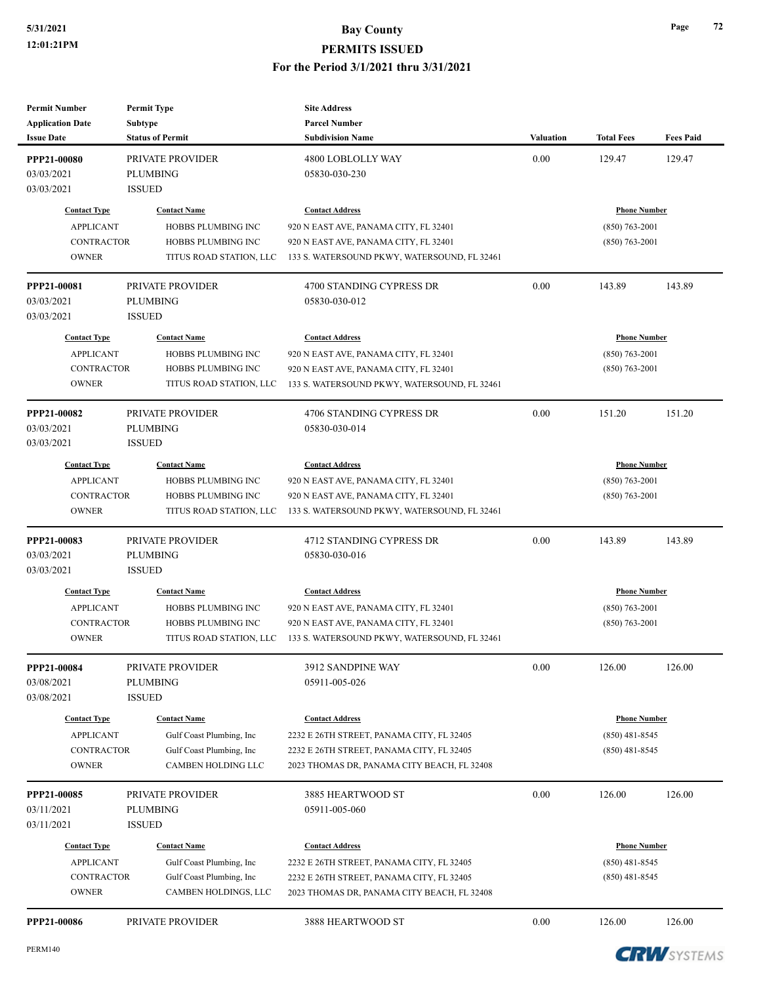| <b>Permit Number</b>                          | <b>Permit Type</b>                  | <b>Site Address</b>                          |                  |                     |                  |  |
|-----------------------------------------------|-------------------------------------|----------------------------------------------|------------------|---------------------|------------------|--|
| <b>Application Date</b>                       | Subtype                             | <b>Parcel Number</b>                         |                  |                     |                  |  |
| <b>Issue Date</b>                             | <b>Status of Permit</b>             | <b>Subdivision Name</b>                      | <b>Valuation</b> | <b>Total Fees</b>   | <b>Fees Paid</b> |  |
| PPP21-00080                                   | PRIVATE PROVIDER                    | 4800 LOBLOLLY WAY                            | 0.00             | 129.47              | 129.47           |  |
| 03/03/2021                                    | PLUMBING                            | 05830-030-230                                |                  |                     |                  |  |
| 03/03/2021                                    | <b>ISSUED</b>                       |                                              |                  |                     |                  |  |
|                                               |                                     |                                              |                  |                     |                  |  |
| <b>Contact Type</b>                           | <b>Contact Name</b>                 | <b>Contact Address</b>                       |                  | <b>Phone Number</b> |                  |  |
| <b>APPLICANT</b><br><b>HOBBS PLUMBING INC</b> |                                     | 920 N EAST AVE, PANAMA CITY, FL 32401        |                  | $(850)$ 763-2001    |                  |  |
| <b>CONTRACTOR</b>                             | HOBBS PLUMBING INC                  | 920 N EAST AVE, PANAMA CITY, FL 32401        |                  | $(850)$ 763-2001    |                  |  |
| <b>OWNER</b>                                  | TITUS ROAD STATION, LLC             | 133 S. WATERSOUND PKWY, WATERSOUND, FL 32461 |                  |                     |                  |  |
| PPP21-00081                                   | PRIVATE PROVIDER                    | 4700 STANDING CYPRESS DR                     | 0.00             | 143.89              | 143.89           |  |
| 03/03/2021                                    | <b>PLUMBING</b>                     | 05830-030-012                                |                  |                     |                  |  |
| 03/03/2021                                    | <b>ISSUED</b>                       |                                              |                  |                     |                  |  |
| <b>Contact Type</b>                           | <b>Contact Name</b>                 | <b>Contact Address</b>                       |                  | <b>Phone Number</b> |                  |  |
| <b>APPLICANT</b>                              | <b>HOBBS PLUMBING INC</b>           | 920 N EAST AVE, PANAMA CITY, FL 32401        |                  | $(850)$ 763-2001    |                  |  |
| <b>CONTRACTOR</b>                             | <b>HOBBS PLUMBING INC</b>           | 920 N EAST AVE, PANAMA CITY, FL 32401        |                  | $(850)$ 763-2001    |                  |  |
| <b>OWNER</b>                                  | TITUS ROAD STATION, LLC             | 133 S. WATERSOUND PKWY, WATERSOUND, FL 32461 |                  |                     |                  |  |
|                                               |                                     |                                              |                  |                     |                  |  |
| PPP21-00082                                   | PRIVATE PROVIDER                    | 4706 STANDING CYPRESS DR                     | 0.00             | 151.20              | 151.20           |  |
| 03/03/2021                                    | <b>PLUMBING</b>                     | 05830-030-014                                |                  |                     |                  |  |
| 03/03/2021                                    | <b>ISSUED</b>                       |                                              |                  |                     |                  |  |
| <b>Contact Type</b>                           | <b>Contact Name</b>                 | <b>Contact Address</b>                       |                  | <b>Phone Number</b> |                  |  |
| <b>APPLICANT</b>                              | HOBBS PLUMBING INC                  | 920 N EAST AVE, PANAMA CITY, FL 32401        |                  | $(850)$ 763-2001    |                  |  |
| <b>CONTRACTOR</b>                             | HOBBS PLUMBING INC                  | 920 N EAST AVE, PANAMA CITY, FL 32401        |                  | $(850)$ 763-2001    |                  |  |
| <b>OWNER</b>                                  | TITUS ROAD STATION, LLC             | 133 S. WATERSOUND PKWY, WATERSOUND, FL 32461 |                  |                     |                  |  |
| PPP21-00083                                   | PRIVATE PROVIDER                    | 4712 STANDING CYPRESS DR                     | 0.00             | 143.89              | 143.89           |  |
| 03/03/2021                                    | <b>PLUMBING</b>                     | 05830-030-016                                |                  |                     |                  |  |
| 03/03/2021                                    | <b>ISSUED</b>                       |                                              |                  |                     |                  |  |
| <b>Contact Type</b>                           | <b>Contact Name</b>                 | <b>Contact Address</b>                       |                  | <b>Phone Number</b> |                  |  |
| <b>APPLICANT</b>                              | HOBBS PLUMBING INC                  | 920 N EAST AVE, PANAMA CITY, FL 32401        |                  | $(850)$ 763-2001    |                  |  |
| CONTRACTOR                                    | HOBBS PLUMBING INC                  | 920 N EAST AVE, PANAMA CITY, FL 32401        |                  | $(850)$ 763-2001    |                  |  |
| <b>OWNER</b>                                  | TITUS ROAD STATION, LLC             | 133 S. WATERSOUND PKWY, WATERSOUND, FL 32461 |                  |                     |                  |  |
|                                               |                                     |                                              |                  |                     |                  |  |
| PPP21-00084<br>03/08/2021                     | PRIVATE PROVIDER<br><b>PLUMBING</b> | 3912 SANDPINE WAY<br>05911-005-026           | 0.00             | 126.00              | 126.00           |  |
| 03/08/2021                                    | <b>ISSUED</b>                       |                                              |                  |                     |                  |  |
|                                               |                                     |                                              |                  |                     |                  |  |
| <b>Contact Type</b>                           | <b>Contact Name</b>                 | <b>Contact Address</b>                       |                  | <b>Phone Number</b> |                  |  |
| <b>APPLICANT</b>                              | Gulf Coast Plumbing, Inc            | 2232 E 26TH STREET, PANAMA CITY, FL 32405    |                  | $(850)$ 481-8545    |                  |  |
| CONTRACTOR                                    | Gulf Coast Plumbing, Inc            | 2232 E 26TH STREET, PANAMA CITY, FL 32405    |                  | $(850)$ 481-8545    |                  |  |
| <b>OWNER</b>                                  | CAMBEN HOLDING LLC                  | 2023 THOMAS DR, PANAMA CITY BEACH, FL 32408  |                  |                     |                  |  |
| PPP21-00085                                   | PRIVATE PROVIDER                    | 3885 HEARTWOOD ST                            | $0.00\,$         | 126.00              | 126.00           |  |
| 03/11/2021                                    | PLUMBING                            | 05911-005-060                                |                  |                     |                  |  |
| 03/11/2021                                    | <b>ISSUED</b>                       |                                              |                  |                     |                  |  |
| <b>Contact Type</b>                           | <b>Contact Name</b>                 | <b>Contact Address</b>                       |                  | <b>Phone Number</b> |                  |  |
| <b>APPLICANT</b>                              | Gulf Coast Plumbing, Inc            | 2232 E 26TH STREET, PANAMA CITY, FL 32405    |                  | $(850)$ 481-8545    |                  |  |
| CONTRACTOR                                    | Gulf Coast Plumbing, Inc            | 2232 E 26TH STREET, PANAMA CITY, FL 32405    |                  | $(850)$ 481-8545    |                  |  |
| <b>OWNER</b>                                  | CAMBEN HOLDINGS, LLC                | 2023 THOMAS DR, PANAMA CITY BEACH, FL 32408  |                  |                     |                  |  |
|                                               |                                     |                                              |                  |                     |                  |  |
| PPP21-00086                                   | PRIVATE PROVIDER                    | 3888 HEARTWOOD ST                            | 0.00             | 126.00              | 126.00           |  |

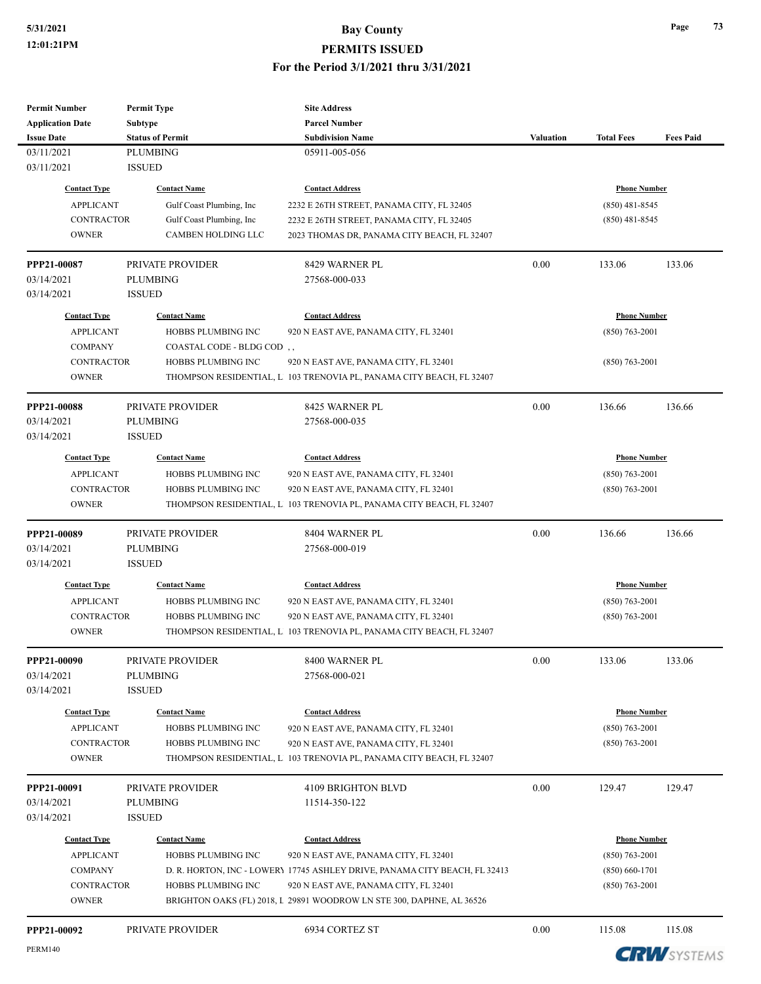| <b>Permit Number</b>      | <b>Permit Type</b>          | <b>Site Address</b>                                                        |                  |                     |                  |
|---------------------------|-----------------------------|----------------------------------------------------------------------------|------------------|---------------------|------------------|
| <b>Application Date</b>   | Subtype                     | <b>Parcel Number</b>                                                       |                  |                     |                  |
| <b>Issue Date</b>         | <b>Status of Permit</b>     | <b>Subdivision Name</b>                                                    | <b>Valuation</b> | <b>Total Fees</b>   | <b>Fees Paid</b> |
| 03/11/2021                | <b>PLUMBING</b>             | 05911-005-056                                                              |                  |                     |                  |
| 03/11/2021                | <b>ISSUED</b>               |                                                                            |                  |                     |                  |
| <b>Contact Type</b>       | <b>Contact Name</b>         | <b>Contact Address</b>                                                     |                  | <b>Phone Number</b> |                  |
| <b>APPLICANT</b>          | Gulf Coast Plumbing, Inc    | 2232 E 26TH STREET, PANAMA CITY, FL 32405                                  |                  | $(850)$ 481-8545    |                  |
| <b>CONTRACTOR</b>         | Gulf Coast Plumbing, Inc    | 2232 E 26TH STREET, PANAMA CITY, FL 32405                                  |                  | $(850)$ 481-8545    |                  |
| <b>OWNER</b>              | <b>CAMBEN HOLDING LLC</b>   | 2023 THOMAS DR, PANAMA CITY BEACH, FL 32407                                |                  |                     |                  |
| PPP21-00087               | PRIVATE PROVIDER            | 8429 WARNER PL                                                             | 0.00             | 133.06              | 133.06           |
| 03/14/2021                | <b>PLUMBING</b>             | 27568-000-033                                                              |                  |                     |                  |
| 03/14/2021                | <b>ISSUED</b>               |                                                                            |                  |                     |                  |
| <b>Contact Type</b>       | <b>Contact Name</b>         | <b>Contact Address</b>                                                     |                  | <b>Phone Number</b> |                  |
| <b>APPLICANT</b>          | HOBBS PLUMBING INC          | 920 N EAST AVE, PANAMA CITY, FL 32401                                      |                  | $(850)$ 763-2001    |                  |
| <b>COMPANY</b>            | COASTAL CODE - BLDG COD , , |                                                                            |                  |                     |                  |
| <b>CONTRACTOR</b>         | HOBBS PLUMBING INC          | 920 N EAST AVE, PANAMA CITY, FL 32401                                      |                  | $(850)$ 763-2001    |                  |
| <b>OWNER</b>              |                             | THOMPSON RESIDENTIAL, L 103 TRENOVIA PL, PANAMA CITY BEACH, FL 32407       |                  |                     |                  |
|                           |                             |                                                                            |                  |                     |                  |
| PPP21-00088               | PRIVATE PROVIDER            | 8425 WARNER PL                                                             | 0.00             | 136.66              | 136.66           |
| 03/14/2021                | PLUMBING                    | 27568-000-035                                                              |                  |                     |                  |
| 03/14/2021                | <b>ISSUED</b>               |                                                                            |                  |                     |                  |
| <b>Contact Type</b>       | <b>Contact Name</b>         | <b>Contact Address</b>                                                     |                  | <b>Phone Number</b> |                  |
| <b>APPLICANT</b>          | HOBBS PLUMBING INC          | 920 N EAST AVE, PANAMA CITY, FL 32401                                      |                  | $(850)$ 763-2001    |                  |
| <b>CONTRACTOR</b>         | HOBBS PLUMBING INC          | 920 N EAST AVE, PANAMA CITY, FL 32401                                      |                  | $(850)$ 763-2001    |                  |
| <b>OWNER</b>              |                             | THOMPSON RESIDENTIAL, L 103 TRENOVIA PL, PANAMA CITY BEACH, FL 32407       |                  |                     |                  |
|                           |                             |                                                                            |                  |                     |                  |
| PPP21-00089               | PRIVATE PROVIDER            | 8404 WARNER PL                                                             | 0.00             | 136.66              | 136.66           |
| 03/14/2021                | <b>PLUMBING</b>             | 27568-000-019                                                              |                  |                     |                  |
| 03/14/2021                | <b>ISSUED</b>               |                                                                            |                  |                     |                  |
| <b>Contact Type</b>       | <b>Contact Name</b>         | <b>Contact Address</b>                                                     |                  | <b>Phone Number</b> |                  |
| <b>APPLICANT</b>          | HOBBS PLUMBING INC          | 920 N EAST AVE, PANAMA CITY, FL 32401                                      |                  | $(850)$ 763-2001    |                  |
| <b>CONTRACTOR</b>         | <b>HOBBS PLUMBING INC</b>   | 920 N EAST AVE, PANAMA CITY, FL 32401                                      |                  | $(850)$ 763-2001    |                  |
| <b>OWNER</b>              |                             | THOMPSON RESIDENTIAL, L 103 TRENOVIA PL, PANAMA CITY BEACH, FL 32407       |                  |                     |                  |
| PPP21-00090               | PRIVATE PROVIDER            | 8400 WARNER PL                                                             | 0.00             | 133.06              | 133.06           |
| 03/14/2021                | PLUMBING                    | 27568-000-021                                                              |                  |                     |                  |
| 03/14/2021                | <b>ISSUED</b>               |                                                                            |                  |                     |                  |
| <b>Contact Type</b>       | <b>Contact Name</b>         | <b>Contact Address</b>                                                     |                  | <b>Phone Number</b> |                  |
| <b>APPLICANT</b>          | HOBBS PLUMBING INC          | 920 N EAST AVE, PANAMA CITY, FL 32401                                      |                  | $(850)$ 763-2001    |                  |
| <b>CONTRACTOR</b>         | HOBBS PLUMBING INC          | 920 N EAST AVE, PANAMA CITY, FL 32401                                      |                  |                     |                  |
| <b>OWNER</b>              |                             | THOMPSON RESIDENTIAL, L 103 TRENOVIA PL, PANAMA CITY BEACH, FL 32407       |                  | $(850)$ 763-2001    |                  |
|                           |                             |                                                                            |                  |                     |                  |
| PPP21-00091<br>03/14/2021 | PRIVATE PROVIDER            | 4109 BRIGHTON BLVD                                                         | 0.00             | 129.47              | 129.47           |
|                           | PLUMBING                    | 11514-350-122                                                              |                  |                     |                  |
| 03/14/2021                | <b>ISSUED</b>               |                                                                            |                  |                     |                  |
| <b>Contact Type</b>       | <b>Contact Name</b>         | <b>Contact Address</b>                                                     |                  | <b>Phone Number</b> |                  |
| <b>APPLICANT</b>          | HOBBS PLUMBING INC          | 920 N EAST AVE, PANAMA CITY, FL 32401                                      |                  | $(850)$ 763-2001    |                  |
| <b>COMPANY</b>            |                             | D. R. HORTON, INC - LOWER) 17745 ASHLEY DRIVE, PANAMA CITY BEACH, FL 32413 |                  | $(850) 660 - 1701$  |                  |
| <b>CONTRACTOR</b>         | HOBBS PLUMBING INC          | 920 N EAST AVE, PANAMA CITY, FL 32401                                      |                  | $(850)$ 763-2001    |                  |
| <b>OWNER</b>              |                             | BRIGHTON OAKS (FL) 2018, I 29891 WOODROW LN STE 300, DAPHNE, AL 36526      |                  |                     |                  |
| PPP21-00092               | PRIVATE PROVIDER            | 6934 CORTEZ ST                                                             | 0.00             | 115.08              | 115.08           |
|                           |                             |                                                                            |                  |                     |                  |

**CRW**SYSTEMS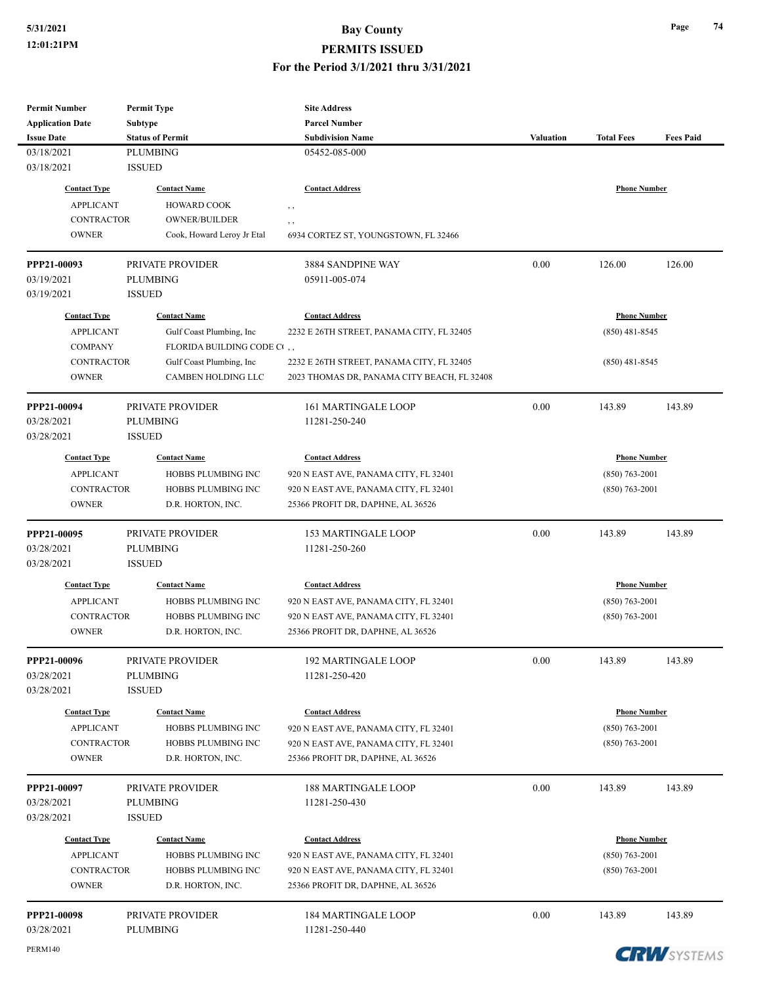**Page 74**

| <b>Permit Number</b>      | <b>Permit Type</b>                  | <b>Site Address</b>                         |           |                     |                  |
|---------------------------|-------------------------------------|---------------------------------------------|-----------|---------------------|------------------|
| <b>Application Date</b>   | <b>Subtype</b>                      | <b>Parcel Number</b>                        |           |                     |                  |
| <b>Issue Date</b>         | <b>Status of Permit</b>             | <b>Subdivision Name</b>                     | Valuation | <b>Total Fees</b>   | <b>Fees Paid</b> |
| 03/18/2021                | <b>PLUMBING</b>                     | 05452-085-000                               |           |                     |                  |
| 03/18/2021                | <b>ISSUED</b>                       |                                             |           |                     |                  |
| <b>Contact Type</b>       | <b>Contact Name</b>                 | <b>Contact Address</b>                      |           | <b>Phone Number</b> |                  |
| <b>APPLICANT</b>          | <b>HOWARD COOK</b>                  | , ,                                         |           |                     |                  |
| <b>CONTRACTOR</b>         | <b>OWNER/BUILDER</b>                | , ,                                         |           |                     |                  |
| <b>OWNER</b>              | Cook, Howard Leroy Jr Etal          | 6934 CORTEZ ST, YOUNGSTOWN, FL 32466        |           |                     |                  |
| PPP21-00093               | PRIVATE PROVIDER                    | 3884 SANDPINE WAY                           | 0.00      | 126.00              | 126.00           |
| 03/19/2021                | <b>PLUMBING</b>                     | 05911-005-074                               |           |                     |                  |
| 03/19/2021                | <b>ISSUED</b>                       |                                             |           |                     |                  |
| <b>Contact Type</b>       |                                     |                                             |           | <b>Phone Number</b> |                  |
|                           | <b>Contact Name</b>                 | <b>Contact Address</b>                      |           |                     |                  |
| <b>APPLICANT</b>          | Gulf Coast Plumbing, Inc            | 2232 E 26TH STREET, PANAMA CITY, FL 32405   |           | $(850)$ 481-8545    |                  |
| <b>COMPANY</b>            | FLORIDA BUILDING CODE C( , ,        |                                             |           |                     |                  |
| <b>CONTRACTOR</b>         | Gulf Coast Plumbing, Inc            | 2232 E 26TH STREET, PANAMA CITY, FL 32405   |           | $(850)$ 481-8545    |                  |
| <b>OWNER</b>              | CAMBEN HOLDING LLC                  | 2023 THOMAS DR, PANAMA CITY BEACH, FL 32408 |           |                     |                  |
| PPP21-00094               | PRIVATE PROVIDER                    | <b>161 MARTINGALE LOOP</b>                  | 0.00      | 143.89              | 143.89           |
| 03/28/2021                | PLUMBING                            | 11281-250-240                               |           |                     |                  |
| 03/28/2021                | <b>ISSUED</b>                       |                                             |           |                     |                  |
|                           |                                     |                                             |           |                     |                  |
| <b>Contact Type</b>       | <b>Contact Name</b>                 | <b>Contact Address</b>                      |           | <b>Phone Number</b> |                  |
| <b>APPLICANT</b>          | HOBBS PLUMBING INC                  | 920 N EAST AVE, PANAMA CITY, FL 32401       |           | $(850)$ 763-2001    |                  |
| <b>CONTRACTOR</b>         | HOBBS PLUMBING INC                  | 920 N EAST AVE, PANAMA CITY, FL 32401       |           | $(850)$ 763-2001    |                  |
| <b>OWNER</b>              | D.R. HORTON, INC.                   | 25366 PROFIT DR, DAPHNE, AL 36526           |           |                     |                  |
| PPP21-00095               | PRIVATE PROVIDER                    | <b>153 MARTINGALE LOOP</b>                  | 0.00      | 143.89              | 143.89           |
| 03/28/2021                | PLUMBING                            | 11281-250-260                               |           |                     |                  |
| 03/28/2021                | <b>ISSUED</b>                       |                                             |           |                     |                  |
| <b>Contact Type</b>       | <b>Contact Name</b>                 | <b>Contact Address</b>                      |           | <b>Phone Number</b> |                  |
| <b>APPLICANT</b>          | HOBBS PLUMBING INC                  | 920 N EAST AVE, PANAMA CITY, FL 32401       |           | $(850)$ 763-2001    |                  |
| <b>CONTRACTOR</b>         | HOBBS PLUMBING INC                  | 920 N EAST AVE, PANAMA CITY, FL 32401       |           | $(850)$ 763-2001    |                  |
| <b>OWNER</b>              | D.R. HORTON, INC.                   | 25366 PROFIT DR, DAPHNE, AL 36526           |           |                     |                  |
|                           | PRIVATE PROVIDER                    |                                             | 0.00      | 143.89              | 143.89           |
| PPP21-00096<br>03/28/2021 | PLUMBING                            | <b>192 MARTINGALE LOOP</b><br>11281-250-420 |           |                     |                  |
| 03/28/2021                | <b>ISSUED</b>                       |                                             |           |                     |                  |
|                           |                                     |                                             |           |                     |                  |
| <b>Contact Type</b>       | <b>Contact Name</b>                 | <b>Contact Address</b>                      |           | <b>Phone Number</b> |                  |
| <b>APPLICANT</b>          | HOBBS PLUMBING INC                  | 920 N EAST AVE, PANAMA CITY, FL 32401       |           | $(850)$ 763-2001    |                  |
| <b>CONTRACTOR</b>         | HOBBS PLUMBING INC                  | 920 N EAST AVE, PANAMA CITY, FL 32401       |           | $(850)$ 763-2001    |                  |
| <b>OWNER</b>              | D.R. HORTON, INC.                   | 25366 PROFIT DR, DAPHNE, AL 36526           |           |                     |                  |
| PPP21-00097               | PRIVATE PROVIDER                    | <b>188 MARTINGALE LOOP</b>                  | 0.00      | 143.89              | 143.89           |
| 03/28/2021                | <b>PLUMBING</b>                     | 11281-250-430                               |           |                     |                  |
| 03/28/2021                | <b>ISSUED</b>                       |                                             |           |                     |                  |
| <b>Contact Type</b>       | <b>Contact Name</b>                 | <b>Contact Address</b>                      |           | <b>Phone Number</b> |                  |
| <b>APPLICANT</b>          | HOBBS PLUMBING INC                  | 920 N EAST AVE, PANAMA CITY, FL 32401       |           | $(850)$ 763-2001    |                  |
| <b>CONTRACTOR</b>         | HOBBS PLUMBING INC                  | 920 N EAST AVE, PANAMA CITY, FL 32401       |           | $(850)$ 763-2001    |                  |
| <b>OWNER</b>              | D.R. HORTON, INC.                   | 25366 PROFIT DR, DAPHNE, AL 36526           |           |                     |                  |
|                           |                                     |                                             |           |                     |                  |
| PPP21-00098<br>03/28/2021 | PRIVATE PROVIDER<br><b>PLUMBING</b> | <b>184 MARTINGALE LOOP</b><br>11281-250-440 | 0.00      | 143.89              | 143.89           |
|                           |                                     |                                             |           |                     |                  |

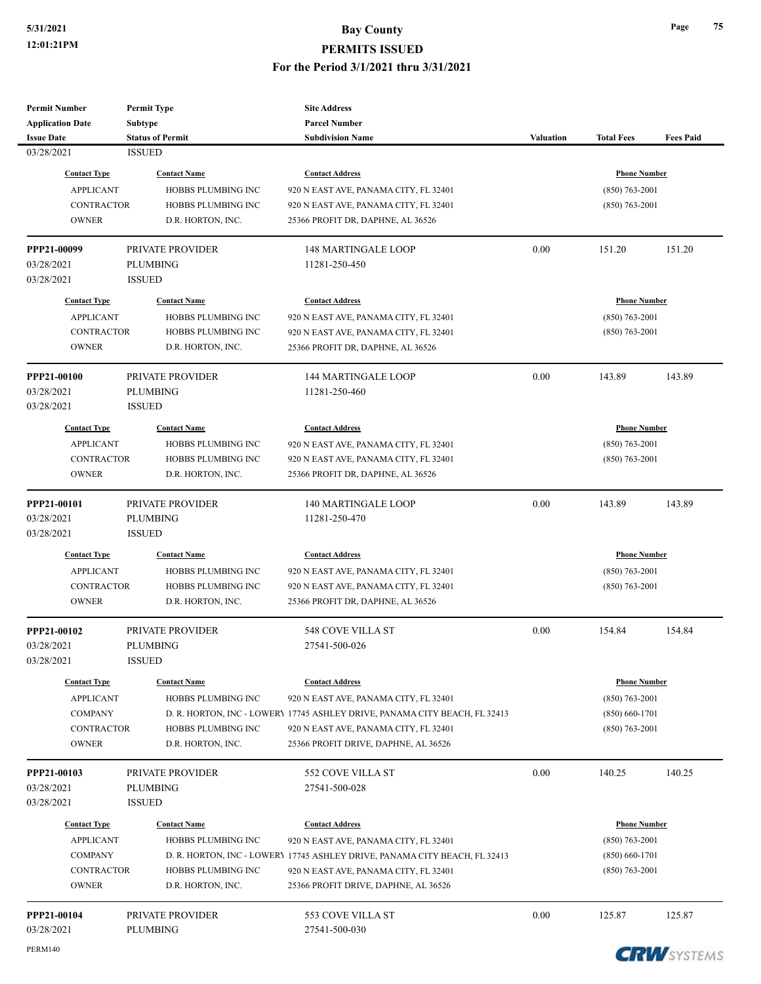| <b>Permit Number</b>         | <b>Permit Type</b>        | <b>Site Address</b>                                                           |                  |                                        |                     |
|------------------------------|---------------------------|-------------------------------------------------------------------------------|------------------|----------------------------------------|---------------------|
| <b>Application Date</b>      | Subtype                   | <b>Parcel Number</b>                                                          |                  |                                        |                     |
| <b>Issue Date</b>            | <b>Status of Permit</b>   | <b>Subdivision Name</b>                                                       | <b>Valuation</b> | <b>Total Fees</b>                      | <b>Fees Paid</b>    |
| 03/28/2021                   | <b>ISSUED</b>             |                                                                               |                  |                                        |                     |
| <b>Contact Type</b>          | <b>Contact Name</b>       | <b>Contact Address</b>                                                        |                  | <b>Phone Number</b>                    |                     |
| <b>APPLICANT</b>             | HOBBS PLUMBING INC        | 920 N EAST AVE, PANAMA CITY, FL 32401                                         |                  | $(850) 763 - 2001$                     |                     |
| <b>CONTRACTOR</b>            | HOBBS PLUMBING INC        |                                                                               |                  | $(850)$ 763-2001                       |                     |
| <b>OWNER</b>                 | D.R. HORTON, INC.         | 920 N EAST AVE, PANAMA CITY, FL 32401<br>25366 PROFIT DR, DAPHNE, AL 36526    |                  |                                        |                     |
|                              |                           |                                                                               |                  |                                        |                     |
| PPP21-00099                  | PRIVATE PROVIDER          | <b>148 MARTINGALE LOOP</b>                                                    | 0.00             | 151.20                                 | 151.20              |
| 03/28/2021                   | <b>PLUMBING</b>           | 11281-250-450                                                                 |                  |                                        |                     |
| 03/28/2021                   | <b>ISSUED</b>             |                                                                               |                  |                                        |                     |
| <b>Contact Type</b>          | <b>Contact Name</b>       | <b>Contact Address</b>                                                        |                  | <b>Phone Number</b>                    |                     |
| <b>APPLICANT</b>             | HOBBS PLUMBING INC        | 920 N EAST AVE, PANAMA CITY, FL 32401                                         |                  | $(850) 763 - 2001$                     |                     |
| <b>CONTRACTOR</b>            | HOBBS PLUMBING INC        | 920 N EAST AVE, PANAMA CITY, FL 32401                                         |                  | $(850) 763 - 2001$                     |                     |
| <b>OWNER</b>                 | D.R. HORTON, INC.         | 25366 PROFIT DR, DAPHNE, AL 36526                                             |                  |                                        |                     |
| PPP21-00100                  | PRIVATE PROVIDER          | <b>144 MARTINGALE LOOP</b>                                                    | 0.00             | 143.89                                 | 143.89              |
| 03/28/2021                   | <b>PLUMBING</b>           | 11281-250-460                                                                 |                  |                                        |                     |
| 03/28/2021                   | <b>ISSUED</b>             |                                                                               |                  |                                        |                     |
| <b>Contact Type</b>          | <b>Contact Name</b>       | <b>Contact Address</b>                                                        |                  | <b>Phone Number</b>                    |                     |
| <b>APPLICANT</b>             | HOBBS PLUMBING INC        | 920 N EAST AVE, PANAMA CITY, FL 32401                                         |                  | $(850)$ 763-2001                       |                     |
| <b>CONTRACTOR</b>            | HOBBS PLUMBING INC        | 920 N EAST AVE, PANAMA CITY, FL 32401                                         |                  | $(850)$ 763-2001                       |                     |
| <b>OWNER</b>                 | D.R. HORTON, INC.         | 25366 PROFIT DR, DAPHNE, AL 36526                                             |                  |                                        |                     |
|                              |                           |                                                                               |                  |                                        |                     |
| PPP21-00101                  | PRIVATE PROVIDER          | <b>140 MARTINGALE LOOP</b>                                                    | 0.00             | 143.89                                 | 143.89              |
| 03/28/2021                   | <b>PLUMBING</b>           | 11281-250-470                                                                 |                  |                                        |                     |
| 03/28/2021                   | <b>ISSUED</b>             |                                                                               |                  |                                        |                     |
| <b>Contact Type</b>          | <b>Contact Name</b>       | <b>Contact Address</b>                                                        |                  | <b>Phone Number</b>                    |                     |
| <b>APPLICANT</b>             | HOBBS PLUMBING INC        | 920 N EAST AVE, PANAMA CITY, FL 32401                                         |                  | $(850) 763 - 2001$                     |                     |
| <b>CONTRACTOR</b>            | <b>HOBBS PLUMBING INC</b> | 920 N EAST AVE, PANAMA CITY, FL 32401                                         |                  | $(850)$ 763-2001                       |                     |
| <b>OWNER</b>                 | D.R. HORTON, INC.         | 25366 PROFIT DR, DAPHNE, AL 36526                                             |                  |                                        |                     |
| PPP21-00102                  | PRIVATE PROVIDER          | 548 COVE VILLA ST                                                             | 0.00             | 154.84                                 | 154.84              |
| 03/28/2021                   | PLUMBING                  | 27541-500-026                                                                 |                  |                                        |                     |
| 03/28/2021                   | <b>ISSUED</b>             |                                                                               |                  |                                        |                     |
| <b>Contact Type</b>          | <b>Contact Name</b>       | <b>Contact Address</b>                                                        |                  | <b>Phone Number</b>                    |                     |
|                              |                           | 920 N EAST AVE, PANAMA CITY, FL 32401                                         |                  |                                        |                     |
| <b>APPLICANT</b>             | HOBBS PLUMBING INC        |                                                                               |                  | $(850)$ 763-2001                       |                     |
| <b>COMPANY</b><br>CONTRACTOR | HOBBS PLUMBING INC        | D. R. HORTON, INC - LOWERY 17745 ASHLEY DRIVE, PANAMA CITY BEACH, FL 32413    |                  | $(850) 660 - 1701$<br>$(850)$ 763-2001 |                     |
| <b>OWNER</b>                 | D.R. HORTON, INC.         | 920 N EAST AVE, PANAMA CITY, FL 32401<br>25366 PROFIT DRIVE, DAPHNE, AL 36526 |                  |                                        |                     |
|                              |                           |                                                                               |                  |                                        |                     |
| PPP21-00103                  | PRIVATE PROVIDER          | 552 COVE VILLA ST                                                             | 0.00             | 140.25                                 | 140.25              |
| 03/28/2021                   | <b>PLUMBING</b>           | 27541-500-028                                                                 |                  |                                        |                     |
| 03/28/2021                   | <b>ISSUED</b>             |                                                                               |                  |                                        |                     |
| <b>Contact Type</b>          | <b>Contact Name</b>       | <b>Contact Address</b>                                                        |                  | <b>Phone Number</b>                    |                     |
| <b>APPLICANT</b>             | HOBBS PLUMBING INC        | 920 N EAST AVE, PANAMA CITY, FL 32401                                         |                  | $(850)$ 763-2001                       |                     |
| <b>COMPANY</b>               |                           | D. R. HORTON, INC - LOWERY 17745 ASHLEY DRIVE, PANAMA CITY BEACH, FL 32413    |                  | $(850) 660 - 1701$                     |                     |
| <b>CONTRACTOR</b>            | HOBBS PLUMBING INC        | 920 N EAST AVE, PANAMA CITY, FL 32401                                         |                  | $(850)$ 763-2001                       |                     |
| <b>OWNER</b>                 | D.R. HORTON, INC.         | 25366 PROFIT DRIVE, DAPHNE, AL 36526                                          |                  |                                        |                     |
| PPP21-00104                  | PRIVATE PROVIDER          | 553 COVE VILLA ST                                                             | 0.00             | 125.87                                 | 125.87              |
| 03/28/2021                   | <b>PLUMBING</b>           | 27541-500-030                                                                 |                  |                                        |                     |
| <b>PERM140</b>               |                           |                                                                               |                  |                                        | <b>CRUI</b> CVETEME |
|                              |                           |                                                                               |                  |                                        |                     |

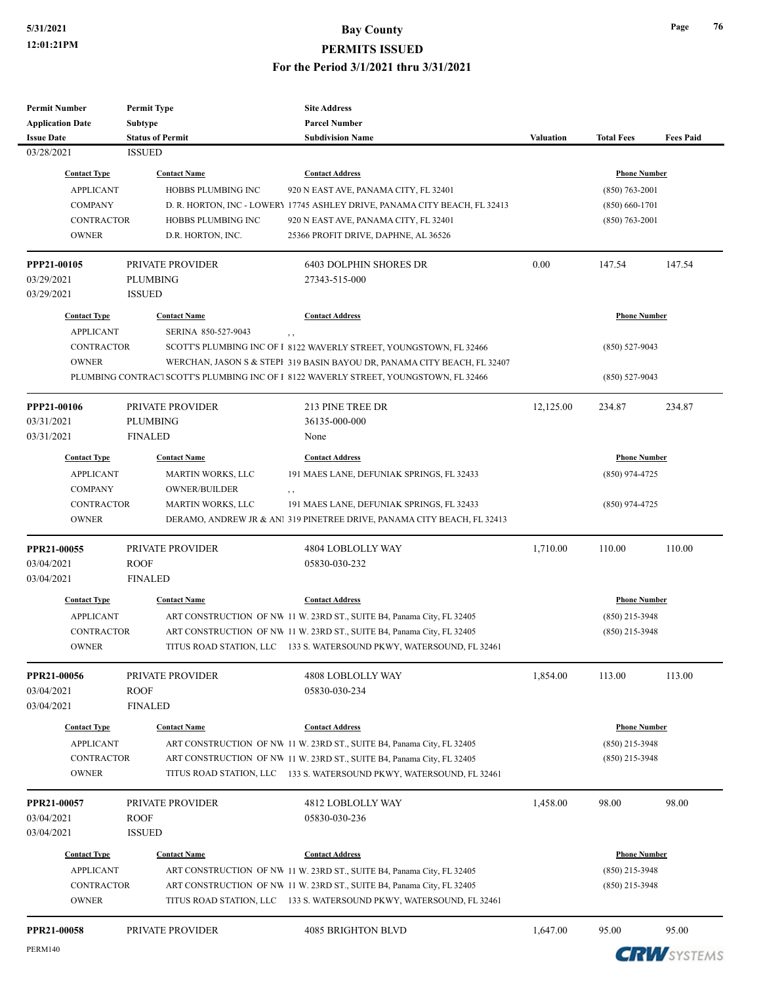| <b>Permit Number</b>    | <b>Permit Type</b>       | <b>Site Address</b>                                                                   |                  |                     |                  |
|-------------------------|--------------------------|---------------------------------------------------------------------------------------|------------------|---------------------|------------------|
| <b>Application Date</b> | Subtype                  | <b>Parcel Number</b>                                                                  |                  |                     |                  |
| <b>Issue Date</b>       | <b>Status of Permit</b>  | <b>Subdivision Name</b>                                                               | <b>Valuation</b> | <b>Total Fees</b>   | <b>Fees Paid</b> |
| 03/28/2021              | <b>ISSUED</b>            |                                                                                       |                  |                     |                  |
| <b>Contact Type</b>     | <b>Contact Name</b>      | <b>Contact Address</b>                                                                |                  | <b>Phone Number</b> |                  |
| <b>APPLICANT</b>        | HOBBS PLUMBING INC       | 920 N EAST AVE, PANAMA CITY, FL 32401                                                 |                  | $(850)$ 763-2001    |                  |
| <b>COMPANY</b>          |                          | D. R. HORTON, INC - LOWERY 17745 ASHLEY DRIVE, PANAMA CITY BEACH, FL 32413            |                  | $(850) 660 - 1701$  |                  |
| <b>CONTRACTOR</b>       | HOBBS PLUMBING INC       | 920 N EAST AVE, PANAMA CITY, FL 32401                                                 |                  | $(850)$ 763-2001    |                  |
| <b>OWNER</b>            | D.R. HORTON, INC.        | 25366 PROFIT DRIVE, DAPHNE, AL 36526                                                  |                  |                     |                  |
| PPP21-00105             | PRIVATE PROVIDER         | <b>6403 DOLPHIN SHORES DR</b>                                                         | 0.00             | 147.54              | 147.54           |
| 03/29/2021              | PLUMBING                 | 27343-515-000                                                                         |                  |                     |                  |
| 03/29/2021              | <b>ISSUED</b>            |                                                                                       |                  |                     |                  |
| <b>Contact Type</b>     | <b>Contact Name</b>      | <b>Contact Address</b>                                                                |                  | <b>Phone Number</b> |                  |
| <b>APPLICANT</b>        | SERINA 850-527-9043      |                                                                                       |                  |                     |                  |
| <b>CONTRACTOR</b>       |                          | SCOTT'S PLUMBING INC OF I 8122 WAVERLY STREET, YOUNGSTOWN, FL 32466                   |                  | $(850)$ 527-9043    |                  |
| <b>OWNER</b>            |                          | WERCHAN, JASON S & STEPI 319 BASIN BAYOU DR, PANAMA CITY BEACH, FL 32407              |                  |                     |                  |
|                         |                          | PLUMBING CONTRACT SCOTT'S PLUMBING INC OF I 8122 WAVERLY STREET, YOUNGSTOWN, FL 32466 |                  | $(850)$ 527-9043    |                  |
| PPP21-00106             | PRIVATE PROVIDER         | 213 PINE TREE DR                                                                      | 12,125.00        | 234.87              | 234.87           |
| 03/31/2021              | PLUMBING                 | 36135-000-000                                                                         |                  |                     |                  |
| 03/31/2021              | <b>FINALED</b>           | None                                                                                  |                  |                     |                  |
| <b>Contact Type</b>     | <b>Contact Name</b>      | <b>Contact Address</b>                                                                |                  | <b>Phone Number</b> |                  |
| <b>APPLICANT</b>        | MARTIN WORKS, LLC        | 191 MAES LANE, DEFUNIAK SPRINGS, FL 32433                                             |                  | $(850)$ 974-4725    |                  |
| <b>COMPANY</b>          | <b>OWNER/BUILDER</b>     | , ,                                                                                   |                  |                     |                  |
| <b>CONTRACTOR</b>       | <b>MARTIN WORKS, LLC</b> | 191 MAES LANE, DEFUNIAK SPRINGS, FL 32433                                             |                  | $(850)$ 974-4725    |                  |
| <b>OWNER</b>            |                          | DERAMO, ANDREW JR & AN! 319 PINETREE DRIVE, PANAMA CITY BEACH, FL 32413               |                  |                     |                  |
| PPR21-00055             | PRIVATE PROVIDER         | 4804 LOBLOLLY WAY                                                                     | 1,710.00         | 110.00              | 110.00           |
| 03/04/2021              | <b>ROOF</b>              | 05830-030-232                                                                         |                  |                     |                  |
| 03/04/2021              | <b>FINALED</b>           |                                                                                       |                  |                     |                  |
| <b>Contact Type</b>     | <b>Contact Name</b>      | <b>Contact Address</b>                                                                |                  | <b>Phone Number</b> |                  |
| <b>APPLICANT</b>        |                          | ART CONSTRUCTION OF NW 11 W. 23RD ST., SUITE B4, Panama City, FL 32405                |                  | $(850)$ 215-3948    |                  |
| <b>CONTRACTOR</b>       |                          | ART CONSTRUCTION OF NW 11 W. 23RD ST., SUITE B4, Panama City, FL 32405                |                  | $(850)$ 215-3948    |                  |
| <b>OWNER</b>            |                          | TITUS ROAD STATION, LLC 133 S. WATERSOUND PKWY, WATERSOUND, FL 32461                  |                  |                     |                  |
| PPR21-00056             | PRIVATE PROVIDER         | 4808 LOBLOLLY WAY                                                                     | 1,854.00         | 113.00              | 113.00           |
| 03/04/2021              | <b>ROOF</b>              | 05830-030-234                                                                         |                  |                     |                  |
| 03/04/2021              | <b>FINALED</b>           |                                                                                       |                  |                     |                  |
| <b>Contact Type</b>     | <b>Contact Name</b>      | <b>Contact Address</b>                                                                |                  | <b>Phone Number</b> |                  |
| <b>APPLICANT</b>        |                          | ART CONSTRUCTION OF NW 11 W. 23RD ST., SUITE B4, Panama City, FL 32405                |                  | $(850)$ 215-3948    |                  |
| <b>CONTRACTOR</b>       |                          | ART CONSTRUCTION OF NW 11 W. 23RD ST., SUITE B4, Panama City, FL 32405                |                  | $(850)$ 215-3948    |                  |
| <b>OWNER</b>            |                          | TITUS ROAD STATION, LLC 133 S. WATERSOUND PKWY, WATERSOUND, FL 32461                  |                  |                     |                  |
| PPR21-00057             | PRIVATE PROVIDER         | 4812 LOBLOLLY WAY                                                                     | 1,458.00         | 98.00               | 98.00            |
| 03/04/2021              | ROOF                     | 05830-030-236                                                                         |                  |                     |                  |
| 03/04/2021              | <b>ISSUED</b>            |                                                                                       |                  |                     |                  |
| <b>Contact Type</b>     | <b>Contact Name</b>      | <b>Contact Address</b>                                                                |                  | <b>Phone Number</b> |                  |
|                         |                          | ART CONSTRUCTION OF NW 11 W. 23RD ST., SUITE B4, Panama City, FL 32405                |                  | $(850)$ 215-3948    |                  |
| <b>APPLICANT</b>        |                          |                                                                                       |                  |                     |                  |
| <b>CONTRACTOR</b>       |                          | ART CONSTRUCTION OF NW 11 W. 23RD ST., SUITE B4, Panama City, FL 32405                |                  | $(850)$ 215-3948    |                  |
| <b>OWNER</b>            |                          | TITUS ROAD STATION, LLC 133 S. WATERSOUND PKWY, WATERSOUND, FL 32461                  |                  |                     |                  |
| PPR21-00058             | PRIVATE PROVIDER         | <b>4085 BRIGHTON BLVD</b>                                                             | 1,647.00         | 95.00               | 95.00            |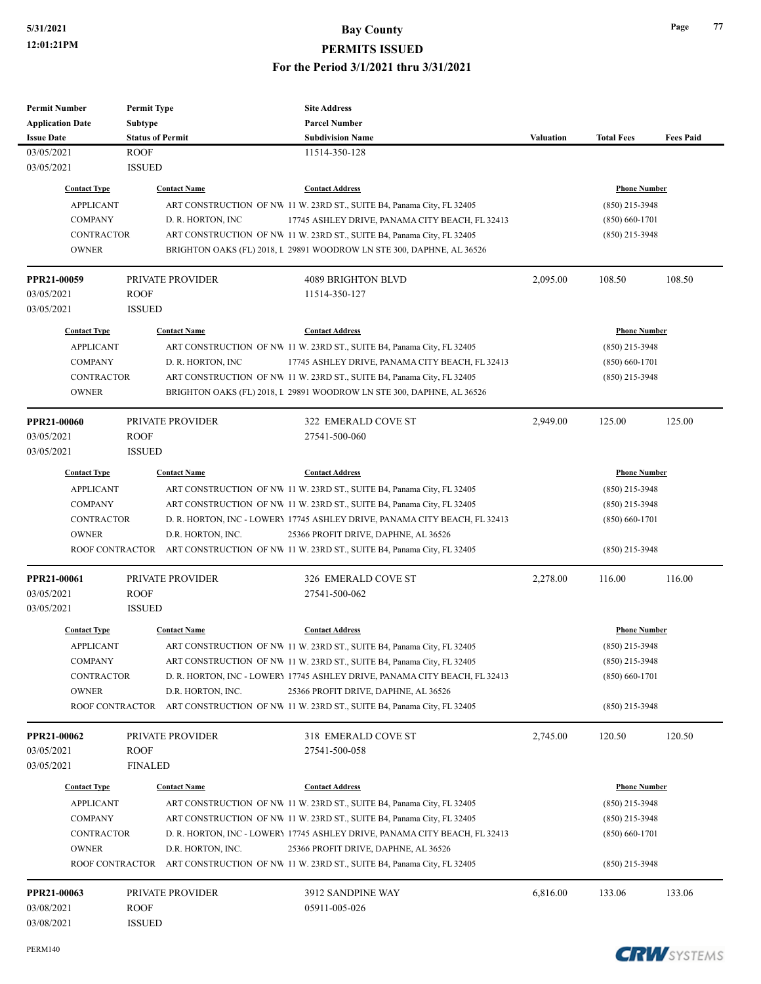# **5/31/2021 Bay County**

**PERMITS ISSUED**

#### **For the Period 3/1/2021 thru 3/31/2021**

| <b>Permit Number</b>     | <b>Permit Type</b>           |                   | <b>Site Address</b>                                                                    |           |                     |                  |
|--------------------------|------------------------------|-------------------|----------------------------------------------------------------------------------------|-----------|---------------------|------------------|
| <b>Application Date</b>  | Subtype                      |                   | <b>Parcel Number</b>                                                                   |           |                     |                  |
| <b>Issue Date</b>        | <b>Status of Permit</b>      |                   | <b>Subdivision Name</b>                                                                | Valuation | <b>Total Fees</b>   | <b>Fees Paid</b> |
| 03/05/2021<br>03/05/2021 | <b>ROOF</b><br><b>ISSUED</b> |                   | 11514-350-128                                                                          |           |                     |                  |
|                          |                              |                   |                                                                                        |           |                     |                  |
| <b>Contact Type</b>      | <b>Contact Name</b>          |                   | <b>Contact Address</b>                                                                 |           | <b>Phone Number</b> |                  |
| <b>APPLICANT</b>         |                              |                   | ART CONSTRUCTION OF NW 11 W. 23RD ST., SUITE B4, Panama City, FL 32405                 |           | $(850)$ 215-3948    |                  |
| <b>COMPANY</b>           |                              | D. R. HORTON, INC | 17745 ASHLEY DRIVE, PANAMA CITY BEACH, FL 32413                                        |           | $(850) 660 - 1701$  |                  |
| <b>CONTRACTOR</b>        |                              |                   | ART CONSTRUCTION OF NW 11 W. 23RD ST., SUITE B4, Panama City, FL 32405                 |           | $(850)$ 215-3948    |                  |
| <b>OWNER</b>             |                              |                   | BRIGHTON OAKS (FL) 2018, L 29891 WOODROW LN STE 300, DAPHNE, AL 36526                  |           |                     |                  |
| PPR21-00059              | PRIVATE PROVIDER             |                   | <b>4089 BRIGHTON BLVD</b>                                                              | 2,095.00  | 108.50              | 108.50           |
| 03/05/2021               | <b>ROOF</b>                  |                   | 11514-350-127                                                                          |           |                     |                  |
| 03/05/2021               | <b>ISSUED</b>                |                   |                                                                                        |           |                     |                  |
| <b>Contact Type</b>      | <b>Contact Name</b>          |                   | <b>Contact Address</b>                                                                 |           | <b>Phone Number</b> |                  |
| <b>APPLICANT</b>         |                              |                   | ART CONSTRUCTION OF NW 11 W. 23RD ST., SUITE B4, Panama City, FL 32405                 |           | $(850)$ 215-3948    |                  |
| <b>COMPANY</b>           |                              | D. R. HORTON, INC | 17745 ASHLEY DRIVE, PANAMA CITY BEACH, FL 32413                                        |           | $(850) 660 - 1701$  |                  |
| <b>CONTRACTOR</b>        |                              |                   | ART CONSTRUCTION OF NW 11 W. 23RD ST., SUITE B4, Panama City, FL 32405                 |           | $(850)$ 215-3948    |                  |
| <b>OWNER</b>             |                              |                   | BRIGHTON OAKS (FL) 2018, L 29891 WOODROW LN STE 300, DAPHNE, AL 36526                  |           |                     |                  |
|                          |                              |                   |                                                                                        |           |                     |                  |
| PPR21-00060              | PRIVATE PROVIDER             |                   | 322 EMERALD COVE ST                                                                    | 2,949.00  | 125.00              | 125.00           |
| 03/05/2021               | <b>ROOF</b>                  |                   | 27541-500-060                                                                          |           |                     |                  |
| 03/05/2021               | <b>ISSUED</b>                |                   |                                                                                        |           |                     |                  |
| <b>Contact Type</b>      | <b>Contact Name</b>          |                   | <b>Contact Address</b>                                                                 |           | <b>Phone Number</b> |                  |
| <b>APPLICANT</b>         |                              |                   | ART CONSTRUCTION OF NW 11 W. 23RD ST., SUITE B4, Panama City, FL 32405                 |           | $(850)$ 215-3948    |                  |
| <b>COMPANY</b>           |                              |                   | ART CONSTRUCTION OF NW 11 W. 23RD ST., SUITE B4, Panama City, FL 32405                 |           | $(850)$ 215-3948    |                  |
| <b>CONTRACTOR</b>        |                              |                   | D. R. HORTON, INC - LOWERY 17745 ASHLEY DRIVE, PANAMA CITY BEACH, FL 32413             |           | $(850) 660 - 1701$  |                  |
| <b>OWNER</b>             |                              | D.R. HORTON, INC. | 25366 PROFIT DRIVE, DAPHNE, AL 36526                                                   |           |                     |                  |
|                          |                              |                   | ROOF CONTRACTOR ART CONSTRUCTION OF NW 11 W. 23RD ST., SUITE B4, Panama City, FL 32405 |           | $(850)$ 215-3948    |                  |
| PPR21-00061              | PRIVATE PROVIDER             |                   | 326 EMERALD COVE ST                                                                    | 2,278.00  | 116.00              | 116.00           |
| 03/05/2021               | <b>ROOF</b>                  |                   | 27541-500-062                                                                          |           |                     |                  |
| 03/05/2021               | <b>ISSUED</b>                |                   |                                                                                        |           |                     |                  |
|                          |                              |                   |                                                                                        |           |                     |                  |
| <b>Contact Type</b>      | <b>Contact Name</b>          |                   | <b>Contact Address</b>                                                                 |           | <b>Phone Number</b> |                  |
| <b>APPLICANT</b>         |                              |                   | ART CONSTRUCTION OF NW 11 W. 23RD ST., SUITE B4, Panama City, FL 32405                 |           | $(850)$ 215-3948    |                  |
| <b>COMPANY</b>           |                              |                   | ART CONSTRUCTION OF NW 11 W. 23RD ST., SUITE B4, Panama City, FL 32405                 |           | (850) 215-3948      |                  |
| CONTRACTOR               |                              |                   | D. R. HORTON, INC - LOWERY 17745 ASHLEY DRIVE, PANAMA CITY BEACH, FL 32413             |           | $(850) 660 - 1701$  |                  |
| <b>OWNER</b>             |                              | D.R. HORTON, INC. | 25366 PROFIT DRIVE, DAPHNE, AL 36526                                                   |           |                     |                  |
|                          |                              |                   | ROOF CONTRACTOR ART CONSTRUCTION OF NW 11 W. 23RD ST., SUITE B4, Panama City, FL 32405 |           | $(850)$ 215-3948    |                  |
| PPR21-00062              | PRIVATE PROVIDER             |                   | 318 EMERALD COVE ST                                                                    | 2,745.00  | 120.50              | 120.50           |
| 03/05/2021               | <b>ROOF</b>                  |                   | 27541-500-058                                                                          |           |                     |                  |
| 03/05/2021               | <b>FINALED</b>               |                   |                                                                                        |           |                     |                  |
| <b>Contact Type</b>      | <b>Contact Name</b>          |                   | <b>Contact Address</b>                                                                 |           | <b>Phone Number</b> |                  |
| <b>APPLICANT</b>         |                              |                   | ART CONSTRUCTION OF NW 11 W. 23RD ST., SUITE B4, Panama City, FL 32405                 |           | $(850)$ 215-3948    |                  |
| <b>COMPANY</b>           |                              |                   | ART CONSTRUCTION OF NW 11 W. 23RD ST., SUITE B4, Panama City, FL 32405                 |           | $(850)$ 215-3948    |                  |
| <b>CONTRACTOR</b>        |                              |                   | D. R. HORTON, INC - LOWERY 17745 ASHLEY DRIVE, PANAMA CITY BEACH, FL 32413             |           | $(850)$ 660-1701    |                  |
| <b>OWNER</b>             |                              | D.R. HORTON, INC. | 25366 PROFIT DRIVE, DAPHNE, AL 36526                                                   |           |                     |                  |
|                          |                              |                   | ROOF CONTRACTOR ART CONSTRUCTION OF NW 11 W. 23RD ST., SUITE B4, Panama City, FL 32405 |           | $(850)$ 215-3948    |                  |
|                          |                              |                   |                                                                                        |           |                     |                  |
| PPR21-00063              | PRIVATE PROVIDER             |                   | 3912 SANDPINE WAY                                                                      | 6,816.00  | 133.06              | 133.06           |
| 03/08/2021               | <b>ROOF</b>                  |                   | 05911-005-026                                                                          |           |                     |                  |
| 03/08/2021               | <b>ISSUED</b>                |                   |                                                                                        |           |                     |                  |



**Page 77**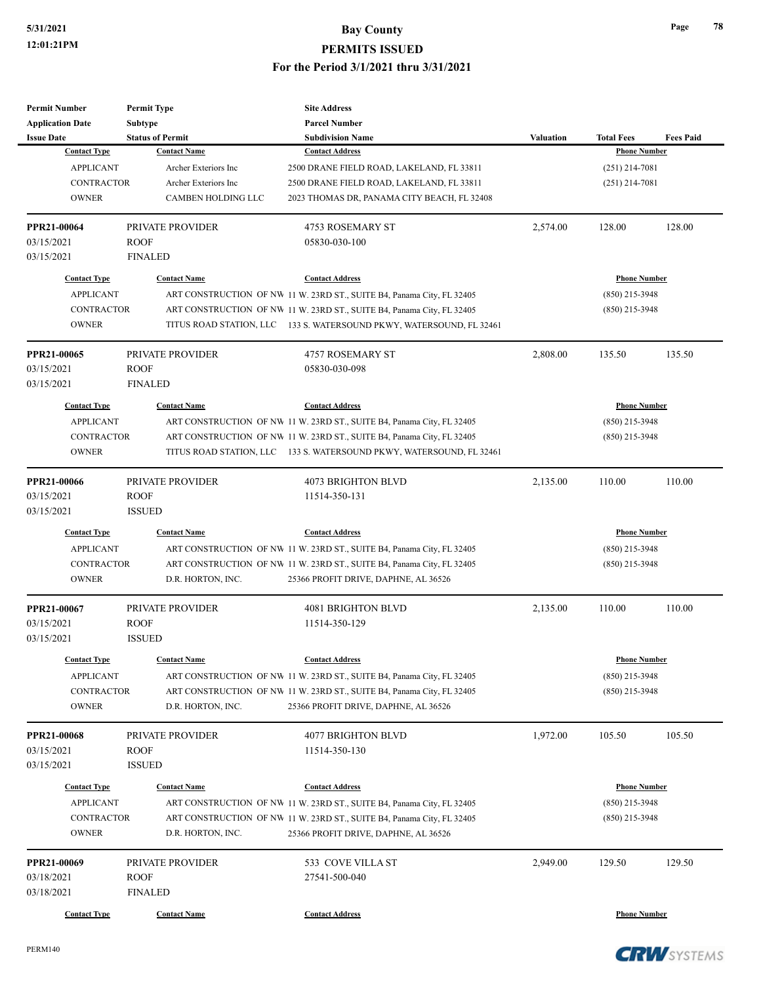| <b>Permit Number</b>    | <b>Permit Type</b>        | <b>Site Address</b>                                                    |                  |                     |                  |
|-------------------------|---------------------------|------------------------------------------------------------------------|------------------|---------------------|------------------|
| <b>Application Date</b> | Subtype                   | <b>Parcel Number</b>                                                   |                  |                     |                  |
| <b>Issue Date</b>       | <b>Status of Permit</b>   | <b>Subdivision Name</b>                                                | <b>Valuation</b> | <b>Total Fees</b>   | <b>Fees Paid</b> |
| <b>Contact Type</b>     | <b>Contact Name</b>       | <b>Contact Address</b>                                                 |                  | <b>Phone Number</b> |                  |
| <b>APPLICANT</b>        | Archer Exteriors Inc      | 2500 DRANE FIELD ROAD, LAKELAND, FL 33811                              |                  | $(251)$ 214-7081    |                  |
| <b>CONTRACTOR</b>       | Archer Exteriors Inc      | 2500 DRANE FIELD ROAD, LAKELAND, FL 33811                              |                  | $(251)$ 214-7081    |                  |
| <b>OWNER</b>            | <b>CAMBEN HOLDING LLC</b> | 2023 THOMAS DR, PANAMA CITY BEACH, FL 32408                            |                  |                     |                  |
| PPR21-00064             | PRIVATE PROVIDER          | 4753 ROSEMARY ST                                                       | 2,574.00         | 128.00              | 128.00           |
| 03/15/2021              | <b>ROOF</b>               | 05830-030-100                                                          |                  |                     |                  |
| 03/15/2021              | <b>FINALED</b>            |                                                                        |                  |                     |                  |
| <b>Contact Type</b>     | <b>Contact Name</b>       | <b>Contact Address</b>                                                 |                  | <b>Phone Number</b> |                  |
| <b>APPLICANT</b>        |                           | ART CONSTRUCTION OF NW 11 W. 23RD ST., SUITE B4, Panama City, FL 32405 |                  | $(850)$ 215-3948    |                  |
| <b>CONTRACTOR</b>       |                           | ART CONSTRUCTION OF NW 11 W. 23RD ST., SUITE B4, Panama City, FL 32405 |                  | $(850)$ 215-3948    |                  |
| <b>OWNER</b>            |                           | TITUS ROAD STATION, LLC 133 S. WATERSOUND PKWY, WATERSOUND, FL 32461   |                  |                     |                  |
| PPR21-00065             | PRIVATE PROVIDER          | 4757 ROSEMARY ST                                                       | 2,808.00         | 135.50              | 135.50           |
| 03/15/2021              | <b>ROOF</b>               | 05830-030-098                                                          |                  |                     |                  |
| 03/15/2021              | <b>FINALED</b>            |                                                                        |                  |                     |                  |
| <b>Contact Type</b>     | <b>Contact Name</b>       | <b>Contact Address</b>                                                 |                  | <b>Phone Number</b> |                  |
| <b>APPLICANT</b>        |                           | ART CONSTRUCTION OF NW 11 W. 23RD ST., SUITE B4, Panama City, FL 32405 |                  | $(850)$ 215-3948    |                  |
| CONTRACTOR              |                           | ART CONSTRUCTION OF NW 11 W. 23RD ST., SUITE B4, Panama City, FL 32405 |                  | (850) 215-3948      |                  |
| <b>OWNER</b>            |                           | TITUS ROAD STATION, LLC 133 S. WATERSOUND PKWY, WATERSOUND, FL 32461   |                  |                     |                  |
| PPR21-00066             | PRIVATE PROVIDER          | 4073 BRIGHTON BLVD                                                     | 2,135.00         | 110.00              | 110.00           |
| 03/15/2021              | <b>ROOF</b>               | 11514-350-131                                                          |                  |                     |                  |
| 03/15/2021              | <b>ISSUED</b>             |                                                                        |                  |                     |                  |
| <b>Contact Type</b>     | <b>Contact Name</b>       | <b>Contact Address</b>                                                 |                  | <b>Phone Number</b> |                  |
| <b>APPLICANT</b>        |                           | ART CONSTRUCTION OF NW 11 W. 23RD ST., SUITE B4, Panama City, FL 32405 |                  | (850) 215-3948      |                  |
| <b>CONTRACTOR</b>       |                           | ART CONSTRUCTION OF NW 11 W. 23RD ST., SUITE B4, Panama City, FL 32405 |                  | $(850)$ 215-3948    |                  |
| <b>OWNER</b>            | D.R. HORTON, INC.         | 25366 PROFIT DRIVE, DAPHNE, AL 36526                                   |                  |                     |                  |
| PPR21-00067             | PRIVATE PROVIDER          | 4081 BRIGHTON BLVD                                                     | 2,135.00         | 110.00              | 110.00           |
| 03/15/2021              | <b>ROOF</b>               | 11514-350-129                                                          |                  |                     |                  |
| 03/15/2021              | <b>ISSUED</b>             |                                                                        |                  |                     |                  |
| <b>Contact Type</b>     | <b>Contact Name</b>       | <b>Contact Address</b>                                                 |                  | <b>Phone Number</b> |                  |
| <b>APPLICANT</b>        |                           | ART CONSTRUCTION OF NW 11 W. 23RD ST., SUITE B4, Panama City, FL 32405 |                  | $(850)$ 215-3948    |                  |
| CONTRACTOR              |                           | ART CONSTRUCTION OF NW 11 W. 23RD ST., SUITE B4, Panama City, FL 32405 |                  | (850) 215-3948      |                  |
| <b>OWNER</b>            | D.R. HORTON, INC.         | 25366 PROFIT DRIVE, DAPHNE, AL 36526                                   |                  |                     |                  |
| PPR21-00068             | PRIVATE PROVIDER          | <b>4077 BRIGHTON BLVD</b>                                              | 1,972.00         | 105.50              | 105.50           |
| 03/15/2021              | ROOF                      | 11514-350-130                                                          |                  |                     |                  |
| 03/15/2021              | <b>ISSUED</b>             |                                                                        |                  |                     |                  |
| <b>Contact Type</b>     | <b>Contact Name</b>       | <b>Contact Address</b>                                                 |                  | <b>Phone Number</b> |                  |
| <b>APPLICANT</b>        |                           | ART CONSTRUCTION OF NW 11 W. 23RD ST., SUITE B4, Panama City, FL 32405 |                  | (850) 215-3948      |                  |
| CONTRACTOR              |                           | ART CONSTRUCTION OF NW 11 W. 23RD ST., SUITE B4, Panama City, FL 32405 |                  | $(850)$ 215-3948    |                  |
| <b>OWNER</b>            | D.R. HORTON, INC.         | 25366 PROFIT DRIVE, DAPHNE, AL 36526                                   |                  |                     |                  |
| PPR21-00069             | PRIVATE PROVIDER          | 533 COVE VILLA ST                                                      | 2,949.00         | 129.50              | 129.50           |
| 03/18/2021              | <b>ROOF</b>               | 27541-500-040                                                          |                  |                     |                  |
| 03/18/2021              | <b>FINALED</b>            |                                                                        |                  |                     |                  |
| <b>Contact Type</b>     | <b>Contact Name</b>       | <b>Contact Address</b>                                                 |                  | <b>Phone Number</b> |                  |

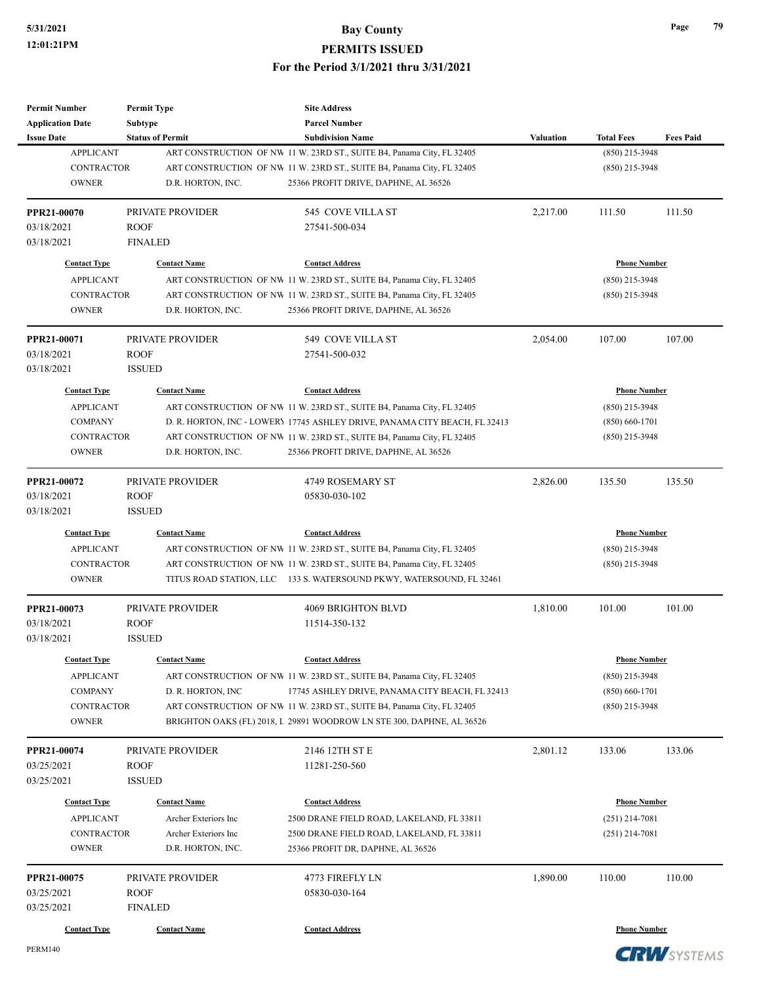| <b>Permit Number</b><br><b>Application Date</b> | <b>Permit Type</b><br><b>Subtype</b> | <b>Site Address</b><br><b>Parcel Number</b>                                |           |                     |                  |
|-------------------------------------------------|--------------------------------------|----------------------------------------------------------------------------|-----------|---------------------|------------------|
| <b>Issue Date</b>                               | <b>Status of Permit</b>              | <b>Subdivision Name</b>                                                    | Valuation | <b>Total Fees</b>   | <b>Fees Paid</b> |
| <b>APPLICANT</b>                                |                                      | ART CONSTRUCTION OF NW 11 W. 23RD ST., SUITE B4, Panama City, FL 32405     |           | $(850)$ 215-3948    |                  |
| <b>CONTRACTOR</b>                               |                                      | ART CONSTRUCTION OF NW 11 W. 23RD ST., SUITE B4, Panama City, FL 32405     |           | $(850)$ 215-3948    |                  |
| <b>OWNER</b>                                    | D.R. HORTON, INC.                    | 25366 PROFIT DRIVE, DAPHNE, AL 36526                                       |           |                     |                  |
| PPR21-00070                                     | PRIVATE PROVIDER                     | 545 COVE VILLA ST                                                          | 2,217.00  | 111.50              | 111.50           |
| 03/18/2021                                      | <b>ROOF</b>                          | 27541-500-034                                                              |           |                     |                  |
| 03/18/2021                                      | <b>FINALED</b>                       |                                                                            |           |                     |                  |
| <b>Contact Type</b>                             | <b>Contact Name</b>                  | <b>Contact Address</b>                                                     |           | <b>Phone Number</b> |                  |
| <b>APPLICANT</b>                                |                                      | ART CONSTRUCTION OF NW 11 W. 23RD ST., SUITE B4, Panama City, FL 32405     |           | $(850)$ 215-3948    |                  |
| <b>CONTRACTOR</b>                               |                                      | ART CONSTRUCTION OF NW 11 W. 23RD ST., SUITE B4, Panama City, FL 32405     |           | $(850)$ 215-3948    |                  |
| <b>OWNER</b>                                    | D.R. HORTON, INC.                    | 25366 PROFIT DRIVE, DAPHNE, AL 36526                                       |           |                     |                  |
| PPR21-00071                                     | PRIVATE PROVIDER                     | 549 COVE VILLA ST                                                          | 2,054.00  | 107.00              | 107.00           |
| 03/18/2021                                      | <b>ROOF</b>                          | 27541-500-032                                                              |           |                     |                  |
| 03/18/2021                                      | <b>ISSUED</b>                        |                                                                            |           |                     |                  |
| <b>Contact Type</b>                             | <b>Contact Name</b>                  | <b>Contact Address</b>                                                     |           | <b>Phone Number</b> |                  |
| <b>APPLICANT</b>                                |                                      | ART CONSTRUCTION OF NW 11 W. 23RD ST., SUITE B4, Panama City, FL 32405     |           | (850) 215-3948      |                  |
| <b>COMPANY</b>                                  |                                      | D. R. HORTON, INC - LOWERY 17745 ASHLEY DRIVE, PANAMA CITY BEACH, FL 32413 |           | $(850) 660 - 1701$  |                  |
| <b>CONTRACTOR</b>                               |                                      | ART CONSTRUCTION OF NW 11 W. 23RD ST., SUITE B4, Panama City, FL 32405     |           | $(850)$ 215-3948    |                  |
| <b>OWNER</b>                                    | D.R. HORTON, INC.                    | 25366 PROFIT DRIVE, DAPHNE, AL 36526                                       |           |                     |                  |
| PPR21-00072                                     | PRIVATE PROVIDER                     | 4749 ROSEMARY ST                                                           | 2,826.00  | 135.50              | 135.50           |
| 03/18/2021                                      | <b>ROOF</b>                          | 05830-030-102                                                              |           |                     |                  |
| 03/18/2021                                      | <b>ISSUED</b>                        |                                                                            |           |                     |                  |
| <b>Contact Type</b>                             | <b>Contact Name</b>                  | <b>Contact Address</b>                                                     |           | <b>Phone Number</b> |                  |
| <b>APPLICANT</b>                                |                                      | ART CONSTRUCTION OF NW 11 W. 23RD ST., SUITE B4, Panama City, FL 32405     |           | (850) 215-3948      |                  |
| <b>CONTRACTOR</b>                               |                                      | ART CONSTRUCTION OF NW 11 W. 23RD ST., SUITE B4, Panama City, FL 32405     |           | $(850)$ 215-3948    |                  |
| <b>OWNER</b>                                    |                                      | TITUS ROAD STATION, LLC 133 S. WATERSOUND PKWY, WATERSOUND, FL 32461       |           |                     |                  |
| PPR21-00073                                     | PRIVATE PROVIDER                     | <b>4069 BRIGHTON BLVD</b>                                                  | 1,810.00  | 101.00              | 101.00           |
| 03/18/2021                                      | <b>ROOF</b>                          | 11514-350-132                                                              |           |                     |                  |
| 03/18/2021                                      | <b>ISSUED</b>                        |                                                                            |           |                     |                  |
| <b>Contact Type</b>                             | <b>Contact Name</b>                  | <b>Contact Address</b>                                                     |           | <b>Phone Number</b> |                  |
| <b>APPLICANT</b>                                |                                      | ART CONSTRUCTION OF NW 11 W. 23RD ST., SUITE B4, Panama City, FL 32405     |           | $(850)$ 215-3948    |                  |
| <b>COMPANY</b>                                  | D. R. HORTON, INC                    | 17745 ASHLEY DRIVE, PANAMA CITY BEACH, FL 32413                            |           | $(850) 660 - 1701$  |                  |
| CONTRACTOR                                      |                                      | ART CONSTRUCTION OF NW 11 W. 23RD ST., SUITE B4, Panama City, FL 32405     |           | $(850)$ 215-3948    |                  |
| <b>OWNER</b>                                    |                                      | BRIGHTON OAKS (FL) 2018, L 29891 WOODROW LN STE 300, DAPHNE, AL 36526      |           |                     |                  |
| PPR21-00074                                     | PRIVATE PROVIDER                     | 2146 12TH ST E                                                             | 2,801.12  | 133.06              | 133.06           |
| 03/25/2021                                      | <b>ROOF</b>                          | 11281-250-560                                                              |           |                     |                  |
| 03/25/2021                                      | <b>ISSUED</b>                        |                                                                            |           |                     |                  |
| <b>Contact Type</b>                             | <b>Contact Name</b>                  | <b>Contact Address</b>                                                     |           | <b>Phone Number</b> |                  |
| <b>APPLICANT</b>                                | Archer Exteriors Inc                 | 2500 DRANE FIELD ROAD, LAKELAND, FL 33811                                  |           | $(251)$ 214-7081    |                  |
| CONTRACTOR                                      | Archer Exteriors Inc                 | 2500 DRANE FIELD ROAD, LAKELAND, FL 33811                                  |           | $(251)$ 214-7081    |                  |
| <b>OWNER</b>                                    | D.R. HORTON, INC.                    | 25366 PROFIT DR, DAPHNE, AL 36526                                          |           |                     |                  |
| PPR21-00075                                     | PRIVATE PROVIDER                     | 4773 FIREFLY LN                                                            | 1,890.00  | 110.00              | 110.00           |
| 03/25/2021                                      | <b>ROOF</b>                          | 05830-030-164                                                              |           |                     |                  |
| 03/25/2021                                      | <b>FINALED</b>                       |                                                                            |           |                     |                  |
| <b>Contact Type</b>                             | <b>Contact Name</b>                  | <b>Contact Address</b>                                                     |           | <b>Phone Number</b> |                  |

**Page 79**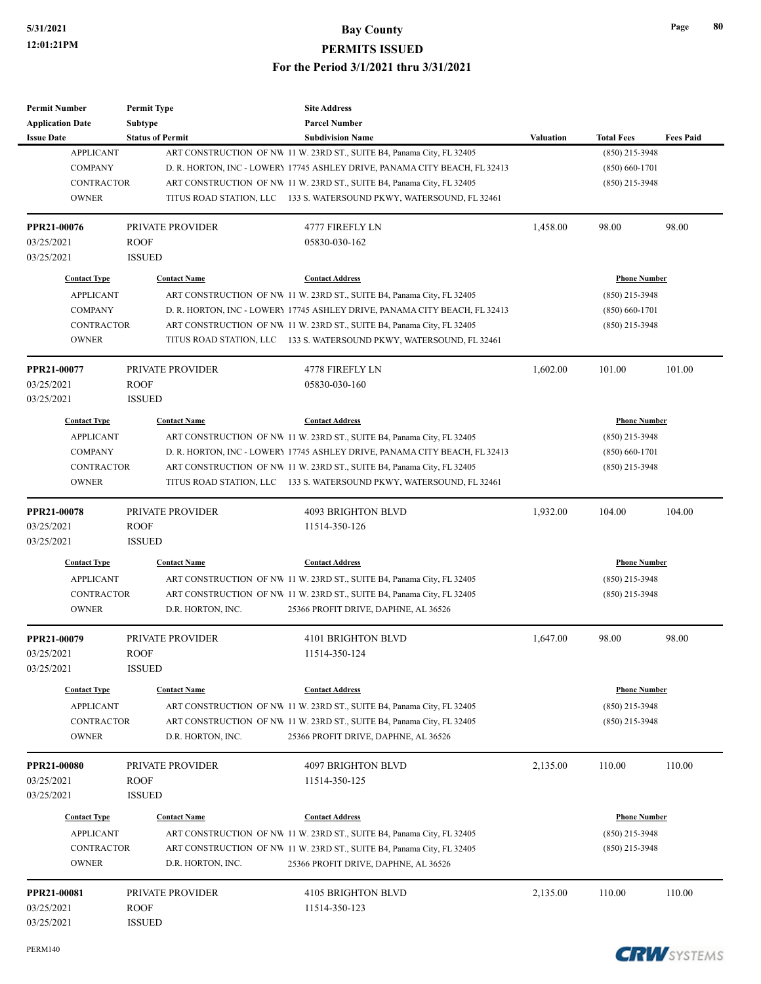| <b>Permit Number</b>    | <b>Permit Type</b>      | <b>Site Address</b>                                                        |                  |                     |                  |
|-------------------------|-------------------------|----------------------------------------------------------------------------|------------------|---------------------|------------------|
| <b>Application Date</b> | Subtype                 | <b>Parcel Number</b>                                                       |                  |                     |                  |
| <b>Issue Date</b>       | <b>Status of Permit</b> | <b>Subdivision Name</b>                                                    | <b>Valuation</b> | <b>Total Fees</b>   | <b>Fees Paid</b> |
| <b>APPLICANT</b>        |                         | ART CONSTRUCTION OF NW 11 W. 23RD ST., SUITE B4, Panama City, FL 32405     |                  | (850) 215-3948      |                  |
| <b>COMPANY</b>          |                         | D. R. HORTON, INC - LOWERY 17745 ASHLEY DRIVE, PANAMA CITY BEACH, FL 32413 |                  | $(850) 660 - 1701$  |                  |
| <b>CONTRACTOR</b>       |                         | ART CONSTRUCTION OF NW 11 W. 23RD ST., SUITE B4, Panama City, FL 32405     |                  | (850) 215-3948      |                  |
| <b>OWNER</b>            |                         | TITUS ROAD STATION, LLC 133 S. WATERSOUND PKWY, WATERSOUND, FL 32461       |                  |                     |                  |
| PPR21-00076             | PRIVATE PROVIDER        | 4777 FIREFLY LN                                                            | 1,458.00         | 98.00               | 98.00            |
| 03/25/2021              | <b>ROOF</b>             | 05830-030-162                                                              |                  |                     |                  |
| 03/25/2021              | <b>ISSUED</b>           |                                                                            |                  |                     |                  |
| <b>Contact Type</b>     | <b>Contact Name</b>     | <b>Contact Address</b>                                                     |                  | <b>Phone Number</b> |                  |
| <b>APPLICANT</b>        |                         | ART CONSTRUCTION OF NW 11 W. 23RD ST., SUITE B4, Panama City, FL 32405     |                  | $(850)$ 215-3948    |                  |
| <b>COMPANY</b>          |                         | D. R. HORTON, INC - LOWERY 17745 ASHLEY DRIVE, PANAMA CITY BEACH, FL 32413 |                  | $(850) 660 - 1701$  |                  |
| <b>CONTRACTOR</b>       |                         | ART CONSTRUCTION OF NW 11 W. 23RD ST., SUITE B4, Panama City, FL 32405     |                  | (850) 215-3948      |                  |
| <b>OWNER</b>            |                         | TITUS ROAD STATION, LLC 133 S. WATERSOUND PKWY, WATERSOUND, FL 32461       |                  |                     |                  |
| PPR21-00077             | PRIVATE PROVIDER        | 4778 FIREFLY LN                                                            | 1,602.00         | 101.00              | 101.00           |
| 03/25/2021              | <b>ROOF</b>             | 05830-030-160                                                              |                  |                     |                  |
| 03/25/2021              | <b>ISSUED</b>           |                                                                            |                  |                     |                  |
| <b>Contact Type</b>     | <b>Contact Name</b>     | <b>Contact Address</b>                                                     |                  | <b>Phone Number</b> |                  |
| <b>APPLICANT</b>        |                         | ART CONSTRUCTION OF NW 11 W. 23RD ST., SUITE B4, Panama City, FL 32405     |                  | (850) 215-3948      |                  |
| <b>COMPANY</b>          |                         | D. R. HORTON, INC - LOWERY 17745 ASHLEY DRIVE, PANAMA CITY BEACH, FL 32413 |                  | $(850) 660 - 1701$  |                  |
| <b>CONTRACTOR</b>       |                         | ART CONSTRUCTION OF NW 11 W. 23RD ST., SUITE B4, Panama City, FL 32405     |                  | (850) 215-3948      |                  |
| <b>OWNER</b>            |                         | TITUS ROAD STATION, LLC 133 S. WATERSOUND PKWY, WATERSOUND, FL 32461       |                  |                     |                  |
| PPR21-00078             | PRIVATE PROVIDER        | 4093 BRIGHTON BLVD                                                         | 1,932.00         | 104.00              | 104.00           |
| 03/25/2021              | <b>ROOF</b>             | 11514-350-126                                                              |                  |                     |                  |
| 03/25/2021              | <b>ISSUED</b>           |                                                                            |                  |                     |                  |
| <b>Contact Type</b>     | <b>Contact Name</b>     | <b>Contact Address</b>                                                     |                  | <b>Phone Number</b> |                  |
| <b>APPLICANT</b>        |                         | ART CONSTRUCTION OF NW 11 W. 23RD ST., SUITE B4, Panama City, FL 32405     |                  | $(850)$ 215-3948    |                  |
| <b>CONTRACTOR</b>       |                         | ART CONSTRUCTION OF NW 11 W. 23RD ST., SUITE B4, Panama City, FL 32405     |                  | (850) 215-3948      |                  |
| <b>OWNER</b>            | D.R. HORTON, INC.       | 25366 PROFIT DRIVE, DAPHNE, AL 36526                                       |                  |                     |                  |
| PPR21-00079             | PRIVATE PROVIDER        | <b>4101 BRIGHTON BLVD</b>                                                  | 1,647.00         | 98.00               | 98.00            |
| 03/25/2021              | ROOF                    | 11514-350-124                                                              |                  |                     |                  |
| 03/25/2021              | <b>ISSUED</b>           |                                                                            |                  |                     |                  |
| <b>Contact Type</b>     | <b>Contact Name</b>     | <b>Contact Address</b>                                                     |                  | <b>Phone Number</b> |                  |
| <b>APPLICANT</b>        |                         | ART CONSTRUCTION OF NW 11 W. 23RD ST., SUITE B4, Panama City, FL 32405     |                  | (850) 215-3948      |                  |
| <b>CONTRACTOR</b>       |                         | ART CONSTRUCTION OF NW 11 W. 23RD ST., SUITE B4, Panama City, FL 32405     |                  | $(850)$ 215-3948    |                  |
| <b>OWNER</b>            | D.R. HORTON, INC.       | 25366 PROFIT DRIVE, DAPHNE, AL 36526                                       |                  |                     |                  |
| PPR21-00080             | PRIVATE PROVIDER        | 4097 BRIGHTON BLVD                                                         | 2,135.00         | 110.00              | 110.00           |
| 03/25/2021              | <b>ROOF</b>             | 11514-350-125                                                              |                  |                     |                  |
| 03/25/2021              | <b>ISSUED</b>           |                                                                            |                  |                     |                  |
| <b>Contact Type</b>     | <b>Contact Name</b>     | <b>Contact Address</b>                                                     |                  | <b>Phone Number</b> |                  |
| <b>APPLICANT</b>        |                         | ART CONSTRUCTION OF NW 11 W. 23RD ST., SUITE B4, Panama City, FL 32405     |                  | (850) 215-3948      |                  |
| <b>CONTRACTOR</b>       |                         | ART CONSTRUCTION OF NW 11 W. 23RD ST., SUITE B4, Panama City, FL 32405     |                  | $(850)$ 215-3948    |                  |
| <b>OWNER</b>            | D.R. HORTON, INC.       | 25366 PROFIT DRIVE, DAPHNE, AL 36526                                       |                  |                     |                  |
| PPR21-00081             | PRIVATE PROVIDER        | 4105 BRIGHTON BLVD                                                         | 2,135.00         | 110.00              | 110.00           |
| 03/25/2021              | ROOF                    | 11514-350-123                                                              |                  |                     |                  |
| 03/25/2021              | <b>ISSUED</b>           |                                                                            |                  |                     |                  |

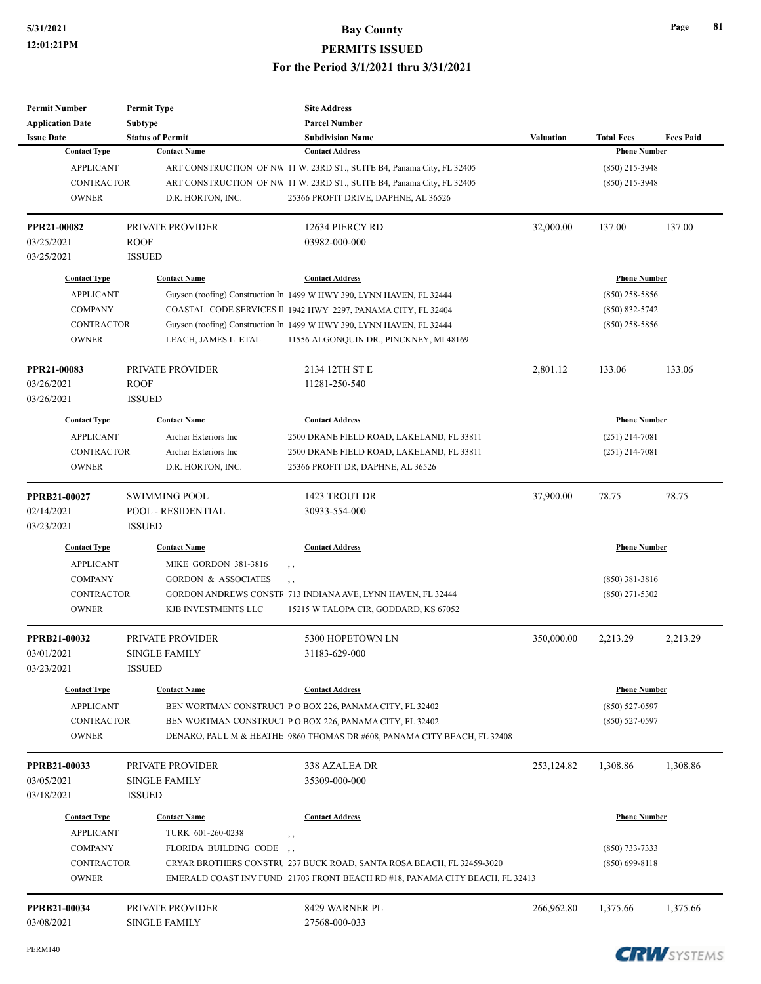| <b>Permit Number</b>    | <b>Permit Type</b>             | <b>Site Address</b>                                                          |                  |                     |                  |
|-------------------------|--------------------------------|------------------------------------------------------------------------------|------------------|---------------------|------------------|
| <b>Application Date</b> | Subtype                        | <b>Parcel Number</b>                                                         |                  |                     |                  |
| <b>Issue Date</b>       | <b>Status of Permit</b>        | <b>Subdivision Name</b>                                                      | <b>Valuation</b> | <b>Total Fees</b>   | <b>Fees Paid</b> |
| <b>Contact Type</b>     | <b>Contact Name</b>            | <b>Contact Address</b>                                                       |                  | <b>Phone Number</b> |                  |
| <b>APPLICANT</b>        |                                | ART CONSTRUCTION OF NW 11 W. 23RD ST., SUITE B4, Panama City, FL 32405       |                  | $(850)$ 215-3948    |                  |
| <b>CONTRACTOR</b>       |                                | ART CONSTRUCTION OF NW 11 W. 23RD ST., SUITE B4, Panama City, FL 32405       |                  | $(850)$ 215-3948    |                  |
| <b>OWNER</b>            | D.R. HORTON, INC.              | 25366 PROFIT DRIVE, DAPHNE, AL 36526                                         |                  |                     |                  |
| PPR21-00082             | PRIVATE PROVIDER               | 12634 PIERCY RD                                                              | 32,000.00        | 137.00              | 137.00           |
| 03/25/2021              | ROOF                           | 03982-000-000                                                                |                  |                     |                  |
| 03/25/2021              | <b>ISSUED</b>                  |                                                                              |                  |                     |                  |
| <b>Contact Type</b>     | <b>Contact Name</b>            | <b>Contact Address</b>                                                       |                  | <b>Phone Number</b> |                  |
| <b>APPLICANT</b>        |                                | Guyson (roofing) Construction In 1499 W HWY 390, LYNN HAVEN, FL 32444        |                  | $(850)$ 258-5856    |                  |
| <b>COMPANY</b>          |                                | COASTAL CODE SERVICES II 1942 HWY 2297, PANAMA CITY, FL 32404                |                  | $(850) 832 - 5742$  |                  |
| <b>CONTRACTOR</b>       |                                | Guyson (roofing) Construction In 1499 W HWY 390, LYNN HAVEN, FL 32444        |                  | $(850)$ 258-5856    |                  |
| <b>OWNER</b>            | LEACH, JAMES L. ETAL           | 11556 ALGONQUIN DR., PINCKNEY, MI 48169                                      |                  |                     |                  |
| PPR21-00083             | PRIVATE PROVIDER               | 2134 12TH ST E                                                               | 2,801.12         | 133.06              | 133.06           |
| 03/26/2021              | <b>ROOF</b>                    | 11281-250-540                                                                |                  |                     |                  |
| 03/26/2021              | <b>ISSUED</b>                  |                                                                              |                  |                     |                  |
| <b>Contact Type</b>     | <b>Contact Name</b>            | <b>Contact Address</b>                                                       |                  | <b>Phone Number</b> |                  |
| <b>APPLICANT</b>        | Archer Exteriors Inc           | 2500 DRANE FIELD ROAD, LAKELAND, FL 33811                                    |                  | $(251)$ 214-7081    |                  |
| CONTRACTOR              | Archer Exteriors Inc           | 2500 DRANE FIELD ROAD, LAKELAND, FL 33811                                    |                  | $(251)$ 214-7081    |                  |
| <b>OWNER</b>            | D.R. HORTON, INC.              | 25366 PROFIT DR, DAPHNE, AL 36526                                            |                  |                     |                  |
| <b>PPRB21-00027</b>     | <b>SWIMMING POOL</b>           | 1423 TROUT DR                                                                | 37,900.00        | 78.75               | 78.75            |
| 02/14/2021              | POOL - RESIDENTIAL             | 30933-554-000                                                                |                  |                     |                  |
| 03/23/2021              | <b>ISSUED</b>                  |                                                                              |                  |                     |                  |
| <b>Contact Type</b>     | <b>Contact Name</b>            | <b>Contact Address</b>                                                       |                  | <b>Phone Number</b> |                  |
| <b>APPLICANT</b>        | MIKE GORDON 381-3816           | $, \, , \,$                                                                  |                  |                     |                  |
| <b>COMPANY</b>          | <b>GORDON &amp; ASSOCIATES</b> | $, \, , \,$                                                                  |                  | $(850)$ 381-3816    |                  |
| <b>CONTRACTOR</b>       |                                | GORDON ANDREWS CONSTR 713 INDIANA AVE, LYNN HAVEN, FL 32444                  |                  | $(850)$ 271-5302    |                  |
| <b>OWNER</b>            | KJB INVESTMENTS LLC            | 15215 W TALOPA CIR, GODDARD, KS 67052                                        |                  |                     |                  |
| PPRB21-00032            | PRIVATE PROVIDER               | 5300 HOPETOWN LN                                                             | 350,000.00       | 2,213.29            | 2,213.29         |
| 03/01/2021              | SINGLE FAMILY                  | 31183-629-000                                                                |                  |                     |                  |
| 03/23/2021              | <b>ISSUED</b>                  |                                                                              |                  |                     |                  |
| <b>Contact Type</b>     | <b>Contact Name</b>            | <b>Contact Address</b>                                                       |                  | <u>Phone Number</u> |                  |
| <b>APPLICANT</b>        |                                | BEN WORTMAN CONSTRUCT PO BOX 226, PANAMA CITY, FL 32402                      |                  | $(850) 527 - 0597$  |                  |
| <b>CONTRACTOR</b>       |                                | BEN WORTMAN CONSTRUCT P O BOX 226, PANAMA CITY, FL 32402                     |                  | $(850)$ 527-0597    |                  |
| <b>OWNER</b>            |                                | DENARO, PAUL M & HEATHE 9860 THOMAS DR #608, PANAMA CITY BEACH, FL 32408     |                  |                     |                  |
| PPRB21-00033            | PRIVATE PROVIDER               | 338 AZALEA DR                                                                | 253,124.82       | 1,308.86            | 1,308.86         |
| 03/05/2021              | <b>SINGLE FAMILY</b>           | 35309-000-000                                                                |                  |                     |                  |
| 03/18/2021              | <b>ISSUED</b>                  |                                                                              |                  |                     |                  |
| <b>Contact Type</b>     | <b>Contact Name</b>            | <b>Contact Address</b>                                                       |                  | <b>Phone Number</b> |                  |
| <b>APPLICANT</b>        | TURK 601-260-0238              | $, \, , \,$                                                                  |                  |                     |                  |
| <b>COMPANY</b>          | FLORIDA BUILDING CODE          | , ,                                                                          |                  | $(850)$ 733-7333    |                  |
| CONTRACTOR              |                                | CRYAR BROTHERS CONSTRU 237 BUCK ROAD, SANTA ROSA BEACH, FL 32459-3020        |                  | $(850)$ 699-8118    |                  |
| <b>OWNER</b>            |                                | EMERALD COAST INV FUND 21703 FRONT BEACH RD #18, PANAMA CITY BEACH, FL 32413 |                  |                     |                  |
| PPRB21-00034            | PRIVATE PROVIDER               | 8429 WARNER PL                                                               | 266,962.80       | 1,375.66            | 1,375.66         |
| 03/08/2021              | <b>SINGLE FAMILY</b>           | 27568-000-033                                                                |                  |                     |                  |



**Page 81**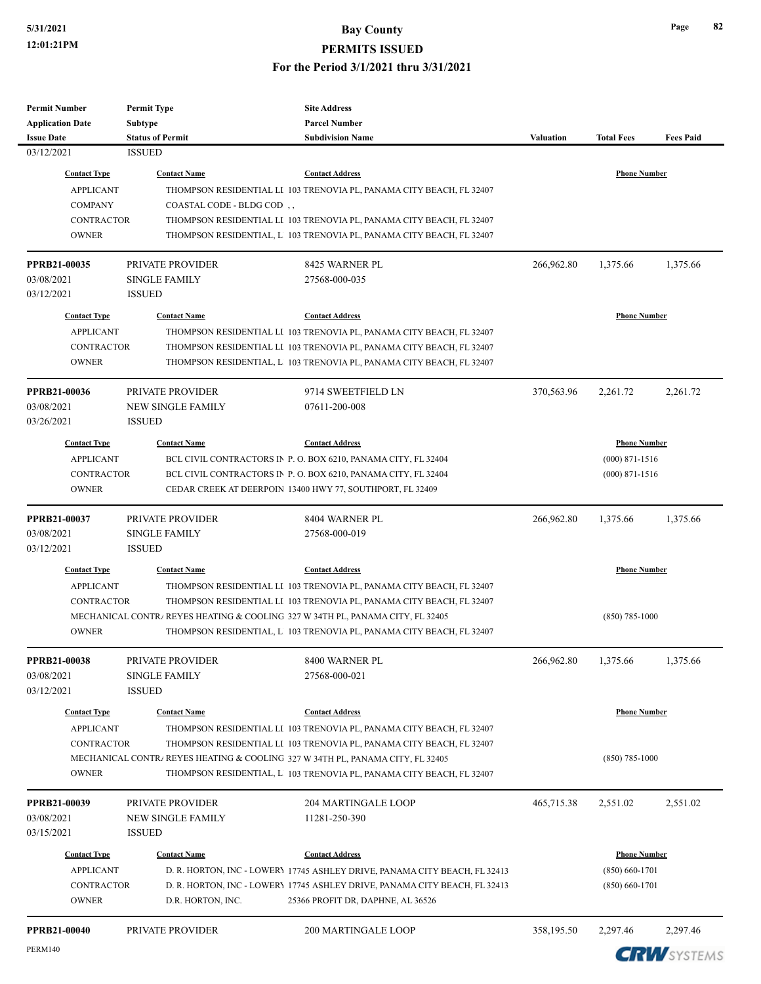| <b>Permit Number</b>            | <b>Permit Type</b>                       | <b>Site Address</b>                                                            |                  |                     |                  |
|---------------------------------|------------------------------------------|--------------------------------------------------------------------------------|------------------|---------------------|------------------|
| <b>Application Date</b>         | Subtype                                  | <b>Parcel Number</b>                                                           |                  |                     |                  |
| <b>Issue Date</b><br>03/12/2021 | <b>Status of Permit</b><br><b>ISSUED</b> | <b>Subdivision Name</b>                                                        | <b>Valuation</b> | <b>Total Fees</b>   | <b>Fees Paid</b> |
|                                 |                                          |                                                                                |                  |                     |                  |
| <b>Contact Type</b>             | <b>Contact Name</b>                      | <b>Contact Address</b>                                                         |                  | <b>Phone Number</b> |                  |
| <b>APPLICANT</b>                |                                          | THOMPSON RESIDENTIAL LI 103 TRENOVIA PL, PANAMA CITY BEACH, FL 32407           |                  |                     |                  |
| <b>COMPANY</b>                  | COASTAL CODE - BLDG COD,                 |                                                                                |                  |                     |                  |
| <b>CONTRACTOR</b>               |                                          | THOMPSON RESIDENTIAL LI 103 TRENOVIA PL, PANAMA CITY BEACH, FL 32407           |                  |                     |                  |
| <b>OWNER</b>                    |                                          | THOMPSON RESIDENTIAL, L 103 TRENOVIA PL, PANAMA CITY BEACH, FL 32407           |                  |                     |                  |
| PPRB21-00035                    | PRIVATE PROVIDER                         | 8425 WARNER PL                                                                 | 266,962.80       | 1,375.66            | 1,375.66         |
| 03/08/2021                      | <b>SINGLE FAMILY</b>                     | 27568-000-035                                                                  |                  |                     |                  |
| 03/12/2021                      | <b>ISSUED</b>                            |                                                                                |                  |                     |                  |
| <b>Contact Type</b>             | <b>Contact Name</b>                      | <b>Contact Address</b>                                                         |                  | <b>Phone Number</b> |                  |
| <b>APPLICANT</b>                |                                          | THOMPSON RESIDENTIAL LI 103 TRENOVIA PL, PANAMA CITY BEACH, FL 32407           |                  |                     |                  |
| <b>CONTRACTOR</b>               |                                          | THOMPSON RESIDENTIAL LI 103 TRENOVIA PL, PANAMA CITY BEACH, FL 32407           |                  |                     |                  |
| <b>OWNER</b>                    |                                          | THOMPSON RESIDENTIAL, L 103 TRENOVIA PL, PANAMA CITY BEACH, FL 32407           |                  |                     |                  |
| PPRB21-00036                    | <b>PRIVATE PROVIDER</b>                  | 9714 SWEETFIELD LN                                                             | 370,563.96       | 2,261.72            | 2,261.72         |
| 03/08/2021                      | <b>NEW SINGLE FAMILY</b>                 | 07611-200-008                                                                  |                  |                     |                  |
| 03/26/2021                      | <b>ISSUED</b>                            |                                                                                |                  |                     |                  |
| <b>Contact Type</b>             | <b>Contact Name</b>                      | <b>Contact Address</b>                                                         |                  | <b>Phone Number</b> |                  |
| <b>APPLICANT</b>                |                                          | BCL CIVIL CONTRACTORS IN P. O. BOX 6210, PANAMA CITY, FL 32404                 |                  | $(000)$ 871-1516    |                  |
| <b>CONTRACTOR</b>               |                                          | BCL CIVIL CONTRACTORS IN P. O. BOX 6210, PANAMA CITY, FL 32404                 |                  | $(000)$ 871-1516    |                  |
| <b>OWNER</b>                    |                                          | CEDAR CREEK AT DEERPOIN 13400 HWY 77, SOUTHPORT, FL 32409                      |                  |                     |                  |
|                                 |                                          |                                                                                |                  |                     |                  |
| PPRB21-00037                    | PRIVATE PROVIDER                         | 8404 WARNER PL                                                                 | 266,962.80       | 1,375.66            | 1,375.66         |
| 03/08/2021                      | <b>SINGLE FAMILY</b>                     | 27568-000-019                                                                  |                  |                     |                  |
| 03/12/2021                      | <b>ISSUED</b>                            |                                                                                |                  |                     |                  |
| <b>Contact Type</b>             | <b>Contact Name</b>                      | <b>Contact Address</b>                                                         |                  | <b>Phone Number</b> |                  |
| <b>APPLICANT</b>                |                                          | THOMPSON RESIDENTIAL LI 103 TRENOVIA PL, PANAMA CITY BEACH, FL 32407           |                  |                     |                  |
| <b>CONTRACTOR</b>               |                                          | THOMPSON RESIDENTIAL LI 103 TRENOVIA PL, PANAMA CITY BEACH, FL 32407           |                  |                     |                  |
|                                 |                                          | MECHANICAL CONTRA REYES HEATING & COOLING 327 W 34TH PL, PANAMA CITY, FL 32405 |                  | $(850)$ 785-1000    |                  |
| <b>OWNER</b>                    |                                          | THOMPSON RESIDENTIAL, L 103 TRENOVIA PL, PANAMA CITY BEACH, FL 32407           |                  |                     |                  |
| <b>PPRB21-00038</b>             | PRIVATE PROVIDER                         | 8400 WARNER PL                                                                 | 266,962.80       | 1,375.66            | 1,375.66         |
| 03/08/2021                      | <b>SINGLE FAMILY</b>                     | 27568-000-021                                                                  |                  |                     |                  |
| 03/12/2021                      | <b>ISSUED</b>                            |                                                                                |                  |                     |                  |
| <b>Contact Type</b>             | <b>Contact Name</b>                      | <b>Contact Address</b>                                                         |                  | <b>Phone Number</b> |                  |
| <b>APPLICANT</b>                |                                          | THOMPSON RESIDENTIAL LI 103 TRENOVIA PL, PANAMA CITY BEACH, FL 32407           |                  |                     |                  |
| <b>CONTRACTOR</b>               |                                          | THOMPSON RESIDENTIAL LI 103 TRENOVIA PL, PANAMA CITY BEACH, FL 32407           |                  |                     |                  |
|                                 |                                          | MECHANICAL CONTR. REYES HEATING & COOLING 327 W 34TH PL, PANAMA CITY, FL 32405 |                  | $(850)$ 785-1000    |                  |
| <b>OWNER</b>                    |                                          | THOMPSON RESIDENTIAL, L 103 TRENOVIA PL, PANAMA CITY BEACH, FL 32407           |                  |                     |                  |
| PPRB21-00039                    | PRIVATE PROVIDER                         | <b>204 MARTINGALE LOOP</b>                                                     | 465,715.38       | 2,551.02            | 2,551.02         |
| 03/08/2021                      | <b>NEW SINGLE FAMILY</b>                 | 11281-250-390                                                                  |                  |                     |                  |
| 03/15/2021                      | <b>ISSUED</b>                            |                                                                                |                  |                     |                  |
| <b>Contact Type</b>             | <b>Contact Name</b>                      | <b>Contact Address</b>                                                         |                  | <b>Phone Number</b> |                  |
| <b>APPLICANT</b>                |                                          | D. R. HORTON, INC - LOWERY 17745 ASHLEY DRIVE, PANAMA CITY BEACH, FL 32413     |                  | $(850) 660 - 1701$  |                  |
| <b>CONTRACTOR</b>               |                                          | D. R. HORTON, INC - LOWERY 17745 ASHLEY DRIVE, PANAMA CITY BEACH, FL 32413     |                  | $(850) 660 - 1701$  |                  |
| <b>OWNER</b>                    | D.R. HORTON, INC.                        | 25366 PROFIT DR, DAPHNE, AL 36526                                              |                  |                     |                  |
|                                 |                                          |                                                                                |                  |                     |                  |
| PPRB21-00040                    | PRIVATE PROVIDER                         | <b>200 MARTINGALE LOOP</b>                                                     | 358,195.50       | 2,297.46            | 2,297.46         |

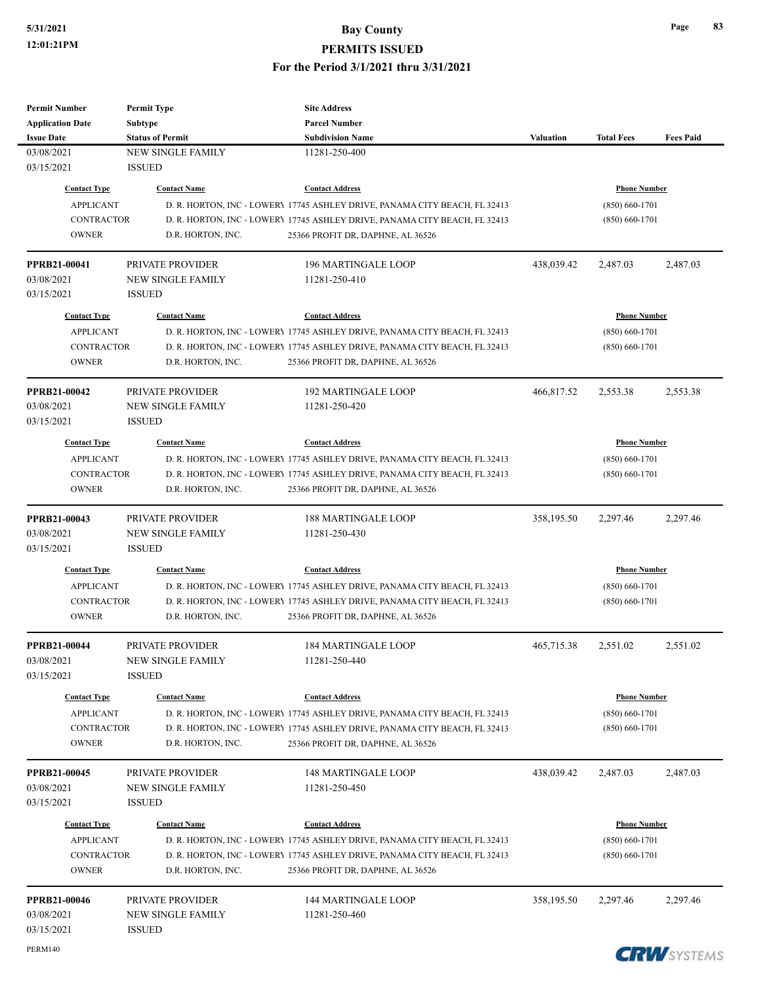PERM140

# **5/31/2021 Bay County**

#### **PERMITS ISSUED**

#### **For the Period 3/1/2021 thru 3/31/2021**

| <b>Permit Number</b>       | <b>Permit Type</b>       | <b>Site Address</b>                                                                                             |            |                     |                  |
|----------------------------|--------------------------|-----------------------------------------------------------------------------------------------------------------|------------|---------------------|------------------|
| <b>Application Date</b>    | Subtype                  | <b>Parcel Number</b>                                                                                            |            |                     |                  |
| <b>Issue Date</b>          | <b>Status of Permit</b>  | <b>Subdivision Name</b>                                                                                         | Valuation  | <b>Total Fees</b>   | <b>Fees Paid</b> |
| 03/08/2021                 | <b>NEW SINGLE FAMILY</b> | 11281-250-400                                                                                                   |            |                     |                  |
| 03/15/2021                 | <b>ISSUED</b>            |                                                                                                                 |            |                     |                  |
| <b>Contact Type</b>        | <b>Contact Name</b>      | <b>Contact Address</b>                                                                                          |            | <b>Phone Number</b> |                  |
| <b>APPLICANT</b>           |                          | D. R. HORTON, INC - LOWERY 17745 ASHLEY DRIVE, PANAMA CITY BEACH, FL 32413                                      |            | $(850) 660 - 1701$  |                  |
| <b>CONTRACTOR</b>          |                          | D. R. HORTON, INC - LOWERY 17745 ASHLEY DRIVE, PANAMA CITY BEACH, FL 32413                                      |            | $(850) 660 - 1701$  |                  |
| <b>OWNER</b>               | D.R. HORTON, INC.        | 25366 PROFIT DR, DAPHNE, AL 36526                                                                               |            |                     |                  |
| PPRB21-00041               | <b>PRIVATE PROVIDER</b>  | <b>196 MARTINGALE LOOP</b>                                                                                      | 438,039.42 | 2,487.03            | 2,487.03         |
| 03/08/2021                 | <b>NEW SINGLE FAMILY</b> | 11281-250-410                                                                                                   |            |                     |                  |
| 03/15/2021                 | <b>ISSUED</b>            |                                                                                                                 |            |                     |                  |
| <b>Contact Type</b>        | <b>Contact Name</b>      | <b>Contact Address</b>                                                                                          |            | <b>Phone Number</b> |                  |
| <b>APPLICANT</b>           |                          | D. R. HORTON, INC - LOWERY 17745 ASHLEY DRIVE, PANAMA CITY BEACH, FL 32413                                      |            | $(850) 660 - 1701$  |                  |
| <b>CONTRACTOR</b>          |                          | D. R. HORTON, INC - LOWERY 17745 ASHLEY DRIVE, PANAMA CITY BEACH, FL 32413                                      |            | $(850) 660 - 1701$  |                  |
| <b>OWNER</b>               | D.R. HORTON, INC.        | 25366 PROFIT DR, DAPHNE, AL 36526                                                                               |            |                     |                  |
| PPRB21-00042               | <b>PRIVATE PROVIDER</b>  | <b>192 MARTINGALE LOOP</b>                                                                                      | 466,817.52 | 2,553.38            | 2,553.38         |
| 03/08/2021                 | <b>NEW SINGLE FAMILY</b> | 11281-250-420                                                                                                   |            |                     |                  |
| 03/15/2021                 | <b>ISSUED</b>            |                                                                                                                 |            |                     |                  |
| <b>Contact Type</b>        | <b>Contact Name</b>      | <b>Contact Address</b>                                                                                          |            | <b>Phone Number</b> |                  |
| <b>APPLICANT</b>           |                          | D. R. HORTON, INC - LOWERY 17745 ASHLEY DRIVE, PANAMA CITY BEACH, FL 32413                                      |            | $(850) 660 - 1701$  |                  |
| <b>CONTRACTOR</b>          |                          | D. R. HORTON, INC - LOWERY 17745 ASHLEY DRIVE, PANAMA CITY BEACH, FL 32413                                      |            | $(850) 660 - 1701$  |                  |
| <b>OWNER</b>               | D.R. HORTON, INC.        | 25366 PROFIT DR, DAPHNE, AL 36526                                                                               |            |                     |                  |
|                            |                          |                                                                                                                 |            |                     |                  |
| PPRB21-00043               | PRIVATE PROVIDER         | <b>188 MARTINGALE LOOP</b>                                                                                      | 358,195.50 | 2,297.46            | 2,297.46         |
| 03/08/2021                 | <b>NEW SINGLE FAMILY</b> | 11281-250-430                                                                                                   |            |                     |                  |
| 03/15/2021                 | <b>ISSUED</b>            |                                                                                                                 |            |                     |                  |
| <b>Contact Type</b>        | <b>Contact Name</b>      | <b>Contact Address</b>                                                                                          |            | <b>Phone Number</b> |                  |
| <b>APPLICANT</b>           |                          | D. R. HORTON, INC - LOWERY 17745 ASHLEY DRIVE, PANAMA CITY BEACH, FL 32413                                      |            | $(850) 660 - 1701$  |                  |
| <b>CONTRACTOR</b>          |                          | D. R. HORTON, INC - LOWERY 17745 ASHLEY DRIVE, PANAMA CITY BEACH, FL 32413                                      |            | $(850) 660 - 1701$  |                  |
| <b>OWNER</b>               | D.R. HORTON, INC.        | 25366 PROFIT DR, DAPHNE, AL 36526                                                                               |            |                     |                  |
|                            |                          |                                                                                                                 |            |                     |                  |
| PPRB21-00044               | <b>PRIVATE PROVIDER</b>  | <b>184 MARTINGALE LOOP</b>                                                                                      | 465,715.38 | 2,551.02            | 2,551.02         |
| 03/08/2021                 | NEW SINGLE FAMILY        | 11281-250-440                                                                                                   |            |                     |                  |
| 03/15/2021                 | <b>ISSUED</b>            |                                                                                                                 |            |                     |                  |
| <b>Contact Type</b>        | <b>Contact Name</b>      | <b>Contact Address</b>                                                                                          |            | <b>Phone Number</b> |                  |
| <b>APPLICANT</b>           |                          | D. R. HORTON, INC - LOWERY 17745 ASHLEY DRIVE, PANAMA CITY BEACH, FL 32413                                      |            | $(850) 660 - 1701$  |                  |
| CONTRACTOR                 |                          | D. R. HORTON, INC - LOWERY 17745 ASHLEY DRIVE, PANAMA CITY BEACH, FL 32413                                      |            | $(850) 660 - 1701$  |                  |
| <b>OWNER</b>               | D.R. HORTON, INC.        | 25366 PROFIT DR, DAPHNE, AL 36526                                                                               |            |                     |                  |
| <b>PPRB21-00045</b>        | PRIVATE PROVIDER         | <b>148 MARTINGALE LOOP</b>                                                                                      | 438,039.42 | 2,487.03            | 2,487.03         |
| 03/08/2021                 | NEW SINGLE FAMILY        | 11281-250-450                                                                                                   |            |                     |                  |
| 03/15/2021                 | <b>ISSUED</b>            |                                                                                                                 |            |                     |                  |
| <b>Contact Type</b>        | <b>Contact Name</b>      | <b>Contact Address</b>                                                                                          |            | <b>Phone Number</b> |                  |
|                            |                          |                                                                                                                 |            |                     |                  |
| <b>APPLICANT</b>           |                          | D. R. HORTON, INC - LOWERY 17745 ASHLEY DRIVE, PANAMA CITY BEACH, FL 32413                                      |            | $(850) 660 - 1701$  |                  |
| CONTRACTOR<br><b>OWNER</b> | D.R. HORTON, INC.        | D. R. HORTON, INC - LOWERY 17745 ASHLEY DRIVE, PANAMA CITY BEACH, FL 32413<br>25366 PROFIT DR, DAPHNE, AL 36526 |            | $(850) 660 - 1701$  |                  |
| PPRB21-00046               | PRIVATE PROVIDER         | 144 MARTINGALE LOOP                                                                                             | 358,195.50 | 2,297.46            | 2,297.46         |
| 03/08/2021                 | <b>NEW SINGLE FAMILY</b> | 11281-250-460                                                                                                   |            |                     |                  |
| 03/15/2021                 | <b>ISSUED</b>            |                                                                                                                 |            |                     |                  |
|                            |                          |                                                                                                                 |            |                     |                  |



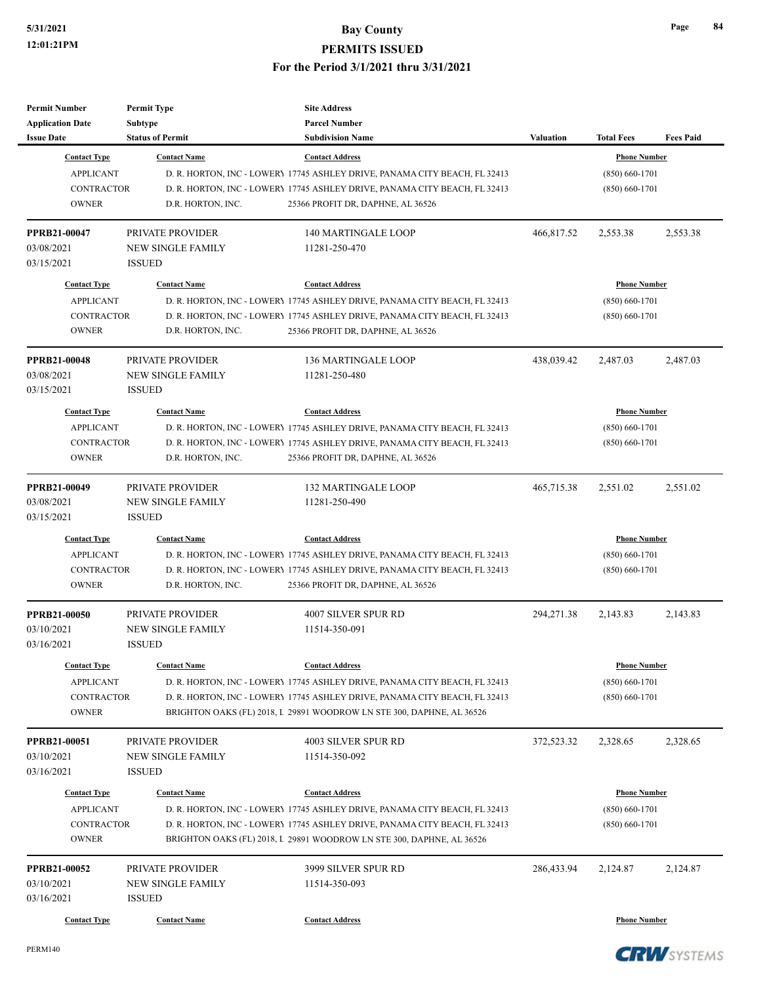#### **5/31/2021 Bay County PERMITS ISSUED**

#### **For the Period 3/1/2021 thru 3/31/2021**

| <b>Permit Number</b>    | <b>Permit Type</b>       | <b>Site Address</b>                                                        |                  |                     |                  |
|-------------------------|--------------------------|----------------------------------------------------------------------------|------------------|---------------------|------------------|
| <b>Application Date</b> | Subtype                  | <b>Parcel Number</b>                                                       |                  | <b>Total Fees</b>   |                  |
| <b>Issue Date</b>       | <b>Status of Permit</b>  | <b>Subdivision Name</b>                                                    | <b>Valuation</b> |                     | <b>Fees Paid</b> |
| <b>Contact Type</b>     | <b>Contact Name</b>      | <b>Contact Address</b>                                                     |                  | <b>Phone Number</b> |                  |
| <b>APPLICANT</b>        |                          | D. R. HORTON, INC - LOWERY 17745 ASHLEY DRIVE, PANAMA CITY BEACH, FL 32413 |                  | $(850) 660 - 1701$  |                  |
| <b>CONTRACTOR</b>       |                          | D. R. HORTON, INC - LOWERY 17745 ASHLEY DRIVE, PANAMA CITY BEACH, FL 32413 |                  | $(850) 660 - 1701$  |                  |
| <b>OWNER</b>            | D.R. HORTON, INC.        | 25366 PROFIT DR, DAPHNE, AL 36526                                          |                  |                     |                  |
| PPRB21-00047            | PRIVATE PROVIDER         | <b>140 MARTINGALE LOOP</b>                                                 | 466,817.52       | 2,553.38            | 2,553.38         |
| 03/08/2021              | <b>NEW SINGLE FAMILY</b> | 11281-250-470                                                              |                  |                     |                  |
| 03/15/2021              | <b>ISSUED</b>            |                                                                            |                  |                     |                  |
| <b>Contact Type</b>     | <b>Contact Name</b>      | <b>Contact Address</b>                                                     |                  | <b>Phone Number</b> |                  |
| <b>APPLICANT</b>        |                          | D. R. HORTON, INC - LOWERY 17745 ASHLEY DRIVE, PANAMA CITY BEACH, FL 32413 |                  | $(850) 660 - 1701$  |                  |
| <b>CONTRACTOR</b>       |                          | D. R. HORTON, INC - LOWERY 17745 ASHLEY DRIVE, PANAMA CITY BEACH, FL 32413 |                  | $(850) 660 - 1701$  |                  |
| <b>OWNER</b>            | D.R. HORTON, INC.        | 25366 PROFIT DR, DAPHNE, AL 36526                                          |                  |                     |                  |
| <b>PPRB21-00048</b>     | PRIVATE PROVIDER         | 136 MARTINGALE LOOP                                                        | 438,039.42       | 2,487.03            | 2,487.03         |
| 03/08/2021              | <b>NEW SINGLE FAMILY</b> | 11281-250-480                                                              |                  |                     |                  |
| 03/15/2021              | <b>ISSUED</b>            |                                                                            |                  |                     |                  |
| <b>Contact Type</b>     | <b>Contact Name</b>      | <b>Contact Address</b>                                                     |                  | <b>Phone Number</b> |                  |
| <b>APPLICANT</b>        |                          | D. R. HORTON, INC - LOWERY 17745 ASHLEY DRIVE, PANAMA CITY BEACH, FL 32413 |                  | $(850) 660 - 1701$  |                  |
| <b>CONTRACTOR</b>       |                          | D. R. HORTON, INC - LOWERY 17745 ASHLEY DRIVE, PANAMA CITY BEACH, FL 32413 |                  | $(850) 660 - 1701$  |                  |
| <b>OWNER</b>            | D.R. HORTON, INC.        | 25366 PROFIT DR, DAPHNE, AL 36526                                          |                  |                     |                  |
| <b>PPRB21-00049</b>     | PRIVATE PROVIDER         | <b>132 MARTINGALE LOOP</b>                                                 | 465,715.38       | 2,551.02            | 2,551.02         |
| 03/08/2021              | <b>NEW SINGLE FAMILY</b> | 11281-250-490                                                              |                  |                     |                  |
| 03/15/2021              | <b>ISSUED</b>            |                                                                            |                  |                     |                  |
| <b>Contact Type</b>     | <b>Contact Name</b>      | <b>Contact Address</b>                                                     |                  | <b>Phone Number</b> |                  |
| <b>APPLICANT</b>        |                          | D. R. HORTON, INC - LOWERY 17745 ASHLEY DRIVE, PANAMA CITY BEACH, FL 32413 |                  | $(850) 660 - 1701$  |                  |
| <b>CONTRACTOR</b>       |                          | D. R. HORTON, INC - LOWERY 17745 ASHLEY DRIVE, PANAMA CITY BEACH, FL 32413 |                  | $(850) 660 - 1701$  |                  |
| <b>OWNER</b>            | D.R. HORTON, INC.        | 25366 PROFIT DR, DAPHNE, AL 36526                                          |                  |                     |                  |
| <b>PPRB21-00050</b>     | PRIVATE PROVIDER         | 4007 SILVER SPUR RD                                                        | 294,271.38       | 2,143.83            | 2,143.83         |
| 03/10/2021              | <b>NEW SINGLE FAMILY</b> | 11514-350-091                                                              |                  |                     |                  |
| 03/16/2021              | <b>ISSUED</b>            |                                                                            |                  |                     |                  |
| <b>Contact Type</b>     | <b>Contact Name</b>      | <b>Contact Address</b>                                                     |                  | <b>Phone Number</b> |                  |
| <b>APPLICANT</b>        |                          | D. R. HORTON, INC - LOWERY 17745 ASHLEY DRIVE, PANAMA CITY BEACH, FL 32413 |                  | $(850) 660 - 1701$  |                  |
| <b>CONTRACTOR</b>       |                          | D. R. HORTON, INC - LOWERY 17745 ASHLEY DRIVE, PANAMA CITY BEACH, FL 32413 |                  | $(850) 660 - 1701$  |                  |
| <b>OWNER</b>            |                          | BRIGHTON OAKS (FL) 2018, L 29891 WOODROW LN STE 300, DAPHNE, AL 36526      |                  |                     |                  |
| <b>PPRB21-00051</b>     | PRIVATE PROVIDER         | 4003 SILVER SPUR RD                                                        | 372,523.32       | 2,328.65            | 2,328.65         |
| 03/10/2021              | <b>NEW SINGLE FAMILY</b> | 11514-350-092                                                              |                  |                     |                  |
| 03/16/2021              | <b>ISSUED</b>            |                                                                            |                  |                     |                  |
| <b>Contact Type</b>     | <b>Contact Name</b>      | <b>Contact Address</b>                                                     |                  | <b>Phone Number</b> |                  |
| <b>APPLICANT</b>        |                          | D. R. HORTON, INC - LOWERY 17745 ASHLEY DRIVE, PANAMA CITY BEACH, FL 32413 |                  | $(850) 660 - 1701$  |                  |
| <b>CONTRACTOR</b>       |                          | D. R. HORTON, INC - LOWERY 17745 ASHLEY DRIVE, PANAMA CITY BEACH, FL 32413 |                  | $(850) 660 - 1701$  |                  |
| <b>OWNER</b>            |                          | BRIGHTON OAKS (FL) 2018, L 29891 WOODROW LN STE 300, DAPHNE, AL 36526      |                  |                     |                  |
| <b>PPRB21-00052</b>     | PRIVATE PROVIDER         | 3999 SILVER SPUR RD                                                        | 286,433.94       | 2,124.87            | 2,124.87         |
| 03/10/2021              | <b>NEW SINGLE FAMILY</b> | 11514-350-093                                                              |                  |                     |                  |
| 03/16/2021              | <b>ISSUED</b>            |                                                                            |                  |                     |                  |
| <b>Contact Type</b>     | <b>Contact Name</b>      | <b>Contact Address</b>                                                     |                  | <b>Phone Number</b> |                  |
|                         |                          |                                                                            |                  |                     |                  |

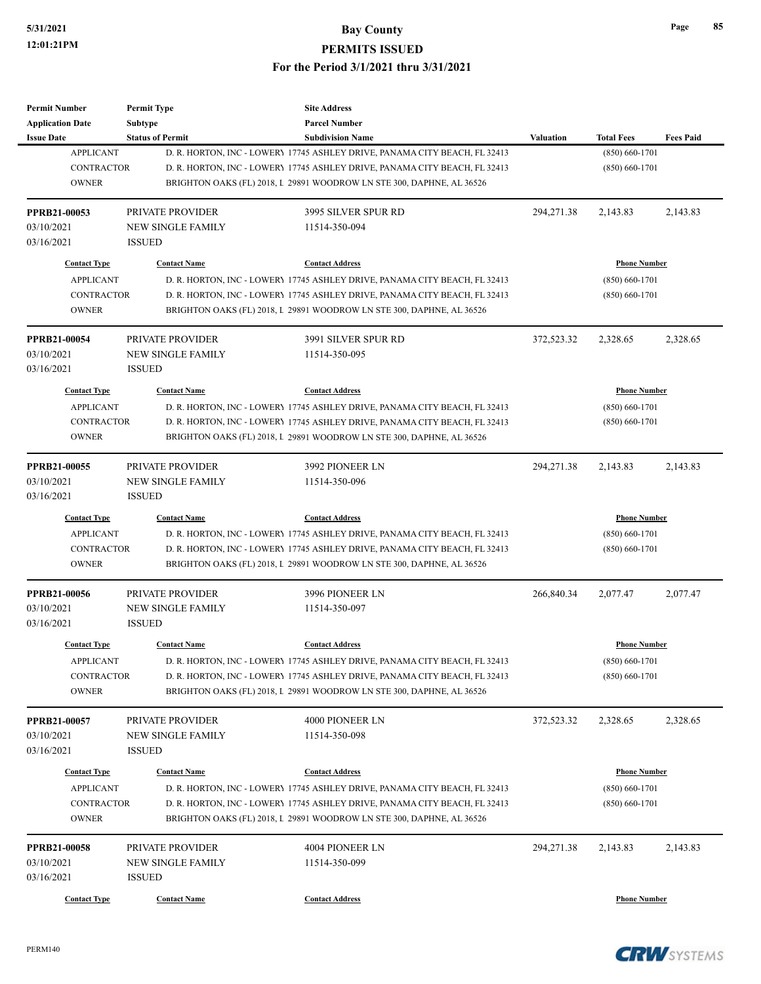| <b>Permit Number</b><br><b>Application Date</b> | <b>Permit Type</b><br>Subtype | <b>Site Address</b><br><b>Parcel Number</b>                                |                                           |                     |                  |
|-------------------------------------------------|-------------------------------|----------------------------------------------------------------------------|-------------------------------------------|---------------------|------------------|
| <b>Issue Date</b>                               | <b>Status of Permit</b>       | <b>Subdivision Name</b>                                                    | Valuation                                 | <b>Total Fees</b>   | <b>Fees Paid</b> |
| <b>APPLICANT</b>                                |                               | D. R. HORTON, INC - LOWERY 17745 ASHLEY DRIVE, PANAMA CITY BEACH, FL 32413 |                                           | $(850) 660 - 1701$  |                  |
| <b>CONTRACTOR</b>                               |                               | D. R. HORTON, INC - LOWERY 17745 ASHLEY DRIVE, PANAMA CITY BEACH, FL 32413 |                                           | $(850) 660 - 1701$  |                  |
| <b>OWNER</b>                                    |                               | BRIGHTON OAKS (FL) 2018, L 29891 WOODROW LN STE 300, DAPHNE, AL 36526      |                                           |                     |                  |
|                                                 |                               |                                                                            |                                           |                     |                  |
| PPRB21-00053                                    | PRIVATE PROVIDER              | 3995 SILVER SPUR RD                                                        | 294,271.38                                | 2,143.83            | 2,143.83         |
| 03/10/2021                                      | <b>NEW SINGLE FAMILY</b>      | 11514-350-094                                                              |                                           |                     |                  |
| 03/16/2021                                      | <b>ISSUED</b>                 |                                                                            |                                           |                     |                  |
| <b>Contact Type</b>                             | <b>Contact Name</b>           | <b>Contact Address</b>                                                     |                                           | <b>Phone Number</b> |                  |
| <b>APPLICANT</b>                                |                               | D. R. HORTON, INC - LOWERY 17745 ASHLEY DRIVE, PANAMA CITY BEACH, FL 32413 |                                           | $(850) 660 - 1701$  |                  |
| <b>CONTRACTOR</b>                               |                               | D. R. HORTON, INC - LOWERY 17745 ASHLEY DRIVE, PANAMA CITY BEACH, FL 32413 |                                           | $(850) 660 - 1701$  |                  |
| <b>OWNER</b>                                    |                               | BRIGHTON OAKS (FL) 2018, L 29891 WOODROW LN STE 300, DAPHNE, AL 36526      |                                           |                     |                  |
| PPRB21-00054                                    | PRIVATE PROVIDER              | 3991 SILVER SPUR RD                                                        | 372,523.32                                | 2,328.65            | 2,328.65         |
| 03/10/2021                                      | <b>NEW SINGLE FAMILY</b>      | 11514-350-095                                                              |                                           |                     |                  |
| 03/16/2021                                      | <b>ISSUED</b>                 |                                                                            |                                           |                     |                  |
| <b>Contact Type</b>                             | <b>Contact Name</b>           | <b>Contact Address</b>                                                     |                                           | <b>Phone Number</b> |                  |
|                                                 |                               |                                                                            |                                           |                     |                  |
| <b>APPLICANT</b>                                |                               | D. R. HORTON, INC - LOWERY 17745 ASHLEY DRIVE, PANAMA CITY BEACH, FL 32413 |                                           | $(850) 660 - 1701$  |                  |
| <b>CONTRACTOR</b>                               |                               | D. R. HORTON, INC - LOWERY 17745 ASHLEY DRIVE, PANAMA CITY BEACH, FL 32413 |                                           | $(850) 660 - 1701$  |                  |
| <b>OWNER</b>                                    |                               | BRIGHTON OAKS (FL) 2018, I 29891 WOODROW LN STE 300, DAPHNE, AL 36526      |                                           |                     |                  |
| PPRB21-00055                                    | PRIVATE PROVIDER              | 3992 PIONEER LN                                                            | 294,271.38                                | 2,143.83            | 2,143.83         |
| 03/10/2021                                      | <b>NEW SINGLE FAMILY</b>      | 11514-350-096                                                              |                                           |                     |                  |
| 03/16/2021                                      | <b>ISSUED</b>                 |                                                                            |                                           |                     |                  |
| <b>Contact Type</b>                             | <b>Contact Name</b>           | <b>Contact Address</b>                                                     | <b>Phone Number</b><br>$(850) 660 - 1701$ |                     |                  |
| <b>APPLICANT</b>                                |                               | D. R. HORTON, INC - LOWERY 17745 ASHLEY DRIVE, PANAMA CITY BEACH, FL 32413 |                                           |                     |                  |
| <b>CONTRACTOR</b>                               |                               | D. R. HORTON, INC - LOWERY 17745 ASHLEY DRIVE, PANAMA CITY BEACH, FL 32413 |                                           | $(850) 660 - 1701$  |                  |
| <b>OWNER</b>                                    |                               | BRIGHTON OAKS (FL) 2018, L 29891 WOODROW LN STE 300, DAPHNE, AL 36526      |                                           |                     |                  |
| <b>PPRB21-00056</b>                             | PRIVATE PROVIDER              | 3996 PIONEER LN                                                            | 266,840.34                                | 2,077.47            | 2,077.47         |
| 03/10/2021                                      | <b>NEW SINGLE FAMILY</b>      | 11514-350-097                                                              |                                           |                     |                  |
| 03/16/2021                                      | <b>ISSUED</b>                 |                                                                            |                                           |                     |                  |
| <b>Contact Type</b>                             | <b>Contact Name</b>           | <b>Contact Address</b>                                                     |                                           | <b>Phone Number</b> |                  |
|                                                 |                               |                                                                            |                                           |                     |                  |
| APPLICANT                                       |                               | D. R. HORTON, INC - LOWERY 17745 ASHLEY DRIVE, PANAMA CITY BEACH, FL 32413 |                                           | $(850) 660 - 1701$  |                  |
| CONTRACTOR                                      |                               | D. R. HORTON, INC - LOWERY 17745 ASHLEY DRIVE, PANAMA CITY BEACH, FL 32413 |                                           | $(850) 660 - 1701$  |                  |
| <b>OWNER</b>                                    |                               | BRIGHTON OAKS (FL) 2018, L 29891 WOODROW LN STE 300, DAPHNE, AL 36526      |                                           |                     |                  |
| PPRB21-00057                                    | PRIVATE PROVIDER              | 4000 PIONEER LN                                                            | 372,523.32                                | 2,328.65            | 2,328.65         |
| 03/10/2021                                      | <b>NEW SINGLE FAMILY</b>      | 11514-350-098                                                              |                                           |                     |                  |
| 03/16/2021                                      | <b>ISSUED</b>                 |                                                                            |                                           |                     |                  |
| <b>Contact Type</b>                             | <b>Contact Name</b>           | <b>Contact Address</b>                                                     |                                           | <b>Phone Number</b> |                  |
| <b>APPLICANT</b>                                |                               | D. R. HORTON, INC - LOWERY 17745 ASHLEY DRIVE, PANAMA CITY BEACH, FL 32413 |                                           | $(850) 660 - 1701$  |                  |
| <b>CONTRACTOR</b>                               |                               | D. R. HORTON, INC - LOWERY 17745 ASHLEY DRIVE, PANAMA CITY BEACH, FL 32413 |                                           | $(850) 660 - 1701$  |                  |
| <b>OWNER</b>                                    |                               | BRIGHTON OAKS (FL) 2018, L 29891 WOODROW LN STE 300, DAPHNE, AL 36526      |                                           |                     |                  |
|                                                 |                               |                                                                            |                                           |                     |                  |
| <b>PPRB21-00058</b>                             | PRIVATE PROVIDER              | 4004 PIONEER LN                                                            | 294,271.38                                | 2,143.83            | 2,143.83         |
| 03/10/2021                                      | <b>NEW SINGLE FAMILY</b>      | 11514-350-099                                                              |                                           |                     |                  |
| 03/16/2021                                      | <b>ISSUED</b>                 |                                                                            |                                           |                     |                  |
| <b>Contact Type</b>                             | <b>Contact Name</b>           | <b>Contact Address</b>                                                     |                                           | <b>Phone Number</b> |                  |
|                                                 |                               |                                                                            |                                           |                     |                  |



**Page 85**

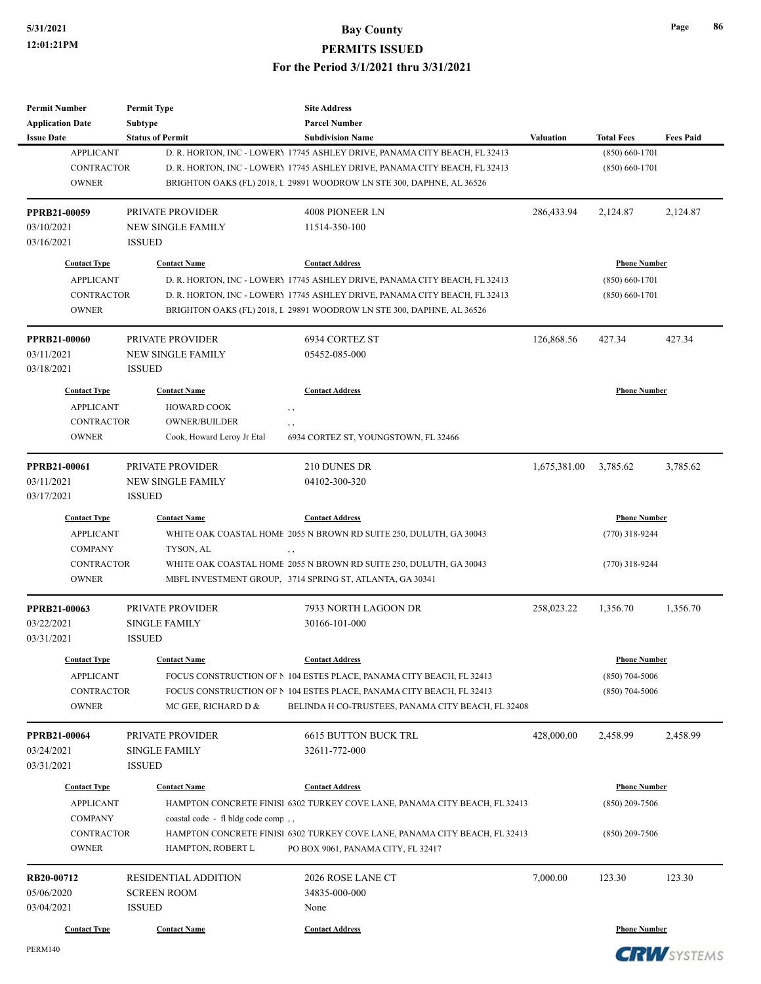| <b>Permit Number</b>    | <b>Permit Type</b>                | <b>Site Address</b>                                                        |                  |                     |                  |
|-------------------------|-----------------------------------|----------------------------------------------------------------------------|------------------|---------------------|------------------|
| <b>Application Date</b> | <b>Subtype</b>                    | <b>Parcel Number</b>                                                       |                  |                     |                  |
| <b>Issue Date</b>       | <b>Status of Permit</b>           | <b>Subdivision Name</b>                                                    | <b>Valuation</b> | <b>Total Fees</b>   | <b>Fees Paid</b> |
| <b>APPLICANT</b>        |                                   | D. R. HORTON, INC - LOWERY 17745 ASHLEY DRIVE, PANAMA CITY BEACH, FL 32413 |                  | $(850) 660 - 1701$  |                  |
| <b>CONTRACTOR</b>       |                                   | D. R. HORTON, INC - LOWERY 17745 ASHLEY DRIVE, PANAMA CITY BEACH, FL 32413 |                  | $(850) 660 - 1701$  |                  |
| <b>OWNER</b>            |                                   | BRIGHTON OAKS (FL) 2018, L 29891 WOODROW LN STE 300, DAPHNE, AL 36526      |                  |                     |                  |
| PPRB21-00059            | <b>PRIVATE PROVIDER</b>           | 4008 PIONEER LN                                                            | 286,433.94       | 2,124.87            | 2,124.87         |
| 03/10/2021              | <b>NEW SINGLE FAMILY</b>          | 11514-350-100                                                              |                  |                     |                  |
| 03/16/2021              | <b>ISSUED</b>                     |                                                                            |                  |                     |                  |
| <b>Contact Type</b>     | <b>Contact Name</b>               | <b>Contact Address</b>                                                     |                  | <b>Phone Number</b> |                  |
| <b>APPLICANT</b>        |                                   | D. R. HORTON, INC - LOWERY 17745 ASHLEY DRIVE, PANAMA CITY BEACH, FL 32413 |                  | $(850) 660 - 1701$  |                  |
| <b>CONTRACTOR</b>       |                                   | D. R. HORTON, INC - LOWERY 17745 ASHLEY DRIVE, PANAMA CITY BEACH, FL 32413 |                  | $(850) 660 - 1701$  |                  |
| <b>OWNER</b>            |                                   | BRIGHTON OAKS (FL) 2018, L 29891 WOODROW LN STE 300, DAPHNE, AL 36526      |                  |                     |                  |
| <b>PPRB21-00060</b>     | <b>PRIVATE PROVIDER</b>           | 6934 CORTEZ ST                                                             | 126,868.56       | 427.34              | 427.34           |
| 03/11/2021              | <b>NEW SINGLE FAMILY</b>          | 05452-085-000                                                              |                  |                     |                  |
| 03/18/2021              | <b>ISSUED</b>                     |                                                                            |                  |                     |                  |
| <b>Contact Type</b>     | <b>Contact Name</b>               | <b>Contact Address</b>                                                     |                  | <b>Phone Number</b> |                  |
| <b>APPLICANT</b>        | <b>HOWARD COOK</b>                |                                                                            |                  |                     |                  |
| <b>CONTRACTOR</b>       | <b>OWNER/BUILDER</b>              | , ,                                                                        |                  |                     |                  |
| <b>OWNER</b>            | Cook, Howard Leroy Jr Etal        | , ,<br>6934 CORTEZ ST, YOUNGSTOWN, FL 32466                                |                  |                     |                  |
|                         |                                   |                                                                            |                  |                     |                  |
| PPRB21-00061            | PRIVATE PROVIDER                  | 210 DUNES DR                                                               | 1,675,381.00     | 3,785.62            | 3,785.62         |
| 03/11/2021              | <b>NEW SINGLE FAMILY</b>          | 04102-300-320                                                              |                  |                     |                  |
| 03/17/2021              | <b>ISSUED</b>                     |                                                                            |                  |                     |                  |
| <b>Contact Type</b>     | <b>Contact Name</b>               | <b>Contact Address</b>                                                     |                  | <b>Phone Number</b> |                  |
| <b>APPLICANT</b>        |                                   | WHITE OAK COASTAL HOME 2055 N BROWN RD SUITE 250, DULUTH, GA 30043         |                  | $(770)$ 318-9244    |                  |
| <b>COMPANY</b>          | TYSON, AL                         | , ,                                                                        |                  |                     |                  |
| <b>CONTRACTOR</b>       |                                   | WHITE OAK COASTAL HOME 2055 N BROWN RD SUITE 250, DULUTH, GA 30043         |                  | $(770)$ 318-9244    |                  |
| <b>OWNER</b>            |                                   | MBFL INVESTMENT GROUP, 3714 SPRING ST, ATLANTA, GA 30341                   |                  |                     |                  |
| PPRB21-00063            | PRIVATE PROVIDER                  | 7933 NORTH LAGOON DR                                                       | 258,023.22       | 1,356.70            | 1,356.70         |
| 03/22/2021              | <b>SINGLE FAMILY</b>              | 30166-101-000                                                              |                  |                     |                  |
| 03/31/2021              | <b>ISSUED</b>                     |                                                                            |                  |                     |                  |
| <b>Contact Type</b>     | <b>Contact Name</b>               | <b>Contact Address</b>                                                     |                  | <b>Phone Number</b> |                  |
| <b>APPLICANT</b>        |                                   | FOCUS CONSTRUCTION OF N 104 ESTES PLACE, PANAMA CITY BEACH, FL 32413       |                  | $(850)$ 704-5006    |                  |
| <b>CONTRACTOR</b>       |                                   | FOCUS CONSTRUCTION OF N 104 ESTES PLACE, PANAMA CITY BEACH, FL 32413       |                  | $(850)$ 704-5006    |                  |
| <b>OWNER</b>            | MC GEE, RICHARD D &               | BELINDA H CO-TRUSTEES, PANAMA CITY BEACH, FL 32408                         |                  |                     |                  |
| PPRB21-00064            | PRIVATE PROVIDER                  | <b>6615 BUTTON BUCK TRL</b>                                                | 428,000.00       | 2,458.99            | 2,458.99         |
| 03/24/2021              | <b>SINGLE FAMILY</b>              | 32611-772-000                                                              |                  |                     |                  |
| 03/31/2021              | <b>ISSUED</b>                     |                                                                            |                  |                     |                  |
| <b>Contact Type</b>     | <b>Contact Name</b>               | <b>Contact Address</b>                                                     |                  | <b>Phone Number</b> |                  |
| <b>APPLICANT</b>        |                                   | HAMPTON CONCRETE FINISI 6302 TURKEY COVE LANE, PANAMA CITY BEACH, FL 32413 |                  | $(850)$ 209-7506    |                  |
| <b>COMPANY</b>          | coastal code - fl bldg code comp, |                                                                            |                  |                     |                  |
| <b>CONTRACTOR</b>       |                                   | HAMPTON CONCRETE FINISI 6302 TURKEY COVE LANE, PANAMA CITY BEACH, FL 32413 |                  | $(850)$ 209-7506    |                  |
| <b>OWNER</b>            | HAMPTON, ROBERT L                 | PO BOX 9061, PANAMA CITY, FL 32417                                         |                  |                     |                  |
| RB20-00712              | RESIDENTIAL ADDITION              | 2026 ROSE LANE CT                                                          | 7,000.00         | 123.30              | 123.30           |
| 05/06/2020              | SCREEN ROOM                       | 34835-000-000                                                              |                  |                     |                  |
| 03/04/2021              | <b>ISSUED</b>                     | None                                                                       |                  |                     |                  |
|                         |                                   |                                                                            |                  |                     |                  |
| <b>Contact Type</b>     | <b>Contact Name</b>               | <b>Contact Address</b>                                                     |                  | <b>Phone Number</b> |                  |

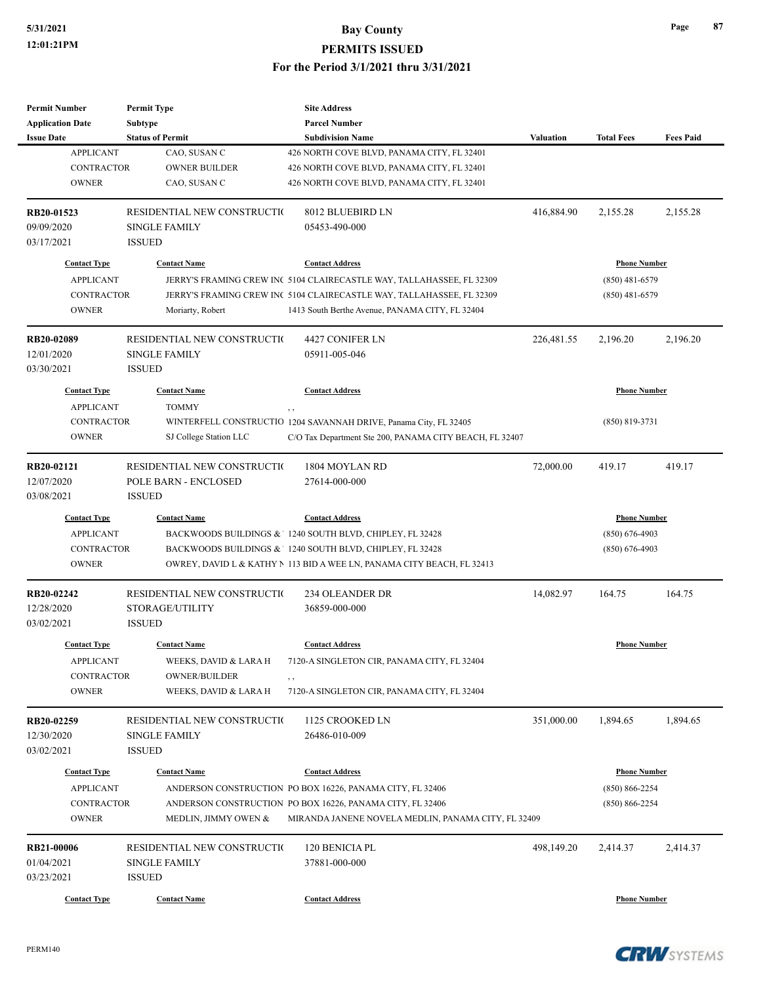| <b>Permit Number</b>                  | <b>Permit Type</b>                      | <b>Site Address</b>                                                      |                  |                     |                  |
|---------------------------------------|-----------------------------------------|--------------------------------------------------------------------------|------------------|---------------------|------------------|
| <b>Application Date</b>               | Subtype                                 | <b>Parcel Number</b>                                                     |                  |                     |                  |
| <b>Issue Date</b><br><b>APPLICANT</b> | <b>Status of Permit</b><br>CAO, SUSAN C | <b>Subdivision Name</b><br>426 NORTH COVE BLVD, PANAMA CITY, FL 32401    | <b>Valuation</b> | <b>Total Fees</b>   | <b>Fees Paid</b> |
| <b>CONTRACTOR</b>                     | <b>OWNER BUILDER</b>                    | 426 NORTH COVE BLVD, PANAMA CITY, FL 32401                               |                  |                     |                  |
| <b>OWNER</b>                          | CAO, SUSAN C                            | 426 NORTH COVE BLVD, PANAMA CITY, FL 32401                               |                  |                     |                  |
|                                       |                                         |                                                                          |                  |                     |                  |
| RB20-01523                            | RESIDENTIAL NEW CONSTRUCTIO             | 8012 BLUEBIRD LN                                                         | 416,884.90       | 2,155.28            | 2,155.28         |
| 09/09/2020                            | <b>SINGLE FAMILY</b>                    | 05453-490-000                                                            |                  |                     |                  |
| 03/17/2021                            | <b>ISSUED</b>                           |                                                                          |                  |                     |                  |
| <b>Contact Type</b>                   | <b>Contact Name</b>                     | <b>Contact Address</b>                                                   |                  | <b>Phone Number</b> |                  |
| <b>APPLICANT</b>                      |                                         | JERRY'S FRAMING CREW INC 5104 CLAIRECASTLE WAY, TALLAHASSEE, FL 32309    |                  | $(850)$ 481-6579    |                  |
| <b>CONTRACTOR</b>                     |                                         | JERRY'S FRAMING CREW INC 5104 CLAIRECASTLE WAY, TALLAHASSEE, FL 32309    |                  | $(850)$ 481-6579    |                  |
| <b>OWNER</b>                          | Moriarty, Robert                        | 1413 South Berthe Avenue, PANAMA CITY, FL 32404                          |                  |                     |                  |
|                                       |                                         |                                                                          |                  |                     |                  |
| RB20-02089                            | RESIDENTIAL NEW CONSTRUCTIO             | 4427 CONIFER LN                                                          | 226,481.55       | 2,196.20            | 2,196.20         |
| 12/01/2020                            | <b>SINGLE FAMILY</b>                    | 05911-005-046                                                            |                  |                     |                  |
| 03/30/2021                            | <b>ISSUED</b>                           |                                                                          |                  |                     |                  |
| <b>Contact Type</b>                   | <b>Contact Name</b>                     | <b>Contact Address</b>                                                   |                  | <b>Phone Number</b> |                  |
| <b>APPLICANT</b>                      | <b>TOMMY</b>                            |                                                                          |                  |                     |                  |
| <b>CONTRACTOR</b>                     |                                         | , ,<br>WINTERFELL CONSTRUCTIO 1204 SAVANNAH DRIVE, Panama City, FL 32405 |                  | $(850)$ 819-3731    |                  |
| <b>OWNER</b>                          | SJ College Station LLC                  | C/O Tax Department Ste 200, PANAMA CITY BEACH, FL 32407                  |                  |                     |                  |
|                                       |                                         |                                                                          |                  |                     |                  |
| RB20-02121                            | RESIDENTIAL NEW CONSTRUCTIO             | 1804 MOYLAN RD                                                           | 72,000.00        | 419.17              | 419.17           |
| 12/07/2020                            | POLE BARN - ENCLOSED                    | 27614-000-000                                                            |                  |                     |                  |
| 03/08/2021                            | <b>ISSUED</b>                           |                                                                          |                  |                     |                  |
| <b>Contact Type</b>                   | <b>Contact Name</b>                     | <b>Contact Address</b>                                                   |                  | <b>Phone Number</b> |                  |
| <b>APPLICANT</b>                      |                                         | BACKWOODS BUILDINGS & 1240 SOUTH BLVD, CHIPLEY, FL 32428                 |                  | $(850) 676 - 4903$  |                  |
| <b>CONTRACTOR</b>                     |                                         | BACKWOODS BUILDINGS & 1240 SOUTH BLVD, CHIPLEY, FL 32428                 |                  | $(850)$ 676-4903    |                  |
| <b>OWNER</b>                          |                                         | OWREY, DAVID L & KATHY N 113 BID A WEE LN, PANAMA CITY BEACH, FL 32413   |                  |                     |                  |
|                                       |                                         |                                                                          |                  |                     |                  |
| RB20-02242                            | RESIDENTIAL NEW CONSTRUCTIO             | 234 OLEANDER DR                                                          | 14,082.97        | 164.75              | 164.75           |
| 12/28/2020<br>03/02/2021              | STORAGE/UTILITY<br><b>ISSUED</b>        | 36859-000-000                                                            |                  |                     |                  |
|                                       |                                         |                                                                          |                  |                     |                  |
| <b>Contact Type</b>                   | <b>Contact Name</b>                     | <b>Contact Address</b>                                                   |                  | <b>Phone Number</b> |                  |
| <b>APPLICANT</b>                      | WEEKS, DAVID & LARA H                   | 7120-A SINGLETON CIR, PANAMA CITY, FL 32404                              |                  |                     |                  |
| <b>CONTRACTOR</b>                     | OWNER/BUILDER                           | $, \, ,$                                                                 |                  |                     |                  |
| <b>OWNER</b>                          | WEEKS, DAVID & LARA H                   | 7120-A SINGLETON CIR, PANAMA CITY, FL 32404                              |                  |                     |                  |
| RB20-02259                            | RESIDENTIAL NEW CONSTRUCTIO             | 1125 CROOKED LN                                                          | 351,000.00       | 1,894.65            | 1,894.65         |
| 12/30/2020                            | <b>SINGLE FAMILY</b>                    | 26486-010-009                                                            |                  |                     |                  |
| 03/02/2021                            | <b>ISSUED</b>                           |                                                                          |                  |                     |                  |
|                                       |                                         |                                                                          |                  |                     |                  |
| <b>Contact Type</b>                   | <b>Contact Name</b>                     | <b>Contact Address</b>                                                   |                  | <b>Phone Number</b> |                  |
| <b>APPLICANT</b>                      |                                         | ANDERSON CONSTRUCTION PO BOX 16226, PANAMA CITY, FL 32406                |                  | $(850) 866 - 2254$  |                  |
| <b>CONTRACTOR</b>                     |                                         | ANDERSON CONSTRUCTION PO BOX 16226, PANAMA CITY, FL 32406                |                  | $(850) 866 - 2254$  |                  |
| <b>OWNER</b>                          | MEDLIN, JIMMY OWEN &                    | MIRANDA JANENE NOVELA MEDLIN, PANAMA CITY, FL 32409                      |                  |                     |                  |
| <b>RB21-00006</b>                     | RESIDENTIAL NEW CONSTRUCTIO             | 120 BENICIA PL                                                           | 498,149.20       | 2,414.37            | 2,414.37         |
| 01/04/2021                            | <b>SINGLE FAMILY</b>                    | 37881-000-000                                                            |                  |                     |                  |
| 03/23/2021                            | <b>ISSUED</b>                           |                                                                          |                  |                     |                  |
|                                       |                                         |                                                                          |                  |                     |                  |
| <b>Contact Type</b>                   | <b>Contact Name</b>                     | <b>Contact Address</b>                                                   |                  | <b>Phone Number</b> |                  |

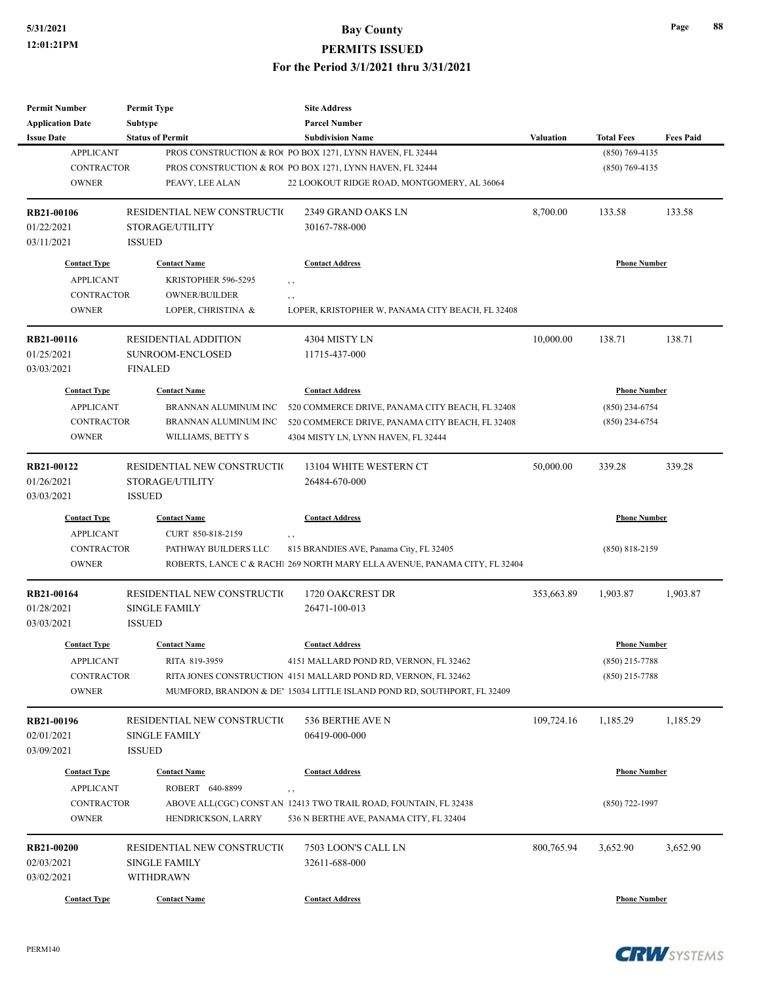| <b>Permit Number</b>    | <b>Permit Type</b>          | <b>Site Address</b>                                                        |                  |                     |                  |
|-------------------------|-----------------------------|----------------------------------------------------------------------------|------------------|---------------------|------------------|
| <b>Application Date</b> | Subtype                     | <b>Parcel Number</b>                                                       |                  |                     |                  |
| <b>Issue Date</b>       | <b>Status of Permit</b>     | <b>Subdivision Name</b>                                                    | <b>Valuation</b> | <b>Total Fees</b>   | <b>Fees Paid</b> |
| <b>APPLICANT</b>        |                             | PROS CONSTRUCTION & ROC PO BOX 1271, LYNN HAVEN, FL 32444                  |                  | $(850)$ 769-4135    |                  |
| <b>CONTRACTOR</b>       |                             | PROS CONSTRUCTION & RO( PO BOX 1271, LYNN HAVEN, FL 32444                  |                  | $(850)$ 769-4135    |                  |
| <b>OWNER</b>            | PEAVY, LEE ALAN             | 22 LOOKOUT RIDGE ROAD, MONTGOMERY, AL 36064                                |                  |                     |                  |
| RB21-00106              | RESIDENTIAL NEW CONSTRUCTIO | 2349 GRAND OAKS LN                                                         | 8,700.00         | 133.58              | 133.58           |
| 01/22/2021              | STORAGE/UTILITY             | 30167-788-000                                                              |                  |                     |                  |
| 03/11/2021              | <b>ISSUED</b>               |                                                                            |                  |                     |                  |
| <b>Contact Type</b>     | <b>Contact Name</b>         | <b>Contact Address</b>                                                     |                  | <b>Phone Number</b> |                  |
| <b>APPLICANT</b>        | KRISTOPHER 596-5295         | $, \, , \,$                                                                |                  |                     |                  |
| <b>CONTRACTOR</b>       | OWNER/BUILDER               | , ,                                                                        |                  |                     |                  |
| <b>OWNER</b>            | LOPER, CHRISTINA &          | LOPER, KRISTOPHER W, PANAMA CITY BEACH, FL 32408                           |                  |                     |                  |
| <b>RB21-00116</b>       | <b>RESIDENTIAL ADDITION</b> | 4304 MISTY LN                                                              | 10,000.00        | 138.71              | 138.71           |
| 01/25/2021              | SUNROOM-ENCLOSED            | 11715-437-000                                                              |                  |                     |                  |
| 03/03/2021              | <b>FINALED</b>              |                                                                            |                  |                     |                  |
| <b>Contact Type</b>     | <b>Contact Name</b>         | <b>Contact Address</b>                                                     |                  | <b>Phone Number</b> |                  |
| <b>APPLICANT</b>        | BRANNAN ALUMINUM INC        | 520 COMMERCE DRIVE, PANAMA CITY BEACH, FL 32408                            |                  | $(850)$ 234-6754    |                  |
| <b>CONTRACTOR</b>       | BRANNAN ALUMINUM INC        | 520 COMMERCE DRIVE, PANAMA CITY BEACH, FL 32408                            |                  | $(850)$ 234-6754    |                  |
| <b>OWNER</b>            | WILLIAMS, BETTY S           | 4304 MISTY LN, LYNN HAVEN, FL 32444                                        |                  |                     |                  |
|                         |                             |                                                                            |                  |                     |                  |
| RB21-00122              | RESIDENTIAL NEW CONSTRUCTIO | 13104 WHITE WESTERN CT                                                     | 50,000.00        | 339.28              | 339.28           |
| 01/26/2021              | STORAGE/UTILITY             | 26484-670-000                                                              |                  |                     |                  |
| 03/03/2021              | <b>ISSUED</b>               |                                                                            |                  |                     |                  |
| <b>Contact Type</b>     | <b>Contact Name</b>         | <b>Contact Address</b>                                                     |                  | <b>Phone Number</b> |                  |
| <b>APPLICANT</b>        | CURT 850-818-2159           | , ,                                                                        |                  |                     |                  |
| <b>CONTRACTOR</b>       | PATHWAY BUILDERS LLC        | 815 BRANDIES AVE, Panama City, FL 32405                                    |                  | $(850) 818 - 2159$  |                  |
| <b>OWNER</b>            |                             | ROBERTS, LANCE C & RACHI 269 NORTH MARY ELLA AVENUE, PANAMA CITY, FL 32404 |                  |                     |                  |
| RB21-00164              | RESIDENTIAL NEW CONSTRUCTIO | 1720 OAKCREST DR                                                           | 353,663.89       | 1,903.87            | 1,903.87         |
| 01/28/2021              | <b>SINGLE FAMILY</b>        | 26471-100-013                                                              |                  |                     |                  |
| 03/03/2021              | <b>ISSUED</b>               |                                                                            |                  |                     |                  |
| <b>Contact Type</b>     | <b>Contact Name</b>         | <b>Contact Address</b>                                                     |                  | <b>Phone Number</b> |                  |
| <b>APPLICANT</b>        | RITA 819-3959               | 4151 MALLARD POND RD, VERNON, FL 32462                                     |                  | (850) 215-7788      |                  |
| <b>CONTRACTOR</b>       |                             | RITA JONES CONSTRUCTION 4151 MALLARD POND RD, VERNON, FL 32462             |                  | $(850)$ 215-7788    |                  |
| <b>OWNER</b>            |                             | MUMFORD, BRANDON & DE' 15034 LITTLE ISLAND POND RD, SOUTHPORT, FL 32409    |                  |                     |                  |
| RB21-00196              | RESIDENTIAL NEW CONSTRUCTIO | 536 BERTHE AVE N                                                           | 109,724.16       | 1,185.29            | 1,185.29         |
| 02/01/2021              | <b>SINGLE FAMILY</b>        | 06419-000-000                                                              |                  |                     |                  |
| 03/09/2021              | <b>ISSUED</b>               |                                                                            |                  |                     |                  |
|                         |                             |                                                                            |                  |                     |                  |
| <b>Contact Type</b>     | <b>Contact Name</b>         | <b>Contact Address</b>                                                     |                  | <b>Phone Number</b> |                  |
| <b>APPLICANT</b>        | ROBERT 640-8899             | , ,                                                                        |                  |                     |                  |
| CONTRACTOR              |                             | ABOVE ALL(CGC) CONST AN 12413 TWO TRAIL ROAD, FOUNTAIN, FL 32438           |                  | $(850)$ 722-1997    |                  |
| <b>OWNER</b>            | HENDRICKSON, LARRY          | 536 N BERTHE AVE, PANAMA CITY, FL 32404                                    |                  |                     |                  |
| RB21-00200              | RESIDENTIAL NEW CONSTRUCTIO | 7503 LOON'S CALL LN                                                        | 800,765.94       | 3,652.90            | 3,652.90         |
| 02/03/2021              | <b>SINGLE FAMILY</b>        | 32611-688-000                                                              |                  |                     |                  |
| 03/02/2021              | <b>WITHDRAWN</b>            |                                                                            |                  |                     |                  |
| <b>Contact Type</b>     |                             | <b>Contact Address</b>                                                     |                  | <b>Phone Number</b> |                  |
|                         | <b>Contact Name</b>         |                                                                            |                  |                     |                  |

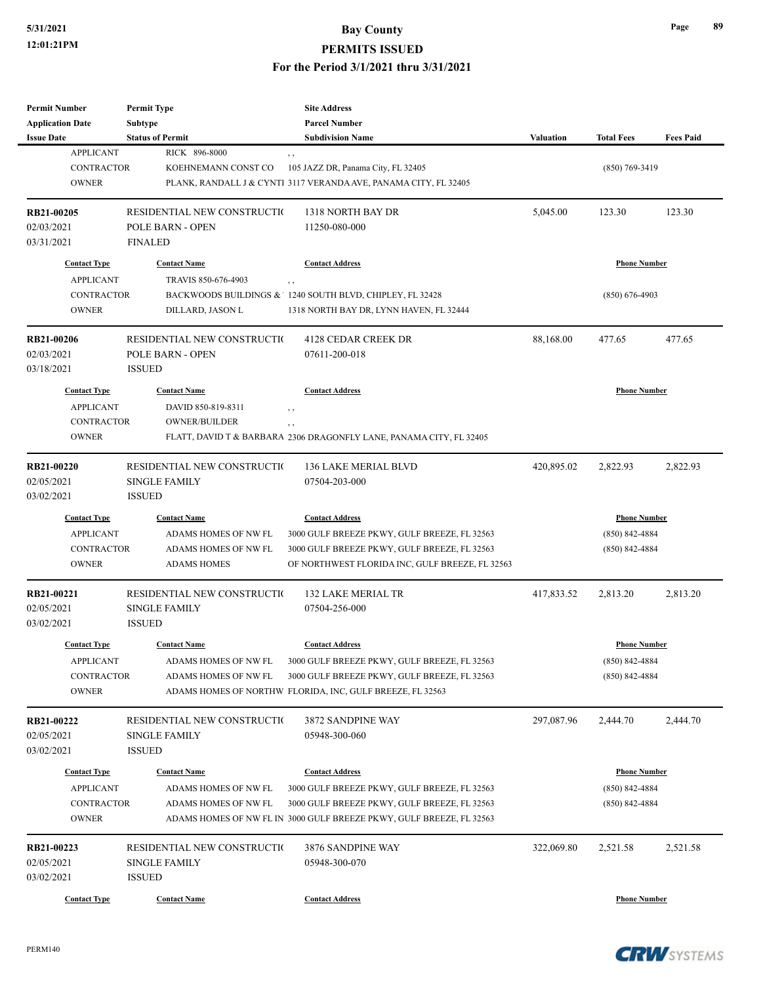| <b>Permit Number</b><br><b>Application Date</b> | <b>Permit Type</b><br><b>Subtype</b> | <b>Site Address</b><br><b>Parcel Number</b>                          |                  |                     |                  |
|-------------------------------------------------|--------------------------------------|----------------------------------------------------------------------|------------------|---------------------|------------------|
| <b>Issue Date</b>                               | <b>Status of Permit</b>              | <b>Subdivision Name</b>                                              | <b>Valuation</b> | <b>Total Fees</b>   | <b>Fees Paid</b> |
| <b>APPLICANT</b>                                | RICK 896-8000                        | , ,                                                                  |                  |                     |                  |
| <b>CONTRACTOR</b>                               | KOEHNEMANN CONST CO                  | 105 JAZZ DR, Panama City, FL 32405                                   |                  | $(850)$ 769-3419    |                  |
| <b>OWNER</b>                                    |                                      | PLANK, RANDALL J & CYNT1 3117 VERANDA AVE, PANAMA CITY, FL 32405     |                  |                     |                  |
| RB21-00205                                      | RESIDENTIAL NEW CONSTRUCTIO          | 1318 NORTH BAY DR                                                    | 5,045.00         | 123.30              | 123.30           |
| 02/03/2021                                      | POLE BARN - OPEN                     | 11250-080-000                                                        |                  |                     |                  |
| 03/31/2021                                      | <b>FINALED</b>                       |                                                                      |                  |                     |                  |
| <b>Contact Type</b>                             | <b>Contact Name</b>                  | <b>Contact Address</b>                                               |                  | <b>Phone Number</b> |                  |
| <b>APPLICANT</b>                                | TRAVIS 850-676-4903                  | , ,                                                                  |                  |                     |                  |
| <b>CONTRACTOR</b>                               |                                      | BACKWOODS BUILDINGS & 1240 SOUTH BLVD, CHIPLEY, FL 32428             |                  | $(850)$ 676-4903    |                  |
| <b>OWNER</b>                                    | DILLARD, JASON L                     | 1318 NORTH BAY DR, LYNN HAVEN, FL 32444                              |                  |                     |                  |
| <b>RB21-00206</b>                               | RESIDENTIAL NEW CONSTRUCTIO          | 4128 CEDAR CREEK DR                                                  | 88,168.00        | 477.65              | 477.65           |
| 02/03/2021                                      | POLE BARN - OPEN                     | 07611-200-018                                                        |                  |                     |                  |
| 03/18/2021                                      | <b>ISSUED</b>                        |                                                                      |                  |                     |                  |
| <b>Contact Type</b>                             | <b>Contact Name</b>                  | <b>Contact Address</b>                                               |                  | <b>Phone Number</b> |                  |
| <b>APPLICANT</b>                                | DAVID 850-819-8311                   | , ,                                                                  |                  |                     |                  |
| <b>CONTRACTOR</b>                               | <b>OWNER/BUILDER</b>                 | $, \, , \,$                                                          |                  |                     |                  |
| <b>OWNER</b>                                    |                                      | FLATT, DAVID T & BARBARA 2306 DRAGONFLY LANE, PANAMA CITY, FL 32405  |                  |                     |                  |
| RB21-00220                                      | RESIDENTIAL NEW CONSTRUCTIO          | <b>136 LAKE MERIAL BLVD</b>                                          | 420,895.02       | 2,822.93            | 2,822.93         |
| 02/05/2021                                      | <b>SINGLE FAMILY</b>                 | 07504-203-000                                                        |                  |                     |                  |
| 03/02/2021                                      | <b>ISSUED</b>                        |                                                                      |                  |                     |                  |
| <b>Contact Type</b>                             | <b>Contact Name</b>                  | <b>Contact Address</b>                                               |                  | <b>Phone Number</b> |                  |
| <b>APPLICANT</b>                                | ADAMS HOMES OF NW FL                 | 3000 GULF BREEZE PKWY, GULF BREEZE, FL 32563                         |                  | $(850) 842 - 4884$  |                  |
| <b>CONTRACTOR</b>                               | ADAMS HOMES OF NW FL                 | 3000 GULF BREEZE PKWY, GULF BREEZE, FL 32563                         |                  | $(850)$ 842-4884    |                  |
| <b>OWNER</b>                                    | <b>ADAMS HOMES</b>                   | OF NORTHWEST FLORIDA INC, GULF BREEZE, FL 32563                      |                  |                     |                  |
| RB21-00221                                      | RESIDENTIAL NEW CONSTRUCTIO          | <b>132 LAKE MERIAL TR</b>                                            | 417,833.52       | 2,813.20            | 2,813.20         |
| 02/05/2021                                      | <b>SINGLE FAMILY</b>                 | 07504-256-000                                                        |                  |                     |                  |
| 03/02/2021                                      | <b>ISSUED</b>                        |                                                                      |                  |                     |                  |
| <b>Contact Type</b>                             | <b>Contact Name</b>                  | <b>Contact Address</b>                                               |                  | <b>Phone Number</b> |                  |
| <b>APPLICANT</b>                                | ADAMS HOMES OF NW FL                 | 3000 GULF BREEZE PKWY, GULF BREEZE, FL 32563                         |                  | (850) 842-4884      |                  |
| CONTRACTOR                                      | ADAMS HOMES OF NW FL                 | 3000 GULF BREEZE PKWY, GULF BREEZE, FL 32563                         |                  | $(850)$ 842-4884    |                  |
| <b>OWNER</b>                                    |                                      | ADAMS HOMES OF NORTHW FLORIDA, INC, GULF BREEZE, FL 32563            |                  |                     |                  |
| RB21-00222                                      | RESIDENTIAL NEW CONSTRUCTIO          | 3872 SANDPINE WAY                                                    | 297,087.96       | 2,444.70            | 2,444.70         |
| 02/05/2021                                      | <b>SINGLE FAMILY</b>                 | 05948-300-060                                                        |                  |                     |                  |
| 03/02/2021                                      | <b>ISSUED</b>                        |                                                                      |                  |                     |                  |
| <b>Contact Type</b>                             | <b>Contact Name</b>                  | <b>Contact Address</b>                                               |                  | <b>Phone Number</b> |                  |
| <b>APPLICANT</b>                                | ADAMS HOMES OF NW FL                 | 3000 GULF BREEZE PKWY, GULF BREEZE, FL 32563                         |                  | $(850)$ 842-4884    |                  |
| <b>CONTRACTOR</b>                               | ADAMS HOMES OF NW FL                 | 3000 GULF BREEZE PKWY, GULF BREEZE, FL 32563                         |                  | $(850)$ 842-4884    |                  |
| <b>OWNER</b>                                    |                                      | ADAMS HOMES OF NW FL IN 3000 GULF BREEZE PKWY, GULF BREEZE, FL 32563 |                  |                     |                  |
| RB21-00223                                      | RESIDENTIAL NEW CONSTRUCTIO          | 3876 SANDPINE WAY                                                    | 322,069.80       | 2,521.58            | 2,521.58         |
| 02/05/2021                                      | <b>SINGLE FAMILY</b>                 | 05948-300-070                                                        |                  |                     |                  |
| 03/02/2021                                      | <b>ISSUED</b>                        |                                                                      |                  |                     |                  |
| <b>Contact Type</b>                             | <b>Contact Name</b>                  | <b>Contact Address</b>                                               |                  | <b>Phone Number</b> |                  |

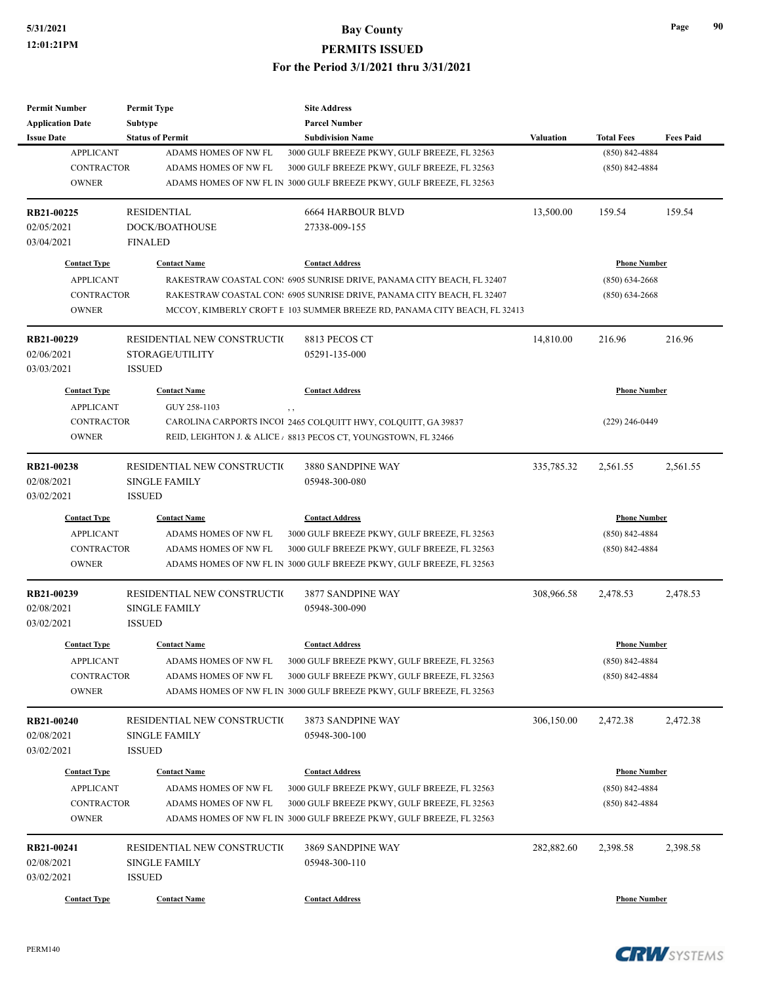| <b>Permit Number</b>     | <b>Permit Type</b>                                  | <b>Site Address</b>                                                       |                  |                     |                  |
|--------------------------|-----------------------------------------------------|---------------------------------------------------------------------------|------------------|---------------------|------------------|
| <b>Application Date</b>  | Subtype                                             | <b>Parcel Number</b>                                                      |                  |                     |                  |
| <b>Issue Date</b>        | <b>Status of Permit</b>                             | <b>Subdivision Name</b>                                                   | <b>Valuation</b> | <b>Total Fees</b>   | <b>Fees Paid</b> |
| <b>APPLICANT</b>         | ADAMS HOMES OF NW FL                                | 3000 GULF BREEZE PKWY, GULF BREEZE, FL 32563                              |                  | (850) 842-4884      |                  |
| <b>CONTRACTOR</b>        | ADAMS HOMES OF NW FL                                | 3000 GULF BREEZE PKWY, GULF BREEZE, FL 32563                              |                  | (850) 842-4884      |                  |
| <b>OWNER</b>             |                                                     | ADAMS HOMES OF NW FL IN 3000 GULF BREEZE PKWY, GULF BREEZE, FL 32563      |                  |                     |                  |
| RB21-00225               | <b>RESIDENTIAL</b>                                  | <b>6664 HARBOUR BLVD</b>                                                  | 13,500.00        | 159.54              | 159.54           |
| 02/05/2021               | DOCK/BOATHOUSE                                      | 27338-009-155                                                             |                  |                     |                  |
| 03/04/2021               | <b>FINALED</b>                                      |                                                                           |                  |                     |                  |
| <b>Contact Type</b>      | <b>Contact Name</b>                                 | <b>Contact Address</b>                                                    |                  | <b>Phone Number</b> |                  |
| <b>APPLICANT</b>         |                                                     | RAKESTRAW COASTAL CON: 6905 SUNRISE DRIVE, PANAMA CITY BEACH, FL 32407    |                  | $(850) 634 - 2668$  |                  |
| <b>CONTRACTOR</b>        |                                                     | RAKESTRAW COASTAL CON: 6905 SUNRISE DRIVE, PANAMA CITY BEACH, FL 32407    |                  | $(850)$ 634-2668    |                  |
| <b>OWNER</b>             |                                                     | MCCOY, KIMBERLY CROFT E 103 SUMMER BREEZE RD, PANAMA CITY BEACH, FL 32413 |                  |                     |                  |
| RB21-00229               | RESIDENTIAL NEW CONSTRUCTIO                         | 8813 PECOS CT                                                             | 14,810.00        | 216.96              | 216.96           |
| 02/06/2021               | STORAGE/UTILITY                                     | 05291-135-000                                                             |                  |                     |                  |
| 03/03/2021               | <b>ISSUED</b>                                       |                                                                           |                  |                     |                  |
| <b>Contact Type</b>      | <b>Contact Name</b>                                 | <b>Contact Address</b>                                                    |                  | <b>Phone Number</b> |                  |
| <b>APPLICANT</b>         | GUY 258-1103                                        | , ,                                                                       |                  |                     |                  |
| <b>CONTRACTOR</b>        |                                                     | CAROLINA CARPORTS INCOI 2465 COLQUITT HWY, COLQUITT, GA 39837             |                  | (229) 246-0449      |                  |
| <b>OWNER</b>             |                                                     | REID, LEIGHTON J. & ALICE / 8813 PECOS CT, YOUNGSTOWN, FL 32466           |                  |                     |                  |
|                          |                                                     |                                                                           |                  |                     |                  |
| RB21-00238<br>02/08/2021 | RESIDENTIAL NEW CONSTRUCTIO<br><b>SINGLE FAMILY</b> | 3880 SANDPINE WAY<br>05948-300-080                                        | 335,785.32       | 2,561.55            | 2,561.55         |
| 03/02/2021               | <b>ISSUED</b>                                       |                                                                           |                  |                     |                  |
|                          |                                                     |                                                                           |                  |                     |                  |
| <b>Contact Type</b>      | <b>Contact Name</b>                                 | <b>Contact Address</b>                                                    |                  | <b>Phone Number</b> |                  |
| <b>APPLICANT</b>         | ADAMS HOMES OF NW FL                                | 3000 GULF BREEZE PKWY, GULF BREEZE, FL 32563                              |                  | (850) 842-4884      |                  |
| <b>CONTRACTOR</b>        | ADAMS HOMES OF NW FL                                | 3000 GULF BREEZE PKWY, GULF BREEZE, FL 32563                              |                  | (850) 842-4884      |                  |
| <b>OWNER</b>             |                                                     | ADAMS HOMES OF NW FL IN 3000 GULF BREEZE PKWY, GULF BREEZE, FL 32563      |                  |                     |                  |
| RB21-00239               | RESIDENTIAL NEW CONSTRUCTIO                         | 3877 SANDPINE WAY                                                         | 308,966.58       | 2,478.53            | 2,478.53         |
| 02/08/2021               | <b>SINGLE FAMILY</b>                                | 05948-300-090                                                             |                  |                     |                  |
| 03/02/2021               | <b>ISSUED</b>                                       |                                                                           |                  |                     |                  |
| <b>Contact Type</b>      | <b>Contact Name</b>                                 | <b>Contact Address</b>                                                    |                  | <b>Phone Number</b> |                  |
| <b>APPLICANT</b>         | ADAMS HOMES OF NW FL                                | 3000 GULF BREEZE PKWY, GULF BREEZE, FL 32563                              |                  | (850) 842-4884      |                  |
| <b>CONTRACTOR</b>        | ADAMS HOMES OF NW FL                                | 3000 GULF BREEZE PKWY, GULF BREEZE, FL 32563                              |                  | (850) 842-4884      |                  |
| <b>OWNER</b>             |                                                     | ADAMS HOMES OF NW FL IN 3000 GULF BREEZE PKWY, GULF BREEZE, FL 32563      |                  |                     |                  |
| RB21-00240               | RESIDENTIAL NEW CONSTRUCTIO                         | 3873 SANDPINE WAY                                                         | 306,150.00       | 2,472.38            | 2,472.38         |
| 02/08/2021               | <b>SINGLE FAMILY</b>                                | 05948-300-100                                                             |                  |                     |                  |
| 03/02/2021               | ISSUED                                              |                                                                           |                  |                     |                  |
|                          |                                                     |                                                                           |                  |                     |                  |
| <b>Contact Type</b>      | <b>Contact Name</b>                                 | <b>Contact Address</b>                                                    |                  | <b>Phone Number</b> |                  |
| <b>APPLICANT</b>         | ADAMS HOMES OF NW FL                                | 3000 GULF BREEZE PKWY, GULF BREEZE, FL 32563                              |                  | (850) 842-4884      |                  |
| <b>CONTRACTOR</b>        | ADAMS HOMES OF NW FL                                | 3000 GULF BREEZE PKWY, GULF BREEZE, FL 32563                              |                  | (850) 842-4884      |                  |
| <b>OWNER</b>             |                                                     | ADAMS HOMES OF NW FL IN 3000 GULF BREEZE PKWY, GULF BREEZE, FL 32563      |                  |                     |                  |
| RB21-00241               | RESIDENTIAL NEW CONSTRUCTIO                         | 3869 SANDPINE WAY                                                         | 282,882.60       | 2,398.58            | 2,398.58         |
| 02/08/2021               | SINGLE FAMILY                                       | 05948-300-110                                                             |                  |                     |                  |
| 03/02/2021               | <b>ISSUED</b>                                       |                                                                           |                  |                     |                  |
| <b>Contact Type</b>      | <b>Contact Name</b>                                 | <b>Contact Address</b>                                                    |                  | <b>Phone Number</b> |                  |
|                          |                                                     |                                                                           |                  |                     |                  |

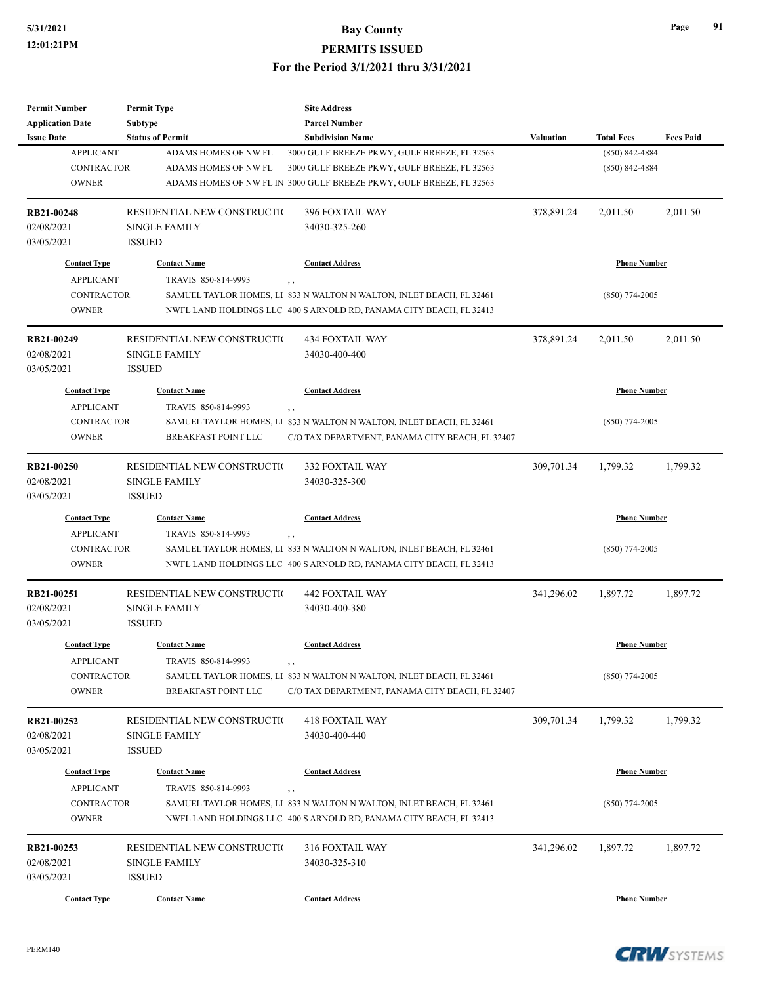| <b>Permit Number</b>    | <b>Permit Type</b>          | <b>Site Address</b>                                                  |                  |                     |                  |
|-------------------------|-----------------------------|----------------------------------------------------------------------|------------------|---------------------|------------------|
| <b>Application Date</b> | Subtype                     | <b>Parcel Number</b>                                                 |                  |                     |                  |
| <b>Issue Date</b>       | <b>Status of Permit</b>     | <b>Subdivision Name</b>                                              | <b>Valuation</b> | <b>Total Fees</b>   | <b>Fees Paid</b> |
| <b>APPLICANT</b>        | ADAMS HOMES OF NW FL        | 3000 GULF BREEZE PKWY, GULF BREEZE, FL 32563                         |                  | $(850) 842 - 4884$  |                  |
| <b>CONTRACTOR</b>       | ADAMS HOMES OF NW FL        | 3000 GULF BREEZE PKWY, GULF BREEZE, FL 32563                         |                  | $(850) 842 - 4884$  |                  |
| <b>OWNER</b>            |                             | ADAMS HOMES OF NW FL IN 3000 GULF BREEZE PKWY, GULF BREEZE, FL 32563 |                  |                     |                  |
| <b>RB21-00248</b>       | RESIDENTIAL NEW CONSTRUCTIO | <b>396 FOXTAIL WAY</b>                                               | 378,891.24       | 2,011.50            | 2,011.50         |
| 02/08/2021              | <b>SINGLE FAMILY</b>        | 34030-325-260                                                        |                  |                     |                  |
| 03/05/2021              | <b>ISSUED</b>               |                                                                      |                  |                     |                  |
| <b>Contact Type</b>     | <b>Contact Name</b>         | <b>Contact Address</b>                                               |                  | <b>Phone Number</b> |                  |
| <b>APPLICANT</b>        | TRAVIS 850-814-9993         | , ,                                                                  |                  |                     |                  |
| <b>CONTRACTOR</b>       |                             | SAMUEL TAYLOR HOMES, LI 833 N WALTON N WALTON, INLET BEACH, FL 32461 |                  | $(850)$ 774-2005    |                  |
| <b>OWNER</b>            |                             | NWFL LAND HOLDINGS LLC 400 S ARNOLD RD, PANAMA CITY BEACH, FL 32413  |                  |                     |                  |
| RB21-00249              | RESIDENTIAL NEW CONSTRUCTIO | <b>434 FOXTAIL WAY</b>                                               | 378,891.24       | 2,011.50            | 2,011.50         |
| 02/08/2021              | <b>SINGLE FAMILY</b>        | 34030-400-400                                                        |                  |                     |                  |
| 03/05/2021              | <b>ISSUED</b>               |                                                                      |                  |                     |                  |
| <b>Contact Type</b>     | <b>Contact Name</b>         | <b>Contact Address</b>                                               |                  | <b>Phone Number</b> |                  |
| <b>APPLICANT</b>        | TRAVIS 850-814-9993         | $, \, ,$                                                             |                  |                     |                  |
| <b>CONTRACTOR</b>       |                             | SAMUEL TAYLOR HOMES, LI 833 N WALTON N WALTON, INLET BEACH, FL 32461 |                  | $(850)$ 774-2005    |                  |
| <b>OWNER</b>            | BREAKFAST POINT LLC         | C/O TAX DEPARTMENT, PANAMA CITY BEACH, FL 32407                      |                  |                     |                  |
| RB21-00250              | RESIDENTIAL NEW CONSTRUCTIO | <b>332 FOXTAIL WAY</b>                                               | 309,701.34       | 1,799.32            | 1,799.32         |
| 02/08/2021              | <b>SINGLE FAMILY</b>        | 34030-325-300                                                        |                  |                     |                  |
| 03/05/2021              | <b>ISSUED</b>               |                                                                      |                  |                     |                  |
| <b>Contact Type</b>     | <b>Contact Name</b>         | <b>Contact Address</b>                                               |                  | <b>Phone Number</b> |                  |
| <b>APPLICANT</b>        | TRAVIS 850-814-9993         | , ,                                                                  |                  |                     |                  |
| <b>CONTRACTOR</b>       |                             | SAMUEL TAYLOR HOMES, LI 833 N WALTON N WALTON, INLET BEACH, FL 32461 |                  | $(850)$ 774-2005    |                  |
| <b>OWNER</b>            |                             | NWFL LAND HOLDINGS LLC 400 S ARNOLD RD, PANAMA CITY BEACH, FL 32413  |                  |                     |                  |
| RB21-00251              | RESIDENTIAL NEW CONSTRUCTIO | <b>442 FOXTAIL WAY</b>                                               | 341,296.02       | 1,897.72            | 1,897.72         |
| 02/08/2021              | <b>SINGLE FAMILY</b>        | 34030-400-380                                                        |                  |                     |                  |
| 03/05/2021              | <b>ISSUED</b>               |                                                                      |                  |                     |                  |
| <b>Contact Type</b>     | <b>Contact Name</b>         | <b>Contact Address</b>                                               |                  | <b>Phone Number</b> |                  |
| APPLICANT               | TRAVIS 850-814-9993         | $, \, , \,$                                                          |                  |                     |                  |
| CONTRACTOR              |                             | SAMUEL TAYLOR HOMES, LI 833 N WALTON N WALTON, INLET BEACH, FL 32461 |                  | $(850)$ 774-2005    |                  |
| <b>OWNER</b>            | <b>BREAKFAST POINT LLC</b>  | C/O TAX DEPARTMENT, PANAMA CITY BEACH, FL 32407                      |                  |                     |                  |
| RB21-00252              | RESIDENTIAL NEW CONSTRUCTIO | <b>418 FOXTAIL WAY</b>                                               | 309,701.34       | 1,799.32            | 1,799.32         |
| 02/08/2021              | <b>SINGLE FAMILY</b>        | 34030-400-440                                                        |                  |                     |                  |
| 03/05/2021              | <b>ISSUED</b>               |                                                                      |                  |                     |                  |
| <b>Contact Type</b>     | <b>Contact Name</b>         | <b>Contact Address</b>                                               |                  | <b>Phone Number</b> |                  |
| <b>APPLICANT</b>        | TRAVIS 850-814-9993         | , ,                                                                  |                  |                     |                  |
| CONTRACTOR              |                             | SAMUEL TAYLOR HOMES, LI 833 N WALTON N WALTON, INLET BEACH, FL 32461 |                  | $(850)$ 774-2005    |                  |
| <b>OWNER</b>            |                             | NWFL LAND HOLDINGS LLC 400 S ARNOLD RD, PANAMA CITY BEACH, FL 32413  |                  |                     |                  |
| RB21-00253              | RESIDENTIAL NEW CONSTRUCTIO | 316 FOXTAIL WAY                                                      | 341,296.02       | 1,897.72            | 1,897.72         |
| 02/08/2021              | <b>SINGLE FAMILY</b>        | 34030-325-310                                                        |                  |                     |                  |
| 03/05/2021              | <b>ISSUED</b>               |                                                                      |                  |                     |                  |
|                         |                             |                                                                      |                  |                     |                  |
| <b>Contact Type</b>     | <b>Contact Name</b>         | <b>Contact Address</b>                                               |                  | <b>Phone Number</b> |                  |

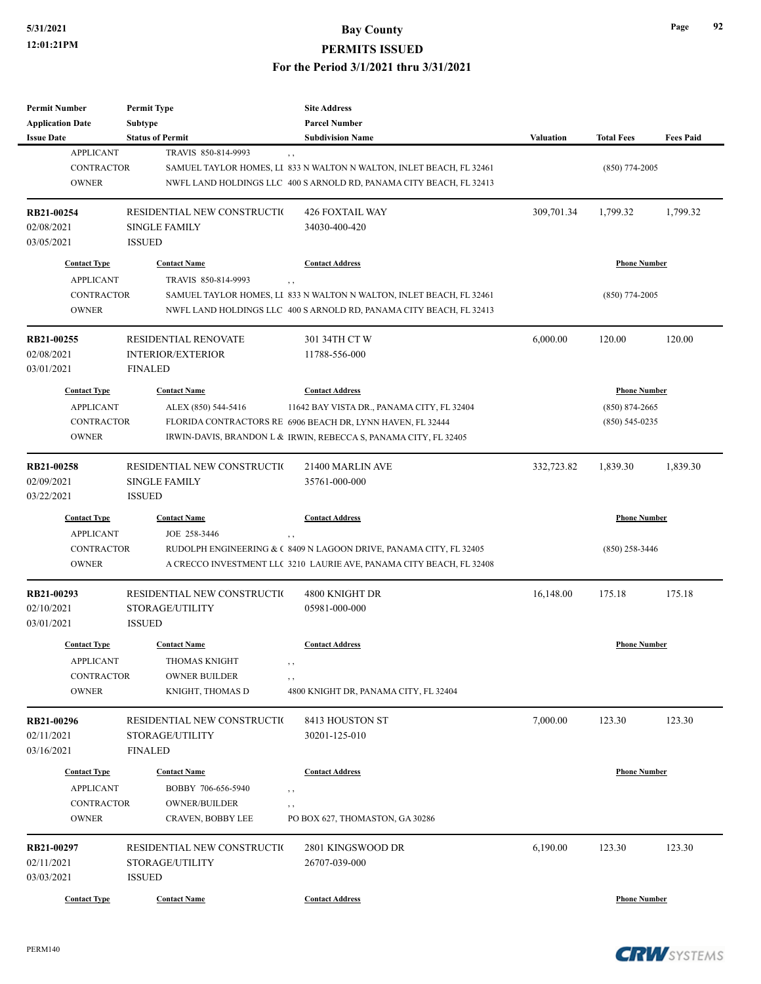| <b>Permit Number</b>    | <b>Permit Type</b>                  | <b>Site Address</b>                                                  |                  |                     |                  |
|-------------------------|-------------------------------------|----------------------------------------------------------------------|------------------|---------------------|------------------|
| <b>Application Date</b> | Subtype                             | <b>Parcel Number</b>                                                 |                  |                     |                  |
| <b>Issue Date</b>       | <b>Status of Permit</b>             | <b>Subdivision Name</b>                                              | <b>Valuation</b> | <b>Total Fees</b>   | <b>Fees Paid</b> |
| <b>APPLICANT</b>        | TRAVIS 850-814-9993<br>$, \, ,$     |                                                                      |                  |                     |                  |
| <b>CONTRACTOR</b>       |                                     | SAMUEL TAYLOR HOMES, LI 833 N WALTON N WALTON, INLET BEACH, FL 32461 |                  | $(850)$ 774-2005    |                  |
| <b>OWNER</b>            |                                     | NWFL LAND HOLDINGS LLC 400 S ARNOLD RD, PANAMA CITY BEACH, FL 32413  |                  |                     |                  |
|                         |                                     |                                                                      |                  |                     |                  |
| RB21-00254              | RESIDENTIAL NEW CONSTRUCTIO         | <b>426 FOXTAIL WAY</b>                                               | 309,701.34       | 1,799.32            | 1,799.32         |
| 02/08/2021              | <b>SINGLE FAMILY</b>                | 34030-400-420                                                        |                  |                     |                  |
| 03/05/2021              | <b>ISSUED</b>                       |                                                                      |                  |                     |                  |
| <b>Contact Type</b>     | <b>Contact Name</b>                 | <b>Contact Address</b>                                               |                  | <b>Phone Number</b> |                  |
| <b>APPLICANT</b>        | TRAVIS 850-814-9993<br>, ,          |                                                                      |                  |                     |                  |
| <b>CONTRACTOR</b>       |                                     | SAMUEL TAYLOR HOMES, LI 833 N WALTON N WALTON, INLET BEACH, FL 32461 |                  | $(850)$ 774-2005    |                  |
| <b>OWNER</b>            |                                     | NWFL LAND HOLDINGS LLC 400 S ARNOLD RD, PANAMA CITY BEACH, FL 32413  |                  |                     |                  |
|                         |                                     |                                                                      |                  |                     |                  |
| RB21-00255              | RESIDENTIAL RENOVATE                | 301 34TH CTW                                                         | 6,000.00         | 120.00              | 120.00           |
| 02/08/2021              | <b>INTERIOR/EXTERIOR</b>            | 11788-556-000                                                        |                  |                     |                  |
| 03/01/2021              | <b>FINALED</b>                      |                                                                      |                  |                     |                  |
| <b>Contact Type</b>     | <b>Contact Name</b>                 | <b>Contact Address</b>                                               |                  | <b>Phone Number</b> |                  |
| <b>APPLICANT</b>        |                                     |                                                                      |                  |                     |                  |
|                         | ALEX (850) 544-5416                 | 11642 BAY VISTA DR., PANAMA CITY, FL 32404                           |                  | $(850) 874 - 2665$  |                  |
| CONTRACTOR              |                                     | FLORIDA CONTRACTORS RE 6906 BEACH DR, LYNN HAVEN, FL 32444           |                  | $(850)$ 545-0235    |                  |
| <b>OWNER</b>            |                                     | IRWIN-DAVIS, BRANDON L & IRWIN, REBECCA S, PANAMA CITY, FL 32405     |                  |                     |                  |
| RB21-00258              | RESIDENTIAL NEW CONSTRUCTIO         | 21400 MARLIN AVE                                                     | 332,723.82       | 1,839.30            | 1,839.30         |
| 02/09/2021              | <b>SINGLE FAMILY</b>                | 35761-000-000                                                        |                  |                     |                  |
| 03/22/2021              | <b>ISSUED</b>                       |                                                                      |                  |                     |                  |
|                         |                                     |                                                                      |                  |                     |                  |
| <b>Contact Type</b>     | <b>Contact Name</b>                 | <b>Contact Address</b>                                               |                  | <b>Phone Number</b> |                  |
| <b>APPLICANT</b>        | JOE 258-3446<br>, ,                 |                                                                      |                  |                     |                  |
| CONTRACTOR              |                                     | RUDOLPH ENGINEERING & C 8409 N LAGOON DRIVE, PANAMA CITY, FL 32405   |                  | $(850)$ 258-3446    |                  |
| <b>OWNER</b>            |                                     | A CRECCO INVESTMENT LLC 3210 LAURIE AVE, PANAMA CITY BEACH, FL 32408 |                  |                     |                  |
| RB21-00293              | RESIDENTIAL NEW CONSTRUCTIO         | 4800 KNIGHT DR                                                       | 16,148.00        | 175.18              | 175.18           |
| 02/10/2021              | STORAGE/UTILITY                     | 05981-000-000                                                        |                  |                     |                  |
| 03/01/2021              | <b>ISSUED</b>                       |                                                                      |                  |                     |                  |
|                         |                                     |                                                                      |                  |                     |                  |
| <b>Contact Type</b>     | <b>Contact Name</b>                 | <b>Contact Address</b>                                               |                  | <b>Phone Number</b> |                  |
| <b>APPLICANT</b>        | THOMAS KNIGHT<br>, ,                |                                                                      |                  |                     |                  |
| CONTRACTOR              | <b>OWNER BUILDER</b><br>$, \, , \,$ |                                                                      |                  |                     |                  |
| <b>OWNER</b>            | KNIGHT, THOMAS D                    | 4800 KNIGHT DR, PANAMA CITY, FL 32404                                |                  |                     |                  |
|                         |                                     |                                                                      |                  |                     |                  |
| RB21-00296              | RESIDENTIAL NEW CONSTRUCTIO         | 8413 HOUSTON ST                                                      | 7,000.00         | 123.30              | 123.30           |
| 02/11/2021              | STORAGE/UTILITY                     | 30201-125-010                                                        |                  |                     |                  |
| 03/16/2021              | <b>FINALED</b>                      |                                                                      |                  |                     |                  |
| <b>Contact Type</b>     | <b>Contact Name</b>                 | <b>Contact Address</b>                                               |                  | <b>Phone Number</b> |                  |
| <b>APPLICANT</b>        | BOBBY 706-656-5940<br>, ,           |                                                                      |                  |                     |                  |
| CONTRACTOR              | OWNER/BUILDER<br>, ,                |                                                                      |                  |                     |                  |
| <b>OWNER</b>            | CRAVEN, BOBBY LEE                   | PO BOX 627, THOMASTON, GA 30286                                      |                  |                     |                  |
|                         |                                     |                                                                      |                  |                     |                  |
| RB21-00297              | RESIDENTIAL NEW CONSTRUCTIO         | 2801 KINGSWOOD DR                                                    | 6,190.00         | 123.30              | 123.30           |
| 02/11/2021              | STORAGE/UTILITY                     | 26707-039-000                                                        |                  |                     |                  |
| 03/03/2021              | <b>ISSUED</b>                       |                                                                      |                  |                     |                  |
| <b>Contact Type</b>     | <b>Contact Name</b>                 | <b>Contact Address</b>                                               |                  | <b>Phone Number</b> |                  |

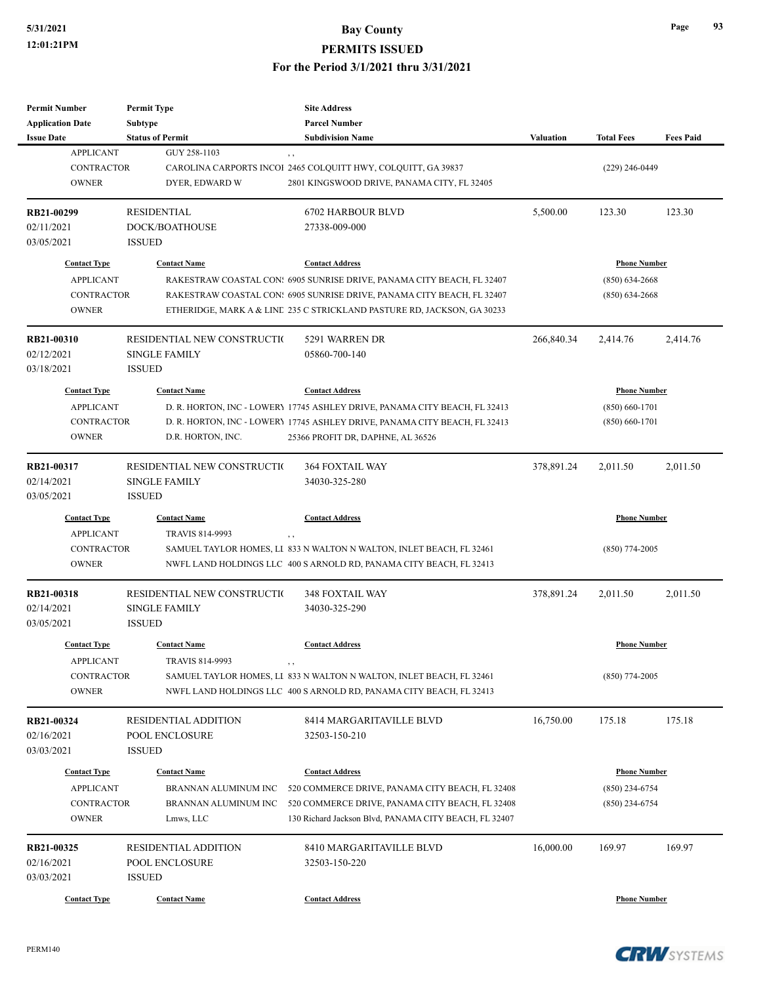| <b>Permit Number</b>     | <b>Permit Type</b>                                  | <b>Site Address</b>                                                        |                  |                     |                  |
|--------------------------|-----------------------------------------------------|----------------------------------------------------------------------------|------------------|---------------------|------------------|
| <b>Application Date</b>  | <b>Subtype</b>                                      | <b>Parcel Number</b>                                                       |                  |                     |                  |
| <b>Issue Date</b>        | <b>Status of Permit</b>                             | <b>Subdivision Name</b>                                                    | <b>Valuation</b> | <b>Total Fees</b>   | <b>Fees Paid</b> |
| <b>APPLICANT</b>         | GUY 258-1103                                        | , ,                                                                        |                  |                     |                  |
| <b>CONTRACTOR</b>        |                                                     | CAROLINA CARPORTS INCOI 2465 COLQUITT HWY, COLQUITT, GA 39837              |                  | (229) 246-0449      |                  |
| <b>OWNER</b>             | DYER, EDWARD W                                      | 2801 KINGSWOOD DRIVE, PANAMA CITY, FL 32405                                |                  |                     |                  |
| RB21-00299               | <b>RESIDENTIAL</b>                                  | <b>6702 HARBOUR BLVD</b>                                                   | 5,500.00         | 123.30              | 123.30           |
| 02/11/2021               | DOCK/BOATHOUSE                                      | 27338-009-000                                                              |                  |                     |                  |
| 03/05/2021               | <b>ISSUED</b>                                       |                                                                            |                  |                     |                  |
| <b>Contact Type</b>      | <b>Contact Name</b>                                 | <b>Contact Address</b>                                                     |                  | <b>Phone Number</b> |                  |
| <b>APPLICANT</b>         |                                                     | RAKESTRAW COASTAL CON: 6905 SUNRISE DRIVE, PANAMA CITY BEACH, FL 32407     |                  | $(850) 634 - 2668$  |                  |
| CONTRACTOR               |                                                     | RAKESTRAW COASTAL CON: 6905 SUNRISE DRIVE, PANAMA CITY BEACH, FL 32407     |                  | $(850)$ 634-2668    |                  |
| <b>OWNER</b>             |                                                     | ETHERIDGE, MARK A & LINE 235 C STRICKLAND PASTURE RD, JACKSON, GA 30233    |                  |                     |                  |
| RB21-00310               | RESIDENTIAL NEW CONSTRUCTIO                         | 5291 WARREN DR                                                             | 266,840.34       | 2,414.76            | 2,414.76         |
| 02/12/2021               | <b>SINGLE FAMILY</b>                                | 05860-700-140                                                              |                  |                     |                  |
| 03/18/2021               | <b>ISSUED</b>                                       |                                                                            |                  |                     |                  |
| <b>Contact Type</b>      | <b>Contact Name</b>                                 | <b>Contact Address</b>                                                     |                  | <b>Phone Number</b> |                  |
| <b>APPLICANT</b>         |                                                     | D. R. HORTON, INC - LOWERY 17745 ASHLEY DRIVE, PANAMA CITY BEACH, FL 32413 |                  | $(850) 660 - 1701$  |                  |
| <b>CONTRACTOR</b>        |                                                     | D. R. HORTON, INC - LOWERY 17745 ASHLEY DRIVE, PANAMA CITY BEACH, FL 32413 |                  | $(850) 660 - 1701$  |                  |
| <b>OWNER</b>             | D.R. HORTON, INC.                                   | 25366 PROFIT DR, DAPHNE, AL 36526                                          |                  |                     |                  |
|                          |                                                     |                                                                            |                  |                     |                  |
| RB21-00317<br>02/14/2021 | RESIDENTIAL NEW CONSTRUCTIO<br><b>SINGLE FAMILY</b> | <b>364 FOXTAIL WAY</b><br>34030-325-280                                    | 378,891.24       | 2,011.50            | 2,011.50         |
| 03/05/2021               | <b>ISSUED</b>                                       |                                                                            |                  |                     |                  |
|                          |                                                     |                                                                            |                  |                     |                  |
| <b>Contact Type</b>      | <b>Contact Name</b>                                 | <b>Contact Address</b>                                                     |                  | <b>Phone Number</b> |                  |
| <b>APPLICANT</b>         | TRAVIS 814-9993                                     | , ,                                                                        |                  |                     |                  |
| <b>CONTRACTOR</b>        |                                                     | SAMUEL TAYLOR HOMES, LI 833 N WALTON N WALTON, INLET BEACH, FL 32461       |                  | (850) 774-2005      |                  |
| <b>OWNER</b>             |                                                     | NWFL LAND HOLDINGS LLC 400 S ARNOLD RD, PANAMA CITY BEACH, FL 32413        |                  |                     |                  |
| RB21-00318               | RESIDENTIAL NEW CONSTRUCTIO                         | <b>348 FOXTAIL WAY</b>                                                     | 378,891.24       | 2,011.50            | 2,011.50         |
| 02/14/2021               | <b>SINGLE FAMILY</b>                                | 34030-325-290                                                              |                  |                     |                  |
| 03/05/2021               | <b>ISSUED</b>                                       |                                                                            |                  |                     |                  |
| <b>Contact Type</b>      | <b>Contact Name</b>                                 | <b>Contact Address</b>                                                     |                  | <b>Phone Number</b> |                  |
| <b>APPLICANT</b>         | TRAVIS 814-9993                                     |                                                                            |                  |                     |                  |
| <b>CONTRACTOR</b>        |                                                     | SAMUEL TAYLOR HOMES, LI 833 N WALTON N WALTON, INLET BEACH, FL 32461       |                  | $(850)$ 774-2005    |                  |
| <b>OWNER</b>             |                                                     | NWFL LAND HOLDINGS LLC 400 S ARNOLD RD, PANAMA CITY BEACH, FL 32413        |                  |                     |                  |
| RB21-00324               | <b>RESIDENTIAL ADDITION</b>                         | 8414 MARGARITAVILLE BLVD                                                   | 16,750.00        | 175.18              | 175.18           |
| 02/16/2021               | POOL ENCLOSURE                                      | 32503-150-210                                                              |                  |                     |                  |
| 03/03/2021               | <b>ISSUED</b>                                       |                                                                            |                  |                     |                  |
| <b>Contact Type</b>      | <b>Contact Name</b>                                 | <b>Contact Address</b>                                                     |                  | <b>Phone Number</b> |                  |
| <b>APPLICANT</b>         | BRANNAN ALUMINUM INC                                | 520 COMMERCE DRIVE, PANAMA CITY BEACH, FL 32408                            |                  | (850) 234-6754      |                  |
| CONTRACTOR               | BRANNAN ALUMINUM INC                                | 520 COMMERCE DRIVE, PANAMA CITY BEACH, FL 32408                            |                  | (850) 234-6754      |                  |
| <b>OWNER</b>             | Lmws, LLC                                           | 130 Richard Jackson Blvd, PANAMA CITY BEACH, FL 32407                      |                  |                     |                  |
|                          |                                                     |                                                                            |                  |                     |                  |
| RB21-00325               | <b>RESIDENTIAL ADDITION</b>                         | 8410 MARGARITAVILLE BLVD                                                   | 16,000.00        | 169.97              | 169.97           |
| 02/16/2021               | POOL ENCLOSURE                                      | 32503-150-220                                                              |                  |                     |                  |
| 03/03/2021               | <b>ISSUED</b>                                       |                                                                            |                  |                     |                  |
| <b>Contact Type</b>      | <b>Contact Name</b>                                 | <b>Contact Address</b>                                                     |                  | <b>Phone Number</b> |                  |

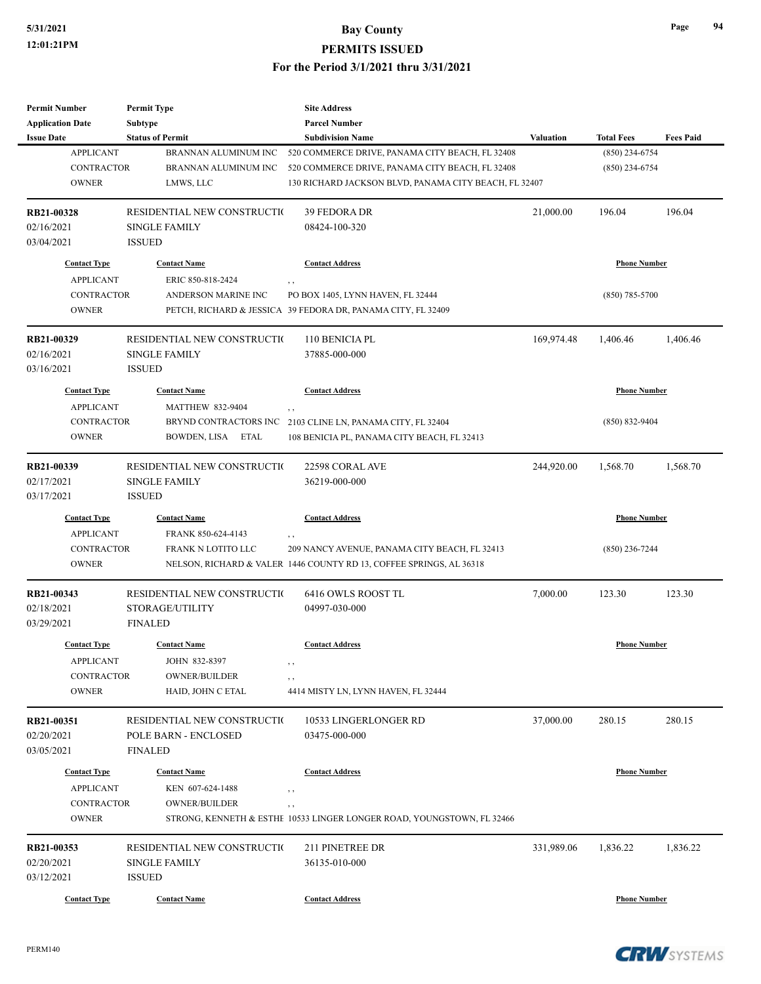| <b>Permit Number</b>                    | <b>Permit Type</b>                      | <b>Site Address</b>                                                                |                  |                     |                  |
|-----------------------------------------|-----------------------------------------|------------------------------------------------------------------------------------|------------------|---------------------|------------------|
| <b>Application Date</b>                 | <b>Subtype</b>                          | <b>Parcel Number</b>                                                               |                  |                     |                  |
| <b>Issue Date</b>                       | <b>Status of Permit</b>                 | <b>Subdivision Name</b>                                                            | <b>Valuation</b> | <b>Total Fees</b>   | <b>Fees Paid</b> |
| <b>APPLICANT</b>                        | BRANNAN ALUMINUM INC                    | 520 COMMERCE DRIVE, PANAMA CITY BEACH, FL 32408                                    |                  | $(850)$ 234-6754    |                  |
| <b>CONTRACTOR</b>                       | BRANNAN ALUMINUM INC                    | 520 COMMERCE DRIVE, PANAMA CITY BEACH, FL 32408                                    |                  | $(850)$ 234-6754    |                  |
| <b>OWNER</b>                            | LMWS, LLC                               | 130 RICHARD JACKSON BLVD, PANAMA CITY BEACH, FL 32407                              |                  |                     |                  |
| RB21-00328                              | RESIDENTIAL NEW CONSTRUCTIO             | 39 FEDORA DR                                                                       | 21,000.00        | 196.04              | 196.04           |
| 02/16/2021                              | <b>SINGLE FAMILY</b>                    | 08424-100-320                                                                      |                  |                     |                  |
| 03/04/2021                              | <b>ISSUED</b>                           |                                                                                    |                  |                     |                  |
| <b>Contact Type</b>                     | <b>Contact Name</b>                     | <b>Contact Address</b>                                                             |                  | <b>Phone Number</b> |                  |
| <b>APPLICANT</b>                        | ERIC 850-818-2424                       | , ,                                                                                |                  |                     |                  |
| <b>CONTRACTOR</b>                       | ANDERSON MARINE INC                     | PO BOX 1405, LYNN HAVEN, FL 32444                                                  |                  | $(850)$ 785-5700    |                  |
| <b>OWNER</b>                            |                                         | PETCH, RICHARD & JESSICA 39 FEDORA DR, PANAMA CITY, FL 32409                       |                  |                     |                  |
| RB21-00329                              | RESIDENTIAL NEW CONSTRUCTIO             | 110 BENICIA PL                                                                     | 169,974.48       | 1,406.46            | 1,406.46         |
| 02/16/2021                              | <b>SINGLE FAMILY</b>                    | 37885-000-000                                                                      |                  |                     |                  |
| 03/16/2021                              | <b>ISSUED</b>                           |                                                                                    |                  |                     |                  |
| <b>Contact Type</b>                     | <b>Contact Name</b>                     | <b>Contact Address</b>                                                             |                  | <b>Phone Number</b> |                  |
| <b>APPLICANT</b>                        | <b>MATTHEW 832-9404</b>                 | , ,                                                                                |                  |                     |                  |
| <b>CONTRACTOR</b>                       | BRYND CONTRACTORS INC                   | 2103 CLINE LN, PANAMA CITY, FL 32404                                               |                  | $(850) 832 - 9404$  |                  |
| <b>OWNER</b>                            | BOWDEN, LISA ETAL                       | 108 BENICIA PL, PANAMA CITY BEACH, FL 32413                                        |                  |                     |                  |
|                                         |                                         |                                                                                    |                  |                     |                  |
| RB21-00339                              | RESIDENTIAL NEW CONSTRUCTIO             | 22598 CORAL AVE                                                                    | 244,920.00       | 1,568.70            | 1,568.70         |
| 02/17/2021                              | <b>SINGLE FAMILY</b>                    | 36219-000-000                                                                      |                  |                     |                  |
| 03/17/2021                              | <b>ISSUED</b>                           |                                                                                    |                  |                     |                  |
| <b>Contact Type</b>                     | <b>Contact Name</b>                     | <b>Contact Address</b>                                                             |                  | <b>Phone Number</b> |                  |
| <b>APPLICANT</b>                        | FRANK 850-624-4143                      | , ,                                                                                |                  |                     |                  |
| <b>CONTRACTOR</b>                       | FRANK N LOTITO LLC                      | 209 NANCY AVENUE, PANAMA CITY BEACH, FL 32413                                      |                  | $(850)$ 236-7244    |                  |
| <b>OWNER</b>                            |                                         | NELSON, RICHARD & VALER 1446 COUNTY RD 13, COFFEE SPRINGS, AL 36318                |                  |                     |                  |
| RB21-00343                              | RESIDENTIAL NEW CONSTRUCTIO             | 6416 OWLS ROOST TL                                                                 | 7,000.00         | 123.30              | 123.30           |
| 02/18/2021                              | STORAGE/UTILITY                         | 04997-030-000                                                                      |                  |                     |                  |
| 03/29/2021                              | <b>FINALED</b>                          |                                                                                    |                  |                     |                  |
| <b>Contact Type</b>                     | <b>Contact Name</b>                     | <b>Contact Address</b>                                                             |                  | <b>Phone Number</b> |                  |
| <b>APPLICANT</b>                        | JOHN 832-8397                           |                                                                                    |                  |                     |                  |
| <b>CONTRACTOR</b>                       | OWNER/BUILDER                           | , ,<br>$, \, , \,$                                                                 |                  |                     |                  |
| <b>OWNER</b>                            | HAID, JOHN C ETAL                       | 4414 MISTY LN, LYNN HAVEN, FL 32444                                                |                  |                     |                  |
| RB21-00351                              | RESIDENTIAL NEW CONSTRUCTIO             | 10533 LINGERLONGER RD                                                              | 37,000.00        | 280.15              | 280.15           |
| 02/20/2021                              | POLE BARN - ENCLOSED                    | 03475-000-000                                                                      |                  |                     |                  |
| 03/05/2021                              | <b>FINALED</b>                          |                                                                                    |                  |                     |                  |
|                                         |                                         |                                                                                    |                  |                     |                  |
| <b>Contact Type</b><br><b>APPLICANT</b> | <b>Contact Name</b><br>KEN 607-624-1488 | <b>Contact Address</b>                                                             |                  | <b>Phone Number</b> |                  |
| <b>CONTRACTOR</b>                       | <b>OWNER/BUILDER</b>                    | , ,                                                                                |                  |                     |                  |
| <b>OWNER</b>                            |                                         | $, \, ,$<br>STRONG, KENNETH & ESTHE 10533 LINGER LONGER ROAD, YOUNGSTOWN, FL 32466 |                  |                     |                  |
|                                         |                                         |                                                                                    |                  |                     |                  |
| RB21-00353                              | RESIDENTIAL NEW CONSTRUCTIO             | 211 PINETREE DR                                                                    | 331,989.06       | 1,836.22            | 1,836.22         |
| 02/20/2021                              | <b>SINGLE FAMILY</b>                    | 36135-010-000                                                                      |                  |                     |                  |
| 03/12/2021                              | <b>ISSUED</b>                           |                                                                                    |                  |                     |                  |
| <b>Contact Type</b>                     | <b>Contact Name</b>                     | <b>Contact Address</b>                                                             |                  | <b>Phone Number</b> |                  |



**Page 94**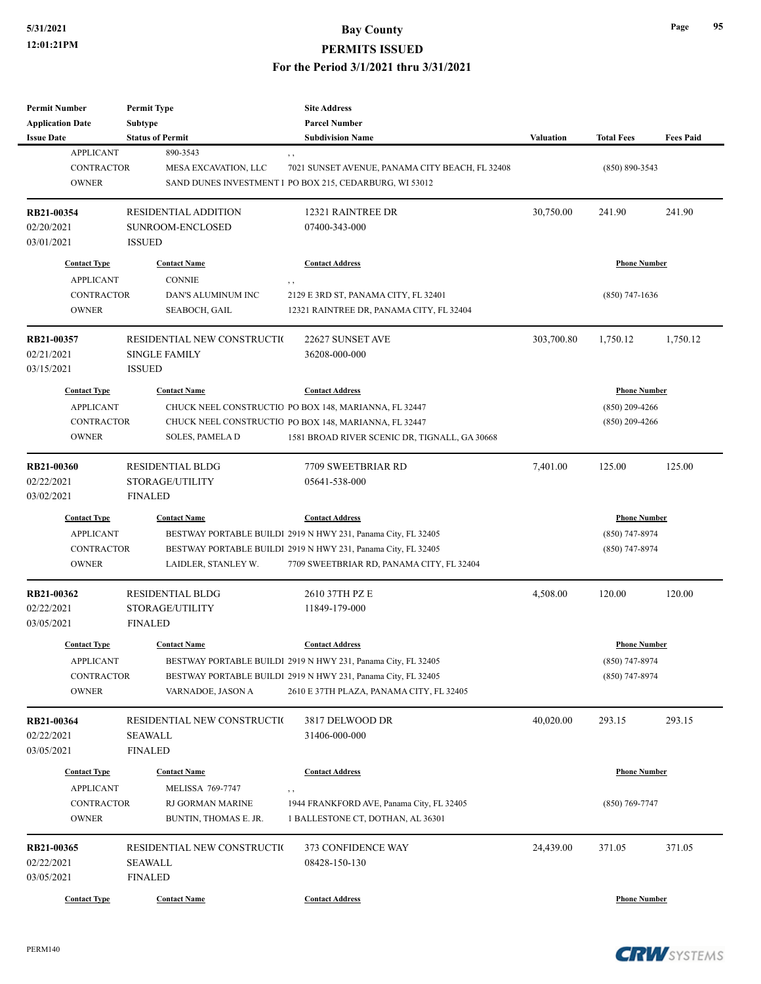#### **5/31/2021 Bay County PERMITS ISSUED**

#### **For the Period 3/1/2021 thru 3/31/2021**

| <b>Permit Number</b><br><b>Application Date</b> | <b>Permit Type</b><br><b>Subtype</b> | <b>Site Address</b><br><b>Parcel Number</b>                   |            |                     |                  |
|-------------------------------------------------|--------------------------------------|---------------------------------------------------------------|------------|---------------------|------------------|
| <b>Issue Date</b>                               | <b>Status of Permit</b>              | <b>Subdivision Name</b>                                       | Valuation  | <b>Total Fees</b>   | <b>Fees Paid</b> |
| <b>APPLICANT</b>                                | 890-3543                             | , ,                                                           |            |                     |                  |
| <b>CONTRACTOR</b>                               | MESA EXCAVATION, LLC                 | 7021 SUNSET AVENUE, PANAMA CITY BEACH, FL 32408               |            | $(850) 890 - 3543$  |                  |
| <b>OWNER</b>                                    |                                      | SAND DUNES INVESTMENT 1 PO BOX 215, CEDARBURG, WI 53012       |            |                     |                  |
|                                                 |                                      |                                                               |            |                     |                  |
| RB21-00354                                      | <b>RESIDENTIAL ADDITION</b>          | 12321 RAINTREE DR                                             | 30,750.00  | 241.90              | 241.90           |
| 02/20/2021                                      | SUNROOM-ENCLOSED                     | 07400-343-000                                                 |            |                     |                  |
| 03/01/2021                                      | <b>ISSUED</b>                        |                                                               |            |                     |                  |
| <b>Contact Type</b>                             | <b>Contact Name</b>                  | <b>Contact Address</b>                                        |            | <b>Phone Number</b> |                  |
| <b>APPLICANT</b>                                | <b>CONNIE</b>                        | ,,                                                            |            |                     |                  |
| <b>CONTRACTOR</b>                               | DAN'S ALUMINUM INC                   | 2129 E 3RD ST, PANAMA CITY, FL 32401                          |            | $(850)$ 747-1636    |                  |
| <b>OWNER</b>                                    | SEABOCH, GAIL                        | 12321 RAINTREE DR, PANAMA CITY, FL 32404                      |            |                     |                  |
|                                                 |                                      |                                                               |            |                     |                  |
| RB21-00357                                      | RESIDENTIAL NEW CONSTRUCTIO          | 22627 SUNSET AVE                                              | 303,700.80 | 1,750.12            | 1,750.12         |
| 02/21/2021                                      | <b>SINGLE FAMILY</b>                 | 36208-000-000                                                 |            |                     |                  |
| 03/15/2021                                      | <b>ISSUED</b>                        |                                                               |            |                     |                  |
|                                                 | <b>Contact Name</b>                  |                                                               |            |                     |                  |
| <b>Contact Type</b>                             |                                      | <b>Contact Address</b>                                        |            | <b>Phone Number</b> |                  |
| <b>APPLICANT</b>                                |                                      | CHUCK NEEL CONSTRUCTIO PO BOX 148, MARIANNA, FL 32447         |            | $(850)$ 209-4266    |                  |
| <b>CONTRACTOR</b>                               |                                      | CHUCK NEEL CONSTRUCTIO PO BOX 148, MARIANNA, FL 32447         |            | $(850)$ 209-4266    |                  |
| <b>OWNER</b>                                    | SOLES, PAMELA D                      | 1581 BROAD RIVER SCENIC DR, TIGNALL, GA 30668                 |            |                     |                  |
| RB21-00360                                      | <b>RESIDENTIAL BLDG</b>              | 7709 SWEETBRIAR RD                                            | 7,401.00   | 125.00              | 125.00           |
| 02/22/2021                                      | STORAGE/UTILITY                      | 05641-538-000                                                 |            |                     |                  |
| 03/02/2021                                      | <b>FINALED</b>                       |                                                               |            |                     |                  |
|                                                 |                                      |                                                               |            |                     |                  |
| <b>Contact Type</b>                             | <b>Contact Name</b>                  | <b>Contact Address</b>                                        |            | <b>Phone Number</b> |                  |
| <b>APPLICANT</b>                                |                                      | BESTWAY PORTABLE BUILDI 2919 N HWY 231, Panama City, FL 32405 |            | $(850)$ 747-8974    |                  |
| <b>CONTRACTOR</b><br><b>OWNER</b>               |                                      | BESTWAY PORTABLE BUILDI 2919 N HWY 231, Panama City, FL 32405 |            | $(850)$ 747-8974    |                  |
|                                                 | LAIDLER, STANLEY W.                  | 7709 SWEETBRIAR RD, PANAMA CITY, FL 32404                     |            |                     |                  |
| RB21-00362                                      | <b>RESIDENTIAL BLDG</b>              | 2610 37TH PZ E                                                | 4,508.00   | 120.00              | 120.00           |
| 02/22/2021                                      | STORAGE/UTILITY                      | 11849-179-000                                                 |            |                     |                  |
| 03/05/2021                                      | <b>FINALED</b>                       |                                                               |            |                     |                  |
|                                                 |                                      |                                                               |            |                     |                  |
| <b>Contact Type</b>                             | <b>Contact Name</b>                  | <b>Contact Address</b>                                        |            | <b>Phone Number</b> |                  |
| APPLICANT                                       |                                      | BESTWAY PORTABLE BUILDI 2919 N HWY 231, Panama City, FL 32405 |            | (850) 747-8974      |                  |
| CONTRACTOR                                      |                                      | BESTWAY PORTABLE BUILDI 2919 N HWY 231, Panama City, FL 32405 |            | $(850)$ 747-8974    |                  |
| <b>OWNER</b>                                    | VARNADOE, JASON A                    | 2610 E 37TH PLAZA, PANAMA CITY, FL 32405                      |            |                     |                  |
|                                                 |                                      |                                                               |            |                     |                  |
| RB21-00364                                      | RESIDENTIAL NEW CONSTRUCTIO          | 3817 DELWOOD DR                                               | 40,020.00  | 293.15              | 293.15           |
| 02/22/2021                                      | <b>SEAWALL</b><br><b>FINALED</b>     | 31406-000-000                                                 |            |                     |                  |
| 03/05/2021                                      |                                      |                                                               |            |                     |                  |
| <b>Contact Type</b>                             | <b>Contact Name</b>                  | <b>Contact Address</b>                                        |            | <b>Phone Number</b> |                  |
| <b>APPLICANT</b>                                | MELISSA 769-7747                     | , ,                                                           |            |                     |                  |
| <b>CONTRACTOR</b>                               | RJ GORMAN MARINE                     | 1944 FRANKFORD AVE, Panama City, FL 32405                     |            | $(850)$ 769-7747    |                  |
| <b>OWNER</b>                                    | BUNTIN, THOMAS E. JR.                | 1 BALLESTONE CT, DOTHAN, AL 36301                             |            |                     |                  |
|                                                 |                                      |                                                               |            |                     |                  |
| RB21-00365                                      | RESIDENTIAL NEW CONSTRUCTIO          | 373 CONFIDENCE WAY                                            | 24,439.00  | 371.05              | 371.05           |
| 02/22/2021                                      | SEAWALL                              | 08428-150-130                                                 |            |                     |                  |
| 03/05/2021                                      | <b>FINALED</b>                       |                                                               |            |                     |                  |
| <b>Contact Type</b>                             | <b>Contact Name</b>                  | <b>Contact Address</b>                                        |            | <b>Phone Number</b> |                  |



**Page 95**

PERM140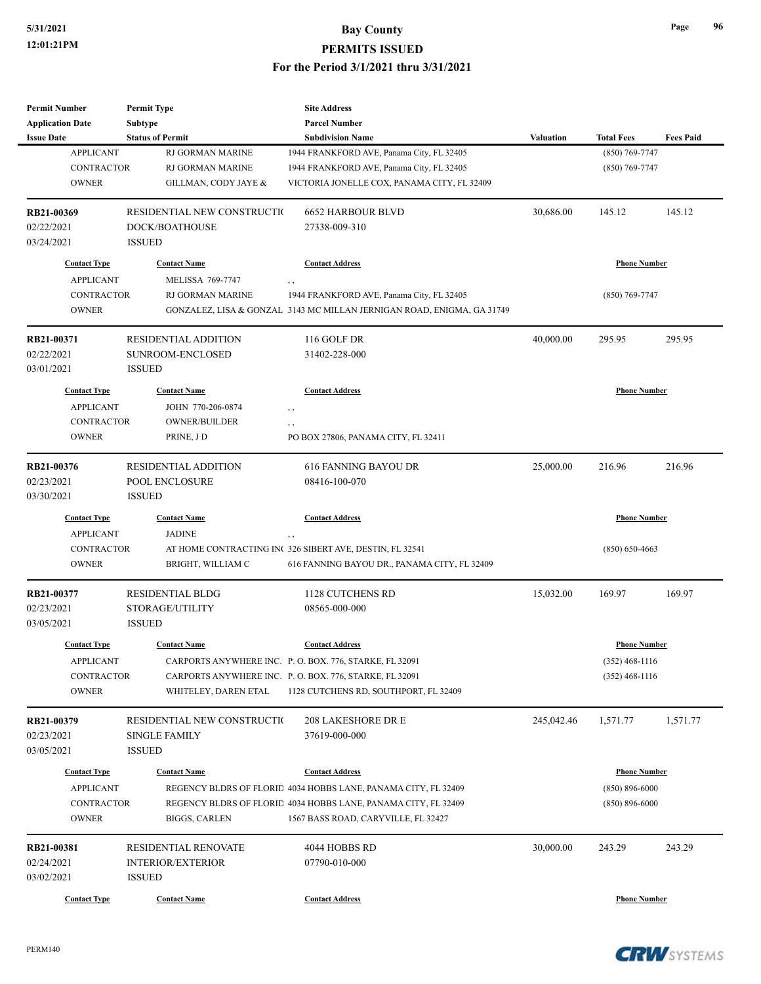| <b>Permit Number</b>              | <b>Permit Type</b>          | <b>Site Address</b>                                                                                   |                  |                     |                  |
|-----------------------------------|-----------------------------|-------------------------------------------------------------------------------------------------------|------------------|---------------------|------------------|
| <b>Application Date</b>           | Subtype                     | <b>Parcel Number</b>                                                                                  |                  |                     |                  |
| <b>Issue Date</b>                 | <b>Status of Permit</b>     | <b>Subdivision Name</b>                                                                               | <b>Valuation</b> | <b>Total Fees</b>   | <b>Fees Paid</b> |
| <b>APPLICANT</b>                  | RJ GORMAN MARINE            | 1944 FRANKFORD AVE, Panama City, FL 32405                                                             |                  | $(850)$ 769-7747    |                  |
| <b>CONTRACTOR</b>                 | RJ GORMAN MARINE            | 1944 FRANKFORD AVE, Panama City, FL 32405                                                             |                  | (850) 769-7747      |                  |
| <b>OWNER</b>                      | GILLMAN, CODY JAYE &        | VICTORIA JONELLE COX, PANAMA CITY, FL 32409                                                           |                  |                     |                  |
| RB21-00369                        | RESIDENTIAL NEW CONSTRUCTIO | <b>6652 HARBOUR BLVD</b>                                                                              | 30,686.00        | 145.12              | 145.12           |
| 02/22/2021                        | DOCK/BOATHOUSE              | 27338-009-310                                                                                         |                  |                     |                  |
| 03/24/2021                        | <b>ISSUED</b>               |                                                                                                       |                  |                     |                  |
| <b>Contact Type</b>               | <b>Contact Name</b>         | <b>Contact Address</b>                                                                                |                  | <b>Phone Number</b> |                  |
| <b>APPLICANT</b>                  | <b>MELISSA 769-7747</b>     | $, \, ,$                                                                                              |                  |                     |                  |
| <b>CONTRACTOR</b>                 | RJ GORMAN MARINE            | 1944 FRANKFORD AVE, Panama City, FL 32405                                                             |                  | (850) 769-7747      |                  |
| <b>OWNER</b>                      |                             | GONZALEZ, LISA & GONZAL 3143 MC MILLAN JERNIGAN ROAD, ENIGMA, GA 31749                                |                  |                     |                  |
| RB21-00371                        | <b>RESIDENTIAL ADDITION</b> | 116 GOLF DR                                                                                           | 40,000.00        | 295.95              | 295.95           |
| 02/22/2021                        | SUNROOM-ENCLOSED            | 31402-228-000                                                                                         |                  |                     |                  |
| 03/01/2021                        | <b>ISSUED</b>               |                                                                                                       |                  |                     |                  |
| <b>Contact Type</b>               | <b>Contact Name</b>         | <b>Contact Address</b>                                                                                |                  | <b>Phone Number</b> |                  |
| <b>APPLICANT</b>                  | JOHN 770-206-0874           | , ,                                                                                                   |                  |                     |                  |
| <b>CONTRACTOR</b>                 | <b>OWNER/BUILDER</b>        | , ,                                                                                                   |                  |                     |                  |
| <b>OWNER</b>                      | PRINE, J D                  | PO BOX 27806, PANAMA CITY, FL 32411                                                                   |                  |                     |                  |
| RB21-00376                        | <b>RESIDENTIAL ADDITION</b> | <b>616 FANNING BAYOU DR</b>                                                                           | 25,000.00        | 216.96              | 216.96           |
| 02/23/2021                        | POOL ENCLOSURE              | 08416-100-070                                                                                         |                  |                     |                  |
| 03/30/2021                        | <b>ISSUED</b>               |                                                                                                       |                  |                     |                  |
| <b>Contact Type</b>               | <b>Contact Name</b>         | <b>Contact Address</b>                                                                                |                  | <b>Phone Number</b> |                  |
| <b>APPLICANT</b>                  | <b>JADINE</b>               |                                                                                                       |                  |                     |                  |
| <b>CONTRACTOR</b>                 |                             | , ,<br>AT HOME CONTRACTING INC 326 SIBERT AVE, DESTIN, FL 32541                                       |                  | $(850) 650 - 4663$  |                  |
| <b>OWNER</b>                      | BRIGHT, WILLIAM C           | 616 FANNING BAYOU DR., PANAMA CITY, FL 32409                                                          |                  |                     |                  |
| RB21-00377                        | <b>RESIDENTIAL BLDG</b>     | 1128 CUTCHENS RD                                                                                      | 15,032.00        | 169.97              | 169.97           |
| 02/23/2021                        | STORAGE/UTILITY             | 08565-000-000                                                                                         |                  |                     |                  |
| 03/05/2021                        | <b>ISSUED</b>               |                                                                                                       |                  |                     |                  |
| <b>Contact Type</b>               | <b>Contact Name</b>         | <b>Contact Address</b>                                                                                |                  | <b>Phone Number</b> |                  |
| <b>APPLICANT</b>                  |                             | CARPORTS ANYWHERE INC. P.O. BOX. 776, STARKE, FL 32091                                                |                  | $(352)$ 468-1116    |                  |
| <b>CONTRACTOR</b>                 |                             | CARPORTS ANYWHERE INC. P.O. BOX. 776, STARKE, FL 32091                                                |                  | $(352)$ 468-1116    |                  |
| <b>OWNER</b>                      | WHITELEY, DAREN ETAL        | 1128 CUTCHENS RD, SOUTHPORT, FL 32409                                                                 |                  |                     |                  |
| RB21-00379                        | RESIDENTIAL NEW CONSTRUCTIO | 208 LAKESHORE DR E                                                                                    | 245,042.46       | 1,571.77            | 1,571.77         |
| 02/23/2021                        | <b>SINGLE FAMILY</b>        | 37619-000-000                                                                                         |                  |                     |                  |
| 03/05/2021                        | <b>ISSUED</b>               |                                                                                                       |                  |                     |                  |
| <b>Contact Type</b>               | <b>Contact Name</b>         | <b>Contact Address</b>                                                                                |                  | <b>Phone Number</b> |                  |
| <b>APPLICANT</b>                  |                             |                                                                                                       |                  | $(850) 896 - 6000$  |                  |
|                                   |                             | REGENCY BLDRS OF FLORID 4034 HOBBS LANE, PANAMA CITY, FL 32409                                        |                  |                     |                  |
| <b>CONTRACTOR</b><br><b>OWNER</b> | <b>BIGGS, CARLEN</b>        | REGENCY BLDRS OF FLORID 4034 HOBBS LANE, PANAMA CITY, FL 32409<br>1567 BASS ROAD, CARYVILLE, FL 32427 |                  | $(850) 896 - 6000$  |                  |
|                                   |                             |                                                                                                       |                  |                     |                  |
| RB21-00381                        | RESIDENTIAL RENOVATE        | 4044 HOBBS RD                                                                                         | 30,000.00        | 243.29              | 243.29           |
| 02/24/2021                        | <b>INTERIOR/EXTERIOR</b>    | 07790-010-000                                                                                         |                  |                     |                  |
| 03/02/2021                        | <b>ISSUED</b>               |                                                                                                       |                  |                     |                  |
| <b>Contact Type</b>               | <b>Contact Name</b>         | <b>Contact Address</b>                                                                                |                  | <b>Phone Number</b> |                  |

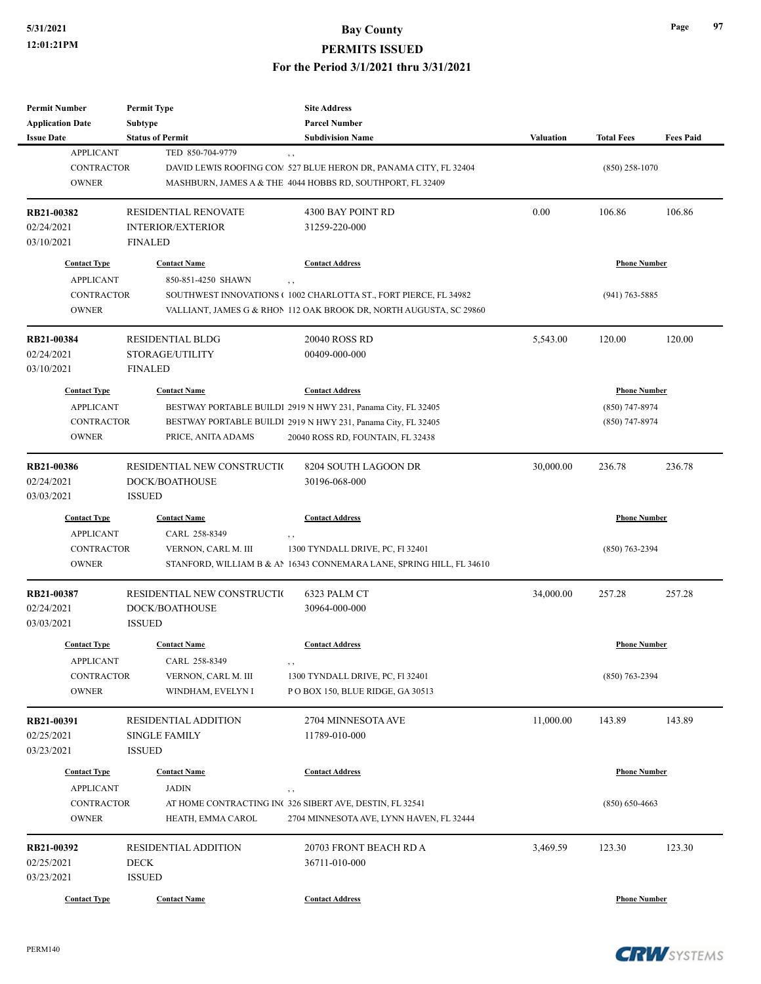| <b>Permit Number</b>                  | <b>Permit Type</b>                          | <b>Site Address</b>                                                          |           |                     |                  |
|---------------------------------------|---------------------------------------------|------------------------------------------------------------------------------|-----------|---------------------|------------------|
| <b>Application Date</b>               | <b>Subtype</b>                              | <b>Parcel Number</b><br><b>Subdivision Name</b>                              |           |                     |                  |
| <b>Issue Date</b><br><b>APPLICANT</b> | <b>Status of Permit</b><br>TED 850-704-9779 |                                                                              | Valuation | <b>Total Fees</b>   | <b>Fees Paid</b> |
| <b>CONTRACTOR</b>                     |                                             | $, \, ,$<br>DAVID LEWIS ROOFING COM 527 BLUE HERON DR, PANAMA CITY, FL 32404 |           | $(850)$ 258-1070    |                  |
| <b>OWNER</b>                          |                                             | MASHBURN, JAMES A & THE 4044 HOBBS RD, SOUTHPORT, FL 32409                   |           |                     |                  |
|                                       |                                             |                                                                              |           |                     |                  |
| RB21-00382                            | <b>RESIDENTIAL RENOVATE</b>                 | 4300 BAY POINT RD                                                            | 0.00      | 106.86              | 106.86           |
| 02/24/2021                            | <b>INTERIOR/EXTERIOR</b>                    | 31259-220-000                                                                |           |                     |                  |
| 03/10/2021                            | <b>FINALED</b>                              |                                                                              |           |                     |                  |
| <b>Contact Type</b>                   | <b>Contact Name</b>                         | <b>Contact Address</b>                                                       |           | <b>Phone Number</b> |                  |
| <b>APPLICANT</b>                      | 850-851-4250 SHAWN                          | , ,                                                                          |           |                     |                  |
| <b>CONTRACTOR</b>                     |                                             | SOUTHWEST INNOVATIONS (1002 CHARLOTTA ST., FORT PIERCE, FL 34982             |           | $(941)$ 763-5885    |                  |
| <b>OWNER</b>                          |                                             | VALLIANT, JAMES G & RHON 112 OAK BROOK DR, NORTH AUGUSTA, SC 29860           |           |                     |                  |
| RB21-00384                            | <b>RESIDENTIAL BLDG</b>                     | 20040 ROSS RD                                                                | 5,543.00  | 120.00              | 120.00           |
| 02/24/2021                            | STORAGE/UTILITY                             | 00409-000-000                                                                |           |                     |                  |
| 03/10/2021                            | <b>FINALED</b>                              |                                                                              |           |                     |                  |
| <b>Contact Type</b>                   | <b>Contact Name</b>                         | <b>Contact Address</b>                                                       |           | <b>Phone Number</b> |                  |
| <b>APPLICANT</b>                      |                                             | BESTWAY PORTABLE BUILDI 2919 N HWY 231, Panama City, FL 32405                |           | (850) 747-8974      |                  |
| <b>CONTRACTOR</b>                     |                                             | BESTWAY PORTABLE BUILDI 2919 N HWY 231, Panama City, FL 32405                |           | (850) 747-8974      |                  |
| <b>OWNER</b>                          | PRICE, ANITA ADAMS                          | 20040 ROSS RD, FOUNTAIN, FL 32438                                            |           |                     |                  |
|                                       |                                             |                                                                              |           |                     |                  |
| RB21-00386                            | RESIDENTIAL NEW CONSTRUCTIO                 | 8204 SOUTH LAGOON DR                                                         | 30,000.00 | 236.78              | 236.78           |
| 02/24/2021                            | DOCK/BOATHOUSE                              | 30196-068-000                                                                |           |                     |                  |
| 03/03/2021                            | <b>ISSUED</b>                               |                                                                              |           |                     |                  |
| <b>Contact Type</b>                   | <b>Contact Name</b>                         | <b>Contact Address</b>                                                       |           | <b>Phone Number</b> |                  |
| <b>APPLICANT</b>                      | CARL 258-8349                               | $, \, , \,$                                                                  |           |                     |                  |
| <b>CONTRACTOR</b>                     | VERNON, CARL M. III                         | 1300 TYNDALL DRIVE, PC, F1 32401                                             |           | (850) 763-2394      |                  |
| <b>OWNER</b>                          |                                             | STANFORD, WILLIAM B & AN 16343 CONNEMARA LANE, SPRING HILL, FL 34610         |           |                     |                  |
| RB21-00387                            | RESIDENTIAL NEW CONSTRUCTIO                 | 6323 PALM CT                                                                 | 34,000.00 | 257.28              | 257.28           |
| 02/24/2021                            | DOCK/BOATHOUSE                              | 30964-000-000                                                                |           |                     |                  |
| 03/03/2021                            | <b>ISSUED</b>                               |                                                                              |           |                     |                  |
| <b>Contact Type</b>                   | <b>Contact Name</b>                         | <b>Contact Address</b>                                                       |           | <b>Phone Number</b> |                  |
| <b>APPLICANT</b>                      | CARL 258-8349                               |                                                                              |           |                     |                  |
| CONTRACTOR                            | VERNON, CARL M. III                         | 1300 TYNDALL DRIVE, PC, F1 32401                                             |           | $(850)$ 763-2394    |                  |
| <b>OWNER</b>                          | WINDHAM, EVELYN I                           | POBOX 150, BLUE RIDGE, GA 30513                                              |           |                     |                  |
| RB21-00391                            | <b>RESIDENTIAL ADDITION</b>                 | 2704 MINNESOTA AVE                                                           | 11,000.00 | 143.89              | 143.89           |
| 02/25/2021                            | <b>SINGLE FAMILY</b>                        | 11789-010-000                                                                |           |                     |                  |
| 03/23/2021                            | <b>ISSUED</b>                               |                                                                              |           |                     |                  |
| <b>Contact Type</b>                   | <b>Contact Name</b>                         | <b>Contact Address</b>                                                       |           | <b>Phone Number</b> |                  |
| <b>APPLICANT</b>                      | JADIN                                       |                                                                              |           |                     |                  |
| <b>CONTRACTOR</b>                     |                                             | $, \, , \,$<br>AT HOME CONTRACTING INC 326 SIBERT AVE, DESTIN, FL 32541      |           | $(850) 650 - 4663$  |                  |
| <b>OWNER</b>                          | HEATH, EMMA CAROL                           | 2704 MINNESOTA AVE, LYNN HAVEN, FL 32444                                     |           |                     |                  |
|                                       |                                             |                                                                              |           |                     |                  |
| RB21-00392                            | RESIDENTIAL ADDITION                        | 20703 FRONT BEACH RD A                                                       | 3,469.59  | 123.30              | 123.30           |
| 02/25/2021                            | DECK                                        | 36711-010-000                                                                |           |                     |                  |
| 03/23/2021                            | <b>ISSUED</b>                               |                                                                              |           |                     |                  |
| <b>Contact Type</b>                   | <b>Contact Name</b>                         | <b>Contact Address</b>                                                       |           | <b>Phone Number</b> |                  |



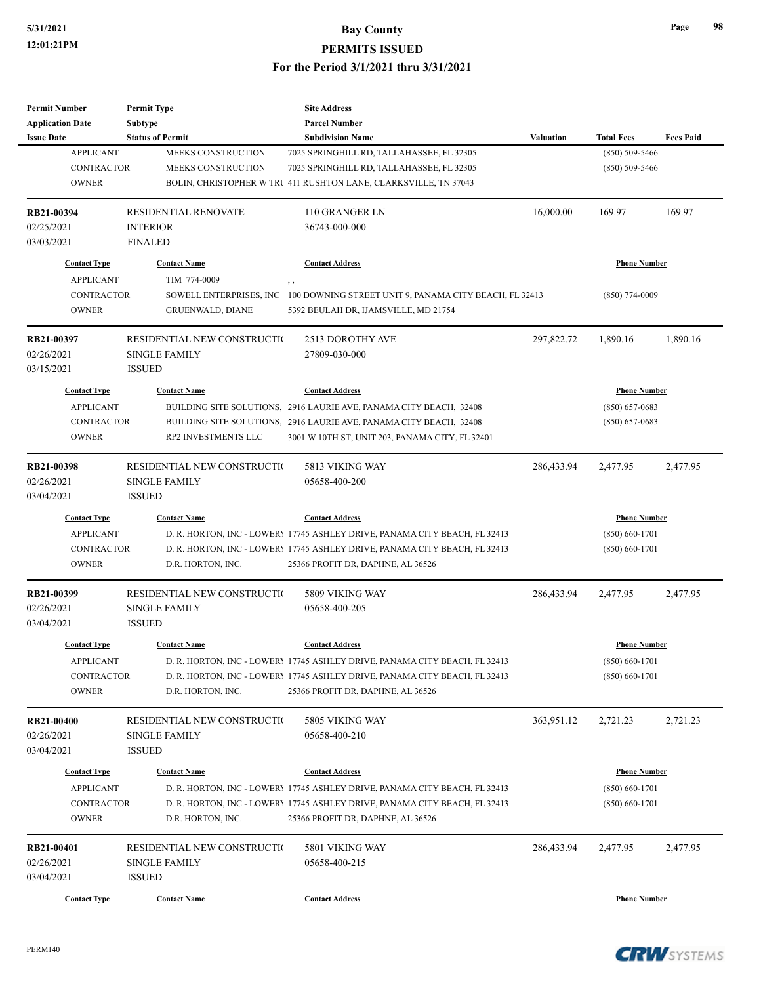| <b>Permit Number</b>    | <b>Permit Type</b>          | <b>Site Address</b>                                                        |                  |                     |                  |
|-------------------------|-----------------------------|----------------------------------------------------------------------------|------------------|---------------------|------------------|
| <b>Application Date</b> | <b>Subtype</b>              | <b>Parcel Number</b>                                                       |                  |                     |                  |
| <b>Issue Date</b>       | <b>Status of Permit</b>     | <b>Subdivision Name</b>                                                    | <b>Valuation</b> | <b>Total Fees</b>   | <b>Fees Paid</b> |
| <b>APPLICANT</b>        | MEEKS CONSTRUCTION          | 7025 SPRINGHILL RD, TALLAHASSEE, FL 32305                                  |                  | $(850) 509 - 5466$  |                  |
| <b>CONTRACTOR</b>       | MEEKS CONSTRUCTION          | 7025 SPRINGHILL RD, TALLAHASSEE, FL 32305                                  |                  | $(850) 509 - 5466$  |                  |
| <b>OWNER</b>            |                             | BOLIN, CHRISTOPHER W TRU 411 RUSHTON LANE, CLARKSVILLE, TN 37043           |                  |                     |                  |
| RB21-00394              | RESIDENTIAL RENOVATE        | 110 GRANGER LN                                                             | 16,000.00        | 169.97              | 169.97           |
| 02/25/2021              | <b>INTERIOR</b>             | 36743-000-000                                                              |                  |                     |                  |
| 03/03/2021              | <b>FINALED</b>              |                                                                            |                  |                     |                  |
| <b>Contact Type</b>     | <b>Contact Name</b>         | <b>Contact Address</b>                                                     |                  | <b>Phone Number</b> |                  |
| <b>APPLICANT</b>        | TIM 774-0009                | , ,                                                                        |                  |                     |                  |
| <b>CONTRACTOR</b>       | SOWELL ENTERPRISES, INC     | 100 DOWNING STREET UNIT 9, PANAMA CITY BEACH, FL 32413                     |                  | $(850)$ 774-0009    |                  |
| <b>OWNER</b>            | <b>GRUENWALD, DIANE</b>     | 5392 BEULAH DR, IJAMSVILLE, MD 21754                                       |                  |                     |                  |
| RB21-00397              | RESIDENTIAL NEW CONSTRUCTIO | 2513 DOROTHY AVE                                                           | 297,822.72       | 1,890.16            | 1,890.16         |
| 02/26/2021              | <b>SINGLE FAMILY</b>        | 27809-030-000                                                              |                  |                     |                  |
| 03/15/2021              | <b>ISSUED</b>               |                                                                            |                  |                     |                  |
| <b>Contact Type</b>     | <b>Contact Name</b>         | <b>Contact Address</b>                                                     |                  | <b>Phone Number</b> |                  |
| <b>APPLICANT</b>        |                             | BUILDING SITE SOLUTIONS, 2916 LAURIE AVE, PANAMA CITY BEACH, 32408         |                  | $(850) 657 - 0683$  |                  |
| <b>CONTRACTOR</b>       |                             | BUILDING SITE SOLUTIONS, 2916 LAURIE AVE, PANAMA CITY BEACH, 32408         |                  | $(850) 657 - 0683$  |                  |
| <b>OWNER</b>            | RP2 INVESTMENTS LLC         | 3001 W 10TH ST, UNIT 203, PANAMA CITY, FL 32401                            |                  |                     |                  |
|                         |                             |                                                                            |                  |                     |                  |
| RB21-00398              | RESIDENTIAL NEW CONSTRUCTIO | 5813 VIKING WAY                                                            | 286,433.94       | 2,477.95            | 2,477.95         |
| 02/26/2021              | <b>SINGLE FAMILY</b>        | 05658-400-200                                                              |                  |                     |                  |
| 03/04/2021              | <b>ISSUED</b>               |                                                                            |                  |                     |                  |
| <b>Contact Type</b>     | <b>Contact Name</b>         | <b>Contact Address</b>                                                     |                  | <b>Phone Number</b> |                  |
| <b>APPLICANT</b>        |                             | D. R. HORTON, INC - LOWERY 17745 ASHLEY DRIVE, PANAMA CITY BEACH, FL 32413 |                  | $(850) 660 - 1701$  |                  |
| <b>CONTRACTOR</b>       |                             | D. R. HORTON, INC - LOWERY 17745 ASHLEY DRIVE, PANAMA CITY BEACH, FL 32413 |                  | $(850) 660 - 1701$  |                  |
| <b>OWNER</b>            | D.R. HORTON, INC.           | 25366 PROFIT DR, DAPHNE, AL 36526                                          |                  |                     |                  |
| RB21-00399              | RESIDENTIAL NEW CONSTRUCTIO | 5809 VIKING WAY                                                            | 286,433.94       | 2,477.95            | 2,477.95         |
| 02/26/2021              | <b>SINGLE FAMILY</b>        | 05658-400-205                                                              |                  |                     |                  |
| 03/04/2021              | <b>ISSUED</b>               |                                                                            |                  |                     |                  |
| <b>Contact Type</b>     | <b>Contact Name</b>         | <b>Contact Address</b>                                                     |                  | <b>Phone Number</b> |                  |
| ${\bf APPLICANT}$       |                             | D. R. HORTON, INC - LOWERY 17745 ASHLEY DRIVE, PANAMA CITY BEACH, FL 32413 |                  | $(850) 660 - 1701$  |                  |
| <b>CONTRACTOR</b>       |                             | D. R. HORTON, INC - LOWERY 17745 ASHLEY DRIVE, PANAMA CITY BEACH, FL 32413 |                  | $(850) 660 - 1701$  |                  |
| <b>OWNER</b>            | D.R. HORTON, INC.           | 25366 PROFIT DR, DAPHNE, AL 36526                                          |                  |                     |                  |
| RB21-00400              | RESIDENTIAL NEW CONSTRUCTIO | 5805 VIKING WAY                                                            | 363,951.12       | 2,721.23            | 2,721.23         |
| 02/26/2021              | <b>SINGLE FAMILY</b>        | 05658-400-210                                                              |                  |                     |                  |
| 03/04/2021              | <b>ISSUED</b>               |                                                                            |                  |                     |                  |
|                         |                             |                                                                            |                  |                     |                  |
| <b>Contact Type</b>     | <b>Contact Name</b>         | <b>Contact Address</b>                                                     |                  | <b>Phone Number</b> |                  |
| <b>APPLICANT</b>        |                             | D. R. HORTON, INC - LOWERY 17745 ASHLEY DRIVE, PANAMA CITY BEACH, FL 32413 |                  | $(850) 660 - 1701$  |                  |
| <b>CONTRACTOR</b>       |                             | D. R. HORTON, INC - LOWERY 17745 ASHLEY DRIVE, PANAMA CITY BEACH, FL 32413 |                  | $(850) 660 - 1701$  |                  |
| <b>OWNER</b>            | D.R. HORTON, INC.           | 25366 PROFIT DR, DAPHNE, AL 36526                                          |                  |                     |                  |
| RB21-00401              | RESIDENTIAL NEW CONSTRUCTIO | 5801 VIKING WAY                                                            | 286,433.94       | 2,477.95            | 2,477.95         |
| 02/26/2021              | <b>SINGLE FAMILY</b>        | 05658-400-215                                                              |                  |                     |                  |
| 03/04/2021              | <b>ISSUED</b>               |                                                                            |                  |                     |                  |
| <b>Contact Type</b>     | <b>Contact Name</b>         | <b>Contact Address</b>                                                     |                  | <b>Phone Number</b> |                  |
|                         |                             |                                                                            |                  |                     |                  |

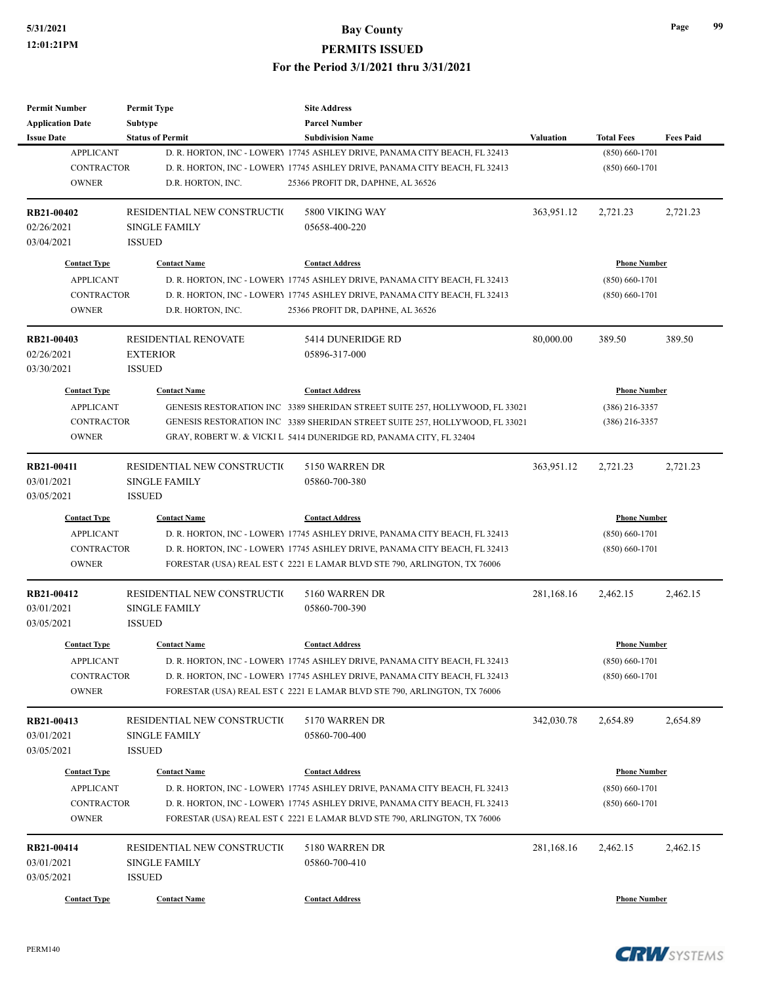| <b>Permit Number</b>     | <b>Permit Type</b>               | <b>Site Address</b>                                                         |                  |                     |                  |
|--------------------------|----------------------------------|-----------------------------------------------------------------------------|------------------|---------------------|------------------|
| <b>Application Date</b>  | Subtype                          | <b>Parcel Number</b>                                                        |                  |                     |                  |
| <b>Issue Date</b>        | <b>Status of Permit</b>          | <b>Subdivision Name</b>                                                     | <b>Valuation</b> | <b>Total Fees</b>   | <b>Fees Paid</b> |
| <b>APPLICANT</b>         |                                  | D. R. HORTON, INC - LOWERY 17745 ASHLEY DRIVE, PANAMA CITY BEACH, FL 32413  |                  | $(850) 660 - 1701$  |                  |
| <b>CONTRACTOR</b>        |                                  | D. R. HORTON, INC - LOWERY 17745 ASHLEY DRIVE, PANAMA CITY BEACH, FL 32413  |                  | $(850) 660 - 1701$  |                  |
| <b>OWNER</b>             | D.R. HORTON, INC.                | 25366 PROFIT DR, DAPHNE, AL 36526                                           |                  |                     |                  |
| RB21-00402               | RESIDENTIAL NEW CONSTRUCTIO      | 5800 VIKING WAY                                                             | 363,951.12       | 2,721.23            | 2,721.23         |
| 02/26/2021               | <b>SINGLE FAMILY</b>             | 05658-400-220                                                               |                  |                     |                  |
| 03/04/2021               | <b>ISSUED</b>                    |                                                                             |                  |                     |                  |
| <b>Contact Type</b>      | <b>Contact Name</b>              | <b>Contact Address</b>                                                      |                  | <b>Phone Number</b> |                  |
| <b>APPLICANT</b>         |                                  | D. R. HORTON, INC - LOWERY 17745 ASHLEY DRIVE, PANAMA CITY BEACH, FL 32413  |                  | $(850) 660 - 1701$  |                  |
| <b>CONTRACTOR</b>        |                                  | D. R. HORTON, INC - LOWERY 17745 ASHLEY DRIVE, PANAMA CITY BEACH, FL 32413  |                  | $(850)$ 660-1701    |                  |
| <b>OWNER</b>             | D.R. HORTON, INC.                | 25366 PROFIT DR, DAPHNE, AL 36526                                           |                  |                     |                  |
|                          |                                  |                                                                             |                  |                     |                  |
| RB21-00403               | <b>RESIDENTIAL RENOVATE</b>      | 5414 DUNERIDGE RD                                                           | 80,000.00        | 389.50              | 389.50           |
| 02/26/2021<br>03/30/2021 | <b>EXTERIOR</b><br><b>ISSUED</b> | 05896-317-000                                                               |                  |                     |                  |
|                          | <b>Contact Name</b>              |                                                                             |                  |                     |                  |
| <b>Contact Type</b>      |                                  | <b>Contact Address</b>                                                      |                  | <b>Phone Number</b> |                  |
| <b>APPLICANT</b>         |                                  | GENESIS RESTORATION INC 3389 SHERIDAN STREET SUITE 257, HOLLYWOOD, FL 33021 |                  | $(386)$ 216-3357    |                  |
| <b>CONTRACTOR</b>        |                                  | GENESIS RESTORATION INC 3389 SHERIDAN STREET SUITE 257, HOLLYWOOD, FL 33021 |                  | $(386)$ 216-3357    |                  |
| <b>OWNER</b>             |                                  | GRAY, ROBERT W. & VICKI L 5414 DUNERIDGE RD, PANAMA CITY, FL 32404          |                  |                     |                  |
| RB21-00411               | RESIDENTIAL NEW CONSTRUCTIO      | 5150 WARREN DR                                                              | 363,951.12       | 2,721.23            | 2,721.23         |
| 03/01/2021               | <b>SINGLE FAMILY</b>             | 05860-700-380                                                               |                  |                     |                  |
| 03/05/2021               | <b>ISSUED</b>                    |                                                                             |                  |                     |                  |
| <b>Contact Type</b>      | <b>Contact Name</b>              | <b>Contact Address</b>                                                      |                  | <b>Phone Number</b> |                  |
| <b>APPLICANT</b>         |                                  | D. R. HORTON, INC - LOWERY 17745 ASHLEY DRIVE, PANAMA CITY BEACH, FL 32413  |                  | $(850) 660 - 1701$  |                  |
| <b>CONTRACTOR</b>        |                                  | D. R. HORTON, INC - LOWERY 17745 ASHLEY DRIVE, PANAMA CITY BEACH, FL 32413  |                  | $(850) 660 - 1701$  |                  |
| <b>OWNER</b>             |                                  | FORESTAR (USA) REAL EST (2221 E LAMAR BLVD STE 790, ARLINGTON, TX 76006     |                  |                     |                  |
| RB21-00412               | RESIDENTIAL NEW CONSTRUCTIO      | 5160 WARREN DR                                                              | 281,168.16       | 2,462.15            | 2,462.15         |
| 03/01/2021               | <b>SINGLE FAMILY</b>             | 05860-700-390                                                               |                  |                     |                  |
| 03/05/2021               | <b>ISSUED</b>                    |                                                                             |                  |                     |                  |
|                          |                                  |                                                                             |                  |                     |                  |
| <b>Contact Type</b>      | <b>Contact Name</b>              | <b>Contact Address</b>                                                      |                  | <b>Phone Number</b> |                  |
| <b>APPLICANT</b>         |                                  | D. R. HORTON, INC - LOWER\ 17745 ASHLEY DRIVE, PANAMA CITY BEACH, FL 32413  |                  | $(850) 660 - 1701$  |                  |
| CONTRACTOR               |                                  | D. R. HORTON, INC - LOWERY 17745 ASHLEY DRIVE, PANAMA CITY BEACH, FL 32413  |                  | $(850) 660 - 1701$  |                  |
| <b>OWNER</b>             |                                  | FORESTAR (USA) REAL EST (2221 E LAMAR BLVD STE 790, ARLINGTON, TX 76006     |                  |                     |                  |
| RB21-00413               | RESIDENTIAL NEW CONSTRUCTIO      | 5170 WARREN DR                                                              | 342,030.78       | 2,654.89            | 2,654.89         |
| 03/01/2021               | <b>SINGLE FAMILY</b>             | 05860-700-400                                                               |                  |                     |                  |
| 03/05/2021               | <b>ISSUED</b>                    |                                                                             |                  |                     |                  |
|                          |                                  |                                                                             |                  |                     |                  |
| <b>Contact Type</b>      | <b>Contact Name</b>              | <b>Contact Address</b>                                                      |                  | <b>Phone Number</b> |                  |
| <b>APPLICANT</b>         |                                  | D. R. HORTON, INC - LOWERY 17745 ASHLEY DRIVE, PANAMA CITY BEACH, FL 32413  |                  | $(850) 660 - 1701$  |                  |
| <b>CONTRACTOR</b>        |                                  | D. R. HORTON, INC - LOWERY 17745 ASHLEY DRIVE, PANAMA CITY BEACH, FL 32413  |                  | $(850) 660 - 1701$  |                  |
| <b>OWNER</b>             |                                  | FORESTAR (USA) REAL EST (2221 E LAMAR BLVD STE 790, ARLINGTON, TX 76006     |                  |                     |                  |
| RB21-00414               | RESIDENTIAL NEW CONSTRUCTIO      | 5180 WARREN DR                                                              | 281,168.16       | 2,462.15            | 2,462.15         |
| 03/01/2021               | <b>SINGLE FAMILY</b>             | 05860-700-410                                                               |                  |                     |                  |
| 03/05/2021               | <b>ISSUED</b>                    |                                                                             |                  |                     |                  |
|                          |                                  |                                                                             |                  |                     |                  |
| <b>Contact Type</b>      | <b>Contact Name</b>              | <b>Contact Address</b>                                                      |                  | <b>Phone Number</b> |                  |

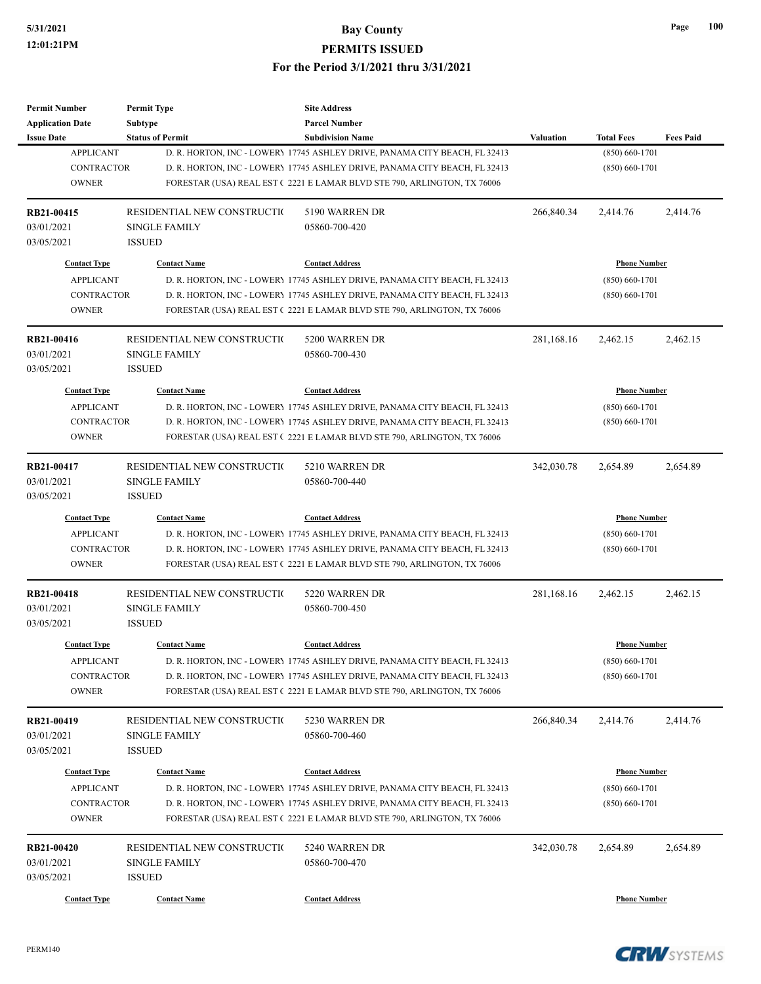| <b>Permit Number</b><br><b>Application Date</b> | <b>Permit Type</b><br>Subtype | <b>Site Address</b><br><b>Parcel Number</b>                                |                     |                     |                  |
|-------------------------------------------------|-------------------------------|----------------------------------------------------------------------------|---------------------|---------------------|------------------|
| <b>Issue Date</b>                               | <b>Status of Permit</b>       | <b>Subdivision Name</b>                                                    | <b>Valuation</b>    | <b>Total Fees</b>   | <b>Fees Paid</b> |
| <b>APPLICANT</b>                                |                               | D. R. HORTON, INC - LOWERY 17745 ASHLEY DRIVE, PANAMA CITY BEACH, FL 32413 |                     | $(850) 660 - 1701$  |                  |
| <b>CONTRACTOR</b>                               |                               | D. R. HORTON, INC - LOWERY 17745 ASHLEY DRIVE, PANAMA CITY BEACH, FL 32413 |                     | $(850) 660 - 1701$  |                  |
| <b>OWNER</b>                                    |                               | FORESTAR (USA) REAL EST (2221 E LAMAR BLVD STE 790, ARLINGTON, TX 76006    |                     |                     |                  |
|                                                 |                               |                                                                            |                     |                     |                  |
| RB21-00415                                      | RESIDENTIAL NEW CONSTRUCTIO   | 5190 WARREN DR                                                             | 266,840.34          | 2,414.76            | 2,414.76         |
| 03/01/2021                                      | <b>SINGLE FAMILY</b>          | 05860-700-420                                                              |                     |                     |                  |
| 03/05/2021                                      | <b>ISSUED</b>                 |                                                                            |                     |                     |                  |
| <b>Contact Type</b>                             | <b>Contact Name</b>           | <b>Contact Address</b>                                                     |                     | <b>Phone Number</b> |                  |
| <b>APPLICANT</b>                                |                               | D. R. HORTON, INC - LOWERY 17745 ASHLEY DRIVE, PANAMA CITY BEACH, FL 32413 |                     | $(850) 660 - 1701$  |                  |
| <b>CONTRACTOR</b>                               |                               | D. R. HORTON, INC - LOWERY 17745 ASHLEY DRIVE, PANAMA CITY BEACH, FL 32413 |                     | $(850) 660 - 1701$  |                  |
| <b>OWNER</b>                                    |                               | FORESTAR (USA) REAL EST (2221 E LAMAR BLVD STE 790, ARLINGTON, TX 76006    |                     |                     |                  |
| RB21-00416                                      | RESIDENTIAL NEW CONSTRUCTIO   | 5200 WARREN DR                                                             | 281,168.16          | 2,462.15            | 2,462.15         |
| 03/01/2021                                      | <b>SINGLE FAMILY</b>          | 05860-700-430                                                              |                     |                     |                  |
| 03/05/2021                                      | <b>ISSUED</b>                 |                                                                            |                     |                     |                  |
| <b>Contact Type</b>                             | <b>Contact Name</b>           | <b>Contact Address</b>                                                     |                     | <b>Phone Number</b> |                  |
| <b>APPLICANT</b>                                |                               | D. R. HORTON, INC - LOWERY 17745 ASHLEY DRIVE, PANAMA CITY BEACH, FL 32413 |                     | $(850) 660 - 1701$  |                  |
| <b>CONTRACTOR</b>                               |                               | D. R. HORTON, INC - LOWERY 17745 ASHLEY DRIVE, PANAMA CITY BEACH, FL 32413 |                     | $(850) 660 - 1701$  |                  |
| <b>OWNER</b>                                    |                               | FORESTAR (USA) REAL EST (2221 E LAMAR BLVD STE 790, ARLINGTON, TX 76006    |                     |                     |                  |
|                                                 |                               |                                                                            |                     |                     |                  |
| RB21-00417                                      | RESIDENTIAL NEW CONSTRUCTIO   | 5210 WARREN DR                                                             | 342,030.78          | 2,654.89            | 2,654.89         |
| 03/01/2021                                      | <b>SINGLE FAMILY</b>          | 05860-700-440                                                              |                     |                     |                  |
| 03/05/2021                                      | <b>ISSUED</b>                 |                                                                            |                     |                     |                  |
| <b>Contact Type</b>                             | <b>Contact Name</b>           | <b>Contact Address</b>                                                     | <b>Phone Number</b> |                     |                  |
| <b>APPLICANT</b>                                |                               | D. R. HORTON, INC - LOWERY 17745 ASHLEY DRIVE, PANAMA CITY BEACH, FL 32413 |                     | $(850) 660 - 1701$  |                  |
| <b>CONTRACTOR</b>                               |                               | D. R. HORTON, INC - LOWERY 17745 ASHLEY DRIVE, PANAMA CITY BEACH, FL 32413 |                     | $(850)$ 660-1701    |                  |
| <b>OWNER</b>                                    |                               | FORESTAR (USA) REAL EST (2221 E LAMAR BLVD STE 790, ARLINGTON, TX 76006    |                     |                     |                  |
| <b>RB21-00418</b>                               | RESIDENTIAL NEW CONSTRUCTIO   | 5220 WARREN DR                                                             | 281,168.16          | 2.462.15            | 2,462.15         |
| 03/01/2021                                      | <b>SINGLE FAMILY</b>          | 05860-700-450                                                              |                     |                     |                  |
| 03/05/2021                                      | <b>ISSUED</b>                 |                                                                            |                     |                     |                  |
| <b>Contact Type</b>                             | <b>Contact Name</b>           | <b>Contact Address</b>                                                     |                     | <b>Phone Number</b> |                  |
| <b>APPLICANT</b>                                |                               | D. R. HORTON, INC - LOWERY 17745 ASHLEY DRIVE, PANAMA CITY BEACH, FL 32413 |                     | $(850) 660 - 1701$  |                  |
| <b>CONTRACTOR</b>                               |                               | D. R. HORTON, INC - LOWERY 17745 ASHLEY DRIVE, PANAMA CITY BEACH, FL 32413 |                     | $(850) 660 - 1701$  |                  |
| <b>OWNER</b>                                    |                               | FORESTAR (USA) REAL EST (2221 E LAMAR BLVD STE 790, ARLINGTON, TX 76006    |                     |                     |                  |
| RB21-00419                                      | RESIDENTIAL NEW CONSTRUCTIO   | 5230 WARREN DR                                                             |                     |                     |                  |
| 03/01/2021                                      | <b>SINGLE FAMILY</b>          | 05860-700-460                                                              | 266,840.34          | 2,414.76            | 2,414.76         |
|                                                 |                               |                                                                            |                     |                     |                  |
| 03/05/2021                                      | <b>ISSUED</b>                 |                                                                            |                     |                     |                  |
| <b>Contact Type</b>                             | <b>Contact Name</b>           | <b>Contact Address</b>                                                     |                     | <b>Phone Number</b> |                  |
| <b>APPLICANT</b>                                |                               | D. R. HORTON, INC - LOWERY 17745 ASHLEY DRIVE, PANAMA CITY BEACH, FL 32413 |                     | $(850) 660 - 1701$  |                  |
| CONTRACTOR                                      |                               | D. R. HORTON, INC - LOWERY 17745 ASHLEY DRIVE, PANAMA CITY BEACH, FL 32413 |                     | $(850) 660 - 1701$  |                  |
| <b>OWNER</b>                                    |                               | FORESTAR (USA) REAL EST (2221 E LAMAR BLVD STE 790, ARLINGTON, TX 76006    |                     |                     |                  |
| RB21-00420                                      | RESIDENTIAL NEW CONSTRUCTIO   | 5240 WARREN DR                                                             | 342,030.78          | 2,654.89            | 2,654.89         |
| 03/01/2021                                      | SINGLE FAMILY                 | 05860-700-470                                                              |                     |                     |                  |
| 03/05/2021                                      | <b>ISSUED</b>                 |                                                                            |                     |                     |                  |
| <b>Contact Type</b>                             | <b>Contact Name</b>           | <b>Contact Address</b>                                                     |                     | <b>Phone Number</b> |                  |
|                                                 |                               |                                                                            |                     |                     |                  |

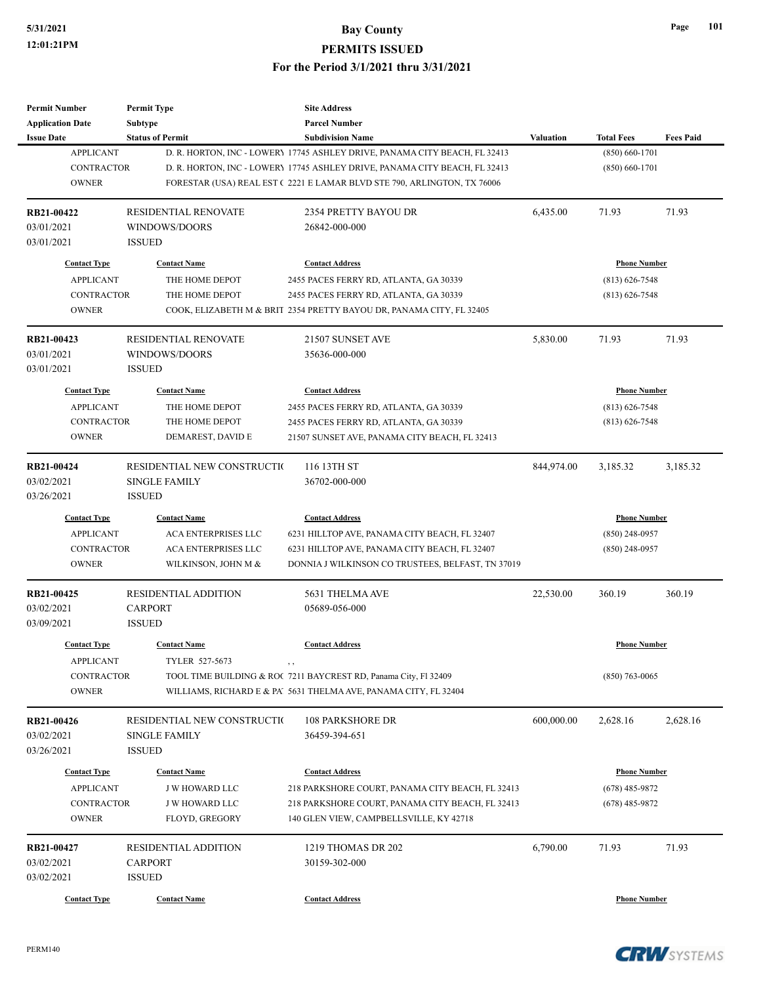**Permit Number**

**Permit Type**

# **5/31/2021 Bay County PERMITS ISSUED For the Period 3/1/2021 thru 3/31/2021**

**Site Address**

| <b>Application Date</b> | <b>Subtype</b>              | <b>Parcel Number</b>                                                       |                                           |                     |                  |
|-------------------------|-----------------------------|----------------------------------------------------------------------------|-------------------------------------------|---------------------|------------------|
| <b>Issue Date</b>       | <b>Status of Permit</b>     | <b>Subdivision Name</b>                                                    | Valuation                                 | <b>Total Fees</b>   | <b>Fees Paid</b> |
| <b>APPLICANT</b>        |                             | D. R. HORTON, INC - LOWERY 17745 ASHLEY DRIVE, PANAMA CITY BEACH, FL 32413 |                                           | $(850) 660 - 1701$  |                  |
| <b>CONTRACTOR</b>       |                             | D. R. HORTON, INC - LOWERY 17745 ASHLEY DRIVE, PANAMA CITY BEACH, FL 32413 |                                           | $(850) 660 - 1701$  |                  |
| <b>OWNER</b>            |                             | FORESTAR (USA) REAL EST (2221 E LAMAR BLVD STE 790, ARLINGTON, TX 76006    |                                           |                     |                  |
| RB21-00422              | RESIDENTIAL RENOVATE        | 2354 PRETTY BAYOU DR                                                       | 6,435.00                                  | 71.93               | 71.93            |
| 03/01/2021              | WINDOWS/DOORS               | 26842-000-000                                                              |                                           |                     |                  |
| 03/01/2021              | <b>ISSUED</b>               |                                                                            |                                           |                     |                  |
| <b>Contact Type</b>     | <b>Contact Name</b>         | <b>Contact Address</b>                                                     | <b>Phone Number</b><br>$(813) 626 - 7548$ |                     |                  |
| <b>APPLICANT</b>        | THE HOME DEPOT              | 2455 PACES FERRY RD, ATLANTA, GA 30339                                     |                                           |                     |                  |
| <b>CONTRACTOR</b>       | THE HOME DEPOT              | 2455 PACES FERRY RD, ATLANTA, GA 30339                                     |                                           | $(813)$ 626-7548    |                  |
| <b>OWNER</b>            |                             | COOK, ELIZABETH M & BRIT 2354 PRETTY BAYOU DR, PANAMA CITY, FL 32405       |                                           |                     |                  |
| RB21-00423              | RESIDENTIAL RENOVATE        | 21507 SUNSET AVE                                                           | 5,830.00                                  | 71.93               | 71.93            |
| 03/01/2021              | WINDOWS/DOORS               | 35636-000-000                                                              |                                           |                     |                  |
| 03/01/2021              | <b>ISSUED</b>               |                                                                            |                                           |                     |                  |
| <b>Contact Type</b>     | <b>Contact Name</b>         | <b>Contact Address</b>                                                     |                                           | <b>Phone Number</b> |                  |
| <b>APPLICANT</b>        | THE HOME DEPOT              | 2455 PACES FERRY RD, ATLANTA, GA 30339                                     |                                           | $(813) 626 - 7548$  |                  |
| <b>CONTRACTOR</b>       | THE HOME DEPOT              | 2455 PACES FERRY RD, ATLANTA, GA 30339                                     |                                           | $(813) 626 - 7548$  |                  |
| <b>OWNER</b>            | DEMAREST, DAVID E           | 21507 SUNSET AVE, PANAMA CITY BEACH, FL 32413                              |                                           |                     |                  |
| RB21-00424              | RESIDENTIAL NEW CONSTRUCTIO | 116 13TH ST                                                                | 844,974.00                                | 3,185.32            | 3,185.32         |
| 03/02/2021              | <b>SINGLE FAMILY</b>        | 36702-000-000                                                              |                                           |                     |                  |
| 03/26/2021              | <b>ISSUED</b>               |                                                                            |                                           |                     |                  |
| <b>Contact Type</b>     | <b>Contact Name</b>         | <b>Contact Address</b>                                                     | <b>Phone Number</b>                       |                     |                  |
| <b>APPLICANT</b>        | <b>ACA ENTERPRISES LLC</b>  | 6231 HILLTOP AVE, PANAMA CITY BEACH, FL 32407                              |                                           | $(850)$ 248-0957    |                  |
| <b>CONTRACTOR</b>       | <b>ACA ENTERPRISES LLC</b>  | 6231 HILLTOP AVE, PANAMA CITY BEACH, FL 32407                              |                                           | $(850)$ 248-0957    |                  |
| <b>OWNER</b>            | WILKINSON, JOHN M &         | DONNIA J WILKINSON CO TRUSTEES, BELFAST, TN 37019                          |                                           |                     |                  |
| RB21-00425              | <b>RESIDENTIAL ADDITION</b> | 5631 THELMA AVE                                                            | 22,530.00                                 | 360.19              | 360.19           |
| 03/02/2021              | <b>CARPORT</b>              | 05689-056-000                                                              |                                           |                     |                  |
| 03/09/2021              | <b>ISSUED</b>               |                                                                            |                                           |                     |                  |
| <b>Contact Type</b>     | <b>Contact Name</b>         | <b>Contact Address</b>                                                     |                                           | <b>Phone Number</b> |                  |
| <b>APPLICANT</b>        | TYLER 527-5673              |                                                                            |                                           |                     |                  |
| CONTRACTOR              |                             | TOOL TIME BUILDING & ROC 7211 BAYCREST RD, Panama City, Fl 32409           |                                           | $(850) 763 - 0065$  |                  |
| <b>OWNER</b>            |                             | WILLIAMS, RICHARD E & PA 5631 THELMA AVE, PANAMA CITY, FL 32404            |                                           |                     |                  |
| RB21-00426              | RESIDENTIAL NEW CONSTRUCTIO | <b>108 PARKSHORE DR</b>                                                    | 600,000.00                                | 2,628.16            | 2,628.16         |
| 03/02/2021              | <b>SINGLE FAMILY</b>        | 36459-394-651                                                              |                                           |                     |                  |
| 03/26/2021              | <b>ISSUED</b>               |                                                                            |                                           |                     |                  |
| <b>Contact Type</b>     | <b>Contact Name</b>         | <b>Contact Address</b>                                                     | <b>Phone Number</b>                       |                     |                  |
| <b>APPLICANT</b>        | <b>J W HOWARD LLC</b>       | 218 PARKSHORE COURT, PANAMA CITY BEACH, FL 32413                           |                                           | $(678)$ 485-9872    |                  |
| <b>CONTRACTOR</b>       | J W HOWARD LLC              | 218 PARKSHORE COURT, PANAMA CITY BEACH, FL 32413                           |                                           | $(678)$ 485-9872    |                  |
| <b>OWNER</b>            | FLOYD, GREGORY              | 140 GLEN VIEW, CAMPBELLSVILLE, KY 42718                                    |                                           |                     |                  |
| RB21-00427              | RESIDENTIAL ADDITION        | 1219 THOMAS DR 202                                                         | 6,790.00                                  | 71.93               | 71.93            |
| 03/02/2021              | <b>CARPORT</b>              | 30159-302-000                                                              |                                           |                     |                  |
| 03/02/2021              | <b>ISSUED</b>               |                                                                            |                                           |                     |                  |
| <b>Contact Type</b>     | <b>Contact Name</b>         | <b>Contact Address</b>                                                     |                                           | <b>Phone Number</b> |                  |
|                         |                             |                                                                            |                                           |                     |                  |
|                         |                             |                                                                            |                                           |                     |                  |



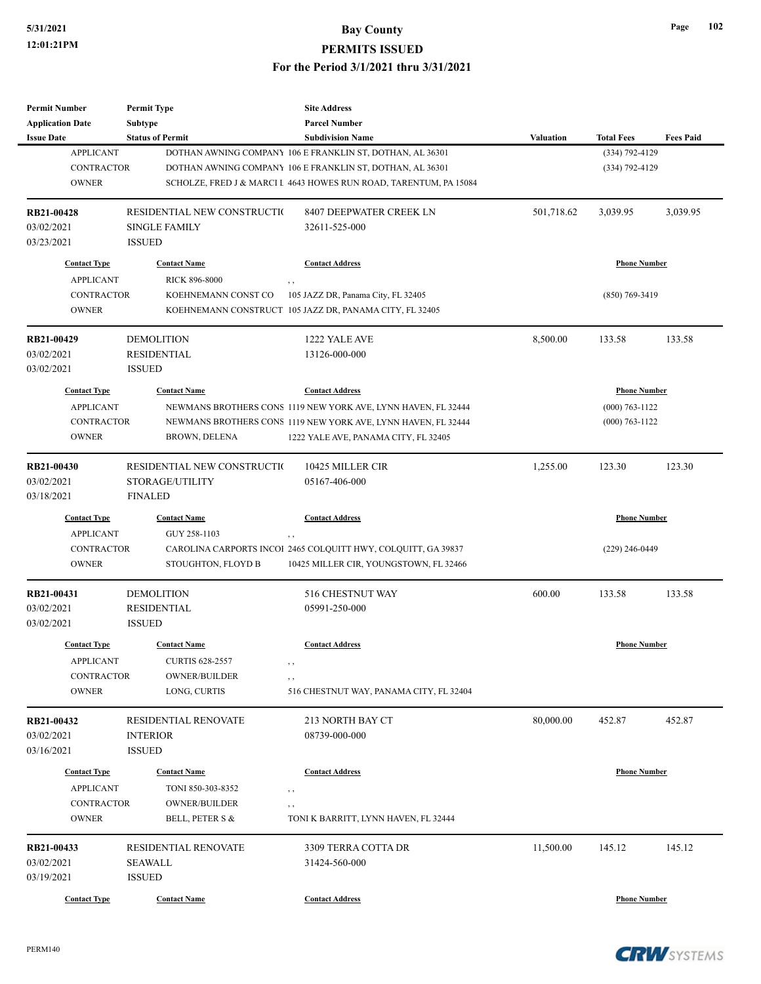| <b>Parcel Number</b><br>Subtype<br><b>Application Date</b><br><b>Status of Permit</b><br><b>Issue Date</b><br><b>Subdivision Name</b><br><b>Valuation</b><br><b>Total Fees</b><br><b>APPLICANT</b><br>(334) 792-4129<br>DOTHAN AWNING COMPANY 106 E FRANKLIN ST, DOTHAN, AL 36301<br><b>CONTRACTOR</b><br>DOTHAN AWNING COMPANY 106 E FRANKLIN ST, DOTHAN, AL 36301<br>(334) 792-4129<br><b>OWNER</b><br>SCHOLZE, FRED J & MARCI I 4643 HOWES RUN ROAD, TARENTUM, PA 15084<br>RB21-00428<br>RESIDENTIAL NEW CONSTRUCTIO<br>8407 DEEPWATER CREEK LN<br>501,718.62<br>3,039.95<br>03/02/2021<br><b>SINGLE FAMILY</b><br>32611-525-000<br>03/23/2021<br><b>ISSUED</b><br><b>Contact Type</b><br><b>Contact Name</b><br><b>Contact Address</b><br><b>Phone Number</b><br><b>APPLICANT</b><br><b>RICK 896-8000</b><br>$, \, , \,$<br><b>CONTRACTOR</b><br>KOEHNEMANN CONST CO<br>105 JAZZ DR, Panama City, FL 32405<br>$(850)$ 769-3419<br><b>OWNER</b><br>KOEHNEMANN CONSTRUCT 105 JAZZ DR, PANAMA CITY, FL 32405<br><b>DEMOLITION</b><br>8,500.00<br>RB21-00429<br>1222 YALE AVE<br>133.58<br>13126-000-000<br>03/02/2021<br><b>RESIDENTIAL</b><br>03/02/2021<br><b>ISSUED</b><br><b>Contact Type</b><br><b>Contact Name</b><br><b>Phone Number</b><br><b>Contact Address</b><br><b>APPLICANT</b><br>NEWMANS BROTHERS CONS 1119 NEW YORK AVE, LYNN HAVEN, FL 32444<br>$(000)$ 763-1122<br><b>CONTRACTOR</b><br>NEWMANS BROTHERS CONS 1119 NEW YORK AVE, LYNN HAVEN, FL 32444<br>$(000) 763 - 1122$<br><b>OWNER</b><br>BROWN, DELENA<br>1222 YALE AVE, PANAMA CITY, FL 32405<br>RESIDENTIAL NEW CONSTRUCTIO<br>10425 MILLER CIR<br>1,255.00<br>RB21-00430<br>123.30<br>03/02/2021<br>STORAGE/UTILITY<br>05167-406-000<br><b>FINALED</b><br>03/18/2021<br><b>Contact Type</b><br><b>Contact Address</b><br><b>Phone Number</b><br><b>Contact Name</b><br><b>APPLICANT</b><br>GUY 258-1103<br>, ,<br><b>CONTRACTOR</b><br>CAROLINA CARPORTS INCOI 2465 COLQUITT HWY, COLQUITT, GA 39837<br>$(229)$ 246-0449<br><b>OWNER</b><br>STOUGHTON, FLOYD B<br>10425 MILLER CIR, YOUNGSTOWN, FL 32466<br>600.00<br><b>DEMOLITION</b><br>516 CHESTNUT WAY<br>133.58<br>RB21-00431<br>03/02/2021<br><b>RESIDENTIAL</b><br>05991-250-000<br>03/02/2021<br><b>ISSUED</b><br><b>Contact Address</b><br><b>Phone Number</b><br><b>Contact Type</b><br><b>Contact Name</b><br><b>APPLICANT</b><br><b>CURTIS 628-2557</b><br>$, \, , \,$<br>CONTRACTOR<br><b>OWNER/BUILDER</b><br>, , | <b>Fees Paid</b><br>3,039.95<br>133.58 |
|---------------------------------------------------------------------------------------------------------------------------------------------------------------------------------------------------------------------------------------------------------------------------------------------------------------------------------------------------------------------------------------------------------------------------------------------------------------------------------------------------------------------------------------------------------------------------------------------------------------------------------------------------------------------------------------------------------------------------------------------------------------------------------------------------------------------------------------------------------------------------------------------------------------------------------------------------------------------------------------------------------------------------------------------------------------------------------------------------------------------------------------------------------------------------------------------------------------------------------------------------------------------------------------------------------------------------------------------------------------------------------------------------------------------------------------------------------------------------------------------------------------------------------------------------------------------------------------------------------------------------------------------------------------------------------------------------------------------------------------------------------------------------------------------------------------------------------------------------------------------------------------------------------------------------------------------------------------------------------------------------------------------------------------------------------------------------------------------------------------------------------------------------------------------------------------------------------------------------------------------------------------------------------------------------------------------------------------------------------------------------------------------------------------------------------------------------------------|----------------------------------------|
|                                                                                                                                                                                                                                                                                                                                                                                                                                                                                                                                                                                                                                                                                                                                                                                                                                                                                                                                                                                                                                                                                                                                                                                                                                                                                                                                                                                                                                                                                                                                                                                                                                                                                                                                                                                                                                                                                                                                                                                                                                                                                                                                                                                                                                                                                                                                                                                                                                                               |                                        |
|                                                                                                                                                                                                                                                                                                                                                                                                                                                                                                                                                                                                                                                                                                                                                                                                                                                                                                                                                                                                                                                                                                                                                                                                                                                                                                                                                                                                                                                                                                                                                                                                                                                                                                                                                                                                                                                                                                                                                                                                                                                                                                                                                                                                                                                                                                                                                                                                                                                               |                                        |
|                                                                                                                                                                                                                                                                                                                                                                                                                                                                                                                                                                                                                                                                                                                                                                                                                                                                                                                                                                                                                                                                                                                                                                                                                                                                                                                                                                                                                                                                                                                                                                                                                                                                                                                                                                                                                                                                                                                                                                                                                                                                                                                                                                                                                                                                                                                                                                                                                                                               |                                        |
|                                                                                                                                                                                                                                                                                                                                                                                                                                                                                                                                                                                                                                                                                                                                                                                                                                                                                                                                                                                                                                                                                                                                                                                                                                                                                                                                                                                                                                                                                                                                                                                                                                                                                                                                                                                                                                                                                                                                                                                                                                                                                                                                                                                                                                                                                                                                                                                                                                                               |                                        |
|                                                                                                                                                                                                                                                                                                                                                                                                                                                                                                                                                                                                                                                                                                                                                                                                                                                                                                                                                                                                                                                                                                                                                                                                                                                                                                                                                                                                                                                                                                                                                                                                                                                                                                                                                                                                                                                                                                                                                                                                                                                                                                                                                                                                                                                                                                                                                                                                                                                               |                                        |
|                                                                                                                                                                                                                                                                                                                                                                                                                                                                                                                                                                                                                                                                                                                                                                                                                                                                                                                                                                                                                                                                                                                                                                                                                                                                                                                                                                                                                                                                                                                                                                                                                                                                                                                                                                                                                                                                                                                                                                                                                                                                                                                                                                                                                                                                                                                                                                                                                                                               |                                        |
|                                                                                                                                                                                                                                                                                                                                                                                                                                                                                                                                                                                                                                                                                                                                                                                                                                                                                                                                                                                                                                                                                                                                                                                                                                                                                                                                                                                                                                                                                                                                                                                                                                                                                                                                                                                                                                                                                                                                                                                                                                                                                                                                                                                                                                                                                                                                                                                                                                                               |                                        |
|                                                                                                                                                                                                                                                                                                                                                                                                                                                                                                                                                                                                                                                                                                                                                                                                                                                                                                                                                                                                                                                                                                                                                                                                                                                                                                                                                                                                                                                                                                                                                                                                                                                                                                                                                                                                                                                                                                                                                                                                                                                                                                                                                                                                                                                                                                                                                                                                                                                               |                                        |
|                                                                                                                                                                                                                                                                                                                                                                                                                                                                                                                                                                                                                                                                                                                                                                                                                                                                                                                                                                                                                                                                                                                                                                                                                                                                                                                                                                                                                                                                                                                                                                                                                                                                                                                                                                                                                                                                                                                                                                                                                                                                                                                                                                                                                                                                                                                                                                                                                                                               |                                        |
|                                                                                                                                                                                                                                                                                                                                                                                                                                                                                                                                                                                                                                                                                                                                                                                                                                                                                                                                                                                                                                                                                                                                                                                                                                                                                                                                                                                                                                                                                                                                                                                                                                                                                                                                                                                                                                                                                                                                                                                                                                                                                                                                                                                                                                                                                                                                                                                                                                                               |                                        |
|                                                                                                                                                                                                                                                                                                                                                                                                                                                                                                                                                                                                                                                                                                                                                                                                                                                                                                                                                                                                                                                                                                                                                                                                                                                                                                                                                                                                                                                                                                                                                                                                                                                                                                                                                                                                                                                                                                                                                                                                                                                                                                                                                                                                                                                                                                                                                                                                                                                               |                                        |
|                                                                                                                                                                                                                                                                                                                                                                                                                                                                                                                                                                                                                                                                                                                                                                                                                                                                                                                                                                                                                                                                                                                                                                                                                                                                                                                                                                                                                                                                                                                                                                                                                                                                                                                                                                                                                                                                                                                                                                                                                                                                                                                                                                                                                                                                                                                                                                                                                                                               |                                        |
|                                                                                                                                                                                                                                                                                                                                                                                                                                                                                                                                                                                                                                                                                                                                                                                                                                                                                                                                                                                                                                                                                                                                                                                                                                                                                                                                                                                                                                                                                                                                                                                                                                                                                                                                                                                                                                                                                                                                                                                                                                                                                                                                                                                                                                                                                                                                                                                                                                                               |                                        |
|                                                                                                                                                                                                                                                                                                                                                                                                                                                                                                                                                                                                                                                                                                                                                                                                                                                                                                                                                                                                                                                                                                                                                                                                                                                                                                                                                                                                                                                                                                                                                                                                                                                                                                                                                                                                                                                                                                                                                                                                                                                                                                                                                                                                                                                                                                                                                                                                                                                               |                                        |
|                                                                                                                                                                                                                                                                                                                                                                                                                                                                                                                                                                                                                                                                                                                                                                                                                                                                                                                                                                                                                                                                                                                                                                                                                                                                                                                                                                                                                                                                                                                                                                                                                                                                                                                                                                                                                                                                                                                                                                                                                                                                                                                                                                                                                                                                                                                                                                                                                                                               |                                        |
|                                                                                                                                                                                                                                                                                                                                                                                                                                                                                                                                                                                                                                                                                                                                                                                                                                                                                                                                                                                                                                                                                                                                                                                                                                                                                                                                                                                                                                                                                                                                                                                                                                                                                                                                                                                                                                                                                                                                                                                                                                                                                                                                                                                                                                                                                                                                                                                                                                                               |                                        |
|                                                                                                                                                                                                                                                                                                                                                                                                                                                                                                                                                                                                                                                                                                                                                                                                                                                                                                                                                                                                                                                                                                                                                                                                                                                                                                                                                                                                                                                                                                                                                                                                                                                                                                                                                                                                                                                                                                                                                                                                                                                                                                                                                                                                                                                                                                                                                                                                                                                               |                                        |
|                                                                                                                                                                                                                                                                                                                                                                                                                                                                                                                                                                                                                                                                                                                                                                                                                                                                                                                                                                                                                                                                                                                                                                                                                                                                                                                                                                                                                                                                                                                                                                                                                                                                                                                                                                                                                                                                                                                                                                                                                                                                                                                                                                                                                                                                                                                                                                                                                                                               |                                        |
|                                                                                                                                                                                                                                                                                                                                                                                                                                                                                                                                                                                                                                                                                                                                                                                                                                                                                                                                                                                                                                                                                                                                                                                                                                                                                                                                                                                                                                                                                                                                                                                                                                                                                                                                                                                                                                                                                                                                                                                                                                                                                                                                                                                                                                                                                                                                                                                                                                                               |                                        |
|                                                                                                                                                                                                                                                                                                                                                                                                                                                                                                                                                                                                                                                                                                                                                                                                                                                                                                                                                                                                                                                                                                                                                                                                                                                                                                                                                                                                                                                                                                                                                                                                                                                                                                                                                                                                                                                                                                                                                                                                                                                                                                                                                                                                                                                                                                                                                                                                                                                               |                                        |
|                                                                                                                                                                                                                                                                                                                                                                                                                                                                                                                                                                                                                                                                                                                                                                                                                                                                                                                                                                                                                                                                                                                                                                                                                                                                                                                                                                                                                                                                                                                                                                                                                                                                                                                                                                                                                                                                                                                                                                                                                                                                                                                                                                                                                                                                                                                                                                                                                                                               | 123.30                                 |
|                                                                                                                                                                                                                                                                                                                                                                                                                                                                                                                                                                                                                                                                                                                                                                                                                                                                                                                                                                                                                                                                                                                                                                                                                                                                                                                                                                                                                                                                                                                                                                                                                                                                                                                                                                                                                                                                                                                                                                                                                                                                                                                                                                                                                                                                                                                                                                                                                                                               |                                        |
|                                                                                                                                                                                                                                                                                                                                                                                                                                                                                                                                                                                                                                                                                                                                                                                                                                                                                                                                                                                                                                                                                                                                                                                                                                                                                                                                                                                                                                                                                                                                                                                                                                                                                                                                                                                                                                                                                                                                                                                                                                                                                                                                                                                                                                                                                                                                                                                                                                                               |                                        |
|                                                                                                                                                                                                                                                                                                                                                                                                                                                                                                                                                                                                                                                                                                                                                                                                                                                                                                                                                                                                                                                                                                                                                                                                                                                                                                                                                                                                                                                                                                                                                                                                                                                                                                                                                                                                                                                                                                                                                                                                                                                                                                                                                                                                                                                                                                                                                                                                                                                               |                                        |
|                                                                                                                                                                                                                                                                                                                                                                                                                                                                                                                                                                                                                                                                                                                                                                                                                                                                                                                                                                                                                                                                                                                                                                                                                                                                                                                                                                                                                                                                                                                                                                                                                                                                                                                                                                                                                                                                                                                                                                                                                                                                                                                                                                                                                                                                                                                                                                                                                                                               |                                        |
|                                                                                                                                                                                                                                                                                                                                                                                                                                                                                                                                                                                                                                                                                                                                                                                                                                                                                                                                                                                                                                                                                                                                                                                                                                                                                                                                                                                                                                                                                                                                                                                                                                                                                                                                                                                                                                                                                                                                                                                                                                                                                                                                                                                                                                                                                                                                                                                                                                                               |                                        |
|                                                                                                                                                                                                                                                                                                                                                                                                                                                                                                                                                                                                                                                                                                                                                                                                                                                                                                                                                                                                                                                                                                                                                                                                                                                                                                                                                                                                                                                                                                                                                                                                                                                                                                                                                                                                                                                                                                                                                                                                                                                                                                                                                                                                                                                                                                                                                                                                                                                               |                                        |
|                                                                                                                                                                                                                                                                                                                                                                                                                                                                                                                                                                                                                                                                                                                                                                                                                                                                                                                                                                                                                                                                                                                                                                                                                                                                                                                                                                                                                                                                                                                                                                                                                                                                                                                                                                                                                                                                                                                                                                                                                                                                                                                                                                                                                                                                                                                                                                                                                                                               | 133.58                                 |
|                                                                                                                                                                                                                                                                                                                                                                                                                                                                                                                                                                                                                                                                                                                                                                                                                                                                                                                                                                                                                                                                                                                                                                                                                                                                                                                                                                                                                                                                                                                                                                                                                                                                                                                                                                                                                                                                                                                                                                                                                                                                                                                                                                                                                                                                                                                                                                                                                                                               |                                        |
|                                                                                                                                                                                                                                                                                                                                                                                                                                                                                                                                                                                                                                                                                                                                                                                                                                                                                                                                                                                                                                                                                                                                                                                                                                                                                                                                                                                                                                                                                                                                                                                                                                                                                                                                                                                                                                                                                                                                                                                                                                                                                                                                                                                                                                                                                                                                                                                                                                                               |                                        |
|                                                                                                                                                                                                                                                                                                                                                                                                                                                                                                                                                                                                                                                                                                                                                                                                                                                                                                                                                                                                                                                                                                                                                                                                                                                                                                                                                                                                                                                                                                                                                                                                                                                                                                                                                                                                                                                                                                                                                                                                                                                                                                                                                                                                                                                                                                                                                                                                                                                               |                                        |
|                                                                                                                                                                                                                                                                                                                                                                                                                                                                                                                                                                                                                                                                                                                                                                                                                                                                                                                                                                                                                                                                                                                                                                                                                                                                                                                                                                                                                                                                                                                                                                                                                                                                                                                                                                                                                                                                                                                                                                                                                                                                                                                                                                                                                                                                                                                                                                                                                                                               |                                        |
|                                                                                                                                                                                                                                                                                                                                                                                                                                                                                                                                                                                                                                                                                                                                                                                                                                                                                                                                                                                                                                                                                                                                                                                                                                                                                                                                                                                                                                                                                                                                                                                                                                                                                                                                                                                                                                                                                                                                                                                                                                                                                                                                                                                                                                                                                                                                                                                                                                                               |                                        |
| <b>OWNER</b><br>LONG, CURTIS<br>516 CHESTNUT WAY, PANAMA CITY, FL 32404                                                                                                                                                                                                                                                                                                                                                                                                                                                                                                                                                                                                                                                                                                                                                                                                                                                                                                                                                                                                                                                                                                                                                                                                                                                                                                                                                                                                                                                                                                                                                                                                                                                                                                                                                                                                                                                                                                                                                                                                                                                                                                                                                                                                                                                                                                                                                                                       |                                        |
| 80,000.00<br>RESIDENTIAL RENOVATE<br>213 NORTH BAY CT<br>452.87<br>RB21-00432                                                                                                                                                                                                                                                                                                                                                                                                                                                                                                                                                                                                                                                                                                                                                                                                                                                                                                                                                                                                                                                                                                                                                                                                                                                                                                                                                                                                                                                                                                                                                                                                                                                                                                                                                                                                                                                                                                                                                                                                                                                                                                                                                                                                                                                                                                                                                                                 | 452.87                                 |
| 03/02/2021<br><b>INTERIOR</b><br>08739-000-000                                                                                                                                                                                                                                                                                                                                                                                                                                                                                                                                                                                                                                                                                                                                                                                                                                                                                                                                                                                                                                                                                                                                                                                                                                                                                                                                                                                                                                                                                                                                                                                                                                                                                                                                                                                                                                                                                                                                                                                                                                                                                                                                                                                                                                                                                                                                                                                                                |                                        |
| 03/16/2021<br><b>ISSUED</b>                                                                                                                                                                                                                                                                                                                                                                                                                                                                                                                                                                                                                                                                                                                                                                                                                                                                                                                                                                                                                                                                                                                                                                                                                                                                                                                                                                                                                                                                                                                                                                                                                                                                                                                                                                                                                                                                                                                                                                                                                                                                                                                                                                                                                                                                                                                                                                                                                                   |                                        |
| <b>Contact Type</b><br><b>Contact Name</b><br><b>Contact Address</b><br><b>Phone Number</b>                                                                                                                                                                                                                                                                                                                                                                                                                                                                                                                                                                                                                                                                                                                                                                                                                                                                                                                                                                                                                                                                                                                                                                                                                                                                                                                                                                                                                                                                                                                                                                                                                                                                                                                                                                                                                                                                                                                                                                                                                                                                                                                                                                                                                                                                                                                                                                   |                                        |
| <b>APPLICANT</b><br>TONI 850-303-8352<br>, ,                                                                                                                                                                                                                                                                                                                                                                                                                                                                                                                                                                                                                                                                                                                                                                                                                                                                                                                                                                                                                                                                                                                                                                                                                                                                                                                                                                                                                                                                                                                                                                                                                                                                                                                                                                                                                                                                                                                                                                                                                                                                                                                                                                                                                                                                                                                                                                                                                  |                                        |
| CONTRACTOR<br><b>OWNER/BUILDER</b><br>, ,                                                                                                                                                                                                                                                                                                                                                                                                                                                                                                                                                                                                                                                                                                                                                                                                                                                                                                                                                                                                                                                                                                                                                                                                                                                                                                                                                                                                                                                                                                                                                                                                                                                                                                                                                                                                                                                                                                                                                                                                                                                                                                                                                                                                                                                                                                                                                                                                                     |                                        |
| <b>OWNER</b><br>BELL, PETER S &<br>TONI K BARRITT, LYNN HAVEN, FL 32444                                                                                                                                                                                                                                                                                                                                                                                                                                                                                                                                                                                                                                                                                                                                                                                                                                                                                                                                                                                                                                                                                                                                                                                                                                                                                                                                                                                                                                                                                                                                                                                                                                                                                                                                                                                                                                                                                                                                                                                                                                                                                                                                                                                                                                                                                                                                                                                       |                                        |
| RB21-00433<br>RESIDENTIAL RENOVATE<br>11,500.00<br>145.12<br>3309 TERRA COTTA DR                                                                                                                                                                                                                                                                                                                                                                                                                                                                                                                                                                                                                                                                                                                                                                                                                                                                                                                                                                                                                                                                                                                                                                                                                                                                                                                                                                                                                                                                                                                                                                                                                                                                                                                                                                                                                                                                                                                                                                                                                                                                                                                                                                                                                                                                                                                                                                              |                                        |
| 03/02/2021<br>SEAWALL<br>31424-560-000                                                                                                                                                                                                                                                                                                                                                                                                                                                                                                                                                                                                                                                                                                                                                                                                                                                                                                                                                                                                                                                                                                                                                                                                                                                                                                                                                                                                                                                                                                                                                                                                                                                                                                                                                                                                                                                                                                                                                                                                                                                                                                                                                                                                                                                                                                                                                                                                                        | 145.12                                 |
| <b>ISSUED</b><br>03/19/2021                                                                                                                                                                                                                                                                                                                                                                                                                                                                                                                                                                                                                                                                                                                                                                                                                                                                                                                                                                                                                                                                                                                                                                                                                                                                                                                                                                                                                                                                                                                                                                                                                                                                                                                                                                                                                                                                                                                                                                                                                                                                                                                                                                                                                                                                                                                                                                                                                                   |                                        |
| <b>Contact Type</b><br><b>Contact Name</b><br><b>Contact Address</b><br><b>Phone Number</b>                                                                                                                                                                                                                                                                                                                                                                                                                                                                                                                                                                                                                                                                                                                                                                                                                                                                                                                                                                                                                                                                                                                                                                                                                                                                                                                                                                                                                                                                                                                                                                                                                                                                                                                                                                                                                                                                                                                                                                                                                                                                                                                                                                                                                                                                                                                                                                   |                                        |

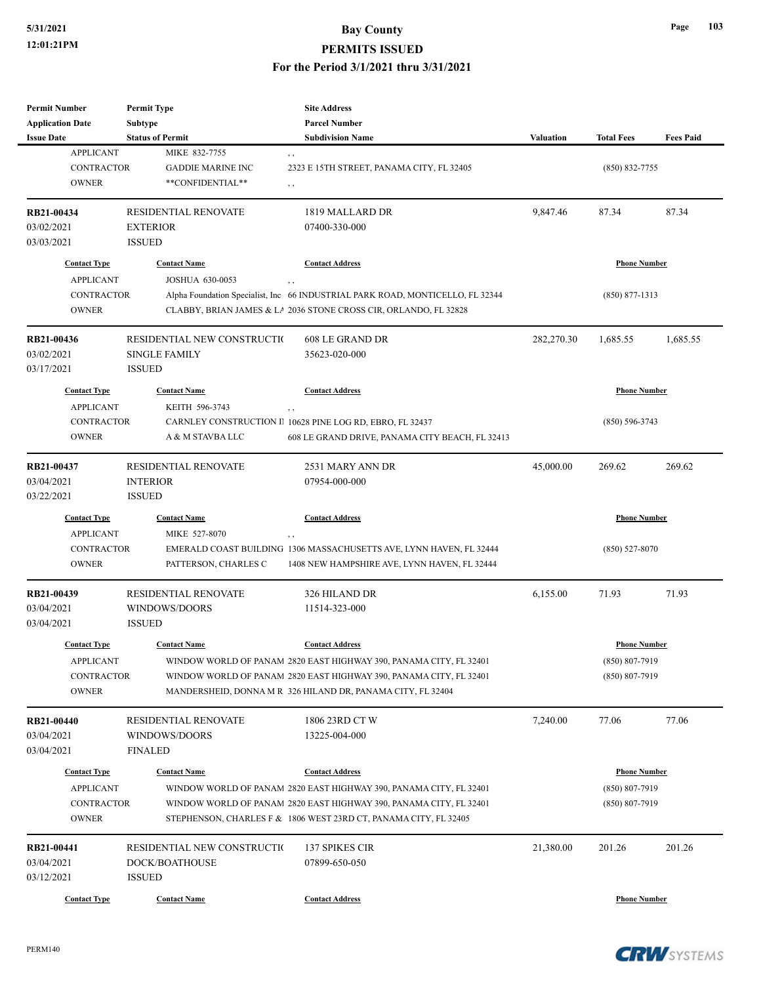| <b>Permit Number</b>    | <b>Permit Type</b>          | <b>Site Address</b>                                                            |                  |                     |                  |
|-------------------------|-----------------------------|--------------------------------------------------------------------------------|------------------|---------------------|------------------|
| <b>Application Date</b> | Subtype                     | <b>Parcel Number</b>                                                           |                  |                     |                  |
| <b>Issue Date</b>       | <b>Status of Permit</b>     | <b>Subdivision Name</b>                                                        | <b>Valuation</b> | <b>Total Fees</b>   | <b>Fees Paid</b> |
| <b>APPLICANT</b>        | MIKE 832-7755               | , ,                                                                            |                  |                     |                  |
| <b>CONTRACTOR</b>       | <b>GADDIE MARINE INC</b>    | 2323 E 15TH STREET, PANAMA CITY, FL 32405                                      |                  | $(850) 832 - 7755$  |                  |
| <b>OWNER</b>            | **CONFIDENTIAL**            | , ,                                                                            |                  |                     |                  |
| RB21-00434              | RESIDENTIAL RENOVATE        | 1819 MALLARD DR                                                                | 9,847.46         | 87.34               | 87.34            |
| 03/02/2021              | <b>EXTERIOR</b>             | 07400-330-000                                                                  |                  |                     |                  |
| 03/03/2021              | <b>ISSUED</b>               |                                                                                |                  |                     |                  |
| <b>Contact Type</b>     | <b>Contact Name</b>         | <b>Contact Address</b>                                                         |                  | <b>Phone Number</b> |                  |
| <b>APPLICANT</b>        | <b>JOSHUA 630-0053</b>      | , ,                                                                            |                  |                     |                  |
| <b>CONTRACTOR</b>       |                             | Alpha Foundation Specialist, Inc 66 INDUSTRIAL PARK ROAD, MONTICELLO, FL 32344 |                  | $(850)$ 877-1313    |                  |
| <b>OWNER</b>            |                             | CLABBY, BRIAN JAMES & LA 2036 STONE CROSS CIR, ORLANDO, FL 32828               |                  |                     |                  |
| RB21-00436              | RESIDENTIAL NEW CONSTRUCTIO | 608 LE GRAND DR                                                                | 282,270.30       | 1,685.55            | 1,685.55         |
| 03/02/2021              | <b>SINGLE FAMILY</b>        | 35623-020-000                                                                  |                  |                     |                  |
| 03/17/2021              | <b>ISSUED</b>               |                                                                                |                  |                     |                  |
| <b>Contact Type</b>     | <b>Contact Name</b>         | <b>Contact Address</b>                                                         |                  | <b>Phone Number</b> |                  |
| <b>APPLICANT</b>        | KEITH 596-3743              | , ,                                                                            |                  |                     |                  |
| <b>CONTRACTOR</b>       |                             | CARNLEY CONSTRUCTION II 10628 PINE LOG RD, EBRO, FL 32437                      |                  | $(850) 596 - 3743$  |                  |
| <b>OWNER</b>            | A & M STAVBA LLC            | 608 LE GRAND DRIVE, PANAMA CITY BEACH, FL 32413                                |                  |                     |                  |
|                         |                             |                                                                                |                  |                     |                  |
| RB21-00437              | <b>RESIDENTIAL RENOVATE</b> | 2531 MARY ANN DR                                                               | 45,000.00        | 269.62              | 269.62           |
| 03/04/2021              | <b>INTERIOR</b>             | 07954-000-000                                                                  |                  |                     |                  |
| 03/22/2021              | <b>ISSUED</b>               |                                                                                |                  |                     |                  |
| <b>Contact Type</b>     | <b>Contact Name</b>         | <b>Contact Address</b>                                                         |                  | <b>Phone Number</b> |                  |
| <b>APPLICANT</b>        | MIKE 527-8070               | $, \, ,$                                                                       |                  |                     |                  |
| <b>CONTRACTOR</b>       |                             | EMERALD COAST BUILDING 1306 MASSACHUSETTS AVE, LYNN HAVEN, FL 32444            |                  | $(850)$ 527-8070    |                  |
| <b>OWNER</b>            | PATTERSON, CHARLES C        | 1408 NEW HAMPSHIRE AVE, LYNN HAVEN, FL 32444                                   |                  |                     |                  |
| RB21-00439              | <b>RESIDENTIAL RENOVATE</b> | 326 HILAND DR                                                                  | 6.155.00         | 71.93               | 71.93            |
| 03/04/2021              | WINDOWS/DOORS               | 11514-323-000                                                                  |                  |                     |                  |
| 03/04/2021              | <b>ISSUED</b>               |                                                                                |                  |                     |                  |
| <b>Contact Type</b>     | <b>Contact Name</b>         | <b>Contact Address</b>                                                         |                  | <b>Phone Number</b> |                  |
| APPLICANT               |                             | WINDOW WORLD OF PANAM  2820 EAST HIGHWAY 390, PANAMA CITY, FL 32401            |                  | $(850) 807 - 7919$  |                  |
| CONTRACTOR              |                             | WINDOW WORLD OF PANAM 2820 EAST HIGHWAY 390, PANAMA CITY, FL 32401             |                  | $(850) 807 - 7919$  |                  |
| <b>OWNER</b>            |                             | MANDERSHEID, DONNA M R 326 HILAND DR, PANAMA CITY, FL 32404                    |                  |                     |                  |
| RB21-00440              | RESIDENTIAL RENOVATE        | 1806 23RD CT W                                                                 | 7,240.00         | 77.06               | 77.06            |
| 03/04/2021              | WINDOWS/DOORS               | 13225-004-000                                                                  |                  |                     |                  |
| 03/04/2021              | <b>FINALED</b>              |                                                                                |                  |                     |                  |
|                         |                             |                                                                                |                  |                     |                  |
| <b>Contact Type</b>     | <b>Contact Name</b>         | <b>Contact Address</b>                                                         |                  | <b>Phone Number</b> |                  |
| <b>APPLICANT</b>        |                             | WINDOW WORLD OF PANAM 2820 EAST HIGHWAY 390, PANAMA CITY, FL 32401             |                  | $(850) 807 - 7919$  |                  |
| <b>CONTRACTOR</b>       |                             | WINDOW WORLD OF PANAM 2820 EAST HIGHWAY 390, PANAMA CITY, FL 32401             |                  | $(850) 807 - 7919$  |                  |
| <b>OWNER</b>            |                             | STEPHENSON, CHARLES F & 1806 WEST 23RD CT, PANAMA CITY, FL 32405               |                  |                     |                  |
| RB21-00441              | RESIDENTIAL NEW CONSTRUCTIO | 137 SPIKES CIR                                                                 | 21,380.00        | 201.26              | 201.26           |
| 03/04/2021              | DOCK/BOATHOUSE              | 07899-650-050                                                                  |                  |                     |                  |
| 03/12/2021              | <b>ISSUED</b>               |                                                                                |                  |                     |                  |
| <b>Contact Type</b>     | <b>Contact Name</b>         | <b>Contact Address</b>                                                         |                  | <b>Phone Number</b> |                  |

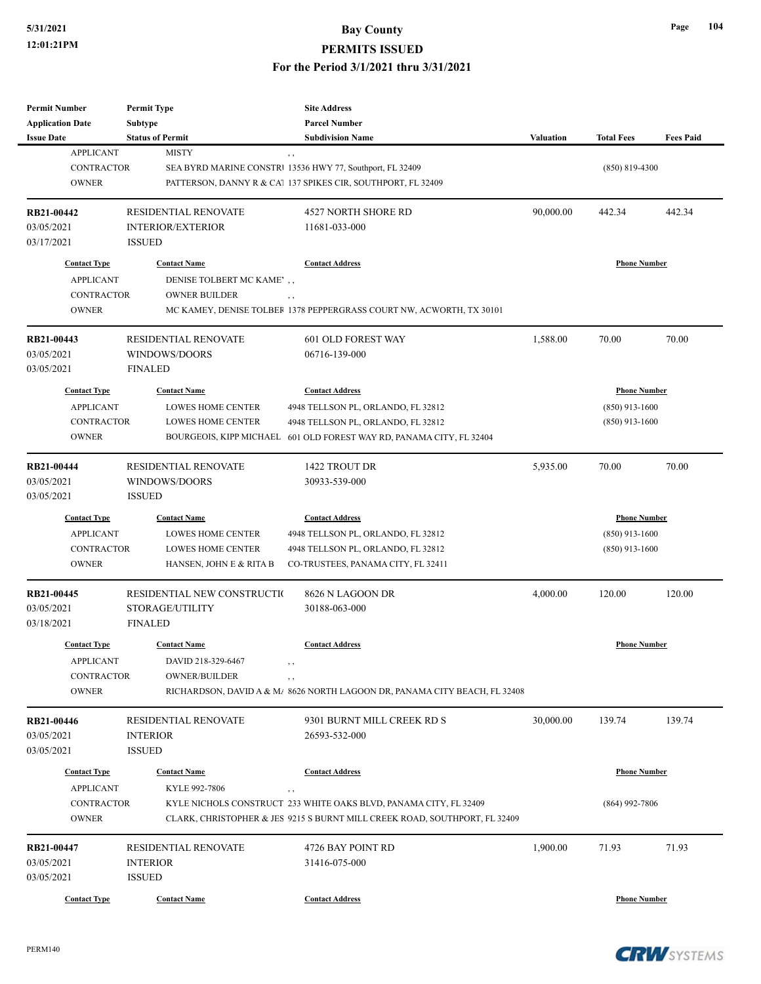#### **5/31/2021 Bay County PERMITS ISSUED**

#### **For the Period 3/1/2021 thru 3/31/2021**

| <b>Permit Number</b>    | <b>Permit Type</b>          | <b>Site Address</b>                                                        |                     |                     |                  |
|-------------------------|-----------------------------|----------------------------------------------------------------------------|---------------------|---------------------|------------------|
| <b>Application Date</b> | Subtype                     | <b>Parcel Number</b>                                                       |                     |                     |                  |
| <b>Issue Date</b>       | <b>Status of Permit</b>     | <b>Subdivision Name</b>                                                    | <b>Valuation</b>    | <b>Total Fees</b>   | <b>Fees Paid</b> |
| <b>APPLICANT</b>        | <b>MISTY</b>                | , ,                                                                        |                     |                     |                  |
| <b>CONTRACTOR</b>       |                             | SEA BYRD MARINE CONSTR1 13536 HWY 77, Southport, FL 32409                  |                     | $(850)$ 819-4300    |                  |
| <b>OWNER</b>            |                             | PATTERSON, DANNY R & CA1 137 SPIKES CIR, SOUTHPORT, FL 32409               |                     |                     |                  |
| RB21-00442              | <b>RESIDENTIAL RENOVATE</b> | 4527 NORTH SHORE RD                                                        | 90,000.00           | 442.34              | 442.34           |
| 03/05/2021              | <b>INTERIOR/EXTERIOR</b>    | 11681-033-000                                                              |                     |                     |                  |
| 03/17/2021              | <b>ISSUED</b>               |                                                                            |                     |                     |                  |
| <b>Contact Type</b>     | <b>Contact Name</b>         | <b>Contact Address</b>                                                     |                     | <b>Phone Number</b> |                  |
| <b>APPLICANT</b>        | DENISE TOLBERT MC KAME',    |                                                                            |                     |                     |                  |
| <b>CONTRACTOR</b>       | <b>OWNER BUILDER</b>        | , ,                                                                        |                     |                     |                  |
| <b>OWNER</b>            |                             | MC KAMEY, DENISE TOLBEF 1378 PEPPERGRASS COURT NW, ACWORTH, TX 30101       |                     |                     |                  |
|                         |                             |                                                                            |                     |                     |                  |
| RB21-00443              | <b>RESIDENTIAL RENOVATE</b> | <b>601 OLD FOREST WAY</b>                                                  | 1,588.00            | 70.00               | 70.00            |
| 03/05/2021              | WINDOWS/DOORS               | 06716-139-000                                                              |                     |                     |                  |
| 03/05/2021              | <b>FINALED</b>              |                                                                            |                     |                     |                  |
| <b>Contact Type</b>     | <b>Contact Name</b>         | <b>Contact Address</b>                                                     |                     | <b>Phone Number</b> |                  |
| <b>APPLICANT</b>        | <b>LOWES HOME CENTER</b>    | 4948 TELLSON PL, ORLANDO, FL 32812                                         |                     | $(850)$ 913-1600    |                  |
| <b>CONTRACTOR</b>       | <b>LOWES HOME CENTER</b>    | 4948 TELLSON PL, ORLANDO, FL 32812                                         |                     | $(850)$ 913-1600    |                  |
| <b>OWNER</b>            | BOURGEOIS, KIPP MICHAEL     | 601 OLD FOREST WAY RD, PANAMA CITY, FL 32404                               |                     |                     |                  |
|                         |                             |                                                                            |                     |                     |                  |
| <b>RB21-00444</b>       | <b>RESIDENTIAL RENOVATE</b> | 1422 TROUT DR                                                              | 5,935.00            | 70.00               | 70.00            |
| 03/05/2021              | WINDOWS/DOORS               | 30933-539-000                                                              |                     |                     |                  |
| 03/05/2021              | <b>ISSUED</b>               |                                                                            |                     |                     |                  |
| <b>Contact Type</b>     | <b>Contact Name</b>         | <b>Contact Address</b>                                                     | <b>Phone Number</b> |                     |                  |
| <b>APPLICANT</b>        | <b>LOWES HOME CENTER</b>    | 4948 TELLSON PL, ORLANDO, FL 32812                                         | $(850)$ 913-1600    |                     |                  |
| <b>CONTRACTOR</b>       | <b>LOWES HOME CENTER</b>    | 4948 TELLSON PL, ORLANDO, FL 32812                                         |                     | $(850)$ 913-1600    |                  |
| <b>OWNER</b>            | HANSEN, JOHN E & RITA B     | CO-TRUSTEES, PANAMA CITY, FL 32411                                         |                     |                     |                  |
| RB21-00445              | RESIDENTIAL NEW CONSTRUCTIO | 8626 N LAGOON DR                                                           | 4,000.00            | 120.00              | 120.00           |
| 03/05/2021              | STORAGE/UTILITY             | 30188-063-000                                                              |                     |                     |                  |
| 03/18/2021              | <b>FINALED</b>              |                                                                            |                     |                     |                  |
|                         |                             |                                                                            |                     |                     |                  |
| <b>Contact Type</b>     | <b>Contact Name</b>         | <b>Contact Address</b>                                                     |                     | <b>Phone Number</b> |                  |
| APPLICANT               | DAVID 218-329-6467          |                                                                            |                     |                     |                  |
| CONTRACTOR              | <b>OWNER/BUILDER</b>        |                                                                            |                     |                     |                  |
| <b>OWNER</b>            |                             | RICHARDSON, DAVID A & M/ 8626 NORTH LAGOON DR, PANAMA CITY BEACH, FL 32408 |                     |                     |                  |
| RB21-00446              | RESIDENTIAL RENOVATE        | 9301 BURNT MILL CREEK RD S                                                 | 30,000.00           | 139.74              | 139.74           |
| 03/05/2021              | <b>INTERIOR</b>             | 26593-532-000                                                              |                     |                     |                  |
| 03/05/2021              | <b>ISSUED</b>               |                                                                            |                     |                     |                  |
|                         |                             |                                                                            |                     |                     |                  |
| <b>Contact Type</b>     | <b>Contact Name</b>         | <b>Contact Address</b>                                                     |                     | <b>Phone Number</b> |                  |
| <b>APPLICANT</b>        | KYLE 992-7806               | , ,                                                                        |                     |                     |                  |
| <b>CONTRACTOR</b>       |                             | KYLE NICHOLS CONSTRUCT 233 WHITE OAKS BLVD, PANAMA CITY, FL 32409          | $(864)$ 992-7806    |                     |                  |
| <b>OWNER</b>            |                             | CLARK, CHRISTOPHER & JES 9215 S BURNT MILL CREEK ROAD, SOUTHPORT, FL 32409 |                     |                     |                  |
| RB21-00447              | RESIDENTIAL RENOVATE        | 4726 BAY POINT RD                                                          | 1,900.00            | 71.93               | 71.93            |
| 03/05/2021              | <b>INTERIOR</b>             | 31416-075-000                                                              |                     |                     |                  |
| 03/05/2021              | <b>ISSUED</b>               |                                                                            |                     |                     |                  |
|                         |                             |                                                                            |                     |                     |                  |
| <b>Contact Type</b>     | <b>Contact Name</b>         | <b>Contact Address</b>                                                     |                     | <b>Phone Number</b> |                  |



**Page 104**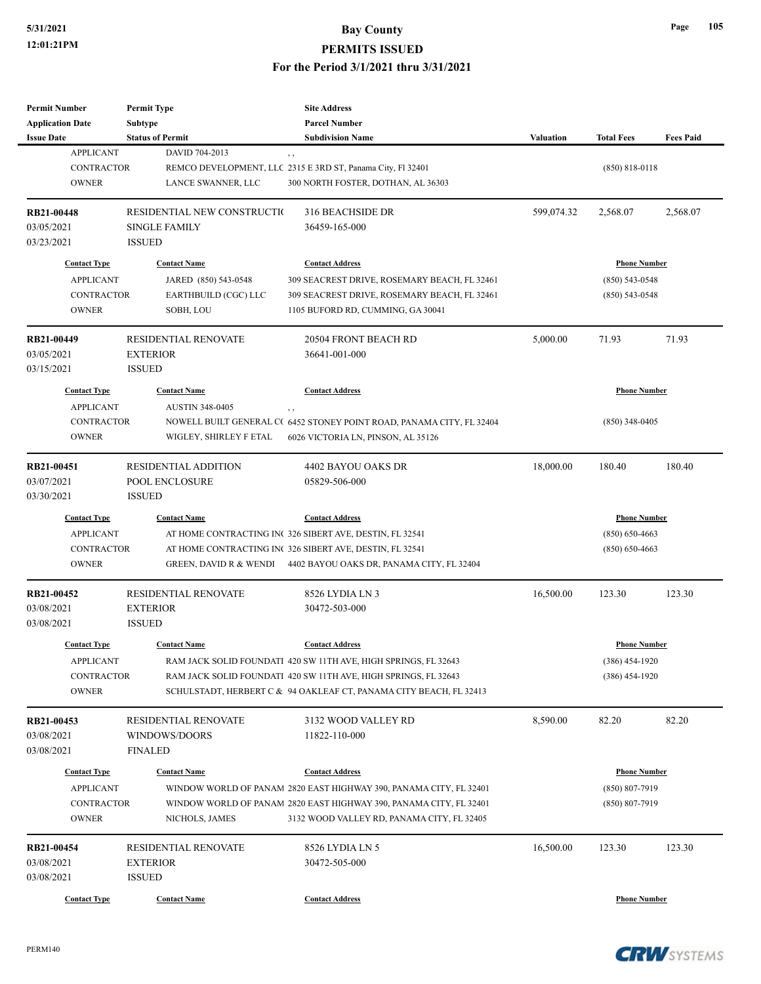| <b>Permit Number</b><br><b>Application Date</b> | <b>Permit Type</b><br><b>Subtype</b>           | <b>Site Address</b><br><b>Parcel Number</b>                                                                      |                  |                     |                  |
|-------------------------------------------------|------------------------------------------------|------------------------------------------------------------------------------------------------------------------|------------------|---------------------|------------------|
| <b>Issue Date</b>                               | <b>Status of Permit</b>                        | <b>Subdivision Name</b>                                                                                          | <b>Valuation</b> | <b>Total Fees</b>   | <b>Fees Paid</b> |
| <b>APPLICANT</b>                                | DAVID 704-2013                                 | , ,                                                                                                              |                  |                     |                  |
| <b>CONTRACTOR</b>                               |                                                | REMCO DEVELOPMENT, LLC 2315 E 3RD ST, Panama City, Fl 32401                                                      |                  | $(850) 818 - 0118$  |                  |
| <b>OWNER</b>                                    | LANCE SWANNER, LLC                             | 300 NORTH FOSTER, DOTHAN, AL 36303                                                                               |                  |                     |                  |
| RB21-00448                                      | RESIDENTIAL NEW CONSTRUCTIO                    | 316 BEACHSIDE DR                                                                                                 | 599,074.32       | 2,568.07            | 2,568.07         |
| 03/05/2021                                      | <b>SINGLE FAMILY</b>                           | 36459-165-000                                                                                                    |                  |                     |                  |
| 03/23/2021                                      | <b>ISSUED</b>                                  |                                                                                                                  |                  |                     |                  |
| <b>Contact Type</b>                             | <b>Contact Name</b>                            | <b>Contact Address</b>                                                                                           |                  | <b>Phone Number</b> |                  |
| <b>APPLICANT</b>                                | JARED (850) 543-0548                           | 309 SEACREST DRIVE, ROSEMARY BEACH, FL 32461                                                                     |                  | $(850) 543 - 0548$  |                  |
| <b>CONTRACTOR</b>                               | EARTHBUILD (CGC) LLC                           | 309 SEACREST DRIVE, ROSEMARY BEACH, FL 32461                                                                     |                  | $(850)$ 543-0548    |                  |
| <b>OWNER</b>                                    | SOBH, LOU                                      | 1105 BUFORD RD, CUMMING, GA 30041                                                                                |                  |                     |                  |
|                                                 |                                                |                                                                                                                  |                  |                     |                  |
| RB21-00449<br>03/05/2021                        | <b>RESIDENTIAL RENOVATE</b><br><b>EXTERIOR</b> | 20504 FRONT BEACH RD<br>36641-001-000                                                                            | 5,000.00         | 71.93               | 71.93            |
| 03/15/2021                                      | <b>ISSUED</b>                                  |                                                                                                                  |                  |                     |                  |
| <b>Contact Type</b>                             | <b>Contact Name</b>                            | <b>Contact Address</b>                                                                                           |                  | <b>Phone Number</b> |                  |
| <b>APPLICANT</b>                                | <b>AUSTIN 348-0405</b>                         |                                                                                                                  |                  |                     |                  |
| <b>CONTRACTOR</b>                               |                                                | ,,<br>NOWELL BUILT GENERAL C( 6452 STONEY POINT ROAD, PANAMA CITY, FL 32404                                      |                  | $(850)$ 348-0405    |                  |
| <b>OWNER</b>                                    | WIGLEY, SHIRLEY F ETAL                         | 6026 VICTORIA LN, PINSON, AL 35126                                                                               |                  |                     |                  |
|                                                 |                                                |                                                                                                                  |                  |                     |                  |
| RB21-00451                                      | <b>RESIDENTIAL ADDITION</b>                    | 4402 BAYOU OAKS DR                                                                                               | 18,000.00        | 180.40              | 180.40           |
| 03/07/2021                                      | POOL ENCLOSURE                                 | 05829-506-000                                                                                                    |                  |                     |                  |
| 03/30/2021                                      | <b>ISSUED</b>                                  |                                                                                                                  |                  |                     |                  |
| <b>Contact Type</b>                             | <b>Contact Name</b>                            | <b>Contact Address</b>                                                                                           |                  | <b>Phone Number</b> |                  |
| <b>APPLICANT</b>                                |                                                | AT HOME CONTRACTING INC 326 SIBERT AVE, DESTIN, FL 32541                                                         |                  | $(850) 650 - 4663$  |                  |
| CONTRACTOR                                      |                                                | AT HOME CONTRACTING INC 326 SIBERT AVE, DESTIN, FL 32541                                                         |                  | $(850) 650 - 4663$  |                  |
| <b>OWNER</b>                                    | <b>GREEN, DAVID R &amp; WENDI</b>              | 4402 BAYOU OAKS DR, PANAMA CITY, FL 32404                                                                        |                  |                     |                  |
| RB21-00452                                      | RESIDENTIAL RENOVATE                           | 8526 LYDIA LN 3                                                                                                  | 16,500.00        | 123.30              | 123.30           |
| 03/08/2021                                      | <b>EXTERIOR</b>                                | 30472-503-000                                                                                                    |                  |                     |                  |
| 03/08/2021                                      | <b>ISSUED</b>                                  |                                                                                                                  |                  |                     |                  |
| <b>Contact Type</b>                             | <b>Contact Name</b>                            | <b>Contact Address</b>                                                                                           |                  | <b>Phone Number</b> |                  |
| <b>APPLICANT</b>                                |                                                | RAM JACK SOLID FOUNDATI 420 SW 11TH AVE, HIGH SPRINGS, FL 32643                                                  |                  | $(386)$ 454-1920    |                  |
| CONTRACTOR                                      |                                                | RAM JACK SOLID FOUNDATI 420 SW 11TH AVE, HIGH SPRINGS, FL 32643                                                  |                  | $(386)$ 454-1920    |                  |
| <b>OWNER</b>                                    |                                                | SCHULSTADT, HERBERT C & 94 OAKLEAF CT, PANAMA CITY BEACH, FL 32413                                               |                  |                     |                  |
|                                                 |                                                |                                                                                                                  |                  |                     |                  |
| RB21-00453<br>03/08/2021                        | RESIDENTIAL RENOVATE<br>WINDOWS/DOORS          | 3132 WOOD VALLEY RD                                                                                              | 8,590.00         | 82.20               | 82.20            |
| 03/08/2021                                      | <b>FINALED</b>                                 | 11822-110-000                                                                                                    |                  |                     |                  |
|                                                 |                                                |                                                                                                                  |                  |                     |                  |
| <b>Contact Type</b>                             | <b>Contact Name</b>                            | <b>Contact Address</b>                                                                                           |                  | <b>Phone Number</b> |                  |
| <b>APPLICANT</b>                                |                                                | WINDOW WORLD OF PANAM 2820 EAST HIGHWAY 390, PANAMA CITY, FL 32401                                               |                  | $(850) 807 - 7919$  |                  |
| CONTRACTOR<br><b>OWNER</b>                      | NICHOLS, JAMES                                 | WINDOW WORLD OF PANAM 2820 EAST HIGHWAY 390, PANAMA CITY, FL 32401<br>3132 WOOD VALLEY RD, PANAMA CITY, FL 32405 |                  | $(850) 807 - 7919$  |                  |
|                                                 |                                                |                                                                                                                  |                  |                     |                  |
| RB21-00454                                      | RESIDENTIAL RENOVATE                           | 8526 LYDIA LN 5                                                                                                  | 16,500.00        | 123.30              | 123.30           |
| 03/08/2021                                      | <b>EXTERIOR</b>                                | 30472-505-000                                                                                                    |                  |                     |                  |
| 03/08/2021                                      | <b>ISSUED</b>                                  |                                                                                                                  |                  |                     |                  |
| <b>Contact Type</b>                             | <b>Contact Name</b>                            | <b>Contact Address</b>                                                                                           |                  | <b>Phone Number</b> |                  |
|                                                 |                                                |                                                                                                                  |                  |                     |                  |

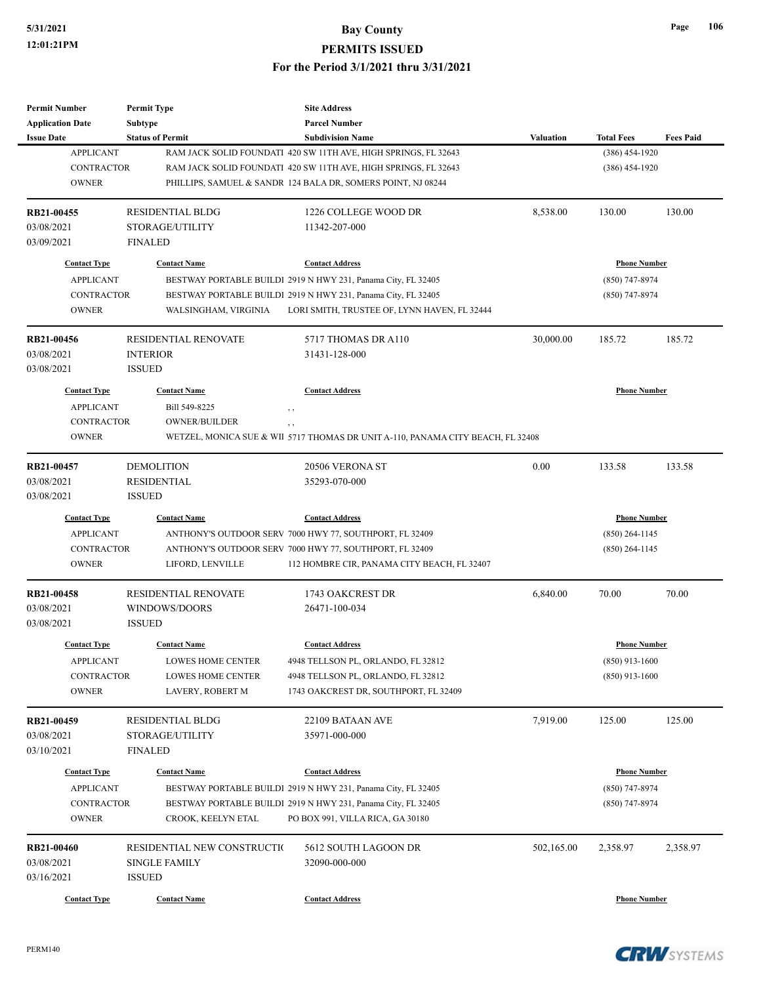| <b>Permit Number</b>    | <b>Permit Type</b>          | <b>Site Address</b>                                                             |                  |                     |                  |
|-------------------------|-----------------------------|---------------------------------------------------------------------------------|------------------|---------------------|------------------|
| <b>Application Date</b> | <b>Subtype</b>              | <b>Parcel Number</b>                                                            |                  |                     |                  |
| <b>Issue Date</b>       | <b>Status of Permit</b>     | <b>Subdivision Name</b>                                                         | <b>Valuation</b> | <b>Total Fees</b>   | <b>Fees Paid</b> |
| <b>APPLICANT</b>        |                             | RAM JACK SOLID FOUNDATI 420 SW 11TH AVE, HIGH SPRINGS, FL 32643                 |                  | $(386)$ 454-1920    |                  |
| <b>CONTRACTOR</b>       |                             | RAM JACK SOLID FOUNDATI 420 SW 11TH AVE, HIGH SPRINGS, FL 32643                 |                  | $(386)$ 454-1920    |                  |
| <b>OWNER</b>            |                             | PHILLIPS, SAMUEL & SANDR 124 BALA DR, SOMERS POINT, NJ 08244                    |                  |                     |                  |
|                         |                             |                                                                                 |                  |                     |                  |
| RB21-00455              | <b>RESIDENTIAL BLDG</b>     | 1226 COLLEGE WOOD DR                                                            | 8,538.00         | 130.00              | 130.00           |
| 03/08/2021              | STORAGE/UTILITY             | 11342-207-000                                                                   |                  |                     |                  |
| 03/09/2021              | <b>FINALED</b>              |                                                                                 |                  |                     |                  |
| <b>Contact Type</b>     | <b>Contact Name</b>         | <b>Contact Address</b>                                                          |                  | <b>Phone Number</b> |                  |
| <b>APPLICANT</b>        |                             | BESTWAY PORTABLE BUILDI 2919 N HWY 231, Panama City, FL 32405                   |                  | (850) 747-8974      |                  |
| <b>CONTRACTOR</b>       |                             | BESTWAY PORTABLE BUILDI 2919 N HWY 231, Panama City, FL 32405                   |                  | (850) 747-8974      |                  |
| <b>OWNER</b>            | WALSINGHAM, VIRGINIA        | LORI SMITH, TRUSTEE OF, LYNN HAVEN, FL 32444                                    |                  |                     |                  |
|                         |                             |                                                                                 |                  |                     |                  |
| RB21-00456              | <b>RESIDENTIAL RENOVATE</b> | 5717 THOMAS DR A110                                                             | 30,000.00        | 185.72              | 185.72           |
| 03/08/2021              | <b>INTERIOR</b>             | 31431-128-000                                                                   |                  |                     |                  |
| 03/08/2021              | <b>ISSUED</b>               |                                                                                 |                  |                     |                  |
| <b>Contact Type</b>     | <b>Contact Name</b>         | <b>Contact Address</b>                                                          |                  | <b>Phone Number</b> |                  |
| <b>APPLICANT</b>        | Bill 549-8225               | $, \, ,$                                                                        |                  |                     |                  |
| <b>CONTRACTOR</b>       | <b>OWNER/BUILDER</b>        | $, \, , \,$                                                                     |                  |                     |                  |
| <b>OWNER</b>            |                             | WETZEL, MONICA SUE & WII 5717 THOMAS DR UNIT A-110, PANAMA CITY BEACH, FL 32408 |                  |                     |                  |
|                         |                             |                                                                                 |                  |                     |                  |
| RB21-00457              | <b>DEMOLITION</b>           | 20506 VERONA ST                                                                 | 0.00             | 133.58              | 133.58           |
| 03/08/2021              | <b>RESIDENTIAL</b>          | 35293-070-000                                                                   |                  |                     |                  |
| 03/08/2021              | <b>ISSUED</b>               |                                                                                 |                  |                     |                  |
| <b>Contact Type</b>     | <b>Contact Name</b>         | <b>Contact Address</b>                                                          |                  | <b>Phone Number</b> |                  |
| <b>APPLICANT</b>        |                             | ANTHONY'S OUTDOOR SERV 7000 HWY 77, SOUTHPORT, FL 32409                         |                  |                     | $(850)$ 264-1145 |
| <b>CONTRACTOR</b>       |                             | ANTHONY'S OUTDOOR SERV 7000 HWY 77, SOUTHPORT, FL 32409                         |                  | $(850)$ 264-1145    |                  |
| <b>OWNER</b>            | LIFORD, LENVILLE            | 112 HOMBRE CIR, PANAMA CITY BEACH, FL 32407                                     |                  |                     |                  |
|                         |                             |                                                                                 |                  |                     | 70.00            |
| RB21-00458              | <b>RESIDENTIAL RENOVATE</b> | 1743 OAKCREST DR                                                                | 6,840.00         | 70.00               |                  |
| 03/08/2021              | WINDOWS/DOORS               | 26471-100-034                                                                   |                  |                     |                  |
| 03/08/2021              | <b>ISSUED</b>               |                                                                                 |                  |                     |                  |
| <b>Contact Type</b>     | <b>Contact Name</b>         | <b>Contact Address</b>                                                          |                  | <b>Phone Number</b> |                  |
| <b>APPLICANT</b>        | <b>LOWES HOME CENTER</b>    | 4948 TELLSON PL, ORLANDO, FL 32812                                              |                  | $(850)$ 913-1600    |                  |
| CONTRACTOR              | <b>LOWES HOME CENTER</b>    | 4948 TELLSON PL, ORLANDO, FL 32812                                              |                  | $(850)$ 913-1600    |                  |
| <b>OWNER</b>            | LAVERY, ROBERT M            | 1743 OAKCREST DR, SOUTHPORT, FL 32409                                           |                  |                     |                  |
| RB21-00459              | RESIDENTIAL BLDG            | 22109 BATAAN AVE                                                                | 7,919.00         | 125.00              | 125.00           |
| 03/08/2021              | STORAGE/UTILITY             | 35971-000-000                                                                   |                  |                     |                  |
| 03/10/2021              | <b>FINALED</b>              |                                                                                 |                  |                     |                  |
|                         |                             |                                                                                 |                  |                     |                  |
| <b>Contact Type</b>     | <b>Contact Name</b>         | <b>Contact Address</b>                                                          |                  | <b>Phone Number</b> |                  |
| <b>APPLICANT</b>        |                             | BESTWAY PORTABLE BUILDI 2919 N HWY 231, Panama City, FL 32405                   |                  | $(850)$ 747-8974    |                  |
| <b>CONTRACTOR</b>       |                             | BESTWAY PORTABLE BUILDI 2919 N HWY 231, Panama City, FL 32405                   |                  | $(850)$ 747-8974    |                  |
| <b>OWNER</b>            | CROOK, KEELYN ETAL          | PO BOX 991, VILLA RICA, GA 30180                                                |                  |                     |                  |
| RB21-00460              | RESIDENTIAL NEW CONSTRUCTIO | 5612 SOUTH LAGOON DR                                                            | 502,165.00       | 2,358.97            | 2,358.97         |
| 03/08/2021              | SINGLE FAMILY               | 32090-000-000                                                                   |                  |                     |                  |
| 03/16/2021              | <b>ISSUED</b>               |                                                                                 |                  |                     |                  |
|                         |                             |                                                                                 |                  |                     |                  |
| <b>Contact Type</b>     | <b>Contact Name</b>         | <b>Contact Address</b>                                                          |                  | <b>Phone Number</b> |                  |



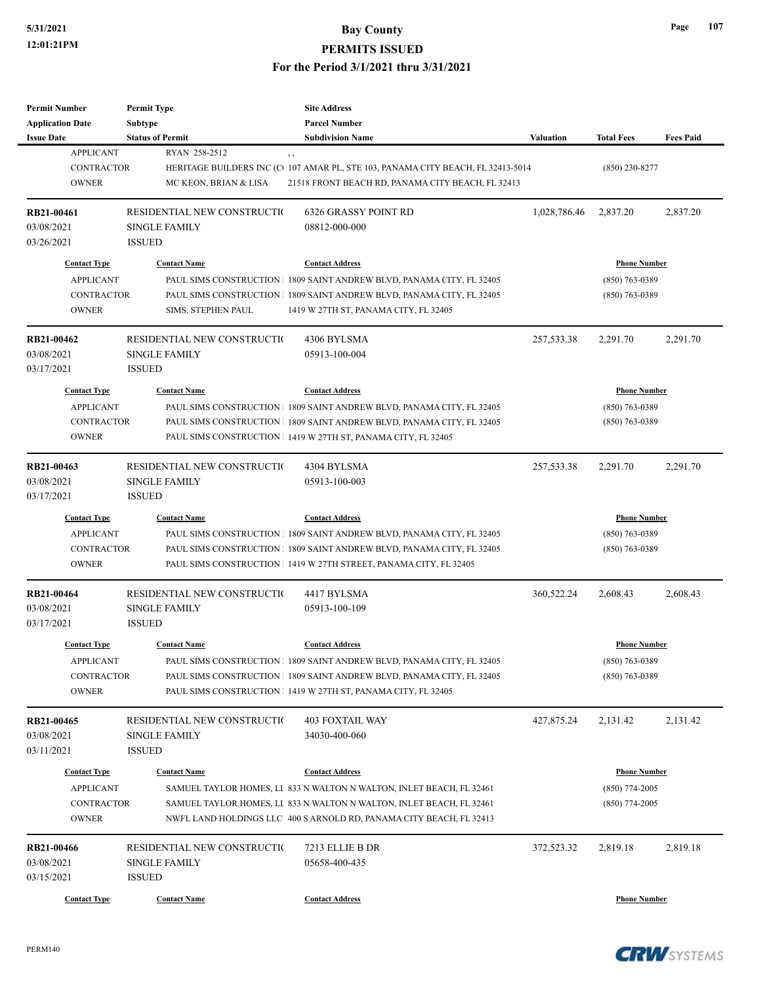**Permit Number**

**Permit Type**

# **5/31/2021 Bay County**

#### **PERMITS ISSUED For the Period 3/1/2021 thru 3/31/2021**

**Site Address**

| <b>Application Date</b> | <b>Subtype</b>               | <b>Parcel Number</b>                                                            |              |                     |                  |
|-------------------------|------------------------------|---------------------------------------------------------------------------------|--------------|---------------------|------------------|
| <b>Issue Date</b>       | <b>Status of Permit</b>      | <b>Subdivision Name</b>                                                         | Valuation    | <b>Total Fees</b>   | <b>Fees Paid</b> |
| <b>APPLICANT</b>        | RYAN 258-2512                | , ,                                                                             |              |                     |                  |
| <b>CONTRACTOR</b>       |                              | HERITAGE BUILDERS INC (C 107 AMAR PL, STE 103, PANAMA CITY BEACH, FL 32413-5014 |              | $(850)$ 230-8277    |                  |
| <b>OWNER</b>            | MC KEON, BRIAN & LISA        | 21518 FRONT BEACH RD, PANAMA CITY BEACH, FL 32413                               |              |                     |                  |
| RB21-00461              | RESIDENTIAL NEW CONSTRUCTIO  | 6326 GRASSY POINT RD                                                            | 1,028,786.46 | 2,837.20            | 2,837.20         |
| 03/08/2021              | <b>SINGLE FAMILY</b>         | 08812-000-000                                                                   |              |                     |                  |
| 03/26/2021              | <b>ISSUED</b>                |                                                                                 |              |                     |                  |
| <b>Contact Type</b>     | <b>Contact Name</b>          | <b>Contact Address</b>                                                          |              | <b>Phone Number</b> |                  |
| <b>APPLICANT</b>        |                              | PAUL SIMS CONSTRUCTION   1809 SAINT ANDREW BLVD, PANAMA CITY, FL 32405          |              | (850) 763-0389      |                  |
| <b>CONTRACTOR</b>       |                              | PAUL SIMS CONSTRUCTION 1 1809 SAINT ANDREW BLVD, PANAMA CITY, FL 32405          |              | (850) 763-0389      |                  |
| <b>OWNER</b>            | SIMS, STEPHEN PAUL           | 1419 W 27TH ST, PANAMA CITY, FL 32405                                           |              |                     |                  |
| RB21-00462              | RESIDENTIAL NEW CONSTRUCTIO  | 4306 BYLSMA                                                                     | 257,533.38   | 2,291.70            | 2,291.70         |
| 03/08/2021              | <b>SINGLE FAMILY</b>         | 05913-100-004                                                                   |              |                     |                  |
| 03/17/2021              | <b>ISSUED</b>                |                                                                                 |              |                     |                  |
| <b>Contact Type</b>     | <b>Contact Name</b>          | <b>Contact Address</b>                                                          |              | <b>Phone Number</b> |                  |
| <b>APPLICANT</b>        |                              | PAUL SIMS CONSTRUCTION 1809 SAINT ANDREW BLVD, PANAMA CITY, FL 32405            |              | (850) 763-0389      |                  |
| <b>CONTRACTOR</b>       |                              | PAUL SIMS CONSTRUCTION   1809 SAINT ANDREW BLVD, PANAMA CITY, FL 32405          |              | (850) 763-0389      |                  |
| <b>OWNER</b>            |                              | PAUL SIMS CONSTRUCTION 1 1419 W 27TH ST, PANAMA CITY, FL 32405                  |              |                     |                  |
| RB21-00463              | RESIDENTIAL NEW CONSTRUCTIO  | 4304 BYLSMA                                                                     | 257,533.38   | 2,291.70            | 2,291.70         |
| 03/08/2021              | <b>SINGLE FAMILY</b>         | 05913-100-003                                                                   |              |                     |                  |
| 03/17/2021              | <b>ISSUED</b>                |                                                                                 |              |                     |                  |
| <b>Contact Type</b>     | <b>Contact Name</b>          | <b>Contact Address</b>                                                          |              | <b>Phone Number</b> |                  |
| <b>APPLICANT</b>        |                              | PAUL SIMS CONSTRUCTION 1809 SAINT ANDREW BLVD, PANAMA CITY, FL 32405            |              | $(850)$ 763-0389    |                  |
| <b>CONTRACTOR</b>       |                              | PAUL SIMS CONSTRUCTION   1809 SAINT ANDREW BLVD, PANAMA CITY, FL 32405          |              | (850) 763-0389      |                  |
| <b>OWNER</b>            |                              | PAUL SIMS CONSTRUCTION 1419 W 27TH STREET, PANAMA CITY, FL 32405                |              |                     |                  |
| <b>RB21-00464</b>       | RESIDENTIAL NEW CONSTRUCTION | 4417 BYLSMA                                                                     | 360,522.24   | 2,608.43            | 2,608.43         |
| 03/08/2021              | <b>SINGLE FAMILY</b>         | 05913-100-109                                                                   |              |                     |                  |
| 03/17/2021              | <b>ISSUED</b>                |                                                                                 |              |                     |                  |
| <b>Contact Type</b>     | <b>Contact Name</b>          | <b>Contact Address</b>                                                          |              | <b>Phone Number</b> |                  |
| <b>APPLICANT</b>        |                              | PAUL SIMS CONSTRUCTION   1809 SAINT ANDREW BLVD, PANAMA CITY, FL 32405          |              | $(850)$ 763-0389    |                  |
| CONTRACTOR              |                              | PAUL SIMS CONSTRUCTION   1809 SAINT ANDREW BLVD, PANAMA CITY, FL 32405          |              | (850) 763-0389      |                  |
| <b>OWNER</b>            |                              | PAUL SIMS CONSTRUCTION 1 1419 W 27TH ST, PANAMA CITY, FL 32405                  |              |                     |                  |
| RB21-00465              | RESIDENTIAL NEW CONSTRUCTIO  | 403 FOXTAIL WAY                                                                 | 427,875.24   | 2,131.42            | 2,131.42         |
| 03/08/2021              | <b>SINGLE FAMILY</b>         | 34030-400-060                                                                   |              |                     |                  |
| 03/11/2021              | <b>ISSUED</b>                |                                                                                 |              |                     |                  |
| <b>Contact Type</b>     | <b>Contact Name</b>          | <b>Contact Address</b>                                                          |              | <b>Phone Number</b> |                  |
| <b>APPLICANT</b>        |                              | SAMUEL TAYLOR HOMES, LI 833 N WALTON N WALTON, INLET BEACH, FL 32461            |              | $(850)$ 774-2005    |                  |
| <b>CONTRACTOR</b>       |                              | SAMUEL TAYLOR HOMES, LI 833 N WALTON N WALTON, INLET BEACH, FL 32461            |              | $(850)$ 774-2005    |                  |
| <b>OWNER</b>            |                              | NWFL LAND HOLDINGS LLC 400 S ARNOLD RD, PANAMA CITY BEACH, FL 32413             |              |                     |                  |
| RB21-00466              | RESIDENTIAL NEW CONSTRUCTIO  | 7213 ELLIE B DR                                                                 | 372,523.32   | 2,819.18            | 2,819.18         |
| 03/08/2021              | <b>SINGLE FAMILY</b>         | 05658-400-435                                                                   |              |                     |                  |
| 03/15/2021              | <b>ISSUED</b>                |                                                                                 |              |                     |                  |
| <b>Contact Type</b>     | <b>Contact Name</b>          | <b>Contact Address</b>                                                          |              | <b>Phone Number</b> |                  |
|                         |                              |                                                                                 |              |                     |                  |



**Page 107**

PERM140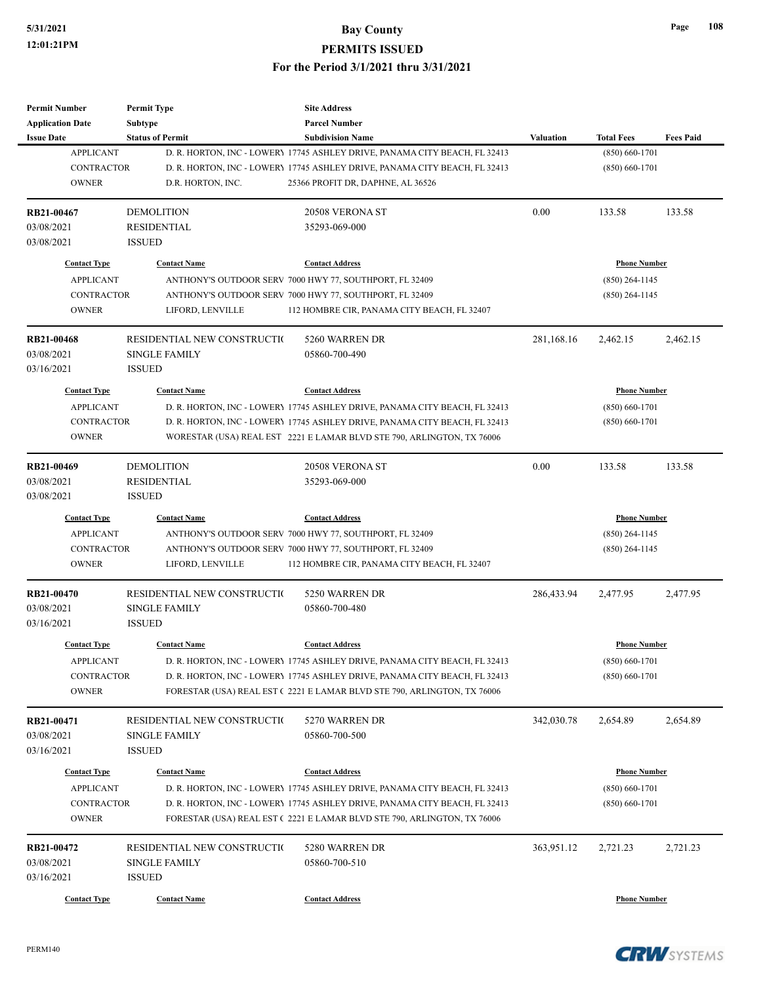| <b>Permit Number</b>    | <b>Permit Type</b>          | <b>Site Address</b>                                                        |                  |                     |                  |
|-------------------------|-----------------------------|----------------------------------------------------------------------------|------------------|---------------------|------------------|
| <b>Application Date</b> | Subtype                     | <b>Parcel Number</b>                                                       |                  |                     |                  |
| <b>Issue Date</b>       | <b>Status of Permit</b>     | <b>Subdivision Name</b>                                                    | <b>Valuation</b> | <b>Total Fees</b>   | <b>Fees Paid</b> |
| <b>APPLICANT</b>        |                             | D. R. HORTON, INC - LOWERY 17745 ASHLEY DRIVE, PANAMA CITY BEACH, FL 32413 |                  | $(850) 660 - 1701$  |                  |
| <b>CONTRACTOR</b>       |                             | D. R. HORTON, INC - LOWERY 17745 ASHLEY DRIVE, PANAMA CITY BEACH, FL 32413 |                  | $(850) 660 - 1701$  |                  |
| <b>OWNER</b>            | D.R. HORTON, INC.           | 25366 PROFIT DR, DAPHNE, AL 36526                                          |                  |                     |                  |
| RB21-00467              | <b>DEMOLITION</b>           | 20508 VERONA ST                                                            | 0.00             | 133.58              | 133.58           |
| 03/08/2021              | <b>RESIDENTIAL</b>          | 35293-069-000                                                              |                  |                     |                  |
| 03/08/2021              | <b>ISSUED</b>               |                                                                            |                  |                     |                  |
| <b>Contact Type</b>     | <b>Contact Name</b>         | <b>Contact Address</b>                                                     |                  | <b>Phone Number</b> |                  |
| <b>APPLICANT</b>        |                             | ANTHONY'S OUTDOOR SERV 7000 HWY 77, SOUTHPORT, FL 32409                    |                  | $(850)$ 264-1145    |                  |
| <b>CONTRACTOR</b>       |                             | ANTHONY'S OUTDOOR SERV 7000 HWY 77, SOUTHPORT, FL 32409                    |                  | $(850)$ 264-1145    |                  |
| <b>OWNER</b>            | LIFORD, LENVILLE            | 112 HOMBRE CIR, PANAMA CITY BEACH, FL 32407                                |                  |                     |                  |
| <b>RB21-00468</b>       | RESIDENTIAL NEW CONSTRUCTIO | 5260 WARREN DR                                                             | 281,168.16       | 2,462.15            | 2,462.15         |
| 03/08/2021              | <b>SINGLE FAMILY</b>        | 05860-700-490                                                              |                  |                     |                  |
| 03/16/2021              | <b>ISSUED</b>               |                                                                            |                  |                     |                  |
| <b>Contact Type</b>     | <b>Contact Name</b>         | <b>Contact Address</b>                                                     |                  | <b>Phone Number</b> |                  |
| <b>APPLICANT</b>        |                             | D. R. HORTON, INC - LOWERY 17745 ASHLEY DRIVE, PANAMA CITY BEACH, FL 32413 |                  | $(850) 660 - 1701$  |                  |
| <b>CONTRACTOR</b>       |                             | D. R. HORTON, INC - LOWERY 17745 ASHLEY DRIVE, PANAMA CITY BEACH, FL 32413 |                  | $(850) 660 - 1701$  |                  |
| <b>OWNER</b>            |                             | WORESTAR (USA) REAL EST 2221 E LAMAR BLVD STE 790, ARLINGTON, TX 76006     |                  |                     |                  |
|                         |                             |                                                                            |                  |                     |                  |
| RB21-00469              | <b>DEMOLITION</b>           | 20508 VERONA ST                                                            | 0.00             | 133.58              | 133.58           |
| 03/08/2021              | <b>RESIDENTIAL</b>          | 35293-069-000                                                              |                  |                     |                  |
| 03/08/2021              | <b>ISSUED</b>               |                                                                            |                  |                     |                  |
| <b>Contact Type</b>     | <b>Contact Name</b>         | <b>Contact Address</b>                                                     |                  | <b>Phone Number</b> |                  |
| <b>APPLICANT</b>        |                             | ANTHONY'S OUTDOOR SERV 7000 HWY 77, SOUTHPORT, FL 32409                    |                  | $(850)$ 264-1145    |                  |
| <b>CONTRACTOR</b>       |                             | ANTHONY'S OUTDOOR SERV 7000 HWY 77, SOUTHPORT, FL 32409                    |                  | $(850)$ 264-1145    |                  |
| <b>OWNER</b>            | LIFORD, LENVILLE            | 112 HOMBRE CIR, PANAMA CITY BEACH, FL 32407                                |                  |                     |                  |
| <b>RB21-00470</b>       | RESIDENTIAL NEW CONSTRUCTIO | 5250 WARREN DR                                                             | 286,433.94       | 2,477.95            | 2,477.95         |
| 03/08/2021              | <b>SINGLE FAMILY</b>        | 05860-700-480                                                              |                  |                     |                  |
| 03/16/2021              | <b>ISSUED</b>               |                                                                            |                  |                     |                  |
| <b>Contact Type</b>     | <b>Contact Name</b>         | <b>Contact Address</b>                                                     |                  | <b>Phone Number</b> |                  |
| APPLICANT               |                             | D. R. HORTON, INC - LOWERY 17745 ASHLEY DRIVE, PANAMA CITY BEACH, FL 32413 |                  | $(850) 660 - 1701$  |                  |
| CONTRACTOR              |                             | D. R. HORTON, INC - LOWERY 17745 ASHLEY DRIVE, PANAMA CITY BEACH, FL 32413 |                  | $(850)$ 660-1701    |                  |
| <b>OWNER</b>            |                             | FORESTAR (USA) REAL EST (2221 E LAMAR BLVD STE 790, ARLINGTON, TX 76006    |                  |                     |                  |
| RB21-00471              | RESIDENTIAL NEW CONSTRUCTIO | 5270 WARREN DR                                                             | 342,030.78       | 2,654.89            | 2,654.89         |
| 03/08/2021              | <b>SINGLE FAMILY</b>        | 05860-700-500                                                              |                  |                     |                  |
| 03/16/2021              | <b>ISSUED</b>               |                                                                            |                  |                     |                  |
| <b>Contact Type</b>     | <b>Contact Name</b>         | <b>Contact Address</b>                                                     |                  | <b>Phone Number</b> |                  |
|                         |                             |                                                                            |                  |                     |                  |
| <b>APPLICANT</b>        |                             | D. R. HORTON, INC - LOWERY 17745 ASHLEY DRIVE, PANAMA CITY BEACH, FL 32413 |                  | $(850) 660 - 1701$  |                  |
| <b>CONTRACTOR</b>       |                             | D. R. HORTON, INC - LOWERY 17745 ASHLEY DRIVE, PANAMA CITY BEACH, FL 32413 |                  | $(850) 660 - 1701$  |                  |
| <b>OWNER</b>            |                             | FORESTAR (USA) REAL EST (2221 E LAMAR BLVD STE 790, ARLINGTON, TX 76006    |                  |                     |                  |
| RB21-00472              | RESIDENTIAL NEW CONSTRUCTIO | 5280 WARREN DR                                                             | 363,951.12       | 2,721.23            | 2,721.23         |
| 03/08/2021              | <b>SINGLE FAMILY</b>        | 05860-700-510                                                              |                  |                     |                  |
| 03/16/2021              | <b>ISSUED</b>               |                                                                            |                  |                     |                  |
|                         |                             |                                                                            |                  |                     |                  |
| <b>Contact Type</b>     | <b>Contact Name</b>         | <b>Contact Address</b>                                                     |                  | <b>Phone Number</b> |                  |

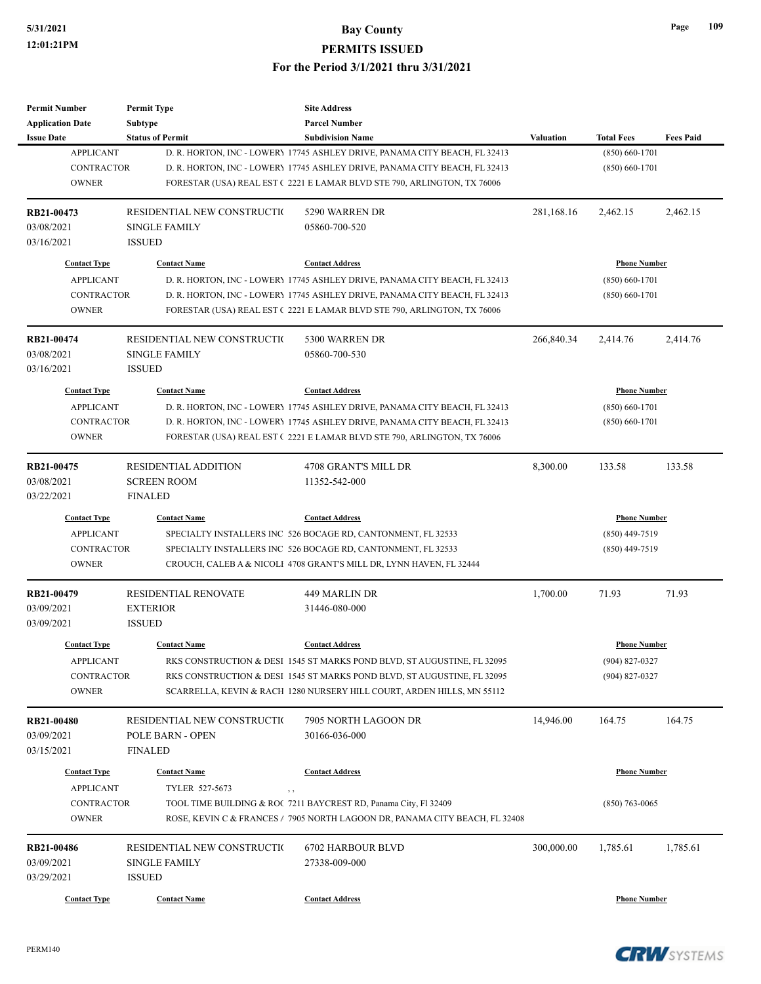| <b>Permit Number</b>    | <b>Permit Type</b>          | <b>Site Address</b>                                                                                                                             |                  |                     |                  |
|-------------------------|-----------------------------|-------------------------------------------------------------------------------------------------------------------------------------------------|------------------|---------------------|------------------|
| <b>Application Date</b> | <b>Subtype</b>              | <b>Parcel Number</b>                                                                                                                            |                  |                     |                  |
| <b>Issue Date</b>       | <b>Status of Permit</b>     | <b>Subdivision Name</b>                                                                                                                         | <b>Valuation</b> | <b>Total Fees</b>   | <b>Fees Paid</b> |
| <b>APPLICANT</b>        |                             | D. R. HORTON, INC - LOWERY 17745 ASHLEY DRIVE, PANAMA CITY BEACH, FL 32413                                                                      |                  | $(850) 660 - 1701$  |                  |
| <b>CONTRACTOR</b>       |                             | D. R. HORTON, INC - LOWERY 17745 ASHLEY DRIVE, PANAMA CITY BEACH, FL 32413                                                                      |                  | $(850) 660 - 1701$  |                  |
| <b>OWNER</b>            |                             | FORESTAR (USA) REAL EST (2221 E LAMAR BLVD STE 790, ARLINGTON, TX 76006                                                                         |                  |                     |                  |
| RB21-00473              | RESIDENTIAL NEW CONSTRUCTIO | 5290 WARREN DR                                                                                                                                  | 281,168.16       | 2,462.15            | 2,462.15         |
| 03/08/2021              | <b>SINGLE FAMILY</b>        | 05860-700-520                                                                                                                                   |                  |                     |                  |
| 03/16/2021              | <b>ISSUED</b>               |                                                                                                                                                 |                  |                     |                  |
| <b>Contact Type</b>     | <b>Contact Name</b>         | <b>Contact Address</b>                                                                                                                          |                  | <b>Phone Number</b> |                  |
| <b>APPLICANT</b>        |                             | D. R. HORTON, INC - LOWERY 17745 ASHLEY DRIVE, PANAMA CITY BEACH, FL 32413                                                                      |                  | $(850) 660 - 1701$  |                  |
| <b>CONTRACTOR</b>       |                             | D. R. HORTON, INC - LOWERY 17745 ASHLEY DRIVE, PANAMA CITY BEACH, FL 32413                                                                      |                  | $(850) 660 - 1701$  |                  |
| <b>OWNER</b>            |                             | FORESTAR (USA) REAL EST (2221 E LAMAR BLVD STE 790, ARLINGTON, TX 76006                                                                         |                  |                     |                  |
| RB21-00474              | RESIDENTIAL NEW CONSTRUCTIO | 5300 WARREN DR                                                                                                                                  | 266,840.34       | 2,414.76            | 2,414.76         |
| 03/08/2021              | <b>SINGLE FAMILY</b>        | 05860-700-530                                                                                                                                   |                  |                     |                  |
| 03/16/2021              | <b>ISSUED</b>               |                                                                                                                                                 |                  |                     |                  |
| <b>Contact Type</b>     | <b>Contact Name</b>         | <b>Contact Address</b>                                                                                                                          |                  | <b>Phone Number</b> |                  |
| <b>APPLICANT</b>        |                             | D. R. HORTON, INC - LOWERY 17745 ASHLEY DRIVE, PANAMA CITY BEACH, FL 32413                                                                      |                  | $(850) 660 - 1701$  |                  |
| <b>CONTRACTOR</b>       |                             | D. R. HORTON, INC - LOWERY 17745 ASHLEY DRIVE, PANAMA CITY BEACH, FL 32413                                                                      |                  | $(850) 660 - 1701$  |                  |
| <b>OWNER</b>            |                             | FORESTAR (USA) REAL EST (2221 E LAMAR BLVD STE 790, ARLINGTON, TX 76006                                                                         |                  |                     |                  |
|                         |                             |                                                                                                                                                 |                  |                     |                  |
| RB21-00475              | <b>RESIDENTIAL ADDITION</b> | 4708 GRANT'S MILL DR                                                                                                                            | 8,300.00         | 133.58              | 133.58           |
| 03/08/2021              | <b>SCREEN ROOM</b>          | 11352-542-000                                                                                                                                   |                  |                     |                  |
| 03/22/2021              | <b>FINALED</b>              |                                                                                                                                                 |                  |                     |                  |
| <b>Contact Type</b>     | <b>Contact Name</b>         | <b>Contact Address</b>                                                                                                                          |                  | <b>Phone Number</b> |                  |
| <b>APPLICANT</b>        |                             | SPECIALTY INSTALLERS INC 526 BOCAGE RD, CANTONMENT, FL 32533                                                                                    |                  | (850) 449-7519      |                  |
| <b>CONTRACTOR</b>       |                             | SPECIALTY INSTALLERS INC 526 BOCAGE RD, CANTONMENT, FL 32533                                                                                    |                  | (850) 449-7519      |                  |
| <b>OWNER</b>            |                             | CROUCH, CALEB A & NICOLI 4708 GRANT'S MILL DR, LYNN HAVEN, FL 32444                                                                             |                  |                     |                  |
| RB21-00479              | <b>RESIDENTIAL RENOVATE</b> | 449 MARLIN DR                                                                                                                                   | 1,700.00         | 71.93               | 71.93            |
| 03/09/2021              | <b>EXTERIOR</b>             | 31446-080-000                                                                                                                                   |                  |                     |                  |
| 03/09/2021              | <b>ISSUED</b>               |                                                                                                                                                 |                  |                     |                  |
| <b>Contact Type</b>     | <b>Contact Name</b>         | <b>Contact Address</b>                                                                                                                          |                  | <b>Phone Number</b> |                  |
| <b>APPLICANT</b>        |                             | RKS CONSTRUCTION & DESI 1545 ST MARKS POND BLVD, ST AUGUSTINE, FL 32095                                                                         |                  | (904) 827-0327      |                  |
| <b>CONTRACTOR</b>       |                             | RKS CONSTRUCTION & DESI 1545 ST MARKS POND BLVD, ST AUGUSTINE, FL 32095                                                                         |                  | (904) 827-0327      |                  |
| <b>OWNER</b>            |                             | SCARRELLA, KEVIN & RACH 1280 NURSERY HILL COURT, ARDEN HILLS, MN 55112                                                                          |                  |                     |                  |
| RB21-00480              | RESIDENTIAL NEW CONSTRUCTIO | 7905 NORTH LAGOON DR                                                                                                                            | 14,946.00        | 164.75              | 164.75           |
| 03/09/2021              | POLE BARN - OPEN            | 30166-036-000                                                                                                                                   |                  |                     |                  |
| 03/15/2021              | FINALED                     |                                                                                                                                                 |                  |                     |                  |
| <b>Contact Type</b>     | <b>Contact Name</b>         | <b>Contact Address</b>                                                                                                                          |                  | <b>Phone Number</b> |                  |
| <b>APPLICANT</b>        | TYLER 527-5673              |                                                                                                                                                 |                  |                     |                  |
| <b>CONTRACTOR</b>       | , ,                         |                                                                                                                                                 |                  |                     |                  |
| <b>OWNER</b>            |                             | TOOL TIME BUILDING & ROC 7211 BAYCREST RD, Panama City, Fl 32409<br>ROSE, KEVIN C & FRANCES / 7905 NORTH LAGOON DR, PANAMA CITY BEACH, FL 32408 |                  | $(850)$ 763-0065    |                  |
|                         |                             |                                                                                                                                                 |                  |                     |                  |
| RB21-00486              | RESIDENTIAL NEW CONSTRUCTIO | <b>6702 HARBOUR BLVD</b>                                                                                                                        | 300,000.00       | 1,785.61            | 1,785.61         |
| 03/09/2021              | SINGLE FAMILY               | 27338-009-000                                                                                                                                   |                  |                     |                  |
| 03/29/2021              | <b>ISSUED</b>               |                                                                                                                                                 |                  |                     |                  |
| <b>Contact Type</b>     | <b>Contact Name</b>         | <b>Contact Address</b>                                                                                                                          |                  | <b>Phone Number</b> |                  |

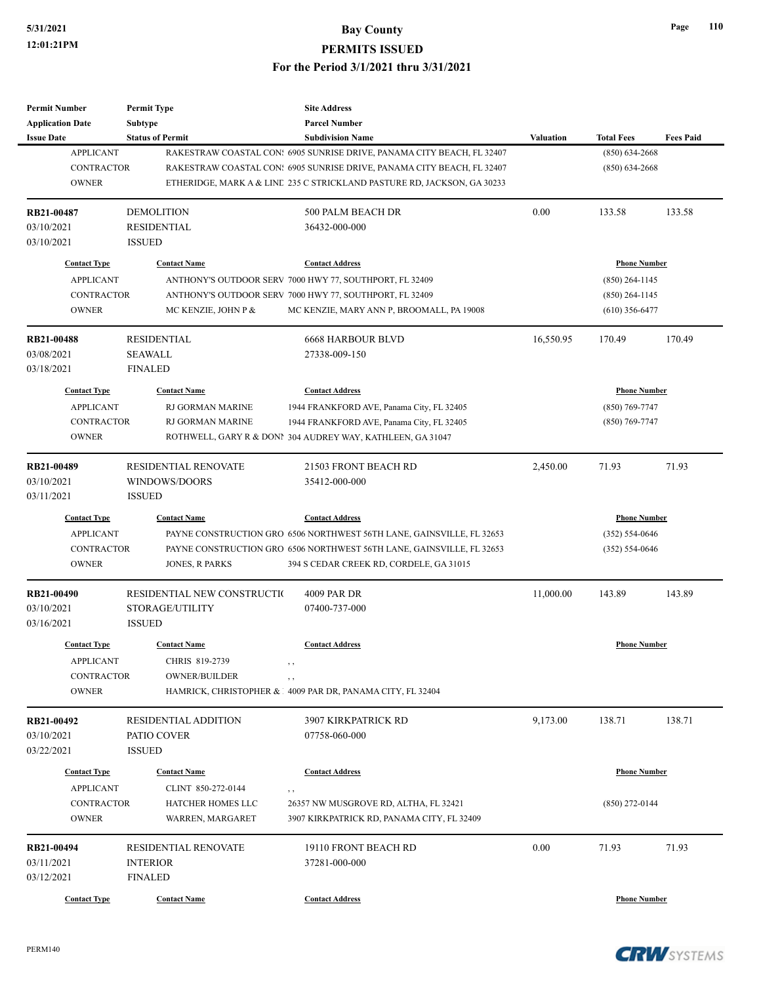| <b>Permit Number</b>    | <b>Permit Type</b>          | <b>Site Address</b>                                                     |                  |                     |                  |
|-------------------------|-----------------------------|-------------------------------------------------------------------------|------------------|---------------------|------------------|
| <b>Application Date</b> | <b>Subtype</b>              | <b>Parcel Number</b>                                                    |                  |                     |                  |
| <b>Issue Date</b>       | <b>Status of Permit</b>     | <b>Subdivision Name</b>                                                 | <b>Valuation</b> | <b>Total Fees</b>   | <b>Fees Paid</b> |
| <b>APPLICANT</b>        |                             | RAKESTRAW COASTAL CON: 6905 SUNRISE DRIVE, PANAMA CITY BEACH, FL 32407  |                  | $(850) 634 - 2668$  |                  |
| <b>CONTRACTOR</b>       |                             | RAKESTRAW COASTAL CON: 6905 SUNRISE DRIVE, PANAMA CITY BEACH, FL 32407  |                  | $(850) 634 - 2668$  |                  |
| <b>OWNER</b>            |                             | ETHERIDGE, MARK A & LINE 235 C STRICKLAND PASTURE RD, JACKSON, GA 30233 |                  |                     |                  |
|                         |                             |                                                                         |                  |                     |                  |
| RB21-00487              | <b>DEMOLITION</b>           | 500 PALM BEACH DR                                                       | 0.00             | 133.58              | 133.58           |
| 03/10/2021              | <b>RESIDENTIAL</b>          | 36432-000-000                                                           |                  |                     |                  |
| 03/10/2021              | <b>ISSUED</b>               |                                                                         |                  |                     |                  |
| <b>Contact Type</b>     | <b>Contact Name</b>         | <b>Contact Address</b>                                                  |                  | <b>Phone Number</b> |                  |
| <b>APPLICANT</b>        |                             | ANTHONY'S OUTDOOR SERV 7000 HWY 77, SOUTHPORT, FL 32409                 |                  | $(850)$ 264-1145    |                  |
| CONTRACTOR              |                             | ANTHONY'S OUTDOOR SERV 7000 HWY 77, SOUTHPORT, FL 32409                 |                  | $(850)$ 264-1145    |                  |
| <b>OWNER</b>            | MC KENZIE, JOHN P &         | MC KENZIE, MARY ANN P, BROOMALL, PA 19008                               |                  | $(610)$ 356-6477    |                  |
|                         |                             |                                                                         |                  |                     |                  |
| <b>RB21-00488</b>       | <b>RESIDENTIAL</b>          | <b>6668 HARBOUR BLVD</b>                                                | 16,550.95        | 170.49              | 170.49           |
| 03/08/2021              | <b>SEAWALL</b>              | 27338-009-150                                                           |                  |                     |                  |
| 03/18/2021              | <b>FINALED</b>              |                                                                         |                  |                     |                  |
| <b>Contact Type</b>     | <b>Contact Name</b>         | <b>Contact Address</b>                                                  |                  | <b>Phone Number</b> |                  |
|                         |                             |                                                                         |                  |                     |                  |
| <b>APPLICANT</b>        | RJ GORMAN MARINE            | 1944 FRANKFORD AVE, Panama City, FL 32405                               |                  | $(850)$ 769-7747    |                  |
| <b>CONTRACTOR</b>       | RJ GORMAN MARINE            | 1944 FRANKFORD AVE, Panama City, FL 32405                               |                  | $(850)$ 769-7747    |                  |
| <b>OWNER</b>            |                             | ROTHWELL, GARY R & DONI 304 AUDREY WAY, KATHLEEN, GA 31047              |                  |                     |                  |
| RB21-00489              | RESIDENTIAL RENOVATE        | 21503 FRONT BEACH RD                                                    | 2,450.00         | 71.93               | 71.93            |
| 03/10/2021              | WINDOWS/DOORS               | 35412-000-000                                                           |                  |                     |                  |
| 03/11/2021              | <b>ISSUED</b>               |                                                                         |                  |                     |                  |
|                         |                             |                                                                         |                  |                     |                  |
| <b>Contact Type</b>     | <b>Contact Name</b>         | <b>Contact Address</b>                                                  |                  | <b>Phone Number</b> |                  |
| <b>APPLICANT</b>        |                             | PAYNE CONSTRUCTION GRO 6506 NORTHWEST 56TH LANE, GAINSVILLE, FL 32653   |                  | $(352) 554-0646$    |                  |
| <b>CONTRACTOR</b>       |                             | PAYNE CONSTRUCTION GRO 6506 NORTHWEST 56TH LANE, GAINSVILLE, FL 32653   |                  | $(352) 554 - 0646$  |                  |
| <b>OWNER</b>            | <b>JONES, R PARKS</b>       | 394 S CEDAR CREEK RD, CORDELE, GA 31015                                 |                  |                     |                  |
|                         |                             | 4009 PAR DR                                                             |                  |                     |                  |
| RB21-00490              | RESIDENTIAL NEW CONSTRUCTIO |                                                                         | 11,000.00        | 143.89              | 143.89           |
| 03/10/2021              | STORAGE/UTILITY             | 07400-737-000                                                           |                  |                     |                  |
| 03/16/2021              | <b>ISSUED</b>               |                                                                         |                  |                     |                  |
| <b>Contact Type</b>     | <b>Contact Name</b>         | <b>Contact Address</b>                                                  |                  | <b>Phone Number</b> |                  |
| <b>APPLICANT</b>        | CHRIS 819-2739              | , ,                                                                     |                  |                     |                  |
| CONTRACTOR              | <b>OWNER/BUILDER</b>        | $, \, ,$                                                                |                  |                     |                  |
| <b>OWNER</b>            |                             | HAMRICK, CHRISTOPHER & 4009 PAR DR, PANAMA CITY, FL 32404               |                  |                     |                  |
|                         |                             |                                                                         |                  |                     |                  |
| RB21-00492              | <b>RESIDENTIAL ADDITION</b> | 3907 KIRKPATRICK RD                                                     | 9,173.00         | 138.71              | 138.71           |
| 03/10/2021              | PATIO COVER                 | 07758-060-000                                                           |                  |                     |                  |
| 03/22/2021              | <b>ISSUED</b>               |                                                                         |                  |                     |                  |
| <b>Contact Type</b>     | <b>Contact Name</b>         | <b>Contact Address</b>                                                  |                  | <b>Phone Number</b> |                  |
| <b>APPLICANT</b>        | CLINT 850-272-0144          | $, \, , \,$                                                             |                  |                     |                  |
| CONTRACTOR              | HATCHER HOMES LLC           | 26357 NW MUSGROVE RD, ALTHA, FL 32421                                   |                  | $(850)$ 272-0144    |                  |
| <b>OWNER</b>            | WARREN, MARGARET            | 3907 KIRKPATRICK RD, PANAMA CITY, FL 32409                              |                  |                     |                  |
|                         |                             |                                                                         |                  |                     |                  |
| RB21-00494              | RESIDENTIAL RENOVATE        | 19110 FRONT BEACH RD                                                    | 0.00             | 71.93               | 71.93            |
| 03/11/2021              | <b>INTERIOR</b>             | 37281-000-000                                                           |                  |                     |                  |
| 03/12/2021              | <b>FINALED</b>              |                                                                         |                  |                     |                  |
| <b>Contact Type</b>     | <b>Contact Name</b>         | <b>Contact Address</b>                                                  |                  | <b>Phone Number</b> |                  |
|                         |                             |                                                                         |                  |                     |                  |

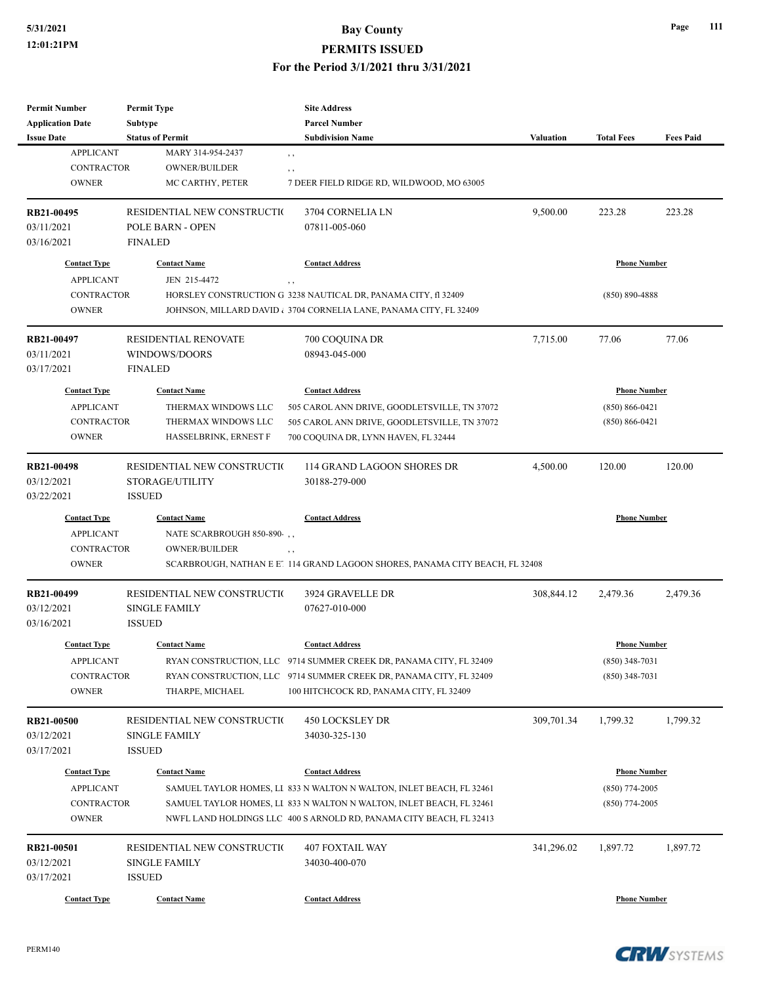### **5/31/2021 Bay County**

#### **PERMITS ISSUED**

**For the Period 3/1/2021 thru 3/31/2021**

| <b>Permit Number</b><br><b>Application Date</b> | <b>Permit Type</b>                        | <b>Site Address</b><br><b>Parcel Number</b>                                  |            |                     |                  |
|-------------------------------------------------|-------------------------------------------|------------------------------------------------------------------------------|------------|---------------------|------------------|
| <b>Issue Date</b>                               | <b>Subtype</b><br><b>Status of Permit</b> | <b>Subdivision Name</b>                                                      | Valuation  | <b>Total Fees</b>   | <b>Fees Paid</b> |
| <b>APPLICANT</b>                                | MARY 314-954-2437                         |                                                                              |            |                     |                  |
| <b>CONTRACTOR</b>                               | <b>OWNER/BUILDER</b>                      | , ,                                                                          |            |                     |                  |
| <b>OWNER</b>                                    | MC CARTHY, PETER                          | , ,<br>7 DEER FIELD RIDGE RD, WILDWOOD, MO 63005                             |            |                     |                  |
|                                                 |                                           |                                                                              |            |                     |                  |
| RB21-00495                                      | RESIDENTIAL NEW CONSTRUCTIO               | 3704 CORNELIA LN                                                             | 9,500.00   | 223.28              | 223.28           |
| 03/11/2021                                      | POLE BARN - OPEN                          | 07811-005-060                                                                |            |                     |                  |
| 03/16/2021                                      | <b>FINALED</b>                            |                                                                              |            |                     |                  |
| <b>Contact Type</b>                             | <b>Contact Name</b>                       | <b>Contact Address</b>                                                       |            | <b>Phone Number</b> |                  |
| <b>APPLICANT</b>                                | JEN 215-4472                              | $, \, , \,$                                                                  |            |                     |                  |
| <b>CONTRACTOR</b>                               |                                           | HORSLEY CONSTRUCTION G 3238 NAUTICAL DR, PANAMA CITY, fl 32409               |            | $(850) 890 - 4888$  |                  |
| <b>OWNER</b>                                    |                                           | JOHNSON, MILLARD DAVID & 3704 CORNELIA LANE, PANAMA CITY, FL 32409           |            |                     |                  |
| RB21-00497                                      | <b>RESIDENTIAL RENOVATE</b>               | 700 COQUINA DR                                                               | 7,715.00   | 77.06               | 77.06            |
| 03/11/2021                                      | WINDOWS/DOORS                             | 08943-045-000                                                                |            |                     |                  |
| 03/17/2021                                      | <b>FINALED</b>                            |                                                                              |            |                     |                  |
| <b>Contact Type</b>                             | <b>Contact Name</b>                       | <b>Contact Address</b>                                                       |            | <b>Phone Number</b> |                  |
| <b>APPLICANT</b>                                | THERMAX WINDOWS LLC                       | 505 CAROL ANN DRIVE, GOODLETSVILLE, TN 37072                                 |            | $(850) 866 - 0421$  |                  |
| <b>CONTRACTOR</b>                               | THERMAX WINDOWS LLC                       | 505 CAROL ANN DRIVE, GOODLETSVILLE, TN 37072                                 |            | $(850) 866 - 0421$  |                  |
| <b>OWNER</b>                                    | HASSELBRINK, ERNEST F                     | 700 COQUINA DR, LYNN HAVEN, FL 32444                                         |            |                     |                  |
|                                                 |                                           |                                                                              |            |                     |                  |
| RB21-00498                                      | RESIDENTIAL NEW CONSTRUCTIO               | 114 GRAND LAGOON SHORES DR                                                   | 4,500.00   | 120.00              | 120.00           |
| 03/12/2021                                      | STORAGE/UTILITY                           | 30188-279-000                                                                |            |                     |                  |
| 03/22/2021                                      | <b>ISSUED</b>                             |                                                                              |            |                     |                  |
| <b>Contact Type</b>                             | <b>Contact Name</b>                       | <b>Contact Address</b>                                                       |            | <b>Phone Number</b> |                  |
| <b>APPLICANT</b>                                | NATE SCARBROUGH 850-890,                  |                                                                              |            |                     |                  |
| <b>CONTRACTOR</b>                               | <b>OWNER/BUILDER</b>                      | $, \, ,$                                                                     |            |                     |                  |
| <b>OWNER</b>                                    |                                           | SCARBROUGH, NATHAN E E! 114 GRAND LAGOON SHORES, PANAMA CITY BEACH, FL 32408 |            |                     |                  |
| RB21-00499                                      | RESIDENTIAL NEW CONSTRUCTIO               | 3924 GRAVELLE DR                                                             | 308,844.12 | 2,479.36            | 2,479.36         |
| 03/12/2021                                      | <b>SINGLE FAMILY</b>                      | 07627-010-000                                                                |            |                     |                  |
| 03/16/2021                                      | <b>ISSUED</b>                             |                                                                              |            |                     |                  |
| <b>Contact Type</b>                             | <b>Contact Name</b>                       | <b>Contact Address</b>                                                       |            | <b>Phone Number</b> |                  |
| <b>APPLICANT</b>                                |                                           |                                                                              |            | $(850)$ 348-7031    |                  |
|                                                 |                                           | RYAN CONSTRUCTION, LLC 9714 SUMMER CREEK DR, PANAMA CITY, FL 32409           |            |                     |                  |
| CONTRACTOR                                      | THARPE, MICHAEL                           | RYAN CONSTRUCTION, LLC 9714 SUMMER CREEK DR, PANAMA CITY, FL 32409           |            | $(850)$ 348-7031    |                  |
| <b>OWNER</b>                                    |                                           | 100 HITCHCOCK RD, PANAMA CITY, FL 32409                                      |            |                     |                  |
| RB21-00500                                      | RESIDENTIAL NEW CONSTRUCTIO               | 450 LOCKSLEY DR                                                              | 309,701.34 | 1,799.32            | 1,799.32         |
| 03/12/2021                                      | <b>SINGLE FAMILY</b>                      | 34030-325-130                                                                |            |                     |                  |
| 03/17/2021                                      | <b>ISSUED</b>                             |                                                                              |            |                     |                  |
| <b>Contact Type</b>                             | <b>Contact Name</b>                       | <b>Contact Address</b>                                                       |            | <b>Phone Number</b> |                  |
| <b>APPLICANT</b>                                |                                           | SAMUEL TAYLOR HOMES, LI 833 N WALTON N WALTON, INLET BEACH, FL 32461         |            | $(850)$ 774-2005    |                  |
| <b>CONTRACTOR</b>                               |                                           | SAMUEL TAYLOR HOMES, LI 833 N WALTON N WALTON, INLET BEACH, FL 32461         |            | $(850)$ 774-2005    |                  |
| <b>OWNER</b>                                    |                                           | NWFL LAND HOLDINGS LLC 400 S ARNOLD RD, PANAMA CITY BEACH, FL 32413          |            |                     |                  |
|                                                 |                                           |                                                                              |            |                     |                  |
| RB21-00501                                      | RESIDENTIAL NEW CONSTRUCTIO               | <b>407 FOXTAIL WAY</b>                                                       | 341,296.02 | 1,897.72            | 1,897.72         |
| 03/12/2021                                      | SINGLE FAMILY                             | 34030-400-070                                                                |            |                     |                  |
| 03/17/2021                                      | <b>ISSUED</b>                             |                                                                              |            |                     |                  |
| <b>Contact Type</b>                             | <b>Contact Name</b>                       | <b>Contact Address</b>                                                       |            | <b>Phone Number</b> |                  |



**Page 111**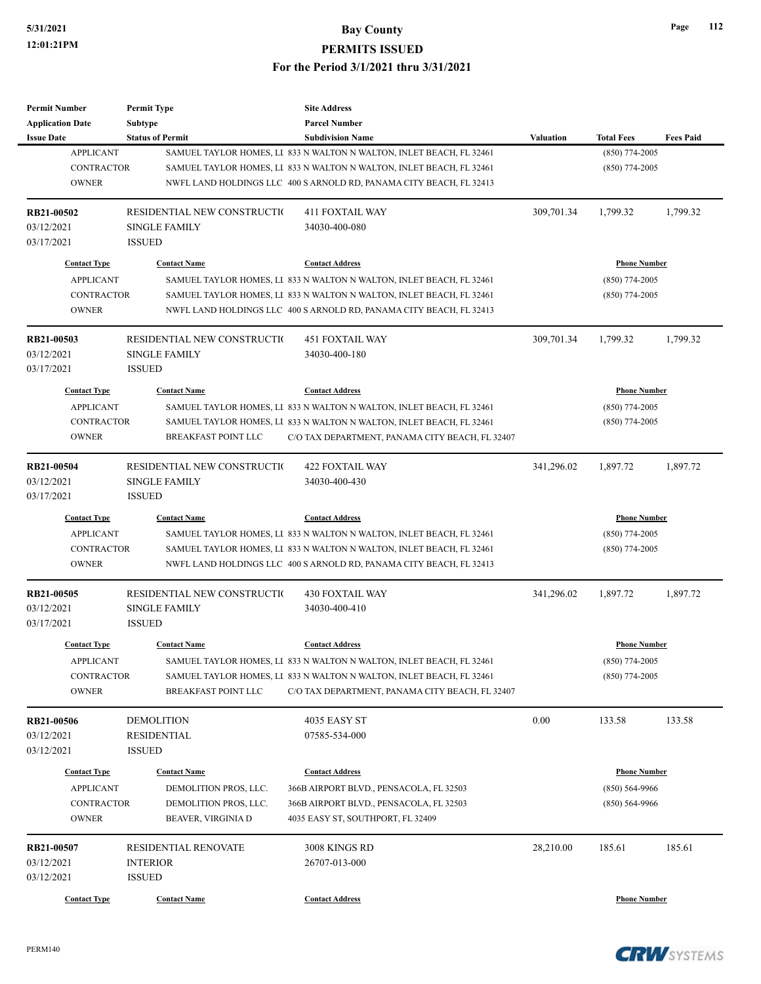| <b>Application Date</b><br><b>Issue Date</b><br><b>APPLICANT</b><br><b>CONTRACTOR</b><br><b>OWNER</b><br>RB21-00502<br>03/12/2021<br>03/17/2021<br><b>Contact Type</b><br><b>APPLICANT</b><br><b>CONTRACTOR</b><br><b>OWNER</b><br>RB21-00503<br>03/12/2021<br>03/17/2021<br><b>Contact Type</b><br><b>APPLICANT</b><br><b>CONTRACTOR</b><br><b>OWNER</b><br>RB21-00504 | Subtype<br><b>Status of Permit</b><br>RESIDENTIAL NEW CONSTRUCTIO<br><b>SINGLE FAMILY</b><br><b>ISSUED</b><br><b>Contact Name</b><br>RESIDENTIAL NEW CONSTRUCTIO<br><b>SINGLE FAMILY</b><br><b>ISSUED</b><br><b>Contact Name</b> | <b>Parcel Number</b><br><b>Subdivision Name</b><br>SAMUEL TAYLOR HOMES, LI 833 N WALTON N WALTON, INLET BEACH, FL 32461<br>SAMUEL TAYLOR HOMES, LI 833 N WALTON N WALTON, INLET BEACH, FL 32461<br>NWFL LAND HOLDINGS LLC 400 S ARNOLD RD, PANAMA CITY BEACH, FL 32413<br><b>411 FOXTAIL WAY</b><br>34030-400-080<br><b>Contact Address</b><br>SAMUEL TAYLOR HOMES, LI 833 N WALTON N WALTON, INLET BEACH, FL 32461<br>SAMUEL TAYLOR HOMES, LI 833 N WALTON N WALTON, INLET BEACH, FL 32461<br>NWFL LAND HOLDINGS LLC 400 S ARNOLD RD, PANAMA CITY BEACH, FL 32413<br><b>451 FOXTAIL WAY</b><br>34030-400-180<br><b>Contact Address</b><br>SAMUEL TAYLOR HOMES, LI 833 N WALTON N WALTON, INLET BEACH, FL 32461 | <b>Valuation</b><br>309,701.34<br>309,701.34 | <b>Total Fees</b><br>$(850)$ 774-2005<br>$(850)$ 774-2005<br>1,799.32<br><b>Phone Number</b><br>$(850)$ 774-2005<br>$(850)$ 774-2005<br>1,799.32<br><b>Phone Number</b> | <b>Fees Paid</b><br>1,799.32<br>1,799.32 |
|-------------------------------------------------------------------------------------------------------------------------------------------------------------------------------------------------------------------------------------------------------------------------------------------------------------------------------------------------------------------------|----------------------------------------------------------------------------------------------------------------------------------------------------------------------------------------------------------------------------------|-----------------------------------------------------------------------------------------------------------------------------------------------------------------------------------------------------------------------------------------------------------------------------------------------------------------------------------------------------------------------------------------------------------------------------------------------------------------------------------------------------------------------------------------------------------------------------------------------------------------------------------------------------------------------------------------------------------------|----------------------------------------------|-------------------------------------------------------------------------------------------------------------------------------------------------------------------------|------------------------------------------|
|                                                                                                                                                                                                                                                                                                                                                                         |                                                                                                                                                                                                                                  |                                                                                                                                                                                                                                                                                                                                                                                                                                                                                                                                                                                                                                                                                                                 |                                              |                                                                                                                                                                         |                                          |
|                                                                                                                                                                                                                                                                                                                                                                         |                                                                                                                                                                                                                                  |                                                                                                                                                                                                                                                                                                                                                                                                                                                                                                                                                                                                                                                                                                                 |                                              |                                                                                                                                                                         |                                          |
|                                                                                                                                                                                                                                                                                                                                                                         |                                                                                                                                                                                                                                  |                                                                                                                                                                                                                                                                                                                                                                                                                                                                                                                                                                                                                                                                                                                 |                                              |                                                                                                                                                                         |                                          |
|                                                                                                                                                                                                                                                                                                                                                                         |                                                                                                                                                                                                                                  |                                                                                                                                                                                                                                                                                                                                                                                                                                                                                                                                                                                                                                                                                                                 |                                              |                                                                                                                                                                         |                                          |
|                                                                                                                                                                                                                                                                                                                                                                         |                                                                                                                                                                                                                                  |                                                                                                                                                                                                                                                                                                                                                                                                                                                                                                                                                                                                                                                                                                                 |                                              |                                                                                                                                                                         |                                          |
|                                                                                                                                                                                                                                                                                                                                                                         |                                                                                                                                                                                                                                  |                                                                                                                                                                                                                                                                                                                                                                                                                                                                                                                                                                                                                                                                                                                 |                                              |                                                                                                                                                                         |                                          |
|                                                                                                                                                                                                                                                                                                                                                                         |                                                                                                                                                                                                                                  |                                                                                                                                                                                                                                                                                                                                                                                                                                                                                                                                                                                                                                                                                                                 |                                              |                                                                                                                                                                         |                                          |
|                                                                                                                                                                                                                                                                                                                                                                         |                                                                                                                                                                                                                                  |                                                                                                                                                                                                                                                                                                                                                                                                                                                                                                                                                                                                                                                                                                                 |                                              |                                                                                                                                                                         |                                          |
|                                                                                                                                                                                                                                                                                                                                                                         |                                                                                                                                                                                                                                  |                                                                                                                                                                                                                                                                                                                                                                                                                                                                                                                                                                                                                                                                                                                 |                                              |                                                                                                                                                                         |                                          |
|                                                                                                                                                                                                                                                                                                                                                                         |                                                                                                                                                                                                                                  |                                                                                                                                                                                                                                                                                                                                                                                                                                                                                                                                                                                                                                                                                                                 |                                              |                                                                                                                                                                         |                                          |
|                                                                                                                                                                                                                                                                                                                                                                         |                                                                                                                                                                                                                                  |                                                                                                                                                                                                                                                                                                                                                                                                                                                                                                                                                                                                                                                                                                                 |                                              |                                                                                                                                                                         |                                          |
|                                                                                                                                                                                                                                                                                                                                                                         |                                                                                                                                                                                                                                  |                                                                                                                                                                                                                                                                                                                                                                                                                                                                                                                                                                                                                                                                                                                 |                                              |                                                                                                                                                                         |                                          |
|                                                                                                                                                                                                                                                                                                                                                                         |                                                                                                                                                                                                                                  |                                                                                                                                                                                                                                                                                                                                                                                                                                                                                                                                                                                                                                                                                                                 |                                              |                                                                                                                                                                         |                                          |
|                                                                                                                                                                                                                                                                                                                                                                         |                                                                                                                                                                                                                                  |                                                                                                                                                                                                                                                                                                                                                                                                                                                                                                                                                                                                                                                                                                                 |                                              |                                                                                                                                                                         |                                          |
|                                                                                                                                                                                                                                                                                                                                                                         |                                                                                                                                                                                                                                  |                                                                                                                                                                                                                                                                                                                                                                                                                                                                                                                                                                                                                                                                                                                 |                                              |                                                                                                                                                                         |                                          |
|                                                                                                                                                                                                                                                                                                                                                                         |                                                                                                                                                                                                                                  |                                                                                                                                                                                                                                                                                                                                                                                                                                                                                                                                                                                                                                                                                                                 |                                              |                                                                                                                                                                         |                                          |
|                                                                                                                                                                                                                                                                                                                                                                         |                                                                                                                                                                                                                                  |                                                                                                                                                                                                                                                                                                                                                                                                                                                                                                                                                                                                                                                                                                                 |                                              | $(850)$ 774-2005                                                                                                                                                        |                                          |
|                                                                                                                                                                                                                                                                                                                                                                         |                                                                                                                                                                                                                                  | SAMUEL TAYLOR HOMES, LI 833 N WALTON N WALTON, INLET BEACH, FL 32461                                                                                                                                                                                                                                                                                                                                                                                                                                                                                                                                                                                                                                            |                                              | $(850)$ 774-2005                                                                                                                                                        |                                          |
|                                                                                                                                                                                                                                                                                                                                                                         | <b>BREAKFAST POINT LLC</b>                                                                                                                                                                                                       | C/O TAX DEPARTMENT, PANAMA CITY BEACH, FL 32407                                                                                                                                                                                                                                                                                                                                                                                                                                                                                                                                                                                                                                                                 |                                              |                                                                                                                                                                         |                                          |
|                                                                                                                                                                                                                                                                                                                                                                         | RESIDENTIAL NEW CONSTRUCTIO                                                                                                                                                                                                      | <b>422 FOXTAIL WAY</b>                                                                                                                                                                                                                                                                                                                                                                                                                                                                                                                                                                                                                                                                                          | 341,296.02                                   | 1,897.72                                                                                                                                                                | 1,897.72                                 |
| 03/12/2021                                                                                                                                                                                                                                                                                                                                                              | <b>SINGLE FAMILY</b>                                                                                                                                                                                                             | 34030-400-430                                                                                                                                                                                                                                                                                                                                                                                                                                                                                                                                                                                                                                                                                                   |                                              |                                                                                                                                                                         |                                          |
| 03/17/2021                                                                                                                                                                                                                                                                                                                                                              | <b>ISSUED</b>                                                                                                                                                                                                                    |                                                                                                                                                                                                                                                                                                                                                                                                                                                                                                                                                                                                                                                                                                                 |                                              |                                                                                                                                                                         |                                          |
| <b>Contact Type</b>                                                                                                                                                                                                                                                                                                                                                     | <b>Contact Name</b>                                                                                                                                                                                                              | <b>Contact Address</b>                                                                                                                                                                                                                                                                                                                                                                                                                                                                                                                                                                                                                                                                                          |                                              | <b>Phone Number</b>                                                                                                                                                     |                                          |
| <b>APPLICANT</b>                                                                                                                                                                                                                                                                                                                                                        |                                                                                                                                                                                                                                  | SAMUEL TAYLOR HOMES, LI 833 N WALTON N WALTON, INLET BEACH, FL 32461                                                                                                                                                                                                                                                                                                                                                                                                                                                                                                                                                                                                                                            |                                              | $(850)$ 774-2005                                                                                                                                                        |                                          |
| <b>CONTRACTOR</b>                                                                                                                                                                                                                                                                                                                                                       |                                                                                                                                                                                                                                  | SAMUEL TAYLOR HOMES, LI 833 N WALTON N WALTON, INLET BEACH, FL 32461                                                                                                                                                                                                                                                                                                                                                                                                                                                                                                                                                                                                                                            |                                              | $(850)$ 774-2005                                                                                                                                                        |                                          |
| <b>OWNER</b>                                                                                                                                                                                                                                                                                                                                                            |                                                                                                                                                                                                                                  | NWFL LAND HOLDINGS LLC 400 S ARNOLD RD, PANAMA CITY BEACH, FL 32413                                                                                                                                                                                                                                                                                                                                                                                                                                                                                                                                                                                                                                             |                                              |                                                                                                                                                                         |                                          |
| RB21-00505                                                                                                                                                                                                                                                                                                                                                              | RESIDENTIAL NEW CONSTRUCTIO                                                                                                                                                                                                      | <b>430 FOXTAIL WAY</b>                                                                                                                                                                                                                                                                                                                                                                                                                                                                                                                                                                                                                                                                                          | 341,296.02                                   | 1,897.72                                                                                                                                                                | 1,897.72                                 |
| 03/12/2021                                                                                                                                                                                                                                                                                                                                                              | <b>SINGLE FAMILY</b>                                                                                                                                                                                                             | 34030-400-410                                                                                                                                                                                                                                                                                                                                                                                                                                                                                                                                                                                                                                                                                                   |                                              |                                                                                                                                                                         |                                          |
| 03/17/2021                                                                                                                                                                                                                                                                                                                                                              | <b>ISSUED</b>                                                                                                                                                                                                                    |                                                                                                                                                                                                                                                                                                                                                                                                                                                                                                                                                                                                                                                                                                                 |                                              |                                                                                                                                                                         |                                          |
| <b>Contact Type</b>                                                                                                                                                                                                                                                                                                                                                     | <b>Contact Name</b>                                                                                                                                                                                                              | <b>Contact Address</b>                                                                                                                                                                                                                                                                                                                                                                                                                                                                                                                                                                                                                                                                                          |                                              | <b>Phone Number</b>                                                                                                                                                     |                                          |
| <b>APPLICANT</b>                                                                                                                                                                                                                                                                                                                                                        |                                                                                                                                                                                                                                  | SAMUEL TAYLOR HOMES, LI 833 N WALTON N WALTON, INLET BEACH, FL 32461                                                                                                                                                                                                                                                                                                                                                                                                                                                                                                                                                                                                                                            |                                              | $(850)$ 774-2005                                                                                                                                                        |                                          |
| CONTRACTOR                                                                                                                                                                                                                                                                                                                                                              |                                                                                                                                                                                                                                  | SAMUEL TAYLOR HOMES, LI 833 N WALTON N WALTON, INLET BEACH, FL 32461                                                                                                                                                                                                                                                                                                                                                                                                                                                                                                                                                                                                                                            |                                              | $(850)$ 774-2005                                                                                                                                                        |                                          |
| <b>OWNER</b>                                                                                                                                                                                                                                                                                                                                                            | <b>BREAKFAST POINT LLC</b>                                                                                                                                                                                                       | C/O TAX DEPARTMENT, PANAMA CITY BEACH, FL 32407                                                                                                                                                                                                                                                                                                                                                                                                                                                                                                                                                                                                                                                                 |                                              |                                                                                                                                                                         |                                          |
| <b>RB21-00506</b>                                                                                                                                                                                                                                                                                                                                                       | <b>DEMOLITION</b>                                                                                                                                                                                                                | 4035 EASY ST                                                                                                                                                                                                                                                                                                                                                                                                                                                                                                                                                                                                                                                                                                    | 0.00                                         | 133.58                                                                                                                                                                  | 133.58                                   |
| 03/12/2021                                                                                                                                                                                                                                                                                                                                                              | <b>RESIDENTIAL</b>                                                                                                                                                                                                               | 07585-534-000                                                                                                                                                                                                                                                                                                                                                                                                                                                                                                                                                                                                                                                                                                   |                                              |                                                                                                                                                                         |                                          |
| 03/12/2021                                                                                                                                                                                                                                                                                                                                                              | <b>ISSUED</b>                                                                                                                                                                                                                    |                                                                                                                                                                                                                                                                                                                                                                                                                                                                                                                                                                                                                                                                                                                 |                                              |                                                                                                                                                                         |                                          |
| <b>Contact Type</b>                                                                                                                                                                                                                                                                                                                                                     | <b>Contact Name</b>                                                                                                                                                                                                              | <b>Contact Address</b>                                                                                                                                                                                                                                                                                                                                                                                                                                                                                                                                                                                                                                                                                          |                                              | <b>Phone Number</b>                                                                                                                                                     |                                          |
| <b>APPLICANT</b>                                                                                                                                                                                                                                                                                                                                                        | DEMOLITION PROS, LLC.                                                                                                                                                                                                            | 366B AIRPORT BLVD., PENSACOLA, FL 32503                                                                                                                                                                                                                                                                                                                                                                                                                                                                                                                                                                                                                                                                         |                                              | $(850) 564-9966$                                                                                                                                                        |                                          |
| <b>CONTRACTOR</b>                                                                                                                                                                                                                                                                                                                                                       | DEMOLITION PROS, LLC.                                                                                                                                                                                                            | 366B AIRPORT BLVD., PENSACOLA, FL 32503                                                                                                                                                                                                                                                                                                                                                                                                                                                                                                                                                                                                                                                                         |                                              | $(850) 564-9966$                                                                                                                                                        |                                          |
| <b>OWNER</b>                                                                                                                                                                                                                                                                                                                                                            | BEAVER, VIRGINIA D                                                                                                                                                                                                               | 4035 EASY ST, SOUTHPORT, FL 32409                                                                                                                                                                                                                                                                                                                                                                                                                                                                                                                                                                                                                                                                               |                                              |                                                                                                                                                                         |                                          |
| RB21-00507                                                                                                                                                                                                                                                                                                                                                              | RESIDENTIAL RENOVATE                                                                                                                                                                                                             | 3008 KINGS RD                                                                                                                                                                                                                                                                                                                                                                                                                                                                                                                                                                                                                                                                                                   | 28,210.00                                    | 185.61                                                                                                                                                                  | 185.61                                   |
| 03/12/2021                                                                                                                                                                                                                                                                                                                                                              | <b>INTERIOR</b>                                                                                                                                                                                                                  | 26707-013-000                                                                                                                                                                                                                                                                                                                                                                                                                                                                                                                                                                                                                                                                                                   |                                              |                                                                                                                                                                         |                                          |
| 03/12/2021                                                                                                                                                                                                                                                                                                                                                              | <b>ISSUED</b>                                                                                                                                                                                                                    |                                                                                                                                                                                                                                                                                                                                                                                                                                                                                                                                                                                                                                                                                                                 |                                              |                                                                                                                                                                         |                                          |
| <b>Contact Type</b>                                                                                                                                                                                                                                                                                                                                                     | <b>Contact Name</b>                                                                                                                                                                                                              | <b>Contact Address</b>                                                                                                                                                                                                                                                                                                                                                                                                                                                                                                                                                                                                                                                                                          |                                              | <b>Phone Number</b>                                                                                                                                                     |                                          |



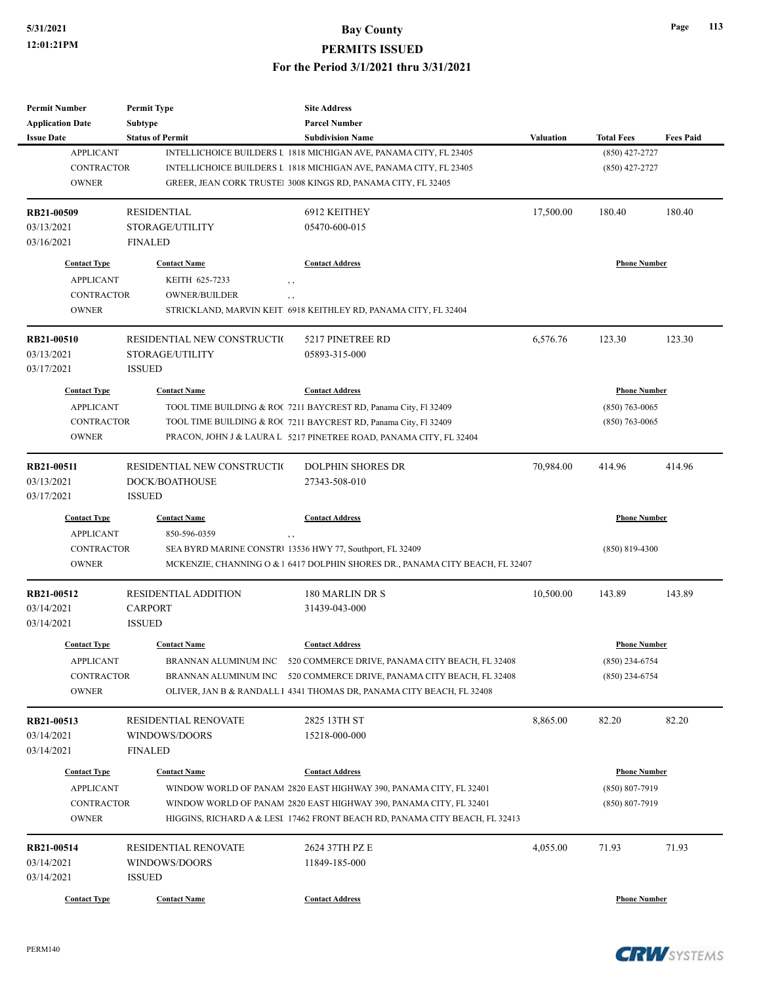| <b>Permit Number</b>    | <b>Permit Type</b>          | <b>Site Address</b>                                                           |                  |                     |                  |
|-------------------------|-----------------------------|-------------------------------------------------------------------------------|------------------|---------------------|------------------|
| <b>Application Date</b> | Subtype                     | <b>Parcel Number</b>                                                          |                  |                     |                  |
| <b>Issue Date</b>       | <b>Status of Permit</b>     | <b>Subdivision Name</b>                                                       | <b>Valuation</b> | <b>Total Fees</b>   | <b>Fees Paid</b> |
| <b>APPLICANT</b>        |                             | INTELLICHOICE BUILDERS L 1818 MICHIGAN AVE, PANAMA CITY, FL 23405             |                  | $(850)$ 427-2727    |                  |
| <b>CONTRACTOR</b>       |                             | INTELLICHOICE BUILDERS L 1818 MICHIGAN AVE, PANAMA CITY, FL 23405             |                  | $(850)$ 427-2727    |                  |
| <b>OWNER</b>            |                             | GREER, JEAN CORK TRUSTE! 3008 KINGS RD, PANAMA CITY, FL 32405                 |                  |                     |                  |
| RB21-00509              | <b>RESIDENTIAL</b>          | 6912 KEITHEY                                                                  | 17,500.00        | 180.40              | 180.40           |
| 03/13/2021              | STORAGE/UTILITY             | 05470-600-015                                                                 |                  |                     |                  |
| 03/16/2021              | <b>FINALED</b>              |                                                                               |                  |                     |                  |
| <b>Contact Type</b>     | <b>Contact Name</b>         | <b>Contact Address</b>                                                        |                  | <b>Phone Number</b> |                  |
| <b>APPLICANT</b>        | KEITH 625-7233              | $, \, , \,$                                                                   |                  |                     |                  |
| <b>CONTRACTOR</b>       | <b>OWNER/BUILDER</b>        | , ,                                                                           |                  |                     |                  |
| <b>OWNER</b>            |                             | STRICKLAND, MARVIN KEIT 6918 KEITHLEY RD, PANAMA CITY, FL 32404               |                  |                     |                  |
| RB21-00510              | RESIDENTIAL NEW CONSTRUCTIO | 5217 PINETREE RD                                                              | 6,576.76         | 123.30              | 123.30           |
| 03/13/2021              | STORAGE/UTILITY             | 05893-315-000                                                                 |                  |                     |                  |
| 03/17/2021              | <b>ISSUED</b>               |                                                                               |                  |                     |                  |
| <b>Contact Type</b>     | <b>Contact Name</b>         | <b>Contact Address</b>                                                        |                  | <b>Phone Number</b> |                  |
| <b>APPLICANT</b>        |                             | TOOL TIME BUILDING & ROC 7211 BAYCREST RD, Panama City, Fl 32409              |                  | $(850)$ 763-0065    |                  |
| <b>CONTRACTOR</b>       |                             | TOOL TIME BUILDING & ROC 7211 BAYCREST RD, Panama City, Fl 32409              |                  | $(850) 763 - 0065$  |                  |
| <b>OWNER</b>            |                             | PRACON, JOHN J & LAURA L 5217 PINETREE ROAD, PANAMA CITY, FL 32404            |                  |                     |                  |
| RB21-00511              | RESIDENTIAL NEW CONSTRUCTIO | <b>DOLPHIN SHORES DR</b>                                                      | 70,984.00        | 414.96              | 414.96           |
| 03/13/2021              | DOCK/BOATHOUSE              | 27343-508-010                                                                 |                  |                     |                  |
| 03/17/2021              | <b>ISSUED</b>               |                                                                               |                  |                     |                  |
| <b>Contact Type</b>     | <b>Contact Name</b>         | <b>Contact Address</b>                                                        |                  | <b>Phone Number</b> |                  |
| <b>APPLICANT</b>        | 850-596-0359                | , ,                                                                           |                  |                     |                  |
| <b>CONTRACTOR</b>       |                             | SEA BYRD MARINE CONSTR1 13536 HWY 77, Southport, FL 32409                     |                  | $(850)$ 819-4300    |                  |
| <b>OWNER</b>            |                             | MCKENZIE, CHANNING O & 1 6417 DOLPHIN SHORES DR., PANAMA CITY BEACH, FL 32407 |                  |                     |                  |
| RB21-00512              | <b>RESIDENTIAL ADDITION</b> | 180 MARLIN DR S                                                               | 10,500.00        | 143.89              | 143.89           |
| 03/14/2021              | <b>CARPORT</b>              | 31439-043-000                                                                 |                  |                     |                  |
| 03/14/2021              | <b>ISSUED</b>               |                                                                               |                  |                     |                  |
| <b>Contact Type</b>     | <b>Contact Name</b>         | <b>Contact Address</b>                                                        |                  | <b>Phone Number</b> |                  |
| <b>APPLICANT</b>        | BRANNAN ALUMINUM INC        | 520 COMMERCE DRIVE, PANAMA CITY BEACH, FL 32408                               |                  | $(850)$ 234-6754    |                  |
| <b>CONTRACTOR</b>       | BRANNAN ALUMINUM INC        | 520 COMMERCE DRIVE, PANAMA CITY BEACH, FL 32408                               |                  | $(850)$ 234-6754    |                  |
| <b>OWNER</b>            |                             | OLIVER, JAN B & RANDALL 1 4341 THOMAS DR, PANAMA CITY BEACH, FL 32408         |                  |                     |                  |
| RB21-00513              | RESIDENTIAL RENOVATE        | 2825 13TH ST                                                                  | 8,865.00         | 82.20               | 82.20            |
| 03/14/2021              | WINDOWS/DOORS               | 15218-000-000                                                                 |                  |                     |                  |
| 03/14/2021              | <b>FINALED</b>              |                                                                               |                  |                     |                  |
| <b>Contact Type</b>     | <b>Contact Name</b>         | <b>Contact Address</b>                                                        |                  | <b>Phone Number</b> |                  |
| <b>APPLICANT</b>        |                             | WINDOW WORLD OF PANAM 2820 EAST HIGHWAY 390, PANAMA CITY, FL 32401            |                  | (850) 807-7919      |                  |
| CONTRACTOR              |                             | WINDOW WORLD OF PANAM 2820 EAST HIGHWAY 390, PANAMA CITY, FL 32401            |                  | $(850) 807 - 7919$  |                  |
| <b>OWNER</b>            |                             | HIGGINS, RICHARD A & LESI 17462 FRONT BEACH RD, PANAMA CITY BEACH, FL 32413   |                  |                     |                  |
| RB21-00514              | <b>RESIDENTIAL RENOVATE</b> | 2624 37TH PZ E                                                                | 4,055.00         | 71.93               | 71.93            |
| 03/14/2021              | WINDOWS/DOORS               | 11849-185-000                                                                 |                  |                     |                  |
| 03/14/2021              | <b>ISSUED</b>               |                                                                               |                  |                     |                  |
|                         |                             |                                                                               |                  |                     |                  |
| <b>Contact Type</b>     | <b>Contact Name</b>         | <b>Contact Address</b>                                                        |                  | <b>Phone Number</b> |                  |

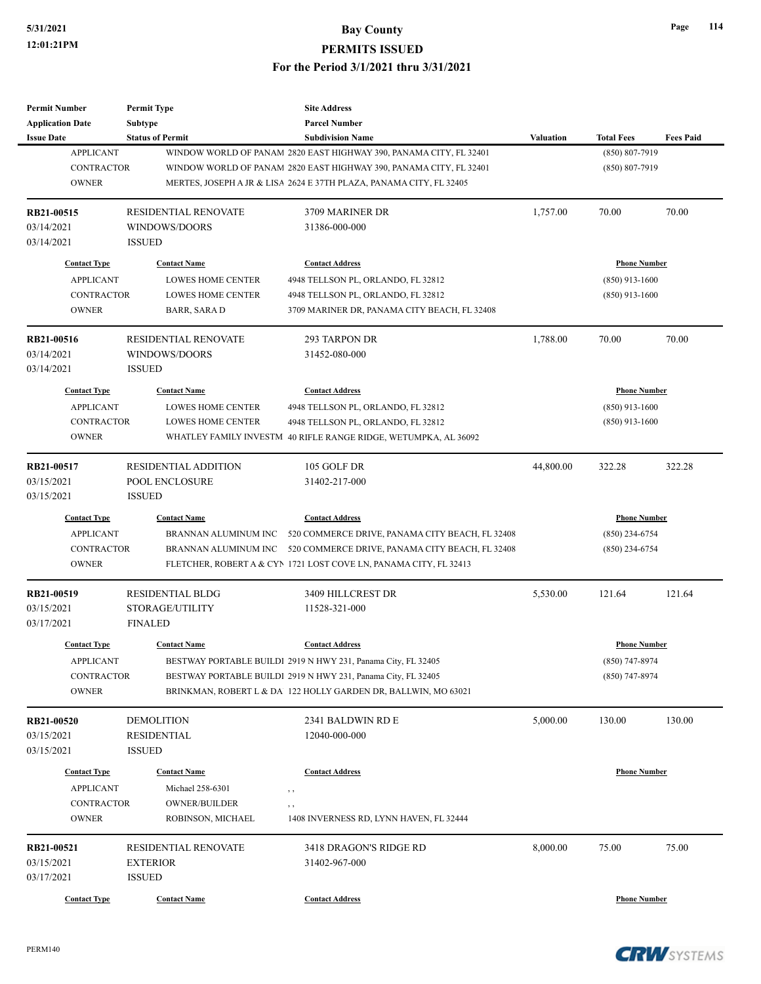| <b>Permit Number</b>    | <b>Permit Type</b>          | <b>Site Address</b>                                                 |                  |                     |                  |
|-------------------------|-----------------------------|---------------------------------------------------------------------|------------------|---------------------|------------------|
| <b>Application Date</b> | <b>Subtype</b>              | <b>Parcel Number</b>                                                |                  |                     |                  |
| <b>Issue Date</b>       | <b>Status of Permit</b>     | <b>Subdivision Name</b>                                             | <b>Valuation</b> | <b>Total Fees</b>   | <b>Fees Paid</b> |
| <b>APPLICANT</b>        |                             | WINDOW WORLD OF PANAM 2820 EAST HIGHWAY 390, PANAMA CITY, FL 32401  |                  | (850) 807-7919      |                  |
| <b>CONTRACTOR</b>       |                             | WINDOW WORLD OF PANAM 2820 EAST HIGHWAY 390, PANAMA CITY, FL 32401  |                  | $(850) 807 - 7919$  |                  |
| <b>OWNER</b>            |                             | MERTES, JOSEPH A JR & LISA 2624 E 37TH PLAZA, PANAMA CITY, FL 32405 |                  |                     |                  |
| RB21-00515              | RESIDENTIAL RENOVATE        | 3709 MARINER DR                                                     | 1,757.00         | 70.00               | 70.00            |
| 03/14/2021              | WINDOWS/DOORS               | 31386-000-000                                                       |                  |                     |                  |
| 03/14/2021              | <b>ISSUED</b>               |                                                                     |                  |                     |                  |
| <b>Contact Type</b>     | <b>Contact Name</b>         | <b>Contact Address</b>                                              |                  | <b>Phone Number</b> |                  |
| <b>APPLICANT</b>        | <b>LOWES HOME CENTER</b>    | 4948 TELLSON PL, ORLANDO, FL 32812                                  |                  | $(850)$ 913-1600    |                  |
| <b>CONTRACTOR</b>       | <b>LOWES HOME CENTER</b>    | 4948 TELLSON PL, ORLANDO, FL 32812                                  |                  | $(850)$ 913-1600    |                  |
| <b>OWNER</b>            | BARR, SARA D                | 3709 MARINER DR, PANAMA CITY BEACH, FL 32408                        |                  |                     |                  |
| RB21-00516              | <b>RESIDENTIAL RENOVATE</b> | 293 TARPON DR                                                       | 1,788.00         | 70.00               | 70.00            |
| 03/14/2021              | WINDOWS/DOORS               | 31452-080-000                                                       |                  |                     |                  |
| 03/14/2021              | <b>ISSUED</b>               |                                                                     |                  |                     |                  |
| <b>Contact Type</b>     | <b>Contact Name</b>         | <b>Contact Address</b>                                              |                  | <b>Phone Number</b> |                  |
| <b>APPLICANT</b>        | <b>LOWES HOME CENTER</b>    | 4948 TELLSON PL, ORLANDO, FL 32812                                  |                  | $(850)$ 913-1600    |                  |
| <b>CONTRACTOR</b>       | <b>LOWES HOME CENTER</b>    | 4948 TELLSON PL, ORLANDO, FL 32812                                  |                  | $(850)$ 913-1600    |                  |
| <b>OWNER</b>            |                             | WHATLEY FAMILY INVESTM 40 RIFLE RANGE RIDGE, WETUMPKA, AL 36092     |                  |                     |                  |
| RB21-00517              | <b>RESIDENTIAL ADDITION</b> | 105 GOLF DR                                                         | 44,800.00        | 322.28              | 322.28           |
| 03/15/2021              | POOL ENCLOSURE              | 31402-217-000                                                       |                  |                     |                  |
| 03/15/2021              | <b>ISSUED</b>               |                                                                     |                  |                     |                  |
| <b>Contact Type</b>     | <b>Contact Name</b>         | <b>Contact Address</b>                                              |                  | <b>Phone Number</b> |                  |
| <b>APPLICANT</b>        | BRANNAN ALUMINUM INC        | 520 COMMERCE DRIVE, PANAMA CITY BEACH, FL 32408                     |                  | $(850)$ 234-6754    |                  |
| <b>CONTRACTOR</b>       | BRANNAN ALUMINUM INC        | 520 COMMERCE DRIVE, PANAMA CITY BEACH, FL 32408                     |                  | $(850)$ 234-6754    |                  |
| <b>OWNER</b>            |                             | FLETCHER, ROBERT A & CYN 1721 LOST COVE LN, PANAMA CITY, FL 32413   |                  |                     |                  |
| RB21-00519              | <b>RESIDENTIAL BLDG</b>     | 3409 HILLCREST DR                                                   | 5,530.00         | 121.64              | 121.64           |
| 03/15/2021              | STORAGE/UTILITY             | 11528-321-000                                                       |                  |                     |                  |
| 03/17/2021              | <b>FINALED</b>              |                                                                     |                  |                     |                  |
| <b>Contact Type</b>     | <b>Contact Name</b>         | <b>Contact Address</b>                                              |                  | <b>Phone Number</b> |                  |
| <b>APPLICANT</b>        |                             | BESTWAY PORTABLE BUILDI 2919 N HWY 231, Panama City, FL 32405       |                  | (850) 747-8974      |                  |
| <b>CONTRACTOR</b>       |                             | BESTWAY PORTABLE BUILDI 2919 N HWY 231, Panama City, FL 32405       |                  | (850) 747-8974      |                  |
| <b>OWNER</b>            |                             | BRINKMAN, ROBERT L & DA 122 HOLLY GARDEN DR, BALLWIN, MO 63021      |                  |                     |                  |
| <b>RB21-00520</b>       | <b>DEMOLITION</b>           | 2341 BALDWIN RD E                                                   | 5,000.00         | 130.00              | 130.00           |
| 03/15/2021              | <b>RESIDENTIAL</b>          | 12040-000-000                                                       |                  |                     |                  |
| 03/15/2021              | <b>ISSUED</b>               |                                                                     |                  |                     |                  |
| <b>Contact Type</b>     | <b>Contact Name</b>         | <b>Contact Address</b>                                              |                  | <b>Phone Number</b> |                  |
| <b>APPLICANT</b>        | Michael 258-6301            | $, \,$                                                              |                  |                     |                  |
| CONTRACTOR              | <b>OWNER/BUILDER</b>        | , ,                                                                 |                  |                     |                  |
| <b>OWNER</b>            | ROBINSON, MICHAEL           | 1408 INVERNESS RD, LYNN HAVEN, FL 32444                             |                  |                     |                  |
| RB21-00521              | RESIDENTIAL RENOVATE        | 3418 DRAGON'S RIDGE RD                                              | 8,000.00         | 75.00               | 75.00            |
| 03/15/2021              | <b>EXTERIOR</b>             | 31402-967-000                                                       |                  |                     |                  |
| 03/17/2021              | <b>ISSUED</b>               |                                                                     |                  |                     |                  |
| <b>Contact Type</b>     | <b>Contact Name</b>         | <b>Contact Address</b>                                              |                  | <b>Phone Number</b> |                  |

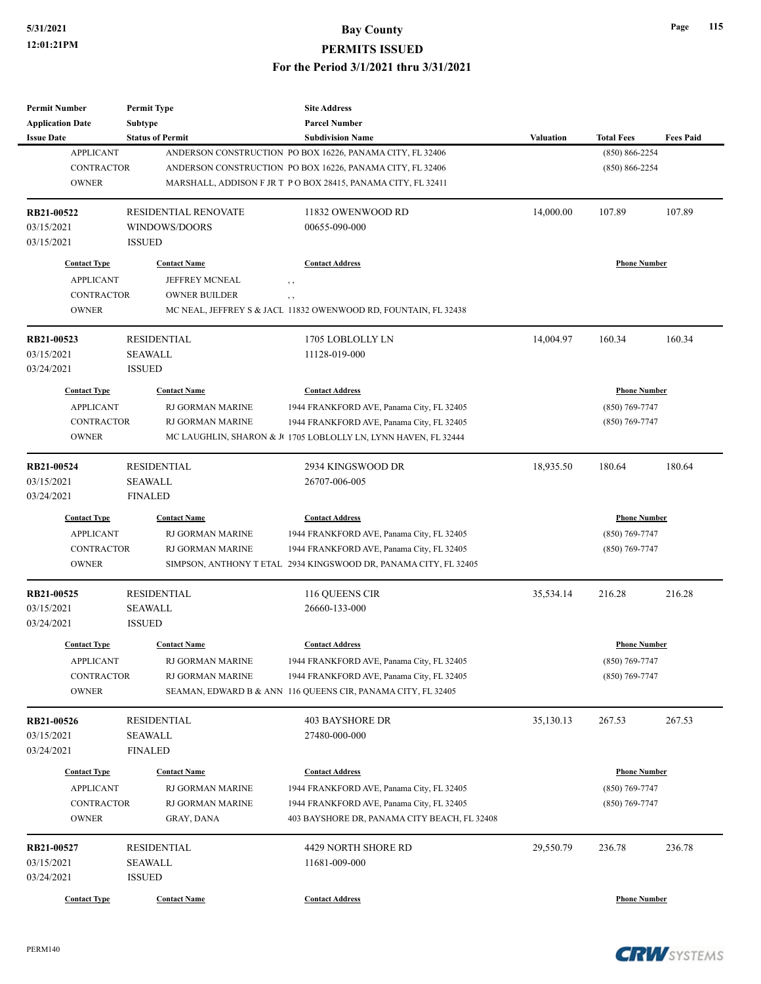**Permit Number**

**Permit Type**

#### **5/31/2021 Bay County PERMITS ISSUED For the Period 3/1/2021 thru 3/31/2021**

**Site Address**

| <b>Application Date</b> | Subtype                 | <b>Parcel Number</b>                                             |                  |                     |                  |
|-------------------------|-------------------------|------------------------------------------------------------------|------------------|---------------------|------------------|
| <b>Issue Date</b>       | <b>Status of Permit</b> | <b>Subdivision Name</b>                                          | <b>Valuation</b> | <b>Total Fees</b>   | <b>Fees Paid</b> |
| <b>APPLICANT</b>        |                         | ANDERSON CONSTRUCTION PO BOX 16226, PANAMA CITY, FL 32406        |                  | $(850) 866 - 2254$  |                  |
| <b>CONTRACTOR</b>       |                         | ANDERSON CONSTRUCTION PO BOX 16226, PANAMA CITY, FL 32406        |                  | $(850) 866 - 2254$  |                  |
| <b>OWNER</b>            |                         | MARSHALL, ADDISON F JR T P O BOX 28415, PANAMA CITY, FL 32411    |                  |                     |                  |
| RB21-00522              | RESIDENTIAL RENOVATE    | 11832 OWENWOOD RD                                                | 14,000.00        | 107.89              | 107.89           |
| 03/15/2021              | WINDOWS/DOORS           | 00655-090-000                                                    |                  |                     |                  |
| 03/15/2021              | <b>ISSUED</b>           |                                                                  |                  |                     |                  |
| <b>Contact Type</b>     | <b>Contact Name</b>     | <b>Contact Address</b>                                           |                  | <b>Phone Number</b> |                  |
| <b>APPLICANT</b>        | <b>JEFFREY MCNEAL</b>   | $, \, ,$                                                         |                  |                     |                  |
| <b>CONTRACTOR</b>       | <b>OWNER BUILDER</b>    | $, \, , \,$                                                      |                  |                     |                  |
| <b>OWNER</b>            |                         | MC NEAL, JEFFREY S & JACL 11832 OWENWOOD RD, FOUNTAIN, FL 32438  |                  |                     |                  |
| RB21-00523              | <b>RESIDENTIAL</b>      | 1705 LOBLOLLY LN                                                 | 14,004.97        | 160.34              | 160.34           |
| 03/15/2021              | SEAWALL                 | 11128-019-000                                                    |                  |                     |                  |
| 03/24/2021              | <b>ISSUED</b>           |                                                                  |                  |                     |                  |
| <b>Contact Type</b>     | <b>Contact Name</b>     | <b>Contact Address</b>                                           |                  | <b>Phone Number</b> |                  |
| <b>APPLICANT</b>        | RJ GORMAN MARINE        | 1944 FRANKFORD AVE, Panama City, FL 32405                        |                  | $(850)$ 769-7747    |                  |
| <b>CONTRACTOR</b>       | RJ GORMAN MARINE        | 1944 FRANKFORD AVE, Panama City, FL 32405                        |                  | $(850)$ 769-7747    |                  |
| <b>OWNER</b>            |                         | MC LAUGHLIN, SHARON & J 1705 LOBLOLLY LN, LYNN HAVEN, FL 32444   |                  |                     |                  |
| RB21-00524              | <b>RESIDENTIAL</b>      | 2934 KINGSWOOD DR                                                | 18,935.50        | 180.64              | 180.64           |
| 03/15/2021              | <b>SEAWALL</b>          | 26707-006-005                                                    |                  |                     |                  |
| 03/24/2021              | <b>FINALED</b>          |                                                                  |                  |                     |                  |
| <b>Contact Type</b>     | <b>Contact Name</b>     | <b>Contact Address</b>                                           |                  | <b>Phone Number</b> |                  |
| <b>APPLICANT</b>        | RJ GORMAN MARINE        | 1944 FRANKFORD AVE, Panama City, FL 32405                        |                  | $(850)$ 769-7747    |                  |
| <b>CONTRACTOR</b>       | RJ GORMAN MARINE        | 1944 FRANKFORD AVE, Panama City, FL 32405                        |                  | $(850)$ 769-7747    |                  |
| <b>OWNER</b>            |                         | SIMPSON, ANTHONY T ETAL 2934 KINGSWOOD DR, PANAMA CITY, FL 32405 |                  |                     |                  |
| RB21-00525              | <b>RESIDENTIAL</b>      | 116 QUEENS CIR                                                   | 35,534.14        | 216.28              | 216.28           |
| 03/15/2021              | <b>SEAWALL</b>          | 26660-133-000                                                    |                  |                     |                  |
| 03/24/2021              | <b>ISSUED</b>           |                                                                  |                  |                     |                  |
| <b>Contact Type</b>     | <b>Contact Name</b>     | <b>Contact Address</b>                                           |                  | <b>Phone Number</b> |                  |
| <b>APPLICANT</b>        | RJ GORMAN MARINE        | 1944 FRANKFORD AVE, Panama City, FL 32405                        |                  | $(850)$ 769-7747    |                  |
| CONTRACTOR              | RJ GORMAN MARINE        | 1944 FRANKFORD AVE, Panama City, FL 32405                        |                  | $(850)$ 769-7747    |                  |
| <b>OWNER</b>            |                         | SEAMAN, EDWARD B & ANN 116 QUEENS CIR, PANAMA CITY, FL 32405     |                  |                     |                  |
| RB21-00526              | <b>RESIDENTIAL</b>      | <b>403 BAYSHORE DR</b>                                           | 35,130.13        | 267.53              | 267.53           |
| 03/15/2021              | SEAWALL                 | 27480-000-000                                                    |                  |                     |                  |
| 03/24/2021              | <b>FINALED</b>          |                                                                  |                  |                     |                  |
| <b>Contact Type</b>     | <b>Contact Name</b>     | <b>Contact Address</b>                                           |                  | <b>Phone Number</b> |                  |
| <b>APPLICANT</b>        | RJ GORMAN MARINE        | 1944 FRANKFORD AVE, Panama City, FL 32405                        |                  | $(850)$ 769-7747    |                  |
| <b>CONTRACTOR</b>       | RJ GORMAN MARINE        | 1944 FRANKFORD AVE, Panama City, FL 32405                        |                  | $(850)$ 769-7747    |                  |
| <b>OWNER</b>            | GRAY, DANA              | 403 BAYSHORE DR, PANAMA CITY BEACH, FL 32408                     |                  |                     |                  |
| RB21-00527              | <b>RESIDENTIAL</b>      | 4429 NORTH SHORE RD                                              | 29,550.79        | 236.78              | 236.78           |
| 03/15/2021              | SEAWALL                 | 11681-009-000                                                    |                  |                     |                  |
| 03/24/2021              | <b>ISSUED</b>           |                                                                  |                  |                     |                  |
| <b>Contact Type</b>     | <b>Contact Name</b>     | <b>Contact Address</b>                                           |                  | <b>Phone Number</b> |                  |
|                         |                         |                                                                  |                  |                     |                  |

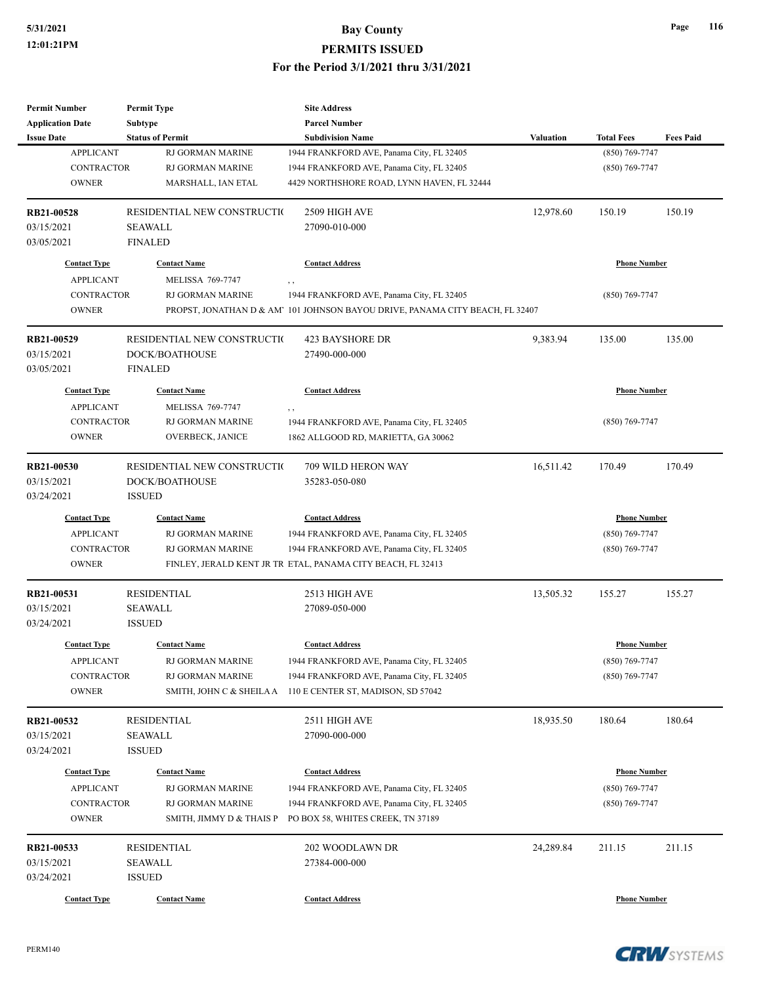| <b>Permit Number</b>     | <b>Permit Type</b>                   | <b>Site Address</b>                                                           |                  |                     |                  |
|--------------------------|--------------------------------------|-------------------------------------------------------------------------------|------------------|---------------------|------------------|
| <b>Application Date</b>  | Subtype                              | <b>Parcel Number</b>                                                          |                  |                     |                  |
| <b>Issue Date</b>        | <b>Status of Permit</b>              | <b>Subdivision Name</b>                                                       | <b>Valuation</b> | <b>Total Fees</b>   | <b>Fees Paid</b> |
| <b>APPLICANT</b>         | RJ GORMAN MARINE                     | 1944 FRANKFORD AVE, Panama City, FL 32405                                     |                  | (850) 769-7747      |                  |
| <b>CONTRACTOR</b>        | <b>RJ GORMAN MARINE</b>              | 1944 FRANKFORD AVE, Panama City, FL 32405                                     |                  | $(850)$ 769-7747    |                  |
| <b>OWNER</b>             | MARSHALL, IAN ETAL                   | 4429 NORTHSHORE ROAD, LYNN HAVEN, FL 32444                                    |                  |                     |                  |
| RB21-00528               | RESIDENTIAL NEW CONSTRUCTIO          | 2509 HIGH AVE                                                                 | 12,978.60        | 150.19              | 150.19           |
| 03/15/2021               | SEAWALL                              | 27090-010-000                                                                 |                  |                     |                  |
| 03/05/2021               | <b>FINALED</b>                       |                                                                               |                  |                     |                  |
| <b>Contact Type</b>      | <b>Contact Name</b>                  | <b>Contact Address</b>                                                        |                  | <b>Phone Number</b> |                  |
| <b>APPLICANT</b>         | <b>MELISSA 769-7747</b>              | $, \, , \,$                                                                   |                  |                     |                  |
| <b>CONTRACTOR</b>        | RJ GORMAN MARINE                     | 1944 FRANKFORD AVE, Panama City, FL 32405                                     |                  | $(850)$ 769-7747    |                  |
| <b>OWNER</b>             |                                      | PROPST, JONATHAN D & AM' 101 JOHNSON BAYOU DRIVE, PANAMA CITY BEACH, FL 32407 |                  |                     |                  |
| RB21-00529               | RESIDENTIAL NEW CONSTRUCTIO          | 423 BAYSHORE DR                                                               | 9,383.94         | 135.00              | 135.00           |
| 03/15/2021               | DOCK/BOATHOUSE                       | 27490-000-000                                                                 |                  |                     |                  |
| 03/05/2021               | <b>FINALED</b>                       |                                                                               |                  |                     |                  |
| <b>Contact Type</b>      | <b>Contact Name</b>                  | <b>Contact Address</b>                                                        |                  | <b>Phone Number</b> |                  |
| <b>APPLICANT</b>         | <b>MELISSA 769-7747</b>              | , ,                                                                           |                  |                     |                  |
| <b>CONTRACTOR</b>        | <b>RJ GORMAN MARINE</b>              | 1944 FRANKFORD AVE, Panama City, FL 32405                                     |                  | $(850)$ 769-7747    |                  |
| <b>OWNER</b>             | OVERBECK, JANICE                     | 1862 ALLGOOD RD, MARIETTA, GA 30062                                           |                  |                     |                  |
|                          |                                      |                                                                               |                  |                     |                  |
| RB21-00530               | RESIDENTIAL NEW CONSTRUCTIO          | 709 WILD HERON WAY                                                            | 16,511.42        | 170.49              | 170.49           |
| 03/15/2021               | DOCK/BOATHOUSE                       | 35283-050-080                                                                 |                  |                     |                  |
| 03/24/2021               | <b>ISSUED</b>                        |                                                                               |                  |                     |                  |
| <b>Contact Type</b>      | <b>Contact Name</b>                  | <b>Contact Address</b>                                                        |                  | <b>Phone Number</b> |                  |
| <b>APPLICANT</b>         | RJ GORMAN MARINE                     | 1944 FRANKFORD AVE, Panama City, FL 32405                                     |                  | (850) 769-7747      |                  |
| <b>CONTRACTOR</b>        | RJ GORMAN MARINE                     | 1944 FRANKFORD AVE, Panama City, FL 32405                                     |                  | $(850)$ 769-7747    |                  |
| <b>OWNER</b>             |                                      | FINLEY, JERALD KENT JR TR ETAL, PANAMA CITY BEACH, FL 32413                   |                  |                     |                  |
| RB21-00531               | <b>RESIDENTIAL</b>                   | 2513 HIGH AVE                                                                 | 13,505.32        | 155.27              | 155.27           |
| 03/15/2021               | <b>SEAWALL</b>                       | 27089-050-000                                                                 |                  |                     |                  |
| 03/24/2021               | <b>ISSUED</b>                        |                                                                               |                  |                     |                  |
| <b>Contact Type</b>      | <b>Contact Name</b>                  | <b>Contact Address</b>                                                        |                  | <b>Phone Number</b> |                  |
| <b>APPLICANT</b>         | RJ GORMAN MARINE                     | 1944 FRANKFORD AVE, Panama City, FL 32405                                     |                  | $(850)$ 769-7747    |                  |
| <b>CONTRACTOR</b>        | RJ GORMAN MARINE                     | 1944 FRANKFORD AVE, Panama City, FL 32405                                     |                  | $(850)$ 769-7747    |                  |
| <b>OWNER</b>             | SMITH, JOHN C & SHEILA A             | 110 E CENTER ST, MADISON, SD 57042                                            |                  |                     |                  |
|                          |                                      |                                                                               |                  |                     | 180.64           |
| RB21-00532<br>03/15/2021 | <b>RESIDENTIAL</b><br><b>SEAWALL</b> | 2511 HIGH AVE<br>27090-000-000                                                | 18,935.50        | 180.64              |                  |
| 03/24/2021               |                                      |                                                                               |                  |                     |                  |
|                          | <b>ISSUED</b>                        |                                                                               |                  |                     |                  |
| <b>Contact Type</b>      | <b>Contact Name</b>                  | <b>Contact Address</b>                                                        |                  | <b>Phone Number</b> |                  |
| <b>APPLICANT</b>         | RJ GORMAN MARINE                     | 1944 FRANKFORD AVE, Panama City, FL 32405                                     |                  | $(850) 769 - 7747$  |                  |
| <b>CONTRACTOR</b>        | RJ GORMAN MARINE                     | 1944 FRANKFORD AVE, Panama City, FL 32405                                     |                  | $(850)$ 769-7747    |                  |
| <b>OWNER</b>             | SMITH, JIMMY D & THAIS P             | PO BOX 58, WHITES CREEK, TN 37189                                             |                  |                     |                  |
| RB21-00533               | <b>RESIDENTIAL</b>                   | 202 WOODLAWN DR                                                               | 24,289.84        | 211.15              | 211.15           |
| 03/15/2021               | SEAWALL                              | 27384-000-000                                                                 |                  |                     |                  |
| 03/24/2021               | <b>ISSUED</b>                        |                                                                               |                  |                     |                  |
| <b>Contact Type</b>      | <b>Contact Name</b>                  | <b>Contact Address</b>                                                        |                  | <b>Phone Number</b> |                  |

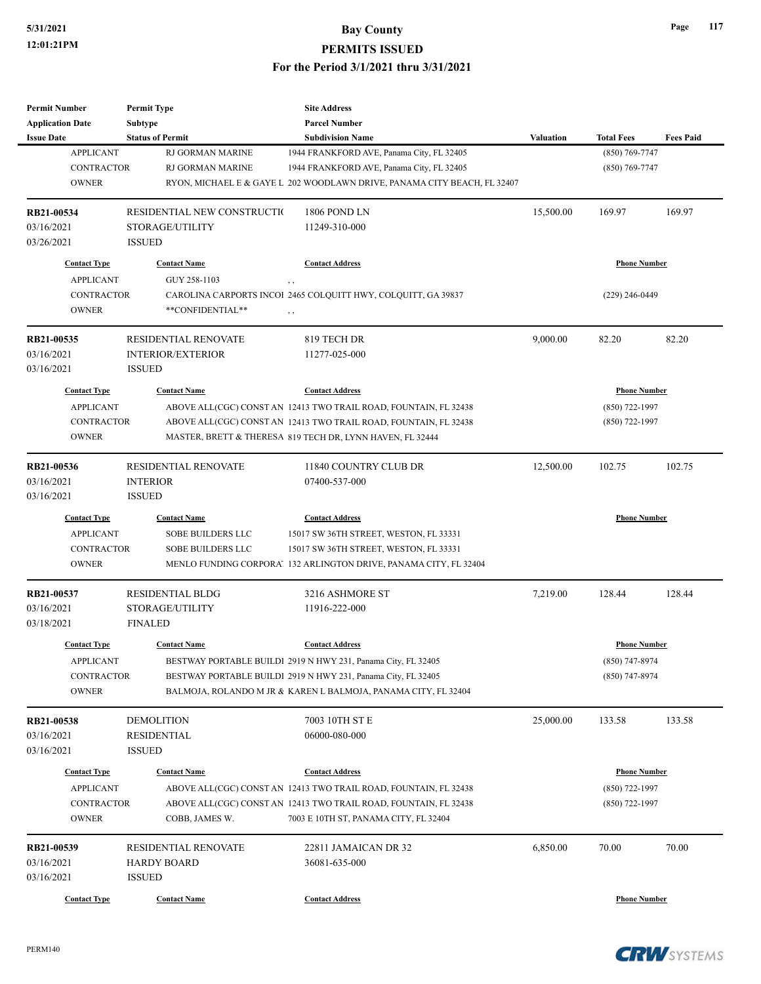#### **5/31/2021 Bay County PERMITS ISSUED**

#### **For the Period 3/1/2021 thru 3/31/2021**

| <b>Permit Number</b>    | <b>Permit Type</b>          | <b>Site Address</b>                                                      |                  |                     |                  |
|-------------------------|-----------------------------|--------------------------------------------------------------------------|------------------|---------------------|------------------|
| <b>Application Date</b> | <b>Subtype</b>              | <b>Parcel Number</b>                                                     |                  |                     |                  |
| <b>Issue Date</b>       | <b>Status of Permit</b>     | <b>Subdivision Name</b>                                                  | <b>Valuation</b> | <b>Total Fees</b>   | <b>Fees Paid</b> |
| <b>APPLICANT</b>        | RJ GORMAN MARINE            | 1944 FRANKFORD AVE, Panama City, FL 32405                                |                  | (850) 769-7747      |                  |
| <b>CONTRACTOR</b>       | RJ GORMAN MARINE            | 1944 FRANKFORD AVE, Panama City, FL 32405                                |                  | $(850)$ 769-7747    |                  |
| <b>OWNER</b>            |                             | RYON, MICHAEL E & GAYE L 202 WOODLAWN DRIVE, PANAMA CITY BEACH, FL 32407 |                  |                     |                  |
| RB21-00534              | RESIDENTIAL NEW CONSTRUCTIO | 1806 POND LN                                                             | 15,500.00        | 169.97              | 169.97           |
| 03/16/2021              | STORAGE/UTILITY             | 11249-310-000                                                            |                  |                     |                  |
| 03/26/2021              | <b>ISSUED</b>               |                                                                          |                  |                     |                  |
| <b>Contact Type</b>     | <b>Contact Name</b>         | <b>Contact Address</b>                                                   |                  | <b>Phone Number</b> |                  |
| <b>APPLICANT</b>        | GUY 258-1103                | , ,                                                                      |                  |                     |                  |
| <b>CONTRACTOR</b>       |                             | CAROLINA CARPORTS INCOI 2465 COLQUITT HWY, COLQUITT, GA 39837            |                  | (229) 246-0449      |                  |
| <b>OWNER</b>            | **CONFIDENTIAL**            | $, \, , \,$                                                              |                  |                     |                  |
| RB21-00535              | <b>RESIDENTIAL RENOVATE</b> | 819 TECH DR                                                              | 9,000.00         | 82.20               | 82.20            |
| 03/16/2021              | <b>INTERIOR/EXTERIOR</b>    | 11277-025-000                                                            |                  |                     |                  |
| 03/16/2021              | <b>ISSUED</b>               |                                                                          |                  |                     |                  |
| <b>Contact Type</b>     | <b>Contact Name</b>         | <b>Contact Address</b>                                                   |                  | <b>Phone Number</b> |                  |
| <b>APPLICANT</b>        |                             | ABOVE ALL(CGC) CONST AN 12413 TWO TRAIL ROAD, FOUNTAIN, FL 32438         |                  | (850) 722-1997      |                  |
| <b>CONTRACTOR</b>       |                             | ABOVE ALL(CGC) CONST AN 12413 TWO TRAIL ROAD, FOUNTAIN, FL 32438         |                  | (850) 722-1997      |                  |
| <b>OWNER</b>            |                             | MASTER, BRETT & THERESA 819 TECH DR, LYNN HAVEN, FL 32444                |                  |                     |                  |
|                         |                             |                                                                          |                  |                     |                  |
| RB21-00536              | RESIDENTIAL RENOVATE        | 11840 COUNTRY CLUB DR                                                    | 12,500.00        | 102.75              | 102.75           |
| 03/16/2021              | <b>INTERIOR</b>             | 07400-537-000                                                            |                  |                     |                  |
| 03/16/2021              | <b>ISSUED</b>               |                                                                          |                  |                     |                  |
| <b>Contact Type</b>     | <b>Contact Name</b>         | <b>Contact Address</b>                                                   |                  | <b>Phone Number</b> |                  |
| <b>APPLICANT</b>        | <b>SOBE BUILDERS LLC</b>    | 15017 SW 36TH STREET, WESTON, FL 33331                                   |                  |                     |                  |
| CONTRACTOR              | <b>SOBE BUILDERS LLC</b>    | 15017 SW 36TH STREET, WESTON, FL 33331                                   |                  |                     |                  |
| <b>OWNER</b>            |                             | MENLO FUNDING CORPORA 132 ARLINGTON DRIVE, PANAMA CITY, FL 32404         |                  |                     |                  |
| RB21-00537              | <b>RESIDENTIAL BLDG</b>     | 3216 ASHMORE ST                                                          | 7,219.00         | 128.44              | 128.44           |
| 03/16/2021              | STORAGE/UTILITY             | 11916-222-000                                                            |                  |                     |                  |
| 03/18/2021              | <b>FINALED</b>              |                                                                          |                  |                     |                  |
| <b>Contact Type</b>     | <b>Contact Name</b>         | <b>Contact Address</b>                                                   |                  | <b>Phone Number</b> |                  |
| <b>APPLICANT</b>        |                             | BESTWAY PORTABLE BUILDI 2919 N HWY 231, Panama City, FL 32405            |                  | $(850)$ 747-8974    |                  |
| CONTRACTOR              |                             | BESTWAY PORTABLE BUILDI 2919 N HWY 231, Panama City, FL 32405            |                  | $(850)$ 747-8974    |                  |
| <b>OWNER</b>            |                             | BALMOJA, ROLANDO M JR & KAREN L BALMOJA, PANAMA CITY, FL 32404           |                  |                     |                  |
| RB21-00538              | <b>DEMOLITION</b>           | 7003 10TH ST E                                                           | 25,000.00        | 133.58              | 133.58           |
| 03/16/2021              | <b>RESIDENTIAL</b>          | 06000-080-000                                                            |                  |                     |                  |
| 03/16/2021              | <b>ISSUED</b>               |                                                                          |                  |                     |                  |
| <b>Contact Type</b>     | <b>Contact Name</b>         | <b>Contact Address</b>                                                   |                  | <b>Phone Number</b> |                  |
|                         |                             |                                                                          |                  |                     |                  |
| <b>APPLICANT</b>        |                             | ABOVE ALL(CGC) CONST AN 12413 TWO TRAIL ROAD, FOUNTAIN, FL 32438         |                  | (850) 722-1997      |                  |
| CONTRACTOR              |                             | ABOVE ALL(CGC) CONST AN 12413 TWO TRAIL ROAD, FOUNTAIN, FL 32438         |                  | (850) 722-1997      |                  |
| <b>OWNER</b>            | COBB, JAMES W.              | 7003 E 10TH ST, PANAMA CITY, FL 32404                                    |                  |                     |                  |
| RB21-00539              | <b>RESIDENTIAL RENOVATE</b> | 22811 JAMAICAN DR 32                                                     | 6,850.00         | 70.00               | 70.00            |
| 03/16/2021              | <b>HARDY BOARD</b>          | 36081-635-000                                                            |                  |                     |                  |
| 03/16/2021              | <b>ISSUED</b>               |                                                                          |                  |                     |                  |
| <b>Contact Type</b>     | <b>Contact Name</b>         | <b>Contact Address</b>                                                   |                  | <b>Phone Number</b> |                  |
|                         |                             |                                                                          |                  |                     |                  |

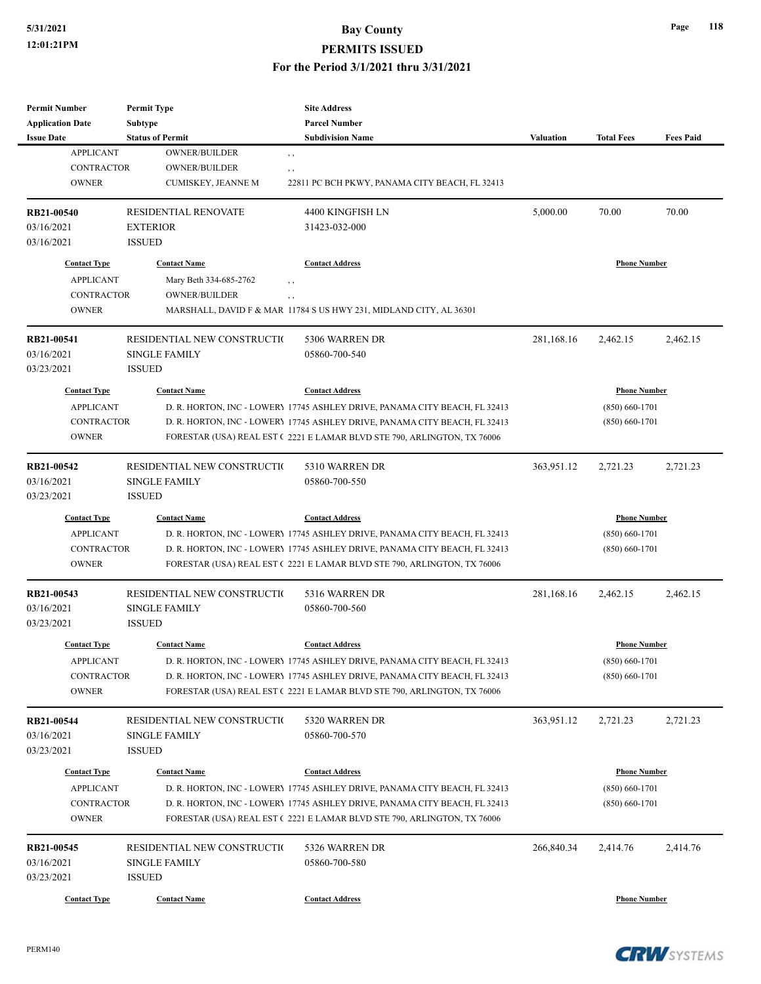## **5/31/2021 Bay County**

#### **PERMITS ISSUED**

**For the Period 3/1/2021 thru 3/31/2021**

| <b>Permit Number</b>    | <b>Permit Type</b>          | <b>Site Address</b>                                                        |                  |                     |                  |
|-------------------------|-----------------------------|----------------------------------------------------------------------------|------------------|---------------------|------------------|
| <b>Application Date</b> | Subtype                     | <b>Parcel Number</b>                                                       |                  |                     |                  |
| <b>Issue Date</b>       | <b>Status of Permit</b>     | <b>Subdivision Name</b>                                                    | <b>Valuation</b> | <b>Total Fees</b>   | <b>Fees Paid</b> |
| <b>APPLICANT</b>        | <b>OWNER/BUILDER</b>        | , ,                                                                        |                  |                     |                  |
| <b>CONTRACTOR</b>       | <b>OWNER/BUILDER</b>        | $, \, , \,$                                                                |                  |                     |                  |
| <b>OWNER</b>            | CUMISKEY, JEANNE M          | 22811 PC BCH PKWY, PANAMA CITY BEACH, FL 32413                             |                  |                     |                  |
| RB21-00540              | <b>RESIDENTIAL RENOVATE</b> | 4400 KINGFISH LN                                                           | 5,000.00         | 70.00               | 70.00            |
| 03/16/2021              | <b>EXTERIOR</b>             | 31423-032-000                                                              |                  |                     |                  |
| 03/16/2021              | <b>ISSUED</b>               |                                                                            |                  |                     |                  |
| <b>Contact Type</b>     | <b>Contact Name</b>         | <b>Contact Address</b>                                                     |                  | <b>Phone Number</b> |                  |
| <b>APPLICANT</b>        | Mary Beth 334-685-2762      | $, \, ,$                                                                   |                  |                     |                  |
| <b>CONTRACTOR</b>       | <b>OWNER/BUILDER</b>        | , ,                                                                        |                  |                     |                  |
| <b>OWNER</b>            |                             | MARSHALL, DAVID F & MAR 11784 S US HWY 231, MIDLAND CITY, AL 36301         |                  |                     |                  |
| RB21-00541              | RESIDENTIAL NEW CONSTRUCTIO | 5306 WARREN DR                                                             | 281,168.16       | 2,462.15            | 2,462.15         |
| 03/16/2021              | <b>SINGLE FAMILY</b>        | 05860-700-540                                                              |                  |                     |                  |
| 03/23/2021              | <b>ISSUED</b>               |                                                                            |                  |                     |                  |
| <b>Contact Type</b>     | <b>Contact Name</b>         | <b>Contact Address</b>                                                     |                  | <b>Phone Number</b> |                  |
| <b>APPLICANT</b>        |                             | D. R. HORTON, INC - LOWERY 17745 ASHLEY DRIVE, PANAMA CITY BEACH, FL 32413 |                  | $(850) 660 - 1701$  |                  |
| <b>CONTRACTOR</b>       |                             | D. R. HORTON, INC - LOWERY 17745 ASHLEY DRIVE, PANAMA CITY BEACH, FL 32413 |                  | $(850) 660 - 1701$  |                  |
| <b>OWNER</b>            |                             | FORESTAR (USA) REAL EST (2221 E LAMAR BLVD STE 790, ARLINGTON, TX 76006    |                  |                     |                  |
|                         |                             |                                                                            |                  |                     |                  |
| RB21-00542              | RESIDENTIAL NEW CONSTRUCTIO | 5310 WARREN DR                                                             | 363,951.12       | 2,721.23            | 2,721.23         |
| 03/16/2021              | <b>SINGLE FAMILY</b>        | 05860-700-550                                                              |                  |                     |                  |
| 03/23/2021              | <b>ISSUED</b>               |                                                                            |                  |                     |                  |
| <b>Contact Type</b>     | <b>Contact Name</b>         | <b>Contact Address</b>                                                     |                  | <b>Phone Number</b> |                  |
| <b>APPLICANT</b>        |                             | D. R. HORTON, INC - LOWERY 17745 ASHLEY DRIVE, PANAMA CITY BEACH, FL 32413 |                  | $(850) 660 - 1701$  |                  |
| <b>CONTRACTOR</b>       |                             | D. R. HORTON, INC - LOWERY 17745 ASHLEY DRIVE, PANAMA CITY BEACH, FL 32413 |                  | $(850) 660 - 1701$  |                  |
| <b>OWNER</b>            |                             | FORESTAR (USA) REAL EST (2221 E LAMAR BLVD STE 790, ARLINGTON, TX 76006    |                  |                     |                  |
| RB21-00543              | RESIDENTIAL NEW CONSTRUCTIO | 5316 WARREN DR                                                             | 281,168.16       | 2,462.15            | 2,462.15         |
| 03/16/2021              | <b>SINGLE FAMILY</b>        | 05860-700-560                                                              |                  |                     |                  |
| 03/23/2021              | <b>ISSUED</b>               |                                                                            |                  |                     |                  |
| <b>Contact Type</b>     | <b>Contact Name</b>         | <b>Contact Address</b>                                                     |                  | <b>Phone Number</b> |                  |
| <b>APPLICANT</b>        |                             | D. R. HORTON, INC - LOWERY 17745 ASHLEY DRIVE, PANAMA CITY BEACH, FL 32413 |                  | $(850) 660 - 1701$  |                  |
| <b>CONTRACTOR</b>       |                             | D. R. HORTON, INC - LOWERY 17745 ASHLEY DRIVE, PANAMA CITY BEACH, FL 32413 |                  | $(850)$ 660-1701    |                  |
| <b>OWNER</b>            |                             | FORESTAR (USA) REAL EST (2221 E LAMAR BLVD STE 790, ARLINGTON, TX 76006    |                  |                     |                  |
| RB21-00544              | RESIDENTIAL NEW CONSTRUCTIO | 5320 WARREN DR                                                             | 363,951.12       | 2,721.23            | 2,721.23         |
| 03/16/2021              | <b>SINGLE FAMILY</b>        | 05860-700-570                                                              |                  |                     |                  |
| 03/23/2021              | <b>ISSUED</b>               |                                                                            |                  |                     |                  |
| <b>Contact Type</b>     | <b>Contact Name</b>         | <b>Contact Address</b>                                                     |                  | <b>Phone Number</b> |                  |
| <b>APPLICANT</b>        |                             | D. R. HORTON, INC - LOWERY 17745 ASHLEY DRIVE, PANAMA CITY BEACH, FL 32413 |                  | $(850) 660 - 1701$  |                  |
| CONTRACTOR              |                             | D. R. HORTON, INC - LOWERY 17745 ASHLEY DRIVE, PANAMA CITY BEACH, FL 32413 |                  | $(850) 660 - 1701$  |                  |
| <b>OWNER</b>            |                             | FORESTAR (USA) REAL EST (2221 E LAMAR BLVD STE 790, ARLINGTON, TX 76006    |                  |                     |                  |
|                         |                             |                                                                            |                  |                     |                  |
| RB21-00545              | RESIDENTIAL NEW CONSTRUCTIO | 5326 WARREN DR                                                             | 266,840.34       | 2,414.76            | 2,414.76         |
| 03/16/2021              | <b>SINGLE FAMILY</b>        | 05860-700-580                                                              |                  |                     |                  |
| 03/23/2021              | <b>ISSUED</b>               |                                                                            |                  |                     |                  |
| <b>Contact Type</b>     | <b>Contact Name</b>         | <b>Contact Address</b>                                                     |                  | <b>Phone Number</b> |                  |

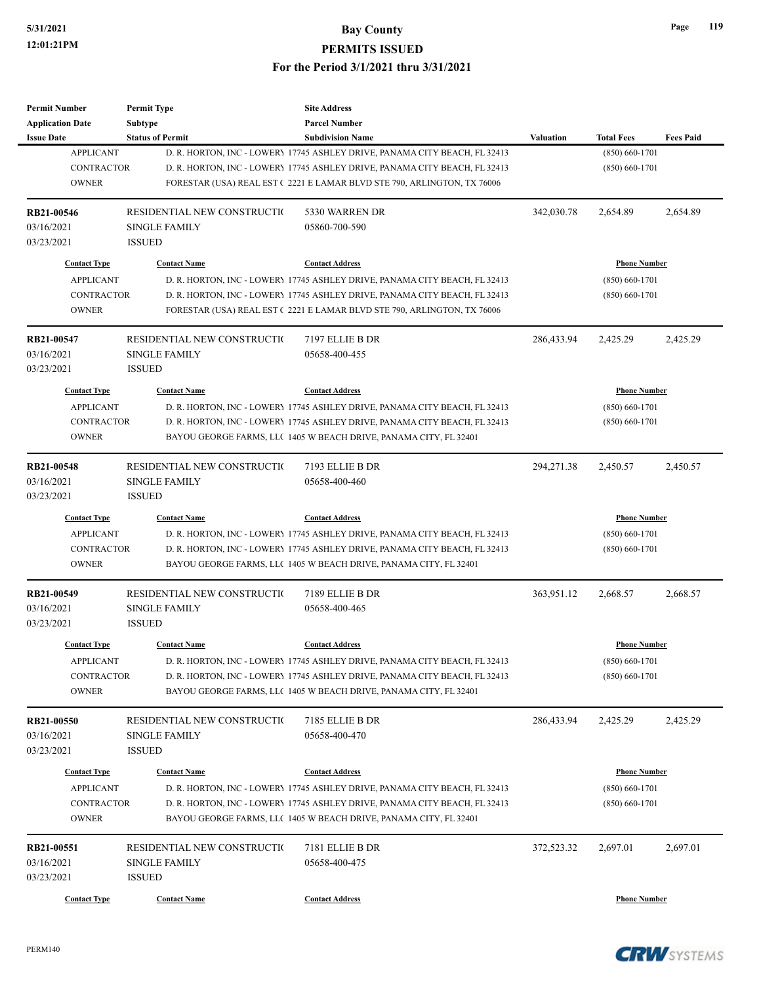| <b>Permit Number</b><br><b>Application Date</b> | <b>Permit Type</b><br>Subtype | <b>Site Address</b><br><b>Parcel Number</b>                                |                  |                     |                  |
|-------------------------------------------------|-------------------------------|----------------------------------------------------------------------------|------------------|---------------------|------------------|
| <b>Issue Date</b>                               | <b>Status of Permit</b>       | <b>Subdivision Name</b>                                                    | <b>Valuation</b> | <b>Total Fees</b>   | <b>Fees Paid</b> |
| <b>APPLICANT</b>                                |                               | D. R. HORTON, INC - LOWERY 17745 ASHLEY DRIVE, PANAMA CITY BEACH, FL 32413 |                  | $(850) 660 - 1701$  |                  |
| <b>CONTRACTOR</b>                               |                               | D. R. HORTON, INC - LOWERY 17745 ASHLEY DRIVE, PANAMA CITY BEACH, FL 32413 |                  | $(850) 660 - 1701$  |                  |
| <b>OWNER</b>                                    |                               | FORESTAR (USA) REAL EST (2221 E LAMAR BLVD STE 790, ARLINGTON, TX 76006    |                  |                     |                  |
|                                                 |                               |                                                                            |                  |                     |                  |
| <b>RB21-00546</b>                               | RESIDENTIAL NEW CONSTRUCTIO   | 5330 WARREN DR                                                             | 342,030.78       | 2,654.89            | 2,654.89         |
| 03/16/2021                                      | <b>SINGLE FAMILY</b>          | 05860-700-590                                                              |                  |                     |                  |
| 03/23/2021                                      | <b>ISSUED</b>                 |                                                                            |                  |                     |                  |
| <b>Contact Type</b>                             | <b>Contact Name</b>           | <b>Contact Address</b>                                                     |                  | <b>Phone Number</b> |                  |
| <b>APPLICANT</b>                                |                               | D. R. HORTON, INC - LOWERY 17745 ASHLEY DRIVE, PANAMA CITY BEACH, FL 32413 |                  | $(850) 660 - 1701$  |                  |
| <b>CONTRACTOR</b>                               |                               | D. R. HORTON, INC - LOWERY 17745 ASHLEY DRIVE, PANAMA CITY BEACH, FL 32413 |                  | $(850) 660 - 1701$  |                  |
| <b>OWNER</b>                                    |                               | FORESTAR (USA) REAL EST (2221 E LAMAR BLVD STE 790, ARLINGTON, TX 76006    |                  |                     |                  |
| RB21-00547                                      | RESIDENTIAL NEW CONSTRUCTIO   | 7197 ELLIE B DR                                                            | 286,433.94       | 2,425.29            | 2,425.29         |
| 03/16/2021                                      | <b>SINGLE FAMILY</b>          | 05658-400-455                                                              |                  |                     |                  |
| 03/23/2021                                      | <b>ISSUED</b>                 |                                                                            |                  |                     |                  |
| <b>Contact Type</b>                             | <b>Contact Name</b>           | <b>Contact Address</b>                                                     |                  | <b>Phone Number</b> |                  |
| <b>APPLICANT</b>                                |                               | D. R. HORTON, INC - LOWERY 17745 ASHLEY DRIVE, PANAMA CITY BEACH, FL 32413 |                  | $(850) 660 - 1701$  |                  |
| <b>CONTRACTOR</b>                               |                               | D. R. HORTON, INC - LOWERY 17745 ASHLEY DRIVE, PANAMA CITY BEACH, FL 32413 |                  |                     |                  |
|                                                 |                               |                                                                            |                  | $(850)$ 660-1701    |                  |
| <b>OWNER</b>                                    |                               | BAYOU GEORGE FARMS, LLC 1405 W BEACH DRIVE, PANAMA CITY, FL 32401          |                  |                     |                  |
| RB21-00548                                      | RESIDENTIAL NEW CONSTRUCTIO   | 7193 ELLIE B DR                                                            | 294,271.38       | 2,450.57            | 2,450.57         |
| 03/16/2021                                      | <b>SINGLE FAMILY</b>          | 05658-400-460                                                              |                  |                     |                  |
| 03/23/2021                                      | <b>ISSUED</b>                 |                                                                            |                  |                     |                  |
| <b>Contact Type</b>                             | <b>Contact Name</b>           | <b>Contact Address</b>                                                     |                  | <b>Phone Number</b> |                  |
| <b>APPLICANT</b>                                |                               | D. R. HORTON, INC - LOWERY 17745 ASHLEY DRIVE, PANAMA CITY BEACH, FL 32413 |                  | $(850) 660 - 1701$  |                  |
| <b>CONTRACTOR</b>                               |                               | D. R. HORTON, INC - LOWERY 17745 ASHLEY DRIVE, PANAMA CITY BEACH, FL 32413 |                  | $(850) 660 - 1701$  |                  |
| <b>OWNER</b>                                    |                               | BAYOU GEORGE FARMS, LLC 1405 W BEACH DRIVE, PANAMA CITY, FL 32401          |                  |                     |                  |
| RB21-00549                                      | RESIDENTIAL NEW CONSTRUCTIO   | 7189 ELLIE B DR                                                            | 363,951.12       | 2,668.57            | 2,668.57         |
| 03/16/2021                                      | <b>SINGLE FAMILY</b>          | 05658-400-465                                                              |                  |                     |                  |
| 03/23/2021                                      | <b>ISSUED</b>                 |                                                                            |                  |                     |                  |
| <b>Contact Type</b>                             | <b>Contact Name</b>           | <b>Contact Address</b>                                                     |                  | <b>Phone Number</b> |                  |
| APPLICANT                                       |                               | D. R. HORTON, INC - LOWERY 17745 ASHLEY DRIVE, PANAMA CITY BEACH, FL 32413 |                  | $(850) 660 - 1701$  |                  |
| CONTRACTOR                                      |                               | D. R. HORTON, INC - LOWERY 17745 ASHLEY DRIVE, PANAMA CITY BEACH, FL 32413 |                  | $(850)$ 660-1701    |                  |
| <b>OWNER</b>                                    |                               | BAYOU GEORGE FARMS, LLC 1405 W BEACH DRIVE, PANAMA CITY, FL 32401          |                  |                     |                  |
| <b>RB21-00550</b>                               | RESIDENTIAL NEW CONSTRUCTIO   | 7185 ELLIE B DR                                                            | 286,433.94       | 2,425.29            | 2,425.29         |
| 03/16/2021                                      | <b>SINGLE FAMILY</b>          | 05658-400-470                                                              |                  |                     |                  |
| 03/23/2021                                      | <b>ISSUED</b>                 |                                                                            |                  |                     |                  |
|                                                 |                               |                                                                            |                  |                     |                  |
| <b>Contact Type</b>                             | <b>Contact Name</b>           | <b>Contact Address</b>                                                     |                  | <b>Phone Number</b> |                  |
| <b>APPLICANT</b>                                |                               | D. R. HORTON, INC - LOWERY 17745 ASHLEY DRIVE, PANAMA CITY BEACH, FL 32413 |                  | $(850) 660 - 1701$  |                  |
| <b>CONTRACTOR</b>                               |                               | D. R. HORTON, INC - LOWERY 17745 ASHLEY DRIVE, PANAMA CITY BEACH, FL 32413 |                  | $(850)$ 660-1701    |                  |
| <b>OWNER</b>                                    |                               | BAYOU GEORGE FARMS, LLC 1405 W BEACH DRIVE, PANAMA CITY, FL 32401          |                  |                     |                  |
| RB21-00551                                      | RESIDENTIAL NEW CONSTRUCTIO   | 7181 ELLIE B DR                                                            | 372,523.32       | 2,697.01            | 2,697.01         |
| 03/16/2021                                      | <b>SINGLE FAMILY</b>          | 05658-400-475                                                              |                  |                     |                  |
| 03/23/2021                                      | <b>ISSUED</b>                 |                                                                            |                  |                     |                  |
| <b>Contact Type</b>                             | <b>Contact Name</b>           | <b>Contact Address</b>                                                     |                  | <b>Phone Number</b> |                  |
|                                                 |                               |                                                                            |                  |                     |                  |

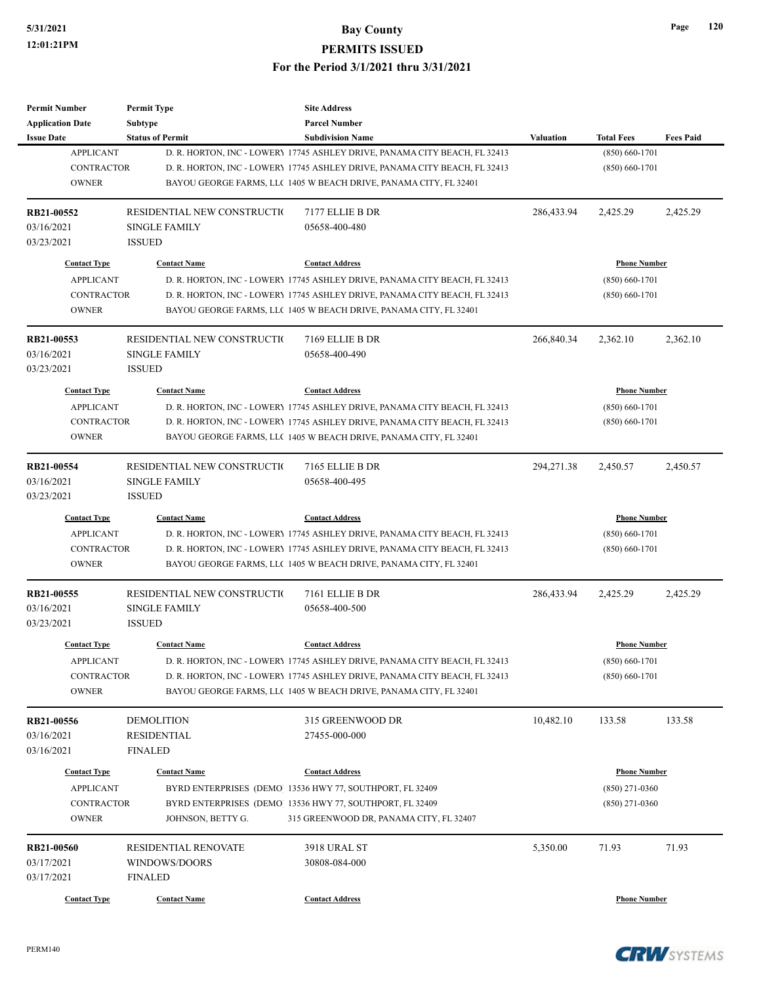| <b>Parcel Number</b><br><b>Subtype</b><br><b>Application Date</b><br><b>Issue Date</b><br><b>Status of Permit</b><br><b>Subdivision Name</b><br><b>Valuation</b><br><b>Total Fees</b><br><b>APPLICANT</b><br>$(850) 660 - 1701$<br>D. R. HORTON, INC - LOWERY 17745 ASHLEY DRIVE, PANAMA CITY BEACH, FL 32413<br><b>CONTRACTOR</b><br>D. R. HORTON, INC - LOWERY 17745 ASHLEY DRIVE, PANAMA CITY BEACH, FL 32413<br>$(850) 660 - 1701$<br><b>OWNER</b><br>BAYOU GEORGE FARMS, LLC 1405 W BEACH DRIVE, PANAMA CITY, FL 32401<br>286,433.94<br>RB21-00552<br>RESIDENTIAL NEW CONSTRUCTIO<br>7177 ELLIE B DR<br>2,425.29<br>03/16/2021<br><b>SINGLE FAMILY</b><br>05658-400-480<br>03/23/2021<br><b>ISSUED</b><br><b>Contact Type</b><br><b>Contact Name</b><br><b>Contact Address</b><br><b>Phone Number</b><br><b>APPLICANT</b><br>D. R. HORTON, INC - LOWERY 17745 ASHLEY DRIVE, PANAMA CITY BEACH, FL 32413<br>$(850) 660 - 1701$<br><b>CONTRACTOR</b><br>D. R. HORTON, INC - LOWERY 17745 ASHLEY DRIVE, PANAMA CITY BEACH, FL 32413<br>$(850) 660 - 1701$<br><b>OWNER</b><br>BAYOU GEORGE FARMS, LLC 1405 W BEACH DRIVE, PANAMA CITY, FL 32401<br>266,840.34<br>RB21-00553<br>RESIDENTIAL NEW CONSTRUCTIO<br>7169 ELLIE B DR<br>2,362.10<br>03/16/2021<br><b>SINGLE FAMILY</b><br>05658-400-490<br>03/23/2021<br><b>ISSUED</b><br><b>Phone Number</b><br><b>Contact Type</b><br><b>Contact Name</b><br><b>Contact Address</b><br><b>APPLICANT</b><br>D. R. HORTON, INC - LOWERY 17745 ASHLEY DRIVE, PANAMA CITY BEACH, FL 32413<br>$(850) 660 - 1701$<br><b>CONTRACTOR</b><br>D. R. HORTON, INC - LOWERY 17745 ASHLEY DRIVE, PANAMA CITY BEACH, FL 32413<br>$(850) 660 - 1701$<br><b>OWNER</b><br>BAYOU GEORGE FARMS, LLC 1405 W BEACH DRIVE, PANAMA CITY, FL 32401<br>RESIDENTIAL NEW CONSTRUCTIO<br>7165 ELLIE B DR<br>294,271.38<br>RB21-00554<br>2,450.57<br>03/16/2021<br><b>SINGLE FAMILY</b><br>05658-400-495<br>03/23/2021<br><b>ISSUED</b><br><b>Contact Type</b><br><b>Contact Name</b><br><b>Contact Address</b><br><b>Phone Number</b><br><b>APPLICANT</b><br>D. R. HORTON, INC - LOWERY 17745 ASHLEY DRIVE, PANAMA CITY BEACH, FL 32413<br>$(850) 660 - 1701$<br><b>CONTRACTOR</b><br>D. R. HORTON, INC - LOWER 17745 ASHLEY DRIVE, PANAMA CITY BEACH, FL 32413<br>$(850) 660 - 1701$<br><b>OWNER</b><br>BAYOU GEORGE FARMS, LLC 1405 W BEACH DRIVE, PANAMA CITY, FL 32401<br>286,433.94<br>RESIDENTIAL NEW CONSTRUCTIO<br>7161 ELLIE B DR<br>2,425.29<br>RB21-00555<br>03/16/2021<br><b>SINGLE FAMILY</b><br>05658-400-500<br>03/23/2021<br><b>ISSUED</b><br><b>Contact Address</b><br><b>Contact Type</b><br><b>Contact Name</b><br><b>Phone Number</b><br><b>APPLICANT</b><br>D. R. HORTON, INC - LOWERY 17745 ASHLEY DRIVE, PANAMA CITY BEACH, FL 32413<br>$(850) 660 - 1701$<br>CONTRACTOR<br>D. R. HORTON, INC - LOWERY 17745 ASHLEY DRIVE, PANAMA CITY BEACH, FL 32413<br>$(850) 660 - 1701$<br><b>OWNER</b><br>BAYOU GEORGE FARMS, LLC 1405 W BEACH DRIVE, PANAMA CITY, FL 32401<br><b>DEMOLITION</b><br>315 GREENWOOD DR<br>10,482.10<br>RB21-00556<br>133.58<br>03/16/2021<br><b>RESIDENTIAL</b><br>27455-000-000 | 2,450.57<br><b>FINALED</b><br><b>Contact Name</b><br><b>Contact Address</b><br><b>Phone Number</b><br><b>Contact Type</b><br><b>APPLICANT</b><br>BYRD ENTERPRISES (DEMO 13536 HWY 77, SOUTHPORT, FL 32409<br>$(850)$ 271-0360<br>BYRD ENTERPRISES (DEMO 13536 HWY 77, SOUTHPORT, FL 32409<br>CONTRACTOR<br>$(850)$ 271-0360<br><b>OWNER</b><br>JOHNSON, BETTY G.<br>315 GREENWOOD DR, PANAMA CITY, FL 32407 | <b>Permit Number</b> | <b>Permit Type</b> | <b>Site Address</b> |  |                  |
|--------------------------------------------------------------------------------------------------------------------------------------------------------------------------------------------------------------------------------------------------------------------------------------------------------------------------------------------------------------------------------------------------------------------------------------------------------------------------------------------------------------------------------------------------------------------------------------------------------------------------------------------------------------------------------------------------------------------------------------------------------------------------------------------------------------------------------------------------------------------------------------------------------------------------------------------------------------------------------------------------------------------------------------------------------------------------------------------------------------------------------------------------------------------------------------------------------------------------------------------------------------------------------------------------------------------------------------------------------------------------------------------------------------------------------------------------------------------------------------------------------------------------------------------------------------------------------------------------------------------------------------------------------------------------------------------------------------------------------------------------------------------------------------------------------------------------------------------------------------------------------------------------------------------------------------------------------------------------------------------------------------------------------------------------------------------------------------------------------------------------------------------------------------------------------------------------------------------------------------------------------------------------------------------------------------------------------------------------------------------------------------------------------------------------------------------------------------------------------------------------------------------------------------------------------------------------------------------------------------------------------------------------------------------------------------------------------------------------------------------------------------------------------------------------------------------------------------------------------------------------------------------------------------------------------------------------------------------------------------------------------------------------------------------------------------------------------------------------------------------------------------------|-------------------------------------------------------------------------------------------------------------------------------------------------------------------------------------------------------------------------------------------------------------------------------------------------------------------------------------------------------------------------------------------------------------|----------------------|--------------------|---------------------|--|------------------|
|                                                                                                                                                                                                                                                                                                                                                                                                                                                                                                                                                                                                                                                                                                                                                                                                                                                                                                                                                                                                                                                                                                                                                                                                                                                                                                                                                                                                                                                                                                                                                                                                                                                                                                                                                                                                                                                                                                                                                                                                                                                                                                                                                                                                                                                                                                                                                                                                                                                                                                                                                                                                                                                                                                                                                                                                                                                                                                                                                                                                                                                                                                                                            |                                                                                                                                                                                                                                                                                                                                                                                                             |                      |                    |                     |  |                  |
|                                                                                                                                                                                                                                                                                                                                                                                                                                                                                                                                                                                                                                                                                                                                                                                                                                                                                                                                                                                                                                                                                                                                                                                                                                                                                                                                                                                                                                                                                                                                                                                                                                                                                                                                                                                                                                                                                                                                                                                                                                                                                                                                                                                                                                                                                                                                                                                                                                                                                                                                                                                                                                                                                                                                                                                                                                                                                                                                                                                                                                                                                                                                            |                                                                                                                                                                                                                                                                                                                                                                                                             |                      |                    |                     |  | <b>Fees Paid</b> |
|                                                                                                                                                                                                                                                                                                                                                                                                                                                                                                                                                                                                                                                                                                                                                                                                                                                                                                                                                                                                                                                                                                                                                                                                                                                                                                                                                                                                                                                                                                                                                                                                                                                                                                                                                                                                                                                                                                                                                                                                                                                                                                                                                                                                                                                                                                                                                                                                                                                                                                                                                                                                                                                                                                                                                                                                                                                                                                                                                                                                                                                                                                                                            |                                                                                                                                                                                                                                                                                                                                                                                                             |                      |                    |                     |  |                  |
|                                                                                                                                                                                                                                                                                                                                                                                                                                                                                                                                                                                                                                                                                                                                                                                                                                                                                                                                                                                                                                                                                                                                                                                                                                                                                                                                                                                                                                                                                                                                                                                                                                                                                                                                                                                                                                                                                                                                                                                                                                                                                                                                                                                                                                                                                                                                                                                                                                                                                                                                                                                                                                                                                                                                                                                                                                                                                                                                                                                                                                                                                                                                            |                                                                                                                                                                                                                                                                                                                                                                                                             |                      |                    |                     |  |                  |
|                                                                                                                                                                                                                                                                                                                                                                                                                                                                                                                                                                                                                                                                                                                                                                                                                                                                                                                                                                                                                                                                                                                                                                                                                                                                                                                                                                                                                                                                                                                                                                                                                                                                                                                                                                                                                                                                                                                                                                                                                                                                                                                                                                                                                                                                                                                                                                                                                                                                                                                                                                                                                                                                                                                                                                                                                                                                                                                                                                                                                                                                                                                                            |                                                                                                                                                                                                                                                                                                                                                                                                             |                      |                    |                     |  |                  |
|                                                                                                                                                                                                                                                                                                                                                                                                                                                                                                                                                                                                                                                                                                                                                                                                                                                                                                                                                                                                                                                                                                                                                                                                                                                                                                                                                                                                                                                                                                                                                                                                                                                                                                                                                                                                                                                                                                                                                                                                                                                                                                                                                                                                                                                                                                                                                                                                                                                                                                                                                                                                                                                                                                                                                                                                                                                                                                                                                                                                                                                                                                                                            |                                                                                                                                                                                                                                                                                                                                                                                                             |                      |                    |                     |  | 2,425.29         |
|                                                                                                                                                                                                                                                                                                                                                                                                                                                                                                                                                                                                                                                                                                                                                                                                                                                                                                                                                                                                                                                                                                                                                                                                                                                                                                                                                                                                                                                                                                                                                                                                                                                                                                                                                                                                                                                                                                                                                                                                                                                                                                                                                                                                                                                                                                                                                                                                                                                                                                                                                                                                                                                                                                                                                                                                                                                                                                                                                                                                                                                                                                                                            |                                                                                                                                                                                                                                                                                                                                                                                                             |                      |                    |                     |  |                  |
|                                                                                                                                                                                                                                                                                                                                                                                                                                                                                                                                                                                                                                                                                                                                                                                                                                                                                                                                                                                                                                                                                                                                                                                                                                                                                                                                                                                                                                                                                                                                                                                                                                                                                                                                                                                                                                                                                                                                                                                                                                                                                                                                                                                                                                                                                                                                                                                                                                                                                                                                                                                                                                                                                                                                                                                                                                                                                                                                                                                                                                                                                                                                            |                                                                                                                                                                                                                                                                                                                                                                                                             |                      |                    |                     |  |                  |
|                                                                                                                                                                                                                                                                                                                                                                                                                                                                                                                                                                                                                                                                                                                                                                                                                                                                                                                                                                                                                                                                                                                                                                                                                                                                                                                                                                                                                                                                                                                                                                                                                                                                                                                                                                                                                                                                                                                                                                                                                                                                                                                                                                                                                                                                                                                                                                                                                                                                                                                                                                                                                                                                                                                                                                                                                                                                                                                                                                                                                                                                                                                                            |                                                                                                                                                                                                                                                                                                                                                                                                             |                      |                    |                     |  |                  |
|                                                                                                                                                                                                                                                                                                                                                                                                                                                                                                                                                                                                                                                                                                                                                                                                                                                                                                                                                                                                                                                                                                                                                                                                                                                                                                                                                                                                                                                                                                                                                                                                                                                                                                                                                                                                                                                                                                                                                                                                                                                                                                                                                                                                                                                                                                                                                                                                                                                                                                                                                                                                                                                                                                                                                                                                                                                                                                                                                                                                                                                                                                                                            |                                                                                                                                                                                                                                                                                                                                                                                                             |                      |                    |                     |  |                  |
|                                                                                                                                                                                                                                                                                                                                                                                                                                                                                                                                                                                                                                                                                                                                                                                                                                                                                                                                                                                                                                                                                                                                                                                                                                                                                                                                                                                                                                                                                                                                                                                                                                                                                                                                                                                                                                                                                                                                                                                                                                                                                                                                                                                                                                                                                                                                                                                                                                                                                                                                                                                                                                                                                                                                                                                                                                                                                                                                                                                                                                                                                                                                            |                                                                                                                                                                                                                                                                                                                                                                                                             |                      |                    |                     |  |                  |
|                                                                                                                                                                                                                                                                                                                                                                                                                                                                                                                                                                                                                                                                                                                                                                                                                                                                                                                                                                                                                                                                                                                                                                                                                                                                                                                                                                                                                                                                                                                                                                                                                                                                                                                                                                                                                                                                                                                                                                                                                                                                                                                                                                                                                                                                                                                                                                                                                                                                                                                                                                                                                                                                                                                                                                                                                                                                                                                                                                                                                                                                                                                                            |                                                                                                                                                                                                                                                                                                                                                                                                             |                      |                    |                     |  |                  |
|                                                                                                                                                                                                                                                                                                                                                                                                                                                                                                                                                                                                                                                                                                                                                                                                                                                                                                                                                                                                                                                                                                                                                                                                                                                                                                                                                                                                                                                                                                                                                                                                                                                                                                                                                                                                                                                                                                                                                                                                                                                                                                                                                                                                                                                                                                                                                                                                                                                                                                                                                                                                                                                                                                                                                                                                                                                                                                                                                                                                                                                                                                                                            |                                                                                                                                                                                                                                                                                                                                                                                                             |                      |                    |                     |  | 2,362.10         |
|                                                                                                                                                                                                                                                                                                                                                                                                                                                                                                                                                                                                                                                                                                                                                                                                                                                                                                                                                                                                                                                                                                                                                                                                                                                                                                                                                                                                                                                                                                                                                                                                                                                                                                                                                                                                                                                                                                                                                                                                                                                                                                                                                                                                                                                                                                                                                                                                                                                                                                                                                                                                                                                                                                                                                                                                                                                                                                                                                                                                                                                                                                                                            |                                                                                                                                                                                                                                                                                                                                                                                                             |                      |                    |                     |  |                  |
|                                                                                                                                                                                                                                                                                                                                                                                                                                                                                                                                                                                                                                                                                                                                                                                                                                                                                                                                                                                                                                                                                                                                                                                                                                                                                                                                                                                                                                                                                                                                                                                                                                                                                                                                                                                                                                                                                                                                                                                                                                                                                                                                                                                                                                                                                                                                                                                                                                                                                                                                                                                                                                                                                                                                                                                                                                                                                                                                                                                                                                                                                                                                            |                                                                                                                                                                                                                                                                                                                                                                                                             |                      |                    |                     |  |                  |
|                                                                                                                                                                                                                                                                                                                                                                                                                                                                                                                                                                                                                                                                                                                                                                                                                                                                                                                                                                                                                                                                                                                                                                                                                                                                                                                                                                                                                                                                                                                                                                                                                                                                                                                                                                                                                                                                                                                                                                                                                                                                                                                                                                                                                                                                                                                                                                                                                                                                                                                                                                                                                                                                                                                                                                                                                                                                                                                                                                                                                                                                                                                                            |                                                                                                                                                                                                                                                                                                                                                                                                             |                      |                    |                     |  |                  |
|                                                                                                                                                                                                                                                                                                                                                                                                                                                                                                                                                                                                                                                                                                                                                                                                                                                                                                                                                                                                                                                                                                                                                                                                                                                                                                                                                                                                                                                                                                                                                                                                                                                                                                                                                                                                                                                                                                                                                                                                                                                                                                                                                                                                                                                                                                                                                                                                                                                                                                                                                                                                                                                                                                                                                                                                                                                                                                                                                                                                                                                                                                                                            |                                                                                                                                                                                                                                                                                                                                                                                                             |                      |                    |                     |  |                  |
|                                                                                                                                                                                                                                                                                                                                                                                                                                                                                                                                                                                                                                                                                                                                                                                                                                                                                                                                                                                                                                                                                                                                                                                                                                                                                                                                                                                                                                                                                                                                                                                                                                                                                                                                                                                                                                                                                                                                                                                                                                                                                                                                                                                                                                                                                                                                                                                                                                                                                                                                                                                                                                                                                                                                                                                                                                                                                                                                                                                                                                                                                                                                            |                                                                                                                                                                                                                                                                                                                                                                                                             |                      |                    |                     |  |                  |
|                                                                                                                                                                                                                                                                                                                                                                                                                                                                                                                                                                                                                                                                                                                                                                                                                                                                                                                                                                                                                                                                                                                                                                                                                                                                                                                                                                                                                                                                                                                                                                                                                                                                                                                                                                                                                                                                                                                                                                                                                                                                                                                                                                                                                                                                                                                                                                                                                                                                                                                                                                                                                                                                                                                                                                                                                                                                                                                                                                                                                                                                                                                                            |                                                                                                                                                                                                                                                                                                                                                                                                             |                      |                    |                     |  |                  |
|                                                                                                                                                                                                                                                                                                                                                                                                                                                                                                                                                                                                                                                                                                                                                                                                                                                                                                                                                                                                                                                                                                                                                                                                                                                                                                                                                                                                                                                                                                                                                                                                                                                                                                                                                                                                                                                                                                                                                                                                                                                                                                                                                                                                                                                                                                                                                                                                                                                                                                                                                                                                                                                                                                                                                                                                                                                                                                                                                                                                                                                                                                                                            |                                                                                                                                                                                                                                                                                                                                                                                                             |                      |                    |                     |  |                  |
|                                                                                                                                                                                                                                                                                                                                                                                                                                                                                                                                                                                                                                                                                                                                                                                                                                                                                                                                                                                                                                                                                                                                                                                                                                                                                                                                                                                                                                                                                                                                                                                                                                                                                                                                                                                                                                                                                                                                                                                                                                                                                                                                                                                                                                                                                                                                                                                                                                                                                                                                                                                                                                                                                                                                                                                                                                                                                                                                                                                                                                                                                                                                            |                                                                                                                                                                                                                                                                                                                                                                                                             |                      |                    |                     |  |                  |
|                                                                                                                                                                                                                                                                                                                                                                                                                                                                                                                                                                                                                                                                                                                                                                                                                                                                                                                                                                                                                                                                                                                                                                                                                                                                                                                                                                                                                                                                                                                                                                                                                                                                                                                                                                                                                                                                                                                                                                                                                                                                                                                                                                                                                                                                                                                                                                                                                                                                                                                                                                                                                                                                                                                                                                                                                                                                                                                                                                                                                                                                                                                                            |                                                                                                                                                                                                                                                                                                                                                                                                             |                      |                    |                     |  |                  |
|                                                                                                                                                                                                                                                                                                                                                                                                                                                                                                                                                                                                                                                                                                                                                                                                                                                                                                                                                                                                                                                                                                                                                                                                                                                                                                                                                                                                                                                                                                                                                                                                                                                                                                                                                                                                                                                                                                                                                                                                                                                                                                                                                                                                                                                                                                                                                                                                                                                                                                                                                                                                                                                                                                                                                                                                                                                                                                                                                                                                                                                                                                                                            |                                                                                                                                                                                                                                                                                                                                                                                                             |                      |                    |                     |  |                  |
|                                                                                                                                                                                                                                                                                                                                                                                                                                                                                                                                                                                                                                                                                                                                                                                                                                                                                                                                                                                                                                                                                                                                                                                                                                                                                                                                                                                                                                                                                                                                                                                                                                                                                                                                                                                                                                                                                                                                                                                                                                                                                                                                                                                                                                                                                                                                                                                                                                                                                                                                                                                                                                                                                                                                                                                                                                                                                                                                                                                                                                                                                                                                            |                                                                                                                                                                                                                                                                                                                                                                                                             |                      |                    |                     |  |                  |
|                                                                                                                                                                                                                                                                                                                                                                                                                                                                                                                                                                                                                                                                                                                                                                                                                                                                                                                                                                                                                                                                                                                                                                                                                                                                                                                                                                                                                                                                                                                                                                                                                                                                                                                                                                                                                                                                                                                                                                                                                                                                                                                                                                                                                                                                                                                                                                                                                                                                                                                                                                                                                                                                                                                                                                                                                                                                                                                                                                                                                                                                                                                                            |                                                                                                                                                                                                                                                                                                                                                                                                             |                      |                    |                     |  |                  |
|                                                                                                                                                                                                                                                                                                                                                                                                                                                                                                                                                                                                                                                                                                                                                                                                                                                                                                                                                                                                                                                                                                                                                                                                                                                                                                                                                                                                                                                                                                                                                                                                                                                                                                                                                                                                                                                                                                                                                                                                                                                                                                                                                                                                                                                                                                                                                                                                                                                                                                                                                                                                                                                                                                                                                                                                                                                                                                                                                                                                                                                                                                                                            |                                                                                                                                                                                                                                                                                                                                                                                                             |                      |                    |                     |  |                  |
|                                                                                                                                                                                                                                                                                                                                                                                                                                                                                                                                                                                                                                                                                                                                                                                                                                                                                                                                                                                                                                                                                                                                                                                                                                                                                                                                                                                                                                                                                                                                                                                                                                                                                                                                                                                                                                                                                                                                                                                                                                                                                                                                                                                                                                                                                                                                                                                                                                                                                                                                                                                                                                                                                                                                                                                                                                                                                                                                                                                                                                                                                                                                            |                                                                                                                                                                                                                                                                                                                                                                                                             |                      |                    |                     |  |                  |
|                                                                                                                                                                                                                                                                                                                                                                                                                                                                                                                                                                                                                                                                                                                                                                                                                                                                                                                                                                                                                                                                                                                                                                                                                                                                                                                                                                                                                                                                                                                                                                                                                                                                                                                                                                                                                                                                                                                                                                                                                                                                                                                                                                                                                                                                                                                                                                                                                                                                                                                                                                                                                                                                                                                                                                                                                                                                                                                                                                                                                                                                                                                                            |                                                                                                                                                                                                                                                                                                                                                                                                             |                      |                    |                     |  | 2,425.29         |
|                                                                                                                                                                                                                                                                                                                                                                                                                                                                                                                                                                                                                                                                                                                                                                                                                                                                                                                                                                                                                                                                                                                                                                                                                                                                                                                                                                                                                                                                                                                                                                                                                                                                                                                                                                                                                                                                                                                                                                                                                                                                                                                                                                                                                                                                                                                                                                                                                                                                                                                                                                                                                                                                                                                                                                                                                                                                                                                                                                                                                                                                                                                                            |                                                                                                                                                                                                                                                                                                                                                                                                             |                      |                    |                     |  |                  |
|                                                                                                                                                                                                                                                                                                                                                                                                                                                                                                                                                                                                                                                                                                                                                                                                                                                                                                                                                                                                                                                                                                                                                                                                                                                                                                                                                                                                                                                                                                                                                                                                                                                                                                                                                                                                                                                                                                                                                                                                                                                                                                                                                                                                                                                                                                                                                                                                                                                                                                                                                                                                                                                                                                                                                                                                                                                                                                                                                                                                                                                                                                                                            |                                                                                                                                                                                                                                                                                                                                                                                                             |                      |                    |                     |  |                  |
|                                                                                                                                                                                                                                                                                                                                                                                                                                                                                                                                                                                                                                                                                                                                                                                                                                                                                                                                                                                                                                                                                                                                                                                                                                                                                                                                                                                                                                                                                                                                                                                                                                                                                                                                                                                                                                                                                                                                                                                                                                                                                                                                                                                                                                                                                                                                                                                                                                                                                                                                                                                                                                                                                                                                                                                                                                                                                                                                                                                                                                                                                                                                            |                                                                                                                                                                                                                                                                                                                                                                                                             |                      |                    |                     |  |                  |
|                                                                                                                                                                                                                                                                                                                                                                                                                                                                                                                                                                                                                                                                                                                                                                                                                                                                                                                                                                                                                                                                                                                                                                                                                                                                                                                                                                                                                                                                                                                                                                                                                                                                                                                                                                                                                                                                                                                                                                                                                                                                                                                                                                                                                                                                                                                                                                                                                                                                                                                                                                                                                                                                                                                                                                                                                                                                                                                                                                                                                                                                                                                                            |                                                                                                                                                                                                                                                                                                                                                                                                             |                      |                    |                     |  |                  |
|                                                                                                                                                                                                                                                                                                                                                                                                                                                                                                                                                                                                                                                                                                                                                                                                                                                                                                                                                                                                                                                                                                                                                                                                                                                                                                                                                                                                                                                                                                                                                                                                                                                                                                                                                                                                                                                                                                                                                                                                                                                                                                                                                                                                                                                                                                                                                                                                                                                                                                                                                                                                                                                                                                                                                                                                                                                                                                                                                                                                                                                                                                                                            |                                                                                                                                                                                                                                                                                                                                                                                                             |                      |                    |                     |  |                  |
|                                                                                                                                                                                                                                                                                                                                                                                                                                                                                                                                                                                                                                                                                                                                                                                                                                                                                                                                                                                                                                                                                                                                                                                                                                                                                                                                                                                                                                                                                                                                                                                                                                                                                                                                                                                                                                                                                                                                                                                                                                                                                                                                                                                                                                                                                                                                                                                                                                                                                                                                                                                                                                                                                                                                                                                                                                                                                                                                                                                                                                                                                                                                            |                                                                                                                                                                                                                                                                                                                                                                                                             |                      |                    |                     |  |                  |
|                                                                                                                                                                                                                                                                                                                                                                                                                                                                                                                                                                                                                                                                                                                                                                                                                                                                                                                                                                                                                                                                                                                                                                                                                                                                                                                                                                                                                                                                                                                                                                                                                                                                                                                                                                                                                                                                                                                                                                                                                                                                                                                                                                                                                                                                                                                                                                                                                                                                                                                                                                                                                                                                                                                                                                                                                                                                                                                                                                                                                                                                                                                                            |                                                                                                                                                                                                                                                                                                                                                                                                             |                      |                    |                     |  | 133.58           |
|                                                                                                                                                                                                                                                                                                                                                                                                                                                                                                                                                                                                                                                                                                                                                                                                                                                                                                                                                                                                                                                                                                                                                                                                                                                                                                                                                                                                                                                                                                                                                                                                                                                                                                                                                                                                                                                                                                                                                                                                                                                                                                                                                                                                                                                                                                                                                                                                                                                                                                                                                                                                                                                                                                                                                                                                                                                                                                                                                                                                                                                                                                                                            |                                                                                                                                                                                                                                                                                                                                                                                                             |                      |                    |                     |  |                  |
| 03/16/2021                                                                                                                                                                                                                                                                                                                                                                                                                                                                                                                                                                                                                                                                                                                                                                                                                                                                                                                                                                                                                                                                                                                                                                                                                                                                                                                                                                                                                                                                                                                                                                                                                                                                                                                                                                                                                                                                                                                                                                                                                                                                                                                                                                                                                                                                                                                                                                                                                                                                                                                                                                                                                                                                                                                                                                                                                                                                                                                                                                                                                                                                                                                                 |                                                                                                                                                                                                                                                                                                                                                                                                             |                      |                    |                     |  |                  |
|                                                                                                                                                                                                                                                                                                                                                                                                                                                                                                                                                                                                                                                                                                                                                                                                                                                                                                                                                                                                                                                                                                                                                                                                                                                                                                                                                                                                                                                                                                                                                                                                                                                                                                                                                                                                                                                                                                                                                                                                                                                                                                                                                                                                                                                                                                                                                                                                                                                                                                                                                                                                                                                                                                                                                                                                                                                                                                                                                                                                                                                                                                                                            |                                                                                                                                                                                                                                                                                                                                                                                                             |                      |                    |                     |  |                  |
|                                                                                                                                                                                                                                                                                                                                                                                                                                                                                                                                                                                                                                                                                                                                                                                                                                                                                                                                                                                                                                                                                                                                                                                                                                                                                                                                                                                                                                                                                                                                                                                                                                                                                                                                                                                                                                                                                                                                                                                                                                                                                                                                                                                                                                                                                                                                                                                                                                                                                                                                                                                                                                                                                                                                                                                                                                                                                                                                                                                                                                                                                                                                            |                                                                                                                                                                                                                                                                                                                                                                                                             |                      |                    |                     |  |                  |
|                                                                                                                                                                                                                                                                                                                                                                                                                                                                                                                                                                                                                                                                                                                                                                                                                                                                                                                                                                                                                                                                                                                                                                                                                                                                                                                                                                                                                                                                                                                                                                                                                                                                                                                                                                                                                                                                                                                                                                                                                                                                                                                                                                                                                                                                                                                                                                                                                                                                                                                                                                                                                                                                                                                                                                                                                                                                                                                                                                                                                                                                                                                                            |                                                                                                                                                                                                                                                                                                                                                                                                             |                      |                    |                     |  |                  |
|                                                                                                                                                                                                                                                                                                                                                                                                                                                                                                                                                                                                                                                                                                                                                                                                                                                                                                                                                                                                                                                                                                                                                                                                                                                                                                                                                                                                                                                                                                                                                                                                                                                                                                                                                                                                                                                                                                                                                                                                                                                                                                                                                                                                                                                                                                                                                                                                                                                                                                                                                                                                                                                                                                                                                                                                                                                                                                                                                                                                                                                                                                                                            |                                                                                                                                                                                                                                                                                                                                                                                                             |                      |                    |                     |  |                  |
| RB21-00560<br>RESIDENTIAL RENOVATE<br>3918 URAL ST<br>5,350.00<br>71.93                                                                                                                                                                                                                                                                                                                                                                                                                                                                                                                                                                                                                                                                                                                                                                                                                                                                                                                                                                                                                                                                                                                                                                                                                                                                                                                                                                                                                                                                                                                                                                                                                                                                                                                                                                                                                                                                                                                                                                                                                                                                                                                                                                                                                                                                                                                                                                                                                                                                                                                                                                                                                                                                                                                                                                                                                                                                                                                                                                                                                                                                    |                                                                                                                                                                                                                                                                                                                                                                                                             |                      |                    |                     |  | 71.93            |
| 03/17/2021<br>WINDOWS/DOORS<br>30808-084-000                                                                                                                                                                                                                                                                                                                                                                                                                                                                                                                                                                                                                                                                                                                                                                                                                                                                                                                                                                                                                                                                                                                                                                                                                                                                                                                                                                                                                                                                                                                                                                                                                                                                                                                                                                                                                                                                                                                                                                                                                                                                                                                                                                                                                                                                                                                                                                                                                                                                                                                                                                                                                                                                                                                                                                                                                                                                                                                                                                                                                                                                                               |                                                                                                                                                                                                                                                                                                                                                                                                             |                      |                    |                     |  |                  |
| 03/17/2021<br><b>FINALED</b>                                                                                                                                                                                                                                                                                                                                                                                                                                                                                                                                                                                                                                                                                                                                                                                                                                                                                                                                                                                                                                                                                                                                                                                                                                                                                                                                                                                                                                                                                                                                                                                                                                                                                                                                                                                                                                                                                                                                                                                                                                                                                                                                                                                                                                                                                                                                                                                                                                                                                                                                                                                                                                                                                                                                                                                                                                                                                                                                                                                                                                                                                                               |                                                                                                                                                                                                                                                                                                                                                                                                             |                      |                    |                     |  |                  |
|                                                                                                                                                                                                                                                                                                                                                                                                                                                                                                                                                                                                                                                                                                                                                                                                                                                                                                                                                                                                                                                                                                                                                                                                                                                                                                                                                                                                                                                                                                                                                                                                                                                                                                                                                                                                                                                                                                                                                                                                                                                                                                                                                                                                                                                                                                                                                                                                                                                                                                                                                                                                                                                                                                                                                                                                                                                                                                                                                                                                                                                                                                                                            | <b>Contact Address</b><br><b>Phone Number</b><br><b>Contact Type</b><br><b>Contact Name</b>                                                                                                                                                                                                                                                                                                                 |                      |                    |                     |  |                  |

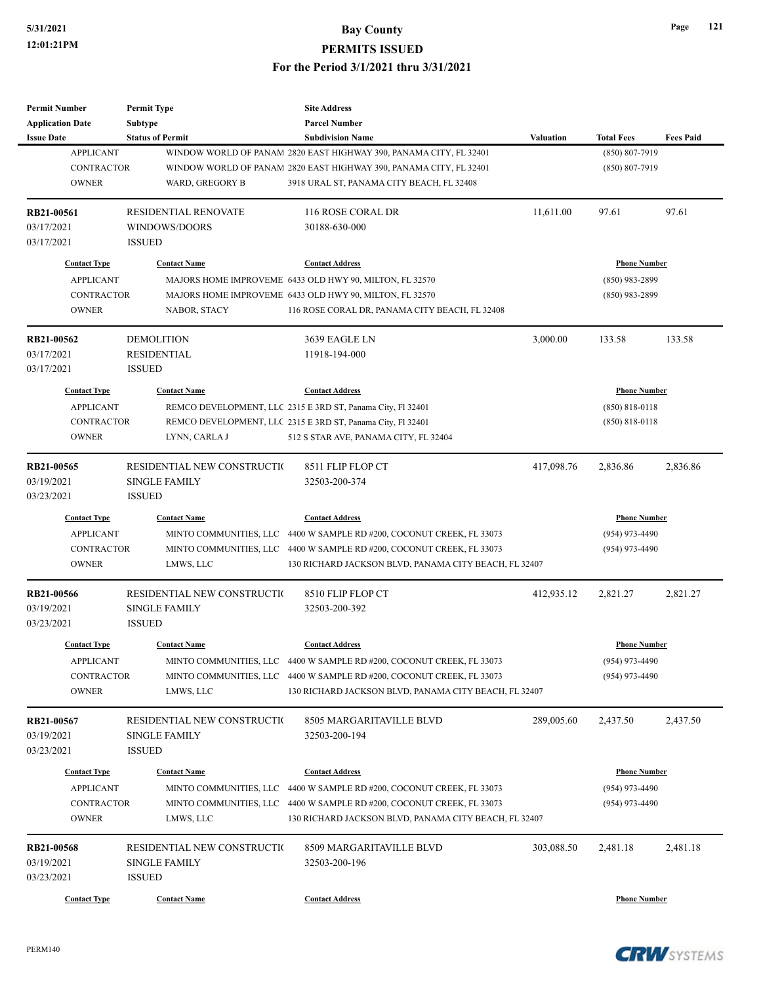| <b>Permit Number</b>    | <b>Permit Type</b>          | <b>Site Address</b>                                                   |                  |                     |                  |
|-------------------------|-----------------------------|-----------------------------------------------------------------------|------------------|---------------------|------------------|
| <b>Application Date</b> | Subtype                     | <b>Parcel Number</b>                                                  |                  |                     |                  |
| <b>Issue Date</b>       | <b>Status of Permit</b>     | <b>Subdivision Name</b>                                               | <b>Valuation</b> | <b>Total Fees</b>   | <b>Fees Paid</b> |
| <b>APPLICANT</b>        |                             | WINDOW WORLD OF PANAM 2820 EAST HIGHWAY 390, PANAMA CITY, FL 32401    |                  | (850) 807-7919      |                  |
| <b>CONTRACTOR</b>       |                             | WINDOW WORLD OF PANAM 2820 EAST HIGHWAY 390, PANAMA CITY, FL 32401    |                  | $(850) 807 - 7919$  |                  |
| <b>OWNER</b>            | WARD, GREGORY B             | 3918 URAL ST, PANAMA CITY BEACH, FL 32408                             |                  |                     |                  |
| RB21-00561              | RESIDENTIAL RENOVATE        | 116 ROSE CORAL DR                                                     | 11,611.00        | 97.61               | 97.61            |
| 03/17/2021              | WINDOWS/DOORS               | 30188-630-000                                                         |                  |                     |                  |
| 03/17/2021              | <b>ISSUED</b>               |                                                                       |                  |                     |                  |
| <b>Contact Type</b>     | <b>Contact Name</b>         | <b>Contact Address</b>                                                |                  | <b>Phone Number</b> |                  |
| <b>APPLICANT</b>        |                             | MAJORS HOME IMPROVEME 6433 OLD HWY 90, MILTON, FL 32570               |                  | $(850)$ 983-2899    |                  |
| <b>CONTRACTOR</b>       |                             | MAJORS HOME IMPROVEME 6433 OLD HWY 90, MILTON, FL 32570               |                  | $(850)$ 983-2899    |                  |
| <b>OWNER</b>            | NABOR, STACY                | 116 ROSE CORAL DR, PANAMA CITY BEACH, FL 32408                        |                  |                     |                  |
| RB21-00562              | <b>DEMOLITION</b>           | 3639 EAGLE LN                                                         | 3,000.00         | 133.58              | 133.58           |
| 03/17/2021              | <b>RESIDENTIAL</b>          | 11918-194-000                                                         |                  |                     |                  |
| 03/17/2021              | <b>ISSUED</b>               |                                                                       |                  |                     |                  |
| <b>Contact Type</b>     | <b>Contact Name</b>         | <b>Contact Address</b>                                                |                  | <b>Phone Number</b> |                  |
| <b>APPLICANT</b>        |                             | REMCO DEVELOPMENT, LLC 2315 E 3RD ST, Panama City, Fl 32401           |                  | $(850) 818 - 0118$  |                  |
| <b>CONTRACTOR</b>       |                             | REMCO DEVELOPMENT, LLC 2315 E 3RD ST, Panama City, Fl 32401           |                  | $(850) 818 - 0118$  |                  |
| <b>OWNER</b>            | LYNN, CARLA J               | 512 S STAR AVE, PANAMA CITY, FL 32404                                 |                  |                     |                  |
|                         |                             |                                                                       |                  |                     |                  |
| RB21-00565              | RESIDENTIAL NEW CONSTRUCTIO | 8511 FLIP FLOP CT                                                     | 417,098.76       | 2,836.86            | 2,836.86         |
| 03/19/2021              | <b>SINGLE FAMILY</b>        | 32503-200-374                                                         |                  |                     |                  |
| 03/23/2021              | <b>ISSUED</b>               |                                                                       |                  |                     |                  |
| <b>Contact Type</b>     | <b>Contact Name</b>         | <b>Contact Address</b>                                                |                  | <b>Phone Number</b> |                  |
| <b>APPLICANT</b>        |                             | MINTO COMMUNITIES, LLC 4400 W SAMPLE RD #200, COCONUT CREEK, FL 33073 |                  | $(954)$ 973-4490    |                  |
| <b>CONTRACTOR</b>       |                             | MINTO COMMUNITIES, LLC 4400 W SAMPLE RD #200, COCONUT CREEK, FL 33073 |                  | $(954)$ 973-4490    |                  |
| <b>OWNER</b>            | LMWS, LLC                   | 130 RICHARD JACKSON BLVD, PANAMA CITY BEACH, FL 32407                 |                  |                     |                  |
| RB21-00566              | RESIDENTIAL NEW CONSTRUCTIO | 8510 FLIP FLOP CT                                                     | 412,935.12       | 2,821.27            | 2,821.27         |
| 03/19/2021              | <b>SINGLE FAMILY</b>        | 32503-200-392                                                         |                  |                     |                  |
| 03/23/2021              | <b>ISSUED</b>               |                                                                       |                  |                     |                  |
| <b>Contact Type</b>     | <b>Contact Name</b>         | <b>Contact Address</b>                                                |                  | Phone Number        |                  |
| APPLICANT               |                             | MINTO COMMUNITIES, LLC 4400 W SAMPLE RD #200, COCONUT CREEK, FL 33073 |                  | $(954)$ 973-4490    |                  |
| <b>CONTRACTOR</b>       |                             | MINTO COMMUNITIES, LLC 4400 W SAMPLE RD #200, COCONUT CREEK, FL 33073 |                  | $(954)$ 973-4490    |                  |
| <b>OWNER</b>            | LMWS, LLC                   | 130 RICHARD JACKSON BLVD, PANAMA CITY BEACH, FL 32407                 |                  |                     |                  |
| RB21-00567              | RESIDENTIAL NEW CONSTRUCTIO | 8505 MARGARITAVILLE BLVD                                              | 289,005.60       | 2,437.50            | 2,437.50         |
| 03/19/2021              | <b>SINGLE FAMILY</b>        | 32503-200-194                                                         |                  |                     |                  |
| 03/23/2021              | <b>ISSUED</b>               |                                                                       |                  |                     |                  |
| <b>Contact Type</b>     | <b>Contact Name</b>         | <b>Contact Address</b>                                                |                  | <b>Phone Number</b> |                  |
| <b>APPLICANT</b>        |                             | MINTO COMMUNITIES, LLC 4400 W SAMPLE RD #200, COCONUT CREEK, FL 33073 |                  | $(954)$ 973-4490    |                  |
| <b>CONTRACTOR</b>       |                             | MINTO COMMUNITIES, LLC 4400 W SAMPLE RD #200, COCONUT CREEK, FL 33073 |                  | $(954)$ 973-4490    |                  |
| <b>OWNER</b>            | LMWS, LLC                   | 130 RICHARD JACKSON BLVD, PANAMA CITY BEACH, FL 32407                 |                  |                     |                  |
| RB21-00568              | RESIDENTIAL NEW CONSTRUCTIO | 8509 MARGARITAVILLE BLVD                                              | 303,088.50       | 2,481.18            | 2,481.18         |
| 03/19/2021              | <b>SINGLE FAMILY</b>        | 32503-200-196                                                         |                  |                     |                  |
| 03/23/2021              | <b>ISSUED</b>               |                                                                       |                  |                     |                  |
|                         |                             |                                                                       |                  |                     |                  |
| <b>Contact Type</b>     | <b>Contact Name</b>         | <b>Contact Address</b>                                                |                  | <b>Phone Number</b> |                  |

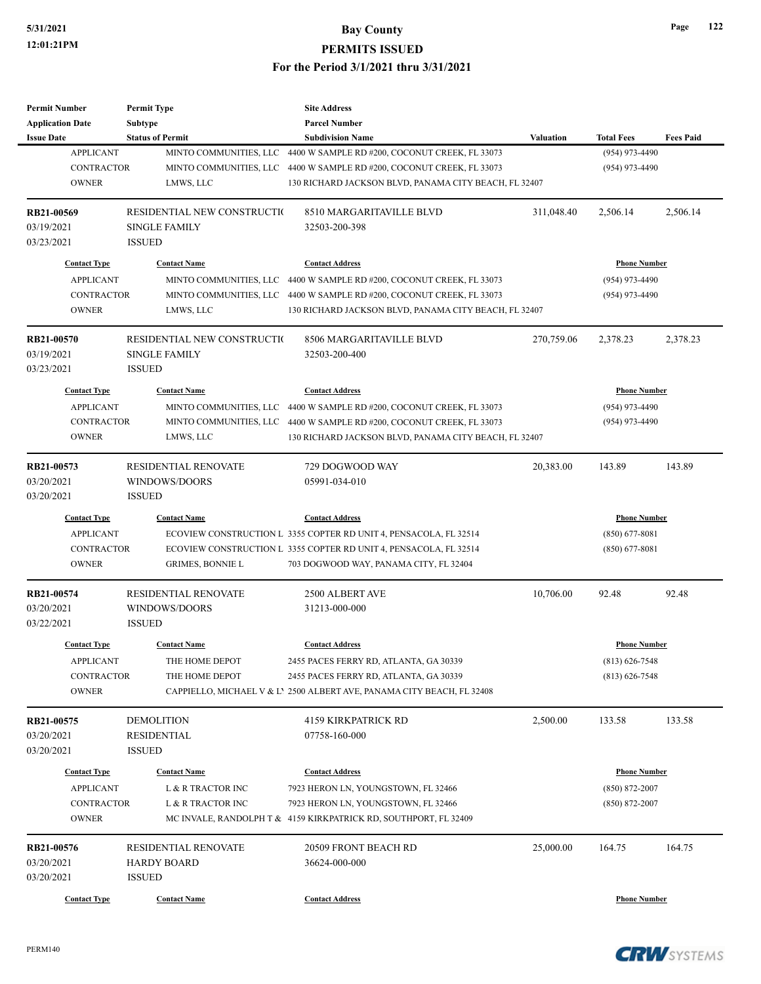| <b>Permit Number</b>       | <b>Permit Type</b>          | <b>Site Address</b>                                                                                     |                  |                     |                  |
|----------------------------|-----------------------------|---------------------------------------------------------------------------------------------------------|------------------|---------------------|------------------|
| <b>Application Date</b>    | Subtype                     | <b>Parcel Number</b>                                                                                    |                  |                     |                  |
| <b>Issue Date</b>          | <b>Status of Permit</b>     | <b>Subdivision Name</b>                                                                                 | <b>Valuation</b> | <b>Total Fees</b>   | <b>Fees Paid</b> |
| <b>APPLICANT</b>           | MINTO COMMUNITIES, LLC      | 4400 W SAMPLE RD #200, COCONUT CREEK, FL 33073                                                          |                  | $(954)$ 973-4490    |                  |
| <b>CONTRACTOR</b>          |                             | MINTO COMMUNITIES, LLC 4400 W SAMPLE RD #200, COCONUT CREEK, FL 33073                                   |                  | $(954)$ 973-4490    |                  |
| <b>OWNER</b>               | LMWS, LLC                   | 130 RICHARD JACKSON BLVD, PANAMA CITY BEACH, FL 32407                                                   |                  |                     |                  |
| RB21-00569                 | RESIDENTIAL NEW CONSTRUCTIO | 8510 MARGARITAVILLE BLVD                                                                                | 311,048.40       | 2,506.14            | 2,506.14         |
| 03/19/2021                 | <b>SINGLE FAMILY</b>        | 32503-200-398                                                                                           |                  |                     |                  |
| 03/23/2021                 | <b>ISSUED</b>               |                                                                                                         |                  |                     |                  |
| <b>Contact Type</b>        | <b>Contact Name</b>         | <b>Contact Address</b>                                                                                  |                  | <b>Phone Number</b> |                  |
| <b>APPLICANT</b>           |                             | MINTO COMMUNITIES, LLC 4400 W SAMPLE RD #200, COCONUT CREEK, FL 33073                                   |                  | $(954)$ 973-4490    |                  |
| CONTRACTOR                 |                             | MINTO COMMUNITIES, LLC 4400 W SAMPLE RD #200, COCONUT CREEK, FL 33073                                   |                  | $(954)$ 973-4490    |                  |
| <b>OWNER</b>               | LMWS, LLC                   | 130 RICHARD JACKSON BLVD, PANAMA CITY BEACH, FL 32407                                                   |                  |                     |                  |
| <b>RB21-00570</b>          | RESIDENTIAL NEW CONSTRUCTIO | 8506 MARGARITAVILLE BLVD                                                                                | 270,759.06       | 2,378.23            | 2,378.23         |
| 03/19/2021                 | <b>SINGLE FAMILY</b>        | 32503-200-400                                                                                           |                  |                     |                  |
| 03/23/2021                 | <b>ISSUED</b>               |                                                                                                         |                  |                     |                  |
| <b>Contact Type</b>        | <b>Contact Name</b>         | <b>Contact Address</b>                                                                                  |                  | <b>Phone Number</b> |                  |
| <b>APPLICANT</b>           |                             | MINTO COMMUNITIES, LLC 4400 W SAMPLE RD #200, COCONUT CREEK, FL 33073                                   |                  | $(954)$ 973-4490    |                  |
| <b>CONTRACTOR</b>          |                             | MINTO COMMUNITIES, LLC 4400 W SAMPLE RD #200, COCONUT CREEK, FL 33073                                   |                  | $(954)$ 973-4490    |                  |
| <b>OWNER</b>               | LMWS, LLC                   | 130 RICHARD JACKSON BLVD, PANAMA CITY BEACH, FL 32407                                                   |                  |                     |                  |
|                            |                             |                                                                                                         |                  |                     |                  |
| RB21-00573                 | RESIDENTIAL RENOVATE        | 729 DOGWOOD WAY                                                                                         | 20,383.00        | 143.89              | 143.89           |
| 03/20/2021                 | WINDOWS/DOORS               | 05991-034-010                                                                                           |                  |                     |                  |
| 03/20/2021                 | <b>ISSUED</b>               |                                                                                                         |                  |                     |                  |
| <b>Contact Type</b>        | <b>Contact Name</b>         | <b>Contact Address</b>                                                                                  |                  | <b>Phone Number</b> |                  |
| <b>APPLICANT</b>           |                             | ECOVIEW CONSTRUCTION L 3355 COPTER RD UNIT 4, PENSACOLA, FL 32514                                       |                  | $(850)$ 677-8081    |                  |
| <b>CONTRACTOR</b>          |                             | ECOVIEW CONSTRUCTION L 3355 COPTER RD UNIT 4, PENSACOLA, FL 32514                                       |                  | $(850)$ 677-8081    |                  |
| <b>OWNER</b>               | <b>GRIMES, BONNIE L</b>     | 703 DOGWOOD WAY, PANAMA CITY, FL 32404                                                                  |                  |                     |                  |
| RB21-00574                 | <b>RESIDENTIAL RENOVATE</b> | 2500 ALBERT AVE                                                                                         | 10,706.00        | 92.48               | 92.48            |
| 03/20/2021                 | WINDOWS/DOORS               | 31213-000-000                                                                                           |                  |                     |                  |
| 03/22/2021                 | <b>ISSUED</b>               |                                                                                                         |                  |                     |                  |
| <b>Contact Type</b>        | <b>Contact Name</b>         | <b>Contact Address</b>                                                                                  |                  | <b>Phone Number</b> |                  |
| <b>APPLICANT</b>           | THE HOME DEPOT              | 2455 PACES FERRY RD, ATLANTA, GA 30339                                                                  |                  | $(813) 626 - 7548$  |                  |
| <b>CONTRACTOR</b>          | THE HOME DEPOT              | 2455 PACES FERRY RD, ATLANTA, GA 30339                                                                  |                  | $(813) 626 - 7548$  |                  |
| <b>OWNER</b>               |                             | CAPPIELLO, MICHAEL V & L' 2500 ALBERT AVE, PANAMA CITY BEACH, FL 32408                                  |                  |                     |                  |
| <b>RB21-00575</b>          | <b>DEMOLITION</b>           | <b>4159 KIRKPATRICK RD</b>                                                                              | 2,500.00         | 133.58              | 133.58           |
| 03/20/2021                 | RESIDENTIAL                 | 07758-160-000                                                                                           |                  |                     |                  |
| 03/20/2021                 | <b>ISSUED</b>               |                                                                                                         |                  |                     |                  |
| <b>Contact Type</b>        | <b>Contact Name</b>         | <b>Contact Address</b>                                                                                  |                  | <b>Phone Number</b> |                  |
|                            |                             |                                                                                                         |                  |                     |                  |
| <b>APPLICANT</b>           | ${\rm L}$ & R TRACTOR INC   | 7923 HERON LN, YOUNGSTOWN, FL 32466                                                                     |                  | $(850) 872 - 2007$  |                  |
| CONTRACTOR<br><b>OWNER</b> | L & R TRACTOR INC           | 7923 HERON LN, YOUNGSTOWN, FL 32466<br>MC INVALE, RANDOLPH T & 4159 KIRKPATRICK RD, SOUTHPORT, FL 32409 |                  | $(850) 872 - 2007$  |                  |
|                            |                             |                                                                                                         |                  |                     |                  |
| RB21-00576                 | RESIDENTIAL RENOVATE        | 20509 FRONT BEACH RD                                                                                    | 25,000.00        | 164.75              | 164.75           |
| 03/20/2021                 | <b>HARDY BOARD</b>          | 36624-000-000                                                                                           |                  |                     |                  |
| 03/20/2021                 | <b>ISSUED</b>               |                                                                                                         |                  |                     |                  |
| <b>Contact Type</b>        | <b>Contact Name</b>         | <b>Contact Address</b>                                                                                  |                  | <b>Phone Number</b> |                  |

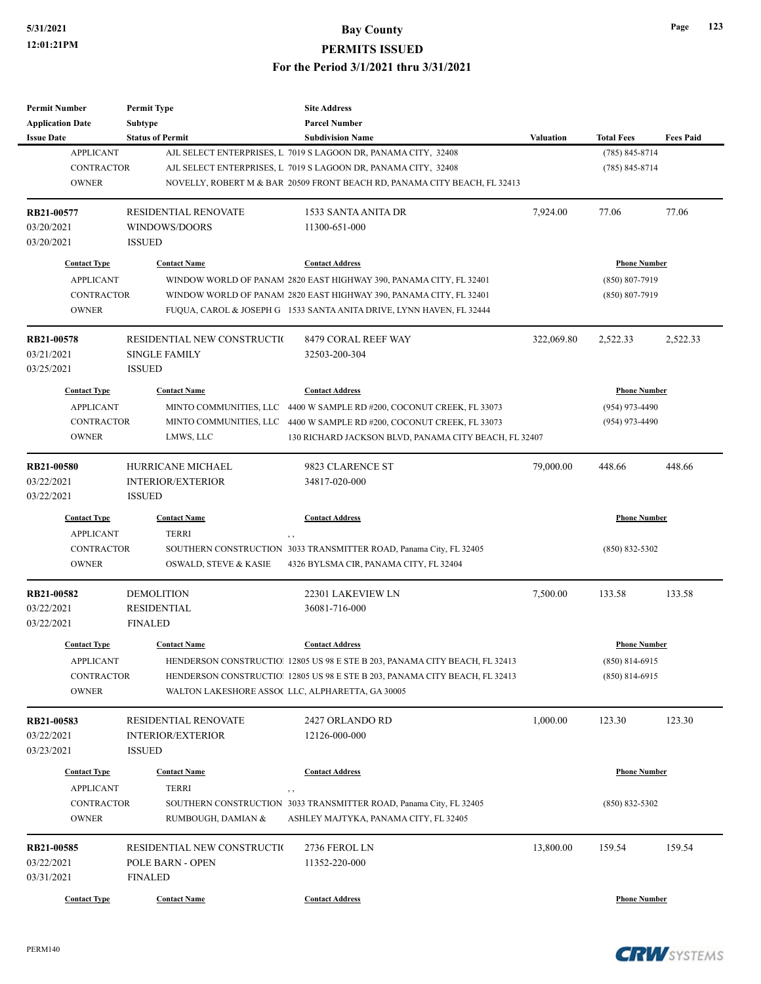# **5/31/2021 Bay County PERMITS ISSUED**

**For the Period 3/1/2021 thru 3/31/2021**

| Permit Number           | <b>Permit Type</b>          | <b>Site Address</b>                                                        |            |                     |                  |
|-------------------------|-----------------------------|----------------------------------------------------------------------------|------------|---------------------|------------------|
| <b>Application Date</b> | <b>Subtype</b>              | <b>Parcel Number</b>                                                       |            |                     |                  |
| <b>Issue Date</b>       | <b>Status of Permit</b>     | <b>Subdivision Name</b>                                                    | Valuation  | <b>Total Fees</b>   | <b>Fees Paid</b> |
| <b>APPLICANT</b>        |                             | AJL SELECT ENTERPRISES, L 7019 S LAGOON DR, PANAMA CITY, 32408             |            | $(785) 845 - 8714$  |                  |
| <b>CONTRACTOR</b>       |                             | AJL SELECT ENTERPRISES, L 7019 S LAGOON DR, PANAMA CITY, 32408             |            | $(785) 845 - 8714$  |                  |
| <b>OWNER</b>            |                             | NOVELLY, ROBERT M & BAR 20509 FRONT BEACH RD, PANAMA CITY BEACH, FL 32413  |            |                     |                  |
| RB21-00577              | <b>RESIDENTIAL RENOVATE</b> | 1533 SANTA ANITA DR                                                        | 7,924.00   | 77.06               | 77.06            |
| 03/20/2021              | WINDOWS/DOORS               | 11300-651-000                                                              |            |                     |                  |
| 03/20/2021              | <b>ISSUED</b>               |                                                                            |            |                     |                  |
| <b>Contact Type</b>     | <b>Contact Name</b>         | <b>Contact Address</b>                                                     |            | <b>Phone Number</b> |                  |
| <b>APPLICANT</b>        |                             | WINDOW WORLD OF PANAM 2820 EAST HIGHWAY 390, PANAMA CITY, FL 32401         |            | $(850) 807 - 7919$  |                  |
| <b>CONTRACTOR</b>       |                             | WINDOW WORLD OF PANAM 2820 EAST HIGHWAY 390, PANAMA CITY, FL 32401         |            | $(850) 807 - 7919$  |                  |
| <b>OWNER</b>            |                             | FUQUA, CAROL & JOSEPH G 1533 SANTA ANITA DRIVE, LYNN HAVEN, FL 32444       |            |                     |                  |
| RB21-00578              | RESIDENTIAL NEW CONSTRUCTIO | 8479 CORAL REEF WAY                                                        | 322,069.80 | 2,522.33            | 2,522.33         |
| 03/21/2021              | <b>SINGLE FAMILY</b>        | 32503-200-304                                                              |            |                     |                  |
| 03/25/2021              | <b>ISSUED</b>               |                                                                            |            |                     |                  |
| <b>Contact Type</b>     | <b>Contact Name</b>         | <b>Contact Address</b>                                                     |            | <b>Phone Number</b> |                  |
| <b>APPLICANT</b>        | MINTO COMMUNITIES, LLC      | 4400 W SAMPLE RD #200, COCONUT CREEK, FL 33073                             |            | (954) 973-4490      |                  |
| <b>CONTRACTOR</b>       | MINTO COMMUNITIES, LLC      | 4400 W SAMPLE RD #200, COCONUT CREEK, FL 33073                             |            | (954) 973-4490      |                  |
| <b>OWNER</b>            |                             | 130 RICHARD JACKSON BLVD, PANAMA CITY BEACH, FL 32407                      |            |                     |                  |
|                         | LMWS, LLC                   |                                                                            |            |                     |                  |
| <b>RB21-00580</b>       | <b>HURRICANE MICHAEL</b>    | 9823 CLARENCE ST                                                           | 79,000.00  | 448.66              | 448.66           |
| 03/22/2021              | <b>INTERIOR/EXTERIOR</b>    | 34817-020-000                                                              |            |                     |                  |
| 03/22/2021              | <b>ISSUED</b>               |                                                                            |            |                     |                  |
| <b>Contact Type</b>     | <b>Contact Name</b>         | <b>Contact Address</b>                                                     |            | <b>Phone Number</b> |                  |
| <b>APPLICANT</b>        | <b>TERRI</b>                | $, \, ,$                                                                   |            |                     |                  |
| <b>CONTRACTOR</b>       |                             | SOUTHERN CONSTRUCTION 3033 TRANSMITTER ROAD, Panama City, FL 32405         |            | $(850) 832 - 5302$  |                  |
| <b>OWNER</b>            | OSWALD, STEVE & KASIE       | 4326 BYLSMA CIR, PANAMA CITY, FL 32404                                     |            |                     |                  |
| RB21-00582              | <b>DEMOLITION</b>           | 22301 LAKEVIEW LN                                                          | 7,500.00   | 133.58              | 133.58           |
| 03/22/2021              | <b>RESIDENTIAL</b>          | 36081-716-000                                                              |            |                     |                  |
| 03/22/2021              | <b>FINALED</b>              |                                                                            |            |                     |                  |
| <b>Contact Type</b>     | <b>Contact Name</b>         | <b>Contact Address</b>                                                     |            | <b>Phone Number</b> |                  |
| APPLICANT               |                             | HENDERSON CONSTRUCTIO 12805 US 98 E STE B 203, PANAMA CITY BEACH, FL 32413 |            | $(850) 814 - 6915$  |                  |
| CONTRACTOR              |                             | HENDERSON CONSTRUCTIO 12805 US 98 E STE B 203, PANAMA CITY BEACH, FL 32413 |            | $(850)$ 814-6915    |                  |
| <b>OWNER</b>            |                             | WALTON LAKESHORE ASSOC LLC, ALPHARETTA, GA 30005                           |            |                     |                  |
| RB21-00583              | RESIDENTIAL RENOVATE        | 2427 ORLANDO RD                                                            | 1,000.00   | 123.30              | 123.30           |
| 03/22/2021              | <b>INTERIOR/EXTERIOR</b>    | 12126-000-000                                                              |            |                     |                  |
|                         | <b>ISSUED</b>               |                                                                            |            |                     |                  |
| 03/23/2021              |                             |                                                                            |            |                     |                  |
| <b>Contact Type</b>     | <b>Contact Name</b>         | <b>Contact Address</b>                                                     |            | <b>Phone Number</b> |                  |
| <b>APPLICANT</b>        | TERRI                       | , ,                                                                        |            |                     |                  |
| <b>CONTRACTOR</b>       |                             | SOUTHERN CONSTRUCTION 3033 TRANSMITTER ROAD, Panama City, FL 32405         |            | $(850) 832 - 5302$  |                  |
| <b>OWNER</b>            | RUMBOUGH, DAMIAN &          | ASHLEY MAJTYKA, PANAMA CITY, FL 32405                                      |            |                     |                  |
| RB21-00585              | RESIDENTIAL NEW CONSTRUCTIO | 2736 FEROL LN                                                              | 13,800.00  | 159.54              | 159.54           |
| 03/22/2021              | POLE BARN - OPEN            | 11352-220-000                                                              |            |                     |                  |
| 03/31/2021              | <b>FINALED</b>              |                                                                            |            |                     |                  |
| <b>Contact Type</b>     | <b>Contact Name</b>         | <b>Contact Address</b>                                                     |            | <b>Phone Number</b> |                  |
|                         |                             |                                                                            |            |                     |                  |

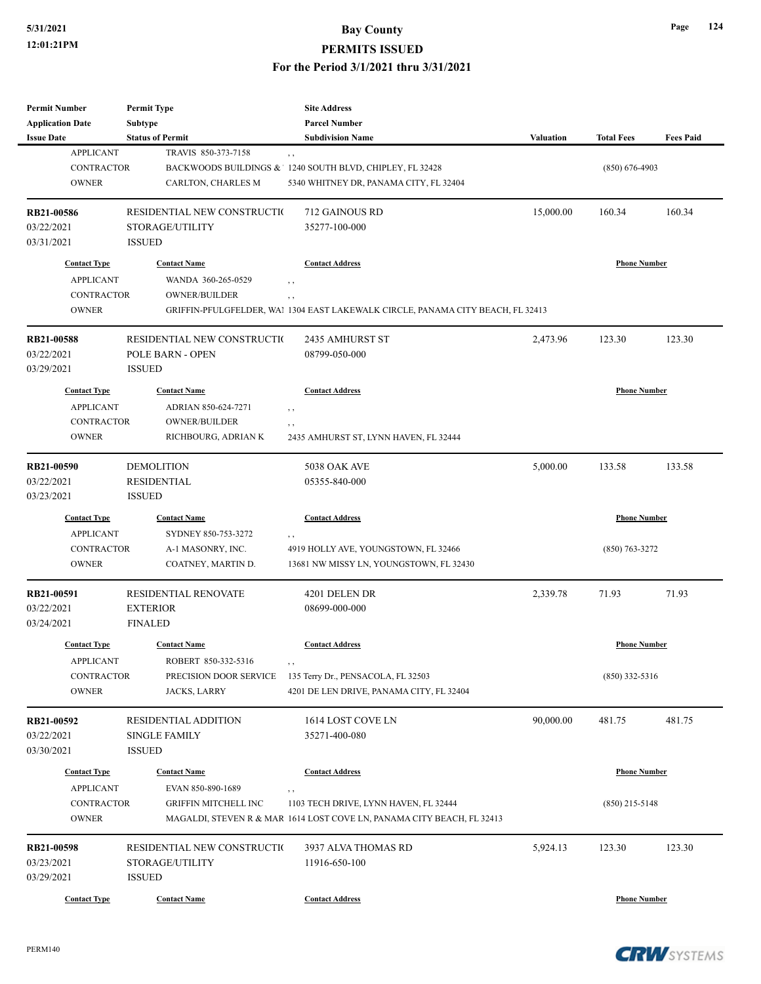# **5/31/2021 Bay County**

**PERMITS ISSUED**

**For the Period 3/1/2021 thru 3/31/2021**

| Permit Number            | <b>Permit Type</b>          | <b>Site Address</b>                                                             |                     |                     |                  |
|--------------------------|-----------------------------|---------------------------------------------------------------------------------|---------------------|---------------------|------------------|
| <b>Application Date</b>  | <b>Subtype</b>              | <b>Parcel Number</b>                                                            |                     |                     |                  |
| <b>Issue Date</b>        | <b>Status of Permit</b>     | <b>Subdivision Name</b>                                                         | Valuation           | <b>Total Fees</b>   | <b>Fees Paid</b> |
| <b>APPLICANT</b>         | TRAVIS 850-373-7158         | $, \, , \,$                                                                     |                     |                     |                  |
| <b>CONTRACTOR</b>        |                             | BACKWOODS BUILDINGS & 1240 SOUTH BLVD, CHIPLEY, FL 32428                        |                     | $(850)$ 676-4903    |                  |
| <b>OWNER</b>             | CARLTON, CHARLES M          | 5340 WHITNEY DR, PANAMA CITY, FL 32404                                          |                     |                     |                  |
| RB21-00586               | RESIDENTIAL NEW CONSTRUCTIO | 712 GAINOUS RD                                                                  | 15,000.00           | 160.34              | 160.34           |
|                          |                             |                                                                                 |                     |                     |                  |
| 03/22/2021               | STORAGE/UTILITY             | 35277-100-000                                                                   |                     |                     |                  |
| 03/31/2021               | <b>ISSUED</b>               |                                                                                 |                     |                     |                  |
| <b>Contact Type</b>      | <b>Contact Name</b>         | <b>Contact Address</b>                                                          |                     | <b>Phone Number</b> |                  |
| <b>APPLICANT</b>         | WANDA 360-265-0529          | , ,                                                                             |                     |                     |                  |
| <b>CONTRACTOR</b>        | OWNER/BUILDER               | $, \, , \,$                                                                     |                     |                     |                  |
| <b>OWNER</b>             |                             | GRIFFIN-PFULGFELDER, WAI 1304 EAST LAKEWALK CIRCLE, PANAMA CITY BEACH, FL 32413 |                     |                     |                  |
| RB21-00588               | RESIDENTIAL NEW CONSTRUCTIO | 2435 AMHURST ST                                                                 | 2,473.96            | 123.30              | 123.30           |
|                          |                             |                                                                                 |                     |                     |                  |
| 03/22/2021               | POLE BARN - OPEN            | 08799-050-000                                                                   |                     |                     |                  |
| 03/29/2021               | <b>ISSUED</b>               |                                                                                 |                     |                     |                  |
| <b>Contact Type</b>      | <b>Contact Name</b>         | <b>Contact Address</b>                                                          |                     | <b>Phone Number</b> |                  |
| <b>APPLICANT</b>         | ADRIAN 850-624-7271         | , ,                                                                             |                     |                     |                  |
| <b>CONTRACTOR</b>        | <b>OWNER/BUILDER</b>        | , ,                                                                             |                     |                     |                  |
| <b>OWNER</b>             | RICHBOURG, ADRIAN K         | 2435 AMHURST ST, LYNN HAVEN, FL 32444                                           |                     |                     |                  |
|                          |                             |                                                                                 |                     |                     |                  |
| RB21-00590               | <b>DEMOLITION</b>           | <b>5038 OAK AVE</b>                                                             | 5,000.00            | 133.58              | 133.58           |
| 03/22/2021               | <b>RESIDENTIAL</b>          | 05355-840-000                                                                   |                     |                     |                  |
| 03/23/2021               | <b>ISSUED</b>               |                                                                                 |                     |                     |                  |
| <b>Contact Type</b>      | <b>Contact Name</b>         | <b>Contact Address</b>                                                          | <b>Phone Number</b> |                     |                  |
| <b>APPLICANT</b>         | SYDNEY 850-753-3272         | , ,                                                                             |                     |                     |                  |
| <b>CONTRACTOR</b>        | A-1 MASONRY, INC.           | 4919 HOLLY AVE, YOUNGSTOWN, FL 32466                                            |                     | $(850)$ 763-3272    |                  |
| <b>OWNER</b>             | COATNEY, MARTIN D.          | 13681 NW MISSY LN, YOUNGSTOWN, FL 32430                                         |                     |                     |                  |
| RB21-00591               | <b>RESIDENTIAL RENOVATE</b> | 4201 DELEN DR                                                                   | 2,339.78            | 71.93               | 71.93            |
| 03/22/2021               | <b>EXTERIOR</b>             | 08699-000-000                                                                   |                     |                     |                  |
|                          |                             |                                                                                 |                     |                     |                  |
| 03/24/2021               | <b>FINALED</b>              |                                                                                 |                     |                     |                  |
| <b>Contact Type</b>      | <b>Contact Name</b>         | <b>Contact Address</b>                                                          |                     | <b>Phone Number</b> |                  |
| <b>APPLICANT</b>         | ROBERT 850-332-5316         |                                                                                 |                     |                     |                  |
| CONTRACTOR               | PRECISION DOOR SERVICE      | 135 Terry Dr., PENSACOLA, FL 32503                                              |                     | $(850)$ 332-5316    |                  |
| <b>OWNER</b>             | JACKS, LARRY                | 4201 DE LEN DRIVE, PANAMA CITY, FL 32404                                        |                     |                     |                  |
|                          | <b>RESIDENTIAL ADDITION</b> | 1614 LOST COVE LN                                                               | 90,000.00           |                     | 481.75           |
| RB21-00592<br>03/22/2021 | <b>SINGLE FAMILY</b>        | 35271-400-080                                                                   |                     | 481.75              |                  |
|                          |                             |                                                                                 |                     |                     |                  |
| 03/30/2021               | <b>ISSUED</b>               |                                                                                 |                     |                     |                  |
| <b>Contact Type</b>      | <b>Contact Name</b>         | <b>Contact Address</b>                                                          |                     | <b>Phone Number</b> |                  |
| <b>APPLICANT</b>         | EVAN 850-890-1689           | , ,                                                                             |                     |                     |                  |
| CONTRACTOR               | <b>GRIFFIN MITCHELL INC</b> | 1103 TECH DRIVE, LYNN HAVEN, FL 32444                                           |                     | $(850)$ 215-5148    |                  |
| <b>OWNER</b>             |                             | MAGALDI, STEVEN R & MAR 1614 LOST COVE LN, PANAMA CITY BEACH, FL 32413          |                     |                     |                  |
|                          | RESIDENTIAL NEW CONSTRUCTIO | 3937 ALVA THOMAS RD                                                             | 5,924.13            |                     |                  |
| RB21-00598               |                             |                                                                                 |                     | 123.30              | 123.30           |
| 03/23/2021               | STORAGE/UTILITY             | 11916-650-100                                                                   |                     |                     |                  |
| 03/29/2021               | <b>ISSUED</b>               |                                                                                 |                     |                     |                  |
| <b>Contact Type</b>      | <b>Contact Name</b>         | <b>Contact Address</b>                                                          |                     | <b>Phone Number</b> |                  |

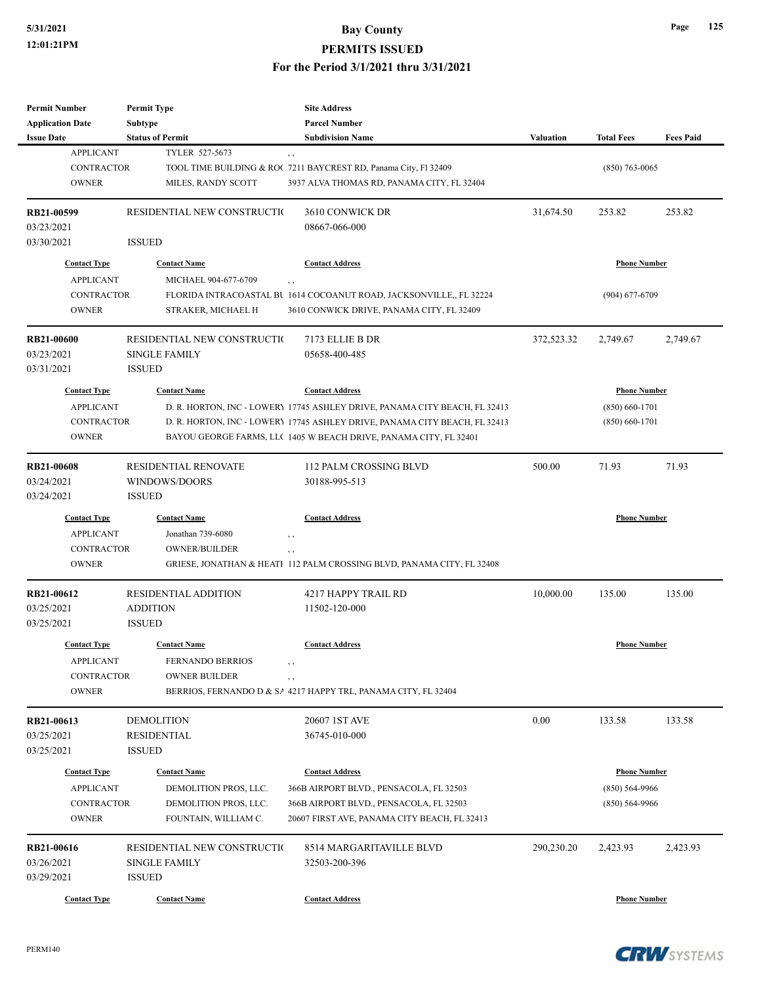| <b>Permit Number</b>    | <b>Permit Type</b>                            | <b>Site Address</b>                                                                     |                  |                     |                  |
|-------------------------|-----------------------------------------------|-----------------------------------------------------------------------------------------|------------------|---------------------|------------------|
| <b>Application Date</b> | <b>Subtype</b>                                | <b>Parcel Number</b>                                                                    |                  |                     |                  |
| <b>Issue Date</b>       | <b>Status of Permit</b>                       | <b>Subdivision Name</b>                                                                 | <b>Valuation</b> | <b>Total Fees</b>   | <b>Fees Paid</b> |
| <b>APPLICANT</b>        | TYLER 527-5673                                | , ,                                                                                     |                  |                     |                  |
| <b>CONTRACTOR</b>       |                                               | TOOL TIME BUILDING & ROC 7211 BAYCREST RD, Panama City, Fl 32409                        |                  | $(850)$ 763-0065    |                  |
| <b>OWNER</b>            | MILES, RANDY SCOTT                            | 3937 ALVA THOMAS RD, PANAMA CITY, FL 32404                                              |                  |                     |                  |
| RB21-00599              | RESIDENTIAL NEW CONSTRUCTIO                   | 3610 CONWICK DR                                                                         | 31,674.50        | 253.82              | 253.82           |
| 03/23/2021              |                                               | 08667-066-000                                                                           |                  |                     |                  |
| 03/30/2021              | <b>ISSUED</b>                                 |                                                                                         |                  |                     |                  |
| <b>Contact Type</b>     | <b>Contact Name</b>                           | <b>Contact Address</b>                                                                  |                  | <b>Phone Number</b> |                  |
| <b>APPLICANT</b>        | MICHAEL 904-677-6709                          | , ,                                                                                     |                  |                     |                  |
| <b>CONTRACTOR</b>       |                                               | FLORIDA INTRACOASTAL BU 1614 COCOANUT ROAD, JACKSONVILLE., FL 32224                     |                  | $(904)$ 677-6709    |                  |
| <b>OWNER</b>            | STRAKER, MICHAEL H                            | 3610 CONWICK DRIVE, PANAMA CITY, FL 32409                                               |                  |                     |                  |
| <b>RB21-00600</b>       | RESIDENTIAL NEW CONSTRUCTIO                   | 7173 ELLIE B DR                                                                         | 372,523.32       | 2,749.67            | 2,749.67         |
| 03/23/2021              | <b>SINGLE FAMILY</b>                          | 05658-400-485                                                                           |                  |                     |                  |
| 03/31/2021              | <b>ISSUED</b>                                 |                                                                                         |                  |                     |                  |
| <b>Contact Type</b>     | <b>Contact Name</b>                           | <b>Contact Address</b>                                                                  |                  | <b>Phone Number</b> |                  |
| <b>APPLICANT</b>        |                                               | D. R. HORTON, INC - LOWERY 17745 ASHLEY DRIVE, PANAMA CITY BEACH, FL 32413              |                  | $(850) 660 - 1701$  |                  |
| <b>CONTRACTOR</b>       |                                               | D. R. HORTON, INC - LOWERY 17745 ASHLEY DRIVE, PANAMA CITY BEACH, FL 32413              |                  | $(850) 660 - 1701$  |                  |
| <b>OWNER</b>            |                                               | BAYOU GEORGE FARMS, LLC 1405 W BEACH DRIVE, PANAMA CITY, FL 32401                       |                  |                     |                  |
|                         |                                               |                                                                                         |                  |                     |                  |
| <b>RB21-00608</b>       | <b>RESIDENTIAL RENOVATE</b>                   | 112 PALM CROSSING BLVD                                                                  | 500.00           | 71.93               | 71.93            |
| 03/24/2021              | WINDOWS/DOORS                                 | 30188-995-513                                                                           |                  |                     |                  |
| 03/24/2021              | <b>ISSUED</b>                                 |                                                                                         |                  |                     |                  |
| <b>Contact Type</b>     | <b>Contact Name</b>                           | <b>Contact Address</b>                                                                  |                  | <b>Phone Number</b> |                  |
| <b>APPLICANT</b>        | Jonathan 739-6080                             | $, \, , \,$                                                                             |                  |                     |                  |
| <b>CONTRACTOR</b>       | <b>OWNER/BUILDER</b>                          | $, \, ,$                                                                                |                  |                     |                  |
| <b>OWNER</b>            |                                               | GRIESE, JONATHAN & HEATI 112 PALM CROSSING BLVD, PANAMA CITY, FL 32408                  |                  |                     |                  |
| RB21-00612              | <b>RESIDENTIAL ADDITION</b>                   | 4217 HAPPY TRAIL RD                                                                     | 10,000.00        | 135.00              | 135.00           |
| 03/25/2021              | <b>ADDITION</b>                               | 11502-120-000                                                                           |                  |                     |                  |
| 03/25/2021              | <b>ISSUED</b>                                 |                                                                                         |                  |                     |                  |
| <b>Contact Type</b>     | <b>Contact Name</b>                           | <b>Contact Address</b>                                                                  |                  | <b>Phone Number</b> |                  |
| <b>APPLICANT</b>        | <b>FERNANDO BERRIOS</b>                       |                                                                                         |                  |                     |                  |
| <b>CONTRACTOR</b>       | <b>OWNER BUILDER</b>                          | , ,                                                                                     |                  |                     |                  |
| <b>OWNER</b>            |                                               | $, \, ,$<br>BERRIOS, FERNANDO D & SA 4217 HAPPY TRL, PANAMA CITY, FL 32404              |                  |                     |                  |
| RB21-00613              | <b>DEMOLITION</b>                             | 20607 IST AVE                                                                           | 0.00             | 133.58              | 133.58           |
| 03/25/2021              | <b>RESIDENTIAL</b>                            | 36745-010-000                                                                           |                  |                     |                  |
| 03/25/2021              | <b>ISSUED</b>                                 |                                                                                         |                  |                     |                  |
| <b>Contact Type</b>     | <b>Contact Name</b>                           | <b>Contact Address</b>                                                                  |                  | <b>Phone Number</b> |                  |
| <b>APPLICANT</b>        | DEMOLITION PROS, LLC.                         |                                                                                         |                  | $(850) 564-9966$    |                  |
| <b>CONTRACTOR</b>       |                                               | 366B AIRPORT BLVD., PENSACOLA, FL 32503                                                 |                  |                     |                  |
| <b>OWNER</b>            | DEMOLITION PROS, LLC.<br>FOUNTAIN, WILLIAM C. | 366B AIRPORT BLVD., PENSACOLA, FL 32503<br>20607 FIRST AVE, PANAMA CITY BEACH, FL 32413 |                  | $(850) 564-9966$    |                  |
|                         |                                               |                                                                                         |                  |                     |                  |
| RB21-00616              | RESIDENTIAL NEW CONSTRUCTIO                   | 8514 MARGARITAVILLE BLVD                                                                | 290,230.20       | 2,423.93            | 2,423.93         |
| 03/26/2021              | <b>SINGLE FAMILY</b><br><b>ISSUED</b>         | 32503-200-396                                                                           |                  |                     |                  |
| 03/29/2021              |                                               |                                                                                         |                  |                     |                  |
| <b>Contact Type</b>     | <b>Contact Name</b>                           | <b>Contact Address</b>                                                                  |                  | <b>Phone Number</b> |                  |

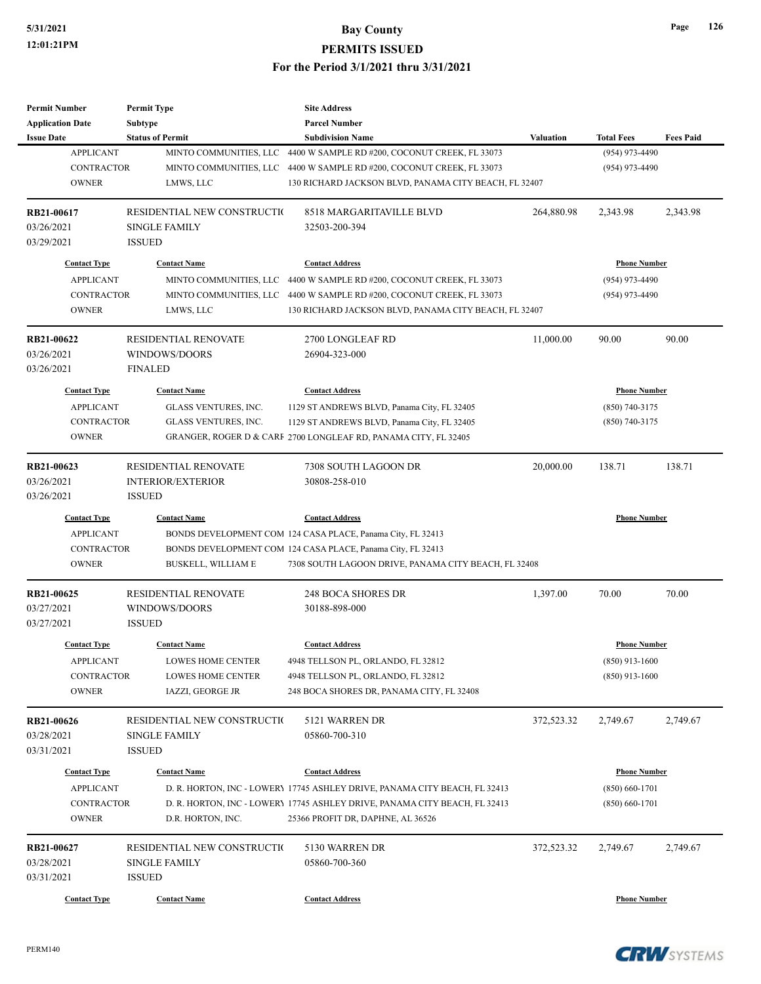| <b>Permit Number</b>                    | <b>Permit Type</b>           | <b>Site Address</b>                                                                                  |                     |                                           |                  |
|-----------------------------------------|------------------------------|------------------------------------------------------------------------------------------------------|---------------------|-------------------------------------------|------------------|
| <b>Application Date</b>                 | Subtype                      | <b>Parcel Number</b>                                                                                 |                     |                                           |                  |
| <b>Issue Date</b>                       | <b>Status of Permit</b>      | <b>Subdivision Name</b>                                                                              | <b>Valuation</b>    | <b>Total Fees</b>                         | <b>Fees Paid</b> |
| <b>APPLICANT</b>                        |                              | MINTO COMMUNITIES, LLC 4400 W SAMPLE RD #200, COCONUT CREEK, FL 33073                                |                     | (954) 973-4490                            |                  |
| <b>CONTRACTOR</b>                       |                              | MINTO COMMUNITIES, LLC 4400 W SAMPLE RD #200, COCONUT CREEK, FL 33073                                |                     | (954) 973-4490                            |                  |
| <b>OWNER</b>                            | LMWS, LLC                    | 130 RICHARD JACKSON BLVD, PANAMA CITY BEACH, FL 32407                                                |                     |                                           |                  |
| RB21-00617                              | RESIDENTIAL NEW CONSTRUCTIO  | 8518 MARGARITAVILLE BLVD                                                                             | 264,880.98          | 2,343.98                                  | 2,343.98         |
| 03/26/2021                              | <b>SINGLE FAMILY</b>         | 32503-200-394                                                                                        |                     |                                           |                  |
| 03/29/2021                              | <b>ISSUED</b>                |                                                                                                      |                     |                                           |                  |
| <b>Contact Type</b>                     | <b>Contact Name</b>          | <b>Contact Address</b>                                                                               |                     | <b>Phone Number</b>                       |                  |
| <b>APPLICANT</b>                        |                              | MINTO COMMUNITIES, LLC 4400 W SAMPLE RD #200, COCONUT CREEK, FL 33073                                |                     | $(954)$ 973-4490                          |                  |
| <b>CONTRACTOR</b>                       |                              | MINTO COMMUNITIES, LLC 4400 W SAMPLE RD #200, COCONUT CREEK, FL 33073                                |                     | (954) 973-4490                            |                  |
| <b>OWNER</b>                            | LMWS, LLC                    | 130 RICHARD JACKSON BLVD, PANAMA CITY BEACH, FL 32407                                                |                     |                                           |                  |
| RB21-00622                              | <b>RESIDENTIAL RENOVATE</b>  | 2700 LONGLEAF RD                                                                                     | 11,000.00           | 90.00                                     | 90.00            |
| 03/26/2021                              | WINDOWS/DOORS                | 26904-323-000                                                                                        |                     |                                           |                  |
| 03/26/2021                              | <b>FINALED</b>               |                                                                                                      |                     |                                           |                  |
| <b>Contact Type</b>                     | <b>Contact Name</b>          | <b>Contact Address</b>                                                                               |                     | <b>Phone Number</b>                       |                  |
| <b>APPLICANT</b>                        | GLASS VENTURES, INC.         | 1129 ST ANDREWS BLVD, Panama City, FL 32405                                                          |                     | $(850)$ 740-3175                          |                  |
| <b>CONTRACTOR</b>                       | GLASS VENTURES, INC.         | 1129 ST ANDREWS BLVD, Panama City, FL 32405                                                          |                     | $(850)$ 740-3175                          |                  |
| <b>OWNER</b>                            |                              | GRANGER, ROGER D & CARF 2700 LONGLEAF RD, PANAMA CITY, FL 32405                                      |                     |                                           |                  |
|                                         |                              |                                                                                                      |                     |                                           |                  |
| RB21-00623                              | RESIDENTIAL RENOVATE         | 7308 SOUTH LAGOON DR                                                                                 | 20,000.00           | 138.71                                    | 138.71           |
| 03/26/2021                              | <b>INTERIOR/EXTERIOR</b>     | 30808-258-010                                                                                        |                     |                                           |                  |
| 03/26/2021                              | <b>ISSUED</b>                |                                                                                                      |                     |                                           |                  |
| <b>Contact Type</b>                     | <b>Contact Name</b>          | <b>Contact Address</b>                                                                               | <b>Phone Number</b> |                                           |                  |
| <b>APPLICANT</b>                        |                              | BONDS DEVELOPMENT COM 124 CASA PLACE, Panama City, FL 32413                                          |                     |                                           |                  |
| <b>CONTRACTOR</b>                       |                              | BONDS DEVELOPMENT COM 124 CASA PLACE, Panama City, FL 32413                                          |                     |                                           |                  |
| <b>OWNER</b>                            | BUSKELL, WILLIAM E           | 7308 SOUTH LAGOON DRIVE, PANAMA CITY BEACH, FL 32408                                                 |                     |                                           |                  |
| RB21-00625                              | <b>RESIDENTIAL RENOVATE</b>  | <b>248 BOCA SHORES DR</b>                                                                            | 1,397.00            | 70.00                                     | 70.00            |
| 03/27/2021                              | WINDOWS/DOORS                | 30188-898-000                                                                                        |                     |                                           |                  |
| 03/27/2021                              | <b>ISSUED</b>                |                                                                                                      |                     |                                           |                  |
| <b>Contact Type</b>                     | <b>Contact Name</b>          | <b>Contact Address</b>                                                                               |                     | <b>Phone Number</b>                       |                  |
| APPLICANT                               | LOWES HOME CENTER            | 4948 TELLSON PL, ORLANDO, FL 32812                                                                   |                     | $(850)$ 913-1600                          |                  |
| <b>CONTRACTOR</b>                       | <b>LOWES HOME CENTER</b>     | 4948 TELLSON PL, ORLANDO, FL 32812                                                                   |                     | $(850)$ 913-1600                          |                  |
| <b>OWNER</b>                            | IAZZI, GEORGE JR             | 248 BOCA SHORES DR, PANAMA CITY, FL 32408                                                            |                     |                                           |                  |
| RB21-00626                              | RESIDENTIAL NEW CONSTRUCTION | 5121 WARREN DR                                                                                       | 372,523.32          | 2,749.67                                  | 2,749.67         |
| 03/28/2021                              | <b>SINGLE FAMILY</b>         | 05860-700-310                                                                                        |                     |                                           |                  |
| 03/31/2021                              | <b>ISSUED</b>                |                                                                                                      |                     |                                           |                  |
|                                         |                              |                                                                                                      |                     |                                           |                  |
| <b>Contact Type</b><br><b>APPLICANT</b> | <b>Contact Name</b>          | <b>Contact Address</b><br>D. R. HORTON, INC - LOWERY 17745 ASHLEY DRIVE, PANAMA CITY BEACH, FL 32413 |                     | <b>Phone Number</b><br>$(850) 660 - 1701$ |                  |
| CONTRACTOR                              |                              | D. R. HORTON, INC - LOWERY 17745 ASHLEY DRIVE, PANAMA CITY BEACH, FL 32413                           |                     | $(850) 660 - 1701$                        |                  |
| <b>OWNER</b>                            | D.R. HORTON, INC.            | 25366 PROFIT DR, DAPHNE, AL 36526                                                                    |                     |                                           |                  |
|                                         |                              |                                                                                                      |                     |                                           |                  |
| RB21-00627                              | RESIDENTIAL NEW CONSTRUCTIO  | 5130 WARREN DR                                                                                       | 372,523.32          | 2,749.67                                  | 2,749.67         |
| 03/28/2021                              | <b>SINGLE FAMILY</b>         | 05860-700-360                                                                                        |                     |                                           |                  |
| 03/31/2021                              | <b>ISSUED</b>                |                                                                                                      |                     |                                           |                  |
|                                         | <b>Contact Name</b>          | <b>Contact Address</b>                                                                               |                     | <b>Phone Number</b>                       |                  |
| <b>Contact Type</b>                     |                              |                                                                                                      |                     |                                           |                  |

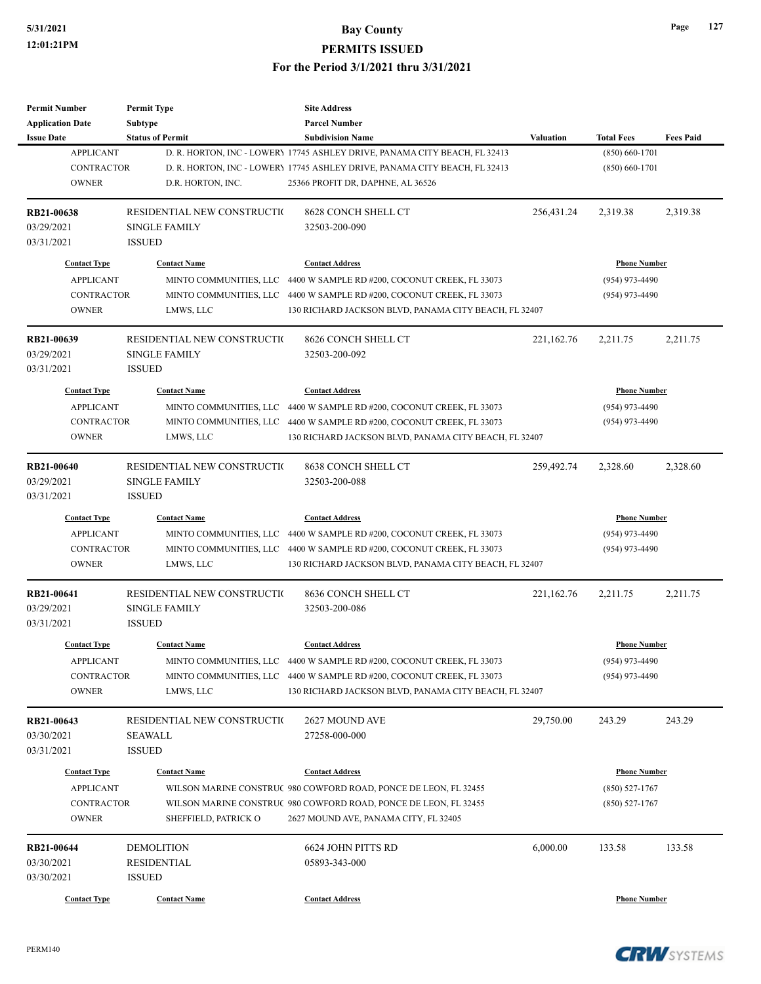| <b>Permit Number</b>    | <b>Permit Type</b>           | <b>Site Address</b>                                                        |                  |                     |                  |
|-------------------------|------------------------------|----------------------------------------------------------------------------|------------------|---------------------|------------------|
| <b>Application Date</b> | Subtype                      | <b>Parcel Number</b>                                                       |                  |                     |                  |
| <b>Issue Date</b>       | <b>Status of Permit</b>      | <b>Subdivision Name</b>                                                    | <b>Valuation</b> | <b>Total Fees</b>   | <b>Fees Paid</b> |
| <b>APPLICANT</b>        |                              | D. R. HORTON, INC - LOWERY 17745 ASHLEY DRIVE, PANAMA CITY BEACH, FL 32413 |                  | $(850) 660 - 1701$  |                  |
| <b>CONTRACTOR</b>       |                              | D. R. HORTON, INC - LOWERY 17745 ASHLEY DRIVE, PANAMA CITY BEACH, FL 32413 |                  | $(850) 660 - 1701$  |                  |
| <b>OWNER</b>            | D.R. HORTON, INC.            | 25366 PROFIT DR, DAPHNE, AL 36526                                          |                  |                     |                  |
| <b>RB21-00638</b>       | RESIDENTIAL NEW CONSTRUCTIO  | 8628 CONCH SHELL CT                                                        | 256,431.24       | 2,319.38            | 2,319.38         |
| 03/29/2021              | <b>SINGLE FAMILY</b>         | 32503-200-090                                                              |                  |                     |                  |
| 03/31/2021              | <b>ISSUED</b>                |                                                                            |                  |                     |                  |
| <b>Contact Type</b>     | <b>Contact Name</b>          | <b>Contact Address</b>                                                     |                  | <b>Phone Number</b> |                  |
| <b>APPLICANT</b>        |                              | MINTO COMMUNITIES, LLC 4400 W SAMPLE RD #200, COCONUT CREEK, FL 33073      |                  | $(954)$ 973-4490    |                  |
| <b>CONTRACTOR</b>       |                              | MINTO COMMUNITIES, LLC 4400 W SAMPLE RD #200, COCONUT CREEK, FL 33073      |                  | $(954)$ 973-4490    |                  |
| <b>OWNER</b>            | LMWS, LLC                    | 130 RICHARD JACKSON BLVD, PANAMA CITY BEACH, FL 32407                      |                  |                     |                  |
| RB21-00639              | RESIDENTIAL NEW CONSTRUCTION | 8626 CONCH SHELL CT                                                        | 221,162.76       | 2,211.75            | 2,211.75         |
| 03/29/2021              | <b>SINGLE FAMILY</b>         | 32503-200-092                                                              |                  |                     |                  |
| 03/31/2021              | <b>ISSUED</b>                |                                                                            |                  |                     |                  |
| <b>Contact Type</b>     | <b>Contact Name</b>          | <b>Contact Address</b>                                                     |                  | <b>Phone Number</b> |                  |
| <b>APPLICANT</b>        |                              | MINTO COMMUNITIES, LLC 4400 W SAMPLE RD #200, COCONUT CREEK, FL 33073      |                  | $(954)$ 973-4490    |                  |
| <b>CONTRACTOR</b>       |                              | MINTO COMMUNITIES, LLC 4400 W SAMPLE RD #200, COCONUT CREEK, FL 33073      |                  | (954) 973-4490      |                  |
| <b>OWNER</b>            | LMWS, LLC                    | 130 RICHARD JACKSON BLVD, PANAMA CITY BEACH, FL 32407                      |                  |                     |                  |
|                         |                              |                                                                            |                  |                     |                  |
| <b>RB21-00640</b>       | RESIDENTIAL NEW CONSTRUCTIO  | 8638 CONCH SHELL CT                                                        | 259,492.74       | 2,328.60            | 2,328.60         |
| 03/29/2021              | <b>SINGLE FAMILY</b>         | 32503-200-088                                                              |                  |                     |                  |
| 03/31/2021              | <b>ISSUED</b>                |                                                                            |                  |                     |                  |
| <b>Contact Type</b>     | <b>Contact Name</b>          | <b>Contact Address</b>                                                     |                  | <b>Phone Number</b> |                  |
| <b>APPLICANT</b>        |                              | MINTO COMMUNITIES, LLC 4400 W SAMPLE RD #200, COCONUT CREEK, FL 33073      |                  | $(954)$ 973-4490    |                  |
| <b>CONTRACTOR</b>       |                              | MINTO COMMUNITIES, LLC 4400 W SAMPLE RD #200, COCONUT CREEK, FL 33073      |                  | $(954)$ 973-4490    |                  |
| <b>OWNER</b>            | LMWS, LLC                    | 130 RICHARD JACKSON BLVD, PANAMA CITY BEACH, FL 32407                      |                  |                     |                  |
| RB21-00641              | RESIDENTIAL NEW CONSTRUCTIO  | 8636 CONCH SHELL CT                                                        | 221,162.76       | 2,211.75            | 2,211.75         |
| 03/29/2021              | <b>SINGLE FAMILY</b>         | 32503-200-086                                                              |                  |                     |                  |
| 03/31/2021              | <b>ISSUED</b>                |                                                                            |                  |                     |                  |
| <b>Contact Type</b>     | <b>Contact Name</b>          | <b>Contact Address</b>                                                     |                  | <b>Phone Number</b> |                  |
| <b>APPLICANT</b>        |                              | MINTO COMMUNITIES, LLC 4400 W SAMPLE RD #200, COCONUT CREEK, FL 33073      |                  | $(954)$ 973-4490    |                  |
| CONTRACTOR              |                              | MINTO COMMUNITIES, LLC 4400 W SAMPLE RD #200, COCONUT CREEK, FL 33073      |                  | $(954)$ 973-4490    |                  |
| <b>OWNER</b>            | LMWS, LLC                    | 130 RICHARD JACKSON BLVD, PANAMA CITY BEACH, FL 32407                      |                  |                     |                  |
| RB21-00643              | RESIDENTIAL NEW CONSTRUCTIO  | 2627 MOUND AVE                                                             | 29,750.00        | 243.29              | 243.29           |
| 03/30/2021              | SEAWALL                      | 27258-000-000                                                              |                  |                     |                  |
| 03/31/2021              | <b>ISSUED</b>                |                                                                            |                  |                     |                  |
|                         |                              |                                                                            |                  |                     |                  |
| <b>Contact Type</b>     | <b>Contact Name</b>          | <b>Contact Address</b>                                                     |                  | <b>Phone Number</b> |                  |
| <b>APPLICANT</b>        |                              | WILSON MARINE CONSTRUC 980 COWFORD ROAD, PONCE DE LEON, FL 32455           |                  | $(850) 527 - 1767$  |                  |
| <b>CONTRACTOR</b>       |                              | WILSON MARINE CONSTRUC 980 COWFORD ROAD, PONCE DE LEON, FL 32455           |                  | $(850)$ 527-1767    |                  |
| <b>OWNER</b>            | SHEFFIELD, PATRICK O         | 2627 MOUND AVE, PANAMA CITY, FL 32405                                      |                  |                     |                  |
| <b>RB21-00644</b>       | <b>DEMOLITION</b>            | 6624 JOHN PITTS RD                                                         | 6,000.00         | 133.58              | 133.58           |
| 03/30/2021              | RESIDENTIAL                  | 05893-343-000                                                              |                  |                     |                  |
| 03/30/2021              | <b>ISSUED</b>                |                                                                            |                  |                     |                  |
| <b>Contact Type</b>     | <b>Contact Name</b>          | <b>Contact Address</b>                                                     |                  | <b>Phone Number</b> |                  |
|                         |                              |                                                                            |                  |                     |                  |

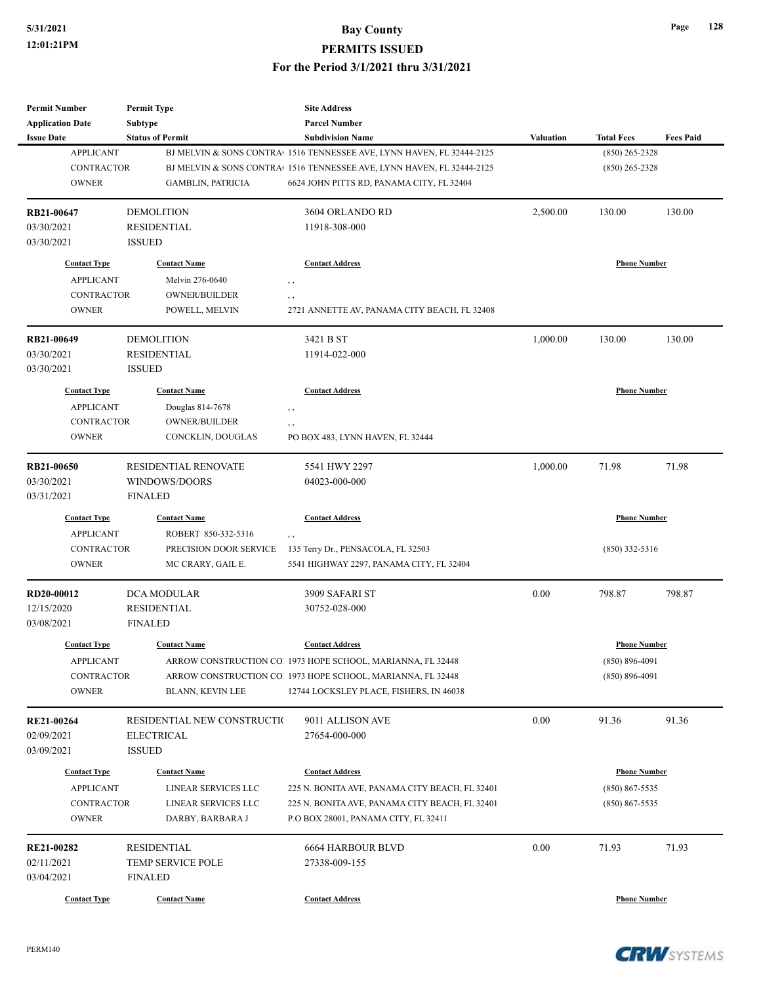| <b>Permit Number</b>    | <b>Permit Type</b>          | <b>Site Address</b>                                                     |                  |                     |                  |
|-------------------------|-----------------------------|-------------------------------------------------------------------------|------------------|---------------------|------------------|
| <b>Application Date</b> | Subtype                     | <b>Parcel Number</b>                                                    |                  |                     |                  |
| <b>Issue Date</b>       | <b>Status of Permit</b>     | <b>Subdivision Name</b>                                                 | <b>Valuation</b> | <b>Total Fees</b>   | <b>Fees Paid</b> |
| <b>APPLICANT</b>        |                             | BJ MELVIN & SONS CONTRAU 1516 TENNESSEE AVE, LYNN HAVEN, FL 32444-2125  |                  | $(850)$ 265-2328    |                  |
| <b>CONTRACTOR</b>       |                             | BJ MELVIN & SONS CONTRA $1516$ TENNESSEE AVE, LYNN HAVEN, FL 32444-2125 |                  | $(850)$ 265-2328    |                  |
| <b>OWNER</b>            | <b>GAMBLIN, PATRICIA</b>    | 6624 JOHN PITTS RD, PANAMA CITY, FL 32404                               |                  |                     |                  |
|                         |                             |                                                                         |                  |                     |                  |
| RB21-00647              | <b>DEMOLITION</b>           | 3604 ORLANDO RD                                                         | 2,500.00         | 130.00              | 130.00           |
| 03/30/2021              | <b>RESIDENTIAL</b>          | 11918-308-000                                                           |                  |                     |                  |
| 03/30/2021              | <b>ISSUED</b>               |                                                                         |                  |                     |                  |
| <b>Contact Type</b>     | <b>Contact Name</b>         | <b>Contact Address</b>                                                  |                  | <b>Phone Number</b> |                  |
| <b>APPLICANT</b>        |                             |                                                                         |                  |                     |                  |
|                         | Melvin 276-0640             | , ,                                                                     |                  |                     |                  |
| <b>CONTRACTOR</b>       | <b>OWNER/BUILDER</b>        | $, \, ,$                                                                |                  |                     |                  |
| <b>OWNER</b>            | POWELL, MELVIN              | 2721 ANNETTE AV, PANAMA CITY BEACH, FL 32408                            |                  |                     |                  |
| RB21-00649              | <b>DEMOLITION</b>           | 3421 B ST                                                               | 1,000.00         | 130.00              | 130.00           |
| 03/30/2021              | <b>RESIDENTIAL</b>          | 11914-022-000                                                           |                  |                     |                  |
| 03/30/2021              | <b>ISSUED</b>               |                                                                         |                  |                     |                  |
|                         |                             |                                                                         |                  |                     |                  |
| <b>Contact Type</b>     | <b>Contact Name</b>         | <b>Contact Address</b>                                                  |                  | <b>Phone Number</b> |                  |
| <b>APPLICANT</b>        | Douglas 814-7678            | $, \, , \,$                                                             |                  |                     |                  |
| <b>CONTRACTOR</b>       | <b>OWNER/BUILDER</b>        | $, \, , \,$                                                             |                  |                     |                  |
| <b>OWNER</b>            | CONCKLIN, DOUGLAS           | PO BOX 483, LYNN HAVEN, FL 32444                                        |                  |                     |                  |
|                         |                             |                                                                         |                  |                     |                  |
| <b>RB21-00650</b>       | RESIDENTIAL RENOVATE        | 5541 HWY 2297                                                           | 1,000.00         | 71.98               | 71.98            |
| 03/30/2021              | WINDOWS/DOORS               | 04023-000-000                                                           |                  |                     |                  |
| 03/31/2021              | <b>FINALED</b>              |                                                                         |                  |                     |                  |
| <b>Contact Type</b>     | <b>Contact Name</b>         | <b>Contact Address</b>                                                  |                  | <b>Phone Number</b> |                  |
| <b>APPLICANT</b>        | ROBERT 850-332-5316         | $, \, ,$                                                                |                  |                     |                  |
| <b>CONTRACTOR</b>       | PRECISION DOOR SERVICE      | 135 Terry Dr., PENSACOLA, FL 32503                                      |                  | $(850)$ 332-5316    |                  |
| <b>OWNER</b>            | MC CRARY, GAIL E.           | 5541 HIGHWAY 2297, PANAMA CITY, FL 32404                                |                  |                     |                  |
|                         |                             |                                                                         |                  |                     |                  |
| RD20-00012              | DCA MODULAR                 | 3909 SAFARI ST                                                          | 0.00             | 798.87              | 798.87           |
| 12/15/2020              | <b>RESIDENTIAL</b>          | 30752-028-000                                                           |                  |                     |                  |
| 03/08/2021              | <b>FINALED</b>              |                                                                         |                  |                     |                  |
|                         |                             |                                                                         |                  |                     |                  |
| <b>Contact Type</b>     | <b>Contact Name</b>         | <b>Contact Address</b>                                                  |                  | <b>Phone Number</b> |                  |
| <b>APPLICANT</b>        |                             | ARROW CONSTRUCTION CO. 1973 HOPE SCHOOL, MARIANNA, FL 32448             |                  | $(850) 896 - 4091$  |                  |
| CONTRACTOR              |                             | ARROW CONSTRUCTION CO. 1973 HOPE SCHOOL, MARIANNA, FL 32448             |                  | $(850) 896 - 4091$  |                  |
| <b>OWNER</b>            | BLANN, KEVIN LEE            | 12744 LOCKSLEY PLACE, FISHERS, IN 46038                                 |                  |                     |                  |
| RE21-00264              | RESIDENTIAL NEW CONSTRUCTIO | 9011 ALLISON AVE                                                        | 0.00             | 91.36               | 91.36            |
| 02/09/2021              | <b>ELECTRICAL</b>           | 27654-000-000                                                           |                  |                     |                  |
|                         |                             |                                                                         |                  |                     |                  |
| 03/09/2021              | <b>ISSUED</b>               |                                                                         |                  |                     |                  |
| <b>Contact Type</b>     | <b>Contact Name</b>         | <b>Contact Address</b>                                                  |                  | <b>Phone Number</b> |                  |
| <b>APPLICANT</b>        | LINEAR SERVICES LLC         | 225 N. BONITA AVE, PANAMA CITY BEACH, FL 32401                          |                  | $(850) 867 - 5535$  |                  |
| CONTRACTOR              | LINEAR SERVICES LLC         | 225 N. BONITA AVE, PANAMA CITY BEACH, FL 32401                          |                  | $(850) 867 - 5535$  |                  |
| <b>OWNER</b>            | DARBY, BARBARA J            | P.O BOX 28001, PANAMA CITY, FL 32411                                    |                  |                     |                  |
|                         |                             |                                                                         |                  |                     |                  |
| <b>RE21-00282</b>       | RESIDENTIAL                 | <b>6664 HARBOUR BLVD</b>                                                | 0.00             | 71.93               | 71.93            |
| 02/11/2021              | TEMP SERVICE POLE           | 27338-009-155                                                           |                  |                     |                  |
| 03/04/2021              | <b>FINALED</b>              |                                                                         |                  |                     |                  |
| <b>Contact Type</b>     | <b>Contact Name</b>         | <b>Contact Address</b>                                                  |                  | <b>Phone Number</b> |                  |

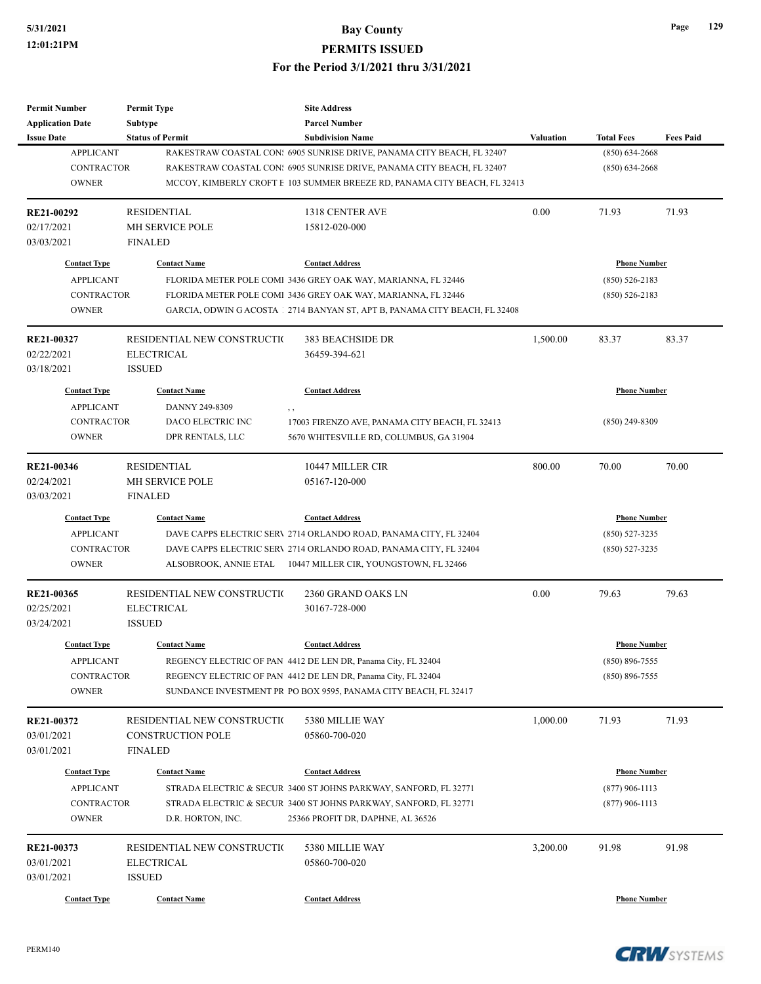| <b>Permit Number</b>    | <b>Permit Type</b>          | <b>Site Address</b>                                                         |                     |                     |                  |
|-------------------------|-----------------------------|-----------------------------------------------------------------------------|---------------------|---------------------|------------------|
| <b>Application Date</b> | <b>Subtype</b>              | <b>Parcel Number</b>                                                        |                     |                     |                  |
| <b>Issue Date</b>       | <b>Status of Permit</b>     | <b>Subdivision Name</b>                                                     | <b>Valuation</b>    | <b>Total Fees</b>   | <b>Fees Paid</b> |
| <b>APPLICANT</b>        |                             | RAKESTRAW COASTAL CON: 6905 SUNRISE DRIVE, PANAMA CITY BEACH, FL 32407      |                     | $(850) 634 - 2668$  |                  |
| <b>CONTRACTOR</b>       |                             | RAKESTRAW COASTAL CON: 6905 SUNRISE DRIVE, PANAMA CITY BEACH, FL 32407      |                     | $(850) 634 - 2668$  |                  |
| <b>OWNER</b>            |                             | MCCOY, KIMBERLY CROFT E 103 SUMMER BREEZE RD, PANAMA CITY BEACH, FL 32413   |                     |                     |                  |
| RE21-00292              | <b>RESIDENTIAL</b>          | 1318 CENTER AVE                                                             | 0.00                | 71.93               | 71.93            |
| 02/17/2021              | MH SERVICE POLE             | 15812-020-000                                                               |                     |                     |                  |
| 03/03/2021              | <b>FINALED</b>              |                                                                             |                     |                     |                  |
| <b>Contact Type</b>     | <b>Contact Name</b>         | <b>Contact Address</b>                                                      |                     | <b>Phone Number</b> |                  |
| <b>APPLICANT</b>        |                             | FLORIDA METER POLE COMI 3436 GREY OAK WAY, MARIANNA, FL 32446               |                     | $(850) 526 - 2183$  |                  |
| <b>CONTRACTOR</b>       |                             | FLORIDA METER POLE COMI 3436 GREY OAK WAY, MARIANNA, FL 32446               |                     | $(850) 526 - 2183$  |                  |
| <b>OWNER</b>            |                             | GARCIA, ODWIN G ACOSTA 1 2714 BANYAN ST, APT B, PANAMA CITY BEACH, FL 32408 |                     |                     |                  |
| RE21-00327              | RESIDENTIAL NEW CONSTRUCTIO | 383 BEACHSIDE DR                                                            | 1,500.00            | 83.37               | 83.37            |
| 02/22/2021              | <b>ELECTRICAL</b>           | 36459-394-621                                                               |                     |                     |                  |
| 03/18/2021              | <b>ISSUED</b>               |                                                                             |                     |                     |                  |
| <b>Contact Type</b>     | <b>Contact Name</b>         | <b>Contact Address</b>                                                      |                     | <b>Phone Number</b> |                  |
| <b>APPLICANT</b>        | DANNY 249-8309              | , ,                                                                         |                     |                     |                  |
| <b>CONTRACTOR</b>       | DACO ELECTRIC INC           | 17003 FIRENZO AVE, PANAMA CITY BEACH, FL 32413                              |                     | $(850)$ 249-8309    |                  |
| <b>OWNER</b>            | DPR RENTALS, LLC            | 5670 WHITESVILLE RD, COLUMBUS, GA 31904                                     |                     |                     |                  |
|                         |                             |                                                                             |                     |                     |                  |
| RE21-00346              | <b>RESIDENTIAL</b>          | 10447 MILLER CIR                                                            | 800.00              | 70.00               | 70.00            |
| 02/24/2021              | MH SERVICE POLE             | 05167-120-000                                                               |                     |                     |                  |
| 03/03/2021              | <b>FINALED</b>              |                                                                             |                     |                     |                  |
| <b>Contact Type</b>     | <b>Contact Name</b>         | <b>Contact Address</b>                                                      | <b>Phone Number</b> |                     |                  |
| <b>APPLICANT</b>        |                             | DAVE CAPPS ELECTRIC SERV 2714 ORLANDO ROAD, PANAMA CITY, FL 32404           |                     | $(850)$ 527-3235    |                  |
| <b>CONTRACTOR</b>       |                             | DAVE CAPPS ELECTRIC SERV 2714 ORLANDO ROAD, PANAMA CITY, FL 32404           |                     | $(850)$ 527-3235    |                  |
| <b>OWNER</b>            |                             | ALSOBROOK, ANNIE ETAL 10447 MILLER CIR, YOUNGSTOWN, FL 32466                |                     |                     |                  |
| RE21-00365              | RESIDENTIAL NEW CONSTRUCTIO | 2360 GRAND OAKS LN                                                          | 0.00                | 79.63               | 79.63            |
| 02/25/2021              | <b>ELECTRICAL</b>           | 30167-728-000                                                               |                     |                     |                  |
| 03/24/2021              | <b>ISSUED</b>               |                                                                             |                     |                     |                  |
| <b>Contact Type</b>     | <b>Contact Name</b>         | <b>Contact Address</b>                                                      |                     | <b>Phone Number</b> |                  |
| <b>APPLICANT</b>        |                             | REGENCY ELECTRIC OF PAN 4412 DE LEN DR, Panama City, FL 32404               |                     | $(850) 896 - 7555$  |                  |
| <b>CONTRACTOR</b>       |                             | REGENCY ELECTRIC OF PAN 4412 DE LEN DR, Panama City, FL 32404               |                     | $(850) 896 - 7555$  |                  |
| <b>OWNER</b>            |                             | SUNDANCE INVESTMENT PR PO BOX 9595, PANAMA CITY BEACH, FL 32417             |                     |                     |                  |
|                         | RESIDENTIAL NEW CONSTRUCTIO | 5380 MILLIE WAY                                                             | 1,000.00            | 71.93               | 71.93            |
| RE21-00372              | <b>CONSTRUCTION POLE</b>    |                                                                             |                     |                     |                  |
| 03/01/2021              |                             | 05860-700-020                                                               |                     |                     |                  |
| 03/01/2021              | <b>FINALED</b>              |                                                                             |                     |                     |                  |
| <b>Contact Type</b>     | <b>Contact Name</b>         | <b>Contact Address</b>                                                      |                     | <b>Phone Number</b> |                  |
| <b>APPLICANT</b>        |                             | STRADA ELECTRIC & SECUR 3400 ST JOHNS PARKWAY, SANFORD, FL 32771            |                     | $(877)$ 906-1113    |                  |
| CONTRACTOR              |                             | STRADA ELECTRIC & SECUR 3400 ST JOHNS PARKWAY, SANFORD, FL 32771            |                     | $(877)$ 906-1113    |                  |
| <b>OWNER</b>            | D.R. HORTON, INC.           | 25366 PROFIT DR, DAPHNE, AL 36526                                           |                     |                     |                  |
| RE21-00373              | RESIDENTIAL NEW CONSTRUCTIO | 5380 MILLIE WAY                                                             | 3,200.00            | 91.98               | 91.98            |
| 03/01/2021              | <b>ELECTRICAL</b>           | 05860-700-020                                                               |                     |                     |                  |
| 03/01/2021              | <b>ISSUED</b>               |                                                                             |                     |                     |                  |
| <b>Contact Type</b>     | <b>Contact Name</b>         | <b>Contact Address</b>                                                      |                     | <b>Phone Number</b> |                  |
|                         |                             |                                                                             |                     |                     |                  |

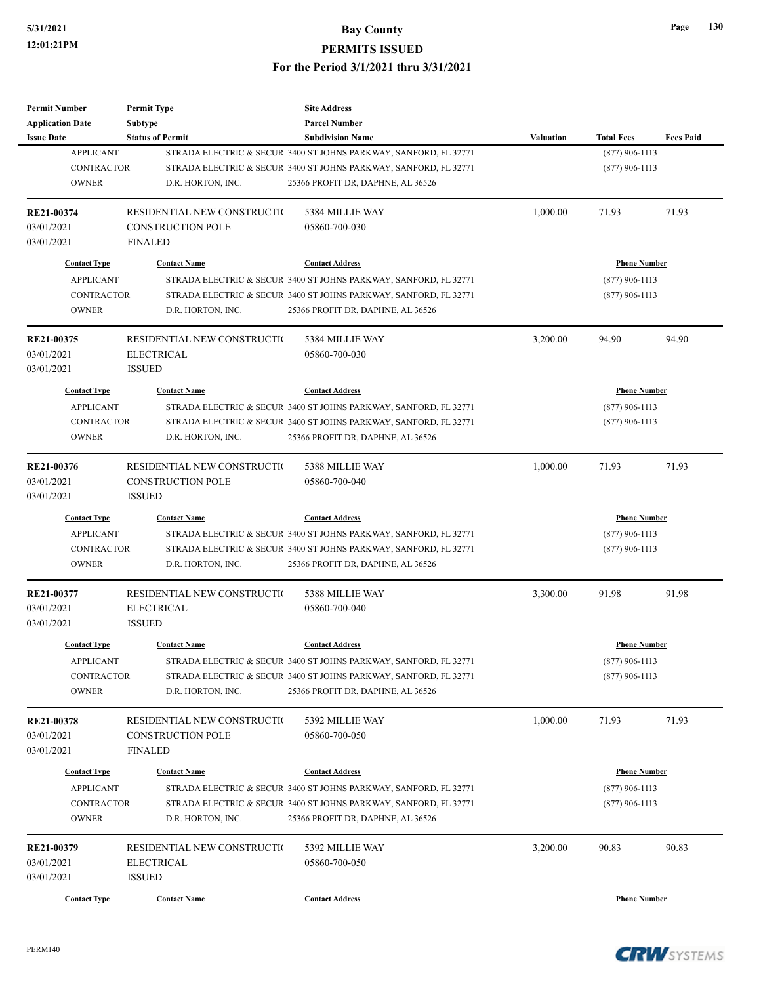| <b>Permit Number</b>    | <b>Permit Type</b>           | <b>Site Address</b>                                              |                  |                     |                  |
|-------------------------|------------------------------|------------------------------------------------------------------|------------------|---------------------|------------------|
| <b>Application Date</b> | <b>Subtype</b>               | <b>Parcel Number</b>                                             |                  |                     |                  |
| <b>Issue Date</b>       | <b>Status of Permit</b>      | <b>Subdivision Name</b>                                          | <b>Valuation</b> | <b>Total Fees</b>   | <b>Fees Paid</b> |
| <b>APPLICANT</b>        |                              | STRADA ELECTRIC & SECUR 3400 ST JOHNS PARKWAY, SANFORD, FL 32771 |                  | $(877)$ 906-1113    |                  |
| <b>CONTRACTOR</b>       |                              | STRADA ELECTRIC & SECUR 3400 ST JOHNS PARKWAY, SANFORD, FL 32771 |                  | $(877)$ 906-1113    |                  |
| <b>OWNER</b>            | D.R. HORTON, INC.            | 25366 PROFIT DR, DAPHNE, AL 36526                                |                  |                     |                  |
| RE21-00374              | RESIDENTIAL NEW CONSTRUCTION | 5384 MILLIE WAY                                                  | 1,000.00         | 71.93               | 71.93            |
| 03/01/2021              | <b>CONSTRUCTION POLE</b>     | 05860-700-030                                                    |                  |                     |                  |
| 03/01/2021              | <b>FINALED</b>               |                                                                  |                  |                     |                  |
| <b>Contact Type</b>     | <b>Contact Name</b>          | <b>Contact Address</b>                                           |                  | <b>Phone Number</b> |                  |
| <b>APPLICANT</b>        |                              | STRADA ELECTRIC & SECUR 3400 ST JOHNS PARKWAY, SANFORD, FL 32771 |                  | $(877)$ 906-1113    |                  |
| <b>CONTRACTOR</b>       |                              | STRADA ELECTRIC & SECUR 3400 ST JOHNS PARKWAY, SANFORD, FL 32771 |                  | $(877)$ 906-1113    |                  |
| <b>OWNER</b>            | D.R. HORTON, INC.            | 25366 PROFIT DR, DAPHNE, AL 36526                                |                  |                     |                  |
| RE21-00375              | RESIDENTIAL NEW CONSTRUCTIO  | 5384 MILLIE WAY                                                  | 3,200.00         | 94.90               | 94.90            |
| 03/01/2021              | <b>ELECTRICAL</b>            | 05860-700-030                                                    |                  |                     |                  |
| 03/01/2021              | <b>ISSUED</b>                |                                                                  |                  |                     |                  |
| <b>Contact Type</b>     | <b>Contact Name</b>          | <b>Contact Address</b>                                           |                  | <b>Phone Number</b> |                  |
| <b>APPLICANT</b>        |                              | STRADA ELECTRIC & SECUR 3400 ST JOHNS PARKWAY, SANFORD, FL 32771 |                  | $(877)$ 906-1113    |                  |
| <b>CONTRACTOR</b>       |                              | STRADA ELECTRIC & SECUR 3400 ST JOHNS PARKWAY, SANFORD, FL 32771 |                  | $(877)$ 906-1113    |                  |
| <b>OWNER</b>            |                              |                                                                  |                  |                     |                  |
|                         | D.R. HORTON, INC.            | 25366 PROFIT DR, DAPHNE, AL 36526                                |                  |                     |                  |
| RE21-00376              | RESIDENTIAL NEW CONSTRUCTIO  | 5388 MILLIE WAY                                                  | 1,000.00         | 71.93               | 71.93            |
| 03/01/2021              | <b>CONSTRUCTION POLE</b>     | 05860-700-040                                                    |                  |                     |                  |
| 03/01/2021              | <b>ISSUED</b>                |                                                                  |                  |                     |                  |
| <b>Contact Type</b>     | <b>Contact Name</b>          | <b>Contact Address</b>                                           |                  | <b>Phone Number</b> |                  |
| <b>APPLICANT</b>        |                              | STRADA ELECTRIC & SECUR 3400 ST JOHNS PARKWAY, SANFORD, FL 32771 |                  | $(877)$ 906-1113    |                  |
| <b>CONTRACTOR</b>       |                              | STRADA ELECTRIC & SECUR 3400 ST JOHNS PARKWAY, SANFORD, FL 32771 |                  | $(877)$ 906-1113    |                  |
| <b>OWNER</b>            | D.R. HORTON, INC.            | 25366 PROFIT DR, DAPHNE, AL 36526                                |                  |                     |                  |
| RE21-00377              | RESIDENTIAL NEW CONSTRUCTION | 5388 MILLIE WAY                                                  | 3,300.00         | 91.98               | 91.98            |
| 03/01/2021              | <b>ELECTRICAL</b>            | 05860-700-040                                                    |                  |                     |                  |
| 03/01/2021              | <b>ISSUED</b>                |                                                                  |                  |                     |                  |
| <b>Contact Type</b>     | <b>Contact Name</b>          | <b>Contact Address</b>                                           |                  | <b>Phone Number</b> |                  |
| <b>APPLICANT</b>        |                              | STRADA ELECTRIC & SECUR 3400 ST JOHNS PARKWAY, SANFORD, FL 32771 |                  |                     |                  |
|                         |                              |                                                                  |                  | $(877)$ 906-1113    |                  |
| CONTRACTOR              |                              | STRADA ELECTRIC & SECUR 3400 ST JOHNS PARKWAY, SANFORD, FL 32771 |                  | $(877)$ 906-1113    |                  |
| <b>OWNER</b>            | D.R. HORTON, INC.            | 25366 PROFIT DR, DAPHNE, AL 36526                                |                  |                     |                  |
| <b>RE21-00378</b>       | RESIDENTIAL NEW CONSTRUCTION | 5392 MILLIE WAY                                                  | 1,000.00         | 71.93               | 71.93            |
| 03/01/2021              | <b>CONSTRUCTION POLE</b>     | 05860-700-050                                                    |                  |                     |                  |
| 03/01/2021              | FINALED                      |                                                                  |                  |                     |                  |
| <b>Contact Type</b>     | <b>Contact Name</b>          | <b>Contact Address</b>                                           |                  | <b>Phone Number</b> |                  |
| <b>APPLICANT</b>        |                              | STRADA ELECTRIC & SECUR 3400 ST JOHNS PARKWAY, SANFORD, FL 32771 |                  | $(877)$ 906-1113    |                  |
| CONTRACTOR              |                              | STRADA ELECTRIC & SECUR 3400 ST JOHNS PARKWAY, SANFORD, FL 32771 |                  | $(877)$ 906-1113    |                  |
| <b>OWNER</b>            | D.R. HORTON, INC.            | 25366 PROFIT DR, DAPHNE, AL 36526                                |                  |                     |                  |
|                         |                              |                                                                  |                  |                     |                  |
| RE21-00379              | RESIDENTIAL NEW CONSTRUCTIO  | 5392 MILLIE WAY                                                  | 3,200.00         | 90.83               | 90.83            |
| 03/01/2021              | <b>ELECTRICAL</b>            | 05860-700-050                                                    |                  |                     |                  |
| 03/01/2021              | <b>ISSUED</b>                |                                                                  |                  |                     |                  |
| <b>Contact Type</b>     | <b>Contact Name</b>          | <b>Contact Address</b>                                           |                  | <b>Phone Number</b> |                  |



**CRW**SYSTEMS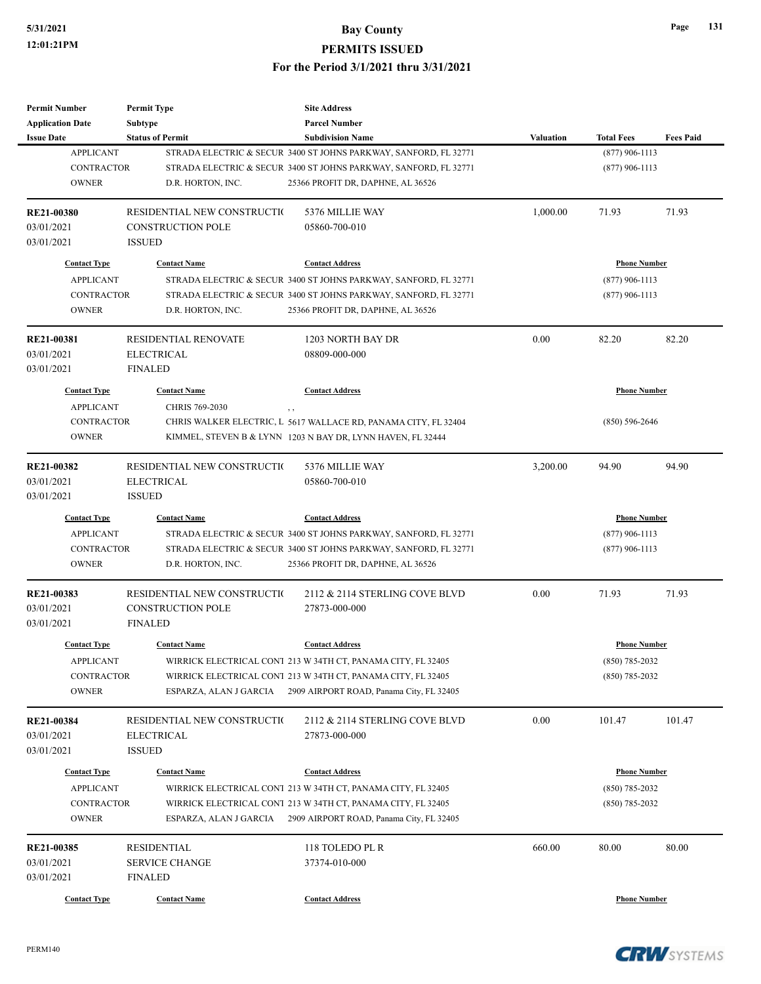| <b>Permit Number</b>    | <b>Permit Type</b>          | <b>Site Address</b>                                                   |                  |                     |                  |
|-------------------------|-----------------------------|-----------------------------------------------------------------------|------------------|---------------------|------------------|
| <b>Application Date</b> | <b>Subtype</b>              | <b>Parcel Number</b>                                                  |                  |                     |                  |
| <b>Issue Date</b>       | <b>Status of Permit</b>     | <b>Subdivision Name</b>                                               | <b>Valuation</b> | <b>Total Fees</b>   | <b>Fees Paid</b> |
| <b>APPLICANT</b>        |                             | STRADA ELECTRIC & SECUR 3400 ST JOHNS PARKWAY, SANFORD, FL 32771      |                  | $(877)$ 906-1113    |                  |
| <b>CONTRACTOR</b>       |                             | STRADA ELECTRIC & SECUR 3400 ST JOHNS PARKWAY, SANFORD, FL 32771      |                  | $(877)$ 906-1113    |                  |
| <b>OWNER</b>            | D.R. HORTON, INC.           | 25366 PROFIT DR, DAPHNE, AL 36526                                     |                  |                     |                  |
|                         |                             |                                                                       |                  |                     |                  |
| <b>RE21-00380</b>       | RESIDENTIAL NEW CONSTRUCTIO | 5376 MILLIE WAY                                                       | 1,000.00         | 71.93               | 71.93            |
| 03/01/2021              | <b>CONSTRUCTION POLE</b>    | 05860-700-010                                                         |                  |                     |                  |
| 03/01/2021              | <b>ISSUED</b>               |                                                                       |                  |                     |                  |
|                         |                             |                                                                       |                  |                     |                  |
| <b>Contact Type</b>     | <b>Contact Name</b>         | <b>Contact Address</b>                                                |                  | <b>Phone Number</b> |                  |
| <b>APPLICANT</b>        |                             | STRADA ELECTRIC & SECUR 3400 ST JOHNS PARKWAY, SANFORD, FL 32771      |                  | $(877)$ 906-1113    |                  |
| <b>CONTRACTOR</b>       |                             | STRADA ELECTRIC & SECUR 3400 ST JOHNS PARKWAY, SANFORD, FL 32771      |                  | $(877)$ 906-1113    |                  |
| <b>OWNER</b>            | D.R. HORTON, INC.           | 25366 PROFIT DR, DAPHNE, AL 36526                                     |                  |                     |                  |
| RE21-00381              | <b>RESIDENTIAL RENOVATE</b> | 1203 NORTH BAY DR                                                     | 0.00             | 82.20               | 82.20            |
| 03/01/2021              | <b>ELECTRICAL</b>           | 08809-000-000                                                         |                  |                     |                  |
| 03/01/2021              | <b>FINALED</b>              |                                                                       |                  |                     |                  |
| <b>Contact Type</b>     | <b>Contact Name</b>         | <b>Contact Address</b>                                                |                  | <b>Phone Number</b> |                  |
| <b>APPLICANT</b>        | CHRIS 769-2030              |                                                                       |                  |                     |                  |
| <b>CONTRACTOR</b>       |                             | ,,<br>CHRIS WALKER ELECTRIC, L 5617 WALLACE RD, PANAMA CITY, FL 32404 |                  | $(850) 596 - 2646$  |                  |
| <b>OWNER</b>            |                             | KIMMEL, STEVEN B & LYNN 1203 N BAY DR, LYNN HAVEN, FL 32444           |                  |                     |                  |
|                         |                             |                                                                       |                  |                     |                  |
| RE21-00382              | RESIDENTIAL NEW CONSTRUCTIO | 5376 MILLIE WAY                                                       | 3,200.00         | 94.90               | 94.90            |
| 03/01/2021              | <b>ELECTRICAL</b>           | 05860-700-010                                                         |                  |                     |                  |
| 03/01/2021              | <b>ISSUED</b>               |                                                                       |                  |                     |                  |
| <b>Contact Type</b>     | <b>Contact Name</b>         | <b>Contact Address</b>                                                |                  | <b>Phone Number</b> |                  |
| <b>APPLICANT</b>        |                             | STRADA ELECTRIC & SECUR 3400 ST JOHNS PARKWAY, SANFORD, FL 32771      |                  | $(877)$ 906-1113    |                  |
| <b>CONTRACTOR</b>       |                             | STRADA ELECTRIC & SECUR 3400 ST JOHNS PARKWAY, SANFORD, FL 32771      |                  | $(877)$ 906-1113    |                  |
| <b>OWNER</b>            | D.R. HORTON, INC.           | 25366 PROFIT DR, DAPHNE, AL 36526                                     |                  |                     |                  |
|                         |                             |                                                                       |                  |                     |                  |
| RE21-00383              | RESIDENTIAL NEW CONSTRUCTIO | 2112 & 2114 STERLING COVE BLVD                                        | 0.00             | 71.93               | 71.93            |
| 03/01/2021              | <b>CONSTRUCTION POLE</b>    | 27873-000-000                                                         |                  |                     |                  |
| 03/01/2021              | <b>FINALED</b>              |                                                                       |                  |                     |                  |
|                         |                             |                                                                       |                  |                     |                  |
| <b>Contact Type</b>     | <b>Contact Name</b>         | <b>Contact Address</b>                                                |                  | <b>Phone Number</b> |                  |
| <b>APPLICANT</b>        |                             | WIRRICK ELECTRICAL CONT 213 W 34TH CT, PANAMA CITY, FL 32405          |                  | (850) 785-2032      |                  |
| CONTRACTOR              |                             | WIRRICK ELECTRICAL CONT 213 W 34TH CT, PANAMA CITY, FL 32405          |                  | $(850) 785 - 2032$  |                  |
| <b>OWNER</b>            | ESPARZA, ALAN J GARCIA      | 2909 AIRPORT ROAD, Panama City, FL 32405                              |                  |                     |                  |
| RE21-00384              | RESIDENTIAL NEW CONSTRUCTIO | 2112 & 2114 STERLING COVE BLVD                                        | 0.00             | 101.47              | 101.47           |
| 03/01/2021              | <b>ELECTRICAL</b>           | 27873-000-000                                                         |                  |                     |                  |
| 03/01/2021              | <b>ISSUED</b>               |                                                                       |                  |                     |                  |
|                         |                             |                                                                       |                  |                     |                  |
| <b>Contact Type</b>     | <b>Contact Name</b>         | <b>Contact Address</b>                                                |                  | <b>Phone Number</b> |                  |
| <b>APPLICANT</b>        |                             | WIRRICK ELECTRICAL CONT 213 W 34TH CT, PANAMA CITY, FL 32405          |                  | $(850) 785 - 2032$  |                  |
| CONTRACTOR              |                             | WIRRICK ELECTRICAL CONT 213 W 34TH CT, PANAMA CITY, FL 32405          |                  | $(850)$ 785-2032    |                  |
| <b>OWNER</b>            | ESPARZA, ALAN J GARCIA      | 2909 AIRPORT ROAD, Panama City, FL 32405                              |                  |                     |                  |
| RE21-00385              | <b>RESIDENTIAL</b>          | 118 TOLEDO PL R                                                       | 660.00           | 80.00               | 80.00            |
|                         | <b>SERVICE CHANGE</b>       |                                                                       |                  |                     |                  |
| 03/01/2021              |                             | 37374-010-000                                                         |                  |                     |                  |
| 03/01/2021              | <b>FINALED</b>              |                                                                       |                  |                     |                  |
| <b>Contact Type</b>     | <b>Contact Name</b>         | <b>Contact Address</b>                                                |                  | <b>Phone Number</b> |                  |

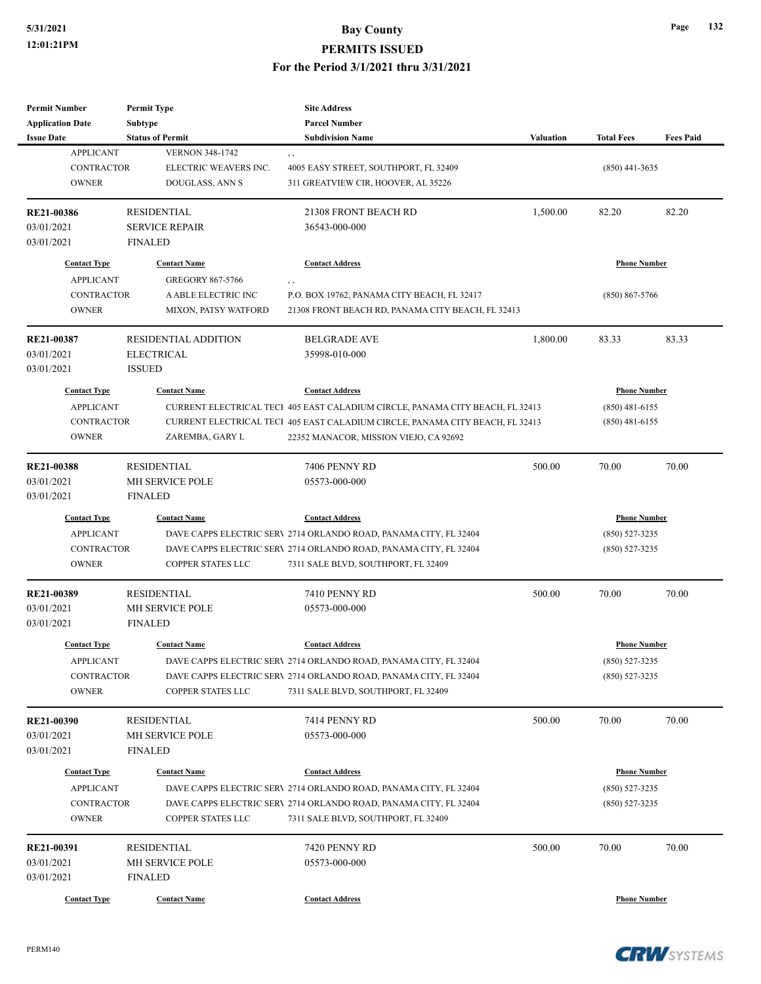| <b>Permit Number</b>    | <b>Permit Type</b>          | <b>Site Address</b>                                                           |                  |                     |                  |
|-------------------------|-----------------------------|-------------------------------------------------------------------------------|------------------|---------------------|------------------|
| <b>Application Date</b> | <b>Subtype</b>              | <b>Parcel Number</b>                                                          |                  |                     |                  |
| <b>Issue Date</b>       | <b>Status of Permit</b>     | <b>Subdivision Name</b>                                                       | <b>Valuation</b> | <b>Total Fees</b>   | <b>Fees Paid</b> |
| <b>APPLICANT</b>        | <b>VERNON 348-1742</b>      | , ,                                                                           |                  |                     |                  |
| <b>CONTRACTOR</b>       | ELECTRIC WEAVERS INC.       | 4005 EASY STREET, SOUTHPORT, FL 32409                                         |                  | $(850)$ 441-3635    |                  |
| <b>OWNER</b>            | DOUGLASS, ANN S             | 311 GREATVIEW CIR, HOOVER, AL 35226                                           |                  |                     |                  |
| RE21-00386              | <b>RESIDENTIAL</b>          | 21308 FRONT BEACH RD                                                          | 1,500.00         | 82.20               | 82.20            |
| 03/01/2021              | <b>SERVICE REPAIR</b>       |                                                                               |                  |                     |                  |
| 03/01/2021              | <b>FINALED</b>              | 36543-000-000                                                                 |                  |                     |                  |
|                         |                             |                                                                               |                  |                     |                  |
| <b>Contact Type</b>     | <b>Contact Name</b>         | <b>Contact Address</b>                                                        |                  | <b>Phone Number</b> |                  |
| <b>APPLICANT</b>        | <b>GREGORY 867-5766</b>     | , ,                                                                           |                  |                     |                  |
| <b>CONTRACTOR</b>       | A ABLE ELECTRIC INC         | P.O. BOX 19762, PANAMA CITY BEACH, FL 32417                                   |                  | $(850) 867 - 5766$  |                  |
| <b>OWNER</b>            | <b>MIXON, PATSY WATFORD</b> | 21308 FRONT BEACH RD, PANAMA CITY BEACH, FL 32413                             |                  |                     |                  |
| RE21-00387              | <b>RESIDENTIAL ADDITION</b> | <b>BELGRADE AVE</b>                                                           | 1,800.00         | 83.33               | 83.33            |
| 03/01/2021              | <b>ELECTRICAL</b>           | 35998-010-000                                                                 |                  |                     |                  |
| 03/01/2021              | <b>ISSUED</b>               |                                                                               |                  |                     |                  |
| <b>Contact Type</b>     | <b>Contact Name</b>         | <b>Contact Address</b>                                                        |                  | <b>Phone Number</b> |                  |
| <b>APPLICANT</b>        |                             | CURRENT ELECTRICAL TECI 405 EAST CALADIUM CIRCLE, PANAMA CITY BEACH, FL 32413 |                  | $(850)$ 481-6155    |                  |
| <b>CONTRACTOR</b>       |                             | CURRENT ELECTRICAL TECI 405 EAST CALADIUM CIRCLE, PANAMA CITY BEACH, FL 32413 |                  | $(850)$ 481-6155    |                  |
| <b>OWNER</b>            | ZAREMBA, GARY L             | 22352 MANACOR, MISSION VIEJO, CA 92692                                        |                  |                     |                  |
|                         |                             |                                                                               |                  |                     |                  |
| <b>RE21-00388</b>       | <b>RESIDENTIAL</b>          | 7406 PENNY RD                                                                 | 500.00           | 70.00               | 70.00            |
| 03/01/2021              | <b>MH SERVICE POLE</b>      | 05573-000-000                                                                 |                  |                     |                  |
| 03/01/2021              | <b>FINALED</b>              |                                                                               |                  |                     |                  |
| <b>Contact Type</b>     | <b>Contact Name</b>         | <b>Contact Address</b>                                                        |                  | <b>Phone Number</b> |                  |
| <b>APPLICANT</b>        |                             | DAVE CAPPS ELECTRIC SERV 2714 ORLANDO ROAD, PANAMA CITY, FL 32404             |                  | (850) 527-3235      |                  |
| <b>CONTRACTOR</b>       |                             | DAVE CAPPS ELECTRIC SERV 2714 ORLANDO ROAD, PANAMA CITY, FL 32404             |                  | $(850)$ 527-3235    |                  |
| <b>OWNER</b>            | COPPER STATES LLC           | 7311 SALE BLVD, SOUTHPORT, FL 32409                                           |                  |                     |                  |
| RE21-00389              | <b>RESIDENTIAL</b>          | 7410 PENNY RD                                                                 | 500.00           | 70.00               | 70.00            |
| 03/01/2021              | MH SERVICE POLE             | 05573-000-000                                                                 |                  |                     |                  |
| 03/01/2021              | <b>FINALED</b>              |                                                                               |                  |                     |                  |
| <b>Contact Type</b>     | <b>Contact Name</b>         | <b>Contact Address</b>                                                        |                  | <b>Phone Number</b> |                  |
| <b>APPLICANT</b>        |                             | DAVE CAPPS ELECTRIC SERV 2714 ORLANDO ROAD, PANAMA CITY, FL 32404             |                  | (850) 527-3235      |                  |
| CONTRACTOR              |                             | DAVE CAPPS ELECTRIC SERV 2714 ORLANDO ROAD, PANAMA CITY, FL 32404             |                  | $(850)$ 527-3235    |                  |
| <b>OWNER</b>            | COPPER STATES LLC           | 7311 SALE BLVD, SOUTHPORT, FL 32409                                           |                  |                     |                  |
|                         |                             |                                                                               |                  |                     |                  |
| <b>RE21-00390</b>       | <b>RESIDENTIAL</b>          | 7414 PENNY RD                                                                 | 500.00           | 70.00               | 70.00            |
| 03/01/2021              | <b>MH SERVICE POLE</b>      | 05573-000-000                                                                 |                  |                     |                  |
| 03/01/2021              | <b>FINALED</b>              |                                                                               |                  |                     |                  |
| <b>Contact Type</b>     | <b>Contact Name</b>         | <b>Contact Address</b>                                                        |                  | <b>Phone Number</b> |                  |
| <b>APPLICANT</b>        |                             | DAVE CAPPS ELECTRIC SERV 2714 ORLANDO ROAD, PANAMA CITY, FL 32404             |                  | $(850)$ 527-3235    |                  |
| CONTRACTOR              |                             | DAVE CAPPS ELECTRIC SERV 2714 ORLANDO ROAD, PANAMA CITY, FL 32404             |                  | $(850)$ 527-3235    |                  |
| <b>OWNER</b>            | COPPER STATES LLC           | 7311 SALE BLVD, SOUTHPORT, FL 32409                                           |                  |                     |                  |
| RE21-00391              | <b>RESIDENTIAL</b>          | 7420 PENNY RD                                                                 | 500.00           | 70.00               | 70.00            |
| 03/01/2021              | MH SERVICE POLE             | 05573-000-000                                                                 |                  |                     |                  |
| 03/01/2021              | <b>FINALED</b>              |                                                                               |                  |                     |                  |
|                         |                             |                                                                               |                  |                     |                  |
| <b>Contact Type</b>     | <b>Contact Name</b>         | <b>Contact Address</b>                                                        |                  | <b>Phone Number</b> |                  |

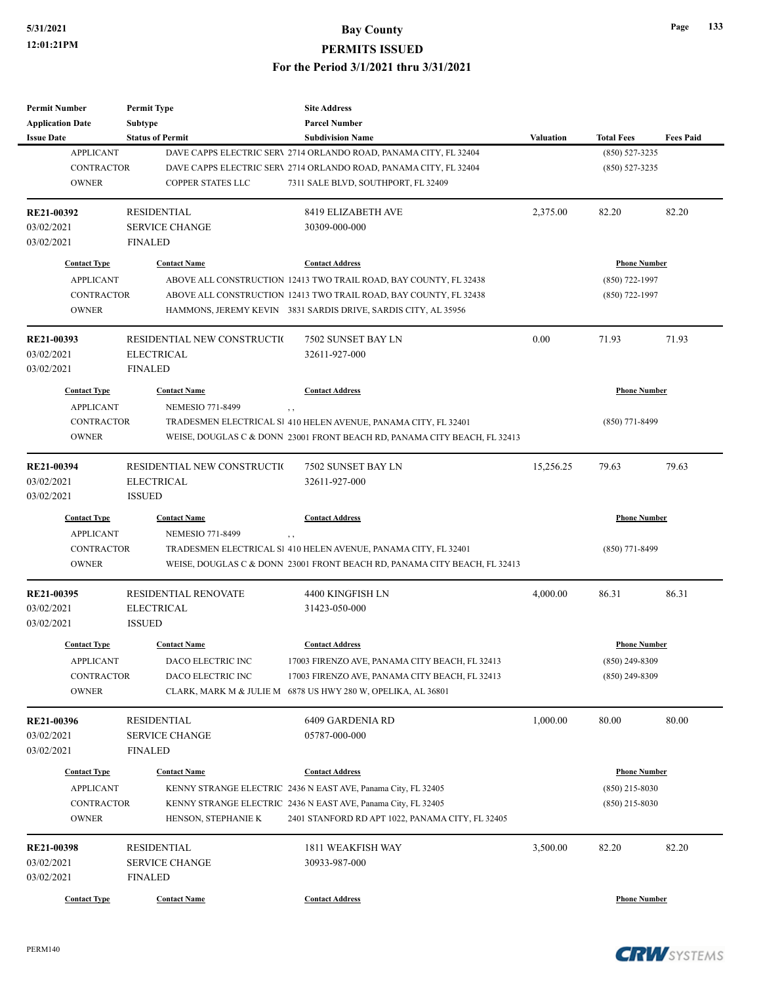| <b>Permit Number</b>    | <b>Permit Type</b>           | <b>Site Address</b>                                                       |                  |                     |                  |
|-------------------------|------------------------------|---------------------------------------------------------------------------|------------------|---------------------|------------------|
| <b>Application Date</b> | <b>Subtype</b>               | <b>Parcel Number</b>                                                      |                  |                     |                  |
| <b>Issue Date</b>       | <b>Status of Permit</b>      | <b>Subdivision Name</b>                                                   | <b>Valuation</b> | <b>Total Fees</b>   | <b>Fees Paid</b> |
| <b>APPLICANT</b>        |                              | DAVE CAPPS ELECTRIC SERV 2714 ORLANDO ROAD, PANAMA CITY, FL 32404         |                  | $(850) 527 - 3235$  |                  |
| <b>CONTRACTOR</b>       |                              | DAVE CAPPS ELECTRIC SERV 2714 ORLANDO ROAD, PANAMA CITY, FL 32404         |                  | $(850) 527 - 3235$  |                  |
| <b>OWNER</b>            | <b>COPPER STATES LLC</b>     | 7311 SALE BLVD, SOUTHPORT, FL 32409                                       |                  |                     |                  |
| RE21-00392              | <b>RESIDENTIAL</b>           | 8419 ELIZABETH AVE                                                        | 2,375.00         | 82.20               | 82.20            |
| 03/02/2021              | <b>SERVICE CHANGE</b>        | 30309-000-000                                                             |                  |                     |                  |
| 03/02/2021              | <b>FINALED</b>               |                                                                           |                  |                     |                  |
| <b>Contact Type</b>     | <b>Contact Name</b>          | <b>Contact Address</b>                                                    |                  | <b>Phone Number</b> |                  |
| <b>APPLICANT</b>        |                              | ABOVE ALL CONSTRUCTION 12413 TWO TRAIL ROAD, BAY COUNTY, FL 32438         |                  | $(850)$ 722-1997    |                  |
| <b>CONTRACTOR</b>       |                              | ABOVE ALL CONSTRUCTION 12413 TWO TRAIL ROAD, BAY COUNTY, FL 32438         |                  | $(850)$ 722-1997    |                  |
| <b>OWNER</b>            |                              | HAMMONS, JEREMY KEVIN 3831 SARDIS DRIVE, SARDIS CITY, AL 35956            |                  |                     |                  |
|                         |                              |                                                                           |                  |                     |                  |
| RE21-00393              | RESIDENTIAL NEW CONSTRUCTION | 7502 SUNSET BAY LN                                                        | 0.00             | 71.93               | 71.93            |
| 03/02/2021              | <b>ELECTRICAL</b>            | 32611-927-000                                                             |                  |                     |                  |
| 03/02/2021              | <b>FINALED</b>               |                                                                           |                  |                     |                  |
| <b>Contact Type</b>     | <b>Contact Name</b>          | <b>Contact Address</b>                                                    |                  | <b>Phone Number</b> |                  |
| <b>APPLICANT</b>        | <b>NEMESIO 771-8499</b>      | , ,                                                                       |                  |                     |                  |
| <b>CONTRACTOR</b>       |                              | TRADESMEN ELECTRICAL SI 410 HELEN AVENUE, PANAMA CITY, FL 32401           |                  | $(850)$ 771-8499    |                  |
| <b>OWNER</b>            |                              | WEISE, DOUGLAS C & DONN 23001 FRONT BEACH RD, PANAMA CITY BEACH, FL 32413 |                  |                     |                  |
|                         |                              |                                                                           |                  |                     |                  |
| RE21-00394              | RESIDENTIAL NEW CONSTRUCTIO  | 7502 SUNSET BAY LN                                                        | 15,256.25        | 79.63               | 79.63            |
| 03/02/2021              | <b>ELECTRICAL</b>            | 32611-927-000                                                             |                  |                     |                  |
| 03/02/2021              | <b>ISSUED</b>                |                                                                           |                  |                     |                  |
| <b>Contact Type</b>     | <b>Contact Name</b>          | <b>Contact Address</b>                                                    |                  | <b>Phone Number</b> |                  |
| <b>APPLICANT</b>        | <b>NEMESIO 771-8499</b>      | $, \, ,$                                                                  |                  |                     |                  |
| <b>CONTRACTOR</b>       |                              | TRADESMEN ELECTRICAL SI 410 HELEN AVENUE, PANAMA CITY, FL 32401           |                  | $(850)$ 771-8499    |                  |
| <b>OWNER</b>            |                              | WEISE, DOUGLAS C & DONN 23001 FRONT BEACH RD, PANAMA CITY BEACH, FL 32413 |                  |                     |                  |
| RE21-00395              | <b>RESIDENTIAL RENOVATE</b>  | 4400 KINGFISH LN                                                          | 4,000.00         | 86.31               | 86.31            |
| 03/02/2021              | <b>ELECTRICAL</b>            | 31423-050-000                                                             |                  |                     |                  |
| 03/02/2021              | <b>ISSUED</b>                |                                                                           |                  |                     |                  |
| <b>Contact Type</b>     | <b>Contact Name</b>          | <b>Contact Address</b>                                                    |                  | <b>Phone Number</b> |                  |
| <b>APPLICANT</b>        |                              |                                                                           |                  |                     |                  |
|                         | DACO ELECTRIC INC            | 17003 FIRENZO AVE, PANAMA CITY BEACH, FL 32413                            |                  | $(850)$ 249-8309    |                  |
| CONTRACTOR              | DACO ELECTRIC INC            | 17003 FIRENZO AVE, PANAMA CITY BEACH, FL 32413                            |                  | $(850)$ 249-8309    |                  |
| <b>OWNER</b>            |                              | CLARK, MARK M & JULIE M 6878 US HWY 280 W, OPELIKA, AL 36801              |                  |                     |                  |
| RE21-00396              | <b>RESIDENTIAL</b>           | 6409 GARDENIA RD                                                          | 1,000.00         | 80.00               | 80.00            |
| 03/02/2021              | <b>SERVICE CHANGE</b>        | 05787-000-000                                                             |                  |                     |                  |
| 03/02/2021              | <b>FINALED</b>               |                                                                           |                  |                     |                  |
| <b>Contact Type</b>     | <b>Contact Name</b>          | <b>Contact Address</b>                                                    |                  | <b>Phone Number</b> |                  |
| <b>APPLICANT</b>        |                              | KENNY STRANGE ELECTRIC 2436 N EAST AVE, Panama City, FL 32405             |                  | $(850)$ 215-8030    |                  |
| <b>CONTRACTOR</b>       |                              | KENNY STRANGE ELECTRIC 2436 N EAST AVE, Panama City, FL 32405             |                  | $(850)$ 215-8030    |                  |
| <b>OWNER</b>            | HENSON, STEPHANIE K          | 2401 STANFORD RD APT 1022, PANAMA CITY, FL 32405                          |                  |                     |                  |
| <b>RE21-00398</b>       | <b>RESIDENTIAL</b>           | 1811 WEAKFISH WAY                                                         | 3,500.00         | 82.20               | 82.20            |
|                         |                              |                                                                           |                  |                     |                  |
| 03/02/2021              | <b>SERVICE CHANGE</b>        | 30933-987-000                                                             |                  |                     |                  |
| 03/02/2021              | <b>FINALED</b>               |                                                                           |                  |                     |                  |
| <b>Contact Type</b>     | <b>Contact Name</b>          | <b>Contact Address</b>                                                    |                  | <b>Phone Number</b> |                  |



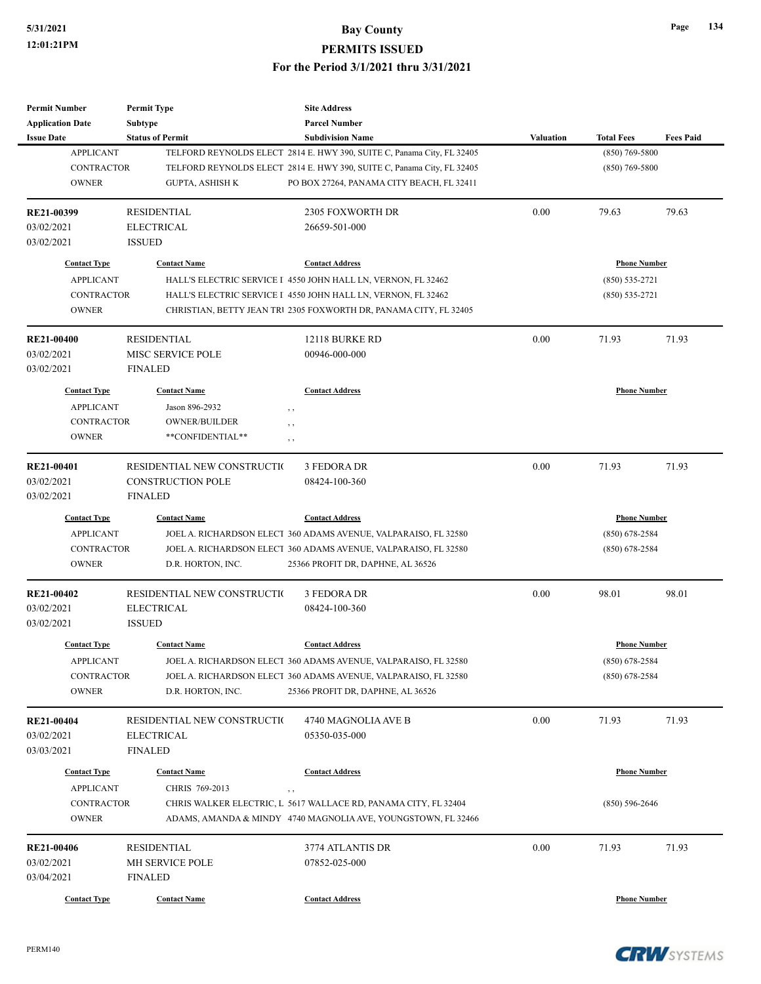| <b>Permit Number</b>    | <b>Permit Type</b>          | <b>Site Address</b>                                                    |                  |                     |                  |
|-------------------------|-----------------------------|------------------------------------------------------------------------|------------------|---------------------|------------------|
| <b>Application Date</b> | <b>Subtype</b>              | <b>Parcel Number</b>                                                   |                  |                     |                  |
| <b>Issue Date</b>       | <b>Status of Permit</b>     | <b>Subdivision Name</b>                                                | <b>Valuation</b> | <b>Total Fees</b>   | <b>Fees Paid</b> |
| <b>APPLICANT</b>        |                             | TELFORD REYNOLDS ELECT 2814 E. HWY 390, SUITE C, Panama City, FL 32405 |                  | $(850) 769 - 5800$  |                  |
| <b>CONTRACTOR</b>       |                             | TELFORD REYNOLDS ELECT 2814 E. HWY 390, SUITE C, Panama City, FL 32405 |                  | $(850)$ 769-5800    |                  |
| <b>OWNER</b>            | <b>GUPTA, ASHISH K</b>      | PO BOX 27264, PANAMA CITY BEACH, FL 32411                              |                  |                     |                  |
| RE21-00399              | <b>RESIDENTIAL</b>          | 2305 FOXWORTH DR                                                       | 0.00             | 79.63               | 79.63            |
| 03/02/2021              | <b>ELECTRICAL</b>           | 26659-501-000                                                          |                  |                     |                  |
| 03/02/2021              | <b>ISSUED</b>               |                                                                        |                  |                     |                  |
| <b>Contact Type</b>     | <b>Contact Name</b>         | <b>Contact Address</b>                                                 |                  | <b>Phone Number</b> |                  |
| <b>APPLICANT</b>        |                             | HALL'S ELECTRIC SERVICE I 4550 JOHN HALL LN, VERNON, FL 32462          |                  | $(850) 535 - 2721$  |                  |
| <b>CONTRACTOR</b>       |                             | HALL'S ELECTRIC SERVICE I 4550 JOHN HALL LN, VERNON, FL 32462          |                  | $(850) 535 - 2721$  |                  |
| <b>OWNER</b>            |                             | CHRISTIAN, BETTY JEAN TR1 2305 FOXWORTH DR, PANAMA CITY, FL 32405      |                  |                     |                  |
| <b>RE21-00400</b>       | <b>RESIDENTIAL</b>          | 12118 BURKE RD                                                         | 0.00             | 71.93               | 71.93            |
| 03/02/2021              | MISC SERVICE POLE           | 00946-000-000                                                          |                  |                     |                  |
| 03/02/2021              | <b>FINALED</b>              |                                                                        |                  |                     |                  |
| <b>Contact Type</b>     | <b>Contact Name</b>         | <b>Contact Address</b>                                                 |                  | <b>Phone Number</b> |                  |
| <b>APPLICANT</b>        | Jason 896-2932              | , ,                                                                    |                  |                     |                  |
| <b>CONTRACTOR</b>       | OWNER/BUILDER               | , ,                                                                    |                  |                     |                  |
| <b>OWNER</b>            | **CONFIDENTIAL**            | , ,                                                                    |                  |                     |                  |
|                         |                             |                                                                        |                  |                     |                  |
| RE21-00401              | RESIDENTIAL NEW CONSTRUCTIO | 3 FEDORA DR                                                            | 0.00             | 71.93               | 71.93            |
| 03/02/2021              | <b>CONSTRUCTION POLE</b>    | 08424-100-360                                                          |                  |                     |                  |
| 03/02/2021              | <b>FINALED</b>              |                                                                        |                  |                     |                  |
| <b>Contact Type</b>     | <b>Contact Name</b>         | <b>Contact Address</b>                                                 |                  | <b>Phone Number</b> |                  |
| <b>APPLICANT</b>        |                             | JOEL A. RICHARDSON ELECT 360 ADAMS AVENUE, VALPARAISO, FL 32580        |                  | $(850)$ 678-2584    |                  |
| <b>CONTRACTOR</b>       |                             | JOEL A. RICHARDSON ELECT 360 ADAMS AVENUE, VALPARAISO, FL 32580        |                  | $(850)$ 678-2584    |                  |
| <b>OWNER</b>            | D.R. HORTON, INC.           | 25366 PROFIT DR, DAPHNE, AL 36526                                      |                  |                     |                  |
| <b>RE21-00402</b>       | RESIDENTIAL NEW CONSTRUCTIO | 3 FEDORA DR                                                            | 0.00             | 98.01               | 98.01            |
| 03/02/2021              | <b>ELECTRICAL</b>           | 08424-100-360                                                          |                  |                     |                  |
| 03/02/2021              | <b>ISSUED</b>               |                                                                        |                  |                     |                  |
| <b>Contact Type</b>     | <b>Contact Name</b>         | <b>Contact Address</b>                                                 |                  | <b>Phone Number</b> |                  |
| <b>APPLICANT</b>        |                             | JOEL A. RICHARDSON ELECT 360 ADAMS AVENUE, VALPARAISO, FL 32580        |                  | $(850)$ 678-2584    |                  |
| <b>CONTRACTOR</b>       |                             | JOEL A. RICHARDSON ELECT 360 ADAMS AVENUE, VALPARAISO, FL 32580        |                  | $(850)$ 678-2584    |                  |
| <b>OWNER</b>            | D.R. HORTON, INC.           | 25366 PROFIT DR, DAPHNE, AL 36526                                      |                  |                     |                  |
| <b>RE21-00404</b>       | RESIDENTIAL NEW CONSTRUCTIO | 4740 MAGNOLIA AVE B                                                    | 0.00             | 71.93               | 71.93            |
| 03/02/2021              | <b>ELECTRICAL</b>           | 05350-035-000                                                          |                  |                     |                  |
| 03/03/2021              | <b>FINALED</b>              |                                                                        |                  |                     |                  |
| <b>Contact Type</b>     | <b>Contact Name</b>         | <b>Contact Address</b>                                                 |                  | <b>Phone Number</b> |                  |
| <b>APPLICANT</b>        | CHRIS 769-2013              |                                                                        |                  |                     |                  |
| <b>CONTRACTOR</b>       |                             | , ,<br>CHRIS WALKER ELECTRIC, L 5617 WALLACE RD, PANAMA CITY, FL 32404 |                  | $(850) 596 - 2646$  |                  |
| <b>OWNER</b>            |                             | ADAMS, AMANDA & MINDY 4740 MAGNOLIA AVE, YOUNGSTOWN, FL 32466          |                  |                     |                  |
|                         |                             |                                                                        |                  |                     |                  |
| RE21-00406              | <b>RESIDENTIAL</b>          | 3774 ATLANTIS DR                                                       | 0.00             | 71.93               | 71.93            |
| 03/02/2021              | MH SERVICE POLE             | 07852-025-000                                                          |                  |                     |                  |
| 03/04/2021              | <b>FINALED</b>              |                                                                        |                  |                     |                  |
| <b>Contact Type</b>     | <b>Contact Name</b>         | <b>Contact Address</b>                                                 |                  | <b>Phone Number</b> |                  |

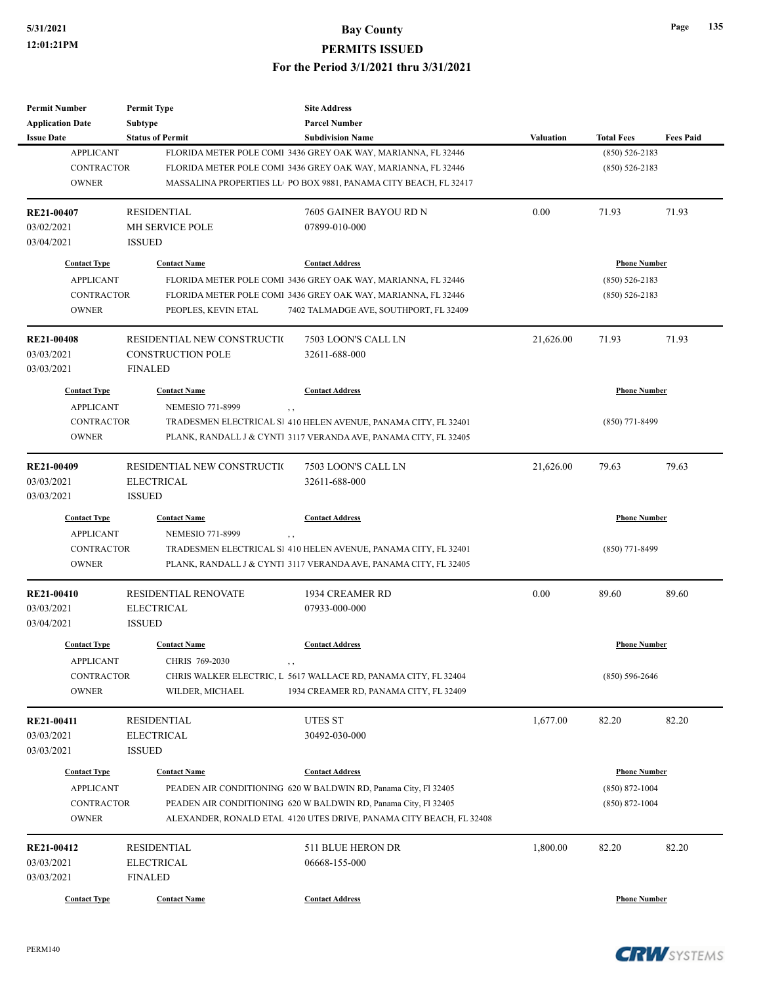| <b>Permit Number</b>    | <b>Permit Type</b>          | <b>Site Address</b>                                                 |                  |                     |                  |
|-------------------------|-----------------------------|---------------------------------------------------------------------|------------------|---------------------|------------------|
| <b>Application Date</b> | <b>Subtype</b>              | <b>Parcel Number</b>                                                |                  |                     |                  |
| <b>Issue Date</b>       | <b>Status of Permit</b>     | <b>Subdivision Name</b>                                             | <b>Valuation</b> | <b>Total Fees</b>   | <b>Fees Paid</b> |
| <b>APPLICANT</b>        |                             | FLORIDA METER POLE COMI 3436 GREY OAK WAY, MARIANNA, FL 32446       |                  | $(850) 526 - 2183$  |                  |
| <b>CONTRACTOR</b>       |                             | FLORIDA METER POLE COMI 3436 GREY OAK WAY, MARIANNA, FL 32446       |                  | $(850) 526 - 2183$  |                  |
| <b>OWNER</b>            |                             | MASSALINA PROPERTIES LL PO BOX 9881, PANAMA CITY BEACH, FL 32417    |                  |                     |                  |
| RE21-00407              | <b>RESIDENTIAL</b>          | 7605 GAINER BAYOU RD N                                              | 0.00             | 71.93               | 71.93            |
| 03/02/2021              | MH SERVICE POLE             | 07899-010-000                                                       |                  |                     |                  |
| 03/04/2021              | <b>ISSUED</b>               |                                                                     |                  |                     |                  |
| <b>Contact Type</b>     | <b>Contact Name</b>         | <b>Contact Address</b>                                              |                  | <b>Phone Number</b> |                  |
| <b>APPLICANT</b>        |                             | FLORIDA METER POLE COMI 3436 GREY OAK WAY, MARIANNA, FL 32446       |                  | $(850) 526 - 2183$  |                  |
| <b>CONTRACTOR</b>       |                             | FLORIDA METER POLE COMI 3436 GREY OAK WAY, MARIANNA, FL 32446       |                  | $(850) 526 - 2183$  |                  |
| <b>OWNER</b>            | PEOPLES, KEVIN ETAL         | 7402 TALMADGE AVE, SOUTHPORT, FL 32409                              |                  |                     |                  |
| <b>RE21-00408</b>       | RESIDENTIAL NEW CONSTRUCTIO | 7503 LOON'S CALL LN                                                 | 21,626.00        | 71.93               | 71.93            |
| 03/03/2021              | <b>CONSTRUCTION POLE</b>    | 32611-688-000                                                       |                  |                     |                  |
| 03/03/2021              | <b>FINALED</b>              |                                                                     |                  |                     |                  |
| <b>Contact Type</b>     | <b>Contact Name</b>         | <b>Contact Address</b>                                              |                  | <b>Phone Number</b> |                  |
| <b>APPLICANT</b>        | <b>NEMESIO 771-8999</b>     | $, \, ,$                                                            |                  |                     |                  |
| <b>CONTRACTOR</b>       |                             | TRADESMEN ELECTRICAL SI 410 HELEN AVENUE, PANAMA CITY, FL 32401     |                  | $(850)$ 771-8499    |                  |
| <b>OWNER</b>            |                             | PLANK, RANDALL J & CYNT1 3117 VERANDA AVE, PANAMA CITY, FL 32405    |                  |                     |                  |
| RE21-00409              | RESIDENTIAL NEW CONSTRUCTIO | 7503 LOON'S CALL LN                                                 | 21,626.00        | 79.63               | 79.63            |
| 03/03/2021              | <b>ELECTRICAL</b>           | 32611-688-000                                                       |                  |                     |                  |
| 03/03/2021              | <b>ISSUED</b>               |                                                                     |                  |                     |                  |
| <b>Contact Type</b>     | <b>Contact Name</b>         | <b>Contact Address</b>                                              |                  | <b>Phone Number</b> |                  |
| <b>APPLICANT</b>        | <b>NEMESIO 771-8999</b>     | $, \, ,$                                                            |                  |                     |                  |
| <b>CONTRACTOR</b>       |                             | TRADESMEN ELECTRICAL SI 410 HELEN AVENUE, PANAMA CITY, FL 32401     |                  | $(850)$ 771-8499    |                  |
| <b>OWNER</b>            |                             | PLANK, RANDALL J & CYNT1 3117 VERANDA AVE, PANAMA CITY, FL 32405    |                  |                     |                  |
| <b>RE21-00410</b>       | <b>RESIDENTIAL RENOVATE</b> | 1934 CREAMER RD                                                     | 0.00             | 89.60               | 89.60            |
| 03/03/2021              | <b>ELECTRICAL</b>           | 07933-000-000                                                       |                  |                     |                  |
| 03/04/2021              | <b>ISSUED</b>               |                                                                     |                  |                     |                  |
| <b>Contact Type</b>     | <b>Contact Name</b>         | <b>Contact Address</b>                                              |                  | <b>Phone Number</b> |                  |
| <b>APPLICANT</b>        | CHRIS 769-2030              | , ,                                                                 |                  |                     |                  |
| <b>CONTRACTOR</b>       |                             | CHRIS WALKER ELECTRIC, L 5617 WALLACE RD, PANAMA CITY, FL 32404     |                  | $(850) 596 - 2646$  |                  |
| <b>OWNER</b>            | WILDER, MICHAEL             | 1934 CREAMER RD, PANAMA CITY, FL 32409                              |                  |                     |                  |
| RE21-00411              | <b>RESIDENTIAL</b>          | UTES ST                                                             | 1,677.00         | 82.20               | 82.20            |
| 03/03/2021              | <b>ELECTRICAL</b>           | 30492-030-000                                                       |                  |                     |                  |
| 03/03/2021              | <b>ISSUED</b>               |                                                                     |                  |                     |                  |
| <b>Contact Type</b>     | <b>Contact Name</b>         | <b>Contact Address</b>                                              |                  | <b>Phone Number</b> |                  |
| <b>APPLICANT</b>        |                             | PEADEN AIR CONDITIONING 620 W BALDWIN RD, Panama City, Fl 32405     |                  | $(850) 872 - 1004$  |                  |
| CONTRACTOR              |                             | PEADEN AIR CONDITIONING 620 W BALDWIN RD, Panama City, Fl 32405     |                  | $(850) 872 - 1004$  |                  |
| <b>OWNER</b>            |                             | ALEXANDER, RONALD ETAL 4120 UTES DRIVE, PANAMA CITY BEACH, FL 32408 |                  |                     |                  |
|                         |                             |                                                                     |                  |                     |                  |
| RE21-00412              | <b>RESIDENTIAL</b>          | 511 BLUE HERON DR                                                   | 1,800.00         | 82.20               | 82.20            |
| 03/03/2021              | <b>ELECTRICAL</b>           | 06668-155-000                                                       |                  |                     |                  |
| 03/03/2021              | <b>FINALED</b>              |                                                                     |                  |                     |                  |
| <b>Contact Type</b>     | <b>Contact Name</b>         | <b>Contact Address</b>                                              |                  | <b>Phone Number</b> |                  |



**Page 135**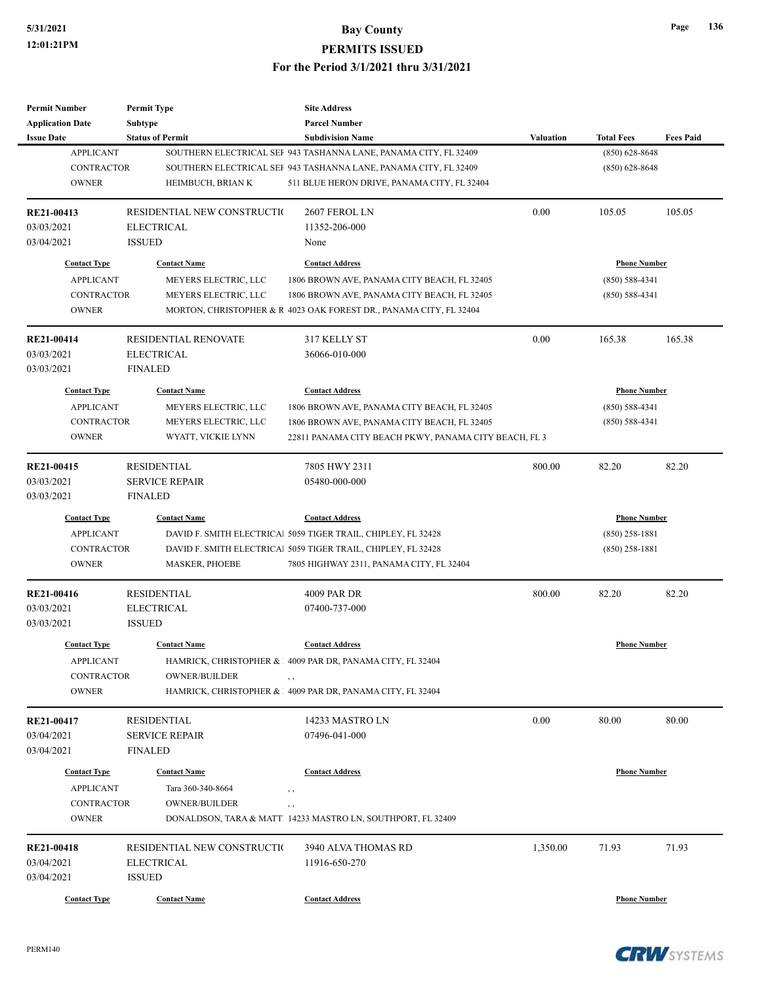| <b>Permit Number</b>     | <b>Permit Type</b>                  | <b>Site Address</b>                                                |                  |                     |                  |
|--------------------------|-------------------------------------|--------------------------------------------------------------------|------------------|---------------------|------------------|
| <b>Application Date</b>  | <b>Subtype</b>                      | <b>Parcel Number</b>                                               |                  |                     |                  |
| <b>Issue Date</b>        | <b>Status of Permit</b>             | <b>Subdivision Name</b>                                            | <b>Valuation</b> | <b>Total Fees</b>   | <b>Fees Paid</b> |
| <b>APPLICANT</b>         |                                     | SOUTHERN ELECTRICAL SEF 943 TASHANNA LANE, PANAMA CITY, FL 32409   |                  | $(850) 628 - 8648$  |                  |
| <b>CONTRACTOR</b>        |                                     | SOUTHERN ELECTRICAL SEF 943 TASHANNA LANE, PANAMA CITY, FL 32409   |                  | $(850) 628 - 8648$  |                  |
| <b>OWNER</b>             | HEIMBUCH, BRIAN K                   | 511 BLUE HERON DRIVE, PANAMA CITY, FL 32404                        |                  |                     |                  |
| RE21-00413               | RESIDENTIAL NEW CONSTRUCTIO         | 2607 FEROL LN                                                      | 0.00             |                     |                  |
|                          |                                     |                                                                    |                  | 105.05              | 105.05           |
| 03/03/2021               | <b>ELECTRICAL</b>                   | 11352-206-000                                                      |                  |                     |                  |
| 03/04/2021               | <b>ISSUED</b>                       | None                                                               |                  |                     |                  |
| <b>Contact Type</b>      | <b>Contact Name</b>                 | <b>Contact Address</b>                                             |                  | <b>Phone Number</b> |                  |
| <b>APPLICANT</b>         | MEYERS ELECTRIC, LLC                | 1806 BROWN AVE, PANAMA CITY BEACH, FL 32405                        |                  | $(850) 588 - 4341$  |                  |
| CONTRACTOR               | MEYERS ELECTRIC, LLC                | 1806 BROWN AVE, PANAMA CITY BEACH, FL 32405                        |                  | $(850) 588 - 4341$  |                  |
| <b>OWNER</b>             |                                     | MORTON, CHRISTOPHER & R 4023 OAK FOREST DR., PANAMA CITY, FL 32404 |                  |                     |                  |
| RE21-00414               | RESIDENTIAL RENOVATE                | 317 KELLY ST                                                       | 0.00             | 165.38              | 165.38           |
|                          |                                     |                                                                    |                  |                     |                  |
| 03/03/2021<br>03/03/2021 | <b>ELECTRICAL</b><br><b>FINALED</b> | 36066-010-000                                                      |                  |                     |                  |
|                          |                                     |                                                                    |                  |                     |                  |
| <b>Contact Type</b>      | <b>Contact Name</b>                 | <b>Contact Address</b>                                             |                  | <b>Phone Number</b> |                  |
| <b>APPLICANT</b>         | MEYERS ELECTRIC, LLC                | 1806 BROWN AVE, PANAMA CITY BEACH, FL 32405                        |                  | $(850) 588 - 4341$  |                  |
| <b>CONTRACTOR</b>        | MEYERS ELECTRIC, LLC                | 1806 BROWN AVE, PANAMA CITY BEACH, FL 32405                        |                  | $(850) 588 - 4341$  |                  |
| <b>OWNER</b>             | WYATT, VICKIE LYNN                  | 22811 PANAMA CITY BEACH PKWY, PANAMA CITY BEACH, FL 3              |                  |                     |                  |
| RE21-00415               | <b>RESIDENTIAL</b>                  | 7805 HWY 2311                                                      | 800.00           | 82.20               | 82.20            |
| 03/03/2021               | <b>SERVICE REPAIR</b>               | 05480-000-000                                                      |                  |                     |                  |
| 03/03/2021               | <b>FINALED</b>                      |                                                                    |                  |                     |                  |
| <b>Contact Type</b>      | <b>Contact Name</b>                 | <b>Contact Address</b>                                             |                  | <b>Phone Number</b> |                  |
| <b>APPLICANT</b>         |                                     | DAVID F. SMITH ELECTRICAl 5059 TIGER TRAIL, CHIPLEY, FL 32428      |                  | $(850)$ 258-1881    |                  |
| <b>CONTRACTOR</b>        |                                     | DAVID F. SMITH ELECTRICAI 5059 TIGER TRAIL, CHIPLEY, FL 32428      |                  | $(850)$ 258-1881    |                  |
| <b>OWNER</b>             | MASKER, PHOEBE                      | 7805 HIGHWAY 2311, PANAMA CITY, FL 32404                           |                  |                     |                  |
| RE21-00416               | <b>RESIDENTIAL</b>                  | 4009 PAR DR                                                        | 800.00           | 82.20               | 82.20            |
| 03/03/2021               | <b>ELECTRICAL</b>                   | 07400-737-000                                                      |                  |                     |                  |
| 03/03/2021               | <b>ISSUED</b>                       |                                                                    |                  |                     |                  |
| <b>Contact Type</b>      | <b>Contact Name</b>                 | <b>Contact Address</b>                                             |                  | <b>Phone Number</b> |                  |
|                          |                                     |                                                                    |                  |                     |                  |
| <b>APPLICANT</b>         |                                     | HAMRICK, CHRISTOPHER & 14009 PAR DR, PANAMA CITY, FL 32404         |                  |                     |                  |
| CONTRACTOR               | <b>OWNER/BUILDER</b>                | $, \, ,$                                                           |                  |                     |                  |
| <b>OWNER</b>             |                                     | HAMRICK, CHRISTOPHER & 4009 PAR DR, PANAMA CITY, FL 32404          |                  |                     |                  |
| RE21-00417               | <b>RESIDENTIAL</b>                  | 14233 MASTRO LN                                                    | 0.00             | 80.00               | 80.00            |
| 03/04/2021               | <b>SERVICE REPAIR</b>               | 07496-041-000                                                      |                  |                     |                  |
| 03/04/2021               | <b>FINALED</b>                      |                                                                    |                  |                     |                  |
| <b>Contact Type</b>      | <b>Contact Name</b>                 | <b>Contact Address</b>                                             |                  | <b>Phone Number</b> |                  |
| <b>APPLICANT</b>         | Tara 360-340-8664                   | $, \, , \,$                                                        |                  |                     |                  |
| CONTRACTOR               | <b>OWNER/BUILDER</b>                | , ,                                                                |                  |                     |                  |
| <b>OWNER</b>             |                                     | DONALDSON, TARA & MATT 14233 MASTRO LN, SOUTHPORT, FL 32409        |                  |                     |                  |
| <b>RE21-00418</b>        | RESIDENTIAL NEW CONSTRUCTIO         |                                                                    | 1,350.00         | 71.93               | 71.93            |
|                          |                                     | 3940 ALVA THOMAS RD                                                |                  |                     |                  |
| 03/04/2021               | <b>ELECTRICAL</b>                   | 11916-650-270                                                      |                  |                     |                  |
| 03/04/2021               | <b>ISSUED</b>                       |                                                                    |                  |                     |                  |
| <b>Contact Type</b>      | <b>Contact Name</b>                 | <b>Contact Address</b>                                             |                  | <b>Phone Number</b> |                  |

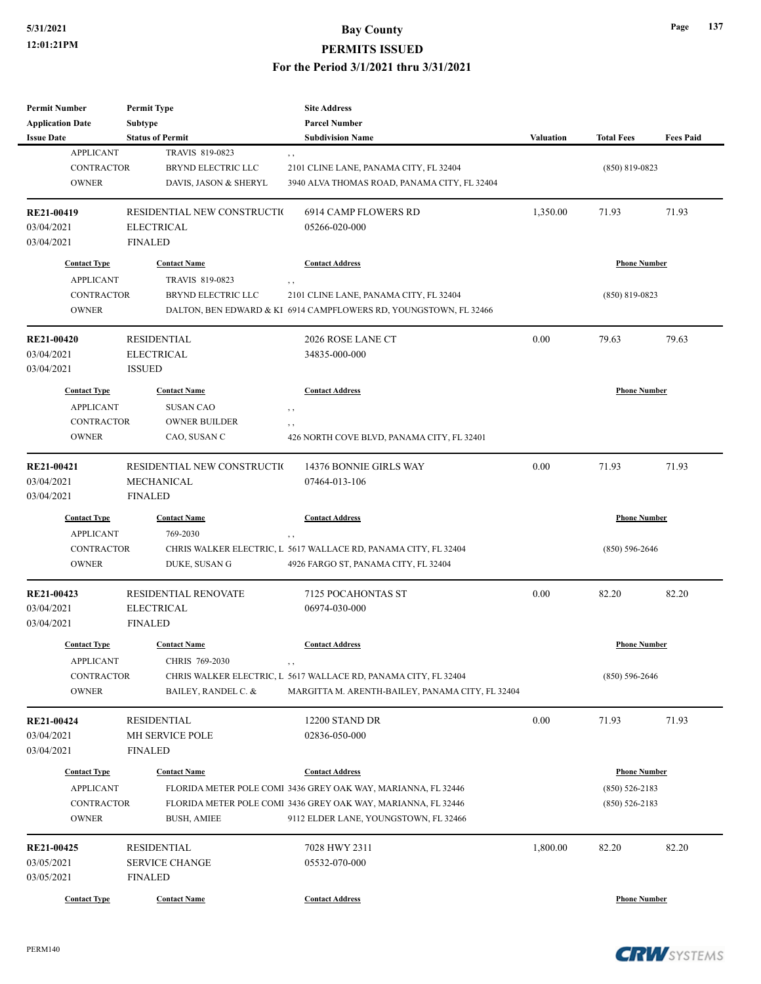| <b>Permit Number</b>            | <b>Permit Type</b>          | <b>Site Address</b>                                               |                  |                     |                  |
|---------------------------------|-----------------------------|-------------------------------------------------------------------|------------------|---------------------|------------------|
| <b>Application Date</b>         | Subtype                     | <b>Parcel Number</b>                                              |                  |                     |                  |
| <b>Issue Date</b>               | <b>Status of Permit</b>     | <b>Subdivision Name</b>                                           | <b>Valuation</b> | <b>Total Fees</b>   | <b>Fees Paid</b> |
| <b>APPLICANT</b>                | TRAVIS 819-0823             | , ,                                                               |                  |                     |                  |
| <b>CONTRACTOR</b>               | <b>BRYND ELECTRIC LLC</b>   | 2101 CLINE LANE, PANAMA CITY, FL 32404                            |                  | $(850)$ 819-0823    |                  |
| <b>OWNER</b>                    | DAVIS, JASON & SHERYL       | 3940 ALVA THOMAS ROAD, PANAMA CITY, FL 32404                      |                  |                     |                  |
| RE21-00419                      | RESIDENTIAL NEW CONSTRUCTIO | 6914 CAMP FLOWERS RD                                              | 1,350.00         | 71.93               | 71.93            |
| 03/04/2021                      | <b>ELECTRICAL</b>           | 05266-020-000                                                     |                  |                     |                  |
| 03/04/2021                      | <b>FINALED</b>              |                                                                   |                  |                     |                  |
| <b>Contact Type</b>             | <b>Contact Name</b>         | <b>Contact Address</b>                                            |                  | <b>Phone Number</b> |                  |
| <b>APPLICANT</b>                | TRAVIS 819-0823             | $, \, ,$                                                          |                  |                     |                  |
| <b>CONTRACTOR</b>               | <b>BRYND ELECTRIC LLC</b>   | 2101 CLINE LANE, PANAMA CITY, FL 32404                            |                  | $(850)$ 819-0823    |                  |
| <b>OWNER</b>                    |                             | DALTON, BEN EDWARD & KI 6914 CAMPFLOWERS RD, YOUNGSTOWN, FL 32466 |                  |                     |                  |
| RE21-00420                      | <b>RESIDENTIAL</b>          | 2026 ROSE LANE CT                                                 | 0.00             | 79.63               | 79.63            |
| 03/04/2021                      | <b>ELECTRICAL</b>           | 34835-000-000                                                     |                  |                     |                  |
| 03/04/2021                      | <b>ISSUED</b>               |                                                                   |                  |                     |                  |
| <b>Contact Type</b>             | <b>Contact Name</b>         | <b>Contact Address</b>                                            |                  | <b>Phone Number</b> |                  |
| <b>APPLICANT</b>                | <b>SUSAN CAO</b>            |                                                                   |                  |                     |                  |
| <b>CONTRACTOR</b>               | <b>OWNER BUILDER</b>        | , ,                                                               |                  |                     |                  |
| <b>OWNER</b>                    | CAO, SUSAN C                | $, \, ,$<br>426 NORTH COVE BLVD, PANAMA CITY, FL 32401            |                  |                     |                  |
|                                 |                             |                                                                   |                  |                     |                  |
| RE21-00421                      | RESIDENTIAL NEW CONSTRUCTIO | 14376 BONNIE GIRLS WAY                                            | 0.00             | 71.93               | 71.93            |
| 03/04/2021                      | MECHANICAL                  | 07464-013-106                                                     |                  |                     |                  |
| 03/04/2021                      | <b>FINALED</b>              |                                                                   |                  |                     |                  |
| <b>Contact Type</b>             | <b>Contact Name</b>         | <b>Contact Address</b>                                            |                  | <b>Phone Number</b> |                  |
| <b>APPLICANT</b>                | 769-2030                    | $, \, ,$                                                          |                  |                     |                  |
| <b>CONTRACTOR</b>               |                             | CHRIS WALKER ELECTRIC, L 5617 WALLACE RD, PANAMA CITY, FL 32404   |                  | $(850) 596 - 2646$  |                  |
| <b>OWNER</b>                    | DUKE, SUSAN G               | 4926 FARGO ST, PANAMA CITY, FL 32404                              |                  |                     |                  |
| RE21-00423                      | <b>RESIDENTIAL RENOVATE</b> | <b>7125 POCAHONTAS ST</b>                                         | 0.00             | 82.20               | 82.20            |
| 03/04/2021                      | <b>ELECTRICAL</b>           | 06974-030-000                                                     |                  |                     |                  |
| 03/04/2021                      | <b>FINALED</b>              |                                                                   |                  |                     |                  |
| <b>Contact Type</b>             | <b>Contact Name</b>         | <b>Contact Address</b>                                            |                  | <b>Phone Number</b> |                  |
| <b>APPLICANT</b>                | CHRIS 769-2030              |                                                                   |                  |                     |                  |
| CONTRACTOR                      |                             | CHRIS WALKER ELECTRIC, L 5617 WALLACE RD, PANAMA CITY, FL 32404   |                  | $(850) 596 - 2646$  |                  |
| <b>OWNER</b>                    | BAILEY, RANDEL C. &         | MARGITTA M. ARENTH-BAILEY, PANAMA CITY, FL 32404                  |                  |                     |                  |
|                                 | <b>RESIDENTIAL</b>          | 12200 STAND DR                                                    | 0.00             | 71.93               | 71.93            |
| <b>RE21-00424</b><br>03/04/2021 | MH SERVICE POLE             | 02836-050-000                                                     |                  |                     |                  |
| 03/04/2021                      |                             |                                                                   |                  |                     |                  |
|                                 | <b>FINALED</b>              |                                                                   |                  |                     |                  |
| <b>Contact Type</b>             | <b>Contact Name</b>         | <b>Contact Address</b>                                            |                  | <b>Phone Number</b> |                  |
| <b>APPLICANT</b>                |                             | FLORIDA METER POLE COMI 3436 GREY OAK WAY, MARIANNA, FL 32446     |                  | $(850) 526 - 2183$  |                  |
| CONTRACTOR                      |                             | FLORIDA METER POLE COMI 3436 GREY OAK WAY, MARIANNA, FL 32446     |                  | $(850) 526 - 2183$  |                  |
| <b>OWNER</b>                    | <b>BUSH, AMIEE</b>          | 9112 ELDER LANE, YOUNGSTOWN, FL 32466                             |                  |                     |                  |
| RE21-00425                      | <b>RESIDENTIAL</b>          | 7028 HWY 2311                                                     | 1,800.00         | 82.20               | 82.20            |
| 03/05/2021                      | <b>SERVICE CHANGE</b>       | 05532-070-000                                                     |                  |                     |                  |
| 03/05/2021                      | <b>FINALED</b>              |                                                                   |                  |                     |                  |
| <b>Contact Type</b>             | <b>Contact Name</b>         | <b>Contact Address</b>                                            |                  | <b>Phone Number</b> |                  |
|                                 |                             |                                                                   |                  |                     |                  |

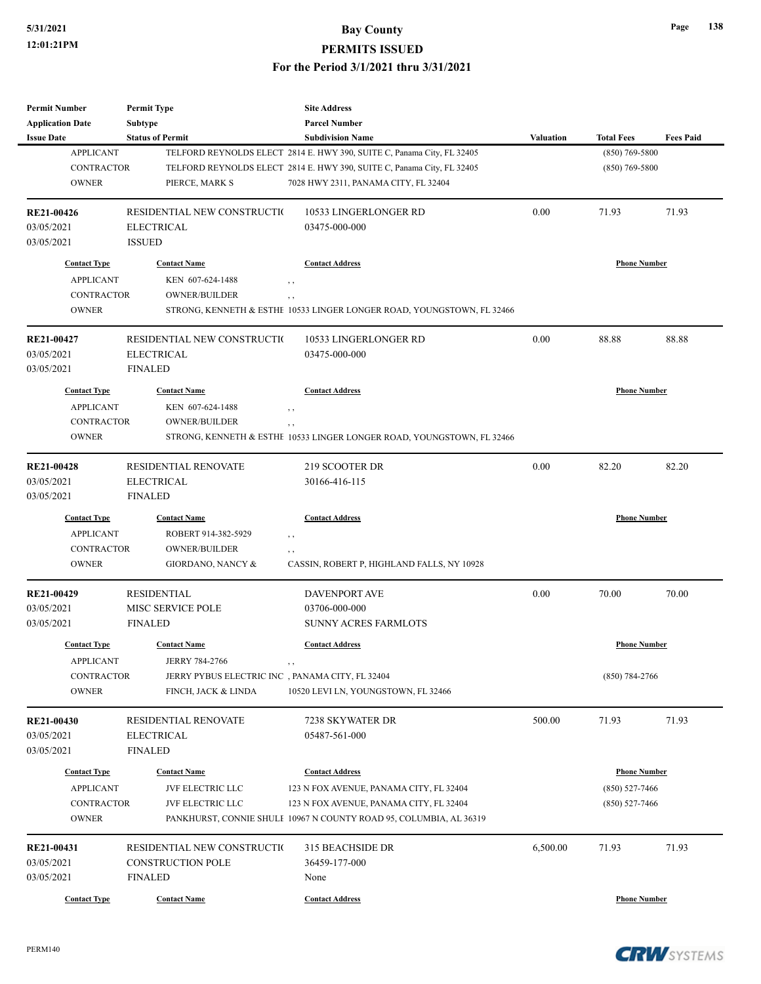| <b>Permit Number</b>    | <b>Permit Type</b>                              | <b>Site Address</b>                                                    |                  |                     |                  |
|-------------------------|-------------------------------------------------|------------------------------------------------------------------------|------------------|---------------------|------------------|
| <b>Application Date</b> | Subtype                                         | <b>Parcel Number</b>                                                   |                  |                     |                  |
| <b>Issue Date</b>       | <b>Status of Permit</b>                         | <b>Subdivision Name</b>                                                | <b>Valuation</b> | <b>Total Fees</b>   | <b>Fees Paid</b> |
| <b>APPLICANT</b>        |                                                 | TELFORD REYNOLDS ELECT 2814 E. HWY 390, SUITE C, Panama City, FL 32405 |                  | $(850) 769 - 5800$  |                  |
| <b>CONTRACTOR</b>       |                                                 | TELFORD REYNOLDS ELECT 2814 E. HWY 390, SUITE C, Panama City, FL 32405 |                  | $(850)$ 769-5800    |                  |
| <b>OWNER</b>            | PIERCE, MARK S                                  | 7028 HWY 2311, PANAMA CITY, FL 32404                                   |                  |                     |                  |
| RE21-00426              | RESIDENTIAL NEW CONSTRUCTIO                     | 10533 LINGERLONGER RD                                                  | 0.00             | 71.93               | 71.93            |
| 03/05/2021              | <b>ELECTRICAL</b>                               | 03475-000-000                                                          |                  |                     |                  |
| 03/05/2021              | <b>ISSUED</b>                                   |                                                                        |                  |                     |                  |
| <b>Contact Type</b>     | <b>Contact Name</b>                             | <b>Contact Address</b>                                                 |                  | <b>Phone Number</b> |                  |
| <b>APPLICANT</b>        | KEN 607-624-1488                                | $, \, ,$                                                               |                  |                     |                  |
| <b>CONTRACTOR</b>       | <b>OWNER/BUILDER</b>                            | $, \, ,$                                                               |                  |                     |                  |
| <b>OWNER</b>            |                                                 | STRONG, KENNETH & ESTHE 10533 LINGER LONGER ROAD, YOUNGSTOWN, FL 32466 |                  |                     |                  |
| RE21-00427              | RESIDENTIAL NEW CONSTRUCTIO                     | 10533 LINGERLONGER RD                                                  | 0.00             | 88.88               | 88.88            |
| 03/05/2021              | <b>ELECTRICAL</b>                               | 03475-000-000                                                          |                  |                     |                  |
| 03/05/2021              | <b>FINALED</b>                                  |                                                                        |                  |                     |                  |
| <b>Contact Type</b>     | <b>Contact Name</b>                             | <b>Contact Address</b>                                                 |                  | <b>Phone Number</b> |                  |
| <b>APPLICANT</b>        | KEN 607-624-1488                                |                                                                        |                  |                     |                  |
| <b>CONTRACTOR</b>       | <b>OWNER/BUILDER</b>                            | , ,                                                                    |                  |                     |                  |
|                         |                                                 | , ,                                                                    |                  |                     |                  |
| <b>OWNER</b>            |                                                 | STRONG, KENNETH & ESTHE 10533 LINGER LONGER ROAD, YOUNGSTOWN, FL 32466 |                  |                     |                  |
| RE21-00428              | RESIDENTIAL RENOVATE                            | 219 SCOOTER DR                                                         | 0.00             | 82.20               | 82.20            |
| 03/05/2021              | <b>ELECTRICAL</b>                               | 30166-416-115                                                          |                  |                     |                  |
| 03/05/2021              | <b>FINALED</b>                                  |                                                                        |                  |                     |                  |
| <b>Contact Type</b>     | <b>Contact Name</b>                             | <b>Contact Address</b>                                                 |                  | <b>Phone Number</b> |                  |
| <b>APPLICANT</b>        | ROBERT 914-382-5929                             | $, \, , \,$                                                            |                  |                     |                  |
| CONTRACTOR              | OWNER/BUILDER                                   | , ,                                                                    |                  |                     |                  |
| <b>OWNER</b>            | GIORDANO, NANCY &                               | CASSIN, ROBERT P, HIGHLAND FALLS, NY 10928                             |                  |                     |                  |
| RE21-00429              | <b>RESIDENTIAL</b>                              | <b>DAVENPORT AVE</b>                                                   | 0.00             | 70.00               | 70.00            |
| 03/05/2021              | MISC SERVICE POLE                               | 03706-000-000                                                          |                  |                     |                  |
| 03/05/2021              | <b>FINALED</b>                                  | <b>SUNNY ACRES FARMLOTS</b>                                            |                  |                     |                  |
|                         |                                                 |                                                                        |                  |                     |                  |
| <b>Contact Type</b>     | <b>Contact Name</b>                             | <b>Contact Address</b>                                                 |                  | <b>Phone Number</b> |                  |
| <b>APPLICANT</b>        | JERRY 784-2766                                  |                                                                        |                  |                     |                  |
| CONTRACTOR              | JERRY PYBUS ELECTRIC INC, PANAMA CITY, FL 32404 |                                                                        |                  | $(850)$ 784-2766    |                  |
| <b>OWNER</b>            | FINCH, JACK & LINDA                             | 10520 LEVI LN, YOUNGSTOWN, FL 32466                                    |                  |                     |                  |
| <b>RE21-00430</b>       | RESIDENTIAL RENOVATE                            | 7238 SKYWATER DR                                                       | 500.00           | 71.93               | 71.93            |
| 03/05/2021              | <b>ELECTRICAL</b>                               | 05487-561-000                                                          |                  |                     |                  |
| 03/05/2021              | <b>FINALED</b>                                  |                                                                        |                  |                     |                  |
| <b>Contact Type</b>     | <b>Contact Name</b>                             | <b>Contact Address</b>                                                 |                  | <b>Phone Number</b> |                  |
| <b>APPLICANT</b>        | JVF ELECTRIC LLC                                | 123 N FOX AVENUE, PANAMA CITY, FL 32404                                |                  | $(850) 527 - 7466$  |                  |
| CONTRACTOR              | JVF ELECTRIC LLC                                | 123 N FOX AVENUE, PANAMA CITY, FL 32404                                |                  | $(850)$ 527-7466    |                  |
| <b>OWNER</b>            |                                                 | PANKHURST, CONNIE SHULI 10967 N COUNTY ROAD 95, COLUMBIA, AL 36319     |                  |                     |                  |
| RE21-00431              | RESIDENTIAL NEW CONSTRUCTIO                     | 315 BEACHSIDE DR                                                       | 6,500.00         | 71.93               | 71.93            |
| 03/05/2021              | <b>CONSTRUCTION POLE</b>                        | 36459-177-000                                                          |                  |                     |                  |
| 03/05/2021              | <b>FINALED</b>                                  | None                                                                   |                  |                     |                  |
|                         |                                                 |                                                                        |                  |                     |                  |
| <b>Contact Type</b>     | <b>Contact Name</b>                             | <b>Contact Address</b>                                                 |                  | <b>Phone Number</b> |                  |

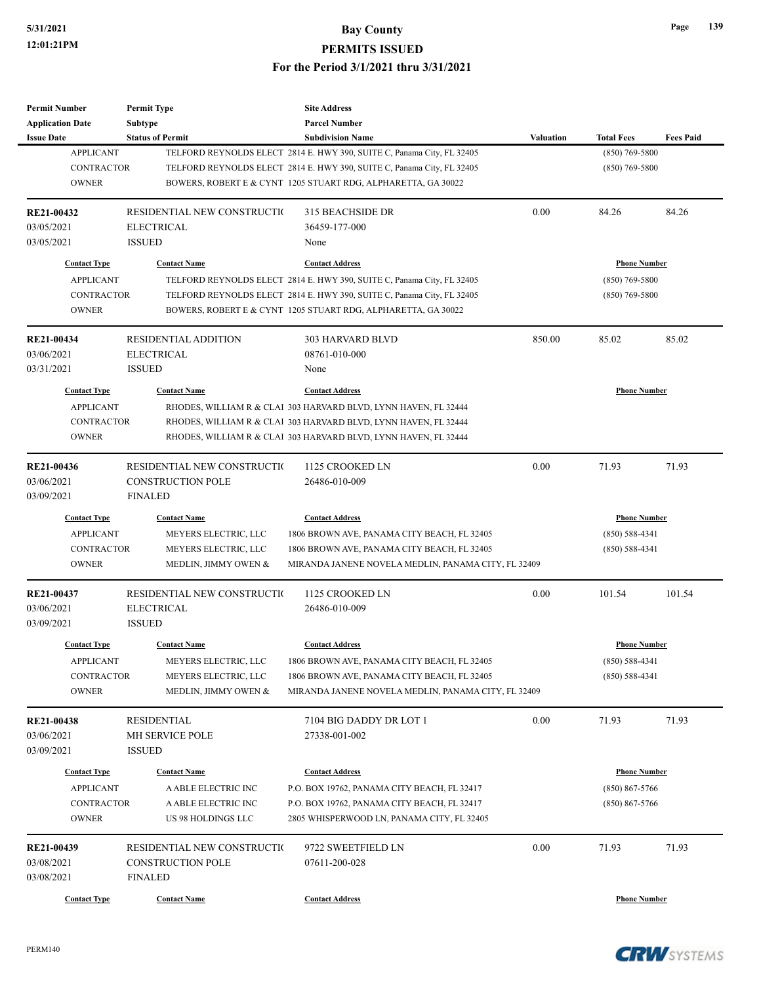| <b>Permit Number</b>    | <b>Permit Type</b>          | <b>Site Address</b>                                                    |                  |                     |                  |
|-------------------------|-----------------------------|------------------------------------------------------------------------|------------------|---------------------|------------------|
| <b>Application Date</b> | <b>Subtype</b>              | <b>Parcel Number</b>                                                   |                  |                     |                  |
| <b>Issue Date</b>       | <b>Status of Permit</b>     | <b>Subdivision Name</b>                                                | <b>Valuation</b> | <b>Total Fees</b>   | <b>Fees Paid</b> |
| <b>APPLICANT</b>        |                             | TELFORD REYNOLDS ELECT 2814 E. HWY 390, SUITE C, Panama City, FL 32405 |                  | $(850)$ 769-5800    |                  |
| <b>CONTRACTOR</b>       |                             | TELFORD REYNOLDS ELECT 2814 E. HWY 390, SUITE C, Panama City, FL 32405 |                  | $(850)$ 769-5800    |                  |
| <b>OWNER</b>            |                             | BOWERS, ROBERT E & CYNT 1205 STUART RDG, ALPHARETTA, GA 30022          |                  |                     |                  |
|                         |                             |                                                                        |                  |                     |                  |
| <b>RE21-00432</b>       | RESIDENTIAL NEW CONSTRUCTIO | <b>315 BEACHSIDE DR</b>                                                | 0.00             | 84.26               | 84.26            |
| 03/05/2021              | <b>ELECTRICAL</b>           | 36459-177-000                                                          |                  |                     |                  |
| 03/05/2021              | <b>ISSUED</b>               | None                                                                   |                  |                     |                  |
|                         |                             |                                                                        |                  |                     |                  |
| <b>Contact Type</b>     | <b>Contact Name</b>         | <b>Contact Address</b>                                                 |                  | <b>Phone Number</b> |                  |
| <b>APPLICANT</b>        |                             | TELFORD REYNOLDS ELECT 2814 E. HWY 390, SUITE C, Panama City, FL 32405 |                  | $(850)$ 769-5800    |                  |
| <b>CONTRACTOR</b>       |                             | TELFORD REYNOLDS ELECT 2814 E. HWY 390, SUITE C, Panama City, FL 32405 |                  | $(850)$ 769-5800    |                  |
| <b>OWNER</b>            |                             | BOWERS, ROBERT E & CYNT 1205 STUART RDG, ALPHARETTA, GA 30022          |                  |                     |                  |
| RE21-00434              | <b>RESIDENTIAL ADDITION</b> | 303 HARVARD BLVD                                                       | 850.00           | 85.02               | 85.02            |
| 03/06/2021              | <b>ELECTRICAL</b>           | 08761-010-000                                                          |                  |                     |                  |
| 03/31/2021              | <b>ISSUED</b>               | None                                                                   |                  |                     |                  |
|                         |                             |                                                                        |                  |                     |                  |
| <b>Contact Type</b>     | <b>Contact Name</b>         | <b>Contact Address</b>                                                 |                  | <b>Phone Number</b> |                  |
| <b>APPLICANT</b>        |                             | RHODES, WILLIAM R & CLAI 303 HARVARD BLVD, LYNN HAVEN, FL 32444        |                  |                     |                  |
| <b>CONTRACTOR</b>       |                             | RHODES, WILLIAM R & CLAI 303 HARVARD BLVD, LYNN HAVEN, FL 32444        |                  |                     |                  |
| <b>OWNER</b>            |                             | RHODES, WILLIAM R & CLAI 303 HARVARD BLVD, LYNN HAVEN, FL 32444        |                  |                     |                  |
| RE21-00436              | RESIDENTIAL NEW CONSTRUCTIO | 1125 CROOKED LN                                                        | 0.00             | 71.93               | 71.93            |
| 03/06/2021              | <b>CONSTRUCTION POLE</b>    | 26486-010-009                                                          |                  |                     |                  |
| 03/09/2021              | <b>FINALED</b>              |                                                                        |                  |                     |                  |
|                         |                             |                                                                        |                  |                     |                  |
| <b>Contact Type</b>     | <b>Contact Name</b>         | <b>Contact Address</b>                                                 |                  | <b>Phone Number</b> |                  |
| <b>APPLICANT</b>        | MEYERS ELECTRIC, LLC        | 1806 BROWN AVE, PANAMA CITY BEACH, FL 32405                            |                  | $(850) 588 - 4341$  |                  |
| <b>CONTRACTOR</b>       | MEYERS ELECTRIC, LLC        | 1806 BROWN AVE, PANAMA CITY BEACH, FL 32405                            |                  | $(850) 588 - 4341$  |                  |
| <b>OWNER</b>            | MEDLIN, JIMMY OWEN &        | MIRANDA JANENE NOVELA MEDLIN, PANAMA CITY, FL 32409                    |                  |                     |                  |
| RE21-00437              | RESIDENTIAL NEW CONSTRUCTIO | 1125 CROOKED LN                                                        | 0.00             | 101.54              | 101.54           |
| 03/06/2021              | <b>ELECTRICAL</b>           | 26486-010-009                                                          |                  |                     |                  |
| 03/09/2021              | <b>ISSUED</b>               |                                                                        |                  |                     |                  |
|                         |                             |                                                                        |                  |                     |                  |
| <b>Contact Type</b>     | <b>Contact Name</b>         | <b>Contact Address</b>                                                 |                  | <b>Phone Number</b> |                  |
| <b>APPLICANT</b>        | MEYERS ELECTRIC, LLC        | 1806 BROWN AVE, PANAMA CITY BEACH, FL 32405                            |                  | $(850) 588 - 4341$  |                  |
| <b>CONTRACTOR</b>       | MEYERS ELECTRIC, LLC        | 1806 BROWN AVE, PANAMA CITY BEACH, FL 32405                            |                  | $(850) 588 - 4341$  |                  |
| <b>OWNER</b>            | MEDLIN, JIMMY OWEN &        | MIRANDA JANENE NOVELA MEDLIN, PANAMA CITY, FL 32409                    |                  |                     |                  |
| RE21-00438              | <b>RESIDENTIAL</b>          | 7104 BIG DADDY DR LOT 1                                                | 0.00             | 71.93               | 71.93            |
| 03/06/2021              | MH SERVICE POLE             | 27338-001-002                                                          |                  |                     |                  |
| 03/09/2021              |                             |                                                                        |                  |                     |                  |
|                         | <b>ISSUED</b>               |                                                                        |                  |                     |                  |
| <b>Contact Type</b>     | <b>Contact Name</b>         | <b>Contact Address</b>                                                 |                  | <b>Phone Number</b> |                  |
| <b>APPLICANT</b>        | A ABLE ELECTRIC INC         | P.O. BOX 19762, PANAMA CITY BEACH, FL 32417                            |                  | $(850) 867 - 5766$  |                  |
| <b>CONTRACTOR</b>       | A ABLE ELECTRIC INC         | P.O. BOX 19762, PANAMA CITY BEACH, FL 32417                            |                  | $(850) 867 - 5766$  |                  |
| <b>OWNER</b>            | US 98 HOLDINGS LLC          | 2805 WHISPERWOOD LN, PANAMA CITY, FL 32405                             |                  |                     |                  |
| RE21-00439              | RESIDENTIAL NEW CONSTRUCTIO | 9722 SWEETFIELD LN                                                     | 0.00             | 71.93               | 71.93            |
| 03/08/2021              | <b>CONSTRUCTION POLE</b>    | 07611-200-028                                                          |                  |                     |                  |
|                         |                             |                                                                        |                  |                     |                  |
| 03/08/2021              | <b>FINALED</b>              |                                                                        |                  |                     |                  |
| <b>Contact Type</b>     | <b>Contact Name</b>         | <b>Contact Address</b>                                                 |                  | <b>Phone Number</b> |                  |

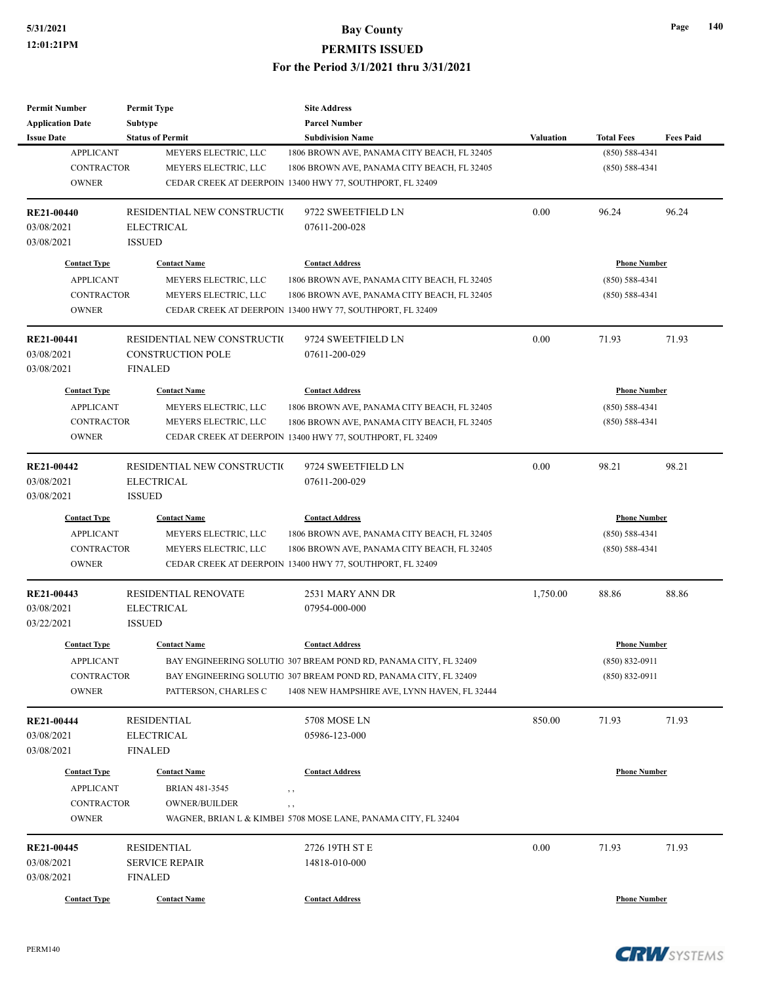| <b>Permit Number</b>    | <b>Permit Type</b>           | <b>Site Address</b>                                              |                  |                     |                  |
|-------------------------|------------------------------|------------------------------------------------------------------|------------------|---------------------|------------------|
| <b>Application Date</b> | <b>Subtype</b>               | <b>Parcel Number</b>                                             |                  |                     |                  |
| <b>Issue Date</b>       | <b>Status of Permit</b>      | <b>Subdivision Name</b>                                          | <b>Valuation</b> | <b>Total Fees</b>   | <b>Fees Paid</b> |
| <b>APPLICANT</b>        | MEYERS ELECTRIC, LLC         | 1806 BROWN AVE, PANAMA CITY BEACH, FL 32405                      |                  | $(850) 588 - 4341$  |                  |
| <b>CONTRACTOR</b>       | MEYERS ELECTRIC, LLC         | 1806 BROWN AVE, PANAMA CITY BEACH, FL 32405                      |                  | $(850) 588 - 4341$  |                  |
| <b>OWNER</b>            |                              | CEDAR CREEK AT DEERPOIN 13400 HWY 77, SOUTHPORT, FL 32409        |                  |                     |                  |
| <b>RE21-00440</b>       | RESIDENTIAL NEW CONSTRUCTION | 9722 SWEETFIELD LN                                               | 0.00             | 96.24               | 96.24            |
| 03/08/2021              | <b>ELECTRICAL</b>            | 07611-200-028                                                    |                  |                     |                  |
| 03/08/2021              | <b>ISSUED</b>                |                                                                  |                  |                     |                  |
| <b>Contact Type</b>     | <b>Contact Name</b>          | <b>Contact Address</b>                                           |                  | <b>Phone Number</b> |                  |
| <b>APPLICANT</b>        | MEYERS ELECTRIC, LLC         | 1806 BROWN AVE, PANAMA CITY BEACH, FL 32405                      |                  | $(850) 588 - 4341$  |                  |
| <b>CONTRACTOR</b>       | MEYERS ELECTRIC, LLC         | 1806 BROWN AVE, PANAMA CITY BEACH, FL 32405                      |                  | $(850) 588 - 4341$  |                  |
| <b>OWNER</b>            |                              | CEDAR CREEK AT DEERPOIN 13400 HWY 77, SOUTHPORT, FL 32409        |                  |                     |                  |
| <b>RE21-00441</b>       | RESIDENTIAL NEW CONSTRUCTION | 9724 SWEETFIELD LN                                               | 0.00             | 71.93               | 71.93            |
| 03/08/2021              | <b>CONSTRUCTION POLE</b>     | 07611-200-029                                                    |                  |                     |                  |
| 03/08/2021              | <b>FINALED</b>               |                                                                  |                  |                     |                  |
| <b>Contact Type</b>     | <b>Contact Name</b>          | <b>Contact Address</b>                                           |                  | <b>Phone Number</b> |                  |
| <b>APPLICANT</b>        | MEYERS ELECTRIC, LLC         | 1806 BROWN AVE, PANAMA CITY BEACH, FL 32405                      |                  | $(850) 588 - 4341$  |                  |
| <b>CONTRACTOR</b>       | MEYERS ELECTRIC, LLC         | 1806 BROWN AVE, PANAMA CITY BEACH, FL 32405                      |                  | $(850) 588 - 4341$  |                  |
| <b>OWNER</b>            |                              | CEDAR CREEK AT DEERPOIN 13400 HWY 77, SOUTHPORT, FL 32409        |                  |                     |                  |
|                         |                              |                                                                  |                  |                     |                  |
| RE21-00442              | RESIDENTIAL NEW CONSTRUCTIO  | 9724 SWEETFIELD LN                                               | 0.00             | 98.21               | 98.21            |
| 03/08/2021              | <b>ELECTRICAL</b>            | 07611-200-029                                                    |                  |                     |                  |
| 03/08/2021              | <b>ISSUED</b>                |                                                                  |                  |                     |                  |
| <b>Contact Type</b>     | <b>Contact Name</b>          | <b>Contact Address</b>                                           |                  | <b>Phone Number</b> |                  |
| <b>APPLICANT</b>        | MEYERS ELECTRIC, LLC         | 1806 BROWN AVE, PANAMA CITY BEACH, FL 32405                      |                  | $(850) 588 - 4341$  |                  |
| <b>CONTRACTOR</b>       | MEYERS ELECTRIC, LLC         | 1806 BROWN AVE, PANAMA CITY BEACH, FL 32405                      |                  | $(850) 588 - 4341$  |                  |
| <b>OWNER</b>            |                              | CEDAR CREEK AT DEERPOIN 13400 HWY 77, SOUTHPORT, FL 32409        |                  |                     |                  |
| RE21-00443              | <b>RESIDENTIAL RENOVATE</b>  | 2531 MARY ANN DR                                                 | 1,750.00         | 88.86               | 88.86            |
| 03/08/2021              | <b>ELECTRICAL</b>            | 07954-000-000                                                    |                  |                     |                  |
| 03/22/2021              | <b>ISSUED</b>                |                                                                  |                  |                     |                  |
| <b>Contact Type</b>     | <b>Contact Name</b>          | <b>Contact Address</b>                                           |                  | <b>Phone Number</b> |                  |
| <b>APPLICANT</b>        |                              | BAY ENGINEERING SOLUTIO 307 BREAM POND RD, PANAMA CITY, FL 32409 |                  | $(850) 832 - 0911$  |                  |
| CONTRACTOR              |                              | BAY ENGINEERING SOLUTIO 307 BREAM POND RD, PANAMA CITY, FL 32409 |                  | $(850) 832 - 0911$  |                  |
| <b>OWNER</b>            | PATTERSON, CHARLES C         | 1408 NEW HAMPSHIRE AVE, LYNN HAVEN, FL 32444                     |                  |                     |                  |
| <b>RE21-00444</b>       | RESIDENTIAL                  | 5708 MOSE LN                                                     | 850.00           | 71.93               | 71.93            |
| 03/08/2021              | <b>ELECTRICAL</b>            | 05986-123-000                                                    |                  |                     |                  |
| 03/08/2021              | <b>FINALED</b>               |                                                                  |                  |                     |                  |
| <b>Contact Type</b>     | <b>Contact Name</b>          | <b>Contact Address</b>                                           |                  | <b>Phone Number</b> |                  |
| <b>APPLICANT</b>        | <b>BRIAN 481-3545</b>        | , ,                                                              |                  |                     |                  |
| <b>CONTRACTOR</b>       | OWNER/BUILDER                | , ,                                                              |                  |                     |                  |
| <b>OWNER</b>            |                              | WAGNER, BRIAN L & KIMBEI 5708 MOSE LANE, PANAMA CITY, FL 32404   |                  |                     |                  |
| RE21-00445              | <b>RESIDENTIAL</b>           | 2726 19TH ST E                                                   | 0.00             | 71.93               | 71.93            |
| 03/08/2021              | <b>SERVICE REPAIR</b>        | 14818-010-000                                                    |                  |                     |                  |
| 03/08/2021              | <b>FINALED</b>               |                                                                  |                  |                     |                  |
| <b>Contact Type</b>     | <b>Contact Name</b>          | <b>Contact Address</b>                                           |                  | <b>Phone Number</b> |                  |
|                         |                              |                                                                  |                  |                     |                  |

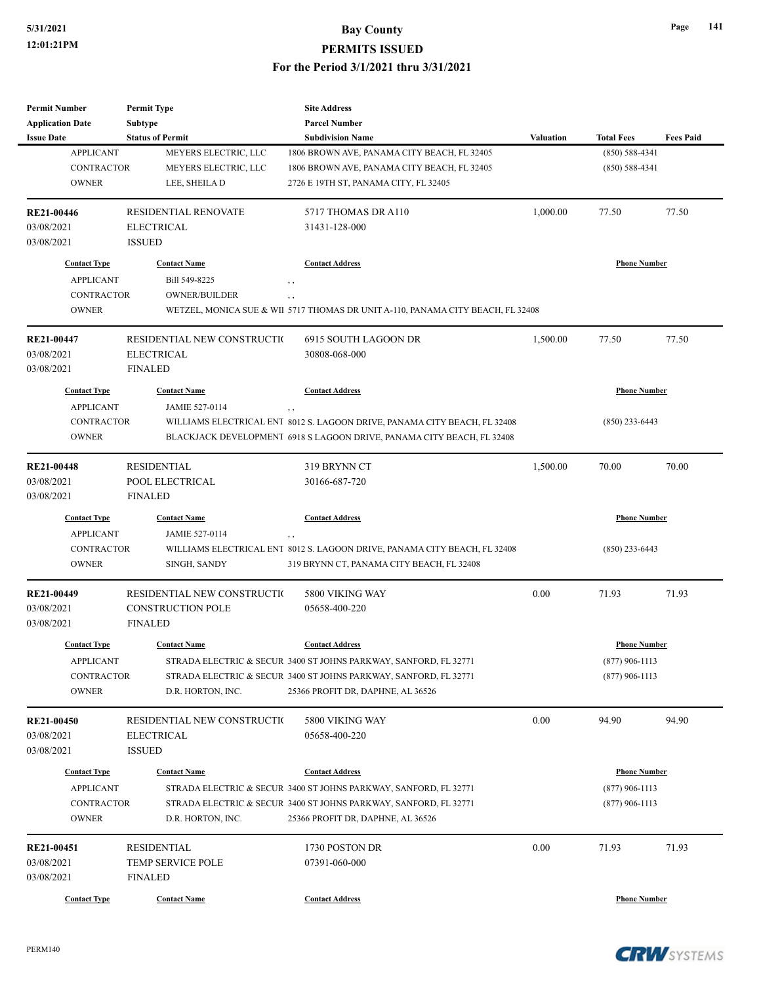| <b>Permit Number</b>    | <b>Permit Type</b>          | <b>Site Address</b>                                                                   |                  |                     |                  |
|-------------------------|-----------------------------|---------------------------------------------------------------------------------------|------------------|---------------------|------------------|
| <b>Application Date</b> | <b>Subtype</b>              | <b>Parcel Number</b>                                                                  |                  |                     |                  |
| <b>Issue Date</b>       | <b>Status of Permit</b>     | <b>Subdivision Name</b>                                                               | <b>Valuation</b> | <b>Total Fees</b>   | <b>Fees Paid</b> |
| <b>APPLICANT</b>        | MEYERS ELECTRIC, LLC        | 1806 BROWN AVE, PANAMA CITY BEACH, FL 32405                                           |                  | $(850) 588 - 4341$  |                  |
| <b>CONTRACTOR</b>       | MEYERS ELECTRIC, LLC        | 1806 BROWN AVE, PANAMA CITY BEACH, FL 32405                                           |                  | $(850) 588 - 4341$  |                  |
| <b>OWNER</b>            | LEE, SHEILA D               | 2726 E 19TH ST, PANAMA CITY, FL 32405                                                 |                  |                     |                  |
|                         |                             |                                                                                       |                  |                     |                  |
| RE21-00446              | <b>RESIDENTIAL RENOVATE</b> | 5717 THOMAS DR A110                                                                   | 1,000.00         | 77.50               | 77.50            |
| 03/08/2021              | <b>ELECTRICAL</b>           | 31431-128-000                                                                         |                  |                     |                  |
| 03/08/2021              | <b>ISSUED</b>               |                                                                                       |                  |                     |                  |
| <b>Contact Type</b>     | <b>Contact Name</b>         | <b>Contact Address</b>                                                                |                  | <b>Phone Number</b> |                  |
| <b>APPLICANT</b>        | Bill 549-8225               |                                                                                       |                  |                     |                  |
| <b>CONTRACTOR</b>       | <b>OWNER/BUILDER</b>        | , ,                                                                                   |                  |                     |                  |
| <b>OWNER</b>            |                             | ,,<br>WETZEL, MONICA SUE & WII 5717 THOMAS DR UNIT A-110, PANAMA CITY BEACH, FL 32408 |                  |                     |                  |
|                         |                             |                                                                                       |                  |                     |                  |
| RE21-00447              | RESIDENTIAL NEW CONSTRUCTIO | 6915 SOUTH LAGOON DR                                                                  | 1,500.00         | 77.50               | 77.50            |
| 03/08/2021              | <b>ELECTRICAL</b>           | 30808-068-000                                                                         |                  |                     |                  |
| 03/08/2021              | <b>FINALED</b>              |                                                                                       |                  |                     |                  |
|                         |                             |                                                                                       |                  |                     |                  |
| <b>Contact Type</b>     | <b>Contact Name</b>         | <b>Contact Address</b>                                                                |                  | <b>Phone Number</b> |                  |
| <b>APPLICANT</b>        | JAMIE 527-0114              | ,,                                                                                    |                  |                     |                  |
| <b>CONTRACTOR</b>       |                             | WILLIAMS ELECTRICAL ENT 8012 S. LAGOON DRIVE, PANAMA CITY BEACH, FL 32408             |                  | $(850)$ 233-6443    |                  |
| <b>OWNER</b>            |                             | BLACKJACK DEVELOPMENT 6918 S LAGOON DRIVE, PANAMA CITY BEACH, FL 32408                |                  |                     |                  |
|                         | <b>RESIDENTIAL</b>          | 319 BRYNN CT                                                                          |                  |                     | 70.00            |
| RE21-00448              |                             |                                                                                       | 1,500.00         | 70.00               |                  |
| 03/08/2021              | POOL ELECTRICAL             | 30166-687-720                                                                         |                  |                     |                  |
| 03/08/2021              | <b>FINALED</b>              |                                                                                       |                  |                     |                  |
| <b>Contact Type</b>     | <b>Contact Name</b>         | <b>Contact Address</b>                                                                |                  | <b>Phone Number</b> |                  |
| <b>APPLICANT</b>        | JAMIE 527-0114              | $, \, , \,$                                                                           |                  |                     |                  |
| <b>CONTRACTOR</b>       |                             | WILLIAMS ELECTRICAL ENT 8012 S. LAGOON DRIVE, PANAMA CITY BEACH, FL 32408             |                  | $(850)$ 233-6443    |                  |
| <b>OWNER</b>            | SINGH, SANDY                | 319 BRYNN CT, PANAMA CITY BEACH, FL 32408                                             |                  |                     |                  |
|                         |                             |                                                                                       |                  |                     |                  |
| RE21-00449              | RESIDENTIAL NEW CONSTRUCTIO | 5800 VIKING WAY                                                                       | 0.00             | 71.93               | 71.93            |
| 03/08/2021              | <b>CONSTRUCTION POLE</b>    | 05658-400-220                                                                         |                  |                     |                  |
| 03/08/2021              | <b>FINALED</b>              |                                                                                       |                  |                     |                  |
| <b>Contact Type</b>     | <b>Contact Name</b>         | <b>Contact Address</b>                                                                |                  | <b>Phone Number</b> |                  |
| <b>APPLICANT</b>        |                             | STRADA ELECTRIC & SECUR 3400 ST JOHNS PARKWAY, SANFORD, FL 32771                      |                  | $(877)$ 906-1113    |                  |
| CONTRACTOR              |                             | STRADA ELECTRIC & SECUR 3400 ST JOHNS PARKWAY, SANFORD, FL 32771                      |                  | $(877)$ 906-1113    |                  |
| <b>OWNER</b>            | D.R. HORTON, INC.           | 25366 PROFIT DR, DAPHNE, AL 36526                                                     |                  |                     |                  |
|                         |                             |                                                                                       |                  |                     |                  |
| <b>RE21-00450</b>       | RESIDENTIAL NEW CONSTRUCTIO | 5800 VIKING WAY                                                                       | 0.00             | 94.90               | 94.90            |
| 03/08/2021              | <b>ELECTRICAL</b>           | 05658-400-220                                                                         |                  |                     |                  |
| 03/08/2021              | <b>ISSUED</b>               |                                                                                       |                  |                     |                  |
| <b>Contact Type</b>     | <b>Contact Name</b>         | <b>Contact Address</b>                                                                |                  | <b>Phone Number</b> |                  |
| <b>APPLICANT</b>        |                             | STRADA ELECTRIC & SECUR 3400 ST JOHNS PARKWAY, SANFORD, FL 32771                      |                  | $(877)$ 906-1113    |                  |
| <b>CONTRACTOR</b>       |                             | STRADA ELECTRIC & SECUR 3400 ST JOHNS PARKWAY, SANFORD, FL 32771                      |                  | $(877)$ 906-1113    |                  |
| <b>OWNER</b>            | D.R. HORTON, INC.           | 25366 PROFIT DR, DAPHNE, AL 36526                                                     |                  |                     |                  |
|                         |                             |                                                                                       |                  |                     |                  |
| RE21-00451              | <b>RESIDENTIAL</b>          | 1730 POSTON DR                                                                        | 0.00             | 71.93               | 71.93            |
| 03/08/2021              | TEMP SERVICE POLE           | 07391-060-000                                                                         |                  |                     |                  |
| 03/08/2021              | <b>FINALED</b>              |                                                                                       |                  |                     |                  |
| <b>Contact Type</b>     | <b>Contact Name</b>         | <b>Contact Address</b>                                                                |                  | <b>Phone Number</b> |                  |
|                         |                             |                                                                                       |                  |                     |                  |

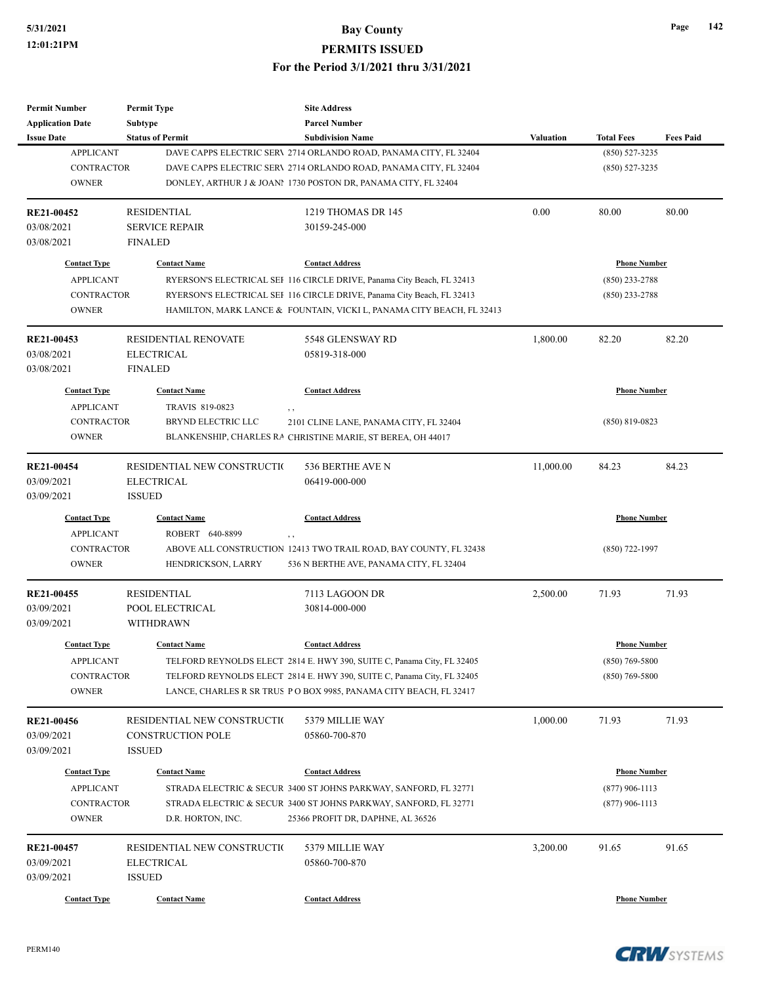| <b>Permit Number</b>    | <b>Permit Type</b>          | <b>Site Address</b>                                                      |                  |                     |                  |
|-------------------------|-----------------------------|--------------------------------------------------------------------------|------------------|---------------------|------------------|
| <b>Application Date</b> | Subtype                     | <b>Parcel Number</b>                                                     |                  |                     |                  |
| <b>Issue Date</b>       | <b>Status of Permit</b>     | <b>Subdivision Name</b>                                                  | <b>Valuation</b> | <b>Total Fees</b>   | <b>Fees Paid</b> |
| <b>APPLICANT</b>        |                             | DAVE CAPPS ELECTRIC SERV 2714 ORLANDO ROAD, PANAMA CITY, FL 32404        |                  | $(850) 527 - 3235$  |                  |
| <b>CONTRACTOR</b>       |                             | DAVE CAPPS ELECTRIC SERV 2714 ORLANDO ROAD, PANAMA CITY, FL 32404        |                  | $(850) 527 - 3235$  |                  |
| <b>OWNER</b>            |                             | DONLEY, ARTHUR J & JOANI 1730 POSTON DR, PANAMA CITY, FL 32404           |                  |                     |                  |
|                         |                             |                                                                          |                  |                     |                  |
| RE21-00452              | <b>RESIDENTIAL</b>          | 1219 THOMAS DR 145                                                       | 0.00             | 80.00               | 80.00            |
| 03/08/2021              | <b>SERVICE REPAIR</b>       | 30159-245-000                                                            |                  |                     |                  |
| 03/08/2021              | <b>FINALED</b>              |                                                                          |                  |                     |                  |
|                         |                             |                                                                          |                  |                     |                  |
| <b>Contact Type</b>     | <b>Contact Name</b>         | <b>Contact Address</b>                                                   |                  | <b>Phone Number</b> |                  |
| <b>APPLICANT</b>        |                             | RYERSON'S ELECTRICAL SEI 116 CIRCLE DRIVE, Panama City Beach, FL 32413   |                  | $(850)$ 233-2788    |                  |
| <b>CONTRACTOR</b>       |                             | RYERSON'S ELECTRICAL SEI 116 CIRCLE DRIVE, Panama City Beach, FL 32413   |                  | (850) 233-2788      |                  |
| <b>OWNER</b>            |                             | HAMILTON, MARK LANCE & FOUNTAIN, VICKI L, PANAMA CITY BEACH, FL 32413    |                  |                     |                  |
| RE21-00453              | <b>RESIDENTIAL RENOVATE</b> | 5548 GLENSWAY RD                                                         | 1,800.00         | 82.20               | 82.20            |
| 03/08/2021              | <b>ELECTRICAL</b>           | 05819-318-000                                                            |                  |                     |                  |
| 03/08/2021              | <b>FINALED</b>              |                                                                          |                  |                     |                  |
| <b>Contact Type</b>     | <b>Contact Name</b>         | <b>Contact Address</b>                                                   |                  | <b>Phone Number</b> |                  |
| <b>APPLICANT</b>        | TRAVIS 819-0823             |                                                                          |                  |                     |                  |
| <b>CONTRACTOR</b>       | <b>BRYND ELECTRIC LLC</b>   | , ,                                                                      |                  |                     |                  |
|                         |                             | 2101 CLINE LANE, PANAMA CITY, FL 32404                                   |                  | $(850)$ 819-0823    |                  |
| <b>OWNER</b>            |                             | BLANKENSHIP, CHARLES RA CHRISTINE MARIE, ST BEREA, OH 44017              |                  |                     |                  |
| <b>RE21-00454</b>       | RESIDENTIAL NEW CONSTRUCTIO | 536 BERTHE AVE N                                                         | 11,000.00        | 84.23               | 84.23            |
| 03/09/2021              | <b>ELECTRICAL</b>           | 06419-000-000                                                            |                  |                     |                  |
| 03/09/2021              | <b>ISSUED</b>               |                                                                          |                  |                     |                  |
| <b>Contact Type</b>     | <b>Contact Name</b>         | <b>Contact Address</b>                                                   |                  | <b>Phone Number</b> |                  |
| <b>APPLICANT</b>        | ROBERT 640-8899             |                                                                          |                  |                     |                  |
| <b>CONTRACTOR</b>       |                             | , ,<br>ABOVE ALL CONSTRUCTION 12413 TWO TRAIL ROAD, BAY COUNTY, FL 32438 |                  | $(850)$ 722-1997    |                  |
| <b>OWNER</b>            | HENDRICKSON, LARRY          | 536 N BERTHE AVE, PANAMA CITY, FL 32404                                  |                  |                     |                  |
|                         |                             |                                                                          |                  |                     |                  |
| RE21-00455              | <b>RESIDENTIAL</b>          | 7113 LAGOON DR                                                           | 2,500.00         | 71.93               | 71.93            |
| 03/09/2021              | POOL ELECTRICAL             | 30814-000-000                                                            |                  |                     |                  |
| 03/09/2021              | <b>WITHDRAWN</b>            |                                                                          |                  |                     |                  |
|                         |                             |                                                                          |                  |                     |                  |
| <b>Contact Type</b>     | <b>Contact Name</b>         | <b>Contact Address</b>                                                   |                  | <b>Phone Number</b> |                  |
| <b>APPLICANT</b>        |                             | TELFORD REYNOLDS ELECT 2814 E. HWY 390, SUITE C, Panama City, FL 32405   |                  | $(850)$ 769-5800    |                  |
| CONTRACTOR              |                             | TELFORD REYNOLDS ELECT 2814 E. HWY 390, SUITE C, Panama City, FL 32405   |                  | $(850)$ 769-5800    |                  |
| <b>OWNER</b>            |                             | LANCE, CHARLES R SR TRUS P O BOX 9985, PANAMA CITY BEACH, FL 32417       |                  |                     |                  |
| <b>RE21-00456</b>       | RESIDENTIAL NEW CONSTRUCTIO | 5379 MILLIE WAY                                                          | 1,000.00         | 71.93               | 71.93            |
| 03/09/2021              | CONSTRUCTION POLE           | 05860-700-870                                                            |                  |                     |                  |
| 03/09/2021              | <b>ISSUED</b>               |                                                                          |                  |                     |                  |
|                         |                             |                                                                          |                  |                     |                  |
| <b>Contact Type</b>     | <b>Contact Name</b>         | <b>Contact Address</b>                                                   |                  | <b>Phone Number</b> |                  |
| <b>APPLICANT</b>        |                             | STRADA ELECTRIC & SECUR 3400 ST JOHNS PARKWAY, SANFORD, FL 32771         |                  | $(877)$ 906-1113    |                  |
| CONTRACTOR              |                             | STRADA ELECTRIC & SECUR 3400 ST JOHNS PARKWAY, SANFORD, FL 32771         |                  | $(877)$ 906-1113    |                  |
| <b>OWNER</b>            | D.R. HORTON, INC.           | 25366 PROFIT DR, DAPHNE, AL 36526                                        |                  |                     |                  |
| RE21-00457              | RESIDENTIAL NEW CONSTRUCTIO | 5379 MILLIE WAY                                                          | 3,200.00         | 91.65               | 91.65            |
| 03/09/2021              | <b>ELECTRICAL</b>           | 05860-700-870                                                            |                  |                     |                  |
| 03/09/2021              | <b>ISSUED</b>               |                                                                          |                  |                     |                  |
|                         |                             |                                                                          |                  |                     |                  |
| <b>Contact Type</b>     | <b>Contact Name</b>         | <b>Contact Address</b>                                                   |                  | <b>Phone Number</b> |                  |

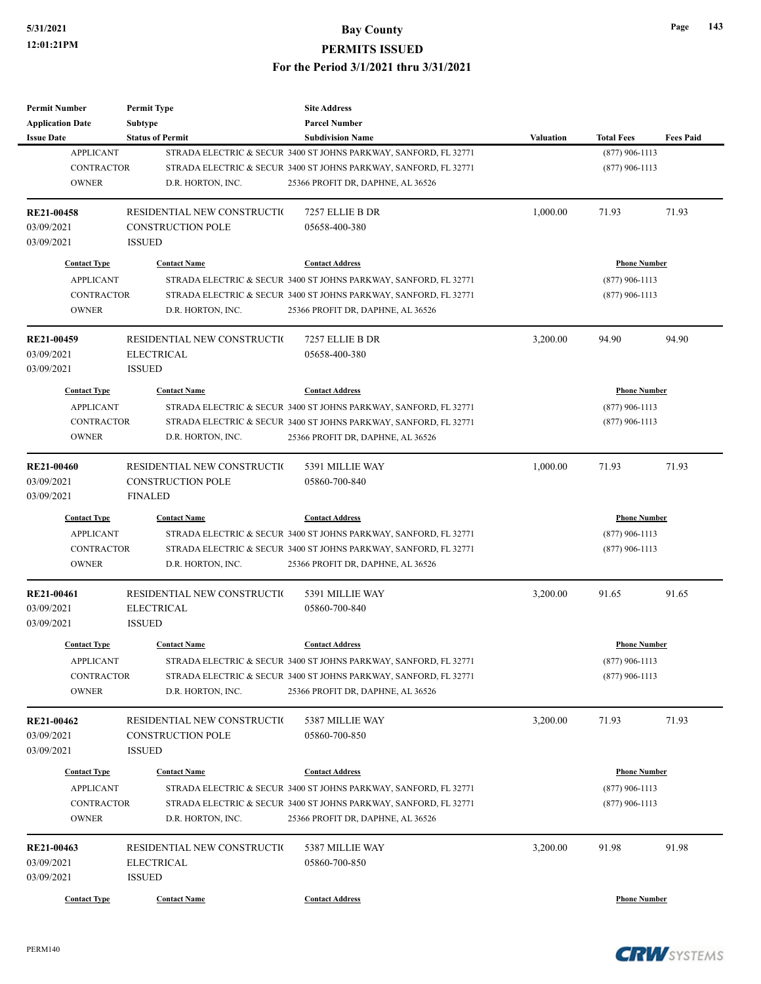| <b>Permit Number</b>    | <b>Permit Type</b>           | <b>Site Address</b>                                              |                  |                     |                  |
|-------------------------|------------------------------|------------------------------------------------------------------|------------------|---------------------|------------------|
| <b>Application Date</b> | <b>Subtype</b>               | <b>Parcel Number</b>                                             |                  |                     |                  |
| <b>Issue Date</b>       | <b>Status of Permit</b>      | <b>Subdivision Name</b>                                          | <b>Valuation</b> | <b>Total Fees</b>   | <b>Fees Paid</b> |
| <b>APPLICANT</b>        |                              | STRADA ELECTRIC & SECUR 3400 ST JOHNS PARKWAY, SANFORD, FL 32771 |                  | $(877)$ 906-1113    |                  |
| <b>CONTRACTOR</b>       |                              | STRADA ELECTRIC & SECUR 3400 ST JOHNS PARKWAY, SANFORD, FL 32771 |                  | $(877)$ 906-1113    |                  |
| <b>OWNER</b>            | D.R. HORTON, INC.            | 25366 PROFIT DR, DAPHNE, AL 36526                                |                  |                     |                  |
| <b>RE21-00458</b>       | RESIDENTIAL NEW CONSTRUCTIO  | 7257 ELLIE B DR                                                  | 1,000.00         | 71.93               | 71.93            |
| 03/09/2021              | <b>CONSTRUCTION POLE</b>     | 05658-400-380                                                    |                  |                     |                  |
| 03/09/2021              | <b>ISSUED</b>                |                                                                  |                  |                     |                  |
| <b>Contact Type</b>     | <b>Contact Name</b>          | <b>Contact Address</b>                                           |                  | <b>Phone Number</b> |                  |
| <b>APPLICANT</b>        |                              | STRADA ELECTRIC & SECUR 3400 ST JOHNS PARKWAY, SANFORD, FL 32771 |                  | $(877)$ 906-1113    |                  |
| <b>CONTRACTOR</b>       |                              | STRADA ELECTRIC & SECUR 3400 ST JOHNS PARKWAY, SANFORD, FL 32771 |                  | $(877)$ 906-1113    |                  |
| <b>OWNER</b>            | D.R. HORTON, INC.            | 25366 PROFIT DR, DAPHNE, AL 36526                                |                  |                     |                  |
| RE21-00459              | RESIDENTIAL NEW CONSTRUCTION | 7257 ELLIE B DR                                                  | 3,200.00         | 94.90               | 94.90            |
| 03/09/2021              | <b>ELECTRICAL</b>            | 05658-400-380                                                    |                  |                     |                  |
| 03/09/2021              | <b>ISSUED</b>                |                                                                  |                  |                     |                  |
| <b>Contact Type</b>     | <b>Contact Name</b>          | <b>Contact Address</b>                                           |                  | <b>Phone Number</b> |                  |
| <b>APPLICANT</b>        |                              | STRADA ELECTRIC & SECUR 3400 ST JOHNS PARKWAY, SANFORD, FL 32771 |                  | $(877)$ 906-1113    |                  |
| <b>CONTRACTOR</b>       |                              | STRADA ELECTRIC & SECUR 3400 ST JOHNS PARKWAY, SANFORD, FL 32771 |                  | $(877)$ 906-1113    |                  |
| <b>OWNER</b>            | D.R. HORTON, INC.            | 25366 PROFIT DR, DAPHNE, AL 36526                                |                  |                     |                  |
|                         |                              |                                                                  |                  |                     |                  |
| <b>RE21-00460</b>       | RESIDENTIAL NEW CONSTRUCTIO  | 5391 MILLIE WAY                                                  | 1,000.00         | 71.93               | 71.93            |
| 03/09/2021              | <b>CONSTRUCTION POLE</b>     | 05860-700-840                                                    |                  |                     |                  |
| 03/09/2021              | <b>FINALED</b>               |                                                                  |                  |                     |                  |
| <b>Contact Type</b>     | <b>Contact Name</b>          | <b>Contact Address</b>                                           |                  | <b>Phone Number</b> |                  |
| <b>APPLICANT</b>        |                              | STRADA ELECTRIC & SECUR 3400 ST JOHNS PARKWAY, SANFORD, FL 32771 |                  | $(877)$ 906-1113    |                  |
| <b>CONTRACTOR</b>       |                              | STRADA ELECTRIC & SECUR 3400 ST JOHNS PARKWAY, SANFORD, FL 32771 |                  | $(877)$ 906-1113    |                  |
| <b>OWNER</b>            | D.R. HORTON, INC.            | 25366 PROFIT DR, DAPHNE, AL 36526                                |                  |                     |                  |
| RE21-00461              | RESIDENTIAL NEW CONSTRUCTIO  | 5391 MILLIE WAY                                                  | 3,200.00         | 91.65               | 91.65            |
| 03/09/2021              | <b>ELECTRICAL</b>            | 05860-700-840                                                    |                  |                     |                  |
| 03/09/2021              | <b>ISSUED</b>                |                                                                  |                  |                     |                  |
| <b>Contact Type</b>     | <b>Contact Name</b>          | <b>Contact Address</b>                                           |                  | <b>Phone Number</b> |                  |
| <b>APPLICANT</b>        |                              | STRADA ELECTRIC & SECUR 3400 ST JOHNS PARKWAY, SANFORD, FL 32771 |                  | $(877)$ 906-1113    |                  |
| CONTRACTOR              |                              | STRADA ELECTRIC & SECUR 3400 ST JOHNS PARKWAY, SANFORD, FL 32771 |                  | $(877)$ 906-1113    |                  |
| <b>OWNER</b>            | D.R. HORTON, INC.            | 25366 PROFIT DR, DAPHNE, AL 36526                                |                  |                     |                  |
|                         |                              |                                                                  |                  |                     |                  |
| RE21-00462              | RESIDENTIAL NEW CONSTRUCTIO  | 5387 MILLIE WAY                                                  | 3,200.00         | 71.93               | 71.93            |
| 03/09/2021              | <b>CONSTRUCTION POLE</b>     | 05860-700-850                                                    |                  |                     |                  |
| 03/09/2021              | <b>ISSUED</b>                |                                                                  |                  |                     |                  |
| <b>Contact Type</b>     | <b>Contact Name</b>          | <b>Contact Address</b>                                           |                  | <b>Phone Number</b> |                  |
| <b>APPLICANT</b>        |                              | STRADA ELECTRIC & SECUR 3400 ST JOHNS PARKWAY, SANFORD, FL 32771 |                  | $(877)$ 906-1113    |                  |
| CONTRACTOR              |                              | STRADA ELECTRIC & SECUR 3400 ST JOHNS PARKWAY, SANFORD, FL 32771 |                  | $(877)$ 906-1113    |                  |
| <b>OWNER</b>            | D.R. HORTON, INC.            | 25366 PROFIT DR, DAPHNE, AL 36526                                |                  |                     |                  |
| RE21-00463              | RESIDENTIAL NEW CONSTRUCTIO  | 5387 MILLIE WAY                                                  | 3,200.00         | 91.98               | 91.98            |
| 03/09/2021              | ELECTRICAL                   | 05860-700-850                                                    |                  |                     |                  |
| 03/09/2021              | <b>ISSUED</b>                |                                                                  |                  |                     |                  |
| <b>Contact Type</b>     | <b>Contact Name</b>          | <b>Contact Address</b>                                           |                  | <b>Phone Number</b> |                  |
|                         |                              |                                                                  |                  |                     |                  |

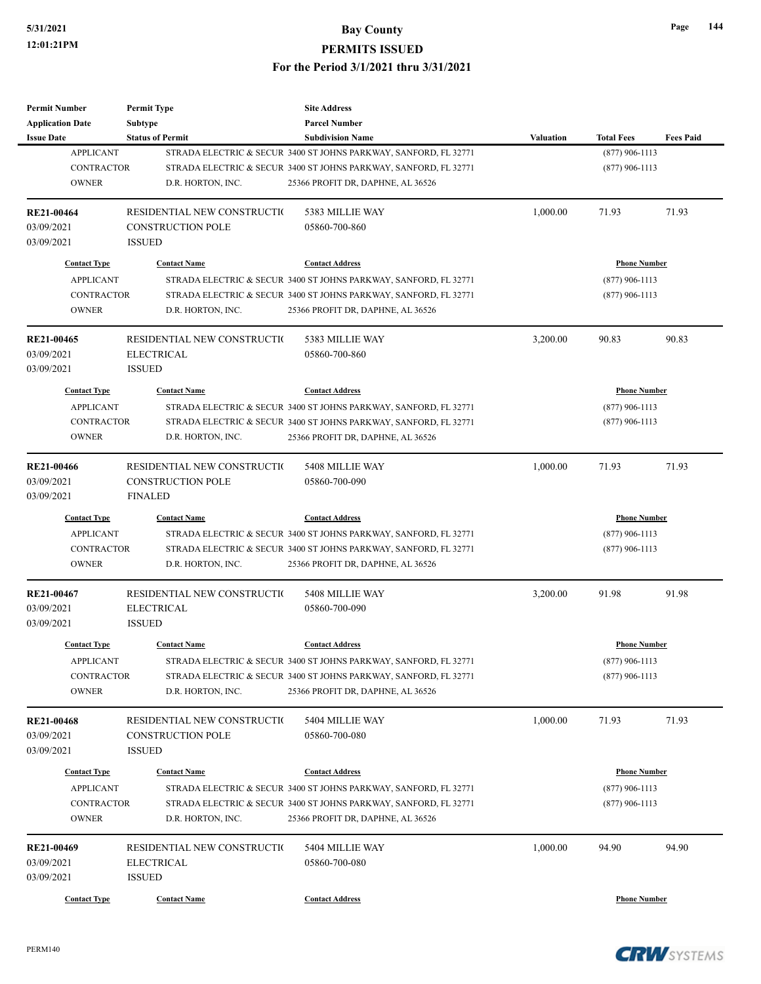| <b>Subtype</b><br><b>Parcel Number</b><br><b>Application Date</b><br><b>Issue Date</b><br><b>Status of Permit</b><br><b>Subdivision Name</b><br><b>Valuation</b><br><b>Total Fees</b><br><b>APPLICANT</b><br>STRADA ELECTRIC & SECUR 3400 ST JOHNS PARKWAY, SANFORD, FL 32771<br>$(877)$ 906-1113<br><b>CONTRACTOR</b><br>STRADA ELECTRIC & SECUR 3400 ST JOHNS PARKWAY, SANFORD, FL 32771<br>$(877)$ 906-1113<br><b>OWNER</b><br>D.R. HORTON, INC.<br>25366 PROFIT DR, DAPHNE, AL 36526<br><b>RE21-00464</b><br>RESIDENTIAL NEW CONSTRUCTIO<br>5383 MILLIE WAY<br>1,000.00<br>71.93<br>03/09/2021<br>CONSTRUCTION POLE<br>05860-700-860<br>03/09/2021<br><b>ISSUED</b><br><b>Contact Address</b><br><b>Phone Number</b><br><b>Contact Type</b><br><b>Contact Name</b><br><b>APPLICANT</b><br>STRADA ELECTRIC & SECUR 3400 ST JOHNS PARKWAY, SANFORD, FL 32771<br>$(877)$ 906-1113<br><b>CONTRACTOR</b><br>$(877)$ 906-1113<br>STRADA ELECTRIC & SECUR 3400 ST JOHNS PARKWAY, SANFORD, FL 32771<br><b>OWNER</b><br>D.R. HORTON, INC.<br>25366 PROFIT DR, DAPHNE, AL 36526<br>3,200.00<br>RE21-00465<br>RESIDENTIAL NEW CONSTRUCTIO<br>5383 MILLIE WAY<br>90.83<br>03/09/2021<br><b>ELECTRICAL</b><br>05860-700-860<br>03/09/2021<br><b>ISSUED</b><br><b>Contact Name</b><br><b>Phone Number</b><br><b>Contact Type</b><br><b>Contact Address</b><br><b>APPLICANT</b><br>STRADA ELECTRIC & SECUR 3400 ST JOHNS PARKWAY, SANFORD, FL 32771<br>$(877)$ 906-1113<br><b>CONTRACTOR</b><br>$(877)$ 906-1113<br>STRADA ELECTRIC & SECUR 3400 ST JOHNS PARKWAY, SANFORD, FL 32771<br><b>OWNER</b><br>D.R. HORTON, INC.<br>25366 PROFIT DR, DAPHNE, AL 36526<br>RE21-00466<br>RESIDENTIAL NEW CONSTRUCTIO<br>1,000.00<br>71.93<br>5408 MILLIE WAY<br><b>CONSTRUCTION POLE</b><br>03/09/2021<br>05860-700-090<br>03/09/2021<br><b>FINALED</b><br><b>Contact Type</b><br><b>Contact Name</b><br><b>Contact Address</b><br><b>Phone Number</b><br><b>APPLICANT</b><br>STRADA ELECTRIC & SECUR 3400 ST JOHNS PARKWAY, SANFORD, FL 32771<br>$(877)$ 906-1113<br><b>CONTRACTOR</b><br>STRADA ELECTRIC & SECUR 3400 ST JOHNS PARKWAY, SANFORD, FL 32771<br>$(877)$ 906-1113<br><b>OWNER</b><br>D.R. HORTON, INC.<br>25366 PROFIT DR, DAPHNE, AL 36526<br>3,200.00<br>RESIDENTIAL NEW CONSTRUCTIO<br>5408 MILLIE WAY<br>91.98<br>RE21-00467<br>03/09/2021<br><b>ELECTRICAL</b><br>05860-700-090<br>03/09/2021<br><b>ISSUED</b><br><b>Contact Type</b><br><b>Contact Name</b><br><b>Contact Address</b><br><b>Phone Number</b><br><b>APPLICANT</b><br>STRADA ELECTRIC & SECUR 3400 ST JOHNS PARKWAY, SANFORD, FL 32771<br>$(877)$ 906-1113<br>CONTRACTOR<br>STRADA ELECTRIC & SECUR 3400 ST JOHNS PARKWAY, SANFORD, FL 32771<br>$(877)$ 906-1113<br><b>OWNER</b><br>D.R. HORTON, INC.<br>25366 PROFIT DR, DAPHNE, AL 36526<br>1,000.00<br>71.93<br>71.93<br>RESIDENTIAL NEW CONSTRUCTIO<br>5404 MILLIE WAY<br>RE21-00468<br><b>CONSTRUCTION POLE</b><br>03/09/2021<br>05860-700-080<br>03/09/2021<br><b>ISSUED</b><br><b>Contact Name</b><br><b>Phone Number</b><br><b>Contact Type</b><br><b>Contact Address</b><br><b>APPLICANT</b><br>$(877)$ 906-1113<br>STRADA ELECTRIC & SECUR 3400 ST JOHNS PARKWAY, SANFORD, FL 32771<br><b>CONTRACTOR</b><br>STRADA ELECTRIC & SECUR 3400 ST JOHNS PARKWAY, SANFORD, FL 32771<br>$(877)$ 906-1113<br><b>OWNER</b><br>D.R. HORTON, INC.<br>25366 PROFIT DR, DAPHNE, AL 36526<br>RE21-00469<br>RESIDENTIAL NEW CONSTRUCTIO<br>5404 MILLIE WAY<br>1,000.00<br>94.90<br>03/09/2021<br><b>ELECTRICAL</b><br>05860-700-080 | <b>Permit Number</b> | <b>Permit Type</b> | <b>Site Address</b> |  |                  |
|---------------------------------------------------------------------------------------------------------------------------------------------------------------------------------------------------------------------------------------------------------------------------------------------------------------------------------------------------------------------------------------------------------------------------------------------------------------------------------------------------------------------------------------------------------------------------------------------------------------------------------------------------------------------------------------------------------------------------------------------------------------------------------------------------------------------------------------------------------------------------------------------------------------------------------------------------------------------------------------------------------------------------------------------------------------------------------------------------------------------------------------------------------------------------------------------------------------------------------------------------------------------------------------------------------------------------------------------------------------------------------------------------------------------------------------------------------------------------------------------------------------------------------------------------------------------------------------------------------------------------------------------------------------------------------------------------------------------------------------------------------------------------------------------------------------------------------------------------------------------------------------------------------------------------------------------------------------------------------------------------------------------------------------------------------------------------------------------------------------------------------------------------------------------------------------------------------------------------------------------------------------------------------------------------------------------------------------------------------------------------------------------------------------------------------------------------------------------------------------------------------------------------------------------------------------------------------------------------------------------------------------------------------------------------------------------------------------------------------------------------------------------------------------------------------------------------------------------------------------------------------------------------------------------------------------------------------------------------------------------------------------------------------------------------------------------------------------------------------------------------------------------------------------------------------------------------------------------------------------------------------------------------------------------------------------------------------------------------------------------------------------------------------------------------------------------------------------------------------------------------------------------------------------------|----------------------|--------------------|---------------------|--|------------------|
|                                                                                                                                                                                                                                                                                                                                                                                                                                                                                                                                                                                                                                                                                                                                                                                                                                                                                                                                                                                                                                                                                                                                                                                                                                                                                                                                                                                                                                                                                                                                                                                                                                                                                                                                                                                                                                                                                                                                                                                                                                                                                                                                                                                                                                                                                                                                                                                                                                                                                                                                                                                                                                                                                                                                                                                                                                                                                                                                                                                                                                                                                                                                                                                                                                                                                                                                                                                                                                                                                                                                             |                      |                    |                     |  |                  |
|                                                                                                                                                                                                                                                                                                                                                                                                                                                                                                                                                                                                                                                                                                                                                                                                                                                                                                                                                                                                                                                                                                                                                                                                                                                                                                                                                                                                                                                                                                                                                                                                                                                                                                                                                                                                                                                                                                                                                                                                                                                                                                                                                                                                                                                                                                                                                                                                                                                                                                                                                                                                                                                                                                                                                                                                                                                                                                                                                                                                                                                                                                                                                                                                                                                                                                                                                                                                                                                                                                                                             |                      |                    |                     |  | <b>Fees Paid</b> |
|                                                                                                                                                                                                                                                                                                                                                                                                                                                                                                                                                                                                                                                                                                                                                                                                                                                                                                                                                                                                                                                                                                                                                                                                                                                                                                                                                                                                                                                                                                                                                                                                                                                                                                                                                                                                                                                                                                                                                                                                                                                                                                                                                                                                                                                                                                                                                                                                                                                                                                                                                                                                                                                                                                                                                                                                                                                                                                                                                                                                                                                                                                                                                                                                                                                                                                                                                                                                                                                                                                                                             |                      |                    |                     |  |                  |
|                                                                                                                                                                                                                                                                                                                                                                                                                                                                                                                                                                                                                                                                                                                                                                                                                                                                                                                                                                                                                                                                                                                                                                                                                                                                                                                                                                                                                                                                                                                                                                                                                                                                                                                                                                                                                                                                                                                                                                                                                                                                                                                                                                                                                                                                                                                                                                                                                                                                                                                                                                                                                                                                                                                                                                                                                                                                                                                                                                                                                                                                                                                                                                                                                                                                                                                                                                                                                                                                                                                                             |                      |                    |                     |  |                  |
|                                                                                                                                                                                                                                                                                                                                                                                                                                                                                                                                                                                                                                                                                                                                                                                                                                                                                                                                                                                                                                                                                                                                                                                                                                                                                                                                                                                                                                                                                                                                                                                                                                                                                                                                                                                                                                                                                                                                                                                                                                                                                                                                                                                                                                                                                                                                                                                                                                                                                                                                                                                                                                                                                                                                                                                                                                                                                                                                                                                                                                                                                                                                                                                                                                                                                                                                                                                                                                                                                                                                             |                      |                    |                     |  |                  |
|                                                                                                                                                                                                                                                                                                                                                                                                                                                                                                                                                                                                                                                                                                                                                                                                                                                                                                                                                                                                                                                                                                                                                                                                                                                                                                                                                                                                                                                                                                                                                                                                                                                                                                                                                                                                                                                                                                                                                                                                                                                                                                                                                                                                                                                                                                                                                                                                                                                                                                                                                                                                                                                                                                                                                                                                                                                                                                                                                                                                                                                                                                                                                                                                                                                                                                                                                                                                                                                                                                                                             |                      |                    |                     |  |                  |
|                                                                                                                                                                                                                                                                                                                                                                                                                                                                                                                                                                                                                                                                                                                                                                                                                                                                                                                                                                                                                                                                                                                                                                                                                                                                                                                                                                                                                                                                                                                                                                                                                                                                                                                                                                                                                                                                                                                                                                                                                                                                                                                                                                                                                                                                                                                                                                                                                                                                                                                                                                                                                                                                                                                                                                                                                                                                                                                                                                                                                                                                                                                                                                                                                                                                                                                                                                                                                                                                                                                                             |                      |                    |                     |  | 71.93            |
|                                                                                                                                                                                                                                                                                                                                                                                                                                                                                                                                                                                                                                                                                                                                                                                                                                                                                                                                                                                                                                                                                                                                                                                                                                                                                                                                                                                                                                                                                                                                                                                                                                                                                                                                                                                                                                                                                                                                                                                                                                                                                                                                                                                                                                                                                                                                                                                                                                                                                                                                                                                                                                                                                                                                                                                                                                                                                                                                                                                                                                                                                                                                                                                                                                                                                                                                                                                                                                                                                                                                             |                      |                    |                     |  |                  |
|                                                                                                                                                                                                                                                                                                                                                                                                                                                                                                                                                                                                                                                                                                                                                                                                                                                                                                                                                                                                                                                                                                                                                                                                                                                                                                                                                                                                                                                                                                                                                                                                                                                                                                                                                                                                                                                                                                                                                                                                                                                                                                                                                                                                                                                                                                                                                                                                                                                                                                                                                                                                                                                                                                                                                                                                                                                                                                                                                                                                                                                                                                                                                                                                                                                                                                                                                                                                                                                                                                                                             |                      |                    |                     |  |                  |
|                                                                                                                                                                                                                                                                                                                                                                                                                                                                                                                                                                                                                                                                                                                                                                                                                                                                                                                                                                                                                                                                                                                                                                                                                                                                                                                                                                                                                                                                                                                                                                                                                                                                                                                                                                                                                                                                                                                                                                                                                                                                                                                                                                                                                                                                                                                                                                                                                                                                                                                                                                                                                                                                                                                                                                                                                                                                                                                                                                                                                                                                                                                                                                                                                                                                                                                                                                                                                                                                                                                                             |                      |                    |                     |  |                  |
|                                                                                                                                                                                                                                                                                                                                                                                                                                                                                                                                                                                                                                                                                                                                                                                                                                                                                                                                                                                                                                                                                                                                                                                                                                                                                                                                                                                                                                                                                                                                                                                                                                                                                                                                                                                                                                                                                                                                                                                                                                                                                                                                                                                                                                                                                                                                                                                                                                                                                                                                                                                                                                                                                                                                                                                                                                                                                                                                                                                                                                                                                                                                                                                                                                                                                                                                                                                                                                                                                                                                             |                      |                    |                     |  |                  |
|                                                                                                                                                                                                                                                                                                                                                                                                                                                                                                                                                                                                                                                                                                                                                                                                                                                                                                                                                                                                                                                                                                                                                                                                                                                                                                                                                                                                                                                                                                                                                                                                                                                                                                                                                                                                                                                                                                                                                                                                                                                                                                                                                                                                                                                                                                                                                                                                                                                                                                                                                                                                                                                                                                                                                                                                                                                                                                                                                                                                                                                                                                                                                                                                                                                                                                                                                                                                                                                                                                                                             |                      |                    |                     |  |                  |
|                                                                                                                                                                                                                                                                                                                                                                                                                                                                                                                                                                                                                                                                                                                                                                                                                                                                                                                                                                                                                                                                                                                                                                                                                                                                                                                                                                                                                                                                                                                                                                                                                                                                                                                                                                                                                                                                                                                                                                                                                                                                                                                                                                                                                                                                                                                                                                                                                                                                                                                                                                                                                                                                                                                                                                                                                                                                                                                                                                                                                                                                                                                                                                                                                                                                                                                                                                                                                                                                                                                                             |                      |                    |                     |  |                  |
|                                                                                                                                                                                                                                                                                                                                                                                                                                                                                                                                                                                                                                                                                                                                                                                                                                                                                                                                                                                                                                                                                                                                                                                                                                                                                                                                                                                                                                                                                                                                                                                                                                                                                                                                                                                                                                                                                                                                                                                                                                                                                                                                                                                                                                                                                                                                                                                                                                                                                                                                                                                                                                                                                                                                                                                                                                                                                                                                                                                                                                                                                                                                                                                                                                                                                                                                                                                                                                                                                                                                             |                      |                    |                     |  |                  |
|                                                                                                                                                                                                                                                                                                                                                                                                                                                                                                                                                                                                                                                                                                                                                                                                                                                                                                                                                                                                                                                                                                                                                                                                                                                                                                                                                                                                                                                                                                                                                                                                                                                                                                                                                                                                                                                                                                                                                                                                                                                                                                                                                                                                                                                                                                                                                                                                                                                                                                                                                                                                                                                                                                                                                                                                                                                                                                                                                                                                                                                                                                                                                                                                                                                                                                                                                                                                                                                                                                                                             |                      |                    |                     |  | 90.83            |
|                                                                                                                                                                                                                                                                                                                                                                                                                                                                                                                                                                                                                                                                                                                                                                                                                                                                                                                                                                                                                                                                                                                                                                                                                                                                                                                                                                                                                                                                                                                                                                                                                                                                                                                                                                                                                                                                                                                                                                                                                                                                                                                                                                                                                                                                                                                                                                                                                                                                                                                                                                                                                                                                                                                                                                                                                                                                                                                                                                                                                                                                                                                                                                                                                                                                                                                                                                                                                                                                                                                                             |                      |                    |                     |  |                  |
|                                                                                                                                                                                                                                                                                                                                                                                                                                                                                                                                                                                                                                                                                                                                                                                                                                                                                                                                                                                                                                                                                                                                                                                                                                                                                                                                                                                                                                                                                                                                                                                                                                                                                                                                                                                                                                                                                                                                                                                                                                                                                                                                                                                                                                                                                                                                                                                                                                                                                                                                                                                                                                                                                                                                                                                                                                                                                                                                                                                                                                                                                                                                                                                                                                                                                                                                                                                                                                                                                                                                             |                      |                    |                     |  |                  |
|                                                                                                                                                                                                                                                                                                                                                                                                                                                                                                                                                                                                                                                                                                                                                                                                                                                                                                                                                                                                                                                                                                                                                                                                                                                                                                                                                                                                                                                                                                                                                                                                                                                                                                                                                                                                                                                                                                                                                                                                                                                                                                                                                                                                                                                                                                                                                                                                                                                                                                                                                                                                                                                                                                                                                                                                                                                                                                                                                                                                                                                                                                                                                                                                                                                                                                                                                                                                                                                                                                                                             |                      |                    |                     |  |                  |
|                                                                                                                                                                                                                                                                                                                                                                                                                                                                                                                                                                                                                                                                                                                                                                                                                                                                                                                                                                                                                                                                                                                                                                                                                                                                                                                                                                                                                                                                                                                                                                                                                                                                                                                                                                                                                                                                                                                                                                                                                                                                                                                                                                                                                                                                                                                                                                                                                                                                                                                                                                                                                                                                                                                                                                                                                                                                                                                                                                                                                                                                                                                                                                                                                                                                                                                                                                                                                                                                                                                                             |                      |                    |                     |  |                  |
|                                                                                                                                                                                                                                                                                                                                                                                                                                                                                                                                                                                                                                                                                                                                                                                                                                                                                                                                                                                                                                                                                                                                                                                                                                                                                                                                                                                                                                                                                                                                                                                                                                                                                                                                                                                                                                                                                                                                                                                                                                                                                                                                                                                                                                                                                                                                                                                                                                                                                                                                                                                                                                                                                                                                                                                                                                                                                                                                                                                                                                                                                                                                                                                                                                                                                                                                                                                                                                                                                                                                             |                      |                    |                     |  |                  |
|                                                                                                                                                                                                                                                                                                                                                                                                                                                                                                                                                                                                                                                                                                                                                                                                                                                                                                                                                                                                                                                                                                                                                                                                                                                                                                                                                                                                                                                                                                                                                                                                                                                                                                                                                                                                                                                                                                                                                                                                                                                                                                                                                                                                                                                                                                                                                                                                                                                                                                                                                                                                                                                                                                                                                                                                                                                                                                                                                                                                                                                                                                                                                                                                                                                                                                                                                                                                                                                                                                                                             |                      |                    |                     |  |                  |
|                                                                                                                                                                                                                                                                                                                                                                                                                                                                                                                                                                                                                                                                                                                                                                                                                                                                                                                                                                                                                                                                                                                                                                                                                                                                                                                                                                                                                                                                                                                                                                                                                                                                                                                                                                                                                                                                                                                                                                                                                                                                                                                                                                                                                                                                                                                                                                                                                                                                                                                                                                                                                                                                                                                                                                                                                                                                                                                                                                                                                                                                                                                                                                                                                                                                                                                                                                                                                                                                                                                                             |                      |                    |                     |  |                  |
|                                                                                                                                                                                                                                                                                                                                                                                                                                                                                                                                                                                                                                                                                                                                                                                                                                                                                                                                                                                                                                                                                                                                                                                                                                                                                                                                                                                                                                                                                                                                                                                                                                                                                                                                                                                                                                                                                                                                                                                                                                                                                                                                                                                                                                                                                                                                                                                                                                                                                                                                                                                                                                                                                                                                                                                                                                                                                                                                                                                                                                                                                                                                                                                                                                                                                                                                                                                                                                                                                                                                             |                      |                    |                     |  | 71.93            |
|                                                                                                                                                                                                                                                                                                                                                                                                                                                                                                                                                                                                                                                                                                                                                                                                                                                                                                                                                                                                                                                                                                                                                                                                                                                                                                                                                                                                                                                                                                                                                                                                                                                                                                                                                                                                                                                                                                                                                                                                                                                                                                                                                                                                                                                                                                                                                                                                                                                                                                                                                                                                                                                                                                                                                                                                                                                                                                                                                                                                                                                                                                                                                                                                                                                                                                                                                                                                                                                                                                                                             |                      |                    |                     |  |                  |
|                                                                                                                                                                                                                                                                                                                                                                                                                                                                                                                                                                                                                                                                                                                                                                                                                                                                                                                                                                                                                                                                                                                                                                                                                                                                                                                                                                                                                                                                                                                                                                                                                                                                                                                                                                                                                                                                                                                                                                                                                                                                                                                                                                                                                                                                                                                                                                                                                                                                                                                                                                                                                                                                                                                                                                                                                                                                                                                                                                                                                                                                                                                                                                                                                                                                                                                                                                                                                                                                                                                                             |                      |                    |                     |  |                  |
|                                                                                                                                                                                                                                                                                                                                                                                                                                                                                                                                                                                                                                                                                                                                                                                                                                                                                                                                                                                                                                                                                                                                                                                                                                                                                                                                                                                                                                                                                                                                                                                                                                                                                                                                                                                                                                                                                                                                                                                                                                                                                                                                                                                                                                                                                                                                                                                                                                                                                                                                                                                                                                                                                                                                                                                                                                                                                                                                                                                                                                                                                                                                                                                                                                                                                                                                                                                                                                                                                                                                             |                      |                    |                     |  |                  |
|                                                                                                                                                                                                                                                                                                                                                                                                                                                                                                                                                                                                                                                                                                                                                                                                                                                                                                                                                                                                                                                                                                                                                                                                                                                                                                                                                                                                                                                                                                                                                                                                                                                                                                                                                                                                                                                                                                                                                                                                                                                                                                                                                                                                                                                                                                                                                                                                                                                                                                                                                                                                                                                                                                                                                                                                                                                                                                                                                                                                                                                                                                                                                                                                                                                                                                                                                                                                                                                                                                                                             |                      |                    |                     |  |                  |
|                                                                                                                                                                                                                                                                                                                                                                                                                                                                                                                                                                                                                                                                                                                                                                                                                                                                                                                                                                                                                                                                                                                                                                                                                                                                                                                                                                                                                                                                                                                                                                                                                                                                                                                                                                                                                                                                                                                                                                                                                                                                                                                                                                                                                                                                                                                                                                                                                                                                                                                                                                                                                                                                                                                                                                                                                                                                                                                                                                                                                                                                                                                                                                                                                                                                                                                                                                                                                                                                                                                                             |                      |                    |                     |  |                  |
|                                                                                                                                                                                                                                                                                                                                                                                                                                                                                                                                                                                                                                                                                                                                                                                                                                                                                                                                                                                                                                                                                                                                                                                                                                                                                                                                                                                                                                                                                                                                                                                                                                                                                                                                                                                                                                                                                                                                                                                                                                                                                                                                                                                                                                                                                                                                                                                                                                                                                                                                                                                                                                                                                                                                                                                                                                                                                                                                                                                                                                                                                                                                                                                                                                                                                                                                                                                                                                                                                                                                             |                      |                    |                     |  |                  |
|                                                                                                                                                                                                                                                                                                                                                                                                                                                                                                                                                                                                                                                                                                                                                                                                                                                                                                                                                                                                                                                                                                                                                                                                                                                                                                                                                                                                                                                                                                                                                                                                                                                                                                                                                                                                                                                                                                                                                                                                                                                                                                                                                                                                                                                                                                                                                                                                                                                                                                                                                                                                                                                                                                                                                                                                                                                                                                                                                                                                                                                                                                                                                                                                                                                                                                                                                                                                                                                                                                                                             |                      |                    |                     |  |                  |
|                                                                                                                                                                                                                                                                                                                                                                                                                                                                                                                                                                                                                                                                                                                                                                                                                                                                                                                                                                                                                                                                                                                                                                                                                                                                                                                                                                                                                                                                                                                                                                                                                                                                                                                                                                                                                                                                                                                                                                                                                                                                                                                                                                                                                                                                                                                                                                                                                                                                                                                                                                                                                                                                                                                                                                                                                                                                                                                                                                                                                                                                                                                                                                                                                                                                                                                                                                                                                                                                                                                                             |                      |                    |                     |  | 91.98            |
|                                                                                                                                                                                                                                                                                                                                                                                                                                                                                                                                                                                                                                                                                                                                                                                                                                                                                                                                                                                                                                                                                                                                                                                                                                                                                                                                                                                                                                                                                                                                                                                                                                                                                                                                                                                                                                                                                                                                                                                                                                                                                                                                                                                                                                                                                                                                                                                                                                                                                                                                                                                                                                                                                                                                                                                                                                                                                                                                                                                                                                                                                                                                                                                                                                                                                                                                                                                                                                                                                                                                             |                      |                    |                     |  |                  |
|                                                                                                                                                                                                                                                                                                                                                                                                                                                                                                                                                                                                                                                                                                                                                                                                                                                                                                                                                                                                                                                                                                                                                                                                                                                                                                                                                                                                                                                                                                                                                                                                                                                                                                                                                                                                                                                                                                                                                                                                                                                                                                                                                                                                                                                                                                                                                                                                                                                                                                                                                                                                                                                                                                                                                                                                                                                                                                                                                                                                                                                                                                                                                                                                                                                                                                                                                                                                                                                                                                                                             |                      |                    |                     |  |                  |
|                                                                                                                                                                                                                                                                                                                                                                                                                                                                                                                                                                                                                                                                                                                                                                                                                                                                                                                                                                                                                                                                                                                                                                                                                                                                                                                                                                                                                                                                                                                                                                                                                                                                                                                                                                                                                                                                                                                                                                                                                                                                                                                                                                                                                                                                                                                                                                                                                                                                                                                                                                                                                                                                                                                                                                                                                                                                                                                                                                                                                                                                                                                                                                                                                                                                                                                                                                                                                                                                                                                                             |                      |                    |                     |  |                  |
|                                                                                                                                                                                                                                                                                                                                                                                                                                                                                                                                                                                                                                                                                                                                                                                                                                                                                                                                                                                                                                                                                                                                                                                                                                                                                                                                                                                                                                                                                                                                                                                                                                                                                                                                                                                                                                                                                                                                                                                                                                                                                                                                                                                                                                                                                                                                                                                                                                                                                                                                                                                                                                                                                                                                                                                                                                                                                                                                                                                                                                                                                                                                                                                                                                                                                                                                                                                                                                                                                                                                             |                      |                    |                     |  |                  |
|                                                                                                                                                                                                                                                                                                                                                                                                                                                                                                                                                                                                                                                                                                                                                                                                                                                                                                                                                                                                                                                                                                                                                                                                                                                                                                                                                                                                                                                                                                                                                                                                                                                                                                                                                                                                                                                                                                                                                                                                                                                                                                                                                                                                                                                                                                                                                                                                                                                                                                                                                                                                                                                                                                                                                                                                                                                                                                                                                                                                                                                                                                                                                                                                                                                                                                                                                                                                                                                                                                                                             |                      |                    |                     |  |                  |
|                                                                                                                                                                                                                                                                                                                                                                                                                                                                                                                                                                                                                                                                                                                                                                                                                                                                                                                                                                                                                                                                                                                                                                                                                                                                                                                                                                                                                                                                                                                                                                                                                                                                                                                                                                                                                                                                                                                                                                                                                                                                                                                                                                                                                                                                                                                                                                                                                                                                                                                                                                                                                                                                                                                                                                                                                                                                                                                                                                                                                                                                                                                                                                                                                                                                                                                                                                                                                                                                                                                                             |                      |                    |                     |  |                  |
|                                                                                                                                                                                                                                                                                                                                                                                                                                                                                                                                                                                                                                                                                                                                                                                                                                                                                                                                                                                                                                                                                                                                                                                                                                                                                                                                                                                                                                                                                                                                                                                                                                                                                                                                                                                                                                                                                                                                                                                                                                                                                                                                                                                                                                                                                                                                                                                                                                                                                                                                                                                                                                                                                                                                                                                                                                                                                                                                                                                                                                                                                                                                                                                                                                                                                                                                                                                                                                                                                                                                             |                      |                    |                     |  |                  |
|                                                                                                                                                                                                                                                                                                                                                                                                                                                                                                                                                                                                                                                                                                                                                                                                                                                                                                                                                                                                                                                                                                                                                                                                                                                                                                                                                                                                                                                                                                                                                                                                                                                                                                                                                                                                                                                                                                                                                                                                                                                                                                                                                                                                                                                                                                                                                                                                                                                                                                                                                                                                                                                                                                                                                                                                                                                                                                                                                                                                                                                                                                                                                                                                                                                                                                                                                                                                                                                                                                                                             |                      |                    |                     |  |                  |
|                                                                                                                                                                                                                                                                                                                                                                                                                                                                                                                                                                                                                                                                                                                                                                                                                                                                                                                                                                                                                                                                                                                                                                                                                                                                                                                                                                                                                                                                                                                                                                                                                                                                                                                                                                                                                                                                                                                                                                                                                                                                                                                                                                                                                                                                                                                                                                                                                                                                                                                                                                                                                                                                                                                                                                                                                                                                                                                                                                                                                                                                                                                                                                                                                                                                                                                                                                                                                                                                                                                                             |                      |                    |                     |  |                  |
|                                                                                                                                                                                                                                                                                                                                                                                                                                                                                                                                                                                                                                                                                                                                                                                                                                                                                                                                                                                                                                                                                                                                                                                                                                                                                                                                                                                                                                                                                                                                                                                                                                                                                                                                                                                                                                                                                                                                                                                                                                                                                                                                                                                                                                                                                                                                                                                                                                                                                                                                                                                                                                                                                                                                                                                                                                                                                                                                                                                                                                                                                                                                                                                                                                                                                                                                                                                                                                                                                                                                             |                      |                    |                     |  |                  |
|                                                                                                                                                                                                                                                                                                                                                                                                                                                                                                                                                                                                                                                                                                                                                                                                                                                                                                                                                                                                                                                                                                                                                                                                                                                                                                                                                                                                                                                                                                                                                                                                                                                                                                                                                                                                                                                                                                                                                                                                                                                                                                                                                                                                                                                                                                                                                                                                                                                                                                                                                                                                                                                                                                                                                                                                                                                                                                                                                                                                                                                                                                                                                                                                                                                                                                                                                                                                                                                                                                                                             |                      |                    |                     |  |                  |
|                                                                                                                                                                                                                                                                                                                                                                                                                                                                                                                                                                                                                                                                                                                                                                                                                                                                                                                                                                                                                                                                                                                                                                                                                                                                                                                                                                                                                                                                                                                                                                                                                                                                                                                                                                                                                                                                                                                                                                                                                                                                                                                                                                                                                                                                                                                                                                                                                                                                                                                                                                                                                                                                                                                                                                                                                                                                                                                                                                                                                                                                                                                                                                                                                                                                                                                                                                                                                                                                                                                                             |                      |                    |                     |  |                  |
|                                                                                                                                                                                                                                                                                                                                                                                                                                                                                                                                                                                                                                                                                                                                                                                                                                                                                                                                                                                                                                                                                                                                                                                                                                                                                                                                                                                                                                                                                                                                                                                                                                                                                                                                                                                                                                                                                                                                                                                                                                                                                                                                                                                                                                                                                                                                                                                                                                                                                                                                                                                                                                                                                                                                                                                                                                                                                                                                                                                                                                                                                                                                                                                                                                                                                                                                                                                                                                                                                                                                             |                      |                    |                     |  |                  |
|                                                                                                                                                                                                                                                                                                                                                                                                                                                                                                                                                                                                                                                                                                                                                                                                                                                                                                                                                                                                                                                                                                                                                                                                                                                                                                                                                                                                                                                                                                                                                                                                                                                                                                                                                                                                                                                                                                                                                                                                                                                                                                                                                                                                                                                                                                                                                                                                                                                                                                                                                                                                                                                                                                                                                                                                                                                                                                                                                                                                                                                                                                                                                                                                                                                                                                                                                                                                                                                                                                                                             |                      |                    |                     |  |                  |
|                                                                                                                                                                                                                                                                                                                                                                                                                                                                                                                                                                                                                                                                                                                                                                                                                                                                                                                                                                                                                                                                                                                                                                                                                                                                                                                                                                                                                                                                                                                                                                                                                                                                                                                                                                                                                                                                                                                                                                                                                                                                                                                                                                                                                                                                                                                                                                                                                                                                                                                                                                                                                                                                                                                                                                                                                                                                                                                                                                                                                                                                                                                                                                                                                                                                                                                                                                                                                                                                                                                                             |                      |                    |                     |  |                  |
|                                                                                                                                                                                                                                                                                                                                                                                                                                                                                                                                                                                                                                                                                                                                                                                                                                                                                                                                                                                                                                                                                                                                                                                                                                                                                                                                                                                                                                                                                                                                                                                                                                                                                                                                                                                                                                                                                                                                                                                                                                                                                                                                                                                                                                                                                                                                                                                                                                                                                                                                                                                                                                                                                                                                                                                                                                                                                                                                                                                                                                                                                                                                                                                                                                                                                                                                                                                                                                                                                                                                             |                      |                    |                     |  |                  |
|                                                                                                                                                                                                                                                                                                                                                                                                                                                                                                                                                                                                                                                                                                                                                                                                                                                                                                                                                                                                                                                                                                                                                                                                                                                                                                                                                                                                                                                                                                                                                                                                                                                                                                                                                                                                                                                                                                                                                                                                                                                                                                                                                                                                                                                                                                                                                                                                                                                                                                                                                                                                                                                                                                                                                                                                                                                                                                                                                                                                                                                                                                                                                                                                                                                                                                                                                                                                                                                                                                                                             |                      |                    |                     |  | 94.90            |
|                                                                                                                                                                                                                                                                                                                                                                                                                                                                                                                                                                                                                                                                                                                                                                                                                                                                                                                                                                                                                                                                                                                                                                                                                                                                                                                                                                                                                                                                                                                                                                                                                                                                                                                                                                                                                                                                                                                                                                                                                                                                                                                                                                                                                                                                                                                                                                                                                                                                                                                                                                                                                                                                                                                                                                                                                                                                                                                                                                                                                                                                                                                                                                                                                                                                                                                                                                                                                                                                                                                                             |                      |                    |                     |  |                  |
|                                                                                                                                                                                                                                                                                                                                                                                                                                                                                                                                                                                                                                                                                                                                                                                                                                                                                                                                                                                                                                                                                                                                                                                                                                                                                                                                                                                                                                                                                                                                                                                                                                                                                                                                                                                                                                                                                                                                                                                                                                                                                                                                                                                                                                                                                                                                                                                                                                                                                                                                                                                                                                                                                                                                                                                                                                                                                                                                                                                                                                                                                                                                                                                                                                                                                                                                                                                                                                                                                                                                             | 03/09/2021           | <b>ISSUED</b>      |                     |  |                  |
| <b>Phone Number</b><br><b>Contact Type</b><br><b>Contact Name</b><br><b>Contact Address</b>                                                                                                                                                                                                                                                                                                                                                                                                                                                                                                                                                                                                                                                                                                                                                                                                                                                                                                                                                                                                                                                                                                                                                                                                                                                                                                                                                                                                                                                                                                                                                                                                                                                                                                                                                                                                                                                                                                                                                                                                                                                                                                                                                                                                                                                                                                                                                                                                                                                                                                                                                                                                                                                                                                                                                                                                                                                                                                                                                                                                                                                                                                                                                                                                                                                                                                                                                                                                                                                 |                      |                    |                     |  |                  |

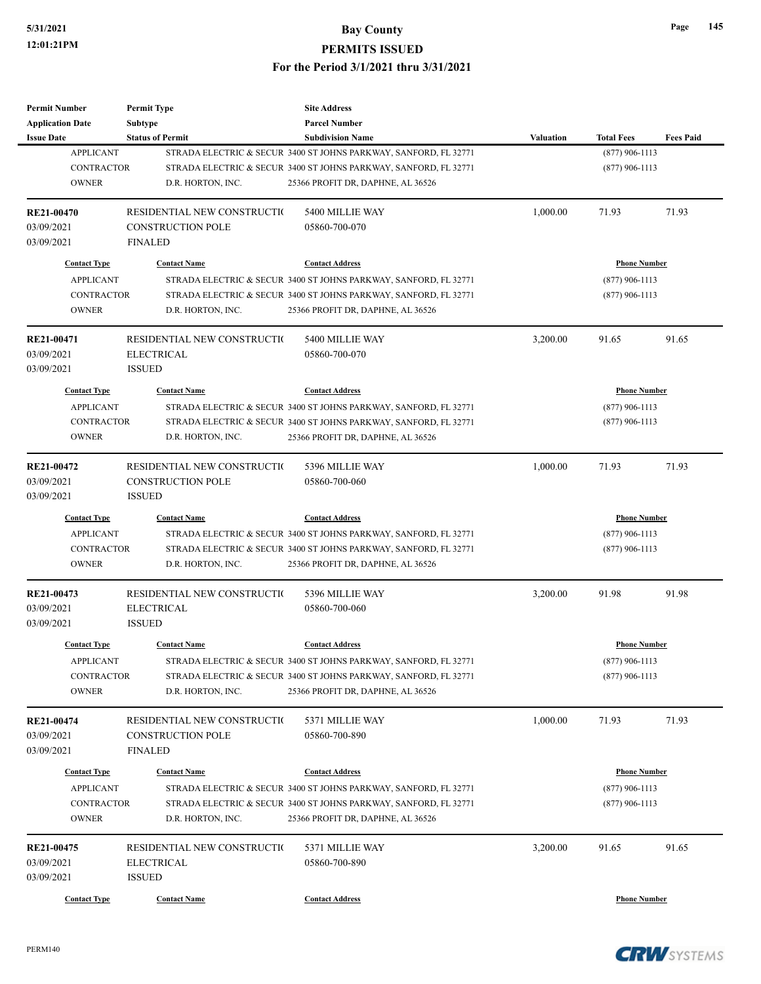| <b>Permit Number</b>    | <b>Permit Type</b>           | <b>Site Address</b>                                              |                  |                     |                  |
|-------------------------|------------------------------|------------------------------------------------------------------|------------------|---------------------|------------------|
| <b>Application Date</b> | <b>Subtype</b>               | <b>Parcel Number</b>                                             |                  |                     |                  |
| <b>Issue Date</b>       | <b>Status of Permit</b>      | <b>Subdivision Name</b>                                          | <b>Valuation</b> | <b>Total Fees</b>   | <b>Fees Paid</b> |
| <b>APPLICANT</b>        |                              | STRADA ELECTRIC & SECUR 3400 ST JOHNS PARKWAY, SANFORD, FL 32771 |                  | $(877)$ 906-1113    |                  |
| <b>CONTRACTOR</b>       |                              | STRADA ELECTRIC & SECUR 3400 ST JOHNS PARKWAY, SANFORD, FL 32771 |                  | $(877)$ 906-1113    |                  |
| <b>OWNER</b>            | D.R. HORTON, INC.            | 25366 PROFIT DR, DAPHNE, AL 36526                                |                  |                     |                  |
| <b>RE21-00470</b>       | RESIDENTIAL NEW CONSTRUCTIO  | 5400 MILLIE WAY                                                  | 1,000.00         | 71.93               | 71.93            |
| 03/09/2021              | <b>CONSTRUCTION POLE</b>     | 05860-700-070                                                    |                  |                     |                  |
| 03/09/2021              | <b>FINALED</b>               |                                                                  |                  |                     |                  |
| <b>Contact Type</b>     | <b>Contact Name</b>          | <b>Contact Address</b>                                           |                  | <b>Phone Number</b> |                  |
| <b>APPLICANT</b>        |                              | STRADA ELECTRIC & SECUR 3400 ST JOHNS PARKWAY, SANFORD, FL 32771 |                  | $(877)$ 906-1113    |                  |
| <b>CONTRACTOR</b>       |                              | STRADA ELECTRIC & SECUR 3400 ST JOHNS PARKWAY, SANFORD, FL 32771 |                  | $(877)$ 906-1113    |                  |
| <b>OWNER</b>            | D.R. HORTON, INC.            | 25366 PROFIT DR, DAPHNE, AL 36526                                |                  |                     |                  |
| RE21-00471              | RESIDENTIAL NEW CONSTRUCTION | 5400 MILLIE WAY                                                  | 3,200.00         | 91.65               | 91.65            |
| 03/09/2021              | <b>ELECTRICAL</b>            | 05860-700-070                                                    |                  |                     |                  |
| 03/09/2021              | <b>ISSUED</b>                |                                                                  |                  |                     |                  |
| <b>Contact Type</b>     | <b>Contact Name</b>          | <b>Contact Address</b>                                           |                  | <b>Phone Number</b> |                  |
| <b>APPLICANT</b>        |                              | STRADA ELECTRIC & SECUR 3400 ST JOHNS PARKWAY, SANFORD, FL 32771 |                  | $(877)$ 906-1113    |                  |
| <b>CONTRACTOR</b>       |                              | STRADA ELECTRIC & SECUR 3400 ST JOHNS PARKWAY, SANFORD, FL 32771 |                  | $(877)$ 906-1113    |                  |
| <b>OWNER</b>            |                              | 25366 PROFIT DR, DAPHNE, AL 36526                                |                  |                     |                  |
|                         | D.R. HORTON, INC.            |                                                                  |                  |                     |                  |
| RE21-00472              | RESIDENTIAL NEW CONSTRUCTIO  | 5396 MILLIE WAY                                                  | 1,000.00         | 71.93               | 71.93            |
| 03/09/2021              | <b>CONSTRUCTION POLE</b>     | 05860-700-060                                                    |                  |                     |                  |
| 03/09/2021              | <b>ISSUED</b>                |                                                                  |                  |                     |                  |
| <b>Contact Type</b>     | <b>Contact Name</b>          | <b>Contact Address</b>                                           |                  | <b>Phone Number</b> |                  |
| <b>APPLICANT</b>        |                              | STRADA ELECTRIC & SECUR 3400 ST JOHNS PARKWAY, SANFORD, FL 32771 |                  | $(877)$ 906-1113    |                  |
| <b>CONTRACTOR</b>       |                              | STRADA ELECTRIC & SECUR 3400 ST JOHNS PARKWAY, SANFORD, FL 32771 |                  | $(877)$ 906-1113    |                  |
| <b>OWNER</b>            | D.R. HORTON, INC.            | 25366 PROFIT DR, DAPHNE, AL 36526                                |                  |                     |                  |
| RE21-00473              | RESIDENTIAL NEW CONSTRUCTIO  | 5396 MILLIE WAY                                                  | 3,200.00         | 91.98               | 91.98            |
| 03/09/2021              | <b>ELECTRICAL</b>            | 05860-700-060                                                    |                  |                     |                  |
| 03/09/2021              | <b>ISSUED</b>                |                                                                  |                  |                     |                  |
| <b>Contact Type</b>     | <b>Contact Name</b>          | <b>Contact Address</b>                                           |                  | <b>Phone Number</b> |                  |
| <b>APPLICANT</b>        |                              | STRADA ELECTRIC & SECUR 3400 ST JOHNS PARKWAY, SANFORD, FL 32771 |                  | $(877)$ 906-1113    |                  |
| CONTRACTOR              |                              | STRADA ELECTRIC & SECUR 3400 ST JOHNS PARKWAY, SANFORD, FL 32771 |                  | $(877)$ 906-1113    |                  |
| <b>OWNER</b>            | D.R. HORTON, INC.            | 25366 PROFIT DR, DAPHNE, AL 36526                                |                  |                     |                  |
| <b>RE21-00474</b>       | RESIDENTIAL NEW CONSTRUCTION | 5371 MILLIE WAY                                                  | 1,000.00         | 71.93               | 71.93            |
| 03/09/2021              | <b>CONSTRUCTION POLE</b>     | 05860-700-890                                                    |                  |                     |                  |
| 03/09/2021              |                              |                                                                  |                  |                     |                  |
|                         | <b>FINALED</b>               |                                                                  |                  |                     |                  |
| <b>Contact Type</b>     | <b>Contact Name</b>          | <b>Contact Address</b>                                           |                  | <b>Phone Number</b> |                  |
| <b>APPLICANT</b>        |                              | STRADA ELECTRIC & SECUR 3400 ST JOHNS PARKWAY, SANFORD, FL 32771 |                  | $(877)$ 906-1113    |                  |
| CONTRACTOR              |                              | STRADA ELECTRIC & SECUR 3400 ST JOHNS PARKWAY, SANFORD, FL 32771 |                  | $(877)$ 906-1113    |                  |
| <b>OWNER</b>            | D.R. HORTON, INC.            | 25366 PROFIT DR, DAPHNE, AL 36526                                |                  |                     |                  |
| RE21-00475              | RESIDENTIAL NEW CONSTRUCTIO  | 5371 MILLIE WAY                                                  | 3,200.00         | 91.65               | 91.65            |
| 03/09/2021              | <b>ELECTRICAL</b>            | 05860-700-890                                                    |                  |                     |                  |
| 03/09/2021              | <b>ISSUED</b>                |                                                                  |                  |                     |                  |
|                         |                              |                                                                  |                  |                     |                  |
| <b>Contact Type</b>     | <b>Contact Name</b>          | <b>Contact Address</b>                                           |                  | <b>Phone Number</b> |                  |



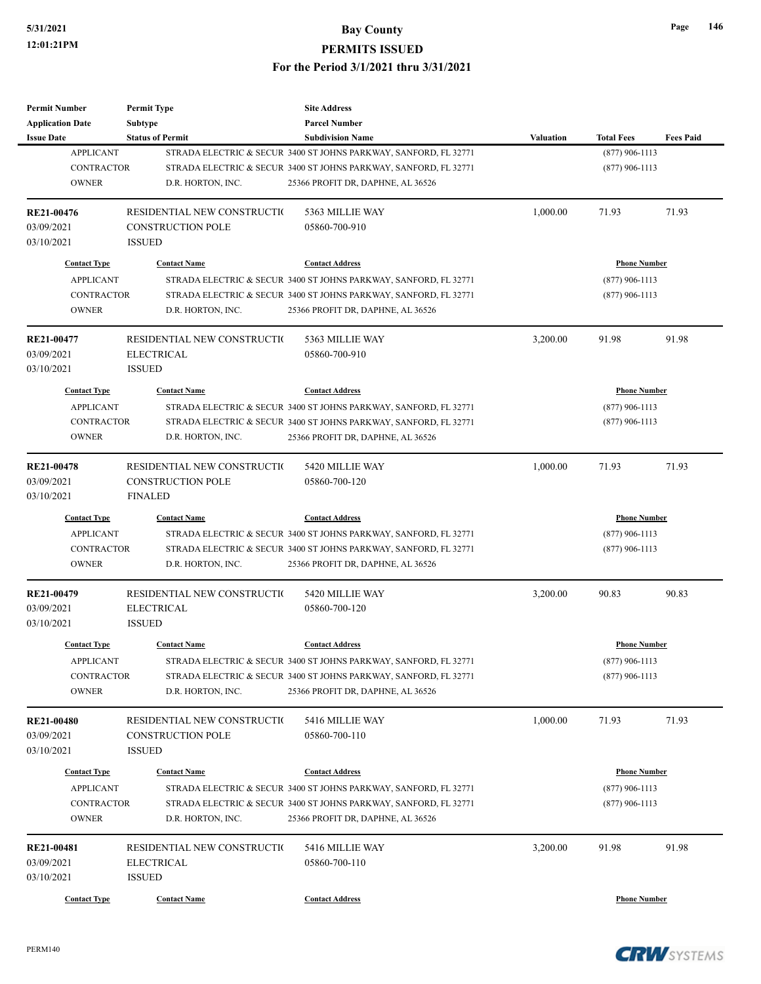| <b>Permit Number</b>    | <b>Permit Type</b>           | <b>Site Address</b>                                              |                  |                     |                     |  |
|-------------------------|------------------------------|------------------------------------------------------------------|------------------|---------------------|---------------------|--|
| <b>Application Date</b> | <b>Subtype</b>               | <b>Parcel Number</b>                                             |                  |                     |                     |  |
| <b>Issue Date</b>       | <b>Status of Permit</b>      | <b>Subdivision Name</b>                                          | <b>Valuation</b> | <b>Total Fees</b>   | <b>Fees Paid</b>    |  |
| <b>APPLICANT</b>        |                              | STRADA ELECTRIC & SECUR 3400 ST JOHNS PARKWAY, SANFORD, FL 32771 |                  | $(877)$ 906-1113    |                     |  |
| <b>CONTRACTOR</b>       |                              | STRADA ELECTRIC & SECUR 3400 ST JOHNS PARKWAY, SANFORD, FL 32771 |                  | $(877)$ 906-1113    |                     |  |
| <b>OWNER</b>            | D.R. HORTON, INC.            | 25366 PROFIT DR, DAPHNE, AL 36526                                |                  |                     |                     |  |
| RE21-00476              | RESIDENTIAL NEW CONSTRUCTION | 5363 MILLIE WAY                                                  | 1,000.00         | 71.93               | 71.93               |  |
| 03/09/2021              | <b>CONSTRUCTION POLE</b>     | 05860-700-910                                                    |                  |                     |                     |  |
| 03/10/2021              | <b>ISSUED</b>                |                                                                  |                  |                     |                     |  |
| <b>Contact Type</b>     | <b>Contact Name</b>          | <b>Contact Address</b>                                           |                  | <b>Phone Number</b> |                     |  |
| <b>APPLICANT</b>        |                              | STRADA ELECTRIC & SECUR 3400 ST JOHNS PARKWAY, SANFORD, FL 32771 |                  | $(877)$ 906-1113    |                     |  |
| <b>CONTRACTOR</b>       |                              | STRADA ELECTRIC & SECUR 3400 ST JOHNS PARKWAY, SANFORD, FL 32771 |                  | $(877)$ 906-1113    |                     |  |
| <b>OWNER</b>            | D.R. HORTON, INC.            | 25366 PROFIT DR, DAPHNE, AL 36526                                |                  |                     |                     |  |
| RE21-00477              | RESIDENTIAL NEW CONSTRUCTIO  | 5363 MILLIE WAY                                                  | 3,200.00         | 91.98               | 91.98               |  |
| 03/09/2021              | <b>ELECTRICAL</b>            | 05860-700-910                                                    |                  |                     |                     |  |
| 03/10/2021              | <b>ISSUED</b>                |                                                                  |                  |                     |                     |  |
| <b>Contact Type</b>     | <b>Contact Name</b>          | <b>Contact Address</b>                                           |                  | <b>Phone Number</b> |                     |  |
| <b>APPLICANT</b>        |                              | STRADA ELECTRIC & SECUR 3400 ST JOHNS PARKWAY, SANFORD, FL 32771 |                  | $(877)$ 906-1113    |                     |  |
| <b>CONTRACTOR</b>       |                              | STRADA ELECTRIC & SECUR 3400 ST JOHNS PARKWAY, SANFORD, FL 32771 |                  | $(877)$ 906-1113    |                     |  |
| <b>OWNER</b>            | D.R. HORTON, INC.            | 25366 PROFIT DR, DAPHNE, AL 36526                                |                  |                     |                     |  |
|                         |                              |                                                                  |                  |                     |                     |  |
| RE21-00478              | RESIDENTIAL NEW CONSTRUCTIO  | 5420 MILLIE WAY                                                  | 1,000.00         | 71.93               | 71.93               |  |
| 03/09/2021              | <b>CONSTRUCTION POLE</b>     | 05860-700-120                                                    |                  |                     |                     |  |
| 03/10/2021              | <b>FINALED</b>               |                                                                  |                  |                     |                     |  |
| <b>Contact Type</b>     | <b>Contact Name</b>          | <b>Contact Address</b>                                           |                  |                     | <b>Phone Number</b> |  |
| <b>APPLICANT</b>        |                              | STRADA ELECTRIC & SECUR 3400 ST JOHNS PARKWAY, SANFORD, FL 32771 |                  | $(877)$ 906-1113    |                     |  |
| <b>CONTRACTOR</b>       |                              | STRADA ELECTRIC & SECUR 3400 ST JOHNS PARKWAY, SANFORD, FL 32771 |                  | $(877)$ 906-1113    |                     |  |
| <b>OWNER</b>            | D.R. HORTON, INC.            | 25366 PROFIT DR, DAPHNE, AL 36526                                |                  |                     |                     |  |
| RE21-00479              | RESIDENTIAL NEW CONSTRUCTION | 5420 MILLIE WAY                                                  | 3,200.00         | 90.83               | 90.83               |  |
| 03/09/2021              | <b>ELECTRICAL</b>            | 05860-700-120                                                    |                  |                     |                     |  |
| 03/10/2021              | <b>ISSUED</b>                |                                                                  |                  |                     |                     |  |
| <b>Contact Type</b>     | <b>Contact Name</b>          | <b>Contact Address</b>                                           |                  | <b>Phone Number</b> |                     |  |
| <b>APPLICANT</b>        |                              | STRADA ELECTRIC & SECUR 3400 ST JOHNS PARKWAY, SANFORD, FL 32771 |                  | $(877)$ 906-1113    |                     |  |
| CONTRACTOR              |                              | STRADA ELECTRIC & SECUR 3400 ST JOHNS PARKWAY, SANFORD, FL 32771 |                  | $(877)$ 906-1113    |                     |  |
| <b>OWNER</b>            | D.R. HORTON, INC.            | 25366 PROFIT DR, DAPHNE, AL 36526                                |                  |                     |                     |  |
|                         |                              |                                                                  |                  |                     |                     |  |
| <b>RE21-00480</b>       | RESIDENTIAL NEW CONSTRUCTION | 5416 MILLIE WAY                                                  | 1,000.00         | 71.93               | 71.93               |  |
| 03/09/2021              | CONSTRUCTION POLE            | 05860-700-110                                                    |                  |                     |                     |  |
| 03/10/2021              | <b>ISSUED</b>                |                                                                  |                  |                     |                     |  |
| <b>Contact Type</b>     | <b>Contact Name</b>          | <b>Contact Address</b>                                           |                  | <b>Phone Number</b> |                     |  |
| <b>APPLICANT</b>        |                              | STRADA ELECTRIC & SECUR 3400 ST JOHNS PARKWAY, SANFORD, FL 32771 |                  | $(877)$ 906-1113    |                     |  |
| CONTRACTOR              |                              | STRADA ELECTRIC & SECUR 3400 ST JOHNS PARKWAY, SANFORD, FL 32771 |                  | $(877)$ 906-1113    |                     |  |
| <b>OWNER</b>            | D.R. HORTON, INC.            | 25366 PROFIT DR, DAPHNE, AL 36526                                |                  |                     |                     |  |
| RE21-00481              | RESIDENTIAL NEW CONSTRUCTIO  | 5416 MILLIE WAY                                                  | 3,200.00         | 91.98               | 91.98               |  |
| 03/09/2021              | <b>ELECTRICAL</b>            | 05860-700-110                                                    |                  |                     |                     |  |
| 03/10/2021              | <b>ISSUED</b>                |                                                                  |                  |                     |                     |  |
|                         |                              |                                                                  |                  |                     |                     |  |
| <b>Contact Type</b>     | <b>Contact Name</b>          | <b>Contact Address</b>                                           |                  | <b>Phone Number</b> |                     |  |



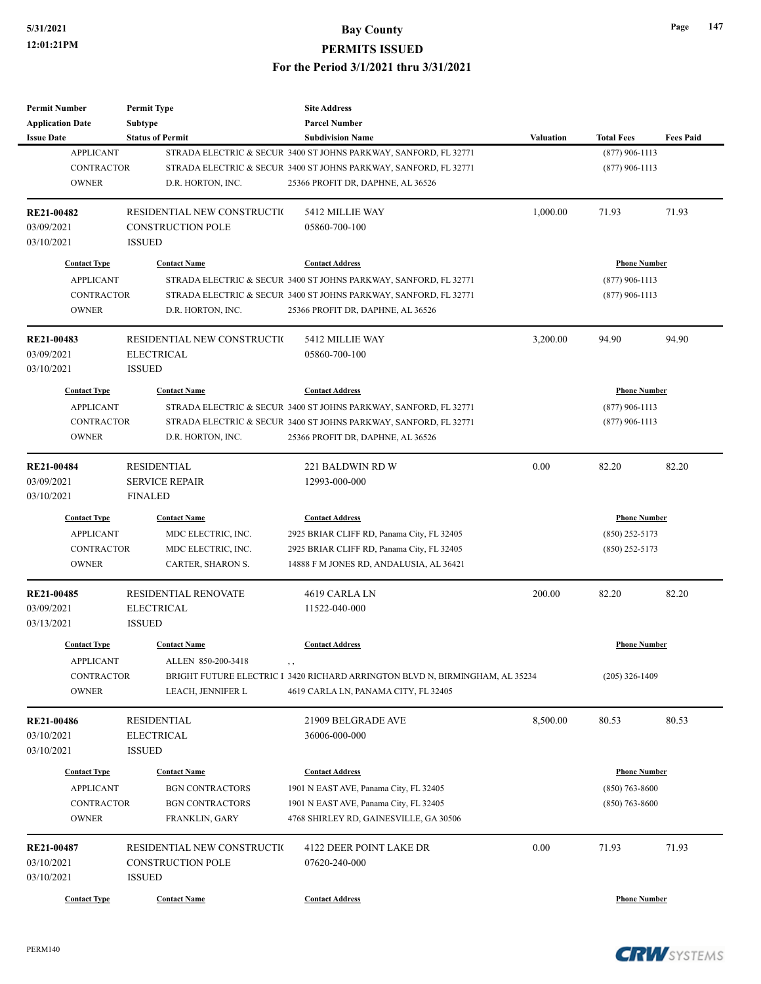| <b>Permit Number</b>                    | <b>Permit Type</b>                            | <b>Site Address</b>                                                          |                  |                                         |                  |
|-----------------------------------------|-----------------------------------------------|------------------------------------------------------------------------------|------------------|-----------------------------------------|------------------|
| <b>Application Date</b>                 | <b>Subtype</b>                                | <b>Parcel Number</b>                                                         |                  |                                         |                  |
| <b>Issue Date</b>                       | <b>Status of Permit</b>                       | <b>Subdivision Name</b>                                                      | <b>Valuation</b> | <b>Total Fees</b>                       | <b>Fees Paid</b> |
| <b>APPLICANT</b>                        |                                               | STRADA ELECTRIC & SECUR 3400 ST JOHNS PARKWAY, SANFORD, FL 32771             |                  | $(877)$ 906-1113                        |                  |
| <b>CONTRACTOR</b>                       |                                               | STRADA ELECTRIC & SECUR 3400 ST JOHNS PARKWAY, SANFORD, FL 32771             |                  | $(877)$ 906-1113                        |                  |
| <b>OWNER</b>                            | D.R. HORTON, INC.                             | 25366 PROFIT DR, DAPHNE, AL 36526                                            |                  |                                         |                  |
| RE21-00482                              | RESIDENTIAL NEW CONSTRUCTIO                   | 5412 MILLIE WAY                                                              | 1,000.00         | 71.93                                   | 71.93            |
| 03/09/2021                              | <b>CONSTRUCTION POLE</b>                      | 05860-700-100                                                                |                  |                                         |                  |
| 03/10/2021                              | <b>ISSUED</b>                                 |                                                                              |                  |                                         |                  |
| <b>Contact Type</b>                     | <b>Contact Name</b>                           | <b>Contact Address</b>                                                       |                  | <b>Phone Number</b>                     |                  |
| <b>APPLICANT</b>                        |                                               | STRADA ELECTRIC & SECUR 3400 ST JOHNS PARKWAY, SANFORD, FL 32771             |                  | $(877)$ 906-1113                        |                  |
| <b>CONTRACTOR</b>                       |                                               | STRADA ELECTRIC & SECUR 3400 ST JOHNS PARKWAY, SANFORD, FL 32771             |                  | $(877)$ 906-1113                        |                  |
| <b>OWNER</b>                            | D.R. HORTON, INC.                             | 25366 PROFIT DR, DAPHNE, AL 36526                                            |                  |                                         |                  |
| RE21-00483                              | RESIDENTIAL NEW CONSTRUCTIO                   | 5412 MILLIE WAY                                                              | 3,200.00         | 94.90                                   | 94.90            |
| 03/09/2021                              | <b>ELECTRICAL</b>                             | 05860-700-100                                                                |                  |                                         |                  |
| 03/10/2021                              | <b>ISSUED</b>                                 |                                                                              |                  |                                         |                  |
| <b>Contact Type</b>                     | <b>Contact Name</b>                           | <b>Contact Address</b>                                                       |                  | <b>Phone Number</b>                     |                  |
| <b>APPLICANT</b>                        |                                               | STRADA ELECTRIC & SECUR 3400 ST JOHNS PARKWAY, SANFORD, FL 32771             |                  | $(877)$ 906-1113                        |                  |
| <b>CONTRACTOR</b>                       |                                               | STRADA ELECTRIC & SECUR 3400 ST JOHNS PARKWAY, SANFORD, FL 32771             |                  | $(877)$ 906-1113                        |                  |
| <b>OWNER</b>                            | D.R. HORTON, INC.                             | 25366 PROFIT DR, DAPHNE, AL 36526                                            |                  |                                         |                  |
|                                         |                                               |                                                                              |                  |                                         |                  |
| RE21-00484                              | <b>RESIDENTIAL</b>                            | 221 BALDWIN RD W                                                             | 0.00             | 82.20                                   | 82.20            |
| 03/09/2021                              | <b>SERVICE REPAIR</b>                         | 12993-000-000                                                                |                  |                                         |                  |
| 03/10/2021                              | <b>FINALED</b>                                |                                                                              |                  |                                         |                  |
| <b>Contact Type</b>                     | <b>Contact Name</b>                           | <b>Contact Address</b>                                                       |                  | <b>Phone Number</b>                     |                  |
| <b>APPLICANT</b>                        | MDC ELECTRIC, INC.                            | 2925 BRIAR CLIFF RD, Panama City, FL 32405                                   |                  | $(850)$ 252-5173                        |                  |
| <b>CONTRACTOR</b>                       | MDC ELECTRIC, INC.                            | 2925 BRIAR CLIFF RD, Panama City, FL 32405                                   |                  | $(850)$ 252-5173                        |                  |
| <b>OWNER</b>                            | CARTER, SHARON S.                             | 14888 F M JONES RD, ANDALUSIA, AL 36421                                      |                  |                                         |                  |
| RE21-00485                              | <b>RESIDENTIAL RENOVATE</b>                   | 4619 CARLA LN                                                                | 200.00           | 82.20                                   | 82.20            |
| 03/09/2021                              | <b>ELECTRICAL</b>                             | 11522-040-000                                                                |                  |                                         |                  |
| 03/13/2021                              | <b>ISSUED</b>                                 |                                                                              |                  |                                         |                  |
| <b>Contact Type</b>                     | <b>Contact Name</b>                           | <b>Contact Address</b>                                                       |                  | <b>Phone Number</b>                     |                  |
| <b>APPLICANT</b>                        | ALLEN 850-200-3418                            | , ,                                                                          |                  |                                         |                  |
| <b>CONTRACTOR</b>                       |                                               | BRIGHT FUTURE ELECTRIC I 3420 RICHARD ARRINGTON BLVD N, BIRMINGHAM, AL 35234 |                  | $(205)$ 326-1409                        |                  |
| <b>OWNER</b>                            | LEACH, JENNIFER L                             | 4619 CARLA LN, PANAMA CITY, FL 32405                                         |                  |                                         |                  |
| RE21-00486                              | <b>RESIDENTIAL</b>                            | 21909 BELGRADE AVE                                                           | 8,500.00         | 80.53                                   | 80.53            |
| 03/10/2021                              | <b>ELECTRICAL</b>                             | 36006-000-000                                                                |                  |                                         |                  |
| 03/10/2021                              | <b>ISSUED</b>                                 |                                                                              |                  |                                         |                  |
|                                         |                                               |                                                                              |                  |                                         |                  |
| <b>Contact Type</b><br><b>APPLICANT</b> | <b>Contact Name</b><br><b>BGN CONTRACTORS</b> | <b>Contact Address</b>                                                       |                  | <b>Phone Number</b><br>$(850)$ 763-8600 |                  |
|                                         |                                               | 1901 N EAST AVE, Panama City, FL 32405                                       |                  |                                         |                  |
| <b>CONTRACTOR</b>                       | <b>BGN CONTRACTORS</b>                        | 1901 N EAST AVE, Panama City, FL 32405                                       |                  | $(850)$ 763-8600                        |                  |
| <b>OWNER</b>                            | FRANKLIN, GARY                                | 4768 SHIRLEY RD, GAINESVILLE, GA 30506                                       |                  |                                         |                  |
| RE21-00487                              | RESIDENTIAL NEW CONSTRUCTIO                   | 4122 DEER POINT LAKE DR                                                      | 0.00             | 71.93                                   | 71.93            |
| 03/10/2021                              | <b>CONSTRUCTION POLE</b>                      | 07620-240-000                                                                |                  |                                         |                  |
| 03/10/2021                              | <b>ISSUED</b>                                 |                                                                              |                  |                                         |                  |
| <b>Contact Type</b>                     | <b>Contact Name</b>                           | <b>Contact Address</b>                                                       |                  | <b>Phone Number</b>                     |                  |
|                                         |                                               |                                                                              |                  |                                         |                  |

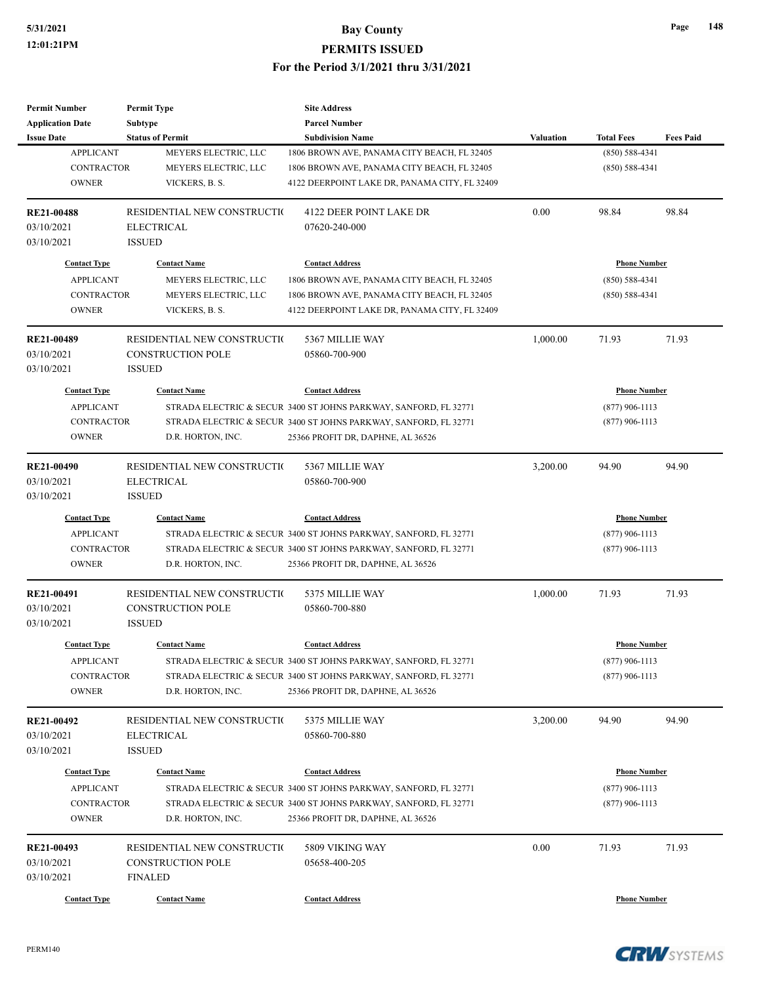| <b>Permit Number</b>    | <b>Permit Type</b>           | <b>Site Address</b>                                              |                     |                     |                  |
|-------------------------|------------------------------|------------------------------------------------------------------|---------------------|---------------------|------------------|
| <b>Application Date</b> | <b>Subtype</b>               | <b>Parcel Number</b>                                             |                     |                     |                  |
| <b>Issue Date</b>       | <b>Status of Permit</b>      | <b>Subdivision Name</b>                                          | <b>Valuation</b>    | <b>Total Fees</b>   | <b>Fees Paid</b> |
| <b>APPLICANT</b>        | MEYERS ELECTRIC, LLC         | 1806 BROWN AVE, PANAMA CITY BEACH, FL 32405                      |                     | $(850) 588 - 4341$  |                  |
| <b>CONTRACTOR</b>       | MEYERS ELECTRIC, LLC         | 1806 BROWN AVE, PANAMA CITY BEACH, FL 32405                      |                     | $(850) 588 - 4341$  |                  |
| <b>OWNER</b>            | VICKERS, B. S.               | 4122 DEERPOINT LAKE DR, PANAMA CITY, FL 32409                    |                     |                     |                  |
|                         |                              |                                                                  |                     |                     |                  |
| <b>RE21-00488</b>       | RESIDENTIAL NEW CONSTRUCTIO  | 4122 DEER POINT LAKE DR                                          | 0.00                | 98.84               | 98.84            |
| 03/10/2021              | <b>ELECTRICAL</b>            | 07620-240-000                                                    |                     |                     |                  |
| 03/10/2021              | <b>ISSUED</b>                |                                                                  |                     |                     |                  |
| <b>Contact Type</b>     | <b>Contact Name</b>          | <b>Contact Address</b>                                           |                     | <b>Phone Number</b> |                  |
|                         |                              |                                                                  |                     |                     |                  |
| <b>APPLICANT</b>        | MEYERS ELECTRIC, LLC         | 1806 BROWN AVE, PANAMA CITY BEACH, FL 32405                      |                     | $(850) 588 - 4341$  |                  |
| <b>CONTRACTOR</b>       | MEYERS ELECTRIC, LLC         | 1806 BROWN AVE, PANAMA CITY BEACH, FL 32405                      |                     | $(850) 588 - 4341$  |                  |
| <b>OWNER</b>            | VICKERS, B. S.               | 4122 DEERPOINT LAKE DR, PANAMA CITY, FL 32409                    |                     |                     |                  |
| RE21-00489              | RESIDENTIAL NEW CONSTRUCTIO  | 5367 MILLIE WAY                                                  | 1,000.00            | 71.93               | 71.93            |
| 03/10/2021              | <b>CONSTRUCTION POLE</b>     | 05860-700-900                                                    |                     |                     |                  |
| 03/10/2021              | <b>ISSUED</b>                |                                                                  |                     |                     |                  |
| <b>Contact Type</b>     | <b>Contact Name</b>          | <b>Contact Address</b>                                           |                     | <b>Phone Number</b> |                  |
|                         |                              |                                                                  |                     |                     |                  |
| <b>APPLICANT</b>        |                              | STRADA ELECTRIC & SECUR 3400 ST JOHNS PARKWAY, SANFORD, FL 32771 |                     | $(877)$ 906-1113    |                  |
| <b>CONTRACTOR</b>       |                              | STRADA ELECTRIC & SECUR 3400 ST JOHNS PARKWAY, SANFORD, FL 32771 |                     | $(877)$ 906-1113    |                  |
| <b>OWNER</b>            | D.R. HORTON, INC.            | 25366 PROFIT DR, DAPHNE, AL 36526                                |                     |                     |                  |
| RE21-00490              | RESIDENTIAL NEW CONSTRUCTIO  | 5367 MILLIE WAY                                                  | 3,200.00            | 94.90               | 94.90            |
| 03/10/2021              | <b>ELECTRICAL</b>            | 05860-700-900                                                    |                     |                     |                  |
| 03/10/2021              | <b>ISSUED</b>                |                                                                  |                     |                     |                  |
| <b>Contact Type</b>     | <b>Contact Name</b>          | <b>Contact Address</b>                                           | <b>Phone Number</b> |                     |                  |
| <b>APPLICANT</b>        |                              | STRADA ELECTRIC & SECUR 3400 ST JOHNS PARKWAY, SANFORD, FL 32771 |                     | $(877)$ 906-1113    |                  |
| <b>CONTRACTOR</b>       |                              | STRADA ELECTRIC & SECUR 3400 ST JOHNS PARKWAY, SANFORD, FL 32771 |                     |                     |                  |
| <b>OWNER</b>            |                              |                                                                  |                     | $(877)$ 906-1113    |                  |
|                         | D.R. HORTON, INC.            | 25366 PROFIT DR, DAPHNE, AL 36526                                |                     |                     |                  |
| RE21-00491              | RESIDENTIAL NEW CONSTRUCTIO  | 5375 MILLIE WAY                                                  | 1,000.00            | 71.93               | 71.93            |
| 03/10/2021              | <b>CONSTRUCTION POLE</b>     | 05860-700-880                                                    |                     |                     |                  |
| 03/10/2021              | <b>ISSUED</b>                |                                                                  |                     |                     |                  |
|                         |                              |                                                                  |                     |                     |                  |
| <b>Contact Type</b>     | <b>Contact Name</b>          | <b>Contact Address</b>                                           |                     | <b>Phone Number</b> |                  |
| <b>APPLICANT</b>        |                              | STRADA ELECTRIC & SECUR 3400 ST JOHNS PARKWAY, SANFORD, FL 32771 |                     | $(877)$ 906-1113    |                  |
| <b>CONTRACTOR</b>       |                              | STRADA ELECTRIC & SECUR 3400 ST JOHNS PARKWAY, SANFORD, FL 32771 |                     | $(877)$ 906-1113    |                  |
| <b>OWNER</b>            | D.R. HORTON, INC.            | 25366 PROFIT DR, DAPHNE, AL 36526                                |                     |                     |                  |
| RE21-00492              | RESIDENTIAL NEW CONSTRUCTION | 5375 MILLIE WAY                                                  | 3,200.00            | 94.90               | 94.90            |
| 03/10/2021              | <b>ELECTRICAL</b>            | 05860-700-880                                                    |                     |                     |                  |
| 03/10/2021              | <b>ISSUED</b>                |                                                                  |                     |                     |                  |
|                         |                              |                                                                  |                     |                     |                  |
| <b>Contact Type</b>     | <b>Contact Name</b>          | <b>Contact Address</b>                                           |                     | <b>Phone Number</b> |                  |
| <b>APPLICANT</b>        |                              | STRADA ELECTRIC & SECUR 3400 ST JOHNS PARKWAY, SANFORD, FL 32771 |                     | $(877)$ 906-1113    |                  |
| <b>CONTRACTOR</b>       |                              | STRADA ELECTRIC & SECUR 3400 ST JOHNS PARKWAY, SANFORD, FL 32771 |                     | $(877)$ 906-1113    |                  |
| <b>OWNER</b>            | D.R. HORTON, INC.            | 25366 PROFIT DR, DAPHNE, AL 36526                                |                     |                     |                  |
| RE21-00493              | RESIDENTIAL NEW CONSTRUCTIO  | 5809 VIKING WAY                                                  | 0.00                | 71.93               | 71.93            |
|                         |                              |                                                                  |                     |                     |                  |
| 03/10/2021              | <b>CONSTRUCTION POLE</b>     | 05658-400-205                                                    |                     |                     |                  |
| 03/10/2021              | <b>FINALED</b>               |                                                                  |                     |                     |                  |
| <b>Contact Type</b>     | <b>Contact Name</b>          | <b>Contact Address</b>                                           |                     | <b>Phone Number</b> |                  |

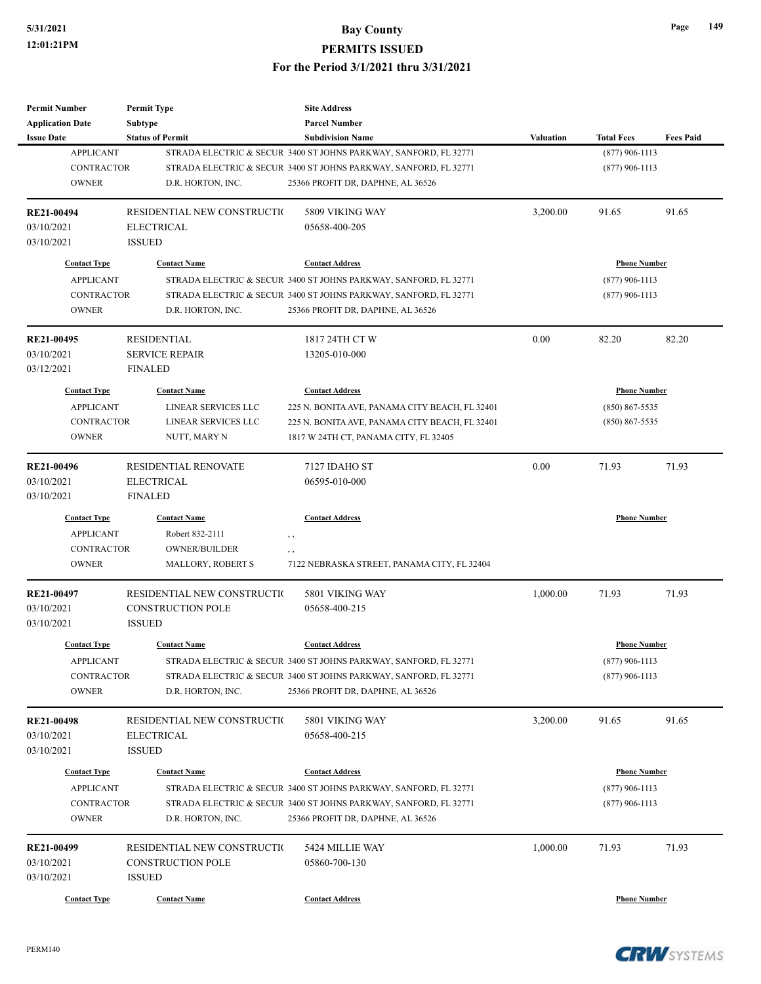| <b>Permit Number</b>    | <b>Permit Type</b>          | <b>Site Address</b>                                              |                  |                     |                  |
|-------------------------|-----------------------------|------------------------------------------------------------------|------------------|---------------------|------------------|
| <b>Application Date</b> | <b>Subtype</b>              | <b>Parcel Number</b>                                             |                  |                     |                  |
| <b>Issue Date</b>       | <b>Status of Permit</b>     | <b>Subdivision Name</b>                                          | <b>Valuation</b> | <b>Total Fees</b>   | <b>Fees Paid</b> |
| <b>APPLICANT</b>        |                             | STRADA ELECTRIC & SECUR 3400 ST JOHNS PARKWAY, SANFORD, FL 32771 |                  | $(877)$ 906-1113    |                  |
| <b>CONTRACTOR</b>       |                             | STRADA ELECTRIC & SECUR 3400 ST JOHNS PARKWAY, SANFORD, FL 32771 |                  | $(877)$ 906-1113    |                  |
| <b>OWNER</b>            | D.R. HORTON, INC.           | 25366 PROFIT DR, DAPHNE, AL 36526                                |                  |                     |                  |
| RE21-00494              | RESIDENTIAL NEW CONSTRUCTIO | 5809 VIKING WAY                                                  | 3,200.00         | 91.65               | 91.65            |
| 03/10/2021              | <b>ELECTRICAL</b>           | 05658-400-205                                                    |                  |                     |                  |
| 03/10/2021              | <b>ISSUED</b>               |                                                                  |                  |                     |                  |
| <b>Contact Type</b>     | <b>Contact Name</b>         | <b>Contact Address</b>                                           |                  | <b>Phone Number</b> |                  |
| <b>APPLICANT</b>        |                             | STRADA ELECTRIC & SECUR 3400 ST JOHNS PARKWAY, SANFORD, FL 32771 |                  | $(877)$ 906-1113    |                  |
| <b>CONTRACTOR</b>       |                             | STRADA ELECTRIC & SECUR 3400 ST JOHNS PARKWAY, SANFORD, FL 32771 |                  | $(877)$ 906-1113    |                  |
| <b>OWNER</b>            | D.R. HORTON, INC.           | 25366 PROFIT DR, DAPHNE, AL 36526                                |                  |                     |                  |
| RE21-00495              | <b>RESIDENTIAL</b>          | 1817 24TH CT W                                                   | 0.00             | 82.20               | 82.20            |
| 03/10/2021              | <b>SERVICE REPAIR</b>       | 13205-010-000                                                    |                  |                     |                  |
| 03/12/2021              | <b>FINALED</b>              |                                                                  |                  |                     |                  |
| <b>Contact Type</b>     | <b>Contact Name</b>         | <b>Contact Address</b>                                           |                  | <b>Phone Number</b> |                  |
| <b>APPLICANT</b>        | LINEAR SERVICES LLC         | 225 N. BONITA AVE, PANAMA CITY BEACH, FL 32401                   |                  | $(850) 867 - 5535$  |                  |
| <b>CONTRACTOR</b>       | LINEAR SERVICES LLC         | 225 N. BONITA AVE, PANAMA CITY BEACH, FL 32401                   |                  | $(850) 867 - 5535$  |                  |
| <b>OWNER</b>            | NUTT, MARY N                | 1817 W 24TH CT, PANAMA CITY, FL 32405                            |                  |                     |                  |
|                         |                             |                                                                  |                  |                     |                  |
| <b>RE21-00496</b>       | <b>RESIDENTIAL RENOVATE</b> | 7127 IDAHO ST                                                    | 0.00             | 71.93               | 71.93            |
| 03/10/2021              | <b>ELECTRICAL</b>           | 06595-010-000                                                    |                  |                     |                  |
| 03/10/2021              | <b>FINALED</b>              |                                                                  |                  |                     |                  |
| <b>Contact Type</b>     | <b>Contact Name</b>         | <b>Contact Address</b>                                           |                  | <b>Phone Number</b> |                  |
| <b>APPLICANT</b>        | Robert 832-2111             | , ,                                                              |                  |                     |                  |
| <b>CONTRACTOR</b>       | <b>OWNER/BUILDER</b>        | $, \, ,$                                                         |                  |                     |                  |
| <b>OWNER</b>            | MALLORY, ROBERT S           | 7122 NEBRASKA STREET, PANAMA CITY, FL 32404                      |                  |                     |                  |
| RE21-00497              | RESIDENTIAL NEW CONSTRUCTIO | 5801 VIKING WAY                                                  | 1,000.00         | 71.93               | 71.93            |
| 03/10/2021              | <b>CONSTRUCTION POLE</b>    | 05658-400-215                                                    |                  |                     |                  |
| 03/10/2021              | <b>ISSUED</b>               |                                                                  |                  |                     |                  |
|                         |                             |                                                                  |                  |                     |                  |
| <b>Contact Type</b>     | <b>Contact Name</b>         | <b>Contact Address</b>                                           |                  | <b>Phone Number</b> |                  |
| <b>APPLICANT</b>        |                             | STRADA ELECTRIC & SECUR 3400 ST JOHNS PARKWAY, SANFORD, FL 32771 |                  | $(877)$ 906-1113    |                  |
| <b>CONTRACTOR</b>       |                             | STRADA ELECTRIC & SECUR 3400 ST JOHNS PARKWAY, SANFORD, FL 32771 |                  | $(877)$ 906-1113    |                  |
| <b>OWNER</b>            | D.R. HORTON, INC.           | 25366 PROFIT DR, DAPHNE, AL 36526                                |                  |                     |                  |
| <b>RE21-00498</b>       | RESIDENTIAL NEW CONSTRUCTIO | 5801 VIKING WAY                                                  | 3,200.00         | 91.65               | 91.65            |
| 03/10/2021              | <b>ELECTRICAL</b>           | 05658-400-215                                                    |                  |                     |                  |
| 03/10/2021              | <b>ISSUED</b>               |                                                                  |                  |                     |                  |
| <b>Contact Type</b>     | <b>Contact Name</b>         | <b>Contact Address</b>                                           |                  | <b>Phone Number</b> |                  |
|                         |                             |                                                                  |                  |                     |                  |
| <b>APPLICANT</b>        |                             | STRADA ELECTRIC & SECUR 3400 ST JOHNS PARKWAY, SANFORD, FL 32771 |                  | $(877)$ 906-1113    |                  |
| CONTRACTOR              |                             | STRADA ELECTRIC & SECUR 3400 ST JOHNS PARKWAY, SANFORD, FL 32771 |                  | $(877)$ 906-1113    |                  |
| <b>OWNER</b>            | D.R. HORTON, INC.           | 25366 PROFIT DR, DAPHNE, AL 36526                                |                  |                     |                  |
| RE21-00499              | RESIDENTIAL NEW CONSTRUCTIO | 5424 MILLIE WAY                                                  | 1,000.00         | 71.93               | 71.93            |
| 03/10/2021              | <b>CONSTRUCTION POLE</b>    | 05860-700-130                                                    |                  |                     |                  |
| 03/10/2021              | <b>ISSUED</b>               |                                                                  |                  |                     |                  |
|                         |                             |                                                                  |                  |                     |                  |
| <b>Contact Type</b>     | <b>Contact Name</b>         | <b>Contact Address</b>                                           |                  | <b>Phone Number</b> |                  |

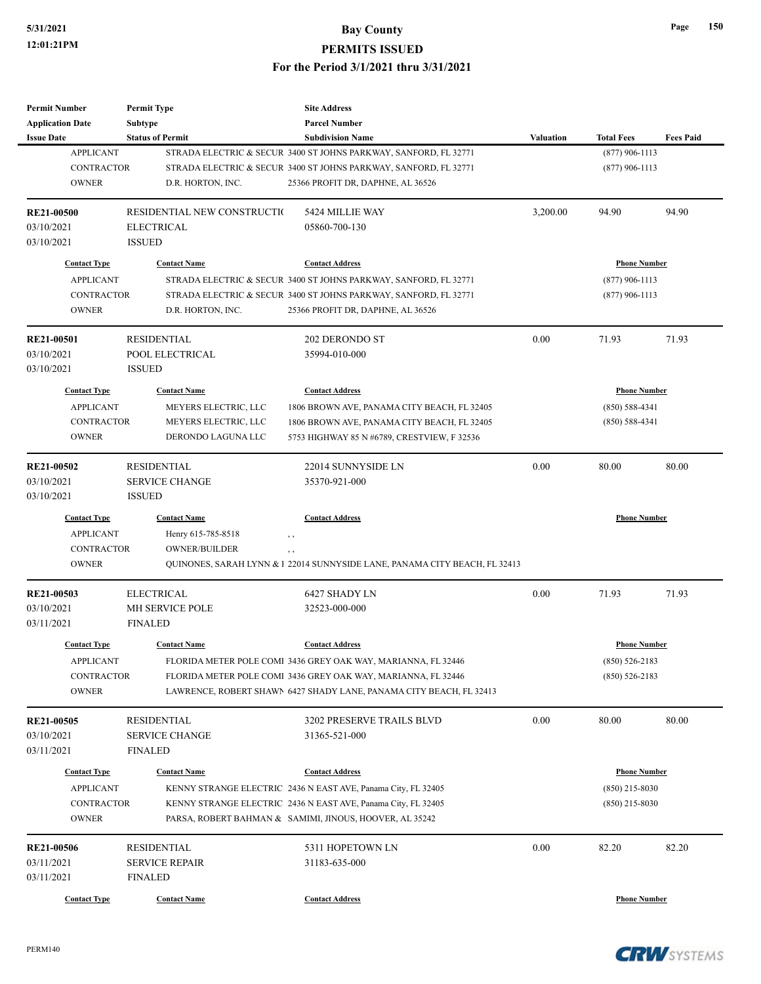| <b>Permit Number</b>       | <b>Permit Type</b>          | <b>Site Address</b>                                                                                                      |                  |                     |                  |
|----------------------------|-----------------------------|--------------------------------------------------------------------------------------------------------------------------|------------------|---------------------|------------------|
| <b>Application Date</b>    | <b>Subtype</b>              | <b>Parcel Number</b>                                                                                                     |                  |                     |                  |
| <b>Issue Date</b>          | <b>Status of Permit</b>     | <b>Subdivision Name</b>                                                                                                  | <b>Valuation</b> | <b>Total Fees</b>   | <b>Fees Paid</b> |
| <b>APPLICANT</b>           |                             | STRADA ELECTRIC & SECUR 3400 ST JOHNS PARKWAY, SANFORD, FL 32771                                                         |                  | $(877)$ 906-1113    |                  |
| <b>CONTRACTOR</b>          |                             | STRADA ELECTRIC & SECUR 3400 ST JOHNS PARKWAY, SANFORD, FL 32771                                                         |                  | $(877)$ 906-1113    |                  |
| <b>OWNER</b>               | D.R. HORTON, INC.           | 25366 PROFIT DR, DAPHNE, AL 36526                                                                                        |                  |                     |                  |
| <b>RE21-00500</b>          | RESIDENTIAL NEW CONSTRUCTIO | 5424 MILLIE WAY                                                                                                          | 3,200.00         | 94.90               | 94.90            |
| 03/10/2021                 | <b>ELECTRICAL</b>           | 05860-700-130                                                                                                            |                  |                     |                  |
| 03/10/2021                 | <b>ISSUED</b>               |                                                                                                                          |                  |                     |                  |
| <b>Contact Type</b>        | <b>Contact Name</b>         | <b>Contact Address</b>                                                                                                   |                  | <b>Phone Number</b> |                  |
| <b>APPLICANT</b>           |                             | STRADA ELECTRIC & SECUR 3400 ST JOHNS PARKWAY, SANFORD, FL 32771                                                         |                  | $(877)$ 906-1113    |                  |
| <b>CONTRACTOR</b>          |                             | STRADA ELECTRIC & SECUR 3400 ST JOHNS PARKWAY, SANFORD, FL 32771                                                         |                  | $(877)$ 906-1113    |                  |
| <b>OWNER</b>               | D.R. HORTON, INC.           | 25366 PROFIT DR, DAPHNE, AL 36526                                                                                        |                  |                     |                  |
| RE21-00501                 | <b>RESIDENTIAL</b>          | 202 DERONDO ST                                                                                                           | 0.00             | 71.93               | 71.93            |
| 03/10/2021                 | POOL ELECTRICAL             | 35994-010-000                                                                                                            |                  |                     |                  |
| 03/10/2021                 | <b>ISSUED</b>               |                                                                                                                          |                  |                     |                  |
| <b>Contact Type</b>        | <b>Contact Name</b>         | <b>Contact Address</b>                                                                                                   |                  | <b>Phone Number</b> |                  |
| <b>APPLICANT</b>           | MEYERS ELECTRIC, LLC        | 1806 BROWN AVE, PANAMA CITY BEACH, FL 32405                                                                              |                  | $(850) 588 - 4341$  |                  |
| <b>CONTRACTOR</b>          | MEYERS ELECTRIC, LLC        | 1806 BROWN AVE, PANAMA CITY BEACH, FL 32405                                                                              |                  | $(850) 588 - 4341$  |                  |
| <b>OWNER</b>               | DERONDO LAGUNA LLC          | 5753 HIGHWAY 85 N #6789, CRESTVIEW, F 32536                                                                              |                  |                     |                  |
| RE21-00502                 | <b>RESIDENTIAL</b>          | 22014 SUNNYSIDE LN                                                                                                       | 0.00             | 80.00               | 80.00            |
| 03/10/2021                 | <b>SERVICE CHANGE</b>       | 35370-921-000                                                                                                            |                  |                     |                  |
| 03/10/2021                 | <b>ISSUED</b>               |                                                                                                                          |                  |                     |                  |
| <b>Contact Type</b>        | <b>Contact Name</b>         | <b>Contact Address</b>                                                                                                   |                  | <b>Phone Number</b> |                  |
| <b>APPLICANT</b>           | Henry 615-785-8518          |                                                                                                                          |                  |                     |                  |
| <b>CONTRACTOR</b>          | <b>OWNER/BUILDER</b>        | , ,<br>$, \, ,$                                                                                                          |                  |                     |                  |
| <b>OWNER</b>               |                             | QUINONES, SARAH LYNN & 1 22014 SUNNYSIDE LANE, PANAMA CITY BEACH, FL 32413                                               |                  |                     |                  |
| RE21-00503                 | <b>ELECTRICAL</b>           | 6427 SHADY LN                                                                                                            | 0.00             | 71.93               | 71.93            |
| 03/10/2021                 | MH SERVICE POLE             | 32523-000-000                                                                                                            |                  |                     |                  |
| 03/11/2021                 | <b>FINALED</b>              |                                                                                                                          |                  |                     |                  |
| <b>Contact Type</b>        | <b>Contact Name</b>         | <b>Contact Address</b>                                                                                                   |                  | <b>Phone Number</b> |                  |
| <b>APPLICANT</b>           |                             | FLORIDA METER POLE COMI 3436 GREY OAK WAY, MARIANNA, FL 32446                                                            |                  | $(850) 526 - 2183$  |                  |
| CONTRACTOR                 |                             | FLORIDA METER POLE COMI 3436 GREY OAK WAY, MARIANNA, FL 32446                                                            |                  | $(850) 526 - 2183$  |                  |
| <b>OWNER</b>               |                             | LAWRENCE, ROBERT SHAWN 6427 SHADY LANE, PANAMA CITY BEACH, FL 32413                                                      |                  |                     |                  |
| RE21-00505                 | <b>RESIDENTIAL</b>          | <b>3202 PRESERVE TRAILS BLVD</b>                                                                                         | 0.00             | 80.00               | 80.00            |
| 03/10/2021                 | <b>SERVICE CHANGE</b>       | 31365-521-000                                                                                                            |                  |                     |                  |
| 03/11/2021                 | FINALED                     |                                                                                                                          |                  |                     |                  |
|                            | <b>Contact Name</b>         | <b>Contact Address</b>                                                                                                   |                  | <b>Phone Number</b> |                  |
| <b>Contact Type</b>        |                             |                                                                                                                          |                  |                     |                  |
| <b>APPLICANT</b>           |                             | KENNY STRANGE ELECTRIC 2436 N EAST AVE, Panama City, FL 32405                                                            |                  | $(850)$ 215-8030    |                  |
| CONTRACTOR<br><b>OWNER</b> |                             | KENNY STRANGE ELECTRIC 2436 N EAST AVE, Panama City, FL 32405<br>PARSA, ROBERT BAHMAN & SAMIMI, JINOUS, HOOVER, AL 35242 |                  | $(850)$ 215-8030    |                  |
|                            |                             |                                                                                                                          |                  |                     |                  |
| <b>RE21-00506</b>          | <b>RESIDENTIAL</b>          | 5311 HOPETOWN LN                                                                                                         | 0.00             | 82.20               | 82.20            |
| 03/11/2021                 | <b>SERVICE REPAIR</b>       | 31183-635-000                                                                                                            |                  |                     |                  |
| 03/11/2021                 | <b>FINALED</b>              |                                                                                                                          |                  |                     |                  |
| <b>Contact Type</b>        | <b>Contact Name</b>         | <b>Contact Address</b>                                                                                                   |                  | <b>Phone Number</b> |                  |



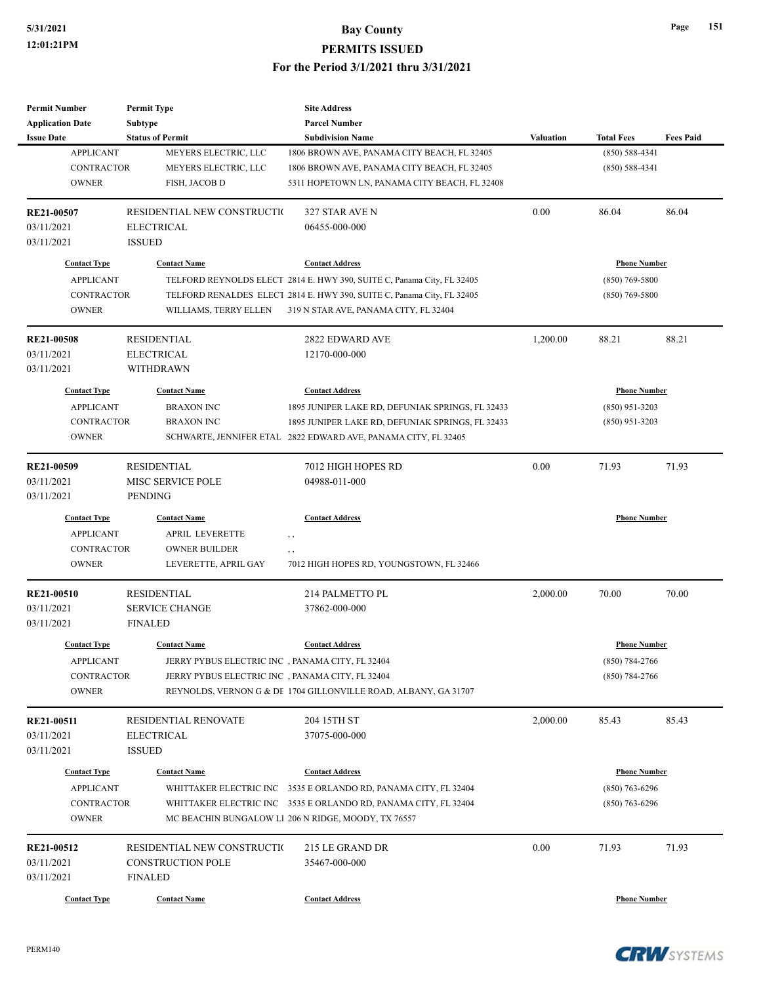| <b>Permit Number</b>    | <b>Permit Type</b>          | <b>Site Address</b>                                                    |           |                     |                  |
|-------------------------|-----------------------------|------------------------------------------------------------------------|-----------|---------------------|------------------|
| <b>Application Date</b> | Subtype                     | <b>Parcel Number</b>                                                   |           |                     |                  |
| <b>Issue Date</b>       | <b>Status of Permit</b>     | <b>Subdivision Name</b>                                                | Valuation | <b>Total Fees</b>   | <b>Fees Paid</b> |
| <b>APPLICANT</b>        | MEYERS ELECTRIC, LLC        | 1806 BROWN AVE, PANAMA CITY BEACH, FL 32405                            |           | $(850) 588 - 4341$  |                  |
| <b>CONTRACTOR</b>       | MEYERS ELECTRIC, LLC        | 1806 BROWN AVE, PANAMA CITY BEACH, FL 32405                            |           | $(850) 588 - 4341$  |                  |
| <b>OWNER</b>            | FISH, JACOB D               | 5311 HOPETOWN LN, PANAMA CITY BEACH, FL 32408                          |           |                     |                  |
| RE21-00507              | RESIDENTIAL NEW CONSTRUCTIO | 327 STAR AVE N                                                         | 0.00      | 86.04               | 86.04            |
| 03/11/2021              | <b>ELECTRICAL</b>           | 06455-000-000                                                          |           |                     |                  |
| 03/11/2021              | <b>ISSUED</b>               |                                                                        |           |                     |                  |
| <b>Contact Type</b>     | <b>Contact Name</b>         | <b>Contact Address</b>                                                 |           | <b>Phone Number</b> |                  |
| <b>APPLICANT</b>        |                             | TELFORD REYNOLDS ELECT 2814 E. HWY 390, SUITE C, Panama City, FL 32405 |           | $(850)$ 769-5800    |                  |
| CONTRACTOR              |                             | TELFORD RENALDES ELECT 2814 E. HWY 390, SUITE C, Panama City, FL 32405 |           | (850) 769-5800      |                  |
| <b>OWNER</b>            | WILLIAMS, TERRY ELLEN       | 319 N STAR AVE, PANAMA CITY, FL 32404                                  |           |                     |                  |
| <b>RE21-00508</b>       | <b>RESIDENTIAL</b>          | 2822 EDWARD AVE                                                        | 1,200.00  | 88.21               | 88.21            |
| 03/11/2021              | <b>ELECTRICAL</b>           | 12170-000-000                                                          |           |                     |                  |
| 03/11/2021              | <b>WITHDRAWN</b>            |                                                                        |           |                     |                  |
| <b>Contact Type</b>     | <b>Contact Name</b>         | <b>Contact Address</b>                                                 |           | <b>Phone Number</b> |                  |
| <b>APPLICANT</b>        | <b>BRAXON INC</b>           | 1895 JUNIPER LAKE RD, DEFUNIAK SPRINGS, FL 32433                       |           | $(850)$ 951-3203    |                  |
| <b>CONTRACTOR</b>       | <b>BRAXON INC</b>           | 1895 JUNIPER LAKE RD, DEFUNIAK SPRINGS, FL 32433                       |           | $(850)$ 951-3203    |                  |
| <b>OWNER</b>            |                             | SCHWARTE, JENNIFER ETAL 2822 EDWARD AVE, PANAMA CITY, FL 32405         |           |                     |                  |
| RE21-00509              | <b>RESIDENTIAL</b>          | 7012 HIGH HOPES RD                                                     | 0.00      | 71.93               | 71.93            |
| 03/11/2021              | MISC SERVICE POLE           | 04988-011-000                                                          |           |                     |                  |
| 03/11/2021              | PENDING                     |                                                                        |           |                     |                  |
| <b>Contact Type</b>     | <b>Contact Name</b>         | <b>Contact Address</b>                                                 |           | <b>Phone Number</b> |                  |
| <b>APPLICANT</b>        | APRIL LEVERETTE             |                                                                        |           |                     |                  |
| <b>CONTRACTOR</b>       | <b>OWNER BUILDER</b>        | $, \, , \,$                                                            |           |                     |                  |
| <b>OWNER</b>            | LEVERETTE, APRIL GAY        | , ,<br>7012 HIGH HOPES RD, YOUNGSTOWN, FL 32466                        |           |                     |                  |
|                         |                             |                                                                        |           |                     |                  |
| RE21-00510              | <b>RESIDENTIAL</b>          | 214 PALMETTO PL                                                        | 2,000.00  | 70.00               | 70.00            |
| 03/11/2021              | <b>SERVICE CHANGE</b>       | 37862-000-000                                                          |           |                     |                  |
| 03/11/2021              | <b>FINALED</b>              |                                                                        |           |                     |                  |
| <b>Contact Type</b>     | <b>Contact Name</b>         | <b>Contact Address</b>                                                 |           | <b>Phone Number</b> |                  |
| <b>APPLICANT</b>        |                             | JERRY PYBUS ELECTRIC INC , PANAMA CITY, FL 32404                       |           | $(850) 784 - 2766$  |                  |
| CONTRACTOR              |                             | JERRY PYBUS ELECTRIC INC, PANAMA CITY, FL 32404                        |           | $(850)$ 784-2766    |                  |
| <b>OWNER</b>            |                             | REYNOLDS, VERNON G & DE 1704 GILLONVILLE ROAD, ALBANY, GA 31707        |           |                     |                  |
| <b>RE21-00511</b>       | <b>RESIDENTIAL RENOVATE</b> | 204 15TH ST                                                            | 2,000.00  | 85.43               | 85.43            |
| 03/11/2021              | <b>ELECTRICAL</b>           | 37075-000-000                                                          |           |                     |                  |
| 03/11/2021              | <b>ISSUED</b>               |                                                                        |           |                     |                  |
| <b>Contact Type</b>     | <b>Contact Name</b>         | <b>Contact Address</b>                                                 |           | <b>Phone Number</b> |                  |
| <b>APPLICANT</b>        | WHITTAKER ELECTRIC INC      | 3535 E ORLANDO RD, PANAMA CITY, FL 32404                               |           | $(850)$ 763-6296    |                  |
| <b>CONTRACTOR</b>       |                             | WHITTAKER ELECTRIC INC 3535 E ORLANDO RD, PANAMA CITY, FL 32404        |           | (850) 763-6296      |                  |
| <b>OWNER</b>            |                             | MC BEACHIN BUNGALOW LI 206 N RIDGE, MOODY, TX 76557                    |           |                     |                  |
| RE21-00512              | RESIDENTIAL NEW CONSTRUCTIO | 215 LE GRAND DR                                                        | 0.00      | 71.93               | 71.93            |
| 03/11/2021              |                             |                                                                        |           |                     |                  |
|                         | CONSTRUCTION POLE           | 35467-000-000                                                          |           |                     |                  |
| 03/11/2021              | <b>FINALED</b>              |                                                                        |           |                     |                  |
| <b>Contact Type</b>     | <b>Contact Name</b>         | <b>Contact Address</b>                                                 |           | <b>Phone Number</b> |                  |

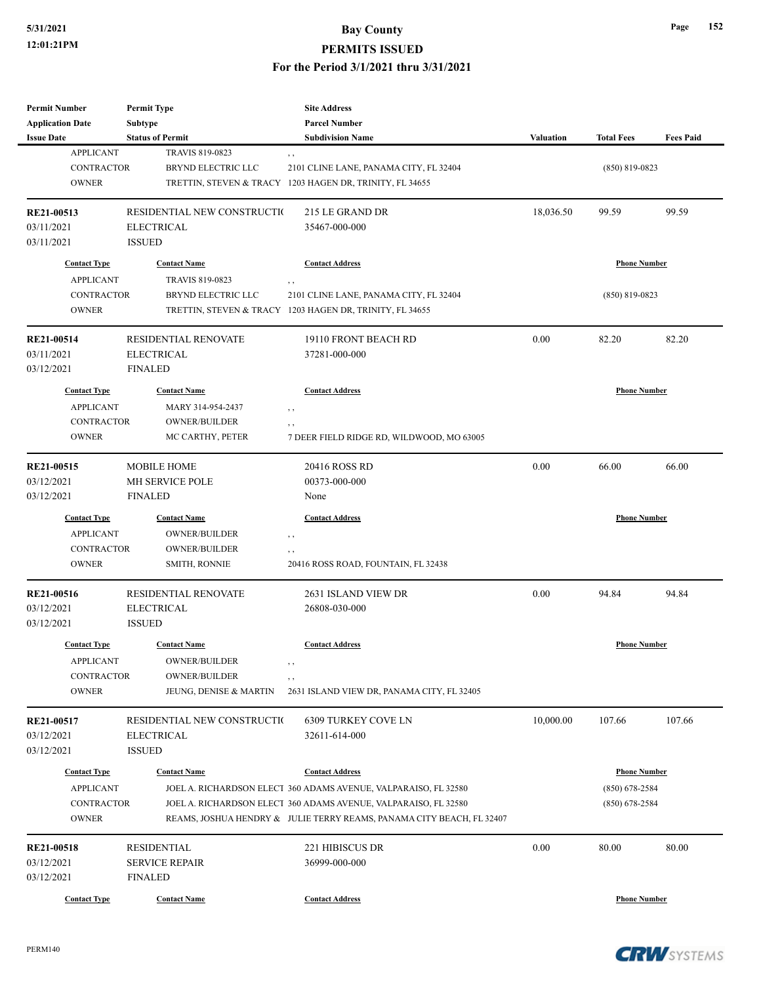| <b>Permit Number</b>    | <b>Permit Type</b>          | <b>Site Address</b>                                                   |                  |                     |                  |
|-------------------------|-----------------------------|-----------------------------------------------------------------------|------------------|---------------------|------------------|
| <b>Application Date</b> | <b>Subtype</b>              | <b>Parcel Number</b>                                                  |                  |                     |                  |
| <b>Issue Date</b>       | <b>Status of Permit</b>     | <b>Subdivision Name</b>                                               | <b>Valuation</b> | <b>Total Fees</b>   | <b>Fees Paid</b> |
| <b>APPLICANT</b>        | TRAVIS 819-0823             | , ,                                                                   |                  |                     |                  |
| <b>CONTRACTOR</b>       | BRYND ELECTRIC LLC          | 2101 CLINE LANE, PANAMA CITY, FL 32404                                |                  | $(850)$ 819-0823    |                  |
| <b>OWNER</b>            |                             | TRETTIN, STEVEN & TRACY 1203 HAGEN DR, TRINITY, FL 34655              |                  |                     |                  |
|                         |                             |                                                                       |                  |                     |                  |
| RE21-00513              | RESIDENTIAL NEW CONSTRUCTIO | 215 LE GRAND DR                                                       | 18,036.50        | 99.59               | 99.59            |
| 03/11/2021              | <b>ELECTRICAL</b>           | 35467-000-000                                                         |                  |                     |                  |
| 03/11/2021              | <b>ISSUED</b>               |                                                                       |                  |                     |                  |
|                         |                             |                                                                       |                  |                     |                  |
| <b>Contact Type</b>     | <b>Contact Name</b>         | <b>Contact Address</b>                                                |                  | <b>Phone Number</b> |                  |
| <b>APPLICANT</b>        | TRAVIS 819-0823             | , ,                                                                   |                  |                     |                  |
| CONTRACTOR              | BRYND ELECTRIC LLC          | 2101 CLINE LANE, PANAMA CITY, FL 32404                                |                  | $(850)$ 819-0823    |                  |
| <b>OWNER</b>            |                             | TRETTIN, STEVEN & TRACY 1203 HAGEN DR, TRINITY, FL 34655              |                  |                     |                  |
| RE21-00514              | <b>RESIDENTIAL RENOVATE</b> | 19110 FRONT BEACH RD                                                  | 0.00             | 82.20               | 82.20            |
| 03/11/2021              | <b>ELECTRICAL</b>           | 37281-000-000                                                         |                  |                     |                  |
| 03/12/2021              | <b>FINALED</b>              |                                                                       |                  |                     |                  |
|                         |                             |                                                                       |                  |                     |                  |
| <b>Contact Type</b>     | <b>Contact Name</b>         | <b>Contact Address</b>                                                |                  | <b>Phone Number</b> |                  |
| <b>APPLICANT</b>        | MARY 314-954-2437           | , ,                                                                   |                  |                     |                  |
| <b>CONTRACTOR</b>       | <b>OWNER/BUILDER</b>        | , ,                                                                   |                  |                     |                  |
| <b>OWNER</b>            | MC CARTHY, PETER            | 7 DEER FIELD RIDGE RD, WILDWOOD, MO 63005                             |                  |                     |                  |
|                         |                             |                                                                       |                  |                     |                  |
| RE21-00515              | <b>MOBILE HOME</b>          | 20416 ROSS RD                                                         | 0.00             | 66.00               | 66.00            |
| 03/12/2021              | <b>MH SERVICE POLE</b>      | 00373-000-000                                                         |                  |                     |                  |
| 03/12/2021              | <b>FINALED</b>              | None                                                                  |                  |                     |                  |
| <b>Contact Type</b>     | <b>Contact Name</b>         | <b>Contact Address</b>                                                |                  | <b>Phone Number</b> |                  |
| <b>APPLICANT</b>        | <b>OWNER/BUILDER</b>        |                                                                       |                  |                     |                  |
| <b>CONTRACTOR</b>       | <b>OWNER/BUILDER</b>        | , ,                                                                   |                  |                     |                  |
| <b>OWNER</b>            | <b>SMITH, RONNIE</b>        | $, \, ,$<br>20416 ROSS ROAD, FOUNTAIN, FL 32438                       |                  |                     |                  |
|                         |                             |                                                                       |                  |                     |                  |
| RE21-00516              | <b>RESIDENTIAL RENOVATE</b> | 2631 ISLAND VIEW DR                                                   | 0.00             | 94.84               | 94.84            |
| 03/12/2021              | <b>ELECTRICAL</b>           | 26808-030-000                                                         |                  |                     |                  |
| 03/12/2021              | <b>ISSUED</b>               |                                                                       |                  |                     |                  |
|                         |                             |                                                                       |                  |                     |                  |
| <b>Contact Type</b>     | <b>Contact Name</b>         | <b>Contact Address</b>                                                |                  | <b>Phone Number</b> |                  |
| <b>APPLICANT</b>        | OWNER/BUILDER               | , ,                                                                   |                  |                     |                  |
| CONTRACTOR              | <b>OWNER/BUILDER</b>        | $, \, ,$                                                              |                  |                     |                  |
| <b>OWNER</b>            | JEUNG, DENISE & MARTIN      | 2631 ISLAND VIEW DR, PANAMA CITY, FL 32405                            |                  |                     |                  |
|                         |                             | <b>6309 TURKEY COVE LN</b>                                            | 10,000.00        | 107.66              | 107.66           |
| RE21-00517              | RESIDENTIAL NEW CONSTRUCTIO |                                                                       |                  |                     |                  |
| 03/12/2021              | <b>ELECTRICAL</b>           | 32611-614-000                                                         |                  |                     |                  |
| 03/12/2021              | <b>ISSUED</b>               |                                                                       |                  |                     |                  |
| <b>Contact Type</b>     | <b>Contact Name</b>         | <b>Contact Address</b>                                                |                  | <b>Phone Number</b> |                  |
| <b>APPLICANT</b>        |                             | JOEL A. RICHARDSON ELECT 360 ADAMS AVENUE, VALPARAISO, FL 32580       |                  | $(850)$ 678-2584    |                  |
| <b>CONTRACTOR</b>       |                             | JOEL A. RICHARDSON ELECT 360 ADAMS AVENUE, VALPARAISO, FL 32580       |                  | $(850)$ 678-2584    |                  |
| <b>OWNER</b>            |                             | REAMS, JOSHUA HENDRY & JULIE TERRY REAMS, PANAMA CITY BEACH, FL 32407 |                  |                     |                  |
|                         |                             |                                                                       |                  |                     |                  |
| <b>RE21-00518</b>       | <b>RESIDENTIAL</b>          | 221 HIBISCUS DR                                                       | 0.00             | 80.00               | 80.00            |
| 03/12/2021              | <b>SERVICE REPAIR</b>       | 36999-000-000                                                         |                  |                     |                  |
| 03/12/2021              | <b>FINALED</b>              |                                                                       |                  |                     |                  |
| <b>Contact Type</b>     | <b>Contact Name</b>         | <b>Contact Address</b>                                                |                  | <b>Phone Number</b> |                  |

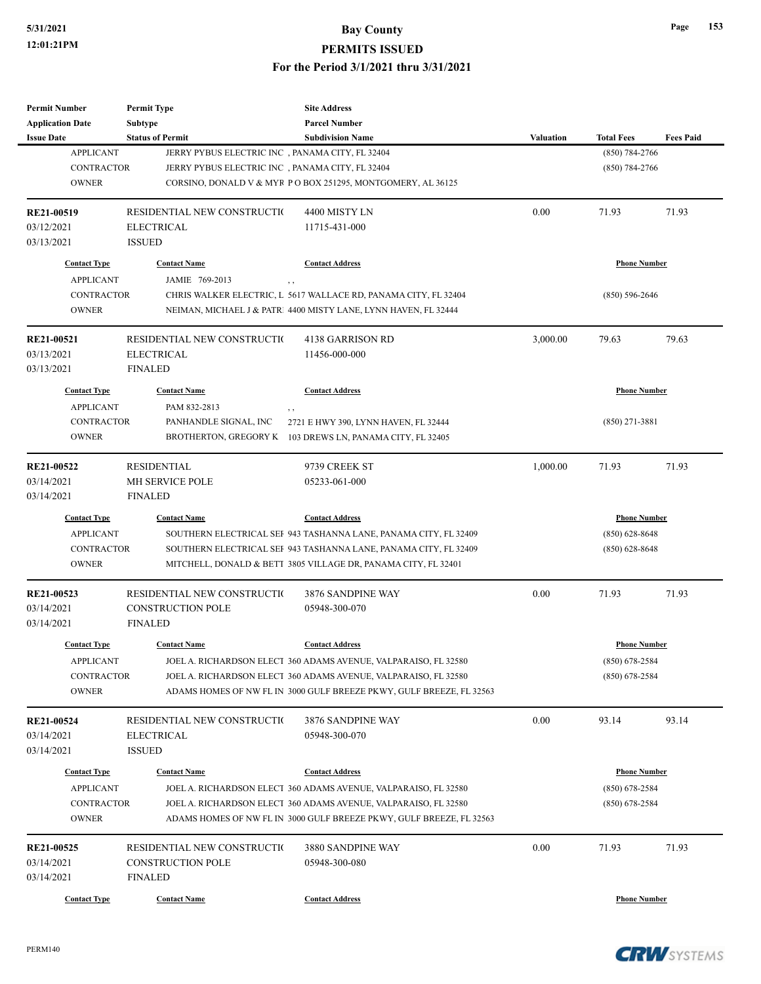| <b>Permit Number</b>    | <b>Permit Type</b>                               | <b>Site Address</b>                                                  |                  |                     |                  |
|-------------------------|--------------------------------------------------|----------------------------------------------------------------------|------------------|---------------------|------------------|
| <b>Application Date</b> | Subtype                                          | <b>Parcel Number</b>                                                 |                  |                     |                  |
| <b>Issue Date</b>       | <b>Status of Permit</b>                          | <b>Subdivision Name</b>                                              | <b>Valuation</b> | <b>Total Fees</b>   | <b>Fees Paid</b> |
| <b>APPLICANT</b>        | JERRY PYBUS ELECTRIC INC , PANAMA CITY, FL 32404 |                                                                      |                  | $(850) 784 - 2766$  |                  |
| <b>CONTRACTOR</b>       | JERRY PYBUS ELECTRIC INC, PANAMA CITY, FL 32404  |                                                                      |                  | $(850) 784 - 2766$  |                  |
| <b>OWNER</b>            |                                                  | CORSINO, DONALD V & MYR P O BOX 251295, MONTGOMERY, AL 36125         |                  |                     |                  |
|                         |                                                  |                                                                      |                  |                     |                  |
| RE21-00519              | RESIDENTIAL NEW CONSTRUCTIO                      | 4400 MISTY LN                                                        | 0.00             | 71.93               | 71.93            |
| 03/12/2021              | <b>ELECTRICAL</b>                                | 11715-431-000                                                        |                  |                     |                  |
| 03/13/2021              | <b>ISSUED</b>                                    |                                                                      |                  |                     |                  |
|                         |                                                  |                                                                      |                  |                     |                  |
| <b>Contact Type</b>     | <b>Contact Name</b>                              | <b>Contact Address</b>                                               |                  | <b>Phone Number</b> |                  |
| <b>APPLICANT</b>        | JAMIE 769-2013                                   | $, \, ,$                                                             |                  |                     |                  |
| <b>CONTRACTOR</b>       |                                                  | CHRIS WALKER ELECTRIC, L 5617 WALLACE RD, PANAMA CITY, FL 32404      |                  | $(850) 596 - 2646$  |                  |
| <b>OWNER</b>            |                                                  | NEIMAN, MICHAEL J & PATR 4400 MISTY LANE, LYNN HAVEN, FL 32444       |                  |                     |                  |
| RE21-00521              | RESIDENTIAL NEW CONSTRUCTIO                      | 4138 GARRISON RD                                                     | 3,000.00         | 79.63               | 79.63            |
| 03/13/2021              | <b>ELECTRICAL</b>                                | 11456-000-000                                                        |                  |                     |                  |
| 03/13/2021              | <b>FINALED</b>                                   |                                                                      |                  |                     |                  |
| <b>Contact Type</b>     |                                                  | <b>Contact Address</b>                                               |                  |                     |                  |
|                         | <b>Contact Name</b>                              |                                                                      |                  | <b>Phone Number</b> |                  |
| <b>APPLICANT</b>        | PAM 832-2813                                     |                                                                      |                  |                     |                  |
| <b>CONTRACTOR</b>       | PANHANDLE SIGNAL, INC                            | 2721 E HWY 390, LYNN HAVEN, FL 32444                                 |                  | $(850)$ 271-3881    |                  |
| <b>OWNER</b>            |                                                  | BROTHERTON, GREGORY K 103 DREWS LN, PANAMA CITY, FL 32405            |                  |                     |                  |
| RE21-00522              | <b>RESIDENTIAL</b>                               | 9739 CREEK ST                                                        | 1,000.00         | 71.93               | 71.93            |
| 03/14/2021              | MH SERVICE POLE                                  | 05233-061-000                                                        |                  |                     |                  |
| 03/14/2021              | <b>FINALED</b>                                   |                                                                      |                  |                     |                  |
| <b>Contact Type</b>     | <b>Contact Name</b>                              | <b>Contact Address</b>                                               |                  | <b>Phone Number</b> |                  |
| <b>APPLICANT</b>        |                                                  | SOUTHERN ELECTRICAL SEF 943 TASHANNA LANE, PANAMA CITY, FL 32409     |                  | $(850)$ 628-8648    |                  |
| <b>CONTRACTOR</b>       |                                                  | SOUTHERN ELECTRICAL SEF 943 TASHANNA LANE, PANAMA CITY, FL 32409     |                  | $(850) 628 - 8648$  |                  |
| <b>OWNER</b>            |                                                  | MITCHELL, DONALD & BETT 3805 VILLAGE DR, PANAMA CITY, FL 32401       |                  |                     |                  |
|                         |                                                  |                                                                      |                  |                     |                  |
| RE21-00523              | RESIDENTIAL NEW CONSTRUCTIO                      | 3876 SANDPINE WAY                                                    | 0.00             | 71.93               | 71.93            |
| 03/14/2021              | <b>CONSTRUCTION POLE</b>                         | 05948-300-070                                                        |                  |                     |                  |
| 03/14/2021              | <b>FINALED</b>                                   |                                                                      |                  |                     |                  |
|                         |                                                  |                                                                      |                  |                     |                  |
| <b>Contact Type</b>     | <b>Contact Name</b>                              | <b>Contact Address</b>                                               |                  | <b>Phone Number</b> |                  |
| <b>APPLICANT</b>        |                                                  | JOEL A. RICHARDSON ELECT 360 ADAMS AVENUE, VALPARAISO, FL 32580      |                  | $(850)$ 678-2584    |                  |
| <b>CONTRACTOR</b>       |                                                  | JOEL A. RICHARDSON ELECT 360 ADAMS AVENUE, VALPARAISO, FL 32580      |                  | $(850)$ 678-2584    |                  |
| <b>OWNER</b>            |                                                  | ADAMS HOMES OF NW FL IN 3000 GULF BREEZE PKWY, GULF BREEZE, FL 32563 |                  |                     |                  |
| RE21-00524              | RESIDENTIAL NEW CONSTRUCTIO                      | 3876 SANDPINE WAY                                                    | 0.00             | 93.14               | 93.14            |
| 03/14/2021              | <b>ELECTRICAL</b>                                | 05948-300-070                                                        |                  |                     |                  |
| 03/14/2021              | <b>ISSUED</b>                                    |                                                                      |                  |                     |                  |
| <b>Contact Type</b>     | <b>Contact Name</b>                              | <b>Contact Address</b>                                               |                  | <b>Phone Number</b> |                  |
|                         |                                                  |                                                                      |                  |                     |                  |
| <b>APPLICANT</b>        |                                                  | JOEL A. RICHARDSON ELECT 360 ADAMS AVENUE, VALPARAISO, FL 32580      |                  | $(850)$ 678-2584    |                  |
| <b>CONTRACTOR</b>       |                                                  | JOEL A. RICHARDSON ELECT 360 ADAMS AVENUE, VALPARAISO, FL 32580      |                  | $(850)$ 678-2584    |                  |
| <b>OWNER</b>            |                                                  | ADAMS HOMES OF NW FL IN 3000 GULF BREEZE PKWY, GULF BREEZE, FL 32563 |                  |                     |                  |
| RE21-00525              | RESIDENTIAL NEW CONSTRUCTIO                      | 3880 SANDPINE WAY                                                    | 0.00             | 71.93               | 71.93            |
| 03/14/2021              | <b>CONSTRUCTION POLE</b>                         | 05948-300-080                                                        |                  |                     |                  |
| 03/14/2021              | <b>FINALED</b>                                   |                                                                      |                  |                     |                  |
|                         |                                                  |                                                                      |                  |                     |                  |
| <b>Contact Type</b>     | <b>Contact Name</b>                              | <b>Contact Address</b>                                               |                  | <b>Phone Number</b> |                  |



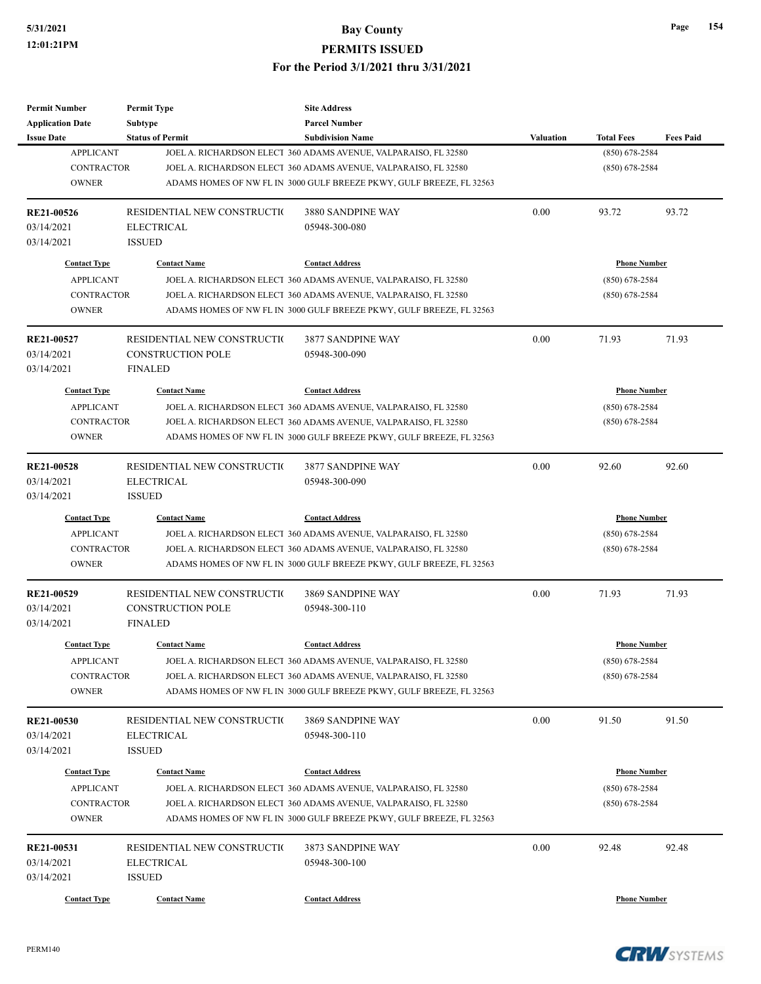| <b>Permit Number</b>     | <b>Permit Type</b>                 | <b>Site Address</b>                                                  |                  |                     |                  |
|--------------------------|------------------------------------|----------------------------------------------------------------------|------------------|---------------------|------------------|
| <b>Application Date</b>  | <b>Subtype</b>                     | <b>Parcel Number</b>                                                 |                  |                     |                  |
| <b>Issue Date</b>        | <b>Status of Permit</b>            | <b>Subdivision Name</b>                                              | <b>Valuation</b> | <b>Total Fees</b>   | <b>Fees Paid</b> |
| <b>APPLICANT</b>         |                                    | JOEL A. RICHARDSON ELECT 360 ADAMS AVENUE, VALPARAISO, FL 32580      |                  | $(850) 678 - 2584$  |                  |
| <b>CONTRACTOR</b>        |                                    | JOEL A. RICHARDSON ELECT 360 ADAMS AVENUE, VALPARAISO, FL 32580      |                  | $(850)$ 678-2584    |                  |
| <b>OWNER</b>             |                                    | ADAMS HOMES OF NW FL IN 3000 GULF BREEZE PKWY, GULF BREEZE, FL 32563 |                  |                     |                  |
| <b>RE21-00526</b>        | RESIDENTIAL NEW CONSTRUCTIO        | 3880 SANDPINE WAY                                                    | 0.00             | 93.72               | 93.72            |
| 03/14/2021               | <b>ELECTRICAL</b>                  | 05948-300-080                                                        |                  |                     |                  |
| 03/14/2021               | <b>ISSUED</b>                      |                                                                      |                  |                     |                  |
| <b>Contact Type</b>      | <b>Contact Name</b>                | <b>Contact Address</b>                                               |                  | <b>Phone Number</b> |                  |
| <b>APPLICANT</b>         |                                    | JOEL A. RICHARDSON ELECT 360 ADAMS AVENUE, VALPARAISO, FL 32580      |                  | $(850)$ 678-2584    |                  |
| <b>CONTRACTOR</b>        |                                    | JOEL A. RICHARDSON ELECT 360 ADAMS AVENUE, VALPARAISO, FL 32580      |                  | $(850)$ 678-2584    |                  |
| <b>OWNER</b>             |                                    | ADAMS HOMES OF NW FL IN 3000 GULF BREEZE PKWY, GULF BREEZE, FL 32563 |                  |                     |                  |
| RE21-00527               | RESIDENTIAL NEW CONSTRUCTIO        | 3877 SANDPINE WAY                                                    | 0.00             | 71.93               | 71.93            |
| 03/14/2021               | <b>CONSTRUCTION POLE</b>           | 05948-300-090                                                        |                  |                     |                  |
| 03/14/2021               | <b>FINALED</b>                     |                                                                      |                  |                     |                  |
| <b>Contact Type</b>      | <b>Contact Name</b>                | <b>Contact Address</b>                                               |                  | <b>Phone Number</b> |                  |
| <b>APPLICANT</b>         |                                    | JOEL A. RICHARDSON ELECT 360 ADAMS AVENUE, VALPARAISO, FL 32580      |                  | $(850)$ 678-2584    |                  |
| <b>CONTRACTOR</b>        |                                    | JOEL A. RICHARDSON ELECT 360 ADAMS AVENUE, VALPARAISO, FL 32580      |                  | $(850)$ 678-2584    |                  |
| <b>OWNER</b>             |                                    | ADAMS HOMES OF NW FL IN 3000 GULF BREEZE PKWY, GULF BREEZE, FL 32563 |                  |                     |                  |
|                          |                                    |                                                                      |                  |                     |                  |
| RE21-00528               | RESIDENTIAL NEW CONSTRUCTION       | 3877 SANDPINE WAY                                                    | 0.00             | 92.60               | 92.60            |
| 03/14/2021               | <b>ELECTRICAL</b>                  | 05948-300-090                                                        |                  |                     |                  |
| 03/14/2021               | <b>ISSUED</b>                      |                                                                      |                  |                     |                  |
| <b>Contact Type</b>      | <b>Contact Name</b>                | <b>Contact Address</b>                                               |                  | <b>Phone Number</b> |                  |
| <b>APPLICANT</b>         |                                    | JOEL A. RICHARDSON ELECT 360 ADAMS AVENUE, VALPARAISO, FL 32580      |                  | $(850)$ 678-2584    |                  |
| <b>CONTRACTOR</b>        |                                    | JOEL A. RICHARDSON ELECT 360 ADAMS AVENUE, VALPARAISO, FL 32580      |                  | $(850)$ 678-2584    |                  |
| <b>OWNER</b>             |                                    | ADAMS HOMES OF NW FL IN 3000 GULF BREEZE PKWY, GULF BREEZE, FL 32563 |                  |                     |                  |
| RE21-00529               | RESIDENTIAL NEW CONSTRUCTION       | 3869 SANDPINE WAY                                                    | 0.00             | 71.93               | 71.93            |
| 03/14/2021               | <b>CONSTRUCTION POLE</b>           | 05948-300-110                                                        |                  |                     |                  |
| 03/14/2021               | <b>FINALED</b>                     |                                                                      |                  |                     |                  |
| <b>Contact Type</b>      | <b>Contact Name</b>                | <b>Contact Address</b>                                               |                  | <b>Phone Number</b> |                  |
| <b>APPLICANT</b>         |                                    | JOEL A. RICHARDSON ELECT 360 ADAMS AVENUE, VALPARAISO, FL 32580      |                  | $(850) 678 - 2584$  |                  |
| CONTRACTOR               |                                    | JOEL A. RICHARDSON ELECT 360 ADAMS AVENUE, VALPARAISO, FL 32580      |                  | $(850)$ 678-2584    |                  |
| <b>OWNER</b>             |                                    | ADAMS HOMES OF NW FL IN 3000 GULF BREEZE PKWY, GULF BREEZE, FL 32563 |                  |                     |                  |
| <b>RE21-00530</b>        | RESIDENTIAL NEW CONSTRUCTIO        | 3869 SANDPINE WAY                                                    | 0.00             | 91.50               | 91.50            |
| 03/14/2021               | <b>ELECTRICAL</b>                  | 05948-300-110                                                        |                  |                     |                  |
| 03/14/2021               | <b>ISSUED</b>                      |                                                                      |                  |                     |                  |
| <b>Contact Type</b>      | <b>Contact Name</b>                | <b>Contact Address</b>                                               |                  | <b>Phone Number</b> |                  |
| <b>APPLICANT</b>         |                                    | JOEL A. RICHARDSON ELECT 360 ADAMS AVENUE, VALPARAISO, FL 32580      |                  | $(850)$ 678-2584    |                  |
| CONTRACTOR               |                                    | JOEL A. RICHARDSON ELECT 360 ADAMS AVENUE, VALPARAISO, FL 32580      |                  | $(850)$ 678-2584    |                  |
| <b>OWNER</b>             |                                    | ADAMS HOMES OF NW FL IN 3000 GULF BREEZE PKWY, GULF BREEZE, FL 32563 |                  |                     |                  |
| RE21-00531               | RESIDENTIAL NEW CONSTRUCTIO        | 3873 SANDPINE WAY                                                    | 0.00             | 92.48               | 92.48            |
|                          |                                    |                                                                      |                  |                     |                  |
| 03/14/2021<br>03/14/2021 | <b>ELECTRICAL</b><br><b>ISSUED</b> | 05948-300-100                                                        |                  |                     |                  |
|                          |                                    |                                                                      |                  |                     |                  |
| <b>Contact Type</b>      | <b>Contact Name</b>                | <b>Contact Address</b>                                               |                  | <b>Phone Number</b> |                  |



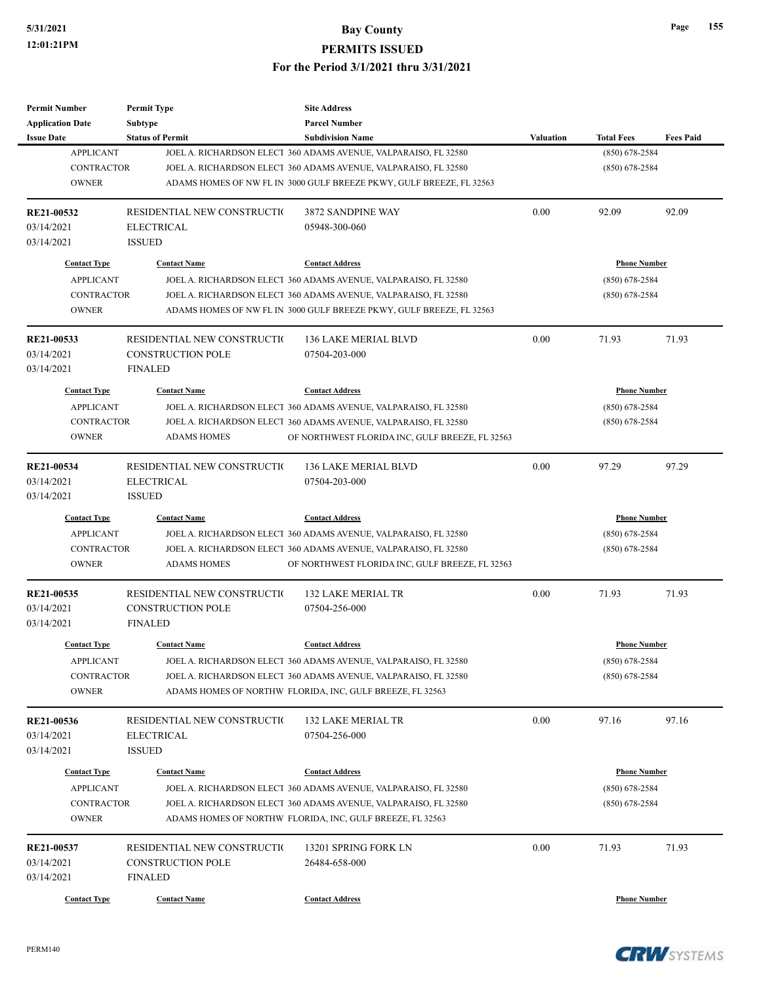| <b>Permit Number</b>    | <b>Permit Type</b>           | <b>Site Address</b>                                                  |                  |                     |                  |
|-------------------------|------------------------------|----------------------------------------------------------------------|------------------|---------------------|------------------|
| <b>Application Date</b> | <b>Subtype</b>               | <b>Parcel Number</b>                                                 |                  |                     |                  |
| <b>Issue Date</b>       | <b>Status of Permit</b>      | <b>Subdivision Name</b>                                              | <b>Valuation</b> | <b>Total Fees</b>   | <b>Fees Paid</b> |
| <b>APPLICANT</b>        |                              | JOEL A. RICHARDSON ELECT 360 ADAMS AVENUE, VALPARAISO, FL 32580      |                  | $(850) 678 - 2584$  |                  |
| <b>CONTRACTOR</b>       |                              | JOEL A. RICHARDSON ELECT 360 ADAMS AVENUE, VALPARAISO, FL 32580      |                  | $(850)$ 678-2584    |                  |
| <b>OWNER</b>            |                              | ADAMS HOMES OF NW FL IN 3000 GULF BREEZE PKWY, GULF BREEZE, FL 32563 |                  |                     |                  |
| RE21-00532              | RESIDENTIAL NEW CONSTRUCTIO  | 3872 SANDPINE WAY                                                    | 0.00             | 92.09               | 92.09            |
| 03/14/2021              | <b>ELECTRICAL</b>            | 05948-300-060                                                        |                  |                     |                  |
| 03/14/2021              | <b>ISSUED</b>                |                                                                      |                  |                     |                  |
| <b>Contact Type</b>     | <b>Contact Name</b>          | <b>Contact Address</b>                                               |                  | <b>Phone Number</b> |                  |
| <b>APPLICANT</b>        |                              | JOEL A. RICHARDSON ELECT 360 ADAMS AVENUE, VALPARAISO, FL 32580      |                  | $(850)$ 678-2584    |                  |
| <b>CONTRACTOR</b>       |                              | JOEL A. RICHARDSON ELECT 360 ADAMS AVENUE, VALPARAISO, FL 32580      |                  | $(850)$ 678-2584    |                  |
| <b>OWNER</b>            |                              | ADAMS HOMES OF NW FL IN 3000 GULF BREEZE PKWY, GULF BREEZE, FL 32563 |                  |                     |                  |
| RE21-00533              | RESIDENTIAL NEW CONSTRUCTION | 136 LAKE MERIAL BLVD                                                 | 0.00             | 71.93               | 71.93            |
| 03/14/2021              | <b>CONSTRUCTION POLE</b>     | 07504-203-000                                                        |                  |                     |                  |
| 03/14/2021              | <b>FINALED</b>               |                                                                      |                  |                     |                  |
| <b>Contact Type</b>     | <b>Contact Name</b>          | <b>Contact Address</b>                                               |                  | <b>Phone Number</b> |                  |
| <b>APPLICANT</b>        |                              | JOEL A. RICHARDSON ELECT 360 ADAMS AVENUE, VALPARAISO, FL 32580      |                  | $(850)$ 678-2584    |                  |
| <b>CONTRACTOR</b>       |                              | JOEL A. RICHARDSON ELECT 360 ADAMS AVENUE, VALPARAISO, FL 32580      |                  | $(850)$ 678-2584    |                  |
| <b>OWNER</b>            | <b>ADAMS HOMES</b>           | OF NORTHWEST FLORIDA INC, GULF BREEZE, FL 32563                      |                  |                     |                  |
|                         |                              |                                                                      |                  |                     |                  |
| RE21-00534              | RESIDENTIAL NEW CONSTRUCTION | 136 LAKE MERIAL BLVD                                                 | 0.00             | 97.29               | 97.29            |
| 03/14/2021              | <b>ELECTRICAL</b>            | 07504-203-000                                                        |                  |                     |                  |
| 03/14/2021              | <b>ISSUED</b>                |                                                                      |                  |                     |                  |
| <b>Contact Type</b>     | <b>Contact Name</b>          | <b>Contact Address</b>                                               |                  | <b>Phone Number</b> |                  |
| <b>APPLICANT</b>        |                              | JOEL A. RICHARDSON ELECT 360 ADAMS AVENUE, VALPARAISO, FL 32580      |                  | $(850)$ 678-2584    |                  |
| <b>CONTRACTOR</b>       |                              | JOEL A. RICHARDSON ELECT 360 ADAMS AVENUE, VALPARAISO, FL 32580      |                  | $(850)$ 678-2584    |                  |
| <b>OWNER</b>            | <b>ADAMS HOMES</b>           | OF NORTHWEST FLORIDA INC, GULF BREEZE, FL 32563                      |                  |                     |                  |
| RE21-00535              | RESIDENTIAL NEW CONSTRUCTIO  | <b>132 LAKE MERIAL TR</b>                                            | 0.00             | 71.93               | 71.93            |
| 03/14/2021              | <b>CONSTRUCTION POLE</b>     | 07504-256-000                                                        |                  |                     |                  |
| 03/14/2021              | <b>FINALED</b>               |                                                                      |                  |                     |                  |
| <b>Contact Type</b>     | <b>Contact Name</b>          | <b>Contact Address</b>                                               |                  | <b>Phone Number</b> |                  |
| <b>APPLICANT</b>        |                              | JOEL A. RICHARDSON ELECT 360 ADAMS AVENUE, VALPARAISO, FL 32580      |                  | $(850) 678 - 2584$  |                  |
| CONTRACTOR              |                              | JOEL A. RICHARDSON ELECT 360 ADAMS AVENUE, VALPARAISO, FL 32580      |                  | $(850)$ 678-2584    |                  |
| <b>OWNER</b>            |                              | ADAMS HOMES OF NORTHW FLORIDA, INC, GULF BREEZE, FL 32563            |                  |                     |                  |
| RE21-00536              | RESIDENTIAL NEW CONSTRUCTIO  | <b>132 LAKE MERIAL TR</b>                                            | 0.00             | 97.16               | 97.16            |
| 03/14/2021              | <b>ELECTRICAL</b>            | 07504-256-000                                                        |                  |                     |                  |
| 03/14/2021              |                              |                                                                      |                  |                     |                  |
|                         | <b>ISSUED</b>                |                                                                      |                  |                     |                  |
| <b>Contact Type</b>     | <b>Contact Name</b>          | <b>Contact Address</b>                                               |                  | <b>Phone Number</b> |                  |
| <b>APPLICANT</b>        |                              | JOEL A. RICHARDSON ELECT 360 ADAMS AVENUE, VALPARAISO, FL 32580      |                  | $(850)$ 678-2584    |                  |
| CONTRACTOR              |                              | JOEL A. RICHARDSON ELECT 360 ADAMS AVENUE, VALPARAISO, FL 32580      |                  | $(850)$ 678-2584    |                  |
| <b>OWNER</b>            |                              | ADAMS HOMES OF NORTHW FLORIDA, INC, GULF BREEZE, FL 32563            |                  |                     |                  |
| RE21-00537              | RESIDENTIAL NEW CONSTRUCTIO  | 13201 SPRING FORK LN                                                 | 0.00             | 71.93               | 71.93            |
| 03/14/2021              | CONSTRUCTION POLE            | 26484-658-000                                                        |                  |                     |                  |
| 03/14/2021              | <b>FINALED</b>               |                                                                      |                  |                     |                  |
|                         |                              |                                                                      |                  |                     |                  |
| <b>Contact Type</b>     | <b>Contact Name</b>          | <b>Contact Address</b>                                               |                  | <b>Phone Number</b> |                  |

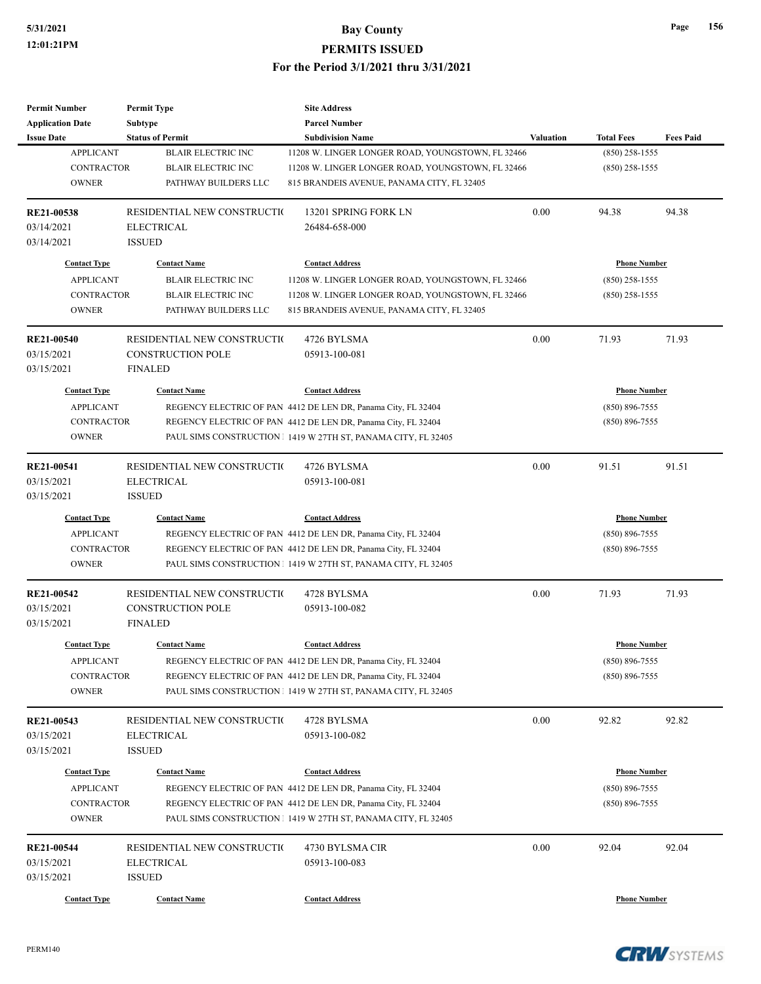| <b>Permit Number</b>       | <b>Permit Type</b>          | <b>Site Address</b>                                                                                                             |                  |                     |                  |
|----------------------------|-----------------------------|---------------------------------------------------------------------------------------------------------------------------------|------------------|---------------------|------------------|
| <b>Application Date</b>    | Subtype                     | <b>Parcel Number</b>                                                                                                            |                  |                     |                  |
| <b>Issue Date</b>          | <b>Status of Permit</b>     | <b>Subdivision Name</b>                                                                                                         | <b>Valuation</b> | <b>Total Fees</b>   | <b>Fees Paid</b> |
| <b>APPLICANT</b>           | <b>BLAIR ELECTRIC INC</b>   | 11208 W. LINGER LONGER ROAD, YOUNGSTOWN, FL 32466                                                                               |                  | $(850)$ 258-1555    |                  |
| <b>CONTRACTOR</b>          | <b>BLAIR ELECTRIC INC</b>   | 11208 W. LINGER LONGER ROAD, YOUNGSTOWN, FL 32466                                                                               |                  | $(850)$ 258-1555    |                  |
| <b>OWNER</b>               | PATHWAY BUILDERS LLC        | 815 BRANDEIS AVENUE, PANAMA CITY, FL 32405                                                                                      |                  |                     |                  |
| RE21-00538                 | RESIDENTIAL NEW CONSTRUCTIO | 13201 SPRING FORK LN                                                                                                            | 0.00             | 94.38               | 94.38            |
| 03/14/2021                 | <b>ELECTRICAL</b>           | 26484-658-000                                                                                                                   |                  |                     |                  |
| 03/14/2021                 | <b>ISSUED</b>               |                                                                                                                                 |                  |                     |                  |
| <b>Contact Type</b>        | <b>Contact Name</b>         | <b>Contact Address</b>                                                                                                          |                  | <b>Phone Number</b> |                  |
| <b>APPLICANT</b>           | <b>BLAIR ELECTRIC INC</b>   | 11208 W. LINGER LONGER ROAD, YOUNGSTOWN, FL 32466                                                                               |                  | $(850)$ 258-1555    |                  |
| <b>CONTRACTOR</b>          | <b>BLAIR ELECTRIC INC</b>   | 11208 W. LINGER LONGER ROAD, YOUNGSTOWN, FL 32466                                                                               |                  | $(850)$ 258-1555    |                  |
| <b>OWNER</b>               | PATHWAY BUILDERS LLC        | 815 BRANDEIS AVENUE, PANAMA CITY, FL 32405                                                                                      |                  |                     |                  |
| <b>RE21-00540</b>          | RESIDENTIAL NEW CONSTRUCTIO | 4726 BYLSMA                                                                                                                     | 0.00             | 71.93               | 71.93            |
| 03/15/2021                 | <b>CONSTRUCTION POLE</b>    | 05913-100-081                                                                                                                   |                  |                     |                  |
| 03/15/2021                 | <b>FINALED</b>              |                                                                                                                                 |                  |                     |                  |
| <b>Contact Type</b>        | <b>Contact Name</b>         | <b>Contact Address</b>                                                                                                          |                  | <b>Phone Number</b> |                  |
| <b>APPLICANT</b>           |                             | REGENCY ELECTRIC OF PAN 4412 DE LEN DR, Panama City, FL 32404                                                                   |                  | $(850) 896 - 7555$  |                  |
| <b>CONTRACTOR</b>          |                             | REGENCY ELECTRIC OF PAN 4412 DE LEN DR, Panama City, FL 32404                                                                   |                  | $(850) 896 - 7555$  |                  |
| <b>OWNER</b>               |                             | PAUL SIMS CONSTRUCTION 1 1419 W 27TH ST, PANAMA CITY, FL 32405                                                                  |                  |                     |                  |
|                            |                             |                                                                                                                                 |                  |                     |                  |
| RE21-00541                 | RESIDENTIAL NEW CONSTRUCTIO | 4726 BYLSMA                                                                                                                     | 0.00             | 91.51               | 91.51            |
| 03/15/2021                 | <b>ELECTRICAL</b>           | 05913-100-081                                                                                                                   |                  |                     |                  |
| 03/15/2021                 | <b>ISSUED</b>               |                                                                                                                                 |                  |                     |                  |
| <b>Contact Type</b>        | <b>Contact Name</b>         | <b>Contact Address</b>                                                                                                          |                  | <b>Phone Number</b> |                  |
| <b>APPLICANT</b>           |                             | REGENCY ELECTRIC OF PAN 4412 DE LEN DR, Panama City, FL 32404                                                                   |                  | $(850) 896 - 7555$  |                  |
| CONTRACTOR                 |                             | REGENCY ELECTRIC OF PAN 4412 DE LEN DR, Panama City, FL 32404                                                                   |                  | $(850) 896 - 7555$  |                  |
| <b>OWNER</b>               |                             | PAUL SIMS CONSTRUCTION   1419 W 27TH ST, PANAMA CITY, FL 32405                                                                  |                  |                     |                  |
| <b>RE21-00542</b>          | RESIDENTIAL NEW CONSTRUCTIO | 4728 BYLSMA                                                                                                                     | 0.00             | 71.93               | 71.93            |
| 03/15/2021                 | <b>CONSTRUCTION POLE</b>    | 05913-100-082                                                                                                                   |                  |                     |                  |
| 03/15/2021                 | <b>FINALED</b>              |                                                                                                                                 |                  |                     |                  |
| <b>Contact Type</b>        | <b>Contact Name</b>         | <b>Contact Address</b>                                                                                                          |                  | <b>Phone Number</b> |                  |
|                            |                             |                                                                                                                                 |                  |                     |                  |
| <b>APPLICANT</b>           |                             | REGENCY ELECTRIC OF PAN 4412 DE LEN DR, Panama City, FL 32404                                                                   |                  | $(850) 896 - 7555$  |                  |
| CONTRACTOR<br><b>OWNER</b> |                             | REGENCY ELECTRIC OF PAN 4412 DE LEN DR, Panama City, FL 32404<br>PAUL SIMS CONSTRUCTION 1 1419 W 27TH ST, PANAMA CITY, FL 32405 |                  | $(850) 896 - 7555$  |                  |
|                            |                             |                                                                                                                                 |                  |                     |                  |
| RE21-00543                 | RESIDENTIAL NEW CONSTRUCTIO | 4728 BYLSMA                                                                                                                     | 0.00             | 92.82               | 92.82            |
| 03/15/2021                 | <b>ELECTRICAL</b>           | 05913-100-082                                                                                                                   |                  |                     |                  |
| 03/15/2021                 | <b>ISSUED</b>               |                                                                                                                                 |                  |                     |                  |
| <b>Contact Type</b>        | <b>Contact Name</b>         | <b>Contact Address</b>                                                                                                          |                  | <b>Phone Number</b> |                  |
| <b>APPLICANT</b>           |                             | REGENCY ELECTRIC OF PAN 4412 DE LEN DR, Panama City, FL 32404                                                                   |                  | $(850) 896 - 7555$  |                  |
| CONTRACTOR                 |                             | REGENCY ELECTRIC OF PAN 4412 DE LEN DR, Panama City, FL 32404                                                                   |                  | $(850) 896 - 7555$  |                  |
| <b>OWNER</b>               |                             | PAUL SIMS CONSTRUCTION   1419 W 27TH ST, PANAMA CITY, FL 32405                                                                  |                  |                     |                  |
| RE21-00544                 | RESIDENTIAL NEW CONSTRUCTIO | 4730 BYLSMA CIR                                                                                                                 | 0.00             | 92.04               | 92.04            |
| 03/15/2021                 | <b>ELECTRICAL</b>           | 05913-100-083                                                                                                                   |                  |                     |                  |
| 03/15/2021                 | <b>ISSUED</b>               |                                                                                                                                 |                  |                     |                  |
|                            |                             |                                                                                                                                 |                  |                     |                  |
| <b>Contact Type</b>        | <b>Contact Name</b>         | <b>Contact Address</b>                                                                                                          |                  | <b>Phone Number</b> |                  |



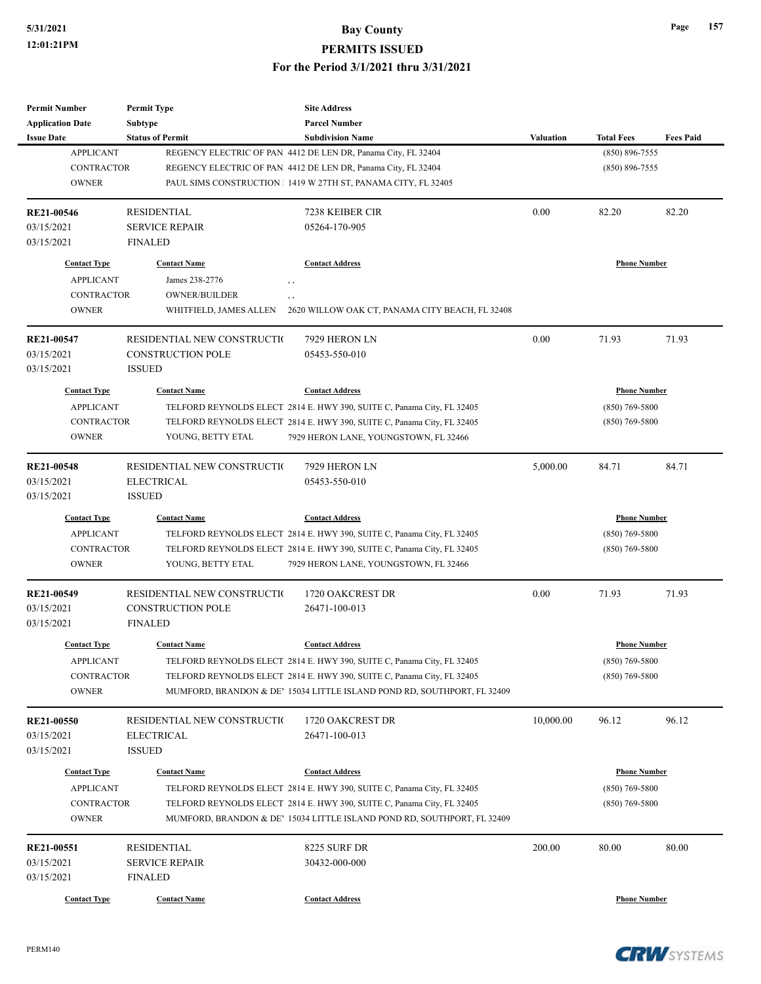| <b>Permit Number</b>    | <b>Permit Type</b>           | <b>Site Address</b>                                                     |                  |                     |                  |
|-------------------------|------------------------------|-------------------------------------------------------------------------|------------------|---------------------|------------------|
| <b>Application Date</b> | <b>Subtype</b>               | <b>Parcel Number</b>                                                    |                  |                     |                  |
| <b>Issue Date</b>       | <b>Status of Permit</b>      | <b>Subdivision Name</b>                                                 | <b>Valuation</b> | <b>Total Fees</b>   | <b>Fees Paid</b> |
| <b>APPLICANT</b>        |                              | REGENCY ELECTRIC OF PAN 4412 DE LEN DR, Panama City, FL 32404           |                  | (850) 896-7555      |                  |
| CONTRACTOR              |                              | REGENCY ELECTRIC OF PAN 4412 DE LEN DR, Panama City, FL 32404           |                  | $(850) 896 - 7555$  |                  |
| <b>OWNER</b>            |                              | PAUL SIMS CONSTRUCTION 1 1419 W 27TH ST, PANAMA CITY, FL 32405          |                  |                     |                  |
| RE21-00546              | <b>RESIDENTIAL</b>           | 7238 KEIBER CIR                                                         | 0.00             | 82.20               | 82.20            |
| 03/15/2021              | <b>SERVICE REPAIR</b>        | 05264-170-905                                                           |                  |                     |                  |
| 03/15/2021              | <b>FINALED</b>               |                                                                         |                  |                     |                  |
| <b>Contact Type</b>     | <b>Contact Name</b>          | <b>Contact Address</b>                                                  |                  | <b>Phone Number</b> |                  |
| <b>APPLICANT</b>        | James 238-2776               | , ,                                                                     |                  |                     |                  |
| CONTRACTOR              | OWNER/BUILDER                | , ,                                                                     |                  |                     |                  |
| <b>OWNER</b>            | WHITFIELD, JAMES ALLEN       | 2620 WILLOW OAK CT, PANAMA CITY BEACH, FL 32408                         |                  |                     |                  |
| RE21-00547              | RESIDENTIAL NEW CONSTRUCTION | 7929 HERON LN                                                           | 0.00             | 71.93               | 71.93            |
| 03/15/2021              | <b>CONSTRUCTION POLE</b>     | 05453-550-010                                                           |                  |                     |                  |
| 03/15/2021              | <b>ISSUED</b>                |                                                                         |                  |                     |                  |
| <b>Contact Type</b>     | <b>Contact Name</b>          | <b>Contact Address</b>                                                  |                  | <b>Phone Number</b> |                  |
| <b>APPLICANT</b>        |                              | TELFORD REYNOLDS ELECT 2814 E. HWY 390, SUITE C, Panama City, FL 32405  |                  | $(850)$ 769-5800    |                  |
| <b>CONTRACTOR</b>       |                              | TELFORD REYNOLDS ELECT 2814 E. HWY 390, SUITE C, Panama City, FL 32405  |                  | $(850)$ 769-5800    |                  |
| <b>OWNER</b>            | YOUNG, BETTY ETAL            | 7929 HERON LANE, YOUNGSTOWN, FL 32466                                   |                  |                     |                  |
|                         |                              |                                                                         |                  |                     |                  |
| <b>RE21-00548</b>       | RESIDENTIAL NEW CONSTRUCTIO  | 7929 HERON LN                                                           | 5,000.00         | 84.71               | 84.71            |
| 03/15/2021              | <b>ELECTRICAL</b>            | 05453-550-010                                                           |                  |                     |                  |
| 03/15/2021              | <b>ISSUED</b>                |                                                                         |                  |                     |                  |
| <b>Contact Type</b>     | <b>Contact Name</b>          | <b>Contact Address</b>                                                  |                  | <b>Phone Number</b> |                  |
| <b>APPLICANT</b>        |                              | TELFORD REYNOLDS ELECT 2814 E. HWY 390, SUITE C, Panama City, FL 32405  |                  | $(850)$ 769-5800    |                  |
| <b>CONTRACTOR</b>       |                              | TELFORD REYNOLDS ELECT 2814 E. HWY 390, SUITE C, Panama City, FL 32405  |                  | $(850)$ 769-5800    |                  |
| <b>OWNER</b>            | YOUNG, BETTY ETAL            | 7929 HERON LANE, YOUNGSTOWN, FL 32466                                   |                  |                     |                  |
| RE21-00549              | RESIDENTIAL NEW CONSTRUCTIO  | 1720 OAKCREST DR                                                        | 0.00             | 71.93               | 71.93            |
| 03/15/2021              | <b>CONSTRUCTION POLE</b>     | 26471-100-013                                                           |                  |                     |                  |
| 03/15/2021              | <b>FINALED</b>               |                                                                         |                  |                     |                  |
|                         |                              | <b>Contact Address</b>                                                  |                  |                     |                  |
| <b>Contact Type</b>     | <b>Contact Name</b>          |                                                                         |                  | <b>Phone Number</b> |                  |
| <b>APPLICANT</b>        |                              | TELFORD REYNOLDS ELECT 2814 E. HWY 390, SUITE C, Panama City, FL 32405  |                  | (850) 769-5800      |                  |
| CONTRACTOR              |                              | TELFORD REYNOLDS ELECT 2814 E. HWY 390, SUITE C, Panama City, FL 32405  |                  | $(850)$ 769-5800    |                  |
| <b>OWNER</b>            |                              | MUMFORD, BRANDON & DE' 15034 LITTLE ISLAND POND RD, SOUTHPORT, FL 32409 |                  |                     |                  |
| <b>RE21-00550</b>       | RESIDENTIAL NEW CONSTRUCTIO  | 1720 OAKCREST DR                                                        | 10,000.00        | 96.12               | 96.12            |
| 03/15/2021              | <b>ELECTRICAL</b>            | 26471-100-013                                                           |                  |                     |                  |
| 03/15/2021              | <b>ISSUED</b>                |                                                                         |                  |                     |                  |
| <b>Contact Type</b>     | <b>Contact Name</b>          | <b>Contact Address</b>                                                  |                  | <b>Phone Number</b> |                  |
| <b>APPLICANT</b>        |                              | TELFORD REYNOLDS ELECT 2814 E. HWY 390, SUITE C, Panama City, FL 32405  |                  | $(850)$ 769-5800    |                  |
| <b>CONTRACTOR</b>       |                              | TELFORD REYNOLDS ELECT 2814 E. HWY 390, SUITE C, Panama City, FL 32405  |                  | $(850)$ 769-5800    |                  |
| <b>OWNER</b>            |                              | MUMFORD, BRANDON & DE' 15034 LITTLE ISLAND POND RD, SOUTHPORT, FL 32409 |                  |                     |                  |
|                         |                              |                                                                         |                  |                     |                  |
| RE21-00551              | <b>RESIDENTIAL</b>           | 8225 SURF DR                                                            | 200.00           | 80.00               | 80.00            |
| 03/15/2021              | <b>SERVICE REPAIR</b>        | 30432-000-000                                                           |                  |                     |                  |
| 03/15/2021              | <b>FINALED</b>               |                                                                         |                  |                     |                  |
| <b>Contact Type</b>     | <b>Contact Name</b>          | <b>Contact Address</b>                                                  |                  | <b>Phone Number</b> |                  |

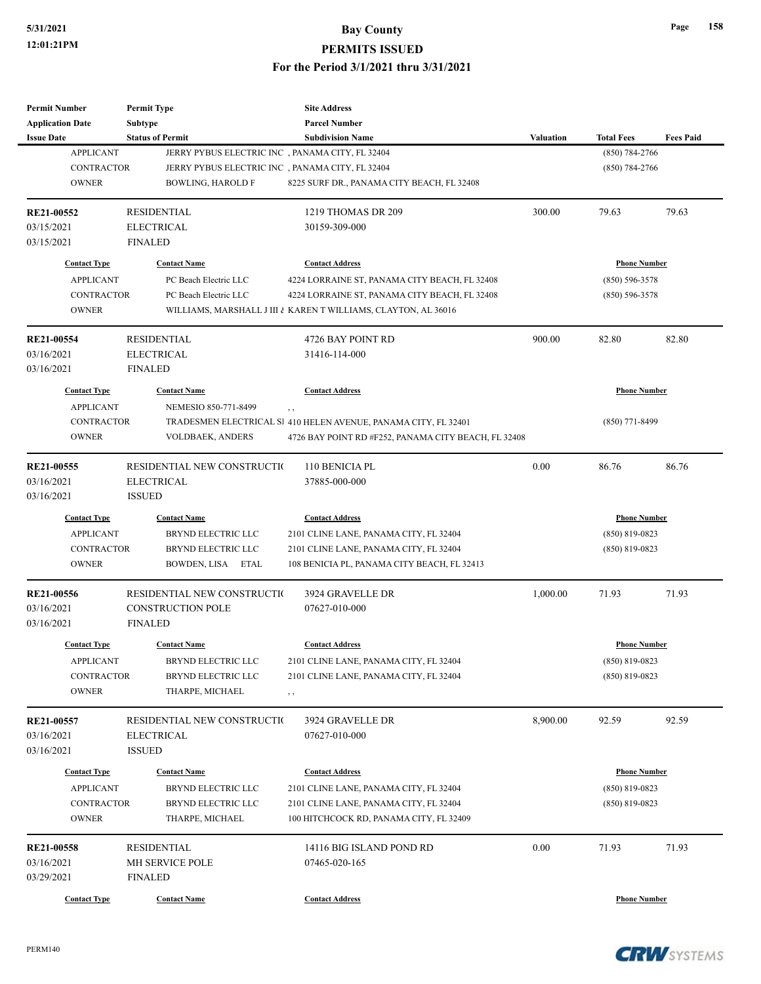| <b>Permit Number</b>    | <b>Permit Type</b>          | <b>Site Address</b>                                             |                  |                     |                  |
|-------------------------|-----------------------------|-----------------------------------------------------------------|------------------|---------------------|------------------|
| <b>Application Date</b> | <b>Subtype</b>              | <b>Parcel Number</b>                                            |                  |                     |                  |
| <b>Issue Date</b>       | <b>Status of Permit</b>     | <b>Subdivision Name</b>                                         | <b>Valuation</b> | <b>Total Fees</b>   | <b>Fees Paid</b> |
| <b>APPLICANT</b>        |                             | JERRY PYBUS ELECTRIC INC, PANAMA CITY, FL 32404                 |                  | $(850) 784 - 2766$  |                  |
| <b>CONTRACTOR</b>       |                             | JERRY PYBUS ELECTRIC INC, PANAMA CITY, FL 32404                 |                  | $(850) 784 - 2766$  |                  |
| <b>OWNER</b>            | <b>BOWLING, HAROLD F</b>    | 8225 SURF DR., PANAMA CITY BEACH, FL 32408                      |                  |                     |                  |
| RE21-00552              | <b>RESIDENTIAL</b>          | 1219 THOMAS DR 209                                              | 300.00           | 79.63               | 79.63            |
| 03/15/2021              | <b>ELECTRICAL</b>           | 30159-309-000                                                   |                  |                     |                  |
| 03/15/2021              | <b>FINALED</b>              |                                                                 |                  |                     |                  |
| <b>Contact Type</b>     | <b>Contact Name</b>         | <b>Contact Address</b>                                          |                  | <b>Phone Number</b> |                  |
| <b>APPLICANT</b>        | PC Beach Electric LLC       | 4224 LORRAINE ST, PANAMA CITY BEACH, FL 32408                   |                  | $(850) 596 - 3578$  |                  |
| <b>CONTRACTOR</b>       | PC Beach Electric LLC       | 4224 LORRAINE ST, PANAMA CITY BEACH, FL 32408                   |                  | $(850) 596 - 3578$  |                  |
| <b>OWNER</b>            |                             | WILLIAMS, MARSHALL J III & KAREN T WILLIAMS, CLAYTON, AL 36016  |                  |                     |                  |
| RE21-00554              | <b>RESIDENTIAL</b>          | 4726 BAY POINT RD                                               | 900.00           | 82.80               | 82.80            |
| 03/16/2021              | <b>ELECTRICAL</b>           | 31416-114-000                                                   |                  |                     |                  |
| 03/16/2021              | <b>FINALED</b>              |                                                                 |                  |                     |                  |
| <b>Contact Type</b>     | <b>Contact Name</b>         | <b>Contact Address</b>                                          |                  | <b>Phone Number</b> |                  |
| <b>APPLICANT</b>        | NEMESIO 850-771-8499        | $, \, .$                                                        |                  |                     |                  |
| <b>CONTRACTOR</b>       |                             | TRADESMEN ELECTRICAL SI 410 HELEN AVENUE, PANAMA CITY, FL 32401 |                  | $(850)$ 771-8499    |                  |
| <b>OWNER</b>            | <b>VOLDBAEK, ANDERS</b>     | 4726 BAY POINT RD #F252, PANAMA CITY BEACH, FL 32408            |                  |                     |                  |
| RE21-00555              | RESIDENTIAL NEW CONSTRUCTIO | 110 BENICIA PL                                                  | 0.00             | 86.76               | 86.76            |
| 03/16/2021              | <b>ELECTRICAL</b>           | 37885-000-000                                                   |                  |                     |                  |
| 03/16/2021              | <b>ISSUED</b>               |                                                                 |                  |                     |                  |
|                         |                             |                                                                 |                  |                     |                  |
| <b>Contact Type</b>     | <b>Contact Name</b>         | <b>Contact Address</b>                                          |                  | <b>Phone Number</b> |                  |
| <b>APPLICANT</b>        | BRYND ELECTRIC LLC          | 2101 CLINE LANE, PANAMA CITY, FL 32404                          |                  | $(850) 819 - 0823$  |                  |
| <b>CONTRACTOR</b>       | <b>BRYND ELECTRIC LLC</b>   | 2101 CLINE LANE, PANAMA CITY, FL 32404                          |                  | $(850)$ 819-0823    |                  |
| <b>OWNER</b>            | BOWDEN, LISA ETAL           | 108 BENICIA PL, PANAMA CITY BEACH, FL 32413                     |                  |                     |                  |
| RE21-00556              | RESIDENTIAL NEW CONSTRUCTIO | 3924 GRAVELLE DR                                                | 1,000.00         | 71.93               | 71.93            |
| 03/16/2021              | <b>CONSTRUCTION POLE</b>    | 07627-010-000                                                   |                  |                     |                  |
| 03/16/2021              | <b>FINALED</b>              |                                                                 |                  |                     |                  |
| <b>Contact Type</b>     | <b>Contact Name</b>         | <b>Contact Address</b>                                          |                  | <b>Phone Number</b> |                  |
| <b>APPLICANT</b>        | BRYND ELECTRIC LLC          | 2101 CLINE LANE, PANAMA CITY, FL 32404                          |                  | $(850)$ 819-0823    |                  |
| <b>CONTRACTOR</b>       | BRYND ELECTRIC LLC          | 2101 CLINE LANE, PANAMA CITY, FL 32404                          |                  | $(850) 819 - 0823$  |                  |
| <b>OWNER</b>            | THARPE, MICHAEL             | , ,                                                             |                  |                     |                  |
| RE21-00557              | RESIDENTIAL NEW CONSTRUCTIO | 3924 GRAVELLE DR                                                | 8,900.00         | 92.59               | 92.59            |
| 03/16/2021              | <b>ELECTRICAL</b>           | 07627-010-000                                                   |                  |                     |                  |
| 03/16/2021              | <b>ISSUED</b>               |                                                                 |                  |                     |                  |
| <b>Contact Type</b>     | <b>Contact Name</b>         | <b>Contact Address</b>                                          |                  | <b>Phone Number</b> |                  |
| <b>APPLICANT</b>        | BRYND ELECTRIC LLC          | 2101 CLINE LANE, PANAMA CITY, FL 32404                          |                  | $(850) 819 - 0823$  |                  |
| <b>CONTRACTOR</b>       | BRYND ELECTRIC LLC          | 2101 CLINE LANE, PANAMA CITY, FL 32404                          |                  | $(850) 819 - 0823$  |                  |
| <b>OWNER</b>            | THARPE, MICHAEL             | 100 HITCHCOCK RD, PANAMA CITY, FL 32409                         |                  |                     |                  |
| <b>RE21-00558</b>       | <b>RESIDENTIAL</b>          | 14116 BIG ISLAND POND RD                                        | 0.00             | 71.93               | 71.93            |
| 03/16/2021              | MH SERVICE POLE             | 07465-020-165                                                   |                  |                     |                  |
| 03/29/2021              | <b>FINALED</b>              |                                                                 |                  |                     |                  |
| <b>Contact Type</b>     | <b>Contact Name</b>         | <b>Contact Address</b>                                          |                  | <b>Phone Number</b> |                  |
|                         |                             |                                                                 |                  |                     |                  |

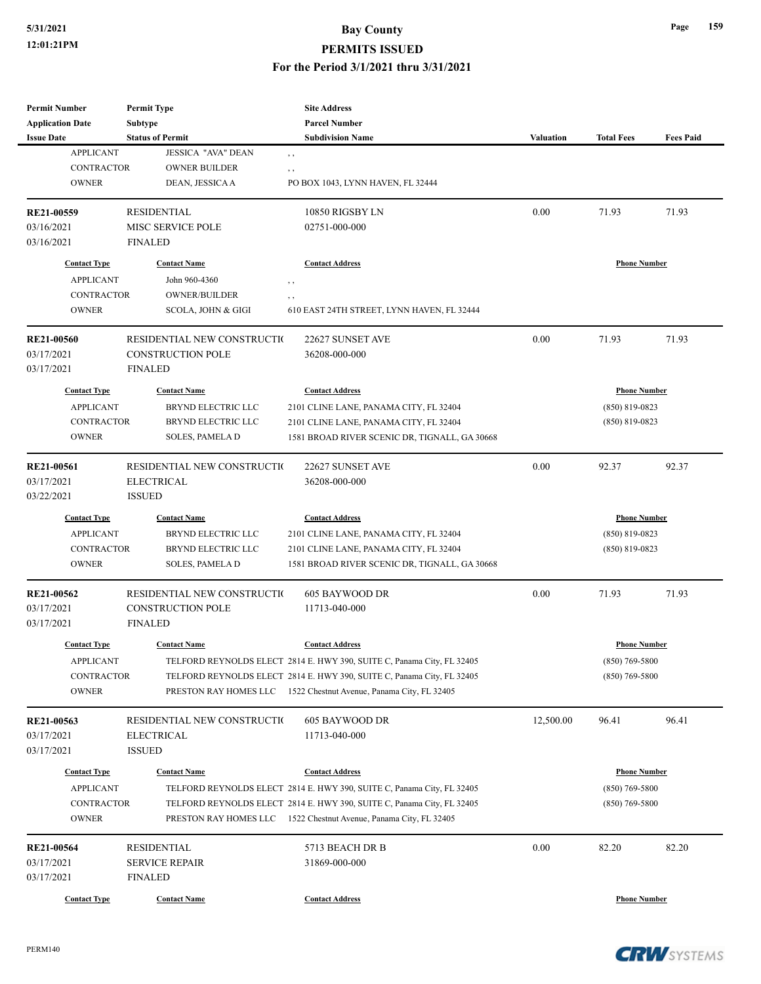# **5/31/2021 Bay County PERMITS ISSUED**

#### **For the Period 3/1/2021 thru 3/31/2021**

| <b>Permit Number</b>                    | <b>Permit Type</b>          | <b>Site Address</b>                                                                                                                         |                  |                                         |                  |
|-----------------------------------------|-----------------------------|---------------------------------------------------------------------------------------------------------------------------------------------|------------------|-----------------------------------------|------------------|
| <b>Application Date</b>                 | <b>Subtype</b>              | <b>Parcel Number</b>                                                                                                                        |                  |                                         |                  |
| <b>Issue Date</b>                       | <b>Status of Permit</b>     | <b>Subdivision Name</b>                                                                                                                     | <b>Valuation</b> | <b>Total Fees</b>                       | <b>Fees Paid</b> |
| <b>APPLICANT</b>                        | JESSICA "AVA" DEAN          | , ,                                                                                                                                         |                  |                                         |                  |
| <b>CONTRACTOR</b>                       | <b>OWNER BUILDER</b>        | , ,                                                                                                                                         |                  |                                         |                  |
| <b>OWNER</b>                            | DEAN, JESSICA A             | PO BOX 1043, LYNN HAVEN, FL 32444                                                                                                           |                  |                                         |                  |
| RE21-00559                              | <b>RESIDENTIAL</b>          | 10850 RIGSBY LN                                                                                                                             | 0.00             | 71.93                                   | 71.93            |
| 03/16/2021                              | <b>MISC SERVICE POLE</b>    | 02751-000-000                                                                                                                               |                  |                                         |                  |
| 03/16/2021                              | <b>FINALED</b>              |                                                                                                                                             |                  |                                         |                  |
| <b>Contact Type</b>                     | <b>Contact Name</b>         | <b>Contact Address</b>                                                                                                                      |                  | <b>Phone Number</b>                     |                  |
| <b>APPLICANT</b>                        | John 960-4360               | , ,                                                                                                                                         |                  |                                         |                  |
| <b>CONTRACTOR</b>                       | <b>OWNER/BUILDER</b>        | , ,                                                                                                                                         |                  |                                         |                  |
| <b>OWNER</b>                            | SCOLA, JOHN & GIGI          | 610 EAST 24TH STREET, LYNN HAVEN, FL 32444                                                                                                  |                  |                                         |                  |
| RE21-00560                              | RESIDENTIAL NEW CONSTRUCTIO | 22627 SUNSET AVE                                                                                                                            | 0.00             | 71.93                                   | 71.93            |
| 03/17/2021                              | <b>CONSTRUCTION POLE</b>    | 36208-000-000                                                                                                                               |                  |                                         |                  |
| 03/17/2021                              | <b>FINALED</b>              |                                                                                                                                             |                  |                                         |                  |
| <b>Contact Type</b>                     | <b>Contact Name</b>         | <b>Contact Address</b>                                                                                                                      |                  | <b>Phone Number</b>                     |                  |
| <b>APPLICANT</b>                        | <b>BRYND ELECTRIC LLC</b>   | 2101 CLINE LANE, PANAMA CITY, FL 32404                                                                                                      |                  | $(850) 819 - 0823$                      |                  |
| <b>CONTRACTOR</b>                       | <b>BRYND ELECTRIC LLC</b>   | 2101 CLINE LANE, PANAMA CITY, FL 32404                                                                                                      |                  | $(850) 819 - 0823$                      |                  |
| <b>OWNER</b>                            | <b>SOLES, PAMELA D</b>      | 1581 BROAD RIVER SCENIC DR, TIGNALL, GA 30668                                                                                               |                  |                                         |                  |
|                                         |                             |                                                                                                                                             |                  |                                         |                  |
| RE21-00561                              | RESIDENTIAL NEW CONSTRUCTIO | 22627 SUNSET AVE                                                                                                                            | 0.00             | 92.37                                   | 92.37            |
| 03/17/2021                              | <b>ELECTRICAL</b>           | 36208-000-000                                                                                                                               |                  |                                         |                  |
| 03/22/2021                              | <b>ISSUED</b>               |                                                                                                                                             |                  |                                         |                  |
| <b>Contact Type</b>                     | <b>Contact Name</b>         | <b>Contact Address</b>                                                                                                                      |                  | <b>Phone Number</b>                     |                  |
| <b>APPLICANT</b>                        | BRYND ELECTRIC LLC          | 2101 CLINE LANE, PANAMA CITY, FL 32404                                                                                                      |                  | $(850) 819 - 0823$                      |                  |
| <b>CONTRACTOR</b>                       | BRYND ELECTRIC LLC          | 2101 CLINE LANE, PANAMA CITY, FL 32404                                                                                                      |                  | $(850) 819 - 0823$                      |                  |
| <b>OWNER</b>                            | <b>SOLES, PAMELA D</b>      | 1581 BROAD RIVER SCENIC DR, TIGNALL, GA 30668                                                                                               |                  |                                         |                  |
| RE21-00562                              | RESIDENTIAL NEW CONSTRUCTIO | 605 BAYWOOD DR                                                                                                                              | 0.00             | 71.93                                   | 71.93            |
| 03/17/2021                              | CONSTRUCTION POLE           | 11713-040-000                                                                                                                               |                  |                                         |                  |
| 03/17/2021                              | <b>FINALED</b>              |                                                                                                                                             |                  |                                         |                  |
| <b>Contact Type</b>                     | <b>Contact Name</b>         | <b>Contact Address</b>                                                                                                                      |                  | <b>Phone Number</b>                     |                  |
| <b>APPLICANT</b>                        |                             | TELFORD REYNOLDS ELECT 2814 E. HWY 390, SUITE C, Panama City, FL 32405                                                                      |                  | (850) 769-5800                          |                  |
| CONTRACTOR                              |                             | TELFORD REYNOLDS ELECT 2814 E. HWY 390, SUITE C, Panama City, FL 32405                                                                      |                  | $(850)$ 769-5800                        |                  |
| <b>OWNER</b>                            |                             | PRESTON RAY HOMES LLC 1522 Chestnut Avenue, Panama City, FL 32405                                                                           |                  |                                         |                  |
| RE21-00563                              | RESIDENTIAL NEW CONSTRUCTIO | 605 BAYWOOD DR                                                                                                                              | 12,500.00        | 96.41                                   | 96.41            |
| 03/17/2021                              | <b>ELECTRICAL</b>           | 11713-040-000                                                                                                                               |                  |                                         |                  |
| 03/17/2021                              | <b>ISSUED</b>               |                                                                                                                                             |                  |                                         |                  |
|                                         |                             |                                                                                                                                             |                  |                                         |                  |
| <b>Contact Type</b><br><b>APPLICANT</b> | <b>Contact Name</b>         | <b>Contact Address</b><br>TELFORD REYNOLDS ELECT 2814 E. HWY 390, SUITE C, Panama City, FL 32405                                            |                  | <b>Phone Number</b><br>$(850)$ 769-5800 |                  |
|                                         |                             |                                                                                                                                             |                  |                                         |                  |
| CONTRACTOR<br><b>OWNER</b>              |                             | TELFORD REYNOLDS ELECT 2814 E. HWY 390, SUITE C, Panama City, FL 32405<br>PRESTON RAY HOMES LLC 1522 Chestnut Avenue, Panama City, FL 32405 |                  | $(850)$ 769-5800                        |                  |
|                                         |                             |                                                                                                                                             |                  |                                         |                  |
| RE21-00564                              | <b>RESIDENTIAL</b>          | 5713 BEACH DR B                                                                                                                             | 0.00             | 82.20                                   | 82.20            |
| 03/17/2021                              | <b>SERVICE REPAIR</b>       | 31869-000-000                                                                                                                               |                  |                                         |                  |
| 03/17/2021                              | <b>FINALED</b>              |                                                                                                                                             |                  |                                         |                  |
| <b>Contact Type</b>                     | <b>Contact Name</b>         | <b>Contact Address</b>                                                                                                                      |                  | <b>Phone Number</b>                     |                  |

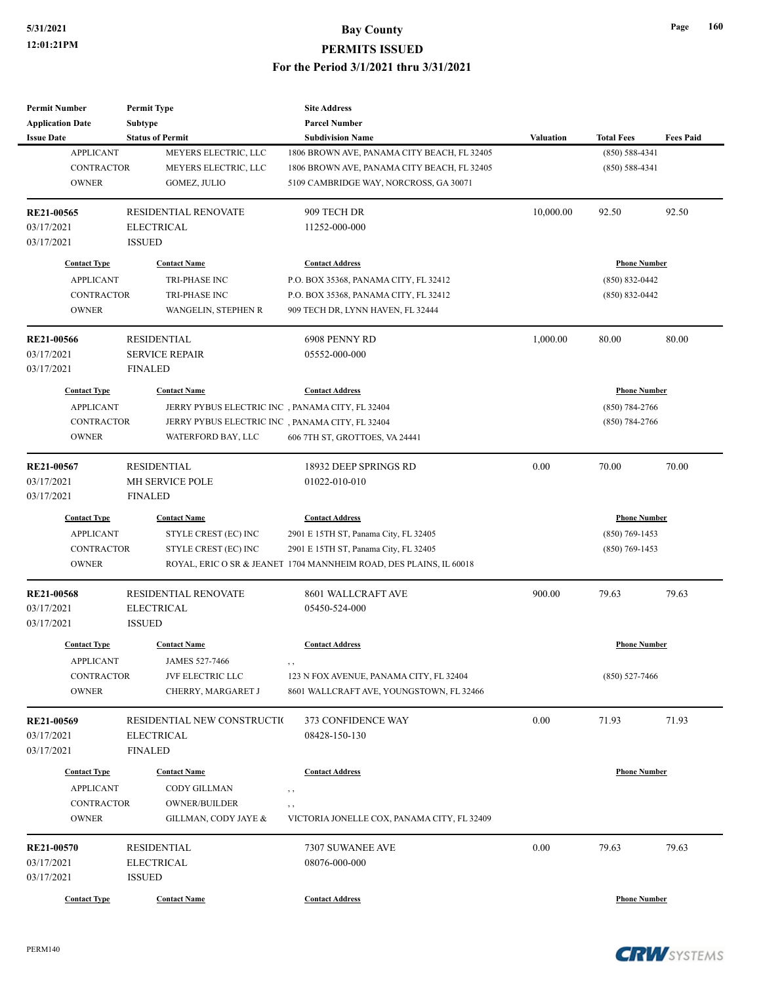| <b>Permit Number</b>     | <b>Permit Type</b>                 | <b>Site Address</b>                                                |                  |                     |                  |
|--------------------------|------------------------------------|--------------------------------------------------------------------|------------------|---------------------|------------------|
| <b>Application Date</b>  | <b>Subtype</b>                     | <b>Parcel Number</b>                                               |                  |                     |                  |
| <b>Issue Date</b>        | <b>Status of Permit</b>            | <b>Subdivision Name</b>                                            | <b>Valuation</b> | <b>Total Fees</b>   | <b>Fees Paid</b> |
| <b>APPLICANT</b>         | MEYERS ELECTRIC, LLC               | 1806 BROWN AVE, PANAMA CITY BEACH, FL 32405                        |                  | $(850) 588 - 4341$  |                  |
| CONTRACTOR               | MEYERS ELECTRIC, LLC               | 1806 BROWN AVE, PANAMA CITY BEACH, FL 32405                        |                  | $(850) 588 - 4341$  |                  |
| <b>OWNER</b>             | GOMEZ, JULIO                       | 5109 CAMBRIDGE WAY, NORCROSS, GA 30071                             |                  |                     |                  |
| RE21-00565               | RESIDENTIAL RENOVATE               | 909 TECH DR                                                        | 10,000.00        | 92.50               | 92.50            |
| 03/17/2021               | <b>ELECTRICAL</b>                  | 11252-000-000                                                      |                  |                     |                  |
| 03/17/2021               | <b>ISSUED</b>                      |                                                                    |                  |                     |                  |
| <b>Contact Type</b>      | <b>Contact Name</b>                | <b>Contact Address</b>                                             |                  | <b>Phone Number</b> |                  |
| <b>APPLICANT</b>         | TRI-PHASE INC                      | P.O. BOX 35368, PANAMA CITY, FL 32412                              |                  | $(850) 832 - 0442$  |                  |
| CONTRACTOR               | TRI-PHASE INC                      | P.O. BOX 35368, PANAMA CITY, FL 32412                              |                  | $(850) 832 - 0442$  |                  |
| <b>OWNER</b>             | WANGELIN, STEPHEN R                | 909 TECH DR, LYNN HAVEN, FL 32444                                  |                  |                     |                  |
| <b>RE21-00566</b>        | <b>RESIDENTIAL</b>                 | 6908 PENNY RD                                                      | 1,000.00         | 80.00               | 80.00            |
| 03/17/2021               | <b>SERVICE REPAIR</b>              | 05552-000-000                                                      |                  |                     |                  |
| 03/17/2021               | <b>FINALED</b>                     |                                                                    |                  |                     |                  |
| <b>Contact Type</b>      | <b>Contact Name</b>                | <b>Contact Address</b>                                             |                  | <b>Phone Number</b> |                  |
| <b>APPLICANT</b>         |                                    | JERRY PYBUS ELECTRIC INC, PANAMA CITY, FL 32404                    |                  | $(850) 784 - 2766$  |                  |
| CONTRACTOR               |                                    | JERRY PYBUS ELECTRIC INC, PANAMA CITY, FL 32404                    |                  | $(850)$ 784-2766    |                  |
| <b>OWNER</b>             | WATERFORD BAY, LLC                 | 606 7TH ST, GROTTOES, VA 24441                                     |                  |                     |                  |
|                          |                                    |                                                                    |                  |                     |                  |
| RE21-00567               | <b>RESIDENTIAL</b>                 | 18932 DEEP SPRINGS RD                                              | 0.00             | 70.00               | 70.00            |
| 03/17/2021               | <b>MH SERVICE POLE</b>             | 01022-010-010                                                      |                  |                     |                  |
| 03/17/2021               | <b>FINALED</b>                     |                                                                    |                  |                     |                  |
| <b>Contact Type</b>      | <b>Contact Name</b>                | <b>Contact Address</b>                                             |                  | <b>Phone Number</b> |                  |
| <b>APPLICANT</b>         | STYLE CREST (EC) INC               | 2901 E 15TH ST, Panama City, FL 32405                              |                  | $(850)$ 769-1453    |                  |
| <b>CONTRACTOR</b>        | STYLE CREST (EC) INC               | 2901 E 15TH ST, Panama City, FL 32405                              |                  | $(850)$ 769-1453    |                  |
| <b>OWNER</b>             |                                    | ROYAL, ERIC O SR & JEANET 1704 MANNHEIM ROAD, DES PLAINS, IL 60018 |                  |                     |                  |
| <b>RE21-00568</b>        | <b>RESIDENTIAL RENOVATE</b>        | 8601 WALLCRAFT AVE                                                 | 900.00           | 79.63               | 79.63            |
| 03/17/2021               | <b>ELECTRICAL</b>                  | 05450-524-000                                                      |                  |                     |                  |
| 03/17/2021               | <b>ISSUED</b>                      |                                                                    |                  |                     |                  |
| <b>Contact Type</b>      | <b>Contact Name</b>                | <b>Contact Address</b>                                             |                  | <b>Phone Number</b> |                  |
| <b>APPLICANT</b>         | JAMES 527-7466                     | , ,                                                                |                  |                     |                  |
| CONTRACTOR               | JVF ELECTRIC LLC                   | 123 N FOX AVENUE, PANAMA CITY, FL 32404                            |                  | $(850) 527 - 7466$  |                  |
| <b>OWNER</b>             | CHERRY, MARGARET J                 | 8601 WALLCRAFT AVE, YOUNGSTOWN, FL 32466                           |                  |                     |                  |
| RE21-00569               | RESIDENTIAL NEW CONSTRUCTIO        | 373 CONFIDENCE WAY                                                 | 0.00             | 71.93               | 71.93            |
| 03/17/2021               | <b>ELECTRICAL</b>                  | 08428-150-130                                                      |                  |                     |                  |
| 03/17/2021               | <b>FINALED</b>                     |                                                                    |                  |                     |                  |
| <b>Contact Type</b>      | <b>Contact Name</b>                | <b>Contact Address</b>                                             |                  | <b>Phone Number</b> |                  |
| <b>APPLICANT</b>         | CODY GILLMAN                       |                                                                    |                  |                     |                  |
| CONTRACTOR               | <b>OWNER/BUILDER</b>               | $, \, \cdot$                                                       |                  |                     |                  |
| <b>OWNER</b>             | GILLMAN, CODY JAYE &               | , ,<br>VICTORIA JONELLE COX, PANAMA CITY, FL 32409                 |                  |                     |                  |
|                          |                                    |                                                                    |                  |                     |                  |
| <b>RE21-00570</b>        | <b>RESIDENTIAL</b>                 | 7307 SUWANEE AVE                                                   | 0.00             | 79.63               | 79.63            |
| 03/17/2021<br>03/17/2021 | <b>ELECTRICAL</b><br><b>ISSUED</b> | 08076-000-000                                                      |                  |                     |                  |
| <b>Contact Type</b>      | <b>Contact Name</b>                | <b>Contact Address</b>                                             |                  | <b>Phone Number</b> |                  |
|                          |                                    |                                                                    |                  |                     |                  |

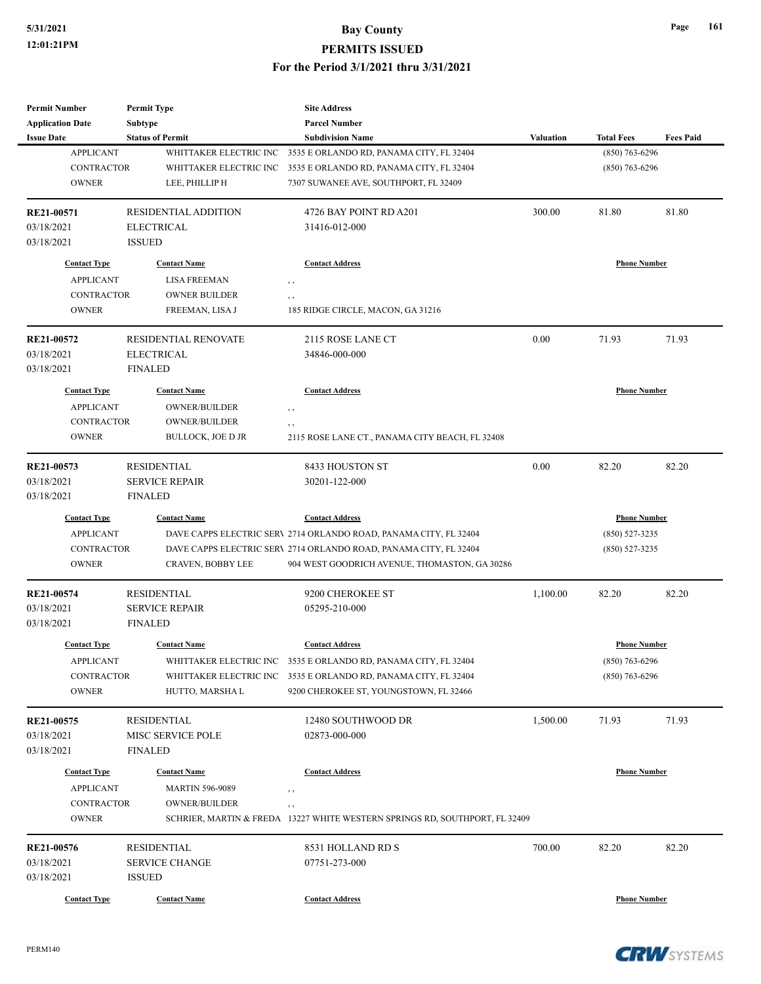| <b>Permit Number</b>    | <b>Permit Type</b>          | <b>Site Address</b>                                                         |                  |                     |                  |
|-------------------------|-----------------------------|-----------------------------------------------------------------------------|------------------|---------------------|------------------|
| <b>Application Date</b> | <b>Subtype</b>              | <b>Parcel Number</b>                                                        |                  |                     |                  |
| <b>Issue Date</b>       | <b>Status of Permit</b>     | <b>Subdivision Name</b>                                                     | <b>Valuation</b> | <b>Total Fees</b>   | <b>Fees Paid</b> |
| <b>APPLICANT</b>        | WHITTAKER ELECTRIC INC      | 3535 E ORLANDO RD, PANAMA CITY, FL 32404                                    |                  | $(850)$ 763-6296    |                  |
| CONTRACTOR              | WHITTAKER ELECTRIC INC      | 3535 E ORLANDO RD, PANAMA CITY, FL 32404                                    |                  | (850) 763-6296      |                  |
| <b>OWNER</b>            | LEE, PHILLIP H              | 7307 SUWANEE AVE, SOUTHPORT, FL 32409                                       |                  |                     |                  |
| RE21-00571              | <b>RESIDENTIAL ADDITION</b> | 4726 BAY POINT RD A201                                                      | 300.00           | 81.80               | 81.80            |
| 03/18/2021              | <b>ELECTRICAL</b>           | 31416-012-000                                                               |                  |                     |                  |
| 03/18/2021              | <b>ISSUED</b>               |                                                                             |                  |                     |                  |
| <b>Contact Type</b>     | <b>Contact Name</b>         | <b>Contact Address</b>                                                      |                  | <b>Phone Number</b> |                  |
| <b>APPLICANT</b>        | <b>LISA FREEMAN</b>         | , ,                                                                         |                  |                     |                  |
| CONTRACTOR              | <b>OWNER BUILDER</b>        | $, \, , \,$                                                                 |                  |                     |                  |
| <b>OWNER</b>            | FREEMAN, LISA J             | 185 RIDGE CIRCLE, MACON, GA 31216                                           |                  |                     |                  |
| RE21-00572              | <b>RESIDENTIAL RENOVATE</b> | 2115 ROSE LANE CT                                                           | 0.00             | 71.93               | 71.93            |
| 03/18/2021              | <b>ELECTRICAL</b>           | 34846-000-000                                                               |                  |                     |                  |
| 03/18/2021              | <b>FINALED</b>              |                                                                             |                  |                     |                  |
| <b>Contact Type</b>     | <b>Contact Name</b>         | <b>Contact Address</b>                                                      |                  | <b>Phone Number</b> |                  |
| <b>APPLICANT</b>        | <b>OWNER/BUILDER</b>        | , ,                                                                         |                  |                     |                  |
| <b>CONTRACTOR</b>       | <b>OWNER/BUILDER</b>        | $, \, ,$                                                                    |                  |                     |                  |
| <b>OWNER</b>            | <b>BULLOCK, JOE D JR</b>    | 2115 ROSE LANE CT., PANAMA CITY BEACH, FL 32408                             |                  |                     |                  |
| RE21-00573              | <b>RESIDENTIAL</b>          | 8433 HOUSTON ST                                                             | 0.00             | 82.20               | 82.20            |
| 03/18/2021              | <b>SERVICE REPAIR</b>       | 30201-122-000                                                               |                  |                     |                  |
| 03/18/2021              | <b>FINALED</b>              |                                                                             |                  |                     |                  |
| <b>Contact Type</b>     | <b>Contact Name</b>         | <b>Contact Address</b>                                                      |                  | <b>Phone Number</b> |                  |
| <b>APPLICANT</b>        |                             | DAVE CAPPS ELECTRIC SERV 2714 ORLANDO ROAD, PANAMA CITY, FL 32404           |                  | $(850)$ 527-3235    |                  |
| <b>CONTRACTOR</b>       |                             | DAVE CAPPS ELECTRIC SERV 2714 ORLANDO ROAD, PANAMA CITY, FL 32404           |                  | $(850)$ 527-3235    |                  |
| <b>OWNER</b>            | CRAVEN, BOBBY LEE           | 904 WEST GOODRICH AVENUE, THOMASTON, GA 30286                               |                  |                     |                  |
| RE21-00574              | <b>RESIDENTIAL</b>          | 9200 CHEROKEE ST                                                            | 1,100.00         | 82.20               | 82.20            |
| 03/18/2021              | <b>SERVICE REPAIR</b>       | 05295-210-000                                                               |                  |                     |                  |
| 03/18/2021              | <b>FINALED</b>              |                                                                             |                  |                     |                  |
| <b>Contact Type</b>     | <b>Contact Name</b>         | <b>Contact Address</b>                                                      |                  | <b>Phone Number</b> |                  |
| <b>APPLICANT</b>        |                             | WHITTAKER ELECTRIC INC 3535 E ORLANDO RD, PANAMA CITY, FL 32404             |                  | $(850)$ 763-6296    |                  |
| CONTRACTOR              |                             | WHITTAKER ELECTRIC INC 3535 E ORLANDO RD, PANAMA CITY, FL 32404             |                  | $(850)$ 763-6296    |                  |
| <b>OWNER</b>            | HUTTO, MARSHAL              | 9200 CHEROKEE ST, YOUNGSTOWN, FL 32466                                      |                  |                     |                  |
| RE21-00575              | <b>RESIDENTIAL</b>          | 12480 SOUTHWOOD DR                                                          | 1,500.00         | 71.93               | 71.93            |
| 03/18/2021              | MISC SERVICE POLE           | 02873-000-000                                                               |                  |                     |                  |
| 03/18/2021              | <b>FINALED</b>              |                                                                             |                  |                     |                  |
| <b>Contact Type</b>     | <b>Contact Name</b>         | <b>Contact Address</b>                                                      |                  | <b>Phone Number</b> |                  |
| <b>APPLICANT</b>        | <b>MARTIN 596-9089</b>      | , ,                                                                         |                  |                     |                  |
| <b>CONTRACTOR</b>       | <b>OWNER/BUILDER</b>        | , ,                                                                         |                  |                     |                  |
| <b>OWNER</b>            |                             | SCHRIER, MARTIN & FREDA 13227 WHITE WESTERN SPRINGS RD, SOUTHPORT, FL 32409 |                  |                     |                  |
| RE21-00576              | <b>RESIDENTIAL</b>          | 8531 HOLLAND RD S                                                           | 700.00           | 82.20               | 82.20            |
| 03/18/2021              | <b>SERVICE CHANGE</b>       | 07751-273-000                                                               |                  |                     |                  |
| 03/18/2021              | <b>ISSUED</b>               |                                                                             |                  |                     |                  |
| <b>Contact Type</b>     | <b>Contact Name</b>         | <b>Contact Address</b>                                                      |                  | <b>Phone Number</b> |                  |



**Page 161**

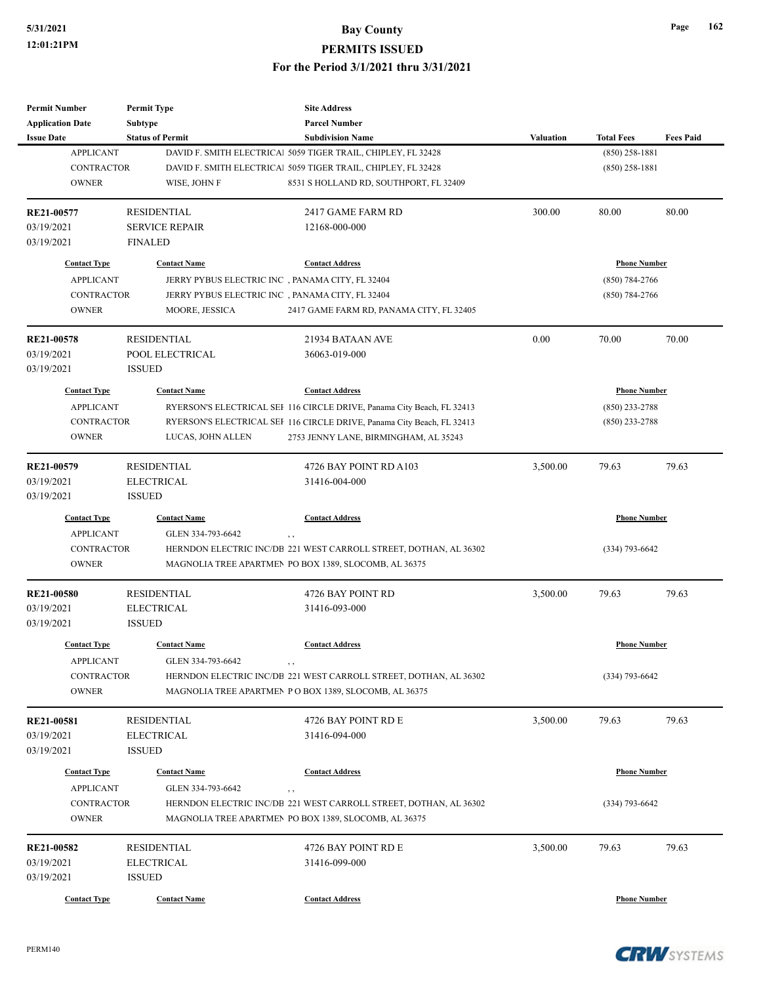| <b>Permit Number</b>    | <b>Permit Type</b>      | <b>Site Address</b>                                                    |                  |                     |                  |
|-------------------------|-------------------------|------------------------------------------------------------------------|------------------|---------------------|------------------|
| <b>Application Date</b> | <b>Subtype</b>          | <b>Parcel Number</b>                                                   |                  |                     |                  |
| <b>Issue Date</b>       | <b>Status of Permit</b> | <b>Subdivision Name</b>                                                | <b>Valuation</b> | <b>Total Fees</b>   | <b>Fees Paid</b> |
| <b>APPLICANT</b>        |                         | DAVID F. SMITH ELECTRICAl 5059 TIGER TRAIL, CHIPLEY, FL 32428          |                  | $(850)$ 258-1881    |                  |
| <b>CONTRACTOR</b>       |                         | DAVID F. SMITH ELECTRICAl 5059 TIGER TRAIL, CHIPLEY, FL 32428          |                  | $(850)$ 258-1881    |                  |
| <b>OWNER</b>            | WISE, JOHN F            | 8531 S HOLLAND RD, SOUTHPORT, FL 32409                                 |                  |                     |                  |
| RE21-00577              | <b>RESIDENTIAL</b>      | 2417 GAME FARM RD                                                      | 300.00           | 80.00               | 80.00            |
| 03/19/2021              | <b>SERVICE REPAIR</b>   | 12168-000-000                                                          |                  |                     |                  |
| 03/19/2021              | <b>FINALED</b>          |                                                                        |                  |                     |                  |
| <b>Contact Type</b>     | <b>Contact Name</b>     | <b>Contact Address</b>                                                 |                  | <b>Phone Number</b> |                  |
| <b>APPLICANT</b>        |                         | JERRY PYBUS ELECTRIC INC, PANAMA CITY, FL 32404                        |                  | $(850) 784 - 2766$  |                  |
| CONTRACTOR              |                         | JERRY PYBUS ELECTRIC INC, PANAMA CITY, FL 32404                        |                  | $(850)$ 784-2766    |                  |
| <b>OWNER</b>            | MOORE, JESSICA          | 2417 GAME FARM RD, PANAMA CITY, FL 32405                               |                  |                     |                  |
| <b>RE21-00578</b>       | <b>RESIDENTIAL</b>      | 21934 BATAAN AVE                                                       | 0.00             | 70.00               | 70.00            |
| 03/19/2021              | POOL ELECTRICAL         | 36063-019-000                                                          |                  |                     |                  |
| 03/19/2021              | <b>ISSUED</b>           |                                                                        |                  |                     |                  |
| <b>Contact Type</b>     | <b>Contact Name</b>     | <b>Contact Address</b>                                                 |                  | <b>Phone Number</b> |                  |
| <b>APPLICANT</b>        |                         | RYERSON'S ELECTRICAL SEI 116 CIRCLE DRIVE, Panama City Beach, FL 32413 |                  | $(850)$ 233-2788    |                  |
| <b>CONTRACTOR</b>       |                         | RYERSON'S ELECTRICAL SEI 116 CIRCLE DRIVE, Panama City Beach, FL 32413 |                  | $(850)$ 233-2788    |                  |
| <b>OWNER</b>            | LUCAS, JOHN ALLEN       | 2753 JENNY LANE, BIRMINGHAM, AL 35243                                  |                  |                     |                  |
|                         |                         |                                                                        |                  |                     |                  |
| RE21-00579              | <b>RESIDENTIAL</b>      | 4726 BAY POINT RD A103                                                 | 3,500.00         | 79.63               | 79.63            |
| 03/19/2021              | <b>ELECTRICAL</b>       | 31416-004-000                                                          |                  |                     |                  |
| 03/19/2021              | <b>ISSUED</b>           |                                                                        |                  |                     |                  |
| <b>Contact Type</b>     | <b>Contact Name</b>     | <b>Contact Address</b>                                                 |                  | <b>Phone Number</b> |                  |
| <b>APPLICANT</b>        | GLEN 334-793-6642       | $, \, ,$                                                               |                  |                     |                  |
| <b>CONTRACTOR</b>       |                         | HERNDON ELECTRIC INC/DB 221 WEST CARROLL STREET, DOTHAN, AL 36302      |                  | $(334) 793 - 6642$  |                  |
| <b>OWNER</b>            |                         | MAGNOLIA TREE APARTMEN PO BOX 1389, SLOCOMB, AL 36375                  |                  |                     |                  |
| <b>RE21-00580</b>       | <b>RESIDENTIAL</b>      | 4726 BAY POINT RD                                                      | 3,500.00         | 79.63               | 79.63            |
| 03/19/2021              | <b>ELECTRICAL</b>       | 31416-093-000                                                          |                  |                     |                  |
| 03/19/2021              | <b>ISSUED</b>           |                                                                        |                  |                     |                  |
| <b>Contact Type</b>     | <b>Contact Name</b>     | <b>Contact Address</b>                                                 |                  | <b>Phone Number</b> |                  |
| <b>APPLICANT</b>        | GLEN 334-793-6642       | $, \, , \,$                                                            |                  |                     |                  |
| <b>CONTRACTOR</b>       |                         | HERNDON ELECTRIC INC/DB 221 WEST CARROLL STREET, DOTHAN, AL 36302      |                  | $(334) 793 - 6642$  |                  |
| <b>OWNER</b>            |                         | MAGNOLIA TREE APARTMEN P O BOX 1389, SLOCOMB, AL 36375                 |                  |                     |                  |
| RE21-00581              | <b>RESIDENTIAL</b>      | 4726 BAY POINT RD E                                                    | 3,500.00         | 79.63               | 79.63            |
| 03/19/2021              | <b>ELECTRICAL</b>       | 31416-094-000                                                          |                  |                     |                  |
| 03/19/2021              | <b>ISSUED</b>           |                                                                        |                  |                     |                  |
| <b>Contact Type</b>     | <b>Contact Name</b>     | <b>Contact Address</b>                                                 |                  | <b>Phone Number</b> |                  |
| <b>APPLICANT</b>        | GLEN 334-793-6642       |                                                                        |                  |                     |                  |
| <b>CONTRACTOR</b>       |                         | HERNDON ELECTRIC INC/DB 221 WEST CARROLL STREET, DOTHAN, AL 36302      |                  | $(334)$ 793-6642    |                  |
| <b>OWNER</b>            |                         | MAGNOLIA TREE APARTMEN PO BOX 1389, SLOCOMB, AL 36375                  |                  |                     |                  |
|                         |                         |                                                                        |                  |                     |                  |
| <b>RE21-00582</b>       | <b>RESIDENTIAL</b>      | 4726 BAY POINT RD E                                                    | 3,500.00         | 79.63               | 79.63            |
| 03/19/2021              | <b>ELECTRICAL</b>       | 31416-099-000                                                          |                  |                     |                  |
| 03/19/2021              | <b>ISSUED</b>           |                                                                        |                  |                     |                  |
| <b>Contact Type</b>     | <b>Contact Name</b>     | <b>Contact Address</b>                                                 |                  | <b>Phone Number</b> |                  |

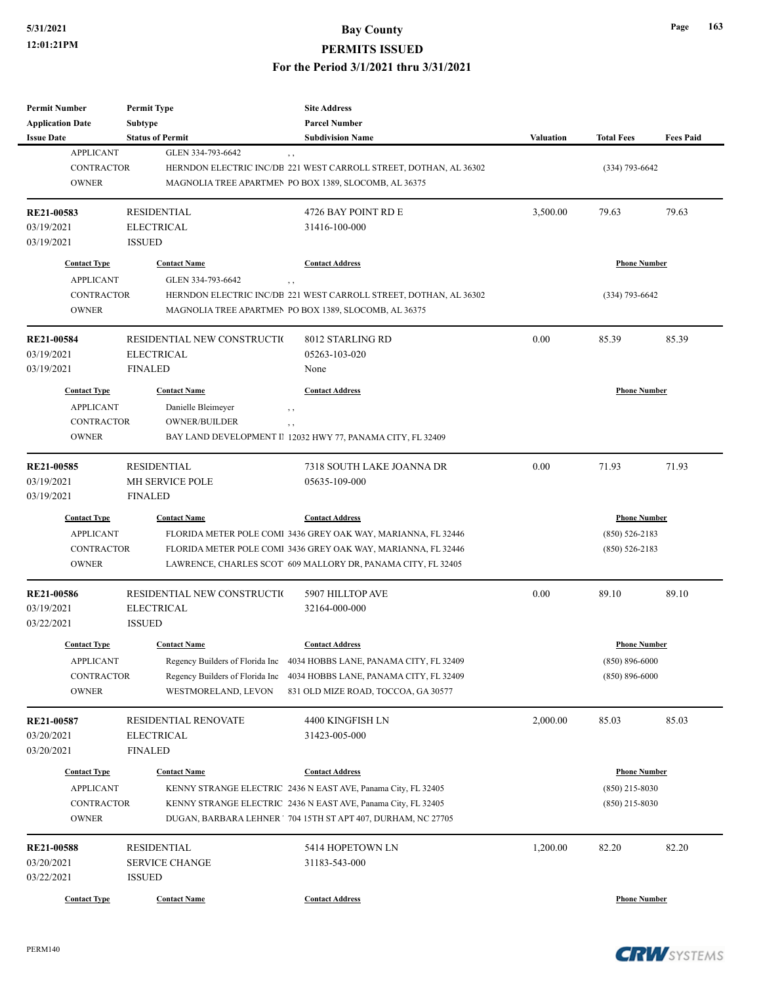| <b>Permit Number</b>    | <b>Permit Type</b>              | <b>Site Address</b>                                                    |                  |                     |                  |
|-------------------------|---------------------------------|------------------------------------------------------------------------|------------------|---------------------|------------------|
| <b>Application Date</b> | Subtype                         | <b>Parcel Number</b>                                                   |                  |                     |                  |
| <b>Issue Date</b>       | <b>Status of Permit</b>         | <b>Subdivision Name</b>                                                | <b>Valuation</b> | <b>Total Fees</b>   | <b>Fees Paid</b> |
| <b>APPLICANT</b>        | GLEN 334-793-6642               | , ,                                                                    |                  |                     |                  |
| <b>CONTRACTOR</b>       |                                 | HERNDON ELECTRIC INC/DB 221 WEST CARROLL STREET, DOTHAN, AL 36302      |                  | $(334) 793 - 6642$  |                  |
| <b>OWNER</b>            |                                 | MAGNOLIA TREE APARTMEN PO BOX 1389, SLOCOMB, AL 36375                  |                  |                     |                  |
|                         |                                 |                                                                        |                  |                     |                  |
| RE21-00583              | <b>RESIDENTIAL</b>              | 4726 BAY POINT RD E                                                    | 3,500.00         | 79.63               | 79.63            |
| 03/19/2021              | <b>ELECTRICAL</b>               | 31416-100-000                                                          |                  |                     |                  |
| 03/19/2021              | <b>ISSUED</b>                   |                                                                        |                  |                     |                  |
| <b>Contact Type</b>     | <b>Contact Name</b>             | <b>Contact Address</b>                                                 |                  | <b>Phone Number</b> |                  |
| <b>APPLICANT</b>        | GLEN 334-793-6642               | , ,                                                                    |                  |                     |                  |
| <b>CONTRACTOR</b>       |                                 | HERNDON ELECTRIC INC/DB 221 WEST CARROLL STREET, DOTHAN, AL 36302      |                  | $(334) 793 - 6642$  |                  |
| <b>OWNER</b>            |                                 | MAGNOLIA TREE APARTMEN PO BOX 1389, SLOCOMB, AL 36375                  |                  |                     |                  |
|                         |                                 |                                                                        |                  |                     |                  |
| RE21-00584              | RESIDENTIAL NEW CONSTRUCTIO     | 8012 STARLING RD                                                       | 0.00             | 85.39               | 85.39            |
| 03/19/2021              | <b>ELECTRICAL</b>               | 05263-103-020                                                          |                  |                     |                  |
| 03/19/2021              | <b>FINALED</b>                  | None                                                                   |                  |                     |                  |
| <b>Contact Type</b>     | <b>Contact Name</b>             | <b>Contact Address</b>                                                 |                  | <b>Phone Number</b> |                  |
|                         |                                 |                                                                        |                  |                     |                  |
| <b>APPLICANT</b>        | Danielle Bleimeyer              | , ,                                                                    |                  |                     |                  |
| <b>CONTRACTOR</b>       | <b>OWNER/BUILDER</b>            | $, \, ,$                                                               |                  |                     |                  |
| <b>OWNER</b>            |                                 | BAY LAND DEVELOPMENT II 12032 HWY 77, PANAMA CITY, FL 32409            |                  |                     |                  |
| RE21-00585              | <b>RESIDENTIAL</b>              | 7318 SOUTH LAKE JOANNA DR                                              | 0.00             | 71.93               | 71.93            |
| 03/19/2021              | MH SERVICE POLE                 | 05635-109-000                                                          |                  |                     |                  |
| 03/19/2021              | <b>FINALED</b>                  |                                                                        |                  |                     |                  |
| <b>Contact Type</b>     | <b>Contact Name</b>             | <b>Contact Address</b>                                                 |                  | <b>Phone Number</b> |                  |
|                         |                                 |                                                                        |                  |                     |                  |
| <b>APPLICANT</b>        |                                 | FLORIDA METER POLE COMI 3436 GREY OAK WAY, MARIANNA, FL 32446          |                  | $(850) 526 - 2183$  |                  |
| <b>CONTRACTOR</b>       |                                 | FLORIDA METER POLE COMI 3436 GREY OAK WAY, MARIANNA, FL 32446          |                  | $(850) 526 - 2183$  |                  |
| <b>OWNER</b>            |                                 | LAWRENCE, CHARLES SCOT 609 MALLORY DR, PANAMA CITY, FL 32405           |                  |                     |                  |
| <b>RE21-00586</b>       | RESIDENTIAL NEW CONSTRUCTIO     | 5907 HILLTOP AVE                                                       | 0.00             | 89.10               | 89.10            |
| 03/19/2021              | <b>ELECTRICAL</b>               | 32164-000-000                                                          |                  |                     |                  |
| 03/22/2021              | <b>ISSUED</b>                   |                                                                        |                  |                     |                  |
|                         |                                 |                                                                        |                  |                     |                  |
| <b>Contact Type</b>     | <b>Contact Name</b>             | <b>Contact Address</b>                                                 |                  | <b>Phone Number</b> |                  |
| <b>APPLICANT</b>        |                                 | Regency Builders of Florida Inc 4034 HOBBS LANE, PANAMA CITY, FL 32409 |                  | $(850) 896 - 6000$  |                  |
| CONTRACTOR              | Regency Builders of Florida Inc | 4034 HOBBS LANE, PANAMA CITY, FL 32409                                 |                  | $(850) 896 - 6000$  |                  |
| <b>OWNER</b>            | WESTMORELAND, LEVON             | 831 OLD MIZE ROAD, TOCCOA, GA 30577                                    |                  |                     |                  |
| RE21-00587              | RESIDENTIAL RENOVATE            | 4400 KINGFISH LN                                                       | 2,000.00         | 85.03               | 85.03            |
| 03/20/2021              | <b>ELECTRICAL</b>               | 31423-005-000                                                          |                  |                     |                  |
|                         |                                 |                                                                        |                  |                     |                  |
| 03/20/2021              | <b>FINALED</b>                  |                                                                        |                  |                     |                  |
| <b>Contact Type</b>     | <b>Contact Name</b>             | <b>Contact Address</b>                                                 |                  | <b>Phone Number</b> |                  |
| <b>APPLICANT</b>        |                                 | KENNY STRANGE ELECTRIC 2436 N EAST AVE, Panama City, FL 32405          |                  | $(850)$ 215-8030    |                  |
| <b>CONTRACTOR</b>       |                                 | KENNY STRANGE ELECTRIC 2436 N EAST AVE, Panama City, FL 32405          |                  | $(850)$ 215-8030    |                  |
| OWNER                   |                                 | DUGAN, BARBARA LEHNER 704 15TH ST APT 407, DURHAM, NC 27705            |                  |                     |                  |
|                         |                                 |                                                                        |                  |                     |                  |
| <b>RE21-00588</b>       | <b>RESIDENTIAL</b>              | 5414 HOPETOWN LN                                                       | 1,200.00         | 82.20               | 82.20            |
| 03/20/2021              | <b>SERVICE CHANGE</b>           | 31183-543-000                                                          |                  |                     |                  |
| 03/22/2021              | <b>ISSUED</b>                   |                                                                        |                  |                     |                  |
| <b>Contact Type</b>     | <b>Contact Name</b>             | <b>Contact Address</b>                                                 |                  | <b>Phone Number</b> |                  |



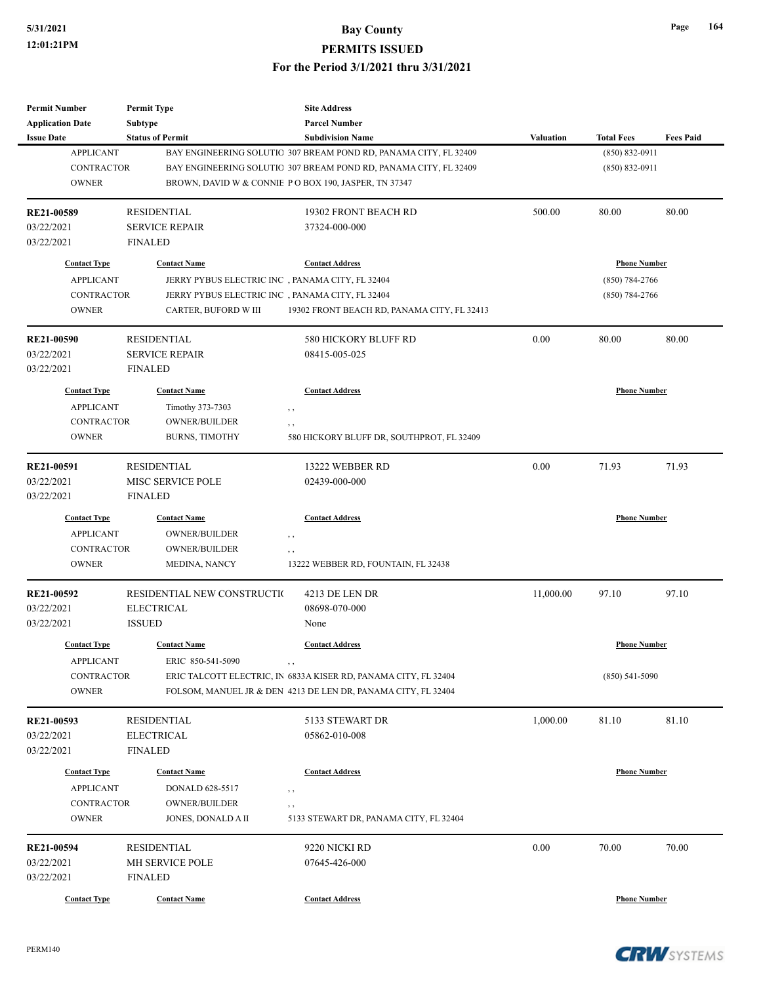| <b>Permit Number</b>    | <b>Permit Type</b>                              | <b>Site Address</b>                                              |                  |                     |                  |
|-------------------------|-------------------------------------------------|------------------------------------------------------------------|------------------|---------------------|------------------|
| <b>Application Date</b> | <b>Subtype</b>                                  | <b>Parcel Number</b>                                             |                  |                     |                  |
| <b>Issue Date</b>       | <b>Status of Permit</b>                         | <b>Subdivision Name</b>                                          | <b>Valuation</b> | <b>Total Fees</b>   | <b>Fees Paid</b> |
| <b>APPLICANT</b>        |                                                 | BAY ENGINEERING SOLUTIO 307 BREAM POND RD, PANAMA CITY, FL 32409 |                  | $(850) 832 - 0911$  |                  |
| <b>CONTRACTOR</b>       |                                                 | BAY ENGINEERING SOLUTIO 307 BREAM POND RD, PANAMA CITY, FL 32409 |                  | $(850) 832 - 0911$  |                  |
| <b>OWNER</b>            |                                                 | BROWN, DAVID W & CONNIE P O BOX 190, JASPER, TN 37347            |                  |                     |                  |
| RE21-00589              | <b>RESIDENTIAL</b>                              | 19302 FRONT BEACH RD                                             | 500.00           | 80.00               | 80.00            |
| 03/22/2021              | <b>SERVICE REPAIR</b>                           | 37324-000-000                                                    |                  |                     |                  |
| 03/22/2021              | <b>FINALED</b>                                  |                                                                  |                  |                     |                  |
| <b>Contact Type</b>     | <b>Contact Name</b>                             | <b>Contact Address</b>                                           |                  | <b>Phone Number</b> |                  |
| <b>APPLICANT</b>        | JERRY PYBUS ELECTRIC INC, PANAMA CITY, FL 32404 |                                                                  |                  | $(850) 784 - 2766$  |                  |
| <b>CONTRACTOR</b>       | JERRY PYBUS ELECTRIC INC, PANAMA CITY, FL 32404 |                                                                  |                  | $(850)$ 784-2766    |                  |
| <b>OWNER</b>            | CARTER, BUFORD W III                            | 19302 FRONT BEACH RD, PANAMA CITY, FL 32413                      |                  |                     |                  |
| <b>RE21-00590</b>       | <b>RESIDENTIAL</b>                              | 580 HICKORY BLUFF RD                                             | 0.00             | 80.00               | 80.00            |
| 03/22/2021              | <b>SERVICE REPAIR</b>                           | 08415-005-025                                                    |                  |                     |                  |
| 03/22/2021              | <b>FINALED</b>                                  |                                                                  |                  |                     |                  |
| <b>Contact Type</b>     | <b>Contact Name</b>                             | <b>Contact Address</b>                                           |                  | <b>Phone Number</b> |                  |
| <b>APPLICANT</b>        | Timothy 373-7303                                | $, \, , \,$                                                      |                  |                     |                  |
| <b>CONTRACTOR</b>       | <b>OWNER/BUILDER</b>                            | , ,                                                              |                  |                     |                  |
| <b>OWNER</b>            | <b>BURNS, TIMOTHY</b>                           | 580 HICKORY BLUFF DR, SOUTHPROT, FL 32409                        |                  |                     |                  |
| RE21-00591              | <b>RESIDENTIAL</b>                              | 13222 WEBBER RD                                                  | 0.00             | 71.93               | 71.93            |
| 03/22/2021              | MISC SERVICE POLE                               | 02439-000-000                                                    |                  |                     |                  |
| 03/22/2021              | <b>FINALED</b>                                  |                                                                  |                  |                     |                  |
| <b>Contact Type</b>     | <b>Contact Name</b>                             | <b>Contact Address</b>                                           |                  | <b>Phone Number</b> |                  |
| <b>APPLICANT</b>        | OWNER/BUILDER                                   | , ,                                                              |                  |                     |                  |
| CONTRACTOR              | <b>OWNER/BUILDER</b>                            | , ,                                                              |                  |                     |                  |
| <b>OWNER</b>            | MEDINA, NANCY                                   | 13222 WEBBER RD, FOUNTAIN, FL 32438                              |                  |                     |                  |
| RE21-00592              | RESIDENTIAL NEW CONSTRUCTIO                     | 4213 DE LEN DR                                                   | 11,000.00        | 97.10               | 97.10            |
| 03/22/2021              | <b>ELECTRICAL</b>                               | 08698-070-000                                                    |                  |                     |                  |
| 03/22/2021              | <b>ISSUED</b>                                   | None                                                             |                  |                     |                  |
| <b>Contact Type</b>     | <b>Contact Name</b>                             | <b>Contact Address</b>                                           |                  | <b>Phone Number</b> |                  |
| <b>APPLICANT</b>        | ERIC 850-541-5090                               | $, \, , \,$                                                      |                  |                     |                  |
| CONTRACTOR              |                                                 | ERIC TALCOTT ELECTRIC, IN 6833A KISER RD, PANAMA CITY, FL 32404  |                  | $(850) 541 - 5090$  |                  |
| <b>OWNER</b>            |                                                 | FOLSOM, MANUEL JR & DEN 4213 DE LEN DR, PANAMA CITY, FL 32404    |                  |                     |                  |
| RE21-00593              | RESIDENTIAL                                     | 5133 STEWART DR                                                  | 1,000.00         | 81.10               | 81.10            |
| 03/22/2021              | <b>ELECTRICAL</b>                               | 05862-010-008                                                    |                  |                     |                  |
| 03/22/2021              | <b>FINALED</b>                                  |                                                                  |                  |                     |                  |
| <b>Contact Type</b>     | <b>Contact Name</b>                             | <b>Contact Address</b>                                           |                  | <b>Phone Number</b> |                  |
| <b>APPLICANT</b>        | <b>DONALD 628-5517</b>                          | $\,$ ,                                                           |                  |                     |                  |
| <b>CONTRACTOR</b>       | <b>OWNER/BUILDER</b>                            | , ,                                                              |                  |                     |                  |
| <b>OWNER</b>            | JONES, DONALD A II                              | 5133 STEWART DR, PANAMA CITY, FL 32404                           |                  |                     |                  |
| <b>RE21-00594</b>       | RESIDENTIAL                                     | 9220 NICKI RD                                                    | 0.00             | 70.00               | 70.00            |
| 03/22/2021              | MH SERVICE POLE                                 | 07645-426-000                                                    |                  |                     |                  |
| 03/22/2021              | <b>FINALED</b>                                  |                                                                  |                  |                     |                  |
| <b>Contact Type</b>     | <b>Contact Name</b>                             | <b>Contact Address</b>                                           |                  | <b>Phone Number</b> |                  |
|                         |                                                 |                                                                  |                  |                     |                  |

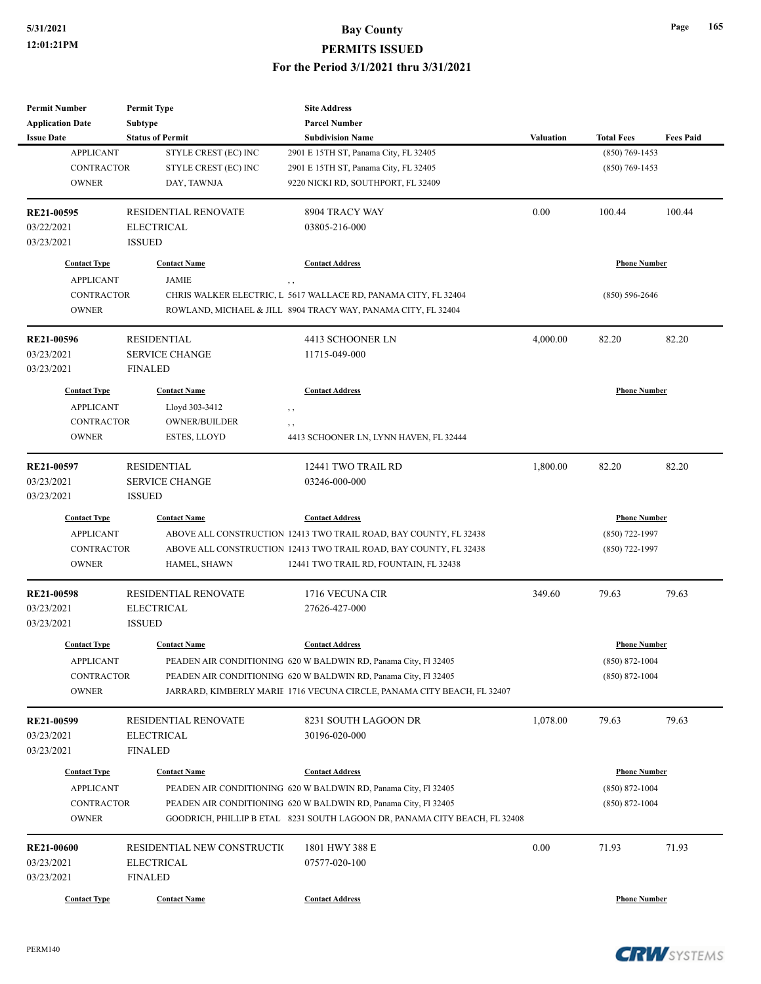| <b>Permit Number</b>       | <b>Permit Type</b>           | <b>Site Address</b>                                                                                                                           |                  |                     |                  |
|----------------------------|------------------------------|-----------------------------------------------------------------------------------------------------------------------------------------------|------------------|---------------------|------------------|
| <b>Application Date</b>    | Subtype                      | <b>Parcel Number</b>                                                                                                                          |                  |                     |                  |
| <b>Issue Date</b>          | <b>Status of Permit</b>      | <b>Subdivision Name</b>                                                                                                                       | <b>Valuation</b> | <b>Total Fees</b>   | <b>Fees Paid</b> |
| <b>APPLICANT</b>           | STYLE CREST (EC) INC         | 2901 E 15TH ST, Panama City, FL 32405                                                                                                         |                  | $(850)$ 769-1453    |                  |
| <b>CONTRACTOR</b>          | STYLE CREST (EC) INC         | 2901 E 15TH ST, Panama City, FL 32405                                                                                                         |                  | $(850)$ 769-1453    |                  |
| <b>OWNER</b>               | DAY, TAWNJA                  | 9220 NICKI RD, SOUTHPORT, FL 32409                                                                                                            |                  |                     |                  |
| <b>RE21-00595</b>          | <b>RESIDENTIAL RENOVATE</b>  | 8904 TRACY WAY                                                                                                                                | 0.00             | 100.44              | 100.44           |
| 03/22/2021                 | <b>ELECTRICAL</b>            | 03805-216-000                                                                                                                                 |                  |                     |                  |
| 03/23/2021                 | <b>ISSUED</b>                |                                                                                                                                               |                  |                     |                  |
| <b>Contact Type</b>        | <b>Contact Name</b>          | <b>Contact Address</b>                                                                                                                        |                  | <b>Phone Number</b> |                  |
| <b>APPLICANT</b>           | <b>JAMIE</b>                 | $, \, ,$                                                                                                                                      |                  |                     |                  |
| <b>CONTRACTOR</b>          |                              | CHRIS WALKER ELECTRIC, L 5617 WALLACE RD, PANAMA CITY, FL 32404                                                                               |                  | $(850) 596 - 2646$  |                  |
| <b>OWNER</b>               |                              | ROWLAND, MICHAEL & JILL 8904 TRACY WAY, PANAMA CITY, FL 32404                                                                                 |                  |                     |                  |
| <b>RE21-00596</b>          | <b>RESIDENTIAL</b>           | 4413 SCHOONER LN                                                                                                                              | 4,000.00         | 82.20               | 82.20            |
| 03/23/2021                 | <b>SERVICE CHANGE</b>        | 11715-049-000                                                                                                                                 |                  |                     |                  |
| 03/23/2021                 | <b>FINALED</b>               |                                                                                                                                               |                  |                     |                  |
| <b>Contact Type</b>        | <b>Contact Name</b>          | <b>Contact Address</b>                                                                                                                        |                  | <b>Phone Number</b> |                  |
| <b>APPLICANT</b>           | Lloyd 303-3412               | , ,                                                                                                                                           |                  |                     |                  |
| <b>CONTRACTOR</b>          | <b>OWNER/BUILDER</b>         | $, \, , \,$                                                                                                                                   |                  |                     |                  |
| <b>OWNER</b>               | ESTES, LLOYD                 | 4413 SCHOONER LN, LYNN HAVEN, FL 32444                                                                                                        |                  |                     |                  |
| RE21-00597                 | <b>RESIDENTIAL</b>           | 12441 TWO TRAIL RD                                                                                                                            | 1,800.00         | 82.20               | 82.20            |
| 03/23/2021                 | <b>SERVICE CHANGE</b>        | 03246-000-000                                                                                                                                 |                  |                     |                  |
| 03/23/2021                 | <b>ISSUED</b>                |                                                                                                                                               |                  |                     |                  |
| <b>Contact Type</b>        | <b>Contact Name</b>          | <b>Contact Address</b>                                                                                                                        |                  | <b>Phone Number</b> |                  |
| <b>APPLICANT</b>           |                              | ABOVE ALL CONSTRUCTION 12413 TWO TRAIL ROAD, BAY COUNTY, FL 32438                                                                             |                  | (850) 722-1997      |                  |
| <b>CONTRACTOR</b>          |                              | ABOVE ALL CONSTRUCTION 12413 TWO TRAIL ROAD, BAY COUNTY, FL 32438                                                                             |                  | $(850)$ 722-1997    |                  |
| <b>OWNER</b>               | HAMEL, SHAWN                 | 12441 TWO TRAIL RD, FOUNTAIN, FL 32438                                                                                                        |                  |                     |                  |
| RE21-00598                 | <b>RESIDENTIAL RENOVATE</b>  | 1716 VECUNA CIR                                                                                                                               | 349.60           | 79.63               | 79.63            |
| 03/23/2021                 | <b>ELECTRICAL</b>            | 27626-427-000                                                                                                                                 |                  |                     |                  |
| 03/23/2021                 | <b>ISSUED</b>                |                                                                                                                                               |                  |                     |                  |
| <b>Contact Type</b>        | <b>Contact Name</b>          | <b>Contact Address</b>                                                                                                                        |                  | <b>Phone Number</b> |                  |
| <b>APPLICANT</b>           |                              | PEADEN AIR CONDITIONING 620 W BALDWIN RD, Panama City, Fl 32405                                                                               |                  | $(850) 872 - 1004$  |                  |
| CONTRACTOR                 |                              | PEADEN AIR CONDITIONING 620 W BALDWIN RD, Panama City, Fl 32405                                                                               |                  | $(850) 872 - 1004$  |                  |
| <b>OWNER</b>               |                              | JARRARD, KIMBERLY MARIE 1716 VECUNA CIRCLE, PANAMA CITY BEACH, FL 32407                                                                       |                  |                     |                  |
| RE21-00599                 | RESIDENTIAL RENOVATE         | 8231 SOUTH LAGOON DR                                                                                                                          | 1,078.00         | 79.63               | 79.63            |
| 03/23/2021                 | <b>ELECTRICAL</b>            | 30196-020-000                                                                                                                                 |                  |                     |                  |
| 03/23/2021                 | <b>FINALED</b>               |                                                                                                                                               |                  |                     |                  |
|                            |                              |                                                                                                                                               |                  |                     |                  |
| <b>Contact Type</b>        | <b>Contact Name</b>          | <b>Contact Address</b>                                                                                                                        |                  | <b>Phone Number</b> |                  |
| <b>APPLICANT</b>           |                              | PEADEN AIR CONDITIONING 620 W BALDWIN RD, Panama City, Fl 32405                                                                               |                  | $(850) 872 - 1004$  |                  |
| CONTRACTOR<br><b>OWNER</b> |                              | PEADEN AIR CONDITIONING 620 W BALDWIN RD, Panama City, Fl 32405<br>GOODRICH, PHILLIP B ETAL 8231 SOUTH LAGOON DR, PANAMA CITY BEACH, FL 32408 |                  | $(850) 872 - 1004$  |                  |
|                            |                              |                                                                                                                                               |                  |                     |                  |
| <b>RE21-00600</b>          | RESIDENTIAL NEW CONSTRUCTION | 1801 HWY 388 E                                                                                                                                | 0.00             | 71.93               | 71.93            |
| 03/23/2021                 | <b>ELECTRICAL</b>            | 07577-020-100                                                                                                                                 |                  |                     |                  |
| 03/23/2021                 | <b>FINALED</b>               |                                                                                                                                               |                  |                     |                  |
| <b>Contact Type</b>        | <b>Contact Name</b>          | <b>Contact Address</b>                                                                                                                        |                  | <b>Phone Number</b> |                  |

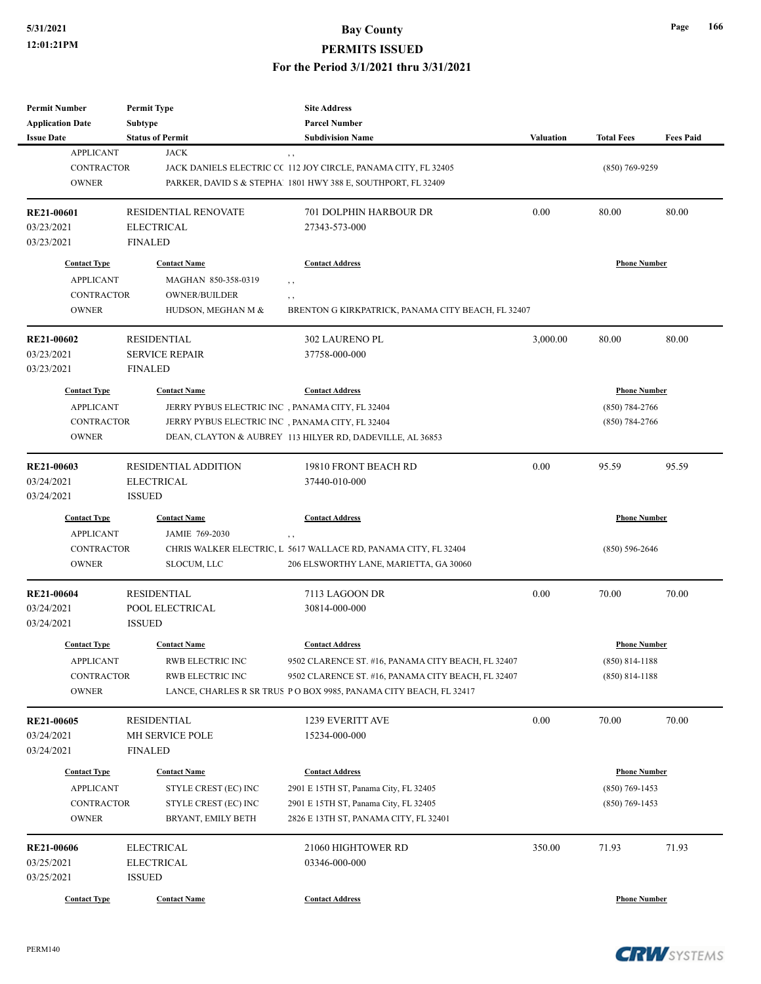| <b>Permit Number</b>                         | <b>Permit Type</b>                        | <b>Site Address</b>                                                           |           |                     |                  |
|----------------------------------------------|-------------------------------------------|-------------------------------------------------------------------------------|-----------|---------------------|------------------|
| <b>Application Date</b><br><b>Issue Date</b> | <b>Subtype</b><br><b>Status of Permit</b> | <b>Parcel Number</b><br><b>Subdivision Name</b>                               | Valuation | <b>Total Fees</b>   | <b>Fees Paid</b> |
| <b>APPLICANT</b>                             | <b>JACK</b>                               |                                                                               |           |                     |                  |
| <b>CONTRACTOR</b>                            |                                           | $, \, , \,$<br>JACK DANIELS ELECTRIC CC 112 JOY CIRCLE, PANAMA CITY, FL 32405 |           | $(850)$ 769-9259    |                  |
| <b>OWNER</b>                                 |                                           | PARKER, DAVID S & STEPHA! 1801 HWY 388 E, SOUTHPORT, FL 32409                 |           |                     |                  |
|                                              |                                           |                                                                               |           |                     |                  |
| <b>RE21-00601</b>                            | <b>RESIDENTIAL RENOVATE</b>               | 701 DOLPHIN HARBOUR DR                                                        | 0.00      | 80.00               | 80.00            |
| 03/23/2021                                   | <b>ELECTRICAL</b>                         | 27343-573-000                                                                 |           |                     |                  |
| 03/23/2021                                   | <b>FINALED</b>                            |                                                                               |           |                     |                  |
| <b>Contact Type</b>                          | <b>Contact Name</b>                       | <b>Contact Address</b>                                                        |           | <b>Phone Number</b> |                  |
| <b>APPLICANT</b>                             | MAGHAN 850-358-0319                       | $, \, , \,$                                                                   |           |                     |                  |
| <b>CONTRACTOR</b>                            | <b>OWNER/BUILDER</b>                      | , ,                                                                           |           |                     |                  |
| <b>OWNER</b>                                 | HUDSON, MEGHAN M &                        | BRENTON G KIRKPATRICK, PANAMA CITY BEACH, FL 32407                            |           |                     |                  |
|                                              |                                           |                                                                               |           |                     |                  |
| <b>RE21-00602</b>                            | <b>RESIDENTIAL</b>                        | <b>302 LAURENO PL</b>                                                         | 3,000.00  | 80.00               | 80.00            |
| 03/23/2021                                   | <b>SERVICE REPAIR</b>                     | 37758-000-000                                                                 |           |                     |                  |
| 03/23/2021                                   | <b>FINALED</b>                            |                                                                               |           |                     |                  |
| <b>Contact Type</b>                          | <b>Contact Name</b>                       | <b>Contact Address</b>                                                        |           | <b>Phone Number</b> |                  |
| <b>APPLICANT</b>                             |                                           | JERRY PYBUS ELECTRIC INC, PANAMA CITY, FL 32404                               |           | (850) 784-2766      |                  |
| <b>CONTRACTOR</b>                            |                                           | JERRY PYBUS ELECTRIC INC, PANAMA CITY, FL 32404                               |           | (850) 784-2766      |                  |
| <b>OWNER</b>                                 |                                           | DEAN, CLAYTON & AUBREY 113 HILYER RD, DADEVILLE, AL 36853                     |           |                     |                  |
| RE21-00603                                   | <b>RESIDENTIAL ADDITION</b>               | 19810 FRONT BEACH RD                                                          | 0.00      | 95.59               | 95.59            |
| 03/24/2021                                   | <b>ELECTRICAL</b>                         | 37440-010-000                                                                 |           |                     |                  |
| 03/24/2021                                   | <b>ISSUED</b>                             |                                                                               |           |                     |                  |
| <b>Contact Type</b>                          | <b>Contact Name</b>                       | <b>Contact Address</b>                                                        |           | <b>Phone Number</b> |                  |
| <b>APPLICANT</b>                             | JAMIE 769-2030                            | $, \, ,$                                                                      |           |                     |                  |
| <b>CONTRACTOR</b>                            |                                           | CHRIS WALKER ELECTRIC, L 5617 WALLACE RD, PANAMA CITY, FL 32404               |           | $(850) 596 - 2646$  |                  |
| <b>OWNER</b>                                 | SLOCUM, LLC                               | 206 ELSWORTHY LANE, MARIETTA, GA 30060                                        |           |                     |                  |
| <b>RE21-00604</b>                            | <b>RESIDENTIAL</b>                        | 7113 LAGOON DR                                                                | 0.00      | 70.00               | 70.00            |
| 03/24/2021                                   | POOL ELECTRICAL                           | 30814-000-000                                                                 |           |                     |                  |
| 03/24/2021                                   | <b>ISSUED</b>                             |                                                                               |           |                     |                  |
| <b>Contact Type</b>                          | <b>Contact Name</b>                       | <b>Contact Address</b>                                                        |           | <b>Phone Number</b> |                  |
| APPLICANT                                    | RWB ELECTRIC INC                          | 9502 CLARENCE ST. #16, PANAMA CITY BEACH, FL 32407                            |           | $(850) 814 - 1188$  |                  |
| CONTRACTOR                                   | <b>RWB ELECTRIC INC</b>                   | 9502 CLARENCE ST. #16, PANAMA CITY BEACH, FL 32407                            |           | $(850)$ 814-1188    |                  |
| <b>OWNER</b>                                 |                                           | LANCE, CHARLES R SR TRUS P O BOX 9985, PANAMA CITY BEACH, FL 32417            |           |                     |                  |
| <b>RE21-00605</b>                            | <b>RESIDENTIAL</b>                        | 1239 EVERITT AVE                                                              | 0.00      | 70.00               | 70.00            |
| 03/24/2021                                   | MH SERVICE POLE                           | 15234-000-000                                                                 |           |                     |                  |
| 03/24/2021                                   | <b>FINALED</b>                            |                                                                               |           |                     |                  |
| <b>Contact Type</b>                          | <b>Contact Name</b>                       | <b>Contact Address</b>                                                        |           | <b>Phone Number</b> |                  |
| <b>APPLICANT</b>                             | STYLE CREST (EC) INC                      | 2901 E 15TH ST, Panama City, FL 32405                                         |           | $(850) 769 - 1453$  |                  |
| CONTRACTOR                                   | STYLE CREST (EC) INC                      | 2901 E 15TH ST, Panama City, FL 32405                                         |           | $(850)$ 769-1453    |                  |
| <b>OWNER</b>                                 | BRYANT, EMILY BETH                        | 2826 E 13TH ST, PANAMA CITY, FL 32401                                         |           |                     |                  |
| <b>RE21-00606</b>                            | <b>ELECTRICAL</b>                         | 21060 HIGHTOWER RD                                                            | 350.00    | 71.93               | 71.93            |
| 03/25/2021                                   | <b>ELECTRICAL</b>                         | 03346-000-000                                                                 |           |                     |                  |
| 03/25/2021                                   | <b>ISSUED</b>                             |                                                                               |           |                     |                  |
| <b>Contact Type</b>                          | <b>Contact Name</b>                       | <b>Contact Address</b>                                                        |           | <b>Phone Number</b> |                  |
|                                              |                                           |                                                                               |           |                     |                  |

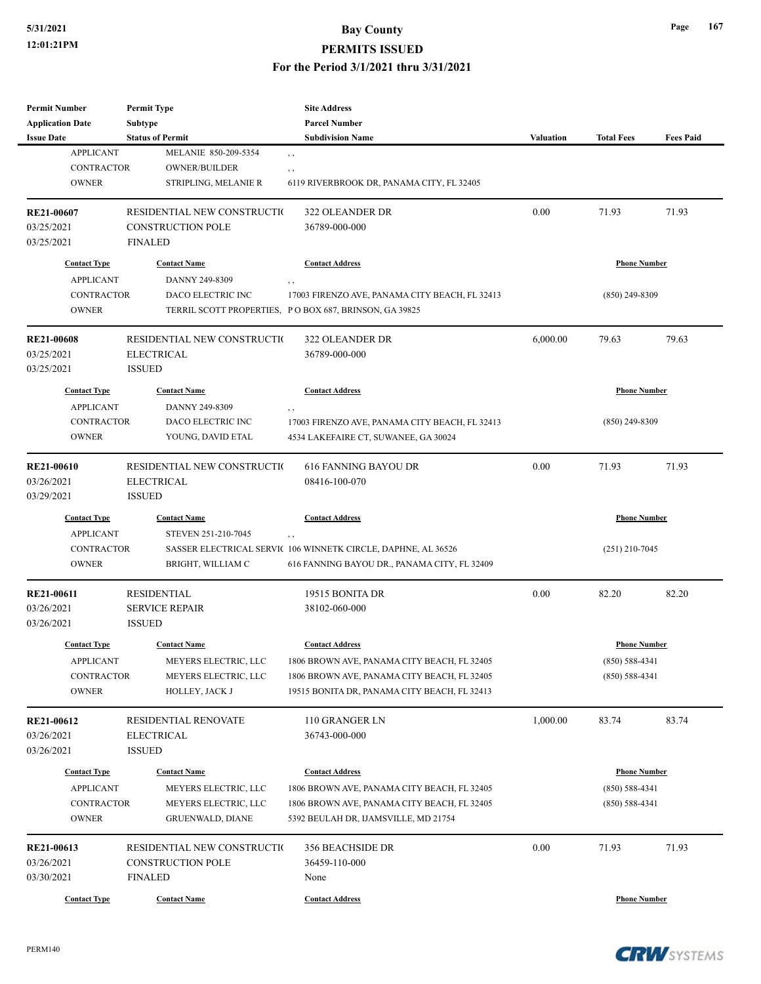### **5/31/2021 Bay County PERMITS ISSUED**

#### **For the Period 3/1/2021 thru 3/31/2021**

| Permit Number           | <b>Permit Type</b>          | <b>Site Address</b>                                           |           |                     |                  |
|-------------------------|-----------------------------|---------------------------------------------------------------|-----------|---------------------|------------------|
| <b>Application Date</b> | <b>Subtype</b>              | <b>Parcel Number</b>                                          |           |                     |                  |
| <b>Issue Date</b>       | <b>Status of Permit</b>     | <b>Subdivision Name</b>                                       | Valuation | <b>Total Fees</b>   | <b>Fees Paid</b> |
| <b>APPLICANT</b>        | MELANIE 850-209-5354        | , ,                                                           |           |                     |                  |
| <b>CONTRACTOR</b>       | <b>OWNER/BUILDER</b>        | , ,                                                           |           |                     |                  |
| <b>OWNER</b>            | STRIPLING, MELANIE R        | 6119 RIVERBROOK DR, PANAMA CITY, FL 32405                     |           |                     |                  |
| RE21-00607              | RESIDENTIAL NEW CONSTRUCTIO | 322 OLEANDER DR                                               | 0.00      | 71.93               | 71.93            |
| 03/25/2021              | <b>CONSTRUCTION POLE</b>    | 36789-000-000                                                 |           |                     |                  |
| 03/25/2021              | <b>FINALED</b>              |                                                               |           |                     |                  |
| <b>Contact Type</b>     | <b>Contact Name</b>         | <b>Contact Address</b>                                        |           | <b>Phone Number</b> |                  |
| <b>APPLICANT</b>        | DANNY 249-8309              | ,,                                                            |           |                     |                  |
| <b>CONTRACTOR</b>       | DACO ELECTRIC INC           | 17003 FIRENZO AVE, PANAMA CITY BEACH, FL 32413                |           | $(850)$ 249-8309    |                  |
| <b>OWNER</b>            |                             | TERRIL SCOTT PROPERTIES, PO BOX 687, BRINSON, GA 39825        |           |                     |                  |
| <b>RE21-00608</b>       | RESIDENTIAL NEW CONSTRUCTIO | 322 OLEANDER DR                                               | 6,000.00  | 79.63               | 79.63            |
| 03/25/2021              | <b>ELECTRICAL</b>           | 36789-000-000                                                 |           |                     |                  |
| 03/25/2021              | <b>ISSUED</b>               |                                                               |           |                     |                  |
| <b>Contact Type</b>     | <b>Contact Name</b>         | <b>Contact Address</b>                                        |           | <b>Phone Number</b> |                  |
| <b>APPLICANT</b>        | DANNY 249-8309              | , ,                                                           |           |                     |                  |
| <b>CONTRACTOR</b>       | DACO ELECTRIC INC           | 17003 FIRENZO AVE, PANAMA CITY BEACH, FL 32413                |           | $(850)$ 249-8309    |                  |
| <b>OWNER</b>            | YOUNG, DAVID ETAL           | 4534 LAKEFAIRE CT, SUWANEE, GA 30024                          |           |                     |                  |
|                         |                             |                                                               |           |                     |                  |
| RE21-00610              | RESIDENTIAL NEW CONSTRUCTIO | <b>616 FANNING BAYOU DR</b>                                   | 0.00      | 71.93               | 71.93            |
| 03/26/2021              | <b>ELECTRICAL</b>           | 08416-100-070                                                 |           |                     |                  |
| 03/29/2021              | <b>ISSUED</b>               |                                                               |           |                     |                  |
| <b>Contact Type</b>     | <b>Contact Name</b>         | <b>Contact Address</b>                                        |           | <b>Phone Number</b> |                  |
| <b>APPLICANT</b>        | STEVEN 251-210-7045         | $, \, ,$                                                      |           |                     |                  |
| <b>CONTRACTOR</b>       |                             | SASSER ELECTRICAL SERVIC 106 WINNETK CIRCLE, DAPHNE, AL 36526 |           | $(251)$ 210-7045    |                  |
| <b>OWNER</b>            | BRIGHT, WILLIAM C           | 616 FANNING BAYOU DR., PANAMA CITY, FL 32409                  |           |                     |                  |
| <b>RE21-00611</b>       | <b>RESIDENTIAL</b>          | 19515 BONITA DR                                               | 0.00      | 82.20               | 82.20            |
| 03/26/2021              | <b>SERVICE REPAIR</b>       | 38102-060-000                                                 |           |                     |                  |
| 03/26/2021              | <b>ISSUED</b>               |                                                               |           |                     |                  |
| <b>Contact Type</b>     | <b>Contact Name</b>         | <b>Contact Address</b>                                        |           | <b>Phone Number</b> |                  |
| APPLICANT               | MEYERS ELECTRIC, LLC        | 1806 BROWN AVE, PANAMA CITY BEACH, FL 32405                   |           | $(850) 588 - 4341$  |                  |
| CONTRACTOR              | MEYERS ELECTRIC, LLC        | 1806 BROWN AVE, PANAMA CITY BEACH, FL 32405                   |           | $(850) 588 - 4341$  |                  |
| <b>OWNER</b>            | HOLLEY, JACK J              | 19515 BONITA DR, PANAMA CITY BEACH, FL 32413                  |           |                     |                  |
| <b>RE21-00612</b>       | RESIDENTIAL RENOVATE        | 110 GRANGER LN                                                | 1,000.00  | 83.74               | 83.74            |
| 03/26/2021              | ELECTRICAL                  | 36743-000-000                                                 |           |                     |                  |
|                         | <b>ISSUED</b>               |                                                               |           |                     |                  |
| 03/26/2021              |                             |                                                               |           |                     |                  |
| <b>Contact Type</b>     | <b>Contact Name</b>         | <b>Contact Address</b>                                        |           | <b>Phone Number</b> |                  |
| <b>APPLICANT</b>        | MEYERS ELECTRIC, LLC        | 1806 BROWN AVE, PANAMA CITY BEACH, FL 32405                   |           | $(850) 588 - 4341$  |                  |
| <b>CONTRACTOR</b>       | MEYERS ELECTRIC, LLC        | 1806 BROWN AVE, PANAMA CITY BEACH, FL 32405                   |           | $(850) 588 - 4341$  |                  |
| <b>OWNER</b>            | <b>GRUENWALD, DIANE</b>     | 5392 BEULAH DR, IJAMSVILLE, MD 21754                          |           |                     |                  |
| RE21-00613              | RESIDENTIAL NEW CONSTRUCTIO | 356 BEACHSIDE DR                                              | 0.00      | 71.93               | 71.93            |
| 03/26/2021              | CONSTRUCTION POLE           | 36459-110-000                                                 |           |                     |                  |
| 03/30/2021              | <b>FINALED</b>              | None                                                          |           |                     |                  |
|                         |                             |                                                               |           |                     |                  |
| <b>Contact Type</b>     | <b>Contact Name</b>         | <b>Contact Address</b>                                        |           | <b>Phone Number</b> |                  |

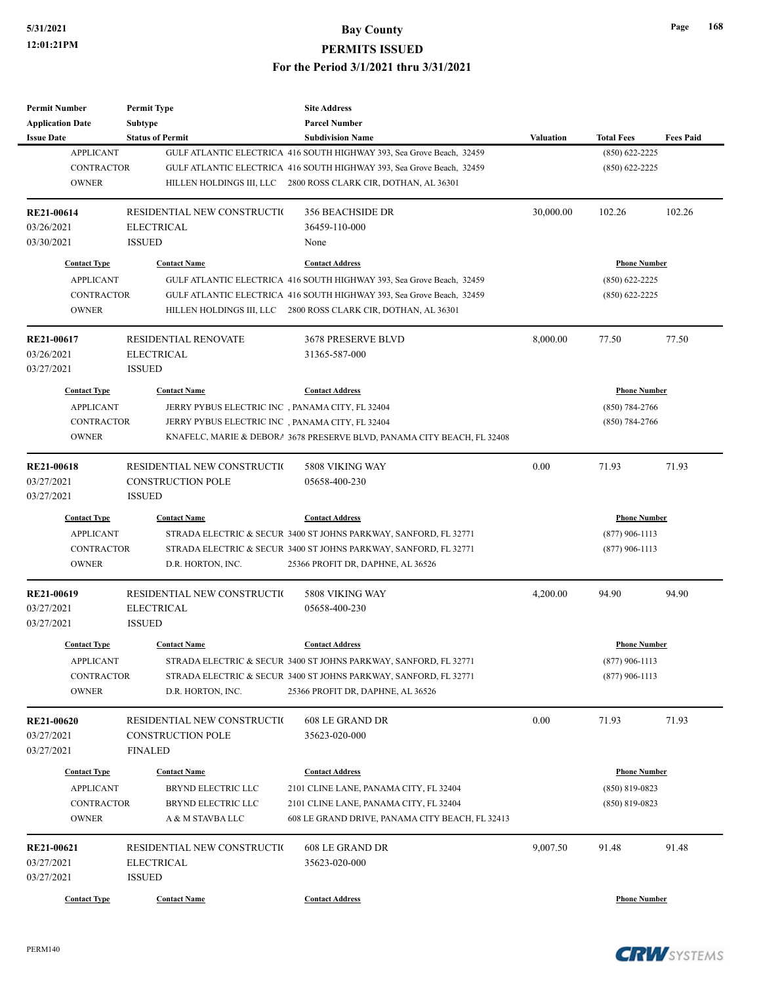| <b>Permit Number</b>    | <b>Permit Type</b>           | <b>Site Address</b>                                                     |                  |                     |                  |
|-------------------------|------------------------------|-------------------------------------------------------------------------|------------------|---------------------|------------------|
| <b>Application Date</b> | Subtype                      | <b>Parcel Number</b>                                                    |                  |                     |                  |
| <b>Issue Date</b>       | <b>Status of Permit</b>      | <b>Subdivision Name</b>                                                 | <b>Valuation</b> | <b>Total Fees</b>   | <b>Fees Paid</b> |
| <b>APPLICANT</b>        |                              | GULF ATLANTIC ELECTRICA 416 SOUTH HIGHWAY 393, Sea Grove Beach, 32459   |                  | $(850)$ 622-2225    |                  |
| <b>CONTRACTOR</b>       |                              | GULF ATLANTIC ELECTRICA 416 SOUTH HIGHWAY 393, Sea Grove Beach, 32459   |                  | $(850)$ 622-2225    |                  |
| <b>OWNER</b>            |                              | HILLEN HOLDINGS III, LLC 2800 ROSS CLARK CIR, DOTHAN, AL 36301          |                  |                     |                  |
| RE21-00614              | RESIDENTIAL NEW CONSTRUCTION | <b>356 BEACHSIDE DR</b>                                                 | 30,000.00        | 102.26              | 102.26           |
| 03/26/2021              | <b>ELECTRICAL</b>            | 36459-110-000                                                           |                  |                     |                  |
| 03/30/2021              | <b>ISSUED</b>                | None                                                                    |                  |                     |                  |
| <b>Contact Type</b>     | <b>Contact Name</b>          | <b>Contact Address</b>                                                  |                  | <b>Phone Number</b> |                  |
| <b>APPLICANT</b>        |                              | GULF ATLANTIC ELECTRICA 416 SOUTH HIGHWAY 393, Sea Grove Beach, 32459   |                  | $(850)$ 622-2225    |                  |
| CONTRACTOR              |                              | GULF ATLANTIC ELECTRICA 416 SOUTH HIGHWAY 393, Sea Grove Beach, 32459   |                  | $(850)$ 622-2225    |                  |
| <b>OWNER</b>            |                              | HILLEN HOLDINGS III, LLC 2800 ROSS CLARK CIR, DOTHAN, AL 36301          |                  |                     |                  |
| RE21-00617              | <b>RESIDENTIAL RENOVATE</b>  | <b>3678 PRESERVE BLVD</b>                                               | 8,000.00         | 77.50               | 77.50            |
| 03/26/2021              | <b>ELECTRICAL</b>            | 31365-587-000                                                           |                  |                     |                  |
| 03/27/2021              | <b>ISSUED</b>                |                                                                         |                  |                     |                  |
| <b>Contact Type</b>     | <b>Contact Name</b>          | <b>Contact Address</b>                                                  |                  | <b>Phone Number</b> |                  |
| <b>APPLICANT</b>        |                              | JERRY PYBUS ELECTRIC INC, PANAMA CITY, FL 32404                         |                  | $(850) 784 - 2766$  |                  |
| <b>CONTRACTOR</b>       |                              | JERRY PYBUS ELECTRIC INC, PANAMA CITY, FL 32404                         |                  | $(850)$ 784-2766    |                  |
| <b>OWNER</b>            |                              | KNAFELC, MARIE & DEBORA 3678 PRESERVE BLVD, PANAMA CITY BEACH, FL 32408 |                  |                     |                  |
|                         |                              |                                                                         |                  |                     |                  |
| RE21-00618              | RESIDENTIAL NEW CONSTRUCTIO  | 5808 VIKING WAY                                                         | 0.00             | 71.93               | 71.93            |
| 03/27/2021              | <b>CONSTRUCTION POLE</b>     | 05658-400-230                                                           |                  |                     |                  |
| 03/27/2021              | <b>ISSUED</b>                |                                                                         |                  |                     |                  |
| <b>Contact Type</b>     | <b>Contact Name</b>          | <b>Contact Address</b>                                                  |                  | <b>Phone Number</b> |                  |
| <b>APPLICANT</b>        |                              | STRADA ELECTRIC & SECUR 3400 ST JOHNS PARKWAY, SANFORD, FL 32771        |                  | $(877)$ 906-1113    |                  |
| <b>CONTRACTOR</b>       |                              | STRADA ELECTRIC & SECUR 3400 ST JOHNS PARKWAY, SANFORD, FL 32771        |                  | $(877)$ 906-1113    |                  |
| <b>OWNER</b>            | D.R. HORTON, INC.            | 25366 PROFIT DR, DAPHNE, AL 36526                                       |                  |                     |                  |
| RE21-00619              | RESIDENTIAL NEW CONSTRUCTIO  | 5808 VIKING WAY                                                         | 4,200.00         | 94.90               | 94.90            |
| 03/27/2021              | <b>ELECTRICAL</b>            | 05658-400-230                                                           |                  |                     |                  |
| 03/27/2021              | <b>ISSUED</b>                |                                                                         |                  |                     |                  |
| <b>Contact Type</b>     | <b>Contact Name</b>          | <b>Contact Address</b>                                                  |                  | <b>Phone Number</b> |                  |
| APPLICANT               |                              | STRADA ELECTRIC & SECUR 3400 ST JOHNS PARKWAY, SANFORD, FL 32771        |                  | $(877)$ 906-1113    |                  |
| <b>CONTRACTOR</b>       |                              | STRADA ELECTRIC & SECUR 3400 ST JOHNS PARKWAY, SANFORD, FL 32771        |                  | $(877)$ 906-1113    |                  |
| <b>OWNER</b>            | D.R. HORTON, INC.            | 25366 PROFIT DR, DAPHNE, AL 36526                                       |                  |                     |                  |
| <b>RE21-00620</b>       | RESIDENTIAL NEW CONSTRUCTIO  | 608 LE GRAND DR                                                         | 0.00             | 71.93               | 71.93            |
| 03/27/2021              | <b>CONSTRUCTION POLE</b>     | 35623-020-000                                                           |                  |                     |                  |
| 03/27/2021              | <b>FINALED</b>               |                                                                         |                  |                     |                  |
| <b>Contact Type</b>     | <b>Contact Name</b>          | <b>Contact Address</b>                                                  |                  | <b>Phone Number</b> |                  |
| <b>APPLICANT</b>        | BRYND ELECTRIC LLC           | 2101 CLINE LANE, PANAMA CITY, FL 32404                                  |                  | $(850) 819 - 0823$  |                  |
| CONTRACTOR              | BRYND ELECTRIC LLC           | 2101 CLINE LANE, PANAMA CITY, FL 32404                                  |                  | $(850)$ 819-0823    |                  |
| <b>OWNER</b>            | A & M STAVBA LLC             | 608 LE GRAND DRIVE, PANAMA CITY BEACH, FL 32413                         |                  |                     |                  |
| RE21-00621              | RESIDENTIAL NEW CONSTRUCTIO  | 608 LE GRAND DR                                                         | 9,007.50         | 91.48               | 91.48            |
| 03/27/2021              | <b>ELECTRICAL</b>            | 35623-020-000                                                           |                  |                     |                  |
| 03/27/2021              | <b>ISSUED</b>                |                                                                         |                  |                     |                  |
| <b>Contact Type</b>     | <b>Contact Name</b>          | <b>Contact Address</b>                                                  |                  | <b>Phone Number</b> |                  |
|                         |                              |                                                                         |                  |                     |                  |



**Page 168**

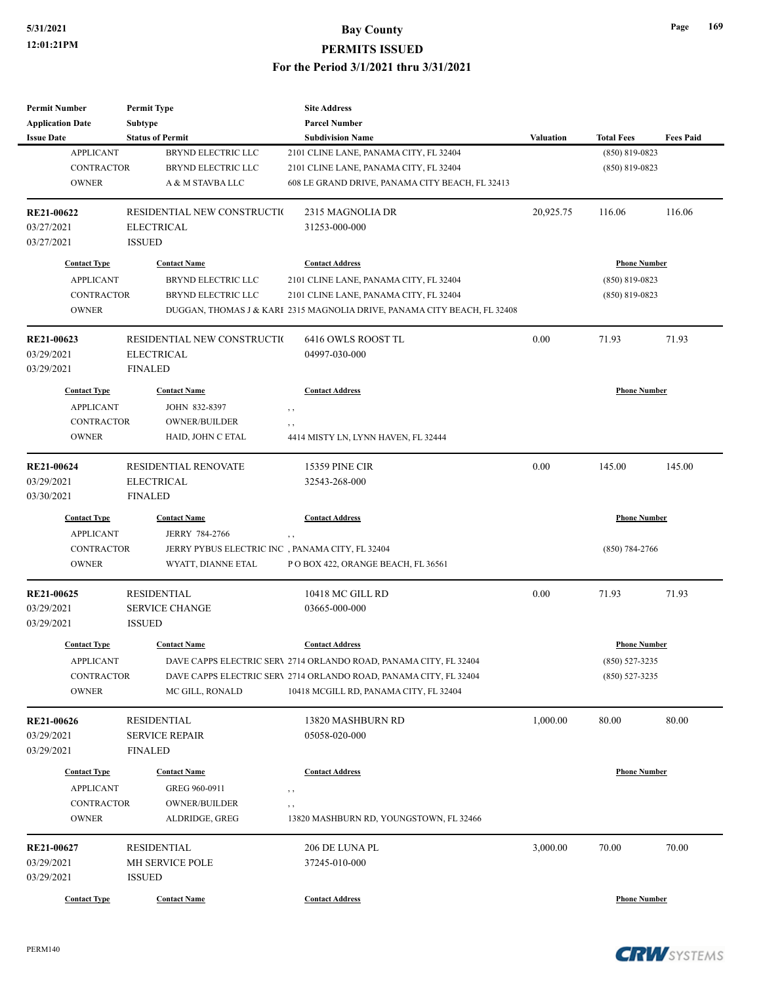| <b>Permit Number</b>    | <b>Permit Type</b>                              | <b>Site Address</b>                                                      |                  |                     |                  |
|-------------------------|-------------------------------------------------|--------------------------------------------------------------------------|------------------|---------------------|------------------|
| <b>Application Date</b> | <b>Subtype</b>                                  | <b>Parcel Number</b>                                                     |                  |                     |                  |
| <b>Issue Date</b>       | <b>Status of Permit</b>                         | <b>Subdivision Name</b>                                                  | <b>Valuation</b> | <b>Total Fees</b>   | <b>Fees Paid</b> |
| <b>APPLICANT</b>        | BRYND ELECTRIC LLC                              | 2101 CLINE LANE, PANAMA CITY, FL 32404                                   |                  | $(850) 819 - 0823$  |                  |
| <b>CONTRACTOR</b>       | <b>BRYND ELECTRIC LLC</b>                       | 2101 CLINE LANE, PANAMA CITY, FL 32404                                   |                  | $(850) 819 - 0823$  |                  |
| <b>OWNER</b>            | A & M STAVBA LLC                                | 608 LE GRAND DRIVE, PANAMA CITY BEACH, FL 32413                          |                  |                     |                  |
| RE21-00622              | RESIDENTIAL NEW CONSTRUCTIO                     | 2315 MAGNOLIA DR                                                         | 20,925.75        | 116.06              | 116.06           |
| 03/27/2021              | <b>ELECTRICAL</b>                               | 31253-000-000                                                            |                  |                     |                  |
| 03/27/2021              | <b>ISSUED</b>                                   |                                                                          |                  |                     |                  |
| <b>Contact Type</b>     | <b>Contact Name</b>                             | <b>Contact Address</b>                                                   |                  | <b>Phone Number</b> |                  |
| <b>APPLICANT</b>        | BRYND ELECTRIC LLC                              | 2101 CLINE LANE, PANAMA CITY, FL 32404                                   |                  | $(850) 819 - 0823$  |                  |
| <b>CONTRACTOR</b>       | BRYND ELECTRIC LLC                              | 2101 CLINE LANE, PANAMA CITY, FL 32404                                   |                  | $(850) 819 - 0823$  |                  |
| <b>OWNER</b>            |                                                 | DUGGAN, THOMAS J & KARI 2315 MAGNOLIA DRIVE, PANAMA CITY BEACH, FL 32408 |                  |                     |                  |
| RE21-00623              | RESIDENTIAL NEW CONSTRUCTIO                     | 6416 OWLS ROOST TL                                                       | 0.00             | 71.93               | 71.93            |
| 03/29/2021              | <b>ELECTRICAL</b>                               | 04997-030-000                                                            |                  |                     |                  |
| 03/29/2021              | <b>FINALED</b>                                  |                                                                          |                  |                     |                  |
| <b>Contact Type</b>     | <b>Contact Name</b>                             | <b>Contact Address</b>                                                   |                  | <b>Phone Number</b> |                  |
| <b>APPLICANT</b>        | JOHN 832-8397                                   | , ,                                                                      |                  |                     |                  |
| <b>CONTRACTOR</b>       | <b>OWNER/BUILDER</b>                            | , ,                                                                      |                  |                     |                  |
| <b>OWNER</b>            | HAID, JOHN C ETAL                               | 4414 MISTY LN, LYNN HAVEN, FL 32444                                      |                  |                     |                  |
|                         |                                                 |                                                                          |                  |                     |                  |
| RE21-00624              | RESIDENTIAL RENOVATE                            | <b>15359 PINE CIR</b>                                                    | 0.00             | 145.00              | 145.00           |
| 03/29/2021              | <b>ELECTRICAL</b>                               | 32543-268-000                                                            |                  |                     |                  |
| 03/30/2021              | <b>FINALED</b>                                  |                                                                          |                  |                     |                  |
| <b>Contact Type</b>     | <b>Contact Name</b>                             | <b>Contact Address</b>                                                   |                  | <b>Phone Number</b> |                  |
| <b>APPLICANT</b>        | JERRY 784-2766                                  | , ,                                                                      |                  |                     |                  |
| <b>CONTRACTOR</b>       | JERRY PYBUS ELECTRIC INC, PANAMA CITY, FL 32404 |                                                                          |                  | $(850)$ 784-2766    |                  |
| <b>OWNER</b>            | WYATT, DIANNE ETAL                              | POBOX 422, ORANGE BEACH, FL 36561                                        |                  |                     |                  |
| RE21-00625              | <b>RESIDENTIAL</b>                              | 10418 MC GILL RD                                                         | 0.00             | 71.93               | 71.93            |
| 03/29/2021              | <b>SERVICE CHANGE</b>                           | 03665-000-000                                                            |                  |                     |                  |
| 03/29/2021              | <b>ISSUED</b>                                   |                                                                          |                  |                     |                  |
| <b>Contact Type</b>     | <b>Contact Name</b>                             | <b>Contact Address</b>                                                   |                  | <b>Phone Number</b> |                  |
| <b>APPLICANT</b>        |                                                 | DAVE CAPPS ELECTRIC SERV 2714 ORLANDO ROAD, PANAMA CITY, FL 32404        |                  | $(850)$ 527-3235    |                  |
| <b>CONTRACTOR</b>       |                                                 | DAVE CAPPS ELECTRIC SERV 2714 ORLANDO ROAD, PANAMA CITY, FL 32404        |                  | $(850) 527 - 3235$  |                  |
| <b>OWNER</b>            | MC GILL, RONALD                                 | 10418 MCGILL RD, PANAMA CITY, FL 32404                                   |                  |                     |                  |
| <b>RE21-00626</b>       | <b>RESIDENTIAL</b>                              | 13820 MASHBURN RD                                                        | 1,000.00         | 80.00               | 80.00            |
| 03/29/2021              | <b>SERVICE REPAIR</b>                           | 05058-020-000                                                            |                  |                     |                  |
| 03/29/2021              | FINALED                                         |                                                                          |                  |                     |                  |
|                         |                                                 |                                                                          |                  |                     |                  |
| <b>Contact Type</b>     | <b>Contact Name</b>                             | <b>Contact Address</b>                                                   |                  | <b>Phone Number</b> |                  |
| <b>APPLICANT</b>        | GREG 960-0911                                   | , ,                                                                      |                  |                     |                  |
| <b>CONTRACTOR</b>       | <b>OWNER/BUILDER</b>                            | , ,                                                                      |                  |                     |                  |
| <b>OWNER</b>            | ALDRIDGE, GREG                                  | 13820 MASHBURN RD, YOUNGSTOWN, FL 32466                                  |                  |                     |                  |
| RE21-00627              | <b>RESIDENTIAL</b>                              | 206 DE LUNA PL                                                           | 3,000.00         | 70.00               | 70.00            |
| 03/29/2021              | MH SERVICE POLE                                 | 37245-010-000                                                            |                  |                     |                  |
| 03/29/2021              | <b>ISSUED</b>                                   |                                                                          |                  |                     |                  |
| <b>Contact Type</b>     | <b>Contact Name</b>                             | <b>Contact Address</b>                                                   |                  | <b>Phone Number</b> |                  |
|                         |                                                 |                                                                          |                  |                     |                  |

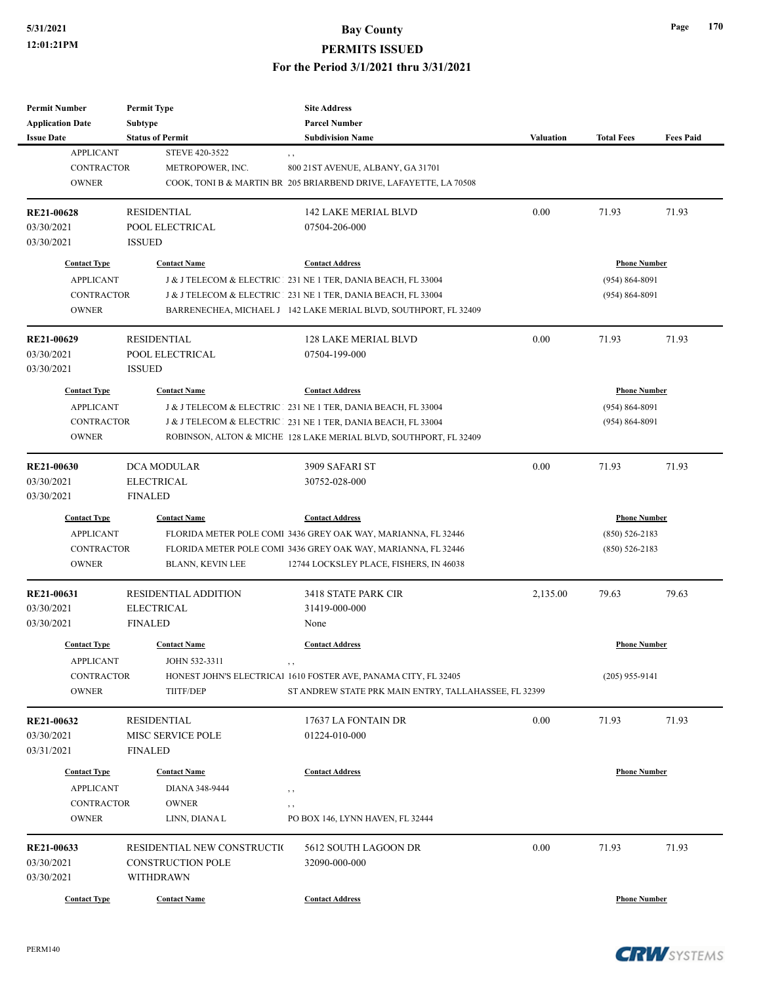# **5/31/2021 Bay County**

### **PERMITS ISSUED**

**For the Period 3/1/2021 thru 3/31/2021**

| Permit Number<br><b>Application Date</b> | <b>Permit Type</b><br>Subtype | <b>Site Address</b><br><b>Parcel Number</b>                       |           |                     |                  |
|------------------------------------------|-------------------------------|-------------------------------------------------------------------|-----------|---------------------|------------------|
| <b>Issue Date</b>                        | <b>Status of Permit</b>       | <b>Subdivision Name</b>                                           | Valuation | <b>Total Fees</b>   | <b>Fees Paid</b> |
| <b>APPLICANT</b>                         | <b>STEVE 420-3522</b>         | , ,                                                               |           |                     |                  |
| <b>CONTRACTOR</b>                        | METROPOWER, INC.              | 800 21 ST AVENUE, ALBANY, GA 31701                                |           |                     |                  |
| <b>OWNER</b>                             |                               | COOK, TONI B & MARTIN BR 205 BRIARBEND DRIVE, LAFAYETTE, LA 70508 |           |                     |                  |
|                                          |                               |                                                                   |           |                     |                  |
| RE21-00628                               | <b>RESIDENTIAL</b>            | <b>142 LAKE MERIAL BLVD</b>                                       | 0.00      | 71.93               | 71.93            |
| 03/30/2021                               | POOL ELECTRICAL               | 07504-206-000                                                     |           |                     |                  |
| 03/30/2021                               | <b>ISSUED</b>                 |                                                                   |           |                     |                  |
| <b>Contact Type</b>                      | <b>Contact Name</b>           | <b>Contact Address</b>                                            |           | <b>Phone Number</b> |                  |
| <b>APPLICANT</b>                         |                               | J & J TELECOM & ELECTRIC 231 NE 1 TER, DANIA BEACH, FL 33004      |           | $(954) 864 - 8091$  |                  |
| <b>CONTRACTOR</b>                        |                               | J & J TELECOM & ELECTRIC 231 NE 1 TER, DANIA BEACH, FL 33004      |           | $(954) 864 - 8091$  |                  |
| <b>OWNER</b>                             |                               | BARRENECHEA, MICHAEL J 142 LAKE MERIAL BLVD, SOUTHPORT, FL 32409  |           |                     |                  |
|                                          |                               |                                                                   |           |                     |                  |
| RE21-00629                               | <b>RESIDENTIAL</b>            | 128 LAKE MERIAL BLVD                                              | 0.00      | 71.93               | 71.93            |
| 03/30/2021                               | POOL ELECTRICAL               | 07504-199-000                                                     |           |                     |                  |
| 03/30/2021                               | <b>ISSUED</b>                 |                                                                   |           |                     |                  |
| <b>Contact Type</b>                      | <b>Contact Name</b>           | <b>Contact Address</b>                                            |           | <b>Phone Number</b> |                  |
| <b>APPLICANT</b>                         |                               | J & J TELECOM & ELECTRIC 231 NE 1 TER, DANIA BEACH, FL 33004      |           | $(954) 864 - 8091$  |                  |
| <b>CONTRACTOR</b>                        |                               | J & J TELECOM & ELECTRIC 231 NE 1 TER, DANIA BEACH, FL 33004      |           | $(954) 864 - 8091$  |                  |
|                                          |                               |                                                                   |           |                     |                  |
| <b>OWNER</b>                             |                               | ROBINSON, ALTON & MICHE 128 LAKE MERIAL BLVD, SOUTHPORT, FL 32409 |           |                     |                  |
| RE21-00630                               | <b>DCA MODULAR</b>            | 3909 SAFARI ST                                                    | 0.00      | 71.93               | 71.93            |
| 03/30/2021                               | <b>ELECTRICAL</b>             | 30752-028-000                                                     |           |                     |                  |
| 03/30/2021                               | <b>FINALED</b>                |                                                                   |           |                     |                  |
| <b>Contact Type</b>                      | <b>Contact Name</b>           | <b>Contact Address</b>                                            |           | <b>Phone Number</b> |                  |
| <b>APPLICANT</b>                         |                               | FLORIDA METER POLE COMI 3436 GREY OAK WAY, MARIANNA, FL 32446     |           | $(850)$ 526-2183    |                  |
| <b>CONTRACTOR</b>                        |                               | FLORIDA METER POLE COMI 3436 GREY OAK WAY, MARIANNA, FL 32446     |           | $(850)$ 526-2183    |                  |
| <b>OWNER</b>                             | BLANN, KEVIN LEE              | 12744 LOCKSLEY PLACE, FISHERS, IN 46038                           |           |                     |                  |
| RE21-00631                               | <b>RESIDENTIAL ADDITION</b>   | 3418 STATE PARK CIR                                               | 2,135.00  | 79.63               | 79.63            |
| 03/30/2021                               | <b>ELECTRICAL</b>             | 31419-000-000                                                     |           |                     |                  |
| 03/30/2021                               | <b>FINALED</b>                | None                                                              |           |                     |                  |
|                                          |                               |                                                                   |           |                     |                  |
| <b>Contact Type</b>                      | <b>Contact Name</b>           | <b>Contact Address</b>                                            |           | <b>Phone Number</b> |                  |
| <b>APPLICANT</b>                         | JOHN 532-3311                 |                                                                   |           |                     |                  |
| <b>CONTRACTOR</b>                        |                               | HONEST JOHN'S ELECTRICAl 1610 FOSTER AVE, PANAMA CITY, FL 32405   |           | $(205)$ 955-9141    |                  |
| <b>OWNER</b>                             | TIITF/DEP                     | ST ANDREW STATE PRK MAIN ENTRY, TALLAHASSEE, FL 32399             |           |                     |                  |
| <b>RE21-00632</b>                        | RESIDENTIAL                   | 17637 LA FONTAIN DR                                               | 0.00      | 71.93               | 71.93            |
| 03/30/2021                               | MISC SERVICE POLE             | 01224-010-000                                                     |           |                     |                  |
| 03/31/2021                               | <b>FINALED</b>                |                                                                   |           |                     |                  |
|                                          |                               |                                                                   |           |                     |                  |
| <b>Contact Type</b>                      | <b>Contact Name</b>           | <b>Contact Address</b>                                            |           | <b>Phone Number</b> |                  |
| <b>APPLICANT</b>                         | DIANA 348-9444                | , ,                                                               |           |                     |                  |
| <b>CONTRACTOR</b>                        | <b>OWNER</b>                  | , ,                                                               |           |                     |                  |
| <b>OWNER</b>                             | LINN, DIANA L                 | PO BOX 146, LYNN HAVEN, FL 32444                                  |           |                     |                  |
| RE21-00633                               | RESIDENTIAL NEW CONSTRUCTIO   | 5612 SOUTH LAGOON DR                                              | 0.00      | 71.93               | 71.93            |
| 03/30/2021                               | <b>CONSTRUCTION POLE</b>      | 32090-000-000                                                     |           |                     |                  |
|                                          |                               |                                                                   |           |                     |                  |
| 03/30/2021                               | WITHDRAWN                     |                                                                   |           |                     |                  |
| <b>Contact Type</b>                      | <b>Contact Name</b>           | <b>Contact Address</b>                                            |           | <b>Phone Number</b> |                  |

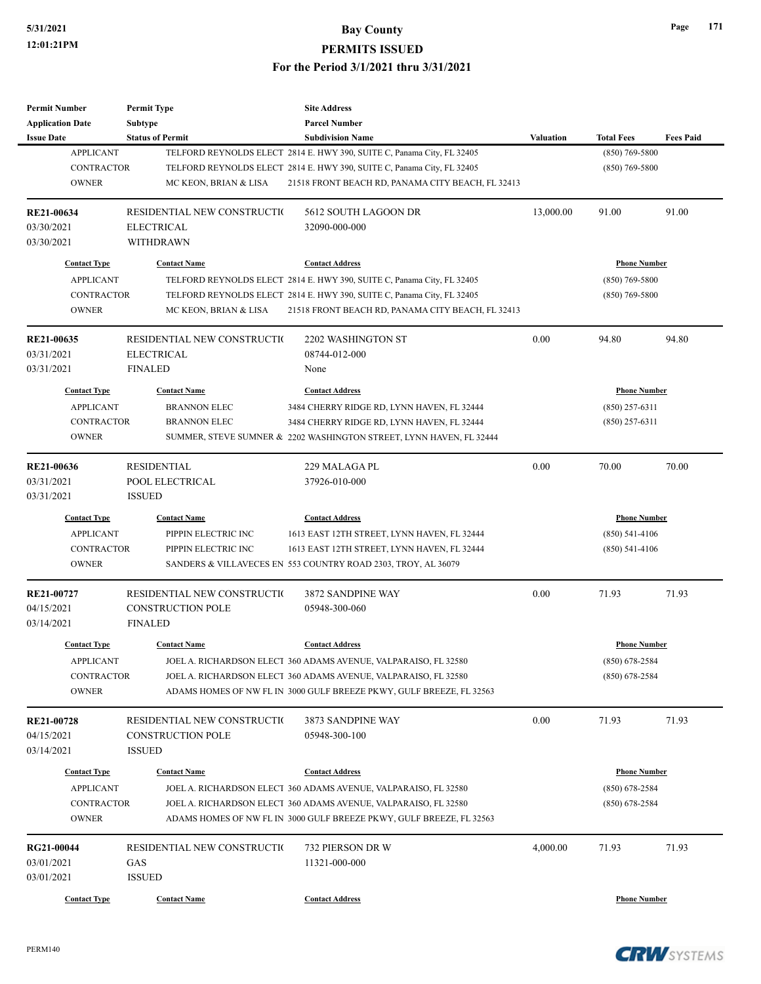| <b>Permit Number</b>       | <b>Permit Type</b>           | <b>Site Address</b>                                                    |                  |                     |                  |  |
|----------------------------|------------------------------|------------------------------------------------------------------------|------------------|---------------------|------------------|--|
| <b>Application Date</b>    | <b>Subtype</b>               | <b>Parcel Number</b>                                                   |                  |                     |                  |  |
| <b>Issue Date</b>          | <b>Status of Permit</b>      | <b>Subdivision Name</b>                                                | <b>Valuation</b> | <b>Total Fees</b>   | <b>Fees Paid</b> |  |
| <b>APPLICANT</b>           |                              | TELFORD REYNOLDS ELECT 2814 E. HWY 390, SUITE C, Panama City, FL 32405 |                  | $(850)$ 769-5800    |                  |  |
| <b>CONTRACTOR</b>          |                              | TELFORD REYNOLDS ELECT 2814 E. HWY 390, SUITE C, Panama City, FL 32405 |                  | $(850)$ 769-5800    |                  |  |
| <b>OWNER</b>               | MC KEON, BRIAN & LISA        | 21518 FRONT BEACH RD, PANAMA CITY BEACH, FL 32413                      |                  |                     |                  |  |
| RE21-00634                 | RESIDENTIAL NEW CONSTRUCTION | 5612 SOUTH LAGOON DR                                                   | 13,000.00        | 91.00               | 91.00            |  |
| 03/30/2021                 | <b>ELECTRICAL</b>            | 32090-000-000                                                          |                  |                     |                  |  |
| 03/30/2021                 | <b>WITHDRAWN</b>             |                                                                        |                  |                     |                  |  |
| <b>Contact Type</b>        | <b>Contact Name</b>          | <b>Contact Address</b>                                                 |                  | <b>Phone Number</b> |                  |  |
| <b>APPLICANT</b>           |                              | TELFORD REYNOLDS ELECT 2814 E. HWY 390, SUITE C, Panama City, FL 32405 |                  | (850) 769-5800      |                  |  |
| <b>CONTRACTOR</b>          |                              | TELFORD REYNOLDS ELECT 2814 E. HWY 390, SUITE C, Panama City, FL 32405 |                  | $(850)$ 769-5800    |                  |  |
| <b>OWNER</b>               | MC KEON, BRIAN & LISA        | 21518 FRONT BEACH RD, PANAMA CITY BEACH, FL 32413                      |                  |                     |                  |  |
| RE21-00635                 | RESIDENTIAL NEW CONSTRUCTIO  | 2202 WASHINGTON ST                                                     | 0.00             | 94.80               | 94.80            |  |
| 03/31/2021                 | <b>ELECTRICAL</b>            | 08744-012-000                                                          |                  |                     |                  |  |
| 03/31/2021                 | <b>FINALED</b>               | None                                                                   |                  |                     |                  |  |
| <b>Contact Type</b>        | <b>Contact Name</b>          | <b>Contact Address</b>                                                 |                  | <b>Phone Number</b> |                  |  |
| <b>APPLICANT</b>           | <b>BRANNON ELEC</b>          | 3484 CHERRY RIDGE RD, LYNN HAVEN, FL 32444                             |                  | $(850)$ 257-6311    |                  |  |
| <b>CONTRACTOR</b>          | <b>BRANNON ELEC</b>          | 3484 CHERRY RIDGE RD, LYNN HAVEN, FL 32444                             |                  | $(850)$ 257-6311    |                  |  |
| <b>OWNER</b>               |                              | SUMMER, STEVE SUMNER & 2202 WASHINGTON STREET, LYNN HAVEN, FL 32444    |                  |                     |                  |  |
| RE21-00636                 | <b>RESIDENTIAL</b>           | 229 MALAGA PL                                                          | 0.00             | 70.00               | 70.00            |  |
| 03/31/2021                 | POOL ELECTRICAL              | 37926-010-000                                                          |                  |                     |                  |  |
| 03/31/2021                 | <b>ISSUED</b>                |                                                                        |                  |                     |                  |  |
| <b>Contact Type</b>        | <b>Contact Name</b>          | <b>Contact Address</b>                                                 |                  | <b>Phone Number</b> |                  |  |
| <b>APPLICANT</b>           | PIPPIN ELECTRIC INC          | 1613 EAST 12TH STREET, LYNN HAVEN, FL 32444                            |                  | $(850) 541 - 4106$  |                  |  |
| <b>CONTRACTOR</b>          | PIPPIN ELECTRIC INC          | 1613 EAST 12TH STREET, LYNN HAVEN, FL 32444                            |                  | (850) 541-4106      |                  |  |
| <b>OWNER</b>               |                              | SANDERS & VILLAVECES EN 553 COUNTRY ROAD 2303, TROY, AL 36079          |                  |                     |                  |  |
| RE21-00727                 | RESIDENTIAL NEW CONSTRUCTIO  | 3872 SANDPINE WAY                                                      | 0.00             | 71.93               | 71.93            |  |
| 04/15/2021                 | <b>CONSTRUCTION POLE</b>     | 05948-300-060                                                          |                  |                     |                  |  |
| 03/14/2021                 | <b>FINALED</b>               |                                                                        |                  |                     |                  |  |
| <b>Contact Type</b>        | <b>Contact Name</b>          | <b>Contact Address</b>                                                 |                  | <b>Phone Number</b> |                  |  |
| <b>APPLICANT</b>           |                              | JOEL A. RICHARDSON ELECT 360 ADAMS AVENUE, VALPARAISO, FL 32580        |                  | $(850) 678 - 2584$  |                  |  |
| CONTRACTOR                 |                              | JOEL A. RICHARDSON ELECT 360 ADAMS AVENUE, VALPARAISO, FL 32580        |                  | $(850)$ 678-2584    |                  |  |
| <b>OWNER</b>               |                              | ADAMS HOMES OF NW FL IN 3000 GULF BREEZE PKWY, GULF BREEZE, FL 32563   |                  |                     |                  |  |
| RE21-00728                 | RESIDENTIAL NEW CONSTRUCTI(  | 3873 SANDPINE WAY                                                      | 0.00             | 71.93               | 71.93            |  |
| 04/15/2021                 | <b>CONSTRUCTION POLE</b>     | 05948-300-100                                                          |                  |                     |                  |  |
| 03/14/2021                 | <b>ISSUED</b>                |                                                                        |                  |                     |                  |  |
| <b>Contact Type</b>        | <b>Contact Name</b>          | <b>Contact Address</b>                                                 |                  | <b>Phone Number</b> |                  |  |
| <b>APPLICANT</b>           |                              | JOEL A. RICHARDSON ELECT 360 ADAMS AVENUE, VALPARAISO, FL 32580        |                  | (850) 678-2584      |                  |  |
|                            |                              | JOEL A. RICHARDSON ELECT 360 ADAMS AVENUE, VALPARAISO, FL 32580        |                  |                     |                  |  |
| CONTRACTOR<br><b>OWNER</b> |                              | ADAMS HOMES OF NW FL IN 3000 GULF BREEZE PKWY, GULF BREEZE, FL 32563   |                  | $(850) 678 - 2584$  |                  |  |
|                            |                              |                                                                        |                  |                     |                  |  |
| RG21-00044                 | RESIDENTIAL NEW CONSTRUCTIO  | 732 PIERSON DR W                                                       | 4,000.00         | 71.93               | 71.93            |  |
| 03/01/2021                 | GAS                          | 11321-000-000                                                          |                  |                     |                  |  |
| 03/01/2021                 | <b>ISSUED</b>                |                                                                        |                  |                     |                  |  |
| <b>Contact Type</b>        | <b>Contact Name</b>          | <b>Contact Address</b>                                                 |                  | <b>Phone Number</b> |                  |  |

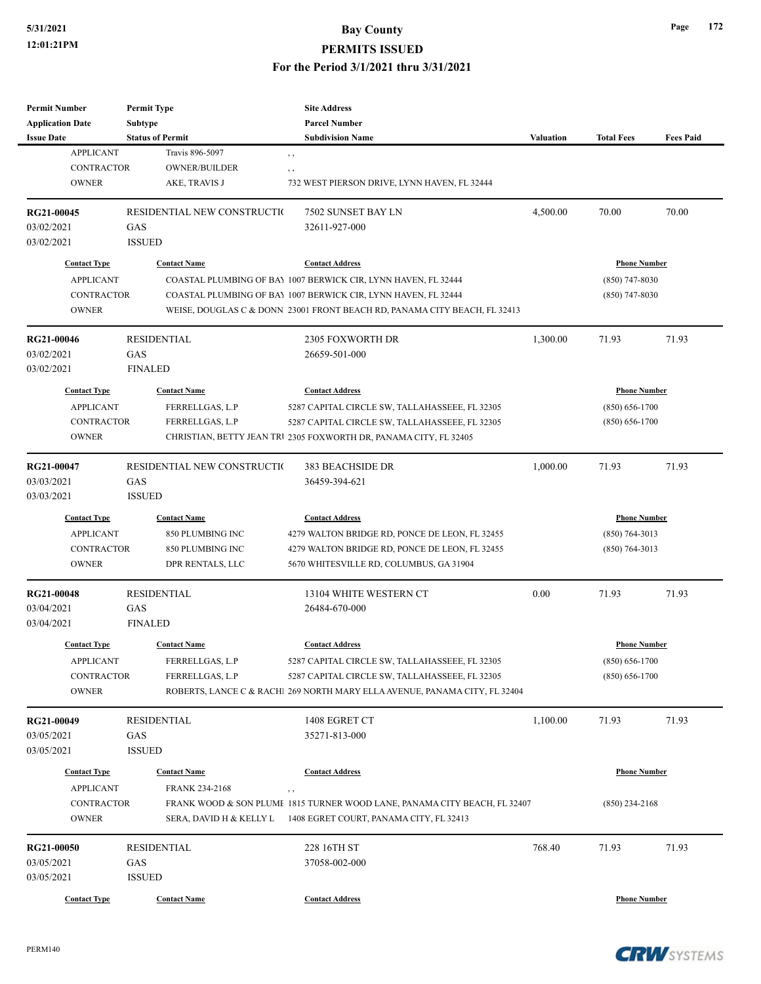# **5/31/2021 Bay County**

### **PERMITS ISSUED**

**For the Period 3/1/2021 thru 3/31/2021**

| <b>Permit Number</b>    | <b>Permit Type</b>      |                             | <b>Site Address</b>                                                        |           |                     |                  |
|-------------------------|-------------------------|-----------------------------|----------------------------------------------------------------------------|-----------|---------------------|------------------|
| <b>Application Date</b> | <b>Subtype</b>          |                             | <b>Parcel Number</b>                                                       |           |                     |                  |
| <b>Issue Date</b>       | <b>Status of Permit</b> |                             | <b>Subdivision Name</b>                                                    | Valuation | <b>Total Fees</b>   | <b>Fees Paid</b> |
| <b>APPLICANT</b>        |                         | Travis 896-5097             | $, \, , \,$                                                                |           |                     |                  |
| <b>CONTRACTOR</b>       |                         | <b>OWNER/BUILDER</b>        | , ,                                                                        |           |                     |                  |
| <b>OWNER</b>            |                         | AKE, TRAVIS J               | 732 WEST PIERSON DRIVE, LYNN HAVEN, FL 32444                               |           |                     |                  |
| RG21-00045              |                         | RESIDENTIAL NEW CONSTRUCTIO | 7502 SUNSET BAY LN                                                         | 4,500.00  | 70.00               | 70.00            |
| 03/02/2021              | GAS                     |                             | 32611-927-000                                                              |           |                     |                  |
| 03/02/2021              | <b>ISSUED</b>           |                             |                                                                            |           |                     |                  |
| <b>Contact Type</b>     |                         | <b>Contact Name</b>         | <b>Contact Address</b>                                                     |           | <b>Phone Number</b> |                  |
|                         | <b>APPLICANT</b>        |                             | COASTAL PLUMBING OF BAY 1007 BERWICK CIR, LYNN HAVEN, FL 32444             |           | $(850)$ 747-8030    |                  |
| <b>CONTRACTOR</b>       |                         |                             | COASTAL PLUMBING OF BAY 1007 BERWICK CIR, LYNN HAVEN, FL 32444             |           | $(850)$ 747-8030    |                  |
| <b>OWNER</b>            |                         |                             | WEISE, DOUGLAS C & DONN 23001 FRONT BEACH RD, PANAMA CITY BEACH, FL 32413  |           |                     |                  |
| RG21-00046              | <b>RESIDENTIAL</b>      |                             | 2305 FOXWORTH DR                                                           | 1,300.00  | 71.93               | 71.93            |
| 03/02/2021              | GAS                     |                             | 26659-501-000                                                              |           |                     |                  |
| 03/02/2021              | <b>FINALED</b>          |                             |                                                                            |           |                     |                  |
| <b>Contact Type</b>     |                         | <b>Contact Name</b>         | <b>Contact Address</b>                                                     |           | <b>Phone Number</b> |                  |
| <b>APPLICANT</b>        |                         | FERRELLGAS, L.P             | 5287 CAPITAL CIRCLE SW, TALLAHASSEEE, FL 32305                             |           | $(850) 656 - 1700$  |                  |
| <b>CONTRACTOR</b>       |                         | FERRELLGAS, L.P             | 5287 CAPITAL CIRCLE SW, TALLAHASSEEE, FL 32305                             |           | $(850) 656 - 1700$  |                  |
|                         |                         |                             |                                                                            |           |                     |                  |
| <b>OWNER</b>            |                         |                             | CHRISTIAN, BETTY JEAN TR1 2305 FOXWORTH DR, PANAMA CITY, FL 32405          |           |                     |                  |
| RG21-00047              |                         | RESIDENTIAL NEW CONSTRUCTIO | <b>383 BEACHSIDE DR</b>                                                    | 1,000.00  | 71.93               | 71.93            |
| 03/03/2021              | GAS                     |                             | 36459-394-621                                                              |           |                     |                  |
| 03/03/2021              | <b>ISSUED</b>           |                             |                                                                            |           |                     |                  |
| <b>Contact Type</b>     |                         | <b>Contact Name</b>         | <b>Contact Address</b>                                                     |           | <b>Phone Number</b> |                  |
| <b>APPLICANT</b>        |                         | 850 PLUMBING INC            | 4279 WALTON BRIDGE RD, PONCE DE LEON, FL 32455                             |           | $(850) 764 - 3013$  |                  |
| <b>CONTRACTOR</b>       |                         | 850 PLUMBING INC            | 4279 WALTON BRIDGE RD, PONCE DE LEON, FL 32455                             |           | $(850)$ 764-3013    |                  |
| <b>OWNER</b>            |                         | DPR RENTALS, LLC            | 5670 WHITESVILLE RD, COLUMBUS, GA 31904                                    |           |                     |                  |
| <b>RG21-00048</b>       | <b>RESIDENTIAL</b>      |                             | 13104 WHITE WESTERN CT                                                     | 0.00      | 71.93               | 71.93            |
| 03/04/2021              | GAS                     |                             | 26484-670-000                                                              |           |                     |                  |
| 03/04/2021              | <b>FINALED</b>          |                             |                                                                            |           |                     |                  |
| <b>Contact Type</b>     |                         | <b>Contact Name</b>         | <b>Contact Address</b>                                                     |           | <b>Phone Number</b> |                  |
| APPLICANT               |                         | FERRELLGAS, L.P             | 5287 CAPITAL CIRCLE SW, TALLAHASSEEE, FL 32305                             |           | $(850) 656 - 1700$  |                  |
| <b>CONTRACTOR</b>       |                         | FERRELLGAS, L.P             | 5287 CAPITAL CIRCLE SW, TALLAHASSEEE, FL 32305                             |           | $(850) 656 - 1700$  |                  |
| <b>OWNER</b>            |                         |                             | ROBERTS, LANCE C & RACHI 269 NORTH MARY ELLA AVENUE, PANAMA CITY, FL 32404 |           |                     |                  |
| RG21-00049              | <b>RESIDENTIAL</b>      |                             | 1408 EGRET CT                                                              | 1,100.00  | 71.93               | 71.93            |
| 03/05/2021              | GAS                     |                             | 35271-813-000                                                              |           |                     |                  |
| 03/05/2021              | <b>ISSUED</b>           |                             |                                                                            |           |                     |                  |
|                         |                         |                             |                                                                            |           |                     |                  |
| <b>Contact Type</b>     |                         | <b>Contact Name</b>         | <b>Contact Address</b>                                                     |           | <b>Phone Number</b> |                  |
| <b>APPLICANT</b>        |                         | FRANK 234-2168              | $, \, ,$                                                                   |           |                     |                  |
| CONTRACTOR              |                         |                             | FRANK WOOD & SON PLUME 1815 TURNER WOOD LANE, PANAMA CITY BEACH, FL 32407  |           | $(850)$ 234-2168    |                  |
| <b>OWNER</b>            |                         | SERA, DAVID H & KELLY L     | 1408 EGRET COURT, PANAMA CITY, FL 32413                                    |           |                     |                  |
| RG21-00050              | <b>RESIDENTIAL</b>      |                             | 228 16TH ST                                                                | 768.40    | 71.93               | 71.93            |
| 03/05/2021              | GAS                     |                             | 37058-002-000                                                              |           |                     |                  |
| 03/05/2021              | <b>ISSUED</b>           |                             |                                                                            |           |                     |                  |
|                         |                         |                             |                                                                            |           |                     |                  |
| <b>Contact Type</b>     |                         | <b>Contact Name</b>         | <b>Contact Address</b>                                                     |           | <b>Phone Number</b> |                  |



**Page 172**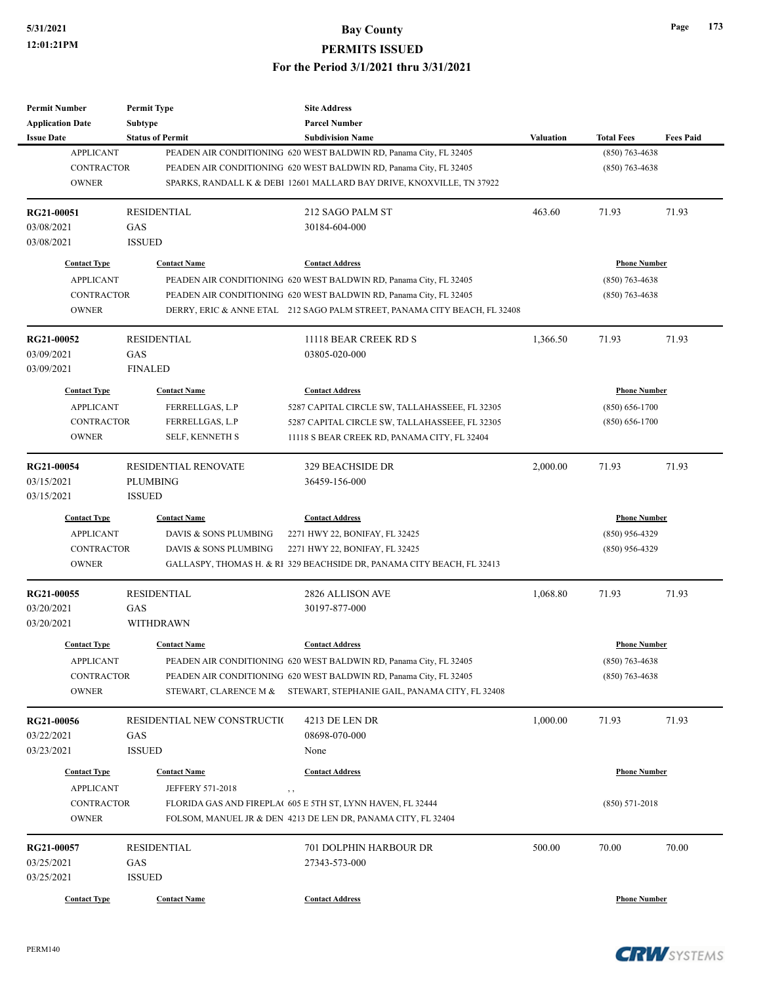# **5/31/2021 Bay County**

**PERMITS ISSUED**

**For the Period 3/1/2021 thru 3/31/2021**

| <b>Permit Number</b>                    | <b>Permit Type</b>                      | <b>Site Address</b>                                                                                                         |           |                     |                  |
|-----------------------------------------|-----------------------------------------|-----------------------------------------------------------------------------------------------------------------------------|-----------|---------------------|------------------|
| <b>Application Date</b>                 | <b>Subtype</b>                          | <b>Parcel Number</b>                                                                                                        |           |                     |                  |
| <b>Issue Date</b>                       | <b>Status of Permit</b>                 | <b>Subdivision Name</b>                                                                                                     | Valuation | <b>Total Fees</b>   | <b>Fees Paid</b> |
| <b>APPLICANT</b>                        |                                         | PEADEN AIR CONDITIONING 620 WEST BALDWIN RD, Panama City, FL 32405                                                          |           | $(850)$ 763-4638    |                  |
| <b>CONTRACTOR</b>                       |                                         | PEADEN AIR CONDITIONING 620 WEST BALDWIN RD, Panama City, FL 32405                                                          |           | $(850)$ 763-4638    |                  |
| <b>OWNER</b>                            |                                         | SPARKS, RANDALL K & DEBI 12601 MALLARD BAY DRIVE, KNOXVILLE, TN 37922                                                       |           |                     |                  |
| RG21-00051                              | <b>RESIDENTIAL</b>                      | 212 SAGO PALM ST                                                                                                            | 463.60    | 71.93               | 71.93            |
| 03/08/2021                              | GAS                                     | 30184-604-000                                                                                                               |           |                     |                  |
| 03/08/2021                              | <b>ISSUED</b>                           |                                                                                                                             |           |                     |                  |
| <b>Contact Type</b>                     | <b>Contact Name</b>                     | <b>Contact Address</b>                                                                                                      |           | <b>Phone Number</b> |                  |
| <b>APPLICANT</b>                        |                                         | PEADEN AIR CONDITIONING 620 WEST BALDWIN RD, Panama City, FL 32405                                                          |           | $(850)$ 763-4638    |                  |
| <b>CONTRACTOR</b>                       |                                         | PEADEN AIR CONDITIONING 620 WEST BALDWIN RD, Panama City, FL 32405                                                          |           | $(850)$ 763-4638    |                  |
| <b>OWNER</b>                            |                                         | DERRY, ERIC & ANNE ETAL 212 SAGO PALM STREET, PANAMA CITY BEACH, FL 32408                                                   |           |                     |                  |
| RG21-00052                              | <b>RESIDENTIAL</b>                      | 11118 BEAR CREEK RD S                                                                                                       | 1,366.50  | 71.93               | 71.93            |
| 03/09/2021                              | GAS                                     | 03805-020-000                                                                                                               |           |                     |                  |
| 03/09/2021                              | <b>FINALED</b>                          |                                                                                                                             |           |                     |                  |
| <b>Contact Type</b>                     | <b>Contact Name</b>                     | <b>Contact Address</b>                                                                                                      |           | <b>Phone Number</b> |                  |
| <b>APPLICANT</b>                        | FERRELLGAS, L.P                         | 5287 CAPITAL CIRCLE SW, TALLAHASSEEE, FL 32305                                                                              |           | $(850) 656 - 1700$  |                  |
| <b>CONTRACTOR</b>                       | FERRELLGAS, L.P                         | 5287 CAPITAL CIRCLE SW, TALLAHASSEEE, FL 32305                                                                              |           | $(850) 656 - 1700$  |                  |
| <b>OWNER</b>                            | SELF, KENNETH S                         | 11118 S BEAR CREEK RD, PANAMA CITY, FL 32404                                                                                |           |                     |                  |
|                                         |                                         |                                                                                                                             |           |                     |                  |
| RG21-00054                              | <b>RESIDENTIAL RENOVATE</b>             | <b>329 BEACHSIDE DR</b>                                                                                                     | 2,000.00  | 71.93               | 71.93            |
| 03/15/2021                              | <b>PLUMBING</b>                         | 36459-156-000                                                                                                               |           |                     |                  |
| 03/15/2021                              | <b>ISSUED</b>                           |                                                                                                                             |           |                     |                  |
| <b>Contact Type</b>                     | <b>Contact Name</b>                     | <b>Contact Address</b>                                                                                                      |           | <b>Phone Number</b> |                  |
| <b>APPLICANT</b>                        | DAVIS & SONS PLUMBING                   | 2271 HWY 22, BONIFAY, FL 32425                                                                                              |           | $(850)$ 956-4329    |                  |
| <b>CONTRACTOR</b>                       | DAVIS & SONS PLUMBING                   | 2271 HWY 22, BONIFAY, FL 32425                                                                                              |           | $(850)$ 956-4329    |                  |
| <b>OWNER</b>                            |                                         | GALLASPY, THOMAS H. & RI 329 BEACHSIDE DR, PANAMA CITY BEACH, FL 32413                                                      |           |                     |                  |
| RG21-00055                              | <b>RESIDENTIAL</b>                      | 2826 ALLISON AVE                                                                                                            | 1,068.80  | 71.93               | 71.93            |
| 03/20/2021                              | GAS                                     | 30197-877-000                                                                                                               |           |                     |                  |
| 03/20/2021                              | <b>WITHDRAWN</b>                        |                                                                                                                             |           |                     |                  |
| <b>Contact Type</b>                     | <b>Contact Name</b>                     | <b>Contact Address</b>                                                                                                      |           | <b>Phone Number</b> |                  |
| APPLICANT                               |                                         | PEADEN AIR CONDITIONING 620 WEST BALDWIN RD, Panama City, FL 32405                                                          |           | $(850)$ 763-4638    |                  |
| CONTRACTOR                              |                                         | PEADEN AIR CONDITIONING 620 WEST BALDWIN RD, Panama City, FL 32405                                                          |           | $(850)$ 763-4638    |                  |
| <b>OWNER</b>                            |                                         | STEWART, CLARENCE M & STEWART, STEPHANIE GAIL, PANAMA CITY, FL 32408                                                        |           |                     |                  |
| RG21-00056                              | RESIDENTIAL NEW CONSTRUCTIO             | 4213 DE LEN DR                                                                                                              | 1,000.00  | 71.93               | 71.93            |
| 03/22/2021                              | GAS                                     | 08698-070-000                                                                                                               |           |                     |                  |
| 03/23/2021                              | <b>ISSUED</b>                           | None                                                                                                                        |           |                     |                  |
|                                         |                                         |                                                                                                                             |           |                     |                  |
| <b>Contact Type</b><br><b>APPLICANT</b> | <b>Contact Name</b><br>JEFFERY 571-2018 | <b>Contact Address</b>                                                                                                      |           | <b>Phone Number</b> |                  |
|                                         |                                         | , ,                                                                                                                         |           |                     |                  |
| <b>CONTRACTOR</b><br><b>OWNER</b>       |                                         | FLORIDA GAS AND FIREPLA(605 E 5TH ST, LYNN HAVEN, FL 32444<br>FOLSOM, MANUEL JR & DEN 4213 DE LEN DR, PANAMA CITY, FL 32404 |           | $(850) 571 - 2018$  |                  |
|                                         |                                         |                                                                                                                             |           |                     |                  |
| RG21-00057                              | <b>RESIDENTIAL</b>                      | 701 DOLPHIN HARBOUR DR                                                                                                      | 500.00    | 70.00               | 70.00            |
| 03/25/2021                              | GAS                                     | 27343-573-000                                                                                                               |           |                     |                  |
| 03/25/2021                              | $\operatorname{ISSUED}$                 |                                                                                                                             |           |                     |                  |
| <b>Contact Type</b>                     | <b>Contact Name</b>                     | <b>Contact Address</b>                                                                                                      |           | <b>Phone Number</b> |                  |

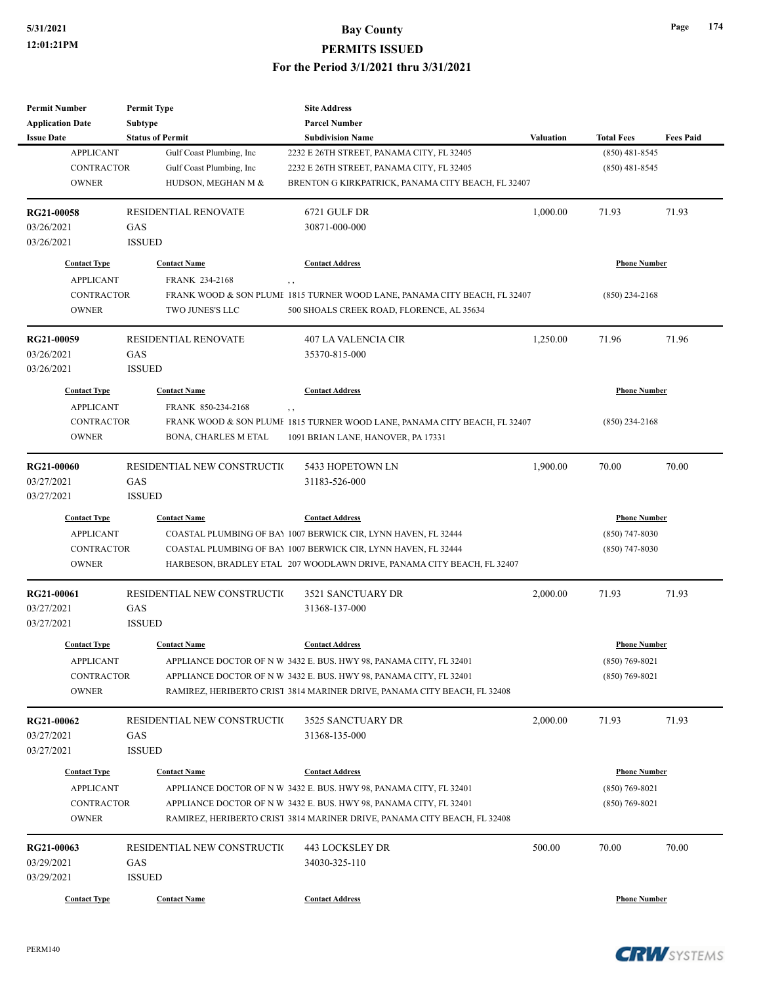| <b>Permit Number</b>              | <b>Permit Type</b>          | <b>Site Address</b>                                                                                                                            |                  |                     |                  |
|-----------------------------------|-----------------------------|------------------------------------------------------------------------------------------------------------------------------------------------|------------------|---------------------|------------------|
| <b>Application Date</b>           | <b>Subtype</b>              | <b>Parcel Number</b>                                                                                                                           |                  |                     |                  |
| <b>Issue Date</b>                 | <b>Status of Permit</b>     | <b>Subdivision Name</b>                                                                                                                        | <b>Valuation</b> | <b>Total Fees</b>   | <b>Fees Paid</b> |
| <b>APPLICANT</b>                  | Gulf Coast Plumbing, Inc    | 2232 E 26TH STREET, PANAMA CITY, FL 32405                                                                                                      |                  | $(850)$ 481-8545    |                  |
| <b>CONTRACTOR</b>                 | Gulf Coast Plumbing, Inc.   | 2232 E 26TH STREET, PANAMA CITY, FL 32405                                                                                                      |                  | $(850)$ 481-8545    |                  |
| <b>OWNER</b>                      | HUDSON, MEGHAN M &          | BRENTON G KIRKPATRICK, PANAMA CITY BEACH, FL 32407                                                                                             |                  |                     |                  |
| RG21-00058                        | RESIDENTIAL RENOVATE        | 6721 GULF DR                                                                                                                                   | 1,000.00         | 71.93               | 71.93            |
| 03/26/2021                        | GAS                         | 30871-000-000                                                                                                                                  |                  |                     |                  |
| 03/26/2021                        | <b>ISSUED</b>               |                                                                                                                                                |                  |                     |                  |
| <b>Contact Type</b>               | <b>Contact Name</b>         | <b>Contact Address</b>                                                                                                                         |                  | <b>Phone Number</b> |                  |
| <b>APPLICANT</b>                  | FRANK 234-2168              | $, \, ,$                                                                                                                                       |                  |                     |                  |
| <b>CONTRACTOR</b>                 |                             | FRANK WOOD & SON PLUME 1815 TURNER WOOD LANE, PANAMA CITY BEACH, FL 32407                                                                      |                  | $(850)$ 234-2168    |                  |
| <b>OWNER</b>                      | TWO JUNES'S LLC             | 500 SHOALS CREEK ROAD, FLORENCE, AL 35634                                                                                                      |                  |                     |                  |
| RG21-00059                        | <b>RESIDENTIAL RENOVATE</b> | <b>407 LA VALENCIA CIR</b>                                                                                                                     | 1,250.00         | 71.96               | 71.96            |
| 03/26/2021                        | GAS                         | 35370-815-000                                                                                                                                  |                  |                     |                  |
| 03/26/2021                        | <b>ISSUED</b>               |                                                                                                                                                |                  |                     |                  |
| <b>Contact Type</b>               | <b>Contact Name</b>         | <b>Contact Address</b>                                                                                                                         |                  | <b>Phone Number</b> |                  |
| <b>APPLICANT</b>                  | FRANK 850-234-2168          |                                                                                                                                                |                  |                     |                  |
| <b>CONTRACTOR</b>                 |                             | $, \, , \,$<br>FRANK WOOD & SON PLUME 1815 TURNER WOOD LANE, PANAMA CITY BEACH, FL 32407                                                       |                  | $(850)$ 234-2168    |                  |
|                                   |                             |                                                                                                                                                |                  |                     |                  |
| <b>OWNER</b>                      | <b>BONA, CHARLES M ETAL</b> | 1091 BRIAN LANE, HANOVER, PA 17331                                                                                                             |                  |                     |                  |
| <b>RG21-00060</b>                 | RESIDENTIAL NEW CONSTRUCTIO | 5433 HOPETOWN LN                                                                                                                               | 1,900.00         | 70.00               | 70.00            |
| 03/27/2021                        | GAS                         | 31183-526-000                                                                                                                                  |                  |                     |                  |
| 03/27/2021                        | <b>ISSUED</b>               |                                                                                                                                                |                  |                     |                  |
| <b>Contact Type</b>               | <b>Contact Name</b>         | <b>Contact Address</b>                                                                                                                         |                  | <b>Phone Number</b> |                  |
| <b>APPLICANT</b>                  |                             | COASTAL PLUMBING OF BAY 1007 BERWICK CIR, LYNN HAVEN, FL 32444                                                                                 |                  | $(850)$ 747-8030    |                  |
| <b>CONTRACTOR</b>                 |                             | COASTAL PLUMBING OF BAY 1007 BERWICK CIR, LYNN HAVEN, FL 32444                                                                                 |                  | $(850)$ 747-8030    |                  |
| <b>OWNER</b>                      |                             | HARBESON, BRADLEY ETAL 207 WOODLAWN DRIVE, PANAMA CITY BEACH, FL 32407                                                                         |                  |                     |                  |
| RG21-00061                        | RESIDENTIAL NEW CONSTRUCTIO | 3521 SANCTUARY DR                                                                                                                              | 2,000.00         | 71.93               | 71.93            |
| 03/27/2021                        | GAS                         | 31368-137-000                                                                                                                                  |                  |                     |                  |
| 03/27/2021                        | <b>ISSUED</b>               |                                                                                                                                                |                  |                     |                  |
| <b>Contact Type</b>               | <b>Contact Name</b>         | <b>Contact Address</b>                                                                                                                         |                  | <b>Phone Number</b> |                  |
|                                   |                             |                                                                                                                                                |                  |                     |                  |
| <b>APPLICANT</b>                  |                             | APPLIANCE DOCTOR OF N W 3432 E. BUS. HWY 98, PANAMA CITY, FL 32401                                                                             |                  | $(850) 769 - 8021$  |                  |
| <b>CONTRACTOR</b><br><b>OWNER</b> |                             | APPLIANCE DOCTOR OF N W 3432 E. BUS. HWY 98, PANAMA CITY, FL 32401<br>RAMIREZ, HERIBERTO CRIST 3814 MARINER DRIVE, PANAMA CITY BEACH, FL 32408 |                  | $(850)$ 769-8021    |                  |
|                                   |                             |                                                                                                                                                |                  |                     |                  |
| RG21-00062                        | RESIDENTIAL NEW CONSTRUCTIO | 3525 SANCTUARY DR                                                                                                                              | 2,000.00         | 71.93               | 71.93            |
| 03/27/2021                        | GAS                         | 31368-135-000                                                                                                                                  |                  |                     |                  |
| 03/27/2021                        | <b>ISSUED</b>               |                                                                                                                                                |                  |                     |                  |
| <b>Contact Type</b>               | <b>Contact Name</b>         | <b>Contact Address</b>                                                                                                                         |                  | <b>Phone Number</b> |                  |
| <b>APPLICANT</b>                  |                             | APPLIANCE DOCTOR OF N W 3432 E. BUS. HWY 98, PANAMA CITY, FL 32401                                                                             |                  | $(850)$ 769-8021    |                  |
| CONTRACTOR                        |                             | APPLIANCE DOCTOR OF N W 3432 E. BUS. HWY 98, PANAMA CITY, FL 32401                                                                             |                  | $(850)$ 769-8021    |                  |
| <b>OWNER</b>                      |                             | RAMIREZ, HERIBERTO CRIST 3814 MARINER DRIVE, PANAMA CITY BEACH, FL 32408                                                                       |                  |                     |                  |
| RG21-00063                        | RESIDENTIAL NEW CONSTRUCTIO | 443 LOCKSLEY DR                                                                                                                                | 500.00           | 70.00               | 70.00            |
| 03/29/2021                        | GAS                         | 34030-325-110                                                                                                                                  |                  |                     |                  |
| 03/29/2021                        | <b>ISSUED</b>               |                                                                                                                                                |                  |                     |                  |
|                                   |                             |                                                                                                                                                |                  |                     |                  |
| <b>Contact Type</b>               | <b>Contact Name</b>         | <b>Contact Address</b>                                                                                                                         |                  | <b>Phone Number</b> |                  |



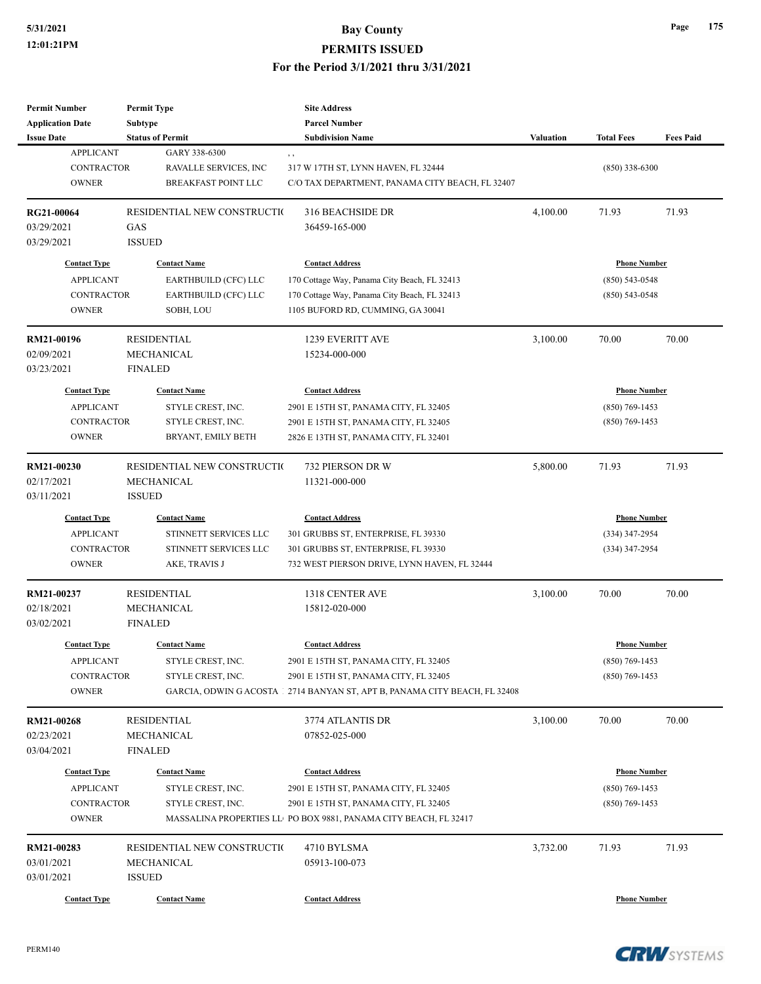| <b>Permit Number</b>    | <b>Permit Type</b>          | <b>Site Address</b>                                                         |                     |                     |                  |
|-------------------------|-----------------------------|-----------------------------------------------------------------------------|---------------------|---------------------|------------------|
| <b>Application Date</b> | <b>Subtype</b>              | <b>Parcel Number</b>                                                        |                     |                     |                  |
| <b>Issue Date</b>       | <b>Status of Permit</b>     | <b>Subdivision Name</b>                                                     | <b>Valuation</b>    | <b>Total Fees</b>   | <b>Fees Paid</b> |
| <b>APPLICANT</b>        | GARY 338-6300               | , ,                                                                         |                     |                     |                  |
| <b>CONTRACTOR</b>       | RAVALLE SERVICES, INC       | 317 W 17TH ST, LYNN HAVEN, FL 32444                                         |                     | $(850)$ 338-6300    |                  |
| <b>OWNER</b>            | <b>BREAKFAST POINT LLC</b>  | C/O TAX DEPARTMENT, PANAMA CITY BEACH, FL 32407                             |                     |                     |                  |
| RG21-00064              | RESIDENTIAL NEW CONSTRUCTIO | 316 BEACHSIDE DR                                                            | 4,100.00            | 71.93               | 71.93            |
| 03/29/2021              | GAS                         | 36459-165-000                                                               |                     |                     |                  |
| 03/29/2021              | <b>ISSUED</b>               |                                                                             |                     |                     |                  |
| <b>Contact Type</b>     | <b>Contact Name</b>         | <b>Contact Address</b>                                                      |                     | <b>Phone Number</b> |                  |
| <b>APPLICANT</b>        | EARTHBUILD (CFC) LLC        | 170 Cottage Way, Panama City Beach, FL 32413                                |                     | $(850) 543 - 0548$  |                  |
| <b>CONTRACTOR</b>       | EARTHBUILD (CFC) LLC        | 170 Cottage Way, Panama City Beach, FL 32413                                |                     | $(850) 543 - 0548$  |                  |
| <b>OWNER</b>            | SOBH, LOU                   | 1105 BUFORD RD, CUMMING, GA 30041                                           |                     |                     |                  |
| RM21-00196              | <b>RESIDENTIAL</b>          | 1239 EVERITT AVE                                                            | 3,100.00            | 70.00               | 70.00            |
| 02/09/2021              | <b>MECHANICAL</b>           | 15234-000-000                                                               |                     |                     |                  |
| 03/23/2021              | <b>FINALED</b>              |                                                                             |                     |                     |                  |
| <b>Contact Type</b>     | <b>Contact Name</b>         | <b>Contact Address</b>                                                      |                     | <b>Phone Number</b> |                  |
| <b>APPLICANT</b>        | STYLE CREST, INC.           | 2901 E 15TH ST, PANAMA CITY, FL 32405                                       |                     | $(850)$ 769-1453    |                  |
| CONTRACTOR              | STYLE CREST, INC.           | 2901 E 15TH ST, PANAMA CITY, FL 32405                                       |                     | $(850)$ 769-1453    |                  |
| <b>OWNER</b>            | BRYANT, EMILY BETH          | 2826 E 13TH ST, PANAMA CITY, FL 32401                                       |                     |                     |                  |
|                         |                             |                                                                             |                     |                     |                  |
| RM21-00230              | RESIDENTIAL NEW CONSTRUCTIO | 732 PIERSON DR W                                                            | 5,800.00            | 71.93               | 71.93            |
| 02/17/2021              | <b>MECHANICAL</b>           | 11321-000-000                                                               |                     |                     |                  |
| 03/11/2021              | <b>ISSUED</b>               |                                                                             |                     |                     |                  |
| <b>Contact Type</b>     | <b>Contact Name</b>         | <b>Contact Address</b>                                                      |                     | <b>Phone Number</b> |                  |
| <b>APPLICANT</b>        | STINNETT SERVICES LLC       | 301 GRUBBS ST, ENTERPRISE, FL 39330                                         |                     | $(334)$ 347-2954    |                  |
| <b>CONTRACTOR</b>       | STINNETT SERVICES LLC       | 301 GRUBBS ST, ENTERPRISE, FL 39330                                         |                     | $(334)$ 347-2954    |                  |
| <b>OWNER</b>            | AKE, TRAVIS J               | 732 WEST PIERSON DRIVE, LYNN HAVEN, FL 32444                                |                     |                     |                  |
| RM21-00237              | <b>RESIDENTIAL</b>          | 1318 CENTER AVE                                                             | 3,100.00            | 70.00               | 70.00            |
| 02/18/2021              | MECHANICAL                  | 15812-020-000                                                               |                     |                     |                  |
| 03/02/2021              | <b>FINALED</b>              |                                                                             |                     |                     |                  |
| <b>Contact Type</b>     | <b>Contact Name</b>         | <b>Contact Address</b>                                                      |                     | <b>Phone Number</b> |                  |
| <b>APPLICANT</b>        | STYLE CREST, INC.           | 2901 E 15TH ST, PANAMA CITY, FL 32405                                       |                     | $(850)$ 769-1453    |                  |
| CONTRACTOR              | STYLE CREST, INC.           | 2901 E 15TH ST, PANAMA CITY, FL 32405                                       |                     | $(850)$ 769-1453    |                  |
| <b>OWNER</b>            |                             | GARCIA, ODWIN G ACOSTA 1 2714 BANYAN ST, APT B, PANAMA CITY BEACH, FL 32408 |                     |                     |                  |
|                         |                             | 3774 ATLANTIS DR                                                            |                     |                     | 70.00            |
| RM21-00268              | <b>RESIDENTIAL</b>          |                                                                             | 3,100.00            | 70.00               |                  |
| 02/23/2021              | MECHANICAL                  | 07852-025-000                                                               |                     |                     |                  |
| 03/04/2021              | <b>FINALED</b>              |                                                                             |                     |                     |                  |
| <b>Contact Type</b>     | <b>Contact Name</b>         | <b>Contact Address</b>                                                      | <b>Phone Number</b> |                     |                  |
| <b>APPLICANT</b>        | STYLE CREST, INC.           | 2901 E 15TH ST, PANAMA CITY, FL 32405                                       | $(850)$ 769-1453    |                     |                  |
| CONTRACTOR              | STYLE CREST, INC.           | 2901 E 15TH ST, PANAMA CITY, FL 32405                                       |                     | $(850)$ 769-1453    |                  |
| <b>OWNER</b>            |                             | MASSALINA PROPERTIES LL PO BOX 9881, PANAMA CITY BEACH, FL 32417            |                     |                     |                  |
| RM21-00283              | RESIDENTIAL NEW CONSTRUCTIO | 4710 BYLSMA                                                                 | 3,732.00            | 71.93               | 71.93            |
| 03/01/2021              | MECHANICAL                  | 05913-100-073                                                               |                     |                     |                  |
| 03/01/2021              | <b>ISSUED</b>               |                                                                             |                     |                     |                  |
| <b>Contact Type</b>     | <b>Contact Name</b>         | <b>Contact Address</b>                                                      |                     | <b>Phone Number</b> |                  |
|                         |                             |                                                                             |                     |                     |                  |

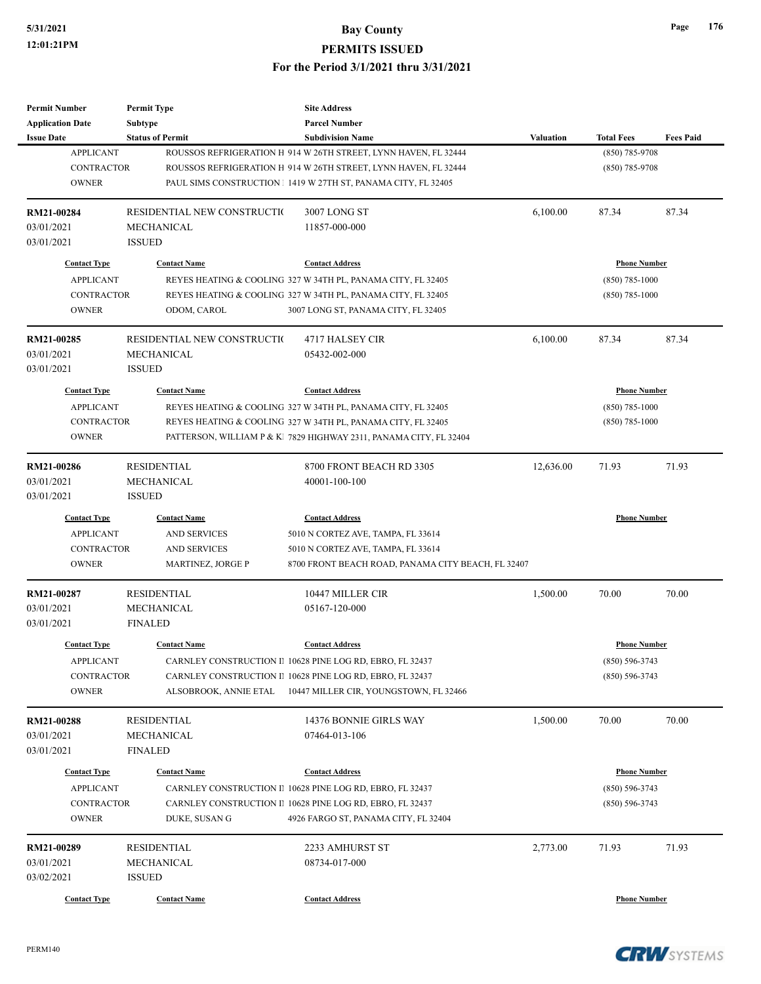| <b>Permit Number</b>                    | <b>Permit Type</b>          | <b>Site Address</b>                                                                        |                     |                                           |                  |
|-----------------------------------------|-----------------------------|--------------------------------------------------------------------------------------------|---------------------|-------------------------------------------|------------------|
| <b>Application Date</b>                 | Subtype                     | <b>Parcel Number</b>                                                                       |                     |                                           |                  |
| <b>Issue Date</b><br><b>APPLICANT</b>   | <b>Status of Permit</b>     | <b>Subdivision Name</b><br>ROUSSOS REFRIGERATION H 914 W 26TH STREET, LYNN HAVEN, FL 32444 | Valuation           | <b>Total Fees</b><br>(850) 785-9708       | <b>Fees Paid</b> |
| <b>CONTRACTOR</b>                       |                             | ROUSSOS REFRIGERATION H 914 W 26TH STREET, LYNN HAVEN, FL 32444                            |                     |                                           |                  |
|                                         |                             |                                                                                            |                     | $(850)$ 785-9708                          |                  |
| <b>OWNER</b>                            |                             | PAUL SIMS CONSTRUCTION 1 1419 W 27TH ST, PANAMA CITY, FL 32405                             |                     |                                           |                  |
| RM21-00284                              | RESIDENTIAL NEW CONSTRUCTIO | 3007 LONG ST                                                                               | 6,100.00            | 87.34                                     | 87.34            |
| 03/01/2021                              | MECHANICAL                  | 11857-000-000                                                                              |                     |                                           |                  |
| 03/01/2021                              | <b>ISSUED</b>               |                                                                                            |                     |                                           |                  |
| <b>Contact Type</b>                     | <b>Contact Name</b>         | <b>Contact Address</b>                                                                     | <b>Phone Number</b> |                                           |                  |
| <b>APPLICANT</b>                        |                             | REYES HEATING & COOLING 327 W 34TH PL, PANAMA CITY, FL 32405                               |                     | $(850)$ 785-1000                          |                  |
| <b>CONTRACTOR</b>                       |                             | REYES HEATING & COOLING 327 W 34TH PL, PANAMA CITY, FL 32405                               |                     | $(850)$ 785-1000                          |                  |
| <b>OWNER</b>                            | ODOM, CAROL                 | 3007 LONG ST, PANAMA CITY, FL 32405                                                        |                     |                                           |                  |
| RM21-00285                              | RESIDENTIAL NEW CONSTRUCTIO | 4717 HALSEY CIR                                                                            | 6,100.00            | 87.34                                     | 87.34            |
| 03/01/2021                              | MECHANICAL                  | 05432-002-000                                                                              |                     |                                           |                  |
| 03/01/2021                              | <b>ISSUED</b>               |                                                                                            |                     |                                           |                  |
| <b>Contact Type</b>                     | <b>Contact Name</b>         | <b>Contact Address</b>                                                                     |                     | <b>Phone Number</b>                       |                  |
| <b>APPLICANT</b>                        |                             | REYES HEATING & COOLING 327 W 34TH PL, PANAMA CITY, FL 32405                               |                     | $(850)$ 785-1000                          |                  |
| <b>CONTRACTOR</b>                       |                             | REYES HEATING & COOLING 327 W 34TH PL, PANAMA CITY, FL 32405                               |                     | $(850)$ 785-1000                          |                  |
|                                         |                             |                                                                                            |                     |                                           |                  |
| <b>OWNER</b>                            |                             | PATTERSON, WILLIAM P & K  7829 HIGHWAY 2311, PANAMA CITY, FL 32404                         |                     |                                           |                  |
| RM21-00286                              | <b>RESIDENTIAL</b>          | 8700 FRONT BEACH RD 3305                                                                   | 12,636.00           | 71.93                                     | 71.93            |
| 03/01/2021                              | <b>MECHANICAL</b>           | 40001-100-100                                                                              |                     |                                           |                  |
| 03/01/2021                              | <b>ISSUED</b>               |                                                                                            |                     |                                           |                  |
| <b>Contact Type</b>                     | <b>Contact Name</b>         | <b>Contact Address</b>                                                                     |                     | <b>Phone Number</b>                       |                  |
| <b>APPLICANT</b>                        | <b>AND SERVICES</b>         | 5010 N CORTEZ AVE, TAMPA, FL 33614                                                         |                     |                                           |                  |
| <b>CONTRACTOR</b>                       | <b>AND SERVICES</b>         | 5010 N CORTEZ AVE, TAMPA, FL 33614                                                         |                     |                                           |                  |
| <b>OWNER</b>                            | MARTINEZ, JORGE P           | 8700 FRONT BEACH ROAD, PANAMA CITY BEACH, FL 32407                                         |                     |                                           |                  |
| RM21-00287                              | <b>RESIDENTIAL</b>          | 10447 MILLER CIR                                                                           | 1,500.00            | 70.00                                     | 70.00            |
| 03/01/2021                              | MECHANICAL                  | 05167-120-000                                                                              |                     |                                           |                  |
| 03/01/2021                              | <b>FINALED</b>              |                                                                                            |                     |                                           |                  |
| <b>Contact Type</b>                     | <b>Contact Name</b>         | <b>Contact Address</b>                                                                     |                     | <b>Phone Number</b>                       |                  |
| APPLICANT                               |                             | CARNLEY CONSTRUCTION II 10628 PINE LOG RD, EBRO, FL 32437                                  |                     | $(850) 596 - 3743$                        |                  |
| <b>CONTRACTOR</b>                       |                             | CARNLEY CONSTRUCTION II 10628 PINE LOG RD, EBRO, FL 32437                                  |                     | $(850) 596 - 3743$                        |                  |
| <b>OWNER</b>                            |                             | ALSOBROOK, ANNIE ETAL 10447 MILLER CIR, YOUNGSTOWN, FL 32466                               |                     |                                           |                  |
| RM21-00288                              | <b>RESIDENTIAL</b>          | 14376 BONNIE GIRLS WAY                                                                     | 1,500.00            | 70.00                                     | 70.00            |
| 03/01/2021                              | MECHANICAL                  | 07464-013-106                                                                              |                     |                                           |                  |
| 03/01/2021                              | <b>FINALED</b>              |                                                                                            |                     |                                           |                  |
|                                         |                             |                                                                                            |                     |                                           |                  |
| <b>Contact Type</b><br><b>APPLICANT</b> | <b>Contact Name</b>         | <b>Contact Address</b><br>CARNLEY CONSTRUCTION II 10628 PINE LOG RD, EBRO, FL 32437        |                     | <b>Phone Number</b><br>$(850) 596 - 3743$ |                  |
|                                         |                             |                                                                                            |                     |                                           |                  |
| <b>CONTRACTOR</b>                       |                             | CARNLEY CONSTRUCTION II 10628 PINE LOG RD, EBRO, FL 32437                                  |                     | $(850) 596 - 3743$                        |                  |
| <b>OWNER</b>                            | DUKE, SUSAN G               | 4926 FARGO ST, PANAMA CITY, FL 32404                                                       |                     |                                           |                  |
| RM21-00289                              | <b>RESIDENTIAL</b>          | 2233 AMHURST ST                                                                            | 2,773.00            | 71.93                                     | 71.93            |
| 03/01/2021                              | MECHANICAL                  | 08734-017-000                                                                              |                     |                                           |                  |
| 03/02/2021                              | <b>ISSUED</b>               |                                                                                            |                     |                                           |                  |
| <b>Contact Type</b>                     | <b>Contact Name</b>         | <b>Contact Address</b>                                                                     |                     | <b>Phone Number</b>                       |                  |
|                                         |                             |                                                                                            |                     |                                           |                  |

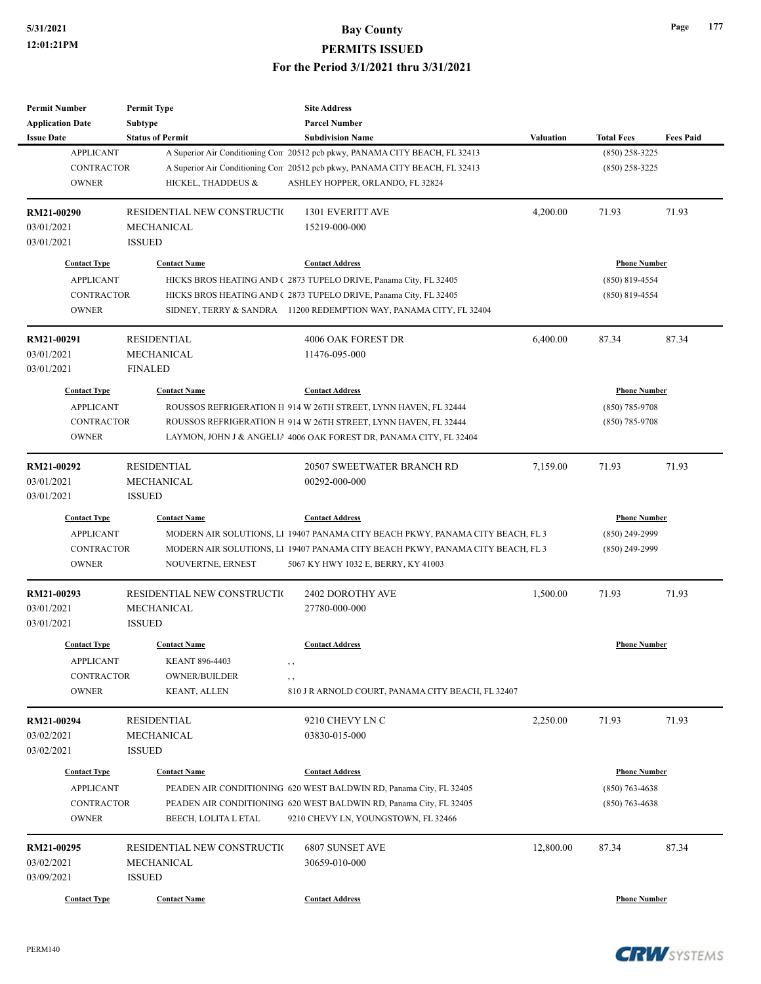| <b>Permit Number</b>     | <b>Permit Type</b>           | <b>Site Address</b>                                                            |                  |                     |                  |
|--------------------------|------------------------------|--------------------------------------------------------------------------------|------------------|---------------------|------------------|
| <b>Application Date</b>  | <b>Subtype</b>               | <b>Parcel Number</b>                                                           |                  |                     |                  |
| <b>Issue Date</b>        | <b>Status of Permit</b>      | <b>Subdivision Name</b>                                                        | <b>Valuation</b> | <b>Total Fees</b>   | <b>Fees Paid</b> |
| <b>APPLICANT</b>         |                              | A Superior Air Conditioning Con 20512 pcb pkwy, PANAMA CITY BEACH, FL 32413    |                  | $(850)$ 258-3225    |                  |
| <b>CONTRACTOR</b>        |                              | A Superior Air Conditioning Cor 20512 pcb pkwy, PANAMA CITY BEACH, FL 32413    |                  | $(850)$ 258-3225    |                  |
| <b>OWNER</b>             | HICKEL, THADDEUS &           | ASHLEY HOPPER, ORLANDO, FL 32824                                               |                  |                     |                  |
|                          |                              |                                                                                |                  |                     |                  |
| RM21-00290               | RESIDENTIAL NEW CONSTRUCTIO  | 1301 EVERITT AVE                                                               | 4,200.00         | 71.93               | 71.93            |
| 03/01/2021               | <b>MECHANICAL</b>            | 15219-000-000                                                                  |                  |                     |                  |
| 03/01/2021               | <b>ISSUED</b>                |                                                                                |                  |                     |                  |
| <b>Contact Type</b>      | <b>Contact Name</b>          | <b>Contact Address</b>                                                         |                  | <b>Phone Number</b> |                  |
| <b>APPLICANT</b>         |                              | HICKS BROS HEATING AND (2873 TUPELO DRIVE, Panama City, FL 32405               |                  | $(850)$ 819-4554    |                  |
| CONTRACTOR               |                              | HICKS BROS HEATING AND (2873 TUPELO DRIVE, Panama City, FL 32405)              |                  | $(850)$ 819-4554    |                  |
| <b>OWNER</b>             |                              | SIDNEY, TERRY & SANDRA 11200 REDEMPTION WAY, PANAMA CITY, FL 32404             |                  |                     |                  |
|                          |                              |                                                                                | 6,400.00         |                     |                  |
| RM21-00291               | <b>RESIDENTIAL</b>           | 4006 OAK FOREST DR                                                             |                  | 87.34               | 87.34            |
| 03/01/2021<br>03/01/2021 | MECHANICAL<br><b>FINALED</b> | 11476-095-000                                                                  |                  |                     |                  |
|                          |                              |                                                                                |                  |                     |                  |
| <b>Contact Type</b>      | <b>Contact Name</b>          | <b>Contact Address</b>                                                         |                  | <b>Phone Number</b> |                  |
| <b>APPLICANT</b>         |                              | ROUSSOS REFRIGERATION H 914 W 26TH STREET, LYNN HAVEN, FL 32444                |                  | $(850)$ 785-9708    |                  |
| <b>CONTRACTOR</b>        |                              | ROUSSOS REFRIGERATION H 914 W 26TH STREET, LYNN HAVEN, FL 32444                |                  | $(850)$ 785-9708    |                  |
| <b>OWNER</b>             |                              | LAYMON, JOHN J & ANGELIA 4006 OAK FOREST DR, PANAMA CITY, FL 32404             |                  |                     |                  |
| RM21-00292               | <b>RESIDENTIAL</b>           | 20507 SWEETWATER BRANCH RD                                                     | 7,159.00         | 71.93               | 71.93            |
| 03/01/2021               | <b>MECHANICAL</b>            | 00292-000-000                                                                  |                  |                     |                  |
| 03/01/2021               | <b>ISSUED</b>                |                                                                                |                  |                     |                  |
| <b>Contact Type</b>      | <b>Contact Name</b>          | <b>Contact Address</b>                                                         |                  | <b>Phone Number</b> |                  |
| <b>APPLICANT</b>         |                              | MODERN AIR SOLUTIONS, LI 19407 PANAMA CITY BEACH PKWY, PANAMA CITY BEACH, FL 3 |                  | (850) 249-2999      |                  |
| <b>CONTRACTOR</b>        |                              | MODERN AIR SOLUTIONS, LI 19407 PANAMA CITY BEACH PKWY, PANAMA CITY BEACH, FL 3 |                  | $(850)$ 249-2999    |                  |
| <b>OWNER</b>             | NOUVERTNE, ERNEST            | 5067 KY HWY 1032 E, BERRY, KY 41003                                            |                  |                     |                  |
|                          |                              |                                                                                |                  |                     |                  |
| RM21-00293               | RESIDENTIAL NEW CONSTRUCTIO  | 2402 DOROTHY AVE                                                               | 1,500.00         | 71.93               | 71.93            |
| 03/01/2021               | MECHANICAL                   | 27780-000-000                                                                  |                  |                     |                  |
| 03/01/2021               | <b>ISSUED</b>                |                                                                                |                  |                     |                  |
| <b>Contact Type</b>      | <b>Contact Name</b>          | <b>Contact Address</b>                                                         |                  | <b>Phone Number</b> |                  |
| <b>APPLICANT</b>         | <b>KEANT 896-4403</b>        | $, \,$                                                                         |                  |                     |                  |
| CONTRACTOR               | <b>OWNER/BUILDER</b>         | , ,                                                                            |                  |                     |                  |
| <b>OWNER</b>             | KEANT, ALLEN                 | 810 J R ARNOLD COURT, PANAMA CITY BEACH, FL 32407                              |                  |                     |                  |
| RM21-00294               | <b>RESIDENTIAL</b>           | 9210 CHEVY LN C                                                                | 2,250.00         | 71.93               | 71.93            |
| 03/02/2021               | MECHANICAL                   | 03830-015-000                                                                  |                  |                     |                  |
| 03/02/2021               | <b>ISSUED</b>                |                                                                                |                  |                     |                  |
|                          |                              |                                                                                |                  |                     |                  |
| <b>Contact Type</b>      | <b>Contact Name</b>          | <b>Contact Address</b>                                                         |                  | <b>Phone Number</b> |                  |
| <b>APPLICANT</b>         |                              | PEADEN AIR CONDITIONING 620 WEST BALDWIN RD, Panama City, FL 32405             |                  | $(850)$ 763-4638    |                  |
| CONTRACTOR               |                              | PEADEN AIR CONDITIONING 620 WEST BALDWIN RD, Panama City, FL 32405             |                  | $(850)$ 763-4638    |                  |
| <b>OWNER</b>             | BEECH, LOLITA L ETAL         | 9210 CHEVY LN, YOUNGSTOWN, FL 32466                                            |                  |                     |                  |
| RM21-00295               | RESIDENTIAL NEW CONSTRUCTION | 6807 SUNSET AVE                                                                | 12,800.00        | 87.34               | 87.34            |
| 03/02/2021               | MECHANICAL                   | 30659-010-000                                                                  |                  |                     |                  |
| 03/09/2021               | <b>ISSUED</b>                |                                                                                |                  |                     |                  |
|                          |                              |                                                                                |                  |                     |                  |
| <b>Contact Type</b>      | <b>Contact Name</b>          | <b>Contact Address</b>                                                         |                  | <b>Phone Number</b> |                  |

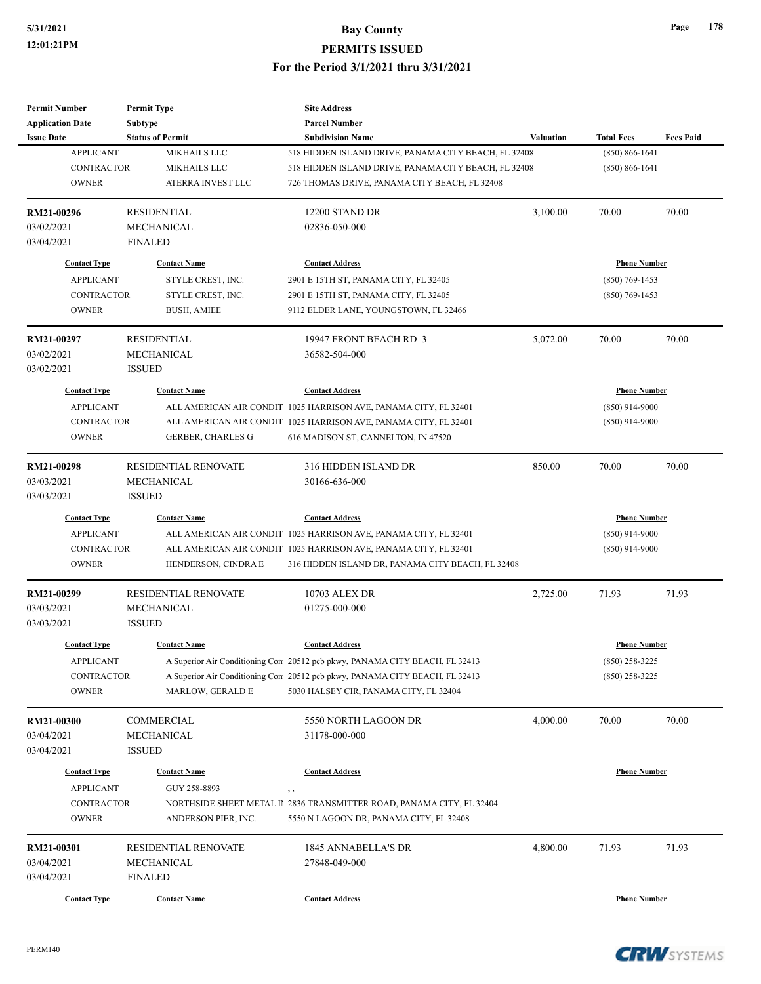| <b>Permit Number</b>    | <b>Permit Type</b>          | <b>Site Address</b>                                                         |                    |                     |                  |
|-------------------------|-----------------------------|-----------------------------------------------------------------------------|--------------------|---------------------|------------------|
| <b>Application Date</b> | <b>Subtype</b>              | <b>Parcel Number</b>                                                        |                    |                     |                  |
| <b>Issue Date</b>       | <b>Status of Permit</b>     | <b>Subdivision Name</b>                                                     | <b>Valuation</b>   | <b>Total Fees</b>   | <b>Fees Paid</b> |
| <b>APPLICANT</b>        | MIKHAILS LLC                | 518 HIDDEN ISLAND DRIVE, PANAMA CITY BEACH, FL 32408                        |                    | $(850) 866 - 1641$  |                  |
| <b>CONTRACTOR</b>       | <b>MIKHAILS LLC</b>         | 518 HIDDEN ISLAND DRIVE, PANAMA CITY BEACH, FL 32408                        | $(850) 866 - 1641$ |                     |                  |
| <b>OWNER</b>            | ATERRA INVEST LLC           | 726 THOMAS DRIVE, PANAMA CITY BEACH, FL 32408                               |                    |                     |                  |
| RM21-00296              | <b>RESIDENTIAL</b>          | 12200 STAND DR                                                              | 3,100.00           | 70.00               | 70.00            |
| 03/02/2021              | <b>MECHANICAL</b>           | 02836-050-000                                                               |                    |                     |                  |
| 03/04/2021              | <b>FINALED</b>              |                                                                             |                    |                     |                  |
| <b>Contact Type</b>     | <b>Contact Name</b>         | <b>Contact Address</b>                                                      |                    | <b>Phone Number</b> |                  |
| <b>APPLICANT</b>        | STYLE CREST, INC.           | 2901 E 15TH ST, PANAMA CITY, FL 32405                                       |                    | $(850)$ 769-1453    |                  |
| <b>CONTRACTOR</b>       | STYLE CREST, INC.           | 2901 E 15TH ST, PANAMA CITY, FL 32405                                       |                    | $(850)$ 769-1453    |                  |
| <b>OWNER</b>            | <b>BUSH, AMIEE</b>          | 9112 ELDER LANE, YOUNGSTOWN, FL 32466                                       |                    |                     |                  |
| RM21-00297              | <b>RESIDENTIAL</b>          | 19947 FRONT BEACH RD 3                                                      | 5,072.00           | 70.00               | 70.00            |
| 03/02/2021              | <b>MECHANICAL</b>           | 36582-504-000                                                               |                    |                     |                  |
| 03/02/2021              | <b>ISSUED</b>               |                                                                             |                    |                     |                  |
| <b>Contact Type</b>     | <b>Contact Name</b>         | <b>Contact Address</b>                                                      |                    | <b>Phone Number</b> |                  |
| <b>APPLICANT</b>        |                             | ALL AMERICAN AIR CONDIT 1025 HARRISON AVE, PANAMA CITY, FL 32401            |                    | $(850)$ 914-9000    |                  |
| <b>CONTRACTOR</b>       |                             | ALL AMERICAN AIR CONDIT 1025 HARRISON AVE, PANAMA CITY, FL 32401            |                    | $(850)$ 914-9000    |                  |
| <b>OWNER</b>            |                             |                                                                             |                    |                     |                  |
|                         | GERBER, CHARLES G           | 616 MADISON ST, CANNELTON, IN 47520                                         |                    |                     |                  |
| RM21-00298              | RESIDENTIAL RENOVATE        | 316 HIDDEN ISLAND DR                                                        | 850.00             | 70.00               | 70.00            |
| 03/03/2021              | <b>MECHANICAL</b>           | 30166-636-000                                                               |                    |                     |                  |
| 03/03/2021              | <b>ISSUED</b>               |                                                                             |                    |                     |                  |
| <b>Contact Type</b>     | <b>Contact Name</b>         | <b>Contact Address</b>                                                      |                    | <b>Phone Number</b> |                  |
| <b>APPLICANT</b>        |                             | ALL AMERICAN AIR CONDIT 1025 HARRISON AVE, PANAMA CITY, FL 32401            |                    | $(850)$ 914-9000    |                  |
| <b>CONTRACTOR</b>       |                             | ALL AMERICAN AIR CONDIT 1025 HARRISON AVE, PANAMA CITY, FL 32401            |                    | $(850)$ 914-9000    |                  |
| <b>OWNER</b>            | HENDERSON, CINDRA E         | 316 HIDDEN ISLAND DR, PANAMA CITY BEACH, FL 32408                           |                    |                     |                  |
| RM21-00299              | <b>RESIDENTIAL RENOVATE</b> | 10703 ALEX DR                                                               | 2,725.00           | 71.93               | 71.93            |
| 03/03/2021              | MECHANICAL                  | 01275-000-000                                                               |                    |                     |                  |
| 03/03/2021              | <b>ISSUED</b>               |                                                                             |                    |                     |                  |
| <b>Contact Type</b>     | <b>Contact Name</b>         | <b>Contact Address</b>                                                      |                    | <b>Phone Number</b> |                  |
| <b>APPLICANT</b>        |                             | A Superior Air Conditioning Cor 20512 pcb pkwy, PANAMA CITY BEACH, FL 32413 |                    | (850) 258-3225      |                  |
| CONTRACTOR              |                             | A Superior Air Conditioning Cor 20512 pcb pkwy, PANAMA CITY BEACH, FL 32413 |                    | $(850)$ 258-3225    |                  |
| <b>OWNER</b>            | MARLOW, GERALD E            | 5030 HALSEY CIR, PANAMA CITY, FL 32404                                      |                    |                     |                  |
| RM21-00300              | COMMERCIAL                  | 5550 NORTH LAGOON DR                                                        | 4,000.00           | 70.00               | 70.00            |
| 03/04/2021              | MECHANICAL                  | 31178-000-000                                                               |                    |                     |                  |
| 03/04/2021              | <b>ISSUED</b>               |                                                                             |                    |                     |                  |
|                         |                             |                                                                             |                    |                     |                  |
| <b>Contact Type</b>     | <b>Contact Name</b>         | <b>Contact Address</b>                                                      |                    | <b>Phone Number</b> |                  |
| <b>APPLICANT</b>        | GUY 258-8893                | , ,                                                                         |                    |                     |                  |
| CONTRACTOR              |                             | NORTHSIDE SHEET METAL II 2836 TRANSMITTER ROAD, PANAMA CITY, FL 32404       |                    |                     |                  |
| <b>OWNER</b>            | ANDERSON PIER, INC.         | 5550 N LAGOON DR, PANAMA CITY, FL 32408                                     |                    |                     |                  |
| RM21-00301              | RESIDENTIAL RENOVATE        | 1845 ANNABELLA'S DR                                                         | 4,800.00           | 71.93               | 71.93            |
| 03/04/2021              | MECHANICAL                  | 27848-049-000                                                               |                    |                     |                  |
| 03/04/2021              | <b>FINALED</b>              |                                                                             |                    |                     |                  |
| <b>Contact Type</b>     | <b>Contact Name</b>         | <b>Contact Address</b>                                                      |                    | <b>Phone Number</b> |                  |
|                         |                             |                                                                             |                    |                     |                  |

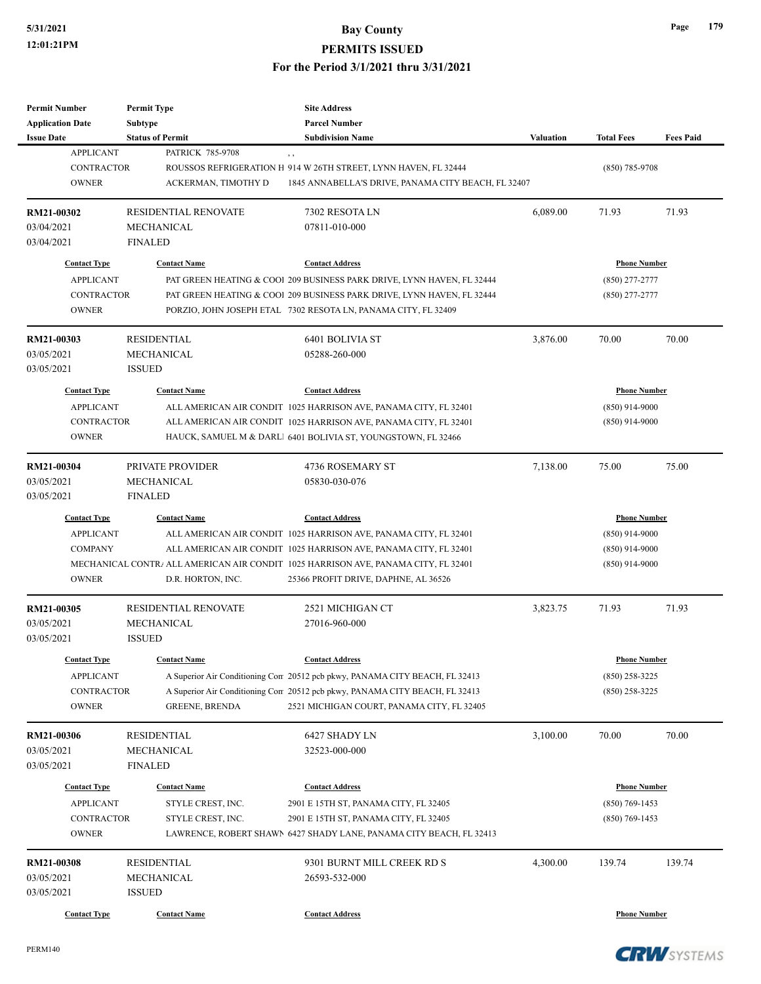# **5/31/2021 Bay County PERMITS ISSUED**

#### **For the Period 3/1/2021 thru 3/31/2021**

| <b>Permit Number</b>     | <b>Permit Type</b>          | <b>Site Address</b>                                                                |                  |                     |                  |  |
|--------------------------|-----------------------------|------------------------------------------------------------------------------------|------------------|---------------------|------------------|--|
| <b>Application Date</b>  | Subtype                     | <b>Parcel Number</b>                                                               |                  |                     |                  |  |
| <b>Issue Date</b>        | <b>Status of Permit</b>     | <b>Subdivision Name</b>                                                            | <b>Valuation</b> | <b>Total Fees</b>   | <b>Fees Paid</b> |  |
| <b>APPLICANT</b>         | <b>PATRICK 785-9708</b>     | , ,                                                                                |                  |                     |                  |  |
| <b>CONTRACTOR</b>        |                             | ROUSSOS REFRIGERATION H 914 W 26TH STREET, LYNN HAVEN, FL 32444                    |                  | $(850)$ 785-9708    |                  |  |
| <b>OWNER</b>             | ACKERMAN, TIMOTHY D         | 1845 ANNABELLA'S DRIVE, PANAMA CITY BEACH, FL 32407                                |                  |                     |                  |  |
| RM21-00302               | <b>RESIDENTIAL RENOVATE</b> | 7302 RESOTA LN                                                                     | 6,089.00         | 71.93               | 71.93            |  |
| 03/04/2021               | MECHANICAL                  | 07811-010-000                                                                      |                  |                     |                  |  |
| 03/04/2021               | <b>FINALED</b>              |                                                                                    |                  |                     |                  |  |
| <b>Contact Type</b>      | <b>Contact Name</b>         | <b>Contact Address</b>                                                             |                  | <b>Phone Number</b> |                  |  |
| <b>APPLICANT</b>         |                             | PAT GREEN HEATING & COOl 209 BUSINESS PARK DRIVE, LYNN HAVEN, FL 32444             |                  | $(850)$ 277-2777    |                  |  |
| <b>CONTRACTOR</b>        |                             | PAT GREEN HEATING & COOl 209 BUSINESS PARK DRIVE, LYNN HAVEN, FL 32444             |                  | $(850)$ 277-2777    |                  |  |
| <b>OWNER</b>             |                             | PORZIO, JOHN JOSEPH ETAL 7302 RESOTA LN, PANAMA CITY, FL 32409                     |                  |                     |                  |  |
| RM21-00303               | <b>RESIDENTIAL</b>          | 6401 BOLIVIA ST                                                                    | 3,876.00         | 70.00               | 70.00            |  |
| 03/05/2021               | MECHANICAL                  | 05288-260-000                                                                      |                  |                     |                  |  |
| 03/05/2021               | <b>ISSUED</b>               |                                                                                    |                  |                     |                  |  |
| <b>Contact Type</b>      | <b>Contact Name</b>         | <b>Contact Address</b>                                                             |                  | <b>Phone Number</b> |                  |  |
| <b>APPLICANT</b>         |                             | ALL AMERICAN AIR CONDIT 1025 HARRISON AVE, PANAMA CITY, FL 32401                   |                  | $(850)$ 914-9000    |                  |  |
| <b>CONTRACTOR</b>        |                             | ALL AMERICAN AIR CONDIT 1025 HARRISON AVE, PANAMA CITY, FL 32401                   |                  | $(850)$ 914-9000    |                  |  |
| <b>OWNER</b>             |                             | HAUCK, SAMUEL M & DARLI 6401 BOLIVIA ST, YOUNGSTOWN, FL 32466                      |                  |                     |                  |  |
|                          |                             |                                                                                    |                  |                     |                  |  |
| RM21-00304               | PRIVATE PROVIDER            | 4736 ROSEMARY ST                                                                   | 7,138.00         | 75.00               | 75.00            |  |
| 03/05/2021               | MECHANICAL                  | 05830-030-076                                                                      |                  |                     |                  |  |
| 03/05/2021               | <b>FINALED</b>              |                                                                                    |                  |                     |                  |  |
| <b>Contact Type</b>      | <b>Contact Name</b>         | <b>Contact Address</b>                                                             |                  | <b>Phone Number</b> |                  |  |
| <b>APPLICANT</b>         |                             | ALL AMERICAN AIR CONDIT 1025 HARRISON AVE, PANAMA CITY, FL 32401                   |                  | $(850)$ 914-9000    |                  |  |
| <b>COMPANY</b>           |                             | ALL AMERICAN AIR CONDIT 1025 HARRISON AVE, PANAMA CITY, FL 32401                   |                  | (850) 914-9000      |                  |  |
|                          |                             | MECHANICAL CONTRA ALL AMERICAN AIR CONDIT 1025 HARRISON AVE, PANAMA CITY, FL 32401 |                  | $(850)$ 914-9000    |                  |  |
| <b>OWNER</b>             | D.R. HORTON, INC.           | 25366 PROFIT DRIVE, DAPHNE, AL 36526                                               |                  |                     |                  |  |
| RM21-00305               | RESIDENTIAL RENOVATE        | 2521 MICHIGAN CT                                                                   | 3,823.75         | 71.93               | 71.93            |  |
| 03/05/2021               | MECHANICAL                  | 27016-960-000                                                                      |                  |                     |                  |  |
| 03/05/2021               | <b>ISSUED</b>               |                                                                                    |                  |                     |                  |  |
| <b>Contact Type</b>      | <b>Contact Name</b>         | <b>Contact Address</b>                                                             |                  | <b>Phone Number</b> |                  |  |
| <b>APPLICANT</b>         |                             | A Superior Air Conditioning Cor 20512 pcb pkwy, PANAMA CITY BEACH, FL 32413        |                  | $(850)$ 258-3225    |                  |  |
| <b>CONTRACTOR</b>        |                             | A Superior Air Conditioning Cor 20512 pcb pkwy, PANAMA CITY BEACH, FL 32413        |                  | $(850)$ 258-3225    |                  |  |
| <b>OWNER</b>             | <b>GREENE, BRENDA</b>       | 2521 MICHIGAN COURT, PANAMA CITY, FL 32405                                         |                  |                     |                  |  |
| RM21-00306               | <b>RESIDENTIAL</b>          | 6427 SHADY LN                                                                      | 3,100.00         | 70.00               | 70.00            |  |
| 03/05/2021               | <b>MECHANICAL</b>           | 32523-000-000                                                                      |                  |                     |                  |  |
| 03/05/2021               | <b>FINALED</b>              |                                                                                    |                  |                     |                  |  |
| <b>Contact Type</b>      | <b>Contact Name</b>         | <b>Contact Address</b>                                                             |                  | <b>Phone Number</b> |                  |  |
| <b>APPLICANT</b>         | STYLE CREST, INC.           | 2901 E 15TH ST, PANAMA CITY, FL 32405                                              |                  | $(850)$ 769-1453    |                  |  |
| <b>CONTRACTOR</b>        | STYLE CREST, INC.           | 2901 E 15TH ST, PANAMA CITY, FL 32405                                              |                  | $(850)$ 769-1453    |                  |  |
| <b>OWNER</b>             |                             | LAWRENCE, ROBERT SHAWN 6427 SHADY LANE, PANAMA CITY BEACH, FL 32413                |                  |                     |                  |  |
|                          |                             |                                                                                    |                  |                     |                  |  |
| RM21-00308               | <b>RESIDENTIAL</b>          | 9301 BURNT MILL CREEK RD S                                                         | 4,300.00         | 139.74              | 139.74           |  |
| 03/05/2021<br>03/05/2021 | MECHANICAL<br><b>ISSUED</b> | 26593-532-000                                                                      |                  |                     |                  |  |
|                          |                             |                                                                                    |                  |                     |                  |  |
| <b>Contact Type</b>      | <b>Contact Name</b>         | <b>Contact Address</b>                                                             |                  | <b>Phone Number</b> |                  |  |



**Page 179**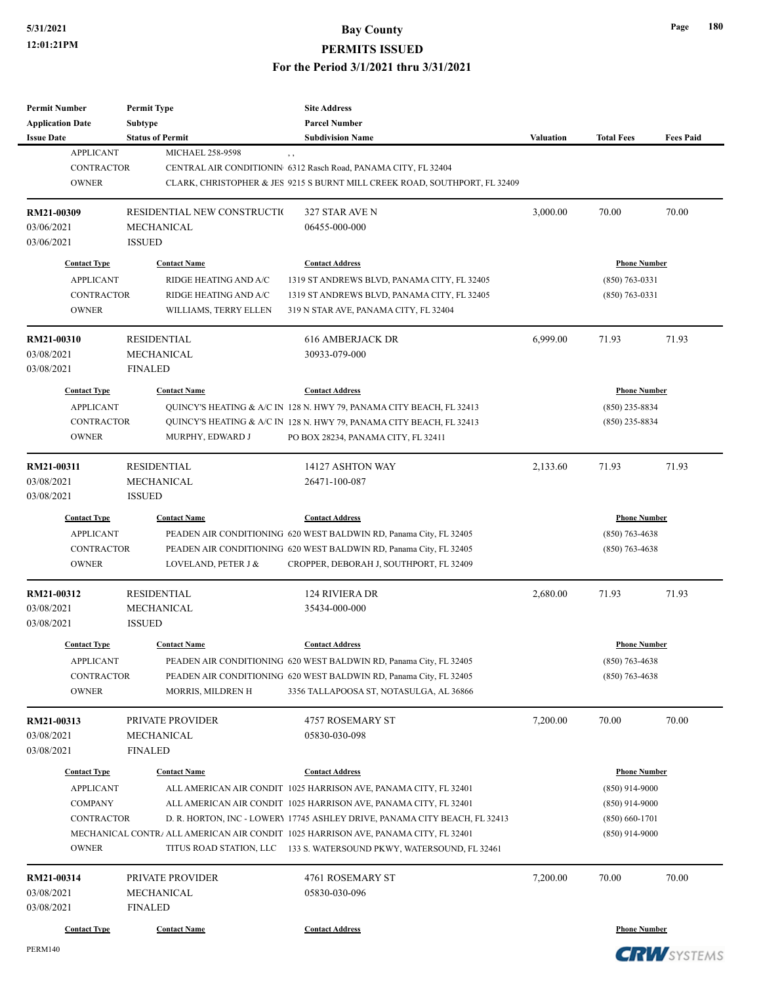### **5/31/2021 Bay County PERMITS ISSUED**

#### **For the Period 3/1/2021 thru 3/31/2021**

| Permit Number           | <b>Permit Type</b>          | <b>Site Address</b>                                                                |                     |                     |                  |
|-------------------------|-----------------------------|------------------------------------------------------------------------------------|---------------------|---------------------|------------------|
| <b>Application Date</b> | <b>Subtype</b>              | <b>Parcel Number</b>                                                               |                     |                     |                  |
| <b>Issue Date</b>       | <b>Status of Permit</b>     | <b>Subdivision Name</b>                                                            | Valuation           | <b>Total Fees</b>   | <b>Fees Paid</b> |
| <b>APPLICANT</b>        | MICHAEL 258-9598            | $, \, ,$                                                                           |                     |                     |                  |
| <b>CONTRACTOR</b>       |                             | CENTRAL AIR CONDITIONIN 6312 Rasch Road, PANAMA CITY, FL 32404                     |                     |                     |                  |
| <b>OWNER</b>            |                             | CLARK, CHRISTOPHER & JES 9215 S BURNT MILL CREEK ROAD, SOUTHPORT, FL 32409         |                     |                     |                  |
| RM21-00309              | RESIDENTIAL NEW CONSTRUCTIO | 327 STAR AVE N                                                                     | 3,000.00            | 70.00               | 70.00            |
| 03/06/2021              | MECHANICAL                  | 06455-000-000                                                                      |                     |                     |                  |
| 03/06/2021              | <b>ISSUED</b>               |                                                                                    |                     |                     |                  |
| <b>Contact Type</b>     | <b>Contact Name</b>         | <b>Contact Address</b>                                                             |                     | <b>Phone Number</b> |                  |
| <b>APPLICANT</b>        | RIDGE HEATING AND A/C       | 1319 ST ANDREWS BLVD, PANAMA CITY, FL 32405                                        |                     | $(850) 763 - 0331$  |                  |
| <b>CONTRACTOR</b>       | RIDGE HEATING AND A/C       | 1319 ST ANDREWS BLVD, PANAMA CITY, FL 32405                                        |                     | $(850) 763 - 0331$  |                  |
| <b>OWNER</b>            | WILLIAMS, TERRY ELLEN       | 319 N STAR AVE, PANAMA CITY, FL 32404                                              |                     |                     |                  |
| RM21-00310              | <b>RESIDENTIAL</b>          | <b>616 AMBERJACK DR</b>                                                            | 6,999.00            | 71.93               | 71.93            |
| 03/08/2021              | MECHANICAL                  | 30933-079-000                                                                      |                     |                     |                  |
| 03/08/2021              | <b>FINALED</b>              |                                                                                    |                     |                     |                  |
| <b>Contact Type</b>     | <b>Contact Name</b>         | <b>Contact Address</b>                                                             |                     | <b>Phone Number</b> |                  |
| <b>APPLICANT</b>        |                             | QUINCY'S HEATING & A/C IN 128 N. HWY 79, PANAMA CITY BEACH, FL 32413               |                     | $(850)$ 235-8834    |                  |
| <b>CONTRACTOR</b>       |                             | QUINCY'S HEATING & A/C IN 128 N. HWY 79, PANAMA CITY BEACH, FL 32413               |                     | $(850)$ 235-8834    |                  |
| <b>OWNER</b>            | MURPHY, EDWARD J            | PO BOX 28234, PANAMA CITY, FL 32411                                                |                     |                     |                  |
|                         |                             |                                                                                    |                     |                     |                  |
| RM21-00311              | <b>RESIDENTIAL</b>          | 14127 ASHTON WAY                                                                   | 2,133.60            | 71.93               | 71.93            |
| 03/08/2021              | MECHANICAL                  | 26471-100-087                                                                      |                     |                     |                  |
| 03/08/2021              | <b>ISSUED</b>               |                                                                                    |                     |                     |                  |
| <b>Contact Type</b>     | <b>Contact Name</b>         | <b>Contact Address</b>                                                             | <b>Phone Number</b> |                     |                  |
| <b>APPLICANT</b>        |                             | PEADEN AIR CONDITIONING 620 WEST BALDWIN RD, Panama City, FL 32405                 | $(850)$ 763-4638    |                     |                  |
| <b>CONTRACTOR</b>       |                             | PEADEN AIR CONDITIONING 620 WEST BALDWIN RD, Panama City, FL 32405                 |                     | $(850)$ 763-4638    |                  |
| <b>OWNER</b>            | LOVELAND, PETER J &         | CROPPER, DEBORAH J, SOUTHPORT, FL 32409                                            |                     |                     |                  |
| RM21-00312              | <b>RESIDENTIAL</b>          | <b>124 RIVIERA DR</b>                                                              | 2,680.00            | 71.93               | 71.93            |
| 03/08/2021              | MECHANICAL                  | 35434-000-000                                                                      |                     |                     |                  |
| 03/08/2021              | <b>ISSUED</b>               |                                                                                    |                     |                     |                  |
| <b>Contact Type</b>     | <b>Contact Name</b>         | <b>Contact Address</b>                                                             |                     | <b>Phone Number</b> |                  |
| APPLICANT               |                             | PEADEN AIR CONDITIONING 620 WEST BALDWIN RD, Panama City, FL 32405                 |                     | $(850) 763 - 4638$  |                  |
| CONTRACTOR              |                             | PEADEN AIR CONDITIONING 620 WEST BALDWIN RD, Panama City, FL 32405                 |                     | $(850)$ 763-4638    |                  |
| <b>OWNER</b>            | MORRIS, MILDREN H           | 3356 TALLAPOOSA ST, NOTASULGA, AL 36866                                            |                     |                     |                  |
| RM21-00313              | PRIVATE PROVIDER            | 4757 ROSEMARY ST                                                                   | 7,200.00            | 70.00               | 70.00            |
| 03/08/2021              | MECHANICAL                  | 05830-030-098                                                                      |                     |                     |                  |
| 03/08/2021              | <b>FINALED</b>              |                                                                                    |                     |                     |                  |
| <b>Contact Type</b>     | <b>Contact Name</b>         | <b>Contact Address</b>                                                             |                     | <b>Phone Number</b> |                  |
| <b>APPLICANT</b>        |                             | ALL AMERICAN AIR CONDIT 1025 HARRISON AVE, PANAMA CITY, FL 32401                   |                     | $(850)$ 914-9000    |                  |
| <b>COMPANY</b>          |                             | ALL AMERICAN AIR CONDIT 1025 HARRISON AVE, PANAMA CITY, FL 32401                   |                     | $(850)$ 914-9000    |                  |
| <b>CONTRACTOR</b>       |                             | D. R. HORTON, INC - LOWERY 17745 ASHLEY DRIVE, PANAMA CITY BEACH, FL 32413         | $(850) 660 - 1701$  |                     |                  |
|                         |                             | MECHANICAL CONTRA ALL AMERICAN AIR CONDIT 1025 HARRISON AVE, PANAMA CITY, FL 32401 |                     | $(850)$ 914-9000    |                  |
| <b>OWNER</b>            |                             | TITUS ROAD STATION, LLC 133 S. WATERSOUND PKWY, WATERSOUND, FL 32461               |                     |                     |                  |
| RM21-00314              | PRIVATE PROVIDER            | 4761 ROSEMARY ST                                                                   | 7,200.00            | 70.00               | 70.00            |
| 03/08/2021              | MECHANICAL                  | 05830-030-096                                                                      |                     |                     |                  |
| 03/08/2021              | <b>FINALED</b>              |                                                                                    |                     |                     |                  |
| <b>Contact Type</b>     | <b>Contact Name</b>         | <b>Contact Address</b>                                                             |                     | <b>Phone Number</b> |                  |
|                         |                             |                                                                                    |                     |                     |                  |

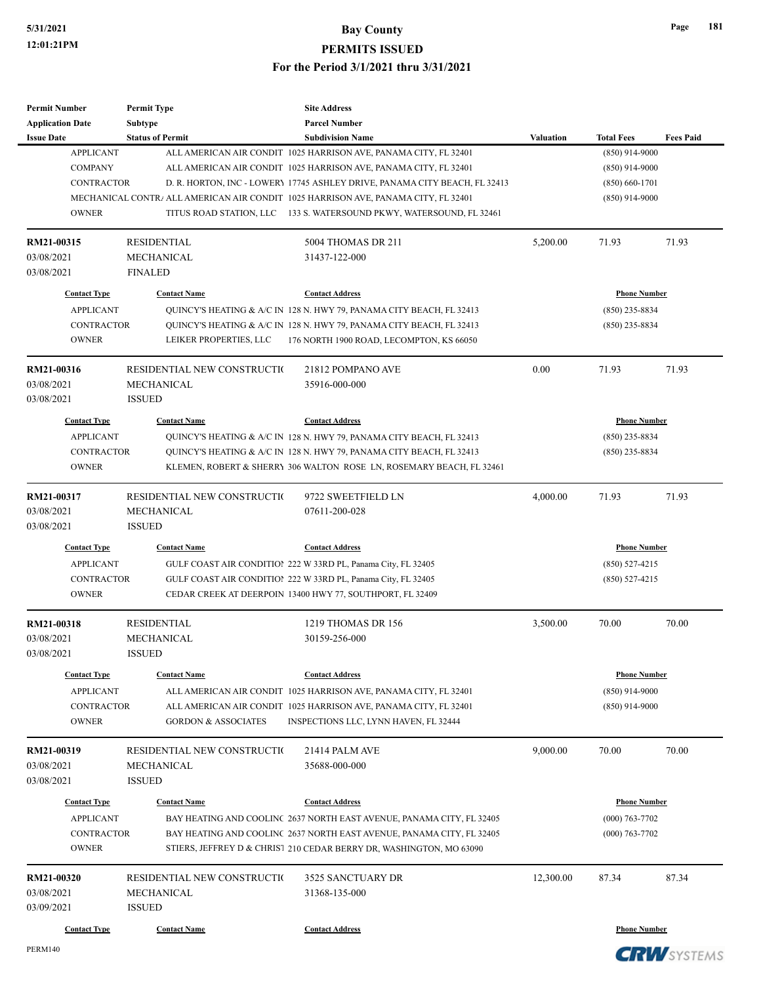| <b>Permit Number</b><br><b>Application Date</b> | <b>Permit Type</b><br>Subtype  | <b>Site Address</b><br><b>Parcel Number</b>                                        |                  |                     |                  |
|-------------------------------------------------|--------------------------------|------------------------------------------------------------------------------------|------------------|---------------------|------------------|
| <b>Issue Date</b>                               | <b>Status of Permit</b>        | <b>Subdivision Name</b>                                                            | <b>Valuation</b> | <b>Total Fees</b>   | <b>Fees Paid</b> |
| <b>APPLICANT</b>                                |                                | ALL AMERICAN AIR CONDIT 1025 HARRISON AVE, PANAMA CITY, FL 32401                   |                  | $(850)$ 914-9000    |                  |
| <b>COMPANY</b>                                  |                                | ALL AMERICAN AIR CONDIT 1025 HARRISON AVE, PANAMA CITY, FL 32401                   |                  | $(850)$ 914-9000    |                  |
| <b>CONTRACTOR</b>                               |                                | D. R. HORTON, INC - LOWERY 17745 ASHLEY DRIVE, PANAMA CITY BEACH, FL 32413         |                  | $(850) 660 - 1701$  |                  |
|                                                 |                                | MECHANICAL CONTRA ALL AMERICAN AIR CONDIT 1025 HARRISON AVE, PANAMA CITY, FL 32401 |                  | $(850)$ 914-9000    |                  |
| <b>OWNER</b>                                    |                                | TITUS ROAD STATION, LLC 133 S. WATERSOUND PKWY, WATERSOUND, FL 32461               |                  |                     |                  |
| RM21-00315                                      | <b>RESIDENTIAL</b>             | 5004 THOMAS DR 211                                                                 | 5,200.00         | 71.93               | 71.93            |
| 03/08/2021                                      | MECHANICAL                     | 31437-122-000                                                                      |                  |                     |                  |
| 03/08/2021                                      | <b>FINALED</b>                 |                                                                                    |                  |                     |                  |
| <b>Contact Type</b>                             | <b>Contact Name</b>            | <b>Contact Address</b>                                                             |                  | <b>Phone Number</b> |                  |
| <b>APPLICANT</b>                                |                                | QUINCY'S HEATING & A/C IN 128 N. HWY 79, PANAMA CITY BEACH, FL 32413               |                  | $(850)$ 235-8834    |                  |
| <b>CONTRACTOR</b>                               |                                | QUINCY'S HEATING & A/C IN 128 N. HWY 79, PANAMA CITY BEACH, FL 32413               |                  | $(850)$ 235-8834    |                  |
| <b>OWNER</b>                                    | LEIKER PROPERTIES, LLC         | 176 NORTH 1900 ROAD, LECOMPTON, KS 66050                                           |                  |                     |                  |
| RM21-00316                                      | RESIDENTIAL NEW CONSTRUCTIO    | 21812 POMPANO AVE                                                                  | 0.00             | 71.93               | 71.93            |
| 03/08/2021                                      | <b>MECHANICAL</b>              | 35916-000-000                                                                      |                  |                     |                  |
| 03/08/2021                                      | <b>ISSUED</b>                  |                                                                                    |                  |                     |                  |
| <b>Contact Type</b>                             | <b>Contact Name</b>            | <b>Contact Address</b>                                                             |                  | <b>Phone Number</b> |                  |
| <b>APPLICANT</b>                                |                                | QUINCY'S HEATING & A/C IN 128 N. HWY 79, PANAMA CITY BEACH, FL 32413               |                  | $(850)$ 235-8834    |                  |
| <b>CONTRACTOR</b>                               |                                | QUINCY'S HEATING & A/C IN 128 N. HWY 79, PANAMA CITY BEACH, FL 32413               |                  | $(850)$ 235-8834    |                  |
| <b>OWNER</b>                                    |                                | KLEMEN, ROBERT & SHERRY 306 WALTON ROSE LN, ROSEMARY BEACH, FL 32461               |                  |                     |                  |
| RM21-00317                                      | RESIDENTIAL NEW CONSTRUCTIO    | 9722 SWEETFIELD LN                                                                 | 4,000.00         | 71.93               | 71.93            |
| 03/08/2021                                      | MECHANICAL                     | 07611-200-028                                                                      |                  |                     |                  |
| 03/08/2021                                      | <b>ISSUED</b>                  |                                                                                    |                  |                     |                  |
| <b>Contact Type</b>                             | <b>Contact Name</b>            | <b>Contact Address</b>                                                             |                  | <b>Phone Number</b> |                  |
| <b>APPLICANT</b>                                |                                | GULF COAST AIR CONDITION 222 W 33RD PL, Panama City, FL 32405                      |                  | $(850)$ 527-4215    |                  |
| <b>CONTRACTOR</b>                               |                                | GULF COAST AIR CONDITION 222 W 33RD PL, Panama City, FL 32405                      |                  | $(850)$ 527-4215    |                  |
| <b>OWNER</b>                                    |                                | CEDAR CREEK AT DEERPOIN 13400 HWY 77, SOUTHPORT, FL 32409                          |                  |                     |                  |
| RM21-00318                                      | <b>RESIDENTIAL</b>             | 1219 THOMAS DR 156                                                                 | 3,500.00         | 70.00               | 70.00            |
| 03/08/2021                                      | MECHANICAL                     | 30159-256-000                                                                      |                  |                     |                  |
| 03/08/2021                                      | <b>ISSUED</b>                  |                                                                                    |                  |                     |                  |
| <b>Contact Type</b>                             | <b>Contact Name</b>            | <b>Contact Address</b>                                                             |                  | <b>Phone Number</b> |                  |
| <b>APPLICANT</b>                                |                                | ALL AMERICAN AIR CONDIT 1025 HARRISON AVE, PANAMA CITY, FL 32401                   |                  | $(850)$ 914-9000    |                  |
| <b>CONTRACTOR</b>                               |                                | ALL AMERICAN AIR CONDIT 1025 HARRISON AVE, PANAMA CITY, FL 32401                   |                  | $(850)$ 914-9000    |                  |
| <b>OWNER</b>                                    | <b>GORDON &amp; ASSOCIATES</b> | INSPECTIONS LLC, LYNN HAVEN, FL 32444                                              |                  |                     |                  |
| RM21-00319                                      | RESIDENTIAL NEW CONSTRUCTIO    | 21414 PALM AVE                                                                     | 9,000.00         | 70.00               | 70.00            |
| 03/08/2021                                      | <b>MECHANICAL</b>              | 35688-000-000                                                                      |                  |                     |                  |
| 03/08/2021                                      | <b>ISSUED</b>                  |                                                                                    |                  |                     |                  |
| <b>Contact Type</b>                             | <b>Contact Name</b>            | <b>Contact Address</b>                                                             |                  | <b>Phone Number</b> |                  |
| <b>APPLICANT</b>                                |                                | BAY HEATING AND COOLINC 2637 NORTH EAST AVENUE, PANAMA CITY, FL 32405              |                  | $(000)$ 763-7702    |                  |
| <b>CONTRACTOR</b>                               |                                | BAY HEATING AND COOLINC 2637 NORTH EAST AVENUE, PANAMA CITY, FL 32405              |                  | $(000)$ 763-7702    |                  |
| <b>OWNER</b>                                    |                                | STIERS, JEFFREY D & CHRIST 210 CEDAR BERRY DR, WASHINGTON, MO 63090                |                  |                     |                  |
| <b>RM21-00320</b>                               | RESIDENTIAL NEW CONSTRUCTIO    | 3525 SANCTUARY DR                                                                  | 12,300.00        | 87.34               | 87.34            |
| 03/08/2021                                      | MECHANICAL                     | 31368-135-000                                                                      |                  |                     |                  |
| 03/09/2021                                      | <b>ISSUED</b>                  |                                                                                    |                  |                     |                  |
| <b>Contact Type</b>                             | <b>Contact Name</b>            | <b>Contact Address</b>                                                             |                  | <b>Phone Number</b> |                  |

PERM140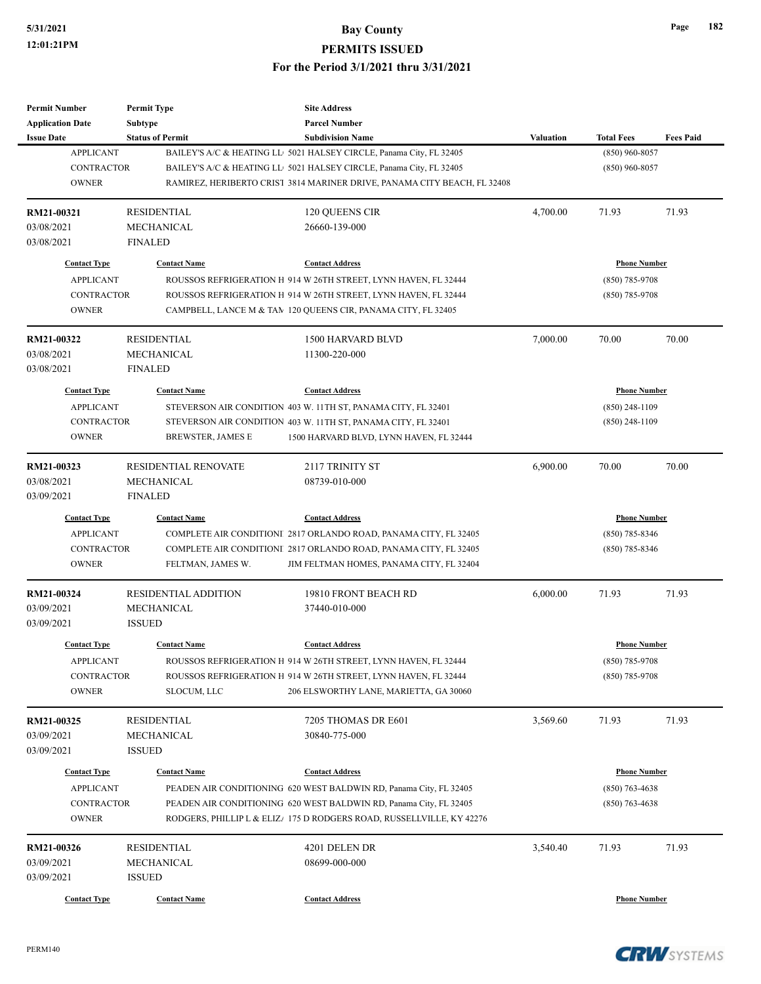| <b>Permit Number</b>    | <b>Permit Type</b>          | <b>Site Address</b>                                                               |                  |                     |                  |
|-------------------------|-----------------------------|-----------------------------------------------------------------------------------|------------------|---------------------|------------------|
| <b>Application Date</b> | <b>Subtype</b>              | <b>Parcel Number</b>                                                              |                  |                     |                  |
| <b>Issue Date</b>       | <b>Status of Permit</b>     | <b>Subdivision Name</b>                                                           | <b>Valuation</b> | <b>Total Fees</b>   | <b>Fees Paid</b> |
| <b>APPLICANT</b>        |                             | BAILEY'S A/C & HEATING LL 5021 HALSEY CIRCLE, Panama City, FL 32405               |                  | $(850)$ 960-8057    |                  |
| <b>CONTRACTOR</b>       |                             | BAILEY'S A/C & HEATING LL 5021 HALSEY CIRCLE, Panama City, FL 32405               |                  | $(850)$ 960-8057    |                  |
| <b>OWNER</b>            |                             | RAMIREZ, HERIBERTO CRIST 3814 MARINER DRIVE, PANAMA CITY BEACH, FL 32408          |                  |                     |                  |
| RM21-00321              | <b>RESIDENTIAL</b>          | 120 QUEENS CIR                                                                    | 4,700.00         | 71.93               | 71.93            |
| 03/08/2021              | <b>MECHANICAL</b>           | 26660-139-000                                                                     |                  |                     |                  |
| 03/08/2021              | <b>FINALED</b>              |                                                                                   |                  |                     |                  |
| <b>Contact Type</b>     | <b>Contact Name</b>         | <b>Contact Address</b>                                                            |                  | <b>Phone Number</b> |                  |
| <b>APPLICANT</b>        |                             | ROUSSOS REFRIGERATION H 914 W 26TH STREET, LYNN HAVEN, FL 32444                   |                  | $(850)$ 785-9708    |                  |
| <b>CONTRACTOR</b>       |                             | ROUSSOS REFRIGERATION H 914 W 26TH STREET, LYNN HAVEN, FL 32444                   |                  | $(850)$ 785-9708    |                  |
| <b>OWNER</b>            |                             | CAMPBELL, LANCE M & TAN 120 QUEENS CIR, PANAMA CITY, FL 32405                     |                  |                     |                  |
| RM21-00322              | <b>RESIDENTIAL</b>          | 1500 HARVARD BLVD                                                                 | 7,000.00         | 70.00               | 70.00            |
| 03/08/2021              | MECHANICAL                  | 11300-220-000                                                                     |                  |                     |                  |
| 03/08/2021              | <b>FINALED</b>              |                                                                                   |                  |                     |                  |
| <b>Contact Type</b>     | <b>Contact Name</b>         | <b>Contact Address</b>                                                            |                  | <b>Phone Number</b> |                  |
| <b>APPLICANT</b>        |                             | STEVERSON AIR CONDITION 403 W. 11TH ST, PANAMA CITY, FL 32401                     |                  | $(850)$ 248-1109    |                  |
| <b>CONTRACTOR</b>       |                             | STEVERSON AIR CONDITION 403 W. 11TH ST, PANAMA CITY, FL 32401                     |                  | $(850)$ 248-1109    |                  |
| <b>OWNER</b>            | <b>BREWSTER, JAMES E</b>    | 1500 HARVARD BLVD, LYNN HAVEN, FL 32444                                           |                  |                     |                  |
|                         |                             |                                                                                   |                  |                     |                  |
| RM21-00323              | <b>RESIDENTIAL RENOVATE</b> | 2117 TRINITY ST                                                                   | 6,900.00         | 70.00               | 70.00            |
| 03/08/2021              | MECHANICAL                  | 08739-010-000                                                                     |                  |                     |                  |
| 03/09/2021              | <b>FINALED</b>              |                                                                                   |                  |                     |                  |
| <b>Contact Type</b>     | <b>Contact Name</b>         | <b>Contact Address</b>                                                            |                  | <b>Phone Number</b> |                  |
| <b>APPLICANT</b>        |                             | COMPLETE AIR CONDITIONI 2817 ORLANDO ROAD, PANAMA CITY, FL 32405                  |                  | $(850)$ 785-8346    |                  |
| <b>CONTRACTOR</b>       |                             | COMPLETE AIR CONDITIONI 2817 ORLANDO ROAD, PANAMA CITY, FL 32405                  |                  | $(850)$ 785-8346    |                  |
| <b>OWNER</b>            | FELTMAN, JAMES W.           | JIM FELTMAN HOMES, PANAMA CITY, FL 32404                                          |                  |                     |                  |
| RM21-00324              | <b>RESIDENTIAL ADDITION</b> | 19810 FRONT BEACH RD                                                              | 6,000.00         | 71.93               | 71.93            |
| 03/09/2021              | MECHANICAL                  | 37440-010-000                                                                     |                  |                     |                  |
| 03/09/2021              | <b>ISSUED</b>               |                                                                                   |                  |                     |                  |
| <b>Contact Type</b>     | <b>Contact Name</b>         | <b>Contact Address</b>                                                            |                  | <b>Phone Number</b> |                  |
| <b>APPLICANT</b>        |                             | ROUSSOS REFRIGERATION H 914 W 26TH STREET, LYNN HAVEN, FL 32444                   |                  | (850) 785-9708      |                  |
| CONTRACTOR              |                             | ROUSSOS REFRIGERATION H 914 W 26TH STREET, LYNN HAVEN, FL 32444                   |                  | $(850)$ 785-9708    |                  |
| <b>OWNER</b>            | <b>SLOCUM, LLC</b>          | 206 ELSWORTHY LANE, MARIETTA, GA 30060                                            |                  |                     |                  |
|                         |                             |                                                                                   |                  |                     |                  |
| RM21-00325              | <b>RESIDENTIAL</b>          | 7205 THOMAS DR E601                                                               | 3,569.60         | 71.93               | 71.93            |
| 03/09/2021              | MECHANICAL                  | 30840-775-000                                                                     |                  |                     |                  |
| 03/09/2021              | <b>ISSUED</b>               |                                                                                   |                  |                     |                  |
| <b>Contact Type</b>     | <b>Contact Name</b>         | <b>Contact Address</b>                                                            |                  | <b>Phone Number</b> |                  |
| <b>APPLICANT</b>        |                             | PEADEN AIR CONDITIONING 620 WEST BALDWIN RD, Panama City, FL 32405                |                  | $(850)$ 763-4638    |                  |
| CONTRACTOR              |                             | PEADEN AIR CONDITIONING 620 WEST BALDWIN RD, Panama City, FL 32405                |                  | $(850)$ 763-4638    |                  |
| <b>OWNER</b>            |                             | RODGERS, PHILLIP L & ELIZ <sub>i</sub> 175 D RODGERS ROAD, RUSSELLVILLE, KY 42276 |                  |                     |                  |
| RM21-00326              | <b>RESIDENTIAL</b>          | 4201 DELEN DR                                                                     | 3,540.40         | 71.93               | 71.93            |
| 03/09/2021              | MECHANICAL                  | 08699-000-000                                                                     |                  |                     |                  |
| 03/09/2021              | <b>ISSUED</b>               |                                                                                   |                  |                     |                  |
|                         |                             |                                                                                   |                  |                     |                  |
| <b>Contact Type</b>     | <b>Contact Name</b>         | <b>Contact Address</b>                                                            |                  | <b>Phone Number</b> |                  |



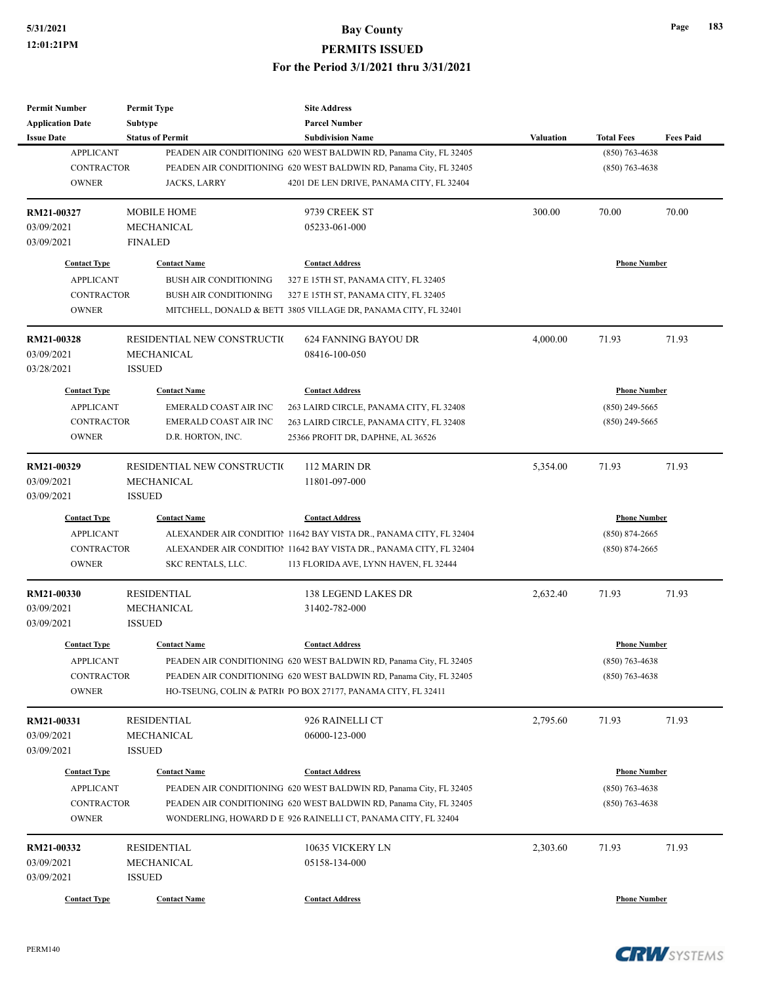| <b>Permit Number</b>    | <b>Permit Type</b>           | <b>Site Address</b>                                                |           |                     |                  |
|-------------------------|------------------------------|--------------------------------------------------------------------|-----------|---------------------|------------------|
| <b>Application Date</b> | <b>Subtype</b>               | <b>Parcel Number</b>                                               |           |                     |                  |
| <b>Issue Date</b>       | <b>Status of Permit</b>      | <b>Subdivision Name</b>                                            | Valuation | <b>Total Fees</b>   | <b>Fees Paid</b> |
| <b>APPLICANT</b>        |                              | PEADEN AIR CONDITIONING 620 WEST BALDWIN RD, Panama City, FL 32405 |           | $(850)$ 763-4638    |                  |
| <b>CONTRACTOR</b>       |                              | PEADEN AIR CONDITIONING 620 WEST BALDWIN RD, Panama City, FL 32405 |           | $(850)$ 763-4638    |                  |
| <b>OWNER</b>            | JACKS, LARRY                 | 4201 DE LEN DRIVE, PANAMA CITY, FL 32404                           |           |                     |                  |
| RM21-00327              | <b>MOBILE HOME</b>           | 9739 CREEK ST                                                      | 300.00    | 70.00               | 70.00            |
| 03/09/2021              | <b>MECHANICAL</b>            | 05233-061-000                                                      |           |                     |                  |
| 03/09/2021              | <b>FINALED</b>               |                                                                    |           |                     |                  |
| <b>Contact Type</b>     | <b>Contact Name</b>          | <b>Contact Address</b>                                             |           | <b>Phone Number</b> |                  |
| <b>APPLICANT</b>        | <b>BUSH AIR CONDITIONING</b> | 327 E 15TH ST, PANAMA CITY, FL 32405                               |           |                     |                  |
| <b>CONTRACTOR</b>       | <b>BUSH AIR CONDITIONING</b> | 327 E 15TH ST, PANAMA CITY, FL 32405                               |           |                     |                  |
| <b>OWNER</b>            |                              | MITCHELL, DONALD & BETT 3805 VILLAGE DR, PANAMA CITY, FL 32401     |           |                     |                  |
| RM21-00328              | RESIDENTIAL NEW CONSTRUCTIO  | 624 FANNING BAYOU DR                                               | 4,000.00  | 71.93               | 71.93            |
| 03/09/2021              | <b>MECHANICAL</b>            | 08416-100-050                                                      |           |                     |                  |
| 03/28/2021              | <b>ISSUED</b>                |                                                                    |           |                     |                  |
| <b>Contact Type</b>     | <b>Contact Name</b>          | <b>Contact Address</b>                                             |           | <b>Phone Number</b> |                  |
| <b>APPLICANT</b>        | <b>EMERALD COAST AIR INC</b> | 263 LAIRD CIRCLE, PANAMA CITY, FL 32408                            |           | $(850)$ 249-5665    |                  |
| <b>CONTRACTOR</b>       | EMERALD COAST AIR INC        | 263 LAIRD CIRCLE, PANAMA CITY, FL 32408                            |           | $(850)$ 249-5665    |                  |
| <b>OWNER</b>            | D.R. HORTON, INC.            | 25366 PROFIT DR, DAPHNE, AL 36526                                  |           |                     |                  |
|                         |                              |                                                                    |           |                     |                  |
| RM21-00329              | RESIDENTIAL NEW CONSTRUCTIO  | 112 MARIN DR                                                       | 5,354.00  | 71.93               | 71.93            |
| 03/09/2021              | <b>MECHANICAL</b>            | 11801-097-000                                                      |           |                     |                  |
| 03/09/2021              | <b>ISSUED</b>                |                                                                    |           |                     |                  |
| <b>Contact Type</b>     | <b>Contact Name</b>          | <b>Contact Address</b>                                             |           | <b>Phone Number</b> |                  |
| <b>APPLICANT</b>        |                              | ALEXANDER AIR CONDITION 11642 BAY VISTA DR., PANAMA CITY, FL 32404 |           | $(850) 874 - 2665$  |                  |
| <b>CONTRACTOR</b>       |                              | ALEXANDER AIR CONDITION 11642 BAY VISTA DR., PANAMA CITY, FL 32404 |           | (850) 874-2665      |                  |
| <b>OWNER</b>            | SKC RENTALS, LLC.            | 113 FLORIDA AVE, LYNN HAVEN, FL 32444                              |           |                     |                  |
| RM21-00330              | <b>RESIDENTIAL</b>           | <b>138 LEGEND LAKES DR</b>                                         | 2,632.40  | 71.93               | 71.93            |
| 03/09/2021              | MECHANICAL                   | 31402-782-000                                                      |           |                     |                  |
| 03/09/2021              | <b>ISSUED</b>                |                                                                    |           |                     |                  |
| <b>Contact Type</b>     | <b>Contact Name</b>          | <b>Contact Address</b>                                             |           | <b>Phone Number</b> |                  |
| <b>APPLICANT</b>        |                              | PEADEN AIR CONDITIONING 620 WEST BALDWIN RD, Panama City, FL 32405 |           | $(850) 763 - 4638$  |                  |
| CONTRACTOR              |                              | PEADEN AIR CONDITIONING 620 WEST BALDWIN RD, Panama City, FL 32405 |           | $(850)$ 763-4638    |                  |
| <b>OWNER</b>            |                              | HO-TSEUNG, COLIN & PATRIC PO BOX 27177, PANAMA CITY, FL 32411      |           |                     |                  |
| RM21-00331              | <b>RESIDENTIAL</b>           | 926 RAINELLI CT                                                    | 2,795.60  | 71.93               | 71.93            |
| 03/09/2021              | MECHANICAL                   | 06000-123-000                                                      |           |                     |                  |
| 03/09/2021              | <b>ISSUED</b>                |                                                                    |           |                     |                  |
|                         |                              |                                                                    |           |                     |                  |
| <b>Contact Type</b>     | <b>Contact Name</b>          | <b>Contact Address</b>                                             |           | <b>Phone Number</b> |                  |
| <b>APPLICANT</b>        |                              | PEADEN AIR CONDITIONING 620 WEST BALDWIN RD, Panama City, FL 32405 |           | $(850) 763 - 4638$  |                  |
| <b>CONTRACTOR</b>       |                              | PEADEN AIR CONDITIONING 620 WEST BALDWIN RD, Panama City, FL 32405 |           | $(850)$ 763-4638    |                  |
| <b>OWNER</b>            |                              | WONDERLING, HOWARD D E 926 RAINELLI CT, PANAMA CITY, FL 32404      |           |                     |                  |
| RM21-00332              | <b>RESIDENTIAL</b>           | 10635 VICKERY LN                                                   | 2,303.60  | 71.93               | 71.93            |
| 03/09/2021              | MECHANICAL                   | 05158-134-000                                                      |           |                     |                  |
| 03/09/2021              | <b>ISSUED</b>                |                                                                    |           |                     |                  |
| <b>Contact Type</b>     | <b>Contact Name</b>          | <b>Contact Address</b>                                             |           | <b>Phone Number</b> |                  |

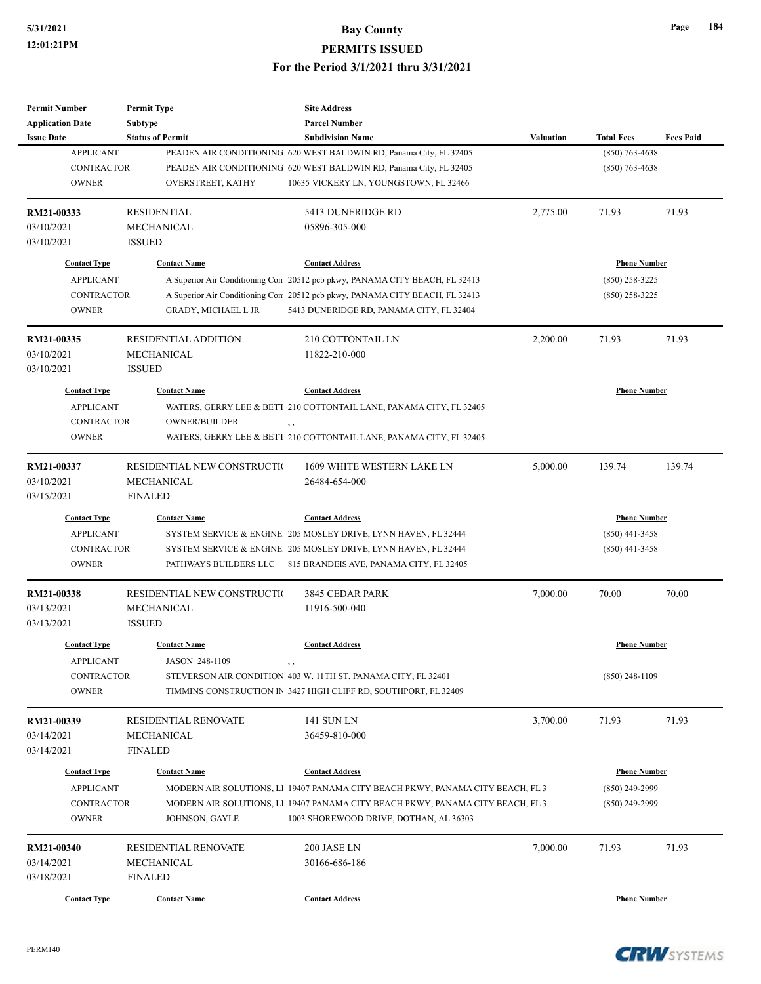| <b>Permit Number</b>    | <b>Permit Type</b>          | <b>Site Address</b>                                                             |                  |                     |                  |
|-------------------------|-----------------------------|---------------------------------------------------------------------------------|------------------|---------------------|------------------|
| <b>Application Date</b> | <b>Subtype</b>              | <b>Parcel Number</b>                                                            |                  |                     |                  |
| <b>Issue Date</b>       | <b>Status of Permit</b>     | <b>Subdivision Name</b>                                                         | <b>Valuation</b> | <b>Total Fees</b>   | <b>Fees Paid</b> |
| <b>APPLICANT</b>        |                             | PEADEN AIR CONDITIONING 620 WEST BALDWIN RD, Panama City, FL 32405              |                  | $(850)$ 763-4638    |                  |
| <b>CONTRACTOR</b>       |                             | PEADEN AIR CONDITIONING 620 WEST BALDWIN RD, Panama City, FL 32405              |                  | $(850)$ 763-4638    |                  |
| <b>OWNER</b>            | OVERSTREET, KATHY           | 10635 VICKERY LN, YOUNGSTOWN, FL 32466                                          |                  |                     |                  |
| RM21-00333              | <b>RESIDENTIAL</b>          | 5413 DUNERIDGE RD                                                               | 2,775.00         | 71.93               | 71.93            |
| 03/10/2021              | <b>MECHANICAL</b>           | 05896-305-000                                                                   |                  |                     |                  |
| 03/10/2021              | <b>ISSUED</b>               |                                                                                 |                  |                     |                  |
| <b>Contact Type</b>     | <b>Contact Name</b>         | <b>Contact Address</b>                                                          |                  | <b>Phone Number</b> |                  |
| <b>APPLICANT</b>        |                             | A Superior Air Conditioning Cor 20512 pcb pkwy, PANAMA CITY BEACH, FL 32413     |                  | $(850)$ 258-3225    |                  |
| <b>CONTRACTOR</b>       |                             | A Superior Air Conditioning Cor 20512 pcb pkwy, PANAMA CITY BEACH, FL 32413     |                  | $(850)$ 258-3225    |                  |
| <b>OWNER</b>            | GRADY, MICHAEL L JR         | 5413 DUNERIDGE RD, PANAMA CITY, FL 32404                                        |                  |                     |                  |
| RM21-00335              | <b>RESIDENTIAL ADDITION</b> | 210 COTTONTAIL LN                                                               | 2,200.00         | 71.93               | 71.93            |
| 03/10/2021              | MECHANICAL                  | 11822-210-000                                                                   |                  |                     |                  |
| 03/10/2021              | <b>ISSUED</b>               |                                                                                 |                  |                     |                  |
| <b>Contact Type</b>     | <b>Contact Name</b>         | <b>Contact Address</b>                                                          |                  | <b>Phone Number</b> |                  |
| <b>APPLICANT</b>        |                             | WATERS, GERRY LEE & BETT 210 COTTONTAIL LANE, PANAMA CITY, FL 32405             |                  |                     |                  |
| <b>CONTRACTOR</b>       | <b>OWNER/BUILDER</b>        |                                                                                 |                  |                     |                  |
| <b>OWNER</b>            |                             | $, \, ,$<br>WATERS, GERRY LEE & BETT 210 COTTONTAIL LANE, PANAMA CITY, FL 32405 |                  |                     |                  |
|                         |                             |                                                                                 |                  |                     |                  |
| RM21-00337              | RESIDENTIAL NEW CONSTRUCTIO | 1609 WHITE WESTERN LAKE LN                                                      | 5,000.00         | 139.74              | 139.74           |
| 03/10/2021              | MECHANICAL                  | 26484-654-000                                                                   |                  |                     |                  |
| 03/15/2021              | <b>FINALED</b>              |                                                                                 |                  |                     |                  |
| <b>Contact Type</b>     | <b>Contact Name</b>         | <b>Contact Address</b>                                                          |                  | <b>Phone Number</b> |                  |
| <b>APPLICANT</b>        |                             | SYSTEM SERVICE & ENGINE 205 MOSLEY DRIVE, LYNN HAVEN, FL 32444                  |                  | $(850)$ 441-3458    |                  |
| <b>CONTRACTOR</b>       |                             | SYSTEM SERVICE & ENGINE 205 MOSLEY DRIVE, LYNN HAVEN, FL 32444                  |                  | $(850)$ 441-3458    |                  |
| <b>OWNER</b>            | PATHWAYS BUILDERS LLC       | 815 BRANDEIS AVE, PANAMA CITY, FL 32405                                         |                  |                     |                  |
| RM21-00338              | RESIDENTIAL NEW CONSTRUCTIO | 3845 CEDAR PARK                                                                 | 7,000.00         | 70.00               | 70.00            |
| 03/13/2021              | MECHANICAL                  | 11916-500-040                                                                   |                  |                     |                  |
| 03/13/2021              | <b>ISSUED</b>               |                                                                                 |                  |                     |                  |
| <b>Contact Type</b>     | <b>Contact Name</b>         | <b>Contact Address</b>                                                          |                  | <b>Phone Number</b> |                  |
| <b>APPLICANT</b>        | JASON 248-1109              | , ,                                                                             |                  |                     |                  |
| CONTRACTOR              |                             | STEVERSON AIR CONDITION 403 W. 11TH ST, PANAMA CITY, FL 32401                   |                  | $(850)$ 248-1109    |                  |
| <b>OWNER</b>            |                             | TIMMINS CONSTRUCTION IN 3427 HIGH CLIFF RD, SOUTHPORT, FL 32409                 |                  |                     |                  |
| RM21-00339              | <b>RESIDENTIAL RENOVATE</b> | 141 SUN LN                                                                      | 3,700.00         | 71.93               | 71.93            |
| 03/14/2021              | <b>MECHANICAL</b>           | 36459-810-000                                                                   |                  |                     |                  |
| 03/14/2021              | <b>FINALED</b>              |                                                                                 |                  |                     |                  |
| <b>Contact Type</b>     | <b>Contact Name</b>         | <b>Contact Address</b>                                                          |                  | <b>Phone Number</b> |                  |
| <b>APPLICANT</b>        |                             | MODERN AIR SOLUTIONS, LI 19407 PANAMA CITY BEACH PKWY, PANAMA CITY BEACH, FL 3  |                  | $(850)$ 249-2999    |                  |
|                         |                             |                                                                                 |                  | (850) 249-2999      |                  |
| CONTRACTOR              |                             | MODERN AIR SOLUTIONS, L1 19407 PANAMA CITY BEACH PKWY, PANAMA CITY BEACH, FL 3  |                  |                     |                  |
| <b>OWNER</b>            | JOHNSON, GAYLE              | 1003 SHOREWOOD DRIVE, DOTHAN, AL 36303                                          |                  |                     |                  |
| RM21-00340              | RESIDENTIAL RENOVATE        | 200 JASE LN                                                                     | 7,000.00         | 71.93               | 71.93            |
| 03/14/2021              | MECHANICAL                  | 30166-686-186                                                                   |                  |                     |                  |
| 03/18/2021              | <b>FINALED</b>              |                                                                                 |                  |                     |                  |
| <b>Contact Type</b>     | <b>Contact Name</b>         | <b>Contact Address</b>                                                          |                  | <b>Phone Number</b> |                  |

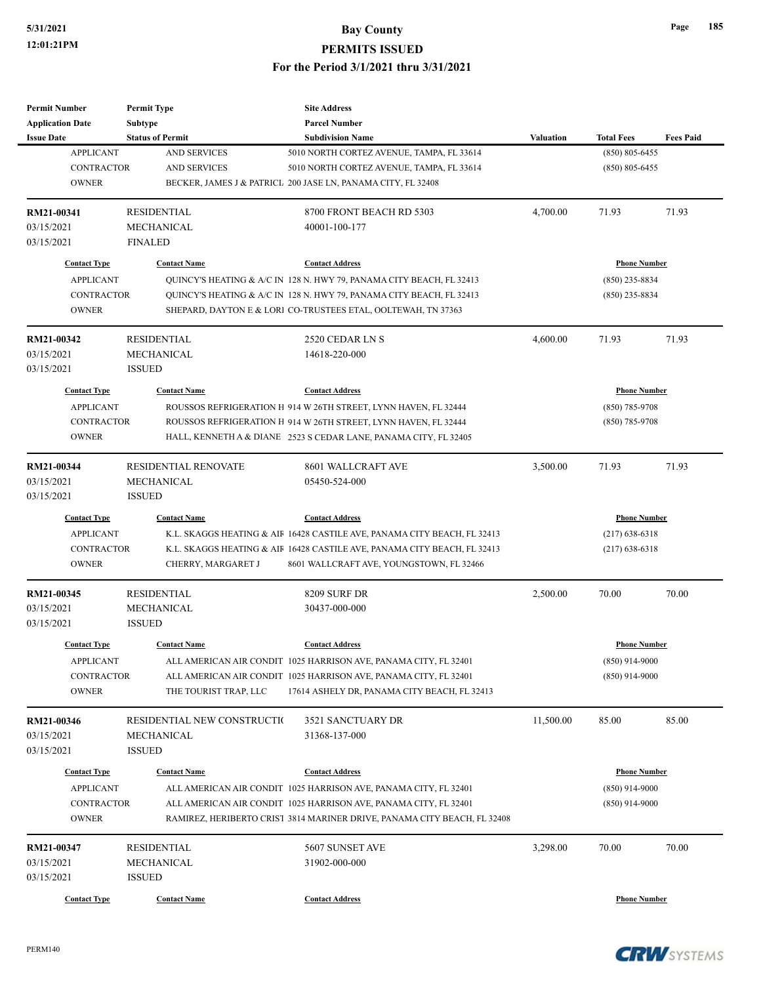| <b>Permit Number</b>    | <b>Permit Type</b>          | <b>Site Address</b>                                                      |                  |                     |                  |
|-------------------------|-----------------------------|--------------------------------------------------------------------------|------------------|---------------------|------------------|
| <b>Application Date</b> | Subtype                     | <b>Parcel Number</b>                                                     |                  |                     |                  |
| <b>Issue Date</b>       | <b>Status of Permit</b>     | <b>Subdivision Name</b>                                                  | <b>Valuation</b> | <b>Total Fees</b>   | <b>Fees Paid</b> |
| <b>APPLICANT</b>        | <b>AND SERVICES</b>         | 5010 NORTH CORTEZ AVENUE, TAMPA, FL 33614                                |                  | $(850) 805 - 6455$  |                  |
| <b>CONTRACTOR</b>       | <b>AND SERVICES</b>         | 5010 NORTH CORTEZ AVENUE, TAMPA, FL 33614                                |                  | $(850) 805 - 6455$  |                  |
| <b>OWNER</b>            |                             | BECKER, JAMES J & PATRICL 200 JASE LN, PANAMA CITY, FL 32408             |                  |                     |                  |
| RM21-00341              | <b>RESIDENTIAL</b>          | 8700 FRONT BEACH RD 5303                                                 | 4,700.00         | 71.93               | 71.93            |
| 03/15/2021              | MECHANICAL                  | 40001-100-177                                                            |                  |                     |                  |
| 03/15/2021              | <b>FINALED</b>              |                                                                          |                  |                     |                  |
| <b>Contact Type</b>     | <b>Contact Name</b>         | <b>Contact Address</b>                                                   |                  | <b>Phone Number</b> |                  |
| <b>APPLICANT</b>        |                             | QUINCY'S HEATING & A/C IN 128 N. HWY 79, PANAMA CITY BEACH, FL 32413     |                  | $(850)$ 235-8834    |                  |
| <b>CONTRACTOR</b>       |                             | QUINCY'S HEATING & A/C IN 128 N. HWY 79, PANAMA CITY BEACH, FL 32413     |                  | $(850)$ 235-8834    |                  |
| <b>OWNER</b>            |                             | SHEPARD, DAYTON E & LORI CO-TRUSTEES ETAL, OOLTEWAH, TN 37363            |                  |                     |                  |
| RM21-00342              | <b>RESIDENTIAL</b>          | 2520 CEDAR LN S                                                          | 4,600.00         | 71.93               | 71.93            |
| 03/15/2021              | <b>MECHANICAL</b>           | 14618-220-000                                                            |                  |                     |                  |
| 03/15/2021              | <b>ISSUED</b>               |                                                                          |                  |                     |                  |
| <b>Contact Type</b>     | <b>Contact Name</b>         | <b>Contact Address</b>                                                   |                  | <b>Phone Number</b> |                  |
| <b>APPLICANT</b>        |                             | ROUSSOS REFRIGERATION H 914 W 26TH STREET, LYNN HAVEN, FL 32444          |                  | $(850)$ 785-9708    |                  |
| <b>CONTRACTOR</b>       |                             | ROUSSOS REFRIGERATION H 914 W 26TH STREET, LYNN HAVEN, FL 32444          |                  | $(850)$ 785-9708    |                  |
| <b>OWNER</b>            |                             | HALL, KENNETH A & DIANE 2523 S CEDAR LANE, PANAMA CITY, FL 32405         |                  |                     |                  |
|                         |                             |                                                                          |                  |                     |                  |
| RM21-00344              | RESIDENTIAL RENOVATE        | 8601 WALLCRAFT AVE                                                       | 3,500.00         | 71.93               | 71.93            |
| 03/15/2021              | MECHANICAL                  | 05450-524-000                                                            |                  |                     |                  |
| 03/15/2021              | <b>ISSUED</b>               |                                                                          |                  |                     |                  |
| <b>Contact Type</b>     | <b>Contact Name</b>         | <b>Contact Address</b>                                                   |                  | <b>Phone Number</b> |                  |
| <b>APPLICANT</b>        |                             | K.L. SKAGGS HEATING & AIF 16428 CASTILE AVE, PANAMA CITY BEACH, FL 32413 |                  | $(217)$ 638-6318    |                  |
| <b>CONTRACTOR</b>       |                             | K.L. SKAGGS HEATING & AIF 16428 CASTILE AVE, PANAMA CITY BEACH, FL 32413 |                  | $(217)$ 638-6318    |                  |
| <b>OWNER</b>            | CHERRY, MARGARET J          | 8601 WALLCRAFT AVE, YOUNGSTOWN, FL 32466                                 |                  |                     |                  |
| RM21-00345              | <b>RESIDENTIAL</b>          | 8209 SURF DR                                                             | 2,500.00         | 70.00               | 70.00            |
| 03/15/2021              | <b>MECHANICAL</b>           | 30437-000-000                                                            |                  |                     |                  |
| 03/15/2021              | <b>ISSUED</b>               |                                                                          |                  |                     |                  |
| <b>Contact Type</b>     | <b>Contact Name</b>         | <b>Contact Address</b>                                                   |                  | <b>Phone Number</b> |                  |
| <b>APPLICANT</b>        |                             | ALL AMERICAN AIR CONDIT 1025 HARRISON AVE, PANAMA CITY, FL 32401         |                  | $(850)$ 914-9000    |                  |
| <b>CONTRACTOR</b>       |                             | ALL AMERICAN AIR CONDIT 1025 HARRISON AVE, PANAMA CITY, FL 32401         |                  | $(850)$ 914-9000    |                  |
| <b>OWNER</b>            | THE TOURIST TRAP, LLC       | 17614 ASHELY DR, PANAMA CITY BEACH, FL 32413                             |                  |                     |                  |
|                         |                             |                                                                          |                  |                     |                  |
| RM21-00346              | RESIDENTIAL NEW CONSTRUCTIO | 3521 SANCTUARY DR                                                        | 11,500.00        | 85.00               | 85.00            |
| 03/15/2021              | MECHANICAL                  | 31368-137-000                                                            |                  |                     |                  |
| 03/15/2021              | <b>ISSUED</b>               |                                                                          |                  |                     |                  |
| <b>Contact Type</b>     | <b>Contact Name</b>         | <b>Contact Address</b>                                                   |                  | <b>Phone Number</b> |                  |
| <b>APPLICANT</b>        |                             | ALL AMERICAN AIR CONDIT 1025 HARRISON AVE, PANAMA CITY, FL 32401         |                  | $(850)$ 914-9000    |                  |
| <b>CONTRACTOR</b>       |                             | ALL AMERICAN AIR CONDIT 1025 HARRISON AVE, PANAMA CITY, FL 32401         |                  | $(850)$ 914-9000    |                  |
| <b>OWNER</b>            |                             | RAMIREZ, HERIBERTO CRIST 3814 MARINER DRIVE, PANAMA CITY BEACH, FL 32408 |                  |                     |                  |
| RM21-00347              | <b>RESIDENTIAL</b>          | 5607 SUNSET AVE                                                          | 3,298.00         | 70.00               | 70.00            |
| 03/15/2021              | MECHANICAL                  | 31902-000-000                                                            |                  |                     |                  |
| 03/15/2021              | <b>ISSUED</b>               |                                                                          |                  |                     |                  |
|                         |                             |                                                                          |                  |                     |                  |
| <b>Contact Type</b>     | <b>Contact Name</b>         | <b>Contact Address</b>                                                   |                  | <b>Phone Number</b> |                  |

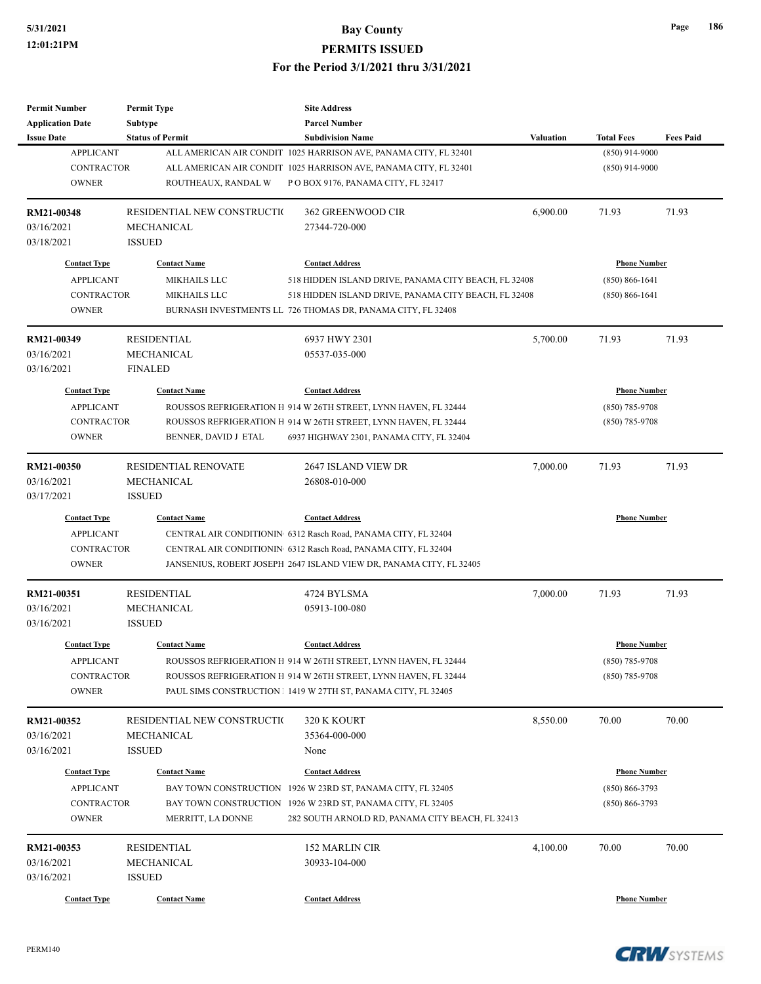| <b>Permit Number</b>                    | <b>Permit Type</b>          | <b>Site Address</b>                                                                   |                  |                     |                  |
|-----------------------------------------|-----------------------------|---------------------------------------------------------------------------------------|------------------|---------------------|------------------|
| <b>Application Date</b>                 | <b>Subtype</b>              | <b>Parcel Number</b>                                                                  |                  |                     |                  |
| <b>Issue Date</b>                       | <b>Status of Permit</b>     | <b>Subdivision Name</b>                                                               | <b>Valuation</b> | <b>Total Fees</b>   | <b>Fees Paid</b> |
| <b>APPLICANT</b>                        |                             | ALL AMERICAN AIR CONDIT 1025 HARRISON AVE, PANAMA CITY, FL 32401                      |                  | $(850)$ 914-9000    |                  |
| <b>CONTRACTOR</b>                       |                             | ALL AMERICAN AIR CONDIT 1025 HARRISON AVE, PANAMA CITY, FL 32401                      |                  | $(850)$ 914-9000    |                  |
| <b>OWNER</b>                            | ROUTHEAUX, RANDAL W         | PO BOX 9176, PANAMA CITY, FL 32417                                                    |                  |                     |                  |
| RM21-00348                              | RESIDENTIAL NEW CONSTRUCTIO | 362 GREENWOOD CIR                                                                     | 6,900.00         | 71.93               | 71.93            |
| 03/16/2021                              | MECHANICAL                  | 27344-720-000                                                                         |                  |                     |                  |
| 03/18/2021                              | <b>ISSUED</b>               |                                                                                       |                  |                     |                  |
| <b>Contact Type</b>                     | <b>Contact Name</b>         | <b>Contact Address</b>                                                                |                  | <b>Phone Number</b> |                  |
| <b>APPLICANT</b>                        | MIKHAILS LLC                | 518 HIDDEN ISLAND DRIVE, PANAMA CITY BEACH, FL 32408                                  |                  | $(850) 866 - 1641$  |                  |
| <b>CONTRACTOR</b>                       | MIKHAILS LLC                | 518 HIDDEN ISLAND DRIVE, PANAMA CITY BEACH, FL 32408                                  |                  | $(850) 866 - 1641$  |                  |
| <b>OWNER</b>                            |                             | BURNASH INVESTMENTS LL 726 THOMAS DR, PANAMA CITY, FL 32408                           |                  |                     |                  |
| RM21-00349                              | <b>RESIDENTIAL</b>          | 6937 HWY 2301                                                                         | 5,700.00         | 71.93               | 71.93            |
| 03/16/2021                              | MECHANICAL                  | 05537-035-000                                                                         |                  |                     |                  |
| 03/16/2021                              | <b>FINALED</b>              |                                                                                       |                  |                     |                  |
| <b>Contact Type</b>                     | <b>Contact Name</b>         | <b>Contact Address</b>                                                                |                  | <b>Phone Number</b> |                  |
| <b>APPLICANT</b>                        |                             | ROUSSOS REFRIGERATION H 914 W 26TH STREET, LYNN HAVEN, FL 32444                       |                  | $(850)$ 785-9708    |                  |
| <b>CONTRACTOR</b>                       |                             | ROUSSOS REFRIGERATION H 914 W 26TH STREET, LYNN HAVEN, FL 32444                       |                  | $(850)$ 785-9708    |                  |
| <b>OWNER</b>                            | BENNER, DAVID J ETAL        | 6937 HIGHWAY 2301, PANAMA CITY, FL 32404                                              |                  |                     |                  |
|                                         |                             |                                                                                       |                  |                     |                  |
| RM21-00350                              | <b>RESIDENTIAL RENOVATE</b> | 2647 ISLAND VIEW DR                                                                   | 7,000.00         | 71.93               | 71.93            |
| 03/16/2021                              | MECHANICAL                  | 26808-010-000                                                                         |                  |                     |                  |
| 03/17/2021                              | <b>ISSUED</b>               |                                                                                       |                  |                     |                  |
| <b>Contact Type</b>                     | <b>Contact Name</b>         | <b>Contact Address</b>                                                                |                  | <b>Phone Number</b> |                  |
| <b>APPLICANT</b>                        |                             | CENTRAL AIR CONDITIONIN 6312 Rasch Road, PANAMA CITY, FL 32404                        |                  |                     |                  |
| <b>CONTRACTOR</b>                       |                             | CENTRAL AIR CONDITIONIN 6312 Rasch Road, PANAMA CITY, FL 32404                        |                  |                     |                  |
| <b>OWNER</b>                            |                             | JANSENIUS, ROBERT JOSEPH 2647 ISLAND VIEW DR, PANAMA CITY, FL 32405                   |                  |                     |                  |
| RM21-00351                              | <b>RESIDENTIAL</b>          | 4724 BYLSMA                                                                           | 7,000.00         | 71.93               | 71.93            |
| 03/16/2021                              | MECHANICAL                  | 05913-100-080                                                                         |                  |                     |                  |
| 03/16/2021                              | <b>ISSUED</b>               |                                                                                       |                  |                     |                  |
| <b>Contact Type</b>                     | <b>Contact Name</b>         | <b>Contact Address</b>                                                                |                  | <b>Phone Number</b> |                  |
| <b>APPLICANT</b>                        |                             | ROUSSOS REFRIGERATION H 914 W 26TH STREET, LYNN HAVEN, FL 32444                       |                  | (850) 785-9708      |                  |
| <b>CONTRACTOR</b>                       |                             | ROUSSOS REFRIGERATION H 914 W 26TH STREET, LYNN HAVEN, FL 32444                       |                  | $(850)$ 785-9708    |                  |
| <b>OWNER</b>                            |                             | PAUL SIMS CONSTRUCTION 1 1419 W 27TH ST, PANAMA CITY, FL 32405                        |                  |                     |                  |
| RM21-00352                              | RESIDENTIAL NEW CONSTRUCTIO | 320 K KOURT                                                                           | 8,550.00         | 70.00               | 70.00            |
| 03/16/2021                              | MECHANICAL                  | 35364-000-000                                                                         |                  |                     |                  |
| 03/16/2021                              | <b>ISSUED</b>               | None                                                                                  |                  |                     |                  |
|                                         | <b>Contact Name</b>         |                                                                                       |                  | <b>Phone Number</b> |                  |
| <b>Contact Type</b><br><b>APPLICANT</b> |                             | <b>Contact Address</b><br>BAY TOWN CONSTRUCTION 1926 W 23RD ST, PANAMA CITY, FL 32405 |                  | $(850) 866 - 3793$  |                  |
| CONTRACTOR                              |                             | BAY TOWN CONSTRUCTION 1926 W 23RD ST, PANAMA CITY, FL 32405                           |                  | $(850) 866 - 3793$  |                  |
| <b>OWNER</b>                            | MERRITT, LA DONNE           | 282 SOUTH ARNOLD RD, PANAMA CITY BEACH, FL 32413                                      |                  |                     |                  |
|                                         |                             |                                                                                       |                  |                     |                  |
| RM21-00353                              | <b>RESIDENTIAL</b>          | 152 MARLIN CIR                                                                        | 4,100.00         | 70.00               | 70.00            |
| 03/16/2021                              | MECHANICAL                  | 30933-104-000                                                                         |                  |                     |                  |
| 03/16/2021                              | <b>ISSUED</b>               |                                                                                       |                  |                     |                  |
| <b>Contact Type</b>                     | <b>Contact Name</b>         | <b>Contact Address</b>                                                                |                  | <b>Phone Number</b> |                  |

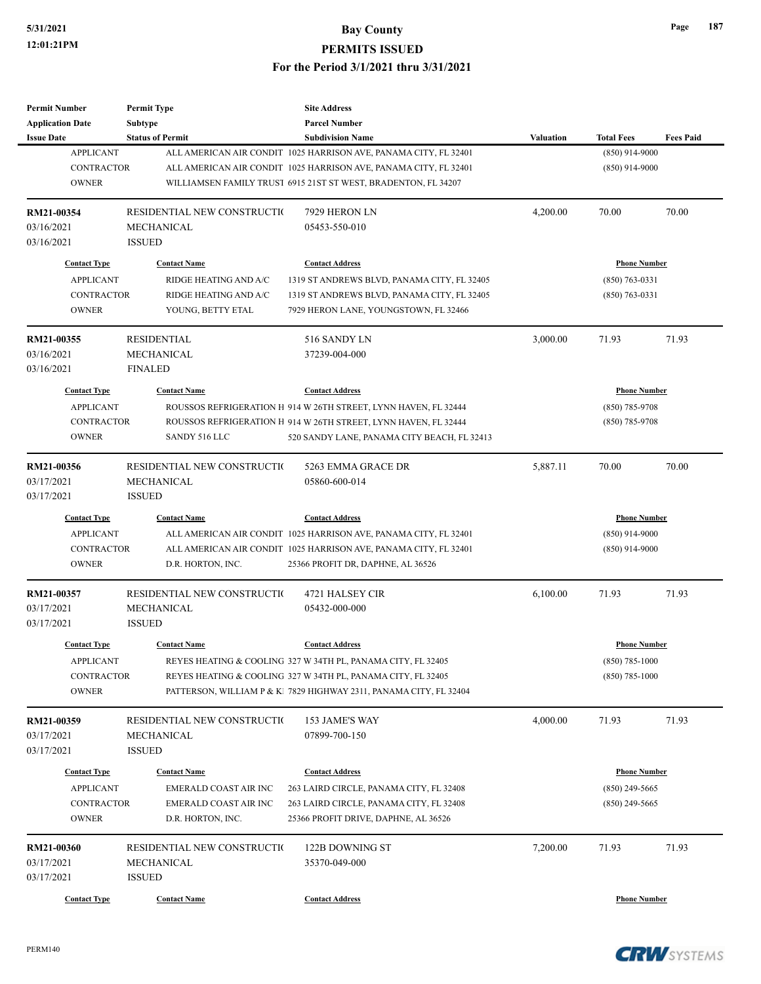| <b>Permit Number</b>                    | <b>Permit Type</b>                                  | <b>Site Address</b>                                                |                  |                                         |                  |
|-----------------------------------------|-----------------------------------------------------|--------------------------------------------------------------------|------------------|-----------------------------------------|------------------|
| <b>Application Date</b>                 | <b>Subtype</b>                                      | <b>Parcel Number</b>                                               |                  |                                         |                  |
| <b>Issue Date</b>                       | <b>Status of Permit</b>                             | <b>Subdivision Name</b>                                            | <b>Valuation</b> | <b>Total Fees</b>                       | <b>Fees Paid</b> |
| <b>APPLICANT</b>                        |                                                     | ALL AMERICAN AIR CONDIT 1025 HARRISON AVE, PANAMA CITY, FL 32401   |                  | $(850)$ 914-9000                        |                  |
| <b>CONTRACTOR</b>                       |                                                     | ALL AMERICAN AIR CONDIT 1025 HARRISON AVE, PANAMA CITY, FL 32401   |                  | $(850)$ 914-9000                        |                  |
| <b>OWNER</b>                            |                                                     | WILLIAMSEN FAMILY TRUST 6915 21ST ST WEST, BRADENTON, FL 34207     |                  |                                         |                  |
| RM21-00354                              | RESIDENTIAL NEW CONSTRUCTIO                         | 7929 HERON LN                                                      | 4,200.00         | 70.00                                   | 70.00            |
| 03/16/2021                              | MECHANICAL                                          | 05453-550-010                                                      |                  |                                         |                  |
| 03/16/2021                              | <b>ISSUED</b>                                       |                                                                    |                  |                                         |                  |
| <b>Contact Type</b>                     | <b>Contact Name</b>                                 | <b>Contact Address</b>                                             |                  | <b>Phone Number</b>                     |                  |
| <b>APPLICANT</b>                        | RIDGE HEATING AND A/C                               | 1319 ST ANDREWS BLVD, PANAMA CITY, FL 32405                        |                  | $(850) 763 - 0331$                      |                  |
| <b>CONTRACTOR</b>                       | RIDGE HEATING AND A/C                               | 1319 ST ANDREWS BLVD, PANAMA CITY, FL 32405                        |                  | $(850) 763 - 0331$                      |                  |
| <b>OWNER</b>                            | YOUNG, BETTY ETAL                                   | 7929 HERON LANE, YOUNGSTOWN, FL 32466                              |                  |                                         |                  |
| RM21-00355                              | <b>RESIDENTIAL</b>                                  | 516 SANDY LN                                                       | 3,000.00         | 71.93                                   | 71.93            |
| 03/16/2021                              | MECHANICAL                                          | 37239-004-000                                                      |                  |                                         |                  |
| 03/16/2021                              | <b>FINALED</b>                                      |                                                                    |                  |                                         |                  |
| <b>Contact Type</b>                     | <b>Contact Name</b>                                 | <b>Contact Address</b>                                             |                  | <b>Phone Number</b>                     |                  |
| <b>APPLICANT</b>                        |                                                     | ROUSSOS REFRIGERATION H 914 W 26TH STREET, LYNN HAVEN, FL 32444    |                  | (850) 785-9708                          |                  |
| <b>CONTRACTOR</b>                       |                                                     | ROUSSOS REFRIGERATION H 914 W 26TH STREET, LYNN HAVEN, FL 32444    |                  | (850) 785-9708                          |                  |
| <b>OWNER</b>                            | SANDY 516 LLC                                       | 520 SANDY LANE, PANAMA CITY BEACH, FL 32413                        |                  |                                         |                  |
|                                         |                                                     |                                                                    |                  |                                         |                  |
| RM21-00356                              | RESIDENTIAL NEW CONSTRUCTIO                         | 5263 EMMA GRACE DR                                                 | 5,887.11         | 70.00                                   | 70.00            |
| 03/17/2021                              | MECHANICAL                                          | 05860-600-014                                                      |                  |                                         |                  |
| 03/17/2021                              | <b>ISSUED</b>                                       |                                                                    |                  |                                         |                  |
| <b>Contact Type</b>                     | <b>Contact Name</b>                                 | <b>Contact Address</b>                                             |                  | <b>Phone Number</b>                     |                  |
| <b>APPLICANT</b>                        |                                                     | ALL AMERICAN AIR CONDIT 1025 HARRISON AVE, PANAMA CITY, FL 32401   |                  | $(850)$ 914-9000                        |                  |
| <b>CONTRACTOR</b>                       |                                                     | ALL AMERICAN AIR CONDIT 1025 HARRISON AVE, PANAMA CITY, FL 32401   |                  | $(850)$ 914-9000                        |                  |
| <b>OWNER</b>                            | D.R. HORTON, INC.                                   | 25366 PROFIT DR, DAPHNE, AL 36526                                  |                  |                                         |                  |
| RM21-00357                              | RESIDENTIAL NEW CONSTRUCTIO                         | 4721 HALSEY CIR                                                    | 6,100.00         | 71.93                                   | 71.93            |
| 03/17/2021                              | MECHANICAL                                          | 05432-000-000                                                      |                  |                                         |                  |
| 03/17/2021                              | <b>ISSUED</b>                                       |                                                                    |                  |                                         |                  |
| <b>Contact Type</b>                     | <b>Contact Name</b>                                 | <b>Contact Address</b>                                             |                  | <b>Phone Number</b>                     |                  |
| <b>APPLICANT</b>                        |                                                     | REYES HEATING & COOLING 327 W 34TH PL, PANAMA CITY, FL 32405       |                  | $(850) 785 - 1000$                      |                  |
| <b>CONTRACTOR</b>                       |                                                     | REYES HEATING & COOLING 327 W 34TH PL, PANAMA CITY, FL 32405       |                  | $(850)$ 785-1000                        |                  |
| <b>OWNER</b>                            |                                                     | PATTERSON, WILLIAM P & K  7829 HIGHWAY 2311, PANAMA CITY, FL 32404 |                  |                                         |                  |
| RM21-00359                              | RESIDENTIAL NEW CONSTRUCTION                        | 153 JAME'S WAY                                                     | 4,000.00         | 71.93                                   | 71.93            |
| 03/17/2021                              | MECHANICAL                                          | 07899-700-150                                                      |                  |                                         |                  |
| 03/17/2021                              | <b>ISSUED</b>                                       |                                                                    |                  |                                         |                  |
|                                         |                                                     |                                                                    |                  |                                         |                  |
| <b>Contact Type</b><br><b>APPLICANT</b> | <b>Contact Name</b><br><b>EMERALD COAST AIR INC</b> | <b>Contact Address</b><br>263 LAIRD CIRCLE, PANAMA CITY, FL 32408  |                  | <b>Phone Number</b><br>$(850)$ 249-5665 |                  |
|                                         |                                                     |                                                                    |                  |                                         |                  |
| CONTRACTOR                              | EMERALD COAST AIR INC                               | 263 LAIRD CIRCLE, PANAMA CITY, FL 32408                            |                  | (850) 249-5665                          |                  |
| <b>OWNER</b>                            | D.R. HORTON, INC.                                   | 25366 PROFIT DRIVE, DAPHNE, AL 36526                               |                  |                                         |                  |
| RM21-00360                              | RESIDENTIAL NEW CONSTRUCTIO                         | 122B DOWNING ST                                                    | 7,200.00         | 71.93                                   | 71.93            |
| 03/17/2021                              | MECHANICAL                                          | 35370-049-000                                                      |                  |                                         |                  |
| 03/17/2021                              | <b>ISSUED</b>                                       |                                                                    |                  |                                         |                  |
| <b>Contact Type</b>                     | <b>Contact Name</b>                                 | <b>Contact Address</b>                                             |                  | <b>Phone Number</b>                     |                  |
|                                         |                                                     |                                                                    |                  |                                         |                  |

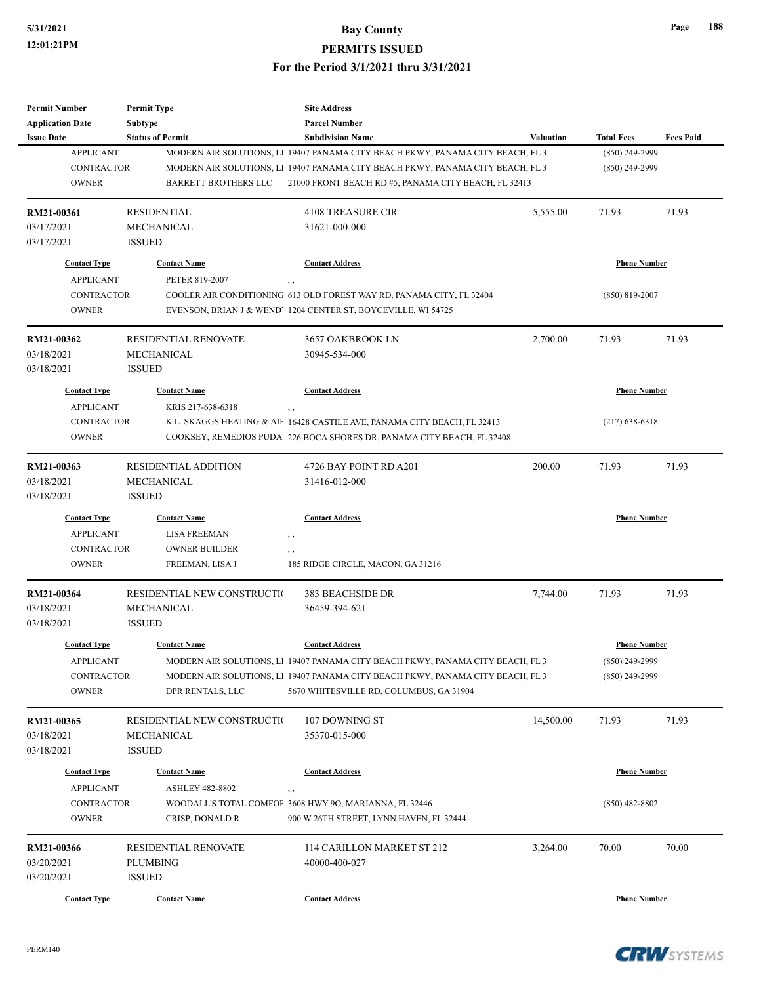### **5/31/2021 Bay County PERMITS ISSUED**

#### **For the Period 3/1/2021 thru 3/31/2021**

| Permit Number           | <b>Permit Type</b>          | <b>Site Address</b>                                                            |                  |                     |                  |
|-------------------------|-----------------------------|--------------------------------------------------------------------------------|------------------|---------------------|------------------|
| <b>Application Date</b> | <b>Subtype</b>              | <b>Parcel Number</b>                                                           |                  |                     |                  |
| <b>Issue Date</b>       | <b>Status of Permit</b>     | <b>Subdivision Name</b>                                                        | <b>Valuation</b> | <b>Total Fees</b>   | <b>Fees Paid</b> |
| <b>APPLICANT</b>        |                             | MODERN AIR SOLUTIONS, LI 19407 PANAMA CITY BEACH PKWY, PANAMA CITY BEACH, FL 3 |                  | (850) 249-2999      |                  |
| <b>CONTRACTOR</b>       |                             | MODERN AIR SOLUTIONS, L1 19407 PANAMA CITY BEACH PKWY, PANAMA CITY BEACH, FL 3 |                  | $(850)$ 249-2999    |                  |
| <b>OWNER</b>            | <b>BARRETT BROTHERS LLC</b> | 21000 FRONT BEACH RD #5, PANAMA CITY BEACH, FL 32413                           |                  |                     |                  |
| RM21-00361              | <b>RESIDENTIAL</b>          | <b>4108 TREASURE CIR</b>                                                       | 5,555.00         | 71.93               | 71.93            |
| 03/17/2021              | MECHANICAL                  | 31621-000-000                                                                  |                  |                     |                  |
| 03/17/2021              | <b>ISSUED</b>               |                                                                                |                  |                     |                  |
| <b>Contact Type</b>     | <b>Contact Name</b>         | <b>Contact Address</b>                                                         |                  | <b>Phone Number</b> |                  |
| <b>APPLICANT</b>        | PETER 819-2007              |                                                                                |                  |                     |                  |
| <b>CONTRACTOR</b>       |                             | COOLER AIR CONDITIONING 613 OLD FOREST WAY RD, PANAMA CITY, FL 32404           |                  | $(850)$ 819-2007    |                  |
| <b>OWNER</b>            |                             | EVENSON, BRIAN J & WEND' 1204 CENTER ST, BOYCEVILLE, WI 54725                  |                  |                     |                  |
| RM21-00362              | <b>RESIDENTIAL RENOVATE</b> | 3657 OAKBROOK LN                                                               | 2,700.00         | 71.93               | 71.93            |
| 03/18/2021              | MECHANICAL                  | 30945-534-000                                                                  |                  |                     |                  |
| 03/18/2021              | <b>ISSUED</b>               |                                                                                |                  |                     |                  |
| <b>Contact Type</b>     | <b>Contact Name</b>         | <b>Contact Address</b>                                                         |                  | <b>Phone Number</b> |                  |
| <b>APPLICANT</b>        | KRIS 217-638-6318           | , ,                                                                            |                  |                     |                  |
| <b>CONTRACTOR</b>       |                             | K.L. SKAGGS HEATING & AIF 16428 CASTILE AVE, PANAMA CITY BEACH, FL 32413       |                  | $(217)$ 638-6318    |                  |
| <b>OWNER</b>            |                             | COOKSEY, REMEDIOS PUDA 226 BOCA SHORES DR, PANAMA CITY BEACH, FL 32408         |                  |                     |                  |
|                         |                             |                                                                                |                  |                     |                  |
| RM21-00363              | <b>RESIDENTIAL ADDITION</b> | 4726 BAY POINT RD A201                                                         | 200.00           | 71.93               | 71.93            |
| 03/18/2021              | <b>MECHANICAL</b>           | 31416-012-000                                                                  |                  |                     |                  |
| 03/18/2021              | <b>ISSUED</b>               |                                                                                |                  |                     |                  |
| <b>Contact Type</b>     | <b>Contact Name</b>         | <b>Contact Address</b>                                                         |                  | <b>Phone Number</b> |                  |
| <b>APPLICANT</b>        | <b>LISA FREEMAN</b>         | , ,                                                                            |                  |                     |                  |
| <b>CONTRACTOR</b>       | <b>OWNER BUILDER</b>        | , ,                                                                            |                  |                     |                  |
| <b>OWNER</b>            | FREEMAN, LISA J             | 185 RIDGE CIRCLE, MACON, GA 31216                                              |                  |                     |                  |
| RM21-00364              | RESIDENTIAL NEW CONSTRUCTIO | 383 BEACHSIDE DR                                                               | 7,744.00         | 71.93               | 71.93            |
| 03/18/2021              | MECHANICAL                  | 36459-394-621                                                                  |                  |                     |                  |
| 03/18/2021              | <b>ISSUED</b>               |                                                                                |                  |                     |                  |
| <b>Contact Type</b>     | <b>Contact Name</b>         | <b>Contact Address</b>                                                         |                  | <b>Phone Number</b> |                  |
| APPLICANT               |                             | MODERN AIR SOLUTIONS, LI 19407 PANAMA CITY BEACH PKWY, PANAMA CITY BEACH, FL 3 |                  | (850) 249-2999      |                  |
| CONTRACTOR              |                             | MODERN AIR SOLUTIONS, LI 19407 PANAMA CITY BEACH PKWY, PANAMA CITY BEACH, FL 3 |                  | $(850)$ 249-2999    |                  |
| <b>OWNER</b>            | DPR RENTALS, LLC            | 5670 WHITESVILLE RD, COLUMBUS, GA 31904                                        |                  |                     |                  |
|                         |                             |                                                                                |                  |                     |                  |
| RM21-00365              | RESIDENTIAL NEW CONSTRUCTIO | 107 DOWNING ST                                                                 | 14,500.00        | 71.93               | 71.93            |
| 03/18/2021              | MECHANICAL                  | 35370-015-000                                                                  |                  |                     |                  |
| 03/18/2021              | <b>ISSUED</b>               |                                                                                |                  |                     |                  |
| <b>Contact Type</b>     | <b>Contact Name</b>         | <b>Contact Address</b>                                                         |                  | <b>Phone Number</b> |                  |
| <b>APPLICANT</b>        | <b>ASHLEY 482-8802</b>      | , ,                                                                            |                  |                     |                  |
| <b>CONTRACTOR</b>       |                             | WOODALL'S TOTAL COMFOF 3608 HWY 90, MARIANNA, FL 32446                         |                  | $(850)$ 482-8802    |                  |
| <b>OWNER</b>            | CRISP, DONALD R             | 900 W 26TH STREET, LYNN HAVEN, FL 32444                                        |                  |                     |                  |
| RM21-00366              | RESIDENTIAL RENOVATE        | 114 CARILLON MARKET ST 212                                                     | 3,264.00         | 70.00               | 70.00            |
| 03/20/2021              | <b>PLUMBING</b>             | 40000-400-027                                                                  |                  |                     |                  |
| 03/20/2021              | <b>ISSUED</b>               |                                                                                |                  |                     |                  |
|                         |                             |                                                                                |                  |                     |                  |
| <b>Contact Type</b>     | <b>Contact Name</b>         | <b>Contact Address</b>                                                         |                  | <b>Phone Number</b> |                  |



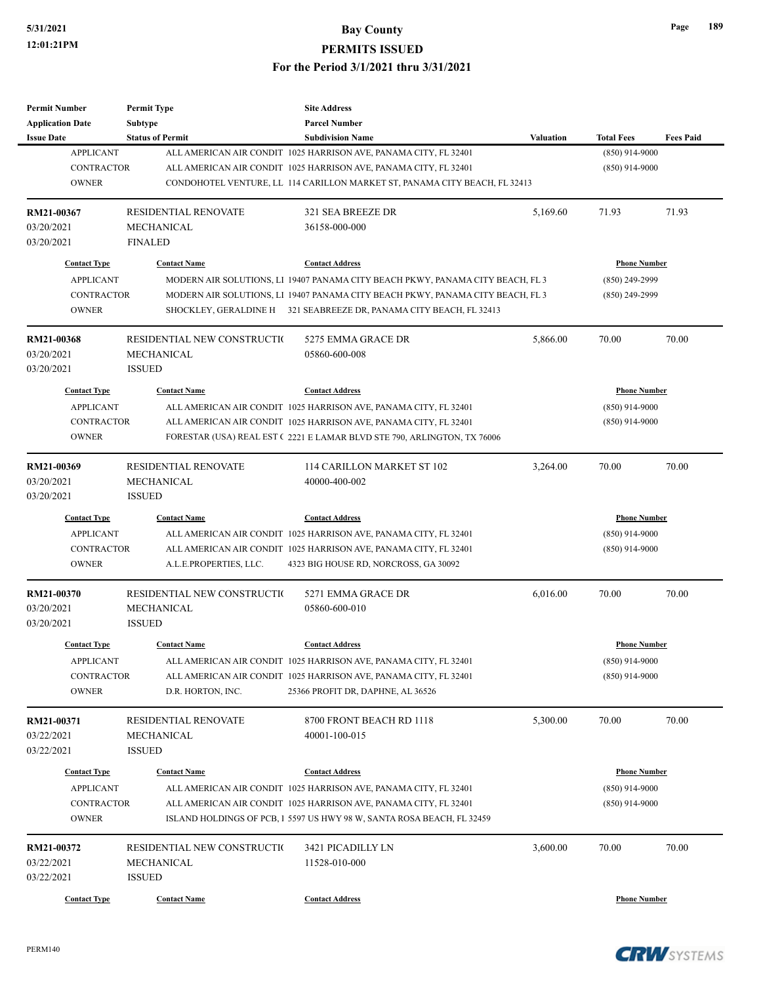## **5/31/2021 Bay County**

**PERMITS ISSUED**

**For the Period 3/1/2021 thru 3/31/2021**

| Permit Number           | <b>Permit Type</b>          | <b>Site Address</b>                                                            |           |                     |                  |
|-------------------------|-----------------------------|--------------------------------------------------------------------------------|-----------|---------------------|------------------|
| <b>Application Date</b> | Subtype                     | <b>Parcel Number</b>                                                           |           |                     |                  |
| <b>Issue Date</b>       | <b>Status of Permit</b>     | <b>Subdivision Name</b>                                                        | Valuation | <b>Total Fees</b>   | <b>Fees Paid</b> |
| <b>APPLICANT</b>        |                             | ALL AMERICAN AIR CONDIT 1025 HARRISON AVE, PANAMA CITY, FL 32401               |           | $(850)$ 914-9000    |                  |
| <b>CONTRACTOR</b>       |                             | ALL AMERICAN AIR CONDIT 1025 HARRISON AVE, PANAMA CITY, FL 32401               |           | $(850)$ 914-9000    |                  |
| <b>OWNER</b>            |                             | CONDOHOTEL VENTURE, LL 114 CARILLON MARKET ST, PANAMA CITY BEACH, FL 32413     |           |                     |                  |
| RM21-00367              | <b>RESIDENTIAL RENOVATE</b> | 321 SEA BREEZE DR                                                              | 5,169.60  | 71.93               | 71.93            |
| 03/20/2021              | MECHANICAL                  | 36158-000-000                                                                  |           |                     |                  |
| 03/20/2021              | <b>FINALED</b>              |                                                                                |           |                     |                  |
| <b>Contact Type</b>     | <b>Contact Name</b>         | <b>Contact Address</b>                                                         |           | <b>Phone Number</b> |                  |
| <b>APPLICANT</b>        |                             | MODERN AIR SOLUTIONS, LI 19407 PANAMA CITY BEACH PKWY, PANAMA CITY BEACH, FL 3 |           | $(850)$ 249-2999    |                  |
| <b>CONTRACTOR</b>       |                             | MODERN AIR SOLUTIONS, LI 19407 PANAMA CITY BEACH PKWY, PANAMA CITY BEACH, FL 3 |           | $(850)$ 249-2999    |                  |
| <b>OWNER</b>            |                             | SHOCKLEY, GERALDINE H 321 SEABREEZE DR, PANAMA CITY BEACH, FL 32413            |           |                     |                  |
| RM21-00368              | RESIDENTIAL NEW CONSTRUCTIO | 5275 EMMA GRACE DR                                                             | 5,866.00  | 70.00               | 70.00            |
| 03/20/2021              | MECHANICAL                  | 05860-600-008                                                                  |           |                     |                  |
| 03/20/2021              | <b>ISSUED</b>               |                                                                                |           |                     |                  |
| <b>Contact Type</b>     | <b>Contact Name</b>         | <b>Contact Address</b>                                                         |           | <b>Phone Number</b> |                  |
| <b>APPLICANT</b>        |                             | ALL AMERICAN AIR CONDIT 1025 HARRISON AVE, PANAMA CITY, FL 32401               |           | $(850)$ 914-9000    |                  |
| <b>CONTRACTOR</b>       |                             | ALL AMERICAN AIR CONDIT 1025 HARRISON AVE, PANAMA CITY, FL 32401               |           | $(850)$ 914-9000    |                  |
| <b>OWNER</b>            |                             | FORESTAR (USA) REAL EST (2221 E LAMAR BLVD STE 790, ARLINGTON, TX 76006        |           |                     |                  |
|                         |                             |                                                                                |           |                     |                  |
| RM21-00369              | <b>RESIDENTIAL RENOVATE</b> | 114 CARILLON MARKET ST 102                                                     | 3,264.00  | 70.00               | 70.00            |
| 03/20/2021              | MECHANICAL                  | 40000-400-002                                                                  |           |                     |                  |
| 03/20/2021              | <b>ISSUED</b>               |                                                                                |           |                     |                  |
| <b>Contact Type</b>     | <b>Contact Name</b>         | <b>Contact Address</b>                                                         |           | <b>Phone Number</b> |                  |
| <b>APPLICANT</b>        |                             | ALL AMERICAN AIR CONDIT 1025 HARRISON AVE, PANAMA CITY, FL 32401               |           | $(850)$ 914-9000    |                  |
| <b>CONTRACTOR</b>       |                             | ALL AMERICAN AIR CONDIT 1025 HARRISON AVE, PANAMA CITY, FL 32401               |           | $(850)$ 914-9000    |                  |
| <b>OWNER</b>            | A.L.E.PROPERTIES, LLC.      | 4323 BIG HOUSE RD, NORCROSS, GA 30092                                          |           |                     |                  |
| RM21-00370              | RESIDENTIAL NEW CONSTRUCTIO | 5271 EMMA GRACE DR                                                             | 6,016.00  | 70.00               | 70.00            |
| 03/20/2021              | MECHANICAL                  | 05860-600-010                                                                  |           |                     |                  |
| 03/20/2021              | <b>ISSUED</b>               |                                                                                |           |                     |                  |
| <b>Contact Type</b>     | <b>Contact Name</b>         | <b>Contact Address</b>                                                         |           | <b>Phone Number</b> |                  |
| APPLICANT               |                             | ALL AMERICAN AIR CONDIT 1025 HARRISON AVE, PANAMA CITY, FL 32401               |           | $(850)$ 914-9000    |                  |
| CONTRACTOR              |                             | ALL AMERICAN AIR CONDIT 1025 HARRISON AVE, PANAMA CITY, FL 32401               |           | $(850)$ 914-9000    |                  |
| <b>OWNER</b>            | D.R. HORTON, INC.           | 25366 PROFIT DR, DAPHNE, AL 36526                                              |           |                     |                  |
| RM21-00371              | RESIDENTIAL RENOVATE        | 8700 FRONT BEACH RD 1118                                                       | 5,300.00  | 70.00               | 70.00            |
| 03/22/2021              | MECHANICAL                  | 40001-100-015                                                                  |           |                     |                  |
| 03/22/2021              | <b>ISSUED</b>               |                                                                                |           |                     |                  |
| <b>Contact Type</b>     | <b>Contact Name</b>         | <b>Contact Address</b>                                                         |           | <b>Phone Number</b> |                  |
|                         |                             |                                                                                |           |                     |                  |
| <b>APPLICANT</b>        |                             | ALL AMERICAN AIR CONDIT 1025 HARRISON AVE, PANAMA CITY, FL 32401               |           | $(850)$ 914-9000    |                  |
| <b>CONTRACTOR</b>       |                             | ALL AMERICAN AIR CONDIT 1025 HARRISON AVE, PANAMA CITY, FL 32401               |           | $(850)$ 914-9000    |                  |
| <b>OWNER</b>            |                             | ISLAND HOLDINGS OF PCB, 1 5597 US HWY 98 W, SANTA ROSA BEACH, FL 32459         |           |                     |                  |
| RM21-00372              | RESIDENTIAL NEW CONSTRUCTIO | 3421 PICADILLY LN                                                              | 3,600.00  | 70.00               | 70.00            |
| 03/22/2021              | MECHANICAL                  | 11528-010-000                                                                  |           |                     |                  |
| 03/22/2021              | <b>ISSUED</b>               |                                                                                |           |                     |                  |
|                         |                             |                                                                                |           |                     |                  |
| <b>Contact Type</b>     | <b>Contact Name</b>         | <b>Contact Address</b>                                                         |           | <b>Phone Number</b> |                  |

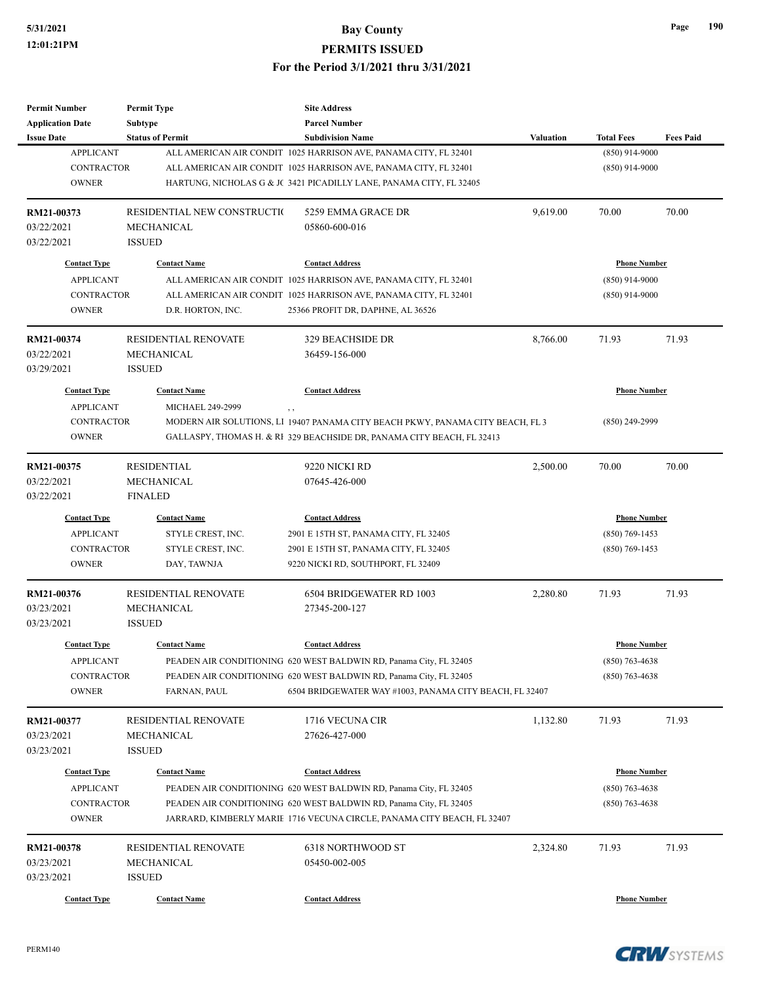| Permit Number           | <b>Permit Type</b>          | <b>Site Address</b>                                                            |           |                     |                  |
|-------------------------|-----------------------------|--------------------------------------------------------------------------------|-----------|---------------------|------------------|
| <b>Application Date</b> | <b>Subtype</b>              | <b>Parcel Number</b>                                                           |           |                     |                  |
| <b>Issue Date</b>       | <b>Status of Permit</b>     | <b>Subdivision Name</b>                                                        | Valuation | <b>Total Fees</b>   | <b>Fees Paid</b> |
| <b>APPLICANT</b>        |                             | ALL AMERICAN AIR CONDIT 1025 HARRISON AVE, PANAMA CITY, FL 32401               |           | $(850)$ 914-9000    |                  |
| <b>CONTRACTOR</b>       |                             | ALL AMERICAN AIR CONDIT 1025 HARRISON AVE, PANAMA CITY, FL 32401               |           | $(850)$ 914-9000    |                  |
| <b>OWNER</b>            |                             | HARTUNG, NICHOLAS G & JC 3421 PICADILLY LANE, PANAMA CITY, FL 32405            |           |                     |                  |
| RM21-00373              | RESIDENTIAL NEW CONSTRUCTIO | 5259 EMMA GRACE DR                                                             | 9,619.00  | 70.00               | 70.00            |
| 03/22/2021              | MECHANICAL                  | 05860-600-016                                                                  |           |                     |                  |
| 03/22/2021              | <b>ISSUED</b>               |                                                                                |           |                     |                  |
| <b>Contact Type</b>     | <b>Contact Name</b>         | <b>Contact Address</b>                                                         |           | <b>Phone Number</b> |                  |
| <b>APPLICANT</b>        |                             | ALL AMERICAN AIR CONDIT 1025 HARRISON AVE, PANAMA CITY, FL 32401               |           | $(850)$ 914-9000    |                  |
| <b>CONTRACTOR</b>       |                             | ALL AMERICAN AIR CONDIT 1025 HARRISON AVE, PANAMA CITY, FL 32401               |           | $(850)$ 914-9000    |                  |
| <b>OWNER</b>            | D.R. HORTON, INC.           | 25366 PROFIT DR, DAPHNE, AL 36526                                              |           |                     |                  |
| RM21-00374              | <b>RESIDENTIAL RENOVATE</b> | 329 BEACHSIDE DR                                                               | 8,766.00  | 71.93               | 71.93            |
| 03/22/2021              | MECHANICAL                  | 36459-156-000                                                                  |           |                     |                  |
| 03/29/2021              | <b>ISSUED</b>               |                                                                                |           |                     |                  |
| <b>Contact Type</b>     | <b>Contact Name</b>         | <b>Contact Address</b>                                                         |           | <b>Phone Number</b> |                  |
| <b>APPLICANT</b>        | MICHAEL 249-2999            | $, \, , \,$                                                                    |           |                     |                  |
| <b>CONTRACTOR</b>       |                             | MODERN AIR SOLUTIONS, LI 19407 PANAMA CITY BEACH PKWY, PANAMA CITY BEACH, FL 3 |           | $(850)$ 249-2999    |                  |
| <b>OWNER</b>            |                             | GALLASPY, THOMAS H. & RI 329 BEACHSIDE DR, PANAMA CITY BEACH, FL 32413         |           |                     |                  |
| RM21-00375              | <b>RESIDENTIAL</b>          | 9220 NICKI RD                                                                  | 2,500.00  | 70.00               | 70.00            |
| 03/22/2021              | <b>MECHANICAL</b>           | 07645-426-000                                                                  |           |                     |                  |
| 03/22/2021              | <b>FINALED</b>              |                                                                                |           |                     |                  |
| <b>Contact Type</b>     | <b>Contact Name</b>         | <b>Contact Address</b>                                                         |           | <b>Phone Number</b> |                  |
| <b>APPLICANT</b>        | STYLE CREST, INC.           | 2901 E 15TH ST, PANAMA CITY, FL 32405                                          |           | $(850)$ 769-1453    |                  |
| <b>CONTRACTOR</b>       | STYLE CREST, INC.           | 2901 E 15TH ST, PANAMA CITY, FL 32405                                          |           | $(850)$ 769-1453    |                  |
| <b>OWNER</b>            | DAY, TAWNJA                 | 9220 NICKI RD, SOUTHPORT, FL 32409                                             |           |                     |                  |
| RM21-00376              | <b>RESIDENTIAL RENOVATE</b> | 6504 BRIDGEWATER RD 1003                                                       | 2,280.80  | 71.93               | 71.93            |
| 03/23/2021              | MECHANICAL                  | 27345-200-127                                                                  |           |                     |                  |
| 03/23/2021              | <b>ISSUED</b>               |                                                                                |           |                     |                  |
| <b>Contact Type</b>     | <b>Contact Name</b>         | <b>Contact Address</b>                                                         |           | <b>Phone Number</b> |                  |
| APPLICANT               |                             | PEADEN AIR CONDITIONING 620 WEST BALDWIN RD, Panama City, FL 32405             |           | $(850)$ 763-4638    |                  |
| CONTRACTOR              |                             | PEADEN AIR CONDITIONING 620 WEST BALDWIN RD, Panama City, FL 32405             |           | $(850)$ 763-4638    |                  |
| <b>OWNER</b>            | FARNAN, PAUL                | 6504 BRIDGEWATER WAY #1003, PANAMA CITY BEACH, FL 32407                        |           |                     |                  |
| RM21-00377              | RESIDENTIAL RENOVATE        | 1716 VECUNA CIR                                                                | 1,132.80  | 71.93               | 71.93            |
| 03/23/2021              | MECHANICAL                  | 27626-427-000                                                                  |           |                     |                  |
| 03/23/2021              |                             |                                                                                |           |                     |                  |
|                         | <b>ISSUED</b>               |                                                                                |           |                     |                  |
| <b>Contact Type</b>     | <b>Contact Name</b>         | <b>Contact Address</b>                                                         |           | <b>Phone Number</b> |                  |
| <b>APPLICANT</b>        |                             | PEADEN AIR CONDITIONING 620 WEST BALDWIN RD, Panama City, FL 32405             |           | $(850)$ 763-4638    |                  |
| <b>CONTRACTOR</b>       |                             | PEADEN AIR CONDITIONING 620 WEST BALDWIN RD, Panama City, FL 32405             |           | $(850)$ 763-4638    |                  |
| <b>OWNER</b>            |                             | JARRARD, KIMBERLY MARIE 1716 VECUNA CIRCLE, PANAMA CITY BEACH, FL 32407        |           |                     |                  |
| RM21-00378              | RESIDENTIAL RENOVATE        | 6318 NORTHWOOD ST                                                              | 2,324.80  | 71.93               | 71.93            |
| 03/23/2021              | MECHANICAL                  | 05450-002-005                                                                  |           |                     |                  |
| 03/23/2021              | <b>ISSUED</b>               |                                                                                |           |                     |                  |
| <b>Contact Type</b>     | <b>Contact Name</b>         | <b>Contact Address</b>                                                         |           | <b>Phone Number</b> |                  |
|                         |                             |                                                                                |           |                     |                  |



**Page 190**

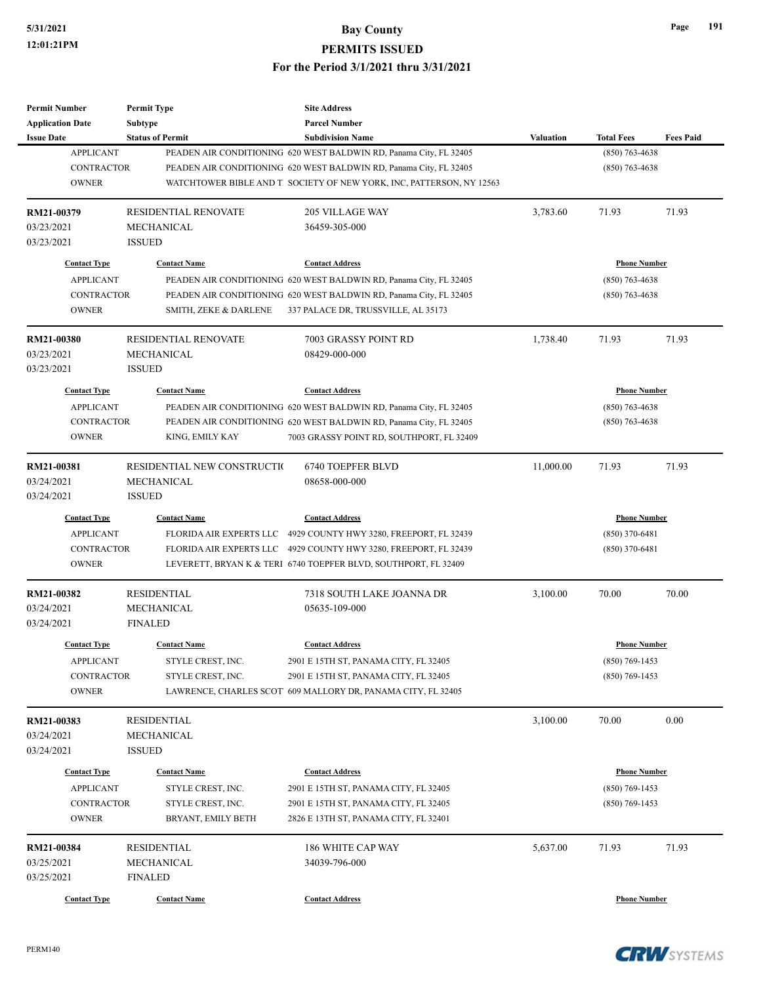| <b>Permit Number</b>    | <b>Permit Type</b>          | <b>Site Address</b>                                                   |                  |                     |                  |
|-------------------------|-----------------------------|-----------------------------------------------------------------------|------------------|---------------------|------------------|
| <b>Application Date</b> | <b>Subtype</b>              | <b>Parcel Number</b>                                                  |                  |                     |                  |
| <b>Issue Date</b>       | <b>Status of Permit</b>     | <b>Subdivision Name</b>                                               | <b>Valuation</b> | <b>Total Fees</b>   | <b>Fees Paid</b> |
| <b>APPLICANT</b>        |                             | PEADEN AIR CONDITIONING 620 WEST BALDWIN RD, Panama City, FL 32405    |                  | $(850)$ 763-4638    |                  |
| <b>CONTRACTOR</b>       |                             | PEADEN AIR CONDITIONING 620 WEST BALDWIN RD, Panama City, FL 32405    |                  | $(850)$ 763-4638    |                  |
| <b>OWNER</b>            |                             | WATCHTOWER BIBLE AND T. SOCIETY OF NEW YORK, INC, PATTERSON, NY 12563 |                  |                     |                  |
| RM21-00379              | <b>RESIDENTIAL RENOVATE</b> | <b>205 VILLAGE WAY</b>                                                | 3,783.60         | 71.93               | 71.93            |
| 03/23/2021              | MECHANICAL                  | 36459-305-000                                                         |                  |                     |                  |
| 03/23/2021              | <b>ISSUED</b>               |                                                                       |                  |                     |                  |
| <b>Contact Type</b>     | <b>Contact Name</b>         | <b>Contact Address</b>                                                |                  | <b>Phone Number</b> |                  |
| <b>APPLICANT</b>        |                             | PEADEN AIR CONDITIONING 620 WEST BALDWIN RD, Panama City, FL 32405    |                  | $(850)$ 763-4638    |                  |
| <b>CONTRACTOR</b>       |                             | PEADEN AIR CONDITIONING 620 WEST BALDWIN RD, Panama City, FL 32405    |                  | $(850)$ 763-4638    |                  |
| <b>OWNER</b>            | SMITH, ZEKE & DARLENE       | 337 PALACE DR, TRUSSVILLE, AL 35173                                   |                  |                     |                  |
| <b>RM21-00380</b>       | <b>RESIDENTIAL RENOVATE</b> | 7003 GRASSY POINT RD                                                  | 1,738.40         | 71.93               | 71.93            |
| 03/23/2021              | MECHANICAL                  | 08429-000-000                                                         |                  |                     |                  |
| 03/23/2021              | <b>ISSUED</b>               |                                                                       |                  |                     |                  |
| <b>Contact Type</b>     | <b>Contact Name</b>         | <b>Contact Address</b>                                                |                  | <b>Phone Number</b> |                  |
| <b>APPLICANT</b>        |                             | PEADEN AIR CONDITIONING 620 WEST BALDWIN RD, Panama City, FL 32405    |                  | $(850)$ 763-4638    |                  |
| <b>CONTRACTOR</b>       |                             | PEADEN AIR CONDITIONING 620 WEST BALDWIN RD, Panama City, FL 32405    |                  | $(850)$ 763-4638    |                  |
| <b>OWNER</b>            | KING, EMILY KAY             | 7003 GRASSY POINT RD, SOUTHPORT, FL 32409                             |                  |                     |                  |
|                         |                             |                                                                       |                  |                     |                  |
| RM21-00381              | RESIDENTIAL NEW CONSTRUCTIO | 6740 TOEPFER BLVD                                                     | 11,000.00        | 71.93               | 71.93            |
| 03/24/2021              | MECHANICAL                  | 08658-000-000                                                         |                  |                     |                  |
| 03/24/2021              | <b>ISSUED</b>               |                                                                       |                  |                     |                  |
| <b>Contact Type</b>     | <b>Contact Name</b>         | <b>Contact Address</b>                                                |                  | <b>Phone Number</b> |                  |
| <b>APPLICANT</b>        |                             | FLORIDA AIR EXPERTS LLC 4929 COUNTY HWY 3280, FREEPORT, FL 32439      |                  | $(850)$ 370-6481    |                  |
| <b>CONTRACTOR</b>       |                             | FLORIDA AIR EXPERTS LLC 4929 COUNTY HWY 3280, FREEPORT, FL 32439      |                  | $(850)$ 370-6481    |                  |
| <b>OWNER</b>            |                             | LEVERETT, BRYAN K & TERI 6740 TOEPFER BLVD, SOUTHPORT, FL 32409       |                  |                     |                  |
| RM21-00382              | <b>RESIDENTIAL</b>          | 7318 SOUTH LAKE JOANNA DR                                             | 3,100.00         | 70.00               | 70.00            |
| 03/24/2021              | MECHANICAL                  | 05635-109-000                                                         |                  |                     |                  |
| 03/24/2021              | <b>FINALED</b>              |                                                                       |                  |                     |                  |
| <b>Contact Type</b>     | <b>Contact Name</b>         | <b>Contact Address</b>                                                |                  | <b>Phone Number</b> |                  |
| <b>APPLICANT</b>        | STYLE CREST, INC.           | 2901 E 15TH ST, PANAMA CITY, FL 32405                                 |                  | $(850) 769 - 1453$  |                  |
| <b>CONTRACTOR</b>       | STYLE CREST, INC.           | 2901 E 15TH ST, PANAMA CITY, FL 32405                                 |                  | $(850)$ 769-1453    |                  |
| <b>OWNER</b>            |                             | LAWRENCE, CHARLES SCOT 609 MALLORY DR, PANAMA CITY, FL 32405          |                  |                     |                  |
| RM21-00383              | <b>RESIDENTIAL</b>          |                                                                       | 3,100.00         | 70.00               | 0.00             |
| 03/24/2021              | MECHANICAL                  |                                                                       |                  |                     |                  |
| 03/24/2021              | <b>ISSUED</b>               |                                                                       |                  |                     |                  |
| <b>Contact Type</b>     | <b>Contact Name</b>         | <b>Contact Address</b>                                                |                  | <b>Phone Number</b> |                  |
| <b>APPLICANT</b>        | STYLE CREST, INC.           | 2901 E 15TH ST, PANAMA CITY, FL 32405                                 |                  | $(850)$ 769-1453    |                  |
| <b>CONTRACTOR</b>       | STYLE CREST, INC.           | 2901 E 15TH ST, PANAMA CITY, FL 32405                                 |                  | $(850)$ 769-1453    |                  |
| <b>OWNER</b>            | BRYANT, EMILY BETH          | 2826 E 13TH ST, PANAMA CITY, FL 32401                                 |                  |                     |                  |
|                         |                             |                                                                       |                  |                     |                  |
| RM21-00384              | <b>RESIDENTIAL</b>          | 186 WHITE CAP WAY                                                     | 5,637.00         | 71.93               | 71.93            |
| 03/25/2021              | MECHANICAL                  | 34039-796-000                                                         |                  |                     |                  |
| 03/25/2021              | <b>FINALED</b>              |                                                                       |                  |                     |                  |
| <b>Contact Type</b>     | <b>Contact Name</b>         | <b>Contact Address</b>                                                |                  | <b>Phone Number</b> |                  |



**Page 191**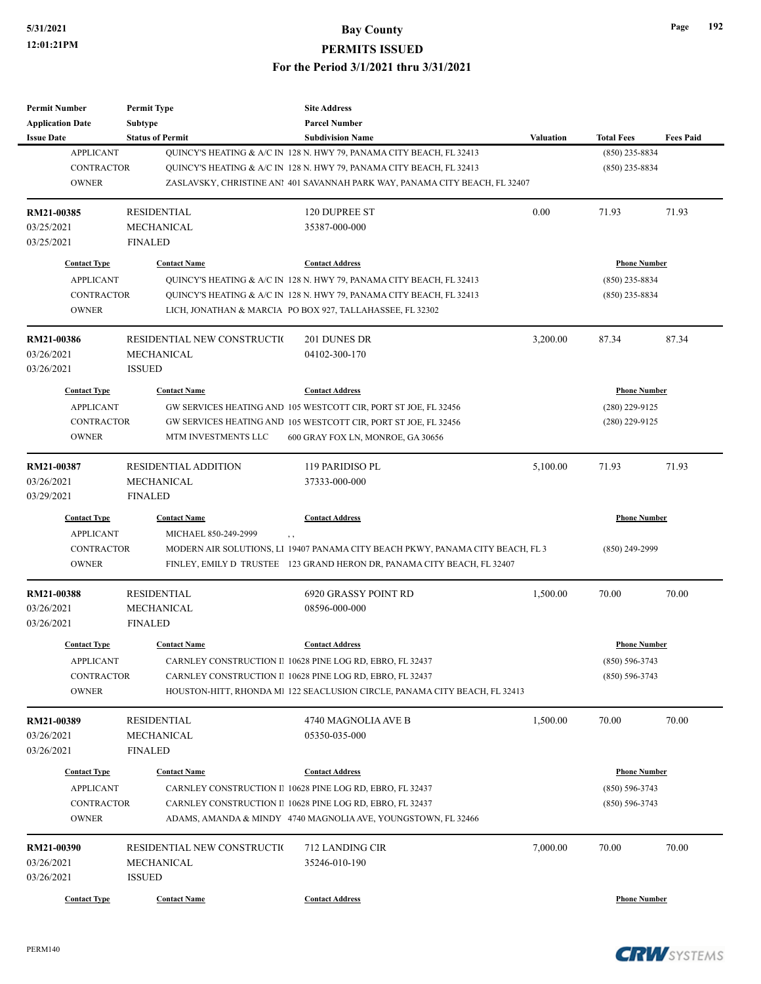| <b>Permit Number</b>    | <b>Permit Type</b>           | <b>Site Address</b>                                                            |                  |                     |                  |
|-------------------------|------------------------------|--------------------------------------------------------------------------------|------------------|---------------------|------------------|
| <b>Application Date</b> | <b>Subtype</b>               | <b>Parcel Number</b>                                                           |                  |                     |                  |
| <b>Issue Date</b>       | <b>Status of Permit</b>      | <b>Subdivision Name</b>                                                        | <b>Valuation</b> | <b>Total Fees</b>   | <b>Fees Paid</b> |
| <b>APPLICANT</b>        |                              | QUINCY'S HEATING & A/C IN 128 N. HWY 79, PANAMA CITY BEACH, FL 32413           |                  | $(850)$ 235-8834    |                  |
| <b>CONTRACTOR</b>       |                              | QUINCY'S HEATING & A/C IN 128 N. HWY 79, PANAMA CITY BEACH, FL 32413           |                  | $(850)$ 235-8834    |                  |
| <b>OWNER</b>            |                              | ZASLAVSKY, CHRISTINE ANI 401 SAVANNAH PARK WAY, PANAMA CITY BEACH, FL 32407    |                  |                     |                  |
| RM21-00385              | <b>RESIDENTIAL</b>           | 120 DUPREE ST                                                                  | 0.00             | 71.93               | 71.93            |
| 03/25/2021              | <b>MECHANICAL</b>            | 35387-000-000                                                                  |                  |                     |                  |
| 03/25/2021              | <b>FINALED</b>               |                                                                                |                  |                     |                  |
| <b>Contact Type</b>     | <b>Contact Name</b>          | <b>Contact Address</b>                                                         |                  | <b>Phone Number</b> |                  |
| <b>APPLICANT</b>        |                              | QUINCY'S HEATING & A/C IN 128 N. HWY 79, PANAMA CITY BEACH, FL 32413           |                  | $(850)$ 235-8834    |                  |
| CONTRACTOR              |                              | QUINCY'S HEATING & A/C IN 128 N. HWY 79, PANAMA CITY BEACH, FL 32413           |                  | $(850)$ 235-8834    |                  |
| <b>OWNER</b>            |                              | LICH, JONATHAN & MARCIA PO BOX 927, TALLAHASSEE, FL 32302                      |                  |                     |                  |
| RM21-00386              | RESIDENTIAL NEW CONSTRUCTIO  | 201 DUNES DR                                                                   | 3,200.00         | 87.34               | 87.34            |
| 03/26/2021              | MECHANICAL                   | 04102-300-170                                                                  |                  |                     |                  |
| 03/26/2021              | <b>ISSUED</b>                |                                                                                |                  |                     |                  |
| <b>Contact Type</b>     | <b>Contact Name</b>          | <b>Contact Address</b>                                                         |                  | <b>Phone Number</b> |                  |
| <b>APPLICANT</b>        |                              | GW SERVICES HEATING AND 105 WESTCOTT CIR, PORT ST JOE, FL 32456                |                  | $(280)$ 229-9125    |                  |
| <b>CONTRACTOR</b>       |                              | GW SERVICES HEATING AND 105 WESTCOTT CIR, PORT ST JOE, FL 32456                |                  | $(280)$ 229-9125    |                  |
| <b>OWNER</b>            | MTM INVESTMENTS LLC          | 600 GRAY FOX LN, MONROE, GA 30656                                              |                  |                     |                  |
| RM21-00387              | <b>RESIDENTIAL ADDITION</b>  | 119 PARIDISO PL                                                                | 5,100.00         | 71.93               | 71.93            |
| 03/26/2021              | MECHANICAL                   | 37333-000-000                                                                  |                  |                     |                  |
| 03/29/2021              | <b>FINALED</b>               |                                                                                |                  |                     |                  |
| <b>Contact Type</b>     | <b>Contact Name</b>          | <b>Contact Address</b>                                                         |                  | <b>Phone Number</b> |                  |
| <b>APPLICANT</b>        | MICHAEL 850-249-2999         | $, \, , \,$                                                                    |                  |                     |                  |
| <b>CONTRACTOR</b>       |                              | MODERN AIR SOLUTIONS, LI 19407 PANAMA CITY BEACH PKWY, PANAMA CITY BEACH, FL 3 |                  | $(850)$ 249-2999    |                  |
| <b>OWNER</b>            |                              | FINLEY, EMILY D TRUSTEE 123 GRAND HERON DR, PANAMA CITY BEACH, FL 32407        |                  |                     |                  |
| RM21-00388              | <b>RESIDENTIAL</b>           | 6920 GRASSY POINT RD                                                           | 1,500.00         | 70.00               | 70.00            |
| 03/26/2021              | MECHANICAL                   | 08596-000-000                                                                  |                  |                     |                  |
| 03/26/2021              | <b>FINALED</b>               |                                                                                |                  |                     |                  |
| <b>Contact Type</b>     | <b>Contact Name</b>          | <b>Contact Address</b>                                                         |                  | <b>Phone Number</b> |                  |
| <b>APPLICANT</b>        |                              | CARNLEY CONSTRUCTION II 10628 PINE LOG RD, EBRO, FL 32437                      |                  | $(850) 596 - 3743$  |                  |
| CONTRACTOR              |                              | CARNLEY CONSTRUCTION II 10628 PINE LOG RD, EBRO, FL 32437                      |                  | $(850) 596 - 3743$  |                  |
| <b>OWNER</b>            |                              | HOUSTON-HITT, RHONDA M1 122 SEACLUSION CIRCLE, PANAMA CITY BEACH, FL 32413     |                  |                     |                  |
| RM21-00389              | <b>RESIDENTIAL</b>           | 4740 MAGNOLIA AVE B                                                            | 1,500.00         | 70.00               | 70.00            |
| 03/26/2021              | MECHANICAL                   | 05350-035-000                                                                  |                  |                     |                  |
| 03/26/2021              | <b>FINALED</b>               |                                                                                |                  |                     |                  |
| <b>Contact Type</b>     | <b>Contact Name</b>          | <b>Contact Address</b>                                                         |                  | <b>Phone Number</b> |                  |
| <b>APPLICANT</b>        |                              | CARNLEY CONSTRUCTION II 10628 PINE LOG RD, EBRO, FL 32437                      |                  | $(850) 596 - 3743$  |                  |
| CONTRACTOR              |                              | CARNLEY CONSTRUCTION II 10628 PINE LOG RD, EBRO, FL 32437                      |                  | $(850) 596 - 3743$  |                  |
| <b>OWNER</b>            |                              | ADAMS, AMANDA & MINDY 4740 MAGNOLIA AVE, YOUNGSTOWN, FL 32466                  |                  |                     |                  |
| RM21-00390              | RESIDENTIAL NEW CONSTRUCTION | 712 LANDING CIR                                                                | 7,000.00         | 70.00               | 70.00            |
| 03/26/2021              | MECHANICAL                   | 35246-010-190                                                                  |                  |                     |                  |
| 03/26/2021              | <b>ISSUED</b>                |                                                                                |                  |                     |                  |
|                         |                              |                                                                                |                  |                     |                  |
| <b>Contact Type</b>     | <b>Contact Name</b>          | <b>Contact Address</b>                                                         |                  | <b>Phone Number</b> |                  |

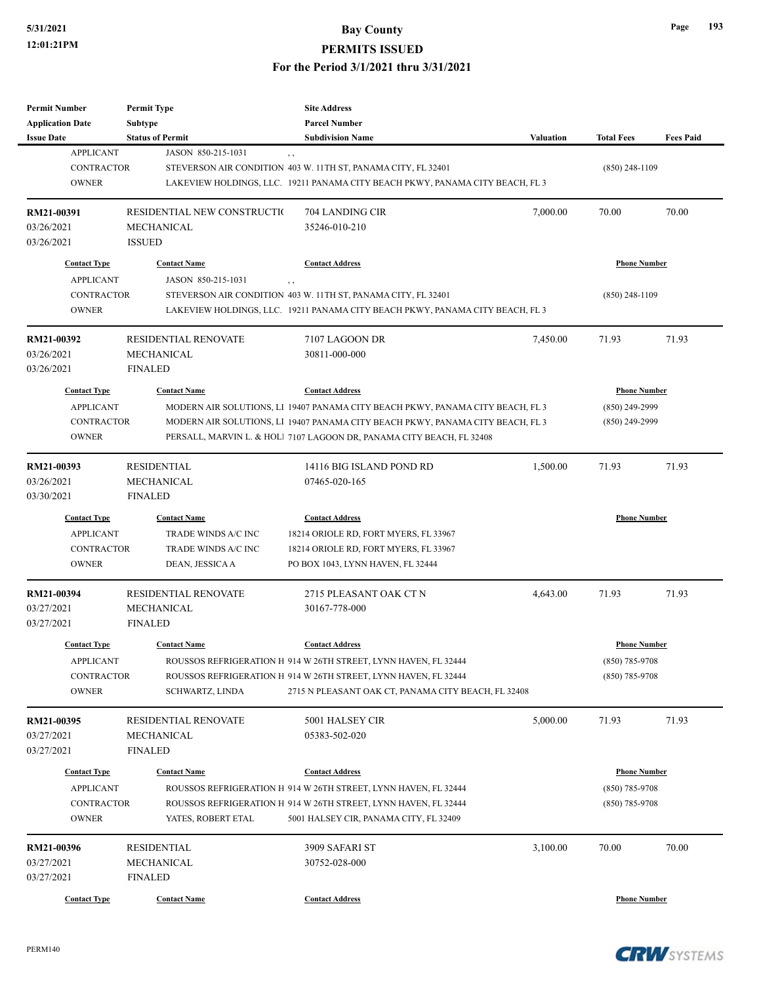# **5/31/2021 Bay County**

**PERMITS ISSUED**

**For the Period 3/1/2021 thru 3/31/2021**

| <b>Permit Number</b><br><b>Application Date</b>                              | <b>Permit Type</b><br><b>Subtype</b>                                                 | <b>Site Address</b><br><b>Parcel Number</b>                                                                                                                                                                                                                         |                  |                                                             |                  |
|------------------------------------------------------------------------------|--------------------------------------------------------------------------------------|---------------------------------------------------------------------------------------------------------------------------------------------------------------------------------------------------------------------------------------------------------------------|------------------|-------------------------------------------------------------|------------------|
| <b>Issue Date</b>                                                            | <b>Status of Permit</b>                                                              | <b>Subdivision Name</b>                                                                                                                                                                                                                                             | <b>Valuation</b> | <b>Total Fees</b>                                           | <b>Fees Paid</b> |
| <b>APPLICANT</b><br><b>CONTRACTOR</b><br><b>OWNER</b>                        | JASON 850-215-1031                                                                   | , ,<br>STEVERSON AIR CONDITION 403 W. 11TH ST, PANAMA CITY, FL 32401<br>LAKEVIEW HOLDINGS, LLC. 19211 PANAMA CITY BEACH PKWY, PANAMA CITY BEACH, FL 3                                                                                                               |                  | $(850)$ 248-1109                                            |                  |
| RM21-00391<br>03/26/2021<br>03/26/2021                                       | RESIDENTIAL NEW CONSTRUCTIO<br>MECHANICAL<br><b>ISSUED</b>                           | 704 LANDING CIR<br>35246-010-210                                                                                                                                                                                                                                    | 7,000.00         | 70.00                                                       | 70.00            |
| <b>Contact Type</b>                                                          | <b>Contact Name</b>                                                                  | <b>Contact Address</b>                                                                                                                                                                                                                                              |                  | <b>Phone Number</b>                                         |                  |
| <b>APPLICANT</b><br><b>CONTRACTOR</b><br><b>OWNER</b>                        | JASON 850-215-1031                                                                   | , ,<br>STEVERSON AIR CONDITION 403 W. 11TH ST, PANAMA CITY, FL 32401<br>LAKEVIEW HOLDINGS, LLC. 19211 PANAMA CITY BEACH PKWY, PANAMA CITY BEACH, FL 3                                                                                                               |                  | $(850)$ 248-1109                                            |                  |
| RM21-00392<br>03/26/2021<br>03/26/2021                                       | <b>RESIDENTIAL RENOVATE</b><br><b>MECHANICAL</b><br><b>FINALED</b>                   | 7107 LAGOON DR<br>30811-000-000                                                                                                                                                                                                                                     | 7,450.00         | 71.93                                                       | 71.93            |
| <b>Contact Type</b><br><b>APPLICANT</b><br><b>CONTRACTOR</b><br><b>OWNER</b> | <b>Contact Name</b>                                                                  | <b>Contact Address</b><br>MODERN AIR SOLUTIONS, LI 19407 PANAMA CITY BEACH PKWY, PANAMA CITY BEACH, FL 3<br>MODERN AIR SOLUTIONS, LI 19407 PANAMA CITY BEACH PKWY, PANAMA CITY BEACH, FL 3<br>PERSALL, MARVIN L. & HOL1 7107 LAGOON DR, PANAMA CITY BEACH, FL 32408 |                  | <b>Phone Number</b><br>$(850)$ 249-2999<br>(850) 249-2999   |                  |
| RM21-00393<br>03/26/2021<br>03/30/2021                                       | <b>RESIDENTIAL</b><br>MECHANICAL<br><b>FINALED</b>                                   | 14116 BIG ISLAND POND RD<br>07465-020-165                                                                                                                                                                                                                           | 1,500.00         | 71.93                                                       | 71.93            |
| <b>Contact Type</b><br><b>APPLICANT</b><br><b>CONTRACTOR</b><br><b>OWNER</b> | <b>Contact Name</b><br>TRADE WINDS A/C INC<br>TRADE WINDS A/C INC<br>DEAN, JESSICA A | <b>Contact Address</b><br>18214 ORIOLE RD, FORT MYERS, FL 33967<br>18214 ORIOLE RD, FORT MYERS, FL 33967<br>PO BOX 1043, LYNN HAVEN, FL 32444                                                                                                                       |                  | <b>Phone Number</b>                                         |                  |
| RM21-00394<br>03/27/2021<br>03/27/2021                                       | <b>RESIDENTIAL RENOVATE</b><br>MECHANICAL<br><b>FINALED</b>                          | 2715 PLEASANT OAK CT N<br>30167-778-000                                                                                                                                                                                                                             | 4,643.00         | 71.93                                                       | 71.93            |
| <b>Contact Type</b><br><b>APPLICANT</b><br><b>CONTRACTOR</b><br><b>OWNER</b> | <b>Contact Name</b><br>SCHWARTZ, LINDA                                               | <b>Contact Address</b><br>ROUSSOS REFRIGERATION H 914 W 26TH STREET, LYNN HAVEN, FL 32444<br>ROUSSOS REFRIGERATION H 914 W 26TH STREET, LYNN HAVEN, FL 32444<br>2715 N PLEASANT OAK CT, PANAMA CITY BEACH, FL 32408                                                 |                  | <b>Phone Number</b><br>(850) 785-9708<br>$(850)$ 785-9708   |                  |
| RM21-00395<br>03/27/2021<br>03/27/2021                                       | <b>RESIDENTIAL RENOVATE</b><br>MECHANICAL<br><b>FINALED</b>                          | 5001 HALSEY CIR<br>05383-502-020                                                                                                                                                                                                                                    | 5,000.00         | 71.93                                                       | 71.93            |
| <b>Contact Type</b><br><b>APPLICANT</b><br><b>CONTRACTOR</b><br><b>OWNER</b> | <b>Contact Name</b><br>YATES, ROBERT ETAL                                            | <b>Contact Address</b><br>ROUSSOS REFRIGERATION H 914 W 26TH STREET, LYNN HAVEN, FL 32444<br>ROUSSOS REFRIGERATION H 914 W 26TH STREET, LYNN HAVEN, FL 32444<br>5001 HALSEY CIR, PANAMA CITY, FL 32409                                                              |                  | <b>Phone Number</b><br>$(850)$ 785-9708<br>$(850)$ 785-9708 |                  |
| RM21-00396<br>03/27/2021<br>03/27/2021                                       | <b>RESIDENTIAL</b><br>MECHANICAL<br><b>FINALED</b>                                   | 3909 SAFARI ST<br>30752-028-000                                                                                                                                                                                                                                     | 3,100.00         | 70.00                                                       | 70.00            |
| <b>Contact Type</b>                                                          | <b>Contact Name</b>                                                                  | <b>Contact Address</b>                                                                                                                                                                                                                                              |                  | <b>Phone Number</b>                                         |                  |



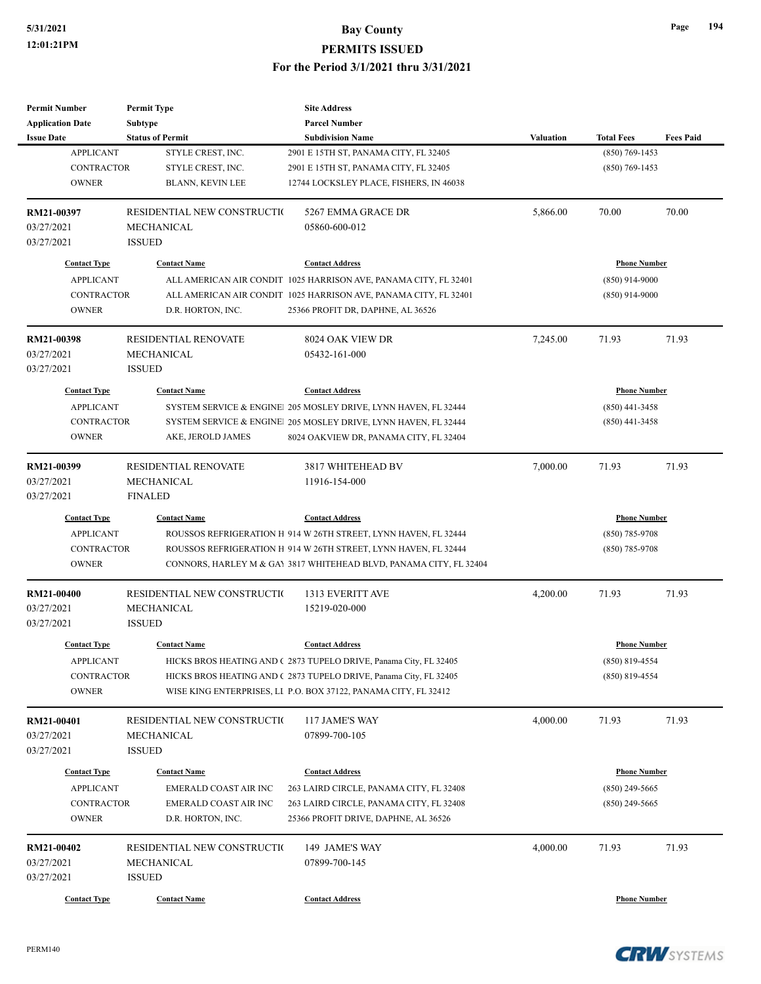| <b>Permit Number</b>    | <b>Permit Type</b>           | <b>Site Address</b>                                                |                     |                     |                  |
|-------------------------|------------------------------|--------------------------------------------------------------------|---------------------|---------------------|------------------|
| <b>Application Date</b> | Subtype                      | <b>Parcel Number</b>                                               |                     |                     |                  |
| <b>Issue Date</b>       | <b>Status of Permit</b>      | <b>Subdivision Name</b>                                            | <b>Valuation</b>    | <b>Total Fees</b>   | <b>Fees Paid</b> |
| <b>APPLICANT</b>        | STYLE CREST, INC.            | 2901 E 15TH ST, PANAMA CITY, FL 32405                              |                     | $(850) 769 - 1453$  |                  |
| <b>CONTRACTOR</b>       | STYLE CREST, INC.            | 2901 E 15TH ST, PANAMA CITY, FL 32405                              |                     | $(850)$ 769-1453    |                  |
| <b>OWNER</b>            | BLANN, KEVIN LEE             | 12744 LOCKSLEY PLACE, FISHERS, IN 46038                            |                     |                     |                  |
| RM21-00397              | RESIDENTIAL NEW CONSTRUCTIO  | 5267 EMMA GRACE DR                                                 | 5,866.00            | 70.00               | 70.00            |
| 03/27/2021              | MECHANICAL                   | 05860-600-012                                                      |                     |                     |                  |
| 03/27/2021              | <b>ISSUED</b>                |                                                                    |                     |                     |                  |
| <b>Contact Type</b>     | <b>Contact Name</b>          | <b>Contact Address</b>                                             |                     | <b>Phone Number</b> |                  |
| <b>APPLICANT</b>        |                              | ALL AMERICAN AIR CONDIT 1025 HARRISON AVE, PANAMA CITY, FL 32401   |                     | $(850)$ 914-9000    |                  |
| <b>CONTRACTOR</b>       |                              | ALL AMERICAN AIR CONDIT 1025 HARRISON AVE, PANAMA CITY, FL 32401   |                     | (850) 914-9000      |                  |
| <b>OWNER</b>            | D.R. HORTON, INC.            | 25366 PROFIT DR, DAPHNE, AL 36526                                  |                     |                     |                  |
| RM21-00398              | <b>RESIDENTIAL RENOVATE</b>  | 8024 OAK VIEW DR                                                   | 7,245.00            | 71.93               | 71.93            |
| 03/27/2021              | MECHANICAL                   | 05432-161-000                                                      |                     |                     |                  |
| 03/27/2021              | <b>ISSUED</b>                |                                                                    |                     |                     |                  |
| <b>Contact Type</b>     | <b>Contact Name</b>          | <b>Contact Address</b>                                             |                     | <b>Phone Number</b> |                  |
| <b>APPLICANT</b>        |                              | SYSTEM SERVICE & ENGINE 205 MOSLEY DRIVE, LYNN HAVEN, FL 32444     |                     | $(850)$ 441-3458    |                  |
| <b>CONTRACTOR</b>       |                              | SYSTEM SERVICE & ENGINE 205 MOSLEY DRIVE, LYNN HAVEN, FL 32444     |                     | $(850)$ 441-3458    |                  |
| <b>OWNER</b>            | AKE, JEROLD JAMES            | 8024 OAKVIEW DR, PANAMA CITY, FL 32404                             |                     |                     |                  |
|                         |                              |                                                                    |                     |                     |                  |
| RM21-00399              | RESIDENTIAL RENOVATE         | 3817 WHITEHEAD BV                                                  | 7,000.00            | 71.93               | 71.93            |
| 03/27/2021              | MECHANICAL                   | 11916-154-000                                                      |                     |                     |                  |
| 03/27/2021              | <b>FINALED</b>               |                                                                    |                     |                     |                  |
| <b>Contact Type</b>     | <b>Contact Name</b>          | <b>Contact Address</b>                                             | <b>Phone Number</b> |                     |                  |
| <b>APPLICANT</b>        |                              | ROUSSOS REFRIGERATION H 914 W 26TH STREET, LYNN HAVEN, FL 32444    |                     | $(850)$ 785-9708    |                  |
| <b>CONTRACTOR</b>       |                              | ROUSSOS REFRIGERATION H 914 W 26TH STREET, LYNN HAVEN, FL 32444    |                     | (850) 785-9708      |                  |
| <b>OWNER</b>            |                              | CONNORS, HARLEY M & GAY 3817 WHITEHEAD BLVD, PANAMA CITY, FL 32404 |                     |                     |                  |
| RM21-00400              | RESIDENTIAL NEW CONSTRUCTIO  | 1313 EVERITT AVE                                                   | 4,200.00            | 71.93               | 71.93            |
| 03/27/2021              | <b>MECHANICAL</b>            | 15219-020-000                                                      |                     |                     |                  |
| 03/27/2021              | <b>ISSUED</b>                |                                                                    |                     |                     |                  |
| <b>Contact Type</b>     | <b>Contact Name</b>          | <b>Contact Address</b>                                             |                     | <b>Phone Number</b> |                  |
| <b>APPLICANT</b>        |                              | HICKS BROS HEATING AND C 2873 TUPELO DRIVE, Panama City, FL 32405  |                     | (850) 819-4554      |                  |
| <b>CONTRACTOR</b>       |                              | HICKS BROS HEATING AND (2873 TUPELO DRIVE, Panama City, FL 32405   |                     | $(850)$ 819-4554    |                  |
| <b>OWNER</b>            |                              | WISE KING ENTERPRISES, LI P.O. BOX 37122, PANAMA CITY, FL 32412    |                     |                     |                  |
| RM21-00401              | RESIDENTIAL NEW CONSTRUCTIO  | 117 JAME'S WAY                                                     | 4,000.00            | 71.93               | 71.93            |
| 03/27/2021              | MECHANICAL                   | 07899-700-105                                                      |                     |                     |                  |
| 03/27/2021              | <b>ISSUED</b>                |                                                                    |                     |                     |                  |
| <b>Contact Type</b>     | <b>Contact Name</b>          | <b>Contact Address</b>                                             |                     | <b>Phone Number</b> |                  |
|                         |                              |                                                                    |                     |                     |                  |
| <b>APPLICANT</b>        | EMERALD COAST AIR INC        | 263 LAIRD CIRCLE, PANAMA CITY, FL 32408                            |                     | $(850)$ 249-5665    |                  |
| <b>CONTRACTOR</b>       | <b>EMERALD COAST AIR INC</b> | 263 LAIRD CIRCLE, PANAMA CITY, FL 32408                            |                     | (850) 249-5665      |                  |
| <b>OWNER</b>            | D.R. HORTON, INC.            | 25366 PROFIT DRIVE, DAPHNE, AL 36526                               |                     |                     |                  |
| RM21-00402              | RESIDENTIAL NEW CONSTRUCTIO  | 149 JAME'S WAY                                                     | 4,000.00            | 71.93               | 71.93            |
| 03/27/2021              | MECHANICAL                   | 07899-700-145                                                      |                     |                     |                  |
| 03/27/2021              | <b>ISSUED</b>                |                                                                    |                     |                     |                  |
| <b>Contact Type</b>     | <b>Contact Name</b>          | <b>Contact Address</b>                                             |                     | <b>Phone Number</b> |                  |
|                         |                              |                                                                    |                     |                     |                  |

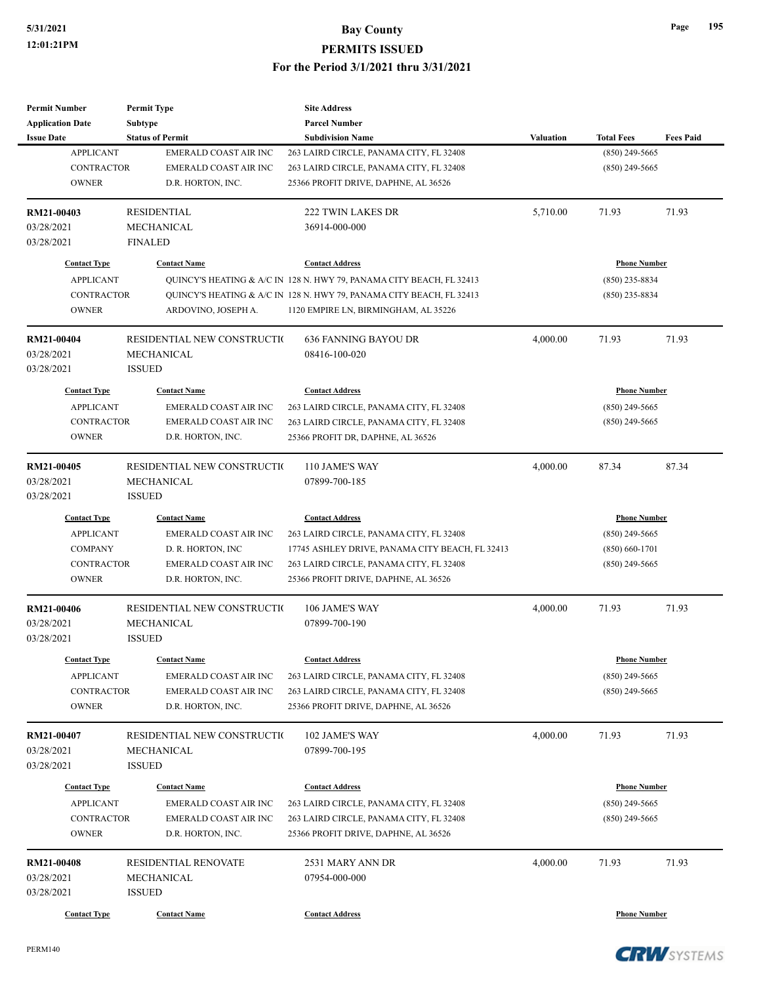| <b>Permit Number</b>    | <b>Permit Type</b>           | <b>Site Address</b>                                                  |           |                     |                  |
|-------------------------|------------------------------|----------------------------------------------------------------------|-----------|---------------------|------------------|
| <b>Application Date</b> | Subtype                      | <b>Parcel Number</b>                                                 |           |                     |                  |
| <b>Issue Date</b>       | <b>Status of Permit</b>      | <b>Subdivision Name</b>                                              | Valuation | <b>Total Fees</b>   | <b>Fees Paid</b> |
| <b>APPLICANT</b>        | EMERALD COAST AIR INC        | 263 LAIRD CIRCLE, PANAMA CITY, FL 32408                              |           | $(850)$ 249-5665    |                  |
| <b>CONTRACTOR</b>       | EMERALD COAST AIR INC        | 263 LAIRD CIRCLE, PANAMA CITY, FL 32408                              |           | $(850)$ 249-5665    |                  |
| <b>OWNER</b>            | D.R. HORTON, INC.            | 25366 PROFIT DRIVE, DAPHNE, AL 36526                                 |           |                     |                  |
|                         |                              |                                                                      |           |                     |                  |
| RM21-00403              | <b>RESIDENTIAL</b>           | 222 TWIN LAKES DR                                                    | 5,710.00  | 71.93               | 71.93            |
| 03/28/2021              | MECHANICAL                   | 36914-000-000                                                        |           |                     |                  |
| 03/28/2021              | <b>FINALED</b>               |                                                                      |           |                     |                  |
|                         |                              |                                                                      |           |                     |                  |
| <b>Contact Type</b>     | <b>Contact Name</b>          | <b>Contact Address</b>                                               |           | <b>Phone Number</b> |                  |
| <b>APPLICANT</b>        |                              | QUINCY'S HEATING & A/C IN 128 N. HWY 79, PANAMA CITY BEACH, FL 32413 |           | $(850)$ 235-8834    |                  |
| <b>CONTRACTOR</b>       |                              | QUINCY'S HEATING & A/C IN 128 N. HWY 79, PANAMA CITY BEACH, FL 32413 |           | $(850)$ 235-8834    |                  |
| <b>OWNER</b>            | ARDOVINO, JOSEPH A.          | 1120 EMPIRE LN, BIRMINGHAM, AL 35226                                 |           |                     |                  |
|                         |                              |                                                                      |           |                     |                  |
| RM21-00404              | RESIDENTIAL NEW CONSTRUCTIO  | 636 FANNING BAYOU DR                                                 | 4,000.00  | 71.93               | 71.93            |
| 03/28/2021              | MECHANICAL                   | 08416-100-020                                                        |           |                     |                  |
| 03/28/2021              | <b>ISSUED</b>                |                                                                      |           |                     |                  |
| <b>Contact Type</b>     | <b>Contact Name</b>          | <b>Contact Address</b>                                               |           | <b>Phone Number</b> |                  |
| <b>APPLICANT</b>        | <b>EMERALD COAST AIR INC</b> | 263 LAIRD CIRCLE, PANAMA CITY, FL 32408                              |           | $(850)$ 249-5665    |                  |
| <b>CONTRACTOR</b>       | EMERALD COAST AIR INC        | 263 LAIRD CIRCLE, PANAMA CITY, FL 32408                              |           | $(850)$ 249-5665    |                  |
| <b>OWNER</b>            | D.R. HORTON, INC.            | 25366 PROFIT DR, DAPHNE, AL 36526                                    |           |                     |                  |
|                         |                              |                                                                      |           |                     |                  |
| RM21-00405              | RESIDENTIAL NEW CONSTRUCTIO  | 110 JAME'S WAY                                                       | 4,000.00  | 87.34               | 87.34            |
| 03/28/2021              | MECHANICAL                   | 07899-700-185                                                        |           |                     |                  |
| 03/28/2021              | <b>ISSUED</b>                |                                                                      |           |                     |                  |
| <b>Contact Type</b>     | <b>Contact Name</b>          | <b>Contact Address</b>                                               |           | <b>Phone Number</b> |                  |
| <b>APPLICANT</b>        | <b>EMERALD COAST AIR INC</b> | 263 LAIRD CIRCLE, PANAMA CITY, FL 32408                              |           | $(850)$ 249-5665    |                  |
| <b>COMPANY</b>          | D. R. HORTON, INC            | 17745 ASHLEY DRIVE, PANAMA CITY BEACH, FL 32413                      |           | $(850) 660 - 1701$  |                  |
| <b>CONTRACTOR</b>       | <b>EMERALD COAST AIR INC</b> |                                                                      |           |                     |                  |
|                         |                              | 263 LAIRD CIRCLE, PANAMA CITY, FL 32408                              |           | $(850)$ 249-5665    |                  |
| <b>OWNER</b>            | D.R. HORTON, INC.            | 25366 PROFIT DRIVE, DAPHNE, AL 36526                                 |           |                     |                  |
| RM21-00406              | RESIDENTIAL NEW CONSTRUCTIO  | 106 JAME'S WAY                                                       | 4,000.00  | 71.93               | 71.93            |
| 03/28/2021              | MECHANICAL                   | 07899-700-190                                                        |           |                     |                  |
| 03/28/2021              | <b>ISSUED</b>                |                                                                      |           |                     |                  |
|                         |                              |                                                                      |           |                     |                  |
| <b>Contact Type</b>     | <b>Contact Name</b>          | <b>Contact Address</b>                                               |           | <b>Phone Number</b> |                  |
| <b>APPLICANT</b>        | EMERALD COAST AIR INC        | 263 LAIRD CIRCLE, PANAMA CITY, FL 32408                              |           | $(850)$ 249-5665    |                  |
| <b>CONTRACTOR</b>       | EMERALD COAST AIR INC        | 263 LAIRD CIRCLE, PANAMA CITY, FL 32408                              |           | $(850)$ 249-5665    |                  |
| <b>OWNER</b>            | D.R. HORTON, INC.            | 25366 PROFIT DRIVE, DAPHNE, AL 36526                                 |           |                     |                  |
|                         |                              |                                                                      |           |                     |                  |
| RM21-00407              | RESIDENTIAL NEW CONSTRUCTIO  | 102 JAME'S WAY                                                       | 4,000.00  | 71.93               | 71.93            |
| 03/28/2021              | MECHANICAL                   | 07899-700-195                                                        |           |                     |                  |
| 03/28/2021              | <b>ISSUED</b>                |                                                                      |           |                     |                  |
| <b>Contact Type</b>     | <b>Contact Name</b>          | <b>Contact Address</b>                                               |           | <b>Phone Number</b> |                  |
| <b>APPLICANT</b>        | EMERALD COAST AIR INC        | 263 LAIRD CIRCLE, PANAMA CITY, FL 32408                              |           | $(850)$ 249-5665    |                  |
| <b>CONTRACTOR</b>       | EMERALD COAST AIR INC        | 263 LAIRD CIRCLE, PANAMA CITY, FL 32408                              |           | $(850)$ 249-5665    |                  |
| <b>OWNER</b>            | D.R. HORTON, INC.            | 25366 PROFIT DRIVE, DAPHNE, AL 36526                                 |           |                     |                  |
|                         |                              |                                                                      |           |                     |                  |
| RM21-00408              | RESIDENTIAL RENOVATE         | 2531 MARY ANN DR                                                     | 4,000.00  | 71.93               | 71.93            |
| 03/28/2021              | MECHANICAL                   | 07954-000-000                                                        |           |                     |                  |
| 03/28/2021              | <b>ISSUED</b>                |                                                                      |           |                     |                  |
|                         |                              |                                                                      |           |                     |                  |
| <b>Contact Type</b>     | <b>Contact Name</b>          | <b>Contact Address</b>                                               |           | <b>Phone Number</b> |                  |

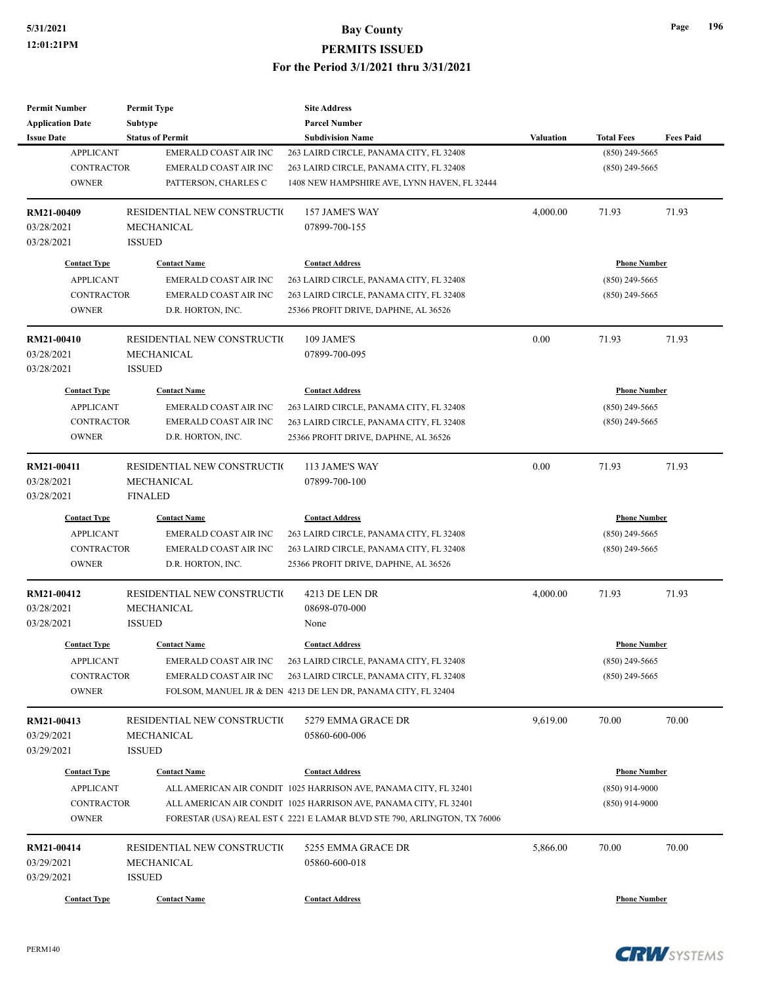| <b>Permit Number</b>    | <b>Permit Type</b>           | <b>Site Address</b>                                                     |                  |                     |                  |
|-------------------------|------------------------------|-------------------------------------------------------------------------|------------------|---------------------|------------------|
| <b>Application Date</b> | Subtype                      | <b>Parcel Number</b>                                                    |                  |                     |                  |
| <b>Issue Date</b>       | <b>Status of Permit</b>      | <b>Subdivision Name</b>                                                 | <b>Valuation</b> | <b>Total Fees</b>   | <b>Fees Paid</b> |
| <b>APPLICANT</b>        | <b>EMERALD COAST AIR INC</b> | 263 LAIRD CIRCLE, PANAMA CITY, FL 32408                                 |                  | $(850)$ 249-5665    |                  |
| <b>CONTRACTOR</b>       | <b>EMERALD COAST AIR INC</b> | 263 LAIRD CIRCLE, PANAMA CITY, FL 32408                                 |                  | $(850)$ 249-5665    |                  |
| <b>OWNER</b>            | PATTERSON, CHARLES C         | 1408 NEW HAMPSHIRE AVE, LYNN HAVEN, FL 32444                            |                  |                     |                  |
| RM21-00409              | RESIDENTIAL NEW CONSTRUCTIO  | 157 JAME'S WAY                                                          | 4,000.00         | 71.93               | 71.93            |
| 03/28/2021              | <b>MECHANICAL</b>            | 07899-700-155                                                           |                  |                     |                  |
| 03/28/2021              | <b>ISSUED</b>                |                                                                         |                  |                     |                  |
| <b>Contact Type</b>     | <b>Contact Name</b>          | <b>Contact Address</b>                                                  |                  | <b>Phone Number</b> |                  |
| <b>APPLICANT</b>        | <b>EMERALD COAST AIR INC</b> | 263 LAIRD CIRCLE, PANAMA CITY, FL 32408                                 |                  | $(850)$ 249-5665    |                  |
| <b>CONTRACTOR</b>       | <b>EMERALD COAST AIR INC</b> | 263 LAIRD CIRCLE, PANAMA CITY, FL 32408                                 |                  | $(850)$ 249-5665    |                  |
| <b>OWNER</b>            | D.R. HORTON, INC.            | 25366 PROFIT DRIVE, DAPHNE, AL 36526                                    |                  |                     |                  |
| RM21-00410              | RESIDENTIAL NEW CONSTRUCTIO  | 109 JAME'S                                                              | 0.00             | 71.93               | 71.93            |
| 03/28/2021              | <b>MECHANICAL</b>            | 07899-700-095                                                           |                  |                     |                  |
| 03/28/2021              | <b>ISSUED</b>                |                                                                         |                  |                     |                  |
| <b>Contact Type</b>     | <b>Contact Name</b>          | <b>Contact Address</b>                                                  |                  | <b>Phone Number</b> |                  |
| <b>APPLICANT</b>        | EMERALD COAST AIR INC        | 263 LAIRD CIRCLE, PANAMA CITY, FL 32408                                 |                  | $(850)$ 249-5665    |                  |
| CONTRACTOR              | EMERALD COAST AIR INC        | 263 LAIRD CIRCLE, PANAMA CITY, FL 32408                                 |                  | $(850)$ 249-5665    |                  |
| <b>OWNER</b>            | D.R. HORTON, INC.            | 25366 PROFIT DRIVE, DAPHNE, AL 36526                                    |                  |                     |                  |
|                         |                              |                                                                         |                  |                     |                  |
| RM21-00411              | RESIDENTIAL NEW CONSTRUCTIO  | 113 JAME'S WAY                                                          | 0.00             | 71.93               | 71.93            |
| 03/28/2021              | <b>MECHANICAL</b>            | 07899-700-100                                                           |                  |                     |                  |
| 03/28/2021              | <b>FINALED</b>               |                                                                         |                  |                     |                  |
| <b>Contact Type</b>     | <b>Contact Name</b>          | <b>Contact Address</b>                                                  |                  | <b>Phone Number</b> |                  |
| <b>APPLICANT</b>        | <b>EMERALD COAST AIR INC</b> | 263 LAIRD CIRCLE, PANAMA CITY, FL 32408                                 |                  | $(850)$ 249-5665    |                  |
| <b>CONTRACTOR</b>       | EMERALD COAST AIR INC        | 263 LAIRD CIRCLE, PANAMA CITY, FL 32408                                 |                  | $(850)$ 249-5665    |                  |
| <b>OWNER</b>            | D.R. HORTON, INC.            | 25366 PROFIT DRIVE, DAPHNE, AL 36526                                    |                  |                     |                  |
| RM21-00412              | RESIDENTIAL NEW CONSTRUCTIO  | 4213 DE LEN DR                                                          | 4,000.00         | 71.93               | 71.93            |
| 03/28/2021              | MECHANICAL                   | 08698-070-000                                                           |                  |                     |                  |
| 03/28/2021              | <b>ISSUED</b>                | None                                                                    |                  |                     |                  |
|                         |                              |                                                                         |                  |                     |                  |
| <b>Contact Type</b>     | <b>Contact Name</b>          | <b>Contact Address</b>                                                  |                  | <b>Phone Number</b> |                  |
| <b>APPLICANT</b>        | EMERALD COAST AIR INC        | 263 LAIRD CIRCLE, PANAMA CITY, FL 32408                                 |                  | $(850)$ 249-5665    |                  |
| CONTRACTOR              | <b>EMERALD COAST AIR INC</b> | 263 LAIRD CIRCLE, PANAMA CITY, FL 32408                                 |                  | $(850)$ 249-5665    |                  |
| <b>OWNER</b>            |                              | FOLSOM, MANUEL JR & DEN 4213 DE LEN DR, PANAMA CITY, FL 32404           |                  |                     |                  |
| RM21-00413              | RESIDENTIAL NEW CONSTRUCTIO  | 5279 EMMA GRACE DR                                                      | 9,619.00         | 70.00               | 70.00            |
| 03/29/2021              | MECHANICAL                   | 05860-600-006                                                           |                  |                     |                  |
| 03/29/2021              | <b>ISSUED</b>                |                                                                         |                  |                     |                  |
| <b>Contact Type</b>     | <b>Contact Name</b>          | <b>Contact Address</b>                                                  |                  | <b>Phone Number</b> |                  |
| <b>APPLICANT</b>        |                              | ALL AMERICAN AIR CONDIT 1025 HARRISON AVE, PANAMA CITY, FL 32401        |                  | $(850)$ 914-9000    |                  |
| <b>CONTRACTOR</b>       |                              | ALL AMERICAN AIR CONDIT 1025 HARRISON AVE, PANAMA CITY, FL 32401        |                  | $(850)$ 914-9000    |                  |
| <b>OWNER</b>            |                              | FORESTAR (USA) REAL EST (2221 E LAMAR BLVD STE 790, ARLINGTON, TX 76006 |                  |                     |                  |
| RM21-00414              | RESIDENTIAL NEW CONSTRUCTIO  | 5255 EMMA GRACE DR                                                      | 5,866.00         | 70.00               | 70.00            |
|                         |                              |                                                                         |                  |                     |                  |
| 03/29/2021              | MECHANICAL                   | 05860-600-018                                                           |                  |                     |                  |
| 03/29/2021              | <b>ISSUED</b>                |                                                                         |                  |                     |                  |
| <b>Contact Type</b>     | <b>Contact Name</b>          | <b>Contact Address</b>                                                  |                  | <b>Phone Number</b> |                  |

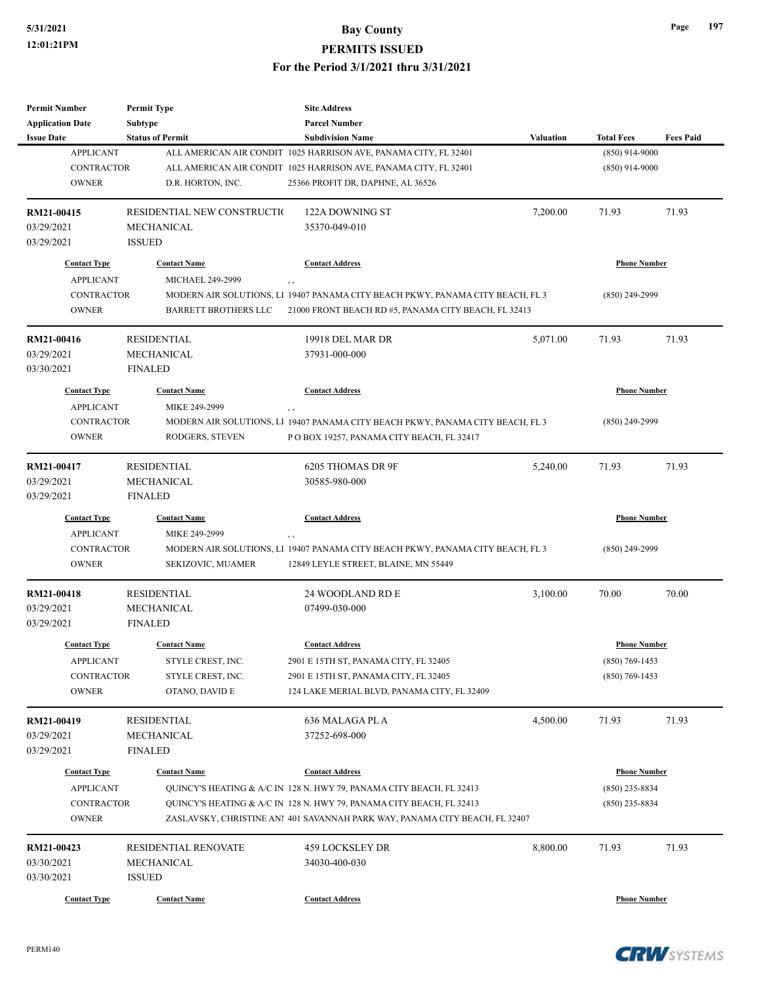# **5/31/2021 Bay County**

#### **PERMITS ISSUED**

**For the Period 3/1/2021 thru 3/31/2021**

| <b>Permit Number</b>       | <b>Permit Type</b>          | <b>Site Address</b>                                                                                                                                 |                  |                     |                  |
|----------------------------|-----------------------------|-----------------------------------------------------------------------------------------------------------------------------------------------------|------------------|---------------------|------------------|
| <b>Application Date</b>    | <b>Subtype</b>              | <b>Parcel Number</b>                                                                                                                                |                  |                     |                  |
| <b>Issue Date</b>          | <b>Status of Permit</b>     | <b>Subdivision Name</b>                                                                                                                             | <b>Valuation</b> | <b>Total Fees</b>   | <b>Fees Paid</b> |
| <b>APPLICANT</b>           |                             | ALL AMERICAN AIR CONDIT 1025 HARRISON AVE, PANAMA CITY, FL 32401                                                                                    |                  | $(850)$ 914-9000    |                  |
| <b>CONTRACTOR</b>          |                             | ALL AMERICAN AIR CONDIT 1025 HARRISON AVE, PANAMA CITY, FL 32401                                                                                    |                  | $(850)$ 914-9000    |                  |
| <b>OWNER</b>               | D.R. HORTON, INC.           | 25366 PROFIT DR, DAPHNE, AL 36526                                                                                                                   |                  |                     |                  |
| RM21-00415                 | RESIDENTIAL NEW CONSTRUCTIO | 122A DOWNING ST                                                                                                                                     | 7,200.00         | 71.93               | 71.93            |
| 03/29/2021                 | <b>MECHANICAL</b>           | 35370-049-010                                                                                                                                       |                  |                     |                  |
| 03/29/2021                 | <b>ISSUED</b>               |                                                                                                                                                     |                  |                     |                  |
| <b>Contact Type</b>        | <b>Contact Name</b>         | <b>Contact Address</b>                                                                                                                              |                  | <b>Phone Number</b> |                  |
| <b>APPLICANT</b>           | MICHAEL 249-2999            | $, \, , \,$                                                                                                                                         |                  |                     |                  |
| <b>CONTRACTOR</b>          |                             | MODERN AIR SOLUTIONS, L1 19407 PANAMA CITY BEACH PKWY, PANAMA CITY BEACH, FL 3                                                                      |                  | $(850)$ 249-2999    |                  |
| <b>OWNER</b>               | <b>BARRETT BROTHERS LLC</b> | 21000 FRONT BEACH RD #5, PANAMA CITY BEACH, FL 32413                                                                                                |                  |                     |                  |
| RM21-00416                 | <b>RESIDENTIAL</b>          | 19918 DEL MAR DR                                                                                                                                    | 5,071.00         | 71.93               | 71.93            |
| 03/29/2021                 | MECHANICAL                  | 37931-000-000                                                                                                                                       |                  |                     |                  |
| 03/30/2021                 | <b>FINALED</b>              |                                                                                                                                                     |                  |                     |                  |
| <b>Contact Type</b>        | <b>Contact Name</b>         | <b>Contact Address</b>                                                                                                                              |                  | <b>Phone Number</b> |                  |
| <b>APPLICANT</b>           | MIKE 249-2999               | , ,                                                                                                                                                 |                  |                     |                  |
| <b>CONTRACTOR</b>          |                             | MODERN AIR SOLUTIONS, L1 19407 PANAMA CITY BEACH PKWY, PANAMA CITY BEACH, FL 3                                                                      |                  | $(850)$ 249-2999    |                  |
| <b>OWNER</b>               | RODGERS, STEVEN             | P O BOX 19257, PANAMA CITY BEACH, FL 32417                                                                                                          |                  |                     |                  |
| RM21-00417                 | <b>RESIDENTIAL</b>          | 6205 THOMAS DR 9F                                                                                                                                   | 5,240.00         | 71.93               | 71.93            |
|                            |                             |                                                                                                                                                     |                  |                     |                  |
| 03/29/2021                 | MECHANICAL                  | 30585-980-000                                                                                                                                       |                  |                     |                  |
| 03/29/2021                 | <b>FINALED</b>              |                                                                                                                                                     |                  |                     |                  |
| <b>Contact Type</b>        | <b>Contact Name</b>         | <b>Contact Address</b>                                                                                                                              |                  | <b>Phone Number</b> |                  |
| <b>APPLICANT</b>           | MIKE 249-2999               | $, \, ,$                                                                                                                                            |                  |                     |                  |
| <b>CONTRACTOR</b>          |                             | MODERN AIR SOLUTIONS, LI 19407 PANAMA CITY BEACH PKWY, PANAMA CITY BEACH, FL 3                                                                      |                  | $(850)$ 249-2999    |                  |
| <b>OWNER</b>               | SEKIZOVIC, MUAMER           | 12849 LEYLE STREET, BLAINE, MN 55449                                                                                                                |                  |                     |                  |
| RM21-00418                 | <b>RESIDENTIAL</b>          | 24 WOODLAND RD E                                                                                                                                    | 3,100.00         | 70.00               | 70.00            |
| 03/29/2021                 | MECHANICAL                  | 07499-030-000                                                                                                                                       |                  |                     |                  |
| 03/29/2021                 | <b>FINALED</b>              |                                                                                                                                                     |                  |                     |                  |
| <b>Contact Type</b>        | <b>Contact Name</b>         | <b>Contact Address</b>                                                                                                                              |                  | <b>Phone Number</b> |                  |
| <b>APPLICANT</b>           | STYLE CREST, INC.           | 2901 E 15TH ST, PANAMA CITY, FL 32405                                                                                                               |                  | $(850) 769 - 1453$  |                  |
| CONTRACTOR                 | STYLE CREST, INC.           | 2901 E 15TH ST, PANAMA CITY, FL 32405                                                                                                               |                  | $(850)$ 769-1453    |                  |
| <b>OWNER</b>               | OTANO, DAVID E              | 124 LAKE MERIAL BLVD, PANAMA CITY, FL 32409                                                                                                         |                  |                     |                  |
| RM21-00419                 | <b>RESIDENTIAL</b>          | 636 MALAGA PL A                                                                                                                                     | 4,500.00         | 71.93               | 71.93            |
| 03/29/2021                 | MECHANICAL                  | 37252-698-000                                                                                                                                       |                  |                     |                  |
| 03/29/2021                 | <b>FINALED</b>              |                                                                                                                                                     |                  |                     |                  |
| <b>Contact Type</b>        | <b>Contact Name</b>         | <b>Contact Address</b>                                                                                                                              |                  | <b>Phone Number</b> |                  |
| <b>APPLICANT</b>           |                             |                                                                                                                                                     |                  | $(850)$ 235-8834    |                  |
|                            |                             | QUINCY'S HEATING & A/C IN 128 N. HWY 79, PANAMA CITY BEACH, FL 32413                                                                                |                  |                     |                  |
| CONTRACTOR<br><b>OWNER</b> |                             | QUINCY'S HEATING & A/C IN 128 N. HWY 79, PANAMA CITY BEACH, FL 32413<br>ZASLAVSKY, CHRISTINE ANI 401 SAVANNAH PARK WAY, PANAMA CITY BEACH, FL 32407 |                  | $(850)$ 235-8834    |                  |
|                            |                             |                                                                                                                                                     |                  |                     |                  |
| RM21-00423                 | RESIDENTIAL RENOVATE        | <b>459 LOCKSLEY DR</b>                                                                                                                              | 8,800.00         | 71.93               | 71.93            |
| 03/30/2021                 | MECHANICAL                  | 34030-400-030                                                                                                                                       |                  |                     |                  |
| 03/30/2021                 | <b>ISSUED</b>               |                                                                                                                                                     |                  |                     |                  |
| <b>Contact Type</b>        | <b>Contact Name</b>         | <b>Contact Address</b>                                                                                                                              |                  | <b>Phone Number</b> |                  |

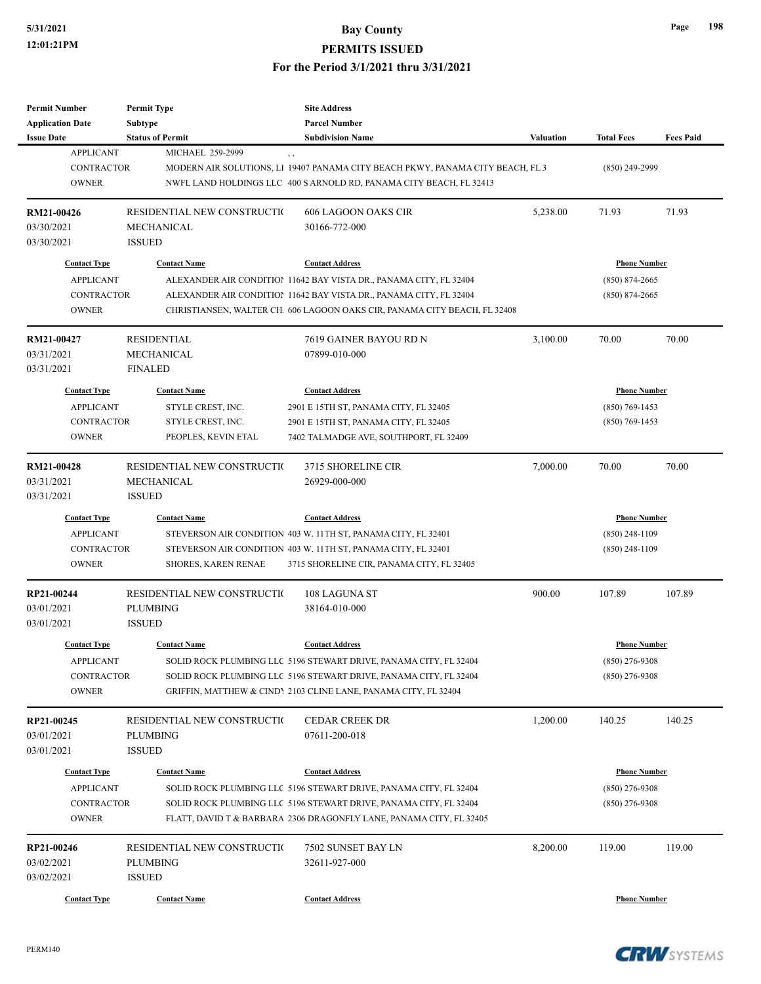# **5/31/2021 Bay County**

**PERMITS ISSUED**

**For the Period 3/1/2021 thru 3/31/2021**

| Permit Number<br><b>Application Date</b> | <b>Permit Type</b><br>Subtype | <b>Site Address</b><br><b>Parcel Number</b>                                    |           |                     |                  |
|------------------------------------------|-------------------------------|--------------------------------------------------------------------------------|-----------|---------------------|------------------|
| <b>Issue Date</b>                        | <b>Status of Permit</b>       | <b>Subdivision Name</b>                                                        | Valuation | <b>Total Fees</b>   | <b>Fees Paid</b> |
| <b>APPLICANT</b>                         | MICHAEL 259-2999              | $, \, , \,$                                                                    |           |                     |                  |
| <b>CONTRACTOR</b>                        |                               | MODERN AIR SOLUTIONS, LI 19407 PANAMA CITY BEACH PKWY, PANAMA CITY BEACH, FL 3 |           | $(850)$ 249-2999    |                  |
| <b>OWNER</b>                             |                               | NWFL LAND HOLDINGS LLC 400 S ARNOLD RD, PANAMA CITY BEACH, FL 32413            |           |                     |                  |
|                                          |                               |                                                                                |           |                     |                  |
| <b>RM21-00426</b>                        | RESIDENTIAL NEW CONSTRUCTIO   | <b>606 LAGOON OAKS CIR</b>                                                     | 5,238.00  | 71.93               | 71.93            |
| 03/30/2021                               | MECHANICAL                    | 30166-772-000                                                                  |           |                     |                  |
| 03/30/2021                               | <b>ISSUED</b>                 |                                                                                |           |                     |                  |
| <b>Contact Type</b>                      | <b>Contact Name</b>           | <b>Contact Address</b>                                                         |           | <b>Phone Number</b> |                  |
| <b>APPLICANT</b>                         |                               | ALEXANDER AIR CONDITION 11642 BAY VISTA DR., PANAMA CITY, FL 32404             |           | $(850) 874 - 2665$  |                  |
| <b>CONTRACTOR</b>                        |                               | ALEXANDER AIR CONDITION 11642 BAY VISTA DR., PANAMA CITY, FL 32404             |           | $(850)$ 874-2665    |                  |
| <b>OWNER</b>                             |                               | CHRISTIANSEN, WALTER CH. 606 LAGOON OAKS CIR, PANAMA CITY BEACH, FL 32408      |           |                     |                  |
|                                          |                               |                                                                                |           |                     |                  |
| RM21-00427                               | <b>RESIDENTIAL</b>            | 7619 GAINER BAYOU RD N                                                         | 3,100.00  | 70.00               | 70.00            |
| 03/31/2021                               | MECHANICAL                    | 07899-010-000                                                                  |           |                     |                  |
| 03/31/2021                               | <b>FINALED</b>                |                                                                                |           |                     |                  |
| <b>Contact Type</b>                      | <b>Contact Name</b>           | <b>Contact Address</b>                                                         |           | <b>Phone Number</b> |                  |
| <b>APPLICANT</b>                         | STYLE CREST, INC.             | 2901 E 15TH ST, PANAMA CITY, FL 32405                                          |           | $(850)$ 769-1453    |                  |
| <b>CONTRACTOR</b>                        | STYLE CREST, INC.             | 2901 E 15TH ST, PANAMA CITY, FL 32405                                          |           | $(850)$ 769-1453    |                  |
| <b>OWNER</b>                             | PEOPLES, KEVIN ETAL           | 7402 TALMADGE AVE, SOUTHPORT, FL 32409                                         |           |                     |                  |
|                                          |                               |                                                                                |           |                     |                  |
| RM21-00428                               | RESIDENTIAL NEW CONSTRUCTIO   | 3715 SHORELINE CIR                                                             | 7,000.00  | 70.00               | 70.00            |
| 03/31/2021                               | MECHANICAL                    | 26929-000-000                                                                  |           |                     |                  |
| 03/31/2021                               | <b>ISSUED</b>                 |                                                                                |           |                     |                  |
| <b>Contact Type</b>                      | <b>Contact Name</b>           | <b>Contact Address</b>                                                         |           | <b>Phone Number</b> |                  |
| <b>APPLICANT</b>                         |                               | STEVERSON AIR CONDITION 403 W. 11TH ST, PANAMA CITY, FL 32401                  |           | $(850)$ 248-1109    |                  |
| <b>CONTRACTOR</b>                        |                               | STEVERSON AIR CONDITION 403 W. 11TH ST, PANAMA CITY, FL 32401                  |           | $(850)$ 248-1109    |                  |
| <b>OWNER</b>                             | SHORES, KAREN RENAE           | 3715 SHORELINE CIR, PANAMA CITY, FL 32405                                      |           |                     |                  |
| RP21-00244                               | RESIDENTIAL NEW CONSTRUCTIO   | 108 LAGUNA ST                                                                  | 900.00    | 107.89              | 107.89           |
| 03/01/2021                               | PLUMBING                      | 38164-010-000                                                                  |           |                     |                  |
| 03/01/2021                               | <b>ISSUED</b>                 |                                                                                |           |                     |                  |
|                                          |                               |                                                                                |           |                     |                  |
| <b>Contact Type</b>                      | <b>Contact Name</b>           | <b>Contact Address</b>                                                         |           | <b>Phone Number</b> |                  |
| APPLICANT                                |                               | SOLID ROCK PLUMBING LLC 5196 STEWART DRIVE, PANAMA CITY, FL 32404              |           | $(850)$ 276-9308    |                  |
| <b>CONTRACTOR</b>                        |                               | SOLID ROCK PLUMBING LLC 5196 STEWART DRIVE, PANAMA CITY, FL 32404              |           | $(850)$ 276-9308    |                  |
| <b>OWNER</b>                             |                               | GRIFFIN, MATTHEW & CINDY 2103 CLINE LANE, PANAMA CITY, FL 32404                |           |                     |                  |
| RP21-00245                               | RESIDENTIAL NEW CONSTRUCTIO   | <b>CEDAR CREEK DR</b>                                                          | 1,200.00  | 140.25              | 140.25           |
| 03/01/2021                               | PLUMBING                      | 07611-200-018                                                                  |           |                     |                  |
| 03/01/2021                               | <b>ISSUED</b>                 |                                                                                |           |                     |                  |
|                                          |                               |                                                                                |           |                     |                  |
| <b>Contact Type</b>                      | <b>Contact Name</b>           | <b>Contact Address</b>                                                         |           | <b>Phone Number</b> |                  |
| <b>APPLICANT</b>                         |                               | SOLID ROCK PLUMBING LLC 5196 STEWART DRIVE, PANAMA CITY, FL 32404              |           | $(850)$ 276-9308    |                  |
| <b>CONTRACTOR</b>                        |                               | SOLID ROCK PLUMBING LLC 5196 STEWART DRIVE, PANAMA CITY, FL 32404              |           | $(850)$ 276-9308    |                  |
| <b>OWNER</b>                             |                               | FLATT, DAVID T & BARBARA 2306 DRAGONFLY LANE, PANAMA CITY, FL 32405            |           |                     |                  |
| RP21-00246                               | RESIDENTIAL NEW CONSTRUCTIO   | 7502 SUNSET BAY LN                                                             | 8,200.00  | 119.00              | 119.00           |
| 03/02/2021                               | PLUMBING                      | 32611-927-000                                                                  |           |                     |                  |
| 03/02/2021                               | <b>ISSUED</b>                 |                                                                                |           |                     |                  |
|                                          |                               |                                                                                |           |                     |                  |
| <b>Contact Type</b>                      | <b>Contact Name</b>           | <b>Contact Address</b>                                                         |           | <b>Phone Number</b> |                  |

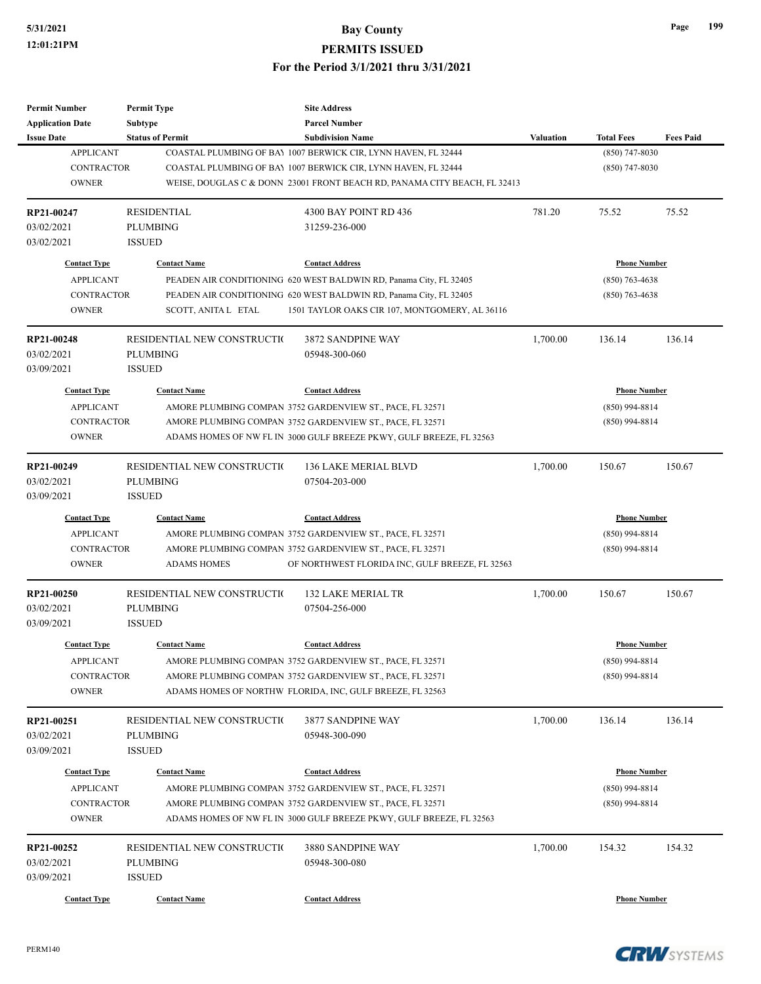### **5/31/2021 Bay County PERMITS ISSUED**

#### **For the Period 3/1/2021 thru 3/31/2021**

| <b>Permit Number</b>    | <b>Permit Type</b>          | <b>Site Address</b>                                                       |                  |                     |                  |
|-------------------------|-----------------------------|---------------------------------------------------------------------------|------------------|---------------------|------------------|
| <b>Application Date</b> | Subtype                     | <b>Parcel Number</b>                                                      |                  |                     |                  |
| <b>Issue Date</b>       | <b>Status of Permit</b>     | <b>Subdivision Name</b>                                                   | <b>Valuation</b> | <b>Total Fees</b>   | <b>Fees Paid</b> |
| <b>APPLICANT</b>        |                             | COASTAL PLUMBING OF BAY 1007 BERWICK CIR, LYNN HAVEN, FL 32444            |                  | $(850)$ 747-8030    |                  |
| <b>CONTRACTOR</b>       |                             | COASTAL PLUMBING OF BAY 1007 BERWICK CIR, LYNN HAVEN, FL 32444            |                  | $(850)$ 747-8030    |                  |
| <b>OWNER</b>            |                             | WEISE, DOUGLAS C & DONN 23001 FRONT BEACH RD, PANAMA CITY BEACH, FL 32413 |                  |                     |                  |
| RP21-00247              | <b>RESIDENTIAL</b>          | 4300 BAY POINT RD 436                                                     | 781.20           | 75.52               | 75.52            |
| 03/02/2021              | <b>PLUMBING</b>             | 31259-236-000                                                             |                  |                     |                  |
| 03/02/2021              | <b>ISSUED</b>               |                                                                           |                  |                     |                  |
| <b>Contact Type</b>     | <b>Contact Name</b>         | <b>Contact Address</b>                                                    |                  | <b>Phone Number</b> |                  |
| <b>APPLICANT</b>        |                             | PEADEN AIR CONDITIONING 620 WEST BALDWIN RD, Panama City, FL 32405        |                  | $(850)$ 763-4638    |                  |
| <b>CONTRACTOR</b>       |                             | PEADEN AIR CONDITIONING 620 WEST BALDWIN RD, Panama City, FL 32405        |                  | $(850)$ 763-4638    |                  |
| <b>OWNER</b>            | SCOTT, ANITA L ETAL         | 1501 TAYLOR OAKS CIR 107, MONTGOMERY, AL 36116                            |                  |                     |                  |
| RP21-00248              | RESIDENTIAL NEW CONSTRUCTIO | 3872 SANDPINE WAY                                                         | 1,700.00         | 136.14              | 136.14           |
| 03/02/2021              | <b>PLUMBING</b>             | 05948-300-060                                                             |                  |                     |                  |
| 03/09/2021              | <b>ISSUED</b>               |                                                                           |                  |                     |                  |
| <b>Contact Type</b>     | <b>Contact Name</b>         | <b>Contact Address</b>                                                    |                  | <b>Phone Number</b> |                  |
| <b>APPLICANT</b>        |                             | AMORE PLUMBING COMPAN 3752 GARDENVIEW ST., PACE, FL 32571                 |                  | $(850)$ 994-8814    |                  |
| <b>CONTRACTOR</b>       |                             | AMORE PLUMBING COMPAN 3752 GARDENVIEW ST., PACE, FL 32571                 |                  | $(850)$ 994-8814    |                  |
| <b>OWNER</b>            |                             | ADAMS HOMES OF NW FL IN 3000 GULF BREEZE PKWY, GULF BREEZE, FL 32563      |                  |                     |                  |
|                         |                             |                                                                           |                  |                     |                  |
| RP21-00249              | RESIDENTIAL NEW CONSTRUCTIO | <b>136 LAKE MERIAL BLVD</b>                                               | 1,700.00         | 150.67              | 150.67           |
| 03/02/2021              | <b>PLUMBING</b>             | 07504-203-000                                                             |                  |                     |                  |
| 03/09/2021              | <b>ISSUED</b>               |                                                                           |                  |                     |                  |
| <b>Contact Type</b>     | <b>Contact Name</b>         | <b>Contact Address</b>                                                    |                  | <b>Phone Number</b> |                  |
| <b>APPLICANT</b>        |                             | AMORE PLUMBING COMPAN 3752 GARDENVIEW ST., PACE, FL 32571                 |                  | $(850)$ 994-8814    |                  |
| <b>CONTRACTOR</b>       |                             | AMORE PLUMBING COMPAN 3752 GARDENVIEW ST., PACE, FL 32571                 |                  | $(850)$ 994-8814    |                  |
| <b>OWNER</b>            | <b>ADAMS HOMES</b>          | OF NORTHWEST FLORIDA INC, GULF BREEZE, FL 32563                           |                  |                     |                  |
| RP21-00250              | RESIDENTIAL NEW CONSTRUCTIO | <b>132 LAKE MERIAL TR</b>                                                 | 1,700.00         | 150.67              | 150.67           |
| 03/02/2021              | <b>PLUMBING</b>             | 07504-256-000                                                             |                  |                     |                  |
| 03/09/2021              | <b>ISSUED</b>               |                                                                           |                  |                     |                  |
| <b>Contact Type</b>     | <b>Contact Name</b>         | <b>Contact Address</b>                                                    |                  | <b>Phone Number</b> |                  |
| APPLICANT               |                             | AMORE PLUMBING COMPAN 3752 GARDENVIEW ST., PACE, FL 32571                 |                  | $(850)$ 994-8814    |                  |
| CONTRACTOR              |                             | AMORE PLUMBING COMPAN 3752 GARDENVIEW ST., PACE, FL 32571                 |                  | $(850)$ 994-8814    |                  |
| <b>OWNER</b>            |                             | ADAMS HOMES OF NORTHW FLORIDA, INC, GULF BREEZE, FL 32563                 |                  |                     |                  |
| RP21-00251              | RESIDENTIAL NEW CONSTRUCTIO | 3877 SANDPINE WAY                                                         | 1,700.00         | 136.14              | 136.14           |
| 03/02/2021              | <b>PLUMBING</b>             | 05948-300-090                                                             |                  |                     |                  |
| 03/09/2021              | <b>ISSUED</b>               |                                                                           |                  |                     |                  |
| <b>Contact Type</b>     | <b>Contact Name</b>         | <b>Contact Address</b>                                                    |                  | <b>Phone Number</b> |                  |
| <b>APPLICANT</b>        |                             | AMORE PLUMBING COMPAN 3752 GARDENVIEW ST., PACE, FL 32571                 |                  | $(850)$ 994-8814    |                  |
| CONTRACTOR              |                             | AMORE PLUMBING COMPAN 3752 GARDENVIEW ST., PACE, FL 32571                 |                  | $(850)$ 994-8814    |                  |
| <b>OWNER</b>            |                             | ADAMS HOMES OF NW FL IN 3000 GULF BREEZE PKWY, GULF BREEZE, FL 32563      |                  |                     |                  |
|                         |                             |                                                                           |                  |                     |                  |
| RP21-00252              | RESIDENTIAL NEW CONSTRUCTIO | 3880 SANDPINE WAY                                                         | 1,700.00         | 154.32              | 154.32           |
| 03/02/2021              | <b>PLUMBING</b>             | 05948-300-080                                                             |                  |                     |                  |
| 03/09/2021              | <b>ISSUED</b>               |                                                                           |                  |                     |                  |
| <b>Contact Type</b>     | <b>Contact Name</b>         | <b>Contact Address</b>                                                    |                  | <b>Phone Number</b> |                  |



**Page 199**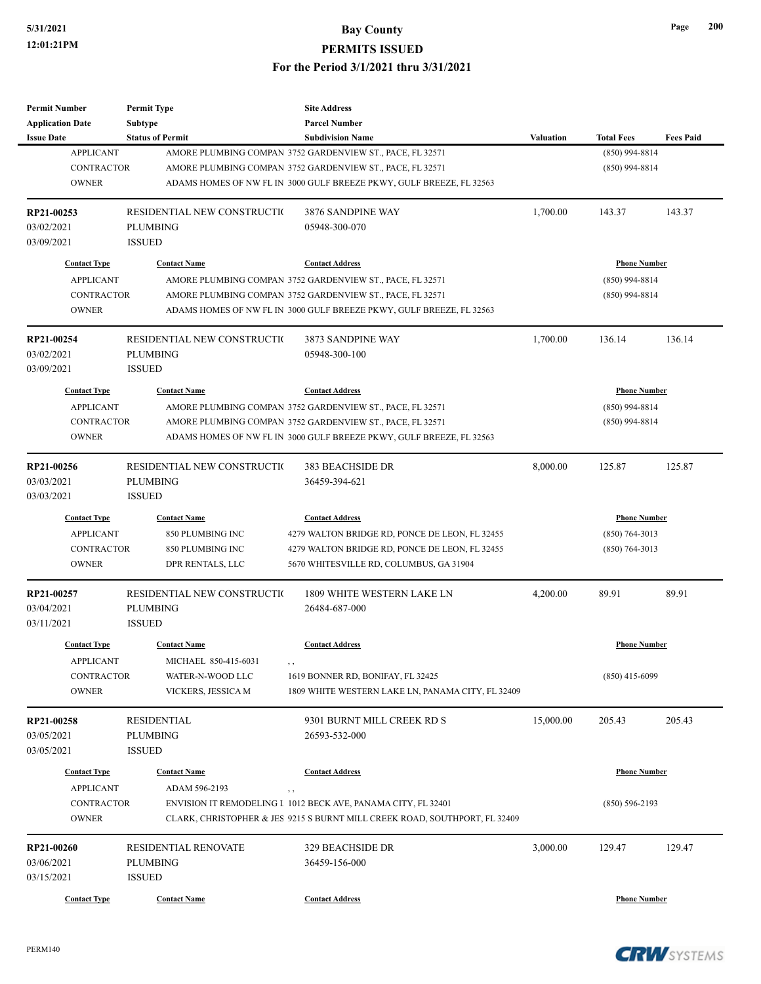# **5/31/2021 Bay County**

**PERMITS ISSUED**

#### **For the Period 3/1/2021 thru 3/31/2021**

| <b>Permit Number</b><br><b>Application Date</b><br><b>Issue Date</b>         | <b>Permit Type</b><br><b>Subtype</b>                                                  | <b>Site Address</b><br><b>Parcel Number</b><br><b>Subdivision Name</b>                                                                                                                                                   |           |                                                               | <b>Fees Paid</b> |
|------------------------------------------------------------------------------|---------------------------------------------------------------------------------------|--------------------------------------------------------------------------------------------------------------------------------------------------------------------------------------------------------------------------|-----------|---------------------------------------------------------------|------------------|
| <b>APPLICANT</b><br><b>CONTRACTOR</b><br><b>OWNER</b>                        | <b>Status of Permit</b>                                                               | AMORE PLUMBING COMPAN 3752 GARDENVIEW ST., PACE, FL 32571<br>AMORE PLUMBING COMPAN 3752 GARDENVIEW ST., PACE, FL 32571<br>ADAMS HOMES OF NW FL IN 3000 GULF BREEZE PKWY, GULF BREEZE, FL 32563                           | Valuation | <b>Total Fees</b><br>$(850)$ 994-8814<br>$(850)$ 994-8814     |                  |
| RP21-00253<br>03/02/2021<br>03/09/2021                                       | RESIDENTIAL NEW CONSTRUCTIO<br><b>PLUMBING</b><br><b>ISSUED</b>                       | 3876 SANDPINE WAY<br>05948-300-070                                                                                                                                                                                       | 1,700.00  | 143.37                                                        | 143.37           |
| <b>Contact Type</b><br><b>APPLICANT</b><br><b>CONTRACTOR</b><br><b>OWNER</b> | <b>Contact Name</b>                                                                   | <b>Contact Address</b><br>AMORE PLUMBING COMPAN 3752 GARDENVIEW ST., PACE, FL 32571<br>AMORE PLUMBING COMPAN 3752 GARDENVIEW ST., PACE, FL 32571<br>ADAMS HOMES OF NW FL IN 3000 GULF BREEZE PKWY, GULF BREEZE, FL 32563 |           | <b>Phone Number</b><br>$(850)$ 994-8814<br>$(850)$ 994-8814   |                  |
| RP21-00254<br>03/02/2021<br>03/09/2021                                       | RESIDENTIAL NEW CONSTRUCTIO<br><b>PLUMBING</b><br><b>ISSUED</b>                       | 3873 SANDPINE WAY<br>05948-300-100                                                                                                                                                                                       | 1,700.00  | 136.14                                                        | 136.14           |
| <b>Contact Type</b><br><b>APPLICANT</b><br><b>CONTRACTOR</b><br><b>OWNER</b> | <b>Contact Name</b>                                                                   | <b>Contact Address</b><br>AMORE PLUMBING COMPAN 3752 GARDENVIEW ST., PACE, FL 32571<br>AMORE PLUMBING COMPAN 3752 GARDENVIEW ST., PACE, FL 32571<br>ADAMS HOMES OF NW FL IN 3000 GULF BREEZE PKWY, GULF BREEZE, FL 32563 |           | <b>Phone Number</b><br>$(850)$ 994-8814<br>$(850)$ 994-8814   |                  |
| RP21-00256<br>03/03/2021<br>03/03/2021                                       | RESIDENTIAL NEW CONSTRUCTIO<br><b>PLUMBING</b><br><b>ISSUED</b>                       | 383 BEACHSIDE DR<br>36459-394-621                                                                                                                                                                                        | 8,000.00  | 125.87                                                        | 125.87           |
| <b>Contact Type</b><br><b>APPLICANT</b><br>CONTRACTOR<br><b>OWNER</b>        | <b>Contact Name</b><br>850 PLUMBING INC<br>850 PLUMBING INC<br>DPR RENTALS, LLC       | <b>Contact Address</b><br>4279 WALTON BRIDGE RD, PONCE DE LEON, FL 32455<br>4279 WALTON BRIDGE RD, PONCE DE LEON, FL 32455<br>5670 WHITESVILLE RD, COLUMBUS, GA 31904                                                    |           | <b>Phone Number</b><br>$(850) 764 - 3013$<br>$(850)$ 764-3013 |                  |
| RP21-00257<br>03/04/2021<br>03/11/2021                                       | RESIDENTIAL NEW CONSTRUCTIO<br><b>PLUMBING</b><br><b>ISSUED</b>                       | 1809 WHITE WESTERN LAKE LN<br>26484-687-000                                                                                                                                                                              | 4,200.00  | 89.91                                                         | 89.91            |
| <b>Contact Type</b><br><b>APPLICANT</b><br><b>CONTRACTOR</b><br><b>OWNER</b> | <b>Contact Name</b><br>MICHAEL 850-415-6031<br>WATER-N-WOOD LLC<br>VICKERS, JESSICA M | <b>Contact Address</b><br>$, \, ,$<br>1619 BONNER RD, BONIFAY, FL 32425<br>1809 WHITE WESTERN LAKE LN, PANAMA CITY, FL 32409                                                                                             |           | <b>Phone Number</b><br>$(850)$ 415-6099                       |                  |
| RP21-00258<br>03/05/2021<br>03/05/2021                                       | <b>RESIDENTIAL</b><br><b>PLUMBING</b><br><b>ISSUED</b>                                | 9301 BURNT MILL CREEK RD S<br>26593-532-000                                                                                                                                                                              | 15,000.00 | 205.43                                                        | 205.43           |
| <b>Contact Type</b><br><b>APPLICANT</b><br>CONTRACTOR<br><b>OWNER</b>        | <b>Contact Name</b><br>ADAM 596-2193                                                  | <b>Contact Address</b><br>, ,<br>ENVISION IT REMODELING I 1012 BECK AVE, PANAMA CITY, FL 32401<br>CLARK, CHRISTOPHER & JES 9215 S BURNT MILL CREEK ROAD, SOUTHPORT, FL 32409                                             |           | <b>Phone Number</b><br>$(850) 596 - 2193$                     |                  |
| RP21-00260<br>03/06/2021<br>03/15/2021                                       | <b>RESIDENTIAL RENOVATE</b><br><b>PLUMBING</b><br><b>ISSUED</b>                       | 329 BEACHSIDE DR<br>36459-156-000                                                                                                                                                                                        | 3,000.00  | 129.47                                                        | 129.47           |
| <b>Contact Type</b>                                                          | <b>Contact Name</b>                                                                   | <b>Contact Address</b>                                                                                                                                                                                                   |           | <b>Phone Number</b>                                           |                  |

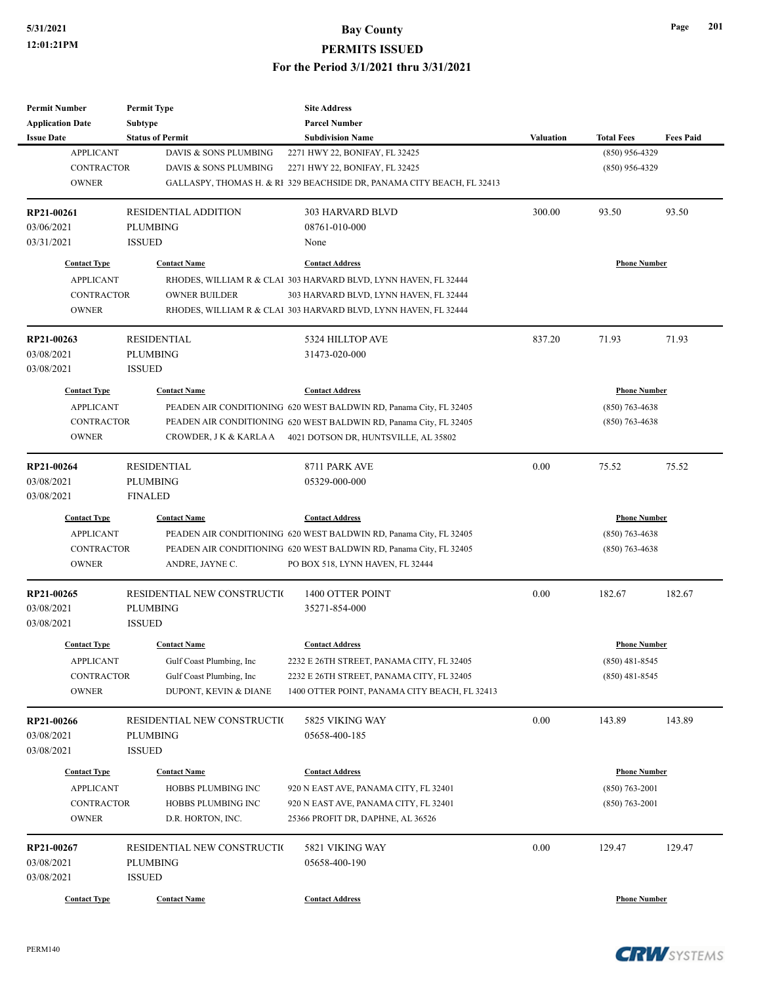| <b>Permit Number</b>    | <b>Permit Type</b>          | <b>Site Address</b>                                                    |                  |                     |                  |
|-------------------------|-----------------------------|------------------------------------------------------------------------|------------------|---------------------|------------------|
| <b>Application Date</b> | Subtype                     | <b>Parcel Number</b>                                                   |                  |                     |                  |
| <b>Issue Date</b>       | <b>Status of Permit</b>     | <b>Subdivision Name</b>                                                | <b>Valuation</b> | <b>Total Fees</b>   | <b>Fees Paid</b> |
| <b>APPLICANT</b>        | DAVIS & SONS PLUMBING       | 2271 HWY 22, BONIFAY, FL 32425                                         |                  | $(850)$ 956-4329    |                  |
| <b>CONTRACTOR</b>       | DAVIS & SONS PLUMBING       | 2271 HWY 22, BONIFAY, FL 32425                                         |                  | $(850)$ 956-4329    |                  |
| <b>OWNER</b>            |                             | GALLASPY, THOMAS H. & RI 329 BEACHSIDE DR, PANAMA CITY BEACH, FL 32413 |                  |                     |                  |
| RP21-00261              | <b>RESIDENTIAL ADDITION</b> | <b>303 HARVARD BLVD</b>                                                | 300.00           | 93.50               | 93.50            |
| 03/06/2021              | <b>PLUMBING</b>             | 08761-010-000                                                          |                  |                     |                  |
| 03/31/2021              | <b>ISSUED</b>               | None                                                                   |                  |                     |                  |
| <b>Contact Type</b>     | <b>Contact Name</b>         | <b>Contact Address</b>                                                 |                  | <b>Phone Number</b> |                  |
| <b>APPLICANT</b>        |                             | RHODES, WILLIAM R & CLAI 303 HARVARD BLVD, LYNN HAVEN, FL 32444        |                  |                     |                  |
| <b>CONTRACTOR</b>       | <b>OWNER BUILDER</b>        | 303 HARVARD BLVD, LYNN HAVEN, FL 32444                                 |                  |                     |                  |
| <b>OWNER</b>            |                             | RHODES, WILLIAM R & CLAI 303 HARVARD BLVD, LYNN HAVEN, FL 32444        |                  |                     |                  |
| RP21-00263              | <b>RESIDENTIAL</b>          | 5324 HILLTOP AVE                                                       | 837.20           | 71.93               | 71.93            |
| 03/08/2021              | <b>PLUMBING</b>             | 31473-020-000                                                          |                  |                     |                  |
| 03/08/2021              | <b>ISSUED</b>               |                                                                        |                  |                     |                  |
| <b>Contact Type</b>     | <b>Contact Name</b>         | <b>Contact Address</b>                                                 |                  | <b>Phone Number</b> |                  |
| <b>APPLICANT</b>        |                             | PEADEN AIR CONDITIONING 620 WEST BALDWIN RD, Panama City, FL 32405     |                  | $(850)$ 763-4638    |                  |
| <b>CONTRACTOR</b>       |                             | PEADEN AIR CONDITIONING 620 WEST BALDWIN RD, Panama City, FL 32405     |                  | $(850)$ 763-4638    |                  |
| <b>OWNER</b>            | CROWDER, J K & KARLA A      | 4021 DOTSON DR, HUNTSVILLE, AL 35802                                   |                  |                     |                  |
|                         |                             |                                                                        |                  |                     |                  |
| RP21-00264              | <b>RESIDENTIAL</b>          | 8711 PARK AVE                                                          | 0.00             | 75.52               | 75.52            |
| 03/08/2021              | <b>PLUMBING</b>             | 05329-000-000                                                          |                  |                     |                  |
| 03/08/2021              | <b>FINALED</b>              |                                                                        |                  |                     |                  |
| <b>Contact Type</b>     | <b>Contact Name</b>         | <b>Contact Address</b>                                                 |                  | <b>Phone Number</b> |                  |
| <b>APPLICANT</b>        |                             | PEADEN AIR CONDITIONING 620 WEST BALDWIN RD, Panama City, FL 32405     | $(850)$ 763-4638 |                     |                  |
| <b>CONTRACTOR</b>       |                             | PEADEN AIR CONDITIONING 620 WEST BALDWIN RD, Panama City, FL 32405     |                  | $(850)$ 763-4638    |                  |
| <b>OWNER</b>            | ANDRE, JAYNE C.             | PO BOX 518, LYNN HAVEN, FL 32444                                       |                  |                     |                  |
| RP21-00265              | RESIDENTIAL NEW CONSTRUCTIO | 1400 OTTER POINT                                                       | 0.00             | 182.67              | 182.67           |
| 03/08/2021              | <b>PLUMBING</b>             | 35271-854-000                                                          |                  |                     |                  |
| 03/08/2021              | <b>ISSUED</b>               |                                                                        |                  |                     |                  |
| <b>Contact Type</b>     | <b>Contact Name</b>         | <b>Contact Address</b>                                                 |                  | <b>Phone Number</b> |                  |
| <b>APPLICANT</b>        | Gulf Coast Plumbing, Inc    | 2232 E 26TH STREET, PANAMA CITY, FL 32405                              |                  | $(850)$ 481-8545    |                  |
| <b>CONTRACTOR</b>       | Gulf Coast Plumbing, Inc    | 2232 E 26TH STREET, PANAMA CITY, FL 32405                              |                  | $(850)$ 481-8545    |                  |
| <b>OWNER</b>            | DUPONT, KEVIN & DIANE       | 1400 OTTER POINT, PANAMA CITY BEACH, FL 32413                          |                  |                     |                  |
| RP21-00266              | RESIDENTIAL NEW CONSTRUCTIO | 5825 VIKING WAY                                                        | 0.00             | 143.89              | 143.89           |
| 03/08/2021              | <b>PLUMBING</b>             | 05658-400-185                                                          |                  |                     |                  |
| 03/08/2021              | <b>ISSUED</b>               |                                                                        |                  |                     |                  |
| <b>Contact Type</b>     | <b>Contact Name</b>         | <b>Contact Address</b>                                                 |                  | <b>Phone Number</b> |                  |
| <b>APPLICANT</b>        | HOBBS PLUMBING INC          | 920 N EAST AVE, PANAMA CITY, FL 32401                                  |                  | $(850) 763 - 2001$  |                  |
| CONTRACTOR              | HOBBS PLUMBING INC          | 920 N EAST AVE, PANAMA CITY, FL 32401                                  |                  | $(850)$ 763-2001    |                  |
| <b>OWNER</b>            | D.R. HORTON, INC.           | 25366 PROFIT DR, DAPHNE, AL 36526                                      |                  |                     |                  |
| RP21-00267              | RESIDENTIAL NEW CONSTRUCTIO | 5821 VIKING WAY                                                        | 0.00             | 129.47              | 129.47           |
| 03/08/2021              | <b>PLUMBING</b>             | 05658-400-190                                                          |                  |                     |                  |
| 03/08/2021              | <b>ISSUED</b>               |                                                                        |                  |                     |                  |
| <b>Contact Type</b>     | <b>Contact Name</b>         | <b>Contact Address</b>                                                 |                  | <b>Phone Number</b> |                  |
|                         |                             |                                                                        |                  |                     |                  |

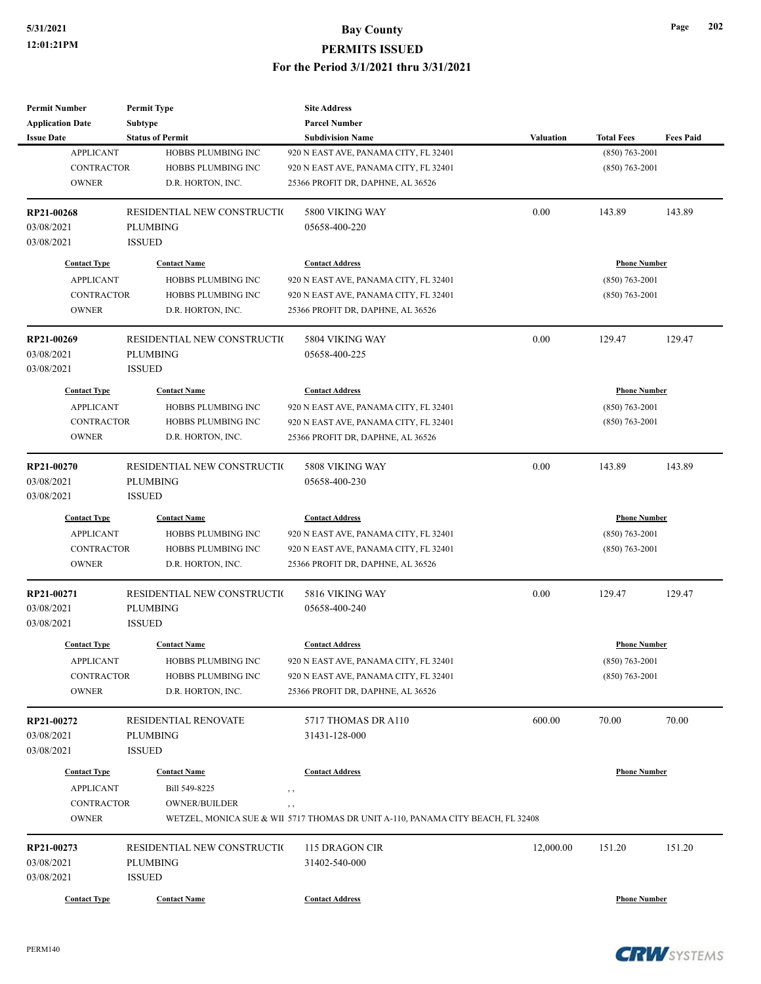| <b>Permit Number</b>       | <b>Permit Type</b>          | <b>Site Address</b>                                                                    |                  |                     |                  |
|----------------------------|-----------------------------|----------------------------------------------------------------------------------------|------------------|---------------------|------------------|
| <b>Application Date</b>    | Subtype                     | <b>Parcel Number</b>                                                                   |                  |                     |                  |
| <b>Issue Date</b>          | <b>Status of Permit</b>     | <b>Subdivision Name</b>                                                                | <b>Valuation</b> | <b>Total Fees</b>   | <b>Fees Paid</b> |
| <b>APPLICANT</b>           | HOBBS PLUMBING INC          | 920 N EAST AVE, PANAMA CITY, FL 32401                                                  |                  | $(850)$ 763-2001    |                  |
| <b>CONTRACTOR</b>          | HOBBS PLUMBING INC          | 920 N EAST AVE, PANAMA CITY, FL 32401                                                  |                  | $(850)$ 763-2001    |                  |
| <b>OWNER</b>               | D.R. HORTON, INC.           | 25366 PROFIT DR, DAPHNE, AL 36526                                                      |                  |                     |                  |
| RP21-00268                 | RESIDENTIAL NEW CONSTRUCTIO | 5800 VIKING WAY                                                                        | 0.00             | 143.89              | 143.89           |
| 03/08/2021                 | <b>PLUMBING</b>             | 05658-400-220                                                                          |                  |                     |                  |
| 03/08/2021                 | <b>ISSUED</b>               |                                                                                        |                  |                     |                  |
| <b>Contact Type</b>        | <b>Contact Name</b>         | <b>Contact Address</b>                                                                 |                  | <b>Phone Number</b> |                  |
| <b>APPLICANT</b>           | HOBBS PLUMBING INC          | 920 N EAST AVE, PANAMA CITY, FL 32401                                                  |                  | $(850)$ 763-2001    |                  |
| <b>CONTRACTOR</b>          | HOBBS PLUMBING INC          | 920 N EAST AVE, PANAMA CITY, FL 32401                                                  |                  | $(850)$ 763-2001    |                  |
| <b>OWNER</b>               | D.R. HORTON, INC.           | 25366 PROFIT DR, DAPHNE, AL 36526                                                      |                  |                     |                  |
| RP21-00269                 | RESIDENTIAL NEW CONSTRUCTIO | 5804 VIKING WAY                                                                        | 0.00             | 129.47              | 129.47           |
| 03/08/2021                 | <b>PLUMBING</b>             | 05658-400-225                                                                          |                  |                     |                  |
| 03/08/2021                 | <b>ISSUED</b>               |                                                                                        |                  |                     |                  |
| <b>Contact Type</b>        | <b>Contact Name</b>         | <b>Contact Address</b>                                                                 |                  | <b>Phone Number</b> |                  |
| <b>APPLICANT</b>           | HOBBS PLUMBING INC          | 920 N EAST AVE, PANAMA CITY, FL 32401                                                  |                  | $(850)$ 763-2001    |                  |
| <b>CONTRACTOR</b>          | HOBBS PLUMBING INC          | 920 N EAST AVE, PANAMA CITY, FL 32401                                                  |                  | $(850) 763 - 2001$  |                  |
| <b>OWNER</b>               |                             |                                                                                        |                  |                     |                  |
|                            | D.R. HORTON, INC.           | 25366 PROFIT DR, DAPHNE, AL 36526                                                      |                  |                     |                  |
| RP21-00270                 | RESIDENTIAL NEW CONSTRUCTIO | 5808 VIKING WAY                                                                        | 0.00             | 143.89              | 143.89           |
| 03/08/2021                 | <b>PLUMBING</b>             | 05658-400-230                                                                          |                  |                     |                  |
| 03/08/2021                 | <b>ISSUED</b>               |                                                                                        |                  |                     |                  |
| <b>Contact Type</b>        | <b>Contact Name</b>         | <b>Contact Address</b>                                                                 |                  | <b>Phone Number</b> |                  |
| <b>APPLICANT</b>           | HOBBS PLUMBING INC          | 920 N EAST AVE, PANAMA CITY, FL 32401                                                  |                  | $(850) 763 - 2001$  |                  |
| <b>CONTRACTOR</b>          | HOBBS PLUMBING INC          | 920 N EAST AVE, PANAMA CITY, FL 32401                                                  |                  | $(850)$ 763-2001    |                  |
| <b>OWNER</b>               | D.R. HORTON, INC.           | 25366 PROFIT DR, DAPHNE, AL 36526                                                      |                  |                     |                  |
| RP21-00271                 | RESIDENTIAL NEW CONSTRUCTIO | 5816 VIKING WAY                                                                        | 0.00             | 129.47              | 129.47           |
| 03/08/2021                 | <b>PLUMBING</b>             | 05658-400-240                                                                          |                  |                     |                  |
| 03/08/2021                 | <b>ISSUED</b>               |                                                                                        |                  |                     |                  |
| <b>Contact Type</b>        | <b>Contact Name</b>         | <b>Contact Address</b>                                                                 |                  | <b>Phone Number</b> |                  |
| <b>APPLICANT</b>           | HOBBS PLUMBING INC          | 920 N EAST AVE, PANAMA CITY, FL 32401                                                  |                  | $(850)$ 763-2001    |                  |
| <b>CONTRACTOR</b>          | HOBBS PLUMBING INC          | 920 N EAST AVE, PANAMA CITY, FL 32401                                                  |                  | $(850)$ 763-2001    |                  |
| <b>OWNER</b>               | D.R. HORTON, INC.           | 25366 PROFIT DR, DAPHNE, AL 36526                                                      |                  |                     |                  |
| RP21-00272                 | <b>RESIDENTIAL RENOVATE</b> | 5717 THOMAS DR A110                                                                    | 600.00           | 70.00               | 70.00            |
| 03/08/2021                 | <b>PLUMBING</b>             | 31431-128-000                                                                          |                  |                     |                  |
| 03/08/2021                 | <b>ISSUED</b>               |                                                                                        |                  |                     |                  |
|                            |                             |                                                                                        |                  |                     |                  |
| <b>Contact Type</b>        | <b>Contact Name</b>         | <b>Contact Address</b>                                                                 |                  | <b>Phone Number</b> |                  |
| <b>APPLICANT</b>           | Bill 549-8225               | , ,                                                                                    |                  |                     |                  |
| CONTRACTOR<br><b>OWNER</b> | <b>OWNER/BUILDER</b>        | , ,<br>WETZEL, MONICA SUE & WII 5717 THOMAS DR UNIT A-110, PANAMA CITY BEACH, FL 32408 |                  |                     |                  |
|                            |                             |                                                                                        |                  |                     |                  |
| RP21-00273                 | RESIDENTIAL NEW CONSTRUCTIO | 115 DRAGON CIR                                                                         | 12,000.00        | 151.20              | 151.20           |
| 03/08/2021                 | <b>PLUMBING</b>             | 31402-540-000                                                                          |                  |                     |                  |
| 03/08/2021                 | <b>ISSUED</b>               |                                                                                        |                  |                     |                  |
| <b>Contact Type</b>        | <b>Contact Name</b>         | <b>Contact Address</b>                                                                 |                  | <b>Phone Number</b> |                  |

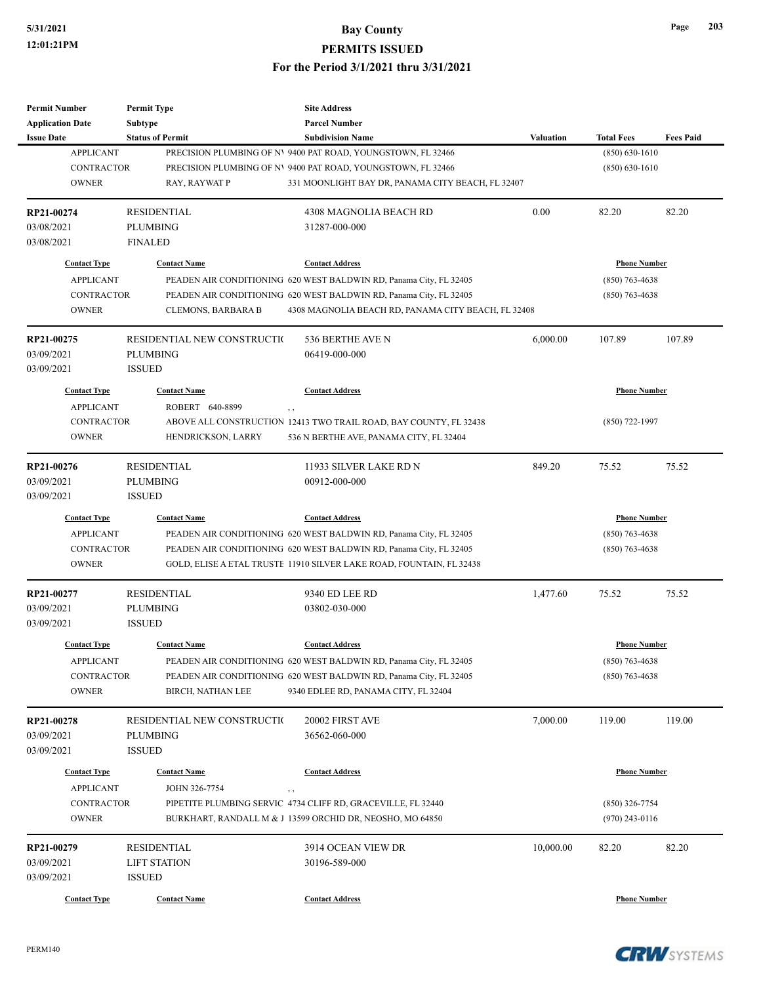## **5/31/2021 Bay County**

#### **PERMITS ISSUED**

#### **For the Period 3/1/2021 thru 3/31/2021**

| <b>Permit Number</b>     | <b>Permit Type</b>          | <b>Site Address</b>                                                  |                  |                                         |                  |
|--------------------------|-----------------------------|----------------------------------------------------------------------|------------------|-----------------------------------------|------------------|
| <b>Application Date</b>  | <b>Subtype</b>              | <b>Parcel Number</b>                                                 |                  |                                         |                  |
| <b>Issue Date</b>        | <b>Status of Permit</b>     | <b>Subdivision Name</b>                                              | <b>Valuation</b> | <b>Total Fees</b>                       | <b>Fees Paid</b> |
| <b>APPLICANT</b>         |                             | PRECISION PLUMBING OF NV 9400 PAT ROAD, YOUNGSTOWN, FL 32466         |                  | $(850) 630 - 1610$                      |                  |
| <b>CONTRACTOR</b>        |                             | PRECISION PLUMBING OF NV 9400 PAT ROAD, YOUNGSTOWN, FL 32466         |                  | $(850) 630 - 1610$                      |                  |
| <b>OWNER</b>             | RAY, RAYWAT P               | 331 MOONLIGHT BAY DR, PANAMA CITY BEACH, FL 32407                    |                  |                                         |                  |
| RP21-00274               | <b>RESIDENTIAL</b>          | 4308 MAGNOLIA BEACH RD                                               | 0.00             | 82.20                                   | 82.20            |
| 03/08/2021               | <b>PLUMBING</b>             | 31287-000-000                                                        |                  |                                         |                  |
| 03/08/2021               | <b>FINALED</b>              |                                                                      |                  |                                         |                  |
| <b>Contact Type</b>      | <b>Contact Name</b>         | <b>Contact Address</b>                                               |                  | <b>Phone Number</b>                     |                  |
| <b>APPLICANT</b>         |                             | PEADEN AIR CONDITIONING 620 WEST BALDWIN RD, Panama City, FL 32405   |                  | $(850)$ 763-4638                        |                  |
| <b>CONTRACTOR</b>        |                             | PEADEN AIR CONDITIONING 620 WEST BALDWIN RD, Panama City, FL 32405   |                  | $(850)$ 763-4638                        |                  |
| <b>OWNER</b>             | CLEMONS, BARBARA B          | 4308 MAGNOLIA BEACH RD, PANAMA CITY BEACH, FL 32408                  |                  |                                         |                  |
| RP21-00275               | RESIDENTIAL NEW CONSTRUCTIO | 536 BERTHE AVE N                                                     | 6,000.00         | 107.89                                  | 107.89           |
| 03/09/2021               | <b>PLUMBING</b>             | 06419-000-000                                                        |                  |                                         |                  |
| 03/09/2021               | <b>ISSUED</b>               |                                                                      |                  |                                         |                  |
| <b>Contact Type</b>      | <b>Contact Name</b>         | <b>Contact Address</b>                                               |                  | <b>Phone Number</b>                     |                  |
| <b>APPLICANT</b>         | ROBERT 640-8899             | , ,                                                                  |                  |                                         |                  |
| <b>CONTRACTOR</b>        |                             | ABOVE ALL CONSTRUCTION 12413 TWO TRAIL ROAD, BAY COUNTY, FL 32438    |                  | $(850)$ 722-1997                        |                  |
| <b>OWNER</b>             | HENDRICKSON, LARRY          | 536 N BERTHE AVE, PANAMA CITY, FL 32404                              |                  |                                         |                  |
| RP21-00276               | <b>RESIDENTIAL</b>          | 11933 SILVER LAKE RD N                                               | 849.20           | 75.52                                   | 75.52            |
| 03/09/2021               | <b>PLUMBING</b>             | 00912-000-000                                                        |                  |                                         |                  |
| 03/09/2021               | <b>ISSUED</b>               |                                                                      |                  |                                         |                  |
| <b>Contact Type</b>      | <b>Contact Name</b>         | <b>Contact Address</b>                                               |                  | <b>Phone Number</b><br>$(850)$ 763-4638 |                  |
| <b>APPLICANT</b>         |                             | PEADEN AIR CONDITIONING 620 WEST BALDWIN RD, Panama City, FL 32405   |                  |                                         |                  |
| <b>CONTRACTOR</b>        |                             | PEADEN AIR CONDITIONING 620 WEST BALDWIN RD, Panama City, FL 32405   |                  | $(850)$ 763-4638                        |                  |
| <b>OWNER</b>             |                             | GOLD, ELISE A ETAL TRUSTE 11910 SILVER LAKE ROAD, FOUNTAIN, FL 32438 |                  |                                         |                  |
| RP21-00277               | <b>RESIDENTIAL</b>          | 9340 ED LEE RD                                                       | 1,477.60         | 75.52                                   | 75.52            |
| 03/09/2021               | <b>PLUMBING</b>             | 03802-030-000                                                        |                  |                                         |                  |
| 03/09/2021               | <b>ISSUED</b>               |                                                                      |                  |                                         |                  |
| <b>Contact Type</b>      | <b>Contact Name</b>         | <b>Contact Address</b>                                               |                  | <b>Phone Number</b>                     |                  |
| <b>APPLICANT</b>         |                             | PEADEN AIR CONDITIONING 620 WEST BALDWIN RD, Panama City, FL 32405   |                  | $(850) 763 - 4638$                      |                  |
| CONTRACTOR               |                             | PEADEN AIR CONDITIONING 620 WEST BALDWIN RD, Panama City, FL 32405   |                  | $(850)$ 763-4638                        |                  |
| <b>OWNER</b>             | <b>BIRCH, NATHAN LEE</b>    | 9340 EDLEE RD, PANAMA CITY, FL 32404                                 |                  |                                         |                  |
|                          | RESIDENTIAL NEW CONSTRUCTIO | 20002 FIRST AVE                                                      | 7,000.00         | 119.00                                  | 119.00           |
| RP21-00278<br>03/09/2021 | <b>PLUMBING</b>             | 36562-060-000                                                        |                  |                                         |                  |
|                          |                             |                                                                      |                  |                                         |                  |
| 03/09/2021               | <b>ISSUED</b>               |                                                                      |                  |                                         |                  |
| <b>Contact Type</b>      | <b>Contact Name</b>         | <b>Contact Address</b>                                               |                  | <b>Phone Number</b>                     |                  |
| <b>APPLICANT</b>         | JOHN 326-7754               | ,,                                                                   |                  |                                         |                  |
| CONTRACTOR               |                             | PIPETITE PLUMBING SERVIC 4734 CLIFF RD, GRACEVILLE, FL 32440         |                  | (850) 326-7754                          |                  |
| <b>OWNER</b>             |                             | BURKHART, RANDALL M & J 13599 ORCHID DR, NEOSHO, MO 64850            |                  | $(970)$ 243-0116                        |                  |
| RP21-00279               | <b>RESIDENTIAL</b>          | 3914 OCEAN VIEW DR                                                   | 10,000.00        | 82.20                                   | 82.20            |
| 03/09/2021               | <b>LIFT STATION</b>         | 30196-589-000                                                        |                  |                                         |                  |
| 03/09/2021               | <b>ISSUED</b>               |                                                                      |                  |                                         |                  |
| <b>Contact Type</b>      | <b>Contact Name</b>         | <b>Contact Address</b>                                               |                  | <b>Phone Number</b>                     |                  |
|                          |                             |                                                                      |                  |                                         |                  |

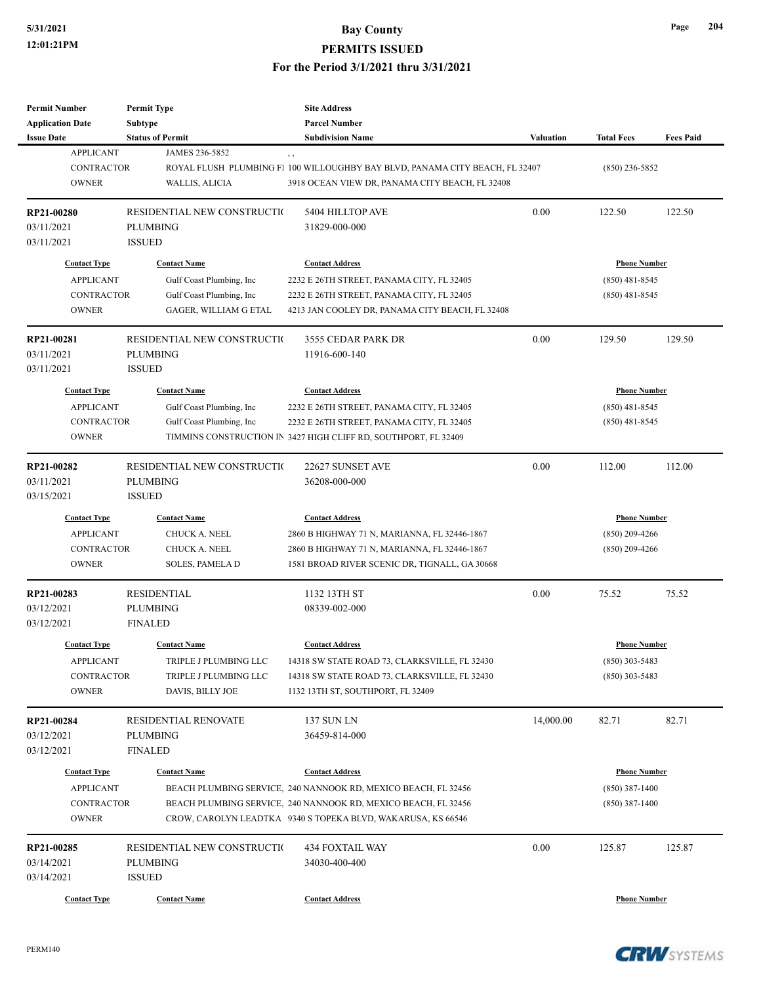| <b>Permit Number</b>                  | <b>Permit Type</b>                        | <b>Site Address</b>                                                                                                            |                  |                     |                  |
|---------------------------------------|-------------------------------------------|--------------------------------------------------------------------------------------------------------------------------------|------------------|---------------------|------------------|
| <b>Application Date</b>               | Subtype                                   | <b>Parcel Number</b>                                                                                                           |                  |                     |                  |
| <b>Issue Date</b><br><b>APPLICANT</b> | <b>Status of Permit</b><br>JAMES 236-5852 | <b>Subdivision Name</b>                                                                                                        | <b>Valuation</b> | <b>Total Fees</b>   | <b>Fees Paid</b> |
| <b>CONTRACTOR</b>                     |                                           | , ,<br>ROYAL FLUSH PLUMBING F1 100 WILLOUGHBY BAY BLVD, PANAMA CITY BEACH, FL 32407                                            |                  |                     |                  |
| <b>OWNER</b>                          | WALLIS, ALICIA                            | 3918 OCEAN VIEW DR, PANAMA CITY BEACH, FL 32408                                                                                |                  | $(850)$ 236-5852    |                  |
|                                       |                                           |                                                                                                                                |                  |                     |                  |
| RP21-00280                            | RESIDENTIAL NEW CONSTRUCTIO               | 5404 HILLTOP AVE                                                                                                               | 0.00             | 122.50              | 122.50           |
| 03/11/2021                            | <b>PLUMBING</b>                           | 31829-000-000                                                                                                                  |                  |                     |                  |
| 03/11/2021                            | <b>ISSUED</b>                             |                                                                                                                                |                  |                     |                  |
| <b>Contact Type</b>                   | <b>Contact Name</b>                       | <b>Contact Address</b>                                                                                                         |                  | <b>Phone Number</b> |                  |
| <b>APPLICANT</b>                      | Gulf Coast Plumbing, Inc                  | 2232 E 26TH STREET, PANAMA CITY, FL 32405                                                                                      |                  | $(850)$ 481-8545    |                  |
| <b>CONTRACTOR</b>                     | Gulf Coast Plumbing, Inc                  | 2232 E 26TH STREET, PANAMA CITY, FL 32405                                                                                      |                  | $(850)$ 481-8545    |                  |
| <b>OWNER</b>                          | GAGER, WILLIAM G ETAL                     | 4213 JAN COOLEY DR, PANAMA CITY BEACH, FL 32408                                                                                |                  |                     |                  |
| RP21-00281                            | RESIDENTIAL NEW CONSTRUCTIO               | 3555 CEDAR PARK DR                                                                                                             | 0.00             | 129.50              | 129.50           |
| 03/11/2021                            | <b>PLUMBING</b>                           | 11916-600-140                                                                                                                  |                  |                     |                  |
| 03/11/2021                            | <b>ISSUED</b>                             |                                                                                                                                |                  |                     |                  |
| <b>Contact Type</b>                   | <b>Contact Name</b>                       | <b>Contact Address</b>                                                                                                         |                  | <b>Phone Number</b> |                  |
| <b>APPLICANT</b>                      | Gulf Coast Plumbing, Inc                  | 2232 E 26TH STREET, PANAMA CITY, FL 32405                                                                                      |                  | $(850)$ 481-8545    |                  |
| <b>CONTRACTOR</b>                     | Gulf Coast Plumbing, Inc                  | 2232 E 26TH STREET, PANAMA CITY, FL 32405                                                                                      |                  | $(850)$ 481-8545    |                  |
| <b>OWNER</b>                          |                                           | TIMMINS CONSTRUCTION IN 3427 HIGH CLIFF RD, SOUTHPORT, FL 32409                                                                |                  |                     |                  |
|                                       |                                           |                                                                                                                                |                  |                     |                  |
| RP21-00282                            | RESIDENTIAL NEW CONSTRUCTIO               | 22627 SUNSET AVE                                                                                                               | 0.00             | 112.00              | 112.00           |
| 03/11/2021                            | <b>PLUMBING</b>                           | 36208-000-000                                                                                                                  |                  |                     |                  |
| 03/15/2021                            | <b>ISSUED</b>                             |                                                                                                                                |                  |                     |                  |
| <b>Contact Type</b>                   | <b>Contact Name</b>                       | <b>Contact Address</b>                                                                                                         |                  | <b>Phone Number</b> |                  |
| <b>APPLICANT</b>                      | CHUCK A. NEEL                             | 2860 B HIGHWAY 71 N, MARIANNA, FL 32446-1867                                                                                   |                  | $(850)$ 209-4266    |                  |
| <b>CONTRACTOR</b>                     | <b>CHUCK A. NEEL</b>                      | 2860 B HIGHWAY 71 N, MARIANNA, FL 32446-1867                                                                                   |                  | $(850)$ 209-4266    |                  |
| <b>OWNER</b>                          | SOLES, PAMELA D                           | 1581 BROAD RIVER SCENIC DR, TIGNALL, GA 30668                                                                                  |                  |                     |                  |
| RP21-00283                            | <b>RESIDENTIAL</b>                        | 1132 13TH ST                                                                                                                   | 0.00             | 75.52               | 75.52            |
| 03/12/2021                            | <b>PLUMBING</b>                           | 08339-002-000                                                                                                                  |                  |                     |                  |
| 03/12/2021                            | <b>FINALED</b>                            |                                                                                                                                |                  |                     |                  |
| <b>Contact Type</b>                   | <b>Contact Name</b>                       | <b>Contact Address</b>                                                                                                         |                  | <b>Phone Number</b> |                  |
| APPLICANT                             | TRIPLE J PLUMBING LLC                     | 14318 SW STATE ROAD 73, CLARKSVILLE, FL 32430                                                                                  |                  | $(850)$ 303-5483    |                  |
| CONTRACTOR                            | TRIPLE J PLUMBING LLC                     | 14318 SW STATE ROAD 73, CLARKSVILLE, FL 32430                                                                                  |                  | $(850)$ 303-5483    |                  |
| <b>OWNER</b>                          | DAVIS, BILLY JOE                          | 1132 13TH ST, SOUTHPORT, FL 32409                                                                                              |                  |                     |                  |
| RP21-00284                            | RESIDENTIAL RENOVATE                      | 137 SUN LN                                                                                                                     | 14,000.00        | 82.71               | 82.71            |
| 03/12/2021                            | <b>PLUMBING</b>                           | 36459-814-000                                                                                                                  |                  |                     |                  |
| 03/12/2021                            | <b>FINALED</b>                            |                                                                                                                                |                  |                     |                  |
| <b>Contact Type</b>                   | <b>Contact Name</b>                       | <b>Contact Address</b>                                                                                                         |                  | <b>Phone Number</b> |                  |
|                                       |                                           |                                                                                                                                |                  |                     |                  |
| <b>APPLICANT</b>                      |                                           | BEACH PLUMBING SERVICE, 240 NANNOOK RD, MEXICO BEACH, FL 32456                                                                 |                  | $(850)$ 387-1400    |                  |
| CONTRACTOR<br><b>OWNER</b>            |                                           | BEACH PLUMBING SERVICE, 240 NANNOOK RD, MEXICO BEACH, FL 32456<br>CROW, CAROLYN LEADTKA 9340 S TOPEKA BLVD, WAKARUSA, KS 66546 |                  | $(850)$ 387-1400    |                  |
|                                       |                                           |                                                                                                                                |                  |                     |                  |
| RP21-00285                            | RESIDENTIAL NEW CONSTRUCTIO               | 434 FOXTAIL WAY                                                                                                                | 0.00             | 125.87              | 125.87           |
| 03/14/2021                            | <b>PLUMBING</b>                           | 34030-400-400                                                                                                                  |                  |                     |                  |
| 03/14/2021                            | <b>ISSUED</b>                             |                                                                                                                                |                  |                     |                  |
| <b>Contact Type</b>                   | <b>Contact Name</b>                       | <b>Contact Address</b>                                                                                                         |                  | <b>Phone Number</b> |                  |

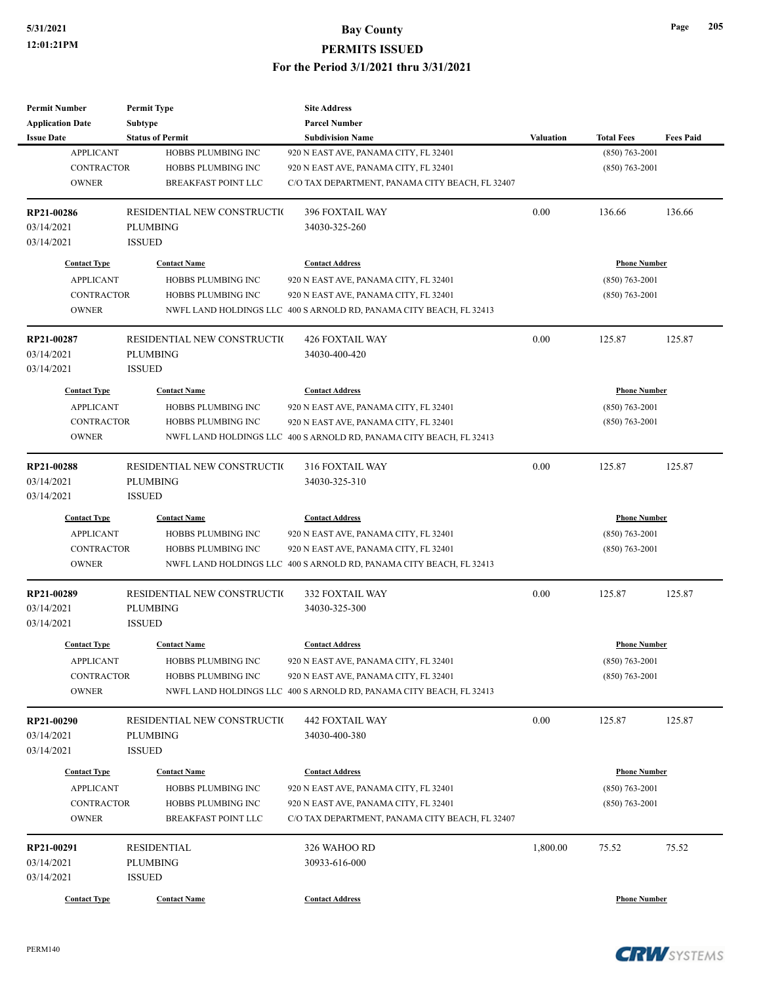| <b>Permit Number</b>    | <b>Permit Type</b>          | <b>Site Address</b>                                                 |                  |                     |                  |
|-------------------------|-----------------------------|---------------------------------------------------------------------|------------------|---------------------|------------------|
| <b>Application Date</b> | Subtype                     | <b>Parcel Number</b>                                                |                  |                     |                  |
| <b>Issue Date</b>       | <b>Status of Permit</b>     | <b>Subdivision Name</b>                                             | <b>Valuation</b> | <b>Total Fees</b>   | <b>Fees Paid</b> |
| <b>APPLICANT</b>        | HOBBS PLUMBING INC          | 920 N EAST AVE, PANAMA CITY, FL 32401                               |                  | $(850)$ 763-2001    |                  |
| <b>CONTRACTOR</b>       | HOBBS PLUMBING INC          | 920 N EAST AVE, PANAMA CITY, FL 32401                               |                  | $(850)$ 763-2001    |                  |
| <b>OWNER</b>            | <b>BREAKFAST POINT LLC</b>  | C/O TAX DEPARTMENT, PANAMA CITY BEACH, FL 32407                     |                  |                     |                  |
| RP21-00286              | RESIDENTIAL NEW CONSTRUCTIO | <b>396 FOXTAIL WAY</b>                                              | 0.00             | 136.66              | 136.66           |
| 03/14/2021              | <b>PLUMBING</b>             | 34030-325-260                                                       |                  |                     |                  |
| 03/14/2021              | <b>ISSUED</b>               |                                                                     |                  |                     |                  |
| <b>Contact Type</b>     | <b>Contact Name</b>         | <b>Contact Address</b>                                              |                  | <b>Phone Number</b> |                  |
| <b>APPLICANT</b>        | HOBBS PLUMBING INC          | 920 N EAST AVE, PANAMA CITY, FL 32401                               |                  | $(850)$ 763-2001    |                  |
| <b>CONTRACTOR</b>       | HOBBS PLUMBING INC          | 920 N EAST AVE, PANAMA CITY, FL 32401                               |                  | $(850)$ 763-2001    |                  |
| <b>OWNER</b>            |                             | NWFL LAND HOLDINGS LLC 400 S ARNOLD RD, PANAMA CITY BEACH, FL 32413 |                  |                     |                  |
| RP21-00287              | RESIDENTIAL NEW CONSTRUCTIO | <b>426 FOXTAIL WAY</b>                                              | 0.00             | 125.87              | 125.87           |
| 03/14/2021              | PLUMBING                    | 34030-400-420                                                       |                  |                     |                  |
| 03/14/2021              | <b>ISSUED</b>               |                                                                     |                  |                     |                  |
| <b>Contact Type</b>     | <b>Contact Name</b>         | <b>Contact Address</b>                                              |                  | <b>Phone Number</b> |                  |
| <b>APPLICANT</b>        | HOBBS PLUMBING INC          | 920 N EAST AVE, PANAMA CITY, FL 32401                               |                  | $(850) 763 - 2001$  |                  |
| <b>CONTRACTOR</b>       | HOBBS PLUMBING INC          | 920 N EAST AVE, PANAMA CITY, FL 32401                               |                  | $(850)$ 763-2001    |                  |
| <b>OWNER</b>            |                             | NWFL LAND HOLDINGS LLC 400 S ARNOLD RD, PANAMA CITY BEACH, FL 32413 |                  |                     |                  |
|                         |                             |                                                                     |                  |                     |                  |
| RP21-00288              | RESIDENTIAL NEW CONSTRUCTIO | <b>316 FOXTAIL WAY</b>                                              | 0.00             | 125.87              | 125.87           |
| 03/14/2021              | <b>PLUMBING</b>             | 34030-325-310                                                       |                  |                     |                  |
| 03/14/2021              | <b>ISSUED</b>               |                                                                     |                  |                     |                  |
| <b>Contact Type</b>     | <b>Contact Name</b>         | <b>Contact Address</b>                                              |                  | <b>Phone Number</b> |                  |
| <b>APPLICANT</b>        | HOBBS PLUMBING INC          | 920 N EAST AVE, PANAMA CITY, FL 32401                               |                  | $(850)$ 763-2001    |                  |
| <b>CONTRACTOR</b>       | HOBBS PLUMBING INC          | 920 N EAST AVE, PANAMA CITY, FL 32401                               |                  | $(850)$ 763-2001    |                  |
| <b>OWNER</b>            |                             | NWFL LAND HOLDINGS LLC 400 S ARNOLD RD, PANAMA CITY BEACH, FL 32413 |                  |                     |                  |
| RP21-00289              | RESIDENTIAL NEW CONSTRUCTIO | 332 FOXTAIL WAY                                                     | 0.00             | 125.87              | 125.87           |
| 03/14/2021              | PLUMBING                    | 34030-325-300                                                       |                  |                     |                  |
| 03/14/2021              | <b>ISSUED</b>               |                                                                     |                  |                     |                  |
| <b>Contact Type</b>     | <b>Contact Name</b>         | <b>Contact Address</b>                                              |                  | <b>Phone Number</b> |                  |
| <b>APPLICANT</b>        | HOBBS PLUMBING INC          | 920 N EAST AVE, PANAMA CITY, FL 32401                               |                  | $(850)$ 763-2001    |                  |
| <b>CONTRACTOR</b>       | HOBBS PLUMBING INC          | 920 N EAST AVE, PANAMA CITY, FL 32401                               |                  | $(850)$ 763-2001    |                  |
| <b>OWNER</b>            |                             | NWFL LAND HOLDINGS LLC 400 S ARNOLD RD, PANAMA CITY BEACH, FL 32413 |                  |                     |                  |
| RP21-00290              | RESIDENTIAL NEW CONSTRUCTIO | 442 FOXTAIL WAY                                                     | 0.00             | 125.87              | 125.87           |
| 03/14/2021              | <b>PLUMBING</b>             | 34030-400-380                                                       |                  |                     |                  |
| 03/14/2021              | <b>ISSUED</b>               |                                                                     |                  |                     |                  |
| <b>Contact Type</b>     | <b>Contact Name</b>         | <b>Contact Address</b>                                              |                  | <b>Phone Number</b> |                  |
| <b>APPLICANT</b>        | HOBBS PLUMBING INC          | 920 N EAST AVE, PANAMA CITY, FL 32401                               |                  | $(850)$ 763-2001    |                  |
| <b>CONTRACTOR</b>       | HOBBS PLUMBING INC          | 920 N EAST AVE, PANAMA CITY, FL 32401                               |                  | $(850)$ 763-2001    |                  |
| <b>OWNER</b>            | <b>BREAKFAST POINT LLC</b>  | C/O TAX DEPARTMENT, PANAMA CITY BEACH, FL 32407                     |                  |                     |                  |
| RP21-00291              | <b>RESIDENTIAL</b>          | 326 WAHOO RD                                                        | 1,800.00         | 75.52               | 75.52            |
| 03/14/2021              | <b>PLUMBING</b>             | 30933-616-000                                                       |                  |                     |                  |
| 03/14/2021              | <b>ISSUED</b>               |                                                                     |                  |                     |                  |
| <b>Contact Type</b>     | <b>Contact Name</b>         | <b>Contact Address</b>                                              |                  | <b>Phone Number</b> |                  |
|                         |                             |                                                                     |                  |                     |                  |

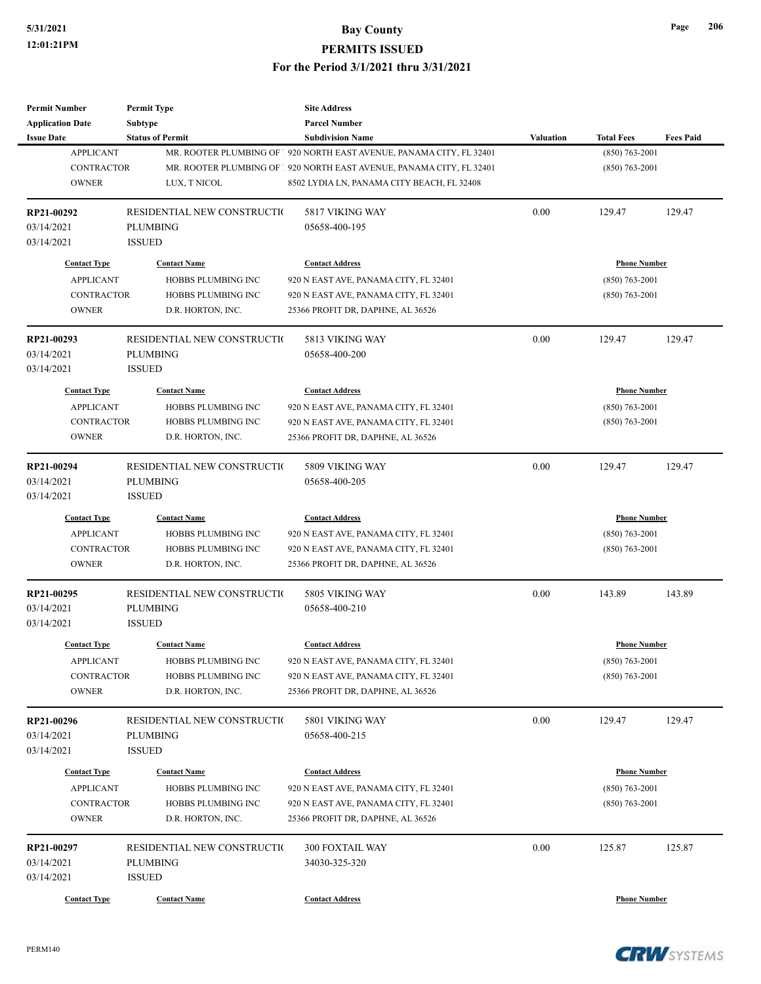| Permit Number                           | <b>Permit Type</b>                        | <b>Site Address</b>                                                   |           |                                         |                  |
|-----------------------------------------|-------------------------------------------|-----------------------------------------------------------------------|-----------|-----------------------------------------|------------------|
| <b>Application Date</b>                 | <b>Subtype</b>                            | <b>Parcel Number</b>                                                  |           |                                         |                  |
| <b>Issue Date</b>                       | <b>Status of Permit</b>                   | <b>Subdivision Name</b>                                               | Valuation | <b>Total Fees</b>                       | <b>Fees Paid</b> |
| <b>APPLICANT</b>                        |                                           | MR. ROOTER PLUMBING OF 1 920 NORTH EAST AVENUE, PANAMA CITY, FL 32401 |           | $(850)$ 763-2001                        |                  |
| <b>CONTRACTOR</b>                       |                                           | MR. ROOTER PLUMBING OF 1 920 NORTH EAST AVENUE, PANAMA CITY, FL 32401 |           | $(850) 763 - 2001$                      |                  |
| <b>OWNER</b>                            | LUX, T NICOL                              | 8502 LYDIA LN, PANAMA CITY BEACH, FL 32408                            |           |                                         |                  |
| RP21-00292                              | RESIDENTIAL NEW CONSTRUCTIO               | 5817 VIKING WAY                                                       | 0.00      | 129.47                                  | 129.47           |
| 03/14/2021                              | <b>PLUMBING</b>                           | 05658-400-195                                                         |           |                                         |                  |
| 03/14/2021                              | <b>ISSUED</b>                             |                                                                       |           |                                         |                  |
| <b>Contact Type</b>                     | <b>Contact Name</b>                       | <b>Contact Address</b>                                                |           | <b>Phone Number</b>                     |                  |
| <b>APPLICANT</b>                        | HOBBS PLUMBING INC                        | 920 N EAST AVE, PANAMA CITY, FL 32401                                 |           | $(850)$ 763-2001                        |                  |
| <b>CONTRACTOR</b>                       | HOBBS PLUMBING INC                        | 920 N EAST AVE, PANAMA CITY, FL 32401                                 |           | $(850) 763 - 2001$                      |                  |
| <b>OWNER</b>                            | D.R. HORTON, INC.                         | 25366 PROFIT DR, DAPHNE, AL 36526                                     |           |                                         |                  |
| RP21-00293                              | RESIDENTIAL NEW CONSTRUCTIO               | 5813 VIKING WAY                                                       | 0.00      | 129.47                                  | 129.47           |
| 03/14/2021                              | <b>PLUMBING</b>                           | 05658-400-200                                                         |           |                                         |                  |
| 03/14/2021                              | <b>ISSUED</b>                             |                                                                       |           |                                         |                  |
| <b>Contact Type</b>                     | <b>Contact Name</b>                       | <b>Contact Address</b>                                                |           | <b>Phone Number</b>                     |                  |
| <b>APPLICANT</b>                        | HOBBS PLUMBING INC                        | 920 N EAST AVE, PANAMA CITY, FL 32401                                 |           | $(850)$ 763-2001                        |                  |
| <b>CONTRACTOR</b>                       | <b>HOBBS PLUMBING INC</b>                 | 920 N EAST AVE, PANAMA CITY, FL 32401                                 |           | $(850)$ 763-2001                        |                  |
| <b>OWNER</b>                            | D.R. HORTON, INC.                         | 25366 PROFIT DR, DAPHNE, AL 36526                                     |           |                                         |                  |
|                                         |                                           |                                                                       |           |                                         |                  |
| RP21-00294                              | RESIDENTIAL NEW CONSTRUCTIO               | 5809 VIKING WAY                                                       | 0.00      | 129.47                                  | 129.47           |
| 03/14/2021                              | <b>PLUMBING</b>                           | 05658-400-205                                                         |           |                                         |                  |
| 03/14/2021                              | <b>ISSUED</b>                             |                                                                       |           |                                         |                  |
| <b>Contact Type</b>                     | <b>Contact Name</b>                       | <b>Contact Address</b>                                                |           | <b>Phone Number</b>                     |                  |
| <b>APPLICANT</b>                        | HOBBS PLUMBING INC                        | 920 N EAST AVE, PANAMA CITY, FL 32401                                 |           | $(850) 763 - 2001$                      |                  |
| <b>CONTRACTOR</b>                       | HOBBS PLUMBING INC                        | 920 N EAST AVE, PANAMA CITY, FL 32401                                 |           | $(850)$ 763-2001                        |                  |
| <b>OWNER</b>                            | D.R. HORTON, INC.                         | 25366 PROFIT DR, DAPHNE, AL 36526                                     |           |                                         |                  |
| RP21-00295                              | RESIDENTIAL NEW CONSTRUCTIO               | 5805 VIKING WAY                                                       | 0.00      | 143.89                                  | 143.89           |
| 03/14/2021                              | <b>PLUMBING</b>                           | 05658-400-210                                                         |           |                                         |                  |
| 03/14/2021                              | <b>ISSUED</b>                             |                                                                       |           |                                         |                  |
| <b>Contact Type</b>                     | <b>Contact Name</b>                       | <b>Contact Address</b>                                                |           | <b>Phone Number</b>                     |                  |
| APPLICANT                               | HOBBS PLUMBING INC                        | 920 N EAST AVE, PANAMA CITY, FL 32401                                 |           | $(850) 763 - 2001$                      |                  |
| CONTRACTOR                              | HOBBS PLUMBING INC                        | 920 N EAST AVE, PANAMA CITY, FL 32401                                 |           | $(850) 763 - 2001$                      |                  |
| <b>OWNER</b>                            | D.R. HORTON, INC.                         | 25366 PROFIT DR, DAPHNE, AL 36526                                     |           |                                         |                  |
| RP21-00296                              | RESIDENTIAL NEW CONSTRUCTION              | 5801 VIKING WAY                                                       | 0.00      | 129.47                                  | 129.47           |
| 03/14/2021                              | <b>PLUMBING</b>                           | 05658-400-215                                                         |           |                                         |                  |
| 03/14/2021                              | <b>ISSUED</b>                             |                                                                       |           |                                         |                  |
|                                         |                                           |                                                                       |           |                                         |                  |
| <b>Contact Type</b><br><b>APPLICANT</b> | <b>Contact Name</b><br>HOBBS PLUMBING INC | <b>Contact Address</b><br>920 N EAST AVE, PANAMA CITY, FL 32401       |           | <b>Phone Number</b><br>$(850)$ 763-2001 |                  |
| <b>CONTRACTOR</b>                       | HOBBS PLUMBING INC                        | 920 N EAST AVE, PANAMA CITY, FL 32401                                 |           | $(850)$ 763-2001                        |                  |
| <b>OWNER</b>                            |                                           |                                                                       |           |                                         |                  |
|                                         | D.R. HORTON, INC.                         | 25366 PROFIT DR, DAPHNE, AL 36526                                     |           |                                         |                  |
| RP21-00297                              | RESIDENTIAL NEW CONSTRUCTIO               | 300 FOXTAIL WAY                                                       | 0.00      | 125.87                                  | 125.87           |
| 03/14/2021                              | <b>PLUMBING</b>                           | 34030-325-320                                                         |           |                                         |                  |
| 03/14/2021                              | <b>ISSUED</b>                             |                                                                       |           |                                         |                  |
| <b>Contact Type</b>                     | <b>Contact Name</b>                       | <b>Contact Address</b>                                                |           | <b>Phone Number</b>                     |                  |
|                                         |                                           |                                                                       |           |                                         |                  |

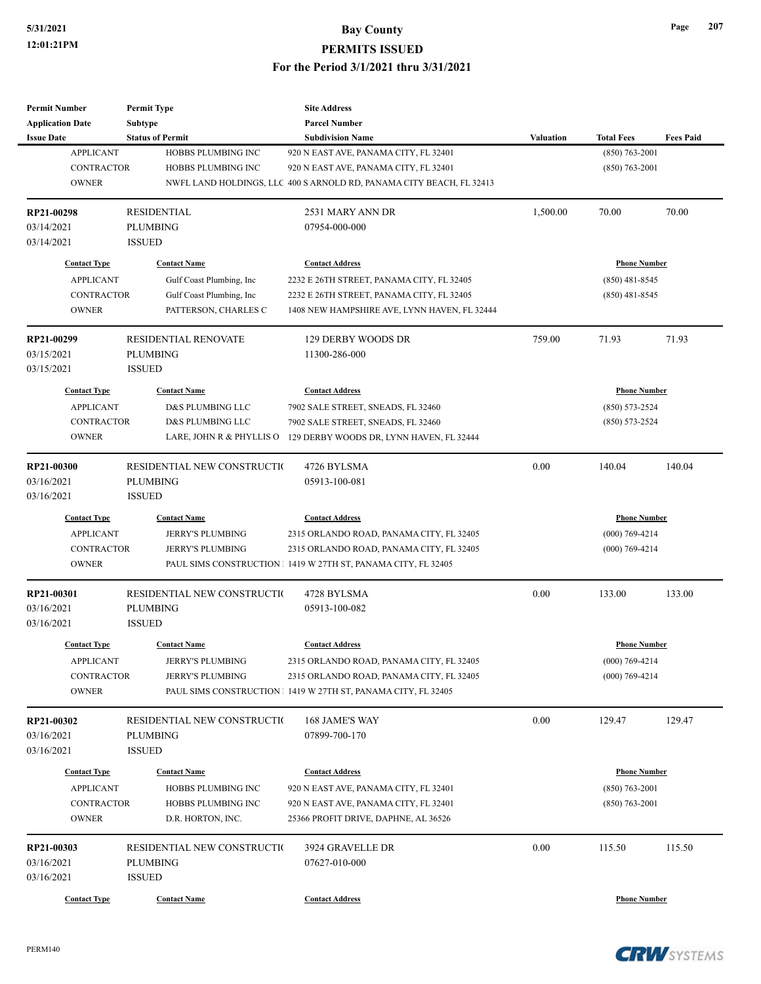| <b>Permit Number</b>    | <b>Permit Type</b>          | <b>Site Address</b>                                                  |           |                     |                  |
|-------------------------|-----------------------------|----------------------------------------------------------------------|-----------|---------------------|------------------|
| <b>Application Date</b> | Subtype                     | <b>Parcel Number</b>                                                 |           |                     |                  |
| <b>Issue Date</b>       | <b>Status of Permit</b>     | <b>Subdivision Name</b>                                              | Valuation | <b>Total Fees</b>   | <b>Fees Paid</b> |
| <b>APPLICANT</b>        | HOBBS PLUMBING INC          | 920 N EAST AVE, PANAMA CITY, FL 32401                                |           | $(850) 763 - 2001$  |                  |
| <b>CONTRACTOR</b>       | HOBBS PLUMBING INC          | 920 N EAST AVE, PANAMA CITY, FL 32401                                |           | $(850) 763 - 2001$  |                  |
| <b>OWNER</b>            |                             | NWFL LAND HOLDINGS, LLC 400 S ARNOLD RD, PANAMA CITY BEACH, FL 32413 |           |                     |                  |
| RP21-00298              | <b>RESIDENTIAL</b>          | 2531 MARY ANN DR                                                     | 1,500.00  | 70.00               | 70.00            |
| 03/14/2021              | <b>PLUMBING</b>             | 07954-000-000                                                        |           |                     |                  |
| 03/14/2021              | <b>ISSUED</b>               |                                                                      |           |                     |                  |
| <b>Contact Type</b>     | <b>Contact Name</b>         | <b>Contact Address</b>                                               |           | <b>Phone Number</b> |                  |
| <b>APPLICANT</b>        | Gulf Coast Plumbing, Inc    | 2232 E 26TH STREET, PANAMA CITY, FL 32405                            |           | $(850)$ 481-8545    |                  |
| <b>CONTRACTOR</b>       | Gulf Coast Plumbing, Inc    | 2232 E 26TH STREET, PANAMA CITY, FL 32405                            |           | $(850)$ 481-8545    |                  |
| <b>OWNER</b>            | PATTERSON, CHARLES C        | 1408 NEW HAMPSHIRE AVE, LYNN HAVEN, FL 32444                         |           |                     |                  |
| RP21-00299              | <b>RESIDENTIAL RENOVATE</b> | 129 DERBY WOODS DR                                                   | 759.00    | 71.93               | 71.93            |
| 03/15/2021              | <b>PLUMBING</b>             | 11300-286-000                                                        |           |                     |                  |
| 03/15/2021              | <b>ISSUED</b>               |                                                                      |           |                     |                  |
| <b>Contact Type</b>     | <b>Contact Name</b>         | <b>Contact Address</b>                                               |           | <b>Phone Number</b> |                  |
| <b>APPLICANT</b>        | D&S PLUMBING LLC            | 7902 SALE STREET, SNEADS, FL 32460                                   |           | $(850) 573 - 2524$  |                  |
| <b>CONTRACTOR</b>       | D&S PLUMBING LLC            | 7902 SALE STREET, SNEADS, FL 32460                                   |           | $(850) 573 - 2524$  |                  |
| <b>OWNER</b>            | LARE, JOHN R & PHYLLIS O    | 129 DERBY WOODS DR, LYNN HAVEN, FL 32444                             |           |                     |                  |
|                         |                             |                                                                      |           |                     |                  |
| RP21-00300              | RESIDENTIAL NEW CONSTRUCTIO | 4726 BYLSMA                                                          | 0.00      | 140.04              | 140.04           |
| 03/16/2021              | <b>PLUMBING</b>             | 05913-100-081                                                        |           |                     |                  |
| 03/16/2021              | <b>ISSUED</b>               |                                                                      |           |                     |                  |
| <b>Contact Type</b>     | <b>Contact Name</b>         | <b>Contact Address</b>                                               |           | <b>Phone Number</b> |                  |
| <b>APPLICANT</b>        | <b>JERRY'S PLUMBING</b>     | 2315 ORLANDO ROAD, PANAMA CITY, FL 32405                             |           | $(000)$ 769-4214    |                  |
| <b>CONTRACTOR</b>       | JERRY'S PLUMBING            | 2315 ORLANDO ROAD, PANAMA CITY, FL 32405                             |           | $(000)$ 769-4214    |                  |
| <b>OWNER</b>            |                             | PAUL SIMS CONSTRUCTION 1 1419 W 27TH ST, PANAMA CITY, FL 32405       |           |                     |                  |
| RP21-00301              | RESIDENTIAL NEW CONSTRUCTIO | 4728 BYLSMA                                                          | 0.00      | 133.00              | 133.00           |
| 03/16/2021              | <b>PLUMBING</b>             | 05913-100-082                                                        |           |                     |                  |
| 03/16/2021              | <b>ISSUED</b>               |                                                                      |           |                     |                  |
| <b>Contact Type</b>     | <b>Contact Name</b>         | <b>Contact Address</b>                                               |           | <b>Phone Number</b> |                  |
| <b>APPLICANT</b>        | <b>JERRY'S PLUMBING</b>     | 2315 ORLANDO ROAD, PANAMA CITY, FL 32405                             |           | $(000)$ 769-4214    |                  |
| CONTRACTOR              | JERRY'S PLUMBING            | 2315 ORLANDO ROAD, PANAMA CITY, FL 32405                             |           | $(000)$ 769-4214    |                  |
| <b>OWNER</b>            |                             | PAUL SIMS CONSTRUCTION 1 1419 W 27TH ST, PANAMA CITY, FL 32405       |           |                     |                  |
| RP21-00302              | RESIDENTIAL NEW CONSTRUCTIO | 168 JAME'S WAY                                                       | 0.00      | 129.47              | 129.47           |
| 03/16/2021              | <b>PLUMBING</b>             | 07899-700-170                                                        |           |                     |                  |
| 03/16/2021              | <b>ISSUED</b>               |                                                                      |           |                     |                  |
| <b>Contact Type</b>     | <b>Contact Name</b>         | <b>Contact Address</b>                                               |           | <b>Phone Number</b> |                  |
| <b>APPLICANT</b>        | HOBBS PLUMBING INC          | 920 N EAST AVE, PANAMA CITY, FL 32401                                |           | $(850)$ 763-2001    |                  |
| CONTRACTOR              | HOBBS PLUMBING INC          | 920 N EAST AVE, PANAMA CITY, FL 32401                                |           | $(850)$ 763-2001    |                  |
| <b>OWNER</b>            | D.R. HORTON, INC.           | 25366 PROFIT DRIVE, DAPHNE, AL 36526                                 |           |                     |                  |
| RP21-00303              | RESIDENTIAL NEW CONSTRUCTIO | 3924 GRAVELLE DR                                                     | 0.00      | 115.50              | 115.50           |
| 03/16/2021              | PLUMBING                    | 07627-010-000                                                        |           |                     |                  |
| 03/16/2021              | <b>ISSUED</b>               |                                                                      |           |                     |                  |
| <b>Contact Type</b>     | <b>Contact Name</b>         | <b>Contact Address</b>                                               |           | <b>Phone Number</b> |                  |
|                         |                             |                                                                      |           |                     |                  |

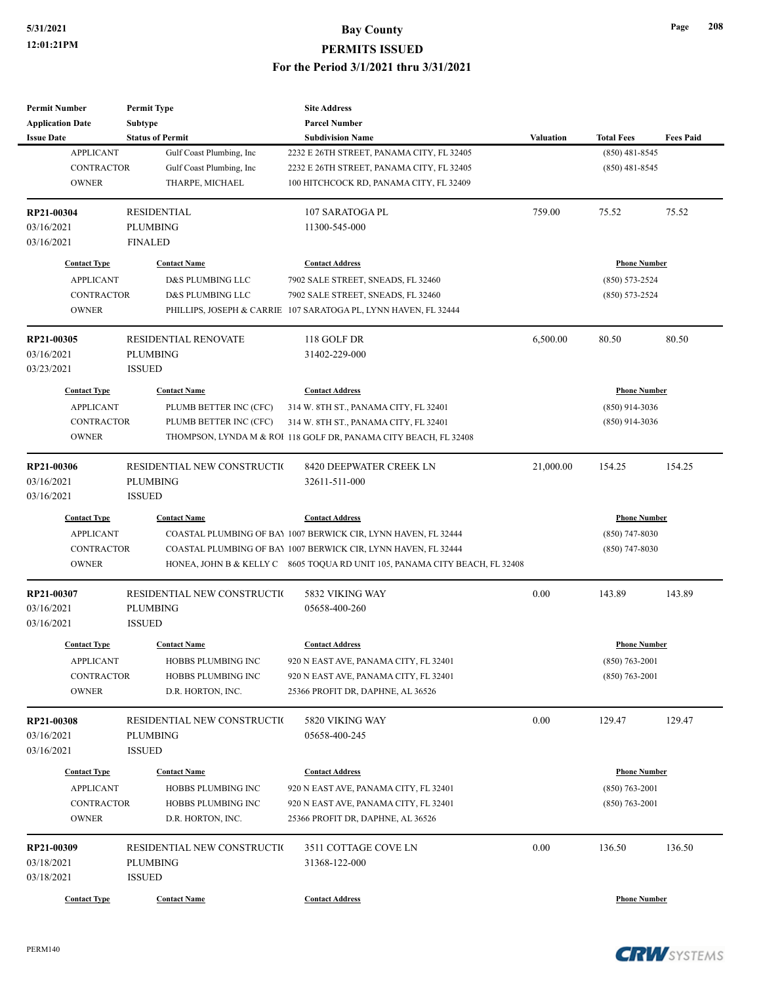| <b>Permit Number</b>    | <b>Permit Type</b>          | <b>Site Address</b>                                                         |                  |                     |                  |
|-------------------------|-----------------------------|-----------------------------------------------------------------------------|------------------|---------------------|------------------|
| <b>Application Date</b> | <b>Subtype</b>              | <b>Parcel Number</b>                                                        |                  |                     |                  |
| <b>Issue Date</b>       | <b>Status of Permit</b>     | <b>Subdivision Name</b>                                                     | <b>Valuation</b> | <b>Total Fees</b>   | <b>Fees Paid</b> |
| <b>APPLICANT</b>        | Gulf Coast Plumbing, Inc    | 2232 E 26TH STREET, PANAMA CITY, FL 32405                                   |                  | $(850)$ 481-8545    |                  |
| <b>CONTRACTOR</b>       | Gulf Coast Plumbing, Inc    | 2232 E 26TH STREET, PANAMA CITY, FL 32405                                   |                  | $(850)$ 481-8545    |                  |
| <b>OWNER</b>            | THARPE, MICHAEL             | 100 HITCHCOCK RD, PANAMA CITY, FL 32409                                     |                  |                     |                  |
| RP21-00304              | <b>RESIDENTIAL</b>          | 107 SARATOGA PL                                                             | 759.00           | 75.52               | 75.52            |
| 03/16/2021              | <b>PLUMBING</b>             | 11300-545-000                                                               |                  |                     |                  |
| 03/16/2021              | <b>FINALED</b>              |                                                                             |                  |                     |                  |
| <b>Contact Type</b>     | <b>Contact Name</b>         | <b>Contact Address</b>                                                      |                  | <b>Phone Number</b> |                  |
| <b>APPLICANT</b>        | <b>D&amp;S PLUMBING LLC</b> | 7902 SALE STREET, SNEADS, FL 32460                                          |                  | $(850) 573 - 2524$  |                  |
| <b>CONTRACTOR</b>       | D&S PLUMBING LLC            | 7902 SALE STREET, SNEADS, FL 32460                                          |                  | $(850) 573 - 2524$  |                  |
| <b>OWNER</b>            |                             | PHILLIPS, JOSEPH & CARRIE 107 SARATOGA PL, LYNN HAVEN, FL 32444             |                  |                     |                  |
| RP21-00305              | <b>RESIDENTIAL RENOVATE</b> | 118 GOLF DR                                                                 | 6,500.00         | 80.50               | 80.50            |
| 03/16/2021              | <b>PLUMBING</b>             | 31402-229-000                                                               |                  |                     |                  |
| 03/23/2021              | <b>ISSUED</b>               |                                                                             |                  |                     |                  |
| <b>Contact Type</b>     | <b>Contact Name</b>         | <b>Contact Address</b>                                                      |                  | <b>Phone Number</b> |                  |
| <b>APPLICANT</b>        | PLUMB BETTER INC (CFC)      | 314 W. 8TH ST., PANAMA CITY, FL 32401                                       |                  | $(850)$ 914-3036    |                  |
| <b>CONTRACTOR</b>       | PLUMB BETTER INC (CFC)      | 314 W. 8TH ST., PANAMA CITY, FL 32401                                       |                  | $(850)$ 914-3036    |                  |
| <b>OWNER</b>            |                             | THOMPSON, LYNDA M & ROI 118 GOLF DR, PANAMA CITY BEACH, FL 32408            |                  |                     |                  |
|                         |                             |                                                                             |                  |                     |                  |
| RP21-00306              | RESIDENTIAL NEW CONSTRUCTIO | 8420 DEEPWATER CREEK LN                                                     | 21,000.00        | 154.25              | 154.25           |
| 03/16/2021              | <b>PLUMBING</b>             | 32611-511-000                                                               |                  |                     |                  |
| 03/16/2021              | <b>ISSUED</b>               |                                                                             |                  |                     |                  |
| <b>Contact Type</b>     | <b>Contact Name</b>         | <b>Contact Address</b>                                                      |                  | <b>Phone Number</b> |                  |
| <b>APPLICANT</b>        |                             | COASTAL PLUMBING OF BAY 1007 BERWICK CIR, LYNN HAVEN, FL 32444              |                  | $(850)$ 747-8030    |                  |
| <b>CONTRACTOR</b>       |                             | COASTAL PLUMBING OF BAY 1007 BERWICK CIR, LYNN HAVEN, FL 32444              |                  | $(850)$ 747-8030    |                  |
| <b>OWNER</b>            |                             | HONEA, JOHN B & KELLY C 8605 TOQUA RD UNIT 105, PANAMA CITY BEACH, FL 32408 |                  |                     |                  |
| RP21-00307              | RESIDENTIAL NEW CONSTRUCTIO | 5832 VIKING WAY                                                             | 0.00             | 143.89              | 143.89           |
| 03/16/2021              | <b>PLUMBING</b>             | 05658-400-260                                                               |                  |                     |                  |
| 03/16/2021              | <b>ISSUED</b>               |                                                                             |                  |                     |                  |
| <b>Contact Type</b>     | <b>Contact Name</b>         | <b>Contact Address</b>                                                      |                  | <b>Phone Number</b> |                  |
| <b>APPLICANT</b>        | HOBBS PLUMBING INC          | 920 N EAST AVE, PANAMA CITY, FL 32401                                       |                  | $(850) 763 - 2001$  |                  |
| CONTRACTOR              | HOBBS PLUMBING INC          | 920 N EAST AVE, PANAMA CITY, FL 32401                                       |                  | $(850)$ 763-2001    |                  |
| <b>OWNER</b>            | D.R. HORTON, INC.           | 25366 PROFIT DR, DAPHNE, AL 36526                                           |                  |                     |                  |
|                         |                             |                                                                             |                  |                     |                  |
| RP21-00308              | RESIDENTIAL NEW CONSTRUCTIO | 5820 VIKING WAY                                                             | 0.00             | 129.47              | 129.47           |
| 03/16/2021              | <b>PLUMBING</b>             | 05658-400-245                                                               |                  |                     |                  |
| 03/16/2021              | <b>ISSUED</b>               |                                                                             |                  |                     |                  |
| <b>Contact Type</b>     | <b>Contact Name</b>         | <b>Contact Address</b>                                                      |                  | <b>Phone Number</b> |                  |
| <b>APPLICANT</b>        | HOBBS PLUMBING INC          | 920 N EAST AVE, PANAMA CITY, FL 32401                                       |                  | $(850)$ 763-2001    |                  |
| <b>CONTRACTOR</b>       | HOBBS PLUMBING INC          | 920 N EAST AVE, PANAMA CITY, FL 32401                                       |                  | $(850) 763 - 2001$  |                  |
| <b>OWNER</b>            | D.R. HORTON, INC.           | 25366 PROFIT DR, DAPHNE, AL 36526                                           |                  |                     |                  |
| RP21-00309              | RESIDENTIAL NEW CONSTRUCTIO | 3511 COTTAGE COVE LN                                                        | 0.00             | 136.50              | 136.50           |
| 03/18/2021              | <b>PLUMBING</b>             | 31368-122-000                                                               |                  |                     |                  |
| 03/18/2021              | <b>ISSUED</b>               |                                                                             |                  |                     |                  |
| <b>Contact Type</b>     | <b>Contact Name</b>         | <b>Contact Address</b>                                                      |                  | <b>Phone Number</b> |                  |
|                         |                             |                                                                             |                  |                     |                  |

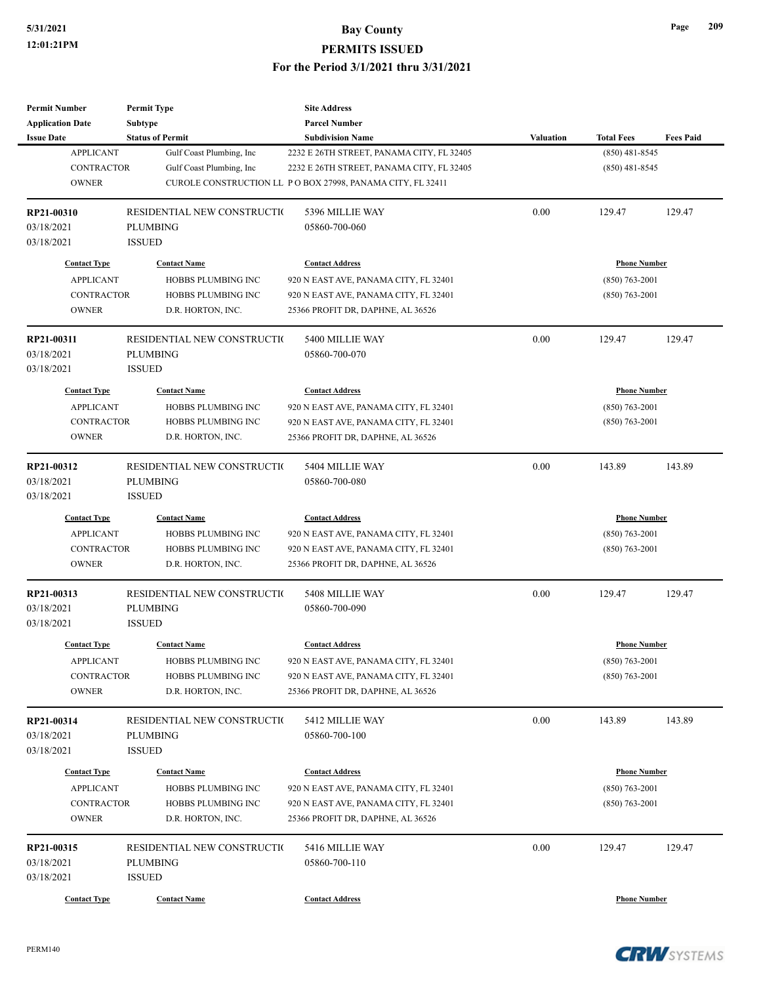| <b>Permit Number</b>    | <b>Permit Type</b>          | <b>Site Address</b>                                        |                  |                     |                  |
|-------------------------|-----------------------------|------------------------------------------------------------|------------------|---------------------|------------------|
| <b>Application Date</b> | Subtype                     | <b>Parcel Number</b>                                       |                  |                     |                  |
| <b>Issue Date</b>       | <b>Status of Permit</b>     | <b>Subdivision Name</b>                                    | <b>Valuation</b> | <b>Total Fees</b>   | <b>Fees Paid</b> |
| <b>APPLICANT</b>        | Gulf Coast Plumbing, Inc    | 2232 E 26TH STREET, PANAMA CITY, FL 32405                  |                  | $(850)$ 481-8545    |                  |
| <b>CONTRACTOR</b>       | Gulf Coast Plumbing, Inc    | 2232 E 26TH STREET, PANAMA CITY, FL 32405                  |                  | $(850)$ 481-8545    |                  |
| <b>OWNER</b>            |                             | CUROLE CONSTRUCTION LL PO BOX 27998, PANAMA CITY, FL 32411 |                  |                     |                  |
| RP21-00310              | RESIDENTIAL NEW CONSTRUCTIO | 5396 MILLIE WAY                                            | 0.00             | 129.47              | 129.47           |
| 03/18/2021              | <b>PLUMBING</b>             | 05860-700-060                                              |                  |                     |                  |
| 03/18/2021              | <b>ISSUED</b>               |                                                            |                  |                     |                  |
| <b>Contact Type</b>     | <b>Contact Name</b>         | <b>Contact Address</b>                                     |                  | <b>Phone Number</b> |                  |
| <b>APPLICANT</b>        | <b>HOBBS PLUMBING INC</b>   | 920 N EAST AVE, PANAMA CITY, FL 32401                      |                  | $(850) 763 - 2001$  |                  |
| <b>CONTRACTOR</b>       | HOBBS PLUMBING INC          | 920 N EAST AVE, PANAMA CITY, FL 32401                      |                  | $(850)$ 763-2001    |                  |
| <b>OWNER</b>            | D.R. HORTON, INC.           | 25366 PROFIT DR, DAPHNE, AL 36526                          |                  |                     |                  |
| RP21-00311              | RESIDENTIAL NEW CONSTRUCTIO | 5400 MILLIE WAY                                            | 0.00             | 129.47              | 129.47           |
| 03/18/2021              | <b>PLUMBING</b>             | 05860-700-070                                              |                  |                     |                  |
| 03/18/2021              | <b>ISSUED</b>               |                                                            |                  |                     |                  |
| <b>Contact Type</b>     | <b>Contact Name</b>         | <b>Contact Address</b>                                     |                  | <b>Phone Number</b> |                  |
| <b>APPLICANT</b>        | HOBBS PLUMBING INC          | 920 N EAST AVE, PANAMA CITY, FL 32401                      |                  | $(850)$ 763-2001    |                  |
| <b>CONTRACTOR</b>       | HOBBS PLUMBING INC          | 920 N EAST AVE, PANAMA CITY, FL 32401                      |                  | $(850) 763 - 2001$  |                  |
| <b>OWNER</b>            | D.R. HORTON, INC.           | 25366 PROFIT DR, DAPHNE, AL 36526                          |                  |                     |                  |
|                         |                             |                                                            |                  |                     |                  |
| RP21-00312              | RESIDENTIAL NEW CONSTRUCTIO | 5404 MILLIE WAY                                            | 0.00             | 143.89              | 143.89           |
| 03/18/2021              | <b>PLUMBING</b>             | 05860-700-080                                              |                  |                     |                  |
| 03/18/2021              | <b>ISSUED</b>               |                                                            |                  |                     |                  |
| <b>Contact Type</b>     | <b>Contact Name</b>         | <b>Contact Address</b>                                     |                  | <b>Phone Number</b> |                  |
| <b>APPLICANT</b>        | HOBBS PLUMBING INC          | 920 N EAST AVE, PANAMA CITY, FL 32401                      |                  | $(850) 763 - 2001$  |                  |
| <b>CONTRACTOR</b>       | HOBBS PLUMBING INC          | 920 N EAST AVE, PANAMA CITY, FL 32401                      |                  | $(850) 763 - 2001$  |                  |
| <b>OWNER</b>            | D.R. HORTON, INC.           | 25366 PROFIT DR, DAPHNE, AL 36526                          |                  |                     |                  |
| RP21-00313              | RESIDENTIAL NEW CONSTRUCTIO | 5408 MILLIE WAY                                            | 0.00             | 129.47              | 129.47           |
| 03/18/2021              | <b>PLUMBING</b>             | 05860-700-090                                              |                  |                     |                  |
| 03/18/2021              | <b>ISSUED</b>               |                                                            |                  |                     |                  |
| <b>Contact Type</b>     | <b>Contact Name</b>         | <b>Contact Address</b>                                     |                  | <b>Phone Number</b> |                  |
| <b>APPLICANT</b>        | HOBBS PLUMBING INC          | 920 N EAST AVE, PANAMA CITY, FL 32401                      |                  | $(850) 763 - 2001$  |                  |
| <b>CONTRACTOR</b>       | HOBBS PLUMBING INC          | 920 N EAST AVE, PANAMA CITY, FL 32401                      |                  | $(850) 763 - 2001$  |                  |
| <b>OWNER</b>            | D.R. HORTON, INC.           | 25366 PROFIT DR, DAPHNE, AL 36526                          |                  |                     |                  |
| RP21-00314              | RESIDENTIAL NEW CONSTRUCTIO | 5412 MILLIE WAY                                            | 0.00             | 143.89              | 143.89           |
| 03/18/2021              | <b>PLUMBING</b>             | 05860-700-100                                              |                  |                     |                  |
| 03/18/2021              | <b>ISSUED</b>               |                                                            |                  |                     |                  |
| <b>Contact Type</b>     | <b>Contact Name</b>         | <b>Contact Address</b>                                     |                  | <b>Phone Number</b> |                  |
| <b>APPLICANT</b>        | HOBBS PLUMBING INC          | 920 N EAST AVE, PANAMA CITY, FL 32401                      |                  | $(850)$ 763-2001    |                  |
| <b>CONTRACTOR</b>       | HOBBS PLUMBING INC          | 920 N EAST AVE, PANAMA CITY, FL 32401                      |                  | $(850)$ 763-2001    |                  |
| <b>OWNER</b>            | D.R. HORTON, INC.           | 25366 PROFIT DR, DAPHNE, AL 36526                          |                  |                     |                  |
| RP21-00315              | RESIDENTIAL NEW CONSTRUCTIO | 5416 MILLIE WAY                                            | 0.00             | 129.47              | 129.47           |
| 03/18/2021              | <b>PLUMBING</b>             | 05860-700-110                                              |                  |                     |                  |
| 03/18/2021              | <b>ISSUED</b>               |                                                            |                  |                     |                  |
| <b>Contact Type</b>     | <b>Contact Name</b>         | <b>Contact Address</b>                                     |                  | <b>Phone Number</b> |                  |
|                         |                             |                                                            |                  |                     |                  |

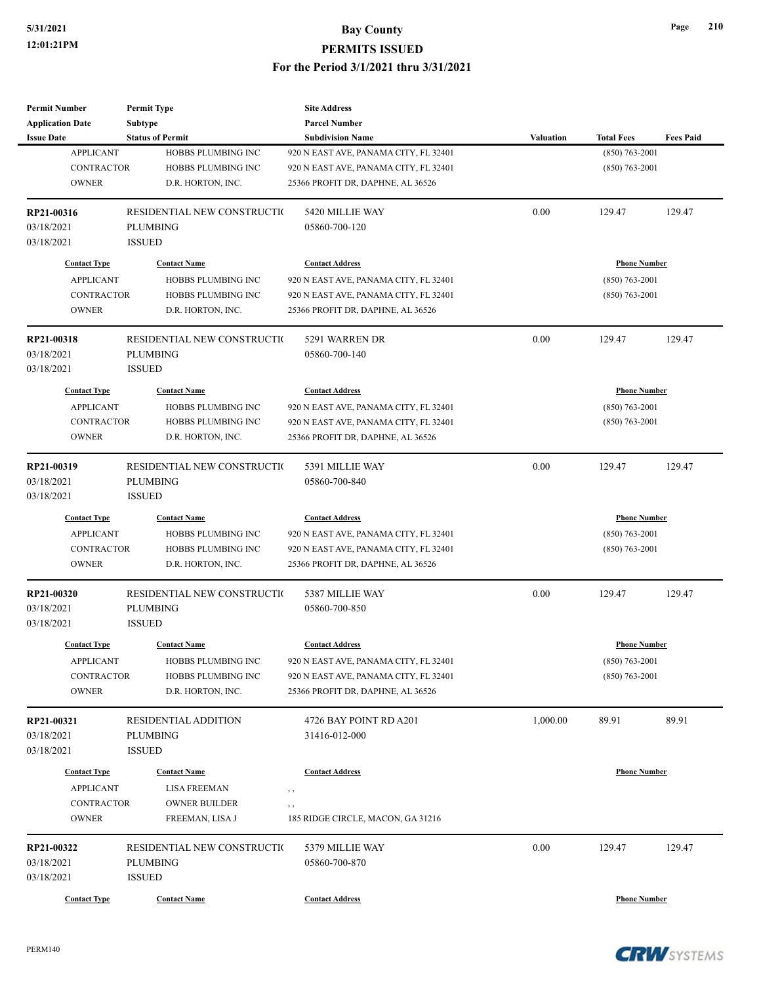| <b>Permit Number</b>    | <b>Permit Type</b>          | <b>Site Address</b>                   |                  |                     |                  |
|-------------------------|-----------------------------|---------------------------------------|------------------|---------------------|------------------|
| <b>Application Date</b> | Subtype                     | <b>Parcel Number</b>                  |                  |                     |                  |
| <b>Issue Date</b>       | <b>Status of Permit</b>     | <b>Subdivision Name</b>               | <b>Valuation</b> | <b>Total Fees</b>   | <b>Fees Paid</b> |
| <b>APPLICANT</b>        | HOBBS PLUMBING INC          | 920 N EAST AVE, PANAMA CITY, FL 32401 |                  | $(850)$ 763-2001    |                  |
| <b>CONTRACTOR</b>       | HOBBS PLUMBING INC          | 920 N EAST AVE, PANAMA CITY, FL 32401 |                  | $(850)$ 763-2001    |                  |
| <b>OWNER</b>            | D.R. HORTON, INC.           | 25366 PROFIT DR, DAPHNE, AL 36526     |                  |                     |                  |
| RP21-00316              | RESIDENTIAL NEW CONSTRUCTIO | 5420 MILLIE WAY                       | 0.00             | 129.47              | 129.47           |
| 03/18/2021              | <b>PLUMBING</b>             | 05860-700-120                         |                  |                     |                  |
| 03/18/2021              | <b>ISSUED</b>               |                                       |                  |                     |                  |
| <b>Contact Type</b>     | <b>Contact Name</b>         | <b>Contact Address</b>                |                  | <b>Phone Number</b> |                  |
| <b>APPLICANT</b>        | <b>HOBBS PLUMBING INC</b>   | 920 N EAST AVE, PANAMA CITY, FL 32401 |                  | $(850)$ 763-2001    |                  |
| <b>CONTRACTOR</b>       | HOBBS PLUMBING INC          | 920 N EAST AVE, PANAMA CITY, FL 32401 |                  | $(850)$ 763-2001    |                  |
| <b>OWNER</b>            | D.R. HORTON, INC.           | 25366 PROFIT DR, DAPHNE, AL 36526     |                  |                     |                  |
| RP21-00318              | RESIDENTIAL NEW CONSTRUCTIO | 5291 WARREN DR                        | 0.00             | 129.47              | 129.47           |
| 03/18/2021              | <b>PLUMBING</b>             | 05860-700-140                         |                  |                     |                  |
| 03/18/2021              | <b>ISSUED</b>               |                                       |                  |                     |                  |
| <b>Contact Type</b>     | <b>Contact Name</b>         | <b>Contact Address</b>                |                  | <b>Phone Number</b> |                  |
| <b>APPLICANT</b>        | HOBBS PLUMBING INC          | 920 N EAST AVE, PANAMA CITY, FL 32401 |                  | $(850)$ 763-2001    |                  |
| CONTRACTOR              | HOBBS PLUMBING INC          | 920 N EAST AVE, PANAMA CITY, FL 32401 |                  | $(850)$ 763-2001    |                  |
| <b>OWNER</b>            | D.R. HORTON, INC.           | 25366 PROFIT DR, DAPHNE, AL 36526     |                  |                     |                  |
| RP21-00319              | RESIDENTIAL NEW CONSTRUCTIO | 5391 MILLIE WAY                       | 0.00             | 129.47              | 129.47           |
| 03/18/2021              | <b>PLUMBING</b>             | 05860-700-840                         |                  |                     |                  |
| 03/18/2021              | <b>ISSUED</b>               |                                       |                  |                     |                  |
| <b>Contact Type</b>     | <b>Contact Name</b>         | <b>Contact Address</b>                |                  | <b>Phone Number</b> |                  |
| <b>APPLICANT</b>        | HOBBS PLUMBING INC          | 920 N EAST AVE, PANAMA CITY, FL 32401 |                  | $(850)$ 763-2001    |                  |
| <b>CONTRACTOR</b>       | HOBBS PLUMBING INC          | 920 N EAST AVE, PANAMA CITY, FL 32401 |                  | $(850)$ 763-2001    |                  |
| <b>OWNER</b>            | D.R. HORTON, INC.           | 25366 PROFIT DR, DAPHNE, AL 36526     |                  |                     |                  |
| RP21-00320              | RESIDENTIAL NEW CONSTRUCTIO | 5387 MILLIE WAY                       | 0.00             | 129.47              | 129.47           |
| 03/18/2021              | <b>PLUMBING</b>             | 05860-700-850                         |                  |                     |                  |
| 03/18/2021              | <b>ISSUED</b>               |                                       |                  |                     |                  |
| <b>Contact Type</b>     | <b>Contact Name</b>         | <b>Contact Address</b>                |                  | <b>Phone Number</b> |                  |
| <b>APPLICANT</b>        | HOBBS PLUMBING INC          | 920 N EAST AVE, PANAMA CITY, FL 32401 |                  | $(850) 763 - 2001$  |                  |
| <b>CONTRACTOR</b>       | HOBBS PLUMBING INC          | 920 N EAST AVE, PANAMA CITY, FL 32401 |                  | $(850) 763 - 2001$  |                  |
| <b>OWNER</b>            | D.R. HORTON, INC.           | 25366 PROFIT DR, DAPHNE, AL 36526     |                  |                     |                  |
| RP21-00321              | <b>RESIDENTIAL ADDITION</b> | 4726 BAY POINT RD A201                | 1,000.00         | 89.91               | 89.91            |
| 03/18/2021              | <b>PLUMBING</b>             | 31416-012-000                         |                  |                     |                  |
| 03/18/2021              | <b>ISSUED</b>               |                                       |                  |                     |                  |
| <b>Contact Type</b>     | <b>Contact Name</b>         | <b>Contact Address</b>                |                  | <b>Phone Number</b> |                  |
| <b>APPLICANT</b>        | <b>LISA FREEMAN</b>         | , ,                                   |                  |                     |                  |
| <b>CONTRACTOR</b>       | <b>OWNER BUILDER</b>        | , ,                                   |                  |                     |                  |
| <b>OWNER</b>            | FREEMAN, LISA J             | 185 RIDGE CIRCLE, MACON, GA 31216     |                  |                     |                  |
| RP21-00322              | RESIDENTIAL NEW CONSTRUCTIO | 5379 MILLIE WAY                       | 0.00             | 129.47              | 129.47           |
| 03/18/2021              | <b>PLUMBING</b>             | 05860-700-870                         |                  |                     |                  |
| 03/18/2021              | <b>ISSUED</b>               |                                       |                  |                     |                  |
| <b>Contact Type</b>     | <b>Contact Name</b>         | <b>Contact Address</b>                |                  | <b>Phone Number</b> |                  |
|                         |                             |                                       |                  |                     |                  |

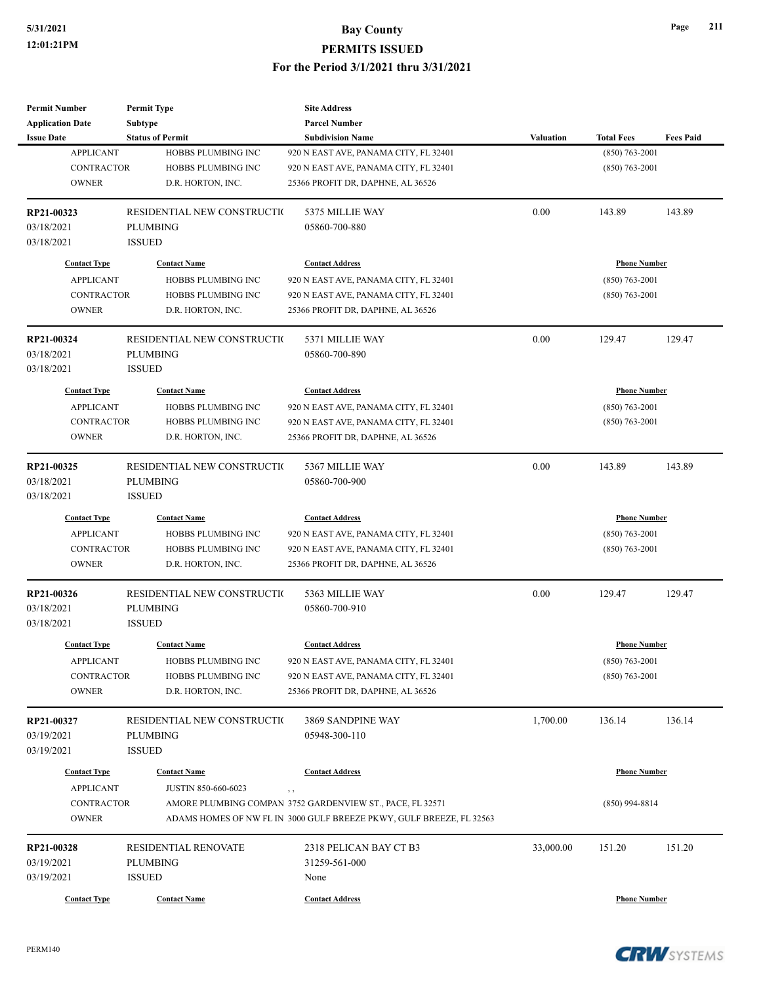| <b>Permit Number</b>    | <b>Permit Type</b>          | <b>Site Address</b>                                                      |                  |                     |                  |
|-------------------------|-----------------------------|--------------------------------------------------------------------------|------------------|---------------------|------------------|
| <b>Application Date</b> | Subtype                     | <b>Parcel Number</b>                                                     |                  |                     |                  |
| <b>Issue Date</b>       | <b>Status of Permit</b>     | <b>Subdivision Name</b>                                                  | <b>Valuation</b> | <b>Total Fees</b>   | <b>Fees Paid</b> |
| <b>APPLICANT</b>        | HOBBS PLUMBING INC          | 920 N EAST AVE, PANAMA CITY, FL 32401                                    |                  | $(850)$ 763-2001    |                  |
| <b>CONTRACTOR</b>       | <b>HOBBS PLUMBING INC</b>   | 920 N EAST AVE, PANAMA CITY, FL 32401                                    |                  | $(850)$ 763-2001    |                  |
| <b>OWNER</b>            | D.R. HORTON, INC.           | 25366 PROFIT DR, DAPHNE, AL 36526                                        |                  |                     |                  |
| RP21-00323              | RESIDENTIAL NEW CONSTRUCTIO | 5375 MILLIE WAY                                                          | 0.00             | 143.89              | 143.89           |
| 03/18/2021              | <b>PLUMBING</b>             | 05860-700-880                                                            |                  |                     |                  |
| 03/18/2021              | <b>ISSUED</b>               |                                                                          |                  |                     |                  |
| <b>Contact Type</b>     | <b>Contact Name</b>         | <b>Contact Address</b>                                                   |                  | <b>Phone Number</b> |                  |
| <b>APPLICANT</b>        | HOBBS PLUMBING INC          | 920 N EAST AVE, PANAMA CITY, FL 32401                                    |                  | $(850)$ 763-2001    |                  |
| <b>CONTRACTOR</b>       | HOBBS PLUMBING INC          | 920 N EAST AVE, PANAMA CITY, FL 32401                                    |                  | $(850)$ 763-2001    |                  |
| <b>OWNER</b>            | D.R. HORTON, INC.           | 25366 PROFIT DR, DAPHNE, AL 36526                                        |                  |                     |                  |
| RP21-00324              | RESIDENTIAL NEW CONSTRUCTIO | 5371 MILLIE WAY                                                          | 0.00             | 129.47              | 129.47           |
| 03/18/2021              | <b>PLUMBING</b>             | 05860-700-890                                                            |                  |                     |                  |
| 03/18/2021              | <b>ISSUED</b>               |                                                                          |                  |                     |                  |
| <b>Contact Type</b>     | <b>Contact Name</b>         | <b>Contact Address</b>                                                   |                  | <b>Phone Number</b> |                  |
| <b>APPLICANT</b>        | HOBBS PLUMBING INC          | 920 N EAST AVE, PANAMA CITY, FL 32401                                    |                  | $(850)$ 763-2001    |                  |
| <b>CONTRACTOR</b>       | HOBBS PLUMBING INC          | 920 N EAST AVE, PANAMA CITY, FL 32401                                    |                  | $(850)$ 763-2001    |                  |
| <b>OWNER</b>            | D.R. HORTON, INC.           | 25366 PROFIT DR, DAPHNE, AL 36526                                        |                  |                     |                  |
| RP21-00325              | RESIDENTIAL NEW CONSTRUCTIO | 5367 MILLIE WAY                                                          | 0.00             | 143.89              | 143.89           |
| 03/18/2021              | <b>PLUMBING</b>             | 05860-700-900                                                            |                  |                     |                  |
| 03/18/2021              | <b>ISSUED</b>               |                                                                          |                  |                     |                  |
| <b>Contact Type</b>     | <b>Contact Name</b>         | <b>Contact Address</b>                                                   |                  | <b>Phone Number</b> |                  |
| <b>APPLICANT</b>        | HOBBS PLUMBING INC          | 920 N EAST AVE, PANAMA CITY, FL 32401                                    |                  | $(850)$ 763-2001    |                  |
| <b>CONTRACTOR</b>       | HOBBS PLUMBING INC          | 920 N EAST AVE, PANAMA CITY, FL 32401                                    |                  | $(850)$ 763-2001    |                  |
| <b>OWNER</b>            | D.R. HORTON, INC.           | 25366 PROFIT DR, DAPHNE, AL 36526                                        |                  |                     |                  |
| RP21-00326              | RESIDENTIAL NEW CONSTRUCTIO | 5363 MILLIE WAY                                                          | 0.00             | 129.47              | 129.47           |
| 03/18/2021              | <b>PLUMBING</b>             | 05860-700-910                                                            |                  |                     |                  |
| 03/18/2021              | <b>ISSUED</b>               |                                                                          |                  |                     |                  |
| <b>Contact Type</b>     | <b>Contact Name</b>         | <b>Contact Address</b>                                                   |                  | <b>Phone Number</b> |                  |
| <b>APPLICANT</b>        | HOBBS PLUMBING INC          | 920 N EAST AVE, PANAMA CITY, FL 32401                                    |                  | $(850) 763 - 2001$  |                  |
| <b>CONTRACTOR</b>       | HOBBS PLUMBING INC          | 920 N EAST AVE, PANAMA CITY, FL 32401                                    |                  | $(850)$ 763-2001    |                  |
| <b>OWNER</b>            | D.R. HORTON, INC.           | 25366 PROFIT DR, DAPHNE, AL 36526                                        |                  |                     |                  |
| RP21-00327              | RESIDENTIAL NEW CONSTRUCTIO | 3869 SANDPINE WAY                                                        | 1,700.00         | 136.14              | 136.14           |
| 03/19/2021              | <b>PLUMBING</b>             | 05948-300-110                                                            |                  |                     |                  |
| 03/19/2021              | <b>ISSUED</b>               |                                                                          |                  |                     |                  |
| <b>Contact Type</b>     | <b>Contact Name</b>         | <b>Contact Address</b>                                                   |                  | <b>Phone Number</b> |                  |
| <b>APPLICANT</b>        | JUSTIN 850-660-6023         |                                                                          |                  |                     |                  |
| CONTRACTOR              |                             | $, \, , \,$<br>AMORE PLUMBING COMPAN 3752 GARDENVIEW ST., PACE, FL 32571 |                  | $(850)$ 994-8814    |                  |
| <b>OWNER</b>            |                             | ADAMS HOMES OF NW FL IN 3000 GULF BREEZE PKWY, GULF BREEZE, FL 32563     |                  |                     |                  |
|                         |                             |                                                                          |                  |                     |                  |
| RP21-00328              | RESIDENTIAL RENOVATE        | 2318 PELICAN BAY CT B3                                                   | 33,000.00        | 151.20              | 151.20           |
| 03/19/2021              | <b>PLUMBING</b>             | 31259-561-000                                                            |                  |                     |                  |
| 03/19/2021              | <b>ISSUED</b>               | None                                                                     |                  |                     |                  |
| <b>Contact Type</b>     | <b>Contact Name</b>         | <b>Contact Address</b>                                                   |                  | <b>Phone Number</b> |                  |

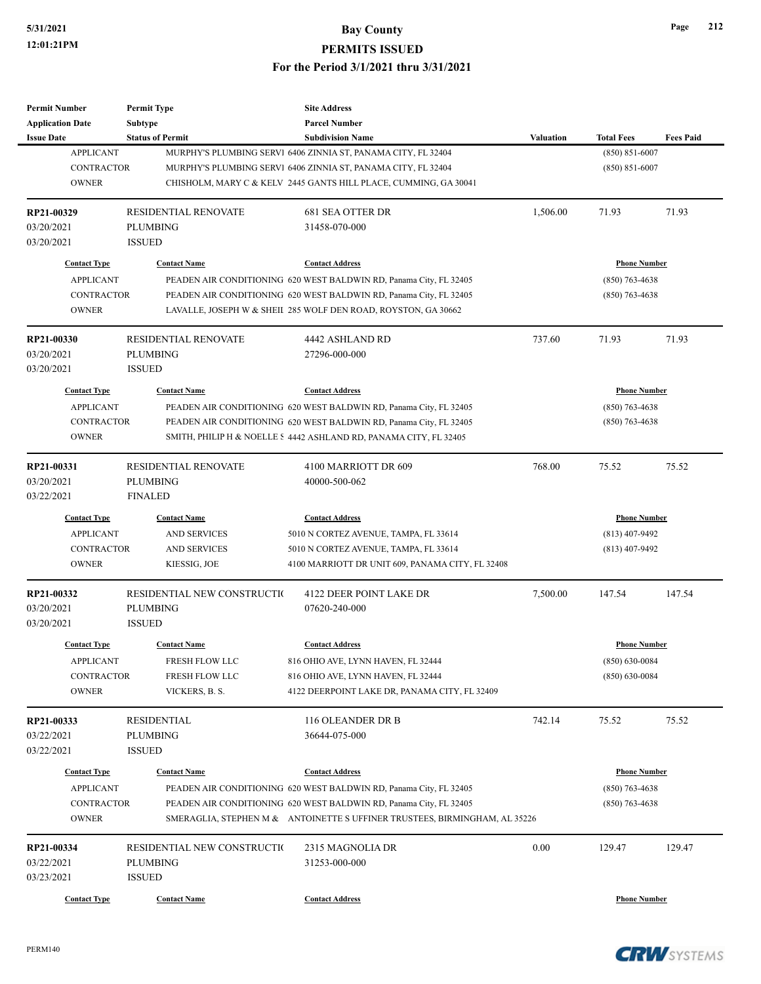| <b>Permit Number</b>    | <b>Permit Type</b>          | <b>Site Address</b>                                                        |                  |                     |                  |
|-------------------------|-----------------------------|----------------------------------------------------------------------------|------------------|---------------------|------------------|
| <b>Application Date</b> | <b>Subtype</b>              | <b>Parcel Number</b>                                                       |                  |                     |                  |
| <b>Issue Date</b>       | <b>Status of Permit</b>     | <b>Subdivision Name</b>                                                    | <b>Valuation</b> | <b>Total Fees</b>   | <b>Fees Paid</b> |
| <b>APPLICANT</b>        |                             | MURPHY'S PLUMBING SERVI 6406 ZINNIA ST, PANAMA CITY, FL 32404              |                  | $(850) 851 - 6007$  |                  |
| <b>CONTRACTOR</b>       |                             | MURPHY'S PLUMBING SERVI 6406 ZINNIA ST, PANAMA CITY, FL 32404              |                  | $(850) 851 - 6007$  |                  |
| <b>OWNER</b>            |                             | CHISHOLM, MARY C & KELV 2445 GANTS HILL PLACE, CUMMING, GA 30041           |                  |                     |                  |
| RP21-00329              | RESIDENTIAL RENOVATE        | 681 SEA OTTER DR                                                           | 1,506.00         | 71.93               | 71.93            |
| 03/20/2021              | <b>PLUMBING</b>             | 31458-070-000                                                              |                  |                     |                  |
| 03/20/2021              | <b>ISSUED</b>               |                                                                            |                  |                     |                  |
| <b>Contact Type</b>     | <b>Contact Name</b>         | <b>Contact Address</b>                                                     |                  | <b>Phone Number</b> |                  |
| <b>APPLICANT</b>        |                             | PEADEN AIR CONDITIONING 620 WEST BALDWIN RD, Panama City, FL 32405         |                  | $(850)$ 763-4638    |                  |
| <b>CONTRACTOR</b>       |                             | PEADEN AIR CONDITIONING 620 WEST BALDWIN RD, Panama City, FL 32405         |                  | $(850)$ 763-4638    |                  |
| <b>OWNER</b>            |                             | LAVALLE, JOSEPH W & SHEII 285 WOLF DEN ROAD, ROYSTON, GA 30662             |                  |                     |                  |
| RP21-00330              | RESIDENTIAL RENOVATE        | 4442 ASHLAND RD                                                            | 737.60           | 71.93               | 71.93            |
| 03/20/2021              | <b>PLUMBING</b>             | 27296-000-000                                                              |                  |                     |                  |
| 03/20/2021              | <b>ISSUED</b>               |                                                                            |                  |                     |                  |
| <b>Contact Type</b>     | <b>Contact Name</b>         | <b>Contact Address</b>                                                     |                  | <b>Phone Number</b> |                  |
| <b>APPLICANT</b>        |                             | PEADEN AIR CONDITIONING 620 WEST BALDWIN RD, Panama City, FL 32405         |                  | $(850)$ 763-4638    |                  |
| <b>CONTRACTOR</b>       |                             | PEADEN AIR CONDITIONING 620 WEST BALDWIN RD, Panama City, FL 32405         |                  | $(850)$ 763-4638    |                  |
| <b>OWNER</b>            |                             | SMITH, PHILIP H & NOELLE S 4442 ASHLAND RD, PANAMA CITY, FL 32405          |                  |                     |                  |
| RP21-00331              | RESIDENTIAL RENOVATE        | 4100 MARRIOTT DR 609                                                       | 768.00           | 75.52               | 75.52            |
| 03/20/2021              | <b>PLUMBING</b>             | 40000-500-062                                                              |                  |                     |                  |
| 03/22/2021              | <b>FINALED</b>              |                                                                            |                  |                     |                  |
| <b>Contact Type</b>     | <b>Contact Name</b>         | <b>Contact Address</b>                                                     |                  | <b>Phone Number</b> |                  |
| <b>APPLICANT</b>        | <b>AND SERVICES</b>         | 5010 N CORTEZ AVENUE, TAMPA, FL 33614                                      |                  | $(813)$ 407-9492    |                  |
| <b>CONTRACTOR</b>       | <b>AND SERVICES</b>         | 5010 N CORTEZ AVENUE, TAMPA, FL 33614                                      |                  | $(813)$ 407-9492    |                  |
| <b>OWNER</b>            | KIESSIG, JOE                | 4100 MARRIOTT DR UNIT 609, PANAMA CITY, FL 32408                           |                  |                     |                  |
| RP21-00332              | RESIDENTIAL NEW CONSTRUCTIO | 4122 DEER POINT LAKE DR                                                    | 7,500.00         | 147.54              | 147.54           |
| 03/20/2021              | <b>PLUMBING</b>             | 07620-240-000                                                              |                  |                     |                  |
| 03/20/2021              | <b>ISSUED</b>               |                                                                            |                  |                     |                  |
| <b>Contact Type</b>     | <b>Contact Name</b>         | <b>Contact Address</b>                                                     |                  | <b>Phone Number</b> |                  |
| <b>APPLICANT</b>        | FRESH FLOW LLC              | 816 OHIO AVE, LYNN HAVEN, FL 32444                                         |                  | $(850) 630 - 0084$  |                  |
| CONTRACTOR              | FRESH FLOW LLC              | 816 OHIO AVE, LYNN HAVEN, FL 32444                                         |                  | $(850) 630 - 0084$  |                  |
| <b>OWNER</b>            | VICKERS, B. S.              | 4122 DEERPOINT LAKE DR, PANAMA CITY, FL 32409                              |                  |                     |                  |
| RP21-00333              | <b>RESIDENTIAL</b>          | 116 OLEANDER DR B                                                          | 742.14           | 75.52               | 75.52            |
| 03/22/2021              | <b>PLUMBING</b>             | 36644-075-000                                                              |                  |                     |                  |
| 03/22/2021              | <b>ISSUED</b>               |                                                                            |                  |                     |                  |
| <b>Contact Type</b>     | <b>Contact Name</b>         | <b>Contact Address</b>                                                     |                  | <b>Phone Number</b> |                  |
| <b>APPLICANT</b>        |                             | PEADEN AIR CONDITIONING 620 WEST BALDWIN RD, Panama City, FL 32405         |                  | $(850)$ 763-4638    |                  |
| <b>CONTRACTOR</b>       |                             | PEADEN AIR CONDITIONING 620 WEST BALDWIN RD, Panama City, FL 32405         |                  | $(850)$ 763-4638    |                  |
| <b>OWNER</b>            |                             | SMERAGLIA, STEPHEN M & ANTOINETTE S UFFINER TRUSTEES, BIRMINGHAM, AL 35226 |                  |                     |                  |
| RP21-00334              | RESIDENTIAL NEW CONSTRUCTIO | 2315 MAGNOLIA DR                                                           | 0.00             | 129.47              | 129.47           |
| 03/22/2021              | <b>PLUMBING</b>             | 31253-000-000                                                              |                  |                     |                  |
| 03/23/2021              | <b>ISSUED</b>               |                                                                            |                  |                     |                  |
| <b>Contact Type</b>     | <b>Contact Name</b>         | <b>Contact Address</b>                                                     |                  | <b>Phone Number</b> |                  |
|                         |                             |                                                                            |                  |                     |                  |



**Page 212**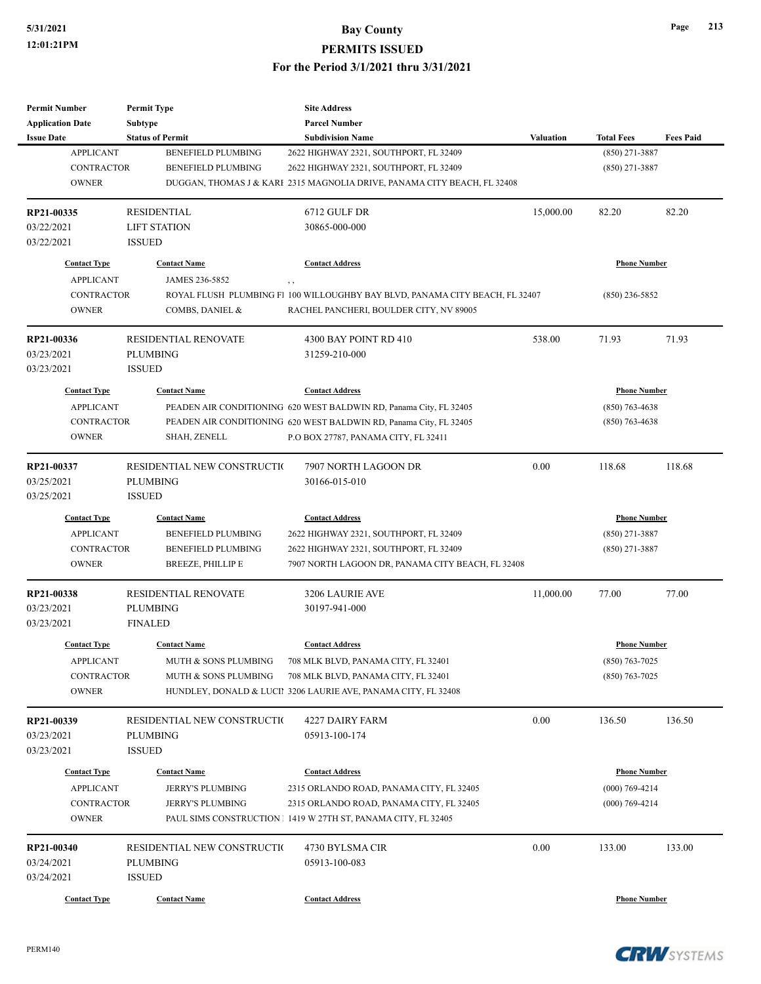| <b>Permit Number</b>    | <b>Permit Type</b>          | <b>Site Address</b>                                                          |                  |                     |                  |
|-------------------------|-----------------------------|------------------------------------------------------------------------------|------------------|---------------------|------------------|
| <b>Application Date</b> | Subtype                     | <b>Parcel Number</b>                                                         |                  |                     |                  |
| <b>Issue Date</b>       | <b>Status of Permit</b>     | <b>Subdivision Name</b>                                                      | <b>Valuation</b> | <b>Total Fees</b>   | <b>Fees Paid</b> |
| <b>APPLICANT</b>        | <b>BENEFIELD PLUMBING</b>   | 2622 HIGHWAY 2321, SOUTHPORT, FL 32409                                       |                  | $(850)$ 271-3887    |                  |
| <b>CONTRACTOR</b>       | <b>BENEFIELD PLUMBING</b>   | 2622 HIGHWAY 2321, SOUTHPORT, FL 32409                                       |                  | $(850)$ 271-3887    |                  |
| <b>OWNER</b>            |                             | DUGGAN, THOMAS J & KARI 2315 MAGNOLIA DRIVE, PANAMA CITY BEACH, FL 32408     |                  |                     |                  |
| RP21-00335              | <b>RESIDENTIAL</b>          | 6712 GULF DR                                                                 | 15,000.00        | 82.20               | 82.20            |
| 03/22/2021              | <b>LIFT STATION</b>         | 30865-000-000                                                                |                  |                     |                  |
| 03/22/2021              | <b>ISSUED</b>               |                                                                              |                  |                     |                  |
| <b>Contact Type</b>     | <b>Contact Name</b>         | <b>Contact Address</b>                                                       |                  | <b>Phone Number</b> |                  |
| <b>APPLICANT</b>        | JAMES 236-5852              | $, \, ,$                                                                     |                  |                     |                  |
| <b>CONTRACTOR</b>       |                             | ROYAL FLUSH PLUMBING F1 100 WILLOUGHBY BAY BLVD, PANAMA CITY BEACH, FL 32407 |                  | (850) 236-5852      |                  |
| <b>OWNER</b>            | COMBS, DANIEL &             | RACHEL PANCHERI, BOULDER CITY, NV 89005                                      |                  |                     |                  |
| RP21-00336              | RESIDENTIAL RENOVATE        | 4300 BAY POINT RD 410                                                        | 538.00           | 71.93               | 71.93            |
| 03/23/2021              | <b>PLUMBING</b>             | 31259-210-000                                                                |                  |                     |                  |
| 03/23/2021              | <b>ISSUED</b>               |                                                                              |                  |                     |                  |
| <b>Contact Type</b>     | <b>Contact Name</b>         | <b>Contact Address</b>                                                       |                  | <b>Phone Number</b> |                  |
| <b>APPLICANT</b>        |                             | PEADEN AIR CONDITIONING 620 WEST BALDWIN RD, Panama City, FL 32405           |                  | $(850)$ 763-4638    |                  |
| <b>CONTRACTOR</b>       |                             | PEADEN AIR CONDITIONING 620 WEST BALDWIN RD, Panama City, FL 32405           |                  | $(850)$ 763-4638    |                  |
| <b>OWNER</b>            | SHAH, ZENELL                | P.O BOX 27787, PANAMA CITY, FL 32411                                         |                  |                     |                  |
|                         |                             |                                                                              |                  |                     |                  |
| RP21-00337              | RESIDENTIAL NEW CONSTRUCTIO | 7907 NORTH LAGOON DR                                                         | 0.00             | 118.68              | 118.68           |
| 03/25/2021              | <b>PLUMBING</b>             | 30166-015-010                                                                |                  |                     |                  |
| 03/25/2021              | <b>ISSUED</b>               |                                                                              |                  |                     |                  |
| <b>Contact Type</b>     | <b>Contact Name</b>         | <b>Contact Address</b>                                                       |                  | <b>Phone Number</b> |                  |
| <b>APPLICANT</b>        | <b>BENEFIELD PLUMBING</b>   | 2622 HIGHWAY 2321, SOUTHPORT, FL 32409                                       |                  | $(850)$ 271-3887    |                  |
| <b>CONTRACTOR</b>       | <b>BENEFIELD PLUMBING</b>   | 2622 HIGHWAY 2321, SOUTHPORT, FL 32409                                       |                  | (850) 271-3887      |                  |
| <b>OWNER</b>            | <b>BREEZE, PHILLIP E</b>    | 7907 NORTH LAGOON DR, PANAMA CITY BEACH, FL 32408                            |                  |                     |                  |
| RP21-00338              | <b>RESIDENTIAL RENOVATE</b> | 3206 LAURIE AVE                                                              | 11,000.00        | 77.00               | 77.00            |
| 03/23/2021              | <b>PLUMBING</b>             | 30197-941-000                                                                |                  |                     |                  |
| 03/23/2021              | <b>FINALED</b>              |                                                                              |                  |                     |                  |
| <b>Contact Type</b>     | <b>Contact Name</b>         | <b>Contact Address</b>                                                       |                  | <b>Phone Number</b> |                  |
| <b>APPLICANT</b>        | MUTH & SONS PLUMBING        | 708 MLK BLVD, PANAMA CITY, FL 32401                                          |                  | $(850)$ 763-7025    |                  |
| <b>CONTRACTOR</b>       | MUTH & SONS PLUMBING        | 708 MLK BLVD, PANAMA CITY, FL 32401                                          |                  | $(850)$ 763-7025    |                  |
| <b>OWNER</b>            |                             | HUNDLEY, DONALD & LUCII 3206 LAURIE AVE, PANAMA CITY, FL 32408               |                  |                     |                  |
| RP21-00339              | RESIDENTIAL NEW CONSTRUCTIO | <b>4227 DAIRY FARM</b>                                                       | 0.00             | 136.50              | 136.50           |
| 03/23/2021              | <b>PLUMBING</b>             | 05913-100-174                                                                |                  |                     |                  |
| 03/23/2021              | <b>ISSUED</b>               |                                                                              |                  |                     |                  |
| <b>Contact Type</b>     | <b>Contact Name</b>         | <b>Contact Address</b>                                                       |                  | <b>Phone Number</b> |                  |
| <b>APPLICANT</b>        | <b>JERRY'S PLUMBING</b>     | 2315 ORLANDO ROAD, PANAMA CITY, FL 32405                                     |                  | $(000) 769 - 4214$  |                  |
| CONTRACTOR              | JERRY'S PLUMBING            | 2315 ORLANDO ROAD, PANAMA CITY, FL 32405                                     |                  | $(000) 769 - 4214$  |                  |
| <b>OWNER</b>            |                             | PAUL SIMS CONSTRUCTION 1 1419 W 27TH ST, PANAMA CITY, FL 32405               |                  |                     |                  |
| RP21-00340              | RESIDENTIAL NEW CONSTRUCTIO | 4730 BYLSMA CIR                                                              | 0.00             | 133.00              | 133.00           |
| 03/24/2021              | <b>PLUMBING</b>             | 05913-100-083                                                                |                  |                     |                  |
| 03/24/2021              | <b>ISSUED</b>               |                                                                              |                  |                     |                  |
|                         |                             |                                                                              |                  |                     |                  |
| <b>Contact Type</b>     | <b>Contact Name</b>         | <b>Contact Address</b>                                                       |                  | <b>Phone Number</b> |                  |



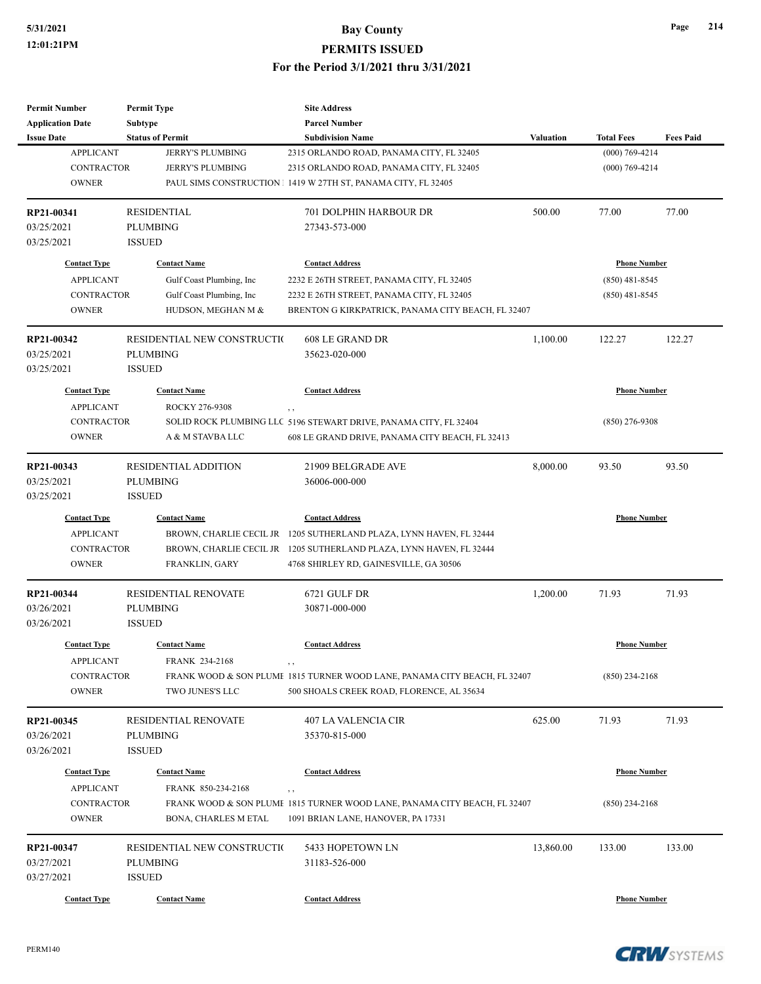| <b>Permit Number</b>                    | <b>Permit Type</b>                        | <b>Site Address</b>                                                                   |                  |                     |                  |
|-----------------------------------------|-------------------------------------------|---------------------------------------------------------------------------------------|------------------|---------------------|------------------|
| <b>Application Date</b>                 | Subtype                                   | <b>Parcel Number</b>                                                                  |                  |                     |                  |
| <b>Issue Date</b>                       | <b>Status of Permit</b>                   | <b>Subdivision Name</b>                                                               | <b>Valuation</b> | <b>Total Fees</b>   | <b>Fees Paid</b> |
| <b>APPLICANT</b>                        | <b>JERRY'S PLUMBING</b>                   | 2315 ORLANDO ROAD, PANAMA CITY, FL 32405                                              |                  | $(000)$ 769-4214    |                  |
| <b>CONTRACTOR</b>                       | <b>JERRY'S PLUMBING</b>                   | 2315 ORLANDO ROAD, PANAMA CITY, FL 32405                                              |                  | $(000)$ 769-4214    |                  |
| <b>OWNER</b>                            |                                           | PAUL SIMS CONSTRUCTION 1 1419 W 27TH ST, PANAMA CITY, FL 32405                        |                  |                     |                  |
| RP21-00341                              | <b>RESIDENTIAL</b>                        | 701 DOLPHIN HARBOUR DR                                                                | 500.00           | 77.00               | 77.00            |
| 03/25/2021                              | <b>PLUMBING</b>                           | 27343-573-000                                                                         |                  |                     |                  |
| 03/25/2021                              | <b>ISSUED</b>                             |                                                                                       |                  |                     |                  |
| <b>Contact Type</b>                     | <b>Contact Name</b>                       | <b>Contact Address</b>                                                                |                  | <b>Phone Number</b> |                  |
| <b>APPLICANT</b>                        | Gulf Coast Plumbing, Inc.                 | 2232 E 26TH STREET, PANAMA CITY, FL 32405                                             |                  | $(850)$ 481-8545    |                  |
| <b>CONTRACTOR</b>                       | Gulf Coast Plumbing, Inc                  | 2232 E 26TH STREET, PANAMA CITY, FL 32405                                             |                  | $(850)$ 481-8545    |                  |
| <b>OWNER</b>                            | HUDSON, MEGHAN M &                        | BRENTON G KIRKPATRICK, PANAMA CITY BEACH, FL 32407                                    |                  |                     |                  |
| RP21-00342                              | RESIDENTIAL NEW CONSTRUCTIO               | 608 LE GRAND DR                                                                       | 1,100.00         | 122.27              | 122.27           |
| 03/25/2021                              | <b>PLUMBING</b>                           | 35623-020-000                                                                         |                  |                     |                  |
| 03/25/2021                              | <b>ISSUED</b>                             |                                                                                       |                  |                     |                  |
| <b>Contact Type</b>                     | <b>Contact Name</b>                       | <b>Contact Address</b>                                                                |                  | <b>Phone Number</b> |                  |
| <b>APPLICANT</b>                        | ROCKY 276-9308                            | , ,                                                                                   |                  |                     |                  |
| <b>CONTRACTOR</b>                       |                                           | SOLID ROCK PLUMBING LLC 5196 STEWART DRIVE, PANAMA CITY, FL 32404                     |                  | $(850)$ 276-9308    |                  |
| <b>OWNER</b>                            | A & M STAVBA LLC                          | 608 LE GRAND DRIVE, PANAMA CITY BEACH, FL 32413                                       |                  |                     |                  |
|                                         |                                           |                                                                                       |                  |                     |                  |
| RP21-00343                              | <b>RESIDENTIAL ADDITION</b>               | 21909 BELGRADE AVE                                                                    | 8,000.00         | 93.50               | 93.50            |
| 03/25/2021                              | <b>PLUMBING</b>                           | 36006-000-000                                                                         |                  |                     |                  |
| 03/25/2021                              | <b>ISSUED</b>                             |                                                                                       |                  |                     |                  |
| <b>Contact Type</b>                     | <b>Contact Name</b>                       | <b>Contact Address</b>                                                                |                  | <b>Phone Number</b> |                  |
| <b>APPLICANT</b>                        |                                           | BROWN, CHARLIE CECIL JR 1205 SUTHERLAND PLAZA, LYNN HAVEN, FL 32444                   |                  |                     |                  |
| <b>CONTRACTOR</b>                       |                                           | BROWN, CHARLIE CECIL JR 1205 SUTHERLAND PLAZA, LYNN HAVEN, FL 32444                   |                  |                     |                  |
| <b>OWNER</b>                            | FRANKLIN, GARY                            | 4768 SHIRLEY RD, GAINESVILLE, GA 30506                                                |                  |                     |                  |
| RP21-00344                              | <b>RESIDENTIAL RENOVATE</b>               | 6721 GULF DR                                                                          | 1,200.00         | 71.93               | 71.93            |
| 03/26/2021                              | <b>PLUMBING</b>                           | 30871-000-000                                                                         |                  |                     |                  |
| 03/26/2021                              | <b>ISSUED</b>                             |                                                                                       |                  |                     |                  |
| <b>Contact Type</b>                     | <b>Contact Name</b>                       | <b>Contact Address</b>                                                                |                  | <b>Phone Number</b> |                  |
| APPLICANT                               | FRANK 234-2168                            | $, \, , \,$                                                                           |                  |                     |                  |
| CONTRACTOR                              |                                           | FRANK WOOD & SON PLUME 1815 TURNER WOOD LANE, PANAMA CITY BEACH, FL 32407             |                  | $(850)$ 234-2168    |                  |
| <b>OWNER</b>                            | TWO JUNES'S LLC                           | 500 SHOALS CREEK ROAD, FLORENCE, AL 35634                                             |                  |                     |                  |
| RP21-00345                              | <b>RESIDENTIAL RENOVATE</b>               | 407 LA VALENCIA CIR                                                                   | 625.00           | 71.93               | 71.93            |
| 03/26/2021                              | <b>PLUMBING</b>                           | 35370-815-000                                                                         |                  |                     |                  |
| 03/26/2021                              | <b>ISSUED</b>                             |                                                                                       |                  |                     |                  |
|                                         |                                           |                                                                                       |                  |                     |                  |
| <b>Contact Type</b><br><b>APPLICANT</b> | <b>Contact Name</b><br>FRANK 850-234-2168 | <b>Contact Address</b>                                                                |                  | <b>Phone Number</b> |                  |
| <b>CONTRACTOR</b>                       |                                           | $, \, ,$<br>FRANK WOOD & SON PLUME 1815 TURNER WOOD LANE, PANAMA CITY BEACH, FL 32407 |                  | $(850)$ 234-2168    |                  |
| <b>OWNER</b>                            |                                           |                                                                                       |                  |                     |                  |
|                                         | BONA, CHARLES M ETAL                      | 1091 BRIAN LANE, HANOVER, PA 17331                                                    |                  |                     |                  |
| RP21-00347                              | RESIDENTIAL NEW CONSTRUCTIO               | 5433 HOPETOWN LN                                                                      | 13,860.00        | 133.00              | 133.00           |
| 03/27/2021                              | <b>PLUMBING</b>                           | 31183-526-000                                                                         |                  |                     |                  |
| 03/27/2021                              | <b>ISSUED</b>                             |                                                                                       |                  |                     |                  |
|                                         |                                           | <b>Contact Address</b>                                                                |                  | <b>Phone Number</b> |                  |

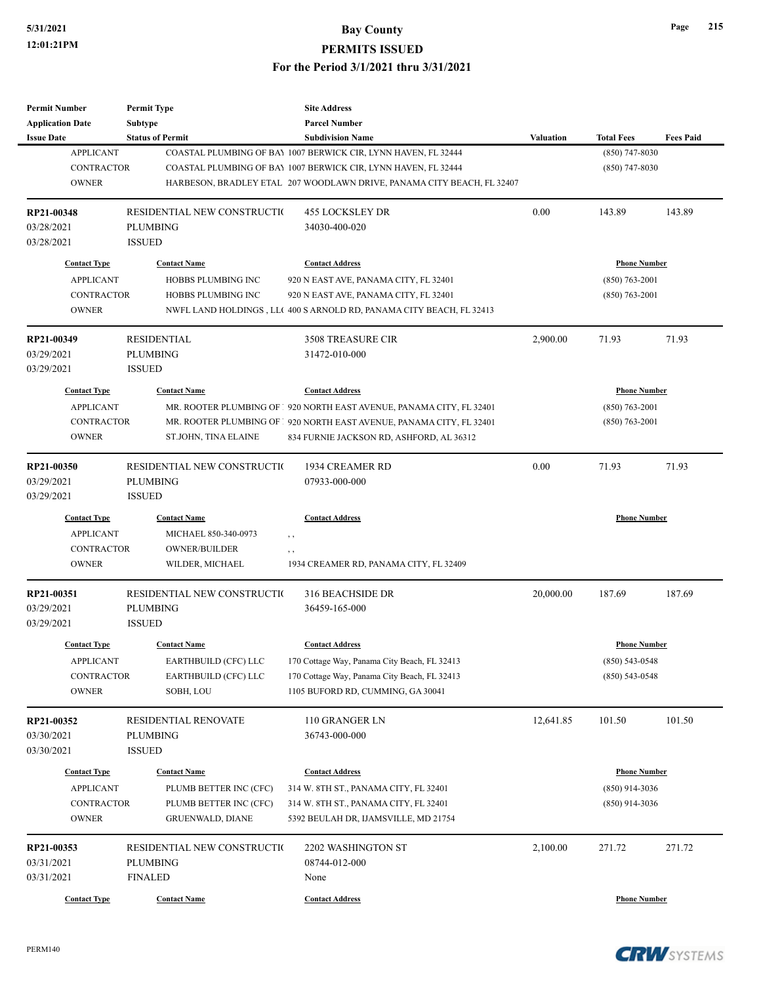| <b>Permit Number</b>    | <b>Permit Type</b>           | <b>Site Address</b>                                                    |           |                     |                  |
|-------------------------|------------------------------|------------------------------------------------------------------------|-----------|---------------------|------------------|
| <b>Application Date</b> | <b>Subtype</b>               | <b>Parcel Number</b>                                                   |           |                     |                  |
| <b>Issue Date</b>       | <b>Status of Permit</b>      | <b>Subdivision Name</b>                                                | Valuation | <b>Total Fees</b>   | <b>Fees Paid</b> |
| <b>APPLICANT</b>        |                              | COASTAL PLUMBING OF BAY 1007 BERWICK CIR, LYNN HAVEN, FL 32444         |           | $(850)$ 747-8030    |                  |
| <b>CONTRACTOR</b>       |                              | COASTAL PLUMBING OF BAY 1007 BERWICK CIR, LYNN HAVEN, FL 32444         |           | $(850)$ 747-8030    |                  |
| <b>OWNER</b>            |                              | HARBESON, BRADLEY ETAL 207 WOODLAWN DRIVE, PANAMA CITY BEACH, FL 32407 |           |                     |                  |
| RP21-00348              | RESIDENTIAL NEW CONSTRUCTION | 455 LOCKSLEY DR                                                        | 0.00      | 143.89              | 143.89           |
| 03/28/2021              | <b>PLUMBING</b>              | 34030-400-020                                                          |           |                     |                  |
| 03/28/2021              | <b>ISSUED</b>                |                                                                        |           |                     |                  |
| <b>Contact Type</b>     | <b>Contact Name</b>          | <b>Contact Address</b>                                                 |           | <b>Phone Number</b> |                  |
| <b>APPLICANT</b>        | HOBBS PLUMBING INC           | 920 N EAST AVE, PANAMA CITY, FL 32401                                  |           | $(850) 763 - 2001$  |                  |
| <b>CONTRACTOR</b>       | HOBBS PLUMBING INC           | 920 N EAST AVE, PANAMA CITY, FL 32401                                  |           | $(850) 763 - 2001$  |                  |
| <b>OWNER</b>            |                              | NWFL LAND HOLDINGS, LLC 400 S ARNOLD RD, PANAMA CITY BEACH, FL 32413   |           |                     |                  |
| RP21-00349              | <b>RESIDENTIAL</b>           | <b>3508 TREASURE CIR</b>                                               | 2,900.00  | 71.93               | 71.93            |
| 03/29/2021              | <b>PLUMBING</b>              | 31472-010-000                                                          |           |                     |                  |
| 03/29/2021              | <b>ISSUED</b>                |                                                                        |           |                     |                  |
| <b>Contact Type</b>     | <b>Contact Name</b>          | <b>Contact Address</b>                                                 |           | <b>Phone Number</b> |                  |
| <b>APPLICANT</b>        |                              | MR. ROOTER PLUMBING OF 1 920 NORTH EAST AVENUE, PANAMA CITY, FL 32401  |           | $(850) 763 - 2001$  |                  |
| <b>CONTRACTOR</b>       |                              | MR. ROOTER PLUMBING OF 1 920 NORTH EAST AVENUE, PANAMA CITY, FL 32401  |           | $(850) 763 - 2001$  |                  |
| <b>OWNER</b>            | ST.JOHN, TINA ELAINE         | 834 FURNIE JACKSON RD, ASHFORD, AL 36312                               |           |                     |                  |
|                         |                              |                                                                        |           |                     |                  |
| RP21-00350              | RESIDENTIAL NEW CONSTRUCTIO  | 1934 CREAMER RD                                                        | 0.00      | 71.93               | 71.93            |
| 03/29/2021              | <b>PLUMBING</b>              | 07933-000-000                                                          |           |                     |                  |
| 03/29/2021              | <b>ISSUED</b>                |                                                                        |           |                     |                  |
| <b>Contact Type</b>     | <b>Contact Name</b>          | <b>Contact Address</b>                                                 |           | <b>Phone Number</b> |                  |
| <b>APPLICANT</b>        | MICHAEL 850-340-0973         | , ,                                                                    |           |                     |                  |
| <b>CONTRACTOR</b>       | <b>OWNER/BUILDER</b>         | $, \, ,$                                                               |           |                     |                  |
| <b>OWNER</b>            | WILDER, MICHAEL              | 1934 CREAMER RD, PANAMA CITY, FL 32409                                 |           |                     |                  |
| RP21-00351              | RESIDENTIAL NEW CONSTRUCTIO  | <b>316 BEACHSIDE DR</b>                                                | 20,000.00 | 187.69              | 187.69           |
| 03/29/2021              | <b>PLUMBING</b>              | 36459-165-000                                                          |           |                     |                  |
| 03/29/2021              | <b>ISSUED</b>                |                                                                        |           |                     |                  |
| <b>Contact Type</b>     | <b>Contact Name</b>          | <b>Contact Address</b>                                                 |           | <b>Phone Number</b> |                  |
| <b>APPLICANT</b>        | EARTHBUILD (CFC) LLC         | 170 Cottage Way, Panama City Beach, FL 32413                           |           | $(850) 543 - 0548$  |                  |
| CONTRACTOR              | EARTHBUILD (CFC) LLC         | 170 Cottage Way, Panama City Beach, FL 32413                           |           | $(850)$ 543-0548    |                  |
| <b>OWNER</b>            | SOBH, LOU                    | 1105 BUFORD RD, CUMMING, GA 30041                                      |           |                     |                  |
| RP21-00352              | RESIDENTIAL RENOVATE         | 110 GRANGER LN                                                         | 12,641.85 | 101.50              | 101.50           |
| 03/30/2021              | <b>PLUMBING</b>              | 36743-000-000                                                          |           |                     |                  |
| 03/30/2021              | <b>ISSUED</b>                |                                                                        |           |                     |                  |
|                         |                              |                                                                        |           |                     |                  |
| <b>Contact Type</b>     | <b>Contact Name</b>          | <b>Contact Address</b>                                                 |           | <b>Phone Number</b> |                  |
| <b>APPLICANT</b>        | PLUMB BETTER INC (CFC)       | 314 W. 8TH ST., PANAMA CITY, FL 32401                                  |           | (850) 914-3036      |                  |
| <b>CONTRACTOR</b>       | PLUMB BETTER INC (CFC)       | 314 W. 8TH ST., PANAMA CITY, FL 32401                                  |           | $(850)$ 914-3036    |                  |
| <b>OWNER</b>            | GRUENWALD, DIANE             | 5392 BEULAH DR, IJAMSVILLE, MD 21754                                   |           |                     |                  |
| RP21-00353              | RESIDENTIAL NEW CONSTRUCTIO  | 2202 WASHINGTON ST                                                     | 2,100.00  | 271.72              | 271.72           |
| 03/31/2021              | <b>PLUMBING</b>              | 08744-012-000                                                          |           |                     |                  |
| 03/31/2021              | <b>FINALED</b>               | None                                                                   |           |                     |                  |
| <b>Contact Type</b>     | <b>Contact Name</b>          | <b>Contact Address</b>                                                 |           | <b>Phone Number</b> |                  |
|                         |                              |                                                                        |           |                     |                  |

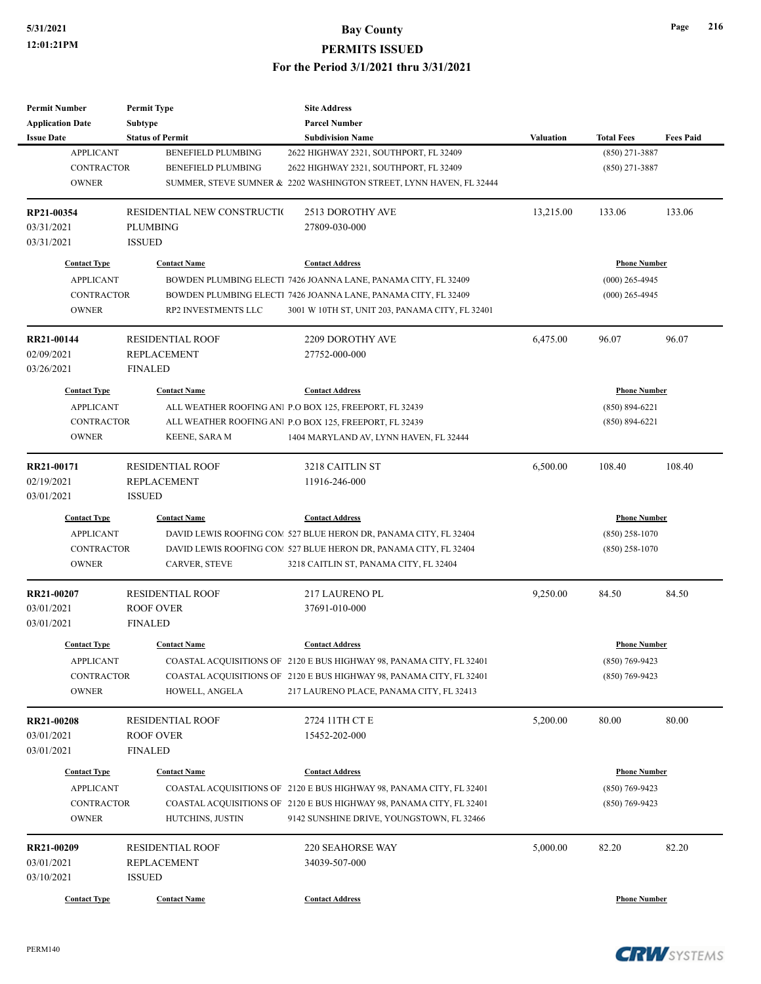| <b>Permit Number</b>    | <b>Permit Type</b>          | <b>Site Address</b>                                                  |                  |                     |                  |
|-------------------------|-----------------------------|----------------------------------------------------------------------|------------------|---------------------|------------------|
| <b>Application Date</b> | <b>Subtype</b>              | <b>Parcel Number</b>                                                 |                  |                     |                  |
| <b>Issue Date</b>       | <b>Status of Permit</b>     | <b>Subdivision Name</b>                                              | <b>Valuation</b> | <b>Total Fees</b>   | <b>Fees Paid</b> |
| <b>APPLICANT</b>        | <b>BENEFIELD PLUMBING</b>   | 2622 HIGHWAY 2321, SOUTHPORT, FL 32409                               |                  | $(850)$ 271-3887    |                  |
| <b>CONTRACTOR</b>       | <b>BENEFIELD PLUMBING</b>   | 2622 HIGHWAY 2321, SOUTHPORT, FL 32409                               |                  | $(850)$ 271-3887    |                  |
| <b>OWNER</b>            |                             | SUMMER, STEVE SUMNER & 2202 WASHINGTON STREET, LYNN HAVEN, FL 32444  |                  |                     |                  |
| RP21-00354              | RESIDENTIAL NEW CONSTRUCTIO | 2513 DOROTHY AVE                                                     | 13,215.00        | 133.06              | 133.06           |
| 03/31/2021              | <b>PLUMBING</b>             | 27809-030-000                                                        |                  |                     |                  |
| 03/31/2021              | <b>ISSUED</b>               |                                                                      |                  |                     |                  |
| <b>Contact Type</b>     | <b>Contact Name</b>         | <b>Contact Address</b>                                               |                  | <b>Phone Number</b> |                  |
| <b>APPLICANT</b>        |                             | BOWDEN PLUMBING ELECTI 7426 JOANNA LANE, PANAMA CITY, FL 32409       |                  | $(000)$ 265-4945    |                  |
| <b>CONTRACTOR</b>       |                             | BOWDEN PLUMBING ELECTI 7426 JOANNA LANE, PANAMA CITY, FL 32409       |                  | $(000)$ 265-4945    |                  |
| <b>OWNER</b>            | RP2 INVESTMENTS LLC         | 3001 W 10TH ST, UNIT 203, PANAMA CITY, FL 32401                      |                  |                     |                  |
| RR21-00144              | <b>RESIDENTIAL ROOF</b>     | 2209 DOROTHY AVE                                                     | 6,475.00         | 96.07               | 96.07            |
| 02/09/2021              | <b>REPLACEMENT</b>          | 27752-000-000                                                        |                  |                     |                  |
| 03/26/2021              | <b>FINALED</b>              |                                                                      |                  |                     |                  |
| <b>Contact Type</b>     | <b>Contact Name</b>         | <b>Contact Address</b>                                               |                  | <b>Phone Number</b> |                  |
| <b>APPLICANT</b>        |                             | ALL WEATHER ROOFING ANI P.O BOX 125, FREEPORT, FL 32439              |                  | $(850) 894 - 6221$  |                  |
| <b>CONTRACTOR</b>       |                             | ALL WEATHER ROOFING ANI P.O BOX 125, FREEPORT, FL 32439              |                  | $(850) 894 - 6221$  |                  |
| <b>OWNER</b>            | KEENE, SARA M               | 1404 MARYLAND AV, LYNN HAVEN, FL 32444                               |                  |                     |                  |
|                         |                             |                                                                      |                  |                     |                  |
| RR21-00171              | <b>RESIDENTIAL ROOF</b>     | 3218 CAITLIN ST                                                      | 6,500.00         | 108.40              | 108.40           |
| 02/19/2021              | <b>REPLACEMENT</b>          | 11916-246-000                                                        |                  |                     |                  |
| 03/01/2021              | <b>ISSUED</b>               |                                                                      |                  |                     |                  |
| <b>Contact Type</b>     | <b>Contact Name</b>         | <b>Contact Address</b>                                               |                  | <b>Phone Number</b> |                  |
| <b>APPLICANT</b>        |                             | DAVID LEWIS ROOFING COM 527 BLUE HERON DR, PANAMA CITY, FL 32404     |                  | $(850)$ 258-1070    |                  |
| <b>CONTRACTOR</b>       |                             | DAVID LEWIS ROOFING COM 527 BLUE HERON DR, PANAMA CITY, FL 32404     |                  | $(850)$ 258-1070    |                  |
| <b>OWNER</b>            | <b>CARVER, STEVE</b>        | 3218 CAITLIN ST, PANAMA CITY, FL 32404                               |                  |                     |                  |
| RR21-00207              | <b>RESIDENTIAL ROOF</b>     | <b>217 LAURENO PL</b>                                                | 9,250.00         | 84.50               | 84.50            |
| 03/01/2021              | <b>ROOF OVER</b>            | 37691-010-000                                                        |                  |                     |                  |
| 03/01/2021              | <b>FINALED</b>              |                                                                      |                  |                     |                  |
| <b>Contact Type</b>     | <b>Contact Name</b>         | <b>Contact Address</b>                                               |                  | <b>Phone Number</b> |                  |
| <b>APPLICANT</b>        |                             | COASTAL ACQUISITIONS OF 2120 E BUS HIGHWAY 98, PANAMA CITY, FL 32401 |                  | (850) 769-9423      |                  |
| CONTRACTOR              |                             | COASTAL ACQUISITIONS OF 2120 E BUS HIGHWAY 98, PANAMA CITY, FL 32401 |                  | $(850)$ 769-9423    |                  |
| <b>OWNER</b>            | HOWELL, ANGELA              | 217 LAURENO PLACE, PANAMA CITY, FL 32413                             |                  |                     |                  |
| RR21-00208              | <b>RESIDENTIAL ROOF</b>     | 2724 11TH CT E                                                       | 5,200.00         | 80.00               | 80.00            |
| 03/01/2021              | <b>ROOF OVER</b>            | 15452-202-000                                                        |                  |                     |                  |
| 03/01/2021              | <b>FINALED</b>              |                                                                      |                  |                     |                  |
| <b>Contact Type</b>     | <b>Contact Name</b>         | <b>Contact Address</b>                                               |                  | <b>Phone Number</b> |                  |
| <b>APPLICANT</b>        |                             | COASTAL ACQUISITIONS OF 2120 E BUS HIGHWAY 98, PANAMA CITY, FL 32401 |                  | (850) 769-9423      |                  |
|                         |                             |                                                                      |                  |                     |                  |
| CONTRACTOR              |                             | COASTAL ACQUISITIONS OF 2120 E BUS HIGHWAY 98, PANAMA CITY, FL 32401 |                  | $(850)$ 769-9423    |                  |
| <b>OWNER</b>            | HUTCHINS, JUSTIN            | 9142 SUNSHINE DRIVE, YOUNGSTOWN, FL 32466                            |                  |                     |                  |
| RR21-00209              | <b>RESIDENTIAL ROOF</b>     | 220 SEAHORSE WAY                                                     | 5,000.00         | 82.20               | 82.20            |
| 03/01/2021              | REPLACEMENT                 | 34039-507-000                                                        |                  |                     |                  |
| 03/10/2021              | <b>ISSUED</b>               |                                                                      |                  |                     |                  |
| <b>Contact Type</b>     | <b>Contact Name</b>         | <b>Contact Address</b>                                               |                  | <b>Phone Number</b> |                  |

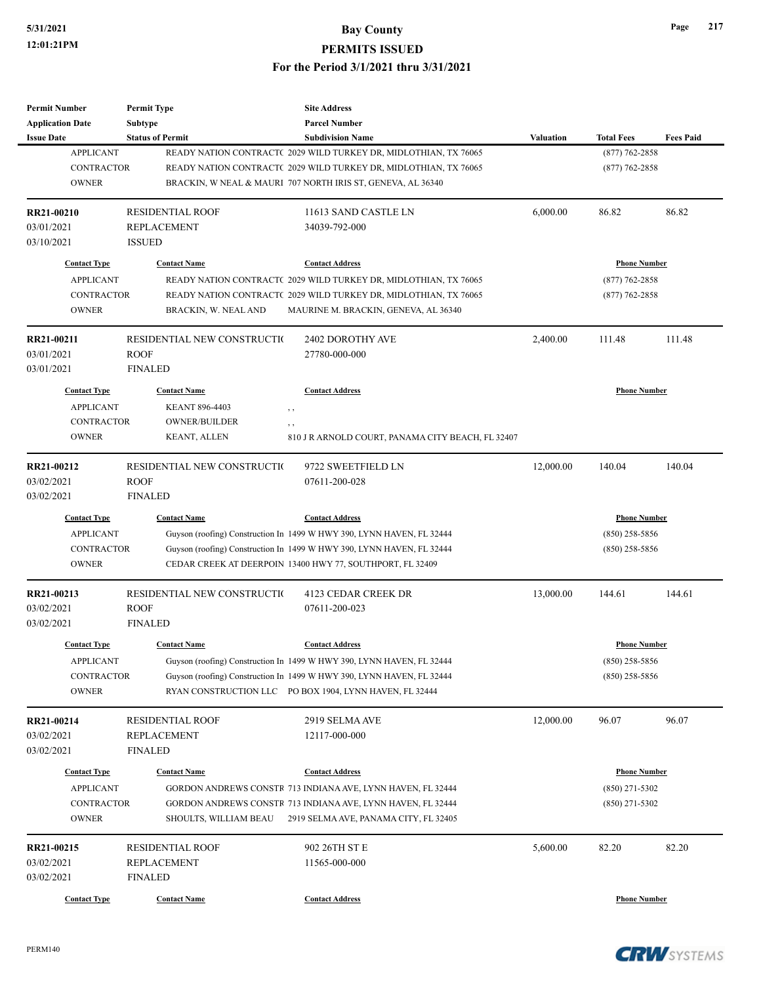| <b>Permit Number</b>     | <b>Permit Type</b>          | <b>Site Address</b>                                                   |                  |                     |                  |
|--------------------------|-----------------------------|-----------------------------------------------------------------------|------------------|---------------------|------------------|
| <b>Application Date</b>  | <b>Subtype</b>              | <b>Parcel Number</b>                                                  |                  |                     |                  |
| <b>Issue Date</b>        | <b>Status of Permit</b>     | <b>Subdivision Name</b>                                               | <b>Valuation</b> | <b>Total Fees</b>   | <b>Fees Paid</b> |
| <b>APPLICANT</b>         |                             | READY NATION CONTRACT( 2029 WILD TURKEY DR, MIDLOTHIAN, TX 76065      |                  | $(877) 762 - 2858$  |                  |
| <b>CONTRACTOR</b>        |                             | READY NATION CONTRACT( 2029 WILD TURKEY DR, MIDLOTHIAN, TX 76065      |                  | $(877) 762 - 2858$  |                  |
| <b>OWNER</b>             |                             | BRACKIN, W NEAL & MAURI 707 NORTH IRIS ST, GENEVA, AL 36340           |                  |                     |                  |
| RR21-00210               | <b>RESIDENTIAL ROOF</b>     | 11613 SAND CASTLE LN                                                  | 6,000.00         | 86.82               | 86.82            |
| 03/01/2021               | <b>REPLACEMENT</b>          | 34039-792-000                                                         |                  |                     |                  |
| 03/10/2021               | <b>ISSUED</b>               |                                                                       |                  |                     |                  |
| <b>Contact Type</b>      | <b>Contact Name</b>         | <b>Contact Address</b>                                                |                  | <b>Phone Number</b> |                  |
| <b>APPLICANT</b>         |                             | READY NATION CONTRACT( 2029 WILD TURKEY DR, MIDLOTHIAN, TX 76065      |                  | $(877) 762 - 2858$  |                  |
| <b>CONTRACTOR</b>        |                             | READY NATION CONTRACT( 2029 WILD TURKEY DR, MIDLOTHIAN, TX 76065      |                  | $(877)$ 762-2858    |                  |
| <b>OWNER</b>             | BRACKIN, W. NEAL AND        | MAURINE M. BRACKIN, GENEVA, AL 36340                                  |                  |                     |                  |
| RR21-00211               | RESIDENTIAL NEW CONSTRUCTIO | 2402 DOROTHY AVE                                                      | 2,400.00         | 111.48              | 111.48           |
| 03/01/2021               | <b>ROOF</b>                 | 27780-000-000                                                         |                  |                     |                  |
| 03/01/2021               | <b>FINALED</b>              |                                                                       |                  |                     |                  |
| <b>Contact Type</b>      | <b>Contact Name</b>         | <b>Contact Address</b>                                                |                  | <b>Phone Number</b> |                  |
| <b>APPLICANT</b>         | KEANT 896-4403              |                                                                       |                  |                     |                  |
| <b>CONTRACTOR</b>        | <b>OWNER/BUILDER</b>        | , ,                                                                   |                  |                     |                  |
| <b>OWNER</b>             |                             | $, \, , \,$                                                           |                  |                     |                  |
|                          | <b>KEANT, ALLEN</b>         | 810 J R ARNOLD COURT, PANAMA CITY BEACH, FL 32407                     |                  |                     |                  |
| RR21-00212               | RESIDENTIAL NEW CONSTRUCTIO | 9722 SWEETFIELD LN                                                    | 12,000.00        | 140.04              | 140.04           |
| 03/02/2021               | <b>ROOF</b>                 | 07611-200-028                                                         |                  |                     |                  |
| 03/02/2021               | <b>FINALED</b>              |                                                                       |                  |                     |                  |
| <b>Contact Type</b>      | <b>Contact Name</b>         | <b>Contact Address</b>                                                |                  | <b>Phone Number</b> |                  |
| <b>APPLICANT</b>         |                             | Guyson (roofing) Construction In 1499 W HWY 390, LYNN HAVEN, FL 32444 |                  | $(850)$ 258-5856    |                  |
| <b>CONTRACTOR</b>        |                             | Guyson (roofing) Construction In 1499 W HWY 390, LYNN HAVEN, FL 32444 |                  | $(850)$ 258-5856    |                  |
| <b>OWNER</b>             |                             | CEDAR CREEK AT DEERPOIN 13400 HWY 77, SOUTHPORT, FL 32409             |                  |                     |                  |
| RR21-00213               | RESIDENTIAL NEW CONSTRUCTIO | 4123 CEDAR CREEK DR                                                   | 13,000.00        | 144.61              | 144.61           |
| 03/02/2021               | <b>ROOF</b>                 | 07611-200-023                                                         |                  |                     |                  |
| 03/02/2021               | <b>FINALED</b>              |                                                                       |                  |                     |                  |
| <b>Contact Type</b>      | <b>Contact Name</b>         | <b>Contact Address</b>                                                |                  | <b>Phone Number</b> |                  |
| <b>APPLICANT</b>         |                             | Guyson (roofing) Construction In 1499 W HWY 390, LYNN HAVEN, FL 32444 |                  | $(850)$ 258-5856    |                  |
| CONTRACTOR               |                             | Guyson (roofing) Construction In 1499 W HWY 390, LYNN HAVEN, FL 32444 |                  | $(850)$ 258-5856    |                  |
| <b>OWNER</b>             |                             | RYAN CONSTRUCTION LLC PO BOX 1904, LYNN HAVEN, FL 32444               |                  |                     |                  |
|                          | <b>RESIDENTIAL ROOF</b>     | 2919 SELMA AVE                                                        | 12,000.00        | 96.07               | 96.07            |
| RR21-00214<br>03/02/2021 | <b>REPLACEMENT</b>          | 12117-000-000                                                         |                  |                     |                  |
|                          |                             |                                                                       |                  |                     |                  |
| 03/02/2021               | <b>FINALED</b>              |                                                                       |                  |                     |                  |
| <b>Contact Type</b>      | <b>Contact Name</b>         | <b>Contact Address</b>                                                |                  | <b>Phone Number</b> |                  |
| <b>APPLICANT</b>         |                             | GORDON ANDREWS CONSTR 713 INDIANA AVE, LYNN HAVEN, FL 32444           |                  | $(850)$ 271-5302    |                  |
| CONTRACTOR               |                             | GORDON ANDREWS CONSTR 713 INDIANA AVE, LYNN HAVEN, FL 32444           |                  | $(850)$ 271-5302    |                  |
| <b>OWNER</b>             | SHOULTS, WILLIAM BEAU       | 2919 SELMA AVE, PANAMA CITY, FL 32405                                 |                  |                     |                  |
| RR21-00215               | <b>RESIDENTIAL ROOF</b>     | 902 26TH ST E                                                         | 5,600.00         | 82.20               | 82.20            |
| 03/02/2021               | <b>REPLACEMENT</b>          | 11565-000-000                                                         |                  |                     |                  |
| 03/02/2021               | <b>FINALED</b>              |                                                                       |                  |                     |                  |
| <b>Contact Type</b>      | <b>Contact Name</b>         | <b>Contact Address</b>                                                |                  | <b>Phone Number</b> |                  |
|                          |                             |                                                                       |                  |                     |                  |



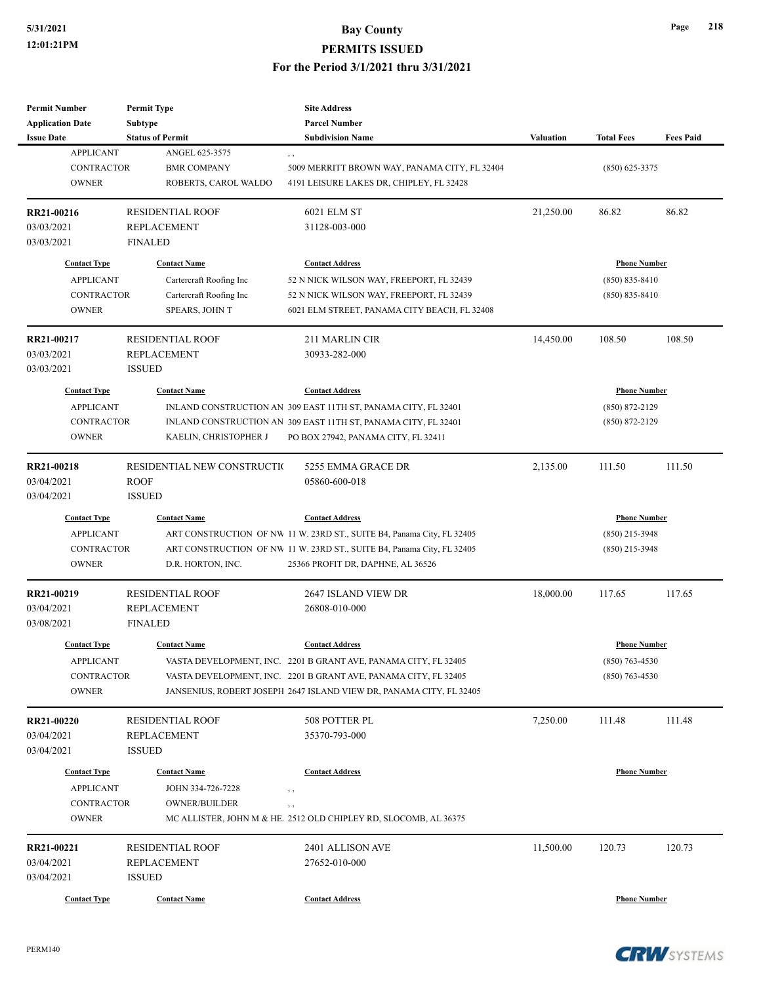| <b>Permit Number</b>                    | <b>Permit Type</b>                       | <b>Site Address</b>                                                     |                  |                     |                  |
|-----------------------------------------|------------------------------------------|-------------------------------------------------------------------------|------------------|---------------------|------------------|
| <b>Application Date</b>                 | <b>Subtype</b>                           | <b>Parcel Number</b>                                                    |                  |                     |                  |
| <b>Issue Date</b>                       | <b>Status of Permit</b>                  | <b>Subdivision Name</b>                                                 | <b>Valuation</b> | <b>Total Fees</b>   | <b>Fees Paid</b> |
| <b>APPLICANT</b>                        | ANGEL 625-3575                           | , ,                                                                     |                  |                     |                  |
| <b>CONTRACTOR</b>                       | <b>BMR COMPANY</b>                       | 5009 MERRITT BROWN WAY, PANAMA CITY, FL 32404                           |                  | $(850)$ 625-3375    |                  |
| <b>OWNER</b>                            | ROBERTS, CAROL WALDO                     | 4191 LEISURE LAKES DR, CHIPLEY, FL 32428                                |                  |                     |                  |
| RR21-00216                              | <b>RESIDENTIAL ROOF</b>                  | 6021 ELM ST                                                             | 21,250.00        | 86.82               | 86.82            |
| 03/03/2021                              | <b>REPLACEMENT</b>                       | 31128-003-000                                                           |                  |                     |                  |
| 03/03/2021                              | <b>FINALED</b>                           |                                                                         |                  |                     |                  |
| <b>Contact Type</b>                     | <b>Contact Name</b>                      | <b>Contact Address</b>                                                  |                  | <b>Phone Number</b> |                  |
| <b>APPLICANT</b>                        | Cartercraft Roofing Inc                  | 52 N NICK WILSON WAY, FREEPORT, FL 32439                                |                  | $(850) 835 - 8410$  |                  |
| <b>CONTRACTOR</b>                       | Cartercraft Roofing Inc                  | 52 N NICK WILSON WAY, FREEPORT, FL 32439                                |                  | $(850) 835 - 8410$  |                  |
| <b>OWNER</b>                            | SPEARS, JOHN T                           | 6021 ELM STREET, PANAMA CITY BEACH, FL 32408                            |                  |                     |                  |
| RR21-00217                              | <b>RESIDENTIAL ROOF</b>                  | 211 MARLIN CIR                                                          | 14,450.00        | 108.50              | 108.50           |
| 03/03/2021                              | <b>REPLACEMENT</b>                       | 30933-282-000                                                           |                  |                     |                  |
| 03/03/2021                              | <b>ISSUED</b>                            |                                                                         |                  |                     |                  |
| <b>Contact Type</b>                     | <b>Contact Name</b>                      | <b>Contact Address</b>                                                  |                  | <b>Phone Number</b> |                  |
| <b>APPLICANT</b>                        |                                          | INLAND CONSTRUCTION AN 309 EAST 11TH ST, PANAMA CITY, FL 32401          |                  | $(850) 872 - 2129$  |                  |
| <b>CONTRACTOR</b>                       |                                          | INLAND CONSTRUCTION AN 309 EAST 11TH ST, PANAMA CITY, FL 32401          |                  | $(850) 872 - 2129$  |                  |
| <b>OWNER</b>                            | KAELIN, CHRISTOPHER J                    | PO BOX 27942, PANAMA CITY, FL 32411                                     |                  |                     |                  |
|                                         |                                          |                                                                         |                  |                     |                  |
| RR21-00218                              | RESIDENTIAL NEW CONSTRUCTIO              | 5255 EMMA GRACE DR                                                      | 2,135.00         | 111.50              | 111.50           |
| 03/04/2021                              | <b>ROOF</b>                              | 05860-600-018                                                           |                  |                     |                  |
| 03/04/2021                              | <b>ISSUED</b>                            |                                                                         |                  |                     |                  |
| <b>Contact Type</b>                     | <b>Contact Name</b>                      | <b>Contact Address</b>                                                  |                  | <b>Phone Number</b> |                  |
| <b>APPLICANT</b>                        |                                          | ART CONSTRUCTION OF NW 11 W. 23RD ST., SUITE B4, Panama City, FL 32405  |                  | $(850)$ 215-3948    |                  |
| <b>CONTRACTOR</b>                       |                                          | ART CONSTRUCTION OF NW 11 W. 23RD ST., SUITE B4, Panama City, FL 32405  |                  | $(850)$ 215-3948    |                  |
| <b>OWNER</b>                            | D.R. HORTON, INC.                        | 25366 PROFIT DR, DAPHNE, AL 36526                                       |                  |                     |                  |
| RR21-00219                              | <b>RESIDENTIAL ROOF</b>                  | 2647 ISLAND VIEW DR                                                     | 18,000.00        | 117.65              | 117.65           |
| 03/04/2021                              | <b>REPLACEMENT</b>                       | 26808-010-000                                                           |                  |                     |                  |
| 03/08/2021                              | <b>FINALED</b>                           |                                                                         |                  |                     |                  |
| <b>Contact Type</b>                     | <b>Contact Name</b>                      | <b>Contact Address</b>                                                  |                  | <b>Phone Number</b> |                  |
| <b>APPLICANT</b>                        |                                          | VASTA DEVELOPMENT, INC. 2201 B GRANT AVE, PANAMA CITY, FL 32405         |                  | $(850) 763 - 4530$  |                  |
| CONTRACTOR                              |                                          | VASTA DEVELOPMENT, INC. 2201 B GRANT AVE, PANAMA CITY, FL 32405         |                  | $(850)$ 763-4530    |                  |
| <b>OWNER</b>                            |                                          | JANSENIUS, ROBERT JOSEPH 2647 ISLAND VIEW DR, PANAMA CITY, FL 32405     |                  |                     |                  |
| RR21-00220                              | <b>RESIDENTIAL ROOF</b>                  | 508 POTTER PL                                                           | 7,250.00         | 111.48              | 111.48           |
| 03/04/2021                              | <b>REPLACEMENT</b>                       | 35370-793-000                                                           |                  |                     |                  |
| 03/04/2021                              | <b>ISSUED</b>                            |                                                                         |                  |                     |                  |
|                                         |                                          |                                                                         |                  |                     |                  |
| <b>Contact Type</b><br><b>APPLICANT</b> | <b>Contact Name</b><br>JOHN 334-726-7228 | <b>Contact Address</b>                                                  |                  | <b>Phone Number</b> |                  |
| <b>CONTRACTOR</b>                       | <b>OWNER/BUILDER</b>                     | , ,                                                                     |                  |                     |                  |
| <b>OWNER</b>                            |                                          | , ,<br>MC ALLISTER, JOHN M & HE. 2512 OLD CHIPLEY RD, SLOCOMB, AL 36375 |                  |                     |                  |
|                                         |                                          |                                                                         |                  |                     |                  |
| RR21-00221                              | <b>RESIDENTIAL ROOF</b>                  | 2401 ALLISON AVE                                                        | 11,500.00        | 120.73              | 120.73           |
| 03/04/2021                              | <b>REPLACEMENT</b>                       | 27652-010-000                                                           |                  |                     |                  |
| 03/04/2021                              | <b>ISSUED</b>                            |                                                                         |                  |                     |                  |
| <b>Contact Type</b>                     | <b>Contact Name</b>                      | <b>Contact Address</b>                                                  |                  | <b>Phone Number</b> |                  |

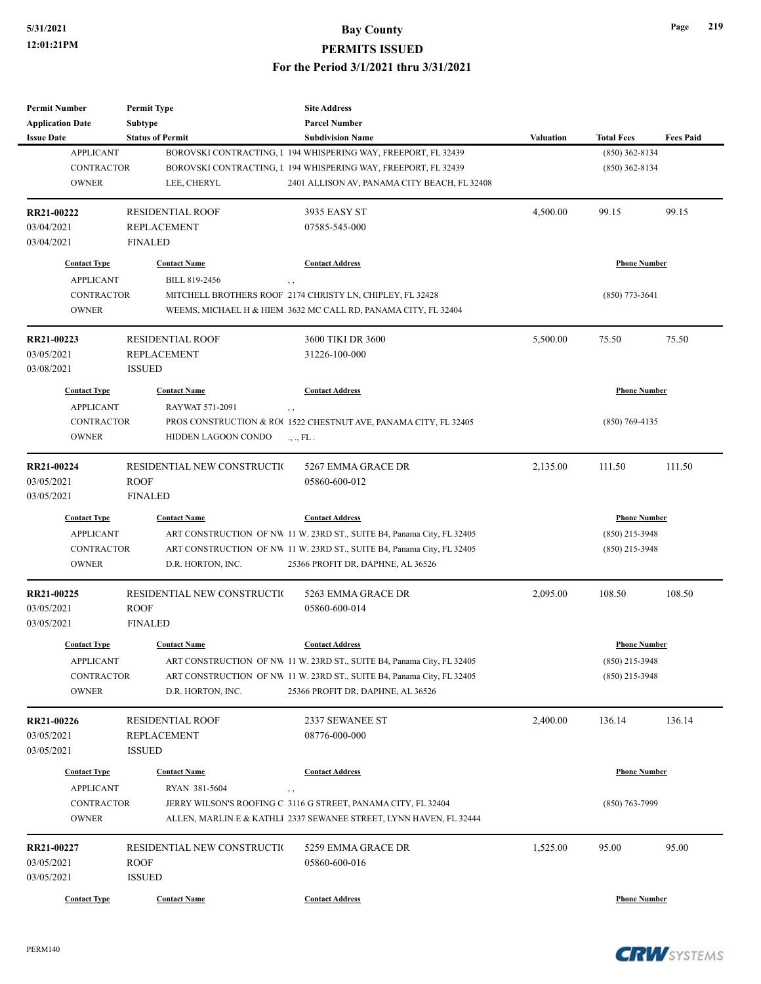# **5/31/2021 Bay County**

**PERMITS ISSUED**

**For the Period 3/1/2021 thru 3/31/2021**

| <b>Permit Number</b>       | <b>Permit Type</b>          | <b>Site Address</b>                                                                                         |           |                     |                  |
|----------------------------|-----------------------------|-------------------------------------------------------------------------------------------------------------|-----------|---------------------|------------------|
| <b>Application Date</b>    | <b>Subtype</b>              | <b>Parcel Number</b>                                                                                        |           |                     |                  |
| <b>Issue Date</b>          | <b>Status of Permit</b>     | <b>Subdivision Name</b>                                                                                     | Valuation | <b>Total Fees</b>   | <b>Fees Paid</b> |
| <b>APPLICANT</b>           |                             | BOROVSKI CONTRACTING, I 194 WHISPERING WAY, FREEPORT, FL 32439                                              |           | $(850)$ 362-8134    |                  |
| <b>CONTRACTOR</b>          |                             | BOROVSKI CONTRACTING, I 194 WHISPERING WAY, FREEPORT, FL 32439                                              |           | $(850)$ 362-8134    |                  |
| <b>OWNER</b>               | LEE, CHERYL                 | 2401 ALLISON AV, PANAMA CITY BEACH, FL 32408                                                                |           |                     |                  |
| RR21-00222                 | <b>RESIDENTIAL ROOF</b>     | 3935 EASY ST                                                                                                | 4,500.00  | 99.15               | 99.15            |
| 03/04/2021                 | <b>REPLACEMENT</b>          | 07585-545-000                                                                                               |           |                     |                  |
| 03/04/2021                 | <b>FINALED</b>              |                                                                                                             |           |                     |                  |
| <b>Contact Type</b>        | <b>Contact Name</b>         | <b>Contact Address</b>                                                                                      |           | <b>Phone Number</b> |                  |
| <b>APPLICANT</b>           | BILL 819-2456               |                                                                                                             |           |                     |                  |
| <b>CONTRACTOR</b>          |                             | MITCHELL BROTHERS ROOF 2174 CHRISTY LN, CHIPLEY, FL 32428                                                   |           | $(850)$ 773-3641    |                  |
| <b>OWNER</b>               |                             | WEEMS, MICHAEL H & HIEM 3632 MC CALL RD, PANAMA CITY, FL 32404                                              |           |                     |                  |
| RR21-00223                 | <b>RESIDENTIAL ROOF</b>     | 3600 TIKI DR 3600                                                                                           | 5,500.00  | 75.50               | 75.50            |
| 03/05/2021                 | <b>REPLACEMENT</b>          | 31226-100-000                                                                                               |           |                     |                  |
| 03/08/2021                 | <b>ISSUED</b>               |                                                                                                             |           |                     |                  |
| <b>Contact Type</b>        | <b>Contact Name</b>         | <b>Contact Address</b>                                                                                      |           | <b>Phone Number</b> |                  |
| <b>APPLICANT</b>           | RAYWAT 571-2091             | $, \, , \,$                                                                                                 |           |                     |                  |
| <b>CONTRACTOR</b>          |                             | PROS CONSTRUCTION & RO(1522 CHESTNUT AVE, PANAMA CITY, FL 32405                                             |           | $(850)$ 769-4135    |                  |
| <b>OWNER</b>               | <b>HIDDEN LAGOON CONDO</b>  | ., ., FL.                                                                                                   |           |                     |                  |
| RR21-00224                 | RESIDENTIAL NEW CONSTRUCTIO | 5267 EMMA GRACE DR                                                                                          | 2,135.00  | 111.50              | 111.50           |
| 03/05/2021                 | <b>ROOF</b>                 | 05860-600-012                                                                                               |           |                     |                  |
| 03/05/2021                 | <b>FINALED</b>              |                                                                                                             |           |                     |                  |
| <b>Contact Type</b>        | <b>Contact Name</b>         | <b>Contact Address</b>                                                                                      |           | <b>Phone Number</b> |                  |
| <b>APPLICANT</b>           |                             | ART CONSTRUCTION OF NW 11 W. 23RD ST., SUITE B4, Panama City, FL 32405                                      |           | (850) 215-3948      |                  |
| <b>CONTRACTOR</b>          |                             | ART CONSTRUCTION OF NW 11 W. 23RD ST., SUITE B4, Panama City, FL 32405                                      |           | $(850)$ 215-3948    |                  |
| <b>OWNER</b>               | D.R. HORTON, INC.           | 25366 PROFIT DR, DAPHNE, AL 36526                                                                           |           |                     |                  |
| RR21-00225                 | RESIDENTIAL NEW CONSTRUCTIO | 5263 EMMA GRACE DR                                                                                          | 2,095.00  | 108.50              | 108.50           |
| 03/05/2021                 | <b>ROOF</b>                 | 05860-600-014                                                                                               |           |                     |                  |
| 03/05/2021                 | <b>FINALED</b>              |                                                                                                             |           |                     |                  |
| <b>Contact Type</b>        | <b>Contact Name</b>         | <b>Contact Address</b>                                                                                      |           | <b>Phone Number</b> |                  |
|                            |                             |                                                                                                             |           |                     |                  |
| APPLICANT                  |                             | ART CONSTRUCTION OF NW 11 W. 23RD ST., SUITE B4, Panama City, FL 32405                                      |           | (850) 215-3948      |                  |
| CONTRACTOR<br><b>OWNER</b> | D.R. HORTON, INC.           | ART CONSTRUCTION OF NW 11 W. 23RD ST., SUITE B4, Panama City, FL 32405<br>25366 PROFIT DR, DAPHNE, AL 36526 |           | $(850)$ 215-3948    |                  |
|                            |                             |                                                                                                             |           |                     |                  |
| RR21-00226                 | <b>RESIDENTIAL ROOF</b>     | 2337 SEWANEE ST                                                                                             | 2,400.00  | 136.14              | 136.14           |
| 03/05/2021                 | <b>REPLACEMENT</b>          | 08776-000-000                                                                                               |           |                     |                  |
| 03/05/2021                 | <b>ISSUED</b>               |                                                                                                             |           |                     |                  |
| <b>Contact Type</b>        | <b>Contact Name</b>         | <b>Contact Address</b>                                                                                      |           | <b>Phone Number</b> |                  |
| <b>APPLICANT</b>           | RYAN 381-5604               | ,,                                                                                                          |           |                     |                  |
| CONTRACTOR                 |                             | JERRY WILSON'S ROOFING C 3116 G STREET, PANAMA CITY, FL 32404                                               |           | $(850)$ 763-7999    |                  |
| <b>OWNER</b>               |                             | ALLEN, MARLIN E & KATHLI 2337 SEWANEE STREET, LYNN HAVEN, FL 32444                                          |           |                     |                  |
| RR21-00227                 | RESIDENTIAL NEW CONSTRUCTIO | 5259 EMMA GRACE DR                                                                                          | 1,525.00  | 95.00               | 95.00            |
| 03/05/2021                 | <b>ROOF</b>                 | 05860-600-016                                                                                               |           |                     |                  |
| 03/05/2021                 | <b>ISSUED</b>               |                                                                                                             |           |                     |                  |
| <b>Contact Type</b>        | <b>Contact Name</b>         | <b>Contact Address</b>                                                                                      |           | <b>Phone Number</b> |                  |

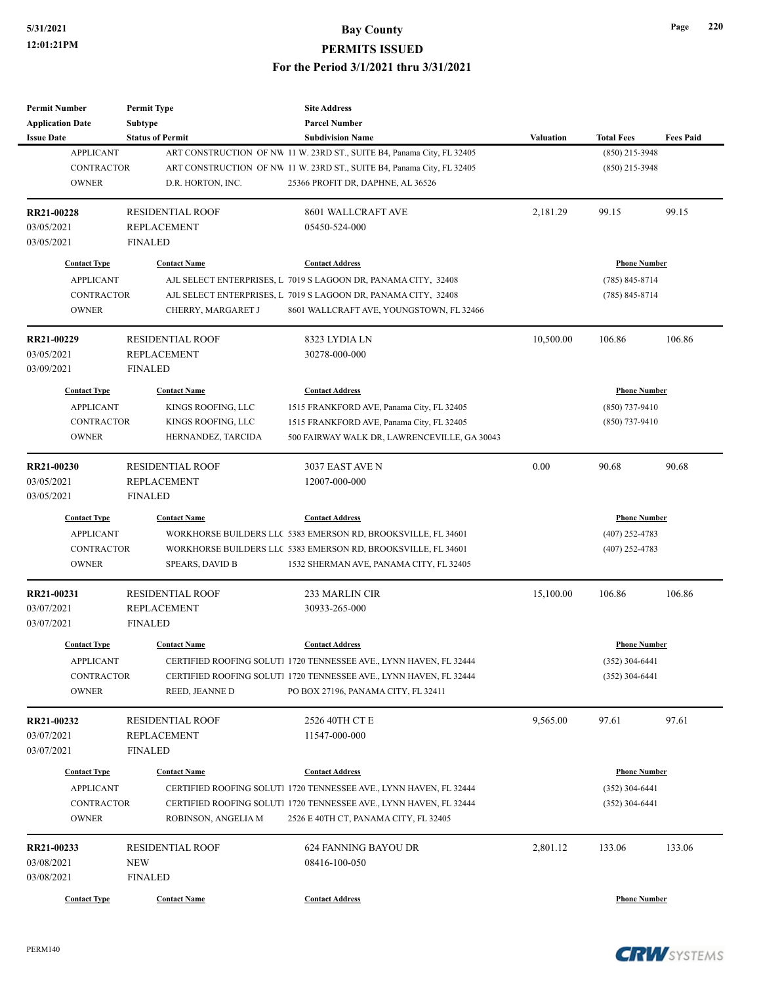| <b>Permit Number</b>     | <b>Permit Type</b>      | <b>Site Address</b>                                                    |                  |                     |                  |
|--------------------------|-------------------------|------------------------------------------------------------------------|------------------|---------------------|------------------|
| <b>Application Date</b>  | <b>Subtype</b>          | <b>Parcel Number</b>                                                   |                  |                     |                  |
| <b>Issue Date</b>        | <b>Status of Permit</b> | <b>Subdivision Name</b>                                                | <b>Valuation</b> | <b>Total Fees</b>   | <b>Fees Paid</b> |
| <b>APPLICANT</b>         |                         | ART CONSTRUCTION OF NW 11 W. 23RD ST., SUITE B4, Panama City, FL 32405 |                  | $(850)$ 215-3948    |                  |
| <b>CONTRACTOR</b>        |                         | ART CONSTRUCTION OF NW 11 W. 23RD ST., SUITE B4, Panama City, FL 32405 |                  | $(850)$ 215-3948    |                  |
| <b>OWNER</b>             | D.R. HORTON, INC.       | 25366 PROFIT DR, DAPHNE, AL 36526                                      |                  |                     |                  |
|                          |                         |                                                                        |                  |                     |                  |
| RR21-00228               | <b>RESIDENTIAL ROOF</b> | 8601 WALLCRAFT AVE                                                     | 2,181.29         | 99.15               | 99.15            |
| 03/05/2021               | <b>REPLACEMENT</b>      | 05450-524-000                                                          |                  |                     |                  |
| 03/05/2021               | <b>FINALED</b>          |                                                                        |                  |                     |                  |
| <b>Contact Type</b>      | <b>Contact Name</b>     | <b>Contact Address</b>                                                 |                  | <b>Phone Number</b> |                  |
| <b>APPLICANT</b>         |                         | AJL SELECT ENTERPRISES, L 7019 S LAGOON DR, PANAMA CITY, 32408         |                  | $(785) 845 - 8714$  |                  |
| <b>CONTRACTOR</b>        |                         | AJL SELECT ENTERPRISES, L 7019 S LAGOON DR, PANAMA CITY, 32408         |                  | $(785) 845 - 8714$  |                  |
| <b>OWNER</b>             | CHERRY, MARGARET J      | 8601 WALLCRAFT AVE, YOUNGSTOWN, FL 32466                               |                  |                     |                  |
|                          |                         |                                                                        |                  |                     |                  |
| RR21-00229               | <b>RESIDENTIAL ROOF</b> | 8323 LYDIA LN                                                          | 10,500.00        | 106.86              | 106.86           |
| 03/05/2021               | <b>REPLACEMENT</b>      | 30278-000-000                                                          |                  |                     |                  |
| 03/09/2021               | <b>FINALED</b>          |                                                                        |                  |                     |                  |
| <b>Contact Type</b>      | <b>Contact Name</b>     | <b>Contact Address</b>                                                 |                  | <b>Phone Number</b> |                  |
|                          |                         | 1515 FRANKFORD AVE, Panama City, FL 32405                              |                  | (850) 737-9410      |                  |
| <b>APPLICANT</b>         | KINGS ROOFING, LLC      |                                                                        |                  |                     |                  |
| <b>CONTRACTOR</b>        | KINGS ROOFING, LLC      | 1515 FRANKFORD AVE, Panama City, FL 32405                              |                  | (850) 737-9410      |                  |
| <b>OWNER</b>             | HERNANDEZ, TARCIDA      | 500 FAIRWAY WALK DR, LAWRENCEVILLE, GA 30043                           |                  |                     |                  |
| RR21-00230               | <b>RESIDENTIAL ROOF</b> | 3037 EAST AVE N                                                        | 0.00             | 90.68               | 90.68            |
| 03/05/2021               | <b>REPLACEMENT</b>      | 12007-000-000                                                          |                  |                     |                  |
| 03/05/2021               | <b>FINALED</b>          |                                                                        |                  |                     |                  |
|                          |                         |                                                                        |                  |                     |                  |
| <b>Contact Type</b>      | <b>Contact Name</b>     | <b>Contact Address</b>                                                 |                  | <b>Phone Number</b> |                  |
| <b>APPLICANT</b>         |                         | WORKHORSE BUILDERS LLC 5383 EMERSON RD, BROOKSVILLE, FL 34601          |                  | $(407)$ 252-4783    |                  |
| <b>CONTRACTOR</b>        |                         | WORKHORSE BUILDERS LLC 5383 EMERSON RD, BROOKSVILLE, FL 34601          |                  | (407) 252-4783      |                  |
| <b>OWNER</b>             | <b>SPEARS, DAVID B</b>  | 1532 SHERMAN AVE, PANAMA CITY, FL 32405                                |                  |                     |                  |
| RR21-00231               | <b>RESIDENTIAL ROOF</b> | 233 MARLIN CIR                                                         | 15,100.00        | 106.86              | 106.86           |
| 03/07/2021               | <b>REPLACEMENT</b>      | 30933-265-000                                                          |                  |                     |                  |
| 03/07/2021               | <b>FINALED</b>          |                                                                        |                  |                     |                  |
|                          |                         |                                                                        |                  |                     |                  |
| <b>Contact Type</b>      | <b>Contact Name</b>     | <b>Contact Address</b>                                                 |                  | <b>Phone Number</b> |                  |
| <b>APPLICANT</b>         |                         | CERTIFIED ROOFING SOLUTI 1720 TENNESSEE AVE., LYNN HAVEN, FL 32444     |                  | (352) 304-6441      |                  |
| <b>CONTRACTOR</b>        |                         | CERTIFIED ROOFING SOLUTI 1720 TENNESSEE AVE., LYNN HAVEN, FL 32444     |                  | $(352)$ 304-6441    |                  |
| <b>OWNER</b>             | REED, JEANNE D          | PO BOX 27196, PANAMA CITY, FL 32411                                    |                  |                     |                  |
|                          | <b>RESIDENTIAL ROOF</b> | 2526 40TH CT E                                                         | 9,565.00         | 97.61               | 97.61            |
| RR21-00232<br>03/07/2021 | <b>REPLACEMENT</b>      | 11547-000-000                                                          |                  |                     |                  |
| 03/07/2021               |                         |                                                                        |                  |                     |                  |
|                          | <b>FINALED</b>          |                                                                        |                  |                     |                  |
| <b>Contact Type</b>      | <b>Contact Name</b>     | <b>Contact Address</b>                                                 |                  | <b>Phone Number</b> |                  |
| <b>APPLICANT</b>         |                         | CERTIFIED ROOFING SOLUTI 1720 TENNESSEE AVE., LYNN HAVEN, FL 32444     |                  | $(352)$ 304-6441    |                  |
| CONTRACTOR               |                         | CERTIFIED ROOFING SOLUTI 1720 TENNESSEE AVE., LYNN HAVEN, FL 32444     |                  | (352) 304-6441      |                  |
| <b>OWNER</b>             | ROBINSON, ANGELIA M     | 2526 E 40TH CT, PANAMA CITY, FL 32405                                  |                  |                     |                  |
|                          | <b>RESIDENTIAL ROOF</b> |                                                                        | 2,801.12         |                     | 133.06           |
| RR21-00233               |                         | 624 FANNING BAYOU DR                                                   |                  | 133.06              |                  |
| 03/08/2021               | <b>NEW</b>              | 08416-100-050                                                          |                  |                     |                  |
| 03/08/2021               | <b>FINALED</b>          |                                                                        |                  |                     |                  |
| <b>Contact Type</b>      | <b>Contact Name</b>     | <b>Contact Address</b>                                                 |                  | <b>Phone Number</b> |                  |



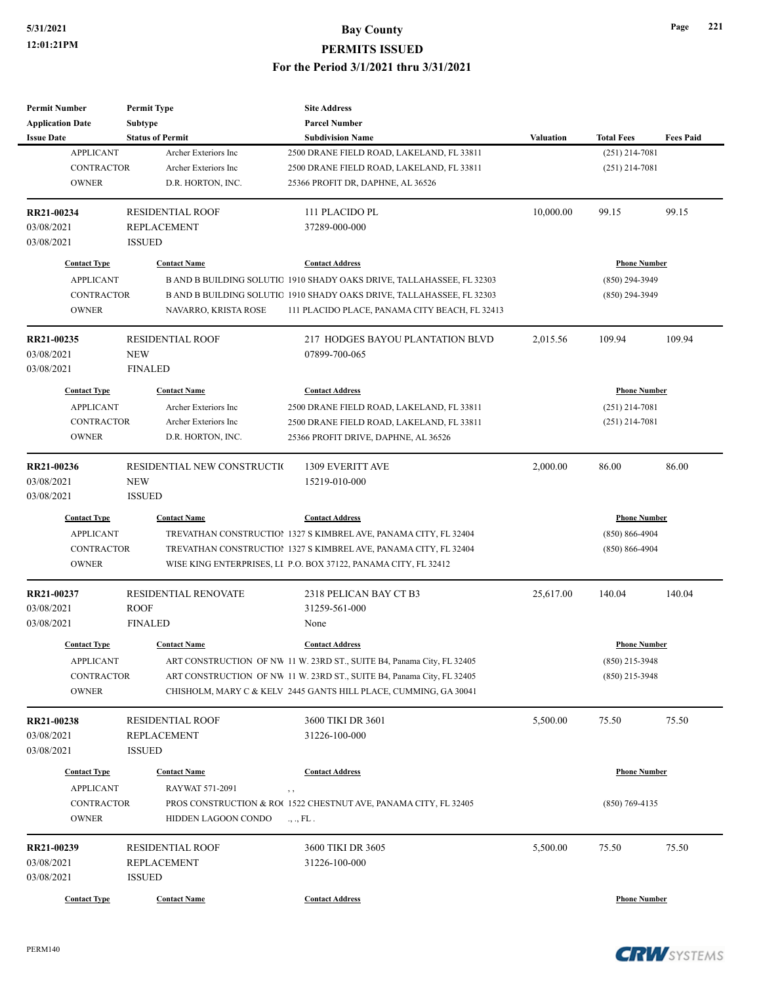| <b>Permit Number</b>    | <b>Permit Type</b>          | <b>Site Address</b>                                                    |                  |                     |                  |
|-------------------------|-----------------------------|------------------------------------------------------------------------|------------------|---------------------|------------------|
| <b>Application Date</b> | <b>Subtype</b>              | <b>Parcel Number</b>                                                   |                  |                     |                  |
| <b>Issue Date</b>       | <b>Status of Permit</b>     | <b>Subdivision Name</b>                                                | <b>Valuation</b> | <b>Total Fees</b>   | <b>Fees Paid</b> |
| <b>APPLICANT</b>        | Archer Exteriors Inc        | 2500 DRANE FIELD ROAD, LAKELAND, FL 33811                              |                  | $(251)$ 214-7081    |                  |
| <b>CONTRACTOR</b>       | Archer Exteriors Inc.       | 2500 DRANE FIELD ROAD, LAKELAND, FL 33811                              |                  | $(251)$ 214-7081    |                  |
| <b>OWNER</b>            | D.R. HORTON, INC.           | 25366 PROFIT DR, DAPHNE, AL 36526                                      |                  |                     |                  |
| RR21-00234              | <b>RESIDENTIAL ROOF</b>     | 111 PLACIDO PL                                                         | 10,000.00        | 99.15               | 99.15            |
| 03/08/2021              | <b>REPLACEMENT</b>          | 37289-000-000                                                          |                  |                     |                  |
| 03/08/2021              | <b>ISSUED</b>               |                                                                        |                  |                     |                  |
| <b>Contact Type</b>     | <b>Contact Name</b>         | <b>Contact Address</b>                                                 |                  | <b>Phone Number</b> |                  |
| <b>APPLICANT</b>        |                             | B AND B BUILDING SOLUTIC 1910 SHADY OAKS DRIVE, TALLAHASSEE, FL 32303  |                  | (850) 294-3949      |                  |
| <b>CONTRACTOR</b>       |                             | B AND B BUILDING SOLUTIC 1910 SHADY OAKS DRIVE, TALLAHASSEE, FL 32303  |                  | (850) 294-3949      |                  |
| <b>OWNER</b>            | NAVARRO, KRISTA ROSE        | 111 PLACIDO PLACE, PANAMA CITY BEACH, FL 32413                         |                  |                     |                  |
| RR21-00235              | <b>RESIDENTIAL ROOF</b>     | 217 HODGES BAYOU PLANTATION BLVD                                       | 2,015.56         | 109.94              | 109.94           |
| 03/08/2021              | <b>NEW</b>                  | 07899-700-065                                                          |                  |                     |                  |
| 03/08/2021              | <b>FINALED</b>              |                                                                        |                  |                     |                  |
| <b>Contact Type</b>     | <b>Contact Name</b>         | <b>Contact Address</b>                                                 |                  | <b>Phone Number</b> |                  |
| <b>APPLICANT</b>        | Archer Exteriors Inc        | 2500 DRANE FIELD ROAD, LAKELAND, FL 33811                              |                  | $(251)$ 214-7081    |                  |
| <b>CONTRACTOR</b>       | Archer Exteriors Inc        | 2500 DRANE FIELD ROAD, LAKELAND, FL 33811                              |                  | $(251)$ 214-7081    |                  |
| <b>OWNER</b>            | D.R. HORTON, INC.           | 25366 PROFIT DRIVE, DAPHNE, AL 36526                                   |                  |                     |                  |
|                         |                             |                                                                        |                  |                     |                  |
| RR21-00236              | RESIDENTIAL NEW CONSTRUCTIO | 1309 EVERITT AVE                                                       | 2,000.00         | 86.00               | 86.00            |
| 03/08/2021              | <b>NEW</b>                  | 15219-010-000                                                          |                  |                     |                  |
| 03/08/2021              | <b>ISSUED</b>               |                                                                        |                  |                     |                  |
| <b>Contact Type</b>     | <b>Contact Name</b>         | <b>Contact Address</b>                                                 |                  | <b>Phone Number</b> |                  |
| <b>APPLICANT</b>        |                             | TREVATHAN CONSTRUCTION 1327 S KIMBREL AVE, PANAMA CITY, FL 32404       |                  | $(850) 866 - 4904$  |                  |
| CONTRACTOR              |                             | TREVATHAN CONSTRUCTION 1327 S KIMBREL AVE, PANAMA CITY, FL 32404       |                  | $(850) 866 - 4904$  |                  |
| <b>OWNER</b>            |                             | WISE KING ENTERPRISES, LI P.O. BOX 37122, PANAMA CITY, FL 32412        |                  |                     |                  |
| RR21-00237              | <b>RESIDENTIAL RENOVATE</b> | 2318 PELICAN BAY CT B3                                                 | 25,617.00        | 140.04              | 140.04           |
| 03/08/2021              | <b>ROOF</b>                 | 31259-561-000                                                          |                  |                     |                  |
| 03/08/2021              | <b>FINALED</b>              | None                                                                   |                  |                     |                  |
| <b>Contact Type</b>     | <b>Contact Name</b>         | <b>Contact Address</b>                                                 |                  | <b>Phone Number</b> |                  |
| <b>APPLICANT</b>        |                             | ART CONSTRUCTION OF NW 11 W. 23RD ST., SUITE B4, Panama City, FL 32405 |                  | (850) 215-3948      |                  |
| CONTRACTOR              |                             | ART CONSTRUCTION OF NW 11 W. 23RD ST., SUITE B4, Panama City, FL 32405 |                  | $(850)$ 215-3948    |                  |
| <b>OWNER</b>            |                             | CHISHOLM, MARY C & KELV 2445 GANTS HILL PLACE, CUMMING, GA 30041       |                  |                     |                  |
| RR21-00238              | <b>RESIDENTIAL ROOF</b>     | 3600 TIKI DR 3601                                                      | 5,500.00         | 75.50               | 75.50            |
| 03/08/2021              | <b>REPLACEMENT</b>          | 31226-100-000                                                          |                  |                     |                  |
| 03/08/2021              | <b>ISSUED</b>               |                                                                        |                  |                     |                  |
| <b>Contact Type</b>     | <b>Contact Name</b>         | <b>Contact Address</b>                                                 |                  | <b>Phone Number</b> |                  |
| <b>APPLICANT</b>        | RAYWAT 571-2091             | $, \, ,$                                                               |                  |                     |                  |
| CONTRACTOR              |                             | PROS CONSTRUCTION & RO( 1522 CHESTNUT AVE, PANAMA CITY, FL 32405       |                  | $(850)$ 769-4135    |                  |
| <b>OWNER</b>            | HIDDEN LAGOON CONDO         | ., ., FL.                                                              |                  |                     |                  |
| RR21-00239              | <b>RESIDENTIAL ROOF</b>     | 3600 TIKI DR 3605                                                      | 5,500.00         | 75.50               | 75.50            |
| 03/08/2021              | <b>REPLACEMENT</b>          | 31226-100-000                                                          |                  |                     |                  |
| 03/08/2021              | <b>ISSUED</b>               |                                                                        |                  |                     |                  |
|                         |                             |                                                                        |                  |                     |                  |
| <b>Contact Type</b>     | <b>Contact Name</b>         | <b>Contact Address</b>                                                 |                  | <b>Phone Number</b> |                  |

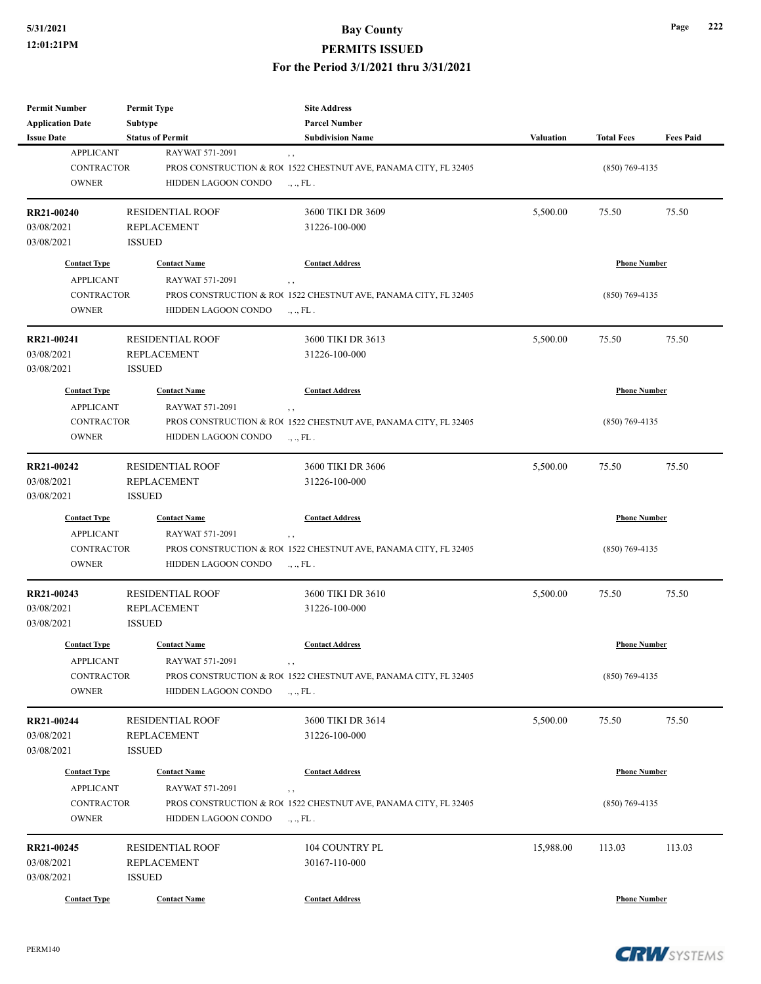# **5/31/2021 Bay County**

#### **PERMITS ISSUED**

#### **For the Period 3/1/2021 thru 3/31/2021**

| Permit Number           | <b>Permit Type</b>      | <b>Site Address</b>                                             |           |                     |                  |
|-------------------------|-------------------------|-----------------------------------------------------------------|-----------|---------------------|------------------|
| <b>Application Date</b> | Subtype                 | <b>Parcel Number</b>                                            |           |                     |                  |
| <b>Issue Date</b>       | <b>Status of Permit</b> | <b>Subdivision Name</b>                                         | Valuation | <b>Total Fees</b>   | <b>Fees Paid</b> |
| <b>APPLICANT</b>        | RAYWAT 571-2091         | , ,                                                             |           |                     |                  |
| <b>CONTRACTOR</b>       |                         | PROS CONSTRUCTION & RO(1522 CHESTNUT AVE, PANAMA CITY, FL 32405 |           | $(850)$ 769-4135    |                  |
| <b>OWNER</b>            | HIDDEN LAGOON CONDO     | ., ., FL.                                                       |           |                     |                  |
| RR21-00240              | <b>RESIDENTIAL ROOF</b> | 3600 TIKI DR 3609                                               | 5,500.00  | 75.50               | 75.50            |
| 03/08/2021              | REPLACEMENT             | 31226-100-000                                                   |           |                     |                  |
| 03/08/2021              | <b>ISSUED</b>           |                                                                 |           |                     |                  |
| <b>Contact Type</b>     | <b>Contact Name</b>     | <b>Contact Address</b>                                          |           | <b>Phone Number</b> |                  |
| <b>APPLICANT</b>        | RAYWAT 571-2091         |                                                                 |           |                     |                  |
| <b>CONTRACTOR</b>       |                         | PROS CONSTRUCTION & RO(1522 CHESTNUT AVE, PANAMA CITY, FL 32405 |           | $(850)$ 769-4135    |                  |
| <b>OWNER</b>            | HIDDEN LAGOON CONDO     | ., ., FL.                                                       |           |                     |                  |
| RR21-00241              | <b>RESIDENTIAL ROOF</b> | 3600 TIKI DR 3613                                               | 5,500.00  | 75.50               | 75.50            |
| 03/08/2021              | <b>REPLACEMENT</b>      | 31226-100-000                                                   |           |                     |                  |
| 03/08/2021              | <b>ISSUED</b>           |                                                                 |           |                     |                  |
| <b>Contact Type</b>     | <b>Contact Name</b>     | <b>Contact Address</b>                                          |           | <b>Phone Number</b> |                  |
| <b>APPLICANT</b>        | RAYWAT 571-2091         | , ,                                                             |           |                     |                  |
| <b>CONTRACTOR</b>       |                         | PROS CONSTRUCTION & RO(1522 CHESTNUT AVE, PANAMA CITY, FL 32405 |           | $(850)$ 769-4135    |                  |
| <b>OWNER</b>            | HIDDEN LAGOON CONDO     | ., ., FL.                                                       |           |                     |                  |
|                         |                         |                                                                 |           |                     |                  |
| RR21-00242              | <b>RESIDENTIAL ROOF</b> | 3600 TIKI DR 3606                                               | 5,500.00  | 75.50               | 75.50            |
| 03/08/2021              | <b>REPLACEMENT</b>      | 31226-100-000                                                   |           |                     |                  |
| 03/08/2021              | <b>ISSUED</b>           |                                                                 |           |                     |                  |
| <b>Contact Type</b>     | <b>Contact Name</b>     | <b>Contact Address</b>                                          |           | <b>Phone Number</b> |                  |
| <b>APPLICANT</b>        | RAYWAT 571-2091         | , ,                                                             |           |                     |                  |
| <b>CONTRACTOR</b>       |                         | PROS CONSTRUCTION & RO(1522 CHESTNUT AVE, PANAMA CITY, FL 32405 |           | $(850)$ 769-4135    |                  |
| <b>OWNER</b>            | HIDDEN LAGOON CONDO     | ., ., FL.                                                       |           |                     |                  |
| RR21-00243              | <b>RESIDENTIAL ROOF</b> | 3600 TIKI DR 3610                                               | 5,500.00  | 75.50               | 75.50            |
| 03/08/2021              | <b>REPLACEMENT</b>      | 31226-100-000                                                   |           |                     |                  |
| 03/08/2021              | <b>ISSUED</b>           |                                                                 |           |                     |                  |
| <b>Contact Type</b>     | <b>Contact Name</b>     | <b>Contact Address</b>                                          |           | <b>Phone Number</b> |                  |
| <b>APPLICANT</b>        | RAYWAT 571-2091         |                                                                 |           |                     |                  |
| CONTRACTOR              |                         | PROS CONSTRUCTION & RO(1522 CHESTNUT AVE, PANAMA CITY, FL 32405 |           | $(850)$ 769-4135    |                  |
| <b>OWNER</b>            | HIDDEN LAGOON CONDO     | ., ., FL.                                                       |           |                     |                  |
| RR21-00244              | <b>RESIDENTIAL ROOF</b> | 3600 TIKI DR 3614                                               | 5,500.00  | 75.50               | 75.50            |
| 03/08/2021              | <b>REPLACEMENT</b>      | 31226-100-000                                                   |           |                     |                  |
| 03/08/2021              | <b>ISSUED</b>           |                                                                 |           |                     |                  |
|                         |                         |                                                                 |           |                     |                  |
| <b>Contact Type</b>     | <b>Contact Name</b>     | <b>Contact Address</b>                                          |           | <b>Phone Number</b> |                  |
| <b>APPLICANT</b>        | RAYWAT 571-2091         | , ,                                                             |           |                     |                  |
| <b>CONTRACTOR</b>       |                         | PROS CONSTRUCTION & RO(1522 CHESTNUT AVE, PANAMA CITY, FL 32405 |           | $(850)$ 769-4135    |                  |
| <b>OWNER</b>            | HIDDEN LAGOON CONDO     | ., ., FL.                                                       |           |                     |                  |
| RR21-00245              | <b>RESIDENTIAL ROOF</b> | 104 COUNTRY PL                                                  | 15,988.00 | 113.03              | 113.03           |
| 03/08/2021              | REPLACEMENT             | 30167-110-000                                                   |           |                     |                  |
| 03/08/2021              | <b>ISSUED</b>           |                                                                 |           |                     |                  |
| <b>Contact Type</b>     | <b>Contact Name</b>     | <b>Contact Address</b>                                          |           | <b>Phone Number</b> |                  |
|                         |                         |                                                                 |           |                     |                  |



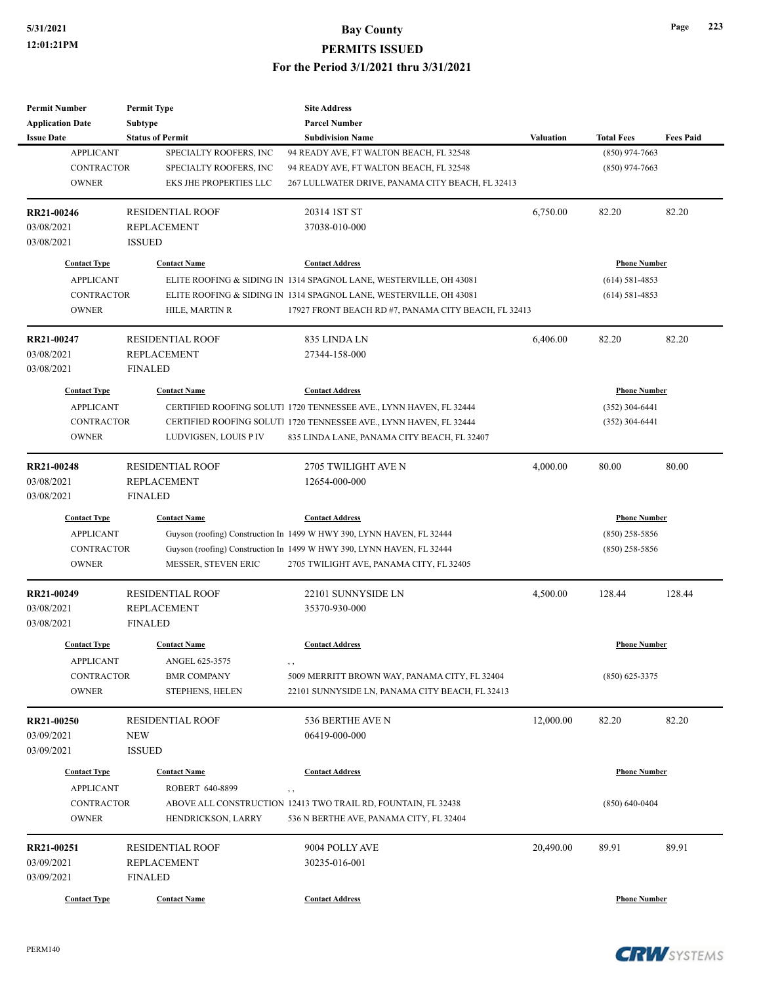| <b>Permit Number</b>    | <b>Permit Type</b>      | <b>Site Address</b>                                                   |                  |                     |                  |
|-------------------------|-------------------------|-----------------------------------------------------------------------|------------------|---------------------|------------------|
| <b>Application Date</b> | Subtype                 | <b>Parcel Number</b>                                                  |                  |                     |                  |
| <b>Issue Date</b>       | <b>Status of Permit</b> | <b>Subdivision Name</b>                                               | <b>Valuation</b> | <b>Total Fees</b>   | <b>Fees Paid</b> |
| <b>APPLICANT</b>        | SPECIALTY ROOFERS, INC  | 94 READY AVE, FT WALTON BEACH, FL 32548                               |                  | $(850)$ 974-7663    |                  |
| <b>CONTRACTOR</b>       | SPECIALTY ROOFERS, INC  | 94 READY AVE, FT WALTON BEACH, FL 32548                               |                  | $(850)$ 974-7663    |                  |
| <b>OWNER</b>            | EKS JHE PROPERTIES LLC  | 267 LULLWATER DRIVE, PANAMA CITY BEACH, FL 32413                      |                  |                     |                  |
| RR21-00246              | <b>RESIDENTIAL ROOF</b> | 20314 1ST ST                                                          | 6,750.00         | 82.20               | 82.20            |
| 03/08/2021              | <b>REPLACEMENT</b>      | 37038-010-000                                                         |                  |                     |                  |
| 03/08/2021              | <b>ISSUED</b>           |                                                                       |                  |                     |                  |
| <b>Contact Type</b>     | <b>Contact Name</b>     | <b>Contact Address</b>                                                |                  | <b>Phone Number</b> |                  |
| <b>APPLICANT</b>        |                         | ELITE ROOFING & SIDING IN 1314 SPAGNOL LANE, WESTERVILLE, OH 43081    |                  | $(614) 581 - 4853$  |                  |
| <b>CONTRACTOR</b>       |                         | ELITE ROOFING & SIDING IN 1314 SPAGNOL LANE, WESTERVILLE, OH 43081    |                  | $(614) 581 - 4853$  |                  |
| <b>OWNER</b>            | HILE, MARTIN R          | 17927 FRONT BEACH RD #7, PANAMA CITY BEACH, FL 32413                  |                  |                     |                  |
| RR21-00247              | <b>RESIDENTIAL ROOF</b> | 835 LINDA LN                                                          | 6,406.00         | 82.20               | 82.20            |
| 03/08/2021              | <b>REPLACEMENT</b>      | 27344-158-000                                                         |                  |                     |                  |
| 03/08/2021              | <b>FINALED</b>          |                                                                       |                  |                     |                  |
| <b>Contact Type</b>     | <b>Contact Name</b>     | <b>Contact Address</b>                                                |                  | <b>Phone Number</b> |                  |
| <b>APPLICANT</b>        |                         | CERTIFIED ROOFING SOLUTI 1720 TENNESSEE AVE., LYNN HAVEN, FL 32444    |                  | $(352)$ 304-6441    |                  |
| CONTRACTOR              |                         | CERTIFIED ROOFING SOLUTI 1720 TENNESSEE AVE., LYNN HAVEN, FL 32444    |                  | $(352)$ 304-6441    |                  |
| <b>OWNER</b>            | LUDVIGSEN, LOUIS PIV    | 835 LINDA LANE, PANAMA CITY BEACH, FL 32407                           |                  |                     |                  |
|                         |                         |                                                                       |                  |                     |                  |
| RR21-00248              | <b>RESIDENTIAL ROOF</b> | 2705 TWILIGHT AVE N                                                   | 4,000.00         | 80.00               | 80.00            |
| 03/08/2021              | <b>REPLACEMENT</b>      | 12654-000-000                                                         |                  |                     |                  |
| 03/08/2021              | <b>FINALED</b>          |                                                                       |                  |                     |                  |
| <b>Contact Type</b>     | <b>Contact Name</b>     | <b>Contact Address</b>                                                |                  | <b>Phone Number</b> |                  |
| <b>APPLICANT</b>        |                         | Guyson (roofing) Construction In 1499 W HWY 390, LYNN HAVEN, FL 32444 |                  | $(850)$ 258-5856    |                  |
| CONTRACTOR              |                         | Guyson (roofing) Construction In 1499 W HWY 390, LYNN HAVEN, FL 32444 |                  | $(850)$ 258-5856    |                  |
| <b>OWNER</b>            | MESSER, STEVEN ERIC     | 2705 TWILIGHT AVE, PANAMA CITY, FL 32405                              |                  |                     |                  |
| RR21-00249              | <b>RESIDENTIAL ROOF</b> | 22101 SUNNYSIDE LN                                                    | 4,500.00         | 128.44              | 128.44           |
| 03/08/2021              | <b>REPLACEMENT</b>      | 35370-930-000                                                         |                  |                     |                  |
| 03/08/2021              | <b>FINALED</b>          |                                                                       |                  |                     |                  |
| <b>Contact Type</b>     | <b>Contact Name</b>     | <b>Contact Address</b>                                                |                  | <b>Phone Number</b> |                  |
| <b>APPLICANT</b>        | ANGEL 625-3575          | , ,                                                                   |                  |                     |                  |
| CONTRACTOR              | <b>BMR COMPANY</b>      | 5009 MERRITT BROWN WAY, PANAMA CITY, FL 32404                         |                  | $(850)$ 625-3375    |                  |
| <b>OWNER</b>            | STEPHENS, HELEN         | 22101 SUNNYSIDE LN, PANAMA CITY BEACH, FL 32413                       |                  |                     |                  |
| RR21-00250              | <b>RESIDENTIAL ROOF</b> | 536 BERTHE AVE N                                                      | 12,000.00        | 82.20               | 82.20            |
| 03/09/2021              | <b>NEW</b>              | 06419-000-000                                                         |                  |                     |                  |
| 03/09/2021              | <b>ISSUED</b>           |                                                                       |                  |                     |                  |
| <b>Contact Type</b>     | <b>Contact Name</b>     | <b>Contact Address</b>                                                |                  | <b>Phone Number</b> |                  |
| <b>APPLICANT</b>        | ROBERT 640-8899         | , ,                                                                   |                  |                     |                  |
| <b>CONTRACTOR</b>       |                         | ABOVE ALL CONSTRUCTION 12413 TWO TRAIL RD, FOUNTAIN, FL 32438         |                  | $(850) 640 - 0404$  |                  |
| <b>OWNER</b>            | HENDRICKSON, LARRY      | 536 N BERTHE AVE, PANAMA CITY, FL 32404                               |                  |                     |                  |
| RR21-00251              | RESIDENTIAL ROOF        | 9004 POLLY AVE                                                        | 20,490.00        | 89.91               | 89.91            |
| 03/09/2021              | <b>REPLACEMENT</b>      | 30235-016-001                                                         |                  |                     |                  |
| 03/09/2021              | <b>FINALED</b>          |                                                                       |                  |                     |                  |
| <b>Contact Type</b>     | <b>Contact Name</b>     | <b>Contact Address</b>                                                |                  | <b>Phone Number</b> |                  |

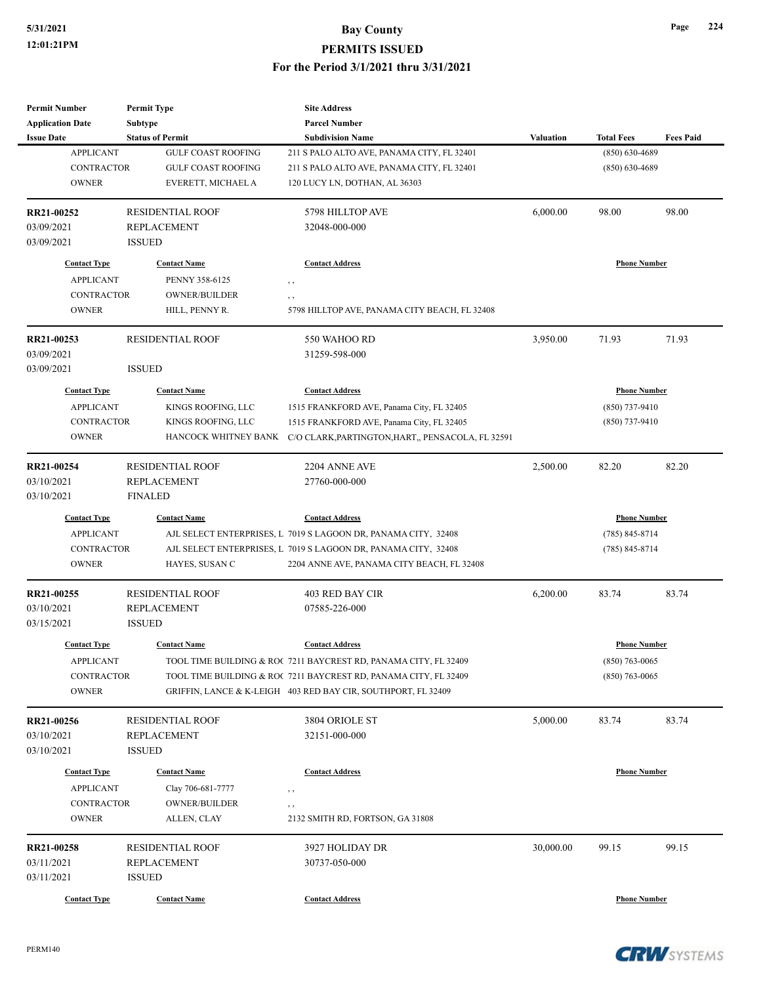| <b>Application Date</b><br>Subtype<br><b>Parcel Number</b><br><b>Issue Date</b><br><b>Status of Permit</b><br><b>Subdivision Name</b><br>Valuation<br><b>Total Fees</b><br><b>Fees Paid</b><br><b>APPLICANT</b><br><b>GULF COAST ROOFING</b><br>$(850) 630 - 4689$<br>211 S PALO ALTO AVE, PANAMA CITY, FL 32401<br><b>CONTRACTOR</b><br><b>GULF COAST ROOFING</b><br>211 S PALO ALTO AVE, PANAMA CITY, FL 32401<br>$(850) 630 - 4689$<br><b>OWNER</b><br>EVERETT, MICHAEL A<br>120 LUCY LN, DOTHAN, AL 36303<br><b>RESIDENTIAL ROOF</b><br>6,000.00<br>98.00<br>RR21-00252<br>5798 HILLTOP AVE<br>98.00<br>03/09/2021<br><b>REPLACEMENT</b><br>32048-000-000<br>03/09/2021<br><b>ISSUED</b><br><b>Contact Name</b><br><b>Contact Address</b><br><b>Phone Number</b><br><b>Contact Type</b><br><b>APPLICANT</b><br>PENNY 358-6125<br>$, \, \,$<br>CONTRACTOR<br>OWNER/BUILDER<br>$, \, ,$<br><b>OWNER</b><br>5798 HILLTOP AVE, PANAMA CITY BEACH, FL 32408<br>HILL, PENNY R.<br>3,950.00<br>71.93<br><b>RESIDENTIAL ROOF</b><br>550 WAHOO RD<br>71.93<br>RR21-00253<br>03/09/2021<br>31259-598-000<br>03/09/2021<br><b>ISSUED</b><br><b>Phone Number</b><br><b>Contact Type</b><br><b>Contact Name</b><br><b>Contact Address</b><br>KINGS ROOFING, LLC<br>1515 FRANKFORD AVE, Panama City, FL 32405<br>$(850)$ 737-9410<br><b>APPLICANT</b><br><b>CONTRACTOR</b><br>KINGS ROOFING, LLC<br>1515 FRANKFORD AVE, Panama City, FL 32405<br>$(850)$ 737-9410<br><b>OWNER</b><br>C/O CLARK, PARTINGTON, HART,, PENSACOLA, FL 32591<br>HANCOCK WHITNEY BANK<br><b>RESIDENTIAL ROOF</b><br>2204 ANNE AVE<br>2,500.00<br>82.20<br>82.20<br>RR21-00254<br><b>REPLACEMENT</b><br>03/10/2021<br>27760-000-000<br>03/10/2021<br><b>FINALED</b><br><b>Phone Number</b><br><b>Contact Type</b><br><b>Contact Name</b><br><b>Contact Address</b><br><b>APPLICANT</b><br>AJL SELECT ENTERPRISES, L 7019 S LAGOON DR, PANAMA CITY, 32408<br>$(785) 845 - 8714$<br><b>CONTRACTOR</b><br>AJL SELECT ENTERPRISES, L 7019 S LAGOON DR, PANAMA CITY, 32408<br>$(785) 845 - 8714$<br><b>OWNER</b><br>HAYES, SUSAN C<br>2204 ANNE AVE, PANAMA CITY BEACH, FL 32408<br>6,200.00<br>83.74<br><b>RESIDENTIAL ROOF</b><br><b>403 RED BAY CIR</b><br>83.74<br>RR21-00255<br>03/10/2021<br><b>REPLACEMENT</b><br>07585-226-000<br>03/15/2021<br><b>ISSUED</b><br><b>Contact Type</b><br><b>Contact Name</b><br><b>Contact Address</b><br><b>Phone Number</b><br><b>APPLICANT</b><br>TOOL TIME BUILDING & ROC 7211 BAYCREST RD, PANAMA CITY, FL 32409<br>$(850) 763 - 0065$<br><b>CONTRACTOR</b><br>TOOL TIME BUILDING & ROC 7211 BAYCREST RD, PANAMA CITY, FL 32409<br>$(850)$ 763-0065<br>GRIFFIN, LANCE & K-LEIGH 403 RED BAY CIR, SOUTHPORT, FL 32409<br><b>OWNER</b><br>5,000.00<br>83.74<br><b>RESIDENTIAL ROOF</b><br>3804 ORIOLE ST<br>83.74<br>RR21-00256<br>03/10/2021<br>32151-000-000<br>REPLACEMENT<br>03/10/2021<br><b>ISSUED</b><br><b>Contact Type</b><br><b>Contact Name</b><br><b>Contact Address</b><br><b>Phone Number</b><br><b>APPLICANT</b><br>Clay 706-681-7777<br>, ,<br>CONTRACTOR<br>OWNER/BUILDER<br>, ,<br><b>OWNER</b><br>ALLEN, CLAY<br>2132 SMITH RD, FORTSON, GA 31808<br><b>RESIDENTIAL ROOF</b><br>99.15<br>99.15<br>RR21-00258<br>3927 HOLIDAY DR<br>30,000.00<br>03/11/2021<br>REPLACEMENT<br>30737-050-000<br>03/11/2021<br><b>ISSUED</b><br><b>Contact Type</b><br><b>Contact Name</b><br><b>Contact Address</b><br><b>Phone Number</b> | <b>Permit Number</b> | <b>Permit Type</b> | <b>Site Address</b> |  |  |
|------------------------------------------------------------------------------------------------------------------------------------------------------------------------------------------------------------------------------------------------------------------------------------------------------------------------------------------------------------------------------------------------------------------------------------------------------------------------------------------------------------------------------------------------------------------------------------------------------------------------------------------------------------------------------------------------------------------------------------------------------------------------------------------------------------------------------------------------------------------------------------------------------------------------------------------------------------------------------------------------------------------------------------------------------------------------------------------------------------------------------------------------------------------------------------------------------------------------------------------------------------------------------------------------------------------------------------------------------------------------------------------------------------------------------------------------------------------------------------------------------------------------------------------------------------------------------------------------------------------------------------------------------------------------------------------------------------------------------------------------------------------------------------------------------------------------------------------------------------------------------------------------------------------------------------------------------------------------------------------------------------------------------------------------------------------------------------------------------------------------------------------------------------------------------------------------------------------------------------------------------------------------------------------------------------------------------------------------------------------------------------------------------------------------------------------------------------------------------------------------------------------------------------------------------------------------------------------------------------------------------------------------------------------------------------------------------------------------------------------------------------------------------------------------------------------------------------------------------------------------------------------------------------------------------------------------------------------------------------------------------------------------------------------------------------------------------------------------------------------------------------------------------------------------------------------------------------------------------------------------------------------------------------------------------------------------------------------------------------------------------------------------------------------------------------------------|----------------------|--------------------|---------------------|--|--|
|                                                                                                                                                                                                                                                                                                                                                                                                                                                                                                                                                                                                                                                                                                                                                                                                                                                                                                                                                                                                                                                                                                                                                                                                                                                                                                                                                                                                                                                                                                                                                                                                                                                                                                                                                                                                                                                                                                                                                                                                                                                                                                                                                                                                                                                                                                                                                                                                                                                                                                                                                                                                                                                                                                                                                                                                                                                                                                                                                                                                                                                                                                                                                                                                                                                                                                                                                                                                                                                |                      |                    |                     |  |  |
|                                                                                                                                                                                                                                                                                                                                                                                                                                                                                                                                                                                                                                                                                                                                                                                                                                                                                                                                                                                                                                                                                                                                                                                                                                                                                                                                                                                                                                                                                                                                                                                                                                                                                                                                                                                                                                                                                                                                                                                                                                                                                                                                                                                                                                                                                                                                                                                                                                                                                                                                                                                                                                                                                                                                                                                                                                                                                                                                                                                                                                                                                                                                                                                                                                                                                                                                                                                                                                                |                      |                    |                     |  |  |
|                                                                                                                                                                                                                                                                                                                                                                                                                                                                                                                                                                                                                                                                                                                                                                                                                                                                                                                                                                                                                                                                                                                                                                                                                                                                                                                                                                                                                                                                                                                                                                                                                                                                                                                                                                                                                                                                                                                                                                                                                                                                                                                                                                                                                                                                                                                                                                                                                                                                                                                                                                                                                                                                                                                                                                                                                                                                                                                                                                                                                                                                                                                                                                                                                                                                                                                                                                                                                                                |                      |                    |                     |  |  |
|                                                                                                                                                                                                                                                                                                                                                                                                                                                                                                                                                                                                                                                                                                                                                                                                                                                                                                                                                                                                                                                                                                                                                                                                                                                                                                                                                                                                                                                                                                                                                                                                                                                                                                                                                                                                                                                                                                                                                                                                                                                                                                                                                                                                                                                                                                                                                                                                                                                                                                                                                                                                                                                                                                                                                                                                                                                                                                                                                                                                                                                                                                                                                                                                                                                                                                                                                                                                                                                |                      |                    |                     |  |  |
|                                                                                                                                                                                                                                                                                                                                                                                                                                                                                                                                                                                                                                                                                                                                                                                                                                                                                                                                                                                                                                                                                                                                                                                                                                                                                                                                                                                                                                                                                                                                                                                                                                                                                                                                                                                                                                                                                                                                                                                                                                                                                                                                                                                                                                                                                                                                                                                                                                                                                                                                                                                                                                                                                                                                                                                                                                                                                                                                                                                                                                                                                                                                                                                                                                                                                                                                                                                                                                                |                      |                    |                     |  |  |
|                                                                                                                                                                                                                                                                                                                                                                                                                                                                                                                                                                                                                                                                                                                                                                                                                                                                                                                                                                                                                                                                                                                                                                                                                                                                                                                                                                                                                                                                                                                                                                                                                                                                                                                                                                                                                                                                                                                                                                                                                                                                                                                                                                                                                                                                                                                                                                                                                                                                                                                                                                                                                                                                                                                                                                                                                                                                                                                                                                                                                                                                                                                                                                                                                                                                                                                                                                                                                                                |                      |                    |                     |  |  |
|                                                                                                                                                                                                                                                                                                                                                                                                                                                                                                                                                                                                                                                                                                                                                                                                                                                                                                                                                                                                                                                                                                                                                                                                                                                                                                                                                                                                                                                                                                                                                                                                                                                                                                                                                                                                                                                                                                                                                                                                                                                                                                                                                                                                                                                                                                                                                                                                                                                                                                                                                                                                                                                                                                                                                                                                                                                                                                                                                                                                                                                                                                                                                                                                                                                                                                                                                                                                                                                |                      |                    |                     |  |  |
|                                                                                                                                                                                                                                                                                                                                                                                                                                                                                                                                                                                                                                                                                                                                                                                                                                                                                                                                                                                                                                                                                                                                                                                                                                                                                                                                                                                                                                                                                                                                                                                                                                                                                                                                                                                                                                                                                                                                                                                                                                                                                                                                                                                                                                                                                                                                                                                                                                                                                                                                                                                                                                                                                                                                                                                                                                                                                                                                                                                                                                                                                                                                                                                                                                                                                                                                                                                                                                                |                      |                    |                     |  |  |
|                                                                                                                                                                                                                                                                                                                                                                                                                                                                                                                                                                                                                                                                                                                                                                                                                                                                                                                                                                                                                                                                                                                                                                                                                                                                                                                                                                                                                                                                                                                                                                                                                                                                                                                                                                                                                                                                                                                                                                                                                                                                                                                                                                                                                                                                                                                                                                                                                                                                                                                                                                                                                                                                                                                                                                                                                                                                                                                                                                                                                                                                                                                                                                                                                                                                                                                                                                                                                                                |                      |                    |                     |  |  |
|                                                                                                                                                                                                                                                                                                                                                                                                                                                                                                                                                                                                                                                                                                                                                                                                                                                                                                                                                                                                                                                                                                                                                                                                                                                                                                                                                                                                                                                                                                                                                                                                                                                                                                                                                                                                                                                                                                                                                                                                                                                                                                                                                                                                                                                                                                                                                                                                                                                                                                                                                                                                                                                                                                                                                                                                                                                                                                                                                                                                                                                                                                                                                                                                                                                                                                                                                                                                                                                |                      |                    |                     |  |  |
|                                                                                                                                                                                                                                                                                                                                                                                                                                                                                                                                                                                                                                                                                                                                                                                                                                                                                                                                                                                                                                                                                                                                                                                                                                                                                                                                                                                                                                                                                                                                                                                                                                                                                                                                                                                                                                                                                                                                                                                                                                                                                                                                                                                                                                                                                                                                                                                                                                                                                                                                                                                                                                                                                                                                                                                                                                                                                                                                                                                                                                                                                                                                                                                                                                                                                                                                                                                                                                                |                      |                    |                     |  |  |
|                                                                                                                                                                                                                                                                                                                                                                                                                                                                                                                                                                                                                                                                                                                                                                                                                                                                                                                                                                                                                                                                                                                                                                                                                                                                                                                                                                                                                                                                                                                                                                                                                                                                                                                                                                                                                                                                                                                                                                                                                                                                                                                                                                                                                                                                                                                                                                                                                                                                                                                                                                                                                                                                                                                                                                                                                                                                                                                                                                                                                                                                                                                                                                                                                                                                                                                                                                                                                                                |                      |                    |                     |  |  |
|                                                                                                                                                                                                                                                                                                                                                                                                                                                                                                                                                                                                                                                                                                                                                                                                                                                                                                                                                                                                                                                                                                                                                                                                                                                                                                                                                                                                                                                                                                                                                                                                                                                                                                                                                                                                                                                                                                                                                                                                                                                                                                                                                                                                                                                                                                                                                                                                                                                                                                                                                                                                                                                                                                                                                                                                                                                                                                                                                                                                                                                                                                                                                                                                                                                                                                                                                                                                                                                |                      |                    |                     |  |  |
|                                                                                                                                                                                                                                                                                                                                                                                                                                                                                                                                                                                                                                                                                                                                                                                                                                                                                                                                                                                                                                                                                                                                                                                                                                                                                                                                                                                                                                                                                                                                                                                                                                                                                                                                                                                                                                                                                                                                                                                                                                                                                                                                                                                                                                                                                                                                                                                                                                                                                                                                                                                                                                                                                                                                                                                                                                                                                                                                                                                                                                                                                                                                                                                                                                                                                                                                                                                                                                                |                      |                    |                     |  |  |
|                                                                                                                                                                                                                                                                                                                                                                                                                                                                                                                                                                                                                                                                                                                                                                                                                                                                                                                                                                                                                                                                                                                                                                                                                                                                                                                                                                                                                                                                                                                                                                                                                                                                                                                                                                                                                                                                                                                                                                                                                                                                                                                                                                                                                                                                                                                                                                                                                                                                                                                                                                                                                                                                                                                                                                                                                                                                                                                                                                                                                                                                                                                                                                                                                                                                                                                                                                                                                                                |                      |                    |                     |  |  |
|                                                                                                                                                                                                                                                                                                                                                                                                                                                                                                                                                                                                                                                                                                                                                                                                                                                                                                                                                                                                                                                                                                                                                                                                                                                                                                                                                                                                                                                                                                                                                                                                                                                                                                                                                                                                                                                                                                                                                                                                                                                                                                                                                                                                                                                                                                                                                                                                                                                                                                                                                                                                                                                                                                                                                                                                                                                                                                                                                                                                                                                                                                                                                                                                                                                                                                                                                                                                                                                |                      |                    |                     |  |  |
|                                                                                                                                                                                                                                                                                                                                                                                                                                                                                                                                                                                                                                                                                                                                                                                                                                                                                                                                                                                                                                                                                                                                                                                                                                                                                                                                                                                                                                                                                                                                                                                                                                                                                                                                                                                                                                                                                                                                                                                                                                                                                                                                                                                                                                                                                                                                                                                                                                                                                                                                                                                                                                                                                                                                                                                                                                                                                                                                                                                                                                                                                                                                                                                                                                                                                                                                                                                                                                                |                      |                    |                     |  |  |
|                                                                                                                                                                                                                                                                                                                                                                                                                                                                                                                                                                                                                                                                                                                                                                                                                                                                                                                                                                                                                                                                                                                                                                                                                                                                                                                                                                                                                                                                                                                                                                                                                                                                                                                                                                                                                                                                                                                                                                                                                                                                                                                                                                                                                                                                                                                                                                                                                                                                                                                                                                                                                                                                                                                                                                                                                                                                                                                                                                                                                                                                                                                                                                                                                                                                                                                                                                                                                                                |                      |                    |                     |  |  |
|                                                                                                                                                                                                                                                                                                                                                                                                                                                                                                                                                                                                                                                                                                                                                                                                                                                                                                                                                                                                                                                                                                                                                                                                                                                                                                                                                                                                                                                                                                                                                                                                                                                                                                                                                                                                                                                                                                                                                                                                                                                                                                                                                                                                                                                                                                                                                                                                                                                                                                                                                                                                                                                                                                                                                                                                                                                                                                                                                                                                                                                                                                                                                                                                                                                                                                                                                                                                                                                |                      |                    |                     |  |  |
|                                                                                                                                                                                                                                                                                                                                                                                                                                                                                                                                                                                                                                                                                                                                                                                                                                                                                                                                                                                                                                                                                                                                                                                                                                                                                                                                                                                                                                                                                                                                                                                                                                                                                                                                                                                                                                                                                                                                                                                                                                                                                                                                                                                                                                                                                                                                                                                                                                                                                                                                                                                                                                                                                                                                                                                                                                                                                                                                                                                                                                                                                                                                                                                                                                                                                                                                                                                                                                                |                      |                    |                     |  |  |
|                                                                                                                                                                                                                                                                                                                                                                                                                                                                                                                                                                                                                                                                                                                                                                                                                                                                                                                                                                                                                                                                                                                                                                                                                                                                                                                                                                                                                                                                                                                                                                                                                                                                                                                                                                                                                                                                                                                                                                                                                                                                                                                                                                                                                                                                                                                                                                                                                                                                                                                                                                                                                                                                                                                                                                                                                                                                                                                                                                                                                                                                                                                                                                                                                                                                                                                                                                                                                                                |                      |                    |                     |  |  |
|                                                                                                                                                                                                                                                                                                                                                                                                                                                                                                                                                                                                                                                                                                                                                                                                                                                                                                                                                                                                                                                                                                                                                                                                                                                                                                                                                                                                                                                                                                                                                                                                                                                                                                                                                                                                                                                                                                                                                                                                                                                                                                                                                                                                                                                                                                                                                                                                                                                                                                                                                                                                                                                                                                                                                                                                                                                                                                                                                                                                                                                                                                                                                                                                                                                                                                                                                                                                                                                |                      |                    |                     |  |  |
|                                                                                                                                                                                                                                                                                                                                                                                                                                                                                                                                                                                                                                                                                                                                                                                                                                                                                                                                                                                                                                                                                                                                                                                                                                                                                                                                                                                                                                                                                                                                                                                                                                                                                                                                                                                                                                                                                                                                                                                                                                                                                                                                                                                                                                                                                                                                                                                                                                                                                                                                                                                                                                                                                                                                                                                                                                                                                                                                                                                                                                                                                                                                                                                                                                                                                                                                                                                                                                                |                      |                    |                     |  |  |
|                                                                                                                                                                                                                                                                                                                                                                                                                                                                                                                                                                                                                                                                                                                                                                                                                                                                                                                                                                                                                                                                                                                                                                                                                                                                                                                                                                                                                                                                                                                                                                                                                                                                                                                                                                                                                                                                                                                                                                                                                                                                                                                                                                                                                                                                                                                                                                                                                                                                                                                                                                                                                                                                                                                                                                                                                                                                                                                                                                                                                                                                                                                                                                                                                                                                                                                                                                                                                                                |                      |                    |                     |  |  |
|                                                                                                                                                                                                                                                                                                                                                                                                                                                                                                                                                                                                                                                                                                                                                                                                                                                                                                                                                                                                                                                                                                                                                                                                                                                                                                                                                                                                                                                                                                                                                                                                                                                                                                                                                                                                                                                                                                                                                                                                                                                                                                                                                                                                                                                                                                                                                                                                                                                                                                                                                                                                                                                                                                                                                                                                                                                                                                                                                                                                                                                                                                                                                                                                                                                                                                                                                                                                                                                |                      |                    |                     |  |  |
|                                                                                                                                                                                                                                                                                                                                                                                                                                                                                                                                                                                                                                                                                                                                                                                                                                                                                                                                                                                                                                                                                                                                                                                                                                                                                                                                                                                                                                                                                                                                                                                                                                                                                                                                                                                                                                                                                                                                                                                                                                                                                                                                                                                                                                                                                                                                                                                                                                                                                                                                                                                                                                                                                                                                                                                                                                                                                                                                                                                                                                                                                                                                                                                                                                                                                                                                                                                                                                                |                      |                    |                     |  |  |
|                                                                                                                                                                                                                                                                                                                                                                                                                                                                                                                                                                                                                                                                                                                                                                                                                                                                                                                                                                                                                                                                                                                                                                                                                                                                                                                                                                                                                                                                                                                                                                                                                                                                                                                                                                                                                                                                                                                                                                                                                                                                                                                                                                                                                                                                                                                                                                                                                                                                                                                                                                                                                                                                                                                                                                                                                                                                                                                                                                                                                                                                                                                                                                                                                                                                                                                                                                                                                                                |                      |                    |                     |  |  |
|                                                                                                                                                                                                                                                                                                                                                                                                                                                                                                                                                                                                                                                                                                                                                                                                                                                                                                                                                                                                                                                                                                                                                                                                                                                                                                                                                                                                                                                                                                                                                                                                                                                                                                                                                                                                                                                                                                                                                                                                                                                                                                                                                                                                                                                                                                                                                                                                                                                                                                                                                                                                                                                                                                                                                                                                                                                                                                                                                                                                                                                                                                                                                                                                                                                                                                                                                                                                                                                |                      |                    |                     |  |  |
|                                                                                                                                                                                                                                                                                                                                                                                                                                                                                                                                                                                                                                                                                                                                                                                                                                                                                                                                                                                                                                                                                                                                                                                                                                                                                                                                                                                                                                                                                                                                                                                                                                                                                                                                                                                                                                                                                                                                                                                                                                                                                                                                                                                                                                                                                                                                                                                                                                                                                                                                                                                                                                                                                                                                                                                                                                                                                                                                                                                                                                                                                                                                                                                                                                                                                                                                                                                                                                                |                      |                    |                     |  |  |
|                                                                                                                                                                                                                                                                                                                                                                                                                                                                                                                                                                                                                                                                                                                                                                                                                                                                                                                                                                                                                                                                                                                                                                                                                                                                                                                                                                                                                                                                                                                                                                                                                                                                                                                                                                                                                                                                                                                                                                                                                                                                                                                                                                                                                                                                                                                                                                                                                                                                                                                                                                                                                                                                                                                                                                                                                                                                                                                                                                                                                                                                                                                                                                                                                                                                                                                                                                                                                                                |                      |                    |                     |  |  |
|                                                                                                                                                                                                                                                                                                                                                                                                                                                                                                                                                                                                                                                                                                                                                                                                                                                                                                                                                                                                                                                                                                                                                                                                                                                                                                                                                                                                                                                                                                                                                                                                                                                                                                                                                                                                                                                                                                                                                                                                                                                                                                                                                                                                                                                                                                                                                                                                                                                                                                                                                                                                                                                                                                                                                                                                                                                                                                                                                                                                                                                                                                                                                                                                                                                                                                                                                                                                                                                |                      |                    |                     |  |  |
|                                                                                                                                                                                                                                                                                                                                                                                                                                                                                                                                                                                                                                                                                                                                                                                                                                                                                                                                                                                                                                                                                                                                                                                                                                                                                                                                                                                                                                                                                                                                                                                                                                                                                                                                                                                                                                                                                                                                                                                                                                                                                                                                                                                                                                                                                                                                                                                                                                                                                                                                                                                                                                                                                                                                                                                                                                                                                                                                                                                                                                                                                                                                                                                                                                                                                                                                                                                                                                                |                      |                    |                     |  |  |
|                                                                                                                                                                                                                                                                                                                                                                                                                                                                                                                                                                                                                                                                                                                                                                                                                                                                                                                                                                                                                                                                                                                                                                                                                                                                                                                                                                                                                                                                                                                                                                                                                                                                                                                                                                                                                                                                                                                                                                                                                                                                                                                                                                                                                                                                                                                                                                                                                                                                                                                                                                                                                                                                                                                                                                                                                                                                                                                                                                                                                                                                                                                                                                                                                                                                                                                                                                                                                                                |                      |                    |                     |  |  |
|                                                                                                                                                                                                                                                                                                                                                                                                                                                                                                                                                                                                                                                                                                                                                                                                                                                                                                                                                                                                                                                                                                                                                                                                                                                                                                                                                                                                                                                                                                                                                                                                                                                                                                                                                                                                                                                                                                                                                                                                                                                                                                                                                                                                                                                                                                                                                                                                                                                                                                                                                                                                                                                                                                                                                                                                                                                                                                                                                                                                                                                                                                                                                                                                                                                                                                                                                                                                                                                |                      |                    |                     |  |  |
|                                                                                                                                                                                                                                                                                                                                                                                                                                                                                                                                                                                                                                                                                                                                                                                                                                                                                                                                                                                                                                                                                                                                                                                                                                                                                                                                                                                                                                                                                                                                                                                                                                                                                                                                                                                                                                                                                                                                                                                                                                                                                                                                                                                                                                                                                                                                                                                                                                                                                                                                                                                                                                                                                                                                                                                                                                                                                                                                                                                                                                                                                                                                                                                                                                                                                                                                                                                                                                                |                      |                    |                     |  |  |
|                                                                                                                                                                                                                                                                                                                                                                                                                                                                                                                                                                                                                                                                                                                                                                                                                                                                                                                                                                                                                                                                                                                                                                                                                                                                                                                                                                                                                                                                                                                                                                                                                                                                                                                                                                                                                                                                                                                                                                                                                                                                                                                                                                                                                                                                                                                                                                                                                                                                                                                                                                                                                                                                                                                                                                                                                                                                                                                                                                                                                                                                                                                                                                                                                                                                                                                                                                                                                                                |                      |                    |                     |  |  |
|                                                                                                                                                                                                                                                                                                                                                                                                                                                                                                                                                                                                                                                                                                                                                                                                                                                                                                                                                                                                                                                                                                                                                                                                                                                                                                                                                                                                                                                                                                                                                                                                                                                                                                                                                                                                                                                                                                                                                                                                                                                                                                                                                                                                                                                                                                                                                                                                                                                                                                                                                                                                                                                                                                                                                                                                                                                                                                                                                                                                                                                                                                                                                                                                                                                                                                                                                                                                                                                |                      |                    |                     |  |  |
|                                                                                                                                                                                                                                                                                                                                                                                                                                                                                                                                                                                                                                                                                                                                                                                                                                                                                                                                                                                                                                                                                                                                                                                                                                                                                                                                                                                                                                                                                                                                                                                                                                                                                                                                                                                                                                                                                                                                                                                                                                                                                                                                                                                                                                                                                                                                                                                                                                                                                                                                                                                                                                                                                                                                                                                                                                                                                                                                                                                                                                                                                                                                                                                                                                                                                                                                                                                                                                                |                      |                    |                     |  |  |
|                                                                                                                                                                                                                                                                                                                                                                                                                                                                                                                                                                                                                                                                                                                                                                                                                                                                                                                                                                                                                                                                                                                                                                                                                                                                                                                                                                                                                                                                                                                                                                                                                                                                                                                                                                                                                                                                                                                                                                                                                                                                                                                                                                                                                                                                                                                                                                                                                                                                                                                                                                                                                                                                                                                                                                                                                                                                                                                                                                                                                                                                                                                                                                                                                                                                                                                                                                                                                                                |                      |                    |                     |  |  |
|                                                                                                                                                                                                                                                                                                                                                                                                                                                                                                                                                                                                                                                                                                                                                                                                                                                                                                                                                                                                                                                                                                                                                                                                                                                                                                                                                                                                                                                                                                                                                                                                                                                                                                                                                                                                                                                                                                                                                                                                                                                                                                                                                                                                                                                                                                                                                                                                                                                                                                                                                                                                                                                                                                                                                                                                                                                                                                                                                                                                                                                                                                                                                                                                                                                                                                                                                                                                                                                |                      |                    |                     |  |  |
|                                                                                                                                                                                                                                                                                                                                                                                                                                                                                                                                                                                                                                                                                                                                                                                                                                                                                                                                                                                                                                                                                                                                                                                                                                                                                                                                                                                                                                                                                                                                                                                                                                                                                                                                                                                                                                                                                                                                                                                                                                                                                                                                                                                                                                                                                                                                                                                                                                                                                                                                                                                                                                                                                                                                                                                                                                                                                                                                                                                                                                                                                                                                                                                                                                                                                                                                                                                                                                                |                      |                    |                     |  |  |
|                                                                                                                                                                                                                                                                                                                                                                                                                                                                                                                                                                                                                                                                                                                                                                                                                                                                                                                                                                                                                                                                                                                                                                                                                                                                                                                                                                                                                                                                                                                                                                                                                                                                                                                                                                                                                                                                                                                                                                                                                                                                                                                                                                                                                                                                                                                                                                                                                                                                                                                                                                                                                                                                                                                                                                                                                                                                                                                                                                                                                                                                                                                                                                                                                                                                                                                                                                                                                                                |                      |                    |                     |  |  |
|                                                                                                                                                                                                                                                                                                                                                                                                                                                                                                                                                                                                                                                                                                                                                                                                                                                                                                                                                                                                                                                                                                                                                                                                                                                                                                                                                                                                                                                                                                                                                                                                                                                                                                                                                                                                                                                                                                                                                                                                                                                                                                                                                                                                                                                                                                                                                                                                                                                                                                                                                                                                                                                                                                                                                                                                                                                                                                                                                                                                                                                                                                                                                                                                                                                                                                                                                                                                                                                |                      |                    |                     |  |  |
|                                                                                                                                                                                                                                                                                                                                                                                                                                                                                                                                                                                                                                                                                                                                                                                                                                                                                                                                                                                                                                                                                                                                                                                                                                                                                                                                                                                                                                                                                                                                                                                                                                                                                                                                                                                                                                                                                                                                                                                                                                                                                                                                                                                                                                                                                                                                                                                                                                                                                                                                                                                                                                                                                                                                                                                                                                                                                                                                                                                                                                                                                                                                                                                                                                                                                                                                                                                                                                                |                      |                    |                     |  |  |
|                                                                                                                                                                                                                                                                                                                                                                                                                                                                                                                                                                                                                                                                                                                                                                                                                                                                                                                                                                                                                                                                                                                                                                                                                                                                                                                                                                                                                                                                                                                                                                                                                                                                                                                                                                                                                                                                                                                                                                                                                                                                                                                                                                                                                                                                                                                                                                                                                                                                                                                                                                                                                                                                                                                                                                                                                                                                                                                                                                                                                                                                                                                                                                                                                                                                                                                                                                                                                                                |                      |                    |                     |  |  |



**Page 224**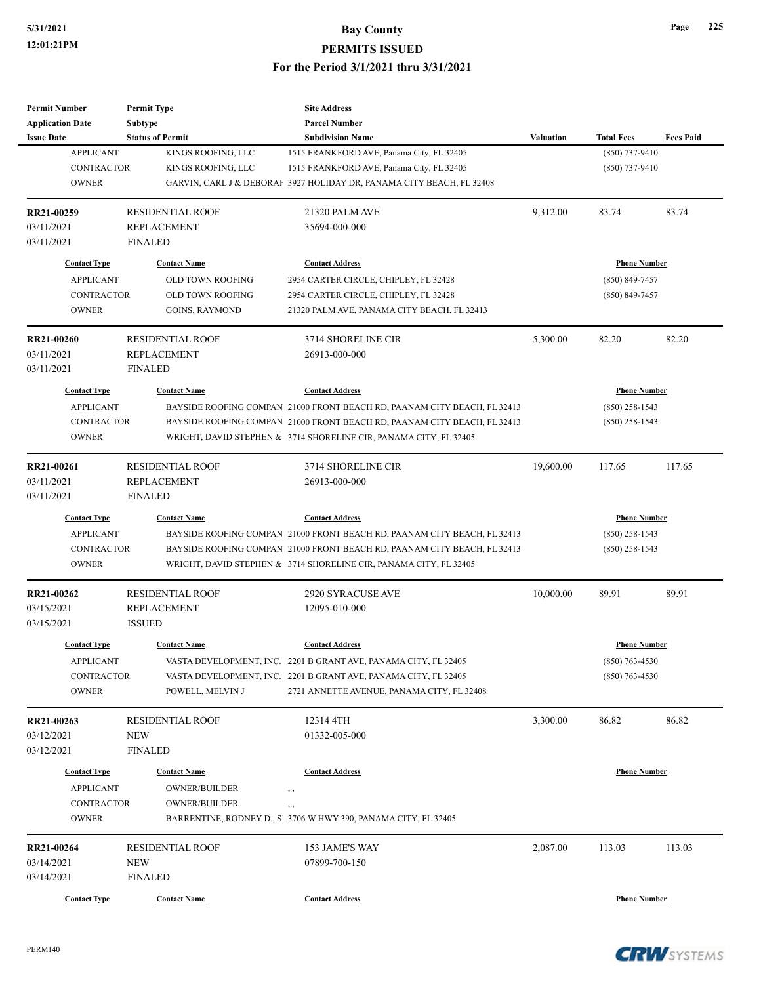| <b>Permit Number</b>    | <b>Permit Type</b>      | <b>Site Address</b>                                                      |                  |                     |                  |
|-------------------------|-------------------------|--------------------------------------------------------------------------|------------------|---------------------|------------------|
| <b>Application Date</b> | Subtype                 | <b>Parcel Number</b>                                                     |                  |                     |                  |
| <b>Issue Date</b>       | <b>Status of Permit</b> | <b>Subdivision Name</b>                                                  | <b>Valuation</b> | <b>Total Fees</b>   | <b>Fees Paid</b> |
| <b>APPLICANT</b>        | KINGS ROOFING, LLC      | 1515 FRANKFORD AVE, Panama City, FL 32405                                |                  | (850) 737-9410      |                  |
| <b>CONTRACTOR</b>       | KINGS ROOFING, LLC      | 1515 FRANKFORD AVE, Panama City, FL 32405                                |                  | $(850)$ 737-9410    |                  |
| <b>OWNER</b>            |                         | GARVIN, CARL J & DEBORAH 3927 HOLIDAY DR, PANAMA CITY BEACH, FL 32408    |                  |                     |                  |
| RR21-00259              | <b>RESIDENTIAL ROOF</b> | 21320 PALM AVE                                                           | 9,312.00         | 83.74               | 83.74            |
| 03/11/2021              | <b>REPLACEMENT</b>      | 35694-000-000                                                            |                  |                     |                  |
| 03/11/2021              | <b>FINALED</b>          |                                                                          |                  |                     |                  |
| <b>Contact Type</b>     | <b>Contact Name</b>     | <b>Contact Address</b>                                                   |                  | <b>Phone Number</b> |                  |
| <b>APPLICANT</b>        | OLD TOWN ROOFING        | 2954 CARTER CIRCLE, CHIPLEY, FL 32428                                    |                  | $(850) 849 - 7457$  |                  |
| <b>CONTRACTOR</b>       | OLD TOWN ROOFING        | 2954 CARTER CIRCLE, CHIPLEY, FL 32428                                    |                  | $(850)$ 849-7457    |                  |
| <b>OWNER</b>            | <b>GOINS, RAYMOND</b>   | 21320 PALM AVE, PANAMA CITY BEACH, FL 32413                              |                  |                     |                  |
| RR21-00260              | <b>RESIDENTIAL ROOF</b> | 3714 SHORELINE CIR                                                       | 5,300.00         | 82.20               | 82.20            |
| 03/11/2021              | <b>REPLACEMENT</b>      | 26913-000-000                                                            |                  |                     |                  |
| 03/11/2021              | <b>FINALED</b>          |                                                                          |                  |                     |                  |
| <b>Contact Type</b>     | <b>Contact Name</b>     | <b>Contact Address</b>                                                   |                  | <b>Phone Number</b> |                  |
| <b>APPLICANT</b>        |                         | BAYSIDE ROOFING COMPAN 21000 FRONT BEACH RD, PAANAM CITY BEACH, FL 32413 |                  | $(850)$ 258-1543    |                  |
| <b>CONTRACTOR</b>       |                         | BAYSIDE ROOFING COMPAN 21000 FRONT BEACH RD, PAANAM CITY BEACH, FL 32413 |                  | $(850)$ 258-1543    |                  |
| <b>OWNER</b>            |                         | WRIGHT, DAVID STEPHEN & 3714 SHORELINE CIR, PANAMA CITY, FL 32405        |                  |                     |                  |
|                         |                         |                                                                          |                  |                     |                  |
| RR21-00261              | <b>RESIDENTIAL ROOF</b> | 3714 SHORELINE CIR                                                       | 19,600.00        | 117.65              | 117.65           |
| 03/11/2021              | <b>REPLACEMENT</b>      | 26913-000-000                                                            |                  |                     |                  |
| 03/11/2021              | <b>FINALED</b>          |                                                                          |                  |                     |                  |
| <b>Contact Type</b>     | <b>Contact Name</b>     | <b>Contact Address</b>                                                   |                  | <b>Phone Number</b> |                  |
| <b>APPLICANT</b>        |                         | BAYSIDE ROOFING COMPAN 21000 FRONT BEACH RD, PAANAM CITY BEACH, FL 32413 |                  | $(850)$ 258-1543    |                  |
| <b>CONTRACTOR</b>       |                         | BAYSIDE ROOFING COMPAN 21000 FRONT BEACH RD, PAANAM CITY BEACH, FL 32413 |                  | $(850)$ 258-1543    |                  |
| <b>OWNER</b>            |                         | WRIGHT, DAVID STEPHEN & 3714 SHORELINE CIR, PANAMA CITY, FL 32405        |                  |                     |                  |
| RR21-00262              | <b>RESIDENTIAL ROOF</b> | <b>2920 SYRACUSE AVE</b>                                                 | 10,000.00        | 89.91               | 89.91            |
| 03/15/2021              | <b>REPLACEMENT</b>      | 12095-010-000                                                            |                  |                     |                  |
| 03/15/2021              | <b>ISSUED</b>           |                                                                          |                  |                     |                  |
| <b>Contact Type</b>     | <b>Contact Name</b>     | <b>Contact Address</b>                                                   |                  | <b>Phone Number</b> |                  |
| <b>APPLICANT</b>        |                         | VASTA DEVELOPMENT, INC.   2201 B GRANT AVE, PANAMA CITY, FL 32405        |                  | $(850)$ 763-4530    |                  |
| CONTRACTOR              |                         | VASTA DEVELOPMENT, INC. 2201 B GRANT AVE, PANAMA CITY, FL 32405          |                  | $(850)$ 763-4530    |                  |
| <b>OWNER</b>            | POWELL, MELVIN J        | 2721 ANNETTE AVENUE, PANAMA CITY, FL 32408                               |                  |                     |                  |
| RR21-00263              | <b>RESIDENTIAL ROOF</b> | 12314 4TH                                                                | 3,300.00         | 86.82               | 86.82            |
| 03/12/2021              | <b>NEW</b>              | 01332-005-000                                                            |                  |                     |                  |
| 03/12/2021              | <b>FINALED</b>          |                                                                          |                  |                     |                  |
| <b>Contact Type</b>     | <b>Contact Name</b>     | <b>Contact Address</b>                                                   |                  | <b>Phone Number</b> |                  |
| <b>APPLICANT</b>        | OWNER/BUILDER           | , ,                                                                      |                  |                     |                  |
| CONTRACTOR              | <b>OWNER/BUILDER</b>    | , ,                                                                      |                  |                     |                  |
| <b>OWNER</b>            |                         | BARRENTINE, RODNEY D., SI 3706 W HWY 390, PANAMA CITY, FL 32405          |                  |                     |                  |
| RR21-00264              | <b>RESIDENTIAL ROOF</b> | 153 JAME'S WAY                                                           | 2,087.00         | 113.03              | 113.03           |
| 03/14/2021              | <b>NEW</b>              | 07899-700-150                                                            |                  |                     |                  |
| 03/14/2021              | <b>FINALED</b>          |                                                                          |                  |                     |                  |
|                         |                         |                                                                          |                  |                     |                  |

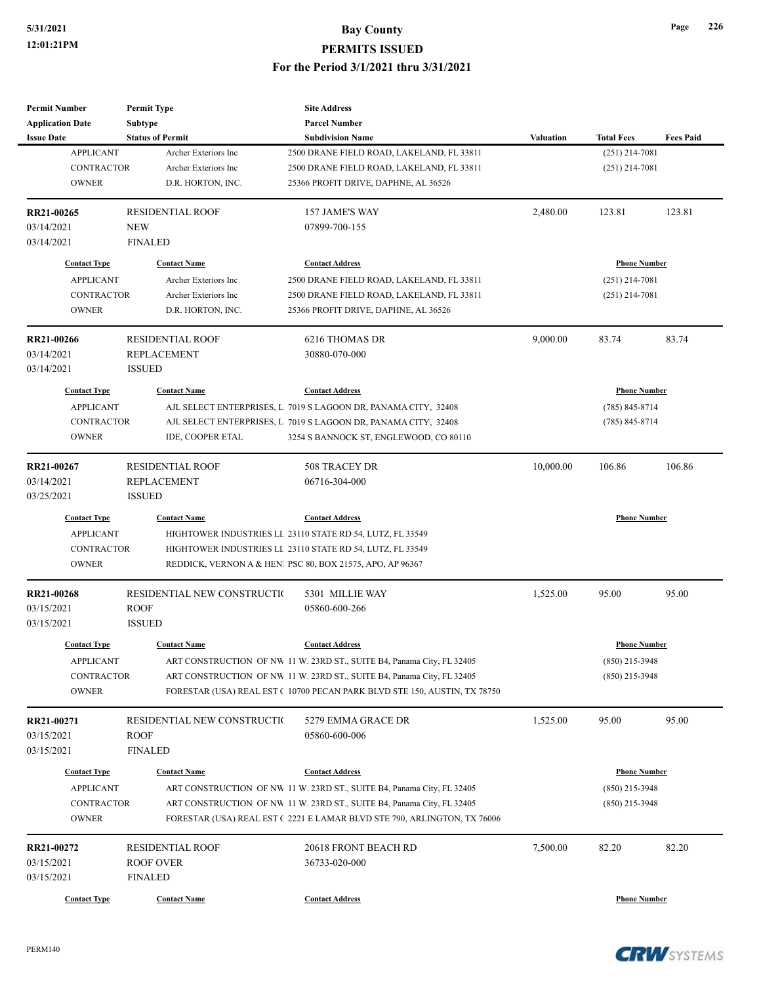| <b>Permit Number</b>    | <b>Permit Type</b>          | <b>Site Address</b>                                                       |           |                     |                  |
|-------------------------|-----------------------------|---------------------------------------------------------------------------|-----------|---------------------|------------------|
| <b>Application Date</b> | <b>Subtype</b>              | <b>Parcel Number</b>                                                      |           |                     |                  |
| <b>Issue Date</b>       | <b>Status of Permit</b>     | <b>Subdivision Name</b>                                                   | Valuation | <b>Total Fees</b>   | <b>Fees Paid</b> |
| <b>APPLICANT</b>        | Archer Exteriors Inc        | 2500 DRANE FIELD ROAD, LAKELAND, FL 33811                                 |           | $(251)$ 214-7081    |                  |
| <b>CONTRACTOR</b>       | Archer Exteriors Inc        | 2500 DRANE FIELD ROAD, LAKELAND, FL 33811                                 |           | $(251)$ 214-7081    |                  |
| <b>OWNER</b>            | D.R. HORTON, INC.           | 25366 PROFIT DRIVE, DAPHNE, AL 36526                                      |           |                     |                  |
| RR21-00265              | <b>RESIDENTIAL ROOF</b>     | 157 JAME'S WAY                                                            | 2,480.00  | 123.81              | 123.81           |
| 03/14/2021              | <b>NEW</b>                  | 07899-700-155                                                             |           |                     |                  |
| 03/14/2021              | <b>FINALED</b>              |                                                                           |           |                     |                  |
| <b>Contact Type</b>     | <b>Contact Name</b>         | <b>Contact Address</b>                                                    |           | <b>Phone Number</b> |                  |
| <b>APPLICANT</b>        | Archer Exteriors Inc        | 2500 DRANE FIELD ROAD, LAKELAND, FL 33811                                 |           | $(251)$ 214-7081    |                  |
| <b>CONTRACTOR</b>       | Archer Exteriors Inc        | 2500 DRANE FIELD ROAD, LAKELAND, FL 33811                                 |           | $(251)$ 214-7081    |                  |
| <b>OWNER</b>            | D.R. HORTON, INC.           | 25366 PROFIT DRIVE, DAPHNE, AL 36526                                      |           |                     |                  |
| RR21-00266              | <b>RESIDENTIAL ROOF</b>     | 6216 THOMAS DR                                                            | 9,000.00  | 83.74               | 83.74            |
| 03/14/2021              | <b>REPLACEMENT</b>          | 30880-070-000                                                             |           |                     |                  |
| 03/14/2021              | <b>ISSUED</b>               |                                                                           |           |                     |                  |
| <b>Contact Type</b>     | <b>Contact Name</b>         | <b>Contact Address</b>                                                    |           | <b>Phone Number</b> |                  |
| <b>APPLICANT</b>        |                             | AJL SELECT ENTERPRISES, L 7019 S LAGOON DR, PANAMA CITY, 32408            |           | $(785) 845 - 8714$  |                  |
| <b>CONTRACTOR</b>       |                             | AJL SELECT ENTERPRISES, L 7019 S LAGOON DR, PANAMA CITY, 32408            |           | $(785) 845 - 8714$  |                  |
| <b>OWNER</b>            | IDE, COOPER ETAL            | 3254 S BANNOCK ST, ENGLEWOOD, CO 80110                                    |           |                     |                  |
|                         |                             |                                                                           |           |                     |                  |
| RR21-00267              | <b>RESIDENTIAL ROOF</b>     | 508 TRACEY DR                                                             | 10,000.00 | 106.86              | 106.86           |
| 03/14/2021              | <b>REPLACEMENT</b>          | 06716-304-000                                                             |           |                     |                  |
| 03/25/2021              | <b>ISSUED</b>               |                                                                           |           |                     |                  |
| <b>Contact Type</b>     | <b>Contact Name</b>         | <b>Contact Address</b>                                                    |           | <b>Phone Number</b> |                  |
| <b>APPLICANT</b>        |                             | HIGHTOWER INDUSTRIES LL 23110 STATE RD 54, LUTZ, FL 33549                 |           |                     |                  |
| <b>CONTRACTOR</b>       |                             | HIGHTOWER INDUSTRIES LL 23110 STATE RD 54, LUTZ, FL 33549                 |           |                     |                  |
| <b>OWNER</b>            |                             | REDDICK, VERNON A & HEN: PSC 80, BOX 21575, APO, AP 96367                 |           |                     |                  |
| RR21-00268              | RESIDENTIAL NEW CONSTRUCTIO | 5301 MILLIE WAY                                                           | 1,525.00  | 95.00               | 95.00            |
| 03/15/2021              | <b>ROOF</b>                 | 05860-600-266                                                             |           |                     |                  |
| 03/15/2021              | <b>ISSUED</b>               |                                                                           |           |                     |                  |
| <b>Contact Type</b>     | <b>Contact Name</b>         | <b>Contact Address</b>                                                    |           | <b>Phone Number</b> |                  |
| <b>APPLICANT</b>        |                             | ART CONSTRUCTION OF NW 11 W. 23RD ST., SUITE B4, Panama City, FL 32405    |           | (850) 215-3948      |                  |
| CONTRACTOR              |                             | ART CONSTRUCTION OF NW 11 W. 23RD ST., SUITE B4, Panama City, FL 32405    |           | $(850)$ 215-3948    |                  |
| <b>OWNER</b>            |                             | FORESTAR (USA) REAL EST ( 10700 PECAN PARK BLVD STE 150, AUSTIN, TX 78750 |           |                     |                  |
| RR21-00271              | RESIDENTIAL NEW CONSTRUCTIO | 5279 EMMA GRACE DR                                                        | 1,525.00  | 95.00               | 95.00            |
| 03/15/2021              | <b>ROOF</b>                 | 05860-600-006                                                             |           |                     |                  |
| 03/15/2021              | <b>FINALED</b>              |                                                                           |           |                     |                  |
|                         |                             |                                                                           |           |                     |                  |
| <b>Contact Type</b>     | <b>Contact Name</b>         | <b>Contact Address</b>                                                    |           | <b>Phone Number</b> |                  |
| <b>APPLICANT</b>        |                             | ART CONSTRUCTION OF NW 11 W. 23RD ST., SUITE B4, Panama City, FL 32405    |           | $(850)$ 215-3948    |                  |
| CONTRACTOR              |                             | ART CONSTRUCTION OF NW 11 W. 23RD ST., SUITE B4, Panama City, FL 32405    |           | $(850)$ 215-3948    |                  |
| <b>OWNER</b>            |                             | FORESTAR (USA) REAL EST (2221 E LAMAR BLVD STE 790, ARLINGTON, TX 76006   |           |                     |                  |
| RR21-00272              | <b>RESIDENTIAL ROOF</b>     | 20618 FRONT BEACH RD                                                      | 7,500.00  | 82.20               | 82.20            |
| 03/15/2021              | <b>ROOF OVER</b>            | 36733-020-000                                                             |           |                     |                  |
| 03/15/2021              | <b>FINALED</b>              |                                                                           |           |                     |                  |
| <b>Contact Type</b>     | <b>Contact Name</b>         | <b>Contact Address</b>                                                    |           | <b>Phone Number</b> |                  |
|                         |                             |                                                                           |           |                     |                  |

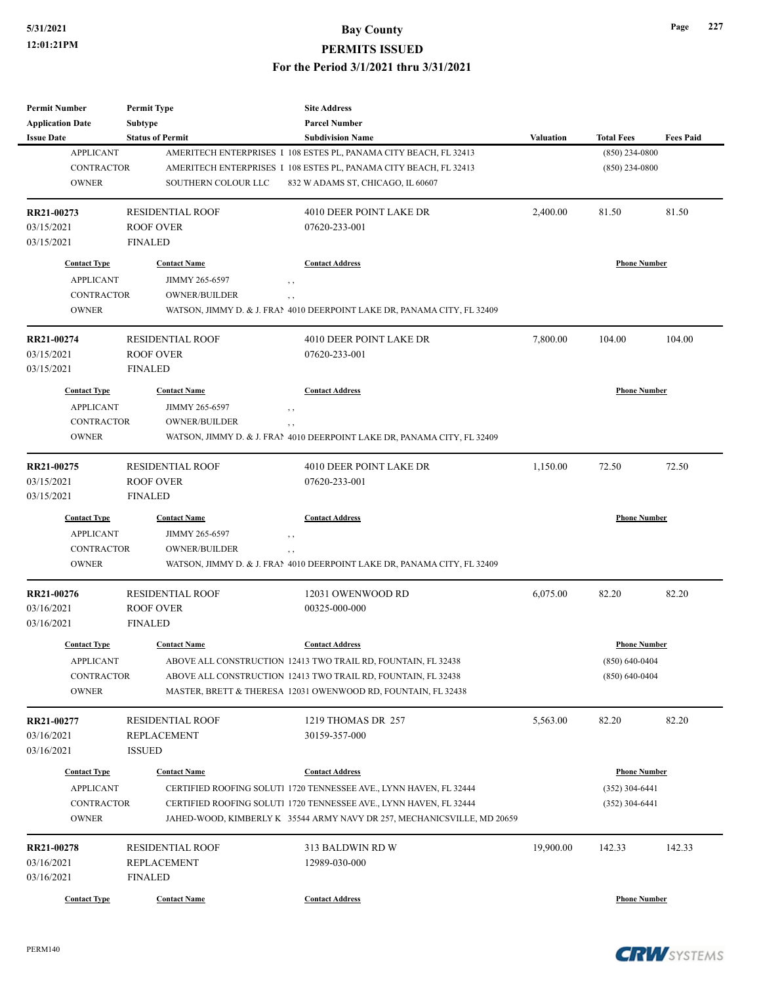| <b>Permit Number</b>    | <b>Permit Type</b>      | <b>Site Address</b>                                                      |                  |                     |                  |
|-------------------------|-------------------------|--------------------------------------------------------------------------|------------------|---------------------|------------------|
| <b>Application Date</b> | <b>Subtype</b>          | <b>Parcel Number</b>                                                     |                  |                     |                  |
| <b>Issue Date</b>       | <b>Status of Permit</b> | <b>Subdivision Name</b>                                                  | <b>Valuation</b> | <b>Total Fees</b>   | <b>Fees Paid</b> |
| <b>APPLICANT</b>        |                         | AMERITECH ENTERPRISES I 108 ESTES PL, PANAMA CITY BEACH, FL 32413        |                  | $(850)$ 234-0800    |                  |
| <b>CONTRACTOR</b>       |                         | AMERITECH ENTERPRISES I 108 ESTES PL, PANAMA CITY BEACH, FL 32413        |                  | $(850)$ 234-0800    |                  |
| <b>OWNER</b>            | SOUTHERN COLOUR LLC     | 832 W ADAMS ST, CHICAGO, IL 60607                                        |                  |                     |                  |
| RR21-00273              | <b>RESIDENTIAL ROOF</b> | 4010 DEER POINT LAKE DR                                                  | 2,400.00         | 81.50               | 81.50            |
| 03/15/2021              | <b>ROOF OVER</b>        | 07620-233-001                                                            |                  |                     |                  |
| 03/15/2021              | <b>FINALED</b>          |                                                                          |                  |                     |                  |
| <b>Contact Type</b>     | <b>Contact Name</b>     | <b>Contact Address</b>                                                   |                  | <b>Phone Number</b> |                  |
| <b>APPLICANT</b>        | JIMMY 265-6597          | , ,                                                                      |                  |                     |                  |
| <b>CONTRACTOR</b>       | OWNER/BUILDER           | , ,                                                                      |                  |                     |                  |
| <b>OWNER</b>            |                         | WATSON, JIMMY D. & J. FRAN 4010 DEERPOINT LAKE DR, PANAMA CITY, FL 32409 |                  |                     |                  |
| RR21-00274              | <b>RESIDENTIAL ROOF</b> | 4010 DEER POINT LAKE DR                                                  | 7,800.00         | 104.00              | 104.00           |
| 03/15/2021              | <b>ROOF OVER</b>        | 07620-233-001                                                            |                  |                     |                  |
| 03/15/2021              | <b>FINALED</b>          |                                                                          |                  |                     |                  |
| <b>Contact Type</b>     | <b>Contact Name</b>     | <b>Contact Address</b>                                                   |                  | <b>Phone Number</b> |                  |
| <b>APPLICANT</b>        | JIMMY 265-6597          | , ,                                                                      |                  |                     |                  |
| <b>CONTRACTOR</b>       | <b>OWNER/BUILDER</b>    | $, \, ,$                                                                 |                  |                     |                  |
| <b>OWNER</b>            |                         | WATSON, JIMMY D. & J. FRAN 4010 DEERPOINT LAKE DR, PANAMA CITY, FL 32409 |                  |                     |                  |
| RR21-00275              | <b>RESIDENTIAL ROOF</b> | 4010 DEER POINT LAKE DR                                                  | 1,150.00         | 72.50               | 72.50            |
| 03/15/2021              | <b>ROOF OVER</b>        | 07620-233-001                                                            |                  |                     |                  |
| 03/15/2021              | <b>FINALED</b>          |                                                                          |                  |                     |                  |
| <b>Contact Type</b>     | <b>Contact Name</b>     | <b>Contact Address</b>                                                   |                  | <b>Phone Number</b> |                  |
| <b>APPLICANT</b>        | JIMMY 265-6597          |                                                                          |                  |                     |                  |
| <b>CONTRACTOR</b>       | <b>OWNER/BUILDER</b>    | , ,<br>$, \, ,$                                                          |                  |                     |                  |
| <b>OWNER</b>            |                         | WATSON, JIMMY D. & J. FRAN 4010 DEERPOINT LAKE DR, PANAMA CITY, FL 32409 |                  |                     |                  |
| RR21-00276              | <b>RESIDENTIAL ROOF</b> | 12031 OWENWOOD RD                                                        | 6,075.00         | 82.20               | 82.20            |
| 03/16/2021              | <b>ROOF OVER</b>        | 00325-000-000                                                            |                  |                     |                  |
| 03/16/2021              | <b>FINALED</b>          |                                                                          |                  |                     |                  |
| <b>Contact Type</b>     | <b>Contact Name</b>     | <b>Contact Address</b>                                                   |                  | <b>Phone Number</b> |                  |
| <b>APPLICANT</b>        |                         | ABOVE ALL CONSTRUCTION 12413 TWO TRAIL RD, FOUNTAIN, FL 32438            |                  | $(850) 640 - 0404$  |                  |
| CONTRACTOR              |                         | ABOVE ALL CONSTRUCTION 12413 TWO TRAIL RD, FOUNTAIN, FL 32438            |                  | $(850) 640 - 0404$  |                  |
| <b>OWNER</b>            |                         | MASTER, BRETT & THERESA 12031 OWENWOOD RD, FOUNTAIN, FL 32438            |                  |                     |                  |
| RR21-00277              | <b>RESIDENTIAL ROOF</b> | 1219 THOMAS DR 257                                                       | 5,563.00         | 82.20               | 82.20            |
| 03/16/2021              | REPLACEMENT             | 30159-357-000                                                            |                  |                     |                  |
| 03/16/2021              | <b>ISSUED</b>           |                                                                          |                  |                     |                  |
| <b>Contact Type</b>     | <b>Contact Name</b>     | <b>Contact Address</b>                                                   |                  | <b>Phone Number</b> |                  |
| <b>APPLICANT</b>        |                         | CERTIFIED ROOFING SOLUTI 1720 TENNESSEE AVE., LYNN HAVEN, FL 32444       |                  | $(352)$ 304-6441    |                  |
| <b>CONTRACTOR</b>       |                         | CERTIFIED ROOFING SOLUTI 1720 TENNESSEE AVE., LYNN HAVEN, FL 32444       |                  | $(352)$ 304-6441    |                  |
| <b>OWNER</b>            |                         | JAHED-WOOD, KIMBERLY K 35544 ARMY NAVY DR 257, MECHANICSVILLE, MD 20659  |                  |                     |                  |
| RR21-00278              | <b>RESIDENTIAL ROOF</b> | 313 BALDWIN RD W                                                         | 19,900.00        | 142.33              | 142.33           |
| 03/16/2021              | <b>REPLACEMENT</b>      | 12989-030-000                                                            |                  |                     |                  |
| 03/16/2021              | <b>FINALED</b>          |                                                                          |                  |                     |                  |
| <b>Contact Type</b>     | <b>Contact Name</b>     | <b>Contact Address</b>                                                   |                  | <b>Phone Number</b> |                  |
|                         |                         |                                                                          |                  |                     |                  |

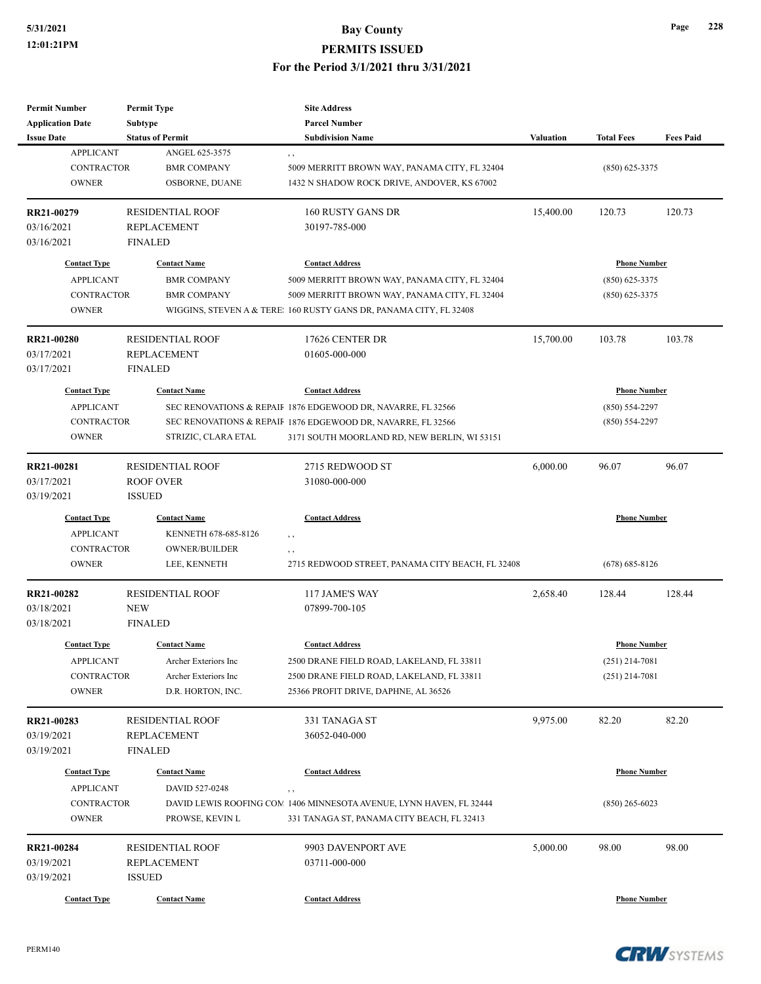| <b>Permit Number</b>    | <b>Permit Type</b>      | <b>Site Address</b>                                                 |                  |                     |                  |
|-------------------------|-------------------------|---------------------------------------------------------------------|------------------|---------------------|------------------|
| <b>Application Date</b> | <b>Subtype</b>          | <b>Parcel Number</b>                                                |                  |                     |                  |
| <b>Issue Date</b>       | <b>Status of Permit</b> | <b>Subdivision Name</b>                                             | <b>Valuation</b> | <b>Total Fees</b>   | <b>Fees Paid</b> |
| <b>APPLICANT</b>        | ANGEL 625-3575          | , ,                                                                 |                  |                     |                  |
| <b>CONTRACTOR</b>       | <b>BMR COMPANY</b>      | 5009 MERRITT BROWN WAY, PANAMA CITY, FL 32404                       |                  | $(850)$ 625-3375    |                  |
| <b>OWNER</b>            | OSBORNE, DUANE          | 1432 N SHADOW ROCK DRIVE, ANDOVER, KS 67002                         |                  |                     |                  |
|                         |                         |                                                                     |                  |                     |                  |
| RR21-00279              | <b>RESIDENTIAL ROOF</b> | 160 RUSTY GANS DR                                                   | 15,400.00        | 120.73              | 120.73           |
| 03/16/2021              | <b>REPLACEMENT</b>      | 30197-785-000                                                       |                  |                     |                  |
| 03/16/2021              | <b>FINALED</b>          |                                                                     |                  |                     |                  |
| <b>Contact Type</b>     | <b>Contact Name</b>     | <b>Contact Address</b>                                              |                  | <b>Phone Number</b> |                  |
| <b>APPLICANT</b>        | <b>BMR COMPANY</b>      | 5009 MERRITT BROWN WAY, PANAMA CITY, FL 32404                       |                  | $(850)$ 625-3375    |                  |
| <b>CONTRACTOR</b>       | <b>BMR COMPANY</b>      | 5009 MERRITT BROWN WAY, PANAMA CITY, FL 32404                       |                  | $(850)$ 625-3375    |                  |
| <b>OWNER</b>            |                         | WIGGINS, STEVEN A & TERE: 160 RUSTY GANS DR, PANAMA CITY, FL 32408  |                  |                     |                  |
|                         |                         |                                                                     |                  |                     |                  |
| RR21-00280              | <b>RESIDENTIAL ROOF</b> | 17626 CENTER DR                                                     | 15,700.00        | 103.78              | 103.78           |
| 03/17/2021              | <b>REPLACEMENT</b>      | 01605-000-000                                                       |                  |                     |                  |
| 03/17/2021              | <b>FINALED</b>          |                                                                     |                  |                     |                  |
|                         |                         |                                                                     |                  |                     |                  |
| <b>Contact Type</b>     | <b>Contact Name</b>     | <b>Contact Address</b>                                              |                  | <b>Phone Number</b> |                  |
| <b>APPLICANT</b>        |                         | SEC RENOVATIONS & REPAIF 1876 EDGEWOOD DR, NAVARRE, FL 32566        |                  | $(850) 554 - 2297$  |                  |
| <b>CONTRACTOR</b>       |                         | SEC RENOVATIONS & REPAIF 1876 EDGEWOOD DR, NAVARRE, FL 32566        |                  | $(850) 554-2297$    |                  |
| <b>OWNER</b>            | STRIZIC, CLARA ETAL     | 3171 SOUTH MOORLAND RD, NEW BERLIN, WI 53151                        |                  |                     |                  |
| RR21-00281              | <b>RESIDENTIAL ROOF</b> | 2715 REDWOOD ST                                                     | 6,000.00         | 96.07               | 96.07            |
| 03/17/2021              | <b>ROOF OVER</b>        | 31080-000-000                                                       |                  |                     |                  |
| 03/19/2021              | <b>ISSUED</b>           |                                                                     |                  |                     |                  |
| <b>Contact Type</b>     | <b>Contact Name</b>     | <b>Contact Address</b>                                              |                  | <b>Phone Number</b> |                  |
|                         |                         |                                                                     |                  |                     |                  |
| <b>APPLICANT</b>        | KENNETH 678-685-8126    | , ,                                                                 |                  |                     |                  |
| <b>CONTRACTOR</b>       | <b>OWNER/BUILDER</b>    | , ,                                                                 |                  |                     |                  |
| <b>OWNER</b>            | LEE, KENNETH            | 2715 REDWOOD STREET, PANAMA CITY BEACH, FL 32408                    |                  | $(678) 685 - 8126$  |                  |
| RR21-00282              | <b>RESIDENTIAL ROOF</b> | 117 JAME'S WAY                                                      | 2,658.40         | 128.44              | 128.44           |
| 03/18/2021              | <b>NEW</b>              | 07899-700-105                                                       |                  |                     |                  |
| 03/18/2021              | <b>FINALED</b>          |                                                                     |                  |                     |                  |
|                         | <b>Contact Name</b>     |                                                                     |                  |                     |                  |
| <b>Contact Type</b>     |                         | <b>Contact Address</b>                                              |                  | <b>Phone Number</b> |                  |
| <b>APPLICANT</b>        | Archer Exteriors Inc    | 2500 DRANE FIELD ROAD, LAKELAND, FL 33811                           |                  | $(251)$ 214-7081    |                  |
| CONTRACTOR              | Archer Exteriors Inc    | 2500 DRANE FIELD ROAD, LAKELAND, FL 33811                           |                  | $(251)$ 214-7081    |                  |
| <b>OWNER</b>            | D.R. HORTON, INC.       | 25366 PROFIT DRIVE, DAPHNE, AL 36526                                |                  |                     |                  |
| RR21-00283              | <b>RESIDENTIAL ROOF</b> | 331 TANAGA ST                                                       | 9,975.00         | 82.20               | 82.20            |
| 03/19/2021              | REPLACEMENT             | 36052-040-000                                                       |                  |                     |                  |
| 03/19/2021              | <b>FINALED</b>          |                                                                     |                  |                     |                  |
|                         |                         |                                                                     |                  |                     |                  |
| <b>Contact Type</b>     | <b>Contact Name</b>     | <b>Contact Address</b>                                              |                  | <b>Phone Number</b> |                  |
| <b>APPLICANT</b>        | DAVID 527-0248          | ,,                                                                  |                  |                     |                  |
| <b>CONTRACTOR</b>       |                         | DAVID LEWIS ROOFING COM 1406 MINNESOTA AVENUE, LYNN HAVEN, FL 32444 |                  | $(850)$ 265-6023    |                  |
| <b>OWNER</b>            | PROWSE, KEVIN L         | 331 TANAGA ST, PANAMA CITY BEACH, FL 32413                          |                  |                     |                  |
| RR21-00284              | <b>RESIDENTIAL ROOF</b> | 9903 DAVENPORT AVE                                                  | 5,000.00         | 98.00               | 98.00            |
| 03/19/2021              | REPLACEMENT             | 03711-000-000                                                       |                  |                     |                  |
| 03/19/2021              | <b>ISSUED</b>           |                                                                     |                  |                     |                  |
|                         |                         |                                                                     |                  |                     |                  |
| <b>Contact Type</b>     | <b>Contact Name</b>     | <b>Contact Address</b>                                              |                  | <b>Phone Number</b> |                  |



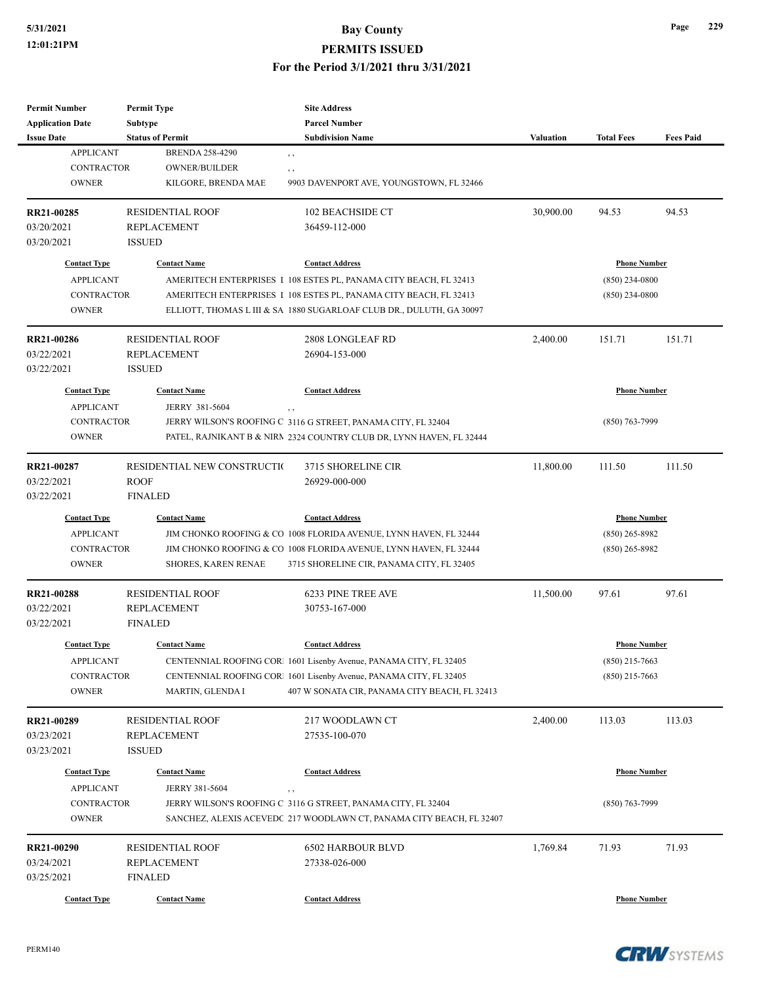# **5/31/2021 Bay County**

#### **PERMITS ISSUED**

#### **For the Period 3/1/2021 thru 3/31/2021**

| <b>Permit Number</b>                    | <b>Permit Type</b>                    | <b>Site Address</b>                                                  |                     |                     |                  |
|-----------------------------------------|---------------------------------------|----------------------------------------------------------------------|---------------------|---------------------|------------------|
| <b>Application Date</b>                 | Subtype                               | <b>Parcel Number</b>                                                 |                     |                     |                  |
| <b>Issue Date</b>                       | <b>Status of Permit</b>               | <b>Subdivision Name</b>                                              | <b>Valuation</b>    | <b>Total Fees</b>   | <b>Fees Paid</b> |
| <b>APPLICANT</b>                        | <b>BRENDA 258-4290</b>                | , ,                                                                  |                     |                     |                  |
| <b>CONTRACTOR</b>                       | <b>OWNER/BUILDER</b>                  | , ,                                                                  |                     |                     |                  |
| <b>OWNER</b>                            | KILGORE, BRENDA MAE                   | 9903 DAVENPORT AVE, YOUNGSTOWN, FL 32466                             |                     |                     |                  |
| RR21-00285                              | <b>RESIDENTIAL ROOF</b>               | 102 BEACHSIDE CT                                                     | 30,900.00           | 94.53               | 94.53            |
| 03/20/2021                              | <b>REPLACEMENT</b>                    | 36459-112-000                                                        |                     |                     |                  |
| 03/20/2021                              | <b>ISSUED</b>                         |                                                                      |                     |                     |                  |
| <b>Contact Type</b>                     | <b>Contact Name</b>                   | <b>Contact Address</b>                                               |                     | <b>Phone Number</b> |                  |
| <b>APPLICANT</b>                        |                                       | AMERITECH ENTERPRISES I 108 ESTES PL, PANAMA CITY BEACH, FL 32413    |                     | $(850)$ 234-0800    |                  |
| <b>CONTRACTOR</b>                       |                                       | AMERITECH ENTERPRISES I 108 ESTES PL, PANAMA CITY BEACH, FL 32413    |                     | $(850)$ 234-0800    |                  |
| <b>OWNER</b>                            |                                       | ELLIOTT, THOMAS L III & SA 1880 SUGARLOAF CLUB DR., DULUTH, GA 30097 |                     |                     |                  |
| RR21-00286                              | <b>RESIDENTIAL ROOF</b>               | 2808 LONGLEAF RD                                                     | 2,400.00            | 151.71              | 151.71           |
| 03/22/2021                              | <b>REPLACEMENT</b>                    | 26904-153-000                                                        |                     |                     |                  |
| 03/22/2021                              | <b>ISSUED</b>                         |                                                                      |                     |                     |                  |
| <b>Contact Type</b>                     | <b>Contact Name</b>                   | <b>Contact Address</b>                                               |                     | <b>Phone Number</b> |                  |
| <b>APPLICANT</b>                        | JERRY 381-5604                        | , ,                                                                  |                     |                     |                  |
| <b>CONTRACTOR</b>                       |                                       | JERRY WILSON'S ROOFING C 3116 G STREET, PANAMA CITY, FL 32404        |                     | $(850)$ 763-7999    |                  |
| <b>OWNER</b>                            |                                       | PATEL, RAJNIKANT B & NIRN 2324 COUNTRY CLUB DR, LYNN HAVEN, FL 32444 |                     |                     |                  |
| RR21-00287                              | RESIDENTIAL NEW CONSTRUCTIO           | 3715 SHORELINE CIR                                                   | 11,800.00           | 111.50              | 111.50           |
| 03/22/2021                              | <b>ROOF</b>                           | 26929-000-000                                                        |                     |                     |                  |
| 03/22/2021                              | <b>FINALED</b>                        |                                                                      |                     |                     |                  |
| <b>Contact Type</b>                     | <b>Contact Name</b>                   | <b>Contact Address</b>                                               | <b>Phone Number</b> |                     |                  |
| <b>APPLICANT</b>                        |                                       | JIM CHONKO ROOFING & CO 1008 FLORIDA AVENUE, LYNN HAVEN, FL 32444    |                     | $(850)$ 265-8982    |                  |
| <b>CONTRACTOR</b>                       |                                       | JIM CHONKO ROOFING & CO 1008 FLORIDA AVENUE, LYNN HAVEN, FL 32444    |                     | $(850)$ 265-8982    |                  |
| <b>OWNER</b>                            | <b>SHORES, KAREN RENAE</b>            | 3715 SHORELINE CIR, PANAMA CITY, FL 32405                            |                     |                     |                  |
| RR21-00288                              | <b>RESIDENTIAL ROOF</b>               | 6233 PINE TREE AVE                                                   | 11,500.00           | 97.61               | 97.61            |
| 03/22/2021                              | <b>REPLACEMENT</b>                    | 30753-167-000                                                        |                     |                     |                  |
| 03/22/2021                              | <b>FINALED</b>                        |                                                                      |                     |                     |                  |
| <b>Contact Type</b>                     | <b>Contact Name</b>                   | <b>Contact Address</b>                                               |                     | <b>Phone Number</b> |                  |
| <b>APPLICANT</b>                        |                                       | CENTENNIAL ROOFING COR 1601 Lisenby Avenue, PANAMA CITY, FL 32405    |                     | $(850)$ 215-7663    |                  |
| <b>CONTRACTOR</b>                       |                                       | CENTENNIAL ROOFING COR 1601 Lisenby Avenue, PANAMA CITY, FL 32405    |                     | $(850)$ 215-7663    |                  |
| <b>OWNER</b>                            | MARTIN, GLENDA I                      | 407 W SONATA CIR, PANAMA CITY BEACH, FL 32413                        |                     |                     |                  |
| RR21-00289                              | <b>RESIDENTIAL ROOF</b>               | 217 WOODLAWN CT                                                      | 2,400.00            | 113.03              | 113.03           |
| 03/23/2021                              | REPLACEMENT                           | 27535-100-070                                                        |                     |                     |                  |
| 03/23/2021                              | <b>ISSUED</b>                         |                                                                      |                     |                     |                  |
|                                         |                                       |                                                                      |                     |                     |                  |
| <b>Contact Type</b><br><b>APPLICANT</b> | <b>Contact Name</b><br>JERRY 381-5604 | <b>Contact Address</b>                                               |                     | <b>Phone Number</b> |                  |
| <b>CONTRACTOR</b>                       |                                       | , ,<br>JERRY WILSON'S ROOFING C 3116 G STREET, PANAMA CITY, FL 32404 |                     | $(850)$ 763-7999    |                  |
| <b>OWNER</b>                            |                                       | SANCHEZ, ALEXIS ACEVEDC 217 WOODLAWN CT, PANAMA CITY BEACH, FL 32407 |                     |                     |                  |
|                                         |                                       |                                                                      |                     |                     |                  |
| RR21-00290                              | <b>RESIDENTIAL ROOF</b>               | <b>6502 HARBOUR BLVD</b>                                             | 1,769.84            | 71.93               | 71.93            |
| 03/24/2021                              | REPLACEMENT                           | 27338-026-000                                                        |                     |                     |                  |
| 03/25/2021                              | <b>FINALED</b>                        |                                                                      |                     |                     |                  |
| <b>Contact Type</b>                     | <b>Contact Name</b>                   | <b>Contact Address</b>                                               |                     | <b>Phone Number</b> |                  |



**Page 229**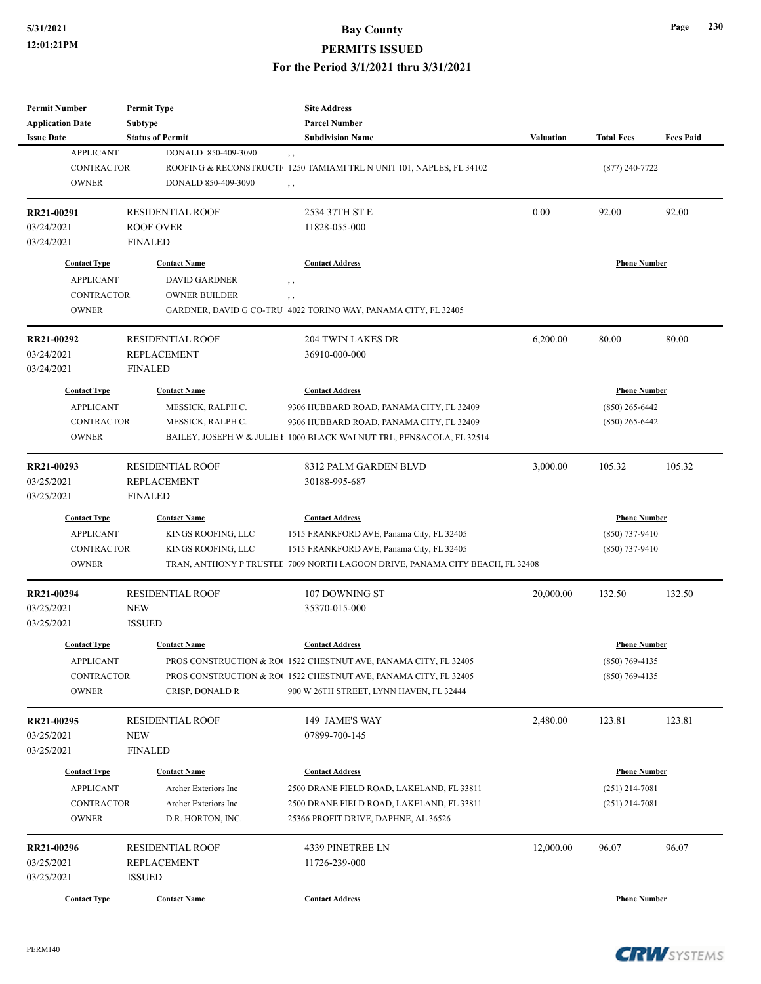#### **5/31/2021 Bay County PERMITS ISSUED**

#### **For the Period 3/1/2021 thru 3/31/2021**

| <b>Permit Number</b>                   | <b>Permit Type</b>      | <b>Site Address</b>                                                          |                     |                     |                  |
|----------------------------------------|-------------------------|------------------------------------------------------------------------------|---------------------|---------------------|------------------|
| <b>Application Date</b>                | Subtype                 | <b>Parcel Number</b>                                                         |                     |                     |                  |
| <b>Issue Date</b>                      | <b>Status of Permit</b> | <b>Subdivision Name</b>                                                      | <b>Valuation</b>    | <b>Total Fees</b>   | <b>Fees Paid</b> |
| <b>APPLICANT</b>                       | DONALD 850-409-3090     | $, \, ,$                                                                     |                     |                     |                  |
| <b>CONTRACTOR</b>                      |                         | ROOFING & RECONSTRUCTI 1250 TAMIAMI TRL N UNIT 101, NAPLES, FL 34102         |                     | $(877)$ 240-7722    |                  |
| <b>OWNER</b>                           | DONALD 850-409-3090     | , ,                                                                          |                     |                     |                  |
|                                        |                         |                                                                              |                     |                     |                  |
| RR21-00291                             | <b>RESIDENTIAL ROOF</b> | 2534 37TH ST E                                                               | 0.00                | 92.00               | 92.00            |
| 03/24/2021                             | <b>ROOF OVER</b>        | 11828-055-000                                                                |                     |                     |                  |
| 03/24/2021                             | <b>FINALED</b>          |                                                                              |                     |                     |                  |
| <b>Contact Type</b>                    | <b>Contact Name</b>     | <b>Contact Address</b>                                                       |                     | <b>Phone Number</b> |                  |
| <b>APPLICANT</b>                       | <b>DAVID GARDNER</b>    |                                                                              |                     |                     |                  |
| <b>CONTRACTOR</b>                      | <b>OWNER BUILDER</b>    | , ,                                                                          |                     |                     |                  |
| <b>OWNER</b>                           |                         | , ,<br>GARDNER, DAVID G CO-TRU 4022 TORINO WAY, PANAMA CITY, FL 32405        |                     |                     |                  |
|                                        |                         |                                                                              |                     |                     |                  |
| RR21-00292                             | <b>RESIDENTIAL ROOF</b> | 204 TWIN LAKES DR                                                            | 6,200.00            | 80.00               | 80.00            |
| 03/24/2021                             | <b>REPLACEMENT</b>      | 36910-000-000                                                                |                     |                     |                  |
| 03/24/2021                             | <b>FINALED</b>          |                                                                              |                     |                     |                  |
|                                        |                         |                                                                              |                     |                     |                  |
| <b>Contact Type</b>                    | <b>Contact Name</b>     | <b>Contact Address</b>                                                       |                     | <b>Phone Number</b> |                  |
| <b>APPLICANT</b>                       | MESSICK, RALPH C.       | 9306 HUBBARD ROAD, PANAMA CITY, FL 32409                                     |                     | (850) 265-6442      |                  |
| <b>CONTRACTOR</b>                      | MESSICK, RALPH C.       | 9306 HUBBARD ROAD, PANAMA CITY, FL 32409                                     |                     | (850) 265-6442      |                  |
| <b>OWNER</b>                           |                         | BAILEY, JOSEPH W & JULIE I 1000 BLACK WALNUT TRL, PENSACOLA, FL 32514        |                     |                     |                  |
| RR21-00293                             | <b>RESIDENTIAL ROOF</b> | 8312 PALM GARDEN BLVD                                                        | 3,000.00            | 105.32              | 105.32           |
| 03/25/2021                             | <b>REPLACEMENT</b>      | 30188-995-687                                                                |                     |                     |                  |
| 03/25/2021                             | <b>FINALED</b>          |                                                                              |                     |                     |                  |
|                                        |                         |                                                                              |                     |                     |                  |
| <b>Contact Type</b>                    | <b>Contact Name</b>     | <b>Contact Address</b>                                                       | <b>Phone Number</b> |                     |                  |
| <b>APPLICANT</b><br>KINGS ROOFING, LLC |                         | 1515 FRANKFORD AVE, Panama City, FL 32405                                    |                     | (850) 737-9410      |                  |
| <b>CONTRACTOR</b>                      | KINGS ROOFING, LLC      | 1515 FRANKFORD AVE, Panama City, FL 32405                                    |                     | (850) 737-9410      |                  |
| <b>OWNER</b>                           |                         | TRAN, ANTHONY P TRUSTEE 7009 NORTH LAGOON DRIVE, PANAMA CITY BEACH, FL 32408 |                     |                     |                  |
| RR21-00294                             | <b>RESIDENTIAL ROOF</b> | 107 DOWNING ST                                                               | 20,000.00           | 132.50              | 132.50           |
| 03/25/2021                             | <b>NEW</b>              | 35370-015-000                                                                |                     |                     |                  |
| 03/25/2021                             | <b>ISSUED</b>           |                                                                              |                     |                     |                  |
|                                        |                         |                                                                              |                     |                     |                  |
| <b>Contact Type</b>                    | <b>Contact Name</b>     | <b>Contact Address</b>                                                       |                     | <b>Phone Number</b> |                  |
| <b>APPLICANT</b>                       |                         | PROS CONSTRUCTION & RO( 1522 CHESTNUT AVE, PANAMA CITY, FL 32405             |                     | (850) 769-4135      |                  |
| CONTRACTOR                             |                         | PROS CONSTRUCTION & RO(1522 CHESTNUT AVE, PANAMA CITY, FL 32405              |                     | $(850)$ 769-4135    |                  |
| <b>OWNER</b>                           | CRISP, DONALD R         | 900 W 26TH STREET, LYNN HAVEN, FL 32444                                      |                     |                     |                  |
|                                        |                         |                                                                              |                     |                     |                  |
| RR21-00295                             | <b>RESIDENTIAL ROOF</b> | 149 JAME'S WAY                                                               | 2,480.00            | 123.81              | 123.81           |
| 03/25/2021                             | <b>NEW</b>              | 07899-700-145                                                                |                     |                     |                  |
| 03/25/2021                             | <b>FINALED</b>          |                                                                              |                     |                     |                  |
| <b>Contact Type</b>                    | <b>Contact Name</b>     | <b>Contact Address</b>                                                       |                     | <b>Phone Number</b> |                  |
| <b>APPLICANT</b>                       | Archer Exteriors Inc    | 2500 DRANE FIELD ROAD, LAKELAND, FL 33811                                    |                     | $(251)$ 214-7081    |                  |
| CONTRACTOR                             | Archer Exteriors Inc    | 2500 DRANE FIELD ROAD, LAKELAND, FL 33811                                    |                     | $(251)$ 214-7081    |                  |
| <b>OWNER</b>                           | D.R. HORTON, INC.       | 25366 PROFIT DRIVE, DAPHNE, AL 36526                                         |                     |                     |                  |
|                                        |                         |                                                                              |                     |                     |                  |
| RR21-00296                             | <b>RESIDENTIAL ROOF</b> | 4339 PINETREE LN                                                             | 12,000.00           | 96.07               | 96.07            |
| 03/25/2021                             | <b>REPLACEMENT</b>      | 11726-239-000                                                                |                     |                     |                  |
| 03/25/2021                             | <b>ISSUED</b>           |                                                                              |                     |                     |                  |
| <b>Contact Type</b>                    | <b>Contact Name</b>     | <b>Contact Address</b>                                                       |                     | <b>Phone Number</b> |                  |

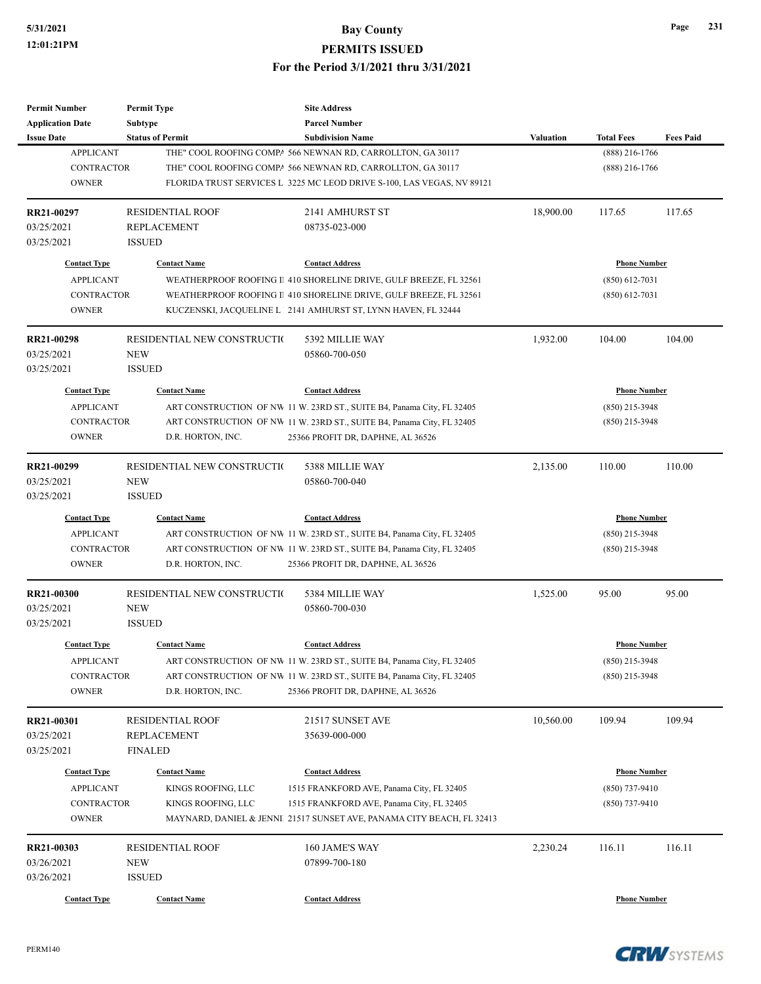| <b>Permit Number</b>    | <b>Permit Type</b>          | <b>Site Address</b>                                                    |                     |                     |                  |
|-------------------------|-----------------------------|------------------------------------------------------------------------|---------------------|---------------------|------------------|
| <b>Application Date</b> | <b>Subtype</b>              | <b>Parcel Number</b>                                                   |                     |                     |                  |
| <b>Issue Date</b>       | <b>Status of Permit</b>     | <b>Subdivision Name</b>                                                | <b>Valuation</b>    | <b>Total Fees</b>   | <b>Fees Paid</b> |
| <b>APPLICANT</b>        |                             | THE" COOL ROOFING COMPA 566 NEWNAN RD, CARROLLTON, GA 30117            |                     | $(888)$ 216-1766    |                  |
| <b>CONTRACTOR</b>       |                             | THE" COOL ROOFING COMPA 566 NEWNAN RD, CARROLLTON, GA 30117            |                     | $(888)$ 216-1766    |                  |
| <b>OWNER</b>            |                             | FLORIDA TRUST SERVICES L 3225 MC LEOD DRIVE S-100, LAS VEGAS, NV 89121 |                     |                     |                  |
| RR21-00297              | <b>RESIDENTIAL ROOF</b>     | 2141 AMHURST ST                                                        | 18,900.00           | 117.65              | 117.65           |
| 03/25/2021              | <b>REPLACEMENT</b>          | 08735-023-000                                                          |                     |                     |                  |
| 03/25/2021              | <b>ISSUED</b>               |                                                                        |                     |                     |                  |
| <b>Contact Type</b>     | <b>Contact Name</b>         | <b>Contact Address</b>                                                 |                     | <b>Phone Number</b> |                  |
| <b>APPLICANT</b>        |                             | WEATHERPROOF ROOFING II 410 SHORELINE DRIVE, GULF BREEZE, FL 32561     |                     | $(850)$ 612-7031    |                  |
| <b>CONTRACTOR</b>       |                             | WEATHERPROOF ROOFING I 410 SHORELINE DRIVE, GULF BREEZE, FL 32561      |                     | $(850)$ 612-7031    |                  |
| <b>OWNER</b>            |                             | KUCZENSKI, JACQUELINE L 2141 AMHURST ST, LYNN HAVEN, FL 32444          |                     |                     |                  |
| RR21-00298              | RESIDENTIAL NEW CONSTRUCTIO | 5392 MILLIE WAY                                                        | 1,932.00            | 104.00              | 104.00           |
| 03/25/2021              | <b>NEW</b>                  | 05860-700-050                                                          |                     |                     |                  |
| 03/25/2021              | <b>ISSUED</b>               |                                                                        |                     |                     |                  |
| <b>Contact Type</b>     | <b>Contact Name</b>         | <b>Contact Address</b>                                                 |                     | <b>Phone Number</b> |                  |
| <b>APPLICANT</b>        |                             | ART CONSTRUCTION OF NW 11 W. 23RD ST., SUITE B4, Panama City, FL 32405 |                     | $(850)$ 215-3948    |                  |
| <b>CONTRACTOR</b>       |                             | ART CONSTRUCTION OF NW 11 W. 23RD ST., SUITE B4, Panama City, FL 32405 |                     | $(850)$ 215-3948    |                  |
| <b>OWNER</b>            | D.R. HORTON, INC.           | 25366 PROFIT DR, DAPHNE, AL 36526                                      |                     |                     |                  |
|                         |                             |                                                                        |                     |                     |                  |
| RR21-00299              | RESIDENTIAL NEW CONSTRUCTIO | 5388 MILLIE WAY                                                        | 2,135.00            | 110.00              | 110.00           |
| 03/25/2021              | <b>NEW</b>                  | 05860-700-040                                                          |                     |                     |                  |
| 03/25/2021              | <b>ISSUED</b>               |                                                                        |                     |                     |                  |
| <b>Contact Type</b>     | <b>Contact Name</b>         | <b>Contact Address</b>                                                 | <b>Phone Number</b> |                     |                  |
| <b>APPLICANT</b>        |                             | ART CONSTRUCTION OF NW 11 W. 23RD ST., SUITE B4, Panama City, FL 32405 | $(850)$ 215-3948    |                     |                  |
| <b>CONTRACTOR</b>       |                             | ART CONSTRUCTION OF NW 11 W. 23RD ST., SUITE B4, Panama City, FL 32405 |                     | $(850)$ 215-3948    |                  |
| <b>OWNER</b>            | D.R. HORTON, INC.           | 25366 PROFIT DR, DAPHNE, AL 36526                                      |                     |                     |                  |
| RR21-00300              | RESIDENTIAL NEW CONSTRUCTIO | 5384 MILLIE WAY                                                        | 1,525.00            | 95.00               | 95.00            |
| 03/25/2021              | <b>NEW</b>                  | 05860-700-030                                                          |                     |                     |                  |
| 03/25/2021              | <b>ISSUED</b>               |                                                                        |                     |                     |                  |
| <b>Contact Type</b>     | <b>Contact Name</b>         | <b>Contact Address</b>                                                 |                     | <b>Phone Number</b> |                  |
| <b>APPLICANT</b>        |                             | ART CONSTRUCTION OF NW 11 W. 23RD ST., SUITE B4, Panama City, FL 32405 |                     | (850) 215-3948      |                  |
| <b>CONTRACTOR</b>       |                             | ART CONSTRUCTION OF NW 11 W. 23RD ST., SUITE B4, Panama City, FL 32405 |                     | $(850)$ 215-3948    |                  |
| <b>OWNER</b>            | D.R. HORTON, INC.           | 25366 PROFIT DR, DAPHNE, AL 36526                                      |                     |                     |                  |
| RR21-00301              | <b>RESIDENTIAL ROOF</b>     | 21517 SUNSET AVE                                                       | 10,560.00           | 109.94              | 109.94           |
| 03/25/2021              | REPLACEMENT                 | 35639-000-000                                                          |                     |                     |                  |
| 03/25/2021              | <b>FINALED</b>              |                                                                        |                     |                     |                  |
| <b>Contact Type</b>     | <b>Contact Name</b>         | <b>Contact Address</b>                                                 | <b>Phone Number</b> |                     |                  |
| <b>APPLICANT</b>        | KINGS ROOFING, LLC          | 1515 FRANKFORD AVE, Panama City, FL 32405                              |                     | $(850)$ 737-9410    |                  |
| CONTRACTOR              | KINGS ROOFING, LLC          | 1515 FRANKFORD AVE, Panama City, FL 32405                              |                     | $(850)$ 737-9410    |                  |
| <b>OWNER</b>            |                             | MAYNARD, DANIEL & JENNI 21517 SUNSET AVE, PANAMA CITY BEACH, FL 32413  |                     |                     |                  |
| RR21-00303              | <b>RESIDENTIAL ROOF</b>     | 160 JAME'S WAY                                                         | 2,230.24            | 116.11              | 116.11           |
| 03/26/2021              | <b>NEW</b>                  | 07899-700-180                                                          |                     |                     |                  |
| 03/26/2021              | <b>ISSUED</b>               |                                                                        |                     |                     |                  |
| <b>Contact Type</b>     | <b>Contact Name</b>         | <b>Contact Address</b>                                                 |                     | <b>Phone Number</b> |                  |
|                         |                             |                                                                        |                     |                     |                  |

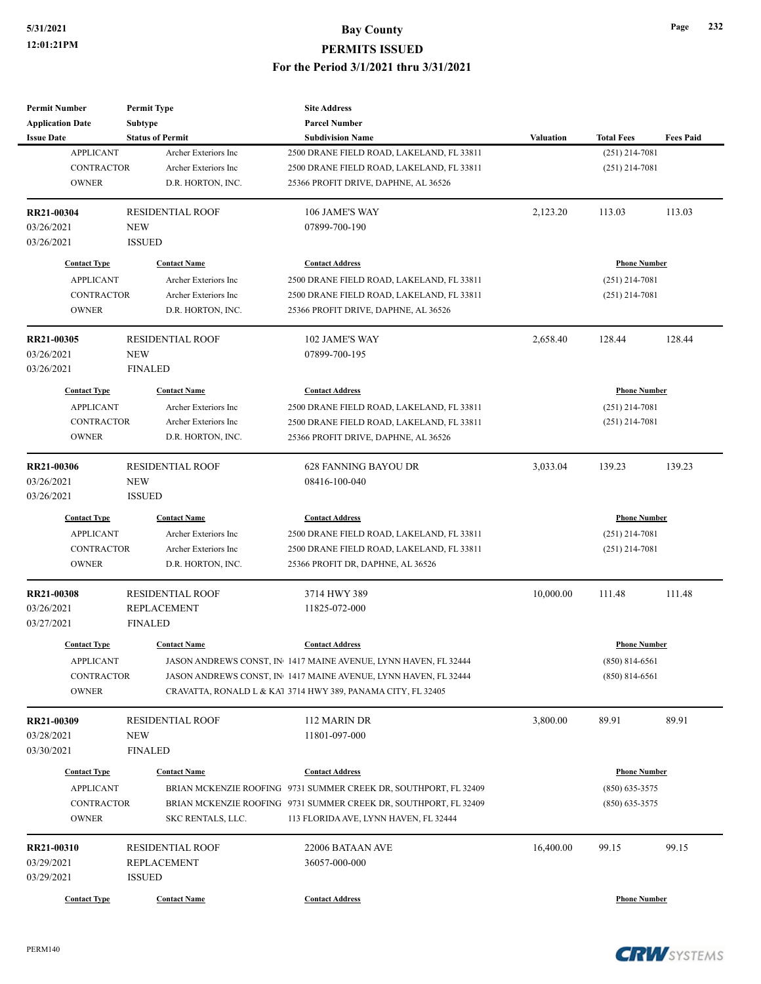| <b>Permit Number</b>                    | <b>Permit Type</b>      | <b>Site Address</b>                                              |                     |                     |                  |
|-----------------------------------------|-------------------------|------------------------------------------------------------------|---------------------|---------------------|------------------|
| <b>Application Date</b>                 | <b>Subtype</b>          | <b>Parcel Number</b>                                             |                     |                     |                  |
| <b>Issue Date</b>                       | <b>Status of Permit</b> | <b>Subdivision Name</b>                                          | <b>Valuation</b>    | <b>Total Fees</b>   | <b>Fees Paid</b> |
| <b>APPLICANT</b>                        | Archer Exteriors Inc    | 2500 DRANE FIELD ROAD, LAKELAND, FL 33811                        |                     | $(251)$ 214-7081    |                  |
| <b>CONTRACTOR</b>                       | Archer Exteriors Inc    | 2500 DRANE FIELD ROAD, LAKELAND, FL 33811                        |                     | $(251)$ 214-7081    |                  |
| <b>OWNER</b>                            | D.R. HORTON, INC.       | 25366 PROFIT DRIVE, DAPHNE, AL 36526                             |                     |                     |                  |
| <b>RR21-00304</b>                       | <b>RESIDENTIAL ROOF</b> | 106 JAME'S WAY                                                   | 2,123.20            | 113.03              | 113.03           |
| 03/26/2021                              | <b>NEW</b>              | 07899-700-190                                                    |                     |                     |                  |
| 03/26/2021                              | <b>ISSUED</b>           |                                                                  |                     |                     |                  |
| <b>Contact Type</b>                     | <b>Contact Name</b>     | <b>Contact Address</b>                                           |                     | <b>Phone Number</b> |                  |
| <b>APPLICANT</b>                        | Archer Exteriors Inc    | 2500 DRANE FIELD ROAD, LAKELAND, FL 33811                        |                     | $(251)$ 214-7081    |                  |
| <b>CONTRACTOR</b>                       | Archer Exteriors Inc    | 2500 DRANE FIELD ROAD, LAKELAND, FL 33811                        |                     | $(251)$ 214-7081    |                  |
| <b>OWNER</b>                            | D.R. HORTON, INC.       | 25366 PROFIT DRIVE, DAPHNE, AL 36526                             |                     |                     |                  |
| RR21-00305                              | <b>RESIDENTIAL ROOF</b> | 102 JAME'S WAY                                                   | 2,658.40            | 128.44              | 128.44           |
| 03/26/2021                              | <b>NEW</b>              | 07899-700-195                                                    |                     |                     |                  |
| 03/26/2021                              | <b>FINALED</b>          |                                                                  |                     |                     |                  |
| <b>Contact Type</b>                     | <b>Contact Name</b>     | <b>Contact Address</b>                                           |                     | <b>Phone Number</b> |                  |
| <b>APPLICANT</b>                        | Archer Exteriors Inc    | 2500 DRANE FIELD ROAD, LAKELAND, FL 33811                        |                     | $(251)$ 214-7081    |                  |
| <b>CONTRACTOR</b>                       | Archer Exteriors Inc    | 2500 DRANE FIELD ROAD, LAKELAND, FL 33811                        |                     | $(251)$ 214-7081    |                  |
| <b>OWNER</b>                            | D.R. HORTON, INC.       | 25366 PROFIT DRIVE, DAPHNE, AL 36526                             |                     |                     |                  |
|                                         |                         |                                                                  |                     |                     |                  |
| RR21-00306                              | <b>RESIDENTIAL ROOF</b> | <b>628 FANNING BAYOU DR</b>                                      | 3,033.04            | 139.23              | 139.23           |
| 03/26/2021                              | <b>NEW</b>              | 08416-100-040                                                    |                     |                     |                  |
| 03/26/2021                              | <b>ISSUED</b>           |                                                                  |                     |                     |                  |
| <b>Contact Type</b>                     | <b>Contact Name</b>     | <b>Contact Address</b>                                           | <b>Phone Number</b> |                     |                  |
| <b>APPLICANT</b>                        | Archer Exteriors Inc    | 2500 DRANE FIELD ROAD, LAKELAND, FL 33811                        | $(251)$ 214-7081    |                     |                  |
| <b>CONTRACTOR</b>                       | Archer Exteriors Inc    | 2500 DRANE FIELD ROAD, LAKELAND, FL 33811                        |                     | $(251)$ 214-7081    |                  |
| <b>OWNER</b>                            | D.R. HORTON, INC.       | 25366 PROFIT DR, DAPHNE, AL 36526                                |                     |                     |                  |
| <b>RR21-00308</b>                       | <b>RESIDENTIAL ROOF</b> | 3714 HWY 389                                                     | 10,000.00           | 111.48              | 111.48           |
| 03/26/2021                              | <b>REPLACEMENT</b>      | 11825-072-000                                                    |                     |                     |                  |
| 03/27/2021                              | <b>FINALED</b>          |                                                                  |                     |                     |                  |
| <b>Contact Type</b>                     | <b>Contact Name</b>     | <b>Contact Address</b>                                           |                     | <b>Phone Number</b> |                  |
| <b>APPLICANT</b>                        |                         | JASON ANDREWS CONST, IN 1417 MAINE AVENUE, LYNN HAVEN, FL 32444  |                     | $(850) 814-6561$    |                  |
| <b>CONTRACTOR</b>                       |                         | JASON ANDREWS CONST, IN 1417 MAINE AVENUE, LYNN HAVEN, FL 32444  |                     | $(850) 814 - 6561$  |                  |
| <b>OWNER</b>                            |                         | CRAVATTA, RONALD L & KAT 3714 HWY 389, PANAMA CITY, FL 32405     |                     |                     |                  |
| RR21-00309                              | <b>RESIDENTIAL ROOF</b> | 112 MARIN DR                                                     | 3,800.00            | 89.91               | 89.91            |
| 03/28/2021                              | <b>NEW</b>              | 11801-097-000                                                    |                     |                     |                  |
| 03/30/2021                              | <b>FINALED</b>          |                                                                  |                     |                     |                  |
|                                         |                         |                                                                  |                     |                     |                  |
| <b>Contact Type</b><br><b>APPLICANT</b> | <b>Contact Name</b>     | <b>Contact Address</b>                                           | <b>Phone Number</b> |                     |                  |
|                                         |                         | BRIAN MCKENZIE ROOFING 9731 SUMMER CREEK DR, SOUTHPORT, FL 32409 | $(850)$ 635-3575    |                     |                  |
| CONTRACTOR                              |                         | BRIAN MCKENZIE ROOFING 9731 SUMMER CREEK DR, SOUTHPORT, FL 32409 |                     | $(850)$ 635-3575    |                  |
| <b>OWNER</b>                            | SKC RENTALS, LLC.       | 113 FLORIDA AVE, LYNN HAVEN, FL 32444                            |                     |                     |                  |
| RR21-00310                              | <b>RESIDENTIAL ROOF</b> | 22006 BATAAN AVE                                                 | 16,400.00           | 99.15               | 99.15            |
| 03/29/2021                              | REPLACEMENT             | 36057-000-000                                                    |                     |                     |                  |
| 03/29/2021                              | <b>ISSUED</b>           |                                                                  |                     |                     |                  |
| <b>Contact Type</b>                     | <b>Contact Name</b>     | <b>Contact Address</b>                                           |                     | <b>Phone Number</b> |                  |
|                                         |                         |                                                                  |                     |                     |                  |



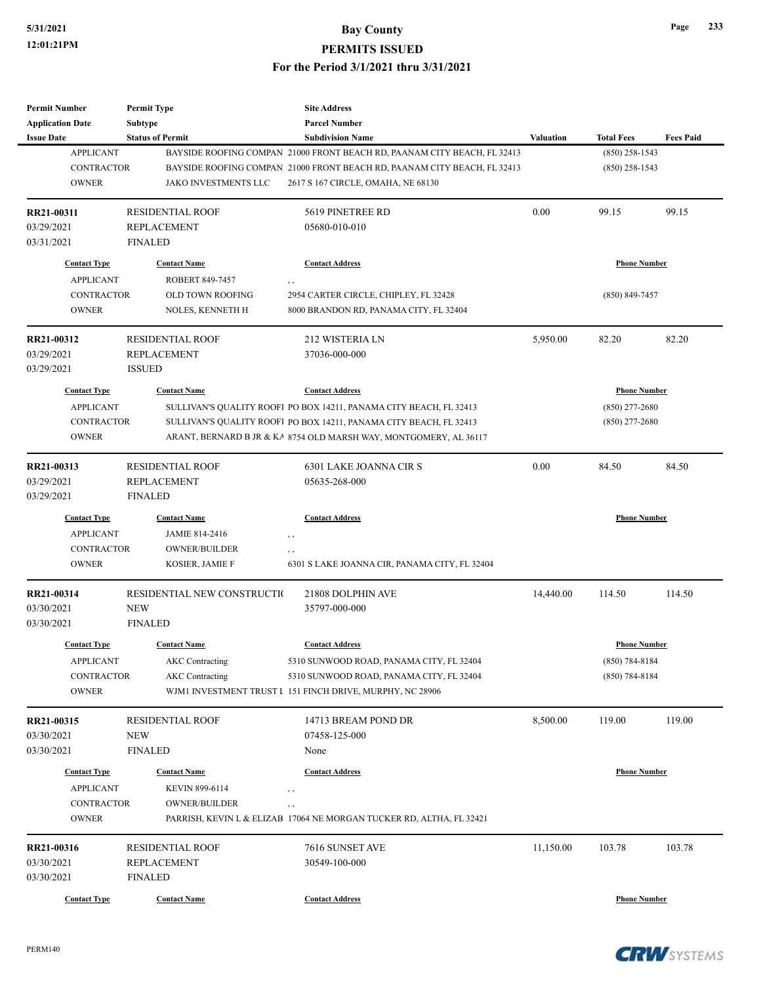| <b>Permit Number</b>    | <b>Permit Type</b>          | <b>Site Address</b>                                                      |                  |                     |                  |  |
|-------------------------|-----------------------------|--------------------------------------------------------------------------|------------------|---------------------|------------------|--|
| <b>Application Date</b> | Subtype                     | <b>Parcel Number</b>                                                     |                  |                     |                  |  |
| <b>Issue Date</b>       | <b>Status of Permit</b>     | <b>Subdivision Name</b>                                                  | <b>Valuation</b> | <b>Total Fees</b>   | <b>Fees Paid</b> |  |
| <b>APPLICANT</b>        |                             | BAYSIDE ROOFING COMPAN 21000 FRONT BEACH RD, PAANAM CITY BEACH, FL 32413 |                  | $(850)$ 258-1543    |                  |  |
| <b>CONTRACTOR</b>       |                             | BAYSIDE ROOFING COMPAN 21000 FRONT BEACH RD, PAANAM CITY BEACH, FL 32413 |                  | $(850)$ 258-1543    |                  |  |
| <b>OWNER</b>            | JAKO INVESTMENTS LLC        | 2617 S 167 CIRCLE, OMAHA, NE 68130                                       |                  |                     |                  |  |
| RR21-00311              | <b>RESIDENTIAL ROOF</b>     | 5619 PINETREE RD                                                         | 0.00             | 99.15               | 99.15            |  |
| 03/29/2021              | <b>REPLACEMENT</b>          | 05680-010-010                                                            |                  |                     |                  |  |
| 03/31/2021              | <b>FINALED</b>              |                                                                          |                  |                     |                  |  |
| <b>Contact Type</b>     | <b>Contact Name</b>         | <b>Contact Address</b>                                                   |                  | <b>Phone Number</b> |                  |  |
| <b>APPLICANT</b>        | <b>ROBERT 849-7457</b>      | , ,                                                                      |                  |                     |                  |  |
| <b>CONTRACTOR</b>       | OLD TOWN ROOFING            | 2954 CARTER CIRCLE, CHIPLEY, FL 32428                                    |                  | $(850)$ 849-7457    |                  |  |
| <b>OWNER</b>            | NOLES, KENNETH H            | 8000 BRANDON RD, PANAMA CITY, FL 32404                                   |                  |                     |                  |  |
| RR21-00312              | <b>RESIDENTIAL ROOF</b>     | 212 WISTERIA LN                                                          | 5,950.00         | 82.20               | 82.20            |  |
| 03/29/2021              | <b>REPLACEMENT</b>          | 37036-000-000                                                            |                  |                     |                  |  |
| 03/29/2021              | <b>ISSUED</b>               |                                                                          |                  |                     |                  |  |
| <b>Contact Type</b>     | <b>Contact Name</b>         | <b>Contact Address</b>                                                   |                  | <b>Phone Number</b> |                  |  |
| <b>APPLICANT</b>        |                             | SULLIVAN'S QUALITY ROOFI PO BOX 14211, PANAMA CITY BEACH, FL 32413       |                  | $(850)$ 277-2680    |                  |  |
| <b>CONTRACTOR</b>       |                             | SULLIVAN'S QUALITY ROOF1 PO BOX 14211, PANAMA CITY BEACH, FL 32413       |                  | $(850)$ 277-2680    |                  |  |
| <b>OWNER</b>            |                             | ARANT, BERNARD B JR & KA 8754 OLD MARSH WAY, MONTGOMERY, AL 36117        |                  |                     |                  |  |
|                         |                             |                                                                          |                  |                     |                  |  |
| RR21-00313              | <b>RESIDENTIAL ROOF</b>     | 6301 LAKE JOANNA CIR S                                                   | 0.00             | 84.50               | 84.50            |  |
| 03/29/2021              | <b>REPLACEMENT</b>          | 05635-268-000                                                            |                  |                     |                  |  |
| 03/29/2021              | <b>FINALED</b>              |                                                                          |                  |                     |                  |  |
| <b>Contact Type</b>     | <b>Contact Name</b>         | <b>Contact Address</b>                                                   |                  | <b>Phone Number</b> |                  |  |
| <b>APPLICANT</b>        | JAMIE 814-2416              | , ,                                                                      |                  |                     |                  |  |
| CONTRACTOR              | OWNER/BUILDER               | , ,                                                                      |                  |                     |                  |  |
| <b>OWNER</b>            | KOSIER, JAMIE F             | 6301 S LAKE JOANNA CIR, PANAMA CITY, FL 32404                            |                  |                     |                  |  |
| RR21-00314              | RESIDENTIAL NEW CONSTRUCTIO | 21808 DOLPHIN AVE                                                        | 14,440.00        | 114.50              | 114.50           |  |
| 03/30/2021              | <b>NEW</b>                  | 35797-000-000                                                            |                  |                     |                  |  |
| 03/30/2021              | <b>FINALED</b>              |                                                                          |                  |                     |                  |  |
| <b>Contact Type</b>     | <b>Contact Name</b>         | <b>Contact Address</b>                                                   |                  | <b>Phone Number</b> |                  |  |
| <b>APPLICANT</b>        | <b>AKC</b> Contracting      | 5310 SUNWOOD ROAD, PANAMA CITY, FL 32404                                 |                  | $(850) 784 - 8184$  |                  |  |
| CONTRACTOR              | <b>AKC</b> Contracting      | 5310 SUNWOOD ROAD, PANAMA CITY, FL 32404                                 |                  | $(850) 784 - 8184$  |                  |  |
| <b>OWNER</b>            |                             | WJM1 INVESTMENT TRUST I 151 FINCH DRIVE, MURPHY, NC 28906                |                  |                     |                  |  |
| RR21-00315              | <b>RESIDENTIAL ROOF</b>     | 14713 BREAM POND DR                                                      | 8,500.00         | 119.00              | 119.00           |  |
| 03/30/2021              | <b>NEW</b>                  | 07458-125-000                                                            |                  |                     |                  |  |
| 03/30/2021              | <b>FINALED</b>              | None                                                                     |                  |                     |                  |  |
| <b>Contact Type</b>     | <b>Contact Name</b>         | <b>Contact Address</b>                                                   |                  | <b>Phone Number</b> |                  |  |
| <b>APPLICANT</b>        | KEVIN 899-6114              | $, \, , \,$                                                              |                  |                     |                  |  |
| <b>CONTRACTOR</b>       | <b>OWNER/BUILDER</b>        | , ,                                                                      |                  |                     |                  |  |
| <b>OWNER</b>            |                             | PARRISH, KEVIN L & ELIZAB 17064 NE MORGAN TUCKER RD, ALTHA, FL 32421     |                  |                     |                  |  |
| RR21-00316              | <b>RESIDENTIAL ROOF</b>     | 7616 SUNSET AVE                                                          | 11,150.00        | 103.78              | 103.78           |  |
| 03/30/2021              | <b>REPLACEMENT</b>          | 30549-100-000                                                            |                  |                     |                  |  |
| 03/30/2021              | <b>FINALED</b>              |                                                                          |                  |                     |                  |  |
| <b>Contact Type</b>     | <b>Contact Name</b>         | <b>Contact Address</b>                                                   |                  | <b>Phone Number</b> |                  |  |
|                         |                             |                                                                          |                  |                     |                  |  |

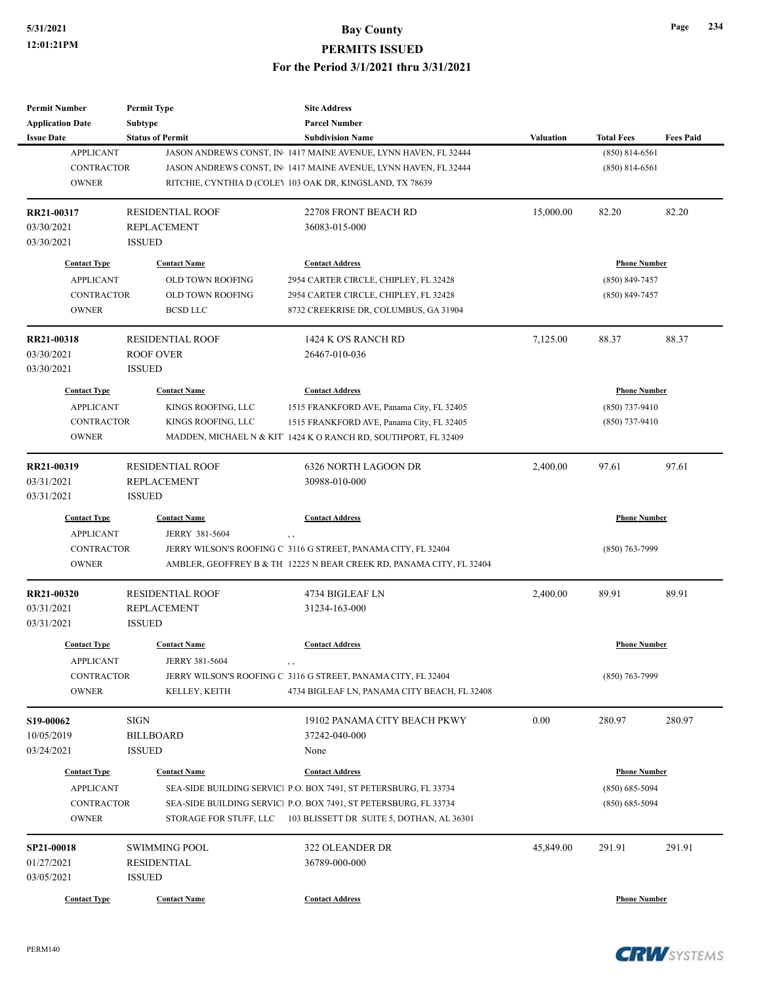| Page | 234 |
|------|-----|
|------|-----|

| <b>Permit Number</b>                                                                                  | <b>Permit Type</b>                                                             | <b>Site Address</b>                                                                                                                                                                                         |                                                                                              |                                                                 |        |
|-------------------------------------------------------------------------------------------------------|--------------------------------------------------------------------------------|-------------------------------------------------------------------------------------------------------------------------------------------------------------------------------------------------------------|----------------------------------------------------------------------------------------------|-----------------------------------------------------------------|--------|
| <b>Application Date</b>                                                                               | Subtype                                                                        | <b>Parcel Number</b><br><b>Subdivision Name</b>                                                                                                                                                             |                                                                                              |                                                                 |        |
| <b>Status of Permit</b><br><b>Issue Date</b><br><b>APPLICANT</b><br><b>CONTRACTOR</b><br><b>OWNER</b> |                                                                                | JASON ANDREWS CONST, IN 1417 MAINE AVENUE, LYNN HAVEN, FL 32444<br>JASON ANDREWS CONST, IN 1417 MAINE AVENUE, LYNN HAVEN, FL 32444<br>RITCHIE, CYNTHIA D (COLE) 103 OAK DR, KINGSLAND, TX 78639             | Valuation<br><b>Total Fees</b><br><b>Fees Paid</b><br>$(850) 814 - 6561$<br>$(850)$ 814-6561 |                                                                 |        |
| RR21-00317<br>03/30/2021<br>03/30/2021                                                                | <b>RESIDENTIAL ROOF</b><br><b>REPLACEMENT</b><br><b>ISSUED</b>                 | 22708 FRONT BEACH RD<br>36083-015-000                                                                                                                                                                       | 15,000.00                                                                                    | 82.20                                                           | 82.20  |
| <b>Contact Type</b><br><b>APPLICANT</b><br><b>CONTRACTOR</b><br><b>OWNER</b>                          | <b>Contact Name</b><br>OLD TOWN ROOFING<br>OLD TOWN ROOFING<br><b>BCSD LLC</b> | <b>Contact Address</b><br>2954 CARTER CIRCLE, CHIPLEY, FL 32428<br>2954 CARTER CIRCLE, CHIPLEY, FL 32428<br>8732 CREEKRISE DR, COLUMBUS, GA 31904                                                           |                                                                                              | <b>Phone Number</b><br>$(850) 849 - 7457$<br>$(850)$ 849-7457   |        |
| RR21-00318<br>03/30/2021<br>03/30/2021                                                                | <b>RESIDENTIAL ROOF</b><br><b>ROOF OVER</b><br><b>ISSUED</b>                   | 1424 K O'S RANCH RD<br>26467-010-036                                                                                                                                                                        | 7,125.00                                                                                     | 88.37                                                           | 88.37  |
| <b>Contact Type</b><br><b>APPLICANT</b><br><b>CONTRACTOR</b><br><b>OWNER</b>                          | <b>Contact Name</b><br>KINGS ROOFING, LLC<br>KINGS ROOFING, LLC                | <b>Contact Address</b><br>1515 FRANKFORD AVE, Panama City, FL 32405<br>1515 FRANKFORD AVE, Panama City, FL 32405<br>MADDEN, MICHAEL N & KIT 1424 K O RANCH RD, SOUTHPORT, FL 32409                          | <b>Phone Number</b><br>$(850)$ 737-9410<br>$(850)$ 737-9410                                  |                                                                 |        |
| RR21-00319<br>03/31/2021<br>03/31/2021                                                                | <b>RESIDENTIAL ROOF</b><br><b>REPLACEMENT</b><br><b>ISSUED</b>                 | 6326 NORTH LAGOON DR<br>30988-010-000                                                                                                                                                                       | 2,400.00                                                                                     | 97.61                                                           | 97.61  |
| <b>Contact Type</b><br><b>APPLICANT</b><br><b>CONTRACTOR</b>                                          | <b>Contact Name</b><br>JERRY 381-5604                                          | <b>Contact Address</b><br>, ,<br>JERRY WILSON'S ROOFING C 3116 G STREET, PANAMA CITY, FL 32404                                                                                                              | <b>Phone Number</b><br>$(850)$ 763-7999                                                      |                                                                 |        |
| <b>OWNER</b><br>RR21-00320<br>03/31/2021<br>03/31/2021                                                | <b>RESIDENTIAL ROOF</b><br><b>REPLACEMENT</b><br><b>ISSUED</b>                 | AMBLER, GEOFFREY B & TH 12225 N BEAR CREEK RD, PANAMA CITY, FL 32404<br>4734 BIGLEAF LN<br>31234-163-000                                                                                                    | 2,400.00                                                                                     | 89.91                                                           | 89.91  |
| <b>Contact Type</b><br><b>APPLICANT</b><br><b>CONTRACTOR</b><br><b>OWNER</b>                          | <b>Contact Name</b><br>JERRY 381-5604<br>KELLEY, KEITH                         | <b>Contact Address</b><br>JERRY WILSON'S ROOFING C 3116 G STREET, PANAMA CITY, FL 32404<br>4734 BIGLEAF LN, PANAMA CITY BEACH, FL 32408                                                                     | <b>Phone Number</b><br>$(850)$ 763-7999                                                      |                                                                 |        |
| S19-00062<br>10/05/2019<br>03/24/2021                                                                 | <b>SIGN</b><br><b>BILLBOARD</b><br><b>ISSUED</b>                               | 19102 PANAMA CITY BEACH PKWY<br>37242-040-000<br>None                                                                                                                                                       | 0.00                                                                                         | 280.97                                                          | 280.97 |
| <b>Contact Type</b><br><b>APPLICANT</b><br>CONTRACTOR<br><b>OWNER</b>                                 | <b>Contact Name</b><br>STORAGE FOR STUFF, LLC                                  | <b>Contact Address</b><br>SEA-SIDE BUILDING SERVICI P.O. BOX 7491, ST PETERSBURG, FL 33734<br>SEA-SIDE BUILDING SERVICI P.O. BOX 7491, ST PETERSBURG, FL 33734<br>103 BLISSETT DR SUITE 5, DOTHAN, AL 36301 |                                                                                              | <b>Phone Number</b><br>$(850) 685 - 5094$<br>$(850) 685 - 5094$ |        |
| SP21-00018<br>01/27/2021<br>03/05/2021                                                                | <b>SWIMMING POOL</b><br><b>RESIDENTIAL</b><br><b>ISSUED</b>                    | 322 OLEANDER DR<br>36789-000-000                                                                                                                                                                            | 45,849.00                                                                                    | 291.91                                                          | 291.91 |
| <b>Contact Type</b>                                                                                   | <b>Contact Name</b>                                                            | <b>Contact Address</b>                                                                                                                                                                                      |                                                                                              | <b>Phone Number</b>                                             |        |

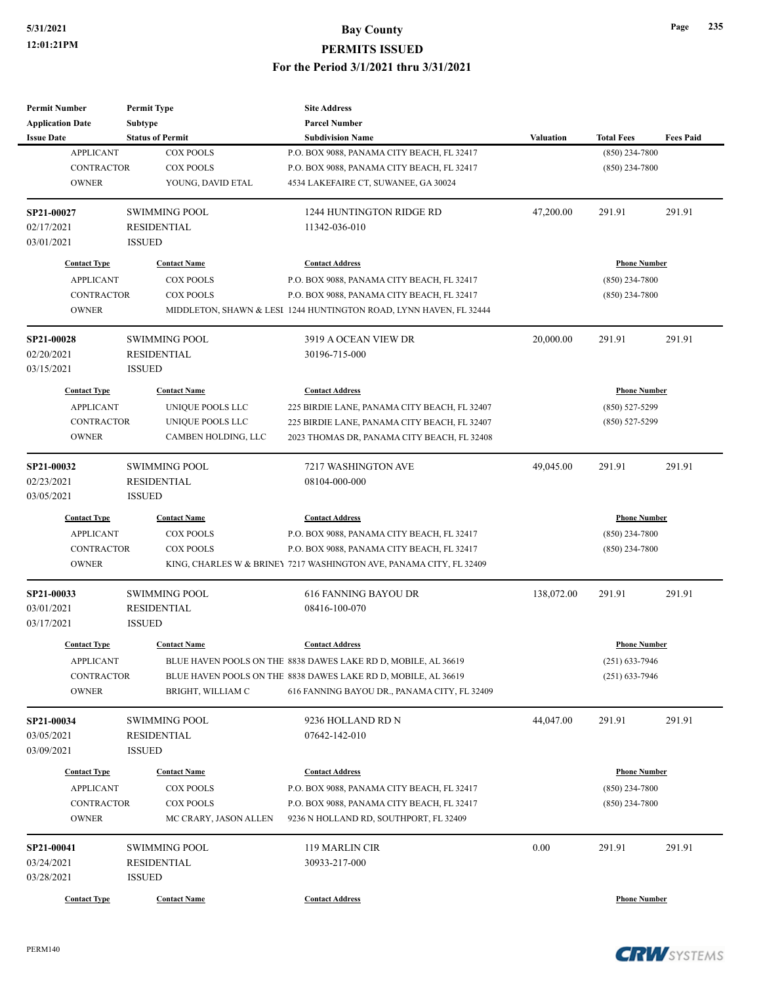| <b>Permit Number</b>                    | <b>Permit Type</b>                      | <b>Site Address</b>                                                  |                     |                                         |                  |
|-----------------------------------------|-----------------------------------------|----------------------------------------------------------------------|---------------------|-----------------------------------------|------------------|
| <b>Application Date</b>                 | Subtype                                 | <b>Parcel Number</b>                                                 |                     |                                         |                  |
| <b>Issue Date</b>                       | <b>Status of Permit</b>                 | <b>Subdivision Name</b>                                              | <b>Valuation</b>    | <b>Total Fees</b>                       | <b>Fees Paid</b> |
| <b>APPLICANT</b>                        | <b>COX POOLS</b>                        | P.O. BOX 9088, PANAMA CITY BEACH, FL 32417                           |                     | $(850)$ 234-7800                        |                  |
| <b>CONTRACTOR</b>                       | <b>COX POOLS</b>                        | P.O. BOX 9088, PANAMA CITY BEACH, FL 32417                           |                     | $(850)$ 234-7800                        |                  |
| <b>OWNER</b>                            | YOUNG, DAVID ETAL                       | 4534 LAKEFAIRE CT, SUWANEE, GA 30024                                 |                     |                                         |                  |
| SP21-00027                              | <b>SWIMMING POOL</b>                    | 1244 HUNTINGTON RIDGE RD                                             | 47,200.00           | 291.91                                  | 291.91           |
| 02/17/2021                              | <b>RESIDENTIAL</b>                      | 11342-036-010                                                        |                     |                                         |                  |
| 03/01/2021                              | <b>ISSUED</b>                           |                                                                      |                     |                                         |                  |
| <b>Contact Type</b>                     | <b>Contact Name</b>                     | <b>Contact Address</b>                                               |                     | <b>Phone Number</b>                     |                  |
| <b>APPLICANT</b>                        | <b>COX POOLS</b>                        | P.O. BOX 9088, PANAMA CITY BEACH, FL 32417                           |                     | $(850)$ 234-7800                        |                  |
| <b>CONTRACTOR</b>                       | <b>COX POOLS</b>                        | P.O. BOX 9088, PANAMA CITY BEACH, FL 32417                           |                     | $(850)$ 234-7800                        |                  |
| <b>OWNER</b>                            |                                         | MIDDLETON, SHAWN & LESI 1244 HUNTINGTON ROAD, LYNN HAVEN, FL 32444   |                     |                                         |                  |
| SP21-00028                              | <b>SWIMMING POOL</b>                    | 3919 A OCEAN VIEW DR                                                 | 20,000.00           | 291.91                                  | 291.91           |
| 02/20/2021                              | <b>RESIDENTIAL</b>                      | 30196-715-000                                                        |                     |                                         |                  |
| 03/15/2021                              | <b>ISSUED</b>                           |                                                                      |                     |                                         |                  |
| <b>Contact Type</b>                     | <b>Contact Name</b>                     | <b>Contact Address</b>                                               |                     | <b>Phone Number</b>                     |                  |
| <b>APPLICANT</b>                        | UNIQUE POOLS LLC                        | 225 BIRDIE LANE, PANAMA CITY BEACH, FL 32407                         |                     | $(850)$ 527-5299                        |                  |
| <b>CONTRACTOR</b>                       | UNIQUE POOLS LLC                        | 225 BIRDIE LANE, PANAMA CITY BEACH, FL 32407                         |                     | $(850)$ 527-5299                        |                  |
| <b>OWNER</b>                            | CAMBEN HOLDING, LLC                     | 2023 THOMAS DR, PANAMA CITY BEACH, FL 32408                          |                     |                                         |                  |
|                                         |                                         |                                                                      |                     |                                         |                  |
| SP21-00032                              | <b>SWIMMING POOL</b>                    | 7217 WASHINGTON AVE                                                  | 49,045.00           | 291.91                                  | 291.91           |
| 02/23/2021                              | <b>RESIDENTIAL</b>                      | 08104-000-000                                                        |                     |                                         |                  |
| 03/05/2021                              | <b>ISSUED</b>                           |                                                                      |                     |                                         |                  |
| <b>Contact Type</b>                     | <b>Contact Name</b>                     | <b>Contact Address</b>                                               | <b>Phone Number</b> |                                         |                  |
| <b>APPLICANT</b>                        | <b>COX POOLS</b>                        | P.O. BOX 9088, PANAMA CITY BEACH, FL 32417                           | $(850)$ 234-7800    |                                         |                  |
| CONTRACTOR                              | <b>COX POOLS</b>                        | P.O. BOX 9088, PANAMA CITY BEACH, FL 32417                           |                     | $(850)$ 234-7800                        |                  |
| <b>OWNER</b>                            |                                         | KING, CHARLES W & BRINEY 7217 WASHINGTON AVE, PANAMA CITY, FL 32409  |                     |                                         |                  |
| SP21-00033                              | <b>SWIMMING POOL</b>                    | 616 FANNING BAYOU DR                                                 | 138,072.00          | 291.91                                  | 291.91           |
| 03/01/2021                              | <b>RESIDENTIAL</b>                      | 08416-100-070                                                        |                     |                                         |                  |
| 03/17/2021                              | <b>ISSUED</b>                           |                                                                      |                     |                                         |                  |
| <b>Contact Type</b>                     | <b>Contact Name</b>                     | <b>Contact Address</b>                                               |                     | <b>Phone Number</b>                     |                  |
| <b>APPLICANT</b>                        |                                         | BLUE HAVEN POOLS ON THE 8838 DAWES LAKE RD D, MOBILE, AL 36619       |                     | $(251) 633 - 7946$                      |                  |
| CONTRACTOR                              |                                         | BLUE HAVEN POOLS ON THE 8838 DAWES LAKE RD D, MOBILE, AL 36619       |                     | $(251)$ 633-7946                        |                  |
| <b>OWNER</b>                            | BRIGHT, WILLIAM C                       | 616 FANNING BAYOU DR., PANAMA CITY, FL 32409                         |                     |                                         |                  |
| SP21-00034                              | <b>SWIMMING POOL</b>                    | 9236 HOLLAND RD N                                                    | 44,047.00           | 291.91                                  | 291.91           |
| 03/05/2021                              | <b>RESIDENTIAL</b>                      | 07642-142-010                                                        |                     |                                         |                  |
| 03/09/2021                              | <b>ISSUED</b>                           |                                                                      |                     |                                         |                  |
|                                         |                                         |                                                                      |                     |                                         |                  |
| <b>Contact Type</b><br><b>APPLICANT</b> | <b>Contact Name</b><br><b>COX POOLS</b> | <b>Contact Address</b><br>P.O. BOX 9088, PANAMA CITY BEACH, FL 32417 |                     | <b>Phone Number</b><br>$(850)$ 234-7800 |                  |
| CONTRACTOR                              | <b>COX POOLS</b>                        | P.O. BOX 9088, PANAMA CITY BEACH, FL 32417                           |                     | $(850)$ 234-7800                        |                  |
| <b>OWNER</b>                            | MC CRARY, JASON ALLEN                   |                                                                      |                     |                                         |                  |
|                                         |                                         | 9236 N HOLLAND RD, SOUTHPORT, FL 32409                               |                     |                                         |                  |
| SP21-00041                              | <b>SWIMMING POOL</b>                    | 119 MARLIN CIR                                                       | 0.00                | 291.91                                  | 291.91           |
| 03/24/2021                              | <b>RESIDENTIAL</b>                      | 30933-217-000                                                        |                     |                                         |                  |
| 03/28/2021                              | <b>ISSUED</b>                           |                                                                      |                     |                                         |                  |
| <b>Contact Type</b>                     | <b>Contact Name</b>                     | <b>Contact Address</b>                                               |                     | <b>Phone Number</b>                     |                  |